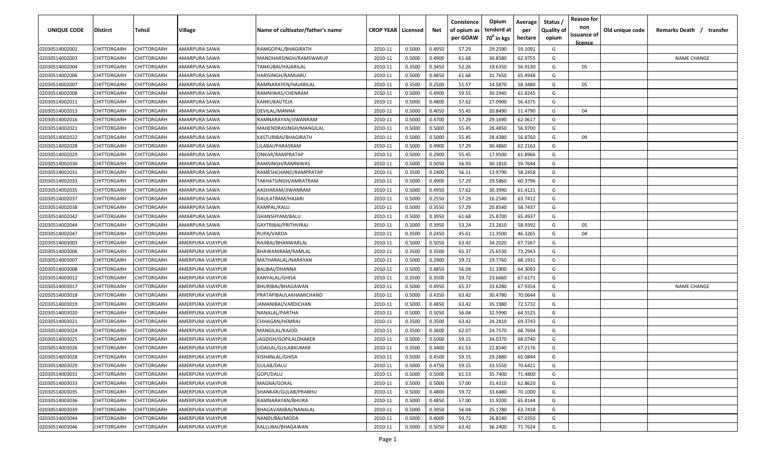| <b>UNIQUE CODE</b> | <b>Distirct</b>    | <b>Tehsil</b>      | Village           | Name of cultivator/father's name | <b>CROP YEAR   Licensed</b> |        | Net    | Conistence<br>of opium as<br>per GOAW | Opium<br>tenderd at<br>70 <sup>0</sup> in kgs | Average<br>per<br>hectare | Status /<br><b>Quality of</b><br>opium | <b>Reason for</b><br>non<br>issuance of<br><u>licence</u> | Old unique code | Remarks Death /<br>transfer |
|--------------------|--------------------|--------------------|-------------------|----------------------------------|-----------------------------|--------|--------|---------------------------------------|-----------------------------------------------|---------------------------|----------------------------------------|-----------------------------------------------------------|-----------------|-----------------------------|
| 02030514002001     | CHITTORGARH        | CHITTORGARH        | AMARPURA SAWA     | RAMGOPAL/BHAGIRATH               | 2010-11                     | 0.5000 | 0.4950 | 57.29                                 | 29.2590                                       | 59.1091                   | G                                      |                                                           |                 |                             |
| 02030514002003     | CHITTORGARH        | CHITTORGARH        | AMARPURA SAWA     | MANOHARSINGH/RAMSWARUP           | 2010-11                     | 0.5000 | 0.4900 | 61.68                                 | 30.8580                                       | 62.9755                   | G                                      |                                                           |                 | <b>NAME CHANGE</b>          |
| 02030514002004     | CHITTORGARH        | CHITTORGARH        | AMARPURA SAWA     | TANKUBAI/HAJARILAL               | 2010-11                     | 0.3500 | 0.3450 | 52.26                                 | 19.6350                                       | 56.9130                   | G                                      | 05                                                        |                 |                             |
| 02030514002006     | CHITTORGARH        | CHITTORGARH        | AMARPURA SAWA     | HARISINGH/RAMJARU                | 2010-11                     | 0.5000 | 0.4850 | 61.68                                 | 31.7650                                       | 65.4948                   | G                                      |                                                           |                 |                             |
| 02030514002007     | CHITTORGARH        | CHITTORGARH        | AMARPURA SAWA     | RAMNARAYEN/HAJARILAL             | 2010-11                     | 0.3500 | 0.2500 | 51.57                                 | 14.5870                                       | 58.3480                   | G                                      | 05                                                        |                 |                             |
| 02030514002008     | CHITTORGARH        | CHITTORGARH        | AMARPURA SAWA     | RAMNIWAS/CHENRAM                 | 2010-11                     | 0.5000 | 0.4900 | 59.55                                 | 30.2940                                       | 61.8245                   | G                                      |                                                           |                 |                             |
| 02030514002011     | CHITTORGARH        | CHITTORGARH        | AMARPURA SAWA     | KANKUBAI/TEJA                    | 2010-11                     | 0.5000 | 0.4800 | 57.62                                 | 27.0900                                       | 56.4375                   | G                                      |                                                           |                 |                             |
| 02030514002013     | CHITTORGARH        | CHITTORGARH        | AMARPURA SAWA     | DEVILAL/MANNA                    | 2010-11                     | 0.5000 | 0.4050 | 55.45                                 | 20.8490                                       | 51.4790                   | G                                      | 04                                                        |                 |                             |
| 02030514002016     | CHITTORGARH        | CHITTORGARH        | AMARPURA SAWA     | RAMNARAYAN/JIWANRAM              | 2010-11                     | 0.5000 | 0.4700 | 57.29                                 | 29.1690                                       | 62.0617                   | G                                      |                                                           |                 |                             |
| 02030514002021     | CHITTORGARH        | CHITTORGARH        | AMARPURA SAWA     | MAHENDRASINGH/MANGILAL           | 2010-11                     | 0.5000 | 0.5000 | 55.45                                 | 28.4850                                       | 56.9700                   | G                                      |                                                           |                 |                             |
| 02030514002022     | CHITTORGARH        | CHITTORGARH        | AMARPURA SAWA     | KASTURIBAI/BHAGIRATH             | 2010-11                     | 0.5000 | 0.5000 | 55.45                                 | 28.4380                                       | 56.8760                   | G                                      | 09                                                        |                 |                             |
| 02030514002028     | CHITTORGARH        | CHITTORGARH        | AMARPURA SAWA     | LILABAI/PARASRAM                 | 2010-11                     | 0.5000 | 0.4900 | 57.29                                 | 30.4860                                       | 62.2163                   | G                                      |                                                           |                 |                             |
| 02030514002029     | CHITTORGARH        | CHITTORGARH        | AMARPURA SAWA     | ONKAR/RAMPRATAP                  | 2010-11                     | 0.5000 | 0.2900 | 55.45                                 | 17.9500                                       | 61.8966                   | G                                      |                                                           |                 |                             |
| 02030514002030     | CHITTORGARH        | CHITTORGARH        | AMARPURA SAWA     | RAMSINGH/RAMNIWAS                | 2010-11                     | 0.5000 | 0.5050 | 56.93                                 | 30.1810                                       | 59.7644                   | G                                      |                                                           |                 |                             |
| 02030514002031     | CHITTORGARH        | CHITTORGARH        | AMARPURA SAWA     | RAMESHCHAND/RAMPRATAP            | 2010-11                     | 0.3500 | 0.2400 | 56.11                                 | 13.9790                                       | 58.2458                   | G                                      |                                                           |                 |                             |
| 02030514002033     | CHITTORGARH        | CHITTORGARH        | AMARPURA SAWA     | TAKHATSINGH/AMRATRAM             | 2010-11                     | 0.5000 | 0.4900 | 57.29                                 | 29.5860                                       | 60.3796                   | G                                      |                                                           |                 |                             |
| 02030514002035     | CHITTORGARH        | CHITTORGARF        | AMARPURA SAWA     | AASHARAM/JIWANRAM                | 2010-11                     | 0.5000 | 0.4950 | 57.62                                 | 30.3990                                       | 61.4121                   | G                                      |                                                           |                 |                             |
| 02030514002037     | CHITTORGARH        | CHITTORGARH        | AMARPURA SAWA     | DAULATRAM/HAJARI                 | 2010-11                     | 0.5000 | 0.2550 | 57.29                                 | 16.2540                                       | 63.7412                   | G                                      |                                                           |                 |                             |
| 02030514002038     | CHITTORGARH        | CHITTORGARH        | AMARPURA SAWA     | RAMPAL/KALU                      | 2010-11                     | 0.5000 | 0.3550 | 57.29                                 | 20.8540                                       | 58.7437                   | G                                      |                                                           |                 |                             |
| 02030514002042     | CHITTORGARH        | CHITTORGARH        | AMARPURA SAWA     | GHANSHYAM/BALU                   | 2010-11                     | 0.5000 | 0.3950 | 61.68                                 | 25.8700                                       | 65.4937                   | G                                      |                                                           |                 |                             |
| 02030514002044     | CHITTORGARH        | CHITTORGARH        | AMARPURA SAWA     | GAYTRIBAI/PRITHVIRAJ             | 2010-11                     | 0.5000 | 0.3950 | 53.24                                 | 23.2810                                       | 58.9392                   | G                                      | 05                                                        |                 |                             |
| 02030514002047     | CHITTORGARH        | CHITTORGARH        | AMARPURA SAWA     | RUPA/VARDA                       | 2010-11                     | 0.3500 | 0.2450 | 45.61                                 | 11.3500                                       | 46.3265                   | G                                      | 04                                                        |                 |                             |
| 02030514003003     | CHITTORGARH        | CHITTORGARH        | AMERPURA VIJAYPUR | RAJIBAI/BHANWARLAL               | 2010-11                     | 0.5000 | 0.5050 | 63.42                                 | 34.2020                                       | 67.7267                   | G                                      |                                                           |                 |                             |
| 02030514003006     | CHITTORGARH        | CHITTORGARH        | AMERPURA VIJAYPUR | BHAWANIRAM/RAMLAL                | 2010-11                     | 0.3500 | 0.3500 | 65.37                                 | 25.6530                                       | 73.2943                   | G                                      |                                                           |                 |                             |
| 02030514003007     | CHITTORGARH        | CHITTORGARH        | AMERPURA VIJAYPUR | MATHARALAL/NARAYAN               | 2010-11                     | 0.5000 | 0.2900 | 59.72                                 | 19.7760                                       | 68.1931                   | G                                      |                                                           |                 |                             |
| 02030514003008     | CHITTORGARH        | CHITTORGARH        | AMERPURA VIJAYPUR | BALIBAI/DHANNA                   | 2010-11                     | 0.5000 | 0.4850 | 56.04                                 | 31.1900                                       | 64.3093                   | G                                      |                                                           |                 |                             |
| 02030514003012     | CHITTORGARH        | CHITTORGARH        | AMERPURA VIJAYPUR | KANYALAL/GHISA                   | 2010-11                     | 0.3500 | 0.3500 | 59.72                                 | 23.6660                                       | 67.6171                   | G                                      |                                                           |                 |                             |
| 02030514003017     | CHITTORGARH        | CHITTORGARH        | AMERPURA VIJAYPUR | BHURIBAI/BHAGAWAN                | 2010-11                     | 0.5000 | 0.4950 | 65.37                                 | 33.6280                                       | 67.9354                   | G                                      |                                                           |                 | <b>NAME CHANGE</b>          |
| 02030514003018     | CHITTORGARH        | CHITTORGARH        | AMERPURA VIJAYPUR | PRATAPIBAI/LAKHAMICHAND          | 2010-11                     | 0.5000 | 0.4350 | 63.42                                 | 30.4780                                       | 70.0644                   | G                                      |                                                           |                 |                             |
| 02030514003019     | CHITTORGARH        | CHITTORGARH        | AMERPURA VIJAYPUR | JAMANIBAI/VARDICHAN              | 2010-11                     | 0.5000 | 0.4850 | 63.42                                 | 35.1980                                       | 72.5732                   | G                                      |                                                           |                 |                             |
| 02030514003020     | CHITTORGARH        | CHITTORGARH        | AMERPURA VIJAYPUR | NANALAL/PARTHA                   | 2010-11                     | 0.5000 | 0.5050 | 56.04                                 | 32.5990                                       | 64.5525                   | G                                      |                                                           |                 |                             |
| 02030514003021     | CHITTORGARH        | CHITTORGARH        | AMERPURA VIJAYPUR | CHHAGAN/HEMRAJ                   | 2010-11                     | 0.3500 | 0.3500 | 63.42                                 | 24.2810                                       | 69.3743                   | G                                      |                                                           |                 |                             |
| 02030514003024     | CHITTORGARH        | CHITTORGARH        | AMERPURA VIJAYPUR | MANGILAL/KAJOD                   | 2010-11                     | 0.3500 | 0.3600 | 62.07                                 | 24.7570                                       | 68.7694                   | G                                      |                                                           |                 |                             |
| 02030514003025     | CHITTORGARH        | CHITTORGARH        | AMERPURA VIJAYPUR | JAGDISH/GOPILALDHAKER            | 2010-11                     | 0.5000 | 0.5000 | 59.15                                 | 34.0370                                       | 68.0740                   | G                                      |                                                           |                 |                             |
| 02030514003026     | <b>CHITTORGARH</b> | CHITTORGARH        | AMERPURA VIJAYPUR | UDAILAL/GULABKUMAR               | 2010-11                     | 0.3500 | 0.3400 | 61.53                                 | 22.8540                                       | 67.2176                   | G                                      |                                                           |                 |                             |
| 02030514003028     | CHITTORGARH        | <b>CHITTORGARH</b> | AMERPURA VIJAYPUR | KISHANLAL/GHISA                  | 2010-11                     | 0.5000 | 0.4500 | 59.15                                 | 29.2880                                       | 65.0844                   | G                                      |                                                           |                 |                             |
| 02030514003029     | <b>CHITTORGARH</b> | CHITTORGARH        | AMERPURA VIJAYPUR | GULAB/DALU                       | 2010-11                     | 0.5000 | 0.4750 | 59.15                                 | 33.5550                                       | 70.6421                   | G                                      |                                                           |                 |                             |
| 02030514003031     | CHITTORGARH        | CHITTORGARH        | AMERPURA VIJAYPUR | GOPI/DALU                        | 2010-11                     | 0.5000 | 0.5000 | 61.53                                 | 35.7400                                       | 71.4800                   | G                                      |                                                           |                 |                             |
| 02030514003033     | CHITTORGARH        | CHITTORGARH        | AMERPURA VIJAYPUR | MAGNA/GOKAL                      | 2010-11                     | 0.5000 | 0.5000 | 57.00                                 | 31.4310                                       | 62.8620                   | G                                      |                                                           |                 |                             |
| 02030514003035     | CHITTORGARH        | CHITTORGARH        | AMERPURA VIJAYPUR | SHANKAR/GULAB/PRABHU             | 2010-11                     | 0.5000 | 0.4800 | 59.72                                 | 33.6480                                       | 70.1000                   | G                                      |                                                           |                 |                             |
| 02030514003036     | CHITTORGARH        | CHITTORGARH        | AMERPURA VIJAYPUR | RAMNARAYAN/BHURA                 | 2010-11                     | 0.5000 | 0.4850 | 57.00                                 | 31.9200                                       | 65.8144                   | G                                      |                                                           |                 |                             |
| 02030514003039     | CHITTORGARH        | CHITTORGARH        | AMERPURA VIJAYPUR | BHAGAVANIBAI/NANALAL             | 2010-11                     | 0.5000 | 0.3950 | 56.04                                 | 25.1780                                       | 63.7418                   | G                                      |                                                           |                 |                             |
| 02030514003044     | CHITTORGARH        | CHITTORGARH        | AMERPURA VIJAYPUR | NANDUBAI/MODA                    | 2010-11                     | 0.5000 | 0.4000 | 59.72                                 | 26.8140                                       | 67.0350                   | G                                      |                                                           |                 |                             |
| 02030514003046     | <b>CHITTORGARH</b> | CHITTORGARH        | AMERPURA VIJAYPUR | KALLUBAI/BHAGAWAN                | 2010-11                     | 0.5000 | 0.5050 | 63.42                                 | 36.2400                                       | 71.7624                   | G                                      |                                                           |                 |                             |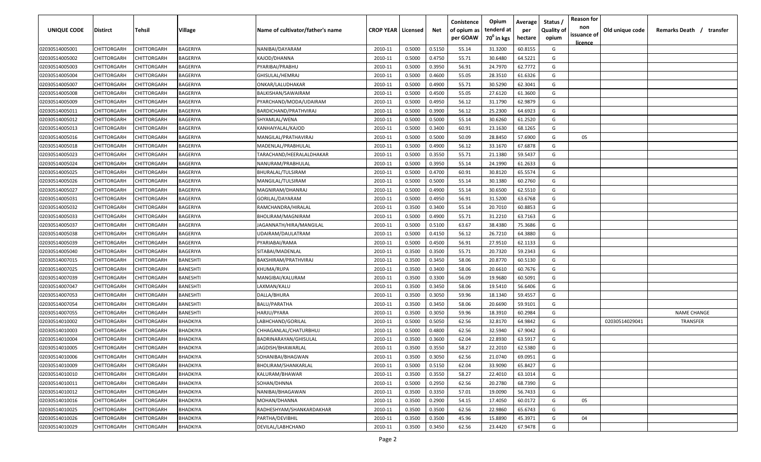| <b>UNIQUE CODE</b> | Distirct           | Tehsil      | Village         | Name of cultivator/father's name | <b>CROP YEAR   Licensed</b> |        | Net    | Conistence<br>of opium as | Opium<br>tenderd at    | Average<br>per | Status /<br><b>Quality of</b> | <b>Reason for</b><br>non      | Old unique code | Remarks Death / transfer |
|--------------------|--------------------|-------------|-----------------|----------------------------------|-----------------------------|--------|--------|---------------------------|------------------------|----------------|-------------------------------|-------------------------------|-----------------|--------------------------|
|                    |                    |             |                 |                                  |                             |        |        | per GOAW                  | 70 <sup>0</sup> in kgs | hectare        | opium                         | issuance of<br><u>licence</u> |                 |                          |
| 02030514005001     | CHITTORGARH        | CHITTORGARH | BAGERIYA        | NANIBAI/DAYARAM                  | 2010-11                     | 0.5000 | 0.5150 | 55.14                     | 31.3200                | 60.8155        | G                             |                               |                 |                          |
| 02030514005002     | CHITTORGARH        | CHITTORGARH | BAGERIYA        | KAJOD/DHANNA                     | 2010-11                     | 0.5000 | 0.4750 | 55.71                     | 30.6480                | 64.5221        | G                             |                               |                 |                          |
| 02030514005003     | CHITTORGARH        | CHITTORGARH | BAGERIYA        | PYARIBAI/PRABHU                  | 2010-11                     | 0.5000 | 0.3950 | 56.91                     | 24.7970                | 62.7772        | G                             |                               |                 |                          |
| 02030514005004     | CHITTORGARH        | CHITTORGARH | BAGERIYA        | GHISULAL/HEMRAJ                  | 2010-11                     | 0.5000 | 0.4600 | 55.05                     | 28.3510                | 61.6326        | G                             |                               |                 |                          |
| 02030514005007     | CHITTORGARH        | CHITTORGARH | BAGERIYA        | ONKAR/LALUDHAKAR                 | 2010-11                     | 0.5000 | 0.4900 | 55.71                     | 30.5290                | 62.3041        | G                             |                               |                 |                          |
| 02030514005008     | CHITTORGARH        | CHITTORGARH | BAGERIYA        | BALKISHAN/SAWAIRAM               | 2010-11                     | 0.5000 | 0.4500 | 55.05                     | 27.6120                | 61.3600        | G                             |                               |                 |                          |
| 02030514005009     | CHITTORGARH        | CHITTORGARH | BAGERIYA        | PYARCHAND/MODA/UDAIRAM           | 2010-11                     | 0.5000 | 0.4950 | 56.12                     | 31.1790                | 62.9879        | G                             |                               |                 |                          |
| 02030514005011     | CHITTORGARH        | CHITTORGARH | BAGERIYA        | BARDICHAND/PRATHVIRAJ            | 2010-11                     | 0.5000 | 0.3900 | 56.12                     | 25.2300                | 64.6923        | G                             |                               |                 |                          |
| 02030514005012     | CHITTORGARH        | CHITTORGARH | BAGERIYA        | SHYAMLAL/WENA                    | 2010-11                     | 0.5000 | 0.5000 | 55.14                     | 30.6260                | 61.2520        | G                             |                               |                 |                          |
| 02030514005013     | CHITTORGARH        | CHITTORGARH | BAGERIYA        | KANHAIYALAL/KAJOD                | 2010-11                     | 0.5000 | 0.3400 | 60.91                     | 23.1630                | 68.1265        | G                             |                               |                 |                          |
| 02030514005016     | CHITTORGARH        | CHITTORGARH | BAGERIYA        | MANGILAL/PRATHAVIRAJ             | 2010-11                     | 0.5000 | 0.5000 | 50.09                     | 28.8450                | 57.6900        | G                             | 05                            |                 |                          |
| 02030514005018     | CHITTORGARH        | CHITTORGARH | BAGERIYA        | MADENLAL/PRABHULAL               | 2010-11                     | 0.5000 | 0.4900 | 56.12                     | 33.1670                | 67.6878        | G                             |                               |                 |                          |
| 02030514005023     | CHITTORGARH        | CHITTORGARH | BAGERIYA        | TARACHAND/HEERALALDHAKAR         | 2010-11                     | 0.5000 | 0.3550 | 55.71                     | 21.1380                | 59.5437        | G                             |                               |                 |                          |
| 02030514005024     | CHITTORGARH        | CHITTORGARH | BAGERIYA        | NANURAM/PRABHULAL                | 2010-11                     | 0.5000 | 0.3950 | 55.14                     | 24.1990                | 61.2633        | G                             |                               |                 |                          |
| 02030514005025     | CHITTORGARH        | CHITTORGARH | BAGERIYA        | BHURALAL/TULSIRAM                | 2010-11                     | 0.5000 | 0.4700 | 60.91                     | 30.8120                | 65.5574        | G                             |                               |                 |                          |
| 02030514005026     | CHITTORGARH        | CHITTORGARH | BAGERIYA        | MANGILAL/TULSIRAM                | 2010-11                     | 0.5000 | 0.5000 | 55.14                     | 30.1380                | 60.2760        | G                             |                               |                 |                          |
| 02030514005027     | CHITTORGARH        | CHITTORGARH | BAGERIYA        | MAGNIRAM/DHANRAJ                 | 2010-11                     | 0.5000 | 0.4900 | 55.14                     | 30.6500                | 62.5510        | G                             |                               |                 |                          |
| 02030514005031     | CHITTORGARH        | CHITTORGARH | BAGERIYA        | GORILAL/DAYARAM                  | 2010-11                     | 0.5000 | 0.4950 | 56.91                     | 31.5200                | 63.6768        | G                             |                               |                 |                          |
| 02030514005032     | <b>CHITTORGARH</b> | CHITTORGARH | BAGERIYA        | RAMCHANDRA/HIRALAL               | 2010-11                     | 0.3500 | 0.3400 | 55.14                     | 20.7010                | 60.8853        | G                             |                               |                 |                          |
| 02030514005033     | CHITTORGARH        | CHITTORGARH | BAGERIYA        | BHOLIRAM/MAGNIRAM                | 2010-11                     | 0.5000 | 0.4900 | 55.71                     | 31.2210                | 63.7163        | G                             |                               |                 |                          |
| 02030514005037     | CHITTORGARH        | CHITTORGARH | BAGERIYA        | JAGANNATH/HIRA/MANGILAL          | 2010-11                     | 0.5000 | 0.5100 | 63.67                     | 38.4380                | 75.3686        | G                             |                               |                 |                          |
| 02030514005038     | CHITTORGARH        | CHITTORGARH | BAGERIYA        | UDAIRAM/DAULATRAM                | 2010-11                     | 0.5000 | 0.4150 | 56.12                     | 26.7210                | 64.3880        | G                             |                               |                 |                          |
| 02030514005039     | CHITTORGARH        | CHITTORGARH | BAGERIYA        | PYARIABAI/RAMA                   | 2010-11                     | 0.5000 | 0.4500 | 56.91                     | 27.9510                | 62.1133        | G                             |                               |                 |                          |
| 02030514005040     | CHITTORGARH        | CHITTORGARH | BAGERIYA        | SITABAI/MADENLAL                 | 2010-11                     | 0.3500 | 0.3500 | 55.71                     | 20.7320                | 59.2343        | G                             |                               |                 |                          |
| 02030514007015     | CHITTORGARH        | CHITTORGARH | BANESHTI        | BAKSHIRAM/PRATHVIRAJ             | 2010-11                     | 0.3500 | 0.3450 | 58.06                     | 20.8770                | 60.5130        | G                             |                               |                 |                          |
| 02030514007025     | CHITTORGARH        | CHITTORGARH | BANESHTI        | KHUMA/RUPA                       | 2010-11                     | 0.3500 | 0.3400 | 58.06                     | 20.6610                | 60.7676        | G                             |                               |                 |                          |
| 02030514007039     | CHITTORGARH        | CHITTORGARH | BANESHTI        | MANGIBAI/KALURAM                 | 2010-11                     | 0.3500 | 0.3300 | 56.09                     | 19.9680                | 60.5091        | G                             |                               |                 |                          |
| 02030514007047     | CHITTORGARH        | CHITTORGARH | BANESHTI        | LAXMAN/KALU                      | 2010-11                     | 0.3500 | 0.3450 | 58.06                     | 19.5410                | 56.6406        | G                             |                               |                 |                          |
| 02030514007053     | CHITTORGARH        | CHITTORGARH | BANESHTI        | DALLA/BHURA                      | 2010-11                     | 0.3500 | 0.3050 | 59.96                     | 18.1340                | 59.4557        | G                             |                               |                 |                          |
| 02030514007054     | CHITTORGARH        | CHITTORGARH | BANESHTI        | BALU/PARATHA                     | 2010-11                     | 0.3500 | 0.3450 | 58.06                     | 20.6690                | 59.9101        | G                             |                               |                 |                          |
| 02030514007055     | CHITTORGARH        | CHITTORGARH | BANESHTI        | HARJU/PYARA                      | 2010-11                     | 0.3500 | 0.3050 | 59.96                     | 18.3910                | 60.2984        | G                             |                               |                 | <b>NAME CHANGE</b>       |
| 02030514010002     | CHITTORGARH        | CHITTORGARH | BHADKIYA        | LABHCHAND/GORILAL                | 2010-11                     | 0.5000 | 0.5050 | 62.56                     | 32.8170                | 64.9842        | G                             |                               | 02030514029041  | <b>TRANSFER</b>          |
| 02030514010003     | CHITTORGARH        | CHITTORGARH | BHADKIYA        | CHHAGANLAL/CHATURBHUJ            | 2010-11                     | 0.5000 | 0.4800 | 62.56                     | 32.5940                | 67.9042        | G                             |                               |                 |                          |
| 02030514010004     | CHITTORGARH        | CHITTORGARH | BHADKIYA        | BADRINARAYAN/GHISULAL            | 2010-11                     | 0.3500 | 0.3600 | 62.04                     | 22.8930                | 63.5917        | G                             |                               |                 |                          |
| 02030514010005     | CHITTORGARH        | CHITTORGARH | <b>BHADKIYA</b> | JAGDISH/BHAWARLAL                | 2010-11                     | 0.3500 | 0.3550 | 58.27                     | 22.2010                | 62.5380        | G                             |                               |                 |                          |
| 02030514010006     | <b>CHITTORGARH</b> | CHITTORGARH | BHADKIYA        | SOHANIBAI/BHAGWAN                | 2010-11                     | 0.3500 | 0.3050 | 62.56                     | 21.0740                | 69.0951        | G                             |                               |                 |                          |
| 02030514010009     | <b>CHITTORGARH</b> | CHITTORGARH | BHADKIYA        | BHOLIRAM/SHANKARLAL              | 2010-11                     | 0.5000 | 0.5150 | 62.04                     | 33.9090                | 65.8427        | G                             |                               |                 |                          |
| 02030514010010     | CHITTORGARH        | CHITTORGARH | BHADKIYA        | KALURAM/BHAWAR                   | 2010-11                     | 0.3500 | 0.3550 | 58.27                     | 22.4010                | 63.1014        | G                             |                               |                 |                          |
| 02030514010011     | <b>CHITTORGARH</b> | CHITTORGARH | BHADKIYA        | SOHAN/DHNNA                      | 2010-11                     | 0.5000 | 0.2950 | 62.56                     | 20.2780                | 68.7390        | G                             |                               |                 |                          |
| 02030514010012     | CHITTORGARH        | CHITTORGARH | <b>BHADKIYA</b> | NANIBAI/BHAGAWAN                 | 2010-11                     | 0.3500 | 0.3350 | 57.01                     | 19.0090                | 56.7433        | G                             |                               |                 |                          |
| 02030514010016     | CHITTORGARH        | CHITTORGARH | BHADKIYA        | MOHAN/DHANNA                     | 2010-11                     | 0.3500 | 0.2900 | 54.15                     | 17.4050                | 60.0172        | G                             | 05                            |                 |                          |
| 02030514010025     | CHITTORGARH        | CHITTORGARH | BHADKIYA        | RADHESHYAM/SHANKARDAKHAR         | 2010-11                     | 0.3500 | 0.3500 | 62.56                     | 22.9860                | 65.6743        | G                             |                               |                 |                          |
| 02030514010026     | CHITTORGARH        | CHITTORGARH | <b>BHADKIYA</b> | PARTHA/DEVIBHIL                  | 2010-11                     | 0.3500 | 0.3500 | 45.96                     | 15.8890                | 45.3971        | G                             | 04                            |                 |                          |
| 02030514010029     | <b>CHITTORGARH</b> | CHITTORGARH | BHADKIYA        | DEVILAL/LABHCHAND                | 2010-11                     | 0.3500 | 0.3450 | 62.56                     | 23.4420                | 67.9478        | G                             |                               |                 |                          |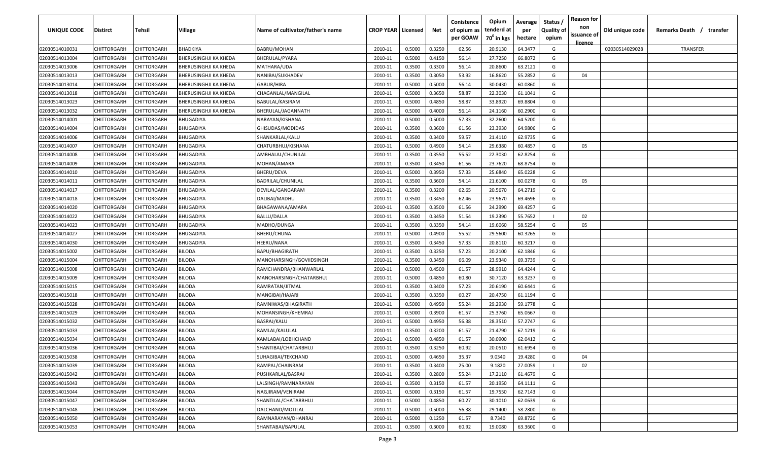| <b>UNIQUE CODE</b> | <b>Distirct</b>    | <b>Tehsil</b>      | Village                      | Name of cultivator/father's name | <b>CROP YEAR   Licensed</b> |        | Net    | Conistence<br>of opium as<br>per GOAW | Opium<br>tenderd at<br>70 <sup>0</sup> in kgs | Average<br>per | Status /<br><b>Quality of</b> | <b>Reason for</b><br>non<br>issuance of | Old unique code | Remarks Death /<br>transfer |
|--------------------|--------------------|--------------------|------------------------------|----------------------------------|-----------------------------|--------|--------|---------------------------------------|-----------------------------------------------|----------------|-------------------------------|-----------------------------------------|-----------------|-----------------------------|
|                    |                    |                    |                              |                                  |                             |        |        |                                       |                                               | hectare        | opium                         | <u>licence</u>                          |                 |                             |
| 02030514010031     | CHITTORGARH        | CHITTORGARH        | BHADKIYA                     | <b>BABRU/MOHAN</b>               | 2010-11                     | 0.5000 | 0.3250 | 62.56                                 | 20.9130                                       | 64.3477        | G                             |                                         | 02030514029028  | TRANSFER                    |
| 02030514013004     | CHITTORGARH        | CHITTORGARH        | BHERUSINGHJI KA KHEDA        | BHERULAL/PYARA                   | 2010-11                     | 0.5000 | 0.4150 | 56.14                                 | 27.7250                                       | 66.8072        | G                             |                                         |                 |                             |
| 02030514013006     | CHITTORGARH        | CHITTORGARH        | BHERUSINGHJI KA KHEDA        | MATHARA/UDA                      | 2010-11                     | 0.3500 | 0.3300 | 56.14                                 | 20.8600                                       | 63.2121        | G                             |                                         |                 |                             |
| 02030514013013     | CHITTORGARH        | CHITTORGARH        | BHERUSINGHJI KA KHEDA        | NANIBAI/SUKHADEV                 | 2010-11                     | 0.3500 | 0.3050 | 53.92                                 | 16.8620                                       | 55.2852        | G                             | 04                                      |                 |                             |
| 02030514013014     | CHITTORGARH        | CHITTORGARH        | BHERUSINGHJI KA KHEDA        | GABUR/HIRA                       | 2010-11                     | 0.5000 | 0.5000 | 56.14                                 | 30.0430                                       | 60.0860        | G                             |                                         |                 |                             |
| 02030514013018     | CHITTORGARH        | CHITTORGARH        | BHERUSINGHJI KA KHEDA        | CHAGANLAL/MANGILAL               | 2010-11                     | 0.5000 | 0.3650 | 58.87                                 | 22.3030                                       | 61.1041        | G                             |                                         |                 |                             |
| 02030514013023     | CHITTORGARH        | CHITTORGARH        | <b>BHERUSINGHJI KA KHEDA</b> | BABULAL/KASIRAM                  | 2010-11                     | 0.5000 | 0.4850 | 58.87                                 | 33.8920                                       | 69.8804        | G                             |                                         |                 |                             |
| 02030514013032     | CHITTORGARH        | CHITTORGARF        | BHERUSINGHJI KA KHEDA        | BHERULAL/JAGANNATH               | 2010-11                     | 0.5000 | 0.4000 | 56.14                                 | 24.1160                                       | 60.2900        | G                             |                                         |                 |                             |
| 02030514014001     | CHITTORGARH        | CHITTORGARH        | <b>BHUGADIYA</b>             | NARAYAN/KISHANA                  | 2010-11                     | 0.5000 | 0.5000 | 57.33                                 | 32.2600                                       | 64.5200        | G                             |                                         |                 |                             |
| 02030514014004     | CHITTORGARH        | CHITTORGARH        | BHUGADIYA                    | GHISUDAS/MODIDAS                 | 2010-11                     | 0.3500 | 0.3600 | 61.56                                 | 23.3930                                       | 64.9806        | G                             |                                         |                 |                             |
| 02030514014006     | CHITTORGARH        | CHITTORGARH        | BHUGADIYA                    | SHANKARLAL/KALU                  | 2010-11                     | 0.3500 | 0.3400 | 59.57                                 | 21.4110                                       | 62.9735        | G                             |                                         |                 |                             |
| 02030514014007     | CHITTORGARH        | CHITTORGARH        | BHUGADIYA                    | CHATURBHUJ/KISHANA               | 2010-11                     | 0.5000 | 0.4900 | 54.14                                 | 29.6380                                       | 60.4857        | G                             | 05                                      |                 |                             |
| 02030514014008     | CHITTORGARH        | CHITTORGARH        | BHUGADIYA                    | AMBHALAL/CHUNILAL                | 2010-11                     | 0.3500 | 0.3550 | 55.52                                 | 22.3030                                       | 62.8254        | G                             |                                         |                 |                             |
| 02030514014009     | CHITTORGARH        | CHITTORGARH        | BHUGADIYA                    | MOHAN/AMARA                      | 2010-11                     | 0.3500 | 0.3450 | 61.56                                 | 23.7620                                       | 68.8754        | G                             |                                         |                 |                             |
| 02030514014010     | CHITTORGARH        | CHITTORGARH        | BHUGADIYA                    | BHERU/DEVA                       | 2010-11                     | 0.5000 | 0.3950 | 57.33                                 | 25.6840                                       | 65.0228        | G                             |                                         |                 |                             |
| 02030514014011     | CHITTORGARH        | CHITTORGARH        | BHUGADIYA                    | BADRILAL/CHUNILAL                | 2010-11                     | 0.3500 | 0.3600 | 54.14                                 | 21.6100                                       | 60.0278        | G                             | 05                                      |                 |                             |
| 02030514014017     | CHITTORGARH        | CHITTORGARF        | <b>BHUGADIYA</b>             | DEVILAL/GANGARAM                 | 2010-11                     | 0.3500 | 0.3200 | 62.65                                 | 20.5670                                       | 64.2719        | G                             |                                         |                 |                             |
| 02030514014018     | CHITTORGARH        | CHITTORGARH        | <b>BHUGADIYA</b>             | DALIBAI/MADHU                    | 2010-11                     | 0.3500 | 0.3450 | 62.46                                 | 23.9670                                       | 69.4696        | G                             |                                         |                 |                             |
| 02030514014020     | CHITTORGARH        | CHITTORGARH        | <b>BHUGADIYA</b>             | BHAGAWANA/AMARA                  | 2010-11                     | 0.3500 | 0.3500 | 61.56                                 | 24.2990                                       | 69.4257        | G                             |                                         |                 |                             |
| 02030514014022     | CHITTORGARH        | CHITTORGARH        | <b>BHUGADIYA</b>             | <b>BALLU/DALLA</b>               | 2010-11                     | 0.3500 | 0.3450 | 51.54                                 | 19.2390                                       | 55.7652        |                               | 02                                      |                 |                             |
| 02030514014023     | CHITTORGARH        | CHITTORGARH        | BHUGADIYA                    | MADHO/DUNGA                      | 2010-11                     | 0.3500 | 0.3350 | 54.14                                 | 19.6060                                       | 58.5254        | G                             | 05                                      |                 |                             |
| 02030514014027     | CHITTORGARH        | CHITTORGARH        | BHUGADIYA                    | BHERU/CHUNA                      | 2010-11                     | 0.5000 | 0.4900 | 55.52                                 | 29.5600                                       | 60.3265        | G                             |                                         |                 |                             |
| 02030514014030     | CHITTORGARH        | CHITTORGARH        | BHUGADIYA                    | HEERU/NANA                       | 2010-11                     | 0.3500 | 0.3450 | 57.33                                 | 20.8110                                       | 60.3217        | G                             |                                         |                 |                             |
| 02030514015002     | CHITTORGARH        | CHITTORGARH        | BILODA                       | BAPU/BHAGIRATH                   | 2010-11                     | 0.3500 | 0.3250 | 57.23                                 | 20.2100                                       | 62.1846        | G                             |                                         |                 |                             |
| 02030514015004     | CHITTORGARH        | CHITTORGARH        | BILODA                       | MANOHARSINGH/GOVIIDSINGH         | 2010-11                     | 0.3500 | 0.3450 | 66.09                                 | 23.9340                                       | 69.3739        | G                             |                                         |                 |                             |
| 02030514015008     | CHITTORGARH        | CHITTORGARH        | BILODA                       | RAMCHANDRA/BHANWARLAL            | 2010-11                     | 0.5000 | 0.4500 | 61.57                                 | 28.9910                                       | 64.4244        | G                             |                                         |                 |                             |
| 02030514015009     | CHITTORGARH        | CHITTORGARH        | BILODA                       | MANOHARSINGH/CHATARBHUJ          | 2010-11                     | 0.5000 | 0.4850 | 60.80                                 | 30.7120                                       | 63.3237        | G                             |                                         |                 |                             |
| 02030514015015     | CHITTORGARH        | CHITTORGARH        | BILODA                       | RAMRATAN/JITMAL                  | 2010-11                     | 0.3500 | 0.3400 | 57.23                                 | 20.6190                                       | 60.6441        | G                             |                                         |                 |                             |
| 02030514015018     | CHITTORGARH        | CHITTORGARH        | BILODA                       | MANGIBAI/HAJARI                  | 2010-11                     | 0.3500 | 0.3350 | 60.27                                 | 20.4750                                       | 61.1194        | G                             |                                         |                 |                             |
| 02030514015028     | CHITTORGARH        | CHITTORGARH        | BILODA                       | RAMNIWAS/BHAGIRATH               | 2010-11                     | 0.5000 | 0.4950 | 55.24                                 | 29.2930                                       | 59.1778        | G                             |                                         |                 |                             |
| 02030514015029     | CHITTORGARH        | CHITTORGARH        | BILODA                       | MOHANSINGH/KHEMRAJ               | 2010-11                     | 0.5000 | 0.3900 | 61.57                                 | 25.3760                                       | 65.0667        | G                             |                                         |                 |                             |
| 02030514015032     | CHITTORGARH        | CHITTORGARH        | BILODA                       | BASRAJ/KALU                      | 2010-11                     | 0.5000 | 0.4950 | 56.38                                 | 28.3510                                       | 57.2747        | G                             |                                         |                 |                             |
| 02030514015033     | CHITTORGARH        | CHITTORGARH        | BILODA                       | RAMLAL/KALULAL                   | 2010-11                     | 0.3500 | 0.3200 | 61.57                                 | 21.4790                                       | 67.1219        | G                             |                                         |                 |                             |
| 02030514015034     | CHITTORGARH        | CHITTORGARH        | BILODA                       | KAMLABAI/LOBHCHAND               | 2010-11                     | 0.5000 | 0.4850 | 61.57                                 | 30.0900                                       | 62.0412        | G                             |                                         |                 |                             |
| 02030514015036     | <b>CHITTORGARH</b> | CHITTORGARH        | BILODA                       | SHANTIBAI/CHATARBHUJ             | 2010-11                     | 0.3500 | 0.3250 | 60.92                                 | 20.0510                                       | 61.6954        | G                             |                                         |                 |                             |
| 02030514015038     | <b>CHITTORGARH</b> | <b>CHITTORGARH</b> | <b>BILODA</b>                | SUHAGIBAI/TEKCHAND               | 2010-11                     | 0.5000 | 0.4650 | 35.37                                 | 9.0340                                        | 19.4280        | G                             | 04                                      |                 |                             |
| 02030514015039     | <b>CHITTORGARH</b> | CHITTORGARH        | <b>BILODA</b>                | RAMPAL/CHAINRAM                  | 2010-11                     | 0.3500 | 0.3400 | 25.00                                 | 9.1820                                        | 27.0059        |                               | 02                                      |                 |                             |
| 02030514015042     | CHITTORGARH        | CHITTORGARH        | BILODA                       | PUSHKARLAL/BASRAJ                | 2010-11                     | 0.3500 | 0.2800 | 55.24                                 | 17.2110                                       | 61.4679        | G                             |                                         |                 |                             |
| 02030514015043     | CHITTORGARH        | <b>CHITTORGARH</b> | <b>BILODA</b>                | LALSINGH/RAMNARAYAN              | 2010-11                     | 0.3500 | 0.3150 | 61.57                                 | 20.1950                                       | 64.1111        | G                             |                                         |                 |                             |
| 02030514015044     | CHITTORGARH        | CHITTORGARH        | <b>BILODA</b>                | NAGJIRAM/VENIRAM                 | 2010-11                     | 0.5000 | 0.3150 | 61.57                                 | 19.7550                                       | 62.7143        | G                             |                                         |                 |                             |
| 02030514015047     | CHITTORGARH        | CHITTORGARH        | <b>BILODA</b>                | SHANTILAL/CHATARBHUJ             | 2010-11                     | 0.5000 | 0.4850 | 60.27                                 | 30.1010                                       | 62.0639        | G                             |                                         |                 |                             |
| 02030514015048     | CHITTORGARH        | CHITTORGARH        | <b>BILODA</b>                | DALCHAND/MOTILAL                 | 2010-11                     | 0.5000 | 0.5000 | 56.38                                 | 29.1400                                       | 58.2800        | G                             |                                         |                 |                             |
| 02030514015050     | CHITTORGARH        | CHITTORGARH        | <b>BILODA</b>                | RAMNARAYAN/DHANRAJ               | 2010-11                     | 0.5000 | 0.1250 | 61.57                                 | 8.7340                                        | 69.8720        | G                             |                                         |                 |                             |
| 02030514015053     | <b>CHITTORGARH</b> | CHITTORGARH        | BILODA                       | SHANTABAI/BAPULAL                | 2010-11                     | 0.3500 | 0.3000 | 60.92                                 | 19.0080                                       | 63.3600        | G                             |                                         |                 |                             |
|                    |                    |                    |                              |                                  |                             |        |        |                                       |                                               |                |                               |                                         |                 |                             |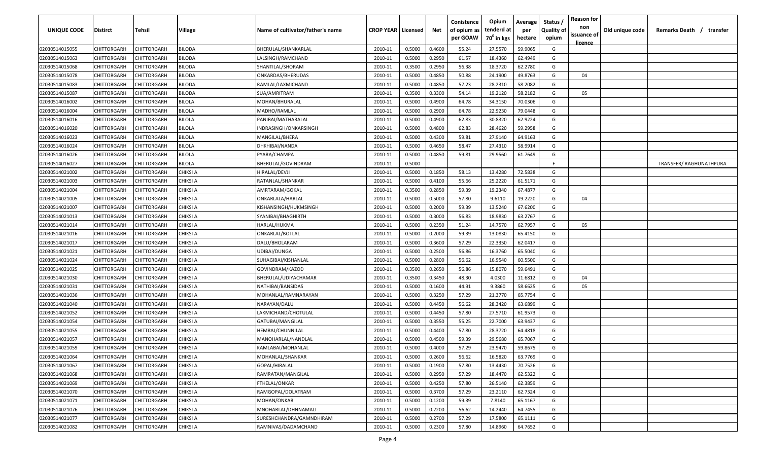| <b>UNIQUE CODE</b> | Distirct           | Tehsil             | Village         | Name of cultivator/father's name | <b>CROP YEAR   Licensed</b> |        | Net    | Conistence<br>of opium as | Opium<br>tenderd at    | Average<br>per | Status /<br><b>Quality of</b> | <b>Reason for</b><br>non<br>issuance of | Old unique code | Remarks Death / transfer |
|--------------------|--------------------|--------------------|-----------------|----------------------------------|-----------------------------|--------|--------|---------------------------|------------------------|----------------|-------------------------------|-----------------------------------------|-----------------|--------------------------|
|                    |                    |                    |                 |                                  |                             |        |        | per GOAW                  | 70 <sup>0</sup> in kgs | hectare        | opium                         | <u>licence</u>                          |                 |                          |
| 02030514015055     | CHITTORGARH        | CHITTORGARH        | <b>BILODA</b>   | BHERULAL/SHANKARLAL              | 2010-11                     | 0.5000 | 0.4600 | 55.24                     | 27.5570                | 59.9065        | G                             |                                         |                 |                          |
| 02030514015063     | CHITTORGARH        | CHITTORGARH        | BILODA          | LALSINGH/RAMCHAND                | 2010-11                     | 0.5000 | 0.2950 | 61.57                     | 18.4360                | 62.4949        | G                             |                                         |                 |                          |
| 02030514015068     | CHITTORGARH        | CHITTORGARH        | BILODA          | SHANTILAL/SHORAM                 | 2010-11                     | 0.3500 | 0.2950 | 56.38                     | 18.3720                | 62.2780        | G                             |                                         |                 |                          |
| 02030514015078     | CHITTORGARH        | CHITTORGARH        | BILODA          | ONKARDAS/BHERUDAS                | 2010-11                     | 0.5000 | 0.4850 | 50.88                     | 24.1900                | 49.8763        | G                             | 04                                      |                 |                          |
| 02030514015083     | CHITTORGARH        | CHITTORGARH        | BILODA          | RAMLAL/LAXMICHAND                | 2010-11                     | 0.5000 | 0.4850 | 57.23                     | 28.2310                | 58.2082        | G                             |                                         |                 |                          |
| 02030514015087     | CHITTORGARH        | CHITTORGARH        | BILODA          | SUA/AMRITRAM                     | 2010-11                     | 0.3500 | 0.3300 | 54.14                     | 19.2120                | 58.2182        | G                             | 05                                      |                 |                          |
| 02030514016002     | CHITTORGARH        | CHITTORGARH        | BILOLA          | MOHAN/BHURALAL                   | 2010-11                     | 0.5000 | 0.4900 | 64.78                     | 34.3150                | 70.0306        | G                             |                                         |                 |                          |
| 02030514016004     | CHITTORGARH        | CHITTORGARH        | <b>BILOLA</b>   | MADHO/RAMLAL                     | 2010-11                     | 0.5000 | 0.2900 | 64.78                     | 22.9230                | 79.0448        | G                             |                                         |                 |                          |
| 02030514016016     | CHITTORGARH        | CHITTORGARH        | BILOLA          | PANIBAI/MATHARALAL               | 2010-11                     | 0.5000 | 0.4900 | 62.83                     | 30.8320                | 62.9224        | G                             |                                         |                 |                          |
| 02030514016020     | CHITTORGARH        | CHITTORGARH        | BILOLA          | INDRASINGH/ONKARSINGH            | 2010-11                     | 0.5000 | 0.4800 | 62.83                     | 28.4620                | 59.2958        | G                             |                                         |                 |                          |
| 02030514016023     | CHITTORGARH        | CHITTORGARH        | BILOLA          | MANGILAL/BHERA                   | 2010-11                     | 0.5000 | 0.4300 | 59.81                     | 27.9140                | 64.9163        | G                             |                                         |                 |                          |
| 02030514016024     | CHITTORGARH        | CHITTORGARH        | BILOLA          | DHKHIBAI/NANDA                   | 2010-11                     | 0.5000 | 0.4650 | 58.47                     | 27.4310                | 58.9914        | G                             |                                         |                 |                          |
| 02030514016026     | CHITTORGARH        | CHITTORGARH        | BILOLA          | PYARA/CHAMPA                     | 2010-11                     | 0.5000 | 0.4850 | 59.81                     | 29.9560                | 61.7649        | G                             |                                         |                 |                          |
| 02030514016027     | CHITTORGARH        | CHITTORGARH        | BILOLA          | BHERULAL/GOVINDRAM               | 2010-11                     | 0.5000 |        |                           |                        |                | F                             |                                         |                 | TRANSFER/ RAGHUNATHPURA  |
| 02030514021002     | CHITTORGARH        | CHITTORGARH        | CHIKSI A        | HIRALAL/DEVJI                    | 2010-11                     | 0.5000 | 0.1850 | 58.13                     | 13.4280                | 72.5838        | G                             |                                         |                 |                          |
| 02030514021003     | CHITTORGARH        | CHITTORGARH        | CHIKSI A        | RATANLAL/SHANKAR                 | 2010-11                     | 0.5000 | 0.4100 | 55.66                     | 25.2220                | 61.5171        | G                             |                                         |                 |                          |
| 02030514021004     | CHITTORGARH        | CHITTORGARH        | CHIKSI A        | AMRTARAM/GOKAL                   | 2010-11                     | 0.3500 | 0.2850 | 59.39                     | 19.2340                | 67.4877        | G                             |                                         |                 |                          |
| 02030514021005     | CHITTORGARH        | CHITTORGARH        | CHIKSI A        | ONKARLALA/HARLAL                 | 2010-11                     | 0.5000 | 0.5000 | 57.80                     | 9.6110                 | 19.2220        | G                             | 04                                      |                 |                          |
| 02030514021007     | CHITTORGARH        | CHITTORGARH        | CHIKSI A        | KISHANSINGH/HUKMSINGH            | 2010-11                     | 0.5000 | 0.2000 | 59.39                     | 13.5240                | 67.6200        | G                             |                                         |                 |                          |
| 02030514021013     | CHITTORGARH        | CHITTORGARH        | CHIKSI A        | SYANIBAI/BHAGHIRTH               | 2010-11                     | 0.5000 | 0.3000 | 56.83                     | 18.9830                | 63.2767        | G                             |                                         |                 |                          |
| 02030514021014     | CHITTORGARH        | CHITTORGARH        | <b>CHIKSI A</b> | HARLAL/HUKMA                     | 2010-11                     | 0.5000 | 0.2350 | 51.24                     | 14.7570                | 62.7957        | G                             | 05                                      |                 |                          |
| 02030514021016     | CHITTORGARH        | CHITTORGARH        | <b>CHIKSI A</b> | ONKARLAL/BOTLAL                  | 2010-11                     | 0.5000 | 0.2000 | 59.39                     | 13.0830                | 65.4150        | G                             |                                         |                 |                          |
| 02030514021017     | CHITTORGARH        | CHITTORGARH        | CHIKSI A        | DALU/BHOLARAM                    | 2010-11                     | 0.5000 | 0.3600 | 57.29                     | 22.3350                | 62.0417        | G                             |                                         |                 |                          |
| 02030514021021     | CHITTORGARH        | CHITTORGARH        | CHIKSI A        | UDIBAI/DUNGA                     | 2010-11                     | 0.5000 | 0.2500 | 56.86                     | 16.3760                | 65.5040        | G                             |                                         |                 |                          |
| 02030514021024     | CHITTORGARH        | CHITTORGARH        | CHIKSI A        | SUHAGIBAI/KISHANLAL              | 2010-11                     | 0.5000 | 0.2800 | 56.62                     | 16.9540                | 60.5500        | G                             |                                         |                 |                          |
| 02030514021025     | CHITTORGARH        | CHITTORGARH        | CHIKSI A        | GOVINDRAM/KAZOD                  | 2010-11                     | 0.3500 | 0.2650 | 56.86                     | 15.8070                | 59.6491        | G                             |                                         |                 |                          |
| 02030514021030     | CHITTORGARH        | CHITTORGARH        | CHIKSI A        | BHERULAL/UDIYACHAMAR             | 2010-11                     | 0.3500 | 0.3450 | 48.30                     | 4.0300                 | 11.6812        | G                             | 04                                      |                 |                          |
| 02030514021031     | CHITTORGARH        | CHITTORGARH        | CHIKSI A        | NATHIBAI/BANSIDAS                | 2010-11                     | 0.5000 | 0.1600 | 44.91                     | 9.3860                 | 58.6625        | G                             | 05                                      |                 |                          |
| 02030514021036     | CHITTORGARH        | CHITTORGARH        | CHIKSI A        | MOHANLAL/RAMNARAYAN              | 2010-11                     | 0.5000 | 0.3250 | 57.29                     | 21.3770                | 65.7754        | G                             |                                         |                 |                          |
| 02030514021040     | CHITTORGARH        | CHITTORGARH        | CHIKSI A        | NARAYAN/DALU                     | 2010-11                     | 0.5000 | 0.4450 | 56.62                     | 28.3420                | 63.6899        | G                             |                                         |                 |                          |
| 02030514021052     | CHITTORGARH        | CHITTORGARH        | CHIKSI A        | LAKMICHAND/CHOTULAL              | 2010-11                     | 0.5000 | 0.4450 | 57.80                     | 27.5710                | 61.9573        | G                             |                                         |                 |                          |
| 02030514021054     | CHITTORGARH        | CHITTORGARH        | CHIKSI A        | GATUBAI/MANGILAL                 | 2010-11                     | 0.5000 | 0.3550 | 55.25                     | 22.7000                | 63.9437        | G                             |                                         |                 |                          |
| 02030514021055     | CHITTORGARH        | CHITTORGARH        | CHIKSI A        | HEMRAJ/CHUNNILAL                 | 2010-11                     | 0.5000 | 0.4400 | 57.80                     | 28.3720                | 64.4818        | G                             |                                         |                 |                          |
| 02030514021057     | CHITTORGARH        | CHITTORGARH        | <b>CHIKSI A</b> | MANOHARLAL/NANDLAL               | 2010-11                     | 0.5000 | 0.4500 | 59.39                     | 29.5680                | 65.7067        | G                             |                                         |                 |                          |
| 02030514021059     | CHITTORGARH        | CHITTORGARH        | CHIKSI A        | KAMLABAI/MOHANLAL                | 2010-11                     | 0.5000 | 0.4000 | 57.29                     | 23.9470                | 59.8675        | G                             |                                         |                 |                          |
| 02030514021064     | <b>CHITTORGARH</b> | <b>CHITTORGARH</b> | <b>CHIKSI A</b> | MOHANLAL/SHANKAR                 | 2010-11                     | 0.5000 | 0.2600 | 56.62                     | 16.5820                | 63.7769        | G                             |                                         |                 |                          |
| 02030514021067     | <b>CHITTORGARH</b> | CHITTORGARH        | <b>CHIKSI A</b> | GOPAL/HIRALAL                    | 2010-11                     | 0.5000 | 0.1900 | 57.80                     | 13.4430                | 70.7526        | G                             |                                         |                 |                          |
| 02030514021068     | <b>CHITTORGARH</b> | CHITTORGARH        | <b>CHIKSI A</b> | RAMRATAN/MANGILAL                | 2010-11                     | 0.5000 | 0.2950 | 57.29                     | 18.4470                | 62.5322        | G                             |                                         |                 |                          |
| 02030514021069     | CHITTORGARH        | CHITTORGARH        | <b>CHIKSI A</b> | FTHELAL/ONKAR                    | 2010-11                     | 0.5000 | 0.4250 | 57.80                     | 26.5140                | 62.3859        | G                             |                                         |                 |                          |
| 02030514021070     | CHITTORGARH        | CHITTORGARH        | CHIKSI A        | RAMGOPAL/DOLATRAM                | 2010-11                     | 0.5000 | 0.3700 | 57.29                     | 23.2110                | 62.7324        | G                             |                                         |                 |                          |
| 02030514021071     | CHITTORGARH        | CHITTORGARH        | CHIKSI A        | MOHAN/ONKAR                      | 2010-11                     | 0.5000 | 0.1200 | 59.39                     | 7.8140                 | 65.1167        | G                             |                                         |                 |                          |
| 02030514021076     | CHITTORGARH        | CHITTORGARH        | CHIKSI A        | MNOHARLAL/DHNNAMALI              | 2010-11                     | 0.5000 | 0.2200 | 56.62                     | 14.2440                | 64.7455        | G                             |                                         |                 |                          |
| 02030514021077     | CHITTORGARH        | CHITTORGARH        | CHIKSI A        | SURESHCHANDRA/GAMNDHIRAM         | 2010-11                     | 0.5000 | 0.2700 | 57.29                     | 17.5800                | 65.1111        | G                             |                                         |                 |                          |
| 02030514021082     | <b>CHITTORGARH</b> | CHITTORGARH        | CHIKSI A        | RAMNIVAS/DADAMCHAND              | 2010-11                     | 0.5000 | 0.2300 | 57.80                     | 14.8960                | 64.7652        | G                             |                                         |                 |                          |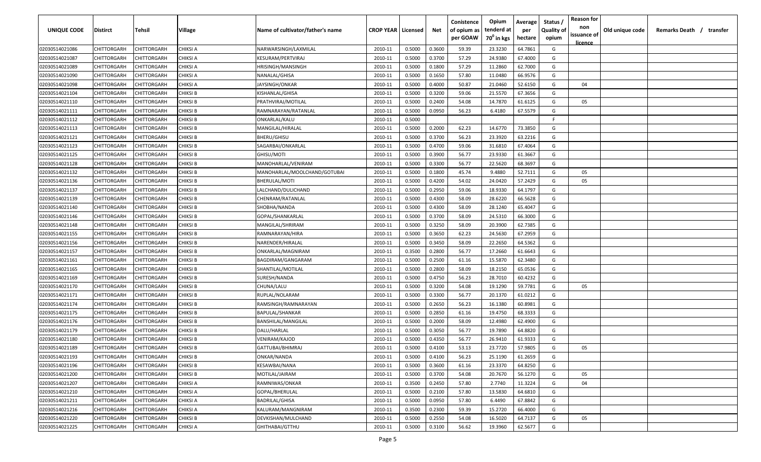| UNIQUE CODE    | Distirct           | Tehsil             | Village         | Name of cultivator/father's name | <b>CROP YEAR   Licensed</b> |        | Net    | Conistence<br>of opium as | Opium<br>tenderd at    | Average<br>per | Status /<br><b>Quality of</b> | <b>Reason for</b><br>non<br>issuance of | Old unique code | Remarks Death / transfer |
|----------------|--------------------|--------------------|-----------------|----------------------------------|-----------------------------|--------|--------|---------------------------|------------------------|----------------|-------------------------------|-----------------------------------------|-----------------|--------------------------|
|                |                    |                    |                 |                                  |                             |        |        | per GOAW                  | 70 <sup>0</sup> in kgs | hectare        | opium                         | <u>licence</u>                          |                 |                          |
| 02030514021086 | CHITTORGARH        | CHITTORGARH        | <b>CHIKSI A</b> | NARWARSINGH/LAXMILAL             | 2010-11                     | 0.5000 | 0.3600 | 59.39                     | 23.3230                | 64.7861        | G                             |                                         |                 |                          |
| 02030514021087 | CHITTORGARH        | CHITTORGARH        | CHIKSI A        | KESURAM/PERTVIRAJ                | 2010-11                     | 0.5000 | 0.3700 | 57.29                     | 24.9380                | 67.4000        | G                             |                                         |                 |                          |
| 02030514021089 | CHITTORGARH        | CHITTORGARH        | CHIKSI A        | HRISINGH/MANSINGH                | 2010-11                     | 0.5000 | 0.1800 | 57.29                     | 11.2860                | 62.7000        | G                             |                                         |                 |                          |
| 02030514021090 | CHITTORGARH        | CHITTORGARH        | CHIKSI A        | NANALAL/GHISA                    | 2010-11                     | 0.5000 | 0.1650 | 57.80                     | 11.0480                | 66.9576        | G                             |                                         |                 |                          |
| 02030514021098 | CHITTORGARH        | CHITTORGARH        | CHIKSI A        | JAYSINGH/ONKAR                   | 2010-11                     | 0.5000 | 0.4000 | 50.87                     | 21.0460                | 52.6150        | G                             | 04                                      |                 |                          |
| 02030514021104 | CHITTORGARH        | CHITTORGARH        | CHIKSI B        | KISHANLAL/GHISA                  | 2010-11                     | 0.5000 | 0.3200 | 59.06                     | 21.5570                | 67.3656        | G                             |                                         |                 |                          |
| 02030514021110 | CHITTORGARH        | CHITTORGARH        | CHIKSI B        | PRATHVIRAJ/MOTILAL               | 2010-11                     | 0.5000 | 0.2400 | 54.08                     | 14.7870                | 61.6125        | G                             | 05                                      |                 |                          |
| 02030514021111 | CHITTORGARH        | CHITTORGARH        | CHIKSI B        | RAMNARAYAN/RATANLAL              | 2010-11                     | 0.5000 | 0.0950 | 56.23                     | 6.4180                 | 67.5579        | G                             |                                         |                 |                          |
| 02030514021112 | CHITTORGARH        | CHITTORGARH        | CHIKSI B        | ONKARLAL/KALU                    | 2010-11                     | 0.5000 |        |                           |                        |                | -F.                           |                                         |                 |                          |
| 02030514021113 | CHITTORGARH        | CHITTORGARH        | CHIKSI B        | MANGILAL/HIRALAL                 | 2010-11                     | 0.5000 | 0.2000 | 62.23                     | 14.6770                | 73.3850        | G                             |                                         |                 |                          |
| 02030514021121 | CHITTORGARH        | CHITTORGARH        | CHIKSI B        | BHERU/GHISU                      | 2010-11                     | 0.5000 | 0.3700 | 56.23                     | 23.3920                | 63.2216        | G                             |                                         |                 |                          |
| 02030514021123 | CHITTORGARH        | CHITTORGARH        | CHIKSI B        | SAGARBAI/ONKARLAL                | 2010-11                     | 0.5000 | 0.4700 | 59.06                     | 31.6810                | 67.4064        | G                             |                                         |                 |                          |
| 02030514021125 | CHITTORGARH        | CHITTORGARH        | CHIKSI B        | GHISU/MOTI                       | 2010-11                     | 0.5000 | 0.3900 | 56.77                     | 23.9330                | 61.3667        | G                             |                                         |                 |                          |
| 02030514021128 | CHITTORGARH        | CHITTORGARH        | CHIKSI B        | MANOHARLAL/VENIRAM               | 2010-11                     | 0.5000 | 0.3300 | 56.77                     | 22.5620                | 68.3697        | G                             |                                         |                 |                          |
| 02030514021132 | CHITTORGARH        | CHITTORGARH        | <b>CHIKSI B</b> | MANOHARLAL/MOOLCHAND/GOTUBAI     | 2010-11                     | 0.5000 | 0.1800 | 45.74                     | 9.4880                 | 52.7111        | G                             | 05                                      |                 |                          |
| 02030514021136 | CHITTORGARH        | CHITTORGARH        | <b>CHIKSI B</b> | BHERULAL/MOTI                    | 2010-11                     | 0.5000 | 0.4200 | 54.02                     | 24.0420                | 57.2429        | G                             | 05                                      |                 |                          |
| 02030514021137 | CHITTORGARH        | CHITTORGARH        | <b>CHIKSI B</b> | LALCHAND/DULICHAND               | 2010-11                     | 0.5000 | 0.2950 | 59.06                     | 18.9330                | 64.1797        | G                             |                                         |                 |                          |
| 02030514021139 | CHITTORGARH        | CHITTORGARH        | <b>CHIKSI B</b> | CHENRAM/RATANLAL                 | 2010-11                     | 0.5000 | 0.4300 | 58.09                     | 28.6220                | 66.5628        | G                             |                                         |                 |                          |
| 02030514021140 | CHITTORGARH        | CHITTORGARH        | <b>CHIKSI B</b> | SHOBHA/NANDA                     | 2010-11                     | 0.5000 | 0.4300 | 58.09                     | 28.1240                | 65.4047        | G                             |                                         |                 |                          |
| 02030514021146 | CHITTORGARH        | CHITTORGARH        | <b>CHIKSI B</b> | GOPAL/SHANKARLAL                 | 2010-11                     | 0.5000 | 0.3700 | 58.09                     | 24.5310                | 66.3000        | G                             |                                         |                 |                          |
| 02030514021148 | CHITTORGARH        | CHITTORGARH        | <b>CHIKSI B</b> | MANGILAL/SHRIRAM                 | 2010-11                     | 0.5000 | 0.3250 | 58.09                     | 20.3900                | 62.7385        | G                             |                                         |                 |                          |
| 02030514021155 | CHITTORGARH        | CHITTORGARH        | <b>CHIKSI B</b> | RAMNARAYAN/HIRA                  | 2010-11                     | 0.5000 | 0.3650 | 62.23                     | 24.5630                | 67.2959        | G                             |                                         |                 |                          |
| 02030514021156 | CHITTORGARH        | CHITTORGARH        | CHIKSI B        | NARENDER/HIRALAL                 | 2010-11                     | 0.5000 | 0.3450 | 58.09                     | 22.2650                | 64.5362        | G                             |                                         |                 |                          |
| 02030514021157 | CHITTORGARH        | CHITTORGARH        | CHIKSI B        | ONKARLAL/MAGNIRAM                | 2010-11                     | 0.3500 | 0.2800 | 56.77                     | 17.2660                | 61.6643        | G                             |                                         |                 |                          |
| 02030514021161 | CHITTORGARH        | CHITTORGARH        | CHIKSI B        | BAGDIRAM/GANGARAM                | 2010-11                     | 0.5000 | 0.2500 | 61.16                     | 15.5870                | 62.3480        | G                             |                                         |                 |                          |
| 02030514021165 | CHITTORGARH        | CHITTORGARH        | CHIKSI B        | SHANTILAL/MOTILAL                | 2010-11                     | 0.5000 | 0.2800 | 58.09                     | 18.2150                | 65.0536        | G                             |                                         |                 |                          |
| 02030514021169 | CHITTORGARH        | CHITTORGARH        | CHIKSI B        | SURESH/NANDA                     | 2010-11                     | 0.5000 | 0.4750 | 56.23                     | 28.7010                | 60.4232        | G                             |                                         |                 |                          |
| 02030514021170 | CHITTORGARH        | CHITTORGARH        | CHIKSI B        | CHUNA/LALU                       | 2010-11                     | 0.5000 | 0.3200 | 54.08                     | 19.1290                | 59.7781        | G                             | 05                                      |                 |                          |
| 02030514021171 | CHITTORGARH        | CHITTORGARH        | CHIKSI B        | RUPLAL/NOLARAM                   | 2010-11                     | 0.5000 | 0.3300 | 56.77                     | 20.1370                | 61.0212        | G                             |                                         |                 |                          |
| 02030514021174 | CHITTORGARH        | CHITTORGARH        | CHIKSI B        | RAMSINGH/RAMNARAYAN              | 2010-11                     | 0.5000 | 0.2650 | 56.23                     | 16.1380                | 60.8981        | G                             |                                         |                 |                          |
| 02030514021175 | CHITTORGARH        | CHITTORGARH        | <b>CHIKSI B</b> | BAPULAL/SHANKAR                  | 2010-11                     | 0.5000 | 0.2850 | 61.16                     | 19.4750                | 68.3333        | G                             |                                         |                 |                          |
| 02030514021176 | CHITTORGARH        | CHITTORGARH        | <b>CHIKSI B</b> | BANSHILAL/MANGILAL               | 2010-11                     | 0.5000 | 0.2000 | 58.09                     | 12.4980                | 62.4900        | G                             |                                         |                 |                          |
| 02030514021179 | CHITTORGARH        | CHITTORGARH        | <b>CHIKSI B</b> | DALU/HARLAL                      | 2010-11                     | 0.5000 | 0.3050 | 56.77                     | 19.7890                | 64.8820        | G                             |                                         |                 |                          |
| 02030514021180 | CHITTORGARH        | CHITTORGARH        | <b>CHIKSI B</b> | VENIRAM/KAJOD                    | 2010-11                     | 0.5000 | 0.4350 | 56.77                     | 26.9410                | 61.9333        | G                             |                                         |                 |                          |
| 02030514021189 | CHITTORGARH        | CHITTORGARH        | <b>CHIKSI B</b> | GATTUBAI/BHIMRAJ                 | 2010-11                     | 0.5000 | 0.4100 | 53.13                     | 23.7720                | 57.9805        | G                             | 05                                      |                 |                          |
| 02030514021193 | <b>CHITTORGARH</b> | <b>CHITTORGARH</b> | <b>CHIKSI B</b> | ONKAR/NANDA                      | 2010-11                     | 0.5000 | 0.4100 | 56.23                     | 25.1190                | 61.2659        | G                             |                                         |                 |                          |
| 02030514021196 | <b>CHITTORGARH</b> | CHITTORGARH        | <b>CHIKSI B</b> | KESAWBAI/NANA                    | 2010-11                     | 0.5000 | 0.3600 | 61.16                     | 23.3370                | 64.8250        | G                             |                                         |                 |                          |
| 02030514021200 | <b>CHITTORGARH</b> | CHITTORGARH        | <b>CHIKSI B</b> | MOTILAL/JAIRAM                   | 2010-11                     | 0.5000 | 0.3700 | 54.08                     | 20.7670                | 56.1270        | G                             | 05                                      |                 |                          |
| 02030514021207 | <b>CHITTORGARH</b> | CHITTORGARH        | <b>CHIKSI A</b> | RAMNIWAS/ONKAR                   | 2010-11                     | 0.3500 | 0.2450 | 57.80                     | 2.7740                 | 11.3224        | G                             | 04                                      |                 |                          |
| 02030514021210 | CHITTORGARH        | CHITTORGARH        | CHIKSI A        | GOPAL/BHERULAL                   | 2010-11                     | 0.5000 | 0.2100 | 57.80                     | 13.5830                | 64.6810        | G                             |                                         |                 |                          |
| 02030514021211 | CHITTORGARH        | CHITTORGARH        | CHIKSI A        | <b>BADRILAL/GHISA</b>            | 2010-11                     | 0.5000 | 0.0950 | 57.80                     | 6.4490                 | 67.8842        | G                             |                                         |                 |                          |
| 02030514021216 | CHITTORGARH        | CHITTORGARH        | CHIKSI A        | KALURAM/MANGNIRAM                | 2010-11                     | 0.3500 | 0.2300 | 59.39                     | 15.2720                | 66.4000        | G                             |                                         |                 |                          |
| 02030514021220 | CHITTORGARH        | CHITTORGARH        | <b>CHIKSI B</b> | DEVKISHAN/MULCHAND               | 2010-11                     | 0.5000 | 0.2550 | 54.08                     | 16.5020                | 64.7137        | G                             | 05                                      |                 |                          |
| 02030514021225 | <b>CHITTORGARH</b> | CHITTORGARH        | CHIKSI A        | GHITHABAI/GTTHU                  | 2010-11                     | 0.5000 | 0.3100 | 56.62                     | 19.3960                | 62.5677        | G                             |                                         |                 |                          |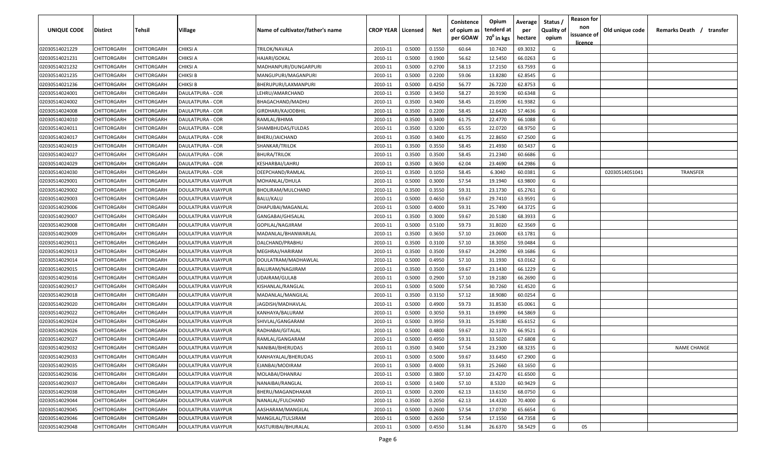| UNIQUE CODE    | Distirct           | Tehsil             | Village             | Name of cultivator/father's name | <b>CROP YEAR   Licensed</b> |        | Net    | Conistence<br>of opium as | Opium<br>tenderd at    | Average<br>per | Status /<br><b>Quality of</b> | <b>Reason for</b><br>non      | Old unique code | Remarks Death / transfer |
|----------------|--------------------|--------------------|---------------------|----------------------------------|-----------------------------|--------|--------|---------------------------|------------------------|----------------|-------------------------------|-------------------------------|-----------------|--------------------------|
|                |                    |                    |                     |                                  |                             |        |        | per GOAW                  | 70 <sup>0</sup> in kgs | hectare        | opium                         | issuance of<br><u>licence</u> |                 |                          |
| 02030514021229 | CHITTORGARH        | CHITTORGARH        | <b>CHIKSI A</b>     | TRILOK/NAVALA                    | 2010-11                     | 0.5000 | 0.1550 | 60.64                     | 10.7420                | 69.3032        | G                             |                               |                 |                          |
| 02030514021231 | CHITTORGARH        | CHITTORGARH        | CHIKSI A            | HAJARI/GOKAL                     | 2010-11                     | 0.5000 | 0.1900 | 56.62                     | 12.5450                | 66.0263        | G                             |                               |                 |                          |
| 02030514021232 | CHITTORGARH        | CHITTORGARH        | CHIKSI A            | MADHANPURI/DUNGARPURI            | 2010-11                     | 0.5000 | 0.2700 | 58.13                     | 17.2150                | 63.7593        | G                             |                               |                 |                          |
| 02030514021235 | CHITTORGARH        | CHITTORGARH        | <b>CHIKSI B</b>     | MANGUPURI/MAGANPURI              | 2010-11                     | 0.5000 | 0.2200 | 59.06                     | 13.8280                | 62.8545        | G                             |                               |                 |                          |
| 02030514021236 | CHITTORGARH        | CHITTORGARH        | <b>CHIKSI B</b>     | BHERUPURI/LAXMANPURI             | 2010-11                     | 0.5000 | 0.4250 | 56.77                     | 26.7220                | 62.8753        | G                             |                               |                 |                          |
| 02030514024001 | CHITTORGARH        | CHITTORGARH        | DAULATPURA - COR    | LEHRU/AMARCHAND                  | 2010-11                     | 0.3500 | 0.3450 | 58.27                     | 20.9190                | 60.6348        | G                             |                               |                 |                          |
| 02030514024002 | CHITTORGARH        | CHITTORGARH        | DAULATPURA - COR    | BHAGACHAND/MADHU                 | 2010-11                     | 0.3500 | 0.3400 | 58.45                     | 21.0590                | 61.9382        | G                             |                               |                 |                          |
| 02030514024008 | CHITTORGARH        | CHITTORGARH        | DAULATPURA - COR    | GIRDHARI/KAJODBHIL               | 2010-11                     | 0.3500 | 0.2200 | 58.45                     | 12.6420                | 57.4636        | G                             |                               |                 |                          |
| 02030514024010 | CHITTORGARH        | CHITTORGARH        | DAULATPURA - COR    | RAMLAL/BHIMA                     | 2010-11                     | 0.3500 | 0.3400 | 61.75                     | 22.4770                | 66.1088        | G                             |                               |                 |                          |
| 02030514024011 | CHITTORGARH        | CHITTORGARH        | DAULATPURA - COR    | SHAMBHUDAS/FULDAS                | 2010-11                     | 0.3500 | 0.3200 | 65.55                     | 22.0720                | 68.9750        | G                             |                               |                 |                          |
| 02030514024017 | CHITTORGARH        | CHITTORGARH        | DAULATPURA - COR    | BHERU/JAICHAND                   | 2010-11                     | 0.3500 | 0.3400 | 61.75                     | 22.8650                | 67.2500        | G                             |                               |                 |                          |
| 02030514024019 | CHITTORGARH        | CHITTORGARH        | DAULATPURA - COR    | SHANKAR/TRILOK                   | 2010-11                     | 0.3500 | 0.3550 | 58.45                     | 21.4930                | 60.5437        | G                             |                               |                 |                          |
| 02030514024027 | CHITTORGARH        | CHITTORGARH        | DAULATPURA - COR    | <b>BHURA/TRILOK</b>              | 2010-11                     | 0.3500 | 0.3500 | 58.45                     | 21.2340                | 60.6686        | G                             |                               |                 |                          |
| 02030514024029 | CHITTORGARH        | CHITTORGARH        | DAULATPURA - COR    | KESHARBAI/LAHRU                  | 2010-11                     | 0.3500 | 0.3650 | 62.04                     | 23.4690                | 64.2986        | G                             |                               |                 |                          |
| 02030514024030 | CHITTORGARH        | CHITTORGARH        | DAULATPURA - COR    | DEEPCHAND/RAMLAL                 | 2010-11                     | 0.3500 | 0.1050 | 58.45                     | 6.3040                 | 60.0381        | G                             |                               | 02030514051041  | <b>TRANSFER</b>          |
| 02030514029001 | CHITTORGARH        | CHITTORGARH        | DOULATPURA VIJAYPUR | MOHANLAL/DHULA                   | 2010-11                     | 0.5000 | 0.3000 | 57.54                     | 19.1940                | 63.9800        | G                             |                               |                 |                          |
| 02030514029002 | CHITTORGARH        | CHITTORGARH        | DOULATPURA VIJAYPUR | BHOLIRAM/MULCHAND                | 2010-11                     | 0.3500 | 0.3550 | 59.31                     | 23.1730                | 65.2761        | G                             |                               |                 |                          |
| 02030514029003 | CHITTORGARH        | CHITTORGARH        | DOULATPURA VIJAYPUR | <b>BALU/KALU</b>                 | 2010-11                     | 0.5000 | 0.4650 | 59.67                     | 29.7410                | 63.9591        | G                             |                               |                 |                          |
| 02030514029006 | CHITTORGARH        | CHITTORGARH        | DOULATPURA VIJAYPUR | DHAPUBAI/MAGANLAL                | 2010-11                     | 0.5000 | 0.4000 | 59.31                     | 25.7490                | 64.3725        | G                             |                               |                 |                          |
| 02030514029007 | CHITTORGARH        | CHITTORGARH        | DOULATPURA VIJAYPUR | GANGABAI/GHISALAL                | 2010-11                     | 0.3500 | 0.3000 | 59.67                     | 20.5180                | 68.3933        | G                             |                               |                 |                          |
| 02030514029008 | CHITTORGARH        | CHITTORGARH        | DOULATPURA VIJAYPUR | GOPILAL/NAGJIRAM                 | 2010-11                     | 0.5000 | 0.5100 | 59.73                     | 31.8020                | 62.3569        | G                             |                               |                 |                          |
| 02030514029009 | CHITTORGARH        | CHITTORGARH        | DOULATPURA VIJAYPUR | MADANLAL/BHANWARLAL              | 2010-11                     | 0.3500 | 0.3650 | 57.10                     | 23.0600                | 63.1781        | G                             |                               |                 |                          |
| 02030514029011 | CHITTORGARH        | CHITTORGARH        | DOULATPURA VIJAYPUR | DALCHAND/PRABHU                  | 2010-11                     | 0.3500 | 0.3100 | 57.10                     | 18.3050                | 59.0484        | G                             |                               |                 |                          |
| 02030514029013 | CHITTORGARH        | CHITTORGARH        | DOULATPURA VIJAYPUR | MEGHRAJ/HARIRAM                  | 2010-11                     | 0.3500 | 0.3500 | 59.67                     | 24.2090                | 69.1686        | G                             |                               |                 |                          |
| 02030514029014 | CHITTORGARH        | CHITTORGARH        | DOULATPURA VIJAYPUR | DOULATRAM/MADHAWLAL              | 2010-11                     | 0.5000 | 0.4950 | 57.10                     | 31.1930                | 63.0162        | G                             |                               |                 |                          |
| 02030514029015 | CHITTORGARH        | CHITTORGARH        | DOULATPURA VIJAYPUR | BALURAM/NAGJIRAM                 | 2010-11                     | 0.3500 | 0.3500 | 59.67                     | 23.1430                | 66.1229        | G                             |                               |                 |                          |
| 02030514029016 | CHITTORGARH        | CHITTORGARH        | DOULATPURA VIJAYPUR | UDAIRAM/GULAB                    | 2010-11                     | 0.5000 | 0.2900 | 57.10                     | 19.2180                | 66.2690        | G                             |                               |                 |                          |
| 02030514029017 | CHITTORGARH        | CHITTORGARH        | DOULATPURA VIJAYPUR | KISHANLAL/RANGLAL                | 2010-11                     | 0.5000 | 0.5000 | 57.54                     | 30.7260                | 61.4520        | G                             |                               |                 |                          |
| 02030514029018 | CHITTORGARH        | CHITTORGARH        | DOULATPURA VIJAYPUR | MADANLAL/MANGILAL                | 2010-11                     | 0.3500 | 0.3150 | 57.12                     | 18.9080                | 60.0254        | G                             |                               |                 |                          |
| 02030514029020 | CHITTORGARH        | CHITTORGARH        | DOULATPURA VIJAYPUR | JAGDISH/MADHAVLAL                | 2010-11                     | 0.5000 | 0.4900 | 59.73                     | 31.8530                | 65.0061        | G                             |                               |                 |                          |
| 02030514029022 | CHITTORGARH        | CHITTORGARH        | DOULATPURA VIJAYPUR | KANHAYA/BALURAM                  | 2010-11                     | 0.5000 | 0.3050 | 59.31                     | 19.6990                | 64.5869        | G                             |                               |                 |                          |
| 02030514029024 | CHITTORGARH        | CHITTORGARH        | DOULATPURA VIJAYPUR | SHIVLAL/GANGARAM                 | 2010-11                     | 0.5000 | 0.3950 | 59.31                     | 25.9180                | 65.6152        | G                             |                               |                 |                          |
| 02030514029026 | CHITTORGARH        | CHITTORGARH        | DOULATPURA VIJAYPUR | RADHABAI/GITALAL                 | 2010-11                     | 0.5000 | 0.4800 | 59.67                     | 32.1370                | 66.9521        | G                             |                               |                 |                          |
| 02030514029027 | CHITTORGARH        | CHITTORGARH        | DOULATPURA VIJAYPUR | RAMLAL/GANGARAM                  | 2010-11                     | 0.5000 | 0.4950 | 59.31                     | 33.5020                | 67.6808        | G                             |                               |                 |                          |
| 02030514029032 | <b>CHITTORGARH</b> | CHITTORGARH        | DOULATPURA VIJAYPUR | NANIBAI/BHERUDAS                 | 2010-11                     | 0.3500 | 0.3400 | 57.54                     | 23.2300                | 68.3235        | G                             |                               |                 | <b>NAME CHANGE</b>       |
| 02030514029033 | <b>CHITTORGARH</b> | <b>CHITTORGARH</b> | DOULATPURA VIJAYPUR | KANHAYALAL/BHERUDAS              | 2010-11                     | 0.5000 | 0.5000 | 59.67                     | 33.6450                | 67.2900        | G                             |                               |                 |                          |
| 02030514029035 | CHITTORGARH        | CHITTORGARH        | DOULATPURA VIJAYPUR | EJANBAI/MODIRAM                  | 2010-11                     | 0.5000 | 0.4000 | 59.31                     | 25.2660                | 63.1650        | G                             |                               |                 |                          |
| 02030514029036 | <b>CHITTORGARH</b> | CHITTORGARH        | DOULATPURA VIJAYPUR | MOLABAI/DHANRAJ                  | 2010-11                     | 0.5000 | 0.3800 | 57.10                     | 23.4270                | 61.6500        | G                             |                               |                 |                          |
| 02030514029037 | <b>CHITTORGARH</b> | CHITTORGARH        | DOULATPURA VIJAYPUR | NANAIBAI/RANGLAL                 | 2010-11                     | 0.5000 | 0.1400 | 57.10                     | 8.5320                 | 60.9429        | G                             |                               |                 |                          |
| 02030514029038 | CHITTORGARH        | CHITTORGARH        | DOULATPURA VIJAYPUR | BHERU/MAGANDHAKAR                | 2010-11                     | 0.5000 | 0.2000 | 62.13                     | 13.6150                | 68.0750        | G                             |                               |                 |                          |
| 02030514029044 | CHITTORGARH        | CHITTORGARH        | DOULATPURA VIJAYPUR | NANALAL/FULCHAND                 | 2010-11                     | 0.3500 | 0.2050 | 62.13                     | 14.4320                | 70.4000        | G                             |                               |                 |                          |
| 02030514029045 | CHITTORGARH        | CHITTORGARH        | DOULATPURA VIJAYPUR | AASHARAM/MANGILAL                | 2010-11                     | 0.5000 | 0.2600 | 57.54                     | 17.0730                | 65.6654        | G                             |                               |                 |                          |
| 02030514029046 | CHITTORGARH        | CHITTORGARH        | DOULATPURA VIJAYPUR | MANGILAL/TULSIRAM                | 2010-11                     | 0.5000 | 0.2650 | 57.54                     | 17.1550                | 64.7358        | G                             |                               |                 |                          |
| 02030514029048 | <b>CHITTORGARH</b> | CHITTORGARH        | DOULATPURA VIJAYPUR | KASTURIBAI/BHURALAL              | 2010-11                     | 0.5000 | 0.4550 | 51.84                     | 26.6370                | 58.5429        | G                             | 05                            |                 |                          |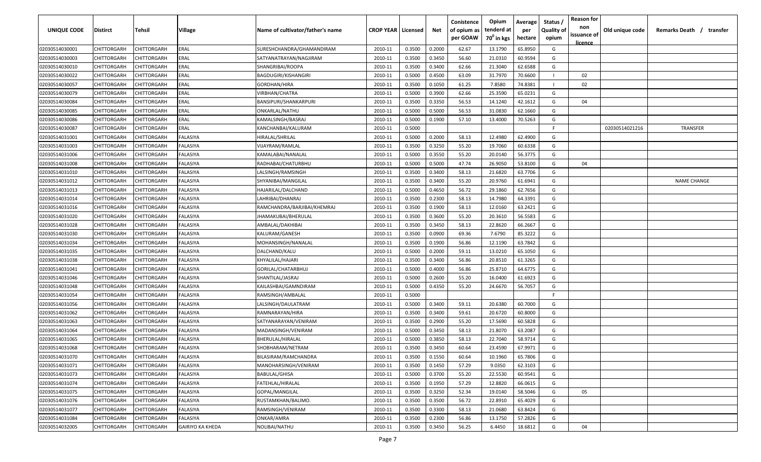| UNIQUE CODE    | Distirct    | Tehsil             | Village                 | Name of cultivator/father's name | <b>CROP YEAR   Licensed</b> |        | Net    | Conistence<br>of opium as<br>per GOAW | Opium<br>tenderd at<br>70 <sup>0</sup> in kgs | Average<br>per<br>hectare | Status /<br><b>Quality of</b><br>opium | <b>Reason for</b><br>non<br>issuance of<br><u>licence</u> | Old unique code | Remarks Death /<br>transfer |
|----------------|-------------|--------------------|-------------------------|----------------------------------|-----------------------------|--------|--------|---------------------------------------|-----------------------------------------------|---------------------------|----------------------------------------|-----------------------------------------------------------|-----------------|-----------------------------|
| 02030514030001 | CHITTORGARH | CHITTORGARH        | ERAL                    | SURESHCHANDRA/GHAMANDIRAM        | 2010-11                     | 0.3500 | 0.2000 | 62.67                                 | 13.1790                                       | 65.8950                   | G                                      |                                                           |                 |                             |
| 02030514030003 | CHITTORGARH | CHITTORGARH        | ERAL                    | SATYANATRAYAN/NAGJIRAM           | 2010-11                     | 0.3500 | 0.3450 | 56.60                                 | 21.0310                                       | 60.9594                   | G                                      |                                                           |                 |                             |
| 02030514030010 | CHITTORGARH | CHITTORGARH        | ERAL                    | SHANGRIBAI/ROOPA                 | 2010-11                     | 0.3500 | 0.3400 | 62.66                                 | 21.3040                                       | 62.6588                   | G                                      |                                                           |                 |                             |
| 02030514030022 | CHITTORGARH | CHITTORGARH        | ERAL                    | <b>BAGDUGIRI/KISHANGIRI</b>      | 2010-11                     | 0.5000 | 0.4500 | 63.09                                 | 31.7970                                       | 70.6600                   |                                        | 02                                                        |                 |                             |
| 02030514030057 | CHITTORGARH | CHITTORGARH        | ERAL                    | GORDHAN/HIRA                     | 2010-11                     | 0.3500 | 0.1050 | 61.25                                 | 7.8580                                        | 74.8381                   |                                        | 02                                                        |                 |                             |
| 02030514030079 | CHITTORGARH | CHITTORGARH        | ERAL                    | VIRBHAN/CHATRA                   | 2010-11                     | 0.5000 | 0.3900 | 62.66                                 | 25.3590                                       | 65.0231                   | G                                      |                                                           |                 |                             |
| 02030514030084 | CHITTORGARH | <b>CHITTORGARH</b> | ERAL                    | BANSIPURI/SHANKARPURI            | 2010-11                     | 0.3500 | 0.3350 | 56.53                                 | 14.1240                                       | 42.1612                   | G                                      | 04                                                        |                 |                             |
| 02030514030085 | CHITTORGARH | <b>CHITTORGARH</b> | ERAL                    | ONKARLAL/NATHU                   | 2010-11                     | 0.5000 | 0.5000 | 56.53                                 | 31.0830                                       | 62.1660                   | G                                      |                                                           |                 |                             |
| 02030514030086 | CHITTORGARH | CHITTORGARH        | ERAL                    | KAMALSINGH/BASRAJ                | 2010-11                     | 0.5000 | 0.1900 | 57.10                                 | 13.4000                                       | 70.5263                   | G                                      |                                                           |                 |                             |
| 02030514030087 | CHITTORGARH | CHITTORGARH        | ERAL                    | KANCHANBAI/KALURAM               | 2010-11                     | 0.5000 |        |                                       |                                               |                           | E                                      |                                                           | 02030514021216  | <b>TRANSFER</b>             |
| 02030514031001 | CHITTORGARH | CHITTORGARH        | ALASIYA                 | HIRALAL/SHRILAL                  | 2010-11                     | 0.5000 | 0.2000 | 58.13                                 | 12.4980                                       | 62.4900                   | G                                      |                                                           |                 |                             |
| 02030514031003 | CHITTORGARH | CHITTORGARH        | ALASIYA                 | VIJAYRAM/RAMLAL                  | 2010-11                     | 0.3500 | 0.3250 | 55.20                                 | 19.7060                                       | 60.6338                   | G                                      |                                                           |                 |                             |
| 02030514031006 | CHITTORGARH | CHITTORGARH        | FALASIYA                | KAMALABAI/NANALAL                | 2010-11                     | 0.5000 | 0.3550 | 55.20                                 | 20.0140                                       | 56.3775                   | G                                      |                                                           |                 |                             |
| 02030514031008 | CHITTORGARH | CHITTORGARH        | FALASIYA                | RADHABAI/CHATURBHU               | 2010-11                     | 0.5000 | 0.5000 | 47.74                                 | 26.9050                                       | 53.8100                   | G                                      | 04                                                        |                 |                             |
| 02030514031010 | CHITTORGARH | CHITTORGARH        | FALASIYA                | LALSINGH/RAMSINGH                | 2010-11                     | 0.3500 | 0.3400 | 58.13                                 | 21.6820                                       | 63.7706                   | G                                      |                                                           |                 |                             |
| 02030514031012 | CHITTORGARH | CHITTORGARH        | FALASIYA                | SHYANIBAI/MANGILAL               | 2010-11                     | 0.3500 | 0.3400 | 55.20                                 | 20.9760                                       | 61.6941                   | G                                      |                                                           |                 | <b>NAME CHANGE</b>          |
| 02030514031013 | CHITTORGARH | CHITTORGARH        | FALASIYA                | HAJARILAL/DALCHAND               | 2010-11                     | 0.5000 | 0.4650 | 56.72                                 | 29.1860                                       | 62.7656                   | G                                      |                                                           |                 |                             |
| 02030514031014 | CHITTORGARH | CHITTORGARH        | FALASIYA                | LAHRIBAI/DHANRAJ                 | 2010-11                     | 0.3500 | 0.2300 | 58.13                                 | 14.7980                                       | 64.3391                   | G                                      |                                                           |                 |                             |
| 02030514031016 | CHITTORGARH | CHITTORGARH        | FALASIYA                | RAMCHANDRA/BARJIBAI/KHEMRAJ      | 2010-11                     | 0.3500 | 0.1900 | 58.13                                 | 12.0160                                       | 63.2421                   | G                                      |                                                           |                 |                             |
| 02030514031020 | CHITTORGARH | CHITTORGARH        | FALASIYA                | JHAMAKUBAI/BHERULAL              | 2010-11                     | 0.3500 | 0.3600 | 55.20                                 | 20.3610                                       | 56.5583                   | G                                      |                                                           |                 |                             |
| 02030514031028 | CHITTORGARH | CHITTORGARH        | FALASIYA                | AMBALAL/DAKHIBAI                 | 2010-11                     | 0.3500 | 0.3450 | 58.13                                 | 22.8620                                       | 66.2667                   | G                                      |                                                           |                 |                             |
| 02030514031030 | CHITTORGARH | CHITTORGARH        | FALASIYA                | KALURAM/GANESH                   | 2010-11                     | 0.3500 | 0.0900 | 69.36                                 | 7.6790                                        | 85.3222                   | G                                      |                                                           |                 |                             |
| 02030514031034 | CHITTORGARH | CHITTORGARH        | FALASIYA                | MOHANSINGH/NANALAL               | 2010-11                     | 0.3500 | 0.1900 | 56.86                                 | 12.1190                                       | 63.7842                   | G                                      |                                                           |                 |                             |
| 02030514031035 | CHITTORGARH | CHITTORGARH        | FALASIYA                | DALCHAND/KALU                    | 2010-11                     | 0.5000 | 0.2000 | 59.11                                 | 13.0210                                       | 65.1050                   | G                                      |                                                           |                 |                             |
| 02030514031038 | CHITTORGARH | CHITTORGARH        | FALASIYA                | KHYALILAL/HAJARI                 | 2010-11                     | 0.3500 | 0.3400 | 56.86                                 | 20.8510                                       | 61.3265                   | G                                      |                                                           |                 |                             |
| 02030514031041 | CHITTORGARH | CHITTORGARH        | FALASIYA                | GORILAL/CHATARBHUJ               | 2010-11                     | 0.5000 | 0.4000 | 56.86                                 | 25.8710                                       | 64.6775                   | G                                      |                                                           |                 |                             |
| 02030514031046 | CHITTORGARH | CHITTORGARH        | ALASIYA                 | SHANTILAL/JASRAJ                 | 2010-11                     | 0.5000 | 0.2600 | 55.20                                 | 16.0400                                       | 61.6923                   | G                                      |                                                           |                 |                             |
| 02030514031048 | CHITTORGARH | CHITTORGARH        | ALASIYA                 | KAILASHBAI/GAMNDIRAM             | 2010-11                     | 0.5000 | 0.4350 | 55.20                                 | 24.6670                                       | 56.7057                   | G                                      |                                                           |                 |                             |
| 02030514031054 | CHITTORGARH | CHITTORGARH        | FALASIYA                | RAMSINGH/AMBALAL                 | 2010-11                     | 0.5000 |        |                                       |                                               |                           | F.                                     |                                                           |                 |                             |
| 02030514031056 | CHITTORGARH | CHITTORGARH        | FALASIYA                | LALSINGH/DAULATRAM               | 2010-11                     | 0.5000 | 0.3400 | 59.11                                 | 20.6380                                       | 60.7000                   | G                                      |                                                           |                 |                             |
| 02030514031062 | CHITTORGARH | CHITTORGARH        | FALASIYA                | RAMNARAYAN/HIRA                  | 2010-11                     | 0.3500 | 0.3400 | 59.61                                 | 20.6720                                       | 60.8000                   | G                                      |                                                           |                 |                             |
| 02030514031063 | CHITTORGARH | <b>CHITTORGARH</b> | FALASIYA                | SATYANARAYAN/VENIRAM             | 2010-11                     | 0.3500 | 0.2900 | 55.20                                 | 17.5690                                       | 60.5828                   | G                                      |                                                           |                 |                             |
| 02030514031064 | CHITTORGARH | CHITTORGARH        | FALASIYA                | MADANSINGH/VENIRAM               | 2010-11                     | 0.5000 | 0.3450 | 58.13                                 | 21.8070                                       | 63.2087                   | G                                      |                                                           |                 |                             |
| 02030514031065 | CHITTORGARH | CHITTORGARH        | FALASIYA                | BHERULAL/HIRALAL                 | 2010-11                     | 0.5000 | 0.3850 | 58.13                                 | 22.7040                                       | 58.9714                   | G                                      |                                                           |                 |                             |
| 02030514031068 | CHITTORGARH | CHITTORGARH        | FALASIYA                | SHOBHARAM/NETRAM                 | 2010-11                     | 0.3500 | 0.3450 | 60.64                                 | 23.4590                                       | 67.9971                   | G                                      |                                                           |                 |                             |
| 02030514031070 | CHITTORGARH | <b>CHITTORGARH</b> | FALASIYA                | BILASIRAM/RAMCHANDRA             | 2010-11                     | 0.3500 | 0.1550 | 60.64                                 | 10.1960                                       | 65.7806                   | G                                      |                                                           |                 |                             |
| 02030514031071 | CHITTORGARH | CHITTORGARH        | FALASIYA                | MANOHARSINGH/VENIRAM             | 2010-11                     | 0.3500 | 0.1450 | 57.29                                 | 9.0350                                        | 62.3103                   | G                                      |                                                           |                 |                             |
| 02030514031073 | CHITTORGARH | CHITTORGARH        | FALASIYA                | <b>BABULAL/GHISA</b>             | 2010-11                     | 0.5000 | 0.3700 | 55.20                                 | 22.5530                                       | 60.9541                   | G                                      |                                                           |                 |                             |
| 02030514031074 | CHITTORGARH | CHITTORGARH        | FALASIYA                | FATEHLAL/HIRALAL                 | 2010-11                     | 0.3500 | 0.1950 | 57.29                                 | 12.8820                                       | 66.0615                   | G                                      |                                                           |                 |                             |
| 02030514031075 | CHITTORGARH | CHITTORGARH        | FALASIYA                | GOPAL/MANGILAL                   | 2010-11                     | 0.3500 | 0.3250 | 52.34                                 | 19.0140                                       | 58.5046                   | G                                      | 05                                                        |                 |                             |
| 02030514031076 | CHITTORGARH | CHITTORGARH        | FALASIYA                | RUSTAMKHAN/BALIMO.               | 2010-11                     | 0.3500 | 0.3500 | 56.72                                 | 22.8910                                       | 65.4029                   | G                                      |                                                           |                 |                             |
| 02030514031077 | CHITTORGARH | CHITTORGARH        | FALASIYA                | RAMSINGH/VENIRAM                 | 2010-11                     | 0.3500 | 0.3300 | 58.13                                 | 21.0680                                       | 63.8424                   | G                                      |                                                           |                 |                             |
| 02030514031084 | CHITTORGARH | CHITTORGARH        | FALASIYA                | ONKAR/AMRA                       | 2010-11                     | 0.3500 | 0.2300 | 56.86                                 | 13.1750                                       | 57.2826                   | G                                      |                                                           |                 |                             |
| 02030514032005 | CHITTORGARH | CHITTORGARH        | <b>GAIRIYO KA KHEDA</b> | NOLIBAI/NATHU                    | 2010-11                     | 0.3500 | 0.3450 | 56.25                                 | 6.4450                                        | 18.6812                   | G                                      | 04                                                        |                 |                             |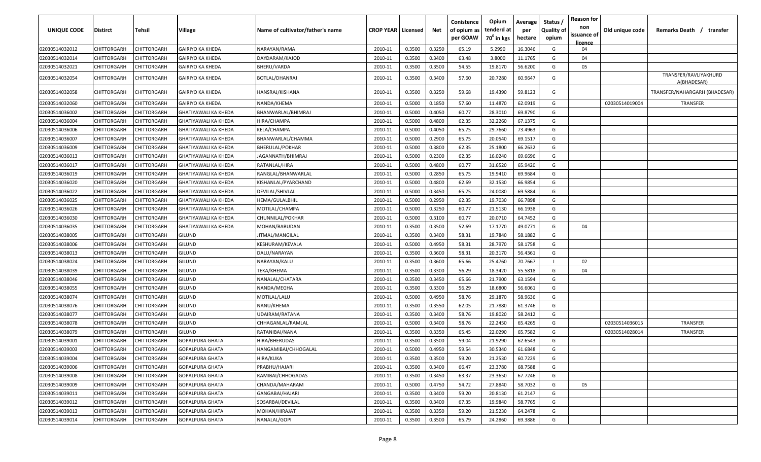| <b>UNIQUE CODE</b> | Distirct           | Tehsil      | Village                     | Name of cultivator/father's name | <b>CROP YEAR   Licensed</b> |        | Net    | Conistence<br>of opium as<br>per GOAW | Opium<br>tenderd at<br>70 <sup>0</sup> in kgs | Average<br>per<br>hectare | Status /<br><b>Quality of</b><br>opium | <b>Reason for</b><br>non<br>issuance of<br><u>licence</u> | Old unique code | Remarks Death /<br>transfer          |
|--------------------|--------------------|-------------|-----------------------------|----------------------------------|-----------------------------|--------|--------|---------------------------------------|-----------------------------------------------|---------------------------|----------------------------------------|-----------------------------------------------------------|-----------------|--------------------------------------|
| 02030514032012     | <b>CHITTORGARH</b> | CHITTORGARH | <b>GAIRIYO KA KHEDA</b>     | NARAYAN/RAMA                     | 2010-11                     | 0.3500 | 0.3250 | 65.19                                 | 5.2990                                        | 16.3046                   | G                                      | 04                                                        |                 |                                      |
| 02030514032014     | CHITTORGARH        | CHITTORGARH | <b>GAIRIYO KA KHEDA</b>     | DAYDARAM/KAJOD                   | 2010-11                     | 0.3500 | 0.3400 | 63.48                                 | 3.8000                                        | 11.1765                   | G                                      | 04                                                        |                 |                                      |
| 02030514032021     | CHITTORGARH        | CHITTORGARH | <b>GAIRIYO KA KHEDA</b>     | BHERU/VARDA                      | 2010-11                     | 0.3500 | 0.3500 | 54.55                                 | 19.8170                                       | 56.6200                   | G                                      | 05                                                        |                 |                                      |
| 02030514032054     | CHITTORGARH        | CHITTORGARH | GAIRIYO KA KHEDA            | BOTLAL/DHANRAJ                   | 2010-11                     | 0.3500 | 0.3400 | 57.60                                 | 20.7280                                       | 60.9647                   | G                                      |                                                           |                 | TRANSFER/RAVLIYAKHURD<br>A(BHADESAR) |
| 02030514032058     | CHITTORGARH        | CHITTORGARH | GAIRIYO KA KHEDA            | HANSRAJ/KISHANA                  | 2010-11                     | 0.3500 | 0.3250 | 59.68                                 | 19.4390                                       | 59.8123                   | G                                      |                                                           |                 | TRANSFER/NAHARGARH (BHADESAR)        |
| 02030514032060     | CHITTORGARH        | CHITTORGARH | <b>GAIRIYO KA KHEDA</b>     | NANDA/KHEMA                      | 2010-11                     | 0.5000 | 0.1850 | 57.60                                 | 11.4870                                       | 62.0919                   | G                                      |                                                           | 02030514019004  | TRANSFER                             |
| 02030514036002     | CHITTORGARH        | CHITTORGARH | <b>GHATIYAWALI KA KHEDA</b> | BHANWARLAL/BHIMRAJ               | 2010-11                     | 0.5000 | 0.4050 | 60.77                                 | 28.3010                                       | 69.8790                   | G                                      |                                                           |                 |                                      |
| 02030514036004     | CHITTORGARH        | CHITTORGARH | GHATIYAWALI KA KHEDA        | HIRA/CHAMPA                      | 2010-11                     | 0.5000 | 0.4800 | 62.35                                 | 32.2260                                       | 67.1375                   | G                                      |                                                           |                 |                                      |
| 02030514036006     | CHITTORGARH        | CHITTORGARH | GHATIYAWALI KA KHEDA        | KELA/CHAMPA                      | 2010-11                     | 0.5000 | 0.4050 | 65.75                                 | 29.7660                                       | 73.4963                   | G                                      |                                                           |                 |                                      |
| 02030514036007     | CHITTORGARH        | CHITTORGARH | GHATIYAWALI KA KHEDA        | BHANWARLAL/CHAMMA                | 2010-11                     | 0.5000 | 0.2900 | 65.75                                 | 20.0540                                       | 69.1517                   | G                                      |                                                           |                 |                                      |
| 02030514036009     | CHITTORGARH        | CHITTORGARH | GHATIYAWALI KA KHEDA        | BHERULAL/POKHAR                  | 2010-11                     | 0.5000 | 0.3800 | 62.35                                 | 25.1800                                       | 66.2632                   | G                                      |                                                           |                 |                                      |
| 02030514036013     | CHITTORGARH        | CHITTORGARH | GHATIYAWALI KA KHEDA        | JAGANNATH/BHIMRAJ                | 2010-11                     | 0.5000 | 0.2300 | 62.35                                 | 16.0240                                       | 69.6696                   | G                                      |                                                           |                 |                                      |
| 02030514036017     | CHITTORGARH        | CHITTORGARH | GHATIYAWALI KA KHEDA        | RATANLAL/HIRA                    | 2010-11                     | 0.5000 | 0.4800 | 60.77                                 | 31.6520                                       | 65.9420                   | G                                      |                                                           |                 |                                      |
| 02030514036019     | CHITTORGARH        | CHITTORGARH | <b>GHATIYAWALI KA KHEDA</b> | RANGLAL/BHANWARLAL               | 2010-11                     | 0.5000 | 0.2850 | 65.75                                 | 19.9410                                       | 69.9684                   | G                                      |                                                           |                 |                                      |
| 02030514036020     | CHITTORGARH        | CHITTORGARH | GHATIYAWALI KA KHEDA        | KISHANLAL/PYARCHAND              | 2010-11                     | 0.5000 | 0.4800 | 62.69                                 | 32.1530                                       | 66.9854                   | G                                      |                                                           |                 |                                      |
| 02030514036022     | CHITTORGARH        | CHITTORGARH | GHATIYAWALI KA KHEDA        | DEVILAL/SHIVLAL                  | 2010-11                     | 0.5000 | 0.3450 | 65.75                                 | 24.0080                                       | 69.5884                   | G                                      |                                                           |                 |                                      |
| 02030514036025     | CHITTORGARH        | CHITTORGARH | GHATIYAWALI KA KHEDA        | HEMA/GULALBHIL                   | 2010-11                     | 0.5000 | 0.2950 | 62.35                                 | 19.7030                                       | 66.7898                   | G                                      |                                                           |                 |                                      |
| 02030514036026     | CHITTORGARH        | CHITTORGARH | GHATIYAWALI KA KHEDA        | MOTILAL/CHAMPA                   | 2010-11                     | 0.5000 | 0.3250 | 60.77                                 | 21.5130                                       | 66.1938                   | G                                      |                                                           |                 |                                      |
| 02030514036030     | CHITTORGARH        | CHITTORGARH | <b>GHATIYAWALI KA KHEDA</b> | CHUNNILAL/POKHAR                 | 2010-11                     | 0.5000 | 0.3100 | 60.77                                 | 20.0710                                       | 64.7452                   | G                                      |                                                           |                 |                                      |
| 02030514036035     | CHITTORGARH        | CHITTORGARH | <b>GHATIYAWALI KA KHEDA</b> | MOHAN/BABUDAN                    | 2010-11                     | 0.3500 | 0.3500 | 52.69                                 | 17.1770                                       | 49.0771                   | G                                      | 04                                                        |                 |                                      |
| 02030514038005     | CHITTORGARH        | CHITTORGARH | GILUND                      | IITMAL/MANGILAL                  | 2010-11                     | 0.3500 | 0.3400 | 58.31                                 | 19.7840                                       | 58.1882                   | G                                      |                                                           |                 |                                      |
| 02030514038006     | CHITTORGARH        | CHITTORGARH | <b>GILUND</b>               | KESHURAM/KEVALA                  | 2010-11                     | 0.5000 | 0.4950 | 58.31                                 | 28.7970                                       | 58.1758                   | G                                      |                                                           |                 |                                      |
| 02030514038013     | CHITTORGARH        | CHITTORGARH | <b>GILUND</b>               | DALU/NARAYAN                     | 2010-11                     | 0.3500 | 0.3600 | 58.31                                 | 20.3170                                       | 56.4361                   | G                                      |                                                           |                 |                                      |
| 02030514038024     | CHITTORGARH        | CHITTORGARH | GILUND                      | NARAYAN/KALU                     | 2010-11                     | 0.3500 | 0.3600 | 65.66                                 | 25.4760                                       | 70.7667                   |                                        | 02                                                        |                 |                                      |
| 02030514038039     | CHITTORGARH        | CHITTORGARH | GILUND                      | ТЕКА/КНЕМА                       | 2010-11                     | 0.3500 | 0.3300 | 56.29                                 | 18.3420                                       | 55.5818                   | G                                      | 04                                                        |                 |                                      |
| 02030514038046     | CHITTORGARH        | CHITTORGARH | GILUND                      | NANALAL/CHATARA                  | 2010-11                     | 0.3500 | 0.3450 | 65.66                                 | 21.7900                                       | 63.1594                   | G                                      |                                                           |                 |                                      |
| 02030514038055     | CHITTORGARH        | CHITTORGARH | GILUND                      | NANDA/MEGHA                      | 2010-11                     | 0.3500 | 0.3300 | 56.29                                 | 18.6800                                       | 56.6061                   | G                                      |                                                           |                 |                                      |
| 02030514038074     | CHITTORGARH        | CHITTORGARH | GILUND                      | MOTILAL/LALU                     | 2010-11                     | 0.5000 | 0.4950 | 58.76                                 | 29.1870                                       | 58.9636                   | G                                      |                                                           |                 |                                      |
| 02030514038076     | CHITTORGARH        | CHITTORGARH | GILUND                      | NANU/KHEMA                       | 2010-11                     | 0.3500 | 0.3550 | 62.05                                 | 21.7880                                       | 61.3746                   | G                                      |                                                           |                 |                                      |
| 02030514038077     | CHITTORGARH        | CHITTORGARH | GILUND                      | UDAIRAM/RATANA                   | 2010-11                     | 0.3500 | 0.3400 | 58.76                                 | 19.8020                                       | 58.2412                   | G                                      |                                                           |                 |                                      |
| 02030514038078     | CHITTORGARH        | CHITTORGARH | GILUND                      | CHHAGANLAL/RAMLAL                | 2010-11                     | 0.5000 | 0.3400 | 58.76                                 | 22.2450                                       | 65.4265                   | G                                      |                                                           | 02030514036015  | <b>TRANSFER</b>                      |
| 02030514038079     | CHITTORGARH        | CHITTORGARH | GILUND                      | RATANIBAI/NANA                   | 2010-11                     | 0.3500 | 0.3350 | 65.45                                 | 22.0290                                       | 65.7582                   | G                                      |                                                           | 02030514028014  | <b>TRANSFER</b>                      |
| 02030514039001     | CHITTORGARH        | CHITTORGARH | GOPALPURA GHATA             | HIRA/BHERUDAS                    | 2010-11                     | 0.3500 | 0.3500 | 59.04                                 | 21.9290                                       | 62.6543                   | G                                      |                                                           |                 |                                      |
| 02030514039003     | CHITTORGARH        | CHITTORGARH | GOPALPURA GHATA             | HANGAMIBAI/CHHOGALAL             | 2010-11                     | 0.5000 | 0.4950 | 59.54                                 | 30.5340                                       | 61.6848                   | G                                      |                                                           |                 |                                      |
| 02030514039004     | CHITTORGARH        | CHITTORGARH | GOPALPURA GHATA             | HIRA/KUKA                        | 2010-11                     | 0.3500 | 0.3500 | 59.20                                 | 21.2530                                       | 60.7229                   | G                                      |                                                           |                 |                                      |
| 02030514039006     | CHITTORGARH        | CHITTORGARH | <b>GOPALPURA GHATA</b>      | PRABHU/HAJARI                    | 2010-11                     | 0.3500 | 0.3400 | 66.47                                 | 23.3780                                       | 68.7588                   | G                                      |                                                           |                 |                                      |
| 02030514039008     | CHITTORGARH        | CHITTORGARH | <b>GOPALPURA GHATA</b>      | RAMIBAI/CHHOGADAS                | 2010-11                     | 0.3500 | 0.3450 | 63.37                                 | 23.3650                                       | 67.7246                   | G                                      |                                                           |                 |                                      |
| 02030514039009     | CHITTORGARH        | CHITTORGARH | <b>GOPALPURA GHATA</b>      | CHANDA/MAHARAM                   | 2010-11                     | 0.5000 | 0.4750 | 54.72                                 | 27.8840                                       | 58.7032                   | G                                      | 05                                                        |                 |                                      |
| 02030514039011     | <b>CHITTORGARH</b> | CHITTORGARH | <b>GOPALPURA GHATA</b>      | GANGABAI/HAJARI                  | 2010-11                     | 0.3500 | 0.3400 | 59.20                                 | 20.8130                                       | 61.2147                   | G                                      |                                                           |                 |                                      |
| 02030514039012     | <b>CHITTORGARH</b> | CHITTORGARH | <b>GOPALPURA GHATA</b>      | SOSARBAI/DEVILAL                 | 2010-11                     | 0.3500 | 0.3400 | 67.35                                 | 19.9840                                       | 58.7765                   | G                                      |                                                           |                 |                                      |
| 02030514039013     | <b>CHITTORGARH</b> | CHITTORGARH | <b>GOPALPURA GHATA</b>      | MOHAN/HIRAJAT                    | 2010-11                     | 0.3500 | 0.3350 | 59.20                                 | 21.5230                                       | 64.2478                   | G                                      |                                                           |                 |                                      |
| 02030514039014     | <b>CHITTORGARH</b> | CHITTORGARH | GOPALPURA GHATA             | NANALAL/GOPI                     | 2010-11                     | 0.3500 | 0.3500 | 65.79                                 | 24.2860                                       | 69.3886                   | G                                      |                                                           |                 |                                      |
|                    |                    |             |                             |                                  |                             |        |        |                                       |                                               |                           |                                        |                                                           |                 |                                      |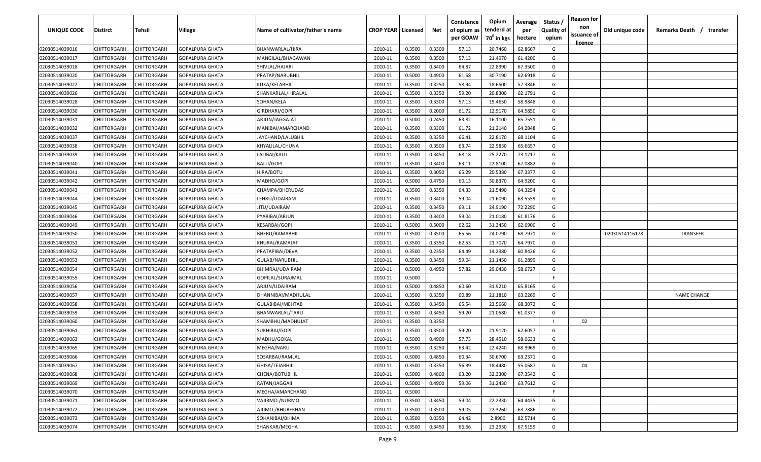| <b>UNIQUE CODE</b> | <b>Distirct</b>    | <b>Tehsil</b>      | Village                | Name of cultivator/father's name | <b>CROP YEAR   Licensed</b> |        | Net    | Conistence<br>of opium as | Opium<br>tenderd at    | Average<br>per | Status /<br><b>Quality of</b> | <b>Reason for</b><br>non<br>issuance of | Old unique code | Remarks Death /<br>transfer |
|--------------------|--------------------|--------------------|------------------------|----------------------------------|-----------------------------|--------|--------|---------------------------|------------------------|----------------|-------------------------------|-----------------------------------------|-----------------|-----------------------------|
|                    |                    |                    |                        |                                  |                             |        |        | per GOAW                  | 70 <sup>0</sup> in kgs | hectare        | opium                         | <u>licence</u>                          |                 |                             |
| 02030514039016     | CHITTORGARH        | CHITTORGARH        | <b>GOPALPURA GHATA</b> | BHANWARLAL/HIRA                  | 2010-11                     | 0.3500 | 0.3300 | 57.13                     | 20.7460                | 62.8667        | G                             |                                         |                 |                             |
| 02030514039017     | CHITTORGARH        | CHITTORGARH        | <b>GOPALPURA GHATA</b> | MANGILAL/BHAGAWAN                | 2010-11                     | 0.3500 | 0.3500 | 57.13                     | 21.4970                | 61.4200        | G                             |                                         |                 |                             |
| 02030514039018     | CHITTORGARH        | CHITTORGARH        | <b>GOPALPURA GHATA</b> | SHIVLAL/HAJARI                   | 2010-11                     | 0.3500 | 0.3400 | 64.87                     | 22.8990                | 67.3500        | G                             |                                         |                 |                             |
| 02030514039020     | CHITTORGARH        | CHITTORGARH        | GOPALPURA GHATA        | PRATAP/NARUBHIL                  | 2010-11                     | 0.5000 | 0.4900 | 61.58                     | 30.7190                | 62.6918        | G                             |                                         |                 |                             |
| 02030514039022     | CHITTORGARH        | CHITTORGARH        | GOPALPURA GHATA        | KUKA/KELABHIL                    | 2010-11                     | 0.3500 | 0.3250 | 58.94                     | 18.6500                | 57.3846        | G                             |                                         |                 |                             |
| 02030514039026     | CHITTORGARH        | CHITTORGARH        | <b>GOPALPURA GHATA</b> | SHANKARLAL/HIRALAL               | 2010-11                     | 0.3500 | 0.3350 | 59.20                     | 20.8300                | 62.1791        | G                             |                                         |                 |                             |
| 02030514039028     | CHITTORGARH        | CHITTORGARH        | GOPALPURA GHATA        | SOHAN/KELA                       | 2010-11                     | 0.3500 | 0.3300 | 57.13                     | 19.4650                | 58.9848        | G                             |                                         |                 |                             |
| 02030514039030     | CHITTORGARH        | CHITTORGARH        | GOPALPURA GHATA        | GIRDHARI/GOPI                    | 2010-11                     | 0.3500 | 0.2000 | 61.72                     | 12.9170                | 64.5850        | G                             |                                         |                 |                             |
| 02030514039031     | CHITTORGARH        | CHITTORGARH        | GOPALPURA GHATA        | ARJUN/JAGGAJAT                   | 2010-11                     | 0.5000 | 0.2450 | 63.82                     | 16.1100                | 65.7551        | G                             |                                         |                 |                             |
| 02030514039032     | CHITTORGARH        | CHITTORGARH        | <b>GOPALPURA GHATA</b> | MANIBAI/AMARCHAND                | 2010-11                     | 0.3500 | 0.3300 | 61.72                     | 21.2140                | 64.2848        | G                             |                                         |                 |                             |
| 02030514039037     | CHITTORGARH        | CHITTORGARH        | GOPALPURA GHATA        | JAYCHAND/LALUBHIL                | 2010-11                     | 0.3500 | 0.3350 | 66.41                     | 22.8170                | 68.1104        | G                             |                                         |                 |                             |
| 02030514039038     | CHITTORGARH        | CHITTORGARH        | GOPALPURA GHATA        | KHYALILAL/CHUNA                  | 2010-11                     | 0.3500 | 0.3500 | 63.74                     | 22.9830                | 65.6657        | G                             |                                         |                 |                             |
| 02030514039039     | CHITTORGARH        | CHITTORGARH        | GOPALPURA GHATA        | LALIBAI/KALU                     | 2010-11                     | 0.3500 | 0.3450 | 68.18                     | 25.2270                | 73.1217        | G                             |                                         |                 |                             |
| 02030514039040     | CHITTORGARH        | CHITTORGARH        | GOPALPURA GHATA        | <b>BALU/GOPI</b>                 | 2010-11                     | 0.3500 | 0.3400 | 63.11                     | 22.8100                | 67.0882        | G                             |                                         |                 |                             |
| 02030514039041     | CHITTORGARH        | CHITTORGARH        | GOPALPURA GHATA        | HIRA/BOTU                        | 2010-11                     | 0.3500 | 0.3050 | 65.29                     | 20.5380                | 67.3377        | G                             |                                         |                 |                             |
| 02030514039042     | CHITTORGARH        | CHITTORGARH        | GOPALPURA GHATA        | MADHO/GOPI                       | 2010-11                     | 0.5000 | 0.4750 | 60.13                     | 30.8370                | 64.9200        | G                             |                                         |                 |                             |
| 02030514039043     | CHITTORGARH        | CHITTORGARH        | <b>GOPALPURA GHATA</b> | CHAMPA/BHERUDAS                  | 2010-11                     | 0.3500 | 0.3350 | 64.33                     | 21.5490                | 64.3254        | G                             |                                         |                 |                             |
| 02030514039044     | CHITTORGARH        | CHITTORGARH        | <b>GOPALPURA GHATA</b> | LEHRU/UDAIRAM                    | 2010-11                     | 0.3500 | 0.3400 | 59.04                     | 21.6090                | 63.5559        | G                             |                                         |                 |                             |
| 02030514039045     | CHITTORGARH        | CHITTORGARH        | <b>GOPALPURA GHATA</b> | JITU/UDAIRAM                     | 2010-11                     | 0.3500 | 0.3450 | 69.11                     | 24.9190                | 72.2290        | G                             |                                         |                 |                             |
| 02030514039046     | CHITTORGARH        | CHITTORGARH        | <b>GOPALPURA GHATA</b> | PYARIBAI/ARJUN                   | 2010-11                     | 0.3500 | 0.3400 | 59.04                     | 21.0180                | 61.8176        | G                             |                                         |                 |                             |
| 02030514039049     | CHITTORGARH        | CHITTORGARH        | GOPALPURA GHATA        | KESARBAI/GOPI                    | 2010-11                     | 0.5000 | 0.5000 | 62.62                     | 31.3450                | 62.6900        | G                             |                                         |                 |                             |
| 02030514039050     | CHITTORGARH        | CHITTORGARH        | GOPALPURA GHATA        | BHERU/RAMABHIL                   | 2010-11                     | 0.3500 | 0.3500 | 65.56                     | 24.0790                | 68.7971        | G                             |                                         | 02030514116178  | <b>TRANSFER</b>             |
| 02030514039051     | CHITTORGARH        | CHITTORGARH        | GOPALPURA GHATA        | KHURAJ/RAMAJAT                   | 2010-11                     | 0.3500 | 0.3350 | 62.53                     | 21.7070                | 64.7970        | G                             |                                         |                 |                             |
| 02030514039052     | CHITTORGARH        | CHITTORGARH        | GOPALPURA GHATA        | PRATAPIBAI/DEVA                  | 2010-11                     | 0.3500 | 0.2350 | 64.49                     | 14.2980                | 60.8426        | G                             |                                         |                 |                             |
| 02030514039053     | CHITTORGARH        | CHITTORGARH        | GOPALPURA GHATA        | GULAB/NARUBHIL                   | 2010-11                     | 0.3500 | 0.3450 | 59.04                     | 21.1450                | 61.2899        | G                             |                                         |                 |                             |
| 02030514039054     | CHITTORGARH        | CHITTORGARH        | GOPALPURA GHATA        | BHIMRAJ/UDAIRAM                  | 2010-11                     | 0.5000 | 0.4950 | 57.82                     | 29.0430                | 58.6727        | G                             |                                         |                 |                             |
| 02030514039055     | CHITTORGARH        | CHITTORGARH        | GOPALPURA GHATA        | GOPILAL/SURAJMAL                 | 2010-11                     | 0.5000 |        |                           |                        |                | -F.                           |                                         |                 |                             |
| 02030514039056     | CHITTORGARH        | CHITTORGARH        | GOPALPURA GHATA        | ARJUN/UDAIRAM                    | 2010-11                     | 0.5000 | 0.4850 | 60.60                     | 31.9210                | 65.8165        | G                             |                                         |                 |                             |
| 02030514039057     | CHITTORGARH        | CHITTORGARH        | GOPALPURA GHATA        | DHANNIBAI/MADHULAL               | 2010-11                     | 0.3500 | 0.3350 | 60.89                     | 21.1810                | 63.2269        | G                             |                                         |                 | <b>NAME CHANGE</b>          |
| 02030514039058     | CHITTORGARH        | CHITTORGARH        | GOPALPURA GHATA        | GULABIBAI/MEHTAB                 | 2010-11                     | 0.3500 | 0.3450 | 65.54                     | 23.5660                | 68.3072        | G                             |                                         |                 |                             |
| 02030514039059     | CHITTORGARH        | CHITTORGARH        | GOPALPURA GHATA        | BHANWARLAL/TARU                  | 2010-11                     | 0.3500 | 0.3450 | 59.20                     | 21.0580                | 61.0377        | G                             |                                         |                 |                             |
| 02030514039060     | CHITTORGARH        | CHITTORGARH        | GOPALPURA GHATA        | SHAMBHU/MADHUJAT                 | 2010-11                     | 0.3500 | 0.3350 |                           |                        |                |                               | 02                                      |                 |                             |
| 02030514039061     | CHITTORGARH        | CHITTORGARH        | <b>GOPALPURA GHATA</b> | SUKHIBAI/GOPI                    | 2010-11                     | 0.3500 | 0.3500 | 59.20                     | 21.9120                | 62.6057        | G                             |                                         |                 |                             |
| 02030514039063     | CHITTORGARH        | CHITTORGARH        | <b>GOPALPURA GHATA</b> | MADHU/GOKAL                      | 2010-11                     | 0.5000 | 0.4900 | 57.73                     | 28.4510                | 58.0633        | G                             |                                         |                 |                             |
| 02030514039065     | <b>CHITTORGARH</b> | CHITTORGARH        | <b>GOPALPURA GHATA</b> | MEGHA/NARU                       | 2010-11                     | 0.3500 | 0.3250 | 63.42                     | 22.4240                | 68.9969        | G                             |                                         |                 |                             |
| 02030514039066     | CHITTORGARH        | <b>CHITTORGARH</b> | <b>GOPALPURA GHATA</b> | SOSARBAI/RAMLAL                  | 2010-11                     | 0.5000 | 0.4850 | 60.34                     | 30.6700                | 63.2371        | G                             |                                         |                 |                             |
| 02030514039067     | <b>CHITTORGARH</b> | CHITTORGARH        | <b>GOPALPURA GHATA</b> | GHISA/TEJABHIL                   | 2010-11                     | 0.3500 | 0.3350 | 56.39                     | 18.4480                | 55.0687        | G                             | 04                                      |                 |                             |
| 02030514039068     | <b>CHITTORGARH</b> | CHITTORGARH        | <b>GOPALPURA GHATA</b> | CHENA/BOTUBHIL                   | 2010-11                     | 0.5000 | 0.4800 | 63.20                     | 32.3300                | 67.3542        | G                             |                                         |                 |                             |
| 02030514039069     | <b>CHITTORGARH</b> | CHITTORGARH        | <b>GOPALPURA GHATA</b> | RATAN/JAGGAII                    | 2010-11                     | 0.5000 | 0.4900 | 59.06                     | 31.2430                | 63.7612        | G                             |                                         |                 |                             |
| 02030514039070     | CHITTORGARH        | CHITTORGARH        | <b>GOPALPURA GHATA</b> | MEGHA/AMARCHAND                  | 2010-11                     | 0.5000 |        |                           |                        |                | $\mathsf{F}$                  |                                         |                 |                             |
| 02030514039071     | CHITTORGARH        | CHITTORGARH        | <b>GOPALPURA GHATA</b> | VAJIRMO./NURMO.                  | 2010-11                     | 0.3500 | 0.3450 | 59.04                     | 22.2330                | 64.4435        | G                             |                                         |                 |                             |
| 02030514039072     | CHITTORGARH        | CHITTORGARH        | <b>GOPALPURA GHATA</b> | AJIJMO./BHUREKHAN                | 2010-11                     | 0.3500 | 0.3500 | 59.05                     | 22.3260                | 63.7886        | G                             |                                         |                 |                             |
| 02030514039073     | CHITTORGARH        | CHITTORGARH        | <b>GOPALPURA GHATA</b> | SOHANIBAI/BHIMA                  | 2010-11                     | 0.3500 | 0.0350 | 64.42                     | 2.8900                 | 82.5714        | G                             |                                         |                 |                             |
| 02030514039074     | <b>CHITTORGARH</b> | CHITTORGARH        | <b>GOPALPURA GHATA</b> | SHANKAR/MEGHA                    | 2010-11                     | 0.3500 | 0.3450 | 66.66                     | 23.2930                | 67.5159        | G                             |                                         |                 |                             |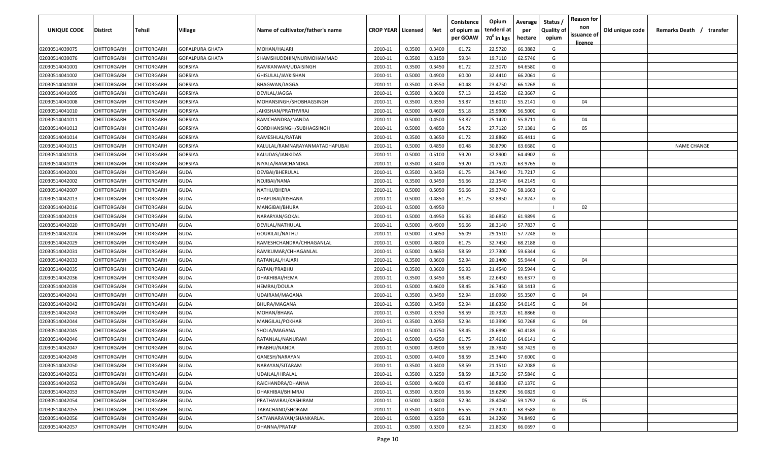| UNIQUE CODE    | <b>Distirct</b>    | Tehsil             | Village                | Name of cultivator/father's name | <b>CROP YEAR   Licensed</b> |        | Net    | Conistence<br>of opium as | Opium<br>tenderd at | Average<br>per | Status /<br><b>Quality of</b> | <b>Reason for</b><br>non | Old unique code | Remarks Death /<br>transfer |
|----------------|--------------------|--------------------|------------------------|----------------------------------|-----------------------------|--------|--------|---------------------------|---------------------|----------------|-------------------------------|--------------------------|-----------------|-----------------------------|
|                |                    |                    |                        |                                  |                             |        |        | per GOAW                  | $70^0$ in kgs       | hectare        | opium                         | issuance of              |                 |                             |
| 02030514039075 | CHITTORGARH        | CHITTORGARH        | <b>GOPALPURA GHATA</b> | MOHAN/HAJARI                     | 2010-11                     | 0.3500 | 0.3400 | 61.72                     | 22.5720             | 66.3882        | G                             | licence                  |                 |                             |
| 02030514039076 | CHITTORGARH        | CHITTORGARH        | <b>GOPALPURA GHATA</b> | SHAMSHUDDHIN/NURMOHAMMAD         | 2010-11                     | 0.3500 | 0.3150 | 59.04                     | 19.7110             | 62.5746        | G                             |                          |                 |                             |
| 02030514041001 | CHITTORGARH        | CHITTORGARH        | <b>GORSIYA</b>         | RAMKANWAR/UDAISINGH              | 2010-11                     | 0.3500 | 0.3450 | 61.72                     | 22.3070             | 64.6580        | G                             |                          |                 |                             |
| 02030514041002 | CHITTORGARH        | CHITTORGARH        | <b>GORSIYA</b>         | GHISULAL/JAYKISHAN               | 2010-11                     | 0.5000 | 0.4900 | 60.00                     | 32.4410             | 66.2061        | G                             |                          |                 |                             |
| 02030514041003 | CHITTORGARH        | CHITTORGARH        | GORSIYA                | BHAGWAN/JAGGA                    | 2010-11                     | 0.3500 | 0.3550 | 60.48                     | 23.4750             | 66.1268        | G                             |                          |                 |                             |
| 02030514041005 | CHITTORGARH        | CHITTORGARH        | GORSIYA                | DEVILAL/JAGGA                    | 2010-11                     | 0.3500 | 0.3600 | 57.13                     | 22.4520             | 62.3667        | G                             |                          |                 |                             |
| 02030514041008 | CHITTORGARH        | CHITTORGARH        | GORSIYA                | MOHANSINGH/SHOBHAGSINGH          | 2010-11                     | 0.3500 | 0.3550 | 53.87                     | 19.6010             | 55.2141        | G                             | 04                       |                 |                             |
| 02030514041010 | CHITTORGARH        | CHITTORGARH        | <b>GORSIYA</b>         | IAIKISHAN/PRATHVIRAJ             | 2010-11                     | 0.5000 | 0.4600 | 55.18                     | 25.9900             | 56.5000        | G                             |                          |                 |                             |
| 02030514041011 | CHITTORGARH        | CHITTORGARH        | GORSIYA                | RAMCHANDRA/NANDA                 | 2010-11                     | 0.5000 | 0.4500 | 53.87                     | 25.1420             | 55.8711        | G                             | 04                       |                 |                             |
| 02030514041013 | CHITTORGARH        | CHITTORGARH        | GORSIYA                | GORDHANSINGH/SUBHAGSINGH         | 2010-11                     | 0.5000 | 0.4850 | 54.72                     | 27.7120             | 57.1381        | G                             | 05                       |                 |                             |
| 02030514041014 | CHITTORGARH        | CHITTORGARH        | GORSIYA                | RAMESHLAL/RATAN                  | 2010-11                     | 0.3500 | 0.3650 | 61.72                     | 23.8860             | 65.4411        | G                             |                          |                 |                             |
| 02030514041015 | CHITTORGARH        | CHITTORGARH        | GORSIYA                | KALULAL/RAMNARAYANMATADHAPUBAI   | 2010-11                     | 0.5000 | 0.4850 | 60.48                     | 30.8790             | 63.6680        | G                             |                          |                 | <b>NAME CHANGE</b>          |
| 02030514041018 | CHITTORGARH        | CHITTORGARH        | <b>GORSIYA</b>         | KALUDAS/JANKIDAS                 | 2010-11                     | 0.5000 | 0.5100 | 59.20                     | 32.8900             | 64.4902        | G                             |                          |                 |                             |
| 02030514041019 | CHITTORGARH        | CHITTORGARH        | <b>GORSIYA</b>         | NIYALA/RAMCHANDRA                | 2010-11                     | 0.3500 | 0.3400 | 59.20                     | 21.7520             | 63.9765        | G                             |                          |                 |                             |
| 02030514042001 | CHITTORGARH        | CHITTORGARH        | <b>GUDA</b>            | DEVBAI/BHERULAL                  | 2010-11                     | 0.3500 | 0.3450 | 61.75                     | 24.7440             | 71.7217        | G                             |                          |                 |                             |
| 02030514042002 | CHITTORGARH        | CHITTORGARH        | <b>GUDA</b>            | NOJIBAI/NANA                     | 2010-11                     | 0.3500 | 0.3450 | 56.66                     | 22.1540             | 64.2145        | G                             |                          |                 |                             |
| 02030514042007 | CHITTORGARH        | CHITTORGARH        | <b>GUDA</b>            | NATHU/BHERA                      | 2010-11                     | 0.5000 | 0.5050 | 56.66                     | 29.3740             | 58.1663        | G                             |                          |                 |                             |
| 02030514042013 | CHITTORGARH        | CHITTORGARH        | <b>GUDA</b>            | DHAPUBAI/KISHANA                 | 2010-11                     | 0.5000 | 0.4850 | 61.75                     | 32.8950             | 67.8247        | G                             |                          |                 |                             |
| 02030514042016 | CHITTORGARH        | CHITTORGARH        | <b>GUDA</b>            | MANGIBAI/BHURA                   | 2010-11                     | 0.5000 | 0.4950 |                           |                     |                |                               | 02                       |                 |                             |
| 02030514042019 | CHITTORGARH        | CHITTORGARH        | <b>GUDA</b>            | NARARYAN/GOKAL                   | 2010-11                     | 0.5000 | 0.4950 | 56.93                     | 30.6850             | 61.9899        | G                             |                          |                 |                             |
| 02030514042020 | CHITTORGARH        | CHITTORGARH        | <b>GUDA</b>            | DEVILAL/NATHULAL                 | 2010-11                     | 0.5000 | 0.4900 | 56.66                     | 28.3140             | 57.7837        | G                             |                          |                 |                             |
| 02030514042024 | CHITTORGARH        | CHITTORGARH        | <b>GUDA</b>            | GOURILAL/NATHU                   | 2010-11                     | 0.5000 | 0.5050 | 56.09                     | 29.1510             | 57.7248        | G                             |                          |                 |                             |
| 02030514042029 | CHITTORGARH        | CHITTORGARH        | <b>GUDA</b>            | RAMESHCHANDRA/CHHAGANLAL         | 2010-11                     | 0.5000 | 0.4800 | 61.75                     | 32.7450             | 68.2188        | G                             |                          |                 |                             |
| 02030514042031 | CHITTORGARH        | CHITTORGARH        | <b>GUDA</b>            | RAMKUMAR/CHHAGANLAL              | 2010-11                     | 0.5000 | 0.4650 | 58.59                     | 27.7300             | 59.6344        | G                             |                          |                 |                             |
| 02030514042033 | CHITTORGARH        | CHITTORGARH        | <b>GUDA</b>            | RATANLAL/HAJARI                  | 2010-11                     | 0.3500 | 0.3600 | 52.94                     | 20.1400             | 55.9444        | G                             | 04                       |                 |                             |
| 02030514042035 | CHITTORGARH        | CHITTORGARH        | <b>GUDA</b>            | RATAN/PRABHU                     | 2010-11                     | 0.3500 | 0.3600 | 56.93                     | 21.4540             | 59.5944        | G                             |                          |                 |                             |
| 02030514042036 | CHITTORGARH        | CHITTORGARH        | <b>GUDA</b>            | DHAKHIBAI/HEMA                   | 2010-11                     | 0.3500 | 0.3450 | 58.45                     | 22.6450             | 65.6377        | G                             |                          |                 |                             |
| 02030514042039 | CHITTORGARH        | CHITTORGARH        | <b>GUDA</b>            | HEMRAJ/DOULA                     | 2010-11                     | 0.5000 | 0.4600 | 58.45                     | 26.7450             | 58.1413        | G                             |                          |                 |                             |
| 02030514042041 | CHITTORGARH        | CHITTORGARH        | <b>GUDA</b>            | JDAIRAM/MAGANA                   | 2010-11                     | 0.3500 | 0.3450 | 52.94                     | 19.0960             | 55.3507        | G                             | 04                       |                 |                             |
| 02030514042042 | CHITTORGARH        | CHITTORGARH        | <b>GUDA</b>            | BHURA/MAGANA                     | 2010-11                     | 0.3500 | 0.3450 | 52.94                     | 18.6350             | 54.0145        | G                             | 04                       |                 |                             |
| 02030514042043 | CHITTORGARH        | CHITTORGARH        | <b>GUDA</b>            | MOHAN/BHARA                      | 2010-11                     | 0.3500 | 0.3350 | 58.59                     | 20.7320             | 61.8866        | G                             |                          |                 |                             |
| 02030514042044 | CHITTORGARH        | <b>CHITTORGARF</b> | <b>GUDA</b>            | <b>MANGILAL/POKHAR</b>           | 2010-11                     | 0.3500 | 0.2050 | 52.94                     | 10.3990             | 50.7268        | G                             | 04                       |                 |                             |
| 02030514042045 | CHITTORGARH        | CHITTORGARH        | <b>GUDA</b>            | SHOLA/MAGANA                     | 2010-11                     | 0.5000 | 0.4750 | 58.45                     | 28.6990             | 60.4189        | G                             |                          |                 |                             |
| 02030514042046 | CHITTORGARH        | CHITTORGARH        | <b>GUDA</b>            | RATANLAL/NANURAM                 | 2010-11                     | 0.5000 | 0.4250 | 61.75                     | 27.4610             | 64.6141        | G                             |                          |                 |                             |
| 02030514042047 | CHITTORGARH        | CHITTORGARH        | <b>GUDA</b>            | PRABHU/NANDA                     | 2010-11                     | 0.5000 | 0.4900 | 58.59                     | 28.7840             | 58.7429        | G                             |                          |                 |                             |
| 02030514042049 | <b>CHITTORGARH</b> | CHITTORGARH        | <b>GUDA</b>            | GANESH/NARAYAN                   | 2010-11                     | 0.5000 | 0.4400 | 58.59                     | 25.3440             | 57.6000        | G                             |                          |                 |                             |
| 02030514042050 | <b>CHITTORGARH</b> | CHITTORGARH        | <b>GUDA</b>            | NARAYAN/SITARAM                  | 2010-11                     | 0.3500 | 0.3400 | 58.59                     | 21.1510             | 62.2088        | G                             |                          |                 |                             |
| 02030514042051 | <b>CHITTORGARH</b> | CHITTORGARH        | <b>GUDA</b>            | UDAILAL/HIRALAL                  | 2010-11                     | 0.3500 | 0.3250 | 58.59                     | 18.7150             | 57.5846        | G                             |                          |                 |                             |
| 02030514042052 | <b>CHITTORGARH</b> | CHITTORGARH        | <b>GUDA</b>            | RAICHANDRA/DHANNA                | 2010-11                     | 0.5000 | 0.4600 | 60.47                     | 30.8830             | 67.1370        | G                             |                          |                 |                             |
| 02030514042053 | CHITTORGARH        | CHITTORGARH        | <b>GUDA</b>            | DHAKHIBAI/BHIMRAJ                | 2010-11                     | 0.3500 | 0.3500 | 56.66                     | 19.6290             | 56.0829        | G                             |                          |                 |                             |
| 02030514042054 | CHITTORGARH        | CHITTORGARH        | <b>GUDA</b>            | PRATHAVIRAJ/KASHIRAM             | 2010-11                     | 0.5000 | 0.4800 | 52.94                     | 28.4060             | 59.1792        | G                             | 05                       |                 |                             |
| 02030514042055 | CHITTORGARH        | CHITTORGARH        | <b>GUDA</b>            | TARACHAND/SHORAM                 | 2010-11                     | 0.3500 | 0.3400 | 65.55                     | 23.2420             | 68.3588        | G                             |                          |                 |                             |
| 02030514042056 | CHITTORGARH        | CHITTORGARH        | <b>GUDA</b>            | SATYANARAYAN/SHANKARLAL          | 2010-11                     | 0.5000 | 0.3250 | 66.31                     | 24.3260             | 74.8492        | G                             |                          |                 |                             |
| 02030514042057 | <b>CHITTORGARH</b> | CHITTORGARH        | <b>GUDA</b>            | DHANNA/PRATAP                    | 2010-11                     | 0.3500 | 0.3300 | 62.04                     | 21.8030             | 66.0697        | G                             |                          |                 |                             |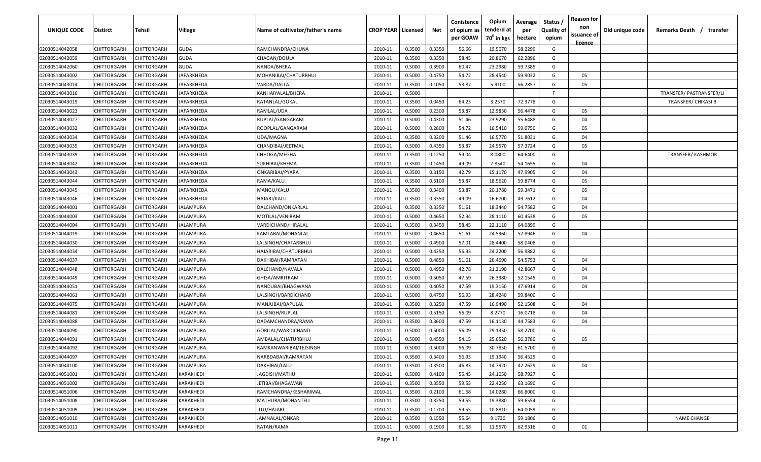| <b>UNIQUE CODE</b>               | Distirct           | Tehsil                     | Village           | Name of cultivator/father's name        | <b>CROP YEAR   Licensed</b> |        | Net              | Conistence<br>of opium as<br>per GOAW | Opium<br>tenderd at<br>70 <sup>0</sup> in kgs | Average<br>per<br>hectare | Status /<br><b>Quality of</b><br>opium | <b>Reason for</b><br>non<br>issuance of | Old unique code | Remarks Death / transfer |
|----------------------------------|--------------------|----------------------------|-------------------|-----------------------------------------|-----------------------------|--------|------------------|---------------------------------------|-----------------------------------------------|---------------------------|----------------------------------------|-----------------------------------------|-----------------|--------------------------|
| 02030514042058                   | CHITTORGARH        | CHITTORGARH                | <b>GUDA</b>       | RAMCHANDRA/CHUNA                        | 2010-11                     | 0.3500 | 0.3350           | 56.66                                 | 19.5070                                       | 58.2299                   | G                                      | <u>licence</u>                          |                 |                          |
| 02030514042059                   | CHITTORGARH        | CHITTORGARH                | <b>GUDA</b>       | CHAGAN/DOULA                            | 2010-11                     | 0.3500 | 0.3350           | 58.45                                 | 20.8670                                       | 62.2896                   | G                                      |                                         |                 |                          |
| 02030514042060                   | CHITTORGARH        | CHITTORGARH                | GUDA              | NANDA/BHERA                             | 2010-11                     | 0.5000 | 0.3900           | 60.47                                 | 23.2980                                       | 59.7385                   | G                                      |                                         |                 |                          |
| 02030514043002                   | CHITTORGARH        | CHITTORGARH                | JAFARKHEDA        | MOHANIBAI/CHATURBHUJ                    | 2010-11                     | 0.5000 | 0.4750           | 54.72                                 | 28.4540                                       | 59.9032                   | G                                      | 05                                      |                 |                          |
| 02030514043014                   | CHITTORGARH        | CHITTORGARH                | JAFARKHEDA        | VARDA/DALLA                             | 2010-11                     | 0.3500 | 0.1050           | 53.87                                 | 5.9100                                        | 56.2857                   | G                                      | 05                                      |                 |                          |
| 02030514043016                   | CHITTORGARH        | CHITTORGARH                | <b>JAFARKHEDA</b> | KANHAIYALAL/BHERA                       | 2010-11                     | 0.5000 |                  |                                       |                                               |                           | -F.                                    |                                         |                 | TRANSFER/ PASTRANSFER/LI |
| 02030514043019                   | CHITTORGARH        | <b>CHITTORGARH</b>         | IAFARKHEDA        | RATANLAL/GOKAL                          | 2010-11                     | 0.3500 | 0.0450           | 64.23                                 | 3.2570                                        | 72.3778                   | G                                      |                                         |                 | TRANSFER/ CHIKASI B      |
| 02030514043023                   | CHITTORGARH        | CHITTORGARH                | <b>IAFARKHEDA</b> | RAMLAL/UDA                              | 2010-11                     | 0.5000 | 0.2300           | 53.87                                 | 12.9830                                       | 56.4478                   | G                                      | 05                                      |                 |                          |
| 02030514043027                   | CHITTORGARH        | CHITTORGARH                | <b>IAFARKHEDA</b> | RUPLAL/GANGARAM                         | 2010-11                     | 0.5000 | 0.4300           | 51.46                                 | 23.9290                                       | 55.6488                   | G                                      | 04                                      |                 |                          |
| 02030514043032                   | CHITTORGARH        | CHITTORGARH                | IAFARKHEDA        | ROOPLAL/GANGARAM                        | 2010-11                     | 0.5000 | 0.2800           | 54.72                                 | 16.5410                                       | 59.0750                   | G                                      | 05                                      |                 |                          |
| 02030514043034                   | CHITTORGARH        | CHITTORGARH                | IAFARKHEDA        | UDA/MAGNA                               | 2010-11                     | 0.3500 | 0.3200           | 51.46                                 | 16.5770                                       | 51.8031                   | G                                      | 04                                      |                 |                          |
| 02030514043035                   | CHITTORGARH        | CHITTORGARH                | JAFARKHEDA        | CHANDIBAI/JEETMAL                       | 2010-11                     | 0.5000 | 0.4350           | 53.87                                 | 24.9570                                       | 57.3724                   | G                                      | 05                                      |                 |                          |
| 02030514043039                   | CHITTORGARH        | CHITTORGARH                | JAFARKHEDA        | CHHOGA/MEGHA                            | 2010-11                     | 0.3500 | 0.1250           | 59.04                                 | 8.0800                                        | 64.6400                   | G                                      |                                         |                 | <b>TRANSFER/ KASHMOR</b> |
| 02030514043042                   | CHITTORGARH        | CHITTORGARH                | <b>JAFARKHEDA</b> | SUKHIBAI/KHEMA                          | 2010-11                     | 0.3500 | 0.1450           | 49.09                                 | 7.8540                                        | 54.1655                   | G                                      | 04                                      |                 |                          |
| 02030514043043                   | CHITTORGARH        | CHITTORGARH                | JAFARKHEDA        | ONKARIBAI/PYARA                         | 2010-11                     | 0.3500 | 0.3150           | 42.79                                 | 15.1170                                       | 47.9905                   | G                                      | 04                                      |                 |                          |
| 02030514043044                   | CHITTORGARH        | CHITTORGARH                | JAFARKHEDA        | RAMA/KALU                               | 2010-11                     | 0.3500 | 0.3100           | 53.87                                 | 18.5620                                       | 59.8774                   | G                                      | 05                                      |                 |                          |
| 02030514043045                   | CHITTORGARH        | CHITTORGARH                | JAFARKHEDA        | MANGU/KALU                              | 2010-11                     | 0.3500 | 0.3400           | 53.87                                 | 20.1780                                       | 59.3471                   | G                                      | 05                                      |                 |                          |
| 02030514043046                   | CHITTORGARH        | CHITTORGARH                | JAFARKHEDA        | HAJARI/KALU                             | 2010-11                     | 0.3500 | 0.3350           | 49.09                                 | 16.6700                                       | 49.7612                   | G                                      | 04                                      |                 |                          |
| 02030514044001                   | CHITTORGARH        | CHITTORGARH                | IALAMPURA         | DALCHAND/ONKARLAL                       | 2010-11                     | 0.3500 | 0.3350           | 51.61                                 | 18.3440                                       | 54.7582                   | G                                      | 04                                      |                 |                          |
| 02030514044003                   | CHITTORGARH        | CHITTORGARH                | <b>IALAMPURA</b>  | MOTILAL/VENIRAM                         | 2010-11                     | 0.5000 | 0.4650           | 52.94                                 | 28.1110                                       | 60.4538                   | G                                      | 05                                      |                 |                          |
| 02030514044004                   | CHITTORGARH        | CHITTORGARH                | JALAMPURA         | VARDICHAND/HIRALAL                      | 2010-11                     | 0.3500 | 0.3450           | 58.45                                 | 22.1110                                       | 64.0899                   | G                                      |                                         |                 |                          |
| 02030514044019                   | CHITTORGARH        | CHITTORGARH                | JALAMPURA         | KAMLABAI/MOHANLAL                       | 2010-11                     | 0.5000 | 0.4650           | 51.61                                 | 24.5960                                       | 52.8946                   | G                                      | 04                                      |                 |                          |
| 02030514044030                   | CHITTORGARH        | CHITTORGARH                | IALAMPURA         | LALSINGH/CHATARBHUJ                     | 2010-11                     | 0.5000 | 0.4900           | 57.01                                 | 28.4400                                       | 58.0408                   | G                                      |                                         |                 |                          |
| 02030514044034                   | CHITTORGARH        | CHITTORGARH                | <b>IALAMPURA</b>  | HAJARIBAI/CHATURBHUJ                    | 2010-11                     | 0.5000 | 0.4250           | 56.93                                 | 24.2200                                       | 56.9882                   | G                                      |                                         |                 |                          |
| 02030514044037                   | CHITTORGARH        | CHITTORGARH                | <b>IALAMPURA</b>  | DAKHIBAI/RAMRATAN                       | 2010-11                     | 0.5000 | 0.4850           | 51.61                                 | 26.4690                                       | 54.5753                   | G                                      | 04                                      |                 |                          |
| 02030514044048                   | CHITTORGARH        | CHITTORGARH                | IALAMPURA         | DALCHAND/NAVALA                         | 2010-11                     | 0.5000 | 0.4950           | 42.78                                 | 21.2190                                       | 42.8667                   | G                                      | 04                                      |                 |                          |
| 02030514044049                   | CHITTORGARH        | CHITTORGARH                | IALAMPURA         | GHISA/AMRITRAM                          | 2010-11                     | 0.5000 | 0.5050           | 47.59                                 | 26.3380                                       | 52.1545                   | G                                      | 04                                      |                 |                          |
| 02030514044051                   | CHITTORGARH        | CHITTORGARH                | IALAMPURA         | NANDUBAI/BHAGWANA                       | 2010-11                     | 0.5000 | 0.4050           | 47.59                                 | 19.3150                                       | 47.6914                   | G                                      | 04                                      |                 |                          |
|                                  | CHITTORGARH        | CHITTORGARH                | JALAMPURA         |                                         | 2010-11                     | 0.5000 |                  | 56.93                                 | 28.4240                                       | 59.8400                   | G                                      |                                         |                 |                          |
| 02030514044061                   | CHITTORGARH        | CHITTORGARH                | JALAMPURA         | LALSINGH/BARDICHAND                     | 2010-11                     | 0.3500 | 0.4750<br>0.3250 | 47.59                                 | 16.9490                                       | 52.1508                   | G                                      | 04                                      |                 |                          |
| 02030514044075                   | CHITTORGARH        | CHITTORGARH                | JALAMPURA         | MANJUBAI/BAPULAL                        | 2010-11                     | 0.5000 | 0.5150           | 56.09                                 | 8.2770                                        | 16.0718                   | G                                      | 04                                      |                 |                          |
| 02030514044081<br>02030514044088 | CHITTORGARH        | CHITTORGARH                | JALAMPURA         | LALSINGH/RUPLAL                         | 2010-11                     | 0.3500 | 0.3600           | 47.59                                 | 16.1130                                       | 44.7583                   | G                                      | 04                                      |                 |                          |
| 02030514044090                   | CHITTORGARH        | CHITTORGARH                | JALAMPURA         | DADAMCHANDRA/RAMA<br>GORILAL/WARDICHAND | 2010-11                     | 0.5000 | 0.5000           | 56.09                                 | 29.1350                                       | 58.2700                   | G                                      |                                         |                 |                          |
|                                  |                    |                            | JALAMPURA         |                                         | 2010-11                     | 0.5000 | 0.4550           | 54.15                                 | 25.6520                                       | 56.3780                   | G                                      | 05                                      |                 |                          |
| 02030514044091                   | CHITTORGARH        | CHITTORGARH<br>CHITTORGARH | JALAMPURA         | AMBALAL/CHATURBHUJ                      | 2010-11                     | 0.5000 | 0.5000           | 56.09                                 | 30.7850                                       | 61.5700                   | G                                      |                                         |                 |                          |
| 02030514044092                   | CHITTORGARH        |                            | <b>JALAMPURA</b>  | RAMKANWARIBAI/TEJSINGH                  |                             | 0.3500 | 0.3400           |                                       | 19.1940                                       | 56.4529                   |                                        |                                         |                 |                          |
| 02030514044097                   | <b>CHITTORGARH</b> | <b>CHITTORGARH</b>         |                   | NARBDABAI/RAMRATAN                      | 2010-11                     |        |                  | 56.93                                 |                                               |                           | G                                      |                                         |                 |                          |
| 02030514044100                   | CHITTORGARH        | CHITTORGARH<br>CHITTORGARH | <b>JALAMPURA</b>  | DAKHIBAI/LALU                           | 2010-11                     | 0.3500 | 0.3500           | 46.83                                 | 14.7920                                       | 42.2629                   | G<br>G                                 | 04                                      |                 |                          |
| 02030514051001                   | <b>CHITTORGARH</b> |                            | KARAKHEDI         | JAGDISH/MATHU                           | 2010-11                     | 0.5000 | 0.4100           | 55.45                                 | 24.1050                                       | 58.7927                   |                                        |                                         |                 |                          |
| 02030514051002                   | <b>CHITTORGARH</b> | CHITTORGARH                | KARAKHEDI         | JETIBAI/BHAGAWAN                        | 2010-11                     | 0.3500 | 0.3550           | 59.55                                 | 22.4250                                       | 63.1690                   | G                                      |                                         |                 |                          |
| 02030514051006                   | CHITTORGARH        | CHITTORGARH                | KARAKHEDI         | RAMCHANDRA/KESHARIMAL                   | 2010-11                     | 0.3500 | 0.2100           | 61.68                                 | 14.0280                                       | 66.8000                   | G                                      |                                         |                 |                          |
| 02030514051008                   | CHITTORGARH        | CHITTORGARH                | KARAKHEDI         | MATHURA/MOHANTELI                       | 2010-11                     | 0.3500 | 0.3250           | 59.55                                 | 19.3880                                       | 59.6554                   | G                                      |                                         |                 |                          |
| 02030514051009                   | CHITTORGARH        | CHITTORGARH                | KARAKHEDI         | JITU/HAJARI                             | 2010-11                     | 0.3500 | 0.1700           | 59.55                                 | 10.8810                                       | 64.0059                   | G                                      |                                         |                 |                          |
| 02030514051010                   | CHITTORGARH        | CHITTORGARH                | KARAKHEDI         | JAMNALAL/ONKAR                          | 2010-11                     | 0.3500 | 0.1550           | 55.64                                 | 9.1730                                        | 59.1806                   | G                                      |                                         |                 | NAME CHANGE              |
| 02030514051011                   | CHITTORGARH        | CHITTORGARH                | KARAKHEDI         | RATAN/RAMA                              | 2010-11                     | 0.5000 | 0.1900           | 61.68                                 | 11.9570                                       | 62.9316                   | G                                      | 01                                      |                 |                          |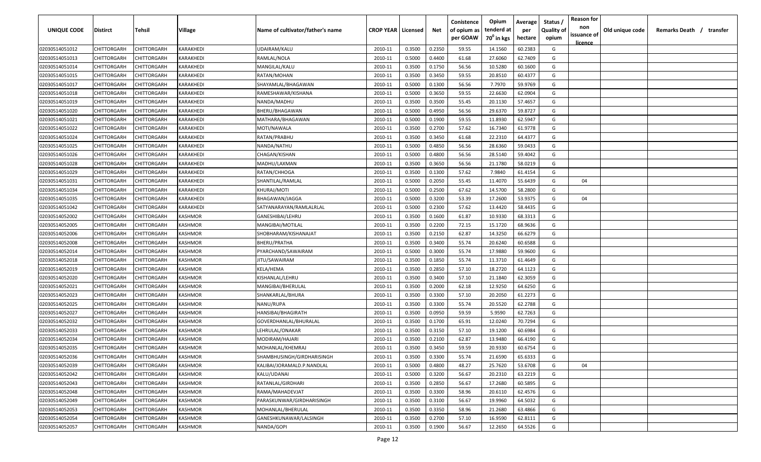| UNIQUE CODE    | Distirct           | Tehsil      | Village   | Name of cultivator/father's name | <b>CROP YEAR   Licensed</b> |        | Net    | Conistence<br>of opium as | Opium<br>tenderd at    | Average<br>per | Status /<br><b>Quality of</b> | <b>Reason for</b><br>non<br>issuance of | Old unique code | Remarks Death / transfer |
|----------------|--------------------|-------------|-----------|----------------------------------|-----------------------------|--------|--------|---------------------------|------------------------|----------------|-------------------------------|-----------------------------------------|-----------------|--------------------------|
|                |                    |             |           |                                  |                             |        |        | per GOAW                  | 70 <sup>0</sup> in kgs | hectare        | opium                         | <u>licence</u>                          |                 |                          |
| 02030514051012 | CHITTORGARH        | CHITTORGARH | KARAKHEDI | UDAIRAM/KALU                     | 2010-11                     | 0.3500 | 0.2350 | 59.55                     | 14.1560                | 60.2383        | G                             |                                         |                 |                          |
| 02030514051013 | CHITTORGARH        | CHITTORGARH | KARAKHEDI | RAMLAL/NOLA                      | 2010-11                     | 0.5000 | 0.4400 | 61.68                     | 27.6060                | 62.7409        | G                             |                                         |                 |                          |
| 02030514051014 | CHITTORGARH        | CHITTORGARH | KARAKHEDI | MANGILAL/KALU                    | 2010-11                     | 0.3500 | 0.1750 | 56.56                     | 10.5280                | 60.1600        | G                             |                                         |                 |                          |
| 02030514051015 | CHITTORGARH        | CHITTORGARH | KARAKHEDI | RATAN/MOHAN                      | 2010-11                     | 0.3500 | 0.3450 | 59.55                     | 20.8510                | 60.4377        | G                             |                                         |                 |                          |
| 02030514051017 | CHITTORGARH        | CHITTORGARH | KARAKHEDI | SHAYAMLAL/BHAGAWAN               | 2010-11                     | 0.5000 | 0.1300 | 56.56                     | 7.7970                 | 59.9769        | G                             |                                         |                 |                          |
| 02030514051018 | CHITTORGARH        | CHITTORGARH | KARAKHEDI | RAMESHAWAR/KISHANA               | 2010-11                     | 0.5000 | 0.3650 | 59.55                     | 22.6630                | 62.0904        | G                             |                                         |                 |                          |
| 02030514051019 | CHITTORGARH        | CHITTORGARH | KARAKHEDI | NANDA/MADHU                      | 2010-11                     | 0.3500 | 0.3500 | 55.45                     | 20.1130                | 57.4657        | G                             |                                         |                 |                          |
| 02030514051020 | CHITTORGARH        | CHITTORGARH | KARAKHEDI | BHERU/BHAGAWAN                   | 2010-11                     | 0.5000 | 0.4950 | 56.56                     | 29.6370                | 59.8727        | G                             |                                         |                 |                          |
| 02030514051021 | CHITTORGARH        | CHITTORGARH | KARAKHEDI | MATHARA/BHAGAWAN                 | 2010-11                     | 0.5000 | 0.1900 | 59.55                     | 11.8930                | 62.5947        | G                             |                                         |                 |                          |
| 02030514051022 | CHITTORGARH        | CHITTORGARH | KARAKHEDI | MOTI/NAWALA                      | 2010-11                     | 0.3500 | 0.2700 | 57.62                     | 16.7340                | 61.9778        | G                             |                                         |                 |                          |
| 02030514051024 | CHITTORGARH        | CHITTORGARH | KARAKHEDI | RATAN/PRABHU                     | 2010-11                     | 0.3500 | 0.3450 | 61.68                     | 22.2310                | 64.4377        | G                             |                                         |                 |                          |
| 02030514051025 | CHITTORGARH        | CHITTORGARH | KARAKHEDI | NANDA/NATHU                      | 2010-11                     | 0.5000 | 0.4850 | 56.56                     | 28.6360                | 59.0433        | G                             |                                         |                 |                          |
| 02030514051026 | CHITTORGARH        | CHITTORGARH | KARAKHEDI | CHAGAN/KISHAN                    | 2010-11                     | 0.5000 | 0.4800 | 56.56                     | 28.5140                | 59.4042        | G                             |                                         |                 |                          |
| 02030514051028 | CHITTORGARH        | CHITTORGARH | KARAKHEDI | MADHU/LAXMAN                     | 2010-11                     | 0.3500 | 0.3650 | 56.56                     | 21.1780                | 58.0219        | G                             |                                         |                 |                          |
| 02030514051029 | CHITTORGARH        | CHITTORGARH | KARAKHEDI | RATAN/CHHOGA                     | 2010-11                     | 0.3500 | 0.1300 | 57.62                     | 7.9840                 | 61.4154        | G                             |                                         |                 |                          |
| 02030514051031 | CHITTORGARH        | CHITTORGARH | KARAKHEDI | SHANTILAL/RAMLAL                 | 2010-11                     | 0.5000 | 0.2050 | 55.45                     | 11.4070                | 55.6439        | G                             | 04                                      |                 |                          |
| 02030514051034 | CHITTORGARH        | CHITTORGARH | KARAKHEDI | KHURAJ/MOTI                      | 2010-11                     | 0.5000 | 0.2500 | 67.62                     | 14.5700                | 58.2800        | G                             |                                         |                 |                          |
| 02030514051035 | CHITTORGARH        | CHITTORGARH | KARAKHEDI | BHAGAWAN/JAGGA                   | 2010-11                     | 0.5000 | 0.3200 | 53.39                     | 17.2600                | 53.9375        | G                             | 04                                      |                 |                          |
| 02030514051042 | CHITTORGARH        | CHITTORGARH | KARAKHEDI | SATYANARAYAN/RAMLALRLAL          | 2010-11                     | 0.5000 | 0.2300 | 57.62                     | 13.4420                | 58.4435        | G                             |                                         |                 |                          |
| 02030514052002 | CHITTORGARH        | CHITTORGARH | KASHMOR   | GANESHIBAI/LEHRU                 | 2010-11                     | 0.3500 | 0.1600 | 61.87                     | 10.9330                | 68.3313        | G                             |                                         |                 |                          |
| 02030514052005 | CHITTORGARH        | CHITTORGARH | KASHMOR   | MANGIBAI/MOTILAL                 | 2010-11                     | 0.3500 | 0.2200 | 72.15                     | 15.1720                | 68.9636        | G                             |                                         |                 |                          |
| 02030514052006 | CHITTORGARH        | CHITTORGARH | KASHMOR   | SHOBHARAM/KISHANAJAT             | 2010-11                     | 0.3500 | 0.2150 | 62.87                     | 14.3250                | 66.6279        | G                             |                                         |                 |                          |
| 02030514052008 | CHITTORGARH        | CHITTORGARH | KASHMOR   | BHERU/PRATHA                     | 2010-11                     | 0.3500 | 0.3400 | 55.74                     | 20.6240                | 60.6588        | G                             |                                         |                 |                          |
| 02030514052014 | CHITTORGARH        | CHITTORGARH | KASHMOR   | PYARCHAND/SAWAIRAM               | 2010-11                     | 0.5000 | 0.3000 | 55.74                     | 17.9880                | 59.9600        | G                             |                                         |                 |                          |
| 02030514052018 | CHITTORGARH        | CHITTORGARH | KASHMOR   | JITU/SAWAIRAM                    | 2010-11                     | 0.3500 | 0.1850 | 55.74                     | 11.3710                | 61.4649        | G                             |                                         |                 |                          |
| 02030514052019 | CHITTORGARH        | CHITTORGARH | KASHMOR   | KELA/HEMA                        | 2010-11                     | 0.3500 | 0.2850 | 57.10                     | 18.2720                | 64.1123        | G                             |                                         |                 |                          |
| 02030514052020 | CHITTORGARH        | CHITTORGARH | KASHMOR   | KISHANLAL/LEHRU                  | 2010-11                     | 0.3500 | 0.3400 | 57.10                     | 21.1840                | 62.3059        | G                             |                                         |                 |                          |
| 02030514052021 | CHITTORGARH        | CHITTORGARH | KASHMOR   | MANGIBAI/BHERULAL                | 2010-11                     | 0.3500 | 0.2000 | 62.18                     | 12.9250                | 64.6250        | G                             |                                         |                 |                          |
| 02030514052023 | CHITTORGARH        | CHITTORGARH | KASHMOR   | SHANKARLAL/BHURA                 | 2010-11                     | 0.3500 | 0.3300 | 57.10                     | 20.2050                | 61.2273        | G                             |                                         |                 |                          |
| 02030514052025 | CHITTORGARH        | CHITTORGARH | KASHMOR   | NANU/RUPA                        | 2010-11                     | 0.3500 | 0.3300 | 55.74                     | 20.5520                | 62.2788        | G                             |                                         |                 |                          |
| 02030514052027 | CHITTORGARH        | CHITTORGARH | KASHMOR   | HANSIBAI/BHAGIRATH               | 2010-11                     | 0.3500 | 0.0950 | 59.59                     | 5.9590                 | 62.7263        | G                             |                                         |                 |                          |
| 02030514052032 | CHITTORGARH        | CHITTORGARH | KASHMOR   | GOVERDHANLAL/BHURALAL            | 2010-11                     | 0.3500 | 0.1700 | 65.91                     | 12.0240                | 70.7294        | G                             |                                         |                 |                          |
| 02030514052033 | CHITTORGARH        | CHITTORGARH | KASHMOR   | LEHRULAL/ONAKAR                  | 2010-11                     | 0.3500 | 0.3150 | 57.10                     | 19.1200                | 60.6984        | G                             |                                         |                 |                          |
| 02030514052034 | CHITTORGARH        | CHITTORGARH | KASHMOR   | MODIRAM/HAJARI                   | 2010-11                     | 0.3500 | 0.2100 | 62.87                     | 13.9480                | 66.4190        | G                             |                                         |                 |                          |
| 02030514052035 | CHITTORGARH        | CHITTORGARH | KASHMOR   | MOHANLAL/KHEMRAJ                 | 2010-11                     | 0.3500 | 0.3450 | 59.59                     | 20.9330                | 60.6754        | G                             |                                         |                 |                          |
| 02030514052036 | <b>CHITTORGARH</b> | CHITTORGARH | KASHMOR   | SHAMBHUSINGH/GIRDHARISINGH       | 2010-11                     | 0.3500 | 0.3300 | 55.74                     | 21.6590                | 65.6333        | G                             |                                         |                 |                          |
| 02030514052039 | CHITTORGARH        | CHITTORGARH | KASHMOR   | KALIBAI/JORAMALD.P.NANDLAL       | 2010-11                     | 0.5000 | 0.4800 | 48.27                     | 25.7620                | 53.6708        | G                             | 04                                      |                 |                          |
| 02030514052042 | <b>CHITTORGARH</b> | CHITTORGARH | KASHMOR   | KALU/UDANAI                      | 2010-11                     | 0.5000 | 0.3200 | 56.67                     | 20.2310                | 63.2219        | G                             |                                         |                 |                          |
| 02030514052043 | <b>CHITTORGARH</b> | CHITTORGARH | KASHMOR   | RATANLAL/GIRDHARI                | 2010-11                     | 0.3500 | 0.2850 | 56.67                     | 17.2680                | 60.5895        | G                             |                                         |                 |                          |
| 02030514052048 | CHITTORGARH        | CHITTORGARH | KASHMOR   | RAMA/MAHADEVJAT                  | 2010-11                     | 0.3500 | 0.3300 | 58.96                     | 20.6110                | 62.4576        | G                             |                                         |                 |                          |
| 02030514052049 | CHITTORGARH        | CHITTORGARH | KASHMOR   | PARASKUNWAR/GIRDHARISINGH        | 2010-11                     | 0.3500 | 0.3100 | 56.67                     | 19.9960                | 64.5032        | G                             |                                         |                 |                          |
| 02030514052053 | CHITTORGARH        | CHITTORGARH | KASHMOR   | MOHANLAL/BHERULAL                | 2010-11                     | 0.3500 | 0.3350 | 58.96                     | 21.2680                | 63.4866        | G                             |                                         |                 |                          |
| 02030514052054 | CHITTORGARH        | CHITTORGARH | KASHMOR   | GANESHKUNAWAR/LALSINGH           | 2010-11                     | 0.3500 | 0.2700 | 57.10                     | 16.9590                | 62.8111        | G                             |                                         |                 |                          |
| 02030514052057 | CHITTORGARH        | CHITTORGARH | KASHMOR   | NANDA/GOPI                       | 2010-11                     | 0.3500 | 0.1900 | 56.67                     | 12.2650                | 64.5526        | G                             |                                         |                 |                          |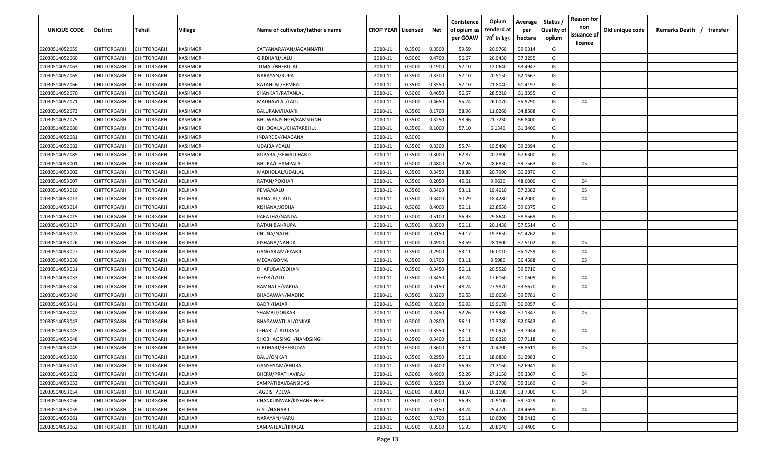| UNIQUE CODE    | Distirct    | Tehsil             | Village        | Name of cultivator/father's name | <b>CROP YEAR   Licensed</b> |        | Net    | Conistence<br>of opium as<br>per GOAW | Opium<br>tenderd at<br>70 <sup>0</sup> in kgs | Average<br>per<br>hectare | Status /<br><b>Quality of</b><br>opium | <b>Reason for</b><br>non<br>issuance of<br><u>licence</u> | Old unique code | Remarks Death /<br>transfer |
|----------------|-------------|--------------------|----------------|----------------------------------|-----------------------------|--------|--------|---------------------------------------|-----------------------------------------------|---------------------------|----------------------------------------|-----------------------------------------------------------|-----------------|-----------------------------|
| 02030514052059 | CHITTORGARH | CHITTORGARH        | KASHMOR        | SATYANARAYAN/JAGANNATH           | 2010-11                     | 0.3500 | 0.3500 | 59.59                                 | 20.9760                                       | 59.9314                   | G                                      |                                                           |                 |                             |
| 02030514052060 | CHITTORGARH | CHITTORGARH        | KASHMOR        | GIRDHARI/LALU                    | 2010-11                     | 0.5000 | 0.4700 | 56.67                                 | 26.9430                                       | 57.3255                   | G                                      |                                                           |                 |                             |
| 02030514052063 | CHITTORGARH | CHITTORGARH        | KASHMOR        | JITMAL/BHERULAL                  | 2010-11                     | 0.5000 | 0.1900 | 57.10                                 | 12.0640                                       | 63.4947                   | G                                      |                                                           |                 |                             |
| 02030514052065 | CHITTORGARH | CHITTORGARH        | KASHMOR        | NARAYAN/RUPA                     | 2010-11                     | 0.3500 | 0.3300 | 57.10                                 | 20.5150                                       | 62.1667                   | G                                      |                                                           |                 |                             |
| 02030514052066 | CHITTORGARH | CHITTORGARH        | KASHMOR        | RATANLAL/HEMRAJ                  | 2010-11                     | 0.3500 | 0.3550 | 57.10                                 | 21.8040                                       | 61.4197                   | G                                      |                                                           |                 |                             |
| 02030514052070 | CHITTORGARH | CHITTORGARH        | KASHMOR        | SHANKAR/RATANLAL                 | 2010-11                     | 0.5000 | 0.4650 | 56.67                                 | 28.5210                                       | 61.3355                   | G                                      |                                                           |                 |                             |
| 02030514052071 | CHITTORGARH | <b>CHITTORGARH</b> | KASHMOR        | MADHAVLAL/LALU                   | 2010-11                     | 0.5000 | 0.4650 | 55.74                                 | 26.0070                                       | 55.9290                   | G                                      | 04                                                        |                 |                             |
| 02030514052073 | CHITTORGARH | <b>CHITTORGARH</b> | KASHMOR        | BALURAM/HAJARI                   | 2010-11                     | 0.3500 | 0.1700 | 58.96                                 | 11.0260                                       | 64.8588                   | G                                      |                                                           |                 |                             |
| 02030514052075 | CHITTORGARH | CHITTORGARH        | KASHMOR        | BHUWANISINGH/RAMSIGNH            | 2010-11                     | 0.3500 | 0.3250 | 58.96                                 | 21.7230                                       | 66.8400                   | G                                      |                                                           |                 |                             |
| 02030514052080 | CHITTORGARH | CHITTORGARH        | KASHMOR        | CHHOGALAL/CHATARBHUJ             | 2010-11                     | 0.3500 | 0.1000 | 57.10                                 | 6.1340                                        | 61.3400                   | G                                      |                                                           |                 |                             |
| 02030514052081 | CHITTORGARH | CHITTORGARH        | <b>CASHMOR</b> | INDARDEV/MAGANA                  | 2010-11                     | 0.5000 |        |                                       |                                               |                           | N                                      |                                                           |                 |                             |
| 02030514052082 | CHITTORGARH | CHITTORGARH        | <b>ASHMOR</b>  | UDAIBAI/DALU                     | 2010-11                     | 0.3500 | 0.3300 | 55.74                                 | 19.5490                                       | 59.2394                   | G                                      |                                                           |                 |                             |
| 02030514052085 | CHITTORGARH | CHITTORGARH        | KASHMOR        | RUPABAI/KEWALCHAND               | 2010-11                     | 0.3500 | 0.3000 | 62.87                                 | 20.2890                                       | 67.6300                   | G                                      |                                                           |                 |                             |
| 02030514053001 | CHITTORGARH | CHITTORGARH        | KELJHAR        | BHURA/CHAMPALAL                  | 2010-11                     | 0.5000 | 0.4800 | 52.26                                 | 28.6830                                       | 59.7563                   | G                                      | 05                                                        |                 |                             |
| 02030514053002 | CHITTORGARH | CHITTORGARH        | KELJHAR        | MADHOLAL/UDAILAL                 | 2010-11                     | 0.3500 | 0.3450 | 58.85                                 | 20.7990                                       | 60.2870                   | G                                      |                                                           |                 |                             |
| 02030514053007 | CHITTORGARH | CHITTORGARH        | KELJHAR        | RATAN/POKHAR                     | 2010-11                     | 0.3500 | 0.2050 | 45.61                                 | 9.9630                                        | 48.6000                   | G                                      | 04                                                        |                 |                             |
| 02030514053010 | CHITTORGARH | CHITTORGARH        | KELJHAR        | PEMA/KALU                        | 2010-11                     | 0.3500 | 0.3400 | 53.11                                 | 19.4610                                       | 57.2382                   | G                                      | 05                                                        |                 |                             |
| 02030514053012 | CHITTORGARH | CHITTORGARH        | KELJHAR        | NANALAL/LALU                     | 2010-11                     | 0.3500 | 0.3400 | 50.29                                 | 18.4280                                       | 54.2000                   | G                                      | 04                                                        |                 |                             |
| 02030514053014 | CHITTORGARH | CHITTORGARH        | KELJHAR        | KISHANA/JODHA                    | 2010-11                     | 0.5000 | 0.4000 | 56.11                                 | 23.8550                                       | 59.6375                   | G                                      |                                                           |                 |                             |
| 02030514053015 | CHITTORGARH | CHITTORGARH        | KELJHAR        | PARATHA/NANDA                    | 2010-11                     | 0.5000 | 0.5100 | 56.93                                 | 29.8640                                       | 58.5569                   | G                                      |                                                           |                 |                             |
| 02030514053017 | CHITTORGARH | CHITTORGARH        | KELJHAR        | RATANIBAI/RUPA                   | 2010-11                     | 0.3500 | 0.3500 | 56.11                                 | 20.1430                                       | 57.5514                   | G                                      |                                                           |                 |                             |
| 02030514053022 | CHITTORGARH | CHITTORGARH        | KELJHAR        | CHUNA/NATHU                      | 2010-11                     | 0.5000 | 0.3150 | 59.17                                 | 19.3650                                       | 61.4762                   | G                                      |                                                           |                 |                             |
| 02030514053026 | CHITTORGARH | CHITTORGARH        | KELJHAR        | KISHANA/NANDA                    | 2010-11                     | 0.5000 | 0.4900 | 53.59                                 | 28.1800                                       | 57.5102                   | G                                      | 05                                                        |                 |                             |
| 02030514053027 | CHITTORGARH | CHITTORGARH        | KELJHAR        | GANGARAM/PYARJI                  | 2010-11                     | 0.3500 | 0.2900 | 53.11                                 | 16.0010                                       | 55.1759                   | G                                      | 04                                                        |                 |                             |
| 02030514053030 | CHITTORGARH | CHITTORGARH        | KELJHAR        | MEGA/GOMA                        | 2010-11                     | 0.3500 | 0.1700 | 53.11                                 | 9.5980                                        | 56.4588                   | G                                      | 05                                                        |                 |                             |
| 02030514053031 | CHITTORGARH | CHITTORGARH        | KELJHAR        | DHAPUBAI/SOHAN                   | 2010-11                     | 0.3500 | 0.3450 | 56.11                                 | 20.5520                                       | 59.5710                   | G                                      |                                                           |                 |                             |
| 02030514053033 | CHITTORGARH | CHITTORGARH        | KELJHAR        | GHISA/LALU                       | 2010-11                     | 0.3500 | 0.3450 | 48.74                                 | 17.6160                                       | 51.0609                   | G                                      | 04                                                        |                 |                             |
| 02030514053034 | CHITTORGARH | CHITTORGARH        | <b>CELJHAR</b> | RAMNATH/VARDA                    | 2010-11                     | 0.5000 | 0.5150 | 48.74                                 | 27.5870                                       | 53.5670                   | G                                      | 04                                                        |                 |                             |
| 02030514053040 | CHITTORGARH | CHITTORGARH        | KELJHAR        | BHAGAWAN/MADHO                   | 2010-11                     | 0.3500 | 0.3200 | 56.55                                 | 19.0650                                       | 59.5781                   | G                                      |                                                           |                 |                             |
| 02030514053041 | CHITTORGARH | CHITTORGARH        | KELJHAR        | BADRI/HAJARI                     | 2010-11                     | 0.3500 | 0.3500 | 56.93                                 | 19.9170                                       | 56.9057                   | G                                      |                                                           |                 |                             |
| 02030514053042 | CHITTORGARH | CHITTORGARH        | KELJHAR        | SHAMBU/ONKAR                     | 2010-11                     | 0.5000 | 0.2450 | 52.26                                 | 13.9980                                       | 57.1347                   | G                                      | 05                                                        |                 |                             |
| 02030514053043 | CHITTORGARH | <b>CHITTORGARH</b> | KELJHAR        | BHAGAWATILAL/ONKAR               | 2010-11                     | 0.5000 | 0.2800 | 56.11                                 | 17.3780                                       | 62.0643                   | G                                      |                                                           |                 |                             |
| 02030514053045 | CHITTORGARH | CHITTORGARH        | KELJHAR        | LEHARU/LALURAM                   | 2010-11                     | 0.3500 | 0.3550 | 53.11                                 | 19.0970                                       | 53.7944                   | G                                      | 04                                                        |                 |                             |
| 02030514053048 | CHITTORGARH | CHITTORGARH        | KELJHAR        | SHOBHAGSINGH/NANDSINGH           | 2010-11                     | 0.3500 | 0.3400 | 56.11                                 | 19.6220                                       | 57.7118                   | G                                      |                                                           |                 |                             |
| 02030514053049 | CHITTORGARH | CHITTORGARH        | KELJHAR        | GIRDHARI/BHERUDAS                | 2010-11                     | 0.5000 | 0.3600 | 53.11                                 | 20.4700                                       | 56.8611                   | G                                      | 05                                                        |                 |                             |
| 02030514053050 | CHITTORGARH | CHITTORGARH        | KELJHAR        | BALU/ONKAR                       | 2010-11                     | 0.3500 | 0.2950 | 56.11                                 | 18.0830                                       | 61.2983                   | G                                      |                                                           |                 |                             |
| 02030514053051 | CHITTORGARH | CHITTORGARH        | KELJHAR        | GANSHYAM/BHURA                   | 2010-11                     | 0.3500 | 0.3400 | 56.93                                 | 21.3160                                       | 62.6941                   | G                                      |                                                           |                 |                             |
| 02030514053052 | CHITTORGARH | CHITTORGARH        | KELJHAR        | BHERU/PRATHAVIRAJ                | 2010-11                     | 0.5000 | 0.4900 | 52.26                                 | 27.1150                                       | 55.3367                   | G                                      | 04                                                        |                 |                             |
| 02030514053053 | CHITTORGARH | CHITTORGARH        | KELJHAR        | SAMPATIBAI/BANSIDAS              | 2010-11                     | 0.3500 | 0.3250 | 53.10                                 | 17.9780                                       | 55.3169                   | G                                      | 04                                                        |                 |                             |
| 02030514053054 | CHITTORGARH | CHITTORGARH        | KELJHAR        | JAGDISH/DEVA                     | 2010-11                     | 0.5000 | 0.3000 | 48.74                                 | 16.1190                                       | 53.7300                   | G                                      | 04                                                        |                 |                             |
| 02030514053056 | CHITTORGARH | CHITTORGARH        | KELJHAR        | CHANKUNWAR/KISHANSINGH           | 2010-11                     | 0.3500 | 0.3500 | 56.93                                 | 20.9100                                       | 59.7429                   | G                                      |                                                           |                 |                             |
| 02030514053059 | CHITTORGARH | CHITTORGARH        | KELJHAR        | <b>GISU/NANABIL</b>              | 2010-11                     | 0.5000 | 0.5150 | 48.74                                 | 25.4770                                       | 49.4699                   | G                                      | 04                                                        |                 |                             |
| 02030514053061 | CHITTORGARH | CHITTORGARH        | KELJHAR        | NARAYAN/NARU                     | 2010-11                     | 0.3500 | 0.1700 | 56.11                                 | 10.0200                                       | 58.9412                   | G                                      |                                                           |                 |                             |
| 02030514053062 | CHITTORGARH | CHITTORGARH        | KELJHAR        | SAMPATLAL/HIRALAL                | 2010-11                     | 0.3500 | 0.3500 | 56.93                                 | 20.8040                                       | 59.4400                   | G                                      |                                                           |                 |                             |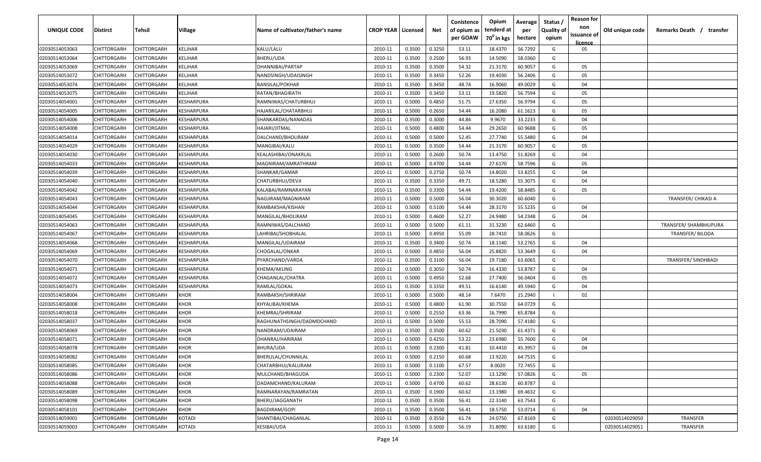| <b>UNIQUE CODE</b> | <b>Distirct</b>    | <b>Tehsil</b>      | Village        | Name of cultivator/father's name | <b>CROP YEAR   Licensed</b> |        | Net    | Conistence<br>of opium as | Opium<br>tenderd at    | Average<br>per | Status /<br><b>Quality of</b> | <b>Reason for</b><br>non      | Old unique code | Remarks Death /<br>transfer |
|--------------------|--------------------|--------------------|----------------|----------------------------------|-----------------------------|--------|--------|---------------------------|------------------------|----------------|-------------------------------|-------------------------------|-----------------|-----------------------------|
|                    |                    |                    |                |                                  |                             |        |        | per GOAW                  | 70 <sup>0</sup> in kgs | hectare        | opium                         | issuance of<br><b>licence</b> |                 |                             |
| 02030514053063     | CHITTORGARH        | CHITTORGARH        | <b>KELJHAR</b> | KALU/LALU                        | 2010-11                     | 0.3500 | 0.3250 | 53.11                     | 18.4370                | 56.7292        | G                             | 05                            |                 |                             |
| 02030514053064     | CHITTORGARH        | CHITTORGARH        | KELJHAR        | BHERU/UDA                        | 2010-11                     | 0.3500 | 0.2500 | 56.93                     | 14.5090                | 58.0360        | G                             |                               |                 |                             |
| 02030514053069     | CHITTORGARH        | CHITTORGARH        | KELJHAR        | DHANNIBAI/PARTAP                 | 2010-11                     | 0.3500 | 0.3500 | 54.32                     | 21.3170                | 60.9057        | G                             | 05                            |                 |                             |
| 02030514053072     | CHITTORGARH        | CHITTORGARH        | KELJHAR        | NANDSINGH/UDAISINGH              | 2010-11                     | 0.3500 | 0.3450 | 52.26                     | 19.4030                | 56.2406        | G                             | 05                            |                 |                             |
| 02030514053074     | CHITTORGARH        | CHITTORGARH        | KELJHAR        | <b>BANSILAL/POKHAR</b>           | 2010-11                     | 0.3500 | 0.3450 | 48.74                     | 16.9060                | 49.0029        | G                             | 04                            |                 |                             |
| 02030514053075     | CHITTORGARH        | CHITTORGARH        | KELJHAR        | RATAN/BHAGIRATH                  | 2010-11                     | 0.3500 | 0.3450 | 53.11                     | 19.5820                | 56.7594        | G                             | 05                            |                 |                             |
| 02030514054001     | CHITTORGARH        | CHITTORGARH        | KESHARPURA     | RAMNIWAS/CHATURBHUJ              | 2010-11                     | 0.5000 | 0.4850 | 51.75                     | 27.6350                | 56.9794        | G                             | 05                            |                 |                             |
| 02030514054005     | <b>CHITTORGARH</b> | CHITTORGARF        | KESHARPURA     | HAJARILAL/CHATARBHUJ             | 2010-11                     | 0.5000 | 0.2650 | 54.44                     | 16.2080                | 61.1623        | G                             | 05                            |                 |                             |
| 02030514054006     | CHITTORGARH        | CHITTORGARH        | KESHARPURA     | SHANKARDAS/NANADAS               | 2010-11                     | 0.3500 | 0.3000 | 44.84                     | 9.9670                 | 33.2233        | G                             | 04                            |                 |                             |
| 02030514054008     | CHITTORGARH        | CHITTORGARH        | KESHARPURA     | HAJARI/JITMAL                    | 2010-11                     | 0.5000 | 0.4800 | 54.44                     | 29.2650                | 60.9688        | G                             | 05                            |                 |                             |
| 02030514054014     | CHITTORGARH        | CHITTORGARH        | KESHARPURA     | DALCHAND/BHOLIRAM                | 2010-11                     | 0.5000 | 0.5000 | 52.45                     | 27.7740                | 55.5480        | G                             | 04                            |                 |                             |
| 02030514054029     | CHITTORGARH        | CHITTORGARH        | KESHARPURA     | MANGIBAI/KALU                    | 2010-11                     | 0.5000 | 0.3500 | 54.44                     | 21.3170                | 60.9057        | G                             | 05                            |                 |                             |
| 02030514054030     | CHITTORGARH        | CHITTORGARH        | KESHARPURA     | KEALASHIBAI/ONAKRLAL             | 2010-11                     | 0.5000 | 0.2600 | 50.74                     | 13.4750                | 51.8269        | G                             | 04                            |                 |                             |
| 02030514054033     | CHITTORGARH        | CHITTORGARH        | KESHARPURA     | MAGNIRAM/AMRATHRAM               | 2010-11                     | 0.5000 | 0.4700 | 54.44                     | 27.6170                | 58.7596        | G                             | 05                            |                 |                             |
| 02030514054039     | CHITTORGARH        | CHITTORGARH        | KESHARPURA     | SHANKAR/GAMAR                    | 2010-11                     | 0.5000 | 0.2750 | 50.74                     | 14.8020                | 53.8255        | G                             | 04                            |                 |                             |
| 02030514054040     | CHITTORGARH        | CHITTORGARH        | KESHARPURA     | CHATURBHUJ/DEVJI                 | 2010-11                     | 0.3500 | 0.3350 | 49.71                     | 18.5280                | 55.3075        | G                             | 04                            |                 |                             |
| 02030514054042     | CHITTORGARH        | CHITTORGARF        | KESHARPURA     | KALABAI/RAMNARAYAN               | 2010-11                     | 0.3500 | 0.3300 | 54.44                     | 19.4200                | 58.8485        | G                             | 05                            |                 |                             |
| 02030514054043     | CHITTORGARH        | CHITTORGARH        | KESHARPURA     | NAGJIRAM/MAGNIRAM                | 2010-11                     | 0.5000 | 0.5000 | 56.04                     | 30.3020                | 60.6040        | G                             |                               |                 | TRANSFER/ CHIKASI A         |
| 02030514054044     | CHITTORGARH        | CHITTORGARH        | KESHARPURA     | RAMBAKSHA/KISHAN                 | 2010-11                     | 0.5000 | 0.5100 | 54.44                     | 28.3170                | 55.5235        | G                             | 04                            |                 |                             |
| 02030514054045     | CHITTORGARH        | CHITTORGARH        | KESHARPURA     | MANGILAL/BHOLIRAM                | 2010-11                     | 0.5000 | 0.4600 | 52.27                     | 24.9480                | 54.2348        | G                             | 04                            |                 |                             |
| 02030514054063     | CHITTORGARH        | CHITTORGARH        | KESHARPURA     | RAMNIWAS/DALCHAND                | 2010-11                     | 0.5000 | 0.5000 | 61.11                     | 31.3230                | 62.6460        | G                             |                               |                 | TRANSFER/ SHAMBHUPURA       |
| 02030514054067     | CHITTORGARH        | CHITTORGARH        | KESHARPURA     | LAHRIBAI/SHOBHALAL               | 2010-11                     | 0.5000 | 0.4950 | 55.09                     | 28.7410                | 58.0626        | G                             |                               |                 | <b>TRANSFER/BILODA</b>      |
| 02030514054068     | CHITTORGARH        | CHITTORGARH        | KESHARPURA     | MANGILAL/UDAIRAM                 | 2010-11                     | 0.3500 | 0.3400 | 50.74                     | 18.1140                | 53.2765        | G                             | 04                            |                 |                             |
| 02030514054069     | CHITTORGARH        | CHITTORGARH        | KESHARPURA     | CHOGALAL/ONKAR                   | 2010-11                     | 0.5000 | 0.4850 | 56.04                     | 25.8820                | 53.3649        | G                             | 04                            |                 |                             |
| 02030514054070     | CHITTORGARH        | <b>CHITTORGARF</b> | KESHARPURA     | PYARCHAND/VARDA                  | 2010-11                     | 0.3500 | 0.3100 | 56.04                     | 19.7180                | 63.6065        | G                             |                               |                 | <b>TRANSFER/ SINDHBADI</b>  |
| 02030514054071     | CHITTORGARH        | CHITTORGARH        | KESHARPURA     | KHEMA/AKLING                     | 2010-11                     | 0.5000 | 0.3050 | 50.74                     | 16.4330                | 53.8787        | G                             | 04                            |                 |                             |
| 02030514054072     | CHITTORGARH        | CHITTORGARH        | KESHARPURA     | CHAGANLAL/CHATRA                 | 2010-11                     | 0.5000 | 0.4950 | 52.68                     | 27.7400                | 56.0404        | G                             | 05                            |                 |                             |
| 02030514054073     | CHITTORGARH        | CHITTORGARH        | KESHARPURA     | RAMLAL/GOKAL                     | 2010-11                     | 0.3500 | 0.3350 | 49.51                     | 16.6140                | 49.5940        | G                             | 04                            |                 |                             |
| 02030514058004     | CHITTORGARH        | <b>CHITTORGARH</b> | KHOR           | RAMBAKSH/SHRIRAM                 | 2010-11                     | 0.5000 | 0.5000 | 48.14                     | 7.6470                 | 15.2940        |                               | 02                            |                 |                             |
| 02030514058008     | CHITTORGARH        | CHITTORGARH        | KHOR           | KHYALIBAI/KHEMA                  | 2010-11                     | 0.5000 | 0.4800 | 61.90                     | 30.7550                | 64.0729        | G                             |                               |                 |                             |
| 02030514058018     | CHITTORGARH        | CHITTORGARH        | KHOR           | KHEMRAJ/SHRIRAM                  | 2010-11                     | 0.5000 | 0.2550 | 63.36                     | 16.7990                | 65.8784        | G                             |                               |                 |                             |
| 02030514058037     | CHITTORGARH        | CHITTORGARH        | KHOR           | RAGHUNATHSINGH/DADMDCHAND        | 2010-11                     | 0.5000 | 0.5000 | 55.53                     | 28.7090                | 57.4180        | G                             |                               |                 |                             |
| 02030514058069     | CHITTORGARH        | CHITTORGARH        | <b>KHOR</b>    | NANDRAM/UDAIRAM                  | 2010-11                     | 0.3500 | 0.3500 | 60.62                     | 21.5030                | 61.4371        | G                             |                               |                 |                             |
| 02030514058071     | CHITTORGARH        | CHITTORGARH        | <b>KHOR</b>    | DHANRAJ/HARIRAM                  | 2010-11                     | 0.5000 | 0.4250 | 53.22                     | 23.6980                | 55.7600        | G                             | 04                            |                 |                             |
| 02030514058078     | <b>CHITTORGARH</b> | CHITTORGARH        | KHOR           | <b>BHURA/UDA</b>                 | 2010-11                     | 0.5000 | 0.2300 | 41.81                     | 10.4410                | 45.3957        | G                             | 04                            |                 |                             |
| 02030514058082     | CHITTORGARH        | <b>CHITTORGARH</b> | <b>KHOR</b>    | BHERULAL/CHUNNILAL               | 2010-11                     | 0.5000 | 0.2150 | 60.68                     | 13.9220                | 64.7535        | G                             |                               |                 |                             |
| 02030514058085     | <b>CHITTORGARH</b> | CHITTORGARH        | <b>KHOR</b>    | CHATARBHUJ/KALURAM               | 2010-11                     | 0.5000 | 0.1100 | 67.57                     | 8.0020                 | 72.7455        | G                             |                               |                 |                             |
| 02030514058086     | CHITTORGARH        | CHITTORGARH        | <b>KHOR</b>    | MULCHAND/BHAGUDA                 | 2010-11                     | 0.5000 | 0.2300 | 52.07                     | 13.1290                | 57.0826        | G                             | 05                            |                 |                             |
| 02030514058088     | CHITTORGARH        | CHITTORGARH        | <b>KHOR</b>    | DADAMCHAND/KALURAM               | 2010-11                     | 0.5000 | 0.4700 | 60.62                     | 28.6130                | 60.8787        | G                             |                               |                 |                             |
| 02030514058089     | CHITTORGARH        | CHITTORGARH        | <b>KHOR</b>    | RAMNARAYAN/RAMRATAN              | 2010-11                     | 0.3500 | 0.1900 | 60.62                     | 13.1980                | 69.4632        | G                             |                               |                 |                             |
| 02030514058098     | CHITTORGARH        | CHITTORGARH        | KHOR           | BHERU/JAGGANATH                  | 2010-11                     | 0.3500 | 0.3500 | 56.41                     | 22.3140                | 63.7543        | G                             |                               |                 |                             |
| 02030514058101     | CHITTORGARH        | CHITTORGARH        | KHOR           | <b>BAGDIRAM/GOPI</b>             | 2010-11                     | 0.3500 | 0.3500 | 56.41                     | 18.5750                | 53.0714        | G                             | 04                            |                 |                             |
| 02030514059001     | CHITTORGARH        | CHITTORGARH        | KOTADI         | SHANTIBAI/CHAGANLAL              | 2010-11                     | 0.3500 | 0.3550 | 61.74                     | 24.0750                | 67.8169        | G                             |                               | 02030514029050  | TRANSFER                    |
| 02030514059003     | CHITTORGARH        | CHITTORGARH        | KOTADI         | KESIBAI/UDA                      | 2010-11                     | 0.5000 | 0.5000 | 56.19                     | 31.8090                | 63.6180        | G                             |                               | 02030514029051  | TRANSFER                    |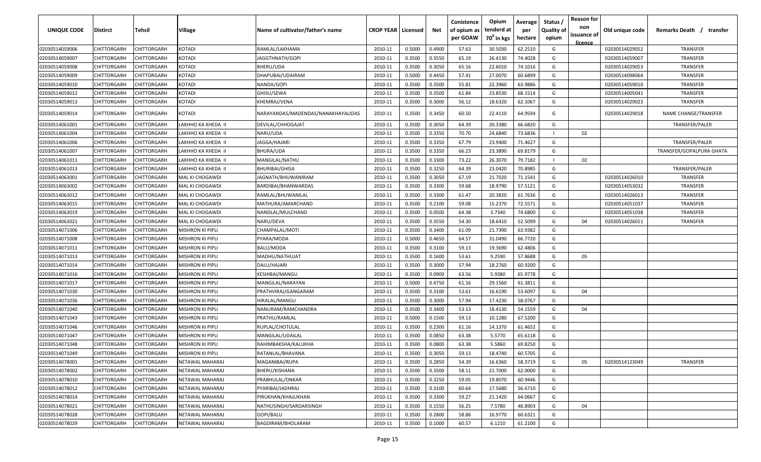| <b>UNIQUE CODE</b> | Distirct           | Tehsil             | Village                 | Name of cultivator/father's name   | <b>CROP YEAR   Licensed</b> |        | Net    | Conistence<br>of opium as<br>per GOAW | Opium<br>tenderd at<br>$70^0$ in kgs | Average<br>per<br>hectare | Status /<br><b>Quality of</b><br>opium | <b>Reason for</b><br>non<br>issuance of<br>licence | Old unique code | Remarks Death /<br>transfer |
|--------------------|--------------------|--------------------|-------------------------|------------------------------------|-----------------------------|--------|--------|---------------------------------------|--------------------------------------|---------------------------|----------------------------------------|----------------------------------------------------|-----------------|-----------------------------|
| 02030514059006     | CHITTORGARH        | CHITTORGARH        | <b>KOTADI</b>           | RAMLAL/LAKHAMA                     | 2010-11                     | 0.5000 | 0.4900 | 57.63                                 | 30.5030                              | 62.2510                   | G                                      |                                                    | 02030514029052  | <b>TRANSFER</b>             |
| 02030514059007     | CHITTORGARH        | CHITTORGARH        | KOTADI                  | JAGGTHNATH/GOPI                    | 2010-11                     | 0.3500 | 0.3550 | 65.19                                 | 26.4130                              | 74.4028                   | G                                      |                                                    | 02030514059007  | TRANSFER                    |
| 02030514059008     | CHITTORGARH        | CHITTORGARH        | KOTADI                  | BHERU/UDA                          | 2010-11                     | 0.3500 | 0.3050 | 65.16                                 | 22.6010                              | 74.1016                   | G                                      |                                                    | 02030514029053  | TRANSFER                    |
| 02030514059009     | CHITTORGARH        | CHITTORGARH        | KOTADI                  | DHAPUBAI/UDAIRAM                   | 2010-11                     | 0.5000 | 0.4450 | 57.41                                 | 27.0070                              | 60.6899                   | G                                      |                                                    | 02030514098064  | TRANSFER                    |
| 02030514059010     | CHITTORGARH        | CHITTORGARH        | KOTADI                  | NANDA/GOPI                         | 2010-11                     | 0.3500 | 0.3500 | 55.81                                 | 22.3960                              | 63.9886                   | G                                      |                                                    | 02030514059010  | TRANSFER                    |
| 02030514059012     | CHITTORGARH        | CHITTORGARH        | KOTADI                  | GHISU/SEWA                         | 2010-11                     | 0.3500 | 0.3500 | 61.84                                 | 23.8530                              | 68.1514                   | G                                      |                                                    | 02030514005041  | TRANSFER                    |
| 02030514059013     | CHITTORGARH        | CHITTORGARH        | KOTADI                  | KHEMRAJ/VENA                       | 2010-11                     | 0.3500 | 0.3000 | 56.12                                 | 18.6320                              | 62.1067                   | G                                      |                                                    | 02030514029023  | TRANSFER                    |
| 02030514059014     | CHITTORGARH        | CHITTORGARH        | KOTADI                  | NARAYANDAS/MADENDAS/NANAKHAYALIDAS | 2010-11                     | 0.3500 | 0.3450 | 60.50                                 | 22.4110                              | 64.9594                   | G                                      |                                                    | 02030514029018  | NAME CHANGE/TRANSFER        |
| 02030514061001     | CHITTORGARH        | CHITTORGARH        | LAKHHO KA KHEDA II      | DEVILAL/CHHOGAJAT                  | 2010-11                     | 0.3500 | 0.3050 | 64.39                                 | 20.3380                              | 66.6820                   | G                                      |                                                    |                 | TRANSFER/PALER              |
| 02030514061004     | CHITTORGARH        | CHITTORGARH        | LAKHHO KA KHEDA II      | NARU/UDA                           | 2010-11                     | 0.3500 | 0.3350 | 70.70                                 | 24.6840                              | 73.6836                   |                                        | 02                                                 |                 |                             |
| 02030514061006     | CHITTORGARH        | CHITTORGARH        | LAKHHO KA KHEDA II      | JAGGA/HAJARI                       | 2010-11                     | 0.3500 | 0.3350 | 67.79                                 | 23.9400                              | 71.4627                   | G                                      |                                                    |                 | TRANSFER/PALER              |
| 02030514061007     | CHITTORGARH        | CHITTORGARH        | LAKHHO KA KHEDA II      | BHURA/UDA                          | 2010-11                     | 0.3500 | 0.3350 | 66.23                                 | 23.3890                              | 69.8179                   | G                                      |                                                    |                 | TRANSFER/GOPALPURA GHATA    |
| 02030514061011     | CHITTORGARH        | CHITTORGARH        | LAKHHO KA KHEDA II      | MANGILAL/NATHU                     | 2010-11                     | 0.3500 | 0.3300 | 73.22                                 | 26.3070                              | 79.7182                   |                                        | 02                                                 |                 |                             |
| 02030514061013     | CHITTORGARH        | CHITTORGARH        | LAKHHO KA KHEDA II      | <b>BHURIBAI/GHISA</b>              | 2010-11                     | 0.3500 | 0.3250 | 64.39                                 | 23.0420                              | 70.8985                   | G                                      |                                                    |                 | TRANSFER/PALER              |
| 02030514063001     | CHITTORGARH        | CHITTORGARH        | MAL KI CHOGAWDI         | IAGNATH/BHUWANIRAM                 | 2010-11                     | 0.3500 | 0.3050 | 67.19                                 | 21.7020                              | 71.1541                   | G                                      |                                                    | 02030514026010  | TRANSFER                    |
| 02030514063002     | CHITTORGARH        | CHITTORGARH        | MAL KI CHOGAWDI         | BARDIBAI/BHANWARDAS                | 2010-11                     | 0.3500 | 0.3300 | 59.68                                 | 18.9790                              | 57.5121                   | G                                      |                                                    | 02030514053032  | <b>TRANSFER</b>             |
| 02030514063012     | CHITTORGARH        | CHITTORGARH        | MAL KI CHOGAWDI         | RAMLAL/BHUWANILAL                  | 2010-11                     | 0.3500 | 0.3300 | 61.47                                 | 20.3820                              | 61.7636                   | G                                      |                                                    | 02030514026013  | TRANSFER                    |
| 02030514063015     | CHITTORGARH        | CHITTORGARH        | MAL KI CHOGAWDI         | MATHURA/AMARCHAND                  | 2010-11                     | 0.3500 | 0.2100 | 59.08                                 | 15.2370                              | 72.5571                   | G                                      |                                                    | 02030514051037  | TRANSFER                    |
| 02030514063019     | CHITTORGARH        | CHITTORGARH        | MAL KI CHOGAWDI         | NANDLAL/MULCHAND                   | 2010-11                     | 0.3500 | 0.0500 | 64.38                                 | 3.7340                               | 74.6800                   | G                                      |                                                    | 02030514051038  | TRANSFER                    |
| 02030514063021     | CHITTORGARH        | CHITTORGARH        | MAL KI CHOGAWDI         | NARU/DEVA                          | 2010-11                     | 0.3500 | 0.3550 | 54.30                                 | 18.6410                              | 52.5099                   | G                                      | 04                                                 | 02030514026011  | <b>TRANSFER</b>             |
| 02030514071006     | CHITTORGARH        | CHITTORGARH        | <b>MISHRON KI PIPLI</b> | CHAMPALAL/MOTI                     | 2010-11                     | 0.3500 | 0.3400 | 61.09                                 | 21.7390                              | 63.9382                   | G                                      |                                                    |                 |                             |
| 02030514071008     | CHITTORGARH        | CHITTORGARH        | MISHRON KI PIPLI        | PYARA/MODA                         | 2010-11                     | 0.5000 | 0.4650 | 64.57                                 | 31.0490                              | 66.7720                   | G                                      |                                                    |                 |                             |
| 02030514071011     | CHITTORGARH        | CHITTORGARH        | MISHRON KI PIPLI        | BALU/MODA                          | 2010-11                     | 0.3500 | 0.3100 | 59.13                                 | 19.3690                              | 62.4806                   | G                                      |                                                    |                 |                             |
| 02030514071013     | CHITTORGARH        | CHITTORGARH        | MISHRON KI PIPLI        | MADHU/NATHUJAT                     | 2010-11                     | 0.3500 | 0.1600 | 53.61                                 | 9.2590                               | 57.8688                   | G                                      | 05                                                 |                 |                             |
| 02030514071014     | CHITTORGARH        | CHITTORGARH        | <b>MISHRON KI PIPLI</b> | DALU/HAJARI                        | 2010-11                     | 0.3500 | 0.3000 | 57.94                                 | 18.2760                              | 60.9200                   | G                                      |                                                    |                 |                             |
| 02030514071016     | CHITTORGARH        | CHITTORGARH        | MISHRON KI PIPLI        | KESHIBAI/MANGU                     | 2010-11                     | 0.3500 | 0.0900 | 63.56                                 | 5.9380                               | 65.9778                   | G                                      |                                                    |                 |                             |
| 02030514071017     | CHITTORGARH        | CHITTORGARH        | MISHRON KI PIPLI        | MANGILAL/NARAYAN                   | 2010-11                     | 0.5000 | 0.4750 | 61.16                                 | 29.1560                              | 61.3811                   | G                                      |                                                    |                 |                             |
| 02030514071030     | CHITTORGARH        | CHITTORGARH        | MISHRON KI PIPLI        | PRATHVIRAJ/GANGARAM                | 2010-11                     | 0.3500 | 0.3100 | 53.61                                 | 16.6190                              | 53.6097                   | G                                      | 04                                                 |                 |                             |
| 02030514071036     | CHITTORGARH        | CHITTORGARH        | MISHRON KI PIPLI        | HIRALAL/MANGU                      | 2010-11                     | 0.3500 | 0.3000 | 57.94                                 | 17.4230                              | 58.0767                   | G                                      |                                                    |                 |                             |
| 02030514071040     | CHITTORGARH        | CHITTORGARH        | MISHRON KI PIPLI        | NANURAM/RAMCHANDRA                 | 2010-11                     | 0.3500 | 0.3400 | 53.13                                 | 18.4130                              | 54.1559                   | G                                      | 04                                                 |                 |                             |
| 02030514071043     | CHITTORGARH        | CHITTORGARH        | MISHRON KI PIPLI        | PRATHU/RAMLAL                      | 2010-11                     | 0.5000 | 0.1500 | 59.13                                 | 10.1280                              | 67.5200                   | G                                      |                                                    |                 |                             |
| 02030514071046     | CHITTORGARH        | CHITTORGARH        | <b>MISHRON KI PIPLI</b> | RUPLAL/CHOTULAL                    | 2010-11                     | 0.3500 | 0.2300 | 61.16                                 | 14.1370                              | 61.4652                   | G                                      |                                                    |                 |                             |
| 02030514071047     | CHITTORGARH        | CHITTORGARH        | VIISHRON KI PIPLI       | MANGILAL/UDAILAL                   | 2010-11                     | 0.3500 | 0.0850 | 63.38                                 | 5.5770                               | 65.6118                   | G                                      |                                                    |                 |                             |
| 02030514071048     | <b>CHITTORGARH</b> | CHITTORGARH        | MISHRON KI PIPLI        | RAHIMBAKSHA/KALUKHA                | 2010-11                     | 0.3500 | 0.0800 | 63.38                                 | 5.5860                               | 69.8250                   | G                                      |                                                    |                 |                             |
| 02030514071049     | <b>CHITTORGARH</b> | <b>CHITTORGARH</b> | MISHRON KI PIPLI        | RATANLAL/BHAVANA                   | 2010-11                     | 0.3500 | 0.3050 | 59.13                                 | 18.4740                              | 60.5705                   | G                                      |                                                    |                 |                             |
| 02030514078001     | <b>CHITTORGARH</b> | <b>CHITTORGARH</b> | NETAWAL MAHARAJ         | MAGANIBAI/RUPA                     | 2010-11                     | 0.3500 | 0.2850 | 54.39                                 | 16.6360                              | 58.3719                   | G                                      | 05                                                 | 02030514123049  | TRANSFER                    |
| 02030514078002     | CHITTORGARH        | CHITTORGARH        | NETAWAL MAHARAJ         | BHERU/KISHANA                      | 2010-11                     | 0.3500 | 0.3500 | 58.11                                 | 21.7000                              | 62.0000                   | G                                      |                                                    |                 |                             |
| 02030514078010     | <b>CHITTORGARH</b> | CHITTORGARH        | NETAWAL MAHARAJ         | PRABHULAL/ONKAR                    | 2010-11                     | 0.3500 | 0.3250 | 59.05                                 | 19.8070                              | 60.9446                   | G                                      |                                                    |                 |                             |
| 02030514078012     | <b>CHITTORGARH</b> | CHITTORGARH        | NETAWAL MAHARAJ         | PYARIBAI/JADHRAJ                   | 2010-11                     | 0.3500 | 0.3100 | 60.64                                 | 17.5680                              | 56.6710                   | G                                      |                                                    |                 |                             |
| 02030514078014     | <b>CHITTORGARH</b> | CHITTORGARH        | NETAWAL MAHARAJ         | PIRUKHAN/KHAJUKHAN                 | 2010-11                     | 0.3500 | 0.3300 | 59.27                                 | 21.1420                              | 64.0667                   | G                                      |                                                    |                 |                             |
| 02030514078021     | CHITTORGARH        | CHITTORGARH        | NETAWAL MAHARAJ         | NATHUSINGH/SARDARSINGH             | 2010-11                     | 0.3500 | 0.1550 | 56.25                                 | 7.5780                               | 48.8903                   | G                                      | 04                                                 |                 |                             |
| 02030514078028     | <b>CHITTORGARH</b> | CHITTORGARH        | NETAWAL MAHARAJ         | GOPI/BALU                          | 2010-11                     | 0.3500 | 0.2800 | 58.86                                 | 16.9770                              | 60.6321                   | G                                      |                                                    |                 |                             |
| 02030514078029     | CHITTORGARH        | CHITTORGARH        | NETAWAL MAHARAJ         | BAGDIRAM/BHOLARAM                  | 2010-11                     | 0.3500 | 0.1000 | 60.57                                 | 6.1210                               | 61.2100                   | G                                      |                                                    |                 |                             |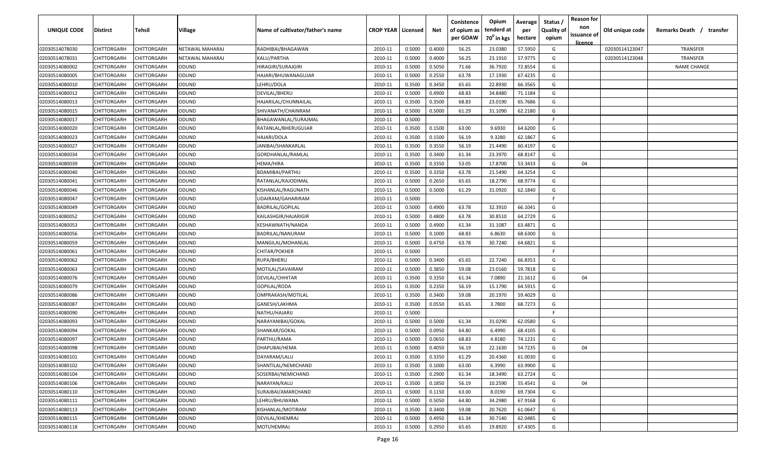| <b>UNIQUE CODE</b> | Distirct           | Tehsil             | Village         | Name of cultivator/father's name | <b>CROP YEAR   Licensed</b> |        | Net    | Conistence<br>of opium as<br>per GOAW | Opium<br>tenderd at<br>70 <sup>0</sup> in kgs | Average<br>per<br>hectare | Status /<br><b>Quality of</b><br>opium | <b>Reason for</b><br>non<br>issuance of | Old unique code | Remarks Death / transfer |
|--------------------|--------------------|--------------------|-----------------|----------------------------------|-----------------------------|--------|--------|---------------------------------------|-----------------------------------------------|---------------------------|----------------------------------------|-----------------------------------------|-----------------|--------------------------|
| 02030514078030     | CHITTORGARH        | CHITTORGARH        | NETAWAL MAHARAJ | RADHIBAI/BHAGAWAN                | 2010-11                     | 0.5000 | 0.4000 | 56.25                                 | 23.0380                                       | 57.5950                   | G                                      | <u>licence</u>                          | 02030514123047  | TRANSFER                 |
| 02030514078031     | CHITTORGARH        | CHITTORGARH        | NETAWAL MAHARAJ | KALU/PARTHA                      | 2010-11                     | 0.5000 | 0.4000 | 56.25                                 | 23.1910                                       | 57.9775                   | G                                      |                                         | 02030514123048  | <b>TRANSFER</b>          |
| 02030514080002     | CHITTORGARH        | CHITTORGARH        | ODUND           | HIRAGIRI/SURAJGIRI               | 2010-11                     | 0.5000 | 0.5050 | 71.66                                 | 36.7920                                       | 72.8554                   | G                                      |                                         |                 | <b>NAME CHANGE</b>       |
| 02030514080005     | CHITTORGARH        | CHITTORGARH        | ODUND           | HAJARI/BHUWANAGUJAR              | 2010-11                     | 0.5000 | 0.2550 | 63.78                                 | 17.1930                                       | 67.4235                   | G                                      |                                         |                 |                          |
| 02030514080010     | CHITTORGARH        | CHITTORGARH        | ODUND           | LEHRU/DOLA                       | 2010-11                     | 0.3500 | 0.3450 | 65.65                                 | 22.8930                                       | 66.3565                   | G                                      |                                         |                 |                          |
| 02030514080012     | CHITTORGARH        | CHITTORGARH        | ODUND           | DEVILAL/BHERU                    | 2010-11                     | 0.5000 | 0.4900 | 68.83                                 | 34.8480                                       | 71.1184                   | G                                      |                                         |                 |                          |
| 02030514080013     | CHITTORGARH        | CHITTORGARH        | ODUND           | HAJARILAL/CHUNNAILAL             | 2010-11                     | 0.3500 | 0.3500 | 68.83                                 | 23.0190                                       | 65.7686                   | G                                      |                                         |                 |                          |
| 02030514080015     | CHITTORGARH        | CHITTORGARH        | ODUND           | SHIVANATH/CHAINRAM               | 2010-11                     | 0.5000 | 0.5000 | 61.29                                 | 31.1090                                       | 62.2180                   | G                                      |                                         |                 |                          |
| 02030514080017     | CHITTORGARH        | CHITTORGARH        | ODUND           | BHAGAWANLAL/SURAJMAL             | 2010-11                     | 0.5000 |        |                                       |                                               |                           | -F.                                    |                                         |                 |                          |
| 02030514080020     | CHITTORGARH        | CHITTORGARH        | ODUND           | RATANLAL/BHERUGUJAR              | 2010-11                     | 0.3500 | 0.1500 | 63.00                                 | 9.6930                                        | 64.6200                   | G                                      |                                         |                 |                          |
| 02030514080023     | CHITTORGARH        | CHITTORGARH        | ODUND           | HAJARI/DOLA                      | 2010-11                     | 0.3500 | 0.1500 | 56.19                                 | 9.3280                                        | 62.1867                   | G                                      |                                         |                 |                          |
| 02030514080027     | CHITTORGARH        | CHITTORGARH        | ODUND           | JANIBAI/SHANKARLAL               | 2010-11                     | 0.3500 | 0.3550 | 56.19                                 | 21.4490                                       | 60.4197                   | G                                      |                                         |                 |                          |
| 02030514080034     | CHITTORGARH        | CHITTORGARH        | ODUND           | GORDHANLAL/RAMLAL                | 2010-11                     | 0.3500 | 0.3400 | 61.34                                 | 23.3970                                       | 68.8147                   | G                                      |                                         |                 |                          |
| 02030514080039     | CHITTORGARH        | CHITTORGARH        | ODUND           | HEMA/HIRA                        | 2010-11                     | 0.3500 | 0.3350 | 53.05                                 | 17.8700                                       | 53.3433                   | G                                      | 04                                      |                 |                          |
| 02030514080040     | CHITTORGARH        | CHITTORGARH        | ODUND           | BDAMIBAI/PARTHU                  | 2010-11                     | 0.3500 | 0.3350 | 63.78                                 | 21.5490                                       | 64.3254                   | G                                      |                                         |                 |                          |
| 02030514080041     | CHITTORGARH        | CHITTORGARH        | ODUND           | RATANLAL/KAJODIMAL               | 2010-11                     | 0.5000 | 0.2650 | 65.65                                 | 18.2790                                       | 68.9774                   | G                                      |                                         |                 |                          |
| 02030514080046     | CHITTORGARH        | CHITTORGARH        | ODUND           | KISHANLAL/RAGUNATH               | 2010-11                     | 0.5000 | 0.5000 | 61.29                                 | 31.0920                                       | 62.1840                   | G                                      |                                         |                 |                          |
| 02030514080047     | CHITTORGARH        | CHITTORGARH        | ODUND           | UDAIRAM/GAHARIRAM                | 2010-11                     | 0.5000 |        |                                       |                                               |                           | F                                      |                                         |                 |                          |
| 02030514080049     | CHITTORGARH        | CHITTORGARH        | ODUND           | BADRILAL/GOPILAL                 | 2010-11                     | 0.5000 | 0.4900 | 63.78                                 | 32.3910                                       | 66.1041                   | G                                      |                                         |                 |                          |
| 02030514080052     | CHITTORGARH        | CHITTORGARH        | ODUND           | KAILASHGIR/HAJARIGIR             | 2010-11                     | 0.5000 | 0.4800 | 63.78                                 | 30.8510                                       | 64.2729                   | G                                      |                                         |                 |                          |
| 02030514080053     | CHITTORGARH        | CHITTORGARH        | ODUND           | KESHAWNATH/NANDA                 | 2010-11                     | 0.5000 | 0.4900 | 61.34                                 | 31.1087                                       | 63.4871                   | G                                      |                                         |                 |                          |
| 02030514080056     | CHITTORGARH        | CHITTORGARH        | ODUND           | BADRILAL/NANURAM                 | 2010-11                     | 0.5000 | 0.1000 | 68.83                                 | 6.8630                                        | 68.6300                   | G                                      |                                         |                 |                          |
| 02030514080059     | CHITTORGARH        | CHITTORGARH        | ODUND           | MANGILAL/MOHANLAL                | 2010-11                     | 0.5000 | 0.4750 | 63.78                                 | 30.7240                                       | 64.6821                   | G                                      |                                         |                 |                          |
| 02030514080061     | CHITTORGARH        | CHITTORGARH        | ODUND           | CHITAR/POKHER                    | 2010-11                     | 0.5000 |        |                                       |                                               |                           | -F.                                    |                                         |                 |                          |
| 02030514080062     | CHITTORGARH        | CHITTORGARH        | ODUND           | RUPA/BHERU                       | 2010-11                     | 0.5000 | 0.3400 | 65.65                                 | 22.7240                                       | 66.8353                   | G                                      |                                         |                 |                          |
| 02030514080063     | CHITTORGARH        | CHITTORGARH        | ODUND           | MOTILAL/SAVAIRAM                 | 2010-11                     | 0.5000 | 0.3850 | 59.08                                 | 23.0160                                       | 59.7818                   | G                                      |                                         |                 |                          |
| 02030514080076     | CHITTORGARH        | CHITTORGARH        | ODUND           | DEVILAL/CHHITAR                  | 2010-11                     | 0.3500 | 0.3350 | 61.34                                 | 7.0890                                        | 21.1612                   | G                                      | 04                                      |                 |                          |
| 02030514080079     | CHITTORGARH        | CHITTORGARH        | ODUND           | GOPILAL/RODA                     | 2010-11                     | 0.3500 | 0.2350 | 56.19                                 | 15.1790                                       | 64.5915                   | G                                      |                                         |                 |                          |
| 02030514080086     | CHITTORGARH        | CHITTORGARH        | ODUND           | OMPRAKASH/MOTILAL                | 2010-11                     | 0.3500 | 0.3400 | 59.08                                 | 20.1970                                       | 59.4029                   | G                                      |                                         |                 |                          |
| 02030514080087     | CHITTORGARH        | CHITTORGARH        | ODUND           | GANESH/LAKHMA                    | 2010-11                     | 0.3500 | 0.0550 | 65.65                                 | 3.7800                                        | 68.7273                   | G                                      |                                         |                 |                          |
| 02030514080090     | CHITTORGARH        | CHITTORGARH        | ODUND           | NATHU/HAJARIJ                    | 2010-11                     | 0.5000 |        |                                       |                                               |                           | -F.                                    |                                         |                 |                          |
| 02030514080093     | CHITTORGARH        | CHITTORGARH        | ODUND           | NARAYANIBAI/GOKAL                | 2010-11                     | 0.5000 | 0.5000 | 61.34                                 | 31.0290                                       | 62.0580                   | G                                      |                                         |                 |                          |
| 02030514080094     | CHITTORGARH        | CHITTORGARH        | ODUND           | SHANKAR/GOKAL                    | 2010-11                     | 0.5000 | 0.0950 | 64.80                                 | 6.4990                                        | 68.4105                   | G                                      |                                         |                 |                          |
| 02030514080097     | CHITTORGARH        | CHITTORGARH        | ODUND           | PARTHU/RAMA                      | 2010-11                     | 0.5000 | 0.0650 | 68.83                                 | 4.8180                                        | 74.1231                   | G                                      |                                         |                 |                          |
| 02030514080098     | CHITTORGARH        | CHITTORGARH        | ODUND           | DHAPUBAI/HEMA                    | 2010-11                     | 0.5000 | 0.4050 | 56.19                                 | 22.1630                                       | 54.7235                   | G                                      | 04                                      |                 |                          |
| 02030514080101     | <b>CHITTORGARH</b> | CHITTORGARH        | <b>ODUND</b>    | DAYARAM/LALU                     | 2010-11                     | 0.3500 | 0.3350 | 61.29                                 | 20.4360                                       | 61.0030                   | G                                      |                                         |                 |                          |
| 02030514080102     | <b>CHITTORGARH</b> | CHITTORGARH        | ODUND           | SHANTILAL/NEMICHAND              | 2010-11                     | 0.3500 | 0.1000 | 63.00                                 | 6.3990                                        | 63.9900                   | G                                      |                                         |                 |                          |
| 02030514080104     | <b>CHITTORGARH</b> | <b>CHITTORGARH</b> | ODUND           | SOSERBAI/NEMICHAND               | 2010-11                     | 0.3500 | 0.2900 | 61.34                                 | 18.3490                                       | 63.2724                   | G                                      |                                         |                 |                          |
| 02030514080106     | <b>CHITTORGARH</b> | CHITTORGARH        | ODUND           | NARAYAN/KALU                     | 2010-11                     | 0.3500 | 0.1850 | 56.19                                 | 10.2590                                       | 55.4541                   | G                                      | 04                                      |                 |                          |
| 02030514080110     | CHITTORGARH        | CHITTORGARH        | ODUND           | SURAJBAI/AMARCHAND               | 2010-11                     | 0.5000 | 0.1150 | 63.00                                 | 8.0190                                        | 69.7304                   | G                                      |                                         |                 |                          |
| 02030514080111     | CHITTORGARH        | CHITTORGARH        | ODUND           | LEHRU/BHUWANA                    | 2010-11                     | 0.5000 | 0.5050 | 64.80                                 | 34.2980                                       | 67.9168                   | G                                      |                                         |                 |                          |
| 02030514080113     | CHITTORGARH        | CHITTORGARH        | ODUND           | KISHANLAL/MOTIRAM                | 2010-11                     | 0.3500 | 0.3400 | 59.08                                 | 20.7620                                       | 61.0647                   | G                                      |                                         |                 |                          |
| 02030514080115     | CHITTORGARH        | CHITTORGARH        | ODUND           | DEVILAL/KHEMRAJ                  | 2010-11                     | 0.5000 | 0.4950 | 61.34                                 | 30.7140                                       | 62.0485                   | G                                      |                                         |                 |                          |
| 02030514080118     | CHITTORGARH        | CHITTORGARH        | <b>ODUND</b>    | MOTI/HEMRAJ                      | 2010-11                     | 0.5000 | 0.2950 | 65.65                                 | 19.8920                                       | 67.4305                   | G                                      |                                         |                 |                          |
|                    |                    |                    |                 |                                  |                             |        |        |                                       |                                               |                           |                                        |                                         |                 |                          |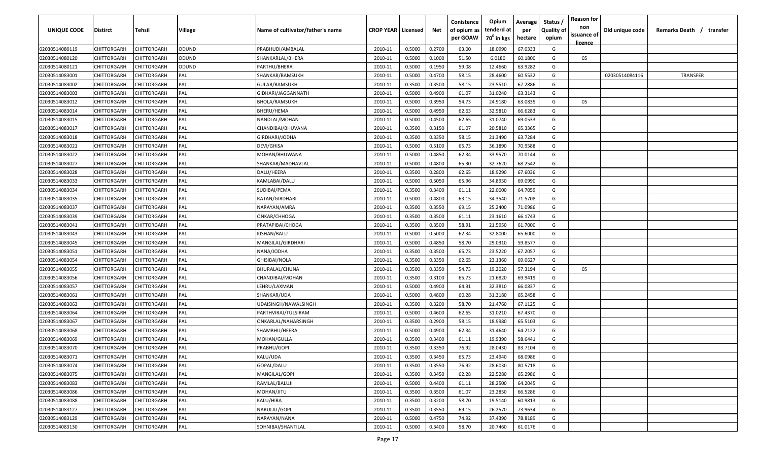| UNIQUE CODE    | Distirct           | Tehsil             | Village | Name of cultivator/father's name | <b>CROP YEAR   Licensed</b> |        | Net    | Conistence<br>of opium as<br>per GOAW | Opium<br>tenderd at<br>70 <sup>0</sup> in kgs | Average<br>per<br>hectare | Status /<br><b>Quality of</b><br>opium | <b>Reason for</b><br>non<br>issuance of<br><u>licence</u> | Old unique code | Remarks Death /<br>transfer |
|----------------|--------------------|--------------------|---------|----------------------------------|-----------------------------|--------|--------|---------------------------------------|-----------------------------------------------|---------------------------|----------------------------------------|-----------------------------------------------------------|-----------------|-----------------------------|
| 02030514080119 | CHITTORGARH        | CHITTORGARH        | ODUND   | PRABHUDI/AMBALAL                 | 2010-11                     | 0.5000 | 0.2700 | 63.00                                 | 18.0990                                       | 67.0333                   | G                                      |                                                           |                 |                             |
| 02030514080120 | CHITTORGARH        | CHITTORGARH        | ODUND   | SHANKARLAL/BHERA                 | 2010-11                     | 0.5000 | 0.1000 | 51.50                                 | 6.0180                                        | 60.1800                   | G                                      | 05                                                        |                 |                             |
| 02030514080121 | CHITTORGARH        | CHITTORGARH        | ODUND   | PARTHU/BHERA                     | 2010-11                     | 0.5000 | 0.1950 | 59.08                                 | 12.4660                                       | 63.9282                   | G                                      |                                                           |                 |                             |
| 02030514083001 | CHITTORGARH        | CHITTORGARH        | PAL     | SHANKAR/RAMSUKH                  | 2010-11                     | 0.5000 | 0.4700 | 58.15                                 | 28.4600                                       | 60.5532                   | G                                      |                                                           | 02030514084116  | <b>TRANSFER</b>             |
| 02030514083002 | CHITTORGARH        | CHITTORGARH        | PAL     | GULAB/RAMSUKH                    | 2010-11                     | 0.3500 | 0.3500 | 58.15                                 | 23.5510                                       | 67.2886                   | G                                      |                                                           |                 |                             |
| 02030514083003 | CHITTORGARH        | CHITTORGARH        | PAL     | GIDHARI/JAGGANNATH               | 2010-11                     | 0.5000 | 0.4900 | 61.07                                 | 31.0240                                       | 63.3143                   | G                                      |                                                           |                 |                             |
| 02030514083012 | CHITTORGARH        | CHITTORGARH        | PAL     | BHOLA/RAMSUKH                    | 2010-11                     | 0.5000 | 0.3950 | 54.73                                 | 24.9180                                       | 63.0835                   | G                                      | 05                                                        |                 |                             |
| 02030514083014 | CHITTORGARH        | CHITTORGARH        | PAL     | BHERU/HEMA                       | 2010-11                     | 0.5000 | 0.4950 | 62.63                                 | 32.9810                                       | 66.6283                   | G                                      |                                                           |                 |                             |
| 02030514083015 | CHITTORGARH        | CHITTORGARH        | PAL     | NANDLAL/MOHAN                    | 2010-11                     | 0.5000 | 0.4500 | 62.65                                 | 31.0740                                       | 69.0533                   | G                                      |                                                           |                 |                             |
| 02030514083017 | CHITTORGARH        | CHITTORGARH        | PAL     | CHANDIBAI/BHUVANA                | 2010-11                     | 0.3500 | 0.3150 | 61.07                                 | 20.5810                                       | 65.3365                   | G                                      |                                                           |                 |                             |
| 02030514083018 | CHITTORGARH        | CHITTORGARH        | PAL     | GIRDHARI/JODHA                   | 2010-11                     | 0.3500 | 0.3350 | 58.15                                 | 21.3490                                       | 63.7284                   | G                                      |                                                           |                 |                             |
| 02030514083021 | CHITTORGARH        | CHITTORGARH        | PAL     | DEVI/GHISA                       | 2010-11                     | 0.5000 | 0.5100 | 65.73                                 | 36.1890                                       | 70.9588                   | G                                      |                                                           |                 |                             |
| 02030514083022 | CHITTORGARH        | CHITTORGARH        | PAL     | MOHAN/BHUWANA                    | 2010-11                     | 0.5000 | 0.4850 | 62.34                                 | 33.9570                                       | 70.0144                   | G                                      |                                                           |                 |                             |
| 02030514083027 | CHITTORGARH        | CHITTORGARH        | PAL     | SHANKAR/MADHAVLAL                | 2010-11                     | 0.5000 | 0.4800 | 65.30                                 | 32.7620                                       | 68.2542                   | G                                      |                                                           |                 |                             |
| 02030514083028 | CHITTORGARH        | CHITTORGARH        | PAL     | DALU/HEERA                       | 2010-11                     | 0.3500 | 0.2800 | 62.65                                 | 18.9290                                       | 67.6036                   | G                                      |                                                           |                 |                             |
| 02030514083033 | CHITTORGARH        | CHITTORGARH        | PAL     | KAMLABAI/DALU                    | 2010-11                     | 0.5000 | 0.5050 | 65.96                                 | 34.8950                                       | 69.0990                   | G                                      |                                                           |                 |                             |
| 02030514083034 | CHITTORGARH        | CHITTORGARH        | PAL     | SUDIBAI/PEMA                     | 2010-11                     | 0.3500 | 0.3400 | 61.11                                 | 22.0000                                       | 64.7059                   | G                                      |                                                           |                 |                             |
| 02030514083035 | CHITTORGARH        | CHITTORGARH        | PAL     | RATAN/GIRDHARI                   | 2010-11                     | 0.5000 | 0.4800 | 63.15                                 | 34.3540                                       | 71.5708                   | G                                      |                                                           |                 |                             |
| 02030514083037 | CHITTORGARH        | CHITTORGARH        | PAL     | NARAYAN/AMRA                     | 2010-11                     | 0.3500 | 0.3550 | 69.15                                 | 25.2400                                       | 71.0986                   | G                                      |                                                           |                 |                             |
| 02030514083039 | CHITTORGARH        | CHITTORGARH        | PAL     | ONKAR/CHHOGA                     | 2010-11                     | 0.3500 | 0.3500 | 61.11                                 | 23.1610                                       | 66.1743                   | G                                      |                                                           |                 |                             |
| 02030514083041 | CHITTORGARH        | CHITTORGARH        | PAL     | PRATAPIBAI/CHOGA                 | 2010-11                     | 0.3500 | 0.3500 | 58.91                                 | 21.5950                                       | 61.7000                   | G                                      |                                                           |                 |                             |
| 02030514083043 | CHITTORGARH        | CHITTORGARH        | PAL     | KISHAN/BALU                      | 2010-11                     | 0.5000 | 0.5000 | 62.34                                 | 32.8000                                       | 65.6000                   | G                                      |                                                           |                 |                             |
| 02030514083045 | CHITTORGARH        | CHITTORGARH        | PAL     | MANGILAL/GIRDHARI                | 2010-11                     | 0.5000 | 0.4850 | 58.70                                 | 29.0310                                       | 59.8577                   | G                                      |                                                           |                 |                             |
| 02030514083051 | CHITTORGARH        | CHITTORGARH        | PAL     | NANA/JODHA                       | 2010-11                     | 0.3500 | 0.3500 | 65.73                                 | 23.5220                                       | 67.2057                   | G                                      |                                                           |                 |                             |
| 02030514083054 | CHITTORGARH        | CHITTORGARH        | PAL     | GHISIBAI/NOLA                    | 2010-11                     | 0.3500 | 0.3350 | 62.65                                 | 23.1360                                       | 69.0627                   | G                                      |                                                           |                 |                             |
| 02030514083055 | CHITTORGARH        | CHITTORGARH        | PAL     | BHURALAL/CHUNA                   | 2010-11                     | 0.3500 | 0.3350 | 54.73                                 | 19.2020                                       | 57.3194                   | G                                      | 05                                                        |                 |                             |
| 02030514083056 | CHITTORGARH        | CHITTORGARH        | PAL     | CHANDIBAI/MOHAN                  | 2010-11                     | 0.3500 | 0.3100 | 65.73                                 | 21.6820                                       | 69.9419                   | G                                      |                                                           |                 |                             |
| 02030514083057 | CHITTORGARH        | <b>CHITTORGARH</b> | PAL     | LEHRU/LAXMAN                     | 2010-11                     | 0.5000 | 0.4900 | 64.91                                 | 32.3810                                       | 66.0837                   | G                                      |                                                           |                 |                             |
| 02030514083061 | CHITTORGARH        | CHITTORGARH        | PAL     | SHANKAR/UDA                      | 2010-11                     | 0.5000 | 0.4800 | 60.28                                 | 31.3180                                       | 65.2458                   | G                                      |                                                           |                 |                             |
| 02030514083063 | CHITTORGARH        | CHITTORGARH        | PAL     | UDAISINGH/NAWALSINGH             | 2010-11                     | 0.3500 | 0.3200 | 58.70                                 | 21.4760                                       | 67.1125                   | G                                      |                                                           |                 |                             |
| 02030514083064 | CHITTORGARH        | CHITTORGARH        | PAL     | PARTHVIRAJ/TULSIRAM              | 2010-11                     | 0.5000 | 0.4600 | 62.65                                 | 31.0210                                       | 67.4370                   | G                                      |                                                           |                 |                             |
| 02030514083067 | CHITTORGARH        | CHITTORGARH        | PAL     | ONKARLAL/NAHARSINGH              | 2010-11                     | 0.3500 | 0.2900 | 58.15                                 | 18.9980                                       | 65.5103                   | G                                      |                                                           |                 |                             |
| 02030514083068 | CHITTORGARH        | CHITTORGARH        | PAL     | SHAMBHU/HEERA                    | 2010-11                     | 0.5000 | 0.4900 | 62.34                                 | 31.4640                                       | 64.2122                   | G                                      |                                                           |                 |                             |
| 02030514083069 | CHITTORGARH        | CHITTORGARH        | PAL     | MOHAN/GULLA                      | 2010-11                     | 0.3500 | 0.3400 | 61.11                                 | 19.9390                                       | 58.6441                   | G                                      |                                                           |                 |                             |
| 02030514083070 | CHITTORGARH        | CHITTORGARH        | PAL     | PRABHU/GOPI                      | 2010-11                     | 0.3500 | 0.3350 | 76.92                                 | 28.0430                                       | 83.7104                   | G                                      |                                                           |                 |                             |
| 02030514083071 | <b>CHITTORGARH</b> | CHITTORGARH        | PAL     | KALU/UDA                         | 2010-11                     | 0.3500 | 0.3450 | 65.73                                 | 23.4940                                       | 68.0986                   | G                                      |                                                           |                 |                             |
| 02030514083074 | <b>CHITTORGARH</b> | CHITTORGARH        | PAL     | GOPAL/DALU                       | 2010-11                     | 0.3500 | 0.3550 | 76.92                                 | 28.6030                                       | 80.5718                   | G                                      |                                                           |                 |                             |
| 02030514083075 | <b>CHITTORGARH</b> | <b>CHITTORGARH</b> | PAL     | MANGILAL/GOPI                    | 2010-11                     | 0.3500 | 0.3450 | 62.28                                 | 22.5280                                       | 65.2986                   | G                                      |                                                           |                 |                             |
| 02030514083083 | <b>CHITTORGARH</b> | CHITTORGARH        | PAL     | RAMLAL/BALUJI                    | 2010-11                     | 0.5000 | 0.4400 | 61.11                                 | 28.2500                                       | 64.2045                   | G                                      |                                                           |                 |                             |
| 02030514083086 | CHITTORGARH        | CHITTORGARH        | PAL     | MOHAN/JITU                       | 2010-11                     | 0.3500 | 0.3500 | 61.07                                 | 23.2850                                       | 66.5286                   | G                                      |                                                           |                 |                             |
| 02030514083088 | CHITTORGARH        | CHITTORGARH        | PAL     | KALU/HIRA                        | 2010-11                     | 0.3500 | 0.3200 | 58.70                                 | 19.5140                                       | 60.9813                   | G                                      |                                                           |                 |                             |
| 02030514083127 | CHITTORGARH        | CHITTORGARH        | PAL     | NARULAL/GOPI                     | 2010-11                     | 0.3500 | 0.3550 | 69.15                                 | 26.2570                                       | 73.9634                   | G                                      |                                                           |                 |                             |
| 02030514083129 | CHITTORGARH        | CHITTORGARH        | PAL     | NARAYAN/NANA                     | 2010-11                     | 0.5000 | 0.4750 | 74.92                                 | 37.4390                                       | 78.8189                   | G                                      |                                                           |                 |                             |
| 02030514083130 | CHITTORGARH        | CHITTORGARH        | PAL     | SOHNIBAI/SHANTILAL               | 2010-11                     | 0.5000 | 0.3400 | 58.70                                 | 20.7460                                       | 61.0176                   | G                                      |                                                           |                 |                             |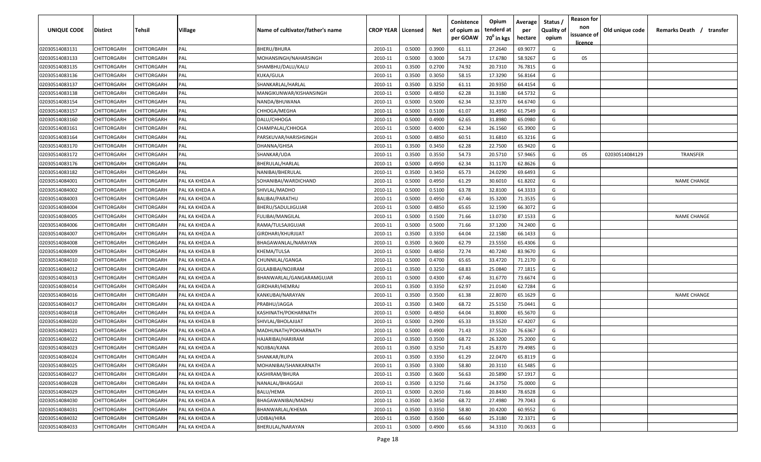| UNIQUE CODE    | Distirct    | Tehsil             | Village        | Name of cultivator/father's name | <b>CROP YEAR   Licensed</b> |        | Net    | Conistence<br>of opium as<br>per GOAW | Opium<br>tenderd at<br>70 <sup>0</sup> in kgs | Average<br>per<br>hectare | Status /<br><b>Quality of</b><br>opium | <b>Reason for</b><br>non<br>issuance of<br><u>licence</u> | Old unique code | Remarks Death /<br>transfer |
|----------------|-------------|--------------------|----------------|----------------------------------|-----------------------------|--------|--------|---------------------------------------|-----------------------------------------------|---------------------------|----------------------------------------|-----------------------------------------------------------|-----------------|-----------------------------|
| 02030514083131 | CHITTORGARH | CHITTORGARH        | PAL            | <b>BHERU/BHURA</b>               | 2010-11                     | 0.5000 | 0.3900 | 61.11                                 | 27.2640                                       | 69.9077                   | G                                      |                                                           |                 |                             |
| 02030514083133 | CHITTORGARH | CHITTORGARH        | PAL            | MOHANSINGH/NAHARSINGH            | 2010-11                     | 0.5000 | 0.3000 | 54.73                                 | 17.6780                                       | 58.9267                   | G                                      | 05                                                        |                 |                             |
| 02030514083135 | CHITTORGARH | CHITTORGARH        | PAL            | SHAMBHU/DALU/KALU                | 2010-11                     | 0.3500 | 0.2700 | 74.92                                 | 20.7310                                       | 76.7815                   | G                                      |                                                           |                 |                             |
| 02030514083136 | CHITTORGARH | CHITTORGARH        | PAL            | KUKA/GULA                        | 2010-11                     | 0.3500 | 0.3050 | 58.15                                 | 17.3290                                       | 56.8164                   | G                                      |                                                           |                 |                             |
| 02030514083137 | CHITTORGARH | CHITTORGARH        | PAL            | SHANKARLAL/HARLAL                | 2010-11                     | 0.3500 | 0.3250 | 61.11                                 | 20.9350                                       | 64.4154                   | G                                      |                                                           |                 |                             |
| 02030514083138 | CHITTORGARH | CHITTORGARH        | PAL            | MANGIKUNWAR/KISHANSINGH          | 2010-11                     | 0.5000 | 0.4850 | 62.28                                 | 31.3180                                       | 64.5732                   | G                                      |                                                           |                 |                             |
| 02030514083154 | CHITTORGARH | <b>CHITTORGARH</b> | PAL            | NANDA/BHUWANA                    | 2010-11                     | 0.5000 | 0.5000 | 62.34                                 | 32.3370                                       | 64.6740                   | G                                      |                                                           |                 |                             |
| 02030514083157 | CHITTORGARH | <b>CHITTORGARH</b> | PAL            | CHHOGA/MEGHA                     | 2010-11                     | 0.5000 | 0.5100 | 61.07                                 | 31.4950                                       | 61.7549                   | G                                      |                                                           |                 |                             |
| 02030514083160 | CHITTORGARH | CHITTORGARH        | PAL            | DALU/CHHOGA                      | 2010-11                     | 0.5000 | 0.4900 | 62.65                                 | 31.8980                                       | 65.0980                   | G                                      |                                                           |                 |                             |
| 02030514083161 | CHITTORGARH | CHITTORGARH        | PAL            | CHAMPALAL/CHHOGA                 | 2010-11                     | 0.5000 | 0.4000 | 62.34                                 | 26.1560                                       | 65.3900                   | G                                      |                                                           |                 |                             |
| 02030514083164 | CHITTORGARH | CHITTORGARH        | PAL            | PARSKUVAR/HARISHSINGH            | 2010-11                     | 0.5000 | 0.4850 | 60.51                                 | 31.6810                                       | 65.3216                   | G                                      |                                                           |                 |                             |
| 02030514083170 | CHITTORGARH | CHITTORGARH        | PAL            | DHANNA/GHISA                     | 2010-11                     | 0.3500 | 0.3450 | 62.28                                 | 22.7500                                       | 65.9420                   | G                                      |                                                           |                 |                             |
| 02030514083172 | CHITTORGARH | CHITTORGARH        | PAL            | SHANKAR/UDA                      | 2010-11                     | 0.3500 | 0.3550 | 54.73                                 | 20.5710                                       | 57.9465                   | G                                      | 05                                                        | 02030514084129  | <b>TRANSFER</b>             |
| 02030514083176 | CHITTORGARH | CHITTORGARH        | PAL            | BHERULAL/HARLAL                  | 2010-11                     | 0.5000 | 0.4950 | 62.34                                 | 31.1170                                       | 62.8626                   | G                                      |                                                           |                 |                             |
| 02030514083182 | CHITTORGARH | CHITTORGARH        | PAL            | NANIBAI/BHERULAL                 | 2010-11                     | 0.3500 | 0.3450 | 65.73                                 | 24.0290                                       | 69.6493                   | G                                      |                                                           |                 |                             |
| 02030514084001 | CHITTORGARH | CHITTORGARH        | PAL KA KHEDA A | SOHANIBAI/WARDICHAND             | 2010-11                     | 0.5000 | 0.4950 | 61.29                                 | 30.6010                                       | 61.8202                   | G                                      |                                                           |                 | <b>NAME CHANGE</b>          |
| 02030514084002 | CHITTORGARH | CHITTORGARH        | PAL KA KHEDA A | SHIVLAL/MADHO                    | 2010-11                     | 0.5000 | 0.5100 | 63.78                                 | 32.8100                                       | 64.3333                   | G                                      |                                                           |                 |                             |
| 02030514084003 | CHITTORGARH | CHITTORGARH        | PAL KA KHEDA A | <b>BALIBAI/PARATHU</b>           | 2010-11                     | 0.5000 | 0.4950 | 67.46                                 | 35.3200                                       | 71.3535                   | G                                      |                                                           |                 |                             |
| 02030514084004 | CHITTORGARH | CHITTORGARH        | PAL KA KHEDA A | BHERU/SADULJIGUJAR               | 2010-11                     | 0.5000 | 0.4850 | 65.65                                 | 32.1590                                       | 66.3072                   | G                                      |                                                           |                 |                             |
| 02030514084005 | CHITTORGARH | CHITTORGARH        | PAL KA KHEDA A | <b>FULIBAI/MANGILAL</b>          | 2010-11                     | 0.5000 | 0.1500 | 71.66                                 | 13.0730                                       | 87.1533                   | G                                      |                                                           |                 | <b>NAME CHANGE</b>          |
| 02030514084006 | CHITTORGARH | CHITTORGARH        | PAL KA KHEDA A | RAMA/TULSAJIGUJAR                | 2010-11                     | 0.5000 | 0.5000 | 71.66                                 | 37.1200                                       | 74.2400                   | G                                      |                                                           |                 |                             |
| 02030514084007 | CHITTORGARH | CHITTORGARH        | PAL KA KHEDA A | GIRDHARI/KHURJIJAT               | 2010-11                     | 0.3500 | 0.3350 | 64.04                                 | 22.1580                                       | 66.1433                   | G                                      |                                                           |                 |                             |
| 02030514084008 | CHITTORGARH | CHITTORGARH        | PAL KA KHEDA A | BHAGAWANLAL/NARAYAN              | 2010-11                     | 0.3500 | 0.3600 | 62.79                                 | 23.5550                                       | 65.4306                   | G                                      |                                                           |                 |                             |
| 02030514084009 | CHITTORGARH | CHITTORGARH        | PAL KA KHEDA B | KHEMA/TULSA                      | 2010-11                     | 0.5000 | 0.4850 | 72.74                                 | 40.7240                                       | 83.9670                   | G                                      |                                                           |                 |                             |
| 02030514084010 | CHITTORGARH | CHITTORGARH        | PAL KA KHEDA A | CHUNNILAL/GANGA                  | 2010-11                     | 0.5000 | 0.4700 | 65.65                                 | 33.4720                                       | 71.2170                   | G                                      |                                                           |                 |                             |
| 02030514084012 | CHITTORGARH | CHITTORGARH        | PAL KA KHEDA A | GULABIBAI/NOJIRAM                | 2010-11                     | 0.3500 | 0.3250 | 68.83                                 | 25.0840                                       | 77.1815                   | G                                      |                                                           |                 |                             |
| 02030514084013 | CHITTORGARH | CHITTORGARH        | PAL KA KHEDA A | BHANWARLAL/GANGARAMGUJAR         | 2010-11                     | 0.5000 | 0.4300 | 67.46                                 | 31.6770                                       | 73.6674                   | G                                      |                                                           |                 |                             |
| 02030514084014 | CHITTORGARH | CHITTORGARH        | PAL KA KHEDA A | GIRDHARI/HEMRAJ                  | 2010-11                     | 0.3500 | 0.3350 | 62.97                                 | 21.0140                                       | 62.7284                   | G                                      |                                                           |                 |                             |
| 02030514084016 | CHITTORGARH | CHITTORGARH        | PAL KA KHEDA A | KANKUBAI/NARAYAN                 | 2010-11                     | 0.3500 | 0.3500 | 61.38                                 | 22.8070                                       | 65.1629                   | G                                      |                                                           |                 | <b>NAME CHANGE</b>          |
| 02030514084017 | CHITTORGARH | CHITTORGARH        | PAL KA KHEDA A | PRABHU/JAGGA                     | 2010-11                     | 0.3500 | 0.3400 | 68.72                                 | 25.5150                                       | 75.0441                   | G                                      |                                                           |                 |                             |
| 02030514084018 | CHITTORGARH | CHITTORGARH        | PAL KA KHEDA A | KASHINATH/POKHARNATH             | 2010-11                     | 0.5000 | 0.4850 | 64.04                                 | 31.8000                                       | 65.5670                   | G                                      |                                                           |                 |                             |
| 02030514084020 | CHITTORGARH | <b>CHITTORGARH</b> | PAL KA KHEDA B | SHIVLAL/BHOLAJIJAT               | 2010-11                     | 0.5000 | 0.2900 | 65.33                                 | 19.5520                                       | 67.4207                   | G                                      |                                                           |                 |                             |
| 02030514084021 | CHITTORGARH | CHITTORGARH        | PAL KA KHEDA A | MADHUNATH/POKHARNATH             | 2010-11                     | 0.5000 | 0.4900 | 71.43                                 | 37.5520                                       | 76.6367                   | G                                      |                                                           |                 |                             |
| 02030514084022 | CHITTORGARH | CHITTORGARH        | PAL KA KHEDA A | HAJARIBAI/HARIRAM                | 2010-11                     | 0.3500 | 0.3500 | 68.72                                 | 26.3200                                       | 75.2000                   | G                                      |                                                           |                 |                             |
| 02030514084023 | CHITTORGARH | CHITTORGARH        | PAL KA KHEDA A | NOJIBAI/KANA                     | 2010-11                     | 0.3500 | 0.3250 | 71.43                                 | 25.8370                                       | 79.4985                   | G                                      |                                                           |                 |                             |
| 02030514084024 | CHITTORGARH | <b>CHITTORGARH</b> | PAL KA KHEDA A | SHANKAR/RUPA                     | 2010-11                     | 0.3500 | 0.3350 | 61.29                                 | 22.0470                                       | 65.8119                   | G                                      |                                                           |                 |                             |
| 02030514084025 | CHITTORGARH | CHITTORGARH        | PAL KA KHEDA A | MOHANIBAI/SHANKARNATH            | 2010-11                     | 0.3500 | 0.3300 | 58.80                                 | 20.3110                                       | 61.5485                   | G                                      |                                                           |                 |                             |
| 02030514084027 | CHITTORGARH | CHITTORGARH        | PAL KA KHEDA A | KASHIRAM/BHURA                   | 2010-11                     | 0.3500 | 0.3600 | 56.63                                 | 20.5890                                       | 57.1917                   | G                                      |                                                           |                 |                             |
| 02030514084028 | CHITTORGARH | <b>CHITTORGARH</b> | PAL KA KHEDA A | NANALAL/BHAGGAJI                 | 2010-11                     | 0.3500 | 0.3250 | 71.66                                 | 24.3750                                       | 75.0000                   | G                                      |                                                           |                 |                             |
| 02030514084029 | CHITTORGARH | CHITTORGARH        | PAL KA KHEDA A | BALU/HEMA                        | 2010-11                     | 0.5000 | 0.2650 | 71.66                                 | 20.8430                                       | 78.6528                   | G                                      |                                                           |                 |                             |
| 02030514084030 | CHITTORGARH | CHITTORGARH        | PAL KA KHEDA A | BHAGAWANIBAI/MADHU               | 2010-11                     | 0.3500 | 0.3450 | 68.72                                 | 27.4980                                       | 79.7043                   | G                                      |                                                           |                 |                             |
| 02030514084031 | CHITTORGARH | CHITTORGARH        | PAL KA KHEDA A | BHANWARLAL/KHEMA                 | 2010-11                     | 0.3500 | 0.3350 | 58.80                                 | 20.4200                                       | 60.9552                   | G                                      |                                                           |                 |                             |
| 02030514084032 | CHITTORGARH | CHITTORGARH        | PAL KA KHEDA A | UDIBAI/HIRA                      | 2010-11                     | 0.3500 | 0.3500 | 66.60                                 | 25.3180                                       | 72.3371                   | G                                      |                                                           |                 |                             |
| 02030514084033 | CHITTORGARH | CHITTORGARH        | PAL KA KHEDA A | BHERULAL/NARAYAN                 | 2010-11                     | 0.5000 | 0.4900 | 65.66                                 | 34.3310                                       | 70.0633                   | G                                      |                                                           |                 |                             |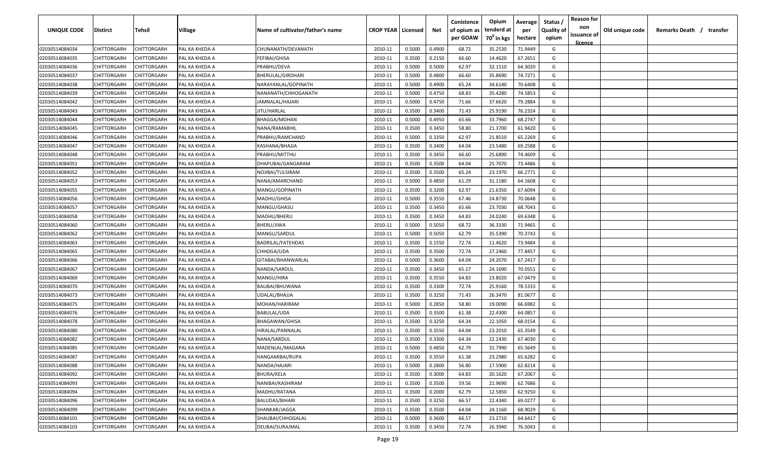| per GOAW<br>70 <sup>0</sup> in kgs<br>hectare<br>opium<br><u>licence</u><br>02030514084034<br>CHITTORGARH<br>CHITTORGARH<br>PAL KA KHEDA A<br>0.5000<br>0.4900<br>68.72<br>35.2530<br>71.9449<br>G<br>CHUNANATH/DEVANATH<br>2010-11<br>0.2150<br>66.60<br>14.4620<br>67.2651<br>G<br>02030514084035<br>CHITTORGARH<br>CHITTORGARH<br>PAL KA KHEDA A<br>FEFIBAI/GHISA<br>2010-11<br>0.3500<br>02030514084036<br>CHITTORGARH<br>CHITTORGARH<br>PRABHU/DEVA<br>0.5000<br>0.5000<br>62.97<br>32.1510<br>64.3020<br>G<br>PAL KA KHEDA A<br>2010-11<br>02030514084037<br>66.60<br>CHITTORGARH<br>CHITTORGARH<br>PAL KA KHEDA A<br>BHERULAL/GIRDHARI<br>2010-11<br>0.5000<br>0.4800<br>35.8690<br>74.7271<br>G<br>02030514084038<br>CHITTORGARH<br>CHITTORGARH<br>PAL KA KHEDA A<br>NARAYANLAL/GOPINATH<br>2010-11<br>0.5000<br>0.4900<br>65.24<br>34.6140<br>70.6408<br>G<br>02030514084039<br>0.5000<br>0.4750<br>68.83<br>35.4280<br>74.5853<br>CHITTORGARH<br>CHITTORGARH<br>PAL KA KHEDA A<br>NANANATH/CHHOGANATH<br>2010-11<br>G<br>02030514084042<br>0.5000<br>0.4750<br>71.66<br>37.6620<br>CHITTORGARH<br>CHITTORGARH<br>PAL KA KHEDA A<br>JAMNALAL/HAJARI<br>2010-11<br>79.2884<br>G<br>76.2324<br>02030514084043<br>CHITTORGARH<br>CHITTORGARH<br>PAL KA KHEDA A<br>JITU/HARLAL<br>2010-11<br>0.3500<br>0.3400<br>71.43<br>25.9190<br>G<br>02030514084044<br>CHITTORGARH<br>CHITTORGARH<br>BHAGGA/MOHAN<br>2010-11<br>0.5000<br>0.4950<br>65.66<br>33.7960<br>68.2747<br>G<br>PAL KA KHEDA A<br>58.80<br>G<br>2010-11<br>0.3500<br>0.3450<br>21.3700<br>61.9420<br>02030514084045<br>CHITTORGARH<br>CHITTORGARH<br>PAL KA KHEDA A<br>NANA/RAMABHIL<br>62.97<br>CHITTORGARH<br>2010-11<br>0.3350<br>21.8510<br>65.2269<br>G<br>02030514084046<br>CHITTORGARH<br>PAL KA KHEDA A<br>PRABHU/RAMCHAND<br>0.5000<br>64.04<br>23.5480<br>69.2588<br>G<br>02030514084047<br>CHITTORGARH<br>CHITTORGARH<br>2010-11<br>0.3500<br>0.3400<br>PAL KA KHEDA A<br>KASHANA/BHAJJA<br>66.60<br>CHITTORGARH<br>CHITTORGARH<br>2010-11<br>0.3500<br>0.3450<br>25.6890<br>74.4609<br>G<br>02030514084048<br>PAL KA KHEDA A<br>PRABHU/MITTHU<br>0.3500<br>64.04<br>73.4486<br>G<br>CHITTORGARH<br>CHITTORGARH<br>2010-11<br>0.3500<br>25.7070<br>02030514084051<br>PAL KA KHEDA A<br>DHAPUBAI/GANGARAM<br>CHITTORGARH<br>CHITTORGARH<br>2010-11<br>0.3500<br>0.3500<br>65.24<br>23.1970<br>66.2771<br>G<br>02030514084052<br>PAL KA KHEDA A<br>NOJIBAI/TULSIRAM<br>CHITTORGARH<br>0.5000<br>0.4850<br>61.29<br>64.1608<br>G<br>02030514084053<br>CHITTORGARH<br>PAL KA KHEDA A<br>NANA/AMARCHAND<br>2010-11<br>31.1180<br>0.3200<br>62.97<br>21.6350<br>67.6094<br>02030514084055<br>CHITTORGARH<br>CHITTORGARH<br>PAL KA KHEDA A<br>MANGU/GOPINATH<br>2010-11<br>0.3500<br>G<br>02030514084056<br>CHITTORGARH<br>CHITTORGARH<br>PAL KA KHEDA A<br>0.5000<br>0.3550<br>67.46<br>24.8730<br>70.0648<br>G<br>MADHU/GHISA<br>2010-11<br>0.3500<br>0.3450<br>65.66<br>23.7030<br>68.7043<br>G<br>02030514084057<br>CHITTORGARH<br>CHITTORGARH<br>PAL KA KHEDA A<br>MANGU/GHASU<br>2010-11<br>64.83<br>02030514084058<br>CHITTORGARH<br>CHITTORGARH<br>PAL KA KHEDA A<br>0.3500<br>0.3450<br>24.0240<br>69.6348<br>G<br>MADHU/BHERU<br>2010-11<br>02030514084060<br>CHITTORGARH<br>36.3330<br>CHITTORGARH<br>PAL KA KHEDA A<br>BHERU/JIWA<br>2010-11<br>0.5000<br>0.5050<br>68.72<br>71.9465<br>G<br>02030514084062<br>0.5000<br>0.5050<br>62.79<br>35.5390<br>70.3743<br>CHITTORGARH<br>CHITTORGARH<br>PAL KA KHEDA A<br>MANGU/SARDUL<br>2010-11<br>G<br>02030514084063<br>CHITTORGARH<br>CHITTORGARH<br>0.3500<br>0.1550<br>72.74<br>11.4620<br>73.9484<br>PAL KA KHEDA A<br>BADRILAL/FATEHDAS<br>2010-11<br>G<br>02030514084065<br>CHITTORGARH<br>0.3500<br>0.3500<br>72.74<br>27.2460<br>77.8457<br>CHITTORGARH<br>PAL KA KHEDA A<br>CHHOGA/UDA<br>2010-11<br>G<br>02030514084066<br>CHITTORGARH<br>CHITTORGARH<br>PAL KA KHEDA A<br>GITABAI/BHANWARLAL<br>2010-11<br>0.5000<br>0.3600<br>64.04<br>24.2070<br>67.2417<br>G<br>02030514084067<br>CHITTORGARH<br>PAL KA KHEDA A<br>2010-11<br>0.3500<br>0.3450<br>65.17<br>24.1690<br>70.0551<br>G<br>CHITTORGARH<br>NANDA/SARDUL<br>0.3550<br>64.83<br>23.8020<br>67.0479<br>G<br>02030514084069<br>CHITTORGARH<br>CHITTORGARH<br>PAL KA KHEDA A<br>MANGU/HIRA<br>2010-11<br>0.3500<br>0.3300<br>72.74<br>78.5333<br>G<br>02030514084070<br>CHITTORGARH<br>CHITTORGARH<br>PAL KA KHEDA A<br>BALIBAI/BHUWANA<br>2010-11<br>0.3500<br>25.9160<br>CHITTORGARH<br>CHITTORGARH<br>2010-11<br>0.3500<br>0.3250<br>71.43<br>26.3470<br>81.0677<br>G<br>02030514084073<br>PAL KA KHEDA A<br>UDALAL/BHAJJA<br>0.5000<br>0.2850<br>58.80<br>19.0090<br>66.6982<br>G<br>02030514084075<br>CHITTORGARH<br>CHITTORGARH<br>PAL KA KHEDA A<br>MOHAN/HARIRAM<br>2010-11<br>61.38<br>CHITTORGARH<br>BABULAL/UDA<br>2010-11<br>0.3500<br>0.3500<br>22.4300<br>64.0857<br>G<br>02030514084076<br>CHITTORGARH<br>PAL KA KHEDA A<br>02030514084078<br>CHITTORGARH<br>CHITTORGARH<br>BHAGAWAN/GHISA<br>2010-11<br>0.3500<br>0.3250<br>64.34<br>22.1050<br>68.0154<br>G<br>PAL KA KHEDA A<br>02030514084080<br>CHITTORGARH<br>CHITTORGARH<br>HIRALAL/PANNALAL<br>2010-11<br>0.3500<br>0.3550<br>64.04<br>23.2010<br>65.3549<br>G<br>PAL KA KHEDA A<br>0.3500<br>0.3300<br>64.34<br>67.4030<br>G<br>02030514084082<br>CHITTORGARH<br>CHITTORGARH<br>PAL KA KHEDA A<br>NANA/SARDUL<br>2010-11<br>22.2430<br>2010-11<br>0.5000<br>0.4850<br>62.79<br>31.7990<br>65.5649<br>G<br>02030514084085<br><b>CHITTORGARH</b><br>CHITTORGARH<br>PAL KA KHEDA A<br>MADENLAL/MAGANA<br>0.3500<br>0.3550<br>61.38<br>23.2980<br>65.6282<br>02030514084087<br><b>CHITTORGARH</b><br>CHITTORGARH<br>PAL KA KHEDA A<br>HANGAMIBAI/RUPA<br>2010-11<br>G<br>NANDA/HAJARI<br>0.5000<br>0.2800<br>56.80<br>17.5900<br>62.8214<br>G<br>02030514084088<br><b>CHITTORGARH</b><br>CHITTORGARH<br>PAL KA KHEDA A<br>2010-11<br>02030514084092<br><b>BHURA/KELA</b><br>0.3500<br>0.3000<br>64.83<br>G<br><b>CHITTORGARH</b><br>CHITTORGARH<br>PAL KA KHEDA A<br>2010-11<br>20.1620<br>67.2067<br>02030514084093<br>0.3500<br>21.9690<br>G<br><b>CHITTORGARH</b><br>CHITTORGARH<br>PAL KA KHEDA A<br>NANIBAI/KASHIRAM<br>2010-11<br>0.3500<br>59.56<br>62.7686<br>0.2000<br>12.5850<br>62.9250<br>G<br>02030514084094<br>CHITTORGARH<br>CHITTORGARH<br>PAL KA KHEDA A<br>MADHU/RATANA<br>2010-11<br>0.3500<br>62.79<br>0.3250<br>22.4340<br>69.0277<br>G<br>02030514084096<br>CHITTORGARH<br>CHITTORGARH<br>PAL KA KHEDA A<br>BALUDAS/BIHARI<br>2010-11<br>0.3500<br>66.57<br>02030514084099<br><b>CHITTORGARH</b><br>CHITTORGARH<br>PAL KA KHEDA A<br>SHANKAR/JAGGA<br>2010-11<br>0.3500<br>0.3500<br>64.04<br>24.1160<br>68.9029<br>G<br>G<br>02030514084101<br>SHAUBAI/CHHOGALAL<br>0.5000<br>0.3600<br>66.57<br>23.2710<br>64.6417<br>CHITTORGARH<br>CHITTORGARH<br>PAL KA KHEDA A<br>2010-11 | UNIQUE CODE    | Distirct    | Tehsil      | Village        | Name of cultivator/father's name | <b>CROP YEAR   Licensed</b> |        | Net    | Conistence<br>of opium as | Opium<br>tenderd at | Average<br>per | Status /<br><b>Quality of</b> | <b>Reason for</b><br>non | Old unique code | Remarks Death / transfer |
|----------------------------------------------------------------------------------------------------------------------------------------------------------------------------------------------------------------------------------------------------------------------------------------------------------------------------------------------------------------------------------------------------------------------------------------------------------------------------------------------------------------------------------------------------------------------------------------------------------------------------------------------------------------------------------------------------------------------------------------------------------------------------------------------------------------------------------------------------------------------------------------------------------------------------------------------------------------------------------------------------------------------------------------------------------------------------------------------------------------------------------------------------------------------------------------------------------------------------------------------------------------------------------------------------------------------------------------------------------------------------------------------------------------------------------------------------------------------------------------------------------------------------------------------------------------------------------------------------------------------------------------------------------------------------------------------------------------------------------------------------------------------------------------------------------------------------------------------------------------------------------------------------------------------------------------------------------------------------------------------------------------------------------------------------------------------------------------------------------------------------------------------------------------------------------------------------------------------------------------------------------------------------------------------------------------------------------------------------------------------------------------------------------------------------------------------------------------------------------------------------------------------------------------------------------------------------------------------------------------------------------------------------------------------------------------------------------------------------------------------------------------------------------------------------------------------------------------------------------------------------------------------------------------------------------------------------------------------------------------------------------------------------------------------------------------------------------------------------------------------------------------------------------------------------------------------------------------------------------------------------------------------------------------------------------------------------------------------------------------------------------------------------------------------------------------------------------------------------------------------------------------------------------------------------------------------------------------------------------------------------------------------------------------------------------------------------------------------------------------------------------------------------------------------------------------------------------------------------------------------------------------------------------------------------------------------------------------------------------------------------------------------------------------------------------------------------------------------------------------------------------------------------------------------------------------------------------------------------------------------------------------------------------------------------------------------------------------------------------------------------------------------------------------------------------------------------------------------------------------------------------------------------------------------------------------------------------------------------------------------------------------------------------------------------------------------------------------------------------------------------------------------------------------------------------------------------------------------------------------------------------------------------------------------------------------------------------------------------------------------------------------------------------------------------------------------------------------------------------------------------------------------------------------------------------------------------------------------------------------------------------------------------------------------------------------------------------------------------------------------------------------------------------------------------------------------------------------------------------------------------------------------------------------------------------------------------------------------------------------------------------------------------------------------------------------------------------------------------------------------------------------------------------------------------------------------------------------------------------------------------------------------------------------------------------------------------------------------------------------------------------------------------------------------------------------------------------------------------------------------------------------------------------------------------------------------------------------------------------------------------------------------------------------------------------------------------------------------------------------------------------------------------------------------------------------------------------------------------------------------------------------------------------------------------------------------------------------------------------------------------------------------------------------------------------------------------------------------------------------------------------------------------------------------------------------------------------------------------------------------------|----------------|-------------|-------------|----------------|----------------------------------|-----------------------------|--------|--------|---------------------------|---------------------|----------------|-------------------------------|--------------------------|-----------------|--------------------------|
|                                                                                                                                                                                                                                                                                                                                                                                                                                                                                                                                                                                                                                                                                                                                                                                                                                                                                                                                                                                                                                                                                                                                                                                                                                                                                                                                                                                                                                                                                                                                                                                                                                                                                                                                                                                                                                                                                                                                                                                                                                                                                                                                                                                                                                                                                                                                                                                                                                                                                                                                                                                                                                                                                                                                                                                                                                                                                                                                                                                                                                                                                                                                                                                                                                                                                                                                                                                                                                                                                                                                                                                                                                                                                                                                                                                                                                                                                                                                                                                                                                                                                                                                                                                                                                                                                                                                                                                                                                                                                                                                                                                                                                                                                                                                                                                                                                                                                                                                                                                                                                                                                                                                                                                                                                                                                                                                                                                                                                                                                                                                                                                                                                                                                                                                                                                                                                                                                                                                                                                                                                                                                                                                                                                                                                                                                                                                                                                                                                                                                                                                                                                                                                                                                                                                                                                                                                                                            |                |             |             |                |                                  |                             |        |        |                           |                     |                |                               | issuance of              |                 |                          |
|                                                                                                                                                                                                                                                                                                                                                                                                                                                                                                                                                                                                                                                                                                                                                                                                                                                                                                                                                                                                                                                                                                                                                                                                                                                                                                                                                                                                                                                                                                                                                                                                                                                                                                                                                                                                                                                                                                                                                                                                                                                                                                                                                                                                                                                                                                                                                                                                                                                                                                                                                                                                                                                                                                                                                                                                                                                                                                                                                                                                                                                                                                                                                                                                                                                                                                                                                                                                                                                                                                                                                                                                                                                                                                                                                                                                                                                                                                                                                                                                                                                                                                                                                                                                                                                                                                                                                                                                                                                                                                                                                                                                                                                                                                                                                                                                                                                                                                                                                                                                                                                                                                                                                                                                                                                                                                                                                                                                                                                                                                                                                                                                                                                                                                                                                                                                                                                                                                                                                                                                                                                                                                                                                                                                                                                                                                                                                                                                                                                                                                                                                                                                                                                                                                                                                                                                                                                                            |                |             |             |                |                                  |                             |        |        |                           |                     |                |                               |                          |                 |                          |
|                                                                                                                                                                                                                                                                                                                                                                                                                                                                                                                                                                                                                                                                                                                                                                                                                                                                                                                                                                                                                                                                                                                                                                                                                                                                                                                                                                                                                                                                                                                                                                                                                                                                                                                                                                                                                                                                                                                                                                                                                                                                                                                                                                                                                                                                                                                                                                                                                                                                                                                                                                                                                                                                                                                                                                                                                                                                                                                                                                                                                                                                                                                                                                                                                                                                                                                                                                                                                                                                                                                                                                                                                                                                                                                                                                                                                                                                                                                                                                                                                                                                                                                                                                                                                                                                                                                                                                                                                                                                                                                                                                                                                                                                                                                                                                                                                                                                                                                                                                                                                                                                                                                                                                                                                                                                                                                                                                                                                                                                                                                                                                                                                                                                                                                                                                                                                                                                                                                                                                                                                                                                                                                                                                                                                                                                                                                                                                                                                                                                                                                                                                                                                                                                                                                                                                                                                                                                            |                |             |             |                |                                  |                             |        |        |                           |                     |                |                               |                          |                 |                          |
|                                                                                                                                                                                                                                                                                                                                                                                                                                                                                                                                                                                                                                                                                                                                                                                                                                                                                                                                                                                                                                                                                                                                                                                                                                                                                                                                                                                                                                                                                                                                                                                                                                                                                                                                                                                                                                                                                                                                                                                                                                                                                                                                                                                                                                                                                                                                                                                                                                                                                                                                                                                                                                                                                                                                                                                                                                                                                                                                                                                                                                                                                                                                                                                                                                                                                                                                                                                                                                                                                                                                                                                                                                                                                                                                                                                                                                                                                                                                                                                                                                                                                                                                                                                                                                                                                                                                                                                                                                                                                                                                                                                                                                                                                                                                                                                                                                                                                                                                                                                                                                                                                                                                                                                                                                                                                                                                                                                                                                                                                                                                                                                                                                                                                                                                                                                                                                                                                                                                                                                                                                                                                                                                                                                                                                                                                                                                                                                                                                                                                                                                                                                                                                                                                                                                                                                                                                                                            |                |             |             |                |                                  |                             |        |        |                           |                     |                |                               |                          |                 |                          |
|                                                                                                                                                                                                                                                                                                                                                                                                                                                                                                                                                                                                                                                                                                                                                                                                                                                                                                                                                                                                                                                                                                                                                                                                                                                                                                                                                                                                                                                                                                                                                                                                                                                                                                                                                                                                                                                                                                                                                                                                                                                                                                                                                                                                                                                                                                                                                                                                                                                                                                                                                                                                                                                                                                                                                                                                                                                                                                                                                                                                                                                                                                                                                                                                                                                                                                                                                                                                                                                                                                                                                                                                                                                                                                                                                                                                                                                                                                                                                                                                                                                                                                                                                                                                                                                                                                                                                                                                                                                                                                                                                                                                                                                                                                                                                                                                                                                                                                                                                                                                                                                                                                                                                                                                                                                                                                                                                                                                                                                                                                                                                                                                                                                                                                                                                                                                                                                                                                                                                                                                                                                                                                                                                                                                                                                                                                                                                                                                                                                                                                                                                                                                                                                                                                                                                                                                                                                                            |                |             |             |                |                                  |                             |        |        |                           |                     |                |                               |                          |                 |                          |
|                                                                                                                                                                                                                                                                                                                                                                                                                                                                                                                                                                                                                                                                                                                                                                                                                                                                                                                                                                                                                                                                                                                                                                                                                                                                                                                                                                                                                                                                                                                                                                                                                                                                                                                                                                                                                                                                                                                                                                                                                                                                                                                                                                                                                                                                                                                                                                                                                                                                                                                                                                                                                                                                                                                                                                                                                                                                                                                                                                                                                                                                                                                                                                                                                                                                                                                                                                                                                                                                                                                                                                                                                                                                                                                                                                                                                                                                                                                                                                                                                                                                                                                                                                                                                                                                                                                                                                                                                                                                                                                                                                                                                                                                                                                                                                                                                                                                                                                                                                                                                                                                                                                                                                                                                                                                                                                                                                                                                                                                                                                                                                                                                                                                                                                                                                                                                                                                                                                                                                                                                                                                                                                                                                                                                                                                                                                                                                                                                                                                                                                                                                                                                                                                                                                                                                                                                                                                            |                |             |             |                |                                  |                             |        |        |                           |                     |                |                               |                          |                 |                          |
|                                                                                                                                                                                                                                                                                                                                                                                                                                                                                                                                                                                                                                                                                                                                                                                                                                                                                                                                                                                                                                                                                                                                                                                                                                                                                                                                                                                                                                                                                                                                                                                                                                                                                                                                                                                                                                                                                                                                                                                                                                                                                                                                                                                                                                                                                                                                                                                                                                                                                                                                                                                                                                                                                                                                                                                                                                                                                                                                                                                                                                                                                                                                                                                                                                                                                                                                                                                                                                                                                                                                                                                                                                                                                                                                                                                                                                                                                                                                                                                                                                                                                                                                                                                                                                                                                                                                                                                                                                                                                                                                                                                                                                                                                                                                                                                                                                                                                                                                                                                                                                                                                                                                                                                                                                                                                                                                                                                                                                                                                                                                                                                                                                                                                                                                                                                                                                                                                                                                                                                                                                                                                                                                                                                                                                                                                                                                                                                                                                                                                                                                                                                                                                                                                                                                                                                                                                                                            |                |             |             |                |                                  |                             |        |        |                           |                     |                |                               |                          |                 |                          |
|                                                                                                                                                                                                                                                                                                                                                                                                                                                                                                                                                                                                                                                                                                                                                                                                                                                                                                                                                                                                                                                                                                                                                                                                                                                                                                                                                                                                                                                                                                                                                                                                                                                                                                                                                                                                                                                                                                                                                                                                                                                                                                                                                                                                                                                                                                                                                                                                                                                                                                                                                                                                                                                                                                                                                                                                                                                                                                                                                                                                                                                                                                                                                                                                                                                                                                                                                                                                                                                                                                                                                                                                                                                                                                                                                                                                                                                                                                                                                                                                                                                                                                                                                                                                                                                                                                                                                                                                                                                                                                                                                                                                                                                                                                                                                                                                                                                                                                                                                                                                                                                                                                                                                                                                                                                                                                                                                                                                                                                                                                                                                                                                                                                                                                                                                                                                                                                                                                                                                                                                                                                                                                                                                                                                                                                                                                                                                                                                                                                                                                                                                                                                                                                                                                                                                                                                                                                                            |                |             |             |                |                                  |                             |        |        |                           |                     |                |                               |                          |                 |                          |
|                                                                                                                                                                                                                                                                                                                                                                                                                                                                                                                                                                                                                                                                                                                                                                                                                                                                                                                                                                                                                                                                                                                                                                                                                                                                                                                                                                                                                                                                                                                                                                                                                                                                                                                                                                                                                                                                                                                                                                                                                                                                                                                                                                                                                                                                                                                                                                                                                                                                                                                                                                                                                                                                                                                                                                                                                                                                                                                                                                                                                                                                                                                                                                                                                                                                                                                                                                                                                                                                                                                                                                                                                                                                                                                                                                                                                                                                                                                                                                                                                                                                                                                                                                                                                                                                                                                                                                                                                                                                                                                                                                                                                                                                                                                                                                                                                                                                                                                                                                                                                                                                                                                                                                                                                                                                                                                                                                                                                                                                                                                                                                                                                                                                                                                                                                                                                                                                                                                                                                                                                                                                                                                                                                                                                                                                                                                                                                                                                                                                                                                                                                                                                                                                                                                                                                                                                                                                            |                |             |             |                |                                  |                             |        |        |                           |                     |                |                               |                          |                 |                          |
|                                                                                                                                                                                                                                                                                                                                                                                                                                                                                                                                                                                                                                                                                                                                                                                                                                                                                                                                                                                                                                                                                                                                                                                                                                                                                                                                                                                                                                                                                                                                                                                                                                                                                                                                                                                                                                                                                                                                                                                                                                                                                                                                                                                                                                                                                                                                                                                                                                                                                                                                                                                                                                                                                                                                                                                                                                                                                                                                                                                                                                                                                                                                                                                                                                                                                                                                                                                                                                                                                                                                                                                                                                                                                                                                                                                                                                                                                                                                                                                                                                                                                                                                                                                                                                                                                                                                                                                                                                                                                                                                                                                                                                                                                                                                                                                                                                                                                                                                                                                                                                                                                                                                                                                                                                                                                                                                                                                                                                                                                                                                                                                                                                                                                                                                                                                                                                                                                                                                                                                                                                                                                                                                                                                                                                                                                                                                                                                                                                                                                                                                                                                                                                                                                                                                                                                                                                                                            |                |             |             |                |                                  |                             |        |        |                           |                     |                |                               |                          |                 |                          |
|                                                                                                                                                                                                                                                                                                                                                                                                                                                                                                                                                                                                                                                                                                                                                                                                                                                                                                                                                                                                                                                                                                                                                                                                                                                                                                                                                                                                                                                                                                                                                                                                                                                                                                                                                                                                                                                                                                                                                                                                                                                                                                                                                                                                                                                                                                                                                                                                                                                                                                                                                                                                                                                                                                                                                                                                                                                                                                                                                                                                                                                                                                                                                                                                                                                                                                                                                                                                                                                                                                                                                                                                                                                                                                                                                                                                                                                                                                                                                                                                                                                                                                                                                                                                                                                                                                                                                                                                                                                                                                                                                                                                                                                                                                                                                                                                                                                                                                                                                                                                                                                                                                                                                                                                                                                                                                                                                                                                                                                                                                                                                                                                                                                                                                                                                                                                                                                                                                                                                                                                                                                                                                                                                                                                                                                                                                                                                                                                                                                                                                                                                                                                                                                                                                                                                                                                                                                                            |                |             |             |                |                                  |                             |        |        |                           |                     |                |                               |                          |                 |                          |
|                                                                                                                                                                                                                                                                                                                                                                                                                                                                                                                                                                                                                                                                                                                                                                                                                                                                                                                                                                                                                                                                                                                                                                                                                                                                                                                                                                                                                                                                                                                                                                                                                                                                                                                                                                                                                                                                                                                                                                                                                                                                                                                                                                                                                                                                                                                                                                                                                                                                                                                                                                                                                                                                                                                                                                                                                                                                                                                                                                                                                                                                                                                                                                                                                                                                                                                                                                                                                                                                                                                                                                                                                                                                                                                                                                                                                                                                                                                                                                                                                                                                                                                                                                                                                                                                                                                                                                                                                                                                                                                                                                                                                                                                                                                                                                                                                                                                                                                                                                                                                                                                                                                                                                                                                                                                                                                                                                                                                                                                                                                                                                                                                                                                                                                                                                                                                                                                                                                                                                                                                                                                                                                                                                                                                                                                                                                                                                                                                                                                                                                                                                                                                                                                                                                                                                                                                                                                            |                |             |             |                |                                  |                             |        |        |                           |                     |                |                               |                          |                 |                          |
|                                                                                                                                                                                                                                                                                                                                                                                                                                                                                                                                                                                                                                                                                                                                                                                                                                                                                                                                                                                                                                                                                                                                                                                                                                                                                                                                                                                                                                                                                                                                                                                                                                                                                                                                                                                                                                                                                                                                                                                                                                                                                                                                                                                                                                                                                                                                                                                                                                                                                                                                                                                                                                                                                                                                                                                                                                                                                                                                                                                                                                                                                                                                                                                                                                                                                                                                                                                                                                                                                                                                                                                                                                                                                                                                                                                                                                                                                                                                                                                                                                                                                                                                                                                                                                                                                                                                                                                                                                                                                                                                                                                                                                                                                                                                                                                                                                                                                                                                                                                                                                                                                                                                                                                                                                                                                                                                                                                                                                                                                                                                                                                                                                                                                                                                                                                                                                                                                                                                                                                                                                                                                                                                                                                                                                                                                                                                                                                                                                                                                                                                                                                                                                                                                                                                                                                                                                                                            |                |             |             |                |                                  |                             |        |        |                           |                     |                |                               |                          |                 |                          |
|                                                                                                                                                                                                                                                                                                                                                                                                                                                                                                                                                                                                                                                                                                                                                                                                                                                                                                                                                                                                                                                                                                                                                                                                                                                                                                                                                                                                                                                                                                                                                                                                                                                                                                                                                                                                                                                                                                                                                                                                                                                                                                                                                                                                                                                                                                                                                                                                                                                                                                                                                                                                                                                                                                                                                                                                                                                                                                                                                                                                                                                                                                                                                                                                                                                                                                                                                                                                                                                                                                                                                                                                                                                                                                                                                                                                                                                                                                                                                                                                                                                                                                                                                                                                                                                                                                                                                                                                                                                                                                                                                                                                                                                                                                                                                                                                                                                                                                                                                                                                                                                                                                                                                                                                                                                                                                                                                                                                                                                                                                                                                                                                                                                                                                                                                                                                                                                                                                                                                                                                                                                                                                                                                                                                                                                                                                                                                                                                                                                                                                                                                                                                                                                                                                                                                                                                                                                                            |                |             |             |                |                                  |                             |        |        |                           |                     |                |                               |                          |                 |                          |
|                                                                                                                                                                                                                                                                                                                                                                                                                                                                                                                                                                                                                                                                                                                                                                                                                                                                                                                                                                                                                                                                                                                                                                                                                                                                                                                                                                                                                                                                                                                                                                                                                                                                                                                                                                                                                                                                                                                                                                                                                                                                                                                                                                                                                                                                                                                                                                                                                                                                                                                                                                                                                                                                                                                                                                                                                                                                                                                                                                                                                                                                                                                                                                                                                                                                                                                                                                                                                                                                                                                                                                                                                                                                                                                                                                                                                                                                                                                                                                                                                                                                                                                                                                                                                                                                                                                                                                                                                                                                                                                                                                                                                                                                                                                                                                                                                                                                                                                                                                                                                                                                                                                                                                                                                                                                                                                                                                                                                                                                                                                                                                                                                                                                                                                                                                                                                                                                                                                                                                                                                                                                                                                                                                                                                                                                                                                                                                                                                                                                                                                                                                                                                                                                                                                                                                                                                                                                            |                |             |             |                |                                  |                             |        |        |                           |                     |                |                               |                          |                 |                          |
|                                                                                                                                                                                                                                                                                                                                                                                                                                                                                                                                                                                                                                                                                                                                                                                                                                                                                                                                                                                                                                                                                                                                                                                                                                                                                                                                                                                                                                                                                                                                                                                                                                                                                                                                                                                                                                                                                                                                                                                                                                                                                                                                                                                                                                                                                                                                                                                                                                                                                                                                                                                                                                                                                                                                                                                                                                                                                                                                                                                                                                                                                                                                                                                                                                                                                                                                                                                                                                                                                                                                                                                                                                                                                                                                                                                                                                                                                                                                                                                                                                                                                                                                                                                                                                                                                                                                                                                                                                                                                                                                                                                                                                                                                                                                                                                                                                                                                                                                                                                                                                                                                                                                                                                                                                                                                                                                                                                                                                                                                                                                                                                                                                                                                                                                                                                                                                                                                                                                                                                                                                                                                                                                                                                                                                                                                                                                                                                                                                                                                                                                                                                                                                                                                                                                                                                                                                                                            |                |             |             |                |                                  |                             |        |        |                           |                     |                |                               |                          |                 |                          |
|                                                                                                                                                                                                                                                                                                                                                                                                                                                                                                                                                                                                                                                                                                                                                                                                                                                                                                                                                                                                                                                                                                                                                                                                                                                                                                                                                                                                                                                                                                                                                                                                                                                                                                                                                                                                                                                                                                                                                                                                                                                                                                                                                                                                                                                                                                                                                                                                                                                                                                                                                                                                                                                                                                                                                                                                                                                                                                                                                                                                                                                                                                                                                                                                                                                                                                                                                                                                                                                                                                                                                                                                                                                                                                                                                                                                                                                                                                                                                                                                                                                                                                                                                                                                                                                                                                                                                                                                                                                                                                                                                                                                                                                                                                                                                                                                                                                                                                                                                                                                                                                                                                                                                                                                                                                                                                                                                                                                                                                                                                                                                                                                                                                                                                                                                                                                                                                                                                                                                                                                                                                                                                                                                                                                                                                                                                                                                                                                                                                                                                                                                                                                                                                                                                                                                                                                                                                                            |                |             |             |                |                                  |                             |        |        |                           |                     |                |                               |                          |                 |                          |
|                                                                                                                                                                                                                                                                                                                                                                                                                                                                                                                                                                                                                                                                                                                                                                                                                                                                                                                                                                                                                                                                                                                                                                                                                                                                                                                                                                                                                                                                                                                                                                                                                                                                                                                                                                                                                                                                                                                                                                                                                                                                                                                                                                                                                                                                                                                                                                                                                                                                                                                                                                                                                                                                                                                                                                                                                                                                                                                                                                                                                                                                                                                                                                                                                                                                                                                                                                                                                                                                                                                                                                                                                                                                                                                                                                                                                                                                                                                                                                                                                                                                                                                                                                                                                                                                                                                                                                                                                                                                                                                                                                                                                                                                                                                                                                                                                                                                                                                                                                                                                                                                                                                                                                                                                                                                                                                                                                                                                                                                                                                                                                                                                                                                                                                                                                                                                                                                                                                                                                                                                                                                                                                                                                                                                                                                                                                                                                                                                                                                                                                                                                                                                                                                                                                                                                                                                                                                            |                |             |             |                |                                  |                             |        |        |                           |                     |                |                               |                          |                 |                          |
|                                                                                                                                                                                                                                                                                                                                                                                                                                                                                                                                                                                                                                                                                                                                                                                                                                                                                                                                                                                                                                                                                                                                                                                                                                                                                                                                                                                                                                                                                                                                                                                                                                                                                                                                                                                                                                                                                                                                                                                                                                                                                                                                                                                                                                                                                                                                                                                                                                                                                                                                                                                                                                                                                                                                                                                                                                                                                                                                                                                                                                                                                                                                                                                                                                                                                                                                                                                                                                                                                                                                                                                                                                                                                                                                                                                                                                                                                                                                                                                                                                                                                                                                                                                                                                                                                                                                                                                                                                                                                                                                                                                                                                                                                                                                                                                                                                                                                                                                                                                                                                                                                                                                                                                                                                                                                                                                                                                                                                                                                                                                                                                                                                                                                                                                                                                                                                                                                                                                                                                                                                                                                                                                                                                                                                                                                                                                                                                                                                                                                                                                                                                                                                                                                                                                                                                                                                                                            |                |             |             |                |                                  |                             |        |        |                           |                     |                |                               |                          |                 |                          |
|                                                                                                                                                                                                                                                                                                                                                                                                                                                                                                                                                                                                                                                                                                                                                                                                                                                                                                                                                                                                                                                                                                                                                                                                                                                                                                                                                                                                                                                                                                                                                                                                                                                                                                                                                                                                                                                                                                                                                                                                                                                                                                                                                                                                                                                                                                                                                                                                                                                                                                                                                                                                                                                                                                                                                                                                                                                                                                                                                                                                                                                                                                                                                                                                                                                                                                                                                                                                                                                                                                                                                                                                                                                                                                                                                                                                                                                                                                                                                                                                                                                                                                                                                                                                                                                                                                                                                                                                                                                                                                                                                                                                                                                                                                                                                                                                                                                                                                                                                                                                                                                                                                                                                                                                                                                                                                                                                                                                                                                                                                                                                                                                                                                                                                                                                                                                                                                                                                                                                                                                                                                                                                                                                                                                                                                                                                                                                                                                                                                                                                                                                                                                                                                                                                                                                                                                                                                                            |                |             |             |                |                                  |                             |        |        |                           |                     |                |                               |                          |                 |                          |
|                                                                                                                                                                                                                                                                                                                                                                                                                                                                                                                                                                                                                                                                                                                                                                                                                                                                                                                                                                                                                                                                                                                                                                                                                                                                                                                                                                                                                                                                                                                                                                                                                                                                                                                                                                                                                                                                                                                                                                                                                                                                                                                                                                                                                                                                                                                                                                                                                                                                                                                                                                                                                                                                                                                                                                                                                                                                                                                                                                                                                                                                                                                                                                                                                                                                                                                                                                                                                                                                                                                                                                                                                                                                                                                                                                                                                                                                                                                                                                                                                                                                                                                                                                                                                                                                                                                                                                                                                                                                                                                                                                                                                                                                                                                                                                                                                                                                                                                                                                                                                                                                                                                                                                                                                                                                                                                                                                                                                                                                                                                                                                                                                                                                                                                                                                                                                                                                                                                                                                                                                                                                                                                                                                                                                                                                                                                                                                                                                                                                                                                                                                                                                                                                                                                                                                                                                                                                            |                |             |             |                |                                  |                             |        |        |                           |                     |                |                               |                          |                 |                          |
|                                                                                                                                                                                                                                                                                                                                                                                                                                                                                                                                                                                                                                                                                                                                                                                                                                                                                                                                                                                                                                                                                                                                                                                                                                                                                                                                                                                                                                                                                                                                                                                                                                                                                                                                                                                                                                                                                                                                                                                                                                                                                                                                                                                                                                                                                                                                                                                                                                                                                                                                                                                                                                                                                                                                                                                                                                                                                                                                                                                                                                                                                                                                                                                                                                                                                                                                                                                                                                                                                                                                                                                                                                                                                                                                                                                                                                                                                                                                                                                                                                                                                                                                                                                                                                                                                                                                                                                                                                                                                                                                                                                                                                                                                                                                                                                                                                                                                                                                                                                                                                                                                                                                                                                                                                                                                                                                                                                                                                                                                                                                                                                                                                                                                                                                                                                                                                                                                                                                                                                                                                                                                                                                                                                                                                                                                                                                                                                                                                                                                                                                                                                                                                                                                                                                                                                                                                                                            |                |             |             |                |                                  |                             |        |        |                           |                     |                |                               |                          |                 |                          |
|                                                                                                                                                                                                                                                                                                                                                                                                                                                                                                                                                                                                                                                                                                                                                                                                                                                                                                                                                                                                                                                                                                                                                                                                                                                                                                                                                                                                                                                                                                                                                                                                                                                                                                                                                                                                                                                                                                                                                                                                                                                                                                                                                                                                                                                                                                                                                                                                                                                                                                                                                                                                                                                                                                                                                                                                                                                                                                                                                                                                                                                                                                                                                                                                                                                                                                                                                                                                                                                                                                                                                                                                                                                                                                                                                                                                                                                                                                                                                                                                                                                                                                                                                                                                                                                                                                                                                                                                                                                                                                                                                                                                                                                                                                                                                                                                                                                                                                                                                                                                                                                                                                                                                                                                                                                                                                                                                                                                                                                                                                                                                                                                                                                                                                                                                                                                                                                                                                                                                                                                                                                                                                                                                                                                                                                                                                                                                                                                                                                                                                                                                                                                                                                                                                                                                                                                                                                                            |                |             |             |                |                                  |                             |        |        |                           |                     |                |                               |                          |                 |                          |
|                                                                                                                                                                                                                                                                                                                                                                                                                                                                                                                                                                                                                                                                                                                                                                                                                                                                                                                                                                                                                                                                                                                                                                                                                                                                                                                                                                                                                                                                                                                                                                                                                                                                                                                                                                                                                                                                                                                                                                                                                                                                                                                                                                                                                                                                                                                                                                                                                                                                                                                                                                                                                                                                                                                                                                                                                                                                                                                                                                                                                                                                                                                                                                                                                                                                                                                                                                                                                                                                                                                                                                                                                                                                                                                                                                                                                                                                                                                                                                                                                                                                                                                                                                                                                                                                                                                                                                                                                                                                                                                                                                                                                                                                                                                                                                                                                                                                                                                                                                                                                                                                                                                                                                                                                                                                                                                                                                                                                                                                                                                                                                                                                                                                                                                                                                                                                                                                                                                                                                                                                                                                                                                                                                                                                                                                                                                                                                                                                                                                                                                                                                                                                                                                                                                                                                                                                                                                            |                |             |             |                |                                  |                             |        |        |                           |                     |                |                               |                          |                 |                          |
|                                                                                                                                                                                                                                                                                                                                                                                                                                                                                                                                                                                                                                                                                                                                                                                                                                                                                                                                                                                                                                                                                                                                                                                                                                                                                                                                                                                                                                                                                                                                                                                                                                                                                                                                                                                                                                                                                                                                                                                                                                                                                                                                                                                                                                                                                                                                                                                                                                                                                                                                                                                                                                                                                                                                                                                                                                                                                                                                                                                                                                                                                                                                                                                                                                                                                                                                                                                                                                                                                                                                                                                                                                                                                                                                                                                                                                                                                                                                                                                                                                                                                                                                                                                                                                                                                                                                                                                                                                                                                                                                                                                                                                                                                                                                                                                                                                                                                                                                                                                                                                                                                                                                                                                                                                                                                                                                                                                                                                                                                                                                                                                                                                                                                                                                                                                                                                                                                                                                                                                                                                                                                                                                                                                                                                                                                                                                                                                                                                                                                                                                                                                                                                                                                                                                                                                                                                                                            |                |             |             |                |                                  |                             |        |        |                           |                     |                |                               |                          |                 |                          |
|                                                                                                                                                                                                                                                                                                                                                                                                                                                                                                                                                                                                                                                                                                                                                                                                                                                                                                                                                                                                                                                                                                                                                                                                                                                                                                                                                                                                                                                                                                                                                                                                                                                                                                                                                                                                                                                                                                                                                                                                                                                                                                                                                                                                                                                                                                                                                                                                                                                                                                                                                                                                                                                                                                                                                                                                                                                                                                                                                                                                                                                                                                                                                                                                                                                                                                                                                                                                                                                                                                                                                                                                                                                                                                                                                                                                                                                                                                                                                                                                                                                                                                                                                                                                                                                                                                                                                                                                                                                                                                                                                                                                                                                                                                                                                                                                                                                                                                                                                                                                                                                                                                                                                                                                                                                                                                                                                                                                                                                                                                                                                                                                                                                                                                                                                                                                                                                                                                                                                                                                                                                                                                                                                                                                                                                                                                                                                                                                                                                                                                                                                                                                                                                                                                                                                                                                                                                                            |                |             |             |                |                                  |                             |        |        |                           |                     |                |                               |                          |                 |                          |
|                                                                                                                                                                                                                                                                                                                                                                                                                                                                                                                                                                                                                                                                                                                                                                                                                                                                                                                                                                                                                                                                                                                                                                                                                                                                                                                                                                                                                                                                                                                                                                                                                                                                                                                                                                                                                                                                                                                                                                                                                                                                                                                                                                                                                                                                                                                                                                                                                                                                                                                                                                                                                                                                                                                                                                                                                                                                                                                                                                                                                                                                                                                                                                                                                                                                                                                                                                                                                                                                                                                                                                                                                                                                                                                                                                                                                                                                                                                                                                                                                                                                                                                                                                                                                                                                                                                                                                                                                                                                                                                                                                                                                                                                                                                                                                                                                                                                                                                                                                                                                                                                                                                                                                                                                                                                                                                                                                                                                                                                                                                                                                                                                                                                                                                                                                                                                                                                                                                                                                                                                                                                                                                                                                                                                                                                                                                                                                                                                                                                                                                                                                                                                                                                                                                                                                                                                                                                            |                |             |             |                |                                  |                             |        |        |                           |                     |                |                               |                          |                 |                          |
|                                                                                                                                                                                                                                                                                                                                                                                                                                                                                                                                                                                                                                                                                                                                                                                                                                                                                                                                                                                                                                                                                                                                                                                                                                                                                                                                                                                                                                                                                                                                                                                                                                                                                                                                                                                                                                                                                                                                                                                                                                                                                                                                                                                                                                                                                                                                                                                                                                                                                                                                                                                                                                                                                                                                                                                                                                                                                                                                                                                                                                                                                                                                                                                                                                                                                                                                                                                                                                                                                                                                                                                                                                                                                                                                                                                                                                                                                                                                                                                                                                                                                                                                                                                                                                                                                                                                                                                                                                                                                                                                                                                                                                                                                                                                                                                                                                                                                                                                                                                                                                                                                                                                                                                                                                                                                                                                                                                                                                                                                                                                                                                                                                                                                                                                                                                                                                                                                                                                                                                                                                                                                                                                                                                                                                                                                                                                                                                                                                                                                                                                                                                                                                                                                                                                                                                                                                                                            |                |             |             |                |                                  |                             |        |        |                           |                     |                |                               |                          |                 |                          |
|                                                                                                                                                                                                                                                                                                                                                                                                                                                                                                                                                                                                                                                                                                                                                                                                                                                                                                                                                                                                                                                                                                                                                                                                                                                                                                                                                                                                                                                                                                                                                                                                                                                                                                                                                                                                                                                                                                                                                                                                                                                                                                                                                                                                                                                                                                                                                                                                                                                                                                                                                                                                                                                                                                                                                                                                                                                                                                                                                                                                                                                                                                                                                                                                                                                                                                                                                                                                                                                                                                                                                                                                                                                                                                                                                                                                                                                                                                                                                                                                                                                                                                                                                                                                                                                                                                                                                                                                                                                                                                                                                                                                                                                                                                                                                                                                                                                                                                                                                                                                                                                                                                                                                                                                                                                                                                                                                                                                                                                                                                                                                                                                                                                                                                                                                                                                                                                                                                                                                                                                                                                                                                                                                                                                                                                                                                                                                                                                                                                                                                                                                                                                                                                                                                                                                                                                                                                                            |                |             |             |                |                                  |                             |        |        |                           |                     |                |                               |                          |                 |                          |
|                                                                                                                                                                                                                                                                                                                                                                                                                                                                                                                                                                                                                                                                                                                                                                                                                                                                                                                                                                                                                                                                                                                                                                                                                                                                                                                                                                                                                                                                                                                                                                                                                                                                                                                                                                                                                                                                                                                                                                                                                                                                                                                                                                                                                                                                                                                                                                                                                                                                                                                                                                                                                                                                                                                                                                                                                                                                                                                                                                                                                                                                                                                                                                                                                                                                                                                                                                                                                                                                                                                                                                                                                                                                                                                                                                                                                                                                                                                                                                                                                                                                                                                                                                                                                                                                                                                                                                                                                                                                                                                                                                                                                                                                                                                                                                                                                                                                                                                                                                                                                                                                                                                                                                                                                                                                                                                                                                                                                                                                                                                                                                                                                                                                                                                                                                                                                                                                                                                                                                                                                                                                                                                                                                                                                                                                                                                                                                                                                                                                                                                                                                                                                                                                                                                                                                                                                                                                            |                |             |             |                |                                  |                             |        |        |                           |                     |                |                               |                          |                 |                          |
|                                                                                                                                                                                                                                                                                                                                                                                                                                                                                                                                                                                                                                                                                                                                                                                                                                                                                                                                                                                                                                                                                                                                                                                                                                                                                                                                                                                                                                                                                                                                                                                                                                                                                                                                                                                                                                                                                                                                                                                                                                                                                                                                                                                                                                                                                                                                                                                                                                                                                                                                                                                                                                                                                                                                                                                                                                                                                                                                                                                                                                                                                                                                                                                                                                                                                                                                                                                                                                                                                                                                                                                                                                                                                                                                                                                                                                                                                                                                                                                                                                                                                                                                                                                                                                                                                                                                                                                                                                                                                                                                                                                                                                                                                                                                                                                                                                                                                                                                                                                                                                                                                                                                                                                                                                                                                                                                                                                                                                                                                                                                                                                                                                                                                                                                                                                                                                                                                                                                                                                                                                                                                                                                                                                                                                                                                                                                                                                                                                                                                                                                                                                                                                                                                                                                                                                                                                                                            |                |             |             |                |                                  |                             |        |        |                           |                     |                |                               |                          |                 |                          |
|                                                                                                                                                                                                                                                                                                                                                                                                                                                                                                                                                                                                                                                                                                                                                                                                                                                                                                                                                                                                                                                                                                                                                                                                                                                                                                                                                                                                                                                                                                                                                                                                                                                                                                                                                                                                                                                                                                                                                                                                                                                                                                                                                                                                                                                                                                                                                                                                                                                                                                                                                                                                                                                                                                                                                                                                                                                                                                                                                                                                                                                                                                                                                                                                                                                                                                                                                                                                                                                                                                                                                                                                                                                                                                                                                                                                                                                                                                                                                                                                                                                                                                                                                                                                                                                                                                                                                                                                                                                                                                                                                                                                                                                                                                                                                                                                                                                                                                                                                                                                                                                                                                                                                                                                                                                                                                                                                                                                                                                                                                                                                                                                                                                                                                                                                                                                                                                                                                                                                                                                                                                                                                                                                                                                                                                                                                                                                                                                                                                                                                                                                                                                                                                                                                                                                                                                                                                                            |                |             |             |                |                                  |                             |        |        |                           |                     |                |                               |                          |                 |                          |
|                                                                                                                                                                                                                                                                                                                                                                                                                                                                                                                                                                                                                                                                                                                                                                                                                                                                                                                                                                                                                                                                                                                                                                                                                                                                                                                                                                                                                                                                                                                                                                                                                                                                                                                                                                                                                                                                                                                                                                                                                                                                                                                                                                                                                                                                                                                                                                                                                                                                                                                                                                                                                                                                                                                                                                                                                                                                                                                                                                                                                                                                                                                                                                                                                                                                                                                                                                                                                                                                                                                                                                                                                                                                                                                                                                                                                                                                                                                                                                                                                                                                                                                                                                                                                                                                                                                                                                                                                                                                                                                                                                                                                                                                                                                                                                                                                                                                                                                                                                                                                                                                                                                                                                                                                                                                                                                                                                                                                                                                                                                                                                                                                                                                                                                                                                                                                                                                                                                                                                                                                                                                                                                                                                                                                                                                                                                                                                                                                                                                                                                                                                                                                                                                                                                                                                                                                                                                            |                |             |             |                |                                  |                             |        |        |                           |                     |                |                               |                          |                 |                          |
|                                                                                                                                                                                                                                                                                                                                                                                                                                                                                                                                                                                                                                                                                                                                                                                                                                                                                                                                                                                                                                                                                                                                                                                                                                                                                                                                                                                                                                                                                                                                                                                                                                                                                                                                                                                                                                                                                                                                                                                                                                                                                                                                                                                                                                                                                                                                                                                                                                                                                                                                                                                                                                                                                                                                                                                                                                                                                                                                                                                                                                                                                                                                                                                                                                                                                                                                                                                                                                                                                                                                                                                                                                                                                                                                                                                                                                                                                                                                                                                                                                                                                                                                                                                                                                                                                                                                                                                                                                                                                                                                                                                                                                                                                                                                                                                                                                                                                                                                                                                                                                                                                                                                                                                                                                                                                                                                                                                                                                                                                                                                                                                                                                                                                                                                                                                                                                                                                                                                                                                                                                                                                                                                                                                                                                                                                                                                                                                                                                                                                                                                                                                                                                                                                                                                                                                                                                                                            |                |             |             |                |                                  |                             |        |        |                           |                     |                |                               |                          |                 |                          |
|                                                                                                                                                                                                                                                                                                                                                                                                                                                                                                                                                                                                                                                                                                                                                                                                                                                                                                                                                                                                                                                                                                                                                                                                                                                                                                                                                                                                                                                                                                                                                                                                                                                                                                                                                                                                                                                                                                                                                                                                                                                                                                                                                                                                                                                                                                                                                                                                                                                                                                                                                                                                                                                                                                                                                                                                                                                                                                                                                                                                                                                                                                                                                                                                                                                                                                                                                                                                                                                                                                                                                                                                                                                                                                                                                                                                                                                                                                                                                                                                                                                                                                                                                                                                                                                                                                                                                                                                                                                                                                                                                                                                                                                                                                                                                                                                                                                                                                                                                                                                                                                                                                                                                                                                                                                                                                                                                                                                                                                                                                                                                                                                                                                                                                                                                                                                                                                                                                                                                                                                                                                                                                                                                                                                                                                                                                                                                                                                                                                                                                                                                                                                                                                                                                                                                                                                                                                                            |                |             |             |                |                                  |                             |        |        |                           |                     |                |                               |                          |                 |                          |
|                                                                                                                                                                                                                                                                                                                                                                                                                                                                                                                                                                                                                                                                                                                                                                                                                                                                                                                                                                                                                                                                                                                                                                                                                                                                                                                                                                                                                                                                                                                                                                                                                                                                                                                                                                                                                                                                                                                                                                                                                                                                                                                                                                                                                                                                                                                                                                                                                                                                                                                                                                                                                                                                                                                                                                                                                                                                                                                                                                                                                                                                                                                                                                                                                                                                                                                                                                                                                                                                                                                                                                                                                                                                                                                                                                                                                                                                                                                                                                                                                                                                                                                                                                                                                                                                                                                                                                                                                                                                                                                                                                                                                                                                                                                                                                                                                                                                                                                                                                                                                                                                                                                                                                                                                                                                                                                                                                                                                                                                                                                                                                                                                                                                                                                                                                                                                                                                                                                                                                                                                                                                                                                                                                                                                                                                                                                                                                                                                                                                                                                                                                                                                                                                                                                                                                                                                                                                            |                |             |             |                |                                  |                             |        |        |                           |                     |                |                               |                          |                 |                          |
|                                                                                                                                                                                                                                                                                                                                                                                                                                                                                                                                                                                                                                                                                                                                                                                                                                                                                                                                                                                                                                                                                                                                                                                                                                                                                                                                                                                                                                                                                                                                                                                                                                                                                                                                                                                                                                                                                                                                                                                                                                                                                                                                                                                                                                                                                                                                                                                                                                                                                                                                                                                                                                                                                                                                                                                                                                                                                                                                                                                                                                                                                                                                                                                                                                                                                                                                                                                                                                                                                                                                                                                                                                                                                                                                                                                                                                                                                                                                                                                                                                                                                                                                                                                                                                                                                                                                                                                                                                                                                                                                                                                                                                                                                                                                                                                                                                                                                                                                                                                                                                                                                                                                                                                                                                                                                                                                                                                                                                                                                                                                                                                                                                                                                                                                                                                                                                                                                                                                                                                                                                                                                                                                                                                                                                                                                                                                                                                                                                                                                                                                                                                                                                                                                                                                                                                                                                                                            |                |             |             |                |                                  |                             |        |        |                           |                     |                |                               |                          |                 |                          |
|                                                                                                                                                                                                                                                                                                                                                                                                                                                                                                                                                                                                                                                                                                                                                                                                                                                                                                                                                                                                                                                                                                                                                                                                                                                                                                                                                                                                                                                                                                                                                                                                                                                                                                                                                                                                                                                                                                                                                                                                                                                                                                                                                                                                                                                                                                                                                                                                                                                                                                                                                                                                                                                                                                                                                                                                                                                                                                                                                                                                                                                                                                                                                                                                                                                                                                                                                                                                                                                                                                                                                                                                                                                                                                                                                                                                                                                                                                                                                                                                                                                                                                                                                                                                                                                                                                                                                                                                                                                                                                                                                                                                                                                                                                                                                                                                                                                                                                                                                                                                                                                                                                                                                                                                                                                                                                                                                                                                                                                                                                                                                                                                                                                                                                                                                                                                                                                                                                                                                                                                                                                                                                                                                                                                                                                                                                                                                                                                                                                                                                                                                                                                                                                                                                                                                                                                                                                                            |                |             |             |                |                                  |                             |        |        |                           |                     |                |                               |                          |                 |                          |
|                                                                                                                                                                                                                                                                                                                                                                                                                                                                                                                                                                                                                                                                                                                                                                                                                                                                                                                                                                                                                                                                                                                                                                                                                                                                                                                                                                                                                                                                                                                                                                                                                                                                                                                                                                                                                                                                                                                                                                                                                                                                                                                                                                                                                                                                                                                                                                                                                                                                                                                                                                                                                                                                                                                                                                                                                                                                                                                                                                                                                                                                                                                                                                                                                                                                                                                                                                                                                                                                                                                                                                                                                                                                                                                                                                                                                                                                                                                                                                                                                                                                                                                                                                                                                                                                                                                                                                                                                                                                                                                                                                                                                                                                                                                                                                                                                                                                                                                                                                                                                                                                                                                                                                                                                                                                                                                                                                                                                                                                                                                                                                                                                                                                                                                                                                                                                                                                                                                                                                                                                                                                                                                                                                                                                                                                                                                                                                                                                                                                                                                                                                                                                                                                                                                                                                                                                                                                            |                |             |             |                |                                  |                             |        |        |                           |                     |                |                               |                          |                 |                          |
|                                                                                                                                                                                                                                                                                                                                                                                                                                                                                                                                                                                                                                                                                                                                                                                                                                                                                                                                                                                                                                                                                                                                                                                                                                                                                                                                                                                                                                                                                                                                                                                                                                                                                                                                                                                                                                                                                                                                                                                                                                                                                                                                                                                                                                                                                                                                                                                                                                                                                                                                                                                                                                                                                                                                                                                                                                                                                                                                                                                                                                                                                                                                                                                                                                                                                                                                                                                                                                                                                                                                                                                                                                                                                                                                                                                                                                                                                                                                                                                                                                                                                                                                                                                                                                                                                                                                                                                                                                                                                                                                                                                                                                                                                                                                                                                                                                                                                                                                                                                                                                                                                                                                                                                                                                                                                                                                                                                                                                                                                                                                                                                                                                                                                                                                                                                                                                                                                                                                                                                                                                                                                                                                                                                                                                                                                                                                                                                                                                                                                                                                                                                                                                                                                                                                                                                                                                                                            |                |             |             |                |                                  |                             |        |        |                           |                     |                |                               |                          |                 |                          |
|                                                                                                                                                                                                                                                                                                                                                                                                                                                                                                                                                                                                                                                                                                                                                                                                                                                                                                                                                                                                                                                                                                                                                                                                                                                                                                                                                                                                                                                                                                                                                                                                                                                                                                                                                                                                                                                                                                                                                                                                                                                                                                                                                                                                                                                                                                                                                                                                                                                                                                                                                                                                                                                                                                                                                                                                                                                                                                                                                                                                                                                                                                                                                                                                                                                                                                                                                                                                                                                                                                                                                                                                                                                                                                                                                                                                                                                                                                                                                                                                                                                                                                                                                                                                                                                                                                                                                                                                                                                                                                                                                                                                                                                                                                                                                                                                                                                                                                                                                                                                                                                                                                                                                                                                                                                                                                                                                                                                                                                                                                                                                                                                                                                                                                                                                                                                                                                                                                                                                                                                                                                                                                                                                                                                                                                                                                                                                                                                                                                                                                                                                                                                                                                                                                                                                                                                                                                                            |                |             |             |                |                                  |                             |        |        |                           |                     |                |                               |                          |                 |                          |
|                                                                                                                                                                                                                                                                                                                                                                                                                                                                                                                                                                                                                                                                                                                                                                                                                                                                                                                                                                                                                                                                                                                                                                                                                                                                                                                                                                                                                                                                                                                                                                                                                                                                                                                                                                                                                                                                                                                                                                                                                                                                                                                                                                                                                                                                                                                                                                                                                                                                                                                                                                                                                                                                                                                                                                                                                                                                                                                                                                                                                                                                                                                                                                                                                                                                                                                                                                                                                                                                                                                                                                                                                                                                                                                                                                                                                                                                                                                                                                                                                                                                                                                                                                                                                                                                                                                                                                                                                                                                                                                                                                                                                                                                                                                                                                                                                                                                                                                                                                                                                                                                                                                                                                                                                                                                                                                                                                                                                                                                                                                                                                                                                                                                                                                                                                                                                                                                                                                                                                                                                                                                                                                                                                                                                                                                                                                                                                                                                                                                                                                                                                                                                                                                                                                                                                                                                                                                            |                |             |             |                |                                  |                             |        |        |                           |                     |                |                               |                          |                 |                          |
|                                                                                                                                                                                                                                                                                                                                                                                                                                                                                                                                                                                                                                                                                                                                                                                                                                                                                                                                                                                                                                                                                                                                                                                                                                                                                                                                                                                                                                                                                                                                                                                                                                                                                                                                                                                                                                                                                                                                                                                                                                                                                                                                                                                                                                                                                                                                                                                                                                                                                                                                                                                                                                                                                                                                                                                                                                                                                                                                                                                                                                                                                                                                                                                                                                                                                                                                                                                                                                                                                                                                                                                                                                                                                                                                                                                                                                                                                                                                                                                                                                                                                                                                                                                                                                                                                                                                                                                                                                                                                                                                                                                                                                                                                                                                                                                                                                                                                                                                                                                                                                                                                                                                                                                                                                                                                                                                                                                                                                                                                                                                                                                                                                                                                                                                                                                                                                                                                                                                                                                                                                                                                                                                                                                                                                                                                                                                                                                                                                                                                                                                                                                                                                                                                                                                                                                                                                                                            |                |             |             |                |                                  |                             |        |        |                           |                     |                |                               |                          |                 |                          |
|                                                                                                                                                                                                                                                                                                                                                                                                                                                                                                                                                                                                                                                                                                                                                                                                                                                                                                                                                                                                                                                                                                                                                                                                                                                                                                                                                                                                                                                                                                                                                                                                                                                                                                                                                                                                                                                                                                                                                                                                                                                                                                                                                                                                                                                                                                                                                                                                                                                                                                                                                                                                                                                                                                                                                                                                                                                                                                                                                                                                                                                                                                                                                                                                                                                                                                                                                                                                                                                                                                                                                                                                                                                                                                                                                                                                                                                                                                                                                                                                                                                                                                                                                                                                                                                                                                                                                                                                                                                                                                                                                                                                                                                                                                                                                                                                                                                                                                                                                                                                                                                                                                                                                                                                                                                                                                                                                                                                                                                                                                                                                                                                                                                                                                                                                                                                                                                                                                                                                                                                                                                                                                                                                                                                                                                                                                                                                                                                                                                                                                                                                                                                                                                                                                                                                                                                                                                                            |                |             |             |                |                                  |                             |        |        |                           |                     |                |                               |                          |                 |                          |
|                                                                                                                                                                                                                                                                                                                                                                                                                                                                                                                                                                                                                                                                                                                                                                                                                                                                                                                                                                                                                                                                                                                                                                                                                                                                                                                                                                                                                                                                                                                                                                                                                                                                                                                                                                                                                                                                                                                                                                                                                                                                                                                                                                                                                                                                                                                                                                                                                                                                                                                                                                                                                                                                                                                                                                                                                                                                                                                                                                                                                                                                                                                                                                                                                                                                                                                                                                                                                                                                                                                                                                                                                                                                                                                                                                                                                                                                                                                                                                                                                                                                                                                                                                                                                                                                                                                                                                                                                                                                                                                                                                                                                                                                                                                                                                                                                                                                                                                                                                                                                                                                                                                                                                                                                                                                                                                                                                                                                                                                                                                                                                                                                                                                                                                                                                                                                                                                                                                                                                                                                                                                                                                                                                                                                                                                                                                                                                                                                                                                                                                                                                                                                                                                                                                                                                                                                                                                            | 02030514084103 | CHITTORGARH | CHITTORGARH | PAL KA KHEDA A | DEUBAI/SURAJMAL                  | 2010-11                     | 0.3500 | 0.3450 | 72.74                     | 26.3940             | 76.5043        | G                             |                          |                 |                          |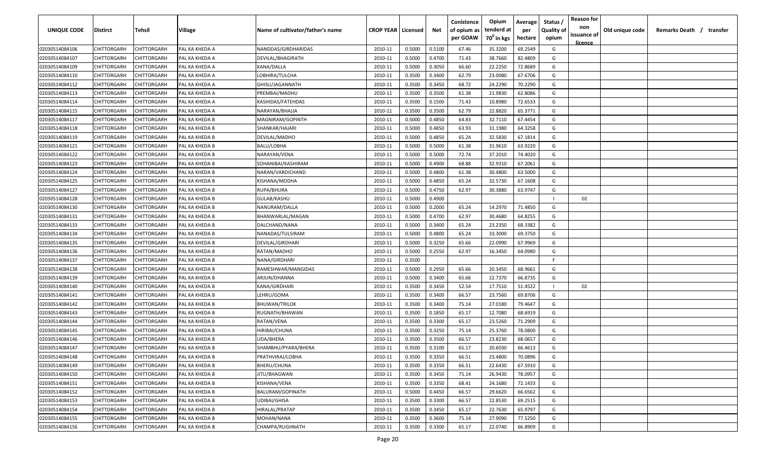| UNIQUE CODE    | Distirct           | Tehsil             | Village        | Name of cultivator/father's name | <b>CROP YEAR   Licensed</b> |        | Net    | Conistence<br>of opium as | Opium<br>tenderd at    | Average<br>per | Status /<br><b>Quality of</b> | <b>Reason for</b><br>non<br>issuance of | Old unique code | Remarks Death / transfer |
|----------------|--------------------|--------------------|----------------|----------------------------------|-----------------------------|--------|--------|---------------------------|------------------------|----------------|-------------------------------|-----------------------------------------|-----------------|--------------------------|
|                |                    |                    |                |                                  |                             |        |        | per GOAW                  | 70 <sup>0</sup> in kgs | hectare        | opium                         | <u>licence</u>                          |                 |                          |
| 02030514084106 | CHITTORGARH        | CHITTORGARH        | PAL KA KHEDA A | NANDDAS/GIRDHARIDAS              | 2010-11                     | 0.5000 | 0.5100 | 67.46                     | 35.3200                | 69.2549        | G                             |                                         |                 |                          |
| 02030514084107 | CHITTORGARH        | CHITTORGARH        | PAL KA KHEDA A | DEVILAL/BHAGIRATH                | 2010-11                     | 0.5000 | 0.4700 | 71.43                     | 38.7660                | 82.4809        | G                             |                                         |                 |                          |
| 02030514084109 | CHITTORGARH        | CHITTORGARH        | PAL KA KHEDA A | KANA/DALLA                       | 2010-11                     | 0.5000 | 0.3050 | 66.60                     | 22.2250                | 72.8689        | G                             |                                         |                 |                          |
| 02030514084110 | CHITTORGARH        | CHITTORGARH        | PAL KA KHEDA A | LOBHIRA/TULCHA                   | 2010-11                     | 0.3500 | 0.3400 | 62.79                     | 23.0080                | 67.6706        | G                             |                                         |                 |                          |
| 02030514084112 | CHITTORGARH        | CHITTORGARH        | PAL KA KHEDA A | GHISU/JAGANNATH                  | 2010-11                     | 0.3500 | 0.3450 | 68.72                     | 24.2290                | 70.2290        | G                             |                                         |                 |                          |
| 02030514084113 | CHITTORGARH        | CHITTORGARH        | PAL KA KHEDA A | PREMBAI/MADHU                    | 2010-11                     | 0.3500 | 0.3500 | 61.38                     | 21.9830                | 62.8086        | G                             |                                         |                 |                          |
| 02030514084114 | CHITTORGARH        | CHITTORGARH        | PAL KA KHEDA A | KASHIDAS/FATEHDAS                | 2010-11                     | 0.3500 | 0.1500 | 71.43                     | 10.8980                | 72.6533        | G                             |                                         |                 |                          |
| 02030514084115 | CHITTORGARH        | CHITTORGARH        | PAL KA KHEDA A | NARAYAN/BHAJJA                   | 2010-11                     | 0.3500 | 0.3500 | 62.79                     | 22.8820                | 65.3771        | G                             |                                         |                 |                          |
| 02030514084117 | CHITTORGARH        | CHITTORGARH        | PAL KA KHEDA B | MAGNIRAM/GOPINTH                 | 2010-11                     | 0.5000 | 0.4850 | 64.83                     | 32.7110                | 67.4454        | G                             |                                         |                 |                          |
| 02030514084118 | CHITTORGARH        | CHITTORGARH        | PAL KA KHEDA B | SHANKAR/HAJARI                   | 2010-11                     | 0.5000 | 0.4850 | 63.93                     | 31.1980                | 64.3258        | G                             |                                         |                 |                          |
| 02030514084119 | CHITTORGARH        | CHITTORGARH        | PAL KA KHEDA B | DEVILAL/MADHO                    | 2010-11                     | 0.5000 | 0.4850 | 65.24                     | 32.5830                | 67.1814        | G                             |                                         |                 |                          |
| 02030514084121 | CHITTORGARH        | CHITTORGARH        | PAL KA KHEDA B | BALU/LOBHA                       | 2010-11                     | 0.5000 | 0.5000 | 61.38                     | 31.9610                | 63.9220        | G                             |                                         |                 |                          |
| 02030514084122 | CHITTORGARH        | CHITTORGARH        | PAL KA KHEDA B | NARAYAN/VENA                     | 2010-11                     | 0.5000 | 0.5000 | 72.74                     | 37.2010                | 74.4020        | G                             |                                         |                 |                          |
| 02030514084123 | CHITTORGARH        | CHITTORGARH        | PAL KA KHEDA B | SOHANIBAI/KASHIRAM               | 2010-11                     | 0.5000 | 0.4900 | 68.88                     | 32.9310                | 67.2061        | G                             |                                         |                 |                          |
| 02030514084124 | CHITTORGARH        | CHITTORGARH        | PAL KA KHEDA B | NARAN/VARDICHAND                 | 2010-11                     | 0.5000 | 0.4800 | 61.38                     | 30.4800                | 63.5000        | G                             |                                         |                 |                          |
| 02030514084125 | CHITTORGARH        | CHITTORGARH        | PAL KA KHEDA B | KISHANA/MODHA                    | 2010-11                     | 0.5000 | 0.4850 | 65.24                     | 32.5730                | 67.1608        | G                             |                                         |                 |                          |
| 02030514084127 | CHITTORGARH        | CHITTORGARH        | PAL KA KHEDA B | RUPA/BHURA                       | 2010-11                     | 0.5000 | 0.4750 | 62.97                     | 30.3880                | 63.9747        | G                             |                                         |                 |                          |
| 02030514084128 | CHITTORGARH        | CHITTORGARH        | PAL KA KHEDA B | GULAB/KASHU                      | 2010-11                     | 0.5000 | 0.4900 |                           |                        |                |                               | 02                                      |                 |                          |
| 02030514084130 | CHITTORGARH        | CHITTORGARH        | PAL KA KHEDA B | NANURAM/DALLA                    | 2010-11                     | 0.5000 | 0.2000 | 65.24                     | 14.2970                | 71.4850        | G                             |                                         |                 |                          |
| 02030514084131 | CHITTORGARH        | CHITTORGARH        | PAL KA KHEDA B | BHANWARLAL/MAGAN                 | 2010-11                     | 0.5000 | 0.4700 | 62.97                     | 30.4680                | 64.8255        | G                             |                                         |                 |                          |
| 02030514084133 | CHITTORGARH        | CHITTORGARH        | PAL KA KHEDA B | DALCHAND/NANA                    | 2010-11                     | 0.5000 | 0.3400 | 65.24                     | 23.2350                | 68.3382        | G                             |                                         |                 |                          |
| 02030514084134 | CHITTORGARH        | CHITTORGARH        | PAL KA KHEDA B | NANADAS/TULSIRAM                 | 2010-11                     | 0.5000 | 0.4800 | 65.24                     | 33.3000                | 69.3750        | G                             |                                         |                 |                          |
| 02030514084135 | CHITTORGARH        | CHITTORGARH        | PAL KA KHEDA B | DEVILAL/GIRDHARI                 | 2010-11                     | 0.5000 | 0.3250 | 65.66                     | 22.0990                | 67.9969        | G                             |                                         |                 |                          |
| 02030514084136 | CHITTORGARH        | CHITTORGARH        | PAL KA KHEDA B | RATAN/MADHO                      | 2010-11                     | 0.5000 | 0.2550 | 62.97                     | 16.3450                | 64.0980        | G                             |                                         |                 |                          |
| 02030514084137 | CHITTORGARH        | CHITTORGARH        | PAL KA KHEDA B | NANA/GIRDHARI                    | 2010-11                     | 0.3500 |        |                           |                        |                | -F                            |                                         |                 |                          |
| 02030514084138 | CHITTORGARH        | CHITTORGARH        | PAL KA KHEDA B | RAMESHWAR/MANGIDAS               | 2010-11                     | 0.5000 | 0.2950 | 65.66                     | 20.3450                | 68.9661        | G                             |                                         |                 |                          |
| 02030514084139 | CHITTORGARH        | CHITTORGARH        | PAL KA KHEDA B | ARJUN/DHANNA                     | 2010-11                     | 0.5000 | 0.3400 | 65.66                     | 22.7370                | 66.8735        | G                             |                                         |                 |                          |
| 02030514084140 | CHITTORGARH        | CHITTORGARH        | PAL KA KHEDA B | KANA/GIRDHARI                    | 2010-11                     | 0.3500 | 0.3450 | 52.54                     | 17.7510                | 51.4522        |                               | 02                                      |                 |                          |
| 02030514084141 | CHITTORGARH        | CHITTORGARH        | PAL KA KHEDA B | LEHRU/GOMA                       | 2010-11                     | 0.3500 | 0.3400 | 66.57                     | 23.7560                | 69.8706        | G                             |                                         |                 |                          |
| 02030514084142 | CHITTORGARH        | CHITTORGARH        | PAL KA KHEDA B | BHUWAN/TRILOK                    | 2010-11                     | 0.3500 | 0.3400 | 75.14                     | 27.0180                | 79.4647        | G                             |                                         |                 |                          |
| 02030514084143 | CHITTORGARH        | CHITTORGARH        | PAL KA KHEDA B | RUGNATH/BHAWAN                   | 2010-11                     | 0.3500 | 0.1850 | 65.17                     | 12.7080                | 68.6919        | G                             |                                         |                 |                          |
| 02030514084144 | CHITTORGARH        | CHITTORGARH        | PAL KA KHEDA B | RATAN/VENA                       | 2010-11                     | 0.3500 | 0.3300 | 65.17                     | 23.5260                | 71.2909        | G                             |                                         |                 |                          |
| 02030514084145 | CHITTORGARH        | CHITTORGARH        | PAL KA KHEDA B | HIRIBAI/CHUNA                    | 2010-11                     | 0.3500 | 0.3250 | 75.14                     | 25.3760                | 78.0800        | G                             |                                         |                 |                          |
| 02030514084146 | CHITTORGARH        | CHITTORGARH        | PAL KA KHEDA B | UDA/BHERA                        | 2010-11                     | 0.3500 | 0.3500 | 66.57                     | 23.8230                | 68.0657        | G                             |                                         |                 |                          |
| 02030514084147 | CHITTORGARH        | CHITTORGARH        | PAL KA KHEDA B | SHAMBHU/PYARA/BHERA              | 2010-11                     | 0.3500 | 0.3100 | 65.17                     | 20.6030                | 66.4613        | G                             |                                         |                 |                          |
| 02030514084148 | <b>CHITTORGARH</b> | CHITTORGARH        | PAL KA KHEDA B | PRATHVIRAJ/LOBHA                 | 2010-11                     | 0.3500 | 0.3350 | 66.51                     | 23.4800                | 70.0896        | G                             |                                         |                 |                          |
| 02030514084149 | <b>CHITTORGARH</b> | CHITTORGARH        | PAL KA KHEDA B | BHERU/CHUNA                      | 2010-11                     | 0.3500 | 0.3350 | 66.51                     | 22.6430                | 67.5910        | G                             |                                         |                 |                          |
| 02030514084150 | CHITTORGARH        | <b>CHITTORGARH</b> | PAL KA KHEDA B | JITU/BHAGWAN                     | 2010-11                     | 0.3500 | 0.3450 | 75.14                     | 26.9430                | 78.0957        | G                             |                                         |                 |                          |
| 02030514084151 | <b>CHITTORGARH</b> | CHITTORGARH        | PAL KA KHEDA B | KISHANA/VENA                     | 2010-11                     | 0.3500 | 0.3350 | 68.41                     | 24.1680                | 72.1433        | G                             |                                         |                 |                          |
| 02030514084152 | CHITTORGARH        | CHITTORGARH        | PAL KA KHEDA B | BALURAM/GOPINATH                 | 2010-11                     | 0.5000 | 0.4450 | 66.57                     | 29.6620                | 66.6562        | G                             |                                         |                 |                          |
| 02030514084153 | CHITTORGARH        | CHITTORGARH        | PAL KA KHEDA B | UDIBAI/GHISA                     | 2010-11                     | 0.3500 | 0.3300 | 66.57                     | 22.8530                | 69.2515        | G                             |                                         |                 |                          |
| 02030514084154 | <b>CHITTORGARH</b> | CHITTORGARH        | PAL KA KHEDA B | HIRALAL/PRATAP                   | 2010-11                     | 0.3500 | 0.3450 | 65.17                     | 22.7630                | 65.9797        | G                             |                                         |                 |                          |
| 02030514084155 | CHITTORGARH        | CHITTORGARH        | PAL KA KHEDA B | MOHAN/NANA                       | 2010-11                     | 0.3500 | 0.3600 | 75.14                     | 27.9090                | 77.5250        | G                             |                                         |                 |                          |
| 02030514084156 | <b>CHITTORGARH</b> | CHITTORGARH        | PAL KA KHEDA B | CHAMPA/RUGHNATH                  | 2010-11                     | 0.3500 | 0.3300 | 65.17                     | 22.0740                | 66.8909        | G                             |                                         |                 |                          |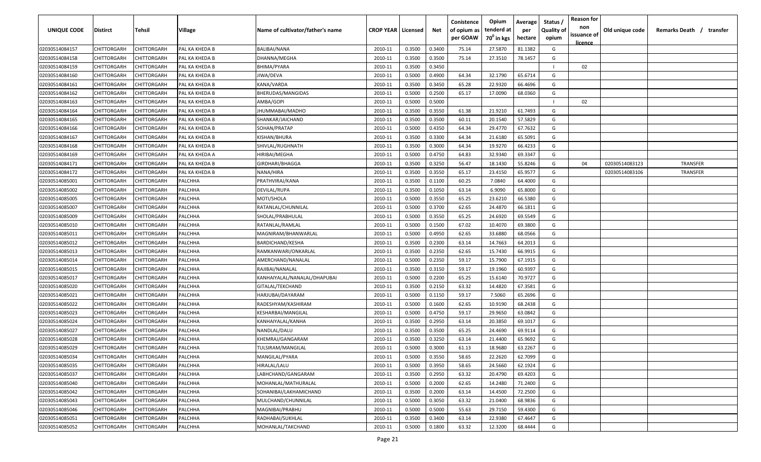| UNIQUE CODE    | Distirct           | Tehsil             | Village        | Name of cultivator/father's name | <b>CROP YEAR   Licensed</b> |        | Net    | Conistence<br>of opium as<br>per GOAW | Opium<br>tenderd at<br>70 <sup>0</sup> in kgs | Average<br>per<br>hectare | Status /<br><b>Quality of</b><br>opium | <b>Reason for</b><br>non<br>issuance of | Old unique code | Remarks Death / transfer |
|----------------|--------------------|--------------------|----------------|----------------------------------|-----------------------------|--------|--------|---------------------------------------|-----------------------------------------------|---------------------------|----------------------------------------|-----------------------------------------|-----------------|--------------------------|
| 02030514084157 | CHITTORGARH        | CHITTORGARH        | PAL KA KHEDA B | BALIBAI/NANA                     | 2010-11                     | 0.3500 | 0.3400 | 75.14                                 | 27.5870                                       | 81.1382                   | G                                      | <u>licence</u>                          |                 |                          |
| 02030514084158 | CHITTORGARH        | CHITTORGARH        | PAL KA KHEDA B | DHANNA/MEGHA                     | 2010-11                     | 0.3500 | 0.3500 | 75.14                                 | 27.3510                                       | 78.1457                   | G                                      |                                         |                 |                          |
| 02030514084159 | CHITTORGARH        | CHITTORGARH        | PAL KA KHEDA B | BHIMA/PYARA                      | 2010-11                     | 0.3500 | 0.3450 |                                       |                                               |                           |                                        | 02                                      |                 |                          |
| 02030514084160 | CHITTORGARH        | CHITTORGARH        | PAL KA KHEDA B | JIWA/DEVA                        | 2010-11                     | 0.5000 | 0.4900 | 64.34                                 | 32.1790                                       | 65.6714                   | G                                      |                                         |                 |                          |
| 02030514084161 | CHITTORGARH        | CHITTORGARH        | PAL KA KHEDA B | KANA/VARDA                       | 2010-11                     | 0.3500 | 0.3450 | 65.28                                 | 22.9320                                       | 66.4696                   | G                                      |                                         |                 |                          |
| 02030514084162 | CHITTORGARH        | CHITTORGARH        | PAL KA KHEDA B | BHERUDAS/MANGIDAS                | 2010-11                     | 0.5000 | 0.2500 | 65.17                                 | 17.0090                                       | 68.0360                   | G                                      |                                         |                 |                          |
| 02030514084163 | CHITTORGARH        | <b>CHITTORGARH</b> | PAL KA KHEDA B | AMBA/GOPI                        | 2010-11                     | 0.5000 | 0.5000 |                                       |                                               |                           |                                        | 02                                      |                 |                          |
| 02030514084164 | CHITTORGARH        | CHITTORGARH        | PAL KA KHEDA B | JHUMMABAI/MADHO                  | 2010-11                     | 0.3500 | 0.3550 | 61.38                                 | 21.9210                                       | 61.7493                   | G                                      |                                         |                 |                          |
| 02030514084165 | CHITTORGARH        | CHITTORGARH        | PAL KA KHEDA B | SHANKAR/JAICHAND                 | 2010-11                     | 0.3500 | 0.3500 | 60.11                                 | 20.1540                                       | 57.5829                   | G                                      |                                         |                 |                          |
| 02030514084166 | CHITTORGARH        | CHITTORGARH        | PAL KA KHEDA B | SOHAN/PRATAP                     | 2010-11                     | 0.5000 | 0.4350 | 64.34                                 | 29.4770                                       | 67.7632                   | G                                      |                                         |                 |                          |
| 02030514084167 | CHITTORGARH        | CHITTORGARH        | PAL KA KHEDA B | KISHAN/BHURA                     | 2010-11                     | 0.3500 | 0.3300 | 64.34                                 | 21.6180                                       | 65.5091                   | G                                      |                                         |                 |                          |
| 02030514084168 | CHITTORGARH        | CHITTORGARH        | PAL KA KHEDA B | SHIVLAL/RUGHNATH                 | 2010-11                     | 0.3500 | 0.3000 | 64.34                                 | 19.9270                                       | 66.4233                   | G                                      |                                         |                 |                          |
| 02030514084169 | CHITTORGARH        | CHITTORGARH        | PAL KA KHEDA A | HIRIBAI/MEGHA                    | 2010-11                     | 0.5000 | 0.4750 | 64.83                                 | 32.9340                                       | 69.3347                   | G                                      |                                         |                 |                          |
| 02030514084171 | CHITTORGARH        | CHITTORGARH        | PAL KA KHEDA B | GIRDHARI/BHAGGA                  | 2010-11                     | 0.3500 | 0.3250 | 56.47                                 | 18.1430                                       | 55.8246                   | G                                      | 04                                      | 02030514083123  | <b>TRANSFER</b>          |
| 02030514084172 | CHITTORGARH        | CHITTORGARH        | PAL KA KHEDA B | NANA/HIRA                        | 2010-11                     | 0.3500 | 0.3550 | 65.17                                 | 23.4150                                       | 65.9577                   | G                                      |                                         | 02030514083106  | <b>TRANSFER</b>          |
| 02030514085001 | CHITTORGARH        | CHITTORGARH        | PALCHHA        | PRATHVIRAJ/KANA                  | 2010-11                     | 0.3500 | 0.1100 | 60.25                                 | 7.0840                                        | 64.4000                   | G                                      |                                         |                 |                          |
| 02030514085002 | CHITTORGARH        | CHITTORGARH        | PALCHHA        | DEVILAL/RUPA                     | 2010-11                     | 0.3500 | 0.1050 | 63.14                                 | 6.9090                                        | 65.8000                   | G                                      |                                         |                 |                          |
| 02030514085005 | CHITTORGARH        | CHITTORGARH        | PALCHHA        | MOTI/SHOLA                       | 2010-11                     | 0.5000 | 0.3550 | 65.25                                 | 23.6210                                       | 66.5380                   | G                                      |                                         |                 |                          |
| 02030514085007 | CHITTORGARH        | CHITTORGARH        | PALCHHA        | RATANLAL/CHUNNILAL               | 2010-11                     | 0.5000 | 0.3700 | 62.65                                 | 24.4870                                       | 66.1811                   | G                                      |                                         |                 |                          |
| 02030514085009 | CHITTORGARH        | CHITTORGARH        | PALCHHA        | SHOLAL/PRABHULAL                 | 2010-11                     | 0.5000 | 0.3550 | 65.25                                 | 24.6920                                       | 69.5549                   | G                                      |                                         |                 |                          |
| 02030514085010 | CHITTORGARH        | CHITTORGARH        | PALCHHA        | RATANLAL/RAMLAL                  | 2010-11                     | 0.5000 | 0.1500 | 67.02                                 | 10.4070                                       | 69.3800                   | G                                      |                                         |                 |                          |
| 02030514085011 | CHITTORGARH        | CHITTORGARH        | PALCHHA        | MAGNIRAM/BHANWARLAL              | 2010-11                     | 0.5000 | 0.4950 | 62.65                                 | 33.6880                                       | 68.0566                   | G                                      |                                         |                 |                          |
| 02030514085012 | CHITTORGARH        | CHITTORGARH        | PALCHHA        | BARDICHAND/KESHA                 | 2010-11                     | 0.3500 | 0.2300 | 63.14                                 | 14.7663                                       | 64.2013                   | G                                      |                                         |                 |                          |
| 02030514085013 | CHITTORGARH        | CHITTORGARH        | PALCHHA        | RAMKANWARI/ONKARLAL              | 2010-11                     | 0.3500 | 0.2350 | 62.65                                 | 15.7430                                       | 66.9915                   | G                                      |                                         |                 |                          |
| 02030514085014 | CHITTORGARH        | CHITTORGARH        | PALCHHA        | AMERCHAND/NANALAL                | 2010-11                     | 0.5000 | 0.2350 | 59.17                                 | 15.7900                                       | 67.1915                   | G                                      |                                         |                 |                          |
| 02030514085015 | CHITTORGARH        | CHITTORGARH        | PALCHHA        | RAJIBAI/NANALAL                  | 2010-11                     | 0.3500 | 0.3150 | 59.17                                 | 19.1960                                       | 60.9397                   | G                                      |                                         |                 |                          |
| 02030514085017 | CHITTORGARH        | CHITTORGARH        | PALCHHA        | KANHAIYALAL/NANALAL/DHAPUBAI     | 2010-11                     | 0.5000 | 0.2200 | 65.25                                 | 15.6140                                       | 70.9727                   | G                                      |                                         |                 |                          |
| 02030514085020 | CHITTORGARH        | CHITTORGARH        | PALCHHA        | GITALAL/TEKCHAND                 | 2010-11                     | 0.3500 | 0.2150 | 63.32                                 | 14.4820                                       | 67.3581                   | G                                      |                                         |                 |                          |
| 02030514085021 | CHITTORGARH        | CHITTORGARH        | PALCHHA        | HARJUBAI/DAYARAM                 | 2010-11                     | 0.5000 | 0.1150 | 59.17                                 | 7.5060                                        | 65.2696                   | G                                      |                                         |                 |                          |
| 02030514085022 | CHITTORGARH        | CHITTORGARH        | PALCHHA        | RADESHYAM/KASHIRAM               | 2010-11                     | 0.5000 | 0.1600 | 62.65                                 | 10.9190                                       | 68.2438                   | G                                      |                                         |                 |                          |
| 02030514085023 | CHITTORGARH        | CHITTORGARH        | PALCHHA        | KESHARBAI/MANGILAL               | 2010-11                     | 0.5000 | 0.4750 | 59.17                                 | 29.9650                                       | 63.0842                   | G                                      |                                         |                 |                          |
| 02030514085024 | CHITTORGARH        | CHITTORGARH        | PALCHHA        | KANHAIYALAL/KANHA                | 2010-11                     | 0.3500 | 0.2950 | 63.14                                 | 20.3850                                       | 69.1017                   | G                                      |                                         |                 |                          |
| 02030514085027 | CHITTORGARH        | CHITTORGARH        | PALCHHA        | NANDLAL/DALU                     | 2010-11                     | 0.3500 | 0.3500 | 65.25                                 | 24.4690                                       | 69.9114                   | G                                      |                                         |                 |                          |
| 02030514085028 | CHITTORGARH        | CHITTORGARH        | PALCHHA        | KHEMRAJ/GANGARAM                 | 2010-11                     | 0.3500 | 0.3250 | 63.14                                 | 21.4400                                       | 65.9692                   | G                                      |                                         |                 |                          |
| 02030514085029 | CHITTORGARH        | CHITTORGARH        | PALCHHA        | TULSIRAM/MANGILAL                | 2010-11                     | 0.5000 | 0.3000 | 61.13                                 | 18.9680                                       | 63.2267                   | G                                      |                                         |                 |                          |
| 02030514085034 | <b>CHITTORGARH</b> | CHITTORGARH        | PALCHHA        | MANGILAL/PYARA                   | 2010-11                     | 0.5000 | 0.3550 | 58.65                                 | 22.2620                                       | 62.7099                   | G                                      |                                         |                 |                          |
| 02030514085035 | CHITTORGARH        | CHITTORGARH        | PALCHHA        | HIRALAL/LALU                     | 2010-11                     | 0.5000 | 0.3950 | 58.65                                 | 24.5660                                       | 62.1924                   | G                                      |                                         |                 |                          |
| 02030514085037 | <b>CHITTORGARH</b> | CHITTORGARH        | PALCHHA        | LABHCHAND/GANGARAM               | 2010-11                     | 0.3500 | 0.2950 | 63.32                                 | 20.4790                                       | 69.4203                   | G                                      |                                         |                 |                          |
| 02030514085040 | <b>CHITTORGARH</b> | CHITTORGARH        | PALCHHA        | MOHANLAL/MATHURALAL              | 2010-11                     | 0.5000 | 0.2000 | 62.65                                 | 14.2480                                       | 71.2400                   | G                                      |                                         |                 |                          |
| 02030514085042 | CHITTORGARH        | CHITTORGARH        | PALCHHA        | SOHANIBAI/LAKHAMICHAND           | 2010-11                     | 0.3500 | 0.2000 | 63.14                                 | 14.4500                                       | 72.2500                   | G                                      |                                         |                 |                          |
| 02030514085043 | CHITTORGARH        | CHITTORGARH        | PALCHHA        | MULCHAND/CHUNNILAL               | 2010-11                     | 0.5000 | 0.3050 | 63.32                                 | 21.0400                                       | 68.9836                   | G                                      |                                         |                 |                          |
| 02030514085046 | CHITTORGARH        | CHITTORGARH        | PALCHHA        | MAGNIBAI/PRABHU                  | 2010-11                     | 0.5000 | 0.5000 | 55.63                                 | 29.7150                                       | 59.4300                   | G                                      |                                         |                 |                          |
| 02030514085051 | CHITTORGARH        | CHITTORGARH        | PALCHHA        | RADHABAI/SUKHLAL                 | 2010-11                     | 0.3500 | 0.3400 | 63.14                                 | 22.9380                                       | 67.4647                   | G                                      |                                         |                 |                          |
| 02030514085052 | CHITTORGARH        | CHITTORGARH        | PALCHHA        | MOHANLAL/TAKCHAND                | 2010-11                     | 0.5000 | 0.1800 | 63.32                                 | 12.3200                                       | 68.4444                   | G                                      |                                         |                 |                          |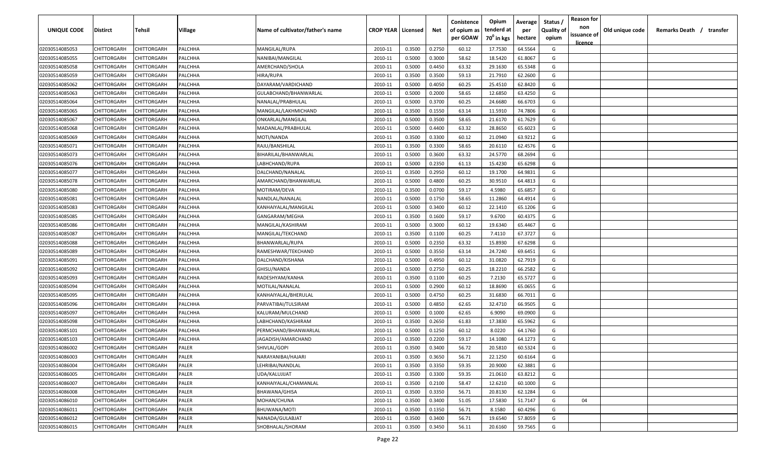| per GOAW<br>70 <sup>0</sup> in kgs<br>hectare<br>opium<br><u>licence</u><br>64.5564<br>02030514085053<br>CHITTORGARH<br>CHITTORGARH<br>PALCHHA<br>MANGILAL/RUPA<br>0.3500<br>0.2750<br>60.12<br>17.7530<br>G<br>2010-11<br>02030514085055<br>0.5000<br>0.3000<br>58.62<br>18.5420<br>61.8067<br>G<br>CHITTORGARH<br>CHITTORGARH<br>PALCHHA<br>NANIBAI/MANGILAL<br>2010-11<br>63.32<br>02030514085058<br>CHITTORGARH<br>CHITTORGARH<br>PALCHHA<br>AMERCHAND/SHOLA<br>0.5000<br>0.4450<br>29.1630<br>65.5348<br>G<br>2010-11<br>02030514085059<br>CHITTORGARH<br>CHITTORGARH<br>PALCHHA<br>HIRA/RUPA<br>2010-11<br>0.3500<br>0.3500<br>59.13<br>21.7910<br>62.2600<br>G<br>60.25<br>02030514085062<br>CHITTORGARH<br>CHITTORGARH<br>PALCHHA<br>DAYARAM/VARDICHAND<br>2010-11<br>0.5000<br>0.4050<br>25.4510<br>62.8420<br>G<br>02030514085063<br>2010-11<br>0.5000<br>0.2000<br>58.65<br>12.6850<br>63.4250<br>G<br>CHITTORGARH<br>CHITTORGARH<br>PALCHHA<br>GULABCHAND/BHANWARLAL<br>02030514085064<br>CHITTORGARH<br>CHITTORGARH<br>0.5000<br>0.3700<br>60.25<br>24.6680<br>66.6703<br>PALCHHA<br>NANALAL/PRABHULAL<br>2010-11<br>G<br>0.3500<br>0.1550<br>11.5910<br>02030514085065<br>CHITTORGARH<br>CHITTORGARH<br>PALCHHA<br>MANGILAL/LAKHMICHAND<br>2010-11<br>63.14<br>74.7806<br>G<br>58.65<br>02030514085067<br>CHITTORGARH<br>CHITTORGARH<br>PALCHHA<br>2010-11<br>0.5000<br>0.3500<br>21.6170<br>61.7629<br>G<br>ONKARLAL/MANGILAL<br>63.32<br>28.8650<br>G<br>2010-11<br>0.5000<br>0.4400<br>65.6023<br>02030514085068<br>CHITTORGARH<br>CHITTORGARH<br>PALCHHA<br>MADANLAL/PRABHULAL<br>60.12<br>CHITTORGARH<br>CHITTORGARH<br>2010-11<br>0.3500<br>0.3300<br>21.0940<br>63.9212<br>G<br>02030514085069<br>PALCHHA<br>MOTI/NANDA<br>58.65<br>20.6110<br>G<br>02030514085071<br>CHITTORGARH<br>CHITTORGARH<br>PALCHHA<br>RAJU/BANSHILAL<br>2010-11<br>0.3500<br>0.3300<br>62.4576<br>63.32<br>CHITTORGARH<br>CHITTORGARH<br>PALCHHA<br>BIHARILAL/BHANWARLAL<br>2010-11<br>0.5000<br>0.3600<br>24.5770<br>68.2694<br>G<br>02030514085073<br>0.5000<br>0.2350<br>61.13<br>15.4230<br>65.6298<br>G<br>02030514085076<br>CHITTORGARH<br>CHITTORGARH<br>PALCHHA<br>2010-11<br>LABHCHAND/RUPA<br>60.12<br>64.9831<br>CHITTORGARH<br>CHITTORGARH<br>PALCHHA<br>2010-11<br>0.3500<br>0.2950<br>19.1700<br>G<br>02030514085077<br>DALCHAND/NANALAL<br>CHITTORGARH<br>CHITTORGARH<br>PALCHHA<br>0.5000<br>0.4800<br>60.25<br>30.9510<br>64.4813<br>G<br>02030514085078<br>2010-11<br>AMARCHAND/BHANWARLAL<br>59.17<br>4.5980<br>65.6857<br>02030514085080<br>CHITTORGARH<br>CHITTORGARH<br>PALCHHA<br>MOTIRAM/DEVA<br>2010-11<br>0.3500<br>0.0700<br>G<br>58.65<br>64.4914<br>G<br>02030514085081<br>CHITTORGARH<br>CHITTORGARH<br>PALCHHA<br>2010-11<br>0.5000<br>0.1750<br>11.2860<br>NANDLAL/NANALAL<br>02030514085083<br>CHITTORGARH<br>0.5000<br>0.3400<br>60.12<br>22.1410<br>65.1206<br>G<br>CHITTORGARH<br>PALCHHA<br>KANHAIYALAL/MANGILAL<br>2010-11<br>59.17<br>9.6700<br>60.4375<br>G<br>02030514085085<br>CHITTORGARH<br>CHITTORGARH<br>PALCHHA<br>0.3500<br>0.1600<br>GANGARAM/MEGHA<br>2010-11<br>02030514085086<br>CHITTORGARH<br>19.6340<br>65.4467<br>CHITTORGARH<br>PALCHHA<br>MANGILAL/KASHIRAM<br>2010-11<br>0.5000<br>0.3000<br>60.12<br>G<br>2010-11<br>0.3500<br>0.1100<br>60.25<br>67.3727<br>G<br>02030514085087<br>CHITTORGARH<br>CHITTORGARH<br>PALCHHA<br>MANGILAL/TEKCHAND<br>7.4110<br>02030514085088<br>CHITTORGARH<br>CHITTORGARH<br>0.5000<br>0.2350<br>63.32<br>15.8930<br>67.6298<br>G<br>PALCHHA<br>BHANWARLAL/RUPA<br>2010-11<br>02030514085089<br>CHITTORGARH<br>CHITTORGARH<br>0.5000<br>0.3550<br>63.14<br>24.7240<br>69.6451<br>G<br>PALCHHA<br>RAMESHWAR/TEKCHAND<br>2010-11<br>31.0820<br>62.7919<br>02030514085091<br>CHITTORGARH<br>CHITTORGARH<br>PALCHHA<br>DALCHAND/KISHANA<br>2010-11<br>0.5000<br>0.4950<br>60.12<br>G<br>02030514085092<br>CHITTORGARH<br>CHITTORGARH<br>PALCHHA<br>2010-11<br>0.5000<br>0.2750<br>60.25<br>18.2210<br>66.2582<br>G<br>GHISU/NANDA<br>60.25<br>G<br>0.1100<br>7.2130<br>65.5727<br>02030514085093<br>CHITTORGARH<br>CHITTORGARH<br>PALCHHA<br>RADESHYAM/KANHA<br>2010-11<br>0.3500<br>0.5000<br>0.2900<br>60.12<br>18.8690<br>65.0655<br>G<br>02030514085094<br>CHITTORGARH<br>CHITTORGARH<br>PALCHHA<br>MOTILAL/NANALAL<br>2010-11<br>G<br>CHITTORGARH<br>CHITTORGARH<br>PALCHHA<br>2010-11<br>0.5000<br>0.4750<br>60.25<br>31.6830<br>66.7011<br>02030514085095<br>KANHAIYALAL/BHERULAL<br>62.65<br>CHITTORGARH<br>PALCHHA<br>2010-11<br>0.5000<br>0.4850<br>32.4710<br>66.9505<br>G<br>02030514085096<br>CHITTORGARH<br>PARVATIBAI/TULSIRAM<br>62.65<br>G<br>02030514085097<br>CHITTORGARH<br>PALCHHA<br>2010-11<br>0.5000<br>0.1000<br>6.9090<br>69.0900<br>CHITTORGARH<br>KALURAM/MULCHAND<br>65.5962<br>02030514085098<br>CHITTORGARH<br>CHITTORGARH<br>PALCHHA<br>2010-11<br>0.3500<br>0.2650<br>61.83<br>17.3830<br>G<br>LABHCHAND/KASHIRAM<br>CHITTORGARH<br>CHITTORGARH<br>PALCHHA<br>PERMCHAND/BHANWARLAL<br>2010-11<br>0.5000<br>0.1250<br>60.12<br>8.0220<br>64.1760<br>G<br>02030514085101<br>PALCHHA<br>0.3500<br>0.2200<br>59.17<br>14.1080<br>64.1273<br>G<br>02030514085103<br>CHITTORGARH<br>CHITTORGARH<br>JAGADISH/AMARCHAND<br>2010-11<br>G<br>02030514086002<br>2010-11<br>0.3500<br>0.3400<br>56.72<br>20.5810<br>60.5324<br>CHITTORGARH<br>CHITTORGARH<br>PALER<br>SHIVLAL/GOPI<br>PALER<br>0.3500<br>0.3650<br>22.1250<br>60.6164<br>02030514086003<br><b>CHITTORGARH</b><br>CHITTORGARH<br>NARAYANIBAI/HAJARI<br>2010-11<br>56.71<br>G<br><b>CHITTORGARH</b><br>PALER<br>0.3500<br>0.3350<br>59.35<br>20.9000<br>62.3881<br>G<br>02030514086004<br>CHITTORGARH<br>LEHRIBAI/NANDLAL<br>2010-11<br><b>CHITTORGARH</b><br>PALER<br>0.3500<br>0.3300<br>59.35<br>21.0610<br>63.8212<br>G<br>02030514086005<br>CHITTORGARH<br>UDA/KALUJIJAT<br>2010-11<br>0.2100<br>58.47<br>12.6210<br>60.1000<br>G<br>02030514086007<br><b>CHITTORGARH</b><br>CHITTORGARH<br>PALER<br>KANHAIYALAL/CHAMANLAL<br>2010-11<br>0.3500<br>02030514086008<br>0.3350<br>56.71<br>20.8130<br>62.1284<br>G<br>CHITTORGARH<br>CHITTORGARH<br>PALER<br>BHAWANA/GHISA<br>2010-11<br>0.3500<br>0.3500<br>0.3400<br>17.5830<br>51.7147<br>G<br>04<br>02030514086010<br>CHITTORGARH<br>CHITTORGARH<br>PALER<br>MOHAN/CHUNA<br>2010-11<br>51.05<br>02030514086011<br><b>CHITTORGARH</b><br>CHITTORGARH<br>PALER<br>BHUWANA/MOTI<br>2010-11<br>0.3500<br>0.1350<br>56.71<br>8.1580<br>60.4296<br>G<br>G<br>02030514086012<br>PALER<br>NANADA/GULABJAT<br>2010-11<br>0.3500<br>0.3400<br>56.71<br>19.6540<br>57.8059<br>CHITTORGARH<br>CHITTORGARH | <b>UNIQUE CODE</b> | Distirct    | Tehsil      | Village | Name of cultivator/father's name | <b>CROP YEAR   Licensed</b> |        | Net    | Conistence<br>of opium as | Opium<br>tenderd at | Average<br>per | Status /<br><b>Quality of</b> | <b>Reason for</b><br>non | Old unique code | Remarks Death / transfer |
|-----------------------------------------------------------------------------------------------------------------------------------------------------------------------------------------------------------------------------------------------------------------------------------------------------------------------------------------------------------------------------------------------------------------------------------------------------------------------------------------------------------------------------------------------------------------------------------------------------------------------------------------------------------------------------------------------------------------------------------------------------------------------------------------------------------------------------------------------------------------------------------------------------------------------------------------------------------------------------------------------------------------------------------------------------------------------------------------------------------------------------------------------------------------------------------------------------------------------------------------------------------------------------------------------------------------------------------------------------------------------------------------------------------------------------------------------------------------------------------------------------------------------------------------------------------------------------------------------------------------------------------------------------------------------------------------------------------------------------------------------------------------------------------------------------------------------------------------------------------------------------------------------------------------------------------------------------------------------------------------------------------------------------------------------------------------------------------------------------------------------------------------------------------------------------------------------------------------------------------------------------------------------------------------------------------------------------------------------------------------------------------------------------------------------------------------------------------------------------------------------------------------------------------------------------------------------------------------------------------------------------------------------------------------------------------------------------------------------------------------------------------------------------------------------------------------------------------------------------------------------------------------------------------------------------------------------------------------------------------------------------------------------------------------------------------------------------------------------------------------------------------------------------------------------------------------------------------------------------------------------------------------------------------------------------------------------------------------------------------------------------------------------------------------------------------------------------------------------------------------------------------------------------------------------------------------------------------------------------------------------------------------------------------------------------------------------------------------------------------------------------------------------------------------------------------------------------------------------------------------------------------------------------------------------------------------------------------------------------------------------------------------------------------------------------------------------------------------------------------------------------------------------------------------------------------------------------------------------------------------------------------------------------------------------------------------------------------------------------------------------------------------------------------------------------------------------------------------------------------------------------------------------------------------------------------------------------------------------------------------------------------------------------------------------------------------------------------------------------------------------------------------------------------------------------------------------------------------------------------------------------------------------------------------------------------------------------------------------------------------------------------------------------------------------------------------------------------------------------------------------------------------------------------------------------------------------------------------------------------------------------------------------------------------------------------------------------------------------------------------------------------------------------------------------------------------------------------------------------------------------------------------------------------------------------------------------------------------------------------------------------------------------------------------------------------------------------------------------------------------------------------------------------------------------------------------------------------------------------------------------------------------------------------------------------------------------------------------------------------------------------------------------------------------------------------------------------------------------------------------------------------------------------------------------------------------------------------------------------------------------------------------------------------------------------------------------------------------------------------------------------------------------------------------------------------------------------------------------------------------------------------------------------------------------------------------------------------------------------------------------------|--------------------|-------------|-------------|---------|----------------------------------|-----------------------------|--------|--------|---------------------------|---------------------|----------------|-------------------------------|--------------------------|-----------------|--------------------------|
|                                                                                                                                                                                                                                                                                                                                                                                                                                                                                                                                                                                                                                                                                                                                                                                                                                                                                                                                                                                                                                                                                                                                                                                                                                                                                                                                                                                                                                                                                                                                                                                                                                                                                                                                                                                                                                                                                                                                                                                                                                                                                                                                                                                                                                                                                                                                                                                                                                                                                                                                                                                                                                                                                                                                                                                                                                                                                                                                                                                                                                                                                                                                                                                                                                                                                                                                                                                                                                                                                                                                                                                                                                                                                                                                                                                                                                                                                                                                                                                                                                                                                                                                                                                                                                                                                                                                                                                                                                                                                                                                                                                                                                                                                                                                                                                                                                                                                                                                                                                                                                                                                                                                                                                                                                                                                                                                                                                                                                                                                                                                                                                                                                                                                                                                                                                                                                                                                                                                                                                                                                                                                                                                                                                                                                                                                                                                                                                                                                                                                                                                                                                                                             |                    |             |             |         |                                  |                             |        |        |                           |                     |                |                               | issuance of              |                 |                          |
|                                                                                                                                                                                                                                                                                                                                                                                                                                                                                                                                                                                                                                                                                                                                                                                                                                                                                                                                                                                                                                                                                                                                                                                                                                                                                                                                                                                                                                                                                                                                                                                                                                                                                                                                                                                                                                                                                                                                                                                                                                                                                                                                                                                                                                                                                                                                                                                                                                                                                                                                                                                                                                                                                                                                                                                                                                                                                                                                                                                                                                                                                                                                                                                                                                                                                                                                                                                                                                                                                                                                                                                                                                                                                                                                                                                                                                                                                                                                                                                                                                                                                                                                                                                                                                                                                                                                                                                                                                                                                                                                                                                                                                                                                                                                                                                                                                                                                                                                                                                                                                                                                                                                                                                                                                                                                                                                                                                                                                                                                                                                                                                                                                                                                                                                                                                                                                                                                                                                                                                                                                                                                                                                                                                                                                                                                                                                                                                                                                                                                                                                                                                                                             |                    |             |             |         |                                  |                             |        |        |                           |                     |                |                               |                          |                 |                          |
|                                                                                                                                                                                                                                                                                                                                                                                                                                                                                                                                                                                                                                                                                                                                                                                                                                                                                                                                                                                                                                                                                                                                                                                                                                                                                                                                                                                                                                                                                                                                                                                                                                                                                                                                                                                                                                                                                                                                                                                                                                                                                                                                                                                                                                                                                                                                                                                                                                                                                                                                                                                                                                                                                                                                                                                                                                                                                                                                                                                                                                                                                                                                                                                                                                                                                                                                                                                                                                                                                                                                                                                                                                                                                                                                                                                                                                                                                                                                                                                                                                                                                                                                                                                                                                                                                                                                                                                                                                                                                                                                                                                                                                                                                                                                                                                                                                                                                                                                                                                                                                                                                                                                                                                                                                                                                                                                                                                                                                                                                                                                                                                                                                                                                                                                                                                                                                                                                                                                                                                                                                                                                                                                                                                                                                                                                                                                                                                                                                                                                                                                                                                                                             |                    |             |             |         |                                  |                             |        |        |                           |                     |                |                               |                          |                 |                          |
|                                                                                                                                                                                                                                                                                                                                                                                                                                                                                                                                                                                                                                                                                                                                                                                                                                                                                                                                                                                                                                                                                                                                                                                                                                                                                                                                                                                                                                                                                                                                                                                                                                                                                                                                                                                                                                                                                                                                                                                                                                                                                                                                                                                                                                                                                                                                                                                                                                                                                                                                                                                                                                                                                                                                                                                                                                                                                                                                                                                                                                                                                                                                                                                                                                                                                                                                                                                                                                                                                                                                                                                                                                                                                                                                                                                                                                                                                                                                                                                                                                                                                                                                                                                                                                                                                                                                                                                                                                                                                                                                                                                                                                                                                                                                                                                                                                                                                                                                                                                                                                                                                                                                                                                                                                                                                                                                                                                                                                                                                                                                                                                                                                                                                                                                                                                                                                                                                                                                                                                                                                                                                                                                                                                                                                                                                                                                                                                                                                                                                                                                                                                                                             |                    |             |             |         |                                  |                             |        |        |                           |                     |                |                               |                          |                 |                          |
|                                                                                                                                                                                                                                                                                                                                                                                                                                                                                                                                                                                                                                                                                                                                                                                                                                                                                                                                                                                                                                                                                                                                                                                                                                                                                                                                                                                                                                                                                                                                                                                                                                                                                                                                                                                                                                                                                                                                                                                                                                                                                                                                                                                                                                                                                                                                                                                                                                                                                                                                                                                                                                                                                                                                                                                                                                                                                                                                                                                                                                                                                                                                                                                                                                                                                                                                                                                                                                                                                                                                                                                                                                                                                                                                                                                                                                                                                                                                                                                                                                                                                                                                                                                                                                                                                                                                                                                                                                                                                                                                                                                                                                                                                                                                                                                                                                                                                                                                                                                                                                                                                                                                                                                                                                                                                                                                                                                                                                                                                                                                                                                                                                                                                                                                                                                                                                                                                                                                                                                                                                                                                                                                                                                                                                                                                                                                                                                                                                                                                                                                                                                                                             |                    |             |             |         |                                  |                             |        |        |                           |                     |                |                               |                          |                 |                          |
|                                                                                                                                                                                                                                                                                                                                                                                                                                                                                                                                                                                                                                                                                                                                                                                                                                                                                                                                                                                                                                                                                                                                                                                                                                                                                                                                                                                                                                                                                                                                                                                                                                                                                                                                                                                                                                                                                                                                                                                                                                                                                                                                                                                                                                                                                                                                                                                                                                                                                                                                                                                                                                                                                                                                                                                                                                                                                                                                                                                                                                                                                                                                                                                                                                                                                                                                                                                                                                                                                                                                                                                                                                                                                                                                                                                                                                                                                                                                                                                                                                                                                                                                                                                                                                                                                                                                                                                                                                                                                                                                                                                                                                                                                                                                                                                                                                                                                                                                                                                                                                                                                                                                                                                                                                                                                                                                                                                                                                                                                                                                                                                                                                                                                                                                                                                                                                                                                                                                                                                                                                                                                                                                                                                                                                                                                                                                                                                                                                                                                                                                                                                                                             |                    |             |             |         |                                  |                             |        |        |                           |                     |                |                               |                          |                 |                          |
|                                                                                                                                                                                                                                                                                                                                                                                                                                                                                                                                                                                                                                                                                                                                                                                                                                                                                                                                                                                                                                                                                                                                                                                                                                                                                                                                                                                                                                                                                                                                                                                                                                                                                                                                                                                                                                                                                                                                                                                                                                                                                                                                                                                                                                                                                                                                                                                                                                                                                                                                                                                                                                                                                                                                                                                                                                                                                                                                                                                                                                                                                                                                                                                                                                                                                                                                                                                                                                                                                                                                                                                                                                                                                                                                                                                                                                                                                                                                                                                                                                                                                                                                                                                                                                                                                                                                                                                                                                                                                                                                                                                                                                                                                                                                                                                                                                                                                                                                                                                                                                                                                                                                                                                                                                                                                                                                                                                                                                                                                                                                                                                                                                                                                                                                                                                                                                                                                                                                                                                                                                                                                                                                                                                                                                                                                                                                                                                                                                                                                                                                                                                                                             |                    |             |             |         |                                  |                             |        |        |                           |                     |                |                               |                          |                 |                          |
|                                                                                                                                                                                                                                                                                                                                                                                                                                                                                                                                                                                                                                                                                                                                                                                                                                                                                                                                                                                                                                                                                                                                                                                                                                                                                                                                                                                                                                                                                                                                                                                                                                                                                                                                                                                                                                                                                                                                                                                                                                                                                                                                                                                                                                                                                                                                                                                                                                                                                                                                                                                                                                                                                                                                                                                                                                                                                                                                                                                                                                                                                                                                                                                                                                                                                                                                                                                                                                                                                                                                                                                                                                                                                                                                                                                                                                                                                                                                                                                                                                                                                                                                                                                                                                                                                                                                                                                                                                                                                                                                                                                                                                                                                                                                                                                                                                                                                                                                                                                                                                                                                                                                                                                                                                                                                                                                                                                                                                                                                                                                                                                                                                                                                                                                                                                                                                                                                                                                                                                                                                                                                                                                                                                                                                                                                                                                                                                                                                                                                                                                                                                                                             |                    |             |             |         |                                  |                             |        |        |                           |                     |                |                               |                          |                 |                          |
|                                                                                                                                                                                                                                                                                                                                                                                                                                                                                                                                                                                                                                                                                                                                                                                                                                                                                                                                                                                                                                                                                                                                                                                                                                                                                                                                                                                                                                                                                                                                                                                                                                                                                                                                                                                                                                                                                                                                                                                                                                                                                                                                                                                                                                                                                                                                                                                                                                                                                                                                                                                                                                                                                                                                                                                                                                                                                                                                                                                                                                                                                                                                                                                                                                                                                                                                                                                                                                                                                                                                                                                                                                                                                                                                                                                                                                                                                                                                                                                                                                                                                                                                                                                                                                                                                                                                                                                                                                                                                                                                                                                                                                                                                                                                                                                                                                                                                                                                                                                                                                                                                                                                                                                                                                                                                                                                                                                                                                                                                                                                                                                                                                                                                                                                                                                                                                                                                                                                                                                                                                                                                                                                                                                                                                                                                                                                                                                                                                                                                                                                                                                                                             |                    |             |             |         |                                  |                             |        |        |                           |                     |                |                               |                          |                 |                          |
|                                                                                                                                                                                                                                                                                                                                                                                                                                                                                                                                                                                                                                                                                                                                                                                                                                                                                                                                                                                                                                                                                                                                                                                                                                                                                                                                                                                                                                                                                                                                                                                                                                                                                                                                                                                                                                                                                                                                                                                                                                                                                                                                                                                                                                                                                                                                                                                                                                                                                                                                                                                                                                                                                                                                                                                                                                                                                                                                                                                                                                                                                                                                                                                                                                                                                                                                                                                                                                                                                                                                                                                                                                                                                                                                                                                                                                                                                                                                                                                                                                                                                                                                                                                                                                                                                                                                                                                                                                                                                                                                                                                                                                                                                                                                                                                                                                                                                                                                                                                                                                                                                                                                                                                                                                                                                                                                                                                                                                                                                                                                                                                                                                                                                                                                                                                                                                                                                                                                                                                                                                                                                                                                                                                                                                                                                                                                                                                                                                                                                                                                                                                                                             |                    |             |             |         |                                  |                             |        |        |                           |                     |                |                               |                          |                 |                          |
|                                                                                                                                                                                                                                                                                                                                                                                                                                                                                                                                                                                                                                                                                                                                                                                                                                                                                                                                                                                                                                                                                                                                                                                                                                                                                                                                                                                                                                                                                                                                                                                                                                                                                                                                                                                                                                                                                                                                                                                                                                                                                                                                                                                                                                                                                                                                                                                                                                                                                                                                                                                                                                                                                                                                                                                                                                                                                                                                                                                                                                                                                                                                                                                                                                                                                                                                                                                                                                                                                                                                                                                                                                                                                                                                                                                                                                                                                                                                                                                                                                                                                                                                                                                                                                                                                                                                                                                                                                                                                                                                                                                                                                                                                                                                                                                                                                                                                                                                                                                                                                                                                                                                                                                                                                                                                                                                                                                                                                                                                                                                                                                                                                                                                                                                                                                                                                                                                                                                                                                                                                                                                                                                                                                                                                                                                                                                                                                                                                                                                                                                                                                                                             |                    |             |             |         |                                  |                             |        |        |                           |                     |                |                               |                          |                 |                          |
|                                                                                                                                                                                                                                                                                                                                                                                                                                                                                                                                                                                                                                                                                                                                                                                                                                                                                                                                                                                                                                                                                                                                                                                                                                                                                                                                                                                                                                                                                                                                                                                                                                                                                                                                                                                                                                                                                                                                                                                                                                                                                                                                                                                                                                                                                                                                                                                                                                                                                                                                                                                                                                                                                                                                                                                                                                                                                                                                                                                                                                                                                                                                                                                                                                                                                                                                                                                                                                                                                                                                                                                                                                                                                                                                                                                                                                                                                                                                                                                                                                                                                                                                                                                                                                                                                                                                                                                                                                                                                                                                                                                                                                                                                                                                                                                                                                                                                                                                                                                                                                                                                                                                                                                                                                                                                                                                                                                                                                                                                                                                                                                                                                                                                                                                                                                                                                                                                                                                                                                                                                                                                                                                                                                                                                                                                                                                                                                                                                                                                                                                                                                                                             |                    |             |             |         |                                  |                             |        |        |                           |                     |                |                               |                          |                 |                          |
|                                                                                                                                                                                                                                                                                                                                                                                                                                                                                                                                                                                                                                                                                                                                                                                                                                                                                                                                                                                                                                                                                                                                                                                                                                                                                                                                                                                                                                                                                                                                                                                                                                                                                                                                                                                                                                                                                                                                                                                                                                                                                                                                                                                                                                                                                                                                                                                                                                                                                                                                                                                                                                                                                                                                                                                                                                                                                                                                                                                                                                                                                                                                                                                                                                                                                                                                                                                                                                                                                                                                                                                                                                                                                                                                                                                                                                                                                                                                                                                                                                                                                                                                                                                                                                                                                                                                                                                                                                                                                                                                                                                                                                                                                                                                                                                                                                                                                                                                                                                                                                                                                                                                                                                                                                                                                                                                                                                                                                                                                                                                                                                                                                                                                                                                                                                                                                                                                                                                                                                                                                                                                                                                                                                                                                                                                                                                                                                                                                                                                                                                                                                                                             |                    |             |             |         |                                  |                             |        |        |                           |                     |                |                               |                          |                 |                          |
|                                                                                                                                                                                                                                                                                                                                                                                                                                                                                                                                                                                                                                                                                                                                                                                                                                                                                                                                                                                                                                                                                                                                                                                                                                                                                                                                                                                                                                                                                                                                                                                                                                                                                                                                                                                                                                                                                                                                                                                                                                                                                                                                                                                                                                                                                                                                                                                                                                                                                                                                                                                                                                                                                                                                                                                                                                                                                                                                                                                                                                                                                                                                                                                                                                                                                                                                                                                                                                                                                                                                                                                                                                                                                                                                                                                                                                                                                                                                                                                                                                                                                                                                                                                                                                                                                                                                                                                                                                                                                                                                                                                                                                                                                                                                                                                                                                                                                                                                                                                                                                                                                                                                                                                                                                                                                                                                                                                                                                                                                                                                                                                                                                                                                                                                                                                                                                                                                                                                                                                                                                                                                                                                                                                                                                                                                                                                                                                                                                                                                                                                                                                                                             |                    |             |             |         |                                  |                             |        |        |                           |                     |                |                               |                          |                 |                          |
|                                                                                                                                                                                                                                                                                                                                                                                                                                                                                                                                                                                                                                                                                                                                                                                                                                                                                                                                                                                                                                                                                                                                                                                                                                                                                                                                                                                                                                                                                                                                                                                                                                                                                                                                                                                                                                                                                                                                                                                                                                                                                                                                                                                                                                                                                                                                                                                                                                                                                                                                                                                                                                                                                                                                                                                                                                                                                                                                                                                                                                                                                                                                                                                                                                                                                                                                                                                                                                                                                                                                                                                                                                                                                                                                                                                                                                                                                                                                                                                                                                                                                                                                                                                                                                                                                                                                                                                                                                                                                                                                                                                                                                                                                                                                                                                                                                                                                                                                                                                                                                                                                                                                                                                                                                                                                                                                                                                                                                                                                                                                                                                                                                                                                                                                                                                                                                                                                                                                                                                                                                                                                                                                                                                                                                                                                                                                                                                                                                                                                                                                                                                                                             |                    |             |             |         |                                  |                             |        |        |                           |                     |                |                               |                          |                 |                          |
|                                                                                                                                                                                                                                                                                                                                                                                                                                                                                                                                                                                                                                                                                                                                                                                                                                                                                                                                                                                                                                                                                                                                                                                                                                                                                                                                                                                                                                                                                                                                                                                                                                                                                                                                                                                                                                                                                                                                                                                                                                                                                                                                                                                                                                                                                                                                                                                                                                                                                                                                                                                                                                                                                                                                                                                                                                                                                                                                                                                                                                                                                                                                                                                                                                                                                                                                                                                                                                                                                                                                                                                                                                                                                                                                                                                                                                                                                                                                                                                                                                                                                                                                                                                                                                                                                                                                                                                                                                                                                                                                                                                                                                                                                                                                                                                                                                                                                                                                                                                                                                                                                                                                                                                                                                                                                                                                                                                                                                                                                                                                                                                                                                                                                                                                                                                                                                                                                                                                                                                                                                                                                                                                                                                                                                                                                                                                                                                                                                                                                                                                                                                                                             |                    |             |             |         |                                  |                             |        |        |                           |                     |                |                               |                          |                 |                          |
|                                                                                                                                                                                                                                                                                                                                                                                                                                                                                                                                                                                                                                                                                                                                                                                                                                                                                                                                                                                                                                                                                                                                                                                                                                                                                                                                                                                                                                                                                                                                                                                                                                                                                                                                                                                                                                                                                                                                                                                                                                                                                                                                                                                                                                                                                                                                                                                                                                                                                                                                                                                                                                                                                                                                                                                                                                                                                                                                                                                                                                                                                                                                                                                                                                                                                                                                                                                                                                                                                                                                                                                                                                                                                                                                                                                                                                                                                                                                                                                                                                                                                                                                                                                                                                                                                                                                                                                                                                                                                                                                                                                                                                                                                                                                                                                                                                                                                                                                                                                                                                                                                                                                                                                                                                                                                                                                                                                                                                                                                                                                                                                                                                                                                                                                                                                                                                                                                                                                                                                                                                                                                                                                                                                                                                                                                                                                                                                                                                                                                                                                                                                                                             |                    |             |             |         |                                  |                             |        |        |                           |                     |                |                               |                          |                 |                          |
|                                                                                                                                                                                                                                                                                                                                                                                                                                                                                                                                                                                                                                                                                                                                                                                                                                                                                                                                                                                                                                                                                                                                                                                                                                                                                                                                                                                                                                                                                                                                                                                                                                                                                                                                                                                                                                                                                                                                                                                                                                                                                                                                                                                                                                                                                                                                                                                                                                                                                                                                                                                                                                                                                                                                                                                                                                                                                                                                                                                                                                                                                                                                                                                                                                                                                                                                                                                                                                                                                                                                                                                                                                                                                                                                                                                                                                                                                                                                                                                                                                                                                                                                                                                                                                                                                                                                                                                                                                                                                                                                                                                                                                                                                                                                                                                                                                                                                                                                                                                                                                                                                                                                                                                                                                                                                                                                                                                                                                                                                                                                                                                                                                                                                                                                                                                                                                                                                                                                                                                                                                                                                                                                                                                                                                                                                                                                                                                                                                                                                                                                                                                                                             |                    |             |             |         |                                  |                             |        |        |                           |                     |                |                               |                          |                 |                          |
|                                                                                                                                                                                                                                                                                                                                                                                                                                                                                                                                                                                                                                                                                                                                                                                                                                                                                                                                                                                                                                                                                                                                                                                                                                                                                                                                                                                                                                                                                                                                                                                                                                                                                                                                                                                                                                                                                                                                                                                                                                                                                                                                                                                                                                                                                                                                                                                                                                                                                                                                                                                                                                                                                                                                                                                                                                                                                                                                                                                                                                                                                                                                                                                                                                                                                                                                                                                                                                                                                                                                                                                                                                                                                                                                                                                                                                                                                                                                                                                                                                                                                                                                                                                                                                                                                                                                                                                                                                                                                                                                                                                                                                                                                                                                                                                                                                                                                                                                                                                                                                                                                                                                                                                                                                                                                                                                                                                                                                                                                                                                                                                                                                                                                                                                                                                                                                                                                                                                                                                                                                                                                                                                                                                                                                                                                                                                                                                                                                                                                                                                                                                                                             |                    |             |             |         |                                  |                             |        |        |                           |                     |                |                               |                          |                 |                          |
|                                                                                                                                                                                                                                                                                                                                                                                                                                                                                                                                                                                                                                                                                                                                                                                                                                                                                                                                                                                                                                                                                                                                                                                                                                                                                                                                                                                                                                                                                                                                                                                                                                                                                                                                                                                                                                                                                                                                                                                                                                                                                                                                                                                                                                                                                                                                                                                                                                                                                                                                                                                                                                                                                                                                                                                                                                                                                                                                                                                                                                                                                                                                                                                                                                                                                                                                                                                                                                                                                                                                                                                                                                                                                                                                                                                                                                                                                                                                                                                                                                                                                                                                                                                                                                                                                                                                                                                                                                                                                                                                                                                                                                                                                                                                                                                                                                                                                                                                                                                                                                                                                                                                                                                                                                                                                                                                                                                                                                                                                                                                                                                                                                                                                                                                                                                                                                                                                                                                                                                                                                                                                                                                                                                                                                                                                                                                                                                                                                                                                                                                                                                                                             |                    |             |             |         |                                  |                             |        |        |                           |                     |                |                               |                          |                 |                          |
|                                                                                                                                                                                                                                                                                                                                                                                                                                                                                                                                                                                                                                                                                                                                                                                                                                                                                                                                                                                                                                                                                                                                                                                                                                                                                                                                                                                                                                                                                                                                                                                                                                                                                                                                                                                                                                                                                                                                                                                                                                                                                                                                                                                                                                                                                                                                                                                                                                                                                                                                                                                                                                                                                                                                                                                                                                                                                                                                                                                                                                                                                                                                                                                                                                                                                                                                                                                                                                                                                                                                                                                                                                                                                                                                                                                                                                                                                                                                                                                                                                                                                                                                                                                                                                                                                                                                                                                                                                                                                                                                                                                                                                                                                                                                                                                                                                                                                                                                                                                                                                                                                                                                                                                                                                                                                                                                                                                                                                                                                                                                                                                                                                                                                                                                                                                                                                                                                                                                                                                                                                                                                                                                                                                                                                                                                                                                                                                                                                                                                                                                                                                                                             |                    |             |             |         |                                  |                             |        |        |                           |                     |                |                               |                          |                 |                          |
|                                                                                                                                                                                                                                                                                                                                                                                                                                                                                                                                                                                                                                                                                                                                                                                                                                                                                                                                                                                                                                                                                                                                                                                                                                                                                                                                                                                                                                                                                                                                                                                                                                                                                                                                                                                                                                                                                                                                                                                                                                                                                                                                                                                                                                                                                                                                                                                                                                                                                                                                                                                                                                                                                                                                                                                                                                                                                                                                                                                                                                                                                                                                                                                                                                                                                                                                                                                                                                                                                                                                                                                                                                                                                                                                                                                                                                                                                                                                                                                                                                                                                                                                                                                                                                                                                                                                                                                                                                                                                                                                                                                                                                                                                                                                                                                                                                                                                                                                                                                                                                                                                                                                                                                                                                                                                                                                                                                                                                                                                                                                                                                                                                                                                                                                                                                                                                                                                                                                                                                                                                                                                                                                                                                                                                                                                                                                                                                                                                                                                                                                                                                                                             |                    |             |             |         |                                  |                             |        |        |                           |                     |                |                               |                          |                 |                          |
|                                                                                                                                                                                                                                                                                                                                                                                                                                                                                                                                                                                                                                                                                                                                                                                                                                                                                                                                                                                                                                                                                                                                                                                                                                                                                                                                                                                                                                                                                                                                                                                                                                                                                                                                                                                                                                                                                                                                                                                                                                                                                                                                                                                                                                                                                                                                                                                                                                                                                                                                                                                                                                                                                                                                                                                                                                                                                                                                                                                                                                                                                                                                                                                                                                                                                                                                                                                                                                                                                                                                                                                                                                                                                                                                                                                                                                                                                                                                                                                                                                                                                                                                                                                                                                                                                                                                                                                                                                                                                                                                                                                                                                                                                                                                                                                                                                                                                                                                                                                                                                                                                                                                                                                                                                                                                                                                                                                                                                                                                                                                                                                                                                                                                                                                                                                                                                                                                                                                                                                                                                                                                                                                                                                                                                                                                                                                                                                                                                                                                                                                                                                                                             |                    |             |             |         |                                  |                             |        |        |                           |                     |                |                               |                          |                 |                          |
|                                                                                                                                                                                                                                                                                                                                                                                                                                                                                                                                                                                                                                                                                                                                                                                                                                                                                                                                                                                                                                                                                                                                                                                                                                                                                                                                                                                                                                                                                                                                                                                                                                                                                                                                                                                                                                                                                                                                                                                                                                                                                                                                                                                                                                                                                                                                                                                                                                                                                                                                                                                                                                                                                                                                                                                                                                                                                                                                                                                                                                                                                                                                                                                                                                                                                                                                                                                                                                                                                                                                                                                                                                                                                                                                                                                                                                                                                                                                                                                                                                                                                                                                                                                                                                                                                                                                                                                                                                                                                                                                                                                                                                                                                                                                                                                                                                                                                                                                                                                                                                                                                                                                                                                                                                                                                                                                                                                                                                                                                                                                                                                                                                                                                                                                                                                                                                                                                                                                                                                                                                                                                                                                                                                                                                                                                                                                                                                                                                                                                                                                                                                                                             |                    |             |             |         |                                  |                             |        |        |                           |                     |                |                               |                          |                 |                          |
|                                                                                                                                                                                                                                                                                                                                                                                                                                                                                                                                                                                                                                                                                                                                                                                                                                                                                                                                                                                                                                                                                                                                                                                                                                                                                                                                                                                                                                                                                                                                                                                                                                                                                                                                                                                                                                                                                                                                                                                                                                                                                                                                                                                                                                                                                                                                                                                                                                                                                                                                                                                                                                                                                                                                                                                                                                                                                                                                                                                                                                                                                                                                                                                                                                                                                                                                                                                                                                                                                                                                                                                                                                                                                                                                                                                                                                                                                                                                                                                                                                                                                                                                                                                                                                                                                                                                                                                                                                                                                                                                                                                                                                                                                                                                                                                                                                                                                                                                                                                                                                                                                                                                                                                                                                                                                                                                                                                                                                                                                                                                                                                                                                                                                                                                                                                                                                                                                                                                                                                                                                                                                                                                                                                                                                                                                                                                                                                                                                                                                                                                                                                                                             |                    |             |             |         |                                  |                             |        |        |                           |                     |                |                               |                          |                 |                          |
|                                                                                                                                                                                                                                                                                                                                                                                                                                                                                                                                                                                                                                                                                                                                                                                                                                                                                                                                                                                                                                                                                                                                                                                                                                                                                                                                                                                                                                                                                                                                                                                                                                                                                                                                                                                                                                                                                                                                                                                                                                                                                                                                                                                                                                                                                                                                                                                                                                                                                                                                                                                                                                                                                                                                                                                                                                                                                                                                                                                                                                                                                                                                                                                                                                                                                                                                                                                                                                                                                                                                                                                                                                                                                                                                                                                                                                                                                                                                                                                                                                                                                                                                                                                                                                                                                                                                                                                                                                                                                                                                                                                                                                                                                                                                                                                                                                                                                                                                                                                                                                                                                                                                                                                                                                                                                                                                                                                                                                                                                                                                                                                                                                                                                                                                                                                                                                                                                                                                                                                                                                                                                                                                                                                                                                                                                                                                                                                                                                                                                                                                                                                                                             |                    |             |             |         |                                  |                             |        |        |                           |                     |                |                               |                          |                 |                          |
|                                                                                                                                                                                                                                                                                                                                                                                                                                                                                                                                                                                                                                                                                                                                                                                                                                                                                                                                                                                                                                                                                                                                                                                                                                                                                                                                                                                                                                                                                                                                                                                                                                                                                                                                                                                                                                                                                                                                                                                                                                                                                                                                                                                                                                                                                                                                                                                                                                                                                                                                                                                                                                                                                                                                                                                                                                                                                                                                                                                                                                                                                                                                                                                                                                                                                                                                                                                                                                                                                                                                                                                                                                                                                                                                                                                                                                                                                                                                                                                                                                                                                                                                                                                                                                                                                                                                                                                                                                                                                                                                                                                                                                                                                                                                                                                                                                                                                                                                                                                                                                                                                                                                                                                                                                                                                                                                                                                                                                                                                                                                                                                                                                                                                                                                                                                                                                                                                                                                                                                                                                                                                                                                                                                                                                                                                                                                                                                                                                                                                                                                                                                                                             |                    |             |             |         |                                  |                             |        |        |                           |                     |                |                               |                          |                 |                          |
|                                                                                                                                                                                                                                                                                                                                                                                                                                                                                                                                                                                                                                                                                                                                                                                                                                                                                                                                                                                                                                                                                                                                                                                                                                                                                                                                                                                                                                                                                                                                                                                                                                                                                                                                                                                                                                                                                                                                                                                                                                                                                                                                                                                                                                                                                                                                                                                                                                                                                                                                                                                                                                                                                                                                                                                                                                                                                                                                                                                                                                                                                                                                                                                                                                                                                                                                                                                                                                                                                                                                                                                                                                                                                                                                                                                                                                                                                                                                                                                                                                                                                                                                                                                                                                                                                                                                                                                                                                                                                                                                                                                                                                                                                                                                                                                                                                                                                                                                                                                                                                                                                                                                                                                                                                                                                                                                                                                                                                                                                                                                                                                                                                                                                                                                                                                                                                                                                                                                                                                                                                                                                                                                                                                                                                                                                                                                                                                                                                                                                                                                                                                                                             |                    |             |             |         |                                  |                             |        |        |                           |                     |                |                               |                          |                 |                          |
|                                                                                                                                                                                                                                                                                                                                                                                                                                                                                                                                                                                                                                                                                                                                                                                                                                                                                                                                                                                                                                                                                                                                                                                                                                                                                                                                                                                                                                                                                                                                                                                                                                                                                                                                                                                                                                                                                                                                                                                                                                                                                                                                                                                                                                                                                                                                                                                                                                                                                                                                                                                                                                                                                                                                                                                                                                                                                                                                                                                                                                                                                                                                                                                                                                                                                                                                                                                                                                                                                                                                                                                                                                                                                                                                                                                                                                                                                                                                                                                                                                                                                                                                                                                                                                                                                                                                                                                                                                                                                                                                                                                                                                                                                                                                                                                                                                                                                                                                                                                                                                                                                                                                                                                                                                                                                                                                                                                                                                                                                                                                                                                                                                                                                                                                                                                                                                                                                                                                                                                                                                                                                                                                                                                                                                                                                                                                                                                                                                                                                                                                                                                                                             |                    |             |             |         |                                  |                             |        |        |                           |                     |                |                               |                          |                 |                          |
|                                                                                                                                                                                                                                                                                                                                                                                                                                                                                                                                                                                                                                                                                                                                                                                                                                                                                                                                                                                                                                                                                                                                                                                                                                                                                                                                                                                                                                                                                                                                                                                                                                                                                                                                                                                                                                                                                                                                                                                                                                                                                                                                                                                                                                                                                                                                                                                                                                                                                                                                                                                                                                                                                                                                                                                                                                                                                                                                                                                                                                                                                                                                                                                                                                                                                                                                                                                                                                                                                                                                                                                                                                                                                                                                                                                                                                                                                                                                                                                                                                                                                                                                                                                                                                                                                                                                                                                                                                                                                                                                                                                                                                                                                                                                                                                                                                                                                                                                                                                                                                                                                                                                                                                                                                                                                                                                                                                                                                                                                                                                                                                                                                                                                                                                                                                                                                                                                                                                                                                                                                                                                                                                                                                                                                                                                                                                                                                                                                                                                                                                                                                                                             |                    |             |             |         |                                  |                             |        |        |                           |                     |                |                               |                          |                 |                          |
|                                                                                                                                                                                                                                                                                                                                                                                                                                                                                                                                                                                                                                                                                                                                                                                                                                                                                                                                                                                                                                                                                                                                                                                                                                                                                                                                                                                                                                                                                                                                                                                                                                                                                                                                                                                                                                                                                                                                                                                                                                                                                                                                                                                                                                                                                                                                                                                                                                                                                                                                                                                                                                                                                                                                                                                                                                                                                                                                                                                                                                                                                                                                                                                                                                                                                                                                                                                                                                                                                                                                                                                                                                                                                                                                                                                                                                                                                                                                                                                                                                                                                                                                                                                                                                                                                                                                                                                                                                                                                                                                                                                                                                                                                                                                                                                                                                                                                                                                                                                                                                                                                                                                                                                                                                                                                                                                                                                                                                                                                                                                                                                                                                                                                                                                                                                                                                                                                                                                                                                                                                                                                                                                                                                                                                                                                                                                                                                                                                                                                                                                                                                                                             |                    |             |             |         |                                  |                             |        |        |                           |                     |                |                               |                          |                 |                          |
|                                                                                                                                                                                                                                                                                                                                                                                                                                                                                                                                                                                                                                                                                                                                                                                                                                                                                                                                                                                                                                                                                                                                                                                                                                                                                                                                                                                                                                                                                                                                                                                                                                                                                                                                                                                                                                                                                                                                                                                                                                                                                                                                                                                                                                                                                                                                                                                                                                                                                                                                                                                                                                                                                                                                                                                                                                                                                                                                                                                                                                                                                                                                                                                                                                                                                                                                                                                                                                                                                                                                                                                                                                                                                                                                                                                                                                                                                                                                                                                                                                                                                                                                                                                                                                                                                                                                                                                                                                                                                                                                                                                                                                                                                                                                                                                                                                                                                                                                                                                                                                                                                                                                                                                                                                                                                                                                                                                                                                                                                                                                                                                                                                                                                                                                                                                                                                                                                                                                                                                                                                                                                                                                                                                                                                                                                                                                                                                                                                                                                                                                                                                                                             |                    |             |             |         |                                  |                             |        |        |                           |                     |                |                               |                          |                 |                          |
|                                                                                                                                                                                                                                                                                                                                                                                                                                                                                                                                                                                                                                                                                                                                                                                                                                                                                                                                                                                                                                                                                                                                                                                                                                                                                                                                                                                                                                                                                                                                                                                                                                                                                                                                                                                                                                                                                                                                                                                                                                                                                                                                                                                                                                                                                                                                                                                                                                                                                                                                                                                                                                                                                                                                                                                                                                                                                                                                                                                                                                                                                                                                                                                                                                                                                                                                                                                                                                                                                                                                                                                                                                                                                                                                                                                                                                                                                                                                                                                                                                                                                                                                                                                                                                                                                                                                                                                                                                                                                                                                                                                                                                                                                                                                                                                                                                                                                                                                                                                                                                                                                                                                                                                                                                                                                                                                                                                                                                                                                                                                                                                                                                                                                                                                                                                                                                                                                                                                                                                                                                                                                                                                                                                                                                                                                                                                                                                                                                                                                                                                                                                                                             |                    |             |             |         |                                  |                             |        |        |                           |                     |                |                               |                          |                 |                          |
|                                                                                                                                                                                                                                                                                                                                                                                                                                                                                                                                                                                                                                                                                                                                                                                                                                                                                                                                                                                                                                                                                                                                                                                                                                                                                                                                                                                                                                                                                                                                                                                                                                                                                                                                                                                                                                                                                                                                                                                                                                                                                                                                                                                                                                                                                                                                                                                                                                                                                                                                                                                                                                                                                                                                                                                                                                                                                                                                                                                                                                                                                                                                                                                                                                                                                                                                                                                                                                                                                                                                                                                                                                                                                                                                                                                                                                                                                                                                                                                                                                                                                                                                                                                                                                                                                                                                                                                                                                                                                                                                                                                                                                                                                                                                                                                                                                                                                                                                                                                                                                                                                                                                                                                                                                                                                                                                                                                                                                                                                                                                                                                                                                                                                                                                                                                                                                                                                                                                                                                                                                                                                                                                                                                                                                                                                                                                                                                                                                                                                                                                                                                                                             |                    |             |             |         |                                  |                             |        |        |                           |                     |                |                               |                          |                 |                          |
|                                                                                                                                                                                                                                                                                                                                                                                                                                                                                                                                                                                                                                                                                                                                                                                                                                                                                                                                                                                                                                                                                                                                                                                                                                                                                                                                                                                                                                                                                                                                                                                                                                                                                                                                                                                                                                                                                                                                                                                                                                                                                                                                                                                                                                                                                                                                                                                                                                                                                                                                                                                                                                                                                                                                                                                                                                                                                                                                                                                                                                                                                                                                                                                                                                                                                                                                                                                                                                                                                                                                                                                                                                                                                                                                                                                                                                                                                                                                                                                                                                                                                                                                                                                                                                                                                                                                                                                                                                                                                                                                                                                                                                                                                                                                                                                                                                                                                                                                                                                                                                                                                                                                                                                                                                                                                                                                                                                                                                                                                                                                                                                                                                                                                                                                                                                                                                                                                                                                                                                                                                                                                                                                                                                                                                                                                                                                                                                                                                                                                                                                                                                                                             |                    |             |             |         |                                  |                             |        |        |                           |                     |                |                               |                          |                 |                          |
|                                                                                                                                                                                                                                                                                                                                                                                                                                                                                                                                                                                                                                                                                                                                                                                                                                                                                                                                                                                                                                                                                                                                                                                                                                                                                                                                                                                                                                                                                                                                                                                                                                                                                                                                                                                                                                                                                                                                                                                                                                                                                                                                                                                                                                                                                                                                                                                                                                                                                                                                                                                                                                                                                                                                                                                                                                                                                                                                                                                                                                                                                                                                                                                                                                                                                                                                                                                                                                                                                                                                                                                                                                                                                                                                                                                                                                                                                                                                                                                                                                                                                                                                                                                                                                                                                                                                                                                                                                                                                                                                                                                                                                                                                                                                                                                                                                                                                                                                                                                                                                                                                                                                                                                                                                                                                                                                                                                                                                                                                                                                                                                                                                                                                                                                                                                                                                                                                                                                                                                                                                                                                                                                                                                                                                                                                                                                                                                                                                                                                                                                                                                                                             |                    |             |             |         |                                  |                             |        |        |                           |                     |                |                               |                          |                 |                          |
|                                                                                                                                                                                                                                                                                                                                                                                                                                                                                                                                                                                                                                                                                                                                                                                                                                                                                                                                                                                                                                                                                                                                                                                                                                                                                                                                                                                                                                                                                                                                                                                                                                                                                                                                                                                                                                                                                                                                                                                                                                                                                                                                                                                                                                                                                                                                                                                                                                                                                                                                                                                                                                                                                                                                                                                                                                                                                                                                                                                                                                                                                                                                                                                                                                                                                                                                                                                                                                                                                                                                                                                                                                                                                                                                                                                                                                                                                                                                                                                                                                                                                                                                                                                                                                                                                                                                                                                                                                                                                                                                                                                                                                                                                                                                                                                                                                                                                                                                                                                                                                                                                                                                                                                                                                                                                                                                                                                                                                                                                                                                                                                                                                                                                                                                                                                                                                                                                                                                                                                                                                                                                                                                                                                                                                                                                                                                                                                                                                                                                                                                                                                                                             |                    |             |             |         |                                  |                             |        |        |                           |                     |                |                               |                          |                 |                          |
|                                                                                                                                                                                                                                                                                                                                                                                                                                                                                                                                                                                                                                                                                                                                                                                                                                                                                                                                                                                                                                                                                                                                                                                                                                                                                                                                                                                                                                                                                                                                                                                                                                                                                                                                                                                                                                                                                                                                                                                                                                                                                                                                                                                                                                                                                                                                                                                                                                                                                                                                                                                                                                                                                                                                                                                                                                                                                                                                                                                                                                                                                                                                                                                                                                                                                                                                                                                                                                                                                                                                                                                                                                                                                                                                                                                                                                                                                                                                                                                                                                                                                                                                                                                                                                                                                                                                                                                                                                                                                                                                                                                                                                                                                                                                                                                                                                                                                                                                                                                                                                                                                                                                                                                                                                                                                                                                                                                                                                                                                                                                                                                                                                                                                                                                                                                                                                                                                                                                                                                                                                                                                                                                                                                                                                                                                                                                                                                                                                                                                                                                                                                                                             |                    |             |             |         |                                  |                             |        |        |                           |                     |                |                               |                          |                 |                          |
|                                                                                                                                                                                                                                                                                                                                                                                                                                                                                                                                                                                                                                                                                                                                                                                                                                                                                                                                                                                                                                                                                                                                                                                                                                                                                                                                                                                                                                                                                                                                                                                                                                                                                                                                                                                                                                                                                                                                                                                                                                                                                                                                                                                                                                                                                                                                                                                                                                                                                                                                                                                                                                                                                                                                                                                                                                                                                                                                                                                                                                                                                                                                                                                                                                                                                                                                                                                                                                                                                                                                                                                                                                                                                                                                                                                                                                                                                                                                                                                                                                                                                                                                                                                                                                                                                                                                                                                                                                                                                                                                                                                                                                                                                                                                                                                                                                                                                                                                                                                                                                                                                                                                                                                                                                                                                                                                                                                                                                                                                                                                                                                                                                                                                                                                                                                                                                                                                                                                                                                                                                                                                                                                                                                                                                                                                                                                                                                                                                                                                                                                                                                                                             |                    |             |             |         |                                  |                             |        |        |                           |                     |                |                               |                          |                 |                          |
|                                                                                                                                                                                                                                                                                                                                                                                                                                                                                                                                                                                                                                                                                                                                                                                                                                                                                                                                                                                                                                                                                                                                                                                                                                                                                                                                                                                                                                                                                                                                                                                                                                                                                                                                                                                                                                                                                                                                                                                                                                                                                                                                                                                                                                                                                                                                                                                                                                                                                                                                                                                                                                                                                                                                                                                                                                                                                                                                                                                                                                                                                                                                                                                                                                                                                                                                                                                                                                                                                                                                                                                                                                                                                                                                                                                                                                                                                                                                                                                                                                                                                                                                                                                                                                                                                                                                                                                                                                                                                                                                                                                                                                                                                                                                                                                                                                                                                                                                                                                                                                                                                                                                                                                                                                                                                                                                                                                                                                                                                                                                                                                                                                                                                                                                                                                                                                                                                                                                                                                                                                                                                                                                                                                                                                                                                                                                                                                                                                                                                                                                                                                                                             |                    |             |             |         |                                  |                             |        |        |                           |                     |                |                               |                          |                 |                          |
|                                                                                                                                                                                                                                                                                                                                                                                                                                                                                                                                                                                                                                                                                                                                                                                                                                                                                                                                                                                                                                                                                                                                                                                                                                                                                                                                                                                                                                                                                                                                                                                                                                                                                                                                                                                                                                                                                                                                                                                                                                                                                                                                                                                                                                                                                                                                                                                                                                                                                                                                                                                                                                                                                                                                                                                                                                                                                                                                                                                                                                                                                                                                                                                                                                                                                                                                                                                                                                                                                                                                                                                                                                                                                                                                                                                                                                                                                                                                                                                                                                                                                                                                                                                                                                                                                                                                                                                                                                                                                                                                                                                                                                                                                                                                                                                                                                                                                                                                                                                                                                                                                                                                                                                                                                                                                                                                                                                                                                                                                                                                                                                                                                                                                                                                                                                                                                                                                                                                                                                                                                                                                                                                                                                                                                                                                                                                                                                                                                                                                                                                                                                                                             |                    |             |             |         |                                  |                             |        |        |                           |                     |                |                               |                          |                 |                          |
|                                                                                                                                                                                                                                                                                                                                                                                                                                                                                                                                                                                                                                                                                                                                                                                                                                                                                                                                                                                                                                                                                                                                                                                                                                                                                                                                                                                                                                                                                                                                                                                                                                                                                                                                                                                                                                                                                                                                                                                                                                                                                                                                                                                                                                                                                                                                                                                                                                                                                                                                                                                                                                                                                                                                                                                                                                                                                                                                                                                                                                                                                                                                                                                                                                                                                                                                                                                                                                                                                                                                                                                                                                                                                                                                                                                                                                                                                                                                                                                                                                                                                                                                                                                                                                                                                                                                                                                                                                                                                                                                                                                                                                                                                                                                                                                                                                                                                                                                                                                                                                                                                                                                                                                                                                                                                                                                                                                                                                                                                                                                                                                                                                                                                                                                                                                                                                                                                                                                                                                                                                                                                                                                                                                                                                                                                                                                                                                                                                                                                                                                                                                                                             |                    |             |             |         |                                  |                             |        |        |                           |                     |                |                               |                          |                 |                          |
|                                                                                                                                                                                                                                                                                                                                                                                                                                                                                                                                                                                                                                                                                                                                                                                                                                                                                                                                                                                                                                                                                                                                                                                                                                                                                                                                                                                                                                                                                                                                                                                                                                                                                                                                                                                                                                                                                                                                                                                                                                                                                                                                                                                                                                                                                                                                                                                                                                                                                                                                                                                                                                                                                                                                                                                                                                                                                                                                                                                                                                                                                                                                                                                                                                                                                                                                                                                                                                                                                                                                                                                                                                                                                                                                                                                                                                                                                                                                                                                                                                                                                                                                                                                                                                                                                                                                                                                                                                                                                                                                                                                                                                                                                                                                                                                                                                                                                                                                                                                                                                                                                                                                                                                                                                                                                                                                                                                                                                                                                                                                                                                                                                                                                                                                                                                                                                                                                                                                                                                                                                                                                                                                                                                                                                                                                                                                                                                                                                                                                                                                                                                                                             |                    |             |             |         |                                  |                             |        |        |                           |                     |                |                               |                          |                 |                          |
|                                                                                                                                                                                                                                                                                                                                                                                                                                                                                                                                                                                                                                                                                                                                                                                                                                                                                                                                                                                                                                                                                                                                                                                                                                                                                                                                                                                                                                                                                                                                                                                                                                                                                                                                                                                                                                                                                                                                                                                                                                                                                                                                                                                                                                                                                                                                                                                                                                                                                                                                                                                                                                                                                                                                                                                                                                                                                                                                                                                                                                                                                                                                                                                                                                                                                                                                                                                                                                                                                                                                                                                                                                                                                                                                                                                                                                                                                                                                                                                                                                                                                                                                                                                                                                                                                                                                                                                                                                                                                                                                                                                                                                                                                                                                                                                                                                                                                                                                                                                                                                                                                                                                                                                                                                                                                                                                                                                                                                                                                                                                                                                                                                                                                                                                                                                                                                                                                                                                                                                                                                                                                                                                                                                                                                                                                                                                                                                                                                                                                                                                                                                                                             |                    |             |             |         |                                  |                             |        |        |                           |                     |                |                               |                          |                 |                          |
|                                                                                                                                                                                                                                                                                                                                                                                                                                                                                                                                                                                                                                                                                                                                                                                                                                                                                                                                                                                                                                                                                                                                                                                                                                                                                                                                                                                                                                                                                                                                                                                                                                                                                                                                                                                                                                                                                                                                                                                                                                                                                                                                                                                                                                                                                                                                                                                                                                                                                                                                                                                                                                                                                                                                                                                                                                                                                                                                                                                                                                                                                                                                                                                                                                                                                                                                                                                                                                                                                                                                                                                                                                                                                                                                                                                                                                                                                                                                                                                                                                                                                                                                                                                                                                                                                                                                                                                                                                                                                                                                                                                                                                                                                                                                                                                                                                                                                                                                                                                                                                                                                                                                                                                                                                                                                                                                                                                                                                                                                                                                                                                                                                                                                                                                                                                                                                                                                                                                                                                                                                                                                                                                                                                                                                                                                                                                                                                                                                                                                                                                                                                                                             | 02030514086015     | CHITTORGARH | CHITTORGARH | PALER   | SHOBHALAL/SHORAM                 | 2010-11                     | 0.3500 | 0.3450 | 56.11                     | 20.6160             | 59.7565        | G                             |                          |                 |                          |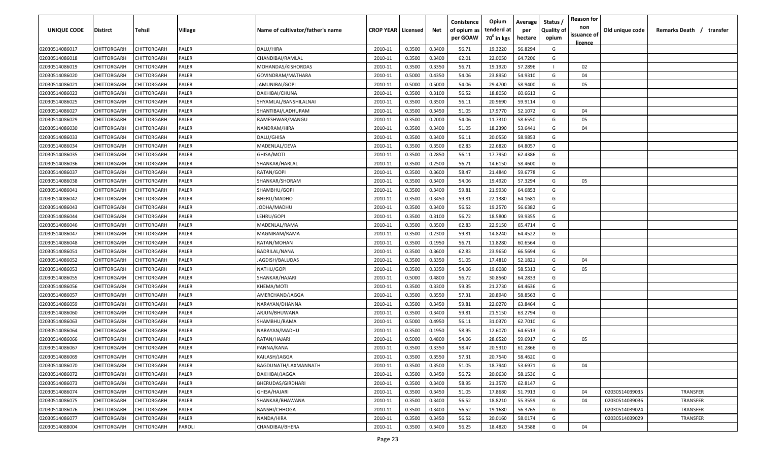| UNIQUE CODE    | Distirct           | Tehsil             | Village | Name of cultivator/father's name | <b>CROP YEAR   Licensed</b> |        | Net    | Conistence<br>of opium as | Opium<br>tenderd at    | Average<br>per | Status /<br><b>Quality of</b> | <b>Reason for</b><br>non      | Old unique code | Remarks Death /<br>transfer |
|----------------|--------------------|--------------------|---------|----------------------------------|-----------------------------|--------|--------|---------------------------|------------------------|----------------|-------------------------------|-------------------------------|-----------------|-----------------------------|
|                |                    |                    |         |                                  |                             |        |        | per GOAW                  | 70 <sup>0</sup> in kgs | hectare        | opium                         | issuance of<br><u>licence</u> |                 |                             |
| 02030514086017 | CHITTORGARH        | CHITTORGARH        | PALER   | DALU/HIRA                        | 2010-11                     | 0.3500 | 0.3400 | 56.71                     | 19.3220                | 56.8294        | G                             |                               |                 |                             |
| 02030514086018 | CHITTORGARH        | CHITTORGARH        | PALER   | CHANDIBAI/RAMLAL                 | 2010-11                     | 0.3500 | 0.3400 | 62.01                     | 22.0050                | 64.7206        | G                             |                               |                 |                             |
| 02030514086019 | CHITTORGARH        | CHITTORGARH        | PALER   | MOHANDAS/KISHORDAS               | 2010-11                     | 0.3500 | 0.3350 | 56.71                     | 19.1920                | 57.2896        |                               | 02                            |                 |                             |
| 02030514086020 | CHITTORGARH        | CHITTORGARH        | PALER   | GOVINDRAM/MATHARA                | 2010-11                     | 0.5000 | 0.4350 | 54.06                     | 23.8950                | 54.9310        | G                             | 04                            |                 |                             |
| 02030514086021 | CHITTORGARH        | CHITTORGARH        | PALER   | JAMUNIBAI/GOPI                   | 2010-11                     | 0.5000 | 0.5000 | 54.06                     | 29.4700                | 58.9400        | G                             | 05                            |                 |                             |
| 02030514086023 | CHITTORGARH        | CHITTORGARH        | PALER   | DAKHIBAI/CHUNA                   | 2010-11                     | 0.3500 | 0.3100 | 56.52                     | 18.8050                | 60.6613        | G                             |                               |                 |                             |
| 02030514086025 | CHITTORGARH        | <b>CHITTORGARH</b> | PALER   | SHYAMLAL/BANSHILALNAI            | 2010-11                     | 0.3500 | 0.3500 | 56.11                     | 20.9690                | 59.9114        | G                             |                               |                 |                             |
| 02030514086027 | CHITTORGARH        | CHITTORGARH        | PALER   | SHANTIBAI/LADHURAM               | 2010-11                     | 0.3500 | 0.3450 | 51.05                     | 17.9770                | 52.1072        | G                             | 04                            |                 |                             |
| 02030514086029 | CHITTORGARH        | CHITTORGARH        | PALER   | RAMESHWAR/MANGU                  | 2010-11                     | 0.3500 | 0.2000 | 54.06                     | 11.7310                | 58.6550        | G                             | 05                            |                 |                             |
| 02030514086030 | CHITTORGARH        | CHITTORGARH        | PALER   | NANDRAM/HIRA                     | 2010-11                     | 0.3500 | 0.3400 | 51.05                     | 18.2390                | 53.6441        | G                             | 04                            |                 |                             |
| 02030514086033 | CHITTORGARH        | CHITTORGARH        | PALER   | DALU/GHISA                       | 2010-11                     | 0.3500 | 0.3400 | 56.11                     | 20.0550                | 58.9853        | G                             |                               |                 |                             |
| 02030514086034 | CHITTORGARH        | CHITTORGARH        | PALER   | MADENLAL/DEVA                    | 2010-11                     | 0.3500 | 0.3500 | 62.83                     | 22.6820                | 64.8057        | G                             |                               |                 |                             |
| 02030514086035 | CHITTORGARH        | CHITTORGARH        | PALER   | GHISA/MOTI                       | 2010-11                     | 0.3500 | 0.2850 | 56.11                     | 17.7950                | 62.4386        | G                             |                               |                 |                             |
| 02030514086036 | CHITTORGARH        | CHITTORGARH        | PALER   | SHANKAR/HARLAL                   | 2010-11                     | 0.3500 | 0.2500 | 56.71                     | 14.6150                | 58.4600        | G                             |                               |                 |                             |
| 02030514086037 | CHITTORGARH        | CHITTORGARH        | PALER   | RATAN/GOPI                       | 2010-11                     | 0.3500 | 0.3600 | 58.47                     | 21.4840                | 59.6778        | G                             |                               |                 |                             |
| 02030514086038 | CHITTORGARH        | CHITTORGARH        | PALER   | SHANKAR/SHORAM                   | 2010-11                     | 0.3500 | 0.3400 | 54.06                     | 19.4920                | 57.3294        | G                             | 05                            |                 |                             |
| 02030514086041 | CHITTORGARH        | CHITTORGARH        | PALER   | SHAMBHU/GOPI                     | 2010-11                     | 0.3500 | 0.3400 | 59.81                     | 21.9930                | 64.6853        | G                             |                               |                 |                             |
| 02030514086042 | CHITTORGARH        | CHITTORGARH        | PALER   | BHERU/MADHO                      | 2010-11                     | 0.3500 | 0.3450 | 59.81                     | 22.1380                | 64.1681        | G                             |                               |                 |                             |
| 02030514086043 | CHITTORGARH        | CHITTORGARH        | PALER   | JODHA/MADHU                      | 2010-11                     | 0.3500 | 0.3400 | 56.52                     | 19.2570                | 56.6382        | G                             |                               |                 |                             |
| 02030514086044 | CHITTORGARH        | CHITTORGARH        | PALER   | LEHRU/GOPI                       | 2010-11                     | 0.3500 | 0.3100 | 56.72                     | 18.5800                | 59.9355        | G                             |                               |                 |                             |
| 02030514086046 | CHITTORGARH        | CHITTORGARH        | PALER   | MADENLAL/RAMA                    | 2010-11                     | 0.3500 | 0.3500 | 62.83                     | 22.9150                | 65.4714        | G                             |                               |                 |                             |
| 02030514086047 | CHITTORGARH        | CHITTORGARH        | PALER   | MAGNIRAM/RAMA                    | 2010-11                     | 0.3500 | 0.2300 | 59.81                     | 14.8240                | 64.4522        | G                             |                               |                 |                             |
| 02030514086048 | CHITTORGARH        | CHITTORGARH        | PALER   | RATAN/MOHAN                      | 2010-11                     | 0.3500 | 0.1950 | 56.71                     | 11.8280                | 60.6564        | G                             |                               |                 |                             |
| 02030514086051 | CHITTORGARH        | CHITTORGARH        | PALER   | BADRILAL/NANA                    | 2010-11                     | 0.3500 | 0.3600 | 62.83                     | 23.9650                | 66.5694        | G                             |                               |                 |                             |
| 02030514086052 | CHITTORGARH        | CHITTORGARH        | PALER   | JAGDISH/BALUDAS                  | 2010-11                     | 0.3500 | 0.3350 | 51.05                     | 17.4810                | 52.1821        | G                             | 04                            |                 |                             |
| 02030514086053 | CHITTORGARH        | CHITTORGARH        | PALER   | NATHU/GOPI                       | 2010-11                     | 0.3500 | 0.3350 | 54.06                     | 19.6080                | 58.5313        | G                             | 05                            |                 |                             |
| 02030514086055 | CHITTORGARH        | CHITTORGARH        | PALER   | SHANKAR/HAJARI                   | 2010-11                     | 0.5000 | 0.4800 | 56.72                     | 30.8560                | 64.2833        | G                             |                               |                 |                             |
| 02030514086056 | CHITTORGARH        | CHITTORGARH        | PALER   | KHEMA/MOTI                       | 2010-11                     | 0.3500 | 0.3300 | 59.35                     | 21.2730                | 64.4636        | G                             |                               |                 |                             |
| 02030514086057 | CHITTORGARH        | CHITTORGARH        | PALER   | AMERCHAND/JAGGA                  | 2010-11                     | 0.3500 | 0.3550 | 57.31                     | 20.8940                | 58.8563        | G                             |                               |                 |                             |
| 02030514086059 | CHITTORGARH        | CHITTORGARH        | PALER   | NARAYAN/DHANNA                   | 2010-11                     | 0.3500 | 0.3450 | 59.81                     | 22.0270                | 63.8464        | G                             |                               |                 |                             |
| 02030514086060 | CHITTORGARH        | CHITTORGARH        | PALER   | ARJUN/BHUWANA                    | 2010-11                     | 0.3500 | 0.3400 | 59.81                     | 21.5150                | 63.2794        | G                             |                               |                 |                             |
| 02030514086063 | CHITTORGARH        | CHITTORGARH        | PALER   | SHAMBHU/RAMA                     | 2010-11                     | 0.5000 | 0.4950 | 56.11                     | 31.0370                | 62.7010        | G                             |                               |                 |                             |
| 02030514086064 | CHITTORGARH        | CHITTORGARH        | PALER   | NARAYAN/MADHU                    | 2010-11                     | 0.3500 | 0.1950 | 58.95                     | 12.6070                | 64.6513        | G                             |                               |                 |                             |
| 02030514086066 | CHITTORGARH        | CHITTORGARH        | PALER   | RATAN/HAJARI                     | 2010-11                     | 0.5000 | 0.4800 | 54.06                     | 28.6520                | 59.6917        | G                             | 05                            |                 |                             |
| 02030514086067 | CHITTORGARH        | CHITTORGARH        | PALER   | PANNA/KANA                       | 2010-11                     | 0.3500 | 0.3350 | 58.47                     | 20.5310                | 61.2866        | G                             |                               |                 |                             |
| 02030514086069 | <b>CHITTORGARH</b> | CHITTORGARH        | PALER   | KAILASH/JAGGA                    | 2010-11                     | 0.3500 | 0.3550 | 57.31                     | 20.7540                | 58.4620        | G                             |                               |                 |                             |
| 02030514086070 | CHITTORGARH        | CHITTORGARH        | PALER   | BAGDUNATH/LAXMANNATH             | 2010-11                     | 0.3500 | 0.3500 | 51.05                     | 18.7940                | 53.6971        | G                             | 04                            |                 |                             |
| 02030514086072 | <b>CHITTORGARH</b> | CHITTORGARH        | PALER   | DAKHIBAI/JAGGA                   | 2010-11                     | 0.3500 | 0.3450 | 56.72                     | 20.0630                | 58.1536        | G                             |                               |                 |                             |
| 02030514086073 | CHITTORGARH        | CHITTORGARH        | PALER   | BHERUDAS/GIRDHARI                | 2010-11                     | 0.3500 | 0.3400 | 58.95                     | 21.3570                | 62.8147        | G                             |                               |                 |                             |
| 02030514086074 | CHITTORGARH        | CHITTORGARH        | PALER   | GHISA/HAJARI                     | 2010-11                     | 0.3500 | 0.3450 | 51.05                     | 17.8680                | 51.7913        | G                             | 04                            | 02030514039035  | TRANSFER                    |
| 02030514086075 | CHITTORGARH        | CHITTORGARH        | PALER   | SHANKAR/BHAWANA                  | 2010-11                     | 0.3500 | 0.3400 | 56.52                     | 18.8210                | 55.3559        | G                             | 04                            | 02030514039036  | TRANSFER                    |
| 02030514086076 | CHITTORGARH        | CHITTORGARH        | PALER   | <b>BANSHI/CHHOGA</b>             | 2010-11                     | 0.3500 | 0.3400 | 56.52                     | 19.1680                | 56.3765        | G                             |                               | 02030514039024  | TRANSFER                    |
| 02030514086077 | CHITTORGARH        | CHITTORGARH        | PALER   | NANDA/HIRA                       | 2010-11                     | 0.3500 | 0.3450 | 56.52                     | 20.0160                | 58.0174        | G                             |                               | 02030514039029  | TRANSFER                    |
| 02030514088004 | CHITTORGARH        | CHITTORGARH        | PAROLI  | CHANDIBAI/BHERA                  | 2010-11                     | 0.3500 | 0.3400 | 56.25                     | 18.4820                | 54.3588        | G                             | 04                            |                 |                             |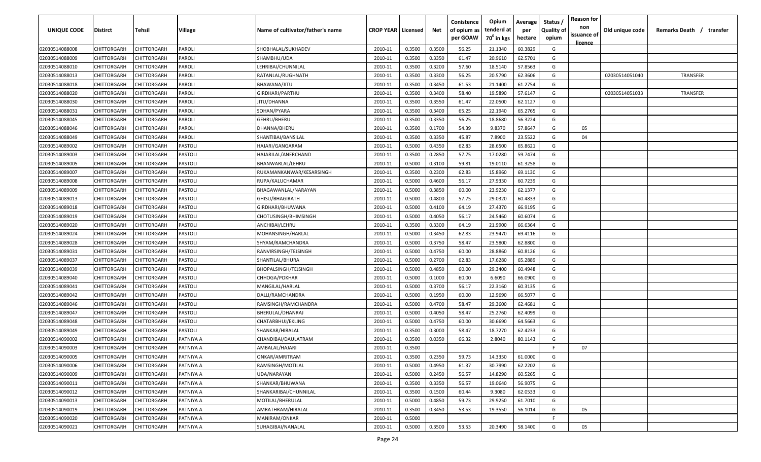| UNIQUE CODE    | Distirct           | Tehsil             | Village   | Name of cultivator/father's name | <b>CROP YEAR   Licensed</b> |        | Net    | Conistence<br>of opium as<br>per GOAW | Opium<br>tenderd at<br>70 <sup>0</sup> in kgs | Average<br>per<br>hectare | Status /<br><b>Quality of</b><br>opium | <b>Reason for</b><br>non<br>issuance of<br><u>licence</u> | Old unique code | Remarks Death /<br>transfer |
|----------------|--------------------|--------------------|-----------|----------------------------------|-----------------------------|--------|--------|---------------------------------------|-----------------------------------------------|---------------------------|----------------------------------------|-----------------------------------------------------------|-----------------|-----------------------------|
| 02030514088008 | CHITTORGARH        | CHITTORGARH        | PAROLI    | SHOBHALAL/SUKHADEV               | 2010-11                     | 0.3500 | 0.3500 | 56.25                                 | 21.1340                                       | 60.3829                   | G                                      |                                                           |                 |                             |
| 02030514088009 | CHITTORGARH        | CHITTORGARH        | PAROLI    | SHAMBHU/UDA                      | 2010-11                     | 0.3500 | 0.3350 | 61.47                                 | 20.9610                                       | 62.5701                   | G                                      |                                                           |                 |                             |
| 02030514088010 | CHITTORGARH        | CHITTORGARH        | PAROLI    | LEHRIBAI/CHUNNILAL               | 2010-11                     | 0.3500 | 0.3200 | 57.60                                 | 18.5140                                       | 57.8563                   | G                                      |                                                           |                 |                             |
| 02030514088013 | CHITTORGARH        | CHITTORGARH        | PAROLI    | RATANLAL/RUGHNATH                | 2010-11                     | 0.3500 | 0.3300 | 56.25                                 | 20.5790                                       | 62.3606                   | G                                      |                                                           | 02030514051040  | <b>TRANSFER</b>             |
| 02030514088018 | CHITTORGARH        | CHITTORGARH        | PAROLI    | BHAWANA/JITU                     | 2010-11                     | 0.3500 | 0.3450 | 61.53                                 | 21.1400                                       | 61.2754                   | G                                      |                                                           |                 |                             |
| 02030514088020 | CHITTORGARH        | CHITTORGARH        | PAROLI    | GIRDHARI/PARTHU                  | 2010-11                     | 0.3500 | 0.3400 | 58.40                                 | 19.5890                                       | 57.6147                   | G                                      |                                                           | 02030514051033  | <b>TRANSFER</b>             |
| 02030514088030 | CHITTORGARH        | <b>CHITTORGARH</b> | PAROLI    | JITU/DHANNA                      | 2010-11                     | 0.3500 | 0.3550 | 61.47                                 | 22.0500                                       | 62.1127                   | G                                      |                                                           |                 |                             |
| 02030514088031 | CHITTORGARH        | CHITTORGARH        | PAROLI    | SOHAN/PYARA                      | 2010-11                     | 0.3500 | 0.3400 | 65.25                                 | 22.1940                                       | 65.2765                   | G                                      |                                                           |                 |                             |
| 02030514088045 | CHITTORGARH        | CHITTORGARH        | PAROLI    | GEHRU/BHERU                      | 2010-11                     | 0.3500 | 0.3350 | 56.25                                 | 18.8680                                       | 56.3224                   | G                                      |                                                           |                 |                             |
| 02030514088046 | CHITTORGARH        | CHITTORGARH        | PAROLI    | DHANNA/BHERU                     | 2010-11                     | 0.3500 | 0.1700 | 54.39                                 | 9.8370                                        | 57.8647                   | G                                      | 05                                                        |                 |                             |
| 02030514088049 | CHITTORGARH        | CHITTORGARH        | PAROLI    | SHANTIBAI/BANSILAL               | 2010-11                     | 0.3500 | 0.3350 | 45.87                                 | 7.8900                                        | 23.5522                   | G                                      | 04                                                        |                 |                             |
| 02030514089002 | CHITTORGARH        | CHITTORGARH        | PASTOLI   | HAJARI/GANGARAM                  | 2010-11                     | 0.5000 | 0.4350 | 62.83                                 | 28.6500                                       | 65.8621                   | G                                      |                                                           |                 |                             |
| 02030514089003 | CHITTORGARH        | CHITTORGARH        | PASTOLI   | HAJARILAL/ANERCHAND              | 2010-11                     | 0.3500 | 0.2850 | 57.75                                 | 17.0280                                       | 59.7474                   | G                                      |                                                           |                 |                             |
| 02030514089005 | CHITTORGARH        | CHITTORGARH        | PASTOLI   | BHANWARLAL/LEHRU                 | 2010-11                     | 0.5000 | 0.3100 | 59.81                                 | 19.0110                                       | 61.3258                   | G                                      |                                                           |                 |                             |
| 02030514089007 | CHITTORGARH        | CHITTORGARH        | PASTOLI   | RUKAMANKANWAR/KESARSINGH         | 2010-11                     | 0.3500 | 0.2300 | 62.83                                 | 15.8960                                       | 69.1130                   | G                                      |                                                           |                 |                             |
| 02030514089008 | CHITTORGARH        | CHITTORGARH        | PASTOLI   | RUPA/KALUCHAMAR                  | 2010-11                     | 0.5000 | 0.4600 | 56.17                                 | 27.9330                                       | 60.7239                   | G                                      |                                                           |                 |                             |
| 02030514089009 | CHITTORGARH        | CHITTORGARH        | PASTOLI   | BHAGAWANLAL/NARAYAN              | 2010-11                     | 0.5000 | 0.3850 | 60.00                                 | 23.9230                                       | 62.1377                   | G                                      |                                                           |                 |                             |
| 02030514089013 | CHITTORGARH        | CHITTORGARH        | PASTOLI   | GHISU/BHAGIRATH                  | 2010-11                     | 0.5000 | 0.4800 | 57.75                                 | 29.0320                                       | 60.4833                   | G                                      |                                                           |                 |                             |
| 02030514089018 | CHITTORGARH        | CHITTORGARH        | PASTOLI   | GIRDHARI/BHUWANA                 | 2010-11                     | 0.5000 | 0.4100 | 64.19                                 | 27.4370                                       | 66.9195                   | G                                      |                                                           |                 |                             |
| 02030514089019 | CHITTORGARH        | CHITTORGARH        | PASTOLI   | CHOTUSINGH/BHIMSINGH             | 2010-11                     | 0.5000 | 0.4050 | 56.17                                 | 24.5460                                       | 60.6074                   | G                                      |                                                           |                 |                             |
| 02030514089020 | CHITTORGARH        | CHITTORGARH        | PASTOLI   | ANCHIBAI/LEHRU                   | 2010-11                     | 0.3500 | 0.3300 | 64.19                                 | 21.9900                                       | 66.6364                   | G                                      |                                                           |                 |                             |
| 02030514089024 | CHITTORGARH        | CHITTORGARH        | PASTOLI   | MOHANSINGH/HARLAL                | 2010-11                     | 0.5000 | 0.3450 | 62.83                                 | 23.9470                                       | 69.4116                   | G                                      |                                                           |                 |                             |
| 02030514089028 | CHITTORGARH        | CHITTORGARH        | PASTOLI   | SHYAM/RAMCHANDRA                 | 2010-11                     | 0.5000 | 0.3750 | 58.47                                 | 23.5800                                       | 62.8800                   | G                                      |                                                           |                 |                             |
| 02030514089031 | CHITTORGARH        | CHITTORGARH        | PASTOLI   | RANVIRSINGH/TEJSINGH             | 2010-11                     | 0.5000 | 0.4750 | 60.00                                 | 28.8860                                       | 60.8126                   | G                                      |                                                           |                 |                             |
| 02030514089037 | CHITTORGARH        | CHITTORGARH        | PASTOLI   | SHANTILAL/BHURA                  | 2010-11                     | 0.5000 | 0.2700 | 62.83                                 | 17.6280                                       | 65.2889                   | G                                      |                                                           |                 |                             |
| 02030514089039 | CHITTORGARH        | CHITTORGARH        | PASTOLI   | BHOPALSINGH/TEJSINGH             | 2010-11                     | 0.5000 | 0.4850 | 60.00                                 | 29.3400                                       | 60.4948                   | G                                      |                                                           |                 |                             |
| 02030514089040 | CHITTORGARH        | CHITTORGARH        | PASTOLI   | CHHOGA/POKHAR                    | 2010-11                     | 0.5000 | 0.1000 | 60.00                                 | 6.6090                                        | 66.0900                   | G                                      |                                                           |                 |                             |
| 02030514089041 | CHITTORGARH        | CHITTORGARH        | PASTOLI   | MANGILAL/HARLAL                  | 2010-11                     | 0.5000 | 0.3700 | 56.17                                 | 22.3160                                       | 60.3135                   | G                                      |                                                           |                 |                             |
| 02030514089042 | CHITTORGARH        | CHITTORGARH        | PASTOLI   | DALLI/RAMCHANDRA                 | 2010-11                     | 0.5000 | 0.1950 | 60.00                                 | 12.9690                                       | 66.5077                   | G                                      |                                                           |                 |                             |
| 02030514089046 | CHITTORGARH        | CHITTORGARH        | PASTOLI   | RAMSINGH/RAMCHANDRA              | 2010-11                     | 0.5000 | 0.4700 | 58.47                                 | 29.3600                                       | 62.4681                   | G                                      |                                                           |                 |                             |
| 02030514089047 | CHITTORGARH        | CHITTORGARH        | PASTOLI   | BHERULAL/DHANRAJ                 | 2010-11                     | 0.5000 | 0.4050 | 58.47                                 | 25.2760                                       | 62.4099                   | G                                      |                                                           |                 |                             |
| 02030514089048 | CHITTORGARH        | CHITTORGARH        | PASTOLI   | CHATARBHUJ/EKLING                | 2010-11                     | 0.5000 | 0.4750 | 60.00                                 | 30.6690                                       | 64.5663                   | G                                      |                                                           |                 |                             |
| 02030514089049 | CHITTORGARH        | CHITTORGARH        | PASTOLI   | SHANKAR/HIRALAL                  | 2010-11                     | 0.3500 | 0.3000 | 58.47                                 | 18.7270                                       | 62.4233                   | G                                      |                                                           |                 |                             |
| 02030514090002 | CHITTORGARH        | CHITTORGARH        | PATNIYA A | CHANDIBAI/DAULATRAM              | 2010-11                     | 0.3500 | 0.0350 | 66.32                                 | 2.8040                                        | 80.1143                   | G                                      |                                                           |                 |                             |
| 02030514090003 | CHITTORGARH        | CHITTORGARH        | PATNIYA A | AMBALAL/HAJARI                   | 2010-11                     | 0.3500 |        |                                       |                                               |                           | F                                      | 07                                                        |                 |                             |
| 02030514090005 | <b>CHITTORGARH</b> | <b>CHITTORGARH</b> | PATNIYA A | ONKAR/AMRITRAM                   | 2010-11                     | 0.3500 | 0.2350 | 59.73                                 | 14.3350                                       | 61.0000                   | G                                      |                                                           |                 |                             |
| 02030514090006 | <b>CHITTORGARH</b> | CHITTORGARH        | PATNIYA A | RAMSINGH/MOTILAL                 | 2010-11                     | 0.5000 | 0.4950 | 61.37                                 | 30.7990                                       | 62.2202                   | G                                      |                                                           |                 |                             |
| 02030514090009 | <b>CHITTORGARH</b> | CHITTORGARH        | PATNIYA A | UDA/NARAYAN                      | 2010-11                     | 0.5000 | 0.2450 | 56.57                                 | 14.8290                                       | 60.5265                   | G                                      |                                                           |                 |                             |
| 02030514090011 | <b>CHITTORGARH</b> | CHITTORGARH        | PATNIYA A | SHANKAR/BHUWANA                  | 2010-11                     | 0.3500 | 0.3350 | 56.57                                 | 19.0640                                       | 56.9075                   | G                                      |                                                           |                 |                             |
| 02030514090012 | CHITTORGARH        | CHITTORGARH        | PATNIYA A | SHANKARIBAI/CHUNNILAL            | 2010-11                     | 0.3500 | 0.1500 | 60.44                                 | 9.3080                                        | 62.0533                   | G                                      |                                                           |                 |                             |
| 02030514090013 | CHITTORGARH        | CHITTORGARH        | PATNIYA A | MOTILAL/BHERULAL                 | 2010-11                     | 0.5000 | 0.4850 | 59.73                                 | 29.9250                                       | 61.7010                   | G                                      |                                                           |                 |                             |
| 02030514090019 | <b>CHITTORGARH</b> | CHITTORGARH        | PATNIYA A | AMRATHRAM/HIRALAL                | 2010-11                     | 0.3500 | 0.3450 | 53.53                                 | 19.3550                                       | 56.1014                   | G                                      | 05                                                        |                 |                             |
| 02030514090020 | CHITTORGARH        | CHITTORGARH        | PATNIYA A | MANIRAM/ONKAR                    | 2010-11                     | 0.5000 |        |                                       |                                               |                           | F.                                     |                                                           |                 |                             |
| 02030514090021 | CHITTORGARH        | CHITTORGARH        | PATNIYA A | SUHAGIBAI/NANALAL                | 2010-11                     | 0.5000 | 0.3500 | 53.53                                 | 20.3490                                       | 58.1400                   | G                                      | 05                                                        |                 |                             |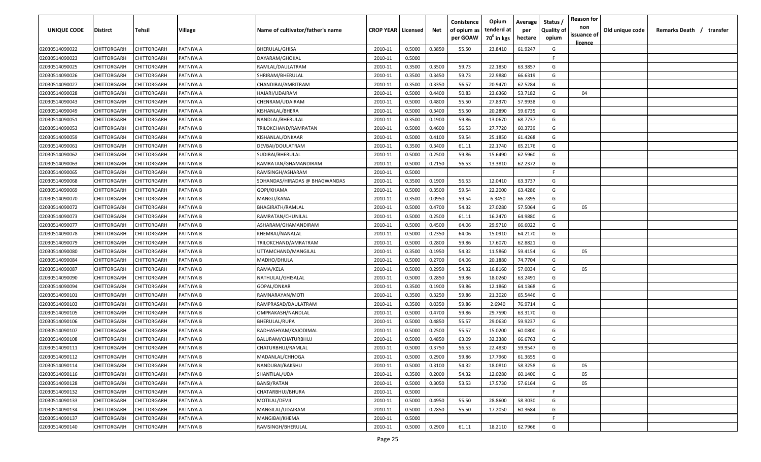| UNIQUE CODE    | Distirct           | Tehsil             | Village   | Name of cultivator/father's name | <b>CROP YEAR   Licensed</b> |        | Net    | Conistence<br>of opium as | Opium<br>tenderd at    | Average<br>per | Status /<br><b>Quality of</b> | <b>Reason for</b><br>non<br>issuance of | Old unique code | Remarks Death / transfer |
|----------------|--------------------|--------------------|-----------|----------------------------------|-----------------------------|--------|--------|---------------------------|------------------------|----------------|-------------------------------|-----------------------------------------|-----------------|--------------------------|
|                |                    |                    |           |                                  |                             |        |        | per GOAW                  | 70 <sup>0</sup> in kgs | hectare        | opium                         | <u>licence</u>                          |                 |                          |
| 02030514090022 | CHITTORGARH        | CHITTORGARH        | PATNIYA A | <b>BHERULAL/GHISA</b>            | 2010-11                     | 0.5000 | 0.3850 | 55.50                     | 23.8410                | 61.9247        | G                             |                                         |                 |                          |
| 02030514090023 | CHITTORGARH        | CHITTORGARH        | PATNIYA A | DAYARAM/GHOKAL                   | 2010-11                     | 0.5000 |        |                           |                        |                | -F.                           |                                         |                 |                          |
| 02030514090025 | CHITTORGARH        | CHITTORGARH        | PATNIYA A | RAMLAL/DAULATRAM                 | 2010-11                     | 0.3500 | 0.3500 | 59.73                     | 22.1850                | 63.3857        | G                             |                                         |                 |                          |
| 02030514090026 | CHITTORGARH        | CHITTORGARH        | PATNIYA A | SHRIRAM/BHERULAL                 | 2010-11                     | 0.3500 | 0.3450 | 59.73                     | 22.9880                | 66.6319        | G                             |                                         |                 |                          |
| 02030514090027 | CHITTORGARH        | CHITTORGARH        | PATNIYA A | CHANDIBAI/AMRITRAM               | 2010-11                     | 0.3500 | 0.3350 | 56.57                     | 20.9470                | 62.5284        | G                             |                                         |                 |                          |
| 02030514090028 | CHITTORGARH        | CHITTORGARH        | PATNIYA A | HAJARI/UDAIRAM                   | 2010-11                     | 0.5000 | 0.4400 | 50.83                     | 23.6360                | 53.7182        | G                             | 04                                      |                 |                          |
| 02030514090043 | CHITTORGARH        | CHITTORGARH        | PATNIYA A | CHENRAM/UDAIRAM                  | 2010-11                     | 0.5000 | 0.4800 | 55.50                     | 27.8370                | 57.9938        | G                             |                                         |                 |                          |
| 02030514090049 | CHITTORGARH        | CHITTORGARH        | PATNIYA A | KISHANLAL/BHERA                  | 2010-11                     | 0.5000 | 0.3400 | 55.50                     | 20.2890                | 59.6735        | G                             |                                         |                 |                          |
| 02030514090051 | CHITTORGARH        | CHITTORGARH        | PATNIYA B | NANDLAL/BHERULAL                 | 2010-11                     | 0.3500 | 0.1900 | 59.86                     | 13.0670                | 68.7737        | G                             |                                         |                 |                          |
| 02030514090053 | CHITTORGARH        | CHITTORGARH        | PATNIYA B | TRILOKCHAND/RAMRATAN             | 2010-11                     | 0.5000 | 0.4600 | 56.53                     | 27.7720                | 60.3739        | G                             |                                         |                 |                          |
| 02030514090059 | CHITTORGARH        | CHITTORGARH        | PATNIYA B | KISHANLAL/ONKAAR                 | 2010-11                     | 0.5000 | 0.4100 | 59.54                     | 25.1850                | 61.4268        | G                             |                                         |                 |                          |
| 02030514090061 | CHITTORGARH        | CHITTORGARH        | PATNIYA B | DEVBAI/DOULATRAM                 | 2010-11                     | 0.3500 | 0.3400 | 61.11                     | 22.1740                | 65.2176        | G                             |                                         |                 |                          |
| 02030514090062 | CHITTORGARH        | CHITTORGARH        | PATNIYA B | SUDIBAI/BHERULAL                 | 2010-11                     | 0.5000 | 0.2500 | 59.86                     | 15.6490                | 62.5960        | G                             |                                         |                 |                          |
| 02030514090063 | CHITTORGARH        | CHITTORGARH        | PATNIYA B | RAMRATAN/GHAMANDIRAM             | 2010-11                     | 0.5000 | 0.2150 | 56.53                     | 13.3810                | 62.2372        | G                             |                                         |                 |                          |
| 02030514090065 | CHITTORGARH        | CHITTORGARH        | PATNIYA B | RAMSINGH/ASHARAM                 | 2010-11                     | 0.5000 |        |                           |                        |                | -F.                           |                                         |                 |                          |
| 02030514090068 | CHITTORGARH        | CHITTORGARH        | PATNIYA B | SOHANDAS/HIRADAS @ BHAGWANDAS    | 2010-11                     | 0.3500 | 0.1900 | 56.53                     | 12.0410                | 63.3737        | G                             |                                         |                 |                          |
| 02030514090069 | CHITTORGARH        | CHITTORGARH        | PATNIYA B | GOPI/KHAMA                       | 2010-11                     | 0.5000 | 0.3500 | 59.54                     | 22.2000                | 63.4286        | G                             |                                         |                 |                          |
| 02030514090070 | CHITTORGARH        | CHITTORGARH        | PATNIYA B | MANGU/KANA                       | 2010-11                     | 0.3500 | 0.0950 | 59.54                     | 6.3450                 | 66.7895        | G                             |                                         |                 |                          |
| 02030514090072 | CHITTORGARH        | CHITTORGARH        | PATNIYA B | BHAGIRATH/RAMLAL                 | 2010-11                     | 0.5000 | 0.4700 | 54.32                     | 27.0280                | 57.5064        | G                             | 05                                      |                 |                          |
| 02030514090073 | CHITTORGARH        | CHITTORGARH        | PATNIYA B | RAMRATAN/CHUNILAL                | 2010-11                     | 0.5000 | 0.2500 | 61.11                     | 16.2470                | 64.9880        | G                             |                                         |                 |                          |
| 02030514090077 | CHITTORGARH        | CHITTORGARH        | PATNIYA B | ASHARAM/GHAMANDIRAM              | 2010-11                     | 0.5000 | 0.4500 | 64.06                     | 29.9710                | 66.6022        | G                             |                                         |                 |                          |
| 02030514090078 | CHITTORGARH        | CHITTORGARH        | PATNIYA B | KHEMRAJ/NANALAL                  | 2010-11                     | 0.5000 | 0.2350 | 64.06                     | 15.0910                | 64.2170        | G                             |                                         |                 |                          |
| 02030514090079 | CHITTORGARH        | CHITTORGARH        | PATNIYA B | TRILOKCHAND/AMRATRAM             | 2010-11                     | 0.5000 | 0.2800 | 59.86                     | 17.6070                | 62.8821        | G                             |                                         |                 |                          |
| 02030514090080 | CHITTORGARH        | CHITTORGARH        | PATNIYA B | UTTAMCHAND/MANGILAL              | 2010-11                     | 0.3500 | 0.1950 | 54.32                     | 11.5860                | 59.4154        | G                             | 05                                      |                 |                          |
| 02030514090084 | CHITTORGARH        | CHITTORGARH        | PATNIYA B | MADHO/DHULA                      | 2010-11                     | 0.5000 | 0.2700 | 64.06                     | 20.1880                | 74.7704        | G                             |                                         |                 |                          |
| 02030514090087 | CHITTORGARH        | CHITTORGARH        | PATNIYA B | RAMA/KELA                        | 2010-11                     | 0.5000 | 0.2950 | 54.32                     | 16.8160                | 57.0034        | G                             | 05                                      |                 |                          |
| 02030514090090 | CHITTORGARH        | CHITTORGARH        | PATNIYA B | NATHULAL/GHISALAL                | 2010-11                     | 0.5000 | 0.2850 | 59.86                     | 18.0260                | 63.2491        | G                             |                                         |                 |                          |
| 02030514090094 | CHITTORGARH        | CHITTORGARH        | PATNIYA B | GOPAL/ONKAR                      | 2010-11                     | 0.3500 | 0.1900 | 59.86                     | 12.1860                | 64.1368        | G                             |                                         |                 |                          |
| 02030514090101 | CHITTORGARH        | CHITTORGARH        | PATNIYA B | RAMNARAYAN/MOTI                  | 2010-11                     | 0.3500 | 0.3250 | 59.86                     | 21.3020                | 65.5446        | G                             |                                         |                 |                          |
| 02030514090103 | CHITTORGARH        | CHITTORGARH        | PATNIYA B | RAMPRASAD/DAULATRAM              | 2010-11                     | 0.3500 | 0.0350 | 59.86                     | 2.6940                 | 76.9714        | G                             |                                         |                 |                          |
| 02030514090105 | CHITTORGARH        | CHITTORGARH        | PATNIYA B | OMPRAKASH/NANDLAL                | 2010-11                     | 0.5000 | 0.4700 | 59.86                     | 29.7590                | 63.3170        | G                             |                                         |                 |                          |
| 02030514090106 | CHITTORGARH        | CHITTORGARH        | PATNIYA B | <b>BHERULAL/RUPA</b>             | 2010-11                     | 0.5000 | 0.4850 | 55.57                     | 29.0630                | 59.9237        | G                             |                                         |                 |                          |
| 02030514090107 | CHITTORGARH        | CHITTORGARH        | PATNIYA B | RADHASHYAM/KAJODIMAL             | 2010-11                     | 0.5000 | 0.2500 | 55.57                     | 15.0200                | 60.0800        | G                             |                                         |                 |                          |
|                |                    |                    | PATNIYA B |                                  | 2010-11                     | 0.5000 | 0.4850 | 63.09                     | 32.3380                | 66.6763        | G                             |                                         |                 |                          |
| 02030514090108 | CHITTORGARH        | CHITTORGARH        |           | BALURAM/CHATURBHUJ               |                             |        |        |                           |                        |                | G                             |                                         |                 |                          |
| 02030514090111 | <b>CHITTORGARH</b> | CHITTORGARH        | PATNIYA B | CHATURBHUJ/RAMLAL                | 2010-11                     | 0.5000 | 0.3750 | 56.53                     | 22.4830                | 59.9547        |                               |                                         |                 |                          |
| 02030514090112 | <b>CHITTORGARH</b> | <b>CHITTORGARH</b> | PATNIYA B | MADANLAL/CHHOGA                  | 2010-11                     | 0.5000 | 0.2900 | 59.86                     | 17.7960                | 61.3655        | G                             |                                         |                 |                          |
| 02030514090114 | <b>CHITTORGARH</b> | CHITTORGARH        | PATNIYA B | NANDUBAI/BAKSHU                  | 2010-11                     | 0.5000 | 0.3100 | 54.32                     | 18.0810                | 58.3258        | G                             | 05                                      |                 |                          |
| 02030514090116 | CHITTORGARH        | CHITTORGARH        | PATNIYA B | SHANTILAL/UDA                    | 2010-11                     | 0.3500 | 0.2000 | 54.32                     | 12.0280                | 60.1400        | G                             | 05                                      |                 |                          |
| 02030514090128 | <b>CHITTORGARH</b> | CHITTORGARH        | PATNIYA A | <b>BANSI/RATAN</b>               | 2010-11                     | 0.5000 | 0.3050 | 53.53                     | 17.5730                | 57.6164        | G                             | 05                                      |                 |                          |
| 02030514090132 | CHITTORGARH        | CHITTORGARH        | PATNIYA A | CHATARBHUJ/BHURA                 | 2010-11                     | 0.5000 |        |                           |                        |                | F.                            |                                         |                 |                          |
| 02030514090133 | CHITTORGARH        | CHITTORGARH        | PATNIYA A | MOTILAL/DEVJI                    | 2010-11                     | 0.5000 | 0.4950 | 55.50                     | 28.8600                | 58.3030        | G                             |                                         |                 |                          |
| 02030514090134 | CHITTORGARH        | CHITTORGARH        | PATNIYA A | MANGILAL/UDAIRAM                 | 2010-11                     | 0.5000 | 0.2850 | 55.50                     | 17.2050                | 60.3684        | G                             |                                         |                 |                          |
| 02030514090137 | CHITTORGARH        | CHITTORGARH        | PATNIYA A | MANGIBAI/KHEMA                   | 2010-11                     | 0.5000 |        |                           |                        |                | F.                            |                                         |                 |                          |
| 02030514090140 | CHITTORGARH        | <b>CHITTORGARH</b> | PATNIYA B | RAMSINGH/BHERULAL                | 2010-11                     | 0.5000 | 0.2900 | 61.11                     | 18.2110                | 62.7966        | G                             |                                         |                 |                          |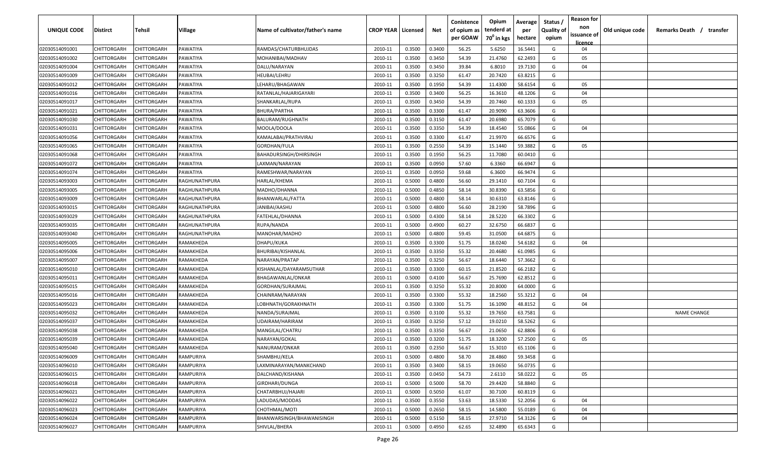| <b>UNIQUE CODE</b> | <b>Distirct</b>    | <b>Tehsil</b>      | Village       | Name of cultivator/father's name | <b>CROP YEAR   Licensed</b> |        | Net    | Conistence<br>of opium as | Opium<br>tenderd at    | Average<br>per | Status /<br><b>Quality of</b> | <b>Reason for</b><br>non<br>issuance of | Old unique code | Remarks Death /<br>transfer |
|--------------------|--------------------|--------------------|---------------|----------------------------------|-----------------------------|--------|--------|---------------------------|------------------------|----------------|-------------------------------|-----------------------------------------|-----------------|-----------------------------|
|                    |                    |                    |               |                                  |                             |        |        | per GOAW                  | 70 <sup>0</sup> in kgs | hectare        | opium                         | licence                                 |                 |                             |
| 02030514091001     | CHITTORGARH        | CHITTORGARH        | PAWATIYA      | RAMDAS/CHATURBHUJDAS             | 2010-11                     | 0.3500 | 0.3400 | 56.25                     | 5.6250                 | 16.5441        | G                             | 04                                      |                 |                             |
| 02030514091002     | CHITTORGARH        | CHITTORGARH        | PAWATIYA      | MOHANIBAI/MADHAV                 | 2010-11                     | 0.3500 | 0.3450 | 54.39                     | 21.4760                | 62.2493        | G                             | 05                                      |                 |                             |
| 02030514091004     | CHITTORGARH        | CHITTORGARH        | PAWATIYA      | DALU/NARAYAN                     | 2010-11                     | 0.3500 | 0.3450 | 39.84                     | 6.8010                 | 19.7130        | G                             | 04                                      |                 |                             |
| 02030514091009     | CHITTORGARH        | CHITTORGARH        | PAWATIYA      | HEUBAI/LEHRU                     | 2010-11                     | 0.3500 | 0.3250 | 61.47                     | 20.7420                | 63.8215        | G                             |                                         |                 |                             |
| 02030514091012     | CHITTORGARH        | CHITTORGARH        | PAWATIYA      | LEHARU/BHAGAWAN                  | 2010-11                     | 0.3500 | 0.1950 | 54.39                     | 11.4300                | 58.6154        | G                             | 05                                      |                 |                             |
| 02030514091016     | CHITTORGARH        | CHITTORGARH        | PAWATIYA      | RATANLAL/HAJARIGAYARI            | 2010-11                     | 0.3500 | 0.3400 | 56.25                     | 16.3610                | 48.1206        | G                             | 04                                      |                 |                             |
| 02030514091017     | CHITTORGARH        | CHITTORGARH        | PAWATIYA      | SHANKARLAL/RUPA                  | 2010-11                     | 0.3500 | 0.3450 | 54.39                     | 20.7460                | 60.1333        | G                             | 05                                      |                 |                             |
| 02030514091021     | CHITTORGARH        | CHITTORGARH        | PAWATIYA      | <b>BHURA/PARTHA</b>              | 2010-11                     | 0.3500 | 0.3300 | 61.47                     | 20.9090                | 63.3606        | G                             |                                         |                 |                             |
| 02030514091030     | CHITTORGARH        | CHITTORGARH        | PAWATIYA      | <b>BALURAM/RUGHNATH</b>          | 2010-11                     | 0.3500 | 0.3150 | 61.47                     | 20.6980                | 65.7079        | G                             |                                         |                 |                             |
| 02030514091031     | CHITTORGARH        | CHITTORGARH        | PAWATIYA      | MOOLA/DOOLA                      | 2010-11                     | 0.3500 | 0.3350 | 54.39                     | 18.4540                | 55.0866        | G                             | 04                                      |                 |                             |
| 02030514091056     | CHITTORGARH        | CHITTORGARH        | PAWATIYA      | KAMALABAI/PRATHVIRAJ             | 2010-11                     | 0.3500 | 0.3300 | 61.47                     | 21.9970                | 66.6576        | G                             |                                         |                 |                             |
| 02030514091065     | CHITTORGARH        | CHITTORGARH        | PAWATIYA      | GORDHAN/FULA                     | 2010-11                     | 0.3500 | 0.2550 | 54.39                     | 15.1440                | 59.3882        | G                             | 05                                      |                 |                             |
| 02030514091068     | CHITTORGARH        | CHITTORGARH        | PAWATIYA      | BAHADURSINGH/DHIRSINGH           | 2010-11                     | 0.3500 | 0.1950 | 56.25                     | 11.7080                | 60.0410        | G                             |                                         |                 |                             |
| 02030514091072     | CHITTORGARH        | CHITTORGARH        | PAWATIYA      | LAXMAN/NARAYAN                   | 2010-11                     | 0.3500 | 0.0950 | 57.60                     | 6.3360                 | 66.6947        | G                             |                                         |                 |                             |
| 02030514091074     | CHITTORGARH        | CHITTORGARH        | PAWATIYA      | RAMESHWAR/NARAYAN                | 2010-11                     | 0.3500 | 0.0950 | 59.68                     | 6.3600                 | 66.9474        | G                             |                                         |                 |                             |
| 02030514093003     | CHITTORGARH        | CHITTORGARH        | RAGHUNATHPURA | HARLAL/KHEMA                     | 2010-11                     | 0.5000 | 0.4800 | 56.60                     | 29.1410                | 60.7104        | G                             |                                         |                 |                             |
| 02030514093005     | CHITTORGARH        | CHITTORGARF        | RAGHUNATHPURA | MADHO/DHANNA                     | 2010-11                     | 0.5000 | 0.4850 | 58.14                     | 30.8390                | 63.5856        | G                             |                                         |                 |                             |
| 02030514093009     | CHITTORGARH        | CHITTORGARH        | RAGHUNATHPURA | BHANWARLAL/FATTA                 | 2010-11                     | 0.5000 | 0.4800 | 58.14                     | 30.6310                | 63.8146        | G                             |                                         |                 |                             |
| 02030514093015     | CHITTORGARH        | CHITTORGARH        | RAGHUNATHPURA | JANIBAI/AASHU                    | 2010-11                     | 0.5000 | 0.4800 | 56.60                     | 28.2190                | 58.7896        | G                             |                                         |                 |                             |
| 02030514093029     | CHITTORGARH        | CHITTORGARH        | RAGHUNATHPURA | FATEHLAL/DHANNA                  | 2010-11                     | 0.5000 | 0.4300 | 58.14                     | 28.5220                | 66.3302        | G                             |                                         |                 |                             |
| 02030514093035     | CHITTORGARH        | CHITTORGARH        | RAGHUNATHPURA | RUPA/NANDA                       | 2010-11                     | 0.5000 | 0.4900 | 60.27                     | 32.6750                | 66.6837        | G                             |                                         |                 |                             |
| 02030514093040     | CHITTORGARH        | CHITTORGARH        | RAGHUNATHPURA | MANOHAR/MADHO                    | 2010-11                     | 0.5000 | 0.4800 | 59.45                     | 31.0500                | 64.6875        | G                             |                                         |                 |                             |
| 02030514095005     | CHITTORGARH        | CHITTORGARH        | RAMAKHEDA     | DHAPU/KUKA                       | 2010-11                     | 0.3500 | 0.3300 | 51.75                     | 18.0240                | 54.6182        | G                             | 04                                      |                 |                             |
| 02030514095006     | CHITTORGARH        | CHITTORGARH        | RAMAKHEDA     | BHURIBAI/KISHANLAL               | 2010-11                     | 0.3500 | 0.3350 | 55.32                     | 20.4680                | 61.0985        | G                             |                                         |                 |                             |
| 02030514095007     | CHITTORGARH        | CHITTORGARH        | RAMAKHEDA     | NARAYAN/PRATAP                   | 2010-11                     | 0.3500 | 0.3250 | 56.67                     | 18.6440                | 57.3662        | G                             |                                         |                 |                             |
| 02030514095010     | CHITTORGARH        | CHITTORGARH        | RAMAKHEDA     | KISHANLAL/DAYARAMSUTHAR          | 2010-11                     | 0.3500 | 0.3300 | 60.15                     | 21.8520                | 66.2182        | G                             |                                         |                 |                             |
| 02030514095011     | CHITTORGARH        | CHITTORGARH        | RAMAKHEDA     | BHAGAWANLAL/ONKAR                | 2010-11                     | 0.5000 | 0.4100 | 56.67                     | 25.7690                | 62.8512        | G                             |                                         |                 |                             |
| 02030514095015     | CHITTORGARH        | CHITTORGARH        | RAMAKHEDA     | GORDHAN/SURAJMAL                 | 2010-11                     | 0.3500 | 0.3250 | 55.32                     | 20.8000                | 64.0000        | G                             |                                         |                 |                             |
| 02030514095016     | CHITTORGARH        | CHITTORGARH        | RAMAKHEDA     | CHAINRAM/NARAYAN                 | 2010-11                     | 0.3500 | 0.3300 | 55.32                     | 18.2560                | 55.3212        | G                             | 04                                      |                 |                             |
| 02030514095023     | CHITTORGARH        | CHITTORGARH        | RAMAKHEDA     | LOBHNATH/GORAKHNATH              | 2010-11                     | 0.3500 | 0.3300 | 51.75                     | 16.1090                | 48.8152        | G                             | 04                                      |                 |                             |
| 02030514095032     | CHITTORGARH        | CHITTORGARH        | RAMAKHEDA     | NANDA/SURAJMAL                   | 2010-11                     | 0.3500 | 0.3100 | 55.32                     | 19.7650                | 63.7581        | G                             |                                         |                 | <b>NAME CHANGE</b>          |
| 02030514095037     | CHITTORGARH        | CHITTORGARH        | RAMAKHEDA     | UDAIRAM/HARIRAM                  | 2010-11                     | 0.3500 | 0.3250 | 57.12                     | 19.0210                | 58.5262        | G                             |                                         |                 |                             |
| 02030514095038     | CHITTORGARH        | CHITTORGARH        | RAMAKHEDA     | MANGILAL/CHATRU                  | 2010-11                     | 0.3500 | 0.3350 | 56.67                     | 21.0650                | 62.8806        | G                             |                                         |                 |                             |
| 02030514095039     | CHITTORGARH        | CHITTORGARH        | RAMAKHEDA     | NARAYAN/GOKAL                    | 2010-11                     | 0.3500 | 0.3200 | 51.75                     | 18.3200                | 57.2500        | G                             | 05                                      |                 |                             |
| 02030514095040     | <b>CHITTORGARH</b> | CHITTORGARH        | RAMAKHEDA     | NANURAM/ONKAR                    | 2010-11                     | 0.3500 | 0.2350 | 56.67                     | 15.3010                | 65.1106        | G                             |                                         |                 |                             |
| 02030514096009     | <b>CHITTORGARH</b> | <b>CHITTORGARH</b> | RAMPURIYA     | SHAMBHU/KELA                     | 2010-11                     | 0.5000 | 0.4800 | 58.70                     | 28.4860                | 59.3458        | G                             |                                         |                 |                             |
| 02030514096010     | <b>CHITTORGARH</b> | CHITTORGARH        | RAMPURIYA     | LAXMINARAYAN/MANKCHAND           | 2010-11                     | 0.3500 | 0.3400 | 58.15                     | 19.0650                | 56.0735        | G                             |                                         |                 |                             |
| 02030514096015     | CHITTORGARH        | CHITTORGARH        | RAMPURIYA     | DALCHAND/KISHANA                 | 2010-11                     | 0.3500 | 0.0450 | 54.73                     | 2.6110                 | 58.0222        | G                             | 05                                      |                 |                             |
| 02030514096018     | CHITTORGARH        | CHITTORGARH        | RAMPURIYA     | GIRDHARI/DUNGA                   | 2010-11                     | 0.5000 | 0.5000 | 58.70                     | 29.4420                | 58.8840        | G                             |                                         |                 |                             |
| 02030514096021     | CHITTORGARH        | CHITTORGARH        | RAMPURIYA     | CHATARBHUJ/HAJARI                | 2010-11                     | 0.5000 | 0.5050 | 61.07                     | 30.7100                | 60.8119        | G                             |                                         |                 |                             |
| 02030514096022     | CHITTORGARH        | CHITTORGARH        | RAMPURIYA     | LADUDAS/MODDAS                   | 2010-11                     | 0.3500 | 0.3550 | 53.63                     | 18.5330                | 52.2056        | G                             | 04                                      |                 |                             |
| 02030514096023     | CHITTORGARH        | CHITTORGARH        | RAMPURIYA     | CHOTHMAL/MOTI                    | 2010-11                     | 0.5000 | 0.2650 | 58.15                     | 14.5800                | 55.0189        | G                             | 04                                      |                 |                             |
| 02030514096024     | CHITTORGARH        | CHITTORGARH        | RAMPURIYA     | BHANWARSINGH/BHAWANISINGH        | 2010-11                     | 0.5000 | 0.5150 | 58.15                     | 27.9710                | 54.3126        | G                             | 04                                      |                 |                             |
| 02030514096027     | <b>CHITTORGARH</b> | CHITTORGARH        | RAMPURIYA     | SHIVLAL/BHERA                    | 2010-11                     | 0.5000 | 0.4950 | 62.65                     | 32.4890                | 65.6343        | G                             |                                         |                 |                             |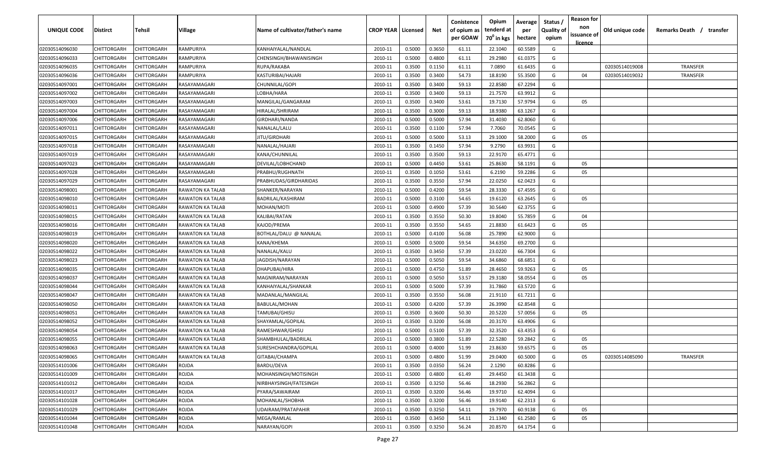| <b>UNIQUE CODE</b> | <b>Distirct</b>    | <b>Tehsil</b>      | Village                 | Name of cultivator/father's name | <b>CROP YEAR   Licensed</b> |        | Net    | Conistence<br>of opium as<br>per GOAW | Opium<br>tenderd at<br>70 <sup>0</sup> in kgs | Average<br>per<br>hectare | Status /<br><b>Quality of</b><br>opium | <b>Reason for</b><br>non<br>issuance of<br><u>licence</u> | Old unique code | Remarks Death /<br>transfer |
|--------------------|--------------------|--------------------|-------------------------|----------------------------------|-----------------------------|--------|--------|---------------------------------------|-----------------------------------------------|---------------------------|----------------------------------------|-----------------------------------------------------------|-----------------|-----------------------------|
| 02030514096030     | CHITTORGARH        | CHITTORGARH        | RAMPURIYA               | KANHAIYALAL/NANDLAL              | 2010-11                     | 0.5000 | 0.3650 | 61.11                                 | 22.1040                                       | 60.5589                   | G                                      |                                                           |                 |                             |
| 02030514096033     | CHITTORGARH        | CHITTORGARH        | RAMPURIYA               | CHENSINGH/BHAWANISINGH           | 2010-11                     | 0.5000 | 0.4800 | 61.11                                 | 29.2980                                       | 61.0375                   | G                                      |                                                           |                 |                             |
| 02030514096035     | CHITTORGARH        | CHITTORGARH        | RAMPURIYA               | RUPA/RAKABA                      | 2010-11                     | 0.3500 | 0.1150 | 61.11                                 | 7.0890                                        | 61.6435                   | G                                      |                                                           | 02030514019008  | <b>TRANSFER</b>             |
| 02030514096036     | CHITTORGARH        | CHITTORGARH        | RAMPURIYA               | KASTURIBAI/HAJARI                | 2010-11                     | 0.3500 | 0.3400 | 54.73                                 | 18.8190                                       | 55.3500                   | G                                      | 04                                                        | 02030514019032  | TRANSFER                    |
| 02030514097001     | CHITTORGARH        | CHITTORGARH        | RASAYAMAGARI            | CHUNNILAL/GOPI                   | 2010-11                     | 0.3500 | 0.3400 | 59.13                                 | 22.8580                                       | 67.2294                   | G                                      |                                                           |                 |                             |
| 02030514097002     | CHITTORGARH        | CHITTORGARH        | RASAYAMAGARI            | LOBHA/HARA                       | 2010-11                     | 0.3500 | 0.3400 | 59.13                                 | 21.7570                                       | 63.9912                   | G                                      |                                                           |                 |                             |
| 02030514097003     | CHITTORGARH        | CHITTORGARH        | RASAYAMAGARI            | MANGILAL/GANGARAM                | 2010-11                     | 0.3500 | 0.3400 | 53.61                                 | 19.7130                                       | 57.9794                   | G                                      | 05                                                        |                 |                             |
| 02030514097004     | CHITTORGARH        | CHITTORGARF        | RASAYAMAGARI            | HIRALAL/SHRIRAM                  | 2010-11                     | 0.3500 | 0.3000 | 59.13                                 | 18.9380                                       | 63.1267                   | G                                      |                                                           |                 |                             |
| 02030514097006     | CHITTORGARH        | CHITTORGARH        | RASAYAMAGARI            | GIRDHARI/NANDA                   | 2010-11                     | 0.5000 | 0.5000 | 57.94                                 | 31.4030                                       | 62.8060                   | G                                      |                                                           |                 |                             |
| 02030514097011     | CHITTORGARH        | CHITTORGARH        | RASAYAMAGARI            | NANALAL/LALU                     | 2010-11                     | 0.3500 | 0.1100 | 57.94                                 | 7.7060                                        | 70.0545                   | G                                      |                                                           |                 |                             |
| 02030514097015     | CHITTORGARH        | CHITTORGARH        | RASAYAMAGARI            | JITU/GIRDHARI                    | 2010-11                     | 0.5000 | 0.5000 | 53.13                                 | 29.1000                                       | 58.2000                   | G                                      | 05                                                        |                 |                             |
| 02030514097018     | CHITTORGARH        | CHITTORGARH        | RASAYAMAGARI            | NANALAL/HAJARI                   | 2010-11                     | 0.3500 | 0.1450 | 57.94                                 | 9.2790                                        | 63.9931                   | G                                      |                                                           |                 |                             |
| 02030514097019     | CHITTORGARH        | CHITTORGARH        | RASAYAMAGARI            | KANA/CHUNNILAL                   | 2010-11                     | 0.3500 | 0.3500 | 59.13                                 | 22.9170                                       | 65.4771                   | G                                      |                                                           |                 |                             |
| 02030514097023     | CHITTORGARH        | CHITTORGARH        | RASAYAMAGARI            | DEVILAL/LOBHCHAND                | 2010-11                     | 0.5000 | 0.4450 | 53.61                                 | 25.8630                                       | 58.1191                   | G                                      | 05                                                        |                 |                             |
| 02030514097028     | CHITTORGARH        | CHITTORGARH        | RASAYAMAGARI            | PRABHU/RUGHNATH                  | 2010-11                     | 0.3500 | 0.1050 | 53.61                                 | 6.2190                                        | 59.2286                   | G                                      | 05                                                        |                 |                             |
| 02030514097029     | CHITTORGARH        | CHITTORGARH        | RASAYAMAGARI            | PRABHUDAS/GIRDHARIDAS            | 2010-11                     | 0.3500 | 0.3550 | 57.94                                 | 22.0250                                       | 62.0423                   | G                                      |                                                           |                 |                             |
| 02030514098001     | CHITTORGARH        | CHITTORGARH        | <b>RAWATON KA TALAB</b> | SHANKER/NARAYAN                  | 2010-11                     | 0.5000 | 0.4200 | 59.54                                 | 28.3330                                       | 67.4595                   | G                                      |                                                           |                 |                             |
| 02030514098010     | CHITTORGARH        | CHITTORGARH        | RAWATON KA TALAB        | BADRILAL/KASHIRAM                | 2010-11                     | 0.5000 | 0.3100 | 54.65                                 | 19.6120                                       | 63.2645                   | G                                      | 05                                                        |                 |                             |
| 02030514098011     | CHITTORGARH        | CHITTORGARH        | RAWATON KA TALAB        | MOHAN/MOTI                       | 2010-11                     | 0.5000 | 0.4900 | 57.39                                 | 30.5640                                       | 62.3755                   | G                                      |                                                           |                 |                             |
| 02030514098015     | CHITTORGARH        | CHITTORGARH        | RAWATON KA TALAB        | KALIBAI/RATAN                    | 2010-11                     | 0.3500 | 0.3550 | 50.30                                 | 19.8040                                       | 55.7859                   | G                                      | 04                                                        |                 |                             |
| 02030514098016     | CHITTORGARH        | CHITTORGARH        | RAWATON KA TALAB        | KAJOD/PREMA                      | 2010-11                     | 0.3500 | 0.3550 | 54.65                                 | 21.8830                                       | 61.6423                   | G                                      | 05                                                        |                 |                             |
| 02030514098019     | CHITTORGARH        | CHITTORGARH        | RAWATON KA TALAB        | BOTHLAL/DALU @ NANALAL           | 2010-11                     | 0.5000 | 0.4100 | 56.08                                 | 25.7890                                       | 62.9000                   | G                                      |                                                           |                 |                             |
| 02030514098020     | CHITTORGARH        | CHITTORGARH        | RAWATON KA TALAB        | KANA/KHEMA                       | 2010-11                     | 0.5000 | 0.5000 | 59.54                                 | 34.6350                                       | 69.2700                   | G                                      |                                                           |                 |                             |
| 02030514098022     | CHITTORGARH        | CHITTORGARH        | RAWATON KA TALAB        | NANALAL/KALU                     | 2010-11                     | 0.3500 | 0.3450 | 57.39                                 | 23.0220                                       | 66.7304                   | G                                      |                                                           |                 |                             |
| 02030514098023     | CHITTORGARH        | CHITTORGARH        | RAWATON KA TALAB        | JAGDISH/NARAYAN                  | 2010-11                     | 0.5000 | 0.5050 | 59.54                                 | 34.6860                                       | 68.6851                   | G                                      |                                                           |                 |                             |
| 02030514098035     | CHITTORGARH        | CHITTORGARH        | RAWATON KA TALAB        | DHAPUBAI/HIRA                    | 2010-11                     | 0.5000 | 0.4750 | 51.89                                 | 28.4650                                       | 59.9263                   | G                                      | 05                                                        |                 |                             |
| 02030514098037     | CHITTORGARH        | CHITTORGARH        | RAWATON KA TALAB        | MAGNIRAM/NARAYAN                 | 2010-11                     | 0.5000 | 0.5050 | 53.57                                 | 29.3180                                       | 58.0554                   | G                                      | 05                                                        |                 |                             |
| 02030514098044     | CHITTORGARH        | CHITTORGARH        | RAWATON KA TALAB        | KANHAIYALAL/SHANKAR              | 2010-11                     | 0.5000 | 0.5000 | 57.39                                 | 31.7860                                       | 63.5720                   | G                                      |                                                           |                 |                             |
| 02030514098047     | CHITTORGARH        | CHITTORGARH        | RAWATON KA TALAB        | MADANLAL/MANGILAL                | 2010-11                     | 0.3500 | 0.3550 | 56.08                                 | 21.9110                                       | 61.7211                   | G                                      |                                                           |                 |                             |
| 02030514098050     | CHITTORGARH        | CHITTORGARH        | RAWATON KA TALAB        | BABULAL/MOHAN                    | 2010-11                     | 0.5000 | 0.4200 | 57.39                                 | 26.3990                                       | 62.8548                   | G                                      |                                                           |                 |                             |
| 02030514098051     | CHITTORGARH        | CHITTORGARH        | RAWATON KA TALAB        | TAMUBAI/GHISU                    | 2010-11                     | 0.3500 | 0.3600 | 50.30                                 | 20.5220                                       | 57.0056                   | G                                      | 05                                                        |                 |                             |
| 02030514098052     | CHITTORGARH        | CHITTORGARH        | RAWATON KA TALAB        | SHAYAMLAL/GOPILAL                | 2010-11                     | 0.3500 | 0.3200 | 56.08                                 | 20.3170                                       | 63.4906                   | G                                      |                                                           |                 |                             |
| 02030514098054     | CHITTORGARH        | CHITTORGARH        | RAWATON KA TALAB        | RAMESHWAR/GHISU                  | 2010-11                     | 0.5000 | 0.5100 | 57.39                                 | 32.3520                                       | 63.4353                   | G                                      |                                                           |                 |                             |
| 02030514098055     | CHITTORGARH        | CHITTORGARH        | RAWATON KA TALAB        | SHAMBHULAL/BADRILAL              | 2010-11                     | 0.5000 | 0.3800 | 51.89                                 | 22.5280                                       | 59.2842                   | G                                      | 05                                                        |                 |                             |
| 02030514098063     | <b>CHITTORGARH</b> | CHITTORGARH        | RAWATON KA TALAB        | SURESHCHANDRA/GOPILAL            | 2010-11                     | 0.5000 | 0.4000 | 51.99                                 | 23.8630                                       | 59.6575                   | G                                      | 05                                                        |                 |                             |
| 02030514098065     | CHITTORGARH        | <b>CHITTORGARH</b> | <b>RAWATON KA TALAB</b> | GITABAI/CHAMPA                   | 2010-11                     | 0.5000 | 0.4800 | 51.99                                 | 29.0400                                       | 60.5000                   | G                                      | 05                                                        | 02030514085090  | <b>TRANSFER</b>             |
| 02030514101006     | <b>CHITTORGARH</b> | CHITTORGARH        | ROJDA                   | BARDU/DEVA                       | 2010-11                     | 0.3500 | 0.0350 | 56.24                                 | 2.1290                                        | 60.8286                   | G                                      |                                                           |                 |                             |
| 02030514101009     | CHITTORGARH        | CHITTORGARH        | ROJDA                   | MOHANSINGH/MOTISINGH             | 2010-11                     | 0.5000 | 0.4800 | 61.49                                 | 29.4450                                       | 61.3438                   | G                                      |                                                           |                 |                             |
| 02030514101012     | CHITTORGARH        | CHITTORGARH        | ROJDA                   | NIRBHAYSINGH/FATESINGH           | 2010-11                     | 0.3500 | 0.3250 | 56.46                                 | 18.2930                                       | 56.2862                   | G                                      |                                                           |                 |                             |
| 02030514101017     | CHITTORGARH        | CHITTORGARH        | ROJDA                   | PYARA/SAWAIRAM                   | 2010-11                     | 0.3500 | 0.3200 | 56.46                                 | 19.9710                                       | 62.4094                   | G                                      |                                                           |                 |                             |
| 02030514101028     | CHITTORGARH        | CHITTORGARH        | ROJDA                   | MOHANLAL/SHOBHA                  | 2010-11                     | 0.3500 | 0.3200 | 56.46                                 | 19.9140                                       | 62.2313                   | G                                      |                                                           |                 |                             |
| 02030514101029     | CHITTORGARH        | CHITTORGARH        | ROJDA                   | <b>UDAIRAM/PRATAPAHIR</b>        | 2010-11                     | 0.3500 | 0.3250 | 54.11                                 | 19.7970                                       | 60.9138                   | G                                      | 05                                                        |                 |                             |
| 02030514101044     | CHITTORGARH        | CHITTORGARH        | ROJDA                   | MEGA/RAMLAL                      | 2010-11                     | 0.3500 | 0.3450 | 54.11                                 | 21.1340                                       | 61.2580                   | G                                      | 05                                                        |                 |                             |
| 02030514101048     | CHITTORGARH        | CHITTORGARH        | ROJDA                   | NARAYAN/GOPI                     | 2010-11                     | 0.3500 | 0.3250 | 56.24                                 | 20.8570                                       | 64.1754                   | G                                      |                                                           |                 |                             |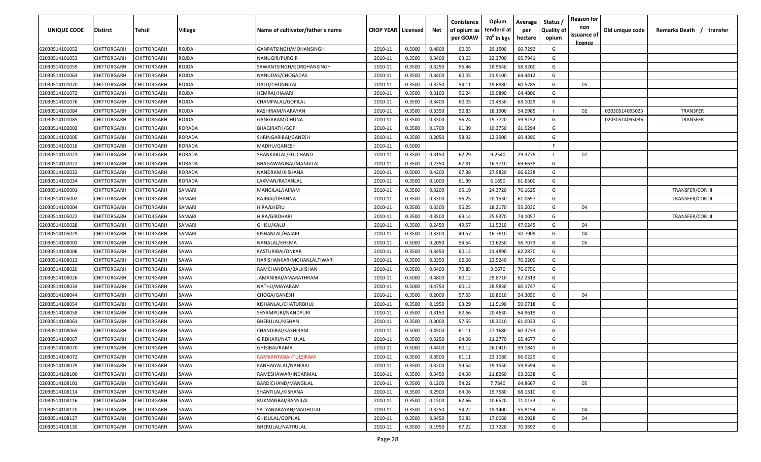| UNIQUE CODE    | Distirct    | Tehsil             | Village       | Name of cultivator/father's name | <b>CROP YEAR   Licensed</b> |        | Net    | Conistence<br>of opium as<br>per GOAW | Opium<br>tenderd at<br>70 <sup>0</sup> in kgs | Average<br>per<br>hectare | Status /<br><b>Quality of</b><br>opium | <b>Reason for</b><br>non<br>issuance of<br><u>licence</u> | Old unique code | Remarks Death /<br>transfer |
|----------------|-------------|--------------------|---------------|----------------------------------|-----------------------------|--------|--------|---------------------------------------|-----------------------------------------------|---------------------------|----------------------------------------|-----------------------------------------------------------|-----------------|-----------------------------|
| 02030514101052 | CHITTORGARH | CHITTORGARH        | ROJDA         | GANPATSINGH/MOHANSINGH           | 2010-11                     | 0.5000 | 0.4800 | 60.05                                 | 29.1500                                       | 60.7292                   | G                                      |                                                           |                 |                             |
| 02030514101053 | CHITTORGARH | CHITTORGARH        | ROJDA         | NANUGIR/PURGIR                   | 2010-11                     | 0.3500 | 0.3400 | 63.63                                 | 22.3700                                       | 65.7941                   | G                                      |                                                           |                 |                             |
| 02030514101059 | CHITTORGARH | CHITTORGARH        | ROJDA         | SAWANTSINGH/GORDHANSINGH         | 2010-11                     | 0.3500 | 0.3250 | 56.46                                 | 18.9540                                       | 58.3200                   | G                                      |                                                           |                 |                             |
| 02030514101063 | CHITTORGARH | CHITTORGARH        | rojda         | NANUDAS/CHOGADAS                 | 2010-11                     | 0.3500 | 0.3400 | 60.05                                 | 21.9100                                       | 64.4412                   | G                                      |                                                           |                 |                             |
| 02030514101070 | CHITTORGARH | CHITTORGARH        | rojda         | DALU/CHUNNILAL                   | 2010-11                     | 0.3500 | 0.3250 | 54.11                                 | 19.6880                                       | 60.5785                   | G                                      | 05                                                        |                 |                             |
| 02030514101072 | CHITTORGARH | CHITTORGARH        | ROJDA         | HEMRAJ/HAJARI                    | 2010-11                     | 0.3500 | 0.3100 | 56.24                                 | 19.9890                                       | 64.4806                   | G                                      |                                                           |                 |                             |
| 02030514101076 | CHITTORGARH | <b>CHITTORGARH</b> | rojda         | CHAMPALAL/GOPILAL                | 2010-11                     | 0.3500 | 0.3400 | 60.05                                 | 21.4550                                       | 63.1029                   | G                                      |                                                           |                 |                             |
| 02030514101084 | CHITTORGARH | <b>CHITTORGARH</b> | rojda         | KASHIRAM/NARAYAN                 | 2010-11                     | 0.3500 | 0.3350 | 50.83                                 | 18.1900                                       | 54.2985                   |                                        | 02                                                        | 02030514095025  | <b>TRANSFER</b>             |
| 02030514101085 | CHITTORGARH | CHITTORGARH        | ROJDA         | GANGARAM/CHUNA                   | 2010-11                     | 0.3500 | 0.3300 | 56.24                                 | 19.7720                                       | 59.9152                   | G                                      |                                                           | 02030514095036  | <b>TRANSFER</b>             |
| 02030514102002 | CHITTORGARH | CHITTORGARH        | RORADA        | BHAGIRATH/GOPI                   | 2010-11                     | 0.3500 | 0.1700 | 61.39                                 | 10.3750                                       | 61.0294                   | G                                      |                                                           |                 |                             |
| 02030514102005 | CHITTORGARH | CHITTORGARH        | <b>RORADA</b> | SHRINGARIBAI/GANESH              | 2010-11                     | 0.3500 | 0.2050 | 58.92                                 | 12.3900                                       | 60.4390                   | G                                      |                                                           |                 |                             |
| 02030514102016 | CHITTORGARH | CHITTORGARH        | RORADA        | MADHU/GANESH                     | 2010-11                     | 0.5000 |        |                                       |                                               |                           | E                                      |                                                           |                 |                             |
| 02030514102021 | CHITTORGARH | CHITTORGARH        | RORADA        | SHANKARLAL/FULCHAND              | 2010-11                     | 0.3500 | 0.3150 | 62.29                                 | 9.2540                                        | 29.3778                   |                                        | 02                                                        |                 |                             |
| 02030514102022 | CHITTORGARH | CHITTORGARH        | RORADA        | BHAGAWANIBAI/MANGILAL            | 2010-11                     | 0.3500 | 0.2350 | 67.81                                 | 16.3710                                       | 69.6638                   | G                                      |                                                           |                 |                             |
| 02030514102032 | CHITTORGARH | CHITTORGARH        | RORADA        | NANDRAM/KISHANA                  | 2010-11                     | 0.5000 | 0.4200 | 67.38                                 | 27.9820                                       | 66.6238                   | G                                      |                                                           |                 |                             |
| 02030514102034 | CHITTORGARH | CHITTORGARH        | RORADA        | LAXMAN/RATANLAL                  | 2010-11                     | 0.3500 | 0.1000 | 61.39                                 | 6.1650                                        | 61.6500                   | G                                      |                                                           |                 |                             |
| 02030514105001 | CHITTORGARH | CHITTORGARH        | SAMARI        | MANGILAL/JAIRAM                  | 2010-11                     | 0.3500 | 0.3200 | 65.19                                 | 24.3720                                       | 76.1625                   | G                                      |                                                           |                 | <b>TRANSFER/COR III</b>     |
| 02030514105002 | CHITTORGARH | CHITTORGARH        | SAMARI        | RAJIBAI/DHANNA                   | 2010-11                     | 0.3500 | 0.3300 | 56.25                                 | 20.1530                                       | 61.0697                   | G                                      |                                                           |                 | <b>TRANSFER/COR III</b>     |
| 02030514105004 | CHITTORGARH | CHITTORGARH        | SAMARI        | HIRA/LHERU                       | 2010-11                     | 0.3500 | 0.3300 | 56.25                                 | 18.2170                                       | 55.2030                   | G                                      | 04                                                        |                 |                             |
| 02030514105022 | CHITTORGARH | CHITTORGARH        | SAMARI        | HIRA/GIRDHARI                    | 2010-11                     | 0.3500 | 0.3500 | 69.14                                 | 25.9370                                       | 74.1057                   | G                                      |                                                           |                 | <b>TRANSFER/COR III</b>     |
| 02030514105028 | CHITTORGARH | CHITTORGARH        | SAMARI        | GHISU/KALU                       | 2010-11                     | 0.3500 | 0.2450 | 49.57                                 | 11.5210                                       | 47.0245                   | G                                      | 04                                                        |                 |                             |
| 02030514105029 | CHITTORGARH | CHITTORGARH        | SAMARI        | KISHANLAL/HAJARI                 | 2010-11                     | 0.3500 | 0.3300 | 49.57                                 | 16.7610                                       | 50.7909                   | G                                      | 04                                                        |                 |                             |
| 02030514108001 | CHITTORGARH | CHITTORGARH        | SAWA          | NANALAL/KHEMA                    | 2010-11                     | 0.5000 | 0.2050 | 54.54                                 | 11.6250                                       | 56.7073                   | G                                      | 05                                                        |                 |                             |
| 02030514108006 | CHITTORGARH | CHITTORGARH        | SAWA          | KASTURIBAI/ONKAR                 | 2010-11                     | 0.3500 | 0.3450 | 60.12                                 | 21.4890                                       | 62.2870                   | G                                      |                                                           |                 |                             |
| 02030514108013 | CHITTORGARH | CHITTORGARH        | SAWA          | HARISHANKAR/MOHANLALTIWARI       | 2010-11                     | 0.3500 | 0.3350 | 62.66                                 | 23.5240                                       | 70.2209                   | G                                      |                                                           |                 |                             |
| 02030514108020 | CHITTORGARH | CHITTORGARH        | SAWA          | RAMCHANDRA/BALKISHAN             | 2010-11                     | 0.3500 | 0.0400 | 70.85                                 | 3.0670                                        | 76.6750                   | G                                      |                                                           |                 |                             |
| 02030514108026 | CHITTORGARH | CHITTORGARH        | SAWA          | JAMANIBAI/AMARATHRAM             | 2010-11                     | 0.5000 | 0.4800 | 60.12                                 | 29.8710                                       | 62.2313                   | G                                      |                                                           |                 |                             |
| 02030514108034 | CHITTORGARH | CHITTORGARH        | SAWA          | NATHU/MAYARAM                    | 2010-11                     | 0.5000 | 0.4750 | 60.12                                 | 28.5830                                       | 60.1747                   | G                                      |                                                           |                 |                             |
| 02030514108044 | CHITTORGARH | CHITTORGARH        | SAWA          | CHOGA/GANESH                     | 2010-11                     | 0.3500 | 0.2000 | 57.55                                 | 10.8610                                       | 54.3050                   | G                                      | 04                                                        |                 |                             |
| 02030514108054 | CHITTORGARH | CHITTORGARH        | SAWA          | KISHANLAL/CHATURBHUJ             | 2010-11                     | 0.3500 | 0.1950 | 63.29                                 | 11.5190                                       | 59.0718                   | G                                      |                                                           |                 |                             |
| 02030514108058 | CHITTORGARH | CHITTORGARH        | SAWA          | SHYAMPURI/NANDPURI               | 2010-11                     | 0.3500 | 0.3150 | 62.66                                 | 20.4630                                       | 64.9619                   | G                                      |                                                           |                 |                             |
| 02030514108061 | CHITTORGARH | <b>CHITTORGARH</b> | SAWA          | BHERULAL/KISHAN                  | 2010-11                     | 0.3500 | 0.3000 | 57.55                                 | 18.3010                                       | 61.0033                   | G                                      |                                                           |                 |                             |
| 02030514108065 | CHITTORGARH | CHITTORGARH        | SAWA          | CHANDIBAI/KASHIRAM               | 2010-11                     | 0.5000 | 0.4500 | 61.11                                 | 27.1680                                       | 60.3733                   | G                                      |                                                           |                 |                             |
| 02030514108067 | CHITTORGARH | CHITTORGARH        | SAWA          | GIRDHARI/NATHULAL                | 2010-11                     | 0.3500 | 0.3250 | 64.06                                 | 21.2770                                       | 65.4677                   | G                                      |                                                           |                 |                             |
| 02030514108070 | CHITTORGARH | CHITTORGARH        | SAWA          | GHISIBAI/RAMA                    | 2010-11                     | 0.5000 | 0.4400 | 60.12                                 | 26.0410                                       | 59.1841                   | G                                      |                                                           |                 |                             |
| 02030514108072 | CHITTORGARH | <b>CHITTORGARH</b> | SAWA          | RAMKANYABAI/TULSIRAM             | 2010-11                     | 0.3500 | 0.3500 | 61.11                                 | 23.1080                                       | 66.0229                   | G                                      |                                                           |                 |                             |
| 02030514108079 | CHITTORGARH | CHITTORGARH        | SAWA          | KANHAIYALAL/NANIBAI              | 2010-11                     | 0.3500 | 0.3200 | 59.54                                 | 19.1550                                       | 59.8594                   | G                                      |                                                           |                 |                             |
| 02030514108100 | CHITTORGARH | CHITTORGARH        | SAWA          | RAMESHAWAR/INDARMAL              | 2010-11                     | 0.3500 | 0.3450 | 64.06                                 | 21.8260                                       | 63.2638                   | G                                      |                                                           |                 |                             |
| 02030514108101 | CHITTORGARH | CHITTORGARH        | SAWA          | BARDICHAND/MANGILAL              | 2010-11                     | 0.3500 | 0.1200 | 54.22                                 | 7.7840                                        | 64.8667                   | G                                      | 05                                                        |                 |                             |
| 02030514108114 | CHITTORGARH | CHITTORGARH        | SAWA          | SHANTILAL/KISHANA                | 2010-11                     | 0.3500 | 0.2900 | 64.06                                 | 19.7580                                       | 68.1310                   | G                                      |                                                           |                 |                             |
| 02030514108116 | CHITTORGARH | CHITTORGARH        | SAWA          | RUKMANBAI/BANSILAL               | 2010-11                     | 0.3500 | 0.1500 | 62.66                                 | 10.6520                                       | 71.0133                   | G                                      |                                                           |                 |                             |
| 02030514108120 | CHITTORGARH | CHITTORGARH        | SAWA          | SATYANARAYAN/MADHULAL            | 2010-11                     | 0.3500 | 0.3250 | 54.22                                 | 18.1400                                       | 55.8154                   | G                                      | 04                                                        |                 |                             |
| 02030514108127 | CHITTORGARH | CHITTORGARH        | SAWA          | GHISULAL/GOPILAL                 | 2010-11                     | 0.3500 | 0.3450 | 50.83                                 | 17.0060                                       | 49.2928                   | G                                      | 04                                                        |                 |                             |
| 02030514108130 | CHITTORGARH | CHITTORGARH        | SAWA          | BHERULAL/NATHULAL                | 2010-11                     | 0.3500 | 0.1950 | 67.22                                 | 13.7220                                       | 70.3692                   | G                                      |                                                           |                 |                             |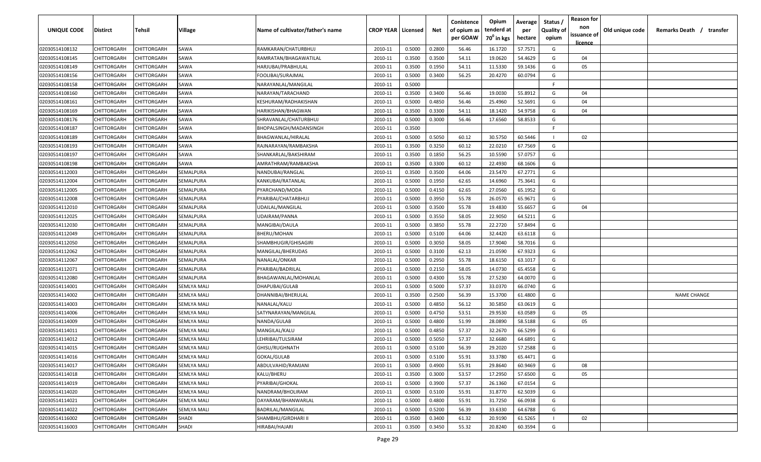| <b>UNIQUE CODE</b> | Distirct           | Tehsil             | Village            | Name of cultivator/father's name | <b>CROP YEAR   Licensed</b> |        | Net    | Conistence<br>of opium as | Opium<br>tenderd at    | Average<br>per | Status /<br><b>Quality of</b> | <b>Reason for</b><br>non<br>issuance of | Old unique code | Remarks Death / transfer |
|--------------------|--------------------|--------------------|--------------------|----------------------------------|-----------------------------|--------|--------|---------------------------|------------------------|----------------|-------------------------------|-----------------------------------------|-----------------|--------------------------|
|                    |                    |                    |                    |                                  |                             |        |        | per GOAW                  | 70 <sup>0</sup> in kgs | hectare        | opium                         | <u>licence</u>                          |                 |                          |
| 02030514108132     | CHITTORGARH        | CHITTORGARH        | SAWA               | RAMKARAN/CHATURBHUJ              | 2010-11                     | 0.5000 | 0.2800 | 56.46                     | 16.1720                | 57.7571        | G                             |                                         |                 |                          |
| 02030514108145     | CHITTORGARH        | CHITTORGARH        | SAWA               | RAMRATAN/BHAGAWATILAL            | 2010-11                     | 0.3500 | 0.3500 | 54.11                     | 19.0620                | 54.4629        | G                             | 04                                      |                 |                          |
| 02030514108149     | CHITTORGARH        | CHITTORGARH        | SAWA               | HARJUBAI/PRABHULAL               | 2010-11                     | 0.3500 | 0.1950 | 54.11                     | 11.5330                | 59.1436        | G                             | 05                                      |                 |                          |
| 02030514108156     | CHITTORGARH        | CHITTORGARH        | SAWA               | FOOLIBAI/SURAJMAL                | 2010-11                     | 0.5000 | 0.3400 | 56.25                     | 20.4270                | 60.0794        | G                             |                                         |                 |                          |
| 02030514108158     | CHITTORGARH        | CHITTORGARH        | SAWA               | NARAYANLAL/MANGILAL              | 2010-11                     | 0.5000 |        |                           |                        |                | -F.                           |                                         |                 |                          |
| 02030514108160     | CHITTORGARH        | CHITTORGARH        | SAWA               | NARAYAN/TARACHAND                | 2010-11                     | 0.3500 | 0.3400 | 56.46                     | 19.0030                | 55.8912        | G                             | 04                                      |                 |                          |
| 02030514108161     | CHITTORGARH        | CHITTORGARH        | SAWA               | KESHURAM/RADHAKISHAN             | 2010-11                     | 0.5000 | 0.4850 | 56.46                     | 25.4960                | 52.5691        | G                             | 04                                      |                 |                          |
| 02030514108169     | CHITTORGARH        | CHITTORGARH        | SAWA               | HARIKISHAN/BHAGWAN               | 2010-11                     | 0.3500 | 0.3300 | 54.11                     | 18.1420                | 54.9758        | G                             | 04                                      |                 |                          |
| 02030514108176     | CHITTORGARH        | CHITTORGARH        | SAWA               | SHRAVANLAL/CHATURBHUJ            | 2010-11                     | 0.5000 | 0.3000 | 56.46                     | 17.6560                | 58.8533        | G                             |                                         |                 |                          |
| 02030514108187     | CHITTORGARH        | CHITTORGARH        | SAWA               | BHOPALSINGH/MADANSINGH           | 2010-11                     | 0.3500 |        |                           |                        |                | F                             |                                         |                 |                          |
| 02030514108189     | CHITTORGARH        | CHITTORGARH        | SAWA               | BHAGWANLAL/HIRALAL               | 2010-11                     | 0.5000 | 0.5050 | 60.12                     | 30.5750                | 60.5446        |                               | 02                                      |                 |                          |
| 02030514108193     | CHITTORGARH        | CHITTORGARH        | SAWA               | RAJNARAYAN/RAMBAKSHA             | 2010-11                     | 0.3500 | 0.3250 | 60.12                     | 22.0210                | 67.7569        | G                             |                                         |                 |                          |
| 02030514108197     | CHITTORGARH        | CHITTORGARH        | SAWA               | SHANKARLAL/BAKSHIRAM             | 2010-11                     | 0.3500 | 0.1850 | 56.25                     | 10.5590                | 57.0757        | G                             |                                         |                 |                          |
| 02030514108198     | CHITTORGARH        | CHITTORGARH        | SAWA               | AMRATHRAM/RAMBAKSHA              | 2010-11                     | 0.3500 | 0.3300 | 60.12                     | 22.4930                | 68.1606        | G                             |                                         |                 |                          |
| 02030514112003     | CHITTORGARH        | CHITTORGARH        | SEMALPURA          | NANDUBAI/RANGLAL                 | 2010-11                     | 0.3500 | 0.3500 | 64.06                     | 23.5470                | 67.2771        | G                             |                                         |                 |                          |
| 02030514112004     | CHITTORGARH        | CHITTORGARH        | SEMALPURA          | KANKUBAI/RATANLAL                | 2010-11                     | 0.5000 | 0.1950 | 62.65                     | 14.6960                | 75.3641        | G                             |                                         |                 |                          |
| 02030514112005     | CHITTORGARH        | CHITTORGARH        | SEMALPURA          | PYARCHAND/MODA                   | 2010-11                     | 0.5000 | 0.4150 | 62.65                     | 27.0560                | 65.1952        | G                             |                                         |                 |                          |
| 02030514112008     | CHITTORGARH        | CHITTORGARH        | SEMALPURA          | PYARIBAI/CHATARBHUJ              | 2010-11                     | 0.5000 | 0.3950 | 55.78                     | 26.0570                | 65.9671        | G                             |                                         |                 |                          |
| 02030514112010     | CHITTORGARH        | CHITTORGARH        | SEMALPURA          | UDAILAL/MANGILAL                 | 2010-11                     | 0.5000 | 0.3500 | 55.78                     | 19.4830                | 55.6657        | G                             | 04                                      |                 |                          |
| 02030514112025     | CHITTORGARH        | CHITTORGARH        | SEMALPURA          | UDAIRAM/PANNA                    | 2010-11                     | 0.5000 | 0.3550 | 58.05                     | 22.9050                | 64.5211        | G                             |                                         |                 |                          |
| 02030514112030     | CHITTORGARH        | CHITTORGARH        | SEMALPURA          | MANGIBAI/DAULA                   | 2010-11                     | 0.5000 | 0.3850 | 55.78                     | 22.2720                | 57.8494        | G                             |                                         |                 |                          |
| 02030514112049     | CHITTORGARH        | CHITTORGARH        | SEMALPURA          | BHERU/MOHAN                      | 2010-11                     | 0.5000 | 0.5100 | 64.06                     | 32.4420                | 63.6118        | G                             |                                         |                 |                          |
| 02030514112050     | CHITTORGARH        | CHITTORGARH        | SEMALPURA          | SHAMBHUGIR/GHISAGIRI             | 2010-11                     | 0.5000 | 0.3050 | 58.05                     | 17.9040                | 58.7016        | G                             |                                         |                 |                          |
| 02030514112062     | CHITTORGARH        | CHITTORGARH        | SEMALPURA          | MANGILAL/BHERUDAS                | 2010-11                     | 0.5000 | 0.3100 | 62.13                     | 21.0590                | 67.9323        | G                             |                                         |                 |                          |
| 02030514112067     | CHITTORGARH        | CHITTORGARH        | SEMALPURA          | NANALAL/ONKAR                    | 2010-11                     | 0.5000 | 0.2950 | 55.78                     | 18.6150                | 63.1017        | G                             |                                         |                 |                          |
| 02030514112071     | CHITTORGARH        | CHITTORGARH        | SEMALPURA          | PYARIBAI/BADRILAL                | 2010-11                     | 0.5000 | 0.2150 | 58.05                     | 14.0730                | 65.4558        | G                             |                                         |                 |                          |
| 02030514112080     | CHITTORGARH        | CHITTORGARH        | SEMALPURA          | BHAGAWANLAL/MOHANLAL             | 2010-11                     | 0.5000 | 0.4300 | 55.78                     | 27.5230                | 64.0070        | G                             |                                         |                 |                          |
| 02030514114001     | CHITTORGARH        | CHITTORGARH        | SEMLYA MALI        | DHAPUBAI/GULAB                   | 2010-11                     | 0.5000 | 0.5000 | 57.37                     | 33.0370                | 66.0740        | G                             |                                         |                 |                          |
| 02030514114002     | CHITTORGARH        | CHITTORGARH        | SEMLYA MALI        | DHANNIBAI/BHERULAL               | 2010-11                     | 0.3500 | 0.2500 | 56.39                     | 15.3700                | 61.4800        | G                             |                                         |                 | <b>NAME CHANGE</b>       |
| 02030514114003     | CHITTORGARH        | CHITTORGARH        | <b>SEMLYA MALI</b> | NANALAL/KALU                     | 2010-11                     | 0.5000 | 0.4850 | 56.12                     | 30.5850                | 63.0619        | G                             |                                         |                 |                          |
| 02030514114006     | CHITTORGARH        | CHITTORGARH        | <b>SEMLYA MALI</b> | SATYNARAYAN/MANGILAL             | 2010-11                     | 0.5000 | 0.4750 | 53.51                     | 29.9530                | 63.0589        | G                             | 05                                      |                 |                          |
| 02030514114009     | CHITTORGARH        | CHITTORGARH        | <b>SEMLYA MALI</b> | NANDA/GULAB                      | 2010-11                     | 0.5000 | 0.4800 | 51.99                     | 28.0890                | 58.5188        | G                             | 05                                      |                 |                          |
| 02030514114011     | CHITTORGARH        | CHITTORGARH        | <b>SEMLYA MALI</b> | MANGILAL/KALU                    | 2010-11                     | 0.5000 | 0.4850 | 57.37                     | 32.2670                | 66.5299        | G                             |                                         |                 |                          |
| 02030514114012     | CHITTORGARH        | CHITTORGARH        | SEMLYA MALI        | LEHRIBAI/TULSIRAM                | 2010-11                     | 0.5000 | 0.5050 | 57.37                     | 32.6680                | 64.6891        | G                             |                                         |                 |                          |
| 02030514114015     | CHITTORGARH        | CHITTORGARH        | <b>SEMLYA MALI</b> | GHISU/RUGHNATH                   | 2010-11                     | 0.5000 | 0.5100 | 56.39                     | 29.2020                | 57.2588        | G                             |                                         |                 |                          |
| 02030514114016     | <b>CHITTORGARH</b> | <b>CHITTORGARH</b> | <b>SEMLYA MALI</b> | GOKAL/GULAB                      | 2010-11                     | 0.5000 | 0.5100 | 55.91                     | 33.3780                | 65.4471        | G                             |                                         |                 |                          |
| 02030514114017     | CHITTORGARH        | CHITTORGARH        | <b>SEMLYA MALI</b> | ABDULVAHID/RAMJANI               | 2010-11                     | 0.5000 | 0.4900 | 55.91                     | 29.8640                | 60.9469        | G                             | 08                                      |                 |                          |
| 02030514114018     | <b>CHITTORGARH</b> | CHITTORGARH        | SEMLYA MALI        | KALU/BHERU                       | 2010-11                     | 0.3500 | 0.3000 | 53.57                     | 17.2950                | 57.6500        | G                             | 05                                      |                 |                          |
| 02030514114019     | <b>CHITTORGARH</b> | CHITTORGARH        | <b>SEMLYA MALI</b> | PYARIBAI/GHOKAL                  | 2010-11                     | 0.5000 | 0.3900 | 57.37                     | 26.1360                | 67.0154        | G                             |                                         |                 |                          |
| 02030514114020     | CHITTORGARH        | CHITTORGARH        | <b>SEMLYA MALI</b> | NANDRAM/BHOLIRAM                 | 2010-11                     | 0.5000 | 0.5100 | 55.91                     | 31.8770                | 62.5039        | G                             |                                         |                 |                          |
| 02030514114021     | CHITTORGARH        | CHITTORGARH        | SEMLYA MALI        | DAYARAM/BHANWARLAL               | 2010-11                     | 0.5000 | 0.4800 | 55.91                     | 31.7250                | 66.0938        | G                             |                                         |                 |                          |
| 02030514114022     | CHITTORGARH        | CHITTORGARH        | SEMLYA MALI        | <b>BADRILAL/MANGILAL</b>         | 2010-11                     | 0.5000 | 0.5200 | 56.39                     | 33.6330                | 64.6788        | G                             |                                         |                 |                          |
| 02030514116002     | CHITTORGARH        | CHITTORGARH        | <b>SHADI</b>       | SHAMBHU/GIRDHARI II              | 2010-11                     | 0.3500 | 0.3400 | 61.32                     | 20.9190                | 61.5265        |                               | 02                                      |                 |                          |
| 02030514116003     | CHITTORGARH        | CHITTORGARH        | SHADI              | HIRABAI/HAJARI                   | 2010-11                     | 0.3500 | 0.3450 | 55.32                     | 20.8240                | 60.3594        | G                             |                                         |                 |                          |
|                    |                    |                    |                    |                                  |                             |        |        |                           |                        |                |                               |                                         |                 |                          |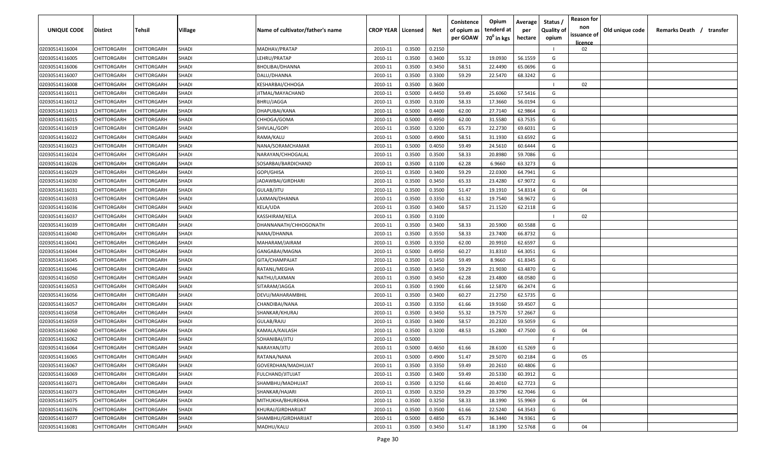| UNIQUE CODE    | Distirct           | Tehsil             | Village      | Name of cultivator/father's name | <b>CROP YEAR   Licensed</b> |        | Net    | Conistence<br>of opium as | Opium<br>tenderd at    | Average<br>per | Status /<br><b>Quality of</b> | <b>Reason for</b><br>non | Old unique code | Remarks Death /<br>transfer |
|----------------|--------------------|--------------------|--------------|----------------------------------|-----------------------------|--------|--------|---------------------------|------------------------|----------------|-------------------------------|--------------------------|-----------------|-----------------------------|
|                |                    |                    |              |                                  |                             |        |        | per GOAW                  | 70 <sup>0</sup> in kgs | hectare        | opium                         | issuance of              |                 |                             |
| 02030514116004 | CHITTORGARH        | CHITTORGARH        | SHADI        | MADHAV/PRATAP                    | 2010-11                     | 0.3500 | 0.2150 |                           |                        |                |                               | licence<br>02            |                 |                             |
| 02030514116005 | CHITTORGARH        | CHITTORGARH        | <b>SHADI</b> | LEHRU/PRATAP                     | 2010-11                     | 0.3500 | 0.3400 | 55.32                     | 19.0930                | 56.1559        | G                             |                          |                 |                             |
| 02030514116006 | CHITTORGARH        | CHITTORGARH        | <b>SHADI</b> | BHOLIBAI/DHANNA                  | 2010-11                     | 0.3500 | 0.3450 | 58.51                     | 22.4490                | 65.0696        | G                             |                          |                 |                             |
| 02030514116007 | CHITTORGARH        | CHITTORGARH        | SHADI        | DALU/DHANNA                      | 2010-11                     | 0.3500 | 0.3300 | 59.29                     | 22.5470                | 68.3242        | G                             |                          |                 |                             |
| 02030514116008 | CHITTORGARH        | CHITTORGARH        | SHADI        | KESHARBAI/CHHOGA                 | 2010-11                     | 0.3500 | 0.3600 |                           |                        |                |                               | 02                       |                 |                             |
| 02030514116011 | CHITTORGARH        | CHITTORGARH        | SHADI        | JITMAL/MAYACHAND                 | 2010-11                     | 0.5000 | 0.4450 | 59.49                     | 25.6060                | 57.5416        | G                             |                          |                 |                             |
| 02030514116012 | CHITTORGARH        | <b>CHITTORGARH</b> | <b>SHADI</b> | BHRU/JAGGA                       | 2010-11                     | 0.3500 | 0.3100 | 58.33                     | 17.3660                | 56.0194        | G                             |                          |                 |                             |
| 02030514116013 | CHITTORGARH        | CHITTORGARH        | SHADI        | DHAPUBAI/KANA                    | 2010-11                     | 0.5000 | 0.4400 | 62.00                     | 27.7140                | 62.9864        | G                             |                          |                 |                             |
| 02030514116015 | CHITTORGARH        | CHITTORGARH        | SHADI        | CHHOGA/GOMA                      | 2010-11                     | 0.5000 | 0.4950 | 62.00                     | 31.5580                | 63.7535        | G                             |                          |                 |                             |
| 02030514116019 | CHITTORGARH        | CHITTORGARH        | <b>SHADI</b> | SHIVLAL/GOPI                     | 2010-11                     | 0.3500 | 0.3200 | 65.73                     | 22.2730                | 69.6031        | G                             |                          |                 |                             |
| 02030514116022 | CHITTORGARH        | CHITTORGARH        | SHADI        | RAMA/KALU                        | 2010-11                     | 0.5000 | 0.4900 | 58.51                     | 31.1930                | 63.6592        | G                             |                          |                 |                             |
| 02030514116023 | CHITTORGARH        | CHITTORGARH        | SHADI        | NANA/SORAMCHAMAR                 | 2010-11                     | 0.5000 | 0.4050 | 59.49                     | 24.5610                | 60.6444        | G                             |                          |                 |                             |
| 02030514116024 | CHITTORGARH        | CHITTORGARH        | SHADI        | NARAYAN/CHHOGALAL                | 2010-11                     | 0.3500 | 0.3500 | 58.33                     | 20.8980                | 59.7086        | G                             |                          |                 |                             |
| 02030514116026 | CHITTORGARH        | CHITTORGARH        | <b>SHADI</b> | SOSARBAI/BARDICHAND              | 2010-11                     | 0.3500 | 0.1100 | 62.28                     | 6.9660                 | 63.3273        | G                             |                          |                 |                             |
| 02030514116029 | CHITTORGARH        | CHITTORGARH        | <b>SHADI</b> | GOPI/GHISA                       | 2010-11                     | 0.3500 | 0.3400 | 59.29                     | 22.0300                | 64.7941        | G                             |                          |                 |                             |
| 02030514116030 | CHITTORGARH        | CHITTORGARH        | <b>SHADI</b> | JADAWBAI/GIRDHARI                | 2010-11                     | 0.3500 | 0.3450 | 65.33                     | 23.4280                | 67.9072        | G                             |                          |                 |                             |
| 02030514116031 | CHITTORGARH        | CHITTORGARH        | <b>SHADI</b> | GULAB/JITU                       | 2010-11                     | 0.3500 | 0.3500 | 51.47                     | 19.1910                | 54.8314        | G                             | 04                       |                 |                             |
| 02030514116033 | CHITTORGARH        | CHITTORGARH        | <b>SHADI</b> | LAXMAN/DHANNA                    | 2010-11                     | 0.3500 | 0.3350 | 61.32                     | 19.7540                | 58.9672        | G                             |                          |                 |                             |
| 02030514116036 | CHITTORGARH        | CHITTORGARH        | <b>SHADI</b> | KELA/UDA                         | 2010-11                     | 0.3500 | 0.3400 | 58.57                     | 21.1520                | 62.2118        | G                             |                          |                 |                             |
| 02030514116037 | CHITTORGARH        | CHITTORGARH        | <b>SHADI</b> | KASSHIRAM/KELA                   | 2010-11                     | 0.3500 | 0.3100 |                           |                        |                |                               | 02                       |                 |                             |
| 02030514116039 | CHITTORGARH        | CHITTORGARH        | SHADI        | DHANNANATH/CHHOGONATH            | 2010-11                     | 0.3500 | 0.3400 | 58.33                     | 20.5900                | 60.5588        | G                             |                          |                 |                             |
| 02030514116040 | CHITTORGARH        | CHITTORGARH        | <b>SHADI</b> | NANA/DHANNA                      | 2010-11                     | 0.3500 | 0.3550 | 58.33                     | 23.7400                | 66.8732        | G                             |                          |                 |                             |
| 02030514116041 | CHITTORGARH        | CHITTORGARH        | SHADI        | MAHARAM/JAIRAM                   | 2010-11                     | 0.3500 | 0.3350 | 62.00                     | 20.9910                | 62.6597        | G                             |                          |                 |                             |
| 02030514116044 | CHITTORGARH        | CHITTORGARH        | <b>SHADI</b> | GANGABAI/MAGNA                   | 2010-11                     | 0.5000 | 0.4950 | 60.27                     | 31.8310                | 64.3051        | G                             |                          |                 |                             |
| 02030514116045 | CHITTORGARH        | CHITTORGARH        | SHADI        | GITA/CHAMPAJAT                   | 2010-11                     | 0.3500 | 0.1450 | 59.49                     | 8.9660                 | 61.8345        | G                             |                          |                 |                             |
| 02030514116046 | CHITTORGARH        | CHITTORGARH        | SHADI        | RATANL/MEGHA                     | 2010-11                     | 0.3500 | 0.3450 | 59.29                     | 21.9030                | 63.4870        | G                             |                          |                 |                             |
| 02030514116050 | CHITTORGARH        | CHITTORGARH        | <b>SHADI</b> | NATHU/LAXMAN                     | 2010-11                     | 0.3500 | 0.3450 | 62.28                     | 23.4800                | 68.0580        | G                             |                          |                 |                             |
| 02030514116053 | CHITTORGARH        | CHITTORGARH        | SHADI        | SITARAM/JAGGA                    | 2010-11                     | 0.3500 | 0.1900 | 61.66                     | 12.5870                | 66.2474        | G                             |                          |                 |                             |
| 02030514116056 | CHITTORGARH        | CHITTORGARH        | SHADI        | DEVU/MAHARAMBHIL                 | 2010-11                     | 0.3500 | 0.3400 | 60.27                     | 21.2750                | 62.5735        | G                             |                          |                 |                             |
| 02030514116057 | CHITTORGARH        | CHITTORGARH        | SHADI        | CHANDIBAI/NANA                   | 2010-11                     | 0.3500 | 0.3350 | 61.66                     | 19.9160                | 59.4507        | G                             |                          |                 |                             |
| 02030514116058 | CHITTORGARH        | CHITTORGARH        | <b>SHADI</b> | SHANKAR/KHURAJ                   | 2010-11                     | 0.3500 | 0.3450 | 55.32                     | 19.7570                | 57.2667        | G                             |                          |                 |                             |
| 02030514116059 | CHITTORGARH        | CHITTORGARH        | <b>SHADI</b> | GULAB/RAJU                       | 2010-11                     | 0.3500 | 0.3400 | 58.57                     | 20.2320                | 59.5059        | G                             |                          |                 |                             |
| 02030514116060 | CHITTORGARH        | CHITTORGARH        | SHADI        | KAMALA/KAILASH                   | 2010-11                     | 0.3500 | 0.3200 | 48.53                     | 15.2800                | 47.7500        | G                             | 04                       |                 |                             |
| 02030514116062 | CHITTORGARH        | CHITTORGARH        | SHADI        | SOHANIBAI/JITU                   | 2010-11                     | 0.5000 |        |                           |                        |                | -F.                           |                          |                 |                             |
| 02030514116064 | CHITTORGARH        | CHITTORGARH        | <b>SHADI</b> | NARAYAN/JITU                     | 2010-11                     | 0.5000 | 0.4650 | 61.66                     | 28.6100                | 61.5269        | G                             |                          |                 |                             |
| 02030514116065 | CHITTORGARH        | <b>CHITTORGARH</b> | <b>SHADI</b> | RATANA/NANA                      | 2010-11                     | 0.5000 | 0.4900 | 51.47                     | 29.5070                | 60.2184        | G                             | 05                       |                 |                             |
| 02030514116067 | CHITTORGARH        | CHITTORGARH        | <b>SHADI</b> | GOVERDHAN/MADHUJAT               | 2010-11                     | 0.3500 | 0.3350 | 59.49                     | 20.2610                | 60.4806        | G                             |                          |                 |                             |
| 02030514116069 | CHITTORGARH        | CHITTORGARH        | <b>SHADI</b> | FULCHAND/JITUJAT                 | 2010-11                     | 0.3500 | 0.3400 | 59.49                     | 20.5330                | 60.3912        | G                             |                          |                 |                             |
| 02030514116071 | <b>CHITTORGARH</b> | CHITTORGARH        | <b>SHADI</b> | SHAMBHU/MADHUJAT                 | 2010-11                     | 0.3500 | 0.3250 | 61.66                     | 20.4010                | 62.7723        | G                             |                          |                 |                             |
| 02030514116073 | CHITTORGARH        | CHITTORGARH        | SHADI        | SHANKAR/HAJARI                   | 2010-11                     | 0.3500 | 0.3250 | 59.29                     | 20.3790                | 62.7046        | G                             |                          |                 |                             |
| 02030514116075 | CHITTORGARH        | CHITTORGARH        | <b>SHADI</b> | MITHUKHA/BHUREKHA                | 2010-11                     | 0.3500 | 0.3250 | 58.33                     | 18.1990                | 55.9969        | G                             | 04                       |                 |                             |
| 02030514116076 | CHITTORGARH        | CHITTORGARH        | SHADI        | KHURAJ/GIRDHARIJAT               | 2010-11                     | 0.3500 | 0.3500 | 61.66                     | 22.5240                | 64.3543        | G                             |                          |                 |                             |
| 02030514116077 | CHITTORGARH        | CHITTORGARH        | SHADI        | SHAMBHU/GIRDHARIJAT              | 2010-11                     | 0.5000 | 0.4850 | 65.73                     | 36.3440                | 74.9361        | G                             |                          |                 |                             |
| 02030514116081 | CHITTORGARH        | CHITTORGARH        | SHADI        | MADHU/KALU                       | 2010-11                     | 0.3500 | 0.3450 | 51.47                     | 18.1390                | 52.5768        | G                             | 04                       |                 |                             |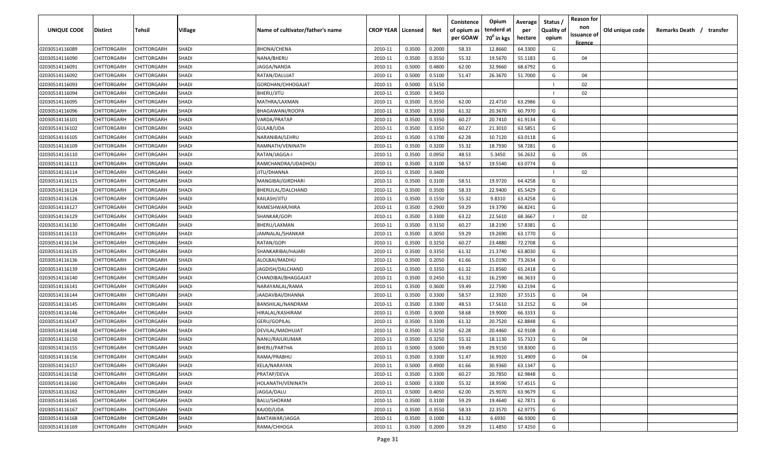| <b>UNIQUE CODE</b>               | Distirct                          | Tehsil                     | Village      | Name of cultivator/father's name | <b>CROP YEAR   Licensed</b> |        | Net    | Conistence<br>of opium as | Opium<br>tenderd at    | Average<br>per | Status /<br><b>Quality of</b> | <b>Reason for</b><br>non      | Old unique code | Remarks Death / transfer |
|----------------------------------|-----------------------------------|----------------------------|--------------|----------------------------------|-----------------------------|--------|--------|---------------------------|------------------------|----------------|-------------------------------|-------------------------------|-----------------|--------------------------|
|                                  |                                   |                            |              |                                  |                             |        |        | per GOAW                  | 70 <sup>0</sup> in kgs | hectare        | opium                         | issuance of<br><u>licence</u> |                 |                          |
| 02030514116089                   | CHITTORGARH                       | CHITTORGARH                | SHADI        | BHONA/CHENA                      | 2010-11                     | 0.3500 | 0.2000 | 58.33                     | 12.8660                | 64.3300        | G                             |                               |                 |                          |
| 02030514116090                   | CHITTORGARH                       | CHITTORGARH                | <b>SHADI</b> | NANA/BHERU                       | 2010-11                     | 0.3500 | 0.3550 | 55.32                     | 19.5670                | 55.1183        | G                             | 04                            |                 |                          |
| 02030514116091                   | CHITTORGARH                       | CHITTORGARH                | <b>SHADI</b> | JAGGA/NANDA                      | 2010-11                     | 0.5000 | 0.4800 | 62.00                     | 32.9660                | 68.6792        | G                             |                               |                 |                          |
| 02030514116092                   | CHITTORGARH                       | CHITTORGARH                | SHADI        | RATAN/DALUJAT                    | 2010-11                     | 0.5000 | 0.5100 | 51.47                     | 26.3670                | 51.7000        | G                             | 04                            |                 |                          |
| 02030514116093                   | CHITTORGARH                       | CHITTORGARH                | SHADI        | GORDHAN/CHHOGAJAT                | 2010-11                     | 0.5000 | 0.5150 |                           |                        |                |                               | 02                            |                 |                          |
| 02030514116094                   | CHITTORGARH                       | CHITTORGARH                | SHADI        | BHERU/JITU                       | 2010-11                     | 0.3500 | 0.3450 |                           |                        |                |                               | 02                            |                 |                          |
| 02030514116095                   | CHITTORGARH                       | <b>CHITTORGARH</b>         | SHADI        | MATHRA/LAXMAN                    | 2010-11                     | 0.3500 | 0.3550 | 62.00                     | 22.4710                | 63.2986        | G                             |                               |                 |                          |
| 02030514116096                   | CHITTORGARH                       | CHITTORGARH                | SHADI        | BHAGAWANI/ROOPA                  | 2010-11                     | 0.3500 | 0.3350 | 61.32                     | 20.3670                | 60.7970        | G                             |                               |                 |                          |
| 02030514116101                   | CHITTORGARH                       | CHITTORGARH                | SHADI        | VARDA/PRATAP                     | 2010-11                     | 0.3500 | 0.3350 | 60.27                     | 20.7410                | 61.9134        | G                             |                               |                 |                          |
| 02030514116102                   | CHITTORGARH                       | CHITTORGARH                | <b>SHADI</b> | GULAB/UDA                        | 2010-11                     | 0.3500 | 0.3350 | 60.27                     | 21.3010                | 63.5851        | G                             |                               |                 |                          |
| 02030514116105                   | CHITTORGARH                       | CHITTORGARH                | SHADI        | NARANIBAI/LEHRU                  | 2010-11                     | 0.3500 | 0.1700 | 62.28                     | 10.7120                | 63.0118        | G                             |                               |                 |                          |
| 02030514116109                   | CHITTORGARH                       | CHITTORGARH                | SHADI        | RAMNATH/VENINATH                 | 2010-11                     | 0.3500 | 0.3200 | 55.32                     | 18.7930                | 58.7281        | G                             |                               |                 |                          |
| 02030514116110                   | CHITTORGARH                       | CHITTORGARH                | SHADI        | RATAN/JAGGA-I                    | 2010-11                     | 0.3500 | 0.0950 | 48.53                     | 5.3450                 | 56.2632        | G                             | 05                            |                 |                          |
| 02030514116113                   | CHITTORGARH                       | CHITTORGARH                | SHADI        | RAMCHANDRA/UDADHOLI              | 2010-11                     | 0.3500 | 0.3100 | 58.57                     | 19.5540                | 63.0774        | G                             |                               |                 |                          |
| 02030514116114                   | CHITTORGARH                       | CHITTORGARH                | SHADI        | JITU/DHANNA                      | 2010-11                     | 0.3500 | 0.3400 |                           |                        |                |                               | 02                            |                 |                          |
| 02030514116115                   | CHITTORGARH                       | CHITTORGARH                | SHADI        | MANGIBAI/GIRDHARI                | 2010-11                     | 0.3500 | 0.3100 | 58.51                     | 19.9720                | 64.4258        | G                             |                               |                 |                          |
| 02030514116124                   | CHITTORGARH                       | CHITTORGARH                | <b>SHADI</b> | BHERULAL/DALCHAND                | 2010-11                     | 0.3500 | 0.3500 | 58.33                     | 22.9400                | 65.5429        | G                             |                               |                 |                          |
| 02030514116126                   | CHITTORGARH                       | CHITTORGARH                | <b>SHADI</b> | KAILASH/JITU                     | 2010-11                     | 0.3500 | 0.1550 | 55.32                     | 9.8310                 | 63.4258        | G                             |                               |                 |                          |
| 02030514116127                   | CHITTORGARH                       | CHITTORGARH                | <b>SHADI</b> | RAMESHWAR/HIRA                   | 2010-11                     | 0.3500 | 0.2900 | 59.29                     | 19.3790                | 66.8241        | G                             |                               |                 |                          |
| 02030514116129                   | CHITTORGARH                       | CHITTORGARH                | SHADI        | SHANKAR/GOPI                     | 2010-11                     | 0.3500 | 0.3300 | 63.22                     | 22.5610                | 68.3667        |                               | 02                            |                 |                          |
| 02030514116130                   | CHITTORGARH                       | CHITTORGARH                | <b>SHADI</b> | BHERU/LAXMAN                     | 2010-11                     | 0.3500 | 0.3150 | 60.27                     | 18.2190                | 57.8381        | G                             |                               |                 |                          |
| 02030514116133                   | CHITTORGARH                       | CHITTORGARH                | <b>SHADI</b> | JAMNALAL/SHANKAR                 | 2010-11                     | 0.3500 | 0.3050 | 59.29                     | 19.2690                | 63.1770        | G                             |                               |                 |                          |
| 02030514116134                   | CHITTORGARH                       | CHITTORGARH                | SHADI        | RATAN/GOPI                       | 2010-11                     | 0.3500 | 0.3250 | 60.27                     | 23.4880                | 72.2708        | G                             |                               |                 |                          |
| 02030514116135                   | CHITTORGARH                       | CHITTORGARH                | <b>SHADI</b> | SHANKARIBAI/HAJARI               | 2010-11                     | 0.3500 | 0.3350 | 61.32                     | 21.3740                | 63.8030        | G                             |                               |                 |                          |
| 02030514116136                   | CHITTORGARH                       | CHITTORGARH                | SHADI        | ALOLBAI/MADHU                    | 2010-11                     | 0.3500 | 0.2050 | 61.66                     | 15.0190                | 73.2634        | G                             |                               |                 |                          |
| 02030514116139                   | CHITTORGARH                       | CHITTORGARH                | SHADI        | JAGDISH/DALCHAND                 | 2010-11                     | 0.3500 | 0.3350 | 61.32                     | 21.8560                | 65.2418        | G                             |                               |                 |                          |
| 02030514116140                   | CHITTORGARH                       | CHITTORGARH                | <b>SHADI</b> | CHANDIBAI/BHAGGAJAT              | 2010-11                     | 0.3500 | 0.2450 | 61.32                     | 16.2590                | 66.3633        | G                             |                               |                 |                          |
| 02030514116141                   | CHITTORGARH                       | CHITTORGARH                | SHADI        | NARAYANLAL/RAMA                  | 2010-11                     | 0.3500 | 0.3600 | 59.49                     | 22.7590                | 63.2194        | G                             |                               |                 |                          |
| 02030514116144                   | CHITTORGARH                       | CHITTORGARH                | SHADI        | JAADAVBAI/DHANNA                 | 2010-11                     | 0.3500 | 0.3300 | 58.57                     | 12.3920                | 37.5515        | G                             | 04                            |                 |                          |
| 02030514116145                   | CHITTORGARH                       | CHITTORGARH                | SHADI        | BANSHILAL/NANDRAM                | 2010-11                     | 0.3500 | 0.3300 | 48.53                     | 17.5610                | 53.2152        | G                             | 04                            |                 |                          |
| 02030514116146                   | CHITTORGARH                       | CHITTORGARH                | SHADI        | HIRALAL/KASHIRAM                 | 2010-11                     | 0.3500 | 0.3000 | 58.68                     | 19.9000                | 66.3333        | G                             |                               |                 |                          |
| 02030514116147                   | CHITTORGARH                       | CHITTORGARH                | SHADI        | GERU/GOPILAL                     | 2010-11                     | 0.3500 | 0.3300 | 61.32                     | 20.7520                | 62.8848        | G                             |                               |                 |                          |
| 02030514116148                   | CHITTORGARH                       | CHITTORGARH                | SHADI        | DEVILAL/MADHUJAT                 | 2010-11                     | 0.3500 | 0.3250 | 62.28                     | 20.4460                | 62.9108        | G                             |                               |                 |                          |
| 02030514116150                   | CHITTORGARH                       | CHITTORGARH                | SHADI        | NANU/RAJUKUMAR                   | 2010-11                     | 0.3500 | 0.3250 | 55.32                     | 18.1130                | 55.7323        | G                             | 04                            |                 |                          |
| 02030514116155                   | CHITTORGARH                       | CHITTORGARH                | SHADI        | BHERU/PARTHA                     | 2010-11                     | 0.5000 | 0.5000 | 59.49                     | 29.9150                | 59.8300        | G                             |                               |                 |                          |
| 02030514116156                   | CHITTORGARH                       | <b>CHITTORGARH</b>         | <b>SHADI</b> | RAMA/PRABHU                      | 2010-11                     | 0.3500 | 0.3300 | 51.47                     | 16.9920                | 51.4909        | G                             | 04                            |                 |                          |
| 02030514116157                   | CHITTORGARH                       | CHITTORGARH                | <b>SHADI</b> | KELA/NARAYAN                     | 2010-11                     | 0.5000 | 0.4900 | 61.66                     | 30.9360                | 63.1347        | G                             |                               |                 |                          |
| 02030514116158                   | <b>CHITTORGARH</b>                | <b>CHITTORGARH</b>         | <b>SHADI</b> | PRATAP/DEVA                      | 2010-11                     | 0.3500 | 0.3300 | 60.27                     | 20.7850                | 62.9848        | G                             |                               |                 |                          |
|                                  |                                   |                            | <b>SHADI</b> |                                  | 2010-11                     | 0.5000 | 0.3300 | 55.32                     | 18.9590                | 57.4515        | G                             |                               |                 |                          |
| 02030514116160<br>02030514116162 | <b>CHITTORGARH</b><br>CHITTORGARH | CHITTORGARH<br>CHITTORGARH | <b>SHADI</b> | HOLANATH/VENINATH<br>JAGGA/DALU  | 2010-11                     | 0.5000 | 0.4050 | 62.00                     | 25.9070                | 63.9679        | G                             |                               |                 |                          |
|                                  | CHITTORGARH                       | CHITTORGARH                | SHADI        | BALU/SHORAM                      | 2010-11                     | 0.3500 | 0.3100 |                           | 19.4640                | 62.7871        | G                             |                               |                 |                          |
| 02030514116165<br>02030514116167 | CHITTORGARH                       | CHITTORGARH                | SHADI        |                                  | 2010-11                     | 0.3500 |        | 59.29<br>58.33            | 22.3570                |                | G                             |                               |                 |                          |
|                                  |                                   |                            |              | KAJOD/UDA                        |                             |        | 0.3550 |                           |                        | 62.9775        |                               |                               |                 |                          |
| 02030514116168                   | CHITTORGARH                       | CHITTORGARH                | SHADI        | BAKTAWAR/JAGGA                   | 2010-11                     | 0.3500 | 0.1000 | 61.32                     | 6.6930                 | 66.9300        | G                             |                               |                 |                          |
| 02030514116169                   | CHITTORGARH                       | CHITTORGARH                | <b>SHADI</b> | RAMA/CHHOGA                      | 2010-11                     | 0.3500 | 0.2000 | 59.29                     | 11.4850                | 57.4250        | G                             |                               |                 |                          |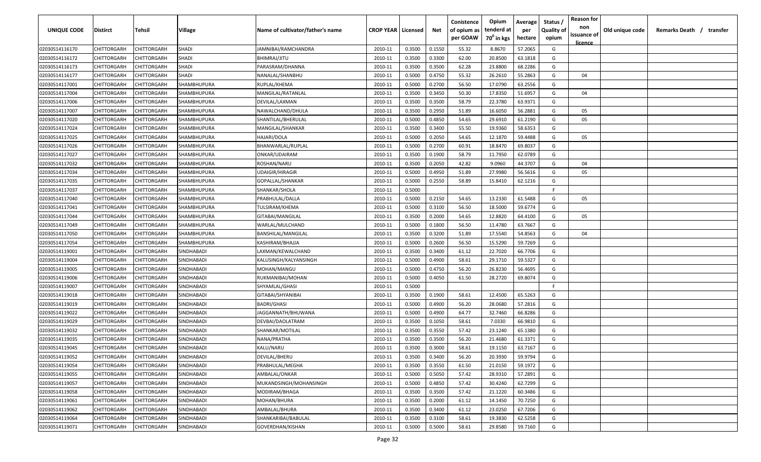| <b>UNIQUE CODE</b> | <b>Distirct</b>    | <b>Tehsil</b>      | Village           | Name of cultivator/father's name | <b>CROP YEAR   Licensed</b> |        | Net    | Conistence<br>of opium as<br>per GOAW | Opium<br>tenderd at<br>70 <sup>0</sup> in kgs | Average<br>per<br>hectare | Status /<br><b>Quality of</b><br>opium | <b>Reason for</b><br>non<br>issuance of | Old unique code | Remarks Death /<br>transfer |  |
|--------------------|--------------------|--------------------|-------------------|----------------------------------|-----------------------------|--------|--------|---------------------------------------|-----------------------------------------------|---------------------------|----------------------------------------|-----------------------------------------|-----------------|-----------------------------|--|
|                    |                    |                    |                   |                                  |                             |        |        |                                       |                                               |                           |                                        | licence                                 |                 |                             |  |
| 02030514116170     | CHITTORGARH        | CHITTORGARH        | <b>SHADI</b>      | JAMNIBAI/RAMCHANDRA              | 2010-11                     | 0.3500 | 0.1550 | 55.32                                 | 8.8670                                        | 57.2065                   | G                                      |                                         |                 |                             |  |
| 02030514116172     | CHITTORGARH        | CHITTORGARH        | SHADI             | BHIMRAJ/JITU                     | 2010-11                     | 0.3500 | 0.3300 | 62.00                                 | 20.8500                                       | 63.1818                   | G                                      |                                         |                 |                             |  |
| 02030514116173     | CHITTORGARH        | CHITTORGARH        | <b>SHADI</b>      | PARASRAM/DHANNA                  | 2010-11                     | 0.3500 | 0.3500 | 62.28                                 | 23.8800                                       | 68.2286                   | G                                      |                                         |                 |                             |  |
| 02030514116177     | CHITTORGARH        | CHITTORGARH        | SHADI             | NANALAL/SHANBHU                  | 2010-11                     | 0.5000 | 0.4750 | 55.32                                 | 26.2610                                       | 55.2863                   | G                                      | 04                                      |                 |                             |  |
| 02030514117001     | CHITTORGARH        | CHITTORGARH        | SHAMBHUPURA       | RUPLAL/KHEMA                     | 2010-11                     | 0.5000 | 0.2700 | 56.50                                 | 17.0790                                       | 63.2556                   | G                                      |                                         |                 |                             |  |
| 02030514117004     | CHITTORGARH        | CHITTORGARH        | SHAMBHUPURA       | MANGILAL/RATANLAL                | 2010-11                     | 0.3500 | 0.3450 | 50.30                                 | 17.8350                                       | 51.6957                   | G                                      | 04                                      |                 |                             |  |
| 02030514117006     | CHITTORGARH        | CHITTORGARH        | SHAMBHUPURA       | DEVILAL/LAXMAN                   | 2010-11                     | 0.3500 | 0.3500 | 58.79                                 | 22.3780                                       | 63.9371                   | G                                      |                                         |                 |                             |  |
| 02030514117007     | CHITTORGARH        | CHITTORGARH        | SHAMBHUPURA       | NAWALCHAND/DHULA                 | 2010-11                     | 0.3500 | 0.2950 | 51.89                                 | 16.6050                                       | 56.2881                   | G                                      | 05                                      |                 |                             |  |
| 02030514117020     | CHITTORGARH        | CHITTORGARH        | SHAMBHUPURA       | SHANTILAL/BHERULAL               | 2010-11                     | 0.5000 | 0.4850 | 54.65                                 | 29.6910                                       | 61.2190                   | G                                      | 05                                      |                 |                             |  |
| 02030514117024     | CHITTORGARH        | CHITTORGARH        | SHAMBHUPURA       | MANGILAL/SHANKAR                 | 2010-11                     | 0.3500 | 0.3400 | 55.50                                 | 19.9360                                       | 58.6353                   | G                                      |                                         |                 |                             |  |
| 02030514117025     | CHITTORGARH        | CHITTORGARH        | SHAMBHUPURA       | HAJARI/DOLA                      | 2010-11                     | 0.5000 | 0.2050 | 54.65                                 | 12.1870                                       | 59.4488                   | G                                      | 05                                      |                 |                             |  |
| 02030514117026     | CHITTORGARH        | CHITTORGARH        | SHAMBHUPURA       | BHANWARLAL/RUPLAL                | 2010-11                     | 0.5000 | 0.2700 | 60.91                                 | 18.8470                                       | 69.8037                   | G                                      |                                         |                 |                             |  |
| 02030514117027     | CHITTORGARH        | CHITTORGARH        | SHAMBHUPURA       | ONKAR/UDAIRAM                    | 2010-11                     | 0.3500 | 0.1900 | 58.79                                 | 11.7950                                       | 62.0789                   | G                                      |                                         |                 |                             |  |
| 02030514117032     | CHITTORGARH        | CHITTORGARH        | SHAMBHUPURA       | ROSHAN/NARU                      | 2010-11                     | 0.3500 | 0.2050 | 42.82                                 | 9.0960                                        | 44.3707                   | G                                      | 04                                      |                 |                             |  |
| 02030514117034     | CHITTORGARH        | CHITTORGARH        | SHAMBHUPURA       | UDAIGIR/HIRAGIR                  | 2010-11                     | 0.5000 | 0.4950 | 51.89                                 | 27.9980                                       | 56.5616                   | G                                      | 05                                      |                 |                             |  |
| 02030514117035     | CHITTORGARH        | CHITTORGARH        | SHAMBHUPURA       | GOPALLAL/SHANKAR                 | 2010-11                     | 0.5000 | 0.2550 | 58.89                                 | 15.8410                                       | 62.1216                   | G                                      |                                         |                 |                             |  |
| 02030514117037     | CHITTORGARH        | CHITTORGARH        | SHAMBHUPURA       | SHANKAR/SHOLA                    | 2010-11                     | 0.5000 |        |                                       |                                               |                           | F.                                     |                                         |                 |                             |  |
| 02030514117040     | CHITTORGARH        | CHITTORGARH        | SHAMBHUPURA       | PRABHULAL/DALLA                  | 2010-11                     | 0.5000 | 0.2150 | 54.65                                 | 13.2330                                       | 61.5488                   | G                                      | 05                                      |                 |                             |  |
| 02030514117041     | CHITTORGARH        | CHITTORGARH        | SHAMBHUPURA       | TULSIRAM/KHEMA                   | 2010-11                     | 0.5000 | 0.3100 | 56.50                                 | 18.5000                                       | 59.6774                   | G                                      |                                         |                 |                             |  |
| 02030514117044     | CHITTORGARH        | CHITTORGARH        | SHAMBHUPURA       | GITABAI/MANGILAL                 | 2010-11                     | 0.3500 | 0.2000 | 54.65                                 | 12.8820                                       | 64.4100                   | G                                      | 05                                      |                 |                             |  |
| 02030514117049     | CHITTORGARH        | CHITTORGARH        | SHAMBHUPURA       | WARLAL/MULCHAND                  | 2010-11                     | 0.5000 | 0.1800 | 56.50                                 | 11.4780                                       | 63.7667                   | G                                      |                                         |                 |                             |  |
| 02030514117050     | CHITTORGARH        | CHITTORGARH        | SHAMBHUPURA       | <b>BANSHILAL/MANGILAL</b>        | 2010-11                     | 0.3500 | 0.3200 | 51.89                                 | 17.5540                                       | 54.8563                   | G                                      | 04                                      |                 |                             |  |
| 02030514117054     | CHITTORGARH        | CHITTORGARH        | SHAMBHUPURA       | KASHIRAM/BHAJJA                  | 2010-11                     | 0.5000 | 0.2600 | 56.50                                 | 15.5290                                       | 59.7269                   | G                                      |                                         |                 |                             |  |
| 02030514119001     | CHITTORGARH        | CHITTORGARH        | SINDHABADI        | LAXMAN/KEWALCHAND                | 2010-11                     | 0.3500 | 0.3400 | 61.12                                 | 22.7020                                       | 66.7706                   | G                                      |                                         |                 |                             |  |
| 02030514119004     | CHITTORGARH        | CHITTORGARH        | SINDHABADI        | KALUSINGH/KALYANSINGH            | 2010-11                     | 0.5000 | 0.4900 | 58.61                                 | 29.1710                                       | 59.5327                   | G                                      |                                         |                 |                             |  |
| 02030514119005     | CHITTORGARH        | CHITTORGARH        | SINDHABADI        | MOHAN/MANGU                      | 2010-11                     | 0.5000 | 0.4750 | 56.20                                 | 26.8230                                       | 56.4695                   | G                                      |                                         |                 |                             |  |
| 02030514119006     | CHITTORGARH        | CHITTORGARH        | SINDHABADI        | RUKMANIBAI/MOHAN                 | 2010-11                     | 0.5000 | 0.4050 | 61.50                                 | 28.2720                                       | 69.8074                   | G                                      |                                         |                 |                             |  |
| 02030514119007     | CHITTORGARH        | CHITTORGARH        | SINDHABADI        | SHYAMLAL/GHASI                   | 2010-11                     | 0.5000 |        |                                       |                                               |                           | F.                                     |                                         |                 |                             |  |
| 02030514119018     | CHITTORGARH        | CHITTORGARH        | SINDHABADI        | GITABAI/SHYANIBAI                | 2010-11                     | 0.3500 | 0.1900 | 58.61                                 | 12.4500                                       | 65.5263                   | G                                      |                                         |                 |                             |  |
| 02030514119019     | CHITTORGARH        | CHITTORGARH        | SINDHABADI        | <b>BADRI/GHASI</b>               | 2010-11                     | 0.5000 | 0.4900 | 56.20                                 | 28.0680                                       | 57.2816                   | G                                      |                                         |                 |                             |  |
| 02030514119022     | CHITTORGARH        | CHITTORGARH        | <b>SINDHABADI</b> | JAGGANNATH/BHUWANA               | 2010-11                     | 0.5000 | 0.4900 | 64.77                                 | 32.7460                                       | 66.8286                   | G                                      |                                         |                 |                             |  |
| 02030514119029     | CHITTORGARH        | CHITTORGARH        | SINDHABADI        | DEVBAI/DAOLATRAM                 | 2010-11                     | 0.3500 | 0.1050 | 58.61                                 | 7.0330                                        | 66.9810                   | G                                      |                                         |                 |                             |  |
| 02030514119032     | CHITTORGARH        | CHITTORGARH        | SINDHABADI        | SHANKAR/MOTILAL                  | 2010-11                     | 0.3500 | 0.3550 | 57.42                                 | 23.1240                                       | 65.1380                   | G                                      |                                         |                 |                             |  |
| 02030514119035     | CHITTORGARH        | CHITTORGARH        | SINDHABADI        | NANA/PRATHA                      | 2010-11                     | 0.3500 | 0.3500 | 56.20                                 | 21.4680                                       | 61.3371                   | G                                      |                                         |                 |                             |  |
| 02030514119045     | <b>CHITTORGARH</b> | CHITTORGARH        | SINDHABADI        | KALU/NARU                        | 2010-11                     | 0.3500 | 0.3000 | 58.61                                 | 19.1150                                       | 63.7167                   | G                                      |                                         |                 |                             |  |
| 02030514119052     | CHITTORGARH        | <b>CHITTORGARH</b> | SINDHABADI        | DEVILAL/BHERU                    | 2010-11                     | 0.3500 | 0.3400 | 56.20                                 | 20.3930                                       | 59.9794                   | G                                      |                                         |                 |                             |  |
| 02030514119054     | <b>CHITTORGARH</b> | CHITTORGARH        | SINDHABADI        | PRABHULAL/MEGHA                  | 2010-11                     | 0.3500 | 0.3550 | 61.50                                 | 21.0150                                       | 59.1972                   | G                                      |                                         |                 |                             |  |
| 02030514119055     | <b>CHITTORGARH</b> | CHITTORGARH        | SINDHABADI        | AMBALAL/ONKAR                    | 2010-11                     | 0.5000 | 0.5050 | 57.42                                 | 28.9310                                       | 57.2891                   | G                                      |                                         |                 |                             |  |
| 02030514119057     | <b>CHITTORGARH</b> | CHITTORGARH        | SINDHABADI        | MUKANDSINGH/MOHANSINGH           | 2010-11                     | 0.5000 | 0.4850 | 57.42                                 | 30.4240                                       | 62.7299                   | G                                      |                                         |                 |                             |  |
| 02030514119058     | CHITTORGARH        | CHITTORGARH        | SINDHABADI        | MODIRAM/BHAGA                    | 2010-11                     | 0.3500 | 0.3500 | 57.42                                 | 21.1220                                       | 60.3486                   | G                                      |                                         |                 |                             |  |
| 02030514119061     | CHITTORGARH        | CHITTORGARH        | SINDHABADI        | MOHAN/BHURA                      | 2010-11                     | 0.3500 | 0.2000 | 61.12                                 | 14.1450                                       | 70.7250                   | G                                      |                                         |                 |                             |  |
| 02030514119062     | CHITTORGARH        | CHITTORGARH        | SINDHABADI        | AMBALAL/BHURA                    | 2010-11                     | 0.3500 | 0.3400 | 61.12                                 | 23.0250                                       | 67.7206                   | G                                      |                                         |                 |                             |  |
| 02030514119064     | CHITTORGARH        | CHITTORGARH        | SINDHABADI        | SHANKARIBAI/BABULAL              | 2010-11                     | 0.3500 |        | 58.61                                 | 19.3830                                       | 62.5258                   | G                                      |                                         |                 |                             |  |
|                    |                    |                    |                   |                                  |                             |        | 0.3100 |                                       |                                               |                           |                                        |                                         |                 |                             |  |
| 02030514119071     | <b>CHITTORGARH</b> | CHITTORGARH        | SINDHABADI        | GOVERDHAN/KISHAN                 | 2010-11                     | 0.5000 | 0.5000 | 58.61                                 | 29.8580                                       | 59.7160                   | G                                      |                                         |                 |                             |  |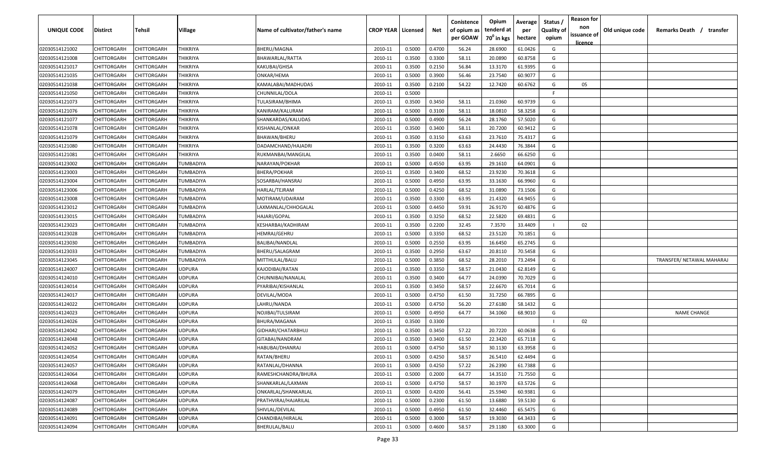| UNIQUE CODE    | Distirct           | Tehsil      | Village         | Name of cultivator/father's name | <b>CROP YEAR   Licensed</b> |        | Net    | Conistence<br>of opium as | Opium<br>tenderd at    | Average<br>per | Status /<br><b>Quality of</b> | <b>Reason for</b><br>non<br>issuance of | Old unique code | Remarks Death / transfer  |
|----------------|--------------------|-------------|-----------------|----------------------------------|-----------------------------|--------|--------|---------------------------|------------------------|----------------|-------------------------------|-----------------------------------------|-----------------|---------------------------|
|                |                    |             |                 |                                  |                             |        |        | per GOAW                  | 70 <sup>0</sup> in kgs | hectare        | opium                         | <u>licence</u>                          |                 |                           |
| 02030514121002 | CHITTORGARH        | CHITTORGARH | THIKRIYA        | BHERU/MAGNA                      | 2010-11                     | 0.5000 | 0.4700 | 56.24                     | 28.6900                | 61.0426        | G                             |                                         |                 |                           |
| 02030514121008 | CHITTORGARH        | CHITTORGARH | THIKRIYA        | BHAWARLAL/RATTA                  | 2010-11                     | 0.3500 | 0.3300 | 58.11                     | 20.0890                | 60.8758        | G                             |                                         |                 |                           |
| 02030514121017 | CHITTORGARH        | CHITTORGARH | THIKRIYA        | KAKUBAI/GHISA                    | 2010-11                     | 0.3500 | 0.2150 | 56.84                     | 13.3170                | 61.9395        | G                             |                                         |                 |                           |
| 02030514121035 | CHITTORGARH        | CHITTORGARH | THIKRIYA        | ONKAR/HEMA                       | 2010-11                     | 0.5000 | 0.3900 | 56.46                     | 23.7540                | 60.9077        | G                             |                                         |                 |                           |
| 02030514121038 | CHITTORGARH        | CHITTORGARH | THIKRIYA        | KAMALABAI/MADHUDAS               | 2010-11                     | 0.3500 | 0.2100 | 54.22                     | 12.7420                | 60.6762        | G                             | 05                                      |                 |                           |
| 02030514121050 | CHITTORGARH        | CHITTORGARH | THIKRIYA        | CHUNNILAL/DOLA                   | 2010-11                     | 0.5000 |        |                           |                        |                | E                             |                                         |                 |                           |
| 02030514121073 | CHITTORGARH        | CHITTORGARH | <b>THIKRIYA</b> | TULASIRAM/BHIMA                  | 2010-11                     | 0.3500 | 0.3450 | 58.11                     | 21.0360                | 60.9739        | G                             |                                         |                 |                           |
| 02030514121076 | CHITTORGARH        | CHITTORGARH | THIKRIYA        | KANIRAM/KALURAM                  | 2010-11                     | 0.5000 | 0.3100 | 58.11                     | 18.0810                | 58.3258        | G                             |                                         |                 |                           |
| 02030514121077 | CHITTORGARH        | CHITTORGARH | THIKRIYA        | SHANKARDAS/KALUDAS               | 2010-11                     | 0.5000 | 0.4900 | 56.24                     | 28.1760                | 57.5020        | G                             |                                         |                 |                           |
| 02030514121078 | CHITTORGARH        | CHITTORGARH | THIKRIYA        | KISHANLAL/ONKAR                  | 2010-11                     | 0.3500 | 0.3400 | 58.11                     | 20.7200                | 60.9412        | G                             |                                         |                 |                           |
| 02030514121079 | CHITTORGARH        | CHITTORGARH | THIKRIYA        | BHAWAN/BHERU                     | 2010-11                     | 0.3500 | 0.3150 | 63.63                     | 23.7610                | 75.4317        | G                             |                                         |                 |                           |
| 02030514121080 | CHITTORGARH        | CHITTORGARH | THIKRIYA        | DADAMCHAND/HAJADRI               | 2010-11                     | 0.3500 | 0.3200 | 63.63                     | 24.4430                | 76.3844        | G                             |                                         |                 |                           |
| 02030514121081 | CHITTORGARH        | CHITTORGARH | THIKRIYA        | RUKMANBAI/MANGILAL               | 2010-11                     | 0.3500 | 0.0400 | 58.11                     | 2.6650                 | 66.6250        | G                             |                                         |                 |                           |
| 02030514123002 | CHITTORGARH        | CHITTORGARH | TUMBADIYA       | NARAYAN/POKHAR                   | 2010-11                     | 0.5000 | 0.4550 | 63.95                     | 29.1610                | 64.0901        | G                             |                                         |                 |                           |
| 02030514123003 | CHITTORGARH        | CHITTORGARH | TUMBADIYA       | BHERA/POKHAR                     | 2010-11                     | 0.3500 | 0.3400 | 68.52                     | 23.9230                | 70.3618        | G                             |                                         |                 |                           |
| 02030514123004 | CHITTORGARH        | CHITTORGARH | TUMBADIYA       | SOSARBAI/HANSRAJ                 | 2010-11                     | 0.5000 | 0.4950 | 63.95                     | 33.1630                | 66.9960        | G                             |                                         |                 |                           |
| 02030514123006 | CHITTORGARH        | CHITTORGARH | TUMBADIYA       | HARLAL/TEJRAM                    | 2010-11                     | 0.5000 | 0.4250 | 68.52                     | 31.0890                | 73.1506        | G                             |                                         |                 |                           |
| 02030514123008 | CHITTORGARH        | CHITTORGARH | TUMBADIYA       | MOTIRAM/UDAIRAM                  | 2010-11                     | 0.3500 | 0.3300 | 63.95                     | 21.4320                | 64.9455        | G                             |                                         |                 |                           |
| 02030514123012 | CHITTORGARH        | CHITTORGARH | TUMBADIYA       | LAXMANLAL/CHHOGALAL              | 2010-11                     | 0.5000 | 0.4450 | 59.91                     | 26.9170                | 60.4876        | G                             |                                         |                 |                           |
| 02030514123015 | CHITTORGARH        | CHITTORGARH | TUMBADIYA       | HAJARI/GOPAL                     | 2010-11                     | 0.3500 | 0.3250 | 68.52                     | 22.5820                | 69.4831        | G                             |                                         |                 |                           |
| 02030514123023 | CHITTORGARH        | CHITTORGARH | TUMBADIYA       | KESHARBAI/KADHIRAM               | 2010-11                     | 0.3500 | 0.2200 | 32.45                     | 7.3570                 | 33.4409        |                               | 02                                      |                 |                           |
| 02030514123028 | CHITTORGARH        | CHITTORGARH | TUMBADIYA       | HEMRAJ/GEHRU                     | 2010-11                     | 0.5000 | 0.3350 | 68.52                     | 23.5120                | 70.1851        | G                             |                                         |                 |                           |
| 02030514123030 | CHITTORGARH        | CHITTORGARH | TUMBADIYA       | BALIBAI/NANDLAL                  | 2010-11                     | 0.5000 | 0.2550 | 63.95                     | 16.6450                | 65.2745        | G                             |                                         |                 |                           |
| 02030514123033 | CHITTORGARH        | CHITTORGARF | TUMBADIYA       | BHERU/SALAGRAM                   | 2010-11                     | 0.3500 | 0.2950 | 63.67                     | 20.8110                | 70.5458        | G                             |                                         |                 |                           |
| 02030514123045 | CHITTORGARH        | CHITTORGARH | TUMBADIYA       | MITTHULAL/BALU                   | 2010-11                     | 0.5000 | 0.3850 | 68.52                     | 28.2010                | 73.2494        | G                             |                                         |                 | TRANSFER/ NETAWAL MAHARAJ |
| 02030514124007 | CHITTORGARH        | CHITTORGARH | <b>JDPURA</b>   | KAJODIBAI/RATAN                  | 2010-11                     | 0.3500 | 0.3350 | 58.57                     | 21.0430                | 62.8149        | G                             |                                         |                 |                           |
| 02030514124010 | CHITTORGARH        | CHITTORGARH | JDPURA          | CHUNNIBAI/NANALAL                | 2010-11                     | 0.3500 | 0.3400 | 64.77                     | 24.0390                | 70.7029        | G                             |                                         |                 |                           |
| 02030514124014 | CHITTORGARH        | CHITTORGARH | JDPURA          | PYARIBAI/KISHANLAL               | 2010-11                     | 0.3500 | 0.3450 | 58.57                     | 22.6670                | 65.7014        | G                             |                                         |                 |                           |
| 02030514124017 | CHITTORGARH        | CHITTORGARH | JDPURA          | DEVILAL/MODA                     | 2010-11                     | 0.5000 | 0.4750 | 61.50                     | 31.7250                | 66.7895        | G                             |                                         |                 |                           |
| 02030514124022 | CHITTORGARH        | CHITTORGARH | <b>JDPURA</b>   | LAHRU/NANDA                      | 2010-11                     | 0.5000 | 0.4750 | 56.20                     | 27.6180                | 58.1432        | G                             |                                         |                 |                           |
| 02030514124023 | CHITTORGARH        | CHITTORGARH | <b>JDPURA</b>   | NOJIBAI/TULSIRAM                 | 2010-11                     | 0.5000 | 0.4950 | 64.77                     | 34.1060                | 68.9010        | G                             |                                         |                 | <b>NAME CHANGE</b>        |
| 02030514124026 | CHITTORGARH        | CHITTORGARH | <b>JDPURA</b>   | BHURA/MAGANA                     | 2010-11                     | 0.3500 | 0.3300 |                           |                        |                |                               | 02                                      |                 |                           |
| 02030514124042 | CHITTORGARH        | CHITTORGARH | <b>JDPURA</b>   | GIDHARI/CHATARBHUJ               | 2010-11                     | 0.3500 | 0.3450 | 57.22                     | 20.7220                | 60.0638        | G                             |                                         |                 |                           |
| 02030514124048 | CHITTORGARH        | CHITTORGARH | <b>JDPURA</b>   | GITABAI/NANDRAM                  | 2010-11                     | 0.3500 | 0.3400 | 61.50                     | 22.3420                | 65.7118        | G                             |                                         |                 |                           |
| 02030514124052 | CHITTORGARH        | CHITTORGARH | JDPURA          | HABUBAI/DHANRAJ                  | 2010-11                     | 0.5000 | 0.4750 | 58.57                     | 30.1130                | 63.3958        | G                             |                                         |                 |                           |
| 02030514124054 | <b>CHITTORGARH</b> | CHITTORGARH | JDPURA          | RATAN/BHERU                      | 2010-11                     | 0.5000 | 0.4250 | 58.57                     | 26.5410                | 62.4494        | G                             |                                         |                 |                           |
| 02030514124057 | CHITTORGARH        | CHITTORGARH | JDPURA          | RATANLAL/DHANNA                  | 2010-11                     | 0.5000 | 0.4250 | 57.22                     | 26.2390                | 61.7388        | G                             |                                         |                 |                           |
| 02030514124064 | <b>CHITTORGARH</b> | CHITTORGARH | JDPURA          | RAMESHCHANDRA/BHURA              | 2010-11                     | 0.5000 | 0.2000 | 64.77                     | 14.3510                | 71.7550        | G                             |                                         |                 |                           |
| 02030514124068 | <b>CHITTORGARH</b> | CHITTORGARH | JDPURA          | SHANKARLAL/LAXMAN                | 2010-11                     | 0.5000 | 0.4750 | 58.57                     | 30.1970                | 63.5726        | G                             |                                         |                 |                           |
| 02030514124079 | CHITTORGARH        | CHITTORGARH | JDPURA          | ONKARLAL/SHANKARLAL              | 2010-11                     | 0.5000 | 0.4200 | 56.41                     | 25.5940                | 60.9381        | G                             |                                         |                 |                           |
| 02030514124087 | CHITTORGARH        | CHITTORGARH | JDPURA          | PRATHVIRAJ/HAJARILAL             | 2010-11                     | 0.5000 | 0.2300 | 61.50                     | 13.6880                | 59.5130        | G                             |                                         |                 |                           |
| 02030514124089 | CHITTORGARH        | CHITTORGARH | JDPURA          | SHIVLAL/DEVILAL                  | 2010-11                     | 0.5000 | 0.4950 | 61.50                     | 32.4460                | 65.5475        | G                             |                                         |                 |                           |
| 02030514124091 | CHITTORGARH        | CHITTORGARH | JDPURA          | CHANDIBAI/HIRALAL                | 2010-11                     | 0.5000 | 0.3000 | 58.57                     | 19.3030                | 64.3433        | G                             |                                         |                 |                           |
| 02030514124094 | CHITTORGARH        | CHITTORGARH | JDPURA          | BHERULAL/BALU                    | 2010-11                     | 0.5000 | 0.4600 | 58.57                     | 29.1180                | 63.3000        | G                             |                                         |                 |                           |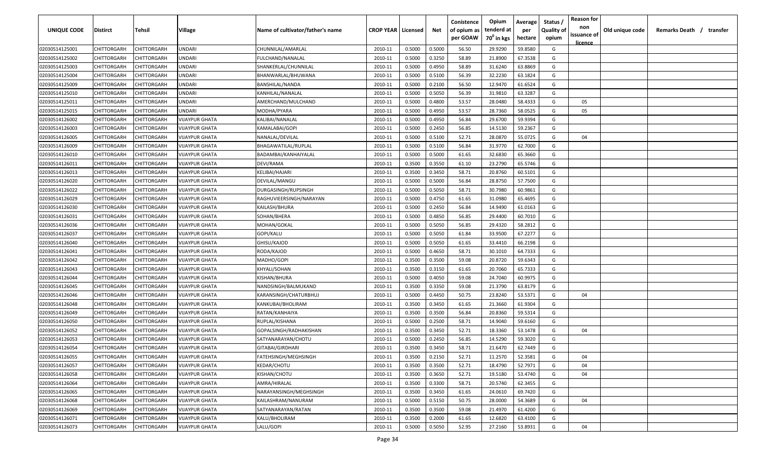| UNIQUE CODE    | Distirct           | Tehsil             | Village               | Name of cultivator/father's name | <b>CROP YEAR   Licensed</b> |        | Net    | Conistence<br>of opium as | Opium<br>tenderd at    | Average<br>per | Status /<br><b>Quality of</b> | <b>Reason for</b><br>non<br>issuance of | Old unique code | Remarks Death / transfer |
|----------------|--------------------|--------------------|-----------------------|----------------------------------|-----------------------------|--------|--------|---------------------------|------------------------|----------------|-------------------------------|-----------------------------------------|-----------------|--------------------------|
|                |                    |                    |                       |                                  |                             |        |        | per GOAW                  | 70 <sup>0</sup> in kgs | hectare        | opium                         | <u>licence</u>                          |                 |                          |
| 02030514125001 | CHITTORGARH        | CHITTORGARH        | <b>JNDARI</b>         | CHUNNILAL/AMARLAL                | 2010-11                     | 0.5000 | 0.5000 | 56.50                     | 29.9290                | 59.8580        | G                             |                                         |                 |                          |
| 02030514125002 | CHITTORGARH        | CHITTORGARH        | UNDARI                | FULCHAND/NANALAL                 | 2010-11                     | 0.5000 | 0.3250 | 58.89                     | 21.8900                | 67.3538        | G                             |                                         |                 |                          |
| 02030514125003 | CHITTORGARH        | CHITTORGARH        | UNDARI                | SHANKERLAL/CHUNNILAL             | 2010-11                     | 0.5000 | 0.4950 | 58.89                     | 31.6240                | 63.8869        | G                             |                                         |                 |                          |
| 02030514125004 | CHITTORGARH        | CHITTORGARH        | <b>JNDARI</b>         | BHANWARLAL/BHUWANA               | 2010-11                     | 0.5000 | 0.5100 | 56.39                     | 32.2230                | 63.1824        | G                             |                                         |                 |                          |
| 02030514125009 | CHITTORGARH        | CHITTORGARH        | <b>JNDARI</b>         | BANSHILAL/NANDA                  | 2010-11                     | 0.5000 | 0.2100 | 56.50                     | 12.9470                | 61.6524        | G                             |                                         |                 |                          |
| 02030514125010 | CHITTORGARH        | CHITTORGARH        | <b>JNDARI</b>         | KANHILAL/NANALAL                 | 2010-11                     | 0.5000 | 0.5050 | 56.39                     | 31.9810                | 63.3287        | G                             |                                         |                 |                          |
| 02030514125011 | CHITTORGARH        | CHITTORGARH        | <b>JNDARI</b>         | AMERCHAND/MULCHAND               | 2010-11                     | 0.5000 | 0.4800 | 53.57                     | 28.0480                | 58.4333        | G                             | 05                                      |                 |                          |
| 02030514125015 | CHITTORGARH        | CHITTORGARH        | <b>JNDARI</b>         | MODHA/PYARA                      | 2010-11                     | 0.5000 | 0.4950 | 53.57                     | 28.7360                | 58.0525        | G                             | 05                                      |                 |                          |
| 02030514126002 | CHITTORGARH        | CHITTORGARH        | <b>VIJAYPUR GHATA</b> | KALIBAI/NANALAL                  | 2010-11                     | 0.5000 | 0.4950 | 56.84                     | 29.6700                | 59.9394        | G                             |                                         |                 |                          |
| 02030514126003 | CHITTORGARH        | CHITTORGARH        | VIJAYPUR GHATA        | KAMALABAI/GOPI                   | 2010-11                     | 0.5000 | 0.2450 | 56.85                     | 14.5130                | 59.2367        | G                             |                                         |                 |                          |
| 02030514126005 | CHITTORGARH        | CHITTORGARH        | VIJAYPUR GHATA        | NANALAL/DEVILAL                  | 2010-11                     | 0.5000 | 0.5100 | 52.71                     | 28.0870                | 55.0725        | G                             | 04                                      |                 |                          |
| 02030514126009 | CHITTORGARH        | CHITTORGARH        | VIJAYPUR GHATA        | BHAGAWATILAL/RUPLAL              | 2010-11                     | 0.5000 | 0.5100 | 56.84                     | 31.9770                | 62.7000        | G                             |                                         |                 |                          |
| 02030514126010 | CHITTORGARH        | CHITTORGARH        | VIJAYPUR GHATA        | BADAMBAI/KANHAIYALAL             | 2010-11                     | 0.5000 | 0.5000 | 61.65                     | 32.6830                | 65.3660        | G                             |                                         |                 |                          |
| 02030514126011 | CHITTORGARH        | CHITTORGARH        | VIJAYPUR GHATA        | DEVI/RAMA                        | 2010-11                     | 0.3500 | 0.3550 | 61.10                     | 23.2790                | 65.5746        | G                             |                                         |                 |                          |
| 02030514126013 | CHITTORGARH        | CHITTORGARH        | VIJAYPUR GHATA        | KELIBAI/HAJARI                   | 2010-11                     | 0.3500 | 0.3450 | 58.71                     | 20.8760                | 60.5101        | G                             |                                         |                 |                          |
| 02030514126020 | CHITTORGARH        | CHITTORGARH        | <b>VIJAYPUR GHATA</b> | DEVILAL/MANGU                    | 2010-11                     | 0.5000 | 0.5000 | 56.84                     | 28.8750                | 57.7500        | G                             |                                         |                 |                          |
| 02030514126022 | CHITTORGARH        | CHITTORGARH        | <b>VIJAYPUR GHATA</b> | DURGASINGH/RUPSINGH              | 2010-11                     | 0.5000 | 0.5050 | 58.71                     | 30.7980                | 60.9861        | G                             |                                         |                 |                          |
| 02030514126029 | CHITTORGARH        | CHITTORGARH        | <b>VIJAYPUR GHATA</b> | RAGHUVIEERSINGH/NARAYAN          | 2010-11                     | 0.5000 | 0.4750 | 61.65                     | 31.0980                | 65.4695        | G                             |                                         |                 |                          |
| 02030514126030 | CHITTORGARH        | CHITTORGARH        | VIJAYPUR GHATA        | KAILASH/BHURA                    | 2010-11                     | 0.5000 | 0.2450 | 56.84                     | 14.9490                | 61.0163        | G                             |                                         |                 |                          |
| 02030514126031 | CHITTORGARH        | CHITTORGARH        | <b>VIJAYPUR GHATA</b> | SOHAN/BHERA                      | 2010-11                     | 0.5000 | 0.4850 | 56.85                     | 29.4400                | 60.7010        | G                             |                                         |                 |                          |
| 02030514126036 | CHITTORGARH        | CHITTORGARH        | <b>VIJAYPUR GHATA</b> | MOHAN/GOKAL                      | 2010-11                     | 0.5000 | 0.5050 | 56.85                     | 29.4320                | 58.2812        | G                             |                                         |                 |                          |
| 02030514126037 | CHITTORGARH        | CHITTORGARH        | <b>VIJAYPUR GHATA</b> | GOPI/KALU                        | 2010-11                     | 0.5000 | 0.5050 | 61.84                     | 33.9500                | 67.2277        | G                             |                                         |                 |                          |
| 02030514126040 | CHITTORGARH        | CHITTORGARH        | <b>VIJAYPUR GHATA</b> | GHISU/KAJOD                      | 2010-11                     | 0.5000 | 0.5050 | 61.65                     | 33.4410                | 66.2198        | G                             |                                         |                 |                          |
| 02030514126041 | CHITTORGARH        | CHITTORGARH        | <b>VIJAYPUR GHATA</b> | RODA/KAJOD                       | 2010-11                     | 0.5000 | 0.4650 | 58.71                     | 30.1010                | 64.7333        | G                             |                                         |                 |                          |
| 02030514126042 | CHITTORGARH        | CHITTORGARH        | <b>VIJAYPUR GHATA</b> | MADHO/GOPI                       | 2010-11                     | 0.3500 | 0.3500 | 59.08                     | 20.8720                | 59.6343        | G                             |                                         |                 |                          |
| 02030514126043 | CHITTORGARH        | CHITTORGARH        | VIJAYPUR GHATA        | KHYALI/SOHAN                     | 2010-11                     | 0.3500 | 0.3150 | 61.65                     | 20.7060                | 65.7333        | G                             |                                         |                 |                          |
| 02030514126044 | CHITTORGARH        | CHITTORGARH        | VIJAYPUR GHATA        | KISHAN/BHURA                     | 2010-11                     | 0.5000 | 0.4050 | 59.08                     | 24.7040                | 60.9975        | G                             |                                         |                 |                          |
| 02030514126045 | CHITTORGARH        | CHITTORGARH        | VIJAYPUR GHATA        | NANDSINGH/BALMUKAND              | 2010-11                     | 0.3500 | 0.3350 | 59.08                     | 21.3790                | 63.8179        | G                             |                                         |                 |                          |
| 02030514126046 | CHITTORGARH        | CHITTORGARH        | VIJAYPUR GHATA        | KARANSINGH/CHATURBHUJ            | 2010-11                     | 0.5000 | 0.4450 | 50.75                     | 23.8240                | 53.5371        | G                             | 04                                      |                 |                          |
| 02030514126048 | CHITTORGARH        | CHITTORGARH        | VIJAYPUR GHATA        | KANKUBAI/BHOLIRAM                | 2010-11                     | 0.3500 | 0.3450 | 61.65                     | 21.3660                | 61.9304        | G                             |                                         |                 |                          |
| 02030514126049 | CHITTORGARH        | CHITTORGARH        | VIJAYPUR GHATA        | RATAN/KANHAIYA                   | 2010-11                     | 0.3500 | 0.3500 | 56.84                     | 20.8360                | 59.5314        | G                             |                                         |                 |                          |
| 02030514126050 | CHITTORGARH        | CHITTORGARH        | VIJAYPUR GHATA        | RUPLAL/KISHANA                   | 2010-11                     | 0.5000 | 0.2500 | 58.71                     | 14.9040                | 59.6160        | G                             |                                         |                 |                          |
| 02030514126052 | CHITTORGARH        | CHITTORGARH        | VIJAYPUR GHATA        | GOPALSINGH/RADHAKISHAN           | 2010-11                     | 0.3500 | 0.3450 | 52.71                     | 18.3360                | 53.1478        | G                             | 04                                      |                 |                          |
| 02030514126053 | CHITTORGARH        | CHITTORGARH        | VIJAYPUR GHATA        | SATYANARAYAN/CHOTU               | 2010-11                     | 0.5000 | 0.2450 | 56.85                     | 14.5290                | 59.3020        | G                             |                                         |                 |                          |
| 02030514126054 | CHITTORGARH        | CHITTORGARH        | VIJAYPUR GHATA        | GITABAI/GIRDHARI                 | 2010-11                     | 0.3500 | 0.3450 | 58.71                     | 21.6470                | 62.7449        | G                             |                                         |                 |                          |
| 02030514126055 | <b>CHITTORGARH</b> | <b>CHITTORGARH</b> | <b>VIJAYPUR GHATA</b> | FATEHSINGH/MEGHSINGH             | 2010-11                     | 0.3500 | 0.2150 | 52.71                     | 11.2570                | 52.3581        | G                             | 04                                      |                 |                          |
| 02030514126057 | CHITTORGARH        | CHITTORGARH        | VIJAYPUR GHATA        | KEDAR/CHOTU                      | 2010-11                     | 0.3500 | 0.3500 | 52.71                     | 18.4790                | 52.7971        | G                             | 04                                      |                 |                          |
| 02030514126058 | <b>CHITTORGARH</b> | CHITTORGARH        | <b>VIJAYPUR GHATA</b> | KISHAN/CHOTU                     | 2010-11                     | 0.3500 | 0.3650 | 52.71                     | 19.5180                | 53.4740        | G                             | 04                                      |                 |                          |
| 02030514126064 | <b>CHITTORGARH</b> | CHITTORGARH        | <b>VIJAYPUR GHATA</b> | AMRA/HIRALAL                     | 2010-11                     | 0.3500 | 0.3300 | 58.71                     | 20.5740                | 62.3455        | G                             |                                         |                 |                          |
| 02030514126065 | CHITTORGARH        | CHITTORGARH        | VIJAYPUR GHATA        | NARAYANSINGH/MEGHSINGH           | 2010-11                     | 0.3500 | 0.3450 | 61.65                     | 24.0610                | 69.7420        | G                             |                                         |                 |                          |
| 02030514126068 | CHITTORGARH        | CHITTORGARH        | <b>VIJAYPUR GHATA</b> | KAILASHRAM/NANURAM               | 2010-11                     | 0.5000 | 0.5150 | 50.75                     | 28.0000                | 54.3689        | G                             | 04                                      |                 |                          |
| 02030514126069 | CHITTORGARH        | CHITTORGARH        | VIJAYPUR GHATA        | SATYANARAYAN/RATAN               | 2010-11                     | 0.3500 | 0.3500 | 59.08                     | 21.4970                | 61.4200        | G                             |                                         |                 |                          |
| 02030514126071 | CHITTORGARH        | CHITTORGARH        | VIJAYPUR GHATA        | KALU/BHOLIRAM                    | 2010-11                     | 0.3500 | 0.2000 | 61.65                     | 12.6820                | 63.4100        | G                             |                                         |                 |                          |
| 02030514126073 | CHITTORGARH        | CHITTORGARH        | VIJAYPUR GHATA        | LALU/GOPI                        | 2010-11                     | 0.5000 | 0.5050 | 52.95                     | 27.2160                | 53.8931        | G                             | 04                                      |                 |                          |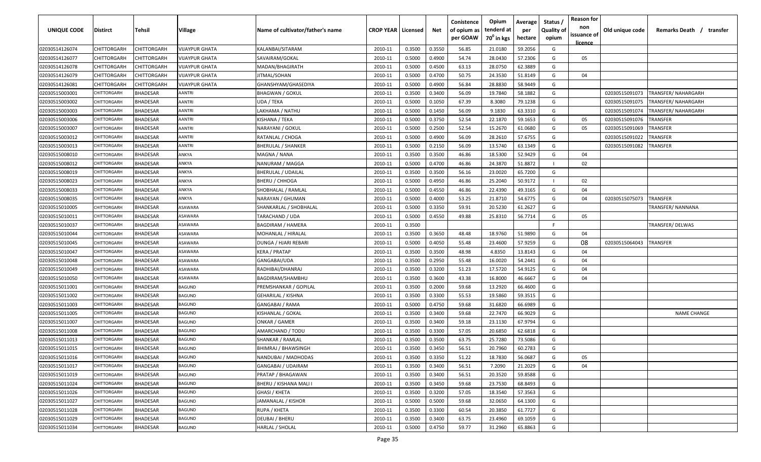| <b>UNIQUE CODE</b> | <b>Distirct</b>    | <b>Tehsil</b>   | Village               | Name of cultivator/father's name | <b>CROP YEAR   Licensed</b> |        | Net    | Conistence<br>of opium as<br>per GOAW | Opium<br>tenderd at<br>70 <sup>0</sup> in kgs | Average<br>per<br>hectare | Status /<br><b>Quality of</b><br>opium | <b>Reason for</b><br>non<br>issuance of | Old unique code | Remarks Death /<br>transfer |
|--------------------|--------------------|-----------------|-----------------------|----------------------------------|-----------------------------|--------|--------|---------------------------------------|-----------------------------------------------|---------------------------|----------------------------------------|-----------------------------------------|-----------------|-----------------------------|
| 02030514126074     | <b>CHITTORGARH</b> | CHITTORGARH     | <b>VIJAYPUR GHATA</b> | KALANBAI/SITARAM                 | 2010-11                     | 0.3500 | 0.3550 | 56.85                                 | 21.0180                                       | 59.2056                   | G                                      | licence                                 |                 |                             |
| 02030514126077     | CHITTORGARH        | CHITTORGARH     | VIJAYPUR GHATA        | SAVAIRAM/GOKAL                   | 2010-11                     | 0.5000 | 0.4900 | 54.74                                 | 28.0430                                       | 57.2306                   | G                                      | 05                                      |                 |                             |
| 02030514126078     | CHITTORGARH        | CHITTORGARH     | VIJAYPUR GHATA        | MADAN/BHAGIRATH                  | 2010-11                     | 0.5000 | 0.4500 | 63.13                                 | 28.0750                                       | 62.3889                   | G                                      |                                         |                 |                             |
| 02030514126079     | CHITTORGARH        | CHITTORGARH     | VIJAYPUR GHATA        | JITMAL/SOHAN                     | 2010-11                     | 0.5000 | 0.4700 | 50.75                                 | 24.3530                                       | 51.8149                   | G                                      | 04                                      |                 |                             |
| 02030514126081     | CHITTORGARH        | CHITTORGARH     | <b>VIJAYPUR GHATA</b> | GHANSHYAM/GHASEDIYA              | 2010-11                     | 0.5000 | 0.4900 | 56.84                                 | 28.8830                                       | 58.9449                   | G                                      |                                         |                 |                             |
| 02030515003001     | <b>CHITTORGARH</b> | <b>BHADESAR</b> | AANTRI                | <b>BHAGWAN / GOKUL</b>           | 2010-11                     | 0.3500 | 0.3400 | 56.09                                 | 19.7840                                       | 58.1882                   | G                                      |                                         | 02030515091073  | <b>TRANSFER/ NAHARGARH</b>  |
| 02030515003002     | CHITTORGARH        | BHADESAR        | AANTRI                | UDA / TEKA                       | 2010-11                     | 0.5000 | 0.1050 | 67.39                                 | 8.3080                                        | 79.1238                   | G                                      |                                         | 02030515091075  | TRANSFER/NAHARGARH          |
| 02030515003003     | <b>CHITTORGARI</b> | BHADESAR        | AANTRI                | LAKHAMA / NATHU                  | 2010-11                     | 0.5000 | 0.1450 | 56.09                                 | 9.1830                                        | 63.3310                   | G                                      |                                         | 02030515091074  | TRANSFER/NAHARGARH          |
| 02030515003006     | CHITTORGARH        | <b>BHADESAR</b> | AANTRI                | KISHANA / TEKA                   | 2010-11                     | 0.5000 | 0.3750 | 52.54                                 | 22.1870                                       | 59.1653                   | G                                      | 05                                      | 02030515091076  | TRANSFER                    |
| 02030515003007     | CHITTORGARH        | <b>BHADESAR</b> | AANTRI                | NARAYANI / GOKUL                 | 2010-11                     | 0.5000 | 0.2500 | 52.54                                 | 15.2670                                       | 61.0680                   | G                                      | 05                                      | 02030515091069  | TRANSFER                    |
| 02030515003012     | CHITTORGARH        | BHADESAR        | AANTRI                | RATANLAL / CHOGA                 | 2010-11                     | 0.5000 | 0.4900 | 56.09                                 | 28.2610                                       | 57.6755                   | G                                      |                                         | 02030515091022  | TRANSFER                    |
| 02030515003013     | CHITTORGARH        | BHADESAR        | AANTRI                | BHERULAL / SHANKER               | 2010-11                     | 0.5000 | 0.2150 | 56.09                                 | 13.5740                                       | 63.1349                   | G                                      |                                         | 02030515091082  | <b>RANSFER</b>              |
| 02030515008010     | CHITTORGARH        | BHADESAR        | ANKYA                 | MAGNA / NANA                     | 2010-11                     | 0.3500 | 0.3500 | 46.86                                 | 18.5300                                       | 52.9429                   | G                                      | 04                                      |                 |                             |
| 02030515008012     | CHITTORGARH        | <b>BHADESAR</b> | ANKYA                 | NANURAM / MAGGA                  | 2010-11                     | 0.5000 | 0.4700 | 46.86                                 | 24.3870                                       | 51.8872                   |                                        | 02                                      |                 |                             |
| 02030515008019     | CHITTORGARH        | <b>BHADESAR</b> | ANKYA                 | <b>BHERULAL / UDAILAL</b>        | 2010-11                     | 0.3500 | 0.3500 | 56.16                                 | 23.0020                                       | 65.7200                   | G                                      |                                         |                 |                             |
| 02030515008023     | CHITTORGARI        | BHADESAR        | ANKYA                 | BHERU / CHHOGA                   | 2010-11                     | 0.5000 | 0.4950 | 46.86                                 | 25.2040                                       | 50.9172                   |                                        | 02                                      |                 |                             |
| 02030515008033     | <b>CHITTORGARH</b> | <b>BHADESAR</b> | ANKYA                 | SHOBHALAL / RAMLAL               | 2010-11                     | 0.5000 | 0.4550 | 46.86                                 | 22.4390                                       | 49.3165                   | G                                      | 04                                      |                 |                             |
| 02030515008035     | CHITTORGARH        | <b>BHADESAR</b> | ANKYA                 | NARAYAN / GHUMAN                 | 2010-11                     | 0.5000 | 0.4000 | 53.25                                 | 21.8710                                       | 54.6775                   | G                                      | 04                                      | 02030515075073  | TRANSFER                    |
| 02030515010005     | CHITTORGARH        | <b>BHADESAR</b> | ASAWARA               | SHANKARLAL / SHOBHALAL           | 2010-11                     | 0.5000 | 0.3350 | 59.91                                 | 20.5230                                       | 61.2627                   | G                                      |                                         |                 | TRANSFER/ NANNANA           |
| 02030515010011     | CHITTORGARH        | <b>BHADESAR</b> | ASAWARA               | TARACHAND / UDA                  | 2010-11                     | 0.5000 | 0.4550 | 49.88                                 | 25.8310                                       | 56.7714                   | G                                      | 05                                      |                 |                             |
| 02030515010037     | CHITTORGARH        | <b>BHADESAR</b> | ASAWARA               | <b>BAGDIRAM / HAMERA</b>         | 2010-11                     | 0.3500 |        |                                       |                                               |                           | -F.                                    |                                         |                 | TRANSFER/DELWAS             |
| 02030515010044     | CHITTORGARH        | <b>BHADESAR</b> | ASAWARA               | MOHANLAL / HIRALAL               | 2010-11                     | 0.3500 | 0.3650 | 48.48                                 | 18.9760                                       | 51.9890                   | G                                      | 04                                      |                 |                             |
| 02030515010045     | CHITTORGARH        | <b>BHADESAR</b> | ASAWARA               | DUNGA / HJARI REBARI             | 2010-11                     | 0.5000 | 0.4050 | 55.48                                 | 23.4600                                       | 57.9259                   | G                                      | 08                                      | 02030515064043  | TRANSFER                    |
| 02030515010047     | CHITTORGARH        | <b>BHADESAR</b> | ASAWARA               | <b>KERA / PRATAP</b>             | 2010-11                     | 0.3500 | 0.3500 | 48.98                                 | 4.8350                                        | 13.8143                   | G                                      | 04                                      |                 |                             |
| 02030515010048     | CHITTORGARH        | <b>BHADESAR</b> | ASAWARA               | GANGABAI/UDA                     | 2010-11                     | 0.3500 | 0.2950 | 55.48                                 | 16.0020                                       | 54.2441                   | G                                      | 04                                      |                 |                             |
| 02030515010049     | CHITTORGARH        | BHADESAR        | ASAWARA               | RADHIBAI/DHANRAJ                 | 2010-11                     | 0.3500 | 0.3200 | 51.23                                 | 17.5720                                       | 54.9125                   | G                                      | 04                                      |                 |                             |
| 02030515010050     | <b>CHITTORGARH</b> | <b>BHADESAR</b> | ASAWARA               | BAGDIRAM/SHAMBHU                 | 2010-11                     | 0.3500 | 0.3600 | 43.38                                 | 16.8000                                       | 46.6667                   | G                                      | 04                                      |                 |                             |
| 02030515011001     | <b>CHITTORGARH</b> | BHADESAR        | BAGUND                | PREMSHANKAR / GOPILAL            | 2010-11                     | 0.3500 | 0.2000 | 59.68                                 | 13.2920                                       | 66.4600                   | G                                      |                                         |                 |                             |
| 02030515011002     | CHITTORGARI        | BHADESAR        | BAGUND                | GEHARILAL / KISHNA               | 2010-11                     | 0.3500 | 0.3300 | 55.53                                 | 19.5860                                       | 59.3515                   | G                                      |                                         |                 |                             |
| 02030515011003     | CHITTORGARH        | BHADESAR        | <b>BAGUND</b>         | GANGABAI / RAMA                  | 2010-11                     | 0.5000 | 0.4750 | 59.68                                 | 31.6820                                       | 66.6989                   | G                                      |                                         |                 |                             |
| 02030515011005     | CHITTORGARF        | BHADESAR        | <b>BAGUND</b>         | KISHANLAL / GOKAL                | 2010-11                     | 0.3500 | 0.3400 | 59.68                                 | 22.7470                                       | 66.9029                   | G                                      |                                         |                 | <b>NAME CHANGE</b>          |
| 02030515011007     | CHITTORGARH        | BHADESAR        | <b>BAGUND</b>         | ONKAR / GAMER                    | 2010-11                     | 0.3500 | 0.3400 | 59.18                                 | 23.1130                                       | 67.9794                   | G                                      |                                         |                 |                             |
| 02030515011008     | CHITTORGARH        | BHADESAR        | BAGUND                | AMARCHAND / TODU                 | 2010-11                     | 0.3500 | 0.3300 | 57.05                                 | 20.6850                                       | 62.6818                   | G                                      |                                         |                 |                             |
| 02030515011013     | CHITTORGARI        | <b>BHADESAR</b> | <b>BAGUND</b>         | SHANKAR / RAMLAL                 | 2010-11                     | 0.3500 | 0.3500 | 63.75                                 | 25.7280                                       | 73.5086                   | G                                      |                                         |                 |                             |
| 02030515011015     | CHITTORGARH        | <b>BHADESAR</b> | BAGUND                | <b>BHIMRAJ / BHAWSINGH</b>       | 2010-11                     | 0.3500 | 0.3450 | 56.51                                 | 20.7960                                       | 60.2783                   | G                                      |                                         |                 |                             |
| 02030515011016     | CHITTORGARH        | <b>BHADESAR</b> | <b>BAGUND</b>         | NANDUBAI / MADHODAS              | 2010-11                     | 0.3500 | 0.3350 | 51.22                                 | 18.7830                                       | 56.0687                   | G                                      | 05                                      |                 |                             |
| 02030515011017     | CHITTORGARH        | <b>BHADESAR</b> | BAGUND                | GANGABAI / UDAIRAM               | 2010-11                     | 0.3500 | 0.3400 | 56.51                                 | 7.2090                                        | 21.2029                   | G                                      | 04                                      |                 |                             |
| 02030515011019     | CHITTORGARH        | <b>BHADESAR</b> | BAGUND                | PRATAP / BHAGAWAN                | 2010-11                     | 0.3500 | 0.3400 | 56.51                                 | 20.3520                                       | 59.8588                   | G                                      |                                         |                 |                             |
| 02030515011024     | CHITTORGARH        | <b>BHADESAR</b> | BAGUND                | BHERU / KISHANA MALI I           | 2010-11                     | 0.3500 | 0.3450 | 59.68                                 | 23.7530                                       | 68.8493                   | G                                      |                                         |                 |                             |
| 02030515011026     | CHITTORGARH        | <b>BHADESAR</b> | <b>BAGUND</b>         | GHASI / KHETA                    | 2010-11                     | 0.3500 | 0.3200 | 57.05                                 | 18.3540                                       | 57.3563                   | G                                      |                                         |                 |                             |
| 02030515011027     | CHITTORGARH        | <b>BHADESAR</b> | BAGUND                | JAMANALAL / KISHOR               | 2010-11                     | 0.5000 | 0.5000 | 59.68                                 | 32.0650                                       | 64.1300                   | G                                      |                                         |                 |                             |
| 02030515011028     | CHITTORGARH        | <b>BHADESAR</b> | <b>BAGUND</b>         | RUPA / KHETA                     | 2010-11                     | 0.3500 | 0.3300 | 60.54                                 | 20.3850                                       | 61.7727                   | G                                      |                                         |                 |                             |
| 02030515011029     | <b>CHITTORGARH</b> | <b>BHADESAR</b> | BAGUND                | DEUBAI / BHERU                   | 2010-11                     | 0.3500 | 0.3400 | 63.75                                 | 23.4960                                       | 69.1059                   | G                                      |                                         |                 |                             |
| 02030515011034     | CHITTORGARH        | <b>BHADESAR</b> | BAGUND                | HARLAL / SHOLAL                  | 2010-11                     | 0.5000 | 0.4750 | 59.77                                 | 31.2960                                       | 65.8863                   | G                                      |                                         |                 |                             |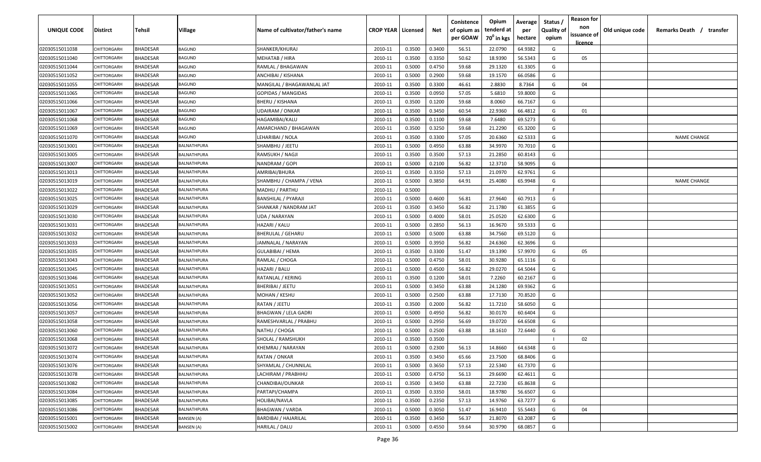| <b>UNIQUE CODE</b> | Distirct           | Tehsil          | Village            | Name of cultivator/father's name | <b>CROP YEAR Licensed</b> |        | Net    | Conistence<br>of opium as<br>per GOAW | Opium<br>tenderd at<br>70 <sup>0</sup> in kgs | Average<br>per<br>hectare | Status /<br><b>Quality of</b><br>opium | <b>Reason for</b><br>non<br>issuance of<br><u>licence</u> | Old unique code | Remarks Death / transfer |
|--------------------|--------------------|-----------------|--------------------|----------------------------------|---------------------------|--------|--------|---------------------------------------|-----------------------------------------------|---------------------------|----------------------------------------|-----------------------------------------------------------|-----------------|--------------------------|
| 02030515011038     | CHITTORGARH        | <b>BHADESAR</b> | BAGUND             | SHANKER/KHURAJ                   | 2010-11                   | 0.3500 | 0.3400 | 56.51                                 | 22.0790                                       | 64.9382                   | G                                      |                                                           |                 |                          |
| 02030515011040     | CHITTORGARH        | BHADESAR        | BAGUND             | <b>MEHATAB / HIRA</b>            | 2010-11                   | 0.3500 | 0.3350 | 50.62                                 | 18.9390                                       | 56.5343                   | G                                      | 05                                                        |                 |                          |
| 02030515011044     | CHITTORGARH        | BHADESAR        | BAGUND             | RAMLAL / BHAGAWAN                | 2010-11                   | 0.5000 | 0.4750 | 59.68                                 | 29.1320                                       | 61.3305                   | G                                      |                                                           |                 |                          |
| 02030515011052     | CHITTORGARH        | BHADESAR        | BAGUND             | ANCHIBAI / KISHANA               | 2010-11                   | 0.5000 | 0.2900 | 59.68                                 | 19.1570                                       | 66.0586                   | G                                      |                                                           |                 |                          |
| 02030515011055     | <b>CHITTORGARH</b> | BHADESAR        | BAGUND             | MANGILAL / BHAGAWANLAL JAT       | 2010-11                   | 0.3500 | 0.3300 | 46.61                                 | 2.8830                                        | 8.7364                    | G                                      | 04                                                        |                 |                          |
| 02030515011065     | <b>CHITTORGARH</b> | <b>BHADESAR</b> | BAGUND             | <b>GOPIDAS / MANGIDAS</b>        | 2010-11                   | 0.3500 | 0.0950 | 57.05                                 | 5.6810                                        | 59.8000                   | G                                      |                                                           |                 |                          |
| 02030515011066     | <b>CHITTORGARH</b> | BHADESAR        | BAGUND             | BHERU / KISHANA                  | 2010-11                   | 0.3500 | 0.1200 | 59.68                                 | 8.0060                                        | 66.7167                   | G                                      |                                                           |                 |                          |
| 02030515011067     | <b>CHITTORGARH</b> | BHADESAR        | BAGUND             | UDAIRAM / ONKAR                  | 2010-11                   | 0.3500 | 0.3450 | 60.54                                 | 22.9360                                       | 66.4812                   | G                                      | 01                                                        |                 |                          |
| 02030515011068     | CHITTORGARH        | BHADESAR        | <b>BAGUND</b>      | HAGAMIBAI/KALU                   | 2010-11                   | 0.3500 | 0.1100 | 59.68                                 | 7.6480                                        | 69.5273                   | G                                      |                                                           |                 |                          |
| 02030515011069     | CHITTORGARH        | BHADESAR        | BAGUND             | AMARCHAND / BHAGAWAN             | 2010-11                   | 0.3500 | 0.3250 | 59.68                                 | 21.2290                                       | 65.3200                   | G                                      |                                                           |                 |                          |
| 02030515011070     | CHITTORGARF        | BHADESAR        | BAGUND             | LEHARIBAI / NOLA                 | 2010-11                   | 0.3500 | 0.3300 | 57.05                                 | 20.6360                                       | 62.5333                   | G                                      |                                                           |                 | <b>NAME CHANGE</b>       |
| 02030515013001     | CHITTORGARH        | BHADESAR        | <b>BALNATHPURA</b> | SHAMBHU / JEETU                  | 2010-11                   | 0.5000 | 0.4950 | 63.88                                 | 34.9970                                       | 70.7010                   | G                                      |                                                           |                 |                          |
| 02030515013005     | CHITTORGARH        | <b>BHADESAR</b> | BALNATHPURA        | RAMSUKH / NAGJI                  | 2010-11                   | 0.3500 | 0.3500 | 57.13                                 | 21.2850                                       | 60.8143                   | G                                      |                                                           |                 |                          |
| 02030515013007     | CHITTORGARH        | <b>BHADESAR</b> | <b>BALNATHPURA</b> | NANDRAM / GOPI                   | 2010-11                   | 0.5000 | 0.2100 | 56.82                                 | 12.3710                                       | 58.9095                   | G                                      |                                                           |                 |                          |
| 02030515013013     | CHITTORGARH        | <b>BHADESAR</b> | <b>BALNATHPURA</b> | AMRIBAI/BHURA                    | 2010-11                   | 0.3500 | 0.3350 | 57.13                                 | 21.0970                                       | 62.9761                   | G                                      |                                                           |                 |                          |
| 02030515013019     | CHITTORGARH        | <b>BHADESAR</b> | BALNATHPURA        | SHAMBHU / CHAMPA / VENA          | 2010-11                   | 0.5000 | 0.3850 | 64.91                                 | 25.4080                                       | 65.9948                   | G                                      |                                                           |                 | <b>NAME CHANGE</b>       |
| 02030515013022     | CHITTORGARH        | <b>BHADESAR</b> | BALNATHPURA        | MADHU / PARTHU                   | 2010-11                   | 0.5000 |        |                                       |                                               |                           | F.                                     |                                                           |                 |                          |
| 02030515013025     | CHITTORGARH        | <b>BHADESAR</b> | BALNATHPURA        | <b>BANSHILAL / PYARAJI</b>       | 2010-11                   | 0.5000 | 0.4600 | 56.81                                 | 27.9640                                       | 60.7913                   | G                                      |                                                           |                 |                          |
| 02030515013029     | CHITTORGARH        | BHADESAR        | BALNATHPURA        | SHANKAR / NANDRAM JAT            | 2010-11                   | 0.3500 | 0.3450 | 56.82                                 | 21.1780                                       | 61.3855                   | G                                      |                                                           |                 |                          |
| 02030515013030     | CHITTORGARH        | <b>BHADESAR</b> | BALNATHPURA        | UDA / NARAYAN                    | 2010-11                   | 0.5000 | 0.4000 | 58.01                                 | 25.0520                                       | 62.6300                   | G                                      |                                                           |                 |                          |
| 02030515013031     | CHITTORGARH        | <b>BHADESAR</b> | BALNATHPURA        | HAZARI / KALU                    | 2010-11                   | 0.5000 | 0.2850 | 56.13                                 | 16.9670                                       | 59.5333                   | G                                      |                                                           |                 |                          |
| 02030515013032     | <b>CHITTORGARH</b> | <b>BHADESAR</b> | BALNATHPURA        | <b>BHERULAL / GEHARU</b>         | 2010-11                   | 0.5000 | 0.5000 | 63.88                                 | 34.7560                                       | 69.5120                   | G                                      |                                                           |                 |                          |
| 02030515013033     | <b>CHITTORGARI</b> | <b>BHADESAR</b> | <b>BALNATHPURA</b> | JAMNALAL / NARAYAN               | 2010-11                   | 0.5000 | 0.3950 | 56.82                                 | 24.6360                                       | 62.3696                   | G                                      |                                                           |                 |                          |
| 02030515013035     | <b>CHITTORGARI</b> | <b>BHADESAR</b> | <b>BALNATHPURA</b> | GULABIBAI / HEMA                 | 2010-11                   | 0.3500 | 0.3300 | 51.47                                 | 19.1390                                       | 57.9970                   | G                                      | 05                                                        |                 |                          |
| 02030515013043     | CHITTORGARH        | BHADESAR        | BALNATHPURA        | RAMLAL / CHOGA                   | 2010-11                   | 0.5000 | 0.4750 | 58.01                                 | 30.9280                                       | 65.1116                   | G                                      |                                                           |                 |                          |
| 02030515013045     | CHITTORGARH        | BHADESAR        | BALNATHPURA        | HAZARI / BALU                    | 2010-11                   | 0.5000 | 0.4500 | 56.82                                 | 29.0270                                       | 64.5044                   | G                                      |                                                           |                 |                          |
| 02030515013046     | CHITTORGARF        | BHADESAR        | <b>BALNATHPURA</b> | RATANLAL / KERING                | 2010-11                   | 0.3500 | 0.1200 | 58.01                                 | 7.2260                                        | 60.2167                   | G                                      |                                                           |                 |                          |
| 02030515013051     | CHITTORGARF        | BHADESAR        | <b>BALNATHPURA</b> | BHERIBAI / JEETU                 | 2010-11                   | 0.5000 | 0.3450 | 63.88                                 | 24.1280                                       | 69.9362                   | G                                      |                                                           |                 |                          |
| 02030515013052     | CHITTORGARH        | BHADESAR        | <b>BALNATHPURA</b> | MOHAN / KESHU                    | 2010-11                   | 0.5000 | 0.2500 | 63.88                                 | 17.7130                                       | 70.8520                   | G                                      |                                                           |                 |                          |
| 02030515013056     | CHITTORGARH        | <b>BHADESAR</b> | BALNATHPURA        | RATAN / JEETU                    | 2010-11                   | 0.3500 | 0.2000 | 56.82                                 | 11.7210                                       | 58.6050                   | G                                      |                                                           |                 |                          |
| 02030515013057     | CHITTORGARH        | <b>BHADESAR</b> | <b>BALNATHPURA</b> | <b>BHAGWAN / LELA GADRI</b>      | 2010-11                   | 0.5000 | 0.4950 | 56.82                                 | 30.0170                                       | 60.6404                   | G                                      |                                                           |                 |                          |
| 02030515013058     | CHITTORGARI        | <b>BHADESAR</b> | <b>BALNATHPURA</b> | RAMESHVARLAL / PRABHU            | 2010-11                   | 0.5000 | 0.2950 | 56.69                                 | 19.0720                                       | 64.6508                   | G                                      |                                                           |                 |                          |
| 02030515013060     | CHITTORGARI        | <b>BHADESAR</b> | BALNATHPURA        | NATHU / CHOGA                    | 2010-11                   | 0.5000 | 0.2500 | 63.88                                 | 18.1610                                       | 72.6440                   | G                                      |                                                           |                 |                          |
| 02030515013068     | CHITTORGARH        | BHADESAR        | BALNATHPURA        | SHOLAL / RAMSHUKH                | 2010-11                   | 0.3500 | 0.3500 |                                       |                                               |                           |                                        | 02                                                        |                 |                          |
| 02030515013072     | CHITTORGARH        | BHADESAR        | BALNATHPURA        | KHEMRAJ / NARAYAN                | 2010-11                   | 0.5000 | 0.2300 | 56.13                                 | 14.8660                                       | 64.6348                   | G                                      |                                                           |                 |                          |
| 02030515013074     | CHITTORGARH        | <b>BHADESAR</b> | <b>BALNATHPURA</b> | RATAN / ONKAR                    | 2010-11                   | 0.3500 | 0.3450 | 65.66                                 | 23.7500                                       | 68.8406                   | G                                      |                                                           |                 |                          |
| 02030515013076     | CHITTORGARH        | <b>BHADESAR</b> | BALNATHPURA        | SHYAMLAL / CHUNNILAL             | 2010-11                   | 0.5000 | 0.3650 | 57.13                                 | 22.5340                                       | 61.7370                   | G                                      |                                                           |                 |                          |
| 02030515013078     | CHITTORGARH        | <b>BHADESAR</b> | BALNATHPURA        | LACHIRAM / PRABHHU               | 2010-11                   | 0.5000 | 0.4750 | 56.13                                 | 29.6690                                       | 62.4611                   | G                                      |                                                           |                 |                          |
| 02030515013082     | CHITTORGARH        | <b>BHADESAR</b> | BALNATHPURA        | CHANDIBAI/OUNKAR                 | 2010-11                   | 0.3500 | 0.3450 | 63.88                                 | 22.7230                                       | 65.8638                   | G                                      |                                                           |                 |                          |
| 02030515013084     | CHITTORGARH        | <b>BHADESAR</b> | BALNATHPURA        | PARTAPI/CHAMPA                   | 2010-11                   | 0.3500 | 0.3350 | 58.01                                 | 18.9780                                       | 56.6507                   | G                                      |                                                           |                 |                          |
| 02030515013085     | <b>CHITTORGARH</b> | <b>BHADESAR</b> | BALNATHPURA        | HOLIBAI/NAVLA                    | 2010-11                   | 0.3500 | 0.2350 | 57.13                                 | 14.9760                                       | 63.7277                   | G                                      |                                                           |                 |                          |
| 02030515013086     | CHITTORGARH        | <b>BHADESAR</b> | BALNATHPURA        | <b>BHAGWAN / VARDA</b>           | 2010-11                   | 0.5000 | 0.3050 | 51.47                                 | 16.9410                                       | 55.5443                   | G                                      | 04                                                        |                 |                          |
| 02030515015001     | CHITTORGARH        | <b>BHADESAR</b> | BANSEN (A)         | <b>BARDIBAI / HAJARILAL</b>      | 2010-11                   | 0.3500 | 0.3450 | 56.37                                 | 21.8070                                       | 63.2087                   | G                                      |                                                           |                 |                          |
| 02030515015002     | CHITTORGARH        | <b>BHADESAR</b> | BANSEN (A)         | HARILAL / DALU                   | 2010-11                   | 0.5000 | 0.4550 | 59.64                                 | 30.9790                                       | 68.0857                   | G                                      |                                                           |                 |                          |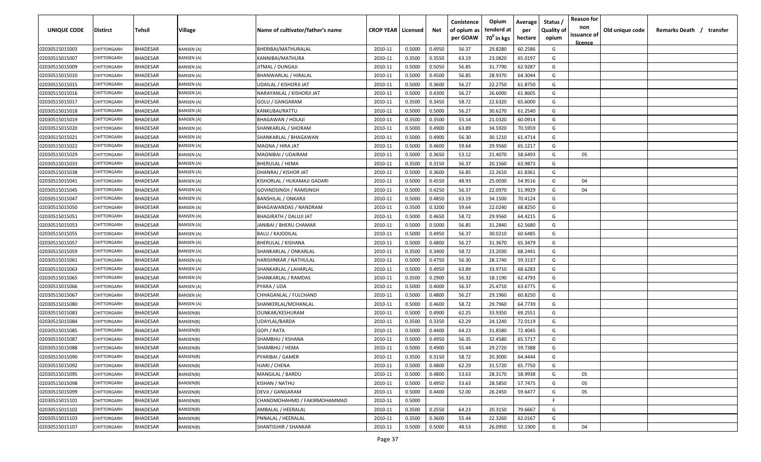| <b>UNIQUE CODE</b> | Distirct           | Tehsil          | Village           | Name of cultivator/father's name | <b>CROP YEAR Licensed</b> |        | Net    | Conistence<br>of opium as | Opium<br>tenderd at    | Average<br>per | Status /<br><b>Quality of</b> | <b>Reason for</b><br>non<br>issuance of | Old unique code | Remarks Death / transfer |
|--------------------|--------------------|-----------------|-------------------|----------------------------------|---------------------------|--------|--------|---------------------------|------------------------|----------------|-------------------------------|-----------------------------------------|-----------------|--------------------------|
|                    |                    |                 |                   |                                  |                           |        |        | per GOAW                  | 70 <sup>0</sup> in kgs | hectare        | opium                         | <u>licence</u>                          |                 |                          |
| 02030515015003     | CHITTORGARH        | <b>BHADESAR</b> | <b>BANSEN (A)</b> | BHERIBAI/MATHURALAL              | 2010-11                   | 0.5000 | 0.4950 | 56.37                     | 29.8280                | 60.2586        | G                             |                                         |                 |                          |
| 02030515015007     | CHITTORGARH        | BHADESAR        | BANSEN (A)        | KANNIBAI/MATHURA                 | 2010-11                   | 0.3500 | 0.3550 | 63.19                     | 23.0820                | 65.0197        | G                             |                                         |                 |                          |
| 02030515015009     | CHITTORGARH        | BHADESAR        | BANSEN (A)        | JITMAL / DUNGAJI                 | 2010-11                   | 0.5000 | 0.5050 | 56.85                     | 31.7790                | 62.9287        | G                             |                                         |                 |                          |
| 02030515015010     | CHITTORGARH        | BHADESAR        | BANSEN (A)        | BHANWARLAL / HIRALAL             | 2010-11                   | 0.5000 | 0.4500 | 56.85                     | 28.9370                | 64.3044        | G                             |                                         |                 |                          |
| 02030515015015     | <b>CHITTORGARH</b> | BHADESAR        | BANSEN (A)        | UDAILAL / KISHORJI JAT           | 2010-11                   | 0.5000 | 0.3600 | 56.27                     | 22.2750                | 61.8750        | G                             |                                         |                 |                          |
| 02030515015016     | CHITTORGARH        | <b>BHADESAR</b> | BANSEN (A)        | NARAYANLAL / KISHORJI JAT        | 2010-11                   | 0.5000 | 0.4300 | 56.27                     | 26.6000                | 61.8605        | G                             |                                         |                 |                          |
| 02030515015017     | <b>CHITTORGARH</b> | BHADESAR        | <b>BANSEN</b> (A) | GOLU / GANGARAM                  | 2010-11                   | 0.3500 | 0.3450 | 58.72                     | 22.6320                | 65.6000        | G                             |                                         |                 |                          |
| 02030515015018     | CHITTORGARH        | BHADESAR        | <b>BANSEN</b> (A) | KANKUBAI/RATTU                   | 2010-11                   | 0.5000 | 0.5000 | 56.27                     | 30.6270                | 61.2540        | G                             |                                         |                 |                          |
| 02030515015019     | CHITTORGARH        | BHADESAR        | BANSEN (A)        | BHAGAWAN / HOLAJI                | 2010-11                   | 0.3500 | 0.3500 | 55.14                     | 21.0320                | 60.0914        | G                             |                                         |                 |                          |
| 02030515015020     | CHITTORGARH        | BHADESAR        | BANSEN (A)        | SHANKARLAL / SHORAM              | 2010-11                   | 0.5000 | 0.4900 | 63.89                     | 34.5920                | 70.5959        | G                             |                                         |                 |                          |
| 02030515015021     | CHITTORGARF        | BHADESAR        | 3ANSEN (A)        | SHANKARLAL / BHAGAWAN            | 2010-11                   | 0.5000 | 0.4900 | 56.30                     | 30.1210                | 61.4714        | G                             |                                         |                 |                          |
| 02030515015022     | CHITTORGARH        | <b>BHADESAR</b> | BANSEN (A)        | MAGNA / HIRA JAT                 | 2010-11                   | 0.5000 | 0.4600 | 59.64                     | 29.9560                | 65.1217        | G                             |                                         |                 |                          |
| 02030515015029     | CHITTORGARH        | <b>BHADESAR</b> | BANSEN (A)        | MAGNIBAI / UDAIRAM               | 2010-11                   | 0.5000 | 0.3650 | 53.12                     | 21.4070                | 58.6493        | G                             | 05                                      |                 |                          |
| 02030515015033     | CHITTORGARI        | <b>BHADESAR</b> | <b>BANSEN</b> (A) | BHERULAL / HEMA                  | 2010-11                   | 0.3500 | 0.3150 | 56.37                     | 20.1560                | 63.9873        | G                             |                                         |                 |                          |
| 02030515015038     | CHITTORGARH        | <b>BHADESAR</b> | BANSEN (A)        | DHANRAJ / KISHOR JAT             | 2010-11                   | 0.5000 | 0.3600 | 56.85                     | 22.2610                | 61.8361        | G                             |                                         |                 |                          |
| 02030515015041     | CHITTORGARH        | <b>BHADESAR</b> | BANSEN (A)        | KISHORLAL / HUKAMAJI GADARI      | 2010-11                   | 0.5000 | 0.4550 | 48.93                     | 25.0030                | 54.9516        | G                             | 04                                      |                 |                          |
| 02030515015045     | CHITTORGARH        | <b>BHADESAR</b> | BANSEN (A)        | GOVINDSINGH / RAMSINGH           | 2010-11                   | 0.5000 | 0.4250 | 56.37                     | 22.0970                | 51.9929        | G                             | 04                                      |                 |                          |
| 02030515015047     | CHITTORGARH        | <b>BHADESAR</b> | <b>BANSEN (A)</b> | <b>BANSHILAL / ONKARJI</b>       | 2010-11                   | 0.5000 | 0.4850 | 63.19                     | 34.1500                | 70.4124        | G                             |                                         |                 |                          |
| 02030515015050     | CHITTORGARH        | <b>BHADESAR</b> | BANSEN (A)        | <b>BHAGAWANDAS / NANDRAM</b>     | 2010-11                   | 0.3500 | 0.3200 | 59.64                     | 22.0240                | 68.8250        | G                             |                                         |                 |                          |
| 02030515015051     | CHITTORGARH        | <b>BHADESAR</b> | BANSEN (A)        | <b>BHAGIRATH / DALUJI JAT</b>    | 2010-11                   | 0.5000 | 0.4650 | 58.72                     | 29.9560                | 64.4215        | G                             |                                         |                 |                          |
| 02030515015053     | CHITTORGARH        | <b>BHADESAR</b> | BANSEN (A)        | JANIBAI / BHERU CHAMAR           | 2010-11                   | 0.5000 | 0.5000 | 56.85                     | 31.2840                | 62.5680        | G                             |                                         |                 |                          |
| 02030515015055     | <b>CHITTORGARI</b> | <b>BHADESAR</b> | BANSEN (A)        | <b>BALU / KAJODILAL</b>          | 2010-11                   | 0.5000 | 0.4950 | 56.37                     | 30.0210                | 60.6485        | G                             |                                         |                 |                          |
| 02030515015057     | <b>CHITTORGARI</b> | <b>BHADESAR</b> | <b>BANSEN</b> (A) | BHERULAL / KISHANA               | 2010-11                   | 0.5000 | 0.4800 | 56.27                     | 31.3670                | 65.3479        | G                             |                                         |                 |                          |
| 02030515015059     | <b>CHITTORGARI</b> | BHADESAR        | <b>BANSEN</b> (A) | SHANKARLAL / ONKARLAL            | 2010-11                   | 0.3500 | 0.3400 | 58.72                     | 23.2030                | 68.2441        | G                             |                                         |                 |                          |
| 02030515015061     | CHITTORGARH        | BHADESAR        | <b>BANSEN</b> (A) | HARISHNKAR / NATHULAL            | 2010-11                   | 0.5000 | 0.4750 | 56.30                     | 28.1740                | 59.3137        | G                             |                                         |                 |                          |
| 02030515015063     | CHITTORGARH        | BHADESAR        | 3ANSEN (A)        | SHANKARLAL / LAHARLAL            | 2010-11                   | 0.5000 | 0.4950 | 63.89                     | 33.9710                | 68.6283        | G                             |                                         |                 |                          |
| 02030515015065     | CHITTORGARF        | BHADESAR        | 3ANSEN (A)        | SHANKARLAL / RAMDAS              | 2010-11                   | 0.3500 | 0.2900 | 56.32                     | 18.1190                | 62.4793        | G                             |                                         |                 |                          |
| 02030515015066     | CHITTORGARF        | BHADESAR        | 3ANSEN (A)        | PYARA / UDA                      | 2010-11                   | 0.5000 | 0.4000 | 56.37                     | 25.4710                | 63.6775        | G                             |                                         |                 |                          |
| 02030515015067     | <b>CHITTORGARF</b> | BHADESAR        | 3ANSEN (A)        | CHHAGANLAL / FULCHAND            | 2010-11                   | 0.5000 | 0.4800 | 56.27                     | 29.1960                | 60.8250        | G                             |                                         |                 |                          |
| 02030515015080     | CHITTORGARH        | <b>BHADESAR</b> | 3ANSEN (A)        | SHANKERLAL/MOHANLAL              | 2010-11                   | 0.5000 | 0.4600 | 58.72                     | 29.7960                | 64.7739        | G                             |                                         |                 |                          |
| 02030515015083     | CHITTORGARI        | BHADESAR        | BANSEN(B)         | OUNKAR/KESHURAM                  | 2010-11                   | 0.5000 | 0.4900 | 62.25                     | 33.9350                | 69.2551        | G                             |                                         |                 |                          |
| 02030515015084     | CHITTORGARI        | <b>BHADESAR</b> | <b>BANSEN(B)</b>  | UDAYLAL/BARDA                    | 2010-11                   | 0.3500 | 0.3350 | 62.29                     | 24.1240                | 72.0119        | G                             |                                         |                 |                          |
| 02030515015085     | CHITTORGARI        | <b>BHADESAR</b> | BANSEN(B)         | GOPI / RATA                      | 2010-11                   | 0.5000 | 0.4400 | 64.23                     | 31.8580                | 72.4045        | G                             |                                         |                 |                          |
| 02030515015087     | CHITTORGARH        | BHADESAR        | BANSEN(B)         | SHAMBHU / KSHANA                 | 2010-11                   | 0.5000 | 0.4950 | 56.35                     | 32.4580                | 65.5717        | G                             |                                         |                 |                          |
| 02030515015088     | CHITTORGARH        | BHADESAR        | BANSEN(B)         | SHAMBHU / HEMA                   | 2010-11                   | 0.5000 | 0.4900 | 55.44                     | 29.2720                | 59.7388        | G                             |                                         |                 |                          |
| 02030515015090     | <b>CHITTORGARH</b> | <b>BHADESAR</b> | BANSEN(B)         | PYARIBAI / GAMER                 | 2010-11                   | 0.3500 | 0.3150 | 58.72                     | 20.3000                | 64.4444        | G                             |                                         |                 |                          |
| 02030515015092     | CHITTORGARH        | <b>BHADESAR</b> | BANSEN(B)         | HJARI / CHENA                    | 2010-11                   | 0.5000 | 0.4800 | 62.29                     | 31.5720                | 65.7750        | G                             |                                         |                 |                          |
| 02030515015095     | CHITTORGARH        | <b>BHADESAR</b> | BANSEN(B)         | MANGILAL / BARDU                 | 2010-11                   | 0.5000 | 0.4800 | 53.63                     | 28.3170                | 58.9938        | G                             | 05                                      |                 |                          |
| 02030515015098     | CHITTORGARH        | <b>BHADESAR</b> | BANSEN(B)         | KISHAN / NATHU                   | 2010-11                   | 0.5000 | 0.4950 | 53.63                     | 28.5850                | 57.7475        | G                             | 05                                      |                 |                          |
| 02030515015099     | CHITTORGARH        | <b>BHADESAR</b> | BANSEN(B)         | DEVJI / GANGARAM                 | 2010-11                   | 0.5000 | 0.4400 | 52.00                     | 26.2450                | 59.6477        | G                             | 05                                      |                 |                          |
| 02030515015101     | <b>CHITTORGARH</b> | <b>BHADESAR</b> | BANSEN(B)         | CHANDMOHAHMD / FAKIRMOHAMMAD     | 2010-11                   | 0.5000 |        |                           |                        |                | F.                            |                                         |                 |                          |
| 02030515015102     | CHITTORGARH        | <b>BHADESAR</b> | BANSEN(B)         | AMBALAL / HEERALAL               | 2010-11                   | 0.3500 | 0.2550 | 64.23                     | 20.3150                | 79.6667        | G                             |                                         |                 |                          |
| 02030515015103     | CHITTORGARH        | <b>BHADESAR</b> | BANSEN(B)         | PNNALAL / HEERALAL               | 2010-11                   | 0.3500 | 0.3600 | 55.44                     | 22.3260                | 62.0167        | G                             |                                         |                 |                          |
|                    |                    |                 |                   |                                  |                           |        |        |                           |                        |                | G                             |                                         |                 |                          |
| 02030515015107     | CHITTORGARH        | <b>BHADESAR</b> | BANSEN(B)         | SHANTIGHIR / SHANKAR             | 2010-11                   | 0.5000 | 0.5000 | 48.53                     | 26.0950                | 52.1900        |                               | 04                                      |                 |                          |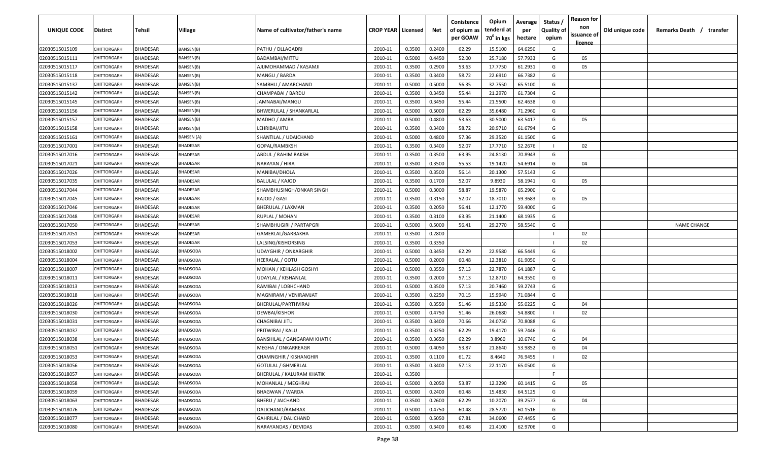| UNIQUE CODE    | <b>Distirct</b>    | Tehsil          | Village          | Name of cultivator/father's name   | <b>CROP YEAR   Licensed</b> |        | Net    | Conistence<br>of opium as<br>per GOAW | Opium<br>tenderd at<br>70 <sup>0</sup> in kgs | Average<br>per<br>hectare | Status /<br><b>Quality of</b><br>opium | <b>Reason for</b><br>non<br>issuance of<br><u>licence</u> | Old unique code | Remarks Death /<br>transfer |
|----------------|--------------------|-----------------|------------------|------------------------------------|-----------------------------|--------|--------|---------------------------------------|-----------------------------------------------|---------------------------|----------------------------------------|-----------------------------------------------------------|-----------------|-----------------------------|
| 02030515015109 | CHITTORGARH        | <b>BHADESAR</b> | BANSEN(B)        | PATHU / DLLAGADRI                  | 2010-11                     | 0.3500 | 0.2400 | 62.29                                 | 15.5100                                       | 64.6250                   | G                                      |                                                           |                 |                             |
| 02030515015111 | CHITTORGARH        | <b>BHADESAR</b> | 3ANSEN(B)        | BADAMBAI/MITTU                     | 2010-11                     | 0.5000 | 0.4450 | 52.00                                 | 25.7180                                       | 57.7933                   | G                                      | 05                                                        |                 |                             |
| 02030515015117 | CHITTORGARH        | <b>BHADESAR</b> | <b>BANSEN(B)</b> | AJIJMOHAMMAD / KASAMJI             | 2010-11                     | 0.3500 | 0.2900 | 53.63                                 | 17.7750                                       | 61.2931                   | G                                      | 05                                                        |                 |                             |
| 02030515015118 | CHITTORGARH        | <b>BHADESAR</b> | <b>BANSEN(B)</b> | MANGU / BARDA                      | 2010-11                     | 0.3500 | 0.3400 | 58.72                                 | 22.6910                                       | 66.7382                   | G                                      |                                                           |                 |                             |
| 02030515015137 | CHITTORGARH        | <b>BHADESAR</b> | BANSEN(B)        | SAMBHU / AMARCHAND                 | 2010-11                     | 0.5000 | 0.5000 | 56.35                                 | 32.7550                                       | 65.5100                   | G                                      |                                                           |                 |                             |
| 02030515015142 | <b>CHITTORGARI</b> | <b>BHADESAR</b> | BANSEN(B)        | CHAMPABAI / BARDU                  | 2010-11                     | 0.3500 | 0.3450 | 55.44                                 | 21.2970                                       | 61.7304                   | G                                      |                                                           |                 |                             |
| 02030515015145 | <b>CHITTORGARI</b> | <b>BHADESAR</b> | <b>BANSEN(B)</b> | JAMNABAI/MANGU                     | 2010-11                     | 0.3500 | 0.3450 | 55.44                                 | 21.5500                                       | 62.4638                   | G                                      |                                                           |                 |                             |
| 02030515015156 | CHITTORGARH        | BHADESAR        | <b>BANSEN(B)</b> | <b>BHWERULAL / SHANKARLAL</b>      | 2010-11                     | 0.5000 | 0.5000 | 62.29                                 | 35.6480                                       | 71.2960                   | G                                      |                                                           |                 |                             |
| 02030515015157 | CHITTORGARH        | <b>BHADESAR</b> | <b>BANSEN(B)</b> | MADHO / AMRA                       | 2010-11                     | 0.5000 | 0.4800 | 53.63                                 | 30.5000                                       | 63.5417                   | G                                      | 05                                                        |                 |                             |
| 02030515015158 | CHITTORGARH        | BHADESAR        | 3ANSEN(B)        | LEHRIBAI/JITU                      | 2010-11                     | 0.3500 | 0.3400 | 58.72                                 | 20.9710                                       | 61.6794                   | G                                      |                                                           |                 |                             |
| 02030515015161 | CHITTORGARH        | BHADESAR        | BANSEN (A)       | SHANTILAL / UDAICHAND              | 2010-11                     | 0.5000 | 0.4800 | 57.36                                 | 29.3520                                       | 61.1500                   | G                                      |                                                           |                 |                             |
| 02030515017001 | CHITTORGARH        | <b>BHADESAR</b> | <b>BHADESAR</b>  | GOPAL/RAMBKSH                      | 2010-11                     | 0.3500 | 0.3400 | 52.07                                 | 17.7710                                       | 52.2676                   | - 11                                   | 02                                                        |                 |                             |
| 02030515017016 | CHITTORGARH        | <b>BHADESAR</b> | <b>BHADESAR</b>  | ABDUL / RAHIM BAKSH                | 2010-11                     | 0.3500 | 0.3500 | 63.95                                 | 24.8130                                       | 70.8943                   | G                                      |                                                           |                 |                             |
| 02030515017021 | CHITTORGARH        | <b>BHADESAR</b> | <b>BHADESAR</b>  | NARAYAN / HIRA                     | 2010-11                     | 0.3500 | 0.3500 | 55.53                                 | 19.1420                                       | 54.6914                   | G                                      | 04                                                        |                 |                             |
| 02030515017026 | CHITTORGARH        | <b>BHADESAR</b> | <b>BHADESAR</b>  | MANIBAI/DHOLA                      | 2010-11                     | 0.3500 | 0.3500 | 56.14                                 | 20.1300                                       | 57.5143                   | G                                      |                                                           |                 |                             |
| 02030515017035 | CHITTORGARH        | <b>BHADESAR</b> | <b>BHADESAR</b>  | <b>BALULAL / KAJOD</b>             | 2010-11                     | 0.3500 | 0.1700 | 52.07                                 | 9.8930                                        | 58.1941                   | G                                      | 05                                                        |                 |                             |
| 02030515017044 | CHITTORGARH        | <b>BHADESAR</b> | <b>BHADESAR</b>  | SHAMBHUSINGH/ONKAR SINGH           | 2010-11                     | 0.5000 | 0.3000 | 58.87                                 | 19.5870                                       | 65.2900                   | G                                      |                                                           |                 |                             |
| 02030515017045 | CHITTORGARH        | <b>BHADESAR</b> | <b>BHADESAR</b>  | KAJOD / GASI                       | 2010-11                     | 0.3500 | 0.3150 | 52.07                                 | 18.7010                                       | 59.3683                   | G                                      | 05                                                        |                 |                             |
| 02030515017046 | CHITTORGARH        | BHADESAR        | <b>BHADESAR</b>  | <b>BHERULAL / LAXMAN</b>           | 2010-11                     | 0.3500 | 0.2050 | 56.41                                 | 12.1770                                       | 59.4000                   | G                                      |                                                           |                 |                             |
| 02030515017048 | <b>CHITTORGARI</b> | <b>BHADESAR</b> | <b>BHADESAR</b>  | RUPLAL / MOHAN                     | 2010-11                     | 0.3500 | 0.3100 | 63.95                                 | 21.1400                                       | 68.1935                   | G                                      |                                                           |                 |                             |
| 02030515017050 | CHITTORGARH        | <b>BHADESAR</b> | <b>BHADESAR</b>  | SHAMBHUGIRI / PARTAPGRI            | 2010-11                     | 0.5000 | 0.5000 | 56.41                                 | 29.2770                                       | 58.5540                   | G                                      |                                                           |                 | <b>NAME CHANGE</b>          |
| 02030515017051 | <b>CHITTORGARI</b> | <b>BHADESAR</b> | <b>BHADESAR</b>  | GAMERLAL/GARBAKHA                  | 2010-11                     | 0.3500 | 0.2800 |                                       |                                               |                           |                                        | 02                                                        |                 |                             |
| 02030515017053 | CHITTORGARI        | BHADESAR        | <b>BHADESAR</b>  | LALSING/KISHORSING                 | 2010-11                     | 0.3500 | 0.3350 |                                       |                                               |                           |                                        | 02                                                        |                 |                             |
| 02030515018002 | <b>CHITTORGARI</b> | BHADESAR        | <b>BHADSODA</b>  | UDAYGHIR / ONKARGHIR               | 2010-11                     | 0.5000 | 0.3450 | 62.29                                 | 22.9580                                       | 66.5449                   | G                                      |                                                           |                 |                             |
| 02030515018004 | CHITTORGARH        | <b>BHADESAR</b> | <b>BHADSODA</b>  | HEERALAL / GOTU                    | 2010-11                     | 0.5000 | 0.2000 | 60.48                                 | 12.3810                                       | 61.9050                   | G                                      |                                                           |                 |                             |
| 02030515018007 | CHITTORGARH        | <b>BHADESAR</b> | <b>BHADSODA</b>  | MOHAN / KEHLASH GOSHYI             | 2010-11                     | 0.5000 | 0.3550 | 57.13                                 | 22.7870                                       | 64.1887                   | G                                      |                                                           |                 |                             |
| 02030515018011 | CHITTORGARH        | BHADESAR        | 3HADSODA         | UDAYLAL / KISHANLAL                | 2010-11                     | 0.3500 | 0.2000 | 57.13                                 | 12.8710                                       | 64.3550                   | G                                      |                                                           |                 |                             |
| 02030515018013 | CHITTORGARH        | BHADESAR        | <b>HADSODA</b>   | RAMIBAI / LOBHCHAND                | 2010-11                     | 0.5000 | 0.3500 | 57.13                                 | 20.7460                                       | 59.2743                   | G                                      |                                                           |                 |                             |
| 02030515018018 | <b>HITTORGARH</b>  | <b>BHADESAR</b> | 3HADSODA         | MAGNIRAM / VENIRAMJAT              | 2010-11                     | 0.3500 | 0.2250 | 70.15                                 | 15.9940                                       | 71.0844                   | G                                      |                                                           |                 |                             |
| 02030515018026 | CHITTORGARH        | <b>BHADESAR</b> | <b>BHADSODA</b>  | BHERULAL/PARTHVIRAJ                | 2010-11                     | 0.3500 | 0.3550 | 51.46                                 | 19.5330                                       | 55.0225                   | G                                      | 04                                                        |                 |                             |
| 02030515018030 | CHITTORGARH        | <b>BHADESAR</b> | 3HADSODA         | DEWBAI/KISHOR                      | 2010-11                     | 0.5000 | 0.4750 | 51.46                                 | 26.0680                                       | 54.8800                   |                                        | 02                                                        |                 |                             |
| 02030515018031 | CHITTORGARH        | <b>BHADESAR</b> | <b>BHADSODA</b>  | CHAGNIBAI JITU                     | 2010-11                     | 0.3500 | 0.3400 | 70.66                                 | 24.0750                                       | 70.8088                   | G                                      |                                                           |                 |                             |
| 02030515018037 | CHITTORGARH        | <b>BHADESAR</b> | <b>BHADSODA</b>  | PRITWIRAJ / KALU                   | 2010-11                     | 0.3500 | 0.3250 | 62.29                                 | 19.4170                                       | 59.7446                   | G                                      |                                                           |                 |                             |
| 02030515018038 | CHITTORGARH        | <b>BHADESAR</b> | <b>BHADSODA</b>  | <b>BANSHILAL / GANGARAM KHATIK</b> | 2010-11                     | 0.3500 | 0.3650 | 62.29                                 | 3.8960                                        | 10.6740                   | G                                      | 04                                                        |                 |                             |
| 02030515018051 | CHITTORGARH        | <b>BHADESAR</b> | BHADSODA         | MEGHA / ONKARREAGR                 | 2010-11                     | 0.5000 | 0.4050 | 53.87                                 | 21.8640                                       | 53.9852                   | G                                      | 04                                                        |                 |                             |
| 02030515018053 | CHITTORGARH        | <b>BHADESAR</b> | <b>BHADSODA</b>  | <b>CHAMNGHIR / KISHANGHIR</b>      | 2010-11                     | 0.3500 | 0.1100 | 61.72                                 | 8.4640                                        | 76.9455                   | $\mathbf{I}$                           | 02                                                        |                 |                             |
| 02030515018056 | CHITTORGARH        | <b>BHADESAR</b> | <b>BHADSODA</b>  | <b>GOTULAL / GHMERLAL</b>          | 2010-11                     | 0.3500 | 0.3400 | 57.13                                 | 22.1170                                       | 65.0500                   | G                                      |                                                           |                 |                             |
| 02030515018057 | CHITTORGARH        | <b>BHADESAR</b> | BHADSODA         | <b>BHERULAL / KALURAM KHATIK</b>   | 2010-11                     | 0.3500 |        |                                       |                                               |                           | F.                                     |                                                           |                 |                             |
| 02030515018058 | CHITTORGARH        | <b>BHADESAR</b> | BHADSODA         | MOHANLAL / MEGHRAJ                 | 2010-11                     | 0.5000 | 0.2050 | 53.87                                 | 12.3290                                       | 60.1415                   | G                                      | 05                                                        |                 |                             |
| 02030515018059 | CHITTORGARH        | <b>BHADESAR</b> | <b>BHADSODA</b>  | <b>BHAGWAN / WARDA</b>             | 2010-11                     | 0.5000 | 0.2400 | 60.48                                 | 15.4830                                       | 64.5125                   | G                                      |                                                           |                 |                             |
| 02030515018063 | CHITTORGARH        | <b>BHADESAR</b> | BHADSODA         | <b>BHERU / JAICHAND</b>            | 2010-11                     | 0.3500 | 0.2600 | 62.29                                 | 10.2070                                       | 39.2577                   | G                                      | 04                                                        |                 |                             |
| 02030515018076 | CHITTORGARH        | <b>BHADESAR</b> | BHADSODA         | DALICHAND/RAMBAX                   | 2010-11                     | 0.5000 | 0.4750 | 60.48                                 | 28.5720                                       | 60.1516                   | G                                      |                                                           |                 |                             |
| 02030515018077 | CHITTORGARH        | <b>BHADESAR</b> | BHADSODA         | GAHRILAL / DALICHAND               | 2010-11                     | 0.5000 | 0.5050 | 67.81                                 | 34.0600                                       | 67.4455                   | G                                      |                                                           |                 |                             |
| 02030515018080 | CHITTORGARH        | <b>BHADESAR</b> | BHADSODA         | NARAYANDAS / DEVIDAS               | 2010-11                     | 0.3500 | 0.3400 | 60.48                                 | 21.4100                                       | 62.9706                   | G                                      |                                                           |                 |                             |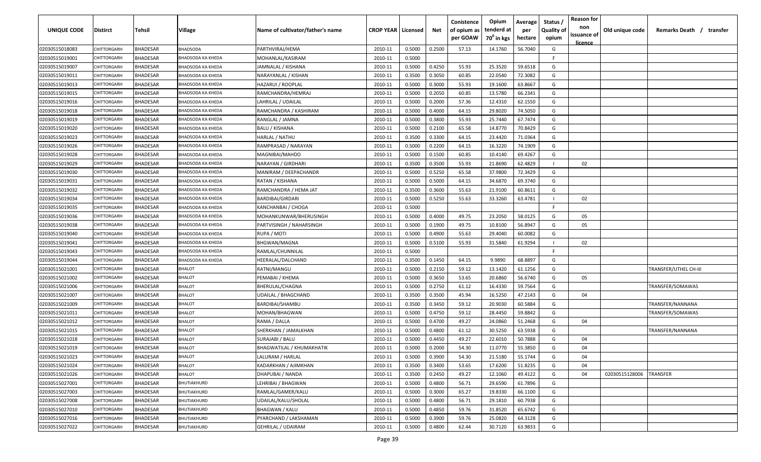| UNIQUE CODE    | <b>Distirct</b>    | Tehsil          | Village                  | Name of cultivator/father's name | <b>CROP YEAR   Licensed</b> |        | Net    | Conistence<br>of opium as | Opium<br>tenderd at    | Average<br>per | Status<br><b>Quality of</b> | <b>Reason for</b><br>non<br>issuance of | Old unique code | Remarks Death / transfer |
|----------------|--------------------|-----------------|--------------------------|----------------------------------|-----------------------------|--------|--------|---------------------------|------------------------|----------------|-----------------------------|-----------------------------------------|-----------------|--------------------------|
|                |                    |                 |                          |                                  |                             |        |        | per GOAW                  | 70 <sup>°</sup> in kgs | hectare        | opium                       | <u>licence</u>                          |                 |                          |
| 02030515018083 | CHITTORGARH        | <b>BHADESAR</b> | <b>BHADSODA</b>          | PARTHVIRAJ/HEMA                  | 2010-11                     | 0.5000 | 0.2500 | 57.13                     | 14.1760                | 56.7040        | G                           |                                         |                 |                          |
| 02030515019001 | CHITTORGARH        | <b>BHADESAR</b> | BHADSODA KA KHEDA        | MOHANLAL/KASIRAM                 | 2010-11                     | 0.5000 |        |                           |                        |                | F.                          |                                         |                 |                          |
| 02030515019007 | CHITTORGARH        | <b>BHADESAR</b> | <b>BHADSODA KA KHEDA</b> | JAMNALAL / KISHANA               | 2010-11                     | 0.5000 | 0.4250 | 55.93                     | 25.3520                | 59.6518        | G                           |                                         |                 |                          |
| 02030515019011 | CHITTORGARH        | <b>BHADESAR</b> | BHADSODA KA KHEDA        | NARAYANLAL / KISHAN              | 2010-11                     | 0.3500 | 0.3050 | 60.85                     | 22.0540                | 72.3082        | G                           |                                         |                 |                          |
| 02030515019013 | CHITTORGARH        | <b>BHADESAR</b> | <b>BHADSODA KA KHEDA</b> | HAZARUI / ROOPLAL                | 2010-11                     | 0.5000 | 0.3000 | 55.93                     | 19.1600                | 63.8667        | G                           |                                         |                 |                          |
| 02030515019015 | <b>CHITTORGARI</b> | <b>BHADESAR</b> | <b>BHADSODA KA KHEDA</b> | RAMCHANDRA/HEMRAJ                | 2010-11                     | 0.5000 | 0.2050 | 60.85                     | 13.5780                | 66.2341        | G                           |                                         |                 |                          |
| 02030515019016 | <b>CHITTORGARI</b> | <b>BHADESAR</b> | <b>BHADSODA KA KHEDA</b> | LAHRILAL / UDAILAL               | 2010-11                     | 0.5000 | 0.2000 | 57.36                     | 12.4310                | 62.1550        | G                           |                                         |                 |                          |
| 02030515019018 | <b>CHITTORGARH</b> | <b>BHADESAR</b> | BHADSODA KA KHEDA        | RAMCHANDRA / KASHIRAM            | 2010-11                     | 0.5000 | 0.4000 | 64.15                     | 29.8020                | 74.5050        | G                           |                                         |                 |                          |
| 02030515019019 | CHITTORGARH        | <b>BHADESAR</b> | BHADSODA KA KHEDA        | RANGLAL / JAMNA                  | 2010-11                     | 0.5000 | 0.3800 | 55.93                     | 25.7440                | 67.7474        | G                           |                                         |                 |                          |
| 02030515019020 | CHITTORGARH        | BHADESAR        | BHADSODA KA KHEDA        | <b>BALU / KISHANA</b>            | 2010-11                     | 0.5000 | 0.2100 | 65.58                     | 14.8770                | 70.8429        | G                           |                                         |                 |                          |
| 02030515019023 | CHITTORGARF        | <b>BHADESAR</b> | BHADSODA KA KHEDA        | HARLAL / NATHU                   | 2010-11                     | 0.3500 | 0.3300 | 64.15                     | 23.4420                | 71.0364        | G                           |                                         |                 |                          |
| 02030515019026 | CHITTORGARH        | <b>BHADESAR</b> | BHADSODA KA KHEDA        | RAMPRASAD / NARAYAN              | 2010-11                     | 0.5000 | 0.2200 | 64.15                     | 16.3220                | 74.1909        | G                           |                                         |                 |                          |
| 02030515019028 | CHITTORGARH        | <b>BHADESAR</b> | BHADSODA KA KHEDA        | MAGNIBAI/MAHDO                   | 2010-11                     | 0.5000 | 0.1500 | 60.85                     | 10.4140                | 69.4267        | G                           |                                         |                 |                          |
| 02030515019029 | CHITTORGARH        | <b>BHADESAR</b> | BHADSODA KA KHEDA        | NARAYAN / GIRDHARI               | 2010-11                     | 0.3500 | 0.3500 | 55.93                     | 21.8690                | 62.4829        | $\mathbf{I}$                | 02                                      |                 |                          |
| 02030515019030 | CHITTORGARH        | <b>BHADESAR</b> | BHADSODA KA KHEDA        | MANIRAM / DEEPACHANDR            | 2010-11                     | 0.5000 | 0.5250 | 65.58                     | 37.9800                | 72.3429        | G                           |                                         |                 |                          |
| 02030515019031 | <b>CHITTORGARH</b> | <b>BHADESAR</b> | <b>BHADSODA KA KHEDA</b> | RATAN / KISHANA                  | 2010-11                     | 0.5000 | 0.5000 | 64.15                     | 34.6870                | 69.3740        | G                           |                                         |                 |                          |
| 02030515019032 | CHITTORGARH        | <b>BHADESAR</b> | BHADSODA KA KHEDA        | RAMCHANDRA / HEMA JAT            | 2010-11                     | 0.3500 | 0.3600 | 55.63                     | 21.9100                | 60.8611        | G                           |                                         |                 |                          |
| 02030515019034 | CHITTORGARH        | <b>BHADESAR</b> | <b>BHADSODA KA KHEDA</b> | <b>BARDIBAI/GIRDARI</b>          | 2010-11                     | 0.5000 | 0.5250 | 55.63                     | 33.3260                | 63.4781        | $\mathbf{I}$                | 02                                      |                 |                          |
| 02030515019035 | <b>CHITTORGARH</b> | <b>BHADESAR</b> | BHADSODA KA KHEDA        | KANCHANBAI / CHOGA               | 2010-11                     | 0.5000 |        |                           |                        |                | F.                          |                                         |                 |                          |
| 02030515019036 | <b>CHITTORGARI</b> | <b>BHADESAR</b> | <b>BHADSODA KA KHEDA</b> | MOHANKUNWAR/BHERUSINGH           | 2010-11                     | 0.5000 | 0.4000 | 49.75                     | 23.2050                | 58.0125        | G                           | 05                                      |                 |                          |
| 02030515019038 | <b>CHITTORGARI</b> | <b>BHADESAR</b> | <b>BHADSODA KA KHEDA</b> | PARTVISINGH / NAHARSINGH         | 2010-11                     | 0.5000 | 0.1900 | 49.75                     | 10.8100                | 56.8947        | G                           | 05                                      |                 |                          |
| 02030515019040 | <b>CHITTORGARI</b> | <b>BHADESAR</b> | <b>BHADSODA KA KHEDA</b> | RUPA / MOTI                      | 2010-11                     | 0.5000 | 0.4900 | 55.63                     | 29.4040                | 60.0082        | G                           |                                         |                 |                          |
| 02030515019041 | <b>CHITTORGARI</b> | <b>BHADESAR</b> | BHADSODA KA KHEDA        | BHGWAN/MAGNA                     | 2010-11                     | 0.5000 | 0.5100 | 55.93                     | 31.5840                | 61.9294        | $\mathbf{I}$                | 02                                      |                 |                          |
| 02030515019043 | <b>CHITTORGARI</b> | <b>BHADESAR</b> | <b>BHADSODA KA KHEDA</b> | RAMLAL/CHUNNILAL                 | 2010-11                     | 0.5000 |        |                           |                        |                | F.                          |                                         |                 |                          |
| 02030515019044 | <b>CHITTORGARH</b> | <b>BHADESAR</b> | BHADSODA KA KHEDA        | HEERALAL/DALCHAND                | 2010-11                     | 0.3500 | 0.1450 | 64.15                     | 9.9890                 | 68.8897        | G                           |                                         |                 |                          |
| 02030515021001 | CHITTORGARH        | <b>BHADESAR</b> | <b>BHALOT</b>            | RATNI/MANGU                      | 2010-11                     | 0.5000 | 0.2150 | 59.12                     | 13.1420                | 61.1256        | G                           |                                         |                 | TRANSFER/UTHEL CH-III    |
| 02030515021002 | CHITTORGARI        | <b>BHADESAR</b> | <b>BHALOT</b>            | PEMABAI / KHEMA                  | 2010-11                     | 0.5000 | 0.3650 | 53.65                     | 20.6860                | 56.6740        | G                           | 05                                      |                 |                          |
| 02030515021006 | CHITTORGARF        | BHADESAR        | <b>BHALOT</b>            | BHERULAL/CHAGNA                  | 2010-11                     | 0.5000 | 0.2750 | 61.12                     | 16.4330                | 59.7564        | G                           |                                         |                 | TRANSFER/SOMAWAS         |
| 02030515021007 | CHITTORGARH        | <b>BHADESAR</b> | BHALOT                   | UDAILAL / BHAGCHAND              | 2010-11                     | 0.3500 | 0.3500 | 45.94                     | 16.5250                | 47.2143        | G                           | 04                                      |                 |                          |
| 02030515021009 | CHITTORGARH        | <b>BHADESAR</b> | <b>BHALOT</b>            | BARDIBAI/SHAMBU                  | 2010-11                     | 0.3500 | 0.3450 | 59.12                     | 20.9030                | 60.5884        | G                           |                                         |                 | TRANSFER/NANNANA         |
| 02030515021011 | CHITTORGARH        | <b>BHADESAR</b> | <b>BHALOT</b>            | MOHAN/BHAGWAN                    | 2010-11                     | 0.5000 | 0.4750 | 59.12                     | 28.4450                | 59.8842        | G                           |                                         |                 | TRANSFER/SOMAWAS         |
| 02030515021012 | CHITTORGARI        | <b>BHADESAR</b> | <b>BHALOT</b>            | RAMA / DALLA                     | 2010-11                     | 0.5000 | 0.4700 | 49.27                     | 24.0860                | 51.2468        | G                           | 04                                      |                 |                          |
| 02030515021015 | CHITTORGARH        | <b>BHADESAR</b> | <b>BHALOT</b>            | SHERKHAN / JAMALKHAN             | 2010-11                     | 0.5000 | 0.4800 | 61.12                     | 30.5250                | 63.5938        | G                           |                                         |                 | TRANSFER/NANNANA         |
| 02030515021018 | CHITTORGARH        | <b>BHADESAR</b> | <b>BHALOT</b>            | SURAJABI / BALU                  | 2010-11                     | 0.5000 | 0.4450 | 49.27                     | 22.6010                | 50.7888        | G                           | 04                                      |                 |                          |
| 02030515021019 | <b>CHITTORGARH</b> | <b>BHADESAR</b> | <b>BHALOT</b>            | <b>BHAGWATILAL / KHUMAKHATIK</b> | 2010-11                     | 0.5000 | 0.2000 | 54.30                     | 11.0770                | 55.3850        | G                           | 04                                      |                 |                          |
| 02030515021023 | CHITTORGARH        | <b>BHADESAR</b> | <b>BHALOT</b>            | LALURAM / HARLAL                 | 2010-11                     | 0.5000 | 0.3900 | 54.30                     | 21.5180                | 55.1744        | G                           | 04                                      |                 |                          |
| 02030515021024 | CHITTORGARH        | <b>BHADESAR</b> | <b>BHALOT</b>            | KADARKHAN / AJIMKHAN             | 2010-11                     | 0.3500 | 0.3400 | 53.65                     | 17.6200                | 51.8235        | G                           | 04                                      |                 |                          |
| 02030515021026 | CHITTORGARH        | <b>BHADESAR</b> | <b>BHALOT</b>            | DHAPUBAI / NANDA                 | 2010-11                     | 0.3500 | 0.2450 | 49.27                     | 12.1060                | 49.4122        | G                           | 04                                      | 02030515128006  | <b>TRANSFER</b>          |
| 02030515027001 | CHITTORGARH        | <b>BHADESAR</b> | BHUTIAKHURD              | LEHRIBAI / BHAGWAN               | 2010-11                     | 0.5000 | 0.4800 | 56.71                     | 29.6590                | 61.7896        | G                           |                                         |                 |                          |
| 02030515027003 | <b>CHITTORGARH</b> | <b>BHADESAR</b> | BHUTIAKHURD              | RAMLAL/GAMER/KALU                | 2010-11                     | 0.5000 | 0.3000 | 65.27                     | 19.8330                | 66.1100        | G                           |                                         |                 |                          |
| 02030515027008 | <b>CHITTORGARH</b> | <b>BHADESAR</b> | BHUTIAKHURD              | UDAILAL/KALU/SHOLAL              | 2010-11                     | 0.5000 | 0.4800 | 56.71                     | 29.1810                | 60.7938        | G                           |                                         |                 |                          |
| 02030515027010 | CHITTORGARH        | <b>BHADESAR</b> | BHUTIAKHURD              | <b>BHAGWAN / KALU</b>            | 2010-11                     | 0.5000 | 0.4850 | 59.76                     | 31.8520                | 65.6742        | G                           |                                         |                 |                          |
| 02030515027016 | CHITTORGARH        | <b>BHADESAR</b> | BHUTIAKHURD              | PYARCHAND / LAKSHAMAN            | 2010-11                     | 0.5000 | 0.3900 | 59.76                     | 25.0820                | 64.3128        | G                           |                                         |                 |                          |
| 02030515027022 | CHITTORGARH        | <b>BHADESAR</b> | <b>BHUTIAKHURD</b>       | GEHRILAL / UDAIRAM               | 2010-11                     | 0.5000 | 0.4800 | 62.44                     | 30.7120                | 63.9833        | G                           |                                         |                 |                          |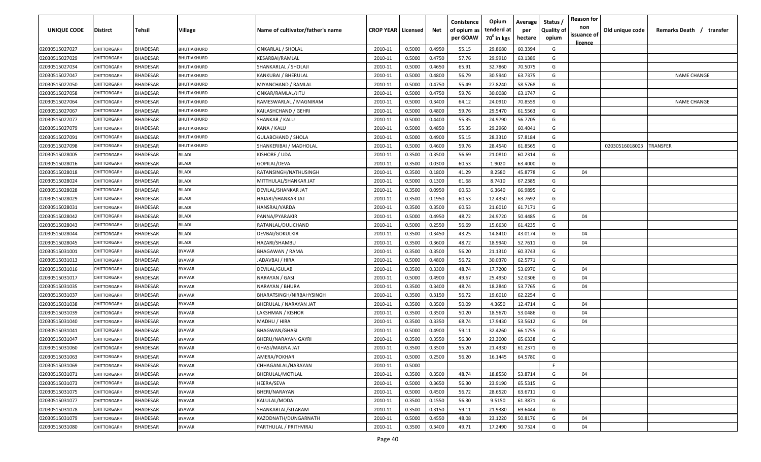| <b>UNIQUE CODE</b> | Distirct           | Tehsil          | Village       | Name of cultivator/father's name | <b>CROP YEAR   Licensed</b> |        | Net    | Conistence<br>of opium as<br>per GOAW | Opium<br>tenderd at<br>70 <sup>0</sup> in kgs | Average<br>per<br>hectare | Status /<br><b>Quality of</b><br>opium | <b>Reason for</b><br>non<br>issuance of<br><u>licence</u> | Old unique code | Remarks Death / transfer |
|--------------------|--------------------|-----------------|---------------|----------------------------------|-----------------------------|--------|--------|---------------------------------------|-----------------------------------------------|---------------------------|----------------------------------------|-----------------------------------------------------------|-----------------|--------------------------|
| 02030515027027     | CHITTORGARH        | <b>BHADESAR</b> | BHUTIAKHURD   | <b>ONKARLAL / SHOLAL</b>         | 2010-11                     | 0.5000 | 0.4950 | 55.15                                 | 29.8680                                       | 60.3394                   | G                                      |                                                           |                 |                          |
| 02030515027029     | CHITTORGARH        | BHADESAR        | BHUTIAKHURD   | KESARBAI/RAMLAL                  | 2010-11                     | 0.5000 | 0.4750 | 57.76                                 | 29.9910                                       | 63.1389                   | G                                      |                                                           |                 |                          |
| 02030515027034     | <b>CHITTORGARH</b> | BHADESAR        | BHUTIAKHURD   | SHANKARLAL / SHOLAJI             | 2010-11                     | 0.5000 | 0.4650 | 65.91                                 | 32.7860                                       | 70.5075                   | G                                      |                                                           |                 |                          |
| 02030515027047     | CHITTORGARH        | <b>BHADESAR</b> | BHUTIAKHURD   | KANKUBAI / BHERULAL              | 2010-11                     | 0.5000 | 0.4800 | 56.79                                 | 30.5940                                       | 63.7375                   | G                                      |                                                           |                 | <b>NAME CHANGE</b>       |
| 02030515027050     | <b>CHITTORGARH</b> | BHADESAR        | BHUTIAKHURD   | MIYANCHAND / RAMLAL              | 2010-11                     | 0.5000 | 0.4750 | 55.49                                 | 27.8240                                       | 58.5768                   | G                                      |                                                           |                 |                          |
| 02030515027058     | CHITTORGARH        | <b>BHADESAR</b> | BHUTIAKHURD   | ONKAR/RAMLAL/JITU                | 2010-11                     | 0.5000 | 0.4750 | 59.76                                 | 30.0080                                       | 63.1747                   | G                                      |                                                           |                 |                          |
| 02030515027064     | <b>CHITTORGARH</b> | <b>BHADESAR</b> | BHUTIAKHURD   | RAMESWARLAL / MAGNIRAM           | 2010-11                     | 0.5000 | 0.3400 | 64.12                                 | 24.0910                                       | 70.8559                   | G                                      |                                                           |                 | <b>NAME CHANGE</b>       |
| 02030515027067     | <b>CHITTORGARH</b> | BHADESAR        | BHUTIAKHURD   | KAILASHCHAND / GEHRI             | 2010-11                     | 0.5000 | 0.4800 | 59.76                                 | 29.5470                                       | 61.5563                   | G                                      |                                                           |                 |                          |
| 02030515027077     | CHITTORGARH        | BHADESAR        | BHUTIAKHURD   | SHANKAR / KALU                   | 2010-11                     | 0.5000 | 0.4400 | 55.35                                 | 24.9790                                       | 56.7705                   | G                                      |                                                           |                 |                          |
| 02030515027079     | CHITTORGARH        | BHADESAR        | BHUTIAKHURD   | KANA / KALU                      | 2010-11                     | 0.5000 | 0.4850 | 55.35                                 | 29.2960                                       | 60.4041                   | G                                      |                                                           |                 |                          |
| 02030515027091     | CHITTORGARF        | BHADESAR        | BHUTIAKHURD   | GULABCHAND / SHOLA               | 2010-11                     | 0.5000 | 0.4900 | 55.15                                 | 28.3310                                       | 57.8184                   | G                                      |                                                           |                 |                          |
| 02030515027098     | CHITTORGARH        | BHADESAR        | BHUTIAKHURD   | SHANKERIBAI / MADHOLAL           | 2010-11                     | 0.5000 | 0.4600 | 59.76                                 | 28.4540                                       | 61.8565                   | G                                      |                                                           | 02030516018003  | TRANSFER                 |
| 02030515028005     | CHITTORGARH        | <b>BHADESAR</b> | <b>BILADI</b> | KISHORE / UDA                    | 2010-11                     | 0.3500 | 0.3500 | 56.69                                 | 21.0810                                       | 60.2314                   | G                                      |                                                           |                 |                          |
| 02030515028016     | CHITTORGARH        | <b>BHADESAR</b> | BILADI        | GOPILAL/DEVA                     | 2010-11                     | 0.3500 | 0.0300 | 60.53                                 | 1.9020                                        | 63.4000                   | G                                      |                                                           |                 |                          |
| 02030515028018     | CHITTORGARH        | <b>BHADESAR</b> | BILADI        | RATANSINGH/NATHUSINGH            | 2010-11                     | 0.3500 | 0.1800 | 41.29                                 | 8.2580                                        | 45.8778                   | G                                      | 04                                                        |                 |                          |
| 02030515028024     | CHITTORGARH        | <b>BHADESAR</b> | <b>BILADI</b> | MITTHULAL/SHANKAR JAT            | 2010-11                     | 0.5000 | 0.1300 | 61.68                                 | 8.7410                                        | 67.2385                   | G                                      |                                                           |                 |                          |
| 02030515028028     | CHITTORGARH        | <b>BHADESAR</b> | BILADI        | DEVILAL/SHANKAR JAT              | 2010-11                     | 0.3500 | 0.0950 | 60.53                                 | 6.3640                                        | 66.9895                   | G                                      |                                                           |                 |                          |
| 02030515028029     | CHITTORGARH        | <b>BHADESAR</b> | <b>BILADI</b> | HAJARI/SHANKAR JAT               | 2010-11                     | 0.3500 | 0.1950 | 60.53                                 | 12.4350                                       | 63.7692                   | G                                      |                                                           |                 |                          |
| 02030515028031     | CHITTORGARH        | <b>BHADESAR</b> | <b>BILADI</b> | HANSRAJ/VARDA                    | 2010-11                     | 0.3500 | 0.3500 | 60.53                                 | 21.6010                                       | 61.7171                   | G                                      |                                                           |                 |                          |
| 02030515028042     | CHITTORGARH        | <b>BHADESAR</b> | BILADI        | PANNA/PYARAKIR                   | 2010-11                     | 0.5000 | 0.4950 | 48.72                                 | 24.9720                                       | 50.4485                   | G                                      | 04                                                        |                 |                          |
| 02030515028043     | CHITTORGARH        | <b>BHADESAR</b> | BILADI        | RATANLAL/DULICHAND               | 2010-11                     | 0.5000 | 0.2550 | 56.69                                 | 15.6630                                       | 61.4235                   | G                                      |                                                           |                 |                          |
| 02030515028044     | CHITTORGARH        | <b>BHADESAR</b> | <b>BILADI</b> | DEVBAI/GOKULKIR                  | 2010-11                     | 0.3500 | 0.3450 | 43.25                                 | 14.8410                                       | 43.0174                   | G                                      | 04                                                        |                 |                          |
| 02030515028045     | <b>CHITTORGARI</b> | <b>BHADESAR</b> | BILADI        | HAZARI/SHAMBU                    | 2010-11                     | 0.3500 | 0.3600 | 48.72                                 | 18.9940                                       | 52.7611                   | G                                      | 04                                                        |                 |                          |
| 02030515031001     | <b>CHITTORGARI</b> | <b>BHADESAR</b> | <b>BYAVAR</b> | BHAGAWAN / RAMA                  | 2010-11                     | 0.3500 | 0.3500 | 56.20                                 | 21.1310                                       | 60.3743                   | G                                      |                                                           |                 |                          |
| 02030515031013     | CHITTORGARH        | BHADESAR        | <b>BYAVAR</b> | JADAVBAI / HIRA                  | 2010-11                     | 0.5000 | 0.4800 | 56.72                                 | 30.0370                                       | 62.5771                   | G                                      |                                                           |                 |                          |
| 02030515031016     | CHITTORGARH        | BHADESAR        | <b>BYAVAR</b> | DEVILAL/GULAB                    | 2010-11                     | 0.3500 | 0.3300 | 48.74                                 | 17.7200                                       | 53.6970                   | G                                      | 04                                                        |                 |                          |
| 02030515031017     | CHITTORGARF        | BHADESAR        | BYAVAR        | NARAYAN / GASI                   | 2010-11                     | 0.5000 | 0.4900 | 49.67                                 | 25.4950                                       | 52.0306                   | G                                      | 04                                                        |                 |                          |
| 02030515031035     | CHITTORGARF        | BHADESAR        | 3YAVAR        | NARAYAN / BHURA                  | 2010-11                     | 0.3500 | 0.3400 | 48.74                                 | 18.2840                                       | 53.7765                   | G                                      | 04                                                        |                 |                          |
| 02030515031037     | CHITTORGARH        | BHADESAR        | 3YAVAR        | BHARATSINGH/NIRBAHYSINGH         | 2010-11                     | 0.3500 | 0.3150 | 56.72                                 | 19.6010                                       | 62.2254                   | G                                      |                                                           |                 |                          |
| 02030515031038     | CHITTORGARH        | <b>BHADESAR</b> | <b>BYAVAR</b> | BHERULAL / NARAYAN JAT           | 2010-11                     | 0.3500 | 0.3500 | 50.09                                 | 4.3650                                        | 12.4714                   | G                                      | 04                                                        |                 |                          |
| 02030515031039     | CHITTORGARH        | <b>BHADESAR</b> | <b>BYAVAR</b> | LAKSHMAN / KISHOR                | 2010-11                     | 0.3500 | 0.3500 | 50.20                                 | 18.5670                                       | 53.0486                   | G                                      | 04                                                        |                 |                          |
| 02030515031040     | CHITTORGARI        | <b>BHADESAR</b> | <b>BYAVAR</b> | MADHU / HIRA                     | 2010-11                     | 0.3500 | 0.3350 | 68.74                                 | 17.9430                                       | 53.5612                   | G                                      | 04                                                        |                 |                          |
| 02030515031041     | CHITTORGARH        | <b>BHADESAR</b> | <b>BYAVAR</b> | BHAGWAN/GHASI                    | 2010-11                     | 0.5000 | 0.4900 | 59.11                                 | 32.4260                                       | 66.1755                   | G                                      |                                                           |                 |                          |
| 02030515031047     | CHITTORGARH        | <b>BHADESAR</b> | <b>BYAVAR</b> | BHERU/NARAYAN GAYRI              | 2010-11                     | 0.3500 | 0.3550 | 56.30                                 | 23.3000                                       | 65.6338                   | G                                      |                                                           |                 |                          |
| 02030515031060     | CHITTORGARH        | BHADESAR        | <b>BYAVAR</b> | GHASI/MAGNA JAT                  | 2010-11                     | 0.3500 | 0.3500 | 55.20                                 | 21.4330                                       | 61.2371                   | G                                      |                                                           |                 |                          |
| 02030515031063     | <b>CHITTORGARH</b> | <b>BHADESAR</b> | <b>BYAVAR</b> | AMERA/POKHAR                     | 2010-11                     | 0.5000 | 0.2500 | 56.20                                 | 16.1445                                       | 64.5780                   | G                                      |                                                           |                 |                          |
| 02030515031069     | CHITTORGARH        | <b>BHADESAR</b> | <b>BYAVAR</b> | CHHAGANLAL/NARAYAN               | 2010-11                     | 0.5000 |        |                                       |                                               |                           | F.                                     |                                                           |                 |                          |
| 02030515031071     | CHITTORGARH        | <b>BHADESAR</b> | <b>BYAVAR</b> | <b>BHERULAL/MOTILAL</b>          | 2010-11                     | 0.3500 | 0.3500 | 48.74                                 | 18.8550                                       | 53.8714                   | G                                      | 04                                                        |                 |                          |
| 02030515031073     | CHITTORGARH        | <b>BHADESAR</b> | <b>BYAVAR</b> | HEERA/SEVA                       | 2010-11                     | 0.5000 | 0.3650 | 56.30                                 | 23.9190                                       | 65.5315                   | G                                      |                                                           |                 |                          |
| 02030515031075     | <b>CHITTORGARH</b> | <b>BHADESAR</b> | BYAVAR        | BHERI/NARAYAN                    | 2010-11                     | 0.5000 | 0.4500 | 56.72                                 | 28.6520                                       | 63.6711                   | G                                      |                                                           |                 |                          |
| 02030515031077     | <b>CHITTORGARH</b> | <b>BHADESAR</b> | <b>BYAVAR</b> | KALULAL/MODA                     | 2010-11                     | 0.3500 | 0.1550 | 56.30                                 | 9.5150                                        | 61.3871                   | G                                      |                                                           |                 |                          |
| 02030515031078     | CHITTORGARH        | <b>BHADESAR</b> | <b>BYAVAR</b> | SHANKARLAL/SITARAM               | 2010-11                     | 0.3500 | 0.3150 | 59.11                                 | 21.9380                                       | 69.6444                   | G                                      |                                                           |                 |                          |
| 02030515031079     | CHITTORGARH        | <b>BHADESAR</b> | <b>BYAVAR</b> | KAZODNATH/DUNGARNATH             | 2010-11                     | 0.5000 | 0.4550 | 48.08                                 | 23.1220                                       | 50.8176                   | G                                      | 04                                                        |                 |                          |
| 02030515031080     | CHITTORGARH        | <b>BHADESAR</b> | <b>BYAVAR</b> | PARTHULAL / PRITHVIRAJ           | 2010-11                     | 0.3500 | 0.3400 | 49.71                                 | 17.2490                                       | 50.7324                   | G                                      | 04                                                        |                 |                          |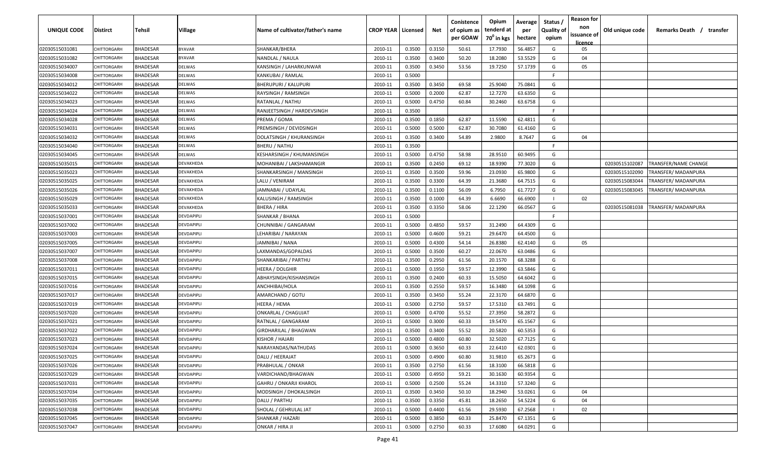| UNIQUE CODE    | <b>Distirct</b>    | Tehsil          | Village           | Name of cultivator/father's name | <b>CROP YEAR   Licensed</b> |        | Net    | Conistence<br>of opium as<br>per GOAW | Opium<br>tenderd at<br>70 <sup>0</sup> in kgs | Average<br>per<br>hectare | Status /<br><b>Quality of</b><br>opium | <b>Reason for</b><br>non<br>issuance of<br><u>licence</u> | Old unique code | Remarks Death /<br>transfer |
|----------------|--------------------|-----------------|-------------------|----------------------------------|-----------------------------|--------|--------|---------------------------------------|-----------------------------------------------|---------------------------|----------------------------------------|-----------------------------------------------------------|-----------------|-----------------------------|
| 02030515031081 | CHITTORGARH        | <b>BHADESAR</b> | <b>BYAVAR</b>     | SHANKAR/BHERA                    | 2010-11                     | 0.3500 | 0.3150 | 50.61                                 | 17.7930                                       | 56.4857                   | G                                      | 05                                                        |                 |                             |
| 02030515031082 | CHITTORGARH        | <b>BHADESAR</b> | BYAVAR            | NANDLAL / NAULA                  | 2010-11                     | 0.3500 | 0.3400 | 50.20                                 | 18.2080                                       | 53.5529                   | G                                      | 04                                                        |                 |                             |
| 02030515034007 | CHITTORGARH        | <b>BHADESAR</b> | DELWAS            | KANSINGH / LAHARKUNWAR           | 2010-11                     | 0.3500 | 0.3450 | 53.56                                 | 19.7250                                       | 57.1739                   | G                                      | 05                                                        |                 |                             |
| 02030515034008 | CHITTORGARH        | <b>BHADESAR</b> | DELWAS            | KANKUBAI / RAMLAL                | 2010-11                     | 0.5000 |        |                                       |                                               |                           | F.                                     |                                                           |                 |                             |
| 02030515034012 | CHITTORGARH        | <b>BHADESAR</b> | DELWAS            | <b>BHERUPURI / KALUPURI</b>      | 2010-11                     | 0.3500 | 0.3450 | 69.58                                 | 25.9040                                       | 75.0841                   | G                                      |                                                           |                 |                             |
| 02030515034022 | <b>CHITTORGARI</b> | <b>BHADESAR</b> | DELWAS            | RAYSINGH / RAMSINGH              | 2010-11                     | 0.5000 | 0.2000 | 62.87                                 | 12.7270                                       | 63.6350                   | G                                      |                                                           |                 |                             |
| 02030515034023 | <b>CHITTORGARI</b> | <b>BHADESAR</b> | DELWAS            | RATANLAL / NATHU                 | 2010-11                     | 0.5000 | 0.4750 | 60.84                                 | 30.2460                                       | 63.6758                   | G                                      |                                                           |                 |                             |
| 02030515034024 | CHITTORGARH        | BHADESAR        | DELWAS            | RANJEETSINGH / HARDEVSINGH       | 2010-11                     | 0.3500 |        |                                       |                                               |                           | F.                                     |                                                           |                 |                             |
| 02030515034028 | CHITTORGARH        | <b>BHADESAR</b> | DELWAS            | PREMA / GOMA                     | 2010-11                     | 0.3500 | 0.1850 | 62.87                                 | 11.5590                                       | 62.4811                   | G                                      |                                                           |                 |                             |
| 02030515034031 | CHITTORGARH        | BHADESAR        | DELWAS            | PREMSINGH / DEVIDSINGH           | 2010-11                     | 0.5000 | 0.5000 | 62.87                                 | 30.7080                                       | 61.4160                   | G                                      |                                                           |                 |                             |
| 02030515034032 | CHITTORGARH        | <b>BHADESAR</b> | <b>DELWAS</b>     | DOLATSINGH / KHURANSINGH         | 2010-11                     | 0.3500 | 0.3400 | 54.89                                 | 2.9800                                        | 8.7647                    | G                                      | 04                                                        |                 |                             |
| 02030515034040 | CHITTORGARH        | <b>BHADESAR</b> | <b>DELWAS</b>     | <b>BHERU / NATHU</b>             | 2010-11                     | 0.3500 |        |                                       |                                               |                           | E                                      |                                                           |                 |                             |
| 02030515034045 | CHITTORGARH        | <b>BHADESAR</b> | DELWAS            | <b>KESHARSINGH / KHUMANSINGH</b> | 2010-11                     | 0.5000 | 0.4750 | 58.98                                 | 28.9510                                       | 60.9495                   | G                                      |                                                           |                 |                             |
| 02030515035015 | CHITTORGARH        | <b>BHADESAR</b> | <b>DEVAKHEDA</b>  | MOHANIBAI / LAKSHAMANGIR         | 2010-11                     | 0.3500 | 0.2450 | 69.12                                 | 18.9390                                       | 77.3020                   | G                                      |                                                           | 02030515102087  | TRANSFER/NAME CHANGE        |
| 02030515035023 | CHITTORGARH        | <b>BHADESAR</b> | <b>DEVAKHEDA</b>  | SHANKARSINGH / MANSINGH          | 2010-11                     | 0.3500 | 0.3500 | 59.96                                 | 23.0930                                       | 65.9800                   | G                                      |                                                           | 02030515102090  | <b>FRANSFER/ MADANPURA</b>  |
| 02030515035025 | CHITTORGARH        | <b>BHADESAR</b> | DEVAKHEDA         | LALU / VENIRAM                   | 2010-11                     | 0.3500 | 0.3300 | 64.39                                 | 21.3680                                       | 64.7515                   | G                                      |                                                           | 02030515083044  | TRANSFER/ MADANPURA         |
| 02030515035026 | CHITTORGARH        | <b>BHADESAR</b> | DEVAKHEDA         | JAMNABAI / UDAYLAL               | 2010-11                     | 0.3500 | 0.1100 | 56.09                                 | 6.7950                                        | 61.7727                   | G                                      |                                                           | 02030515083045  | TRANSFER/ MADANPURA         |
| 02030515035029 | CHITTORGARH        | <b>BHADESAR</b> | DEVAKHEDA         | KALUSINGH / RAMSINGH             | 2010-11                     | 0.3500 | 0.1000 | 64.39                                 | 6.6690                                        | 66.6900                   | $\mathbf{I}$                           | 02                                                        |                 |                             |
| 02030515035033 | CHITTORGARH        | <b>BHADESAR</b> | DEVAKHEDA         | BHERA / HIRA                     | 2010-11                     | 0.3500 | 0.3350 | 58.06                                 | 22.1290                                       | 66.0567                   | G                                      |                                                           | 02030515081038  | [RANSFER/ MADANPURA         |
| 02030515037001 | <b>CHITTORGARI</b> | <b>BHADESAR</b> | DEVDAPIPLI        | <b>SHANKAR / BHANA</b>           | 2010-11                     | 0.5000 |        |                                       |                                               |                           | F.                                     |                                                           |                 |                             |
| 02030515037002 | <b>CHITTORGARI</b> | <b>BHADESAR</b> | DEVDAPIPLI        | CHUNNIBAI / GANGARAM             | 2010-11                     | 0.5000 | 0.4850 | 59.57                                 | 31.2490                                       | 64.4309                   | G                                      |                                                           |                 |                             |
| 02030515037003 | <b>CHITTORGARI</b> | <b>BHADESAR</b> | DEVDAPIPLI        | LEHARIBAI / NARAYAN              | 2010-11                     | 0.5000 | 0.4600 | 59.21                                 | 29.6470                                       | 64.4500                   | G                                      |                                                           |                 |                             |
| 02030515037005 | CHITTORGARI        | BHADESAR        | <b>DEVDAPIPLI</b> | JAMNIBAI / NANA                  | 2010-11                     | 0.5000 | 0.4300 | 54.14                                 | 26.8380                                       | 62.4140                   | G                                      | 05                                                        |                 |                             |
| 02030515037007 | <b>CHITTORGARI</b> | BHADESAR        | DEVDAPIPLI        | LAXMANDAS/GOPALDAS               | 2010-11                     | 0.5000 | 0.3500 | 60.27                                 | 22.0670                                       | 63.0486                   | G                                      |                                                           |                 |                             |
| 02030515037008 | CHITTORGARH        | <b>BHADESAR</b> | DEVDAPIPLI        | SHANKARIBAI / PARTHU             | 2010-11                     | 0.3500 | 0.2950 | 61.56                                 | 20.1570                                       | 68.3288                   | G                                      |                                                           |                 |                             |
| 02030515037011 | CHITTORGARH        | <b>BHADESAR</b> | <b>DEVDAPIPLI</b> | HEERA / DOLGHIR                  | 2010-11                     | 0.5000 | 0.1950 | 59.57                                 | 12.3990                                       | 63.5846                   | G                                      |                                                           |                 |                             |
| 02030515037015 | CHITTORGARH        | BHADESAR        | <b>DEVDAPIPLI</b> | ABHAYSINGH/KISHANSINGH           | 2010-11                     | 0.3500 | 0.2400 | 60.33                                 | 15.5050                                       | 64.6042                   | G                                      |                                                           |                 |                             |
| 02030515037016 | CHITTORGARH        | BHADESAR        | <b>DEVDAPIPLI</b> | ANCHHIBAI/HOLA                   | 2010-11                     | 0.3500 | 0.2550 | 59.57                                 | 16.3480                                       | 64.1098                   | G                                      |                                                           |                 |                             |
| 02030515037017 | CHITTORGARH        | <b>BHADESAR</b> | <b>DEVDAPIPLI</b> | AMARCHAND / GOTU                 | 2010-11                     | 0.3500 | 0.3450 | 55.24                                 | 22.3170                                       | 64.6870                   | G                                      |                                                           |                 |                             |
| 02030515037019 | CHITTORGARH        | <b>BHADESAR</b> | <b>DEVDAPIPLI</b> | HEERA / HEMA                     | 2010-11                     | 0.5000 | 0.2750 | 59.57                                 | 17.5310                                       | 63.7491                   | G                                      |                                                           |                 |                             |
| 02030515037020 | CHITTORGARH        | <b>BHADESAR</b> | DEVDAPIPLI        | <b>ONKARLAL / CHAGUJAT</b>       | 2010-11                     | 0.5000 | 0.4700 | 55.52                                 | 27.3950                                       | 58.2872                   | G                                      |                                                           |                 |                             |
| 02030515037021 | CHITTORGARH        | <b>BHADESAR</b> | <b>DEVDAPIPLI</b> | RATNLAL / GANGARAM               | 2010-11                     | 0.5000 | 0.3000 | 60.33                                 | 19.5470                                       | 65.1567                   | G                                      |                                                           |                 |                             |
| 02030515037022 | CHITTORGARH        | <b>BHADESAR</b> | DEVDAPIPLI        | GIRDHARILAL / BHAGWAN            | 2010-11                     | 0.3500 | 0.3400 | 55.52                                 | 20.5820                                       | 60.5353                   | G                                      |                                                           |                 |                             |
| 02030515037023 | CHITTORGARH        | <b>BHADESAR</b> | DEVDAPIPLI        | KISHOR / HAJARI                  | 2010-11                     | 0.5000 | 0.4800 | 60.80                                 | 32.5020                                       | 67.7125                   | G                                      |                                                           |                 |                             |
| 02030515037024 | CHITTORGARH        | <b>BHADESAR</b> | DEVDAPIPLI        | NARAYANDAS/NATHUDAS              | 2010-11                     | 0.5000 | 0.3650 | 60.33                                 | 22.6410                                       | 62.0301                   | G                                      |                                                           |                 |                             |
| 02030515037025 | CHITTORGARH        | <b>BHADESAR</b> | DEVDAPIPLI        | DALU / HEERAJAT                  | 2010-11                     | 0.5000 | 0.4900 | 60.80                                 | 31.9810                                       | 65.2673                   | G                                      |                                                           |                 |                             |
| 02030515037026 | CHITTORGARH        | <b>BHADESAR</b> | DEVDAPIPLI        | PRABHULAL / ONKAR                | 2010-11                     | 0.3500 | 0.2750 | 61.56                                 | 18.3100                                       | 66.5818                   | G                                      |                                                           |                 |                             |
| 02030515037029 | CHITTORGARH        | <b>BHADESAR</b> | DEVDAPIPLI        | VARDICHAND/BHAGWAN               | 2010-11                     | 0.5000 | 0.4950 | 59.21                                 | 30.1630                                       | 60.9354                   | G                                      |                                                           |                 |                             |
| 02030515037031 | CHITTORGARH        | <b>BHADESAR</b> | DEVDAPIPLI        | <b>GAHRU / ONKARJI KHAROL</b>    | 2010-11                     | 0.5000 | 0.2500 | 55.24                                 | 14.3310                                       | 57.3240                   | G                                      |                                                           |                 |                             |
| 02030515037034 | CHITTORGARH        | <b>BHADESAR</b> | DEVDAPIPLI        | MODSINGH / DHOKALSINGH           | 2010-11                     | 0.3500 | 0.3450 | 50.10                                 | 18.2940                                       | 53.0261                   | G                                      | 04                                                        |                 |                             |
| 02030515037035 | CHITTORGARH        | <b>BHADESAR</b> | DEVDAPIPLI        | DALU / PARTHU                    | 2010-11                     | 0.3500 | 0.3350 | 45.81                                 | 18.2650                                       | 54.5224                   | G                                      | 04                                                        |                 |                             |
| 02030515037038 | CHITTORGARH        | <b>BHADESAR</b> | DEVDAPIPLI        | SHOLAL / GEHRULAL JAT            | 2010-11                     | 0.5000 | 0.4400 | 61.56                                 | 29.5930                                       | 67.2568                   | $\mathbf{I}$                           | 02                                                        |                 |                             |
| 02030515037045 | CHITTORGARH        | <b>BHADESAR</b> | DEVDAPIPLI        | SHANKAR / HAZARI                 | 2010-11                     | 0.5000 | 0.3850 | 60.33                                 | 25.8470                                       | 67.1351                   | G                                      |                                                           |                 |                             |
| 02030515037047 | CHITTORGARH        | <b>BHADESAR</b> | DEVDAPIPLI        | ONKAR / HIRA JI                  | 2010-11                     | 0.5000 | 0.2750 | 60.33                                 | 17.6080                                       | 64.0291                   | G                                      |                                                           |                 |                             |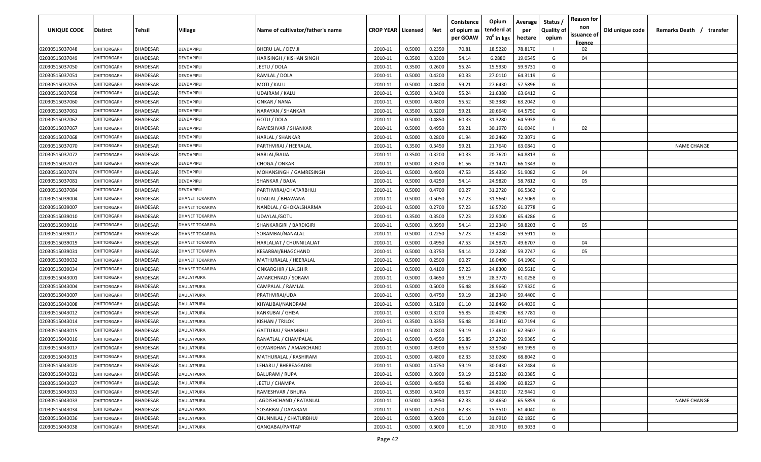| UNIQUE CODE    | <b>Distirct</b>    | Tehsil          | Village                | Name of cultivator/father's name | <b>CROP YEAR   Licensed</b> |        | Net    | Conistence<br>of opium as<br>per GOAW | Opium<br>tenderd at<br>70 <sup>0</sup> in kgs | Average<br>per<br>hectare | Status /<br><b>Quality of</b><br>opium | <b>Reason for</b><br>non<br>issuance of<br><u>licence</u> | Old unique code | Remarks Death /<br>transfer |
|----------------|--------------------|-----------------|------------------------|----------------------------------|-----------------------------|--------|--------|---------------------------------------|-----------------------------------------------|---------------------------|----------------------------------------|-----------------------------------------------------------|-----------------|-----------------------------|
| 02030515037048 | CHITTORGARH        | <b>BHADESAR</b> | DEVDAPIPLI             | BHERU LAL / DEV JI               | 2010-11                     | 0.5000 | 0.2350 | 70.81                                 | 18.5220                                       | 78.8170                   |                                        | 02                                                        |                 |                             |
| 02030515037049 | CHITTORGARH        | <b>BHADESAR</b> | DEVDAPIPLI             | HARISINGH / KISHAN SINGH         | 2010-11                     | 0.3500 | 0.3300 | 54.14                                 | 6.2880                                        | 19.0545                   | G                                      | 04                                                        |                 |                             |
| 02030515037050 | CHITTORGARH        | <b>BHADESAR</b> | DEVDAPIPLI             | JEETU / DOLA                     | 2010-11                     | 0.3500 | 0.2600 | 55.24                                 | 15.5930                                       | 59.9731                   | G                                      |                                                           |                 |                             |
| 02030515037051 | CHITTORGARH        | <b>BHADESAR</b> | DEVDAPIPLI             | RAMLAL / DOLA                    | 2010-11                     | 0.5000 | 0.4200 | 60.33                                 | 27.0110                                       | 64.3119                   | G                                      |                                                           |                 |                             |
| 02030515037055 | CHITTORGARH        | <b>BHADESAR</b> | DEVDAPIPLI             | MOTI / KALU                      | 2010-11                     | 0.5000 | 0.4800 | 59.21                                 | 27.6430                                       | 57.5896                   | G                                      |                                                           |                 |                             |
| 02030515037058 | <b>CHITTORGARI</b> | <b>BHADESAR</b> | DEVDAPIPLI             | UDAIRAM / KALU                   | 2010-11                     | 0.3500 | 0.3400 | 55.24                                 | 21.6380                                       | 63.6412                   | G                                      |                                                           |                 |                             |
| 02030515037060 | <b>CHITTORGARI</b> | <b>BHADESAR</b> | DEVDAPIPLI             | ONKAR / NANA                     | 2010-11                     | 0.5000 | 0.4800 | 55.52                                 | 30.3380                                       | 63.2042                   | G                                      |                                                           |                 |                             |
| 02030515037061 | CHITTORGARH        | BHADESAR        | DEVDAPIPLI             | NARAYAN / SHANKAR                | 2010-11                     | 0.3500 | 0.3200 | 59.21                                 | 20.6640                                       | 64.5750                   | G                                      |                                                           |                 |                             |
| 02030515037062 | CHITTORGARH        | <b>BHADESAR</b> | DEVDAPIPLI             | GOTU / DOLA                      | 2010-11                     | 0.5000 | 0.4850 | 60.33                                 | 31.3280                                       | 64.5938                   | G                                      |                                                           |                 |                             |
| 02030515037067 | CHITTORGARH        | BHADESAR        | <b>DEVDAPIPLI</b>      | RAMESHVAR / SHANKAR              | 2010-11                     | 0.5000 | 0.4950 | 59.21                                 | 30.1970                                       | 61.0040                   | $\mathbf{I}$                           | 02                                                        |                 |                             |
| 02030515037068 | CHITTORGARH        | <b>BHADESAR</b> | <b>DEVDAPIPLI</b>      | HARLAL / SHANKAR                 | 2010-11                     | 0.5000 | 0.2800 | 61.94                                 | 20.2460                                       | 72.3071                   | G                                      |                                                           |                 |                             |
| 02030515037070 | CHITTORGARH        | <b>BHADESAR</b> | <b>DEVDAPIPLI</b>      | PARTHVIRAJ / HEERALAL            | 2010-11                     | 0.3500 | 0.3450 | 59.21                                 | 21.7640                                       | 63.0841                   | G                                      |                                                           |                 | <b>NAME CHANGE</b>          |
| 02030515037072 | CHITTORGARH        | <b>BHADESAR</b> | <b>DEVDAPIPLI</b>      | HARLAL/BAJJA                     | 2010-11                     | 0.3500 | 0.3200 | 60.33                                 | 20.7620                                       | 64.8813                   | G                                      |                                                           |                 |                             |
| 02030515037073 | CHITTORGARH        | <b>BHADESAR</b> | <b>DEVDAPIPLI</b>      | CHOGA / ONKAR                    | 2010-11                     | 0.5000 | 0.3500 | 61.56                                 | 23.1470                                       | 66.1343                   | G                                      |                                                           |                 |                             |
| 02030515037074 | CHITTORGARH        | <b>BHADESAR</b> | <b>DEVDAPIPLI</b>      | MOHANSINGH / GAMRESINGH          | 2010-11                     | 0.5000 | 0.4900 | 47.53                                 | 25.4350                                       | 51.9082                   | G                                      | 04                                                        |                 |                             |
| 02030515037081 | CHITTORGARH        | <b>BHADESAR</b> | DEVDAPIPLI             | SHANKAR / BAJJA                  | 2010-11                     | 0.5000 | 0.4250 | 54.14                                 | 24.9820                                       | 58.7812                   | G                                      | 05                                                        |                 |                             |
| 02030515037084 | CHITTORGARH        | <b>BHADESAR</b> | DEVDAPIPLI             | PARTHVIRAJ/CHATARBHUJ            | 2010-11                     | 0.5000 | 0.4700 | 60.27                                 | 31.2720                                       | 66.5362                   | G                                      |                                                           |                 |                             |
| 02030515039004 | CHITTORGARH        | <b>BHADESAR</b> | DHANET TOKARIYA        | UDAILAL / BHAWANA                | 2010-11                     | 0.5000 | 0.5050 | 57.23                                 | 31.5660                                       | 62.5069                   | G                                      |                                                           |                 |                             |
| 02030515039007 | CHITTORGARH        | BHADESAR        | <b>DHANET TOKARIYA</b> | NANDLAL / GHOKALSHARMA           | 2010-11                     | 0.5000 | 0.2700 | 57.23                                 | 16.5720                                       | 61.3778                   | G                                      |                                                           |                 |                             |
| 02030515039010 | <b>CHITTORGARI</b> | <b>BHADESAR</b> | <b>DHANET TOKARIYA</b> | UDAYLAL/GOTU                     | 2010-11                     | 0.3500 | 0.3500 | 57.23                                 | 22.9000                                       | 65.4286                   | G                                      |                                                           |                 |                             |
| 02030515039016 | CHITTORGARH        | <b>BHADESAR</b> | DHANET TOKARIYA        | SHANKARGIRI / BARDIGIRI          | 2010-11                     | 0.5000 | 0.3950 | 54.14                                 | 23.2340                                       | 58.8203                   | G                                      | 05                                                        |                 |                             |
| 02030515039017 | <b>CHITTORGARI</b> | <b>BHADESAR</b> | <b>DHANET TOKARIYA</b> | SORAMBAI/NANALAL                 | 2010-11                     | 0.5000 | 0.2250 | 57.23                                 | 13.4080                                       | 59.5911                   | G                                      |                                                           |                 |                             |
| 02030515039019 | CHITTORGARI        | BHADESAR        | <b>DHANET TOKARIYA</b> | HARLALJAT / CHUNNILALJAT         | 2010-11                     | 0.5000 | 0.4950 | 47.53                                 | 24.5870                                       | 49.6707                   | G                                      | 04                                                        |                 |                             |
| 02030515039031 | <b>CHITTORGARI</b> | BHADESAR        | <b>DHANET TOKARIYA</b> | KESARBAI/BHAGCHAND               | 2010-11                     | 0.5000 | 0.3750 | 54.14                                 | 22.2280                                       | 59.2747                   | G                                      | 05                                                        |                 |                             |
| 02030515039032 | CHITTORGARH        | <b>BHADESAR</b> | <b>DHANET TOKARIYA</b> | MATHURALAL / HEERALAL            | 2010-11                     | 0.5000 | 0.2500 | 60.27                                 | 16.0490                                       | 64.1960                   | G                                      |                                                           |                 |                             |
| 02030515039034 | CHITTORGARH        | <b>BHADESAR</b> | <b>DHANET TOKARIYA</b> | <b>ONKARGHIR / LALGHIR</b>       | 2010-11                     | 0.5000 | 0.4100 | 57.23                                 | 24.8300                                       | 60.5610                   | G                                      |                                                           |                 |                             |
| 02030515043001 | CHITTORGARH        | BHADESAR        | <b>DAULATPURA</b>      | AMARCHNAD / SORAM                | 2010-11                     | 0.5000 | 0.4650 | 59.19                                 | 28.3770                                       | 61.0258                   | G                                      |                                                           |                 |                             |
| 02030515043004 | CHITTORGARH        | BHADESAR        | <b>DAULATPURA</b>      | CAMPALAL / RAMLAL                | 2010-11                     | 0.5000 | 0.5000 | 56.48                                 | 28.9660                                       | 57.9320                   | G                                      |                                                           |                 |                             |
| 02030515043007 | <b>HITTORGARH</b>  | <b>BHADESAR</b> | <b>DAULATPURA</b>      | PRATHVIRAJ/UDA                   | 2010-11                     | 0.5000 | 0.4750 | 59.19                                 | 28.2340                                       | 59.4400                   | G                                      |                                                           |                 |                             |
| 02030515043008 | CHITTORGARH        | <b>BHADESAR</b> | <b>DAULATPURA</b>      | KHYALIBAI/NANDRAM                | 2010-11                     | 0.5000 | 0.5100 | 61.10                                 | 32.8460                                       | 64.4039                   | G                                      |                                                           |                 |                             |
| 02030515043012 | CHITTORGARH        | <b>BHADESAR</b> | <b>DAULATPURA</b>      | KANKUBAI / GHISA                 | 2010-11                     | 0.5000 | 0.3200 | 56.85                                 | 20.4090                                       | 63.7781                   | G                                      |                                                           |                 |                             |
| 02030515043014 | CHITTORGARH        | <b>BHADESAR</b> | <b>DAULATPURA</b>      | KISHAN / TRILOK                  | 2010-11                     | 0.3500 | 0.3350 | 56.48                                 | 20.3410                                       | 60.7194                   | G                                      |                                                           |                 |                             |
| 02030515043015 | CHITTORGARH        | <b>BHADESAR</b> | DAULATPURA             | GATTUBAI / SHAMBHU               | 2010-11                     | 0.5000 | 0.2800 | 59.19                                 | 17.4610                                       | 62.3607                   | G                                      |                                                           |                 |                             |
| 02030515043016 | CHITTORGARH        | <b>BHADESAR</b> | DAULATPURA             | RANATLAL / CHAMPALAL             | 2010-11                     | 0.5000 | 0.4550 | 56.85                                 | 27.2720                                       | 59.9385                   | G                                      |                                                           |                 |                             |
| 02030515043017 | CHITTORGARH        | <b>BHADESAR</b> | DAULATPURA             | GOVARDHAN / AMARCHAND            | 2010-11                     | 0.5000 | 0.4900 | 66.67                                 | 33.9060                                       | 69.1959                   | G                                      |                                                           |                 |                             |
| 02030515043019 | CHITTORGARH        | <b>BHADESAR</b> | <b>DAULATPURA</b>      | MATHURALAL / KASHIRAM            | 2010-11                     | 0.5000 | 0.4800 | 62.33                                 | 33.0260                                       | 68.8042                   | G                                      |                                                           |                 |                             |
| 02030515043020 | CHITTORGARH        | <b>BHADESAR</b> | DAULATPURA             | LEHARU / BHEREAGADRI             | 2010-11                     | 0.5000 | 0.4750 | 59.19                                 | 30.0430                                       | 63.2484                   | G                                      |                                                           |                 |                             |
| 02030515043021 | CHITTORGARH        | <b>BHADESAR</b> | DAULATPURA             | <b>BALURAM / RUPA</b>            | 2010-11                     | 0.5000 | 0.3900 | 59.19                                 | 23.5320                                       | 60.3385                   | G                                      |                                                           |                 |                             |
| 02030515043027 | CHITTORGARH        | <b>BHADESAR</b> | DAULATPURA             | JEETU / CHAMPA                   | 2010-11                     | 0.5000 | 0.4850 | 56.48                                 | 29.4990                                       | 60.8227                   | G                                      |                                                           |                 |                             |
| 02030515043031 | CHITTORGARH        | <b>BHADESAR</b> | DAULATPURA             | RAMESHVAR / BHURA                | 2010-11                     | 0.3500 | 0.3400 | 66.67                                 | 24.8010                                       | 72.9441                   | G                                      |                                                           |                 |                             |
| 02030515043033 | CHITTORGARH        | <b>BHADESAR</b> | DAULATPURA             | JAGDISHCHAND / RATANLAL          | 2010-11                     | 0.5000 | 0.4950 | 62.33                                 | 32.4650                                       | 65.5859                   | G                                      |                                                           |                 | NAME CHANGE                 |
| 02030515043034 | CHITTORGARH        | <b>BHADESAR</b> | DAULATPURA             | SOSARBAI / DAYARAM               | 2010-11                     | 0.5000 | 0.2500 | 62.33                                 | 15.3510                                       | 61.4040                   | G                                      |                                                           |                 |                             |
| 02030515043036 | CHITTORGARH        | <b>BHADESAR</b> | DAULATPURA             | CHUNNILAL / CHATURBHUJ           | 2010-11                     | 0.5000 | 0.5000 | 61.10                                 | 31.0910                                       | 62.1820                   | G                                      |                                                           |                 |                             |
| 02030515043038 | CHITTORGARH        | <b>BHADESAR</b> | DAULATPURA             | GANGABAI/PARTAP                  | 2010-11                     | 0.5000 | 0.3000 | 61.10                                 | 20.7910                                       | 69.3033                   | G                                      |                                                           |                 |                             |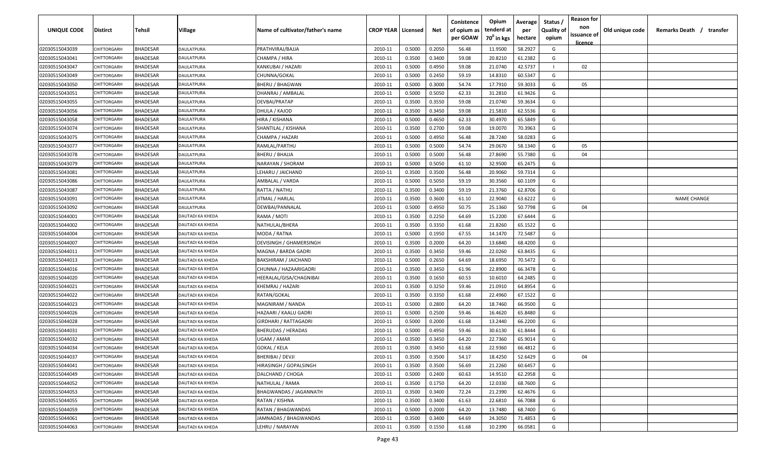| UNIQUE CODE    | Distirct           | Tehsil          | Village                 | Name of cultivator/father's name | <b>CROP YEAR Licensed</b> |        | Net    | Conistence<br>of opium as<br>per GOAW | Opium<br>tenderd at<br>70 <sup>0</sup> in kgs | Average<br>per<br>hectare | Status /<br><b>Quality of</b><br>opium | <b>Reason for</b><br>non<br>issuance of | Old unique code | Remarks Death / transfer |
|----------------|--------------------|-----------------|-------------------------|----------------------------------|---------------------------|--------|--------|---------------------------------------|-----------------------------------------------|---------------------------|----------------------------------------|-----------------------------------------|-----------------|--------------------------|
| 02030515043039 | CHITTORGARH        | <b>BHADESAR</b> | DAULATPURA              | PRATHVIRAJ/BAJJA                 | 2010-11                   | 0.5000 | 0.2050 | 56.48                                 | 11.9500                                       | 58.2927                   | G                                      | <u>licence</u>                          |                 |                          |
| 02030515043041 | CHITTORGARH        | BHADESAR        | DAULATPURA              | CHAMPA / HIRA                    | 2010-11                   | 0.3500 | 0.3400 | 59.08                                 | 20.8210                                       | 61.2382                   | G                                      |                                         |                 |                          |
| 02030515043047 | CHITTORGARH        | BHADESAR        | DAULATPURA              | KANKUBAI / HAZARI                | 2010-11                   | 0.5000 | 0.4950 | 59.08                                 | 21.0740                                       | 42.5737                   |                                        | 02                                      |                 |                          |
| 02030515043049 | CHITTORGARH        | BHADESAR        | DAULATPURA              | CHUNNA/GOKAL                     | 2010-11                   | 0.5000 | 0.2450 | 59.19                                 | 14.8310                                       | 60.5347                   | G                                      |                                         |                 |                          |
| 02030515043050 | <b>CHITTORGARH</b> | BHADESAR        | DAULATPURA              | <b>BHERU / BHAGWAN</b>           | 2010-11                   | 0.5000 | 0.3000 | 54.74                                 | 17.7910                                       | 59.3033                   | G                                      | 05                                      |                 |                          |
| 02030515043051 | CHITTORGARH        | BHADESAR        | DAULATPURA              | DHANRAJ / AMBALAL                | 2010-11                   | 0.5000 | 0.5050 | 62.33                                 | 31.2810                                       | 61.9426                   | G                                      |                                         |                 |                          |
| 02030515043055 | <b>CHITTORGARH</b> | BHADESAR        | DAULATPURA              | DEVBAI/PRATAP                    | 2010-11                   | 0.3500 | 0.3550 | 59.08                                 | 21.0740                                       | 59.3634                   | G                                      |                                         |                 |                          |
| 02030515043056 | CHITTORGARH        | BHADESAR        | DAULATPURA              | DHULA / KAJOD                    | 2010-11                   | 0.3500 | 0.3450 | 59.08                                 | 21.5810                                       | 62.5536                   | G                                      |                                         |                 |                          |
| 02030515043058 | CHITTORGARH        | BHADESAR        | DAULATPURA              | HIRA / KISHANA                   | 2010-11                   | 0.5000 | 0.4650 | 62.33                                 | 30.4970                                       | 65.5849                   | G                                      |                                         |                 |                          |
| 02030515043074 | CHITTORGARH        | BHADESAR        | DAULATPURA              | SHANTILAL / KISHANA              | 2010-11                   | 0.3500 | 0.2700 | 59.08                                 | 19.0070                                       | 70.3963                   | G                                      |                                         |                 |                          |
| 02030515043075 | CHITTORGARF        | BHADESAR        | DAULATPURA              | CHAMPA / HAZARI                  | 2010-11                   | 0.5000 | 0.4950 | 56.48                                 | 28.7240                                       | 58.0283                   | G                                      |                                         |                 |                          |
| 02030515043077 | CHITTORGARH        | BHADESAR        | DAULATPURA              | RAMLAL/PARTHU                    | 2010-11                   | 0.5000 | 0.5000 | 54.74                                 | 29.0670                                       | 58.1340                   | G                                      | 05                                      |                 |                          |
| 02030515043078 | CHITTORGARH        | <b>BHADESAR</b> | DAULATPURA              | <b>BHERU / BHAJJA</b>            | 2010-11                   | 0.5000 | 0.5000 | 56.48                                 | 27.8690                                       | 55.7380                   | G                                      | 04                                      |                 |                          |
| 02030515043079 | CHITTORGARH        | <b>BHADESAR</b> | DAULATPURA              | NARAYAN / SHORAM                 | 2010-11                   | 0.5000 | 0.5050 | 61.10                                 | 32.9500                                       | 65.2475                   | G                                      |                                         |                 |                          |
| 02030515043081 | CHITTORGARH        | <b>BHADESAR</b> | DAULATPURA              | LEHARU / JAICHAND                | 2010-11                   | 0.3500 | 0.3500 | 56.48                                 | 20.9060                                       | 59.7314                   | G                                      |                                         |                 |                          |
| 02030515043086 | CHITTORGARH        | <b>BHADESAR</b> | DAULATPURA              | AMBALAL / VARDA                  | 2010-11                   | 0.5000 | 0.5050 | 59.19                                 | 30.3560                                       | 60.1109                   | G                                      |                                         |                 |                          |
| 02030515043087 | CHITTORGARH        | <b>BHADESAR</b> | DAULATPURA              | RATTA / NATHU                    | 2010-11                   | 0.3500 | 0.3400 | 59.19                                 | 21.3760                                       | 62.8706                   | G                                      |                                         |                 |                          |
| 02030515043091 | CHITTORGARH        | <b>BHADESAR</b> | DAULATPURA              | JITMAL / HARLAL                  | 2010-11                   | 0.3500 | 0.3600 | 61.10                                 | 22.9040                                       | 63.6222                   | G                                      |                                         |                 | <b>NAME CHANGE</b>       |
| 02030515043092 | CHITTORGARH        | BHADESAR        | DAULATPURA              | DEWBAI/PANNALAL                  | 2010-11                   | 0.5000 | 0.4950 | 50.75                                 | 25.1360                                       | 50.7798                   | G                                      | 04                                      |                 |                          |
| 02030515044001 | CHITTORGARH        | <b>BHADESAR</b> | DAUTADI KA KHEDA        | RAMA / MOTI                      | 2010-11                   | 0.3500 | 0.2250 | 64.69                                 | 15.2200                                       | 67.6444                   | G                                      |                                         |                 |                          |
| 02030515044002 | CHITTORGARH        | <b>BHADESAR</b> | DAUTADI KA KHEDA        | NATHULAL/BHERA                   | 2010-11                   | 0.3500 | 0.3350 | 61.68                                 | 21.8260                                       | 65.1522                   | G                                      |                                         |                 |                          |
| 02030515044004 | <b>CHITTORGARH</b> | <b>BHADESAR</b> | DAUTADI KA KHEDA        | MODA / RATNA                     | 2010-11                   | 0.5000 | 0.1950 | 67.55                                 | 14.1470                                       | 72.5487                   | G                                      |                                         |                 |                          |
| 02030515044007 | <b>CHITTORGARI</b> | <b>BHADESAR</b> | DAUTADI KA KHEDA        | DEVISINGH / GHAMERSINGH          | 2010-11                   | 0.3500 | 0.2000 | 64.20                                 | 13.6840                                       | 68.4200                   | G                                      |                                         |                 |                          |
| 02030515044011 | <b>CHITTORGARI</b> | <b>BHADESAR</b> | DAUTADI KA KHEDA        | MAGNA / BARDA GADRI              | 2010-11                   | 0.3500 | 0.3450 | 59.46                                 | 22.0260                                       | 63.8435                   | G                                      |                                         |                 |                          |
| 02030515044013 | CHITTORGARH        | BHADESAR        | DAUTADI KA KHEDA        | BAKSHIRAM / JAICHAND             | 2010-11                   | 0.5000 | 0.2650 | 64.69                                 | 18.6950                                       | 70.5472                   | G                                      |                                         |                 |                          |
| 02030515044016 | CHITTORGARH        | BHADESAR        | DAUTADI KA KHEDA        | CHUNNA / HAZAARIGADRI            | 2010-11                   | 0.3500 | 0.3450 | 61.96                                 | 22.8900                                       | 66.3478                   | G                                      |                                         |                 |                          |
| 02030515044020 | CHITTORGARF        | BHADESAR        | DAUTADI KA KHEDA        | HEERALAL/GISA/CHAGNIBAI          | 2010-11                   | 0.3500 | 0.1650 | 60.53                                 | 10.6010                                       | 64.2485                   | G                                      |                                         |                 |                          |
| 02030515044021 | CHITTORGARF        | BHADESAR        | <b>DAUTADI KA KHEDA</b> | KHEMRAJ / HAZARI                 | 2010-11                   | 0.3500 | 0.3250 | 59.46                                 | 21.0910                                       | 64.8954                   | G                                      |                                         |                 |                          |
| 02030515044022 | CHITTORGARF        | BHADESAR        | DAUTADI KA KHEDA        | RATAN/GOKAL                      | 2010-11                   | 0.3500 | 0.3350 | 61.68                                 | 22.4960                                       | 67.1522                   | G                                      |                                         |                 |                          |
| 02030515044023 | CHITTORGARH        | <b>BHADESAR</b> | DAUTADI KA KHEDA        | MAGNIRAM / NANDA                 | 2010-11                   | 0.5000 | 0.2800 | 64.20                                 | 18.7460                                       | 66.9500                   | G                                      |                                         |                 |                          |
| 02030515044026 | CHITTORGARH        | BHADESAR        | DAUTADI KA KHEDA        | HAZAARI / KAALU GADRI            | 2010-11                   | 0.5000 | 0.2500 | 59.46                                 | 16.4620                                       | 65.8480                   | G                                      |                                         |                 |                          |
| 02030515044028 | CHITTORGARI        | BHADESAR        | DAUTADI KA KHEDA        | GIRDHARI / RATTAGADRI            | 2010-11                   | 0.5000 | 0.2000 | 61.68                                 | 13.2440                                       | 66.2200                   | G                                      |                                         |                 |                          |
| 02030515044031 | CHITTORGARI        | <b>BHADESAR</b> | DAUTADI KA KHEDA        | <b>BHERUDAS / HERADAS</b>        | 2010-11                   | 0.5000 | 0.4950 | 59.46                                 | 30.6130                                       | 61.8444                   | G                                      |                                         |                 |                          |
| 02030515044032 | CHITTORGARH        | BHADESAR        | DAUTADI KA KHEDA        | UGAM / AMAR                      | 2010-11                   | 0.3500 | 0.3450 | 64.20                                 | 22.7360                                       | 65.9014                   | G                                      |                                         |                 |                          |
| 02030515044034 | CHITTORGARH        | BHADESAR        | DAUTADI KA KHEDA        | GOKAL / KELA                     | 2010-11                   | 0.3500 | 0.3450 | 61.68                                 | 22.9360                                       | 66.4812                   | G                                      |                                         |                 |                          |
| 02030515044037 | <b>CHITTORGARH</b> | <b>BHADESAR</b> | DAUTADI KA KHEDA        | BHERIBAI / DEVJI                 | 2010-11                   | 0.3500 | 0.3500 | 54.17                                 | 18.4250                                       | 52.6429                   | G                                      | 04                                      |                 |                          |
| 02030515044041 | CHITTORGARH        | <b>BHADESAR</b> | DAUTADI KA KHEDA        | HIRASINGH / GOPALSINGH           | 2010-11                   | 0.3500 | 0.3500 | 56.69                                 | 21.2260                                       | 60.6457                   | G                                      |                                         |                 |                          |
| 02030515044049 | CHITTORGARH        | <b>BHADESAR</b> | DAUTADI KA KHEDA        | DALCHAND / CHOGA                 | 2010-11                   | 0.5000 | 0.2400 | 60.63                                 | 14.9510                                       | 62.2958                   | G                                      |                                         |                 |                          |
| 02030515044052 | CHITTORGARH        | <b>BHADESAR</b> | DAUTADI KA KHEDA        | NATHULAL / RAMA                  | 2010-11                   | 0.3500 | 0.1750 | 64.20                                 | 12.0330                                       | 68.7600                   | G                                      |                                         |                 |                          |
| 02030515044053 | CHITTORGARH        | <b>BHADESAR</b> | DAUTADI KA KHEDA        | BHAGWANDAS / JAGANNATH           | 2010-11                   | 0.3500 | 0.3400 | 72.24                                 | 21.2390                                       | 62.4676                   | G                                      |                                         |                 |                          |
| 02030515044055 | <b>CHITTORGARH</b> | <b>BHADESAR</b> | <b>DAUTADI KA KHEDA</b> | RATAN / KISHNA                   | 2010-11                   | 0.3500 | 0.3400 | 61.63                                 | 22.6810                                       | 66.7088                   | G                                      |                                         |                 |                          |
| 02030515044059 | CHITTORGARH        | <b>BHADESAR</b> | DAUTADI KA KHEDA        | RATAN / BHAGWANDAS               | 2010-11                   | 0.5000 | 0.2000 | 64.20                                 | 13.7480                                       | 68.7400                   | G                                      |                                         |                 |                          |
| 02030515044061 | CHITTORGARH        | <b>BHADESAR</b> | DAUTADI KA KHEDA        | JAMNADAS / BHAGWANDAS            | 2010-11                   | 0.3500 | 0.3400 | 64.69                                 | 24.3050                                       | 71.4853                   | G                                      |                                         |                 |                          |
| 02030515044063 | CHITTORGARH        | <b>BHADESAR</b> | DAUTADI KA KHEDA        | LEHRU / NARAYAN                  | 2010-11                   | 0.3500 | 0.1550 | 61.68                                 | 10.2390                                       | 66.0581                   | G                                      |                                         |                 |                          |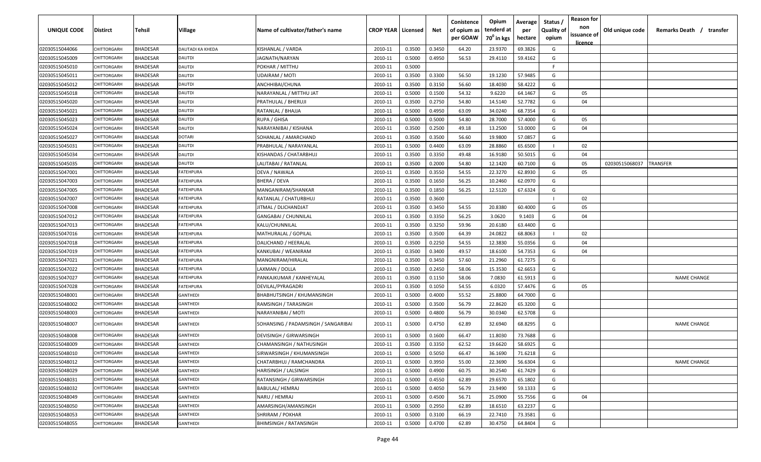| UNIQUE CODE    | <b>Distirct</b>    | Tehsil          | Village                 | Name of cultivator/father's name    | <b>CROP YEAR   Licensed</b> |        | Net    | Conistence<br>of opium as<br>per GOAW | Opium<br>tenderd at<br>70 <sup>0</sup> in kgs | Average<br>per<br>hectare | <b>Status</b><br><b>Quality of</b><br>opium | <b>Reason for</b><br>non<br>issuance of<br><u>licence</u> | Old unique code | Remarks Death / transfer |
|----------------|--------------------|-----------------|-------------------------|-------------------------------------|-----------------------------|--------|--------|---------------------------------------|-----------------------------------------------|---------------------------|---------------------------------------------|-----------------------------------------------------------|-----------------|--------------------------|
| 02030515044066 | CHITTORGARH        | <b>BHADESAR</b> | <b>DAUTADI KA KHEDA</b> | KISHANLAL / VARDA                   | 2010-11                     | 0.3500 | 0.3450 | 64.20                                 | 23.9370                                       | 69.3826                   | G                                           |                                                           |                 |                          |
| 02030515045009 | CHITTORGARH        | BHADESAR        | DAUTDI                  | JAGNATH/NARYAN                      | 2010-11                     | 0.5000 | 0.4950 | 56.53                                 | 29.4110                                       | 59.4162                   | G                                           |                                                           |                 |                          |
| 02030515045010 | CHITTORGARH        | <b>BHADESAR</b> | <b>DAUTDI</b>           | POKHAR / MITTHU                     | 2010-11                     | 0.5000 |        |                                       |                                               |                           | -F                                          |                                                           |                 |                          |
| 02030515045011 | CHITTORGARH        | <b>BHADESAR</b> | <b>DAUTDI</b>           | UDAIRAM / MOTI                      | 2010-11                     | 0.3500 | 0.3300 | 56.50                                 | 19.1230                                       | 57.9485                   | G                                           |                                                           |                 |                          |
| 02030515045012 | CHITTORGARH        | <b>BHADESAR</b> | DAUTDI                  | ANCHHIBAI/CHUNA                     | 2010-11                     | 0.3500 | 0.3150 | 56.60                                 | 18.4030                                       | 58.4222                   | G                                           |                                                           |                 |                          |
| 02030515045018 | <b>CHITTORGARI</b> | <b>BHADESAR</b> | DAUTDI                  | NARAYANLAL / MITTHU JAT             | 2010-11                     | 0.5000 | 0.1500 | 54.32                                 | 9.6220                                        | 64.1467                   | G                                           | 05                                                        |                 |                          |
| 02030515045020 | <b>CHITTORGARI</b> | <b>BHADESAR</b> | <b>DAUTDI</b>           | PRATHULAL / BHERUJI                 | 2010-11                     | 0.3500 | 0.2750 | 54.80                                 | 14.5140                                       | 52.7782                   | G                                           | 04                                                        |                 |                          |
| 02030515045021 | CHITTORGARH        | <b>BHADESAR</b> | <b>DAUTDI</b>           | RATANLAL / BHAJJA                   | 2010-11                     | 0.5000 | 0.4950 | 63.09                                 | 34.0240                                       | 68.7354                   | G                                           |                                                           |                 |                          |
| 02030515045023 | CHITTORGARH        | BHADESAR        | <b>DAUTDI</b>           | RUPA / GHISA                        | 2010-11                     | 0.5000 | 0.5000 | 54.80                                 | 28.7000                                       | 57.4000                   | G                                           | 05                                                        |                 |                          |
| 02030515045024 | CHITTORGARH        | <b>BHADESAR</b> | DAUTDI                  | NARAYANIBAI / KISHANA               | 2010-11                     | 0.3500 | 0.2500 | 49.18                                 | 13.2500                                       | 53.0000                   | G                                           | 04                                                        |                 |                          |
| 02030515045027 | CHITTORGARH        | <b>BHADESAR</b> | DOTARI                  | SOHANLAL / AMARCHAND                | 2010-11                     | 0.3500 | 0.3500 | 56.60                                 | 19.9800                                       | 57.0857                   | G                                           |                                                           |                 |                          |
| 02030515045031 | CHITTORGARH        | <b>BHADESAR</b> | DAUTDI                  | PRABHULAL / NARAYANLAL              | 2010-11                     | 0.5000 | 0.4400 | 63.09                                 | 28.8860                                       | 65.6500                   | $\mathbf{I}$                                | 02                                                        |                 |                          |
| 02030515045034 | CHITTORGARH        | <b>BHADESAR</b> | DAUTDI                  | KISHANDAS / CHATARBHUJ              | 2010-11                     | 0.3500 | 0.3350 | 49.48                                 | 16.9180                                       | 50.5015                   | G                                           | 04                                                        |                 |                          |
| 02030515045035 | CHITTORGARH        | <b>BHADESAR</b> | DAUTDI                  | LALITABAI / RATANLAL                | 2010-11                     | 0.3500 | 0.2000 | 54.80                                 | 12.1420                                       | 60.7100                   | G                                           | 05                                                        | 02030515068037  | <b><i>FRANSFER</i></b>   |
| 02030515047001 | CHITTORGARH        | <b>BHADESAR</b> | FATEHPURA               | DEVA / NAWALA                       | 2010-11                     | 0.3500 | 0.3550 | 54.55                                 | 22.3270                                       | 62.8930                   | G                                           | 05                                                        |                 |                          |
| 02030515047003 | CHITTORGARH        | <b>BHADESAR</b> | <b>FATEHPURA</b>        | BHERA / DEVA                        | 2010-11                     | 0.3500 | 0.1650 | 56.25                                 | 10.2460                                       | 62.0970                   | G                                           |                                                           |                 |                          |
| 02030515047005 | CHITTORGARH        | <b>BHADESAR</b> | <b>FATEHPURA</b>        | MANGANIRAM/SHANKAR                  | 2010-11                     | 0.3500 | 0.1850 | 56.25                                 | 12.5120                                       | 67.6324                   | G                                           |                                                           |                 |                          |
| 02030515047007 | CHITTORGARH        | <b>BHADESAR</b> | <b>FATEHPURA</b>        | RATANLAL / CHATURBHUJ               | 2010-11                     | 0.3500 | 0.3600 |                                       |                                               |                           | $\mathbf{I}$                                | 02                                                        |                 |                          |
| 02030515047008 | CHITTORGARH        | <b>BHADESAR</b> | FATEHPURA               | IITMAL / DLICHANDJAT                | 2010-11                     | 0.3500 | 0.3450 | 54.55                                 | 20.8380                                       | 60.4000                   | G                                           | 05                                                        |                 |                          |
| 02030515047012 | <b>CHITTORGARI</b> | <b>BHADESAR</b> | FATEHPURA               | <b>GANGABAI / CHUNNILAL</b>         | 2010-11                     | 0.3500 | 0.3350 | 56.25                                 | 3.0620                                        | 9.1403                    | G                                           | 04                                                        |                 |                          |
| 02030515047013 | <b>CHITTORGARI</b> | <b>BHADESAR</b> | FATEHPURA               | KALU/CHUNNILAL                      | 2010-11                     | 0.3500 | 0.3250 | 59.96                                 | 20.6180                                       | 63.4400                   | G                                           |                                                           |                 |                          |
| 02030515047016 | <b>CHITTORGARI</b> | <b>BHADESAR</b> | FATEHPURA               | MATHURALAL / GOPILAL                | 2010-11                     | 0.3500 | 0.3500 | 64.39                                 | 24.0822                                       | 68.8063                   | $\mathbf{I}$                                | 02                                                        |                 |                          |
| 02030515047018 | CHITTORGARI        | <b>BHADESAR</b> | FATEHPURA               | DALICHAND / HEERALAL                | 2010-11                     | 0.3500 | 0.2250 | 54.55                                 | 12.3830                                       | 55.0356                   | G                                           | 04                                                        |                 |                          |
| 02030515047019 | <b>CHITTORGARI</b> | <b>BHADESAR</b> | FATEHPURA               | KANKUBAI / WEANIRAM                 | 2010-11                     | 0.3500 | 0.3400 | 49.57                                 | 18.6100                                       | 54.7353                   | G                                           | 04                                                        |                 |                          |
| 02030515047021 | <b>CHITTORGARH</b> | <b>BHADESAR</b> | FATEHPURA               | MANGNIRAM/HIRALAL                   | 2010-11                     | 0.3500 | 0.3450 | 57.60                                 | 21.2960                                       | 61.7275                   | G                                           |                                                           |                 |                          |
| 02030515047022 | CHITTORGARH        | <b>BHADESAR</b> | FATEHPURA               | LAXMAN / DOLLA                      | 2010-11                     | 0.3500 | 0.2450 | 58.06                                 | 15.3530                                       | 62.6653                   | G                                           |                                                           |                 |                          |
| 02030515047027 | CHITTORGARI        | <b>BHADESAR</b> | FATEHPURA               | PANKAJKUMAR / KANHEYALAL            | 2010-11                     | 0.3500 | 0.1150 | 58.06                                 | 7.0830                                        | 61.5913                   | G                                           |                                                           |                 | <b>NAME CHANGE</b>       |
| 02030515047028 | CHITTORGARH        | <b>BHADESAR</b> | FATEHPURA               | DEVILAL/PYRAGADRI                   | 2010-11                     | 0.3500 | 0.1050 | 54.55                                 | 6.0320                                        | 57.4476                   | G                                           | 05                                                        |                 |                          |
| 02030515048001 | CHITTORGARI        | <b>BHADESAR</b> | GANTHEDI                | BHABHUTSINGH / KHUMANSINGH          | 2010-11                     | 0.5000 | 0.4000 | 55.52                                 | 25.8800                                       | 64.7000                   | G                                           |                                                           |                 |                          |
| 02030515048002 | CHITTORGARH        | <b>BHADESAR</b> | GANTHEDI                | RAMSINGH / TARASINGH                | 2010-11                     | 0.5000 | 0.3500 | 56.79                                 | 22.8620                                       | 65.3200                   | G                                           |                                                           |                 |                          |
| 02030515048003 | CHITTORGARH        | <b>BHADESAR</b> | GANTHEDI                | NARAYANIBAI / MOTI                  | 2010-11                     | 0.5000 | 0.4800 | 56.79                                 | 30.0340                                       | 62.5708                   | G                                           |                                                           |                 |                          |
| 02030515048007 | CHITTORGARH        | <b>BHADESAR</b> | GANTHEDI                | SOHANSING / PADAMSINGH / SANGARIBAI | 2010-11                     | 0.5000 | 0.4750 | 62.89                                 | 32.6940                                       | 68.8295                   | G                                           |                                                           |                 | <b>NAME CHANGE</b>       |
| 02030515048008 | CHITTORGARF        | <b>BHADESAR</b> | GANTHEDI                | DEVISINGH / GIRWARSINGH             | 2010-11                     | 0.5000 | 0.1600 | 66.47                                 | 11.8030                                       | 73.7688                   | G                                           |                                                           |                 |                          |
| 02030515048009 | CHITTORGARH        | <b>BHADESAR</b> | GANTHEDI                | CHAMANSINGH / NATHUSINGH            | 2010-11                     | 0.3500 | 0.3350 | 62.52                                 | 19.6620                                       | 58.6925                   | G                                           |                                                           |                 |                          |
| 02030515048010 | CHITTORGARH        | <b>BHADESAR</b> | <b>GANTHEDI</b>         | SIRWARSINGH / KHUMANSINGH           | 2010-11                     | 0.5000 | 0.5050 | 66.47                                 | 36.1690                                       | 71.6218                   | G                                           |                                                           |                 |                          |
| 02030515048012 | CHITTORGARH        | <b>BHADESAR</b> | <b>GANTHEDI</b>         | CHATARBHUJ / RAMCHANDRA             | 2010-11                     | 0.5000 | 0.3950 | 55.00                                 | 22.3690                                       | 56.6304                   | G                                           |                                                           |                 | <b>NAME CHANGE</b>       |
| 02030515048029 | CHITTORGARH        | <b>BHADESAR</b> | <b>GANTHEDI</b>         | HARISINGH / LALSINGH                | 2010-11                     | 0.5000 | 0.4900 | 60.75                                 | 30.2540                                       | 61.7429                   | G                                           |                                                           |                 |                          |
| 02030515048031 | CHITTORGARH        | <b>BHADESAR</b> | GANTHEDI                | RATANSINGH / GIRWARSINGH            | 2010-11                     | 0.5000 | 0.4550 | 62.89                                 | 29.6570                                       | 65.1802                   | G                                           |                                                           |                 |                          |
| 02030515048032 | CHITTORGARH        | <b>BHADESAR</b> | <b>GANTHEDI</b>         | BABULAL/ HEMRAJ                     | 2010-11                     | 0.5000 | 0.4050 | 56.79                                 | 23.9490                                       | 59.1333                   | G                                           |                                                           |                 |                          |
| 02030515048049 | CHITTORGARH        | <b>BHADESAR</b> | GANTHEDI                | NARU / HEMRAJ                       | 2010-11                     | 0.5000 | 0.4500 | 56.71                                 | 25.0900                                       | 55.7556                   | G                                           | 04                                                        |                 |                          |
| 02030515048050 | CHITTORGARH        | <b>BHADESAR</b> | GANTHEDI                | AMARSINGH/AMANSINGH                 | 2010-11                     | 0.5000 | 0.2950 | 62.89                                 | 18.6510                                       | 63.2237                   | G                                           |                                                           |                 |                          |
| 02030515048053 | CHITTORGARH        | <b>BHADESAR</b> | GANTHEDI                | SHRIRAM / POKHAR                    | 2010-11                     | 0.5000 | 0.3100 | 66.19                                 | 22.7410                                       | 73.3581                   | G                                           |                                                           |                 |                          |
| 02030515048055 | CHITTORGARH        | <b>BHADESAR</b> | <b>GANTHEDI</b>         | <b>BHIMSINGH / RATANSINGH</b>       | 2010-11                     | 0.5000 | 0.4700 | 62.89                                 | 30.4750                                       | 64.8404                   | G                                           |                                                           |                 |                          |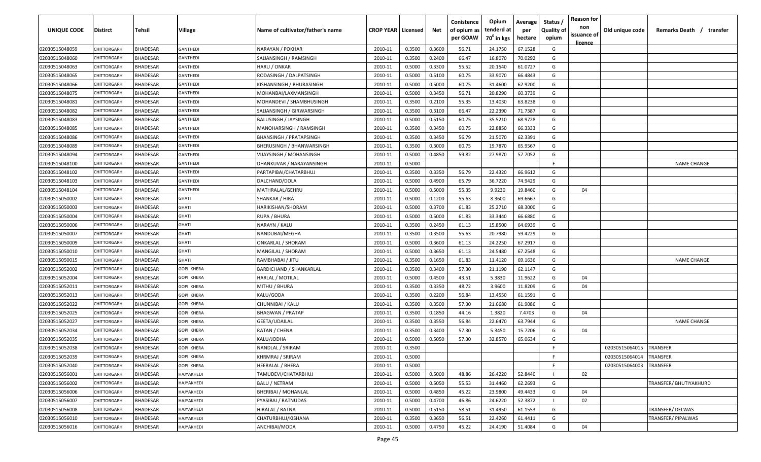| <b>UNIQUE CODE</b> | Distirct           | Tehsil          | Village           | Name of cultivator/father's name | <b>CROP YEAR   Licensed</b> |        | Net    | Conistence<br>of opium as<br>per GOAW | Opium<br>tenderd at<br>70 <sup>0</sup> in kgs | Average<br>per<br>hectare | Status /<br><b>Quality of</b><br>opium | <b>Reason for</b><br>non<br>issuance of | Old unique code | Remarks Death / transfer |
|--------------------|--------------------|-----------------|-------------------|----------------------------------|-----------------------------|--------|--------|---------------------------------------|-----------------------------------------------|---------------------------|----------------------------------------|-----------------------------------------|-----------------|--------------------------|
| 02030515048059     | CHITTORGARH        | <b>BHADESAR</b> | <b>GANTHEDI</b>   | NARAYAN / POKHAR                 | 2010-11                     | 0.3500 | 0.3600 | 56.71                                 | 24.1750                                       | 67.1528                   | G                                      | <u>licence</u>                          |                 |                          |
| 02030515048060     | CHITTORGARH        | BHADESAR        | <b>GANTHEDI</b>   | SAJJANSINGH / RAMSINGH           | 2010-11                     | 0.3500 | 0.2400 | 66.47                                 | 16.8070                                       | 70.0292                   | G                                      |                                         |                 |                          |
| 02030515048063     | <b>CHITTORGARH</b> | BHADESAR        | <b>GANTHEDI</b>   | HARU / ONKAR                     | 2010-11                     | 0.5000 | 0.3300 | 55.52                                 | 20.1540                                       | 61.0727                   | G                                      |                                         |                 |                          |
| 02030515048065     | CHITTORGARH        | <b>BHADESAR</b> | <b>GANTHEDI</b>   | RODASINGH / DALPATSINGH          | 2010-11                     | 0.5000 | 0.5100 | 60.75                                 | 33.9070                                       | 66.4843                   | G                                      |                                         |                 |                          |
| 02030515048066     | <b>CHITTORGARH</b> | BHADESAR        | <b>GANTHEDI</b>   | KISHANSINGH / BHURASINGH         | 2010-11                     | 0.5000 | 0.5000 | 60.75                                 | 31.4600                                       | 62.9200                   | G                                      |                                         |                 |                          |
| 02030515048075     | <b>CHITTORGARH</b> | <b>BHADESAR</b> | <b>GANTHEDI</b>   | MOHANBAI/LAXMANSINGH             | 2010-11                     | 0.5000 | 0.3450 | 56.71                                 | 20.8290                                       | 60.3739                   | G                                      |                                         |                 |                          |
| 02030515048081     | <b>CHITTORGARH</b> | BHADESAR        | GANTHEDI          | MOHANDEVI / SHAMBHUSINGH         | 2010-11                     | 0.3500 | 0.2100 | 55.35                                 | 13.4030                                       | 63.8238                   | G                                      |                                         |                 |                          |
| 02030515048082     | CHITTORGARH        | BHADESAR        | GANTHEDI          | SAJJANSINGH / GIRWARSINGH        | 2010-11                     | 0.3500 | 0.3100 | 66.47                                 | 22.2390                                       | 71.7387                   | G                                      |                                         |                 |                          |
| 02030515048083     | CHITTORGARH        | BHADESAR        | <b>GANTHEDI</b>   | <b>BALUSINGH / JAYSINGH</b>      | 2010-11                     | 0.5000 | 0.5150 | 60.75                                 | 35.5210                                       | 68.9728                   | G                                      |                                         |                 |                          |
| 02030515048085     | CHITTORGARH        | BHADESAR        | <b>GANTHEDI</b>   | MANOHARSINGH / RAMSINGH          | 2010-11                     | 0.3500 | 0.3450 | 60.75                                 | 22.8850                                       | 66.3333                   | G                                      |                                         |                 |                          |
| 02030515048086     | CHITTORGARF        | BHADESAR        | GANTHEDI          | BHANSINGH / PRATAPSINGH          | 2010-11                     | 0.3500 | 0.3450 | 56.79                                 | 21.5070                                       | 62.3391                   | G                                      |                                         |                 |                          |
| 02030515048089     | CHITTORGARH        | BHADESAR        | GANTHEDI          | <b>BHERUSINGH / BHANWARSINGH</b> | 2010-11                     | 0.3500 | 0.3000 | 60.75                                 | 19.7870                                       | 65.9567                   | G                                      |                                         |                 |                          |
| 02030515048094     | CHITTORGARH        | <b>BHADESAR</b> | GANTHEDI          | VIJAYSINGH / MOHANSINGH          | 2010-11                     | 0.5000 | 0.4850 | 59.82                                 | 27.9870                                       | 57.7052                   | G                                      |                                         |                 |                          |
| 02030515048100     | CHITTORGARI        | <b>BHADESAR</b> | GANTHEDI          | DHANKUVAR / NARAYANSINGH         | 2010-11                     | 0.5000 |        |                                       |                                               |                           | F.                                     |                                         |                 | <b>NAME CHANGE</b>       |
| 02030515048102     | CHITTORGARH        | <b>BHADESAR</b> | GANTHEDI          | PARTAPIBAI/CHATARBHUJ            | 2010-11                     | 0.3500 | 0.3350 | 56.79                                 | 22.4320                                       | 66.9612                   | G                                      |                                         |                 |                          |
| 02030515048103     | CHITTORGARH        | <b>BHADESAR</b> | <b>GANTHEDI</b>   | DALCHAND/DOLA                    | 2010-11                     | 0.5000 | 0.4900 | 65.79                                 | 36.7220                                       | 74.9429                   | G                                      |                                         |                 |                          |
| 02030515048104     | CHITTORGARH        | <b>BHADESAR</b> | <b>GANTHEDI</b>   | MATHRALAL/GEHRU                  | 2010-11                     | 0.5000 | 0.5000 | 55.35                                 | 9.9230                                        | 19.8460                   | G                                      | 04                                      |                 |                          |
| 02030515050002     | CHITTORGARH        | <b>BHADESAR</b> | <b>GHATI</b>      | SHANKAR / HIRA                   | 2010-11                     | 0.5000 | 0.1200 | 55.63                                 | 8.3600                                        | 69.6667                   | G                                      |                                         |                 |                          |
| 02030515050003     | CHITTORGARH        | <b>BHADESAR</b> | <b>GHATI</b>      | HARIKISHAN/SHORAM                | 2010-11                     | 0.5000 | 0.3700 | 61.83                                 | 25.2710                                       | 68.3000                   | G                                      |                                         |                 |                          |
| 02030515050004     | CHITTORGARH        | <b>BHADESAR</b> | <b>GHATI</b>      | RUPA / BHURA                     | 2010-11                     | 0.5000 | 0.5000 | 61.83                                 | 33.3440                                       | 66.6880                   | G                                      |                                         |                 |                          |
| 02030515050006     | CHITTORGARH        | <b>BHADESAR</b> | <b>GHATI</b>      | NARAYN / KALU                    | 2010-11                     | 0.3500 | 0.2450 | 61.13                                 | 15.8500                                       | 64.6939                   | G                                      |                                         |                 |                          |
| 02030515050007     | <b>CHITTORGARH</b> | <b>BHADESAR</b> | <b>GHATI</b>      | NANDUBAI/MEGHA                   | 2010-11                     | 0.3500 | 0.3500 | 55.63                                 | 20.7980                                       | 59.4229                   | G                                      |                                         |                 |                          |
| 02030515050009     | <b>CHITTORGARI</b> | <b>BHADESAR</b> | <b>GHATI</b>      | ONKARLAL / SHORAM                | 2010-11                     | 0.5000 | 0.3600 | 61.13                                 | 24.2250                                       | 67.2917                   | G                                      |                                         |                 |                          |
| 02030515050010     | CHITTORGARI        | BHADESAR        | <b>GHATI</b>      | MANGILAL / SHORAM                | 2010-11                     | 0.5000 | 0.3650 | 61.13                                 | 24.5480                                       | 67.2548                   | G                                      |                                         |                 |                          |
| 02030515050015     | CHITTORGARH        | BHADESAR        | <b>GHATI</b>      | RAMBHABAI / JITU                 | 2010-11                     | 0.3500 | 0.1650 | 61.83                                 | 11.4120                                       | 69.1636                   | G                                      |                                         |                 | <b>NAME CHANGE</b>       |
| 02030515052002     | CHITTORGARH        | BHADESAR        | <b>GOPI KHERA</b> | <b>BARDICHAND / SHANKARLAL</b>   | 2010-11                     | 0.3500 | 0.3400 | 57.30                                 | 21.1190                                       | 62.1147                   | G                                      |                                         |                 |                          |
| 02030515052004     | CHITTORGARF        | BHADESAR        | GOPI KHERA        | HARLAL / MOTILAL                 | 2010-11                     | 0.5000 | 0.4500 | 43.51                                 | 5.3830                                        | 11.9622                   | G                                      | 04                                      |                 |                          |
| 02030515052011     | CHITTORGARF        | BHADESAR        | GOPI KHERA        | MITHU / BHURA                    | 2010-11                     | 0.3500 | 0.3350 | 48.72                                 | 3.9600                                        | 11.8209                   | G                                      | 04                                      |                 |                          |
| 02030515052013     | CHITTORGARF        | BHADESAR        | GOPI KHERA        | KALU/GODA                        | 2010-11                     | 0.3500 | 0.2200 | 56.84                                 | 13.4550                                       | 61.1591                   | G                                      |                                         |                 |                          |
| 02030515052022     | CHITTORGARH        | <b>BHADESAR</b> | GOPI KHERA        | CHUNNIBAI / KALU                 | 2010-11                     | 0.3500 | 0.3500 | 57.30                                 | 21.6680                                       | 61.9086                   | G                                      |                                         |                 |                          |
| 02030515052025     | CHITTORGARH        | <b>BHADESAR</b> | GOPI KHERA        | <b>BHAGWAN / PRATAP</b>          | 2010-11                     | 0.3500 | 0.1850 | 44.16                                 | 1.3820                                        | 7.4703                    | G                                      | 04                                      |                 |                          |
| 02030515052027     | CHITTORGARI        | <b>BHADESAR</b> | GOPI KHERA        | GEETA/UDAILAL                    | 2010-11                     | 0.3500 | 0.3550 | 56.84                                 | 22.6470                                       | 63.7944                   | G                                      |                                         |                 | <b>NAME CHANGE</b>       |
| 02030515052034     | CHITTORGARI        | <b>BHADESAR</b> | <b>GOPI KHERA</b> | RATAN / CHENA                    | 2010-11                     | 0.3500 | 0.3400 | 57.30                                 | 5.3450                                        | 15.7206                   | G                                      | 04                                      |                 |                          |
| 02030515052035     | CHITTORGARH        | BHADESAR        | GOPI KHERA        | KALU/JODHA                       | 2010-11                     | 0.5000 | 0.5050 | 57.30                                 | 32.8570                                       | 65.0634                   | G                                      |                                         |                 |                          |
| 02030515052038     | CHITTORGARH        | BHADESAR        | <b>GOPI KHERA</b> | NANDLAL / SRIRAM                 | 2010-11                     | 0.3500 |        |                                       |                                               |                           | F                                      |                                         | 02030515064015  | <b>TRANSFER</b>          |
| 02030515052039     | <b>CHITTORGARH</b> | <b>BHADESAR</b> | <b>GOPI KHERA</b> | KHRMRAJ / SRIRAM                 | 2010-11                     | 0.5000 |        |                                       |                                               |                           | F.                                     |                                         | 02030515064014  | <b>TRANSFER</b>          |
| 02030515052040     | CHITTORGARH        | <b>BHADESAR</b> | <b>GOPI KHERA</b> | <b>HEERALAL / BHERA</b>          | 2010-11                     | 0.5000 |        |                                       |                                               |                           | F.                                     |                                         | 02030515064003  | <b>TRANSFER</b>          |
| 02030515056001     | CHITTORGARH        | <b>BHADESAR</b> | HAJYAKHEDI        | TAMUDEVI/CHATARBHUJ              | 2010-11                     | 0.5000 | 0.5000 | 48.86                                 | 26.4220                                       | 52.8440                   |                                        | 02                                      |                 |                          |
| 02030515056002     | CHITTORGARH        | <b>BHADESAR</b> | HAJYAKHEDI        | <b>BALU / NETRAM</b>             | 2010-11                     | 0.5000 | 0.5050 | 55.53                                 | 31.4460                                       | 62.2693                   | G                                      |                                         |                 | TRANSFER/ BHUTIYAKHURD   |
| 02030515056006     | <b>CHITTORGARH</b> | <b>BHADESAR</b> | HAJYAKHEDI        | BHERIBAI / MOHANLAL              | 2010-11                     | 0.5000 | 0.4850 | 45.22                                 | 23.9800                                       | 49.4433                   | G                                      | 04                                      |                 |                          |
| 02030515056007     | <b>CHITTORGARH</b> | BHADESAR        | HAJYAKHEDI        | PYASIBAI / RATNUDAS              | 2010-11                     | 0.5000 | 0.4700 | 46.86                                 | 24.6220                                       | 52.3872                   |                                        | 02                                      |                 |                          |
| 02030515056008     | CHITTORGARH        | <b>BHADESAR</b> | HAJYAKHEDI        | HIRALAL / RATNA                  | 2010-11                     | 0.5000 | 0.5150 | 58.51                                 | 31.4950                                       | 61.1553                   | G                                      |                                         |                 | TRANSFER/DELWAS          |
| 02030515056010     | CHITTORGARH        | BHADESAR        | HAJYAKHEDI        | CHATURBHUJ/KISHANA               | 2010-11                     | 0.3500 | 0.3650 | 56.51                                 | 22.4260                                       | 61.4411                   | G                                      |                                         |                 | TRANSFER/ PIPALWAS       |
| 02030515056016     | CHITTORGARH        | <b>BHADESAR</b> | HAJYAKHEDI        | ANCHIBAI/MODA                    | 2010-11                     | 0.5000 | 0.4750 | 45.22                                 | 24.4190                                       | 51.4084                   | G                                      | 04                                      |                 |                          |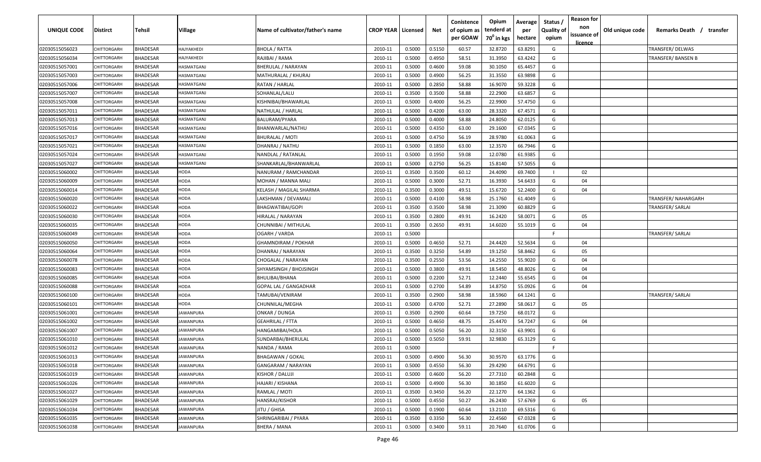| UNIQUE CODE    | <b>Distirct</b>    | Tehsil          | Village           | Name of cultivator/father's name | <b>CROP YEAR   Licensed</b> |        | Net    | Conistence<br>of opium as | Opium<br>tenderd at    | Average<br>per | Status<br><b>Quality of</b> | <b>Reason for</b><br>non<br>issuance of | Old unique code | Remarks Death / transfer |
|----------------|--------------------|-----------------|-------------------|----------------------------------|-----------------------------|--------|--------|---------------------------|------------------------|----------------|-----------------------------|-----------------------------------------|-----------------|--------------------------|
|                |                    |                 |                   |                                  |                             |        |        | per GOAW                  | 70 <sup>0</sup> in kgs | hectare        | opium                       | <u>licence</u>                          |                 |                          |
| 02030515056023 | CHITTORGARH        | <b>BHADESAR</b> | HAJYAKHEDI        | <b>BHOLA / RATTA</b>             | 2010-11                     | 0.5000 | 0.5150 | 60.57                     | 32.8720                | 63.8291        | G                           |                                         |                 | TRANSFER/DELWAS          |
| 02030515056034 | CHITTORGARH        | <b>BHADESAR</b> | HAJYAKHEDI        | RAJIBAI / RAMA                   | 2010-11                     | 0.5000 | 0.4950 | 58.51                     | 31.3950                | 63.4242        | G                           |                                         |                 | TRANSFER/ BANSEN B       |
| 02030515057001 | CHITTORGARH        | <b>BHADESAR</b> | HASMATGANJ        | BHERULAL / NARAYAN               | 2010-11                     | 0.5000 | 0.4600 | 59.08                     | 30.1050                | 65.4457        | G                           |                                         |                 |                          |
| 02030515057003 | CHITTORGARH        | <b>BHADESAR</b> | HASMATGANJ        | MATHURALAL / KHURAJ              | 2010-11                     | 0.5000 | 0.4900 | 56.25                     | 31.3550                | 63.9898        | G                           |                                         |                 |                          |
| 02030515057006 | CHITTORGARH        | <b>BHADESAR</b> | HASMATGANJ        | RATAN / HARLAL                   | 2010-11                     | 0.5000 | 0.2850 | 58.88                     | 16.9070                | 59.3228        | G                           |                                         |                 |                          |
| 02030515057007 | <b>CHITTORGARI</b> | <b>BHADESAR</b> | HASMATGANJ        | SOHANLAL/LALU                    | 2010-11                     | 0.3500 | 0.3500 | 58.88                     | 22.2900                | 63.6857        | G                           |                                         |                 |                          |
| 02030515057008 | <b>CHITTORGARI</b> | <b>BHADESAR</b> | HASMATGANJ        | KISHNIBAI/BHAWARLAL              | 2010-11                     | 0.5000 | 0.4000 | 56.25                     | 22.9900                | 57.4750        | G                           |                                         |                 |                          |
| 02030515057011 | <b>CHITTORGARH</b> | <b>BHADESAR</b> | HASMATGANJ        | NATHULAL / HARLAL                | 2010-11                     | 0.5000 | 0.4200 | 63.00                     | 28.3320                | 67.4571        | G                           |                                         |                 |                          |
| 02030515057013 | CHITTORGARH        | BHADESAR        | HASMATGANJ        | BALURAM/PYARA                    | 2010-11                     | 0.5000 | 0.4000 | 58.88                     | 24.8050                | 62.0125        | G                           |                                         |                 |                          |
| 02030515057016 | CHITTORGARH        | <b>BHADESAR</b> | <b>HASMATGANJ</b> | BHANWARLAL/NATHU                 | 2010-11                     | 0.5000 | 0.4350 | 63.00                     | 29.1600                | 67.0345        | G                           |                                         |                 |                          |
| 02030515057017 | CHITTORGARH        | <b>BHADESAR</b> | <b>HASMATGANJ</b> | BHURALAL / MOTI                  | 2010-11                     | 0.5000 | 0.4750 | 56.19                     | 28.9780                | 61.0063        | G                           |                                         |                 |                          |
| 02030515057021 | CHITTORGARH        | <b>BHADESAR</b> | <b>HASMATGANJ</b> | DHANRAJ / NATHU                  | 2010-11                     | 0.5000 | 0.1850 | 63.00                     | 12.3570                | 66.7946        | G                           |                                         |                 |                          |
| 02030515057024 | CHITTORGARH        | <b>BHADESAR</b> | HASMATGANJ        | NANDLAL / RATANLAL               | 2010-11                     | 0.5000 | 0.1950 | 59.08                     | 12.0780                | 61.9385        | G                           |                                         |                 |                          |
| 02030515057027 | CHITTORGARH        | <b>BHADESAR</b> | HASMATGANJ        | SHANKARLAL/BHANWARLAL            | 2010-11                     | 0.5000 | 0.2750 | 56.25                     | 15.8140                | 57.5055        | G                           |                                         |                 |                          |
| 02030515060002 | CHITTORGARH        | <b>BHADESAR</b> | HODA              | NANURAM / RAMCHANDAR             | 2010-11                     | 0.3500 | 0.3500 | 60.12                     | 24.4090                | 69.7400        | $\mathbf{I}$                | 02                                      |                 |                          |
| 02030515060009 | <b>CHITTORGARH</b> | <b>BHADESAR</b> | HODA              | MOHAN / MANNA MALI               | 2010-11                     | 0.5000 | 0.3000 | 52.71                     | 16.3930                | 54.6433        | G                           | 04                                      |                 |                          |
| 02030515060014 | CHITTORGARH        | <b>BHADESAR</b> | HODA              | KELASH / MAGILAL SHARMA          | 2010-11                     | 0.3500 | 0.3000 | 49.51                     | 15.6720                | 52.2400        | G                           | 04                                      |                 |                          |
| 02030515060020 | CHITTORGARH        | <b>BHADESAR</b> | HODA              | LAKSHMAN / DEVAMALI              | 2010-11                     | 0.5000 | 0.4100 | 58.98                     | 25.1760                | 61.4049        | G                           |                                         |                 | TRANSFER/ NAHARGARH      |
| 02030515060022 | CHITTORGARH        | <b>BHADESAR</b> | HODA              | BHAGWATIBAI/GOPI                 | 2010-11                     | 0.3500 | 0.3500 | 58.98                     | 21.3090                | 60.8829        | G                           |                                         |                 | TRANSFER/ SARLAI         |
| 02030515060030 | <b>CHITTORGARI</b> | <b>BHADESAR</b> | HODA              | HIRALAL / NARAYAN                | 2010-11                     | 0.3500 | 0.2800 | 49.91                     | 16.2420                | 58.0071        | G                           | 05                                      |                 |                          |
| 02030515060035 | <b>CHITTORGARI</b> | <b>BHADESAR</b> | HODA              | CHUNNIBAI / MITHULAL             | 2010-11                     | 0.3500 | 0.2650 | 49.91                     | 14.6020                | 55.1019        | G                           | 04                                      |                 |                          |
| 02030515060049 | <b>CHITTORGARI</b> | <b>BHADESAR</b> | HODA              | OGARH / VARDA                    | 2010-11                     | 0.5000 |        |                           |                        |                | -F                          |                                         |                 | TRANSFER/SARLAI          |
| 02030515060050 | <b>CHITTORGARI</b> | <b>BHADESAR</b> | HODA              | GHAMNDIRAM / POKHAR              | 2010-11                     | 0.5000 | 0.4650 | 52.71                     | 24.4420                | 52.5634        | G                           | 04                                      |                 |                          |
| 02030515060064 | <b>CHITTORGARI</b> | <b>BHADESAR</b> | HODA              | DHANRAJ / NARAYAN                | 2010-11                     | 0.3500 | 0.3250 | 54.89                     | 19.1250                | 58.8462        | G                           | 05                                      |                 |                          |
| 02030515060078 | <b>CHITTORGARH</b> | <b>BHADESAR</b> | HODA              | CHOGALAL / NARAYAN               | 2010-11                     | 0.3500 | 0.2550 | 53.56                     | 14.2550                | 55.9020        | G                           | 04                                      |                 |                          |
| 02030515060083 | CHITTORGARH        | <b>BHADESAR</b> | HODA              | SHYAMSINGH / BHOJSINGH           | 2010-11                     | 0.5000 | 0.3800 | 49.91                     | 18.5450                | 48.8026        | G                           | 04                                      |                 |                          |
| 02030515060085 | CHITTORGARI        | <b>BHADESAR</b> | HODA              | BHULIBAI/BHANA                   | 2010-11                     | 0.5000 | 0.2200 | 52.71                     | 12.2440                | 55.6545        | G                           | 04                                      |                 |                          |
| 02030515060088 | CHITTORGARF        | <b>BHADESAR</b> | HODA              | GOPAL LAL / GANGADHAR            | 2010-11                     | 0.5000 | 0.2700 | 54.89                     | 14.8750                | 55.0926        | G                           | 04                                      |                 |                          |
| 02030515060100 | CHITTORGARH        | <b>BHADESAR</b> | HODA              | TAMUBAI/VENIRAM                  | 2010-11                     | 0.3500 | 0.2900 | 58.98                     | 18.5960                | 64.1241        | G                           |                                         |                 | TRANSFER/ SARLAI         |
| 02030515060101 | CHITTORGARH        | <b>BHADESAR</b> | HODA              | CHUNNILAL/MEGHA                  | 2010-11                     | 0.5000 | 0.4700 | 52.71                     | 27.2890                | 58.0617        | G                           | 05                                      |                 |                          |
| 02030515061001 | CHITTORGARH        | <b>BHADESAR</b> | <b>IAWANPURA</b>  | ONKAR / DUNGA                    | 2010-11                     | 0.3500 | 0.2900 | 60.64                     | 19.7250                | 68.0172        | G                           |                                         |                 |                          |
| 02030515061002 | CHITTORGARI        | <b>BHADESAR</b> | JAWANPURA         | <b>GEAHRILAL / FTTA</b>          | 2010-11                     | 0.5000 | 0.4650 | 48.75                     | 25.4470                | 54.7247        | G                           | 04                                      |                 |                          |
| 02030515061007 | CHITTORGARH        | <b>BHADESAR</b> | JAWANPURA         | HANGAMIBAI/HOLA                  | 2010-11                     | 0.5000 | 0.5050 | 56.20                     | 32.3150                | 63.9901        | G                           |                                         |                 |                          |
| 02030515061010 | CHITTORGARH        | <b>BHADESAR</b> | JAWANPURA         | SUNDARBAI/BHERULAL               | 2010-11                     | 0.5000 | 0.5050 | 59.91                     | 32.9830                | 65.3129        | G                           |                                         |                 |                          |
| 02030515061012 | CHITTORGARH        | <b>BHADESAR</b> | JAWANPURA         | NANDA / RAMA                     | 2010-11                     | 0.5000 |        |                           |                        |                | F                           |                                         |                 |                          |
| 02030515061013 | CHITTORGARH        | <b>BHADESAR</b> | <b>JAWANPURA</b>  | BHAGAWAN / GOKAL                 | 2010-11                     | 0.5000 | 0.4900 | 56.30                     | 30.9570                | 63.1776        | G                           |                                         |                 |                          |
| 02030515061018 | CHITTORGARH        | <b>BHADESAR</b> | <b>JAWANPURA</b>  | GANGARAM / NARAYAN               | 2010-11                     | 0.5000 | 0.4550 | 56.30                     | 29.4290                | 64.6791        | G                           |                                         |                 |                          |
| 02030515061019 | CHITTORGARH        | <b>BHADESAR</b> | <b>JAWANPURA</b>  | KISHOR / DALUJI                  | 2010-11                     | 0.5000 | 0.4600 | 56.20                     | 27.7310                | 60.2848        | G                           |                                         |                 |                          |
| 02030515061026 | CHITTORGARH        | <b>BHADESAR</b> | JAWANPURA         | HAJARI / KISHANA                 | 2010-11                     | 0.5000 | 0.4900 | 56.30                     | 30.1850                | 61.6020        | G                           |                                         |                 |                          |
| 02030515061027 | CHITTORGARH        | <b>BHADESAR</b> | <b>JAWANPURA</b>  | RAMLAL / MOTI                    | 2010-11                     | 0.3500 | 0.3450 | 56.20                     | 22.1270                | 64.1362        | G                           |                                         |                 |                          |
| 02030515061029 | <b>CHITTORGARH</b> | <b>BHADESAR</b> | JAWANPURA         | HANSRAJ/KISHOR                   | 2010-11                     | 0.5000 | 0.4550 | 50.27                     | 26.2430                | 57.6769        | G                           | 05                                      |                 |                          |
| 02030515061034 | CHITTORGARH        | <b>BHADESAR</b> | JAWANPURA         | JITU / GHISA                     | 2010-11                     | 0.5000 | 0.1900 | 60.64                     | 13.2110                | 69.5316        | G                           |                                         |                 |                          |
| 02030515061035 | CHITTORGARH        | <b>BHADESAR</b> | JAWANPURA         | SHRINGARIBAI / PYARA             | 2010-11                     | 0.3500 | 0.3350 | 56.30                     | 22.4560                | 67.0328        | G                           |                                         |                 |                          |
| 02030515061038 | CHITTORGARH        | <b>BHADESAR</b> | JAWANPURA         | BHERA / MANA                     | 2010-11                     | 0.5000 | 0.3400 | 59.11                     | 20.7640                | 61.0706        | G                           |                                         |                 |                          |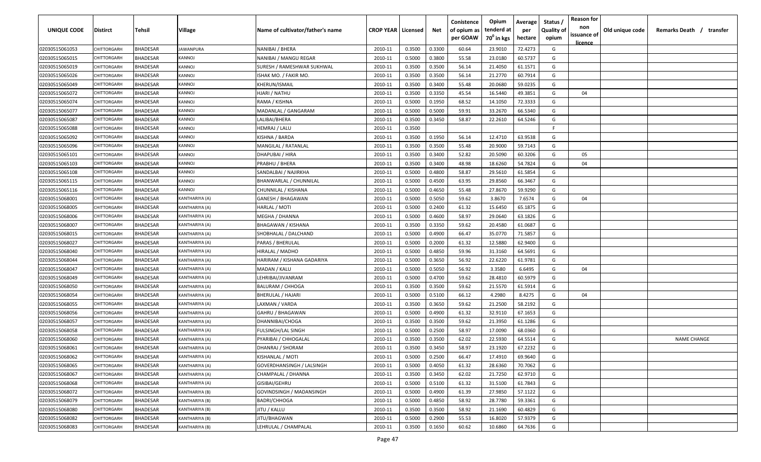| <b>UNIQUE CODE</b> | Distirct           | Tehsil          | Village          | Name of cultivator/father's name | <b>CROP YEAR   Licensed</b> |        | Net    | Conistence<br>of opium as<br>per GOAW | Opium<br>tenderd at<br>70 <sup>0</sup> in kgs | Average<br>per<br>hectare | Status /<br>Quality of<br>opium | <b>Reason for</b><br>non<br>issuance of | Old unique code | Remarks Death / transfer |
|--------------------|--------------------|-----------------|------------------|----------------------------------|-----------------------------|--------|--------|---------------------------------------|-----------------------------------------------|---------------------------|---------------------------------|-----------------------------------------|-----------------|--------------------------|
| 02030515061053     | CHITTORGARH        | <b>BHADESAR</b> | <b>JAWANPURA</b> | NANIBAI / BHERA                  | 2010-11                     | 0.3500 | 0.3300 | 60.64                                 | 23.9010                                       | 72.4273                   | G                               | <u>licence</u>                          |                 |                          |
| 02030515065015     | CHITTORGARH        | BHADESAR        | KANNOJ           | NANIBAI / MANGU REGAR            | 2010-11                     | 0.5000 | 0.3800 | 55.58                                 | 23.0180                                       | 60.5737                   | G                               |                                         |                 |                          |
| 02030515065019     | CHITTORGARH        | BHADESAR        | KANNOJ           | SURESH / RAMESHWAR SUKHWAL       | 2010-11                     | 0.3500 | 0.3500 | 56.14                                 | 21.4050                                       | 61.1571                   | G                               |                                         |                 |                          |
| 02030515065026     | CHITTORGARH        | <b>BHADESAR</b> | KANNOJ           | ISHAK MO. / FAKIR MO.            | 2010-11                     | 0.3500 | 0.3500 | 56.14                                 | 21.2770                                       | 60.7914                   | G                               |                                         |                 |                          |
| 02030515065049     | <b>CHITTORGARH</b> | BHADESAR        | KANNOJ           | KHERUN/ISMAIL                    | 2010-11                     | 0.3500 | 0.3400 | 55.48                                 | 20.0680                                       | 59.0235                   | G                               |                                         |                 |                          |
| 02030515065072     | <b>CHITTORGARH</b> | <b>BHADESAR</b> | KANNOJ           | HJARI / NATHU                    | 2010-11                     | 0.3500 | 0.3350 | 45.54                                 | 16.5440                                       | 49.3851                   | G                               | 04                                      |                 |                          |
| 02030515065074     | <b>CHITTORGARH</b> | <b>BHADESAR</b> | KANNOJ           | RAMA / KISHNA                    | 2010-11                     | 0.5000 | 0.1950 | 68.52                                 | 14.1050                                       | 72.3333                   | G                               |                                         |                 |                          |
| 02030515065077     | <b>CHITTORGARH</b> | BHADESAR        | KANNOJ           | MADANLAL / GANGARAM              | 2010-11                     | 0.5000 | 0.5000 | 59.91                                 | 33.2670                                       | 66.5340                   | G                               |                                         |                 |                          |
| 02030515065087     | CHITTORGARH        | BHADESAR        | KANNOJ           | LALIBAI/BHERA                    | 2010-11                     | 0.3500 | 0.3450 | 58.87                                 | 22.2610                                       | 64.5246                   | G                               |                                         |                 |                          |
| 02030515065088     | CHITTORGARH        | BHADESAR        | KANNOJ           | HEMRAJ / LALU                    | 2010-11                     | 0.3500 |        |                                       |                                               |                           | F.                              |                                         |                 |                          |
| 02030515065092     | CHITTORGARF        | BHADESAR        | <b>(ANNOJ</b>    | KISHNA / BARDA                   | 2010-11                     | 0.3500 | 0.1950 | 56.14                                 | 12.4710                                       | 63.9538                   | G                               |                                         |                 |                          |
| 02030515065096     | CHITTORGARH        | BHADESAR        | <b>(ANNOJ</b>    | MANGILAL / RATANLAL              | 2010-11                     | 0.3500 | 0.3500 | 55.48                                 | 20.9000                                       | 59.7143                   | G                               |                                         |                 |                          |
| 02030515065101     | CHITTORGARH        | <b>BHADESAR</b> | <b>(ANNOJ</b>    | DHAPUBAI / HIRA                  | 2010-11                     | 0.3500 | 0.3400 | 52.82                                 | 20.5090                                       | 60.3206                   | G                               | 05                                      |                 |                          |
| 02030515065103     | CHITTORGARH        | <b>BHADESAR</b> | <b>(ANNOJ</b>    | PRABHU / BHERA                   | 2010-11                     | 0.3500 | 0.3400 | 48.98                                 | 18.6260                                       | 54.7824                   | G                               | 04                                      |                 |                          |
| 02030515065108     | CHITTORGARH        | <b>BHADESAR</b> | <b>(ANNOJ</b>    | SANDALBAI / NAJIRKHA             | 2010-11                     | 0.5000 | 0.4800 | 58.87                                 | 29.5610                                       | 61.5854                   | G                               |                                         |                 |                          |
| 02030515065115     | CHITTORGARH        | <b>BHADESAR</b> | KANNOJ           | <b>BHANWARLAL / CHUNNILAL</b>    | 2010-11                     | 0.5000 | 0.4500 | 63.95                                 | 29.8560                                       | 66.3467                   | G                               |                                         |                 |                          |
| 02030515065116     | CHITTORGARH        | <b>BHADESAR</b> | KANNOJ           | CHUNNILAL / KISHANA              | 2010-11                     | 0.5000 | 0.4650 | 55.48                                 | 27.8670                                       | 59.9290                   | G                               |                                         |                 |                          |
| 02030515068001     | CHITTORGARH        | <b>BHADESAR</b> | KANTHARIYA (A)   | GANESH / BHAGAWAN                | 2010-11                     | 0.5000 | 0.5050 | 59.62                                 | 3.8670                                        | 7.6574                    | G                               | 04                                      |                 |                          |
| 02030515068005     | CHITTORGARH        | <b>BHADESAR</b> | KANTHARIYA (A)   | HARLAL / MOTI                    | 2010-11                     | 0.5000 | 0.2400 | 61.32                                 | 15.6450                                       | 65.1875                   | G                               |                                         |                 |                          |
| 02030515068006     | CHITTORGARH        | <b>BHADESAR</b> | KANTHARIYA (A)   | MEGHA / DHANNA                   | 2010-11                     | 0.5000 | 0.4600 | 58.97                                 | 29.0640                                       | 63.1826                   | G                               |                                         |                 |                          |
| 02030515068007     | CHITTORGARH        | <b>BHADESAR</b> | KANTHARIYA (A)   | <b>BHAGAWAN / KISHANA</b>        | 2010-11                     | 0.3500 | 0.3350 | 59.62                                 | 20.4580                                       | 61.0687                   | G                               |                                         |                 |                          |
| 02030515068015     | <b>CHITTORGARH</b> | <b>BHADESAR</b> | KANTHARIYA (A)   | SHOBHALAL / DALCHAND             | 2010-11                     | 0.5000 | 0.4900 | 66.47                                 | 35.0770                                       | 71.5857                   | G                               |                                         |                 |                          |
| 02030515068027     | <b>CHITTORGARI</b> | <b>BHADESAR</b> | (ANTHARIYA (A)   | PARAS / BHERULAL                 | 2010-11                     | 0.5000 | 0.2000 | 61.32                                 | 12.5880                                       | 62.9400                   | G                               |                                         |                 |                          |
| 02030515068040     | <b>CHITTORGARH</b> | <b>BHADESAR</b> | (ANTHARIYA (A)   | HIRALAL / MADHO                  | 2010-11                     | 0.5000 | 0.4850 | 59.96                                 | 31.3160                                       | 64.5691                   | G                               |                                         |                 |                          |
| 02030515068044     | CHITTORGARH        | BHADESAR        | KANTHARIYA (A)   | HARIRAM / KISHANA GADARIYA       | 2010-11                     | 0.5000 | 0.3650 | 56.92                                 | 22.6220                                       | 61.9781                   | G                               |                                         |                 |                          |
| 02030515068047     | CHITTORGARH        | BHADESAR        | KANTHARIYA (A)   | MADAN / KALU                     | 2010-11                     | 0.5000 | 0.5050 | 56.92                                 | 3.3580                                        | 6.6495                    | G                               | 04                                      |                 |                          |
| 02030515068049     | CHITTORGARF        | BHADESAR        | (ANTHARIYA (A)   | LEHRIBAI/JIVANRAM                | 2010-11                     | 0.5000 | 0.4700 | 59.62                                 | 28.4810                                       | 60.5979                   | G                               |                                         |                 |                          |
| 02030515068050     | CHITTORGARF        | BHADESAR        | (ANTHARIYA (A)   | BALURAM / CHHOGA                 | 2010-11                     | 0.3500 | 0.3500 | 59.62                                 | 21.5570                                       | 61.5914                   | G                               |                                         |                 |                          |
| 02030515068054     | CHITTORGARH        | BHADESAR        | (ANTHARIYA (A    | <b>BHERULAL / HAJARI</b>         | 2010-11                     | 0.5000 | 0.5100 | 66.12                                 | 4.2980                                        | 8.4275                    | G                               | 04                                      |                 |                          |
| 02030515068055     | CHITTORGARH        | <b>BHADESAR</b> | KANTHARIYA (A)   | LAXMAN / VARDA                   | 2010-11                     | 0.3500 | 0.3650 | 59.62                                 | 21.2500                                       | 58.2192                   | G                               |                                         |                 |                          |
| 02030515068056     | CHITTORGARH        | <b>BHADESAR</b> | KANTHARIYA (A)   | GAHRU / BHAGAWAN                 | 2010-11                     | 0.5000 | 0.4900 | 61.32                                 | 32.9110                                       | 67.1653                   | G                               |                                         |                 |                          |
| 02030515068057     | CHITTORGARI        | <b>BHADESAR</b> | KANTHARIYA (A)   | DHANNIBAI/CHOGA                  | 2010-11                     | 0.3500 | 0.3500 | 59.62                                 | 21.3950                                       | 61.1286                   | G                               |                                         |                 |                          |
| 02030515068058     | CHITTORGARI        | <b>BHADESAR</b> | KANTHARIYA (A)   | <b>FULSINGH/LAL SINGH</b>        | 2010-11                     | 0.5000 | 0.2500 | 58.97                                 | 17.0090                                       | 68.0360                   | G                               |                                         |                 |                          |
| 02030515068060     | CHITTORGARH        | <b>BHADESAR</b> | KANTHARIYA (A)   | PYARIBAI / CHHOGALAL             | 2010-11                     | 0.3500 | 0.3500 | 62.02                                 | 22.5930                                       | 64.5514                   | G                               |                                         |                 | <b>NAME CHANGE</b>       |
| 02030515068061     | CHITTORGARH        | BHADESAR        | KANTHARIYA (A)   | DHANRAJ / SHORAM                 | 2010-11                     | 0.3500 | 0.3450 | 58.97                                 | 23.1920                                       | 67.2232                   | G                               |                                         |                 |                          |
| 02030515068062     | <b>CHITTORGARH</b> | <b>BHADESAR</b> | KANTHARIYA (A)   | KISHANLAL / MOTI                 | 2010-11                     | 0.5000 | 0.2500 | 66.47                                 | 17.4910                                       | 69.9640                   | G                               |                                         |                 |                          |
| 02030515068065     | CHITTORGARH        | <b>BHADESAR</b> | KANTHARIYA (A)   | GOVERDHANSINGH / LALSINGH        | 2010-11                     | 0.5000 | 0.4050 | 61.32                                 | 28.6360                                       | 70.7062                   | G                               |                                         |                 |                          |
| 02030515068067     | CHITTORGARH        | <b>BHADESAR</b> | KANTHARIYA (A)   | CHAMPALAL / DHANNA               | 2010-11                     | 0.3500 | 0.3450 | 62.02                                 | 21.7250                                       | 62.9710                   | G                               |                                         |                 |                          |
| 02030515068068     | CHITTORGARH        | <b>BHADESAR</b> | KANTHARIYA (A)   | GISIBAI/GEHRU                    | 2010-11                     | 0.5000 | 0.5100 | 61.32                                 | 31.5100                                       | 61.7843                   | G                               |                                         |                 |                          |
| 02030515068072     | <b>CHITTORGARH</b> | <b>BHADESAR</b> | KANTHARIYA (B)   | GOVINDSINGH / MADANSINGH         | 2010-11                     | 0.5000 | 0.4900 | 61.39                                 | 27.9850                                       | 57.1122                   | G                               |                                         |                 |                          |
| 02030515068079     | <b>CHITTORGARH</b> | <b>BHADESAR</b> | KANTHARIYA (B)   | <b>BADRI/CHHOGA</b>              | 2010-11                     | 0.5000 | 0.4850 | 58.92                                 | 28.7780                                       | 59.3361                   | G                               |                                         |                 |                          |
| 02030515068080     | CHITTORGARH        | <b>BHADESAR</b> | KANTHARIYA (B)   | JITU / KALLU                     | 2010-11                     | 0.3500 | 0.3500 | 58.92                                 | 21.1690                                       | 60.4829                   | G                               |                                         |                 |                          |
| 02030515068082     | CHITTORGARH        | <b>BHADESAR</b> | KANTHARIYA (B)   | JITU/BHAGWAN                     | 2010-11                     | 0.5000 | 0.2900 | 55.53                                 | 16.8020                                       | 57.9379                   | G                               |                                         |                 |                          |
| 02030515068083     | CHITTORGARH        | <b>BHADESAR</b> | KANTHARIYA (B)   | LEHRULAL / CHAMPALAL             | 2010-11                     | 0.3500 | 0.1650 | 60.62                                 | 10.6860                                       | 64.7636                   | G                               |                                         |                 |                          |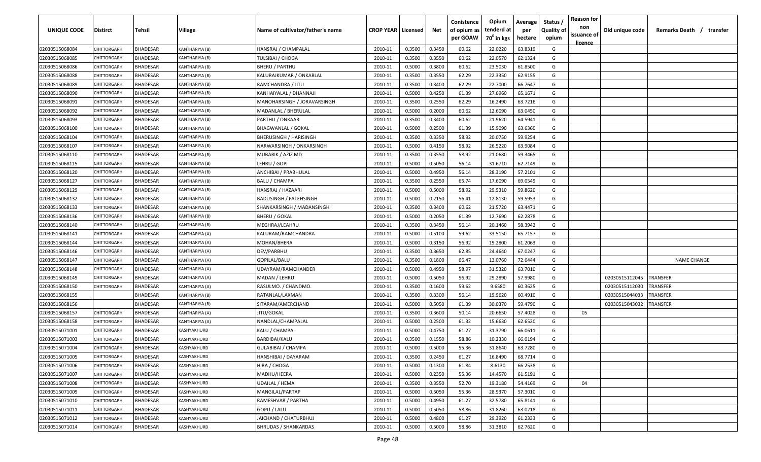| UNIQUE CODE    | Distirct           | Tehsil          | Village        | Name of cultivator/father's name | <b>CROP YEAR   Licensed</b> |        | Net    | Conistence<br>of opium as | Opium<br>tenderd at    | Average<br>per | Status /<br><b>Quality of</b> | <b>Reason for</b><br>non      | Old unique code | Remarks Death / transfer |
|----------------|--------------------|-----------------|----------------|----------------------------------|-----------------------------|--------|--------|---------------------------|------------------------|----------------|-------------------------------|-------------------------------|-----------------|--------------------------|
|                |                    |                 |                |                                  |                             |        |        | per GOAW                  | 70 <sup>0</sup> in kgs | hectare        | opium                         | issuance of<br><u>licence</u> |                 |                          |
| 02030515068084 | CHITTORGARH        | <b>BHADESAR</b> | KANTHARIYA (B) | HANSRAJ / CHAMPALAL              | 2010-11                     | 0.3500 | 0.3450 | 60.62                     | 22.0220                | 63.8319        | G                             |                               |                 |                          |
| 02030515068085 | CHITTORGARH        | BHADESAR        | KANTHARIYA (B) | <b>TULSIBAI / CHOGA</b>          | 2010-11                     | 0.3500 | 0.3550 | 60.62                     | 22.0570                | 62.1324        | G                             |                               |                 |                          |
| 02030515068086 | <b>CHITTORGARH</b> | BHADESAR        | KANTHARIYA (B) | <b>BHERU / PARTHU</b>            | 2010-11                     | 0.5000 | 0.3800 | 60.62                     | 23.5030                | 61.8500        | G                             |                               |                 |                          |
| 02030515068088 | CHITTORGARH        | BHADESAR        | KANTHARIYA (B) | KALURAJKUMAR / ONKARLAL          | 2010-11                     | 0.3500 | 0.3550 | 62.29                     | 22.3350                | 62.9155        | G                             |                               |                 |                          |
| 02030515068089 | CHITTORGARH        | BHADESAR        | KANTHARIYA (B) | RAMCHANDRA / JITU                | 2010-11                     | 0.3500 | 0.3400 | 62.29                     | 22.7000                | 66.7647        | G                             |                               |                 |                          |
| 02030515068090 | CHITTORGARH        | <b>BHADESAR</b> | KANTHARIYA (B) | KANHAIYALAL / DHANNAJI           | 2010-11                     | 0.5000 | 0.4250 | 61.39                     | 27.6960                | 65.1671        | G                             |                               |                 |                          |
| 02030515068091 | <b>CHITTORGARH</b> | BHADESAR        | (ANTHARIYA (B) | MANOHARSINGH / JORAVARSINGH      | 2010-11                     | 0.3500 | 0.2550 | 62.29                     | 16.2490                | 63.7216        | G                             |                               |                 |                          |
| 02030515068092 | CHITTORGARH        | BHADESAR        | KANTHARIYA (B) | MADANLAL / BHERULAL              | 2010-11                     | 0.5000 | 0.2000 | 60.62                     | 12.6090                | 63.0450        | G                             |                               |                 |                          |
| 02030515068093 | CHITTORGARH        | BHADESAR        | KANTHARIYA (B) | PARTHU / ONKAAR                  | 2010-11                     | 0.3500 | 0.3400 | 60.62                     | 21.9620                | 64.5941        | G                             |                               |                 |                          |
| 02030515068100 | CHITTORGARH        | BHADESAR        | KANTHARIYA (B) | <b>BHAGWANLAL / GOKAL</b>        | 2010-11                     | 0.5000 | 0.2500 | 61.39                     | 15.9090                | 63.6360        | G                             |                               |                 |                          |
| 02030515068104 | CHITTORGARF        | BHADESAR        | (ANTHARIYA (B) | BHERUSINGH / HARISINGH           | 2010-11                     | 0.3500 | 0.3350 | 58.92                     | 20.0750                | 59.9254        | G                             |                               |                 |                          |
| 02030515068107 | CHITTORGARH        | BHADESAR        | (ANTHARIYA (B) | NARWARSINGH / ONKARSINGH         | 2010-11                     | 0.5000 | 0.4150 | 58.92                     | 26.5220                | 63.9084        | G                             |                               |                 |                          |
| 02030515068110 | CHITTORGARH        | <b>BHADESAR</b> | KANTHARIYA (B) | MUBARIK / AZIZ MD                | 2010-11                     | 0.3500 | 0.3550 | 58.92                     | 21.0680                | 59.3465        | G                             |                               |                 |                          |
| 02030515068115 | CHITTORGARH        | <b>BHADESAR</b> | KANTHARIYA (B) | LEHRU / GOPI                     | 2010-11                     | 0.5000 | 0.5050 | 56.14                     | 31.6710                | 62.7149        | G                             |                               |                 |                          |
| 02030515068120 | CHITTORGARH        | <b>BHADESAR</b> | KANTHARIYA (B) | ANCHIBAI / PRABHULAL             | 2010-11                     | 0.5000 | 0.4950 | 56.14                     | 28.3190                | 57.2101        | G                             |                               |                 |                          |
| 02030515068127 | CHITTORGARH        | <b>BHADESAR</b> | KANTHARIYA (B) | <b>BALU / CHAMPA</b>             | 2010-11                     | 0.3500 | 0.2550 | 65.74                     | 17.6090                | 69.0549        | G                             |                               |                 |                          |
| 02030515068129 | CHITTORGARH        | <b>BHADESAR</b> | KANTHARIYA (B) | HANSRAJ / HAZAARI                | 2010-11                     | 0.5000 | 0.5000 | 58.92                     | 29.9310                | 59.8620        | G                             |                               |                 |                          |
| 02030515068132 | CHITTORGARH        | <b>BHADESAR</b> | KANTHARIYA (B) | <b>BADUSINGH / FATEHSINGH</b>    | 2010-11                     | 0.5000 | 0.2150 | 56.41                     | 12.8130                | 59.5953        | G                             |                               |                 |                          |
| 02030515068133 | CHITTORGARH        | <b>BHADESAR</b> | KANTHARIYA (B) | SHANKARSINGH / MADANSINGH        | 2010-11                     | 0.3500 | 0.3400 | 60.62                     | 21.5720                | 63.4471        | G                             |                               |                 |                          |
| 02030515068136 | CHITTORGARH        | <b>BHADESAR</b> | KANTHARIYA (B) | <b>BHERU / GOKAL</b>             | 2010-11                     | 0.5000 | 0.2050 | 61.39                     | 12.7690                | 62.2878        | G                             |                               |                 |                          |
| 02030515068140 | CHITTORGARH        | <b>BHADESAR</b> | KANTHARIYA (B) | MEGHRAJ/LEAHRU                   | 2010-11                     | 0.3500 | 0.3450 | 56.14                     | 20.1460                | 58.3942        | G                             |                               |                 |                          |
| 02030515068141 | <b>CHITTORGARH</b> | <b>BHADESAR</b> | KANTHARIYA (A) | KALURAM/RAMCHANDRA               | 2010-11                     | 0.5000 | 0.5100 | 59.62                     | 33.5150                | 65.7157        | G                             |                               |                 |                          |
| 02030515068144 | <b>CHITTORGARI</b> | <b>BHADESAR</b> | (ANTHARIYA (A) | MOHAN/BHERA                      | 2010-11                     | 0.5000 | 0.3150 | 56.92                     | 19.2800                | 61.2063        | G                             |                               |                 |                          |
| 02030515068146 | <b>CHITTORGARI</b> | BHADESAR        | (ANTHARIYA (A) | DEV/PARBHU                       | 2010-11                     | 0.3500 | 0.3650 | 62.85                     | 24.4640                | 67.0247        | G                             |                               |                 |                          |
| 02030515068147 | CHITTORGARH        | BHADESAR        | KANTHARIYA (A) | GOPILAL/BALU                     | 2010-11                     | 0.3500 | 0.1800 | 66.47                     | 13.0760                | 72.6444        | G                             |                               |                 | <b>NAME CHANGE</b>       |
| 02030515068148 | CHITTORGARH        | BHADESAR        | KANTHARIYA (A) | UDAYRAM/RAMCHANDER               | 2010-11                     | 0.5000 | 0.4950 | 58.97                     | 31.5320                | 63.7010        | G                             |                               |                 |                          |
| 02030515068149 | CHITTORGARF        | BHADESAR        | (ANTHARIYA (A) | MADAN / LEHRU                    | 2010-11                     | 0.5000 | 0.5050 | 56.92                     | 29.2890                | 57.9980        | G                             |                               | 02030515112045  | TRANSFER                 |
| 02030515068150 | CHITTORGARH        | BHADESAR        | (ANTHARIYA (A  | RASULMO. / CHANDMO.              | 2010-11                     | 0.3500 | 0.1600 | 59.62                     | 9.6580                 | 60.3625        | G                             |                               | 02030515112030  | TRANSFER                 |
| 02030515068155 |                    | BHADESAR        | (ANTHARIYA (B) | RATANLAL/LAXMAN                  | 2010-11                     | 0.3500 | 0.3300 | 56.14                     | 19.9620                | 60.4910        | G                             |                               | 02030515044033  | TRANSFER                 |
| 02030515068156 |                    | BHADESAR        | KANTHARIYA (B) | SITARAM/AMERCHAND                | 2010-11                     | 0.5000 | 0.5050 | 61.39                     | 30.0370                | 59.4790        | G                             |                               | 02030515043032  | TRANSFER                 |
| 02030515068157 | CHITTORGARH        | <b>BHADESAR</b> | KANTHARIYA (A) | JITU/GOKAL                       | 2010-11                     | 0.3500 | 0.3600 | 50.14                     | 20.6650                | 57.4028        | G                             | 05                            |                 |                          |
| 02030515068158 | <b>CHITTORGARH</b> | <b>BHADESAR</b> | (ANTHARIYA (A  | NANDLAL/CHAMPALAL                | 2010-11                     | 0.5000 | 0.2500 | 61.32                     | 15.6630                | 62.6520        | G                             |                               |                 |                          |
| 02030515071001 | CHITTORGARI        | <b>BHADESAR</b> | KASHYAKHURD    | KALU / CHAMPA                    | 2010-11                     | 0.5000 | 0.4750 | 61.27                     | 31.3790                | 66.0611        | G                             |                               |                 |                          |
| 02030515071003 | CHITTORGARH        | BHADESAR        | KASHYAKHURD    | BARDIBAI/KALU                    | 2010-11                     | 0.3500 | 0.1550 | 58.86                     | 10.2330                | 66.0194        | G                             |                               |                 |                          |
| 02030515071004 | CHITTORGARH        | BHADESAR        | KASHYAKHURD    | <b>GULABIBAI / CHAMPA</b>        | 2010-11                     | 0.5000 | 0.5000 | 55.36                     | 31.8640                | 63.7280        | G                             |                               |                 |                          |
| 02030515071005 | <b>CHITTORGARH</b> | <b>BHADESAR</b> | KASHYAKHURD    | HANSHIBAI / DAYARAM              | 2010-11                     | 0.3500 | 0.2450 | 61.27                     | 16.8490                | 68.7714        | G                             |                               |                 |                          |
| 02030515071006 | CHITTORGARH        | <b>BHADESAR</b> | KASHYAKHURD    | HIRA / CHOGA                     | 2010-11                     | 0.5000 | 0.1300 | 61.84                     | 8.6130                 | 66.2538        | G                             |                               |                 |                          |
| 02030515071007 | CHITTORGARH        | <b>BHADESAR</b> | KASHYAKHURD    | MADHU/HEERA                      | 2010-11                     | 0.5000 | 0.2350 | 55.36                     | 14.4570                | 61.5191        | G                             |                               |                 |                          |
| 02030515071008 | CHITTORGARH        | <b>BHADESAR</b> | KASHYAKHURD    | UDAILAL / HEMA                   | 2010-11                     | 0.3500 | 0.3550 | 52.70                     | 19.3180                | 54.4169        | G                             | 04                            |                 |                          |
| 02030515071009 | CHITTORGARH        | <b>BHADESAR</b> | KASHYAKHURD    | MANGILAL/PARTAP                  | 2010-11                     | 0.5000 | 0.5050 | 55.36                     | 28.9370                | 57.3010        | G                             |                               |                 |                          |
| 02030515071010 | <b>CHITTORGARH</b> | <b>BHADESAR</b> | KASHYAKHURD    | RAMESHVAR / PARTHA               | 2010-11                     | 0.5000 | 0.4950 | 61.27                     | 32.5780                | 65.8141        | G                             |                               |                 |                          |
| 02030515071011 | CHITTORGARH        | <b>BHADESAR</b> | KASHYAKHURD    | GOPU / LALU                      | 2010-11                     | 0.5000 | 0.5050 | 58.86                     | 31.8260                | 63.0218        | G                             |                               |                 |                          |
| 02030515071012 | CHITTORGARH        | <b>BHADESAR</b> | KASHYAKHURD    | JAICHAND / CHATURBHUJ            | 2010-11                     | 0.5000 | 0.4800 | 61.27                     | 29.3920                | 61.2333        | G                             |                               |                 |                          |
| 02030515071014 | CHITTORGARH        | <b>BHADESAR</b> | KASHYAKHURD    | <b>BHRUDAS / SHANKARDAS</b>      | 2010-11                     | 0.5000 | 0.5000 | 58.86                     | 31.3810                | 62.7620        | G                             |                               |                 |                          |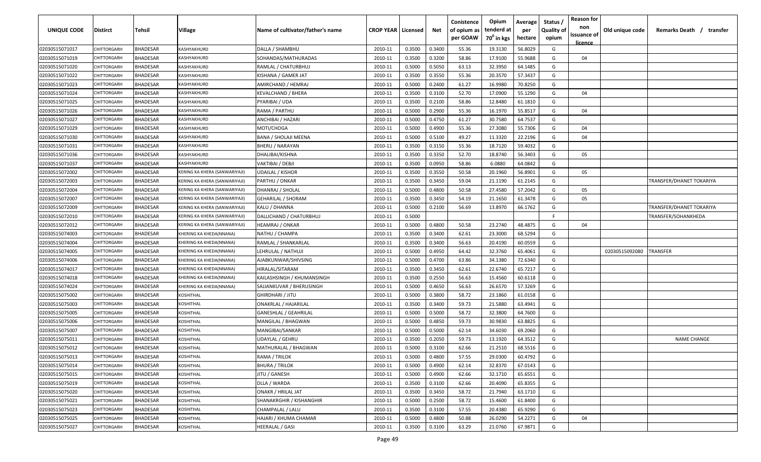| <b>UNIQUE CODE</b> | Distirct           | Tehsil          | Village                       | Name of cultivator/father's name | <b>CROP YEAR   Licensed</b> |        | Net    | Conistence<br>of opium as | Opium<br>tenderd at    | Average<br>per | Status /<br><b>Quality of</b> | <b>Reason for</b><br>non<br>issuance of | Old unique code | Remarks Death / transfer |
|--------------------|--------------------|-----------------|-------------------------------|----------------------------------|-----------------------------|--------|--------|---------------------------|------------------------|----------------|-------------------------------|-----------------------------------------|-----------------|--------------------------|
|                    |                    |                 |                               |                                  |                             |        |        | per GOAW                  | 70 <sup>0</sup> in kgs | hectare        | opium                         | <u>licence</u>                          |                 |                          |
| 02030515071017     | CHITTORGARH        | <b>BHADESAR</b> | KASHYAKHURD                   | DALLA / SHAMBHU                  | 2010-11                     | 0.3500 | 0.3400 | 55.36                     | 19.3130                | 56.8029        | G                             |                                         |                 |                          |
| 02030515071019     | CHITTORGARH        | BHADESAR        | KASHYAKHURD                   | SOHANDAS/MATHURADAS              | 2010-11                     | 0.3500 | 0.3200 | 58.86                     | 17.9100                | 55.9688        | G                             | 04                                      |                 |                          |
| 02030515071020     | CHITTORGARH        | BHADESAR        | <b><i>KASHYAKHURD</i></b>     | RAMLAL / CHATURBHUJ              | 2010-11                     | 0.5000 | 0.5050 | 63.13                     | 32.3950                | 64.1485        | G                             |                                         |                 |                          |
| 02030515071022     | CHITTORGARH        | <b>BHADESAR</b> | KASHYAKHURD                   | KISHANA / GAMER JAT              | 2010-11                     | 0.3500 | 0.3550 | 55.36                     | 20.3570                | 57.3437        | G                             |                                         |                 |                          |
| 02030515071023     | <b>CHITTORGARH</b> | <b>BHADESAR</b> | KASHYAKHURD                   | AMIRCHAND / HEMRAJ               | 2010-11                     | 0.5000 | 0.2400 | 61.27                     | 16.9980                | 70.8250        | G                             |                                         |                 |                          |
| 02030515071024     | <b>CHITTORGARH</b> | <b>BHADESAR</b> | <b><i>KASHYAKHURD</i></b>     | KEVALCHAND / BHERA               | 2010-11                     | 0.3500 | 0.3100 | 52.70                     | 17.0900                | 55.1290        | G                             | 04                                      |                 |                          |
| 02030515071025     | <b>CHITTORGARH</b> | BHADESAR        | <b><i>KASHYAKHURD</i></b>     | PYARIBAI / UDA                   | 2010-11                     | 0.3500 | 0.2100 | 58.86                     | 12.8480                | 61.1810        | G                             |                                         |                 |                          |
| 02030515071026     | <b>CHITTORGARH</b> | BHADESAR        | KASHYAKHURD                   | RAMA / PARTHU                    | 2010-11                     | 0.5000 | 0.2900 | 55.36                     | 16.1970                | 55.8517        | G                             | 04                                      |                 |                          |
| 02030515071027     | CHITTORGARH        | BHADESAR        | KASHYAKHURD                   | ANCHIBAI / HAZARI                | 2010-11                     | 0.5000 | 0.4750 | 61.27                     | 30.7580                | 64.7537        | G                             |                                         |                 |                          |
| 02030515071029     | CHITTORGARH        | <b>BHADESAR</b> | <b><i>KASHYAKHURD</i></b>     | MOTI/CHOGA                       | 2010-11                     | 0.5000 | 0.4900 | 55.36                     | 27.3080                | 55.7306        | G                             | 04                                      |                 |                          |
| 02030515071030     | CHITTORGARF        | BHADESAR        | <b><i>KASHYAKHURD</i></b>     | BANA / SHOLAJI MEENA             | 2010-11                     | 0.5000 | 0.5100 | 49.27                     | 11.3320                | 22.2196        | G                             | 04                                      |                 |                          |
| 02030515071031     | CHITTORGARH        | BHADESAR        | <b><i>CASHYAKHURD</i></b>     | <b>BHERU / NARAYAN</b>           | 2010-11                     | 0.3500 | 0.3150 | 55.36                     | 18.7120                | 59.4032        | G                             |                                         |                 |                          |
| 02030515071036     | CHITTORGARH        | <b>BHADESAR</b> | <b><i>CASHYAKHURD</i></b>     | DHALIBAI/KISHNA                  | 2010-11                     | 0.3500 | 0.3350 | 52.70                     | 18.8740                | 56.3403        | G                             | 05                                      |                 |                          |
| 02030515071037     | CHITTORGARH        | <b>BHADESAR</b> | <b><i>KASHYAKHURD</i></b>     | VAKTIBAI / DEBJI                 | 2010-11                     | 0.3500 | 0.0950 | 58.86                     | 6.0880                 | 64.0842        | G                             |                                         |                 |                          |
| 02030515072002     | CHITTORGARH        | <b>BHADESAR</b> | KERING KA KHERA (SANWARIYAJI) | <b>UDAILAL / KISHOR</b>          | 2010-11                     | 0.3500 | 0.3550 | 50.58                     | 20.1960                | 56.8901        | G                             | 05                                      |                 |                          |
| 02030515072003     | CHITTORGARH        | <b>BHADESAR</b> | KERING KA KHERA (SANWARIYAJI) | PARTHU / ONKAR                   | 2010-11                     | 0.3500 | 0.3450 | 59.04                     | 21.1190                | 61.2145        | G                             |                                         |                 | TRANSFER/DHANET TOKARIYA |
| 02030515072004     | CHITTORGARH        | <b>BHADESAR</b> | KERING KA KHERA (SANWARIYAJI) | DHANRAJ / SHOLAL                 | 2010-11                     | 0.5000 | 0.4800 | 50.58                     | 27.4580                | 57.2042        | G                             | 05                                      |                 |                          |
| 02030515072007     | CHITTORGARH        | <b>BHADESAR</b> | KERING KA KHERA (SANWARIYAJI) | <b>GEHARILAL / SHORAM</b>        | 2010-11                     | 0.3500 | 0.3450 | 54.19                     | 21.1650                | 61.3478        | G                             | 05                                      |                 |                          |
| 02030515072009     | CHITTORGARH        | BHADESAR        | KERING KA KHERA (SANWARIYAJI) | KALU / DHANNA                    | 2010-11                     | 0.5000 | 0.2100 | 56.69                     | 13.8970                | 66.1762        | G                             |                                         |                 | TRANSFER/DHANET TOKARIYA |
| 02030515072010     | <b>CHITTORGARH</b> | <b>BHADESAR</b> | KERING KA KHERA (SANWARIYAJI) | DALLICHAND / CHATURBHUJ          | 2010-11                     | 0.5000 |        |                           |                        |                | F                             |                                         |                 | TRANSFER/SOHANKHEDA      |
| 02030515072012     | CHITTORGARH        | <b>BHADESAR</b> | KERING KA KHERA (SANWARIYAJI) | <b>HEAMRAJ / ONKAR</b>           | 2010-11                     | 0.5000 | 0.4800 | 50.58                     | 23.2740                | 48.4875        | G                             | 04                                      |                 |                          |
| 02030515074003     | <b>CHITTORGARH</b> | <b>BHADESAR</b> | KHERING KA KHEDA(NNANA)       | NATHU / CHAMPA                   | 2010-11                     | 0.3500 | 0.3400 | 62.61                     | 23.3000                | 68.5294        | G                             |                                         |                 |                          |
| 02030515074004     | <b>CHITTORGARI</b> | <b>BHADESAR</b> | KHERING KA KHEDA(NNANA)       | RAMLAL / SHANKARLAL              | 2010-11                     | 0.3500 | 0.3400 | 56.63                     | 20.4190                | 60.0559        | G                             |                                         |                 |                          |
| 02030515074005     | <b>CHITTORGARH</b> | <b>BHADESAR</b> | KHERING KA KHEDA(NNANA)       | LEHRULAL / NATHUJI               | 2010-11                     | 0.5000 | 0.4950 | 64.42                     | 32.3760                | 65.4061        | G                             |                                         | 02030515092080  | TRANSFER                 |
| 02030515074006     | CHITTORGARH        | BHADESAR        | KHERING KA KHEDA(NNANA)       | AJABKUNWAR/SHIVSING              | 2010-11                     | 0.5000 | 0.4700 | 63.86                     | 34.1380                | 72.6340        | G                             |                                         |                 |                          |
| 02030515074017     | CHITTORGARH        | BHADESAR        | KHERING KA KHEDA(NNANA)       | HIRALAL/SITARAM                  | 2010-11                     | 0.3500 | 0.3450 | 62.61                     | 22.6740                | 65.7217        | G                             |                                         |                 |                          |
| 02030515074018     | CHITTORGARH        | BHADESAR        | KHERING KA KHEDA(NNANA)       | KAILASHSINGH / KHUMANSINGH       | 2010-11                     | 0.3500 | 0.2550 | 56.63                     | 15.4560                | 60.6118        | G                             |                                         |                 |                          |
| 02030515074024     | CHITTORGARF        | BHADESAR        | (HERING KA KHEDA(NNANA)       | SAJJANKUVAR / BHERUSINGH         | 2010-11                     | 0.5000 | 0.4650 | 56.63                     | 26.6570                | 57.3269        | G                             |                                         |                 |                          |
| 02030515075002     | CHITTORGARH        | BHADESAR        | <b>COSHITHAL</b>              | GHIRDHARI / JITU                 | 2010-11                     | 0.5000 | 0.3800 | 58.72                     | 23.1860                | 61.0158        | G                             |                                         |                 |                          |
| 02030515075003     | CHITTORGARH        | <b>BHADESAR</b> | <b>COSHITHAL</b>              | ONAKRLAL / HAJARILAL             | 2010-11                     | 0.3500 | 0.3400 | 59.73                     | 21.5880                | 63.4941        | G                             |                                         |                 |                          |
| 02030515075005     | CHITTORGARH        | <b>BHADESAR</b> | KOSHITHAL                     | <b>GANESHLAL / GEAHRILAL</b>     | 2010-11                     | 0.5000 | 0.5000 | 58.72                     | 32.3800                | 64.7600        | G                             |                                         |                 |                          |
| 02030515075006     | <b>CHITTORGARH</b> | <b>BHADESAR</b> | KOSHITHAL                     | MANGILAL / BHAGWAN               | 2010-11                     | 0.5000 | 0.4850 | 59.73                     | 30.9830                | 63.8825        | G                             |                                         |                 |                          |
| 02030515075007     | CHITTORGARH        | <b>BHADESAR</b> | KOSHITHAL                     | MANGIBAI/SANKAR                  | 2010-11                     | 0.5000 | 0.5000 | 62.14                     | 34.6030                | 69.2060        | G                             |                                         |                 |                          |
| 02030515075011     | CHITTORGARH        | <b>BHADESAR</b> | KOSHITHAL                     | <b>UDAYLAL / GEHRU</b>           | 2010-11                     | 0.3500 | 0.2050 | 59.73                     | 13.1920                | 64.3512        | G                             |                                         |                 | <b>NAME CHANGE</b>       |
| 02030515075012     | CHITTORGARH        | BHADESAR        | KOSHITHAL                     | MATHURALAL / BHAGWAN             | 2010-11                     | 0.5000 | 0.3100 | 62.66                     | 21.2510                | 68.5516        | G                             |                                         |                 |                          |
| 02030515075013     | <b>CHITTORGARH</b> | <b>BHADESAR</b> | KOSHITHAL                     | RAMA / TRILOK                    | 2010-11                     | 0.5000 | 0.4800 | 57.55                     | 29.0300                | 60.4792        | G                             |                                         |                 |                          |
| 02030515075014     | CHITTORGARH        | <b>BHADESAR</b> | KOSHITHAL                     | <b>BHURA / TRILOK</b>            | 2010-11                     | 0.5000 | 0.4900 | 62.14                     | 32.8370                | 67.0143        | G                             |                                         |                 |                          |
| 02030515075015     | CHITTORGARH        | <b>BHADESAR</b> | KOSHITHAL                     | JITU / GANESH                    | 2010-11                     | 0.5000 | 0.4900 | 62.66                     | 32.1710                | 65.6551        | G                             |                                         |                 |                          |
| 02030515075019     | CHITTORGARH        | <b>BHADESAR</b> | KOSHITHAL                     | DLLA / WARDA                     | 2010-11                     | 0.3500 | 0.3100 | 62.66                     | 20.4090                | 65.8355        | G                             |                                         |                 |                          |
| 02030515075020     | CHITTORGARH        | <b>BHADESAR</b> | KOSHITHAL                     | ONAKR / HRILAL JAT               | 2010-11                     | 0.3500 | 0.3450 | 58.72                     | 21.7940                | 63.1710        | G                             |                                         |                 |                          |
| 02030515075021     | <b>CHITTORGARH</b> | <b>BHADESAR</b> | KOSHITHAL                     | SHANAKRGHIR / KISHANGHIR         | 2010-11                     | 0.5000 | 0.2500 | 58.72                     | 15.4600                | 61.8400        | G                             |                                         |                 |                          |
| 02030515075023     | CHITTORGARH        | <b>BHADESAR</b> | KOSHITHAL                     | CHAMPALAL / LALU                 | 2010-11                     | 0.3500 | 0.3100 | 57.55                     | 20.4380                | 65.9290        | G                             |                                         |                 |                          |
| 02030515075025     | CHITTORGARH        | <b>BHADESAR</b> | KOSHITHAL                     | HAJARI / KHUMA CHAMAR            | 2010-11                     | 0.5000 | 0.4800 | 50.88                     | 26.0290                | 54.2271        | G                             | 04                                      |                 |                          |
| 02030515075027     | CHITTORGARH        | <b>BHADESAR</b> | KOSHITHAL                     | HEERALAL / GASI                  | 2010-11                     | 0.3500 | 0.3100 | 63.29                     | 21.0760                | 67.9871        | G                             |                                         |                 |                          |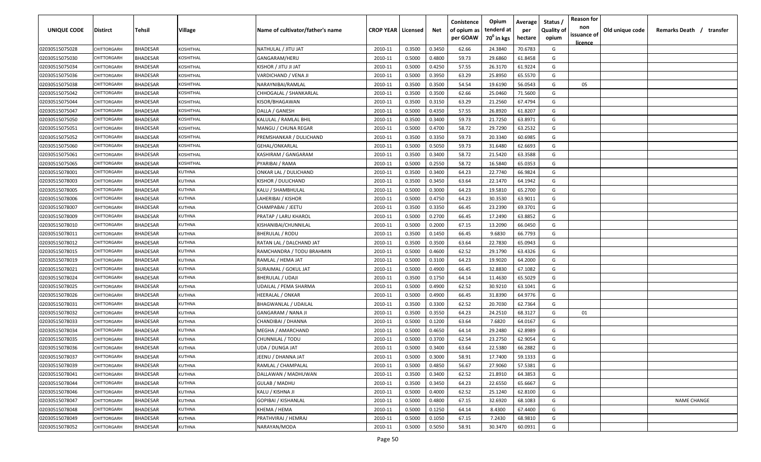| UNIQUE CODE    | <b>Distirct</b>    | Tehsil          | Village       | Name of cultivator/father's name | <b>CROP YEAR   Licensed</b> |        | Net    | Conistence<br>of opium as | Opium<br>tenderd at    | Average<br>per | Status<br><b>Quality of</b> | <b>Reason for</b><br>non<br>issuance of | Old unique code | Remarks Death / transfer |
|----------------|--------------------|-----------------|---------------|----------------------------------|-----------------------------|--------|--------|---------------------------|------------------------|----------------|-----------------------------|-----------------------------------------|-----------------|--------------------------|
|                |                    |                 |               |                                  |                             |        |        | per GOAW                  | 70 <sup>0</sup> in kgs | hectare        | opium                       | <u>licence</u>                          |                 |                          |
| 02030515075028 | CHITTORGARH        | <b>BHADESAR</b> | KOSHITHAL     | NATHULAL / JITU JAT              | 2010-11                     | 0.3500 | 0.3450 | 62.66                     | 24.3840                | 70.6783        | G                           |                                         |                 |                          |
| 02030515075030 | CHITTORGARH        | <b>BHADESAR</b> | KOSHITHAL     | GANGARAM/HERU                    | 2010-11                     | 0.5000 | 0.4800 | 59.73                     | 29.6860                | 61.8458        | G                           |                                         |                 |                          |
| 02030515075034 | CHITTORGARH        | <b>BHADESAR</b> | KOSHITHAL     | KISHOR / JITU JI JAT             | 2010-11                     | 0.5000 | 0.4250 | 57.55                     | 26.3170                | 61.9224        | G                           |                                         |                 |                          |
| 02030515075036 | CHITTORGARH        | <b>BHADESAR</b> | KOSHITHAL     | VARDICHAND / VENA JI             | 2010-11                     | 0.5000 | 0.3950 | 63.29                     | 25.8950                | 65.5570        | G                           |                                         |                 |                          |
| 02030515075038 | CHITTORGARH        | <b>BHADESAR</b> | KOSHITHAL     | NARAYNIBAI/RAMLAL                | 2010-11                     | 0.3500 | 0.3500 | 54.54                     | 19.6190                | 56.0543        | G                           | 05                                      |                 |                          |
| 02030515075042 | <b>CHITTORGARI</b> | <b>BHADESAR</b> | KOSHITHAL     | CHHOGALAL / SHANKARLAL           | 2010-11                     | 0.3500 | 0.3500 | 62.66                     | 25.0460                | 71.5600        | G                           |                                         |                 |                          |
| 02030515075044 | <b>CHITTORGARI</b> | <b>BHADESAR</b> | KOSHITHAL     | KISOR/BHAGAWAN                   | 2010-11                     | 0.3500 | 0.3150 | 63.29                     | 21.2560                | 67.4794        | G                           |                                         |                 |                          |
| 02030515075047 | <b>CHITTORGARH</b> | <b>BHADESAR</b> | KOSHITHAL     | DALLA / GANESH                   | 2010-11                     | 0.5000 | 0.4350 | 57.55                     | 26.8920                | 61.8207        | G                           |                                         |                 |                          |
| 02030515075050 | CHITTORGARH        | BHADESAR        | KOSHITHAL     | KALULAL / RAMLAL BHIL            | 2010-11                     | 0.3500 | 0.3400 | 59.73                     | 21.7250                | 63.8971        | G                           |                                         |                 |                          |
| 02030515075051 | CHITTORGARH        | <b>BHADESAR</b> | KOSHITHAL     | MANGU / CHUNA REGAR              | 2010-11                     | 0.5000 | 0.4700 | 58.72                     | 29.7290                | 63.2532        | G                           |                                         |                 |                          |
| 02030515075052 | CHITTORGARH        | <b>BHADESAR</b> | KOSHITHAL     | PREMSHANKAR / DULICHAND          | 2010-11                     | 0.3500 | 0.3350 | 59.73                     | 20.3340                | 60.6985        | G                           |                                         |                 |                          |
| 02030515075060 | CHITTORGARH        | <b>BHADESAR</b> | KOSHITHAL     | GEHAL/ONKARLAL                   | 2010-11                     | 0.5000 | 0.5050 | 59.73                     | 31.6480                | 62.6693        | G                           |                                         |                 |                          |
| 02030515075061 | CHITTORGARH        | <b>BHADESAR</b> | KOSHITHAL     | KASHIRAM / GANGARAM              | 2010-11                     | 0.3500 | 0.3400 | 58.72                     | 21.5420                | 63.3588        | G                           |                                         |                 |                          |
| 02030515075065 | CHITTORGARH        | <b>BHADESAR</b> | KOSHITHAL     | PYARIBAI / RAMA                  | 2010-11                     | 0.5000 | 0.2550 | 58.72                     | 16.5840                | 65.0353        | G                           |                                         |                 |                          |
| 02030515078001 | CHITTORGARH        | <b>BHADESAR</b> | KUTHNA        | ONKAR LAL / DULICHAND            | 2010-11                     | 0.3500 | 0.3400 | 64.23                     | 22.7740                | 66.9824        | G                           |                                         |                 |                          |
| 02030515078003 | CHITTORGARH        | <b>BHADESAR</b> | KUTHNA        | KISHOR / DULICHAND               | 2010-11                     | 0.3500 | 0.3450 | 63.64                     | 22.1470                | 64.1942        | G                           |                                         |                 |                          |
| 02030515078005 | CHITTORGARH        | <b>BHADESAR</b> | <b>KUTHNA</b> | KALU / SHAMBHULAL                | 2010-11                     | 0.5000 | 0.3000 | 64.23                     | 19.5810                | 65.2700        | G                           |                                         |                 |                          |
| 02030515078006 | CHITTORGARH        | <b>BHADESAR</b> | <b>KUTHNA</b> | LAHERIBAI / KISHOR               | 2010-11                     | 0.5000 | 0.4750 | 64.23                     | 30.3530                | 63.9011        | G                           |                                         |                 |                          |
| 02030515078007 | <b>CHITTORGARH</b> | <b>BHADESAR</b> | KUTHNA        | CHAMPABAI / JEETU                | 2010-11                     | 0.3500 | 0.3350 | 66.45                     | 23.2390                | 69.3701        | G                           |                                         |                 |                          |
| 02030515078009 | <b>CHITTORGARI</b> | <b>BHADESAR</b> | KUTHNA        | PRATAP / LARU KHAROL             | 2010-11                     | 0.5000 | 0.2700 | 66.45                     | 17.2490                | 63.8852        | G                           |                                         |                 |                          |
| 02030515078010 | <b>CHITTORGARI</b> | <b>BHADESAR</b> | KUTHNA        | KISHANIBAI/CHUNNILAL             | 2010-11                     | 0.5000 | 0.2000 | 67.15                     | 13.2090                | 66.0450        | G                           |                                         |                 |                          |
| 02030515078011 | <b>CHITTORGARI</b> | <b>BHADESAR</b> | KUTHNA        | <b>BHERULAL / RODU</b>           | 2010-11                     | 0.3500 | 0.1450 | 66.45                     | 9.6830                 | 66.7793        | G                           |                                         |                 |                          |
| 02030515078012 | <b>CHITTORGARI</b> | <b>BHADESAR</b> | KUTHNA        | RATAN LAL / DALCHAND JAT         | 2010-11                     | 0.3500 | 0.3500 | 63.64                     | 22.7830                | 65.0943        | G                           |                                         |                 |                          |
| 02030515078015 | <b>CHITTORGARI</b> | <b>BHADESAR</b> | KUTHNA        | RAMCHANDRA / TODU BRAHMIN        | 2010-11                     | 0.5000 | 0.4600 | 62.52                     | 29.1790                | 63.4326        | G                           |                                         |                 |                          |
| 02030515078019 | <b>CHITTORGARH</b> | <b>BHADESAR</b> | <b>KUTHNA</b> | RAMLAL / HEMA JAT                | 2010-11                     | 0.5000 | 0.3100 | 64.23                     | 19.9020                | 64.2000        | G                           |                                         |                 |                          |
| 02030515078021 | CHITTORGARH        | <b>BHADESAR</b> | <b>KUTHNA</b> | SURAJMAL / GOKUL JAT             | 2010-11                     | 0.5000 | 0.4900 | 66.45                     | 32.8830                | 67.1082        | G                           |                                         |                 |                          |
| 02030515078024 | CHITTORGARI        | <b>BHADESAR</b> | KUTHNA        | BHERULAL / UDAJI                 | 2010-11                     | 0.3500 | 0.1750 | 64.14                     | 11.4630                | 65.5029        | G                           |                                         |                 |                          |
| 02030515078025 | CHITTORGARH        | <b>BHADESAR</b> | KUTHNA        | UDAILAL / PEMA SHARMA            | 2010-11                     | 0.5000 | 0.4900 | 62.52                     | 30.9210                | 63.1041        | G                           |                                         |                 |                          |
| 02030515078026 | CHITTORGARH        | <b>BHADESAR</b> | KUTHNA        | HEERALAL / ONKAR                 | 2010-11                     | 0.5000 | 0.4900 | 66.45                     | 31.8390                | 64.9776        | G                           |                                         |                 |                          |
| 02030515078031 | CHITTORGARH        | <b>BHADESAR</b> | KUTHNA        | BHAGWANLAL / UDAILAL             | 2010-11                     | 0.3500 | 0.3300 | 62.52                     | 20.7030                | 62.7364        | G                           |                                         |                 |                          |
| 02030515078032 | CHITTORGARH        | <b>BHADESAR</b> | KUTHNA        | GANGARAM / NANA JI               | 2010-11                     | 0.3500 | 0.3550 | 64.23                     | 24.2510                | 68.3127        | G                           | 01                                      |                 |                          |
| 02030515078033 | CHITTORGARI        | <b>BHADESAR</b> | KUTHNA        | CHANDIBAI / DHANNA               | 2010-11                     | 0.5000 | 0.1200 | 63.64                     | 7.6820                 | 64.0167        | G                           |                                         |                 |                          |
| 02030515078034 | CHITTORGARH        | <b>BHADESAR</b> | <b>KUTHNA</b> | MEGHA / AMARCHAND                | 2010-11                     | 0.5000 | 0.4650 | 64.14                     | 29.2480                | 62.8989        | G                           |                                         |                 |                          |
| 02030515078035 | CHITTORGARH        | <b>BHADESAR</b> | <b>KUTHNA</b> | CHUNNILAL / TODU                 | 2010-11                     | 0.5000 | 0.3700 | 62.54                     | 23.2750                | 62.9054        | G                           |                                         |                 |                          |
| 02030515078036 | CHITTORGARH        | <b>BHADESAR</b> | <b>KUTHNA</b> | UDA / DUNGA JAT                  | 2010-11                     | 0.5000 | 0.3400 | 63.64                     | 22.5380                | 66.2882        | G                           |                                         |                 |                          |
| 02030515078037 | CHITTORGARH        | <b>BHADESAR</b> | <b>KUTHNA</b> | JEENU / DHANNA JAT               | 2010-11                     | 0.5000 | 0.3000 | 58.91                     | 17.7400                | 59.1333        | G                           |                                         |                 |                          |
| 02030515078039 | CHITTORGARH        | <b>BHADESAR</b> | KUTHNA        | RAMLAL / CHAMPALAL               | 2010-11                     | 0.5000 | 0.4850 | 56.67                     | 27.9060                | 57.5381        | G                           |                                         |                 |                          |
| 02030515078041 | CHITTORGARH        | <b>BHADESAR</b> | <b>KUTHNA</b> | DALLAWAN / MADHUWAN              | 2010-11                     | 0.3500 | 0.3400 | 62.52                     | 21.8910                | 64.3853        | G                           |                                         |                 |                          |
| 02030515078044 | CHITTORGARH        | <b>BHADESAR</b> | KUTHNA        | <b>GULAB / MADHU</b>             | 2010-11                     | 0.3500 | 0.3450 | 64.23                     | 22.6550                | 65.6667        | G                           |                                         |                 |                          |
| 02030515078046 | CHITTORGARH        | <b>BHADESAR</b> | KUTHNA        | KALU / KISHNA JI                 | 2010-11                     | 0.5000 | 0.4000 | 62.52                     | 25.1240                | 62.8100        | G                           |                                         |                 |                          |
| 02030515078047 | <b>CHITTORGARH</b> | <b>BHADESAR</b> | KUTHNA        | <b>GOPIBAI / KISHANLAL</b>       | 2010-11                     | 0.5000 | 0.4800 | 67.15                     | 32.6920                | 68.1083        | G                           |                                         |                 | <b>NAME CHANGE</b>       |
| 02030515078048 | CHITTORGARH        | <b>BHADESAR</b> | <b>KUTHNA</b> | KHEMA / HEMA                     | 2010-11                     | 0.5000 | 0.1250 | 64.14                     | 8.4300                 | 67.4400        | G                           |                                         |                 |                          |
| 02030515078049 | CHITTORGARH        | <b>BHADESAR</b> | KUTHNA        | PRATHVIRAJ / HEMRAJ              | 2010-11                     | 0.5000 | 0.1050 | 67.15                     | 7.2430                 | 68.9810        | G                           |                                         |                 |                          |
| 02030515078052 | CHITTORGARH        | <b>BHADESAR</b> | KUTHNA        | NARAYAN/MODA                     | 2010-11                     | 0.5000 | 0.5050 | 58.91                     | 30.3470                | 60.0931        | G                           |                                         |                 |                          |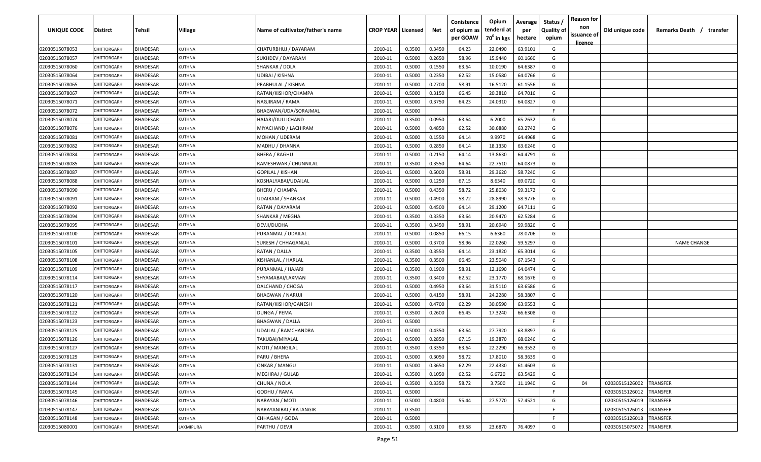| <b>UNIQUE CODE</b> | Distirct           | Tehsil          | Village       | Name of cultivator/father's name | <b>CROP YEAR Licensed</b> |        | Net    | Conistence<br>of opium as | Opium<br>tenderd at    | Average<br>per | Status /<br><b>Quality of</b> | <b>Reason for</b><br>non      | Old unique code | Remarks Death / transfer |
|--------------------|--------------------|-----------------|---------------|----------------------------------|---------------------------|--------|--------|---------------------------|------------------------|----------------|-------------------------------|-------------------------------|-----------------|--------------------------|
|                    |                    |                 |               |                                  |                           |        |        | per GOAW                  | 70 <sup>0</sup> in kgs | hectare        | opium                         | issuance of<br><u>licence</u> |                 |                          |
| 02030515078053     | CHITTORGARH        | <b>BHADESAR</b> | <b>KUTHNA</b> | CHATURBHUJ / DAYARAM             | 2010-11                   | 0.3500 | 0.3450 | 64.23                     | 22.0490                | 63.9101        | G                             |                               |                 |                          |
| 02030515078057     | CHITTORGARH        | BHADESAR        | <b>KUTHNA</b> | SUKHDEV / DAYARAM                | 2010-11                   | 0.5000 | 0.2650 | 58.96                     | 15.9440                | 60.1660        | G                             |                               |                 |                          |
| 02030515078060     | <b>CHITTORGARH</b> | BHADESAR        | <b>KUTHNA</b> | SHANKAR / DOLA                   | 2010-11                   | 0.5000 | 0.1550 | 63.64                     | 10.0190                | 64.6387        | G                             |                               |                 |                          |
| 02030515078064     | CHITTORGARH        | <b>BHADESAR</b> | KUTHNA        | UDIBAI / KISHNA                  | 2010-11                   | 0.5000 | 0.2350 | 62.52                     | 15.0580                | 64.0766        | G                             |                               |                 |                          |
| 02030515078065     | <b>CHITTORGARH</b> | BHADESAR        | KUTHNA        | PRABHULAL / KISHNA               | 2010-11                   | 0.5000 | 0.2700 | 58.91                     | 16.5120                | 61.1556        | G                             |                               |                 |                          |
| 02030515078067     | <b>CHITTORGARH</b> | <b>BHADESAR</b> | KUTHNA        | RATAN/KISHOR/CHAMPA              | 2010-11                   | 0.5000 | 0.3150 | 66.45                     | 20.3810                | 64.7016        | G                             |                               |                 |                          |
| 02030515078071     | <b>CHITTORGARH</b> | <b>BHADESAR</b> | KUTHNA        | NAGJIRAM / RAMA                  | 2010-11                   | 0.5000 | 0.3750 | 64.23                     | 24.0310                | 64.0827        | G                             |                               |                 |                          |
| 02030515078072     | <b>CHITTORGARH</b> | BHADESAR        | <b>KUTHNA</b> | BHAGWAN/UDA/SORAJMAL             | 2010-11                   | 0.5000 |        |                           |                        |                | -F.                           |                               |                 |                          |
| 02030515078074     | CHITTORGARH        | BHADESAR        | <b>KUTHNA</b> | HAJARI/DULLICHAND                | 2010-11                   | 0.3500 | 0.0950 | 63.64                     | 6.2000                 | 65.2632        | G                             |                               |                 |                          |
| 02030515078076     | CHITTORGARH        | BHADESAR        | KUTHNA        | MIYACHAND / LACHIRAM             | 2010-11                   | 0.5000 | 0.4850 | 62.52                     | 30.6880                | 63.2742        | G                             |                               |                 |                          |
| 02030515078081     | CHITTORGARF        | BHADESAR        | KUTHNA        | MOHAN / UDERAM                   | 2010-11                   | 0.5000 | 0.1550 | 64.14                     | 9.9970                 | 64.4968        | G                             |                               |                 |                          |
| 02030515078082     | CHITTORGARH        | BHADESAR        | KUTHNA        | MADHU / DHANNA                   | 2010-11                   | 0.5000 | 0.2850 | 64.14                     | 18.1330                | 63.6246        | G                             |                               |                 |                          |
| 02030515078084     | CHITTORGARH        | <b>BHADESAR</b> | KUTHNA        | <b>BHERA / RAGHU</b>             | 2010-11                   | 0.5000 | 0.2150 | 64.14                     | 13.8630                | 64.4791        | G                             |                               |                 |                          |
| 02030515078085     | CHITTORGARH        | <b>BHADESAR</b> | KUTHNA        | RAMESHWAR / CHUNNILAL            | 2010-11                   | 0.3500 | 0.3550 | 64.64                     | 22.7510                | 64.0873        | G                             |                               |                 |                          |
| 02030515078087     | CHITTORGARH        | <b>BHADESAR</b> | <b>KUTHNA</b> | GOPILAL / KISHAN                 | 2010-11                   | 0.5000 | 0.5000 | 58.91                     | 29.3620                | 58.7240        | G                             |                               |                 |                          |
| 02030515078088     | CHITTORGARH        | <b>BHADESAR</b> | <b>KUTHNA</b> | KOSHALYABAI/UDAILAL              | 2010-11                   | 0.5000 | 0.1250 | 67.15                     | 8.6340                 | 69.0720        | G                             |                               |                 |                          |
| 02030515078090     | CHITTORGARH        | <b>BHADESAR</b> | <b>KUTHNA</b> | BHERU / CHAMPA                   | 2010-11                   | 0.5000 | 0.4350 | 58.72                     | 25.8030                | 59.3172        | G                             |                               |                 |                          |
| 02030515078091     | CHITTORGARH        | <b>BHADESAR</b> | <b>KUTHNA</b> | <b>UDAIRAM / SHANKAR</b>         | 2010-11                   | 0.5000 | 0.4900 | 58.72                     | 28.8990                | 58.9776        | G                             |                               |                 |                          |
| 02030515078092     | CHITTORGARH        | BHADESAR        | <b>KUTHNA</b> | RATAN / DAYARAM                  | 2010-11                   | 0.5000 | 0.4500 | 64.14                     | 29.1200                | 64.7111        | G                             |                               |                 |                          |
| 02030515078094     | CHITTORGARH        | <b>BHADESAR</b> | KUTHNA        | SHANKAR / MEGHA                  | 2010-11                   | 0.3500 | 0.3350 | 63.64                     | 20.9470                | 62.5284        | G                             |                               |                 |                          |
| 02030515078095     | CHITTORGARH        | <b>BHADESAR</b> | KUTHNA        | DEVJI/DUDHA                      | 2010-11                   | 0.3500 | 0.3450 | 58.91                     | 20.6940                | 59.9826        | G                             |                               |                 |                          |
| 02030515078100     | <b>CHITTORGARH</b> | <b>BHADESAR</b> | KUTHNA        | PURANMAL / UDAILAL               | 2010-11                   | 0.5000 | 0.0850 | 66.15                     | 6.6360                 | 78.0706        | G                             |                               |                 |                          |
| 02030515078101     | <b>CHITTORGARI</b> | <b>BHADESAR</b> | KUTHNA        | SURESH / CHHAGANLAL              | 2010-11                   | 0.5000 | 0.3700 | 58.96                     | 22.0260                | 59.5297        | G                             |                               |                 | <b>NAME CHANGE</b>       |
| 02030515078105     | CHITTORGARH        | <b>BHADESAR</b> | KUTHNA        | RATAN / DALLA                    | 2010-11                   | 0.3500 | 0.3550 | 64.14                     | 23.1820                | 65.3014        | G                             |                               |                 |                          |
| 02030515078108     | CHITTORGARH        | BHADESAR        | <b>KUTHNA</b> | KISHANLAL / HARLAL               | 2010-11                   | 0.3500 | 0.3500 | 66.45                     | 23.5040                | 67.1543        | G                             |                               |                 |                          |
| 02030515078109     | CHITTORGARH        | BHADESAR        | KUTHNA        | PURANMAL / HAJARI                | 2010-11                   | 0.3500 | 0.1900 | 58.91                     | 12.1690                | 64.0474        | G                             |                               |                 |                          |
| 02030515078114     | CHITTORGARF        | BHADESAR        | KUTHNA        | SHYAMABAI/LAXMAN                 | 2010-11                   | 0.3500 | 0.3400 | 62.52                     | 23.1770                | 68.1676        | G                             |                               |                 |                          |
| 02030515078117     | CHITTORGARF        | BHADESAR        | KUTHNA        | DALCHAND / CHOGA                 | 2010-11                   | 0.5000 | 0.4950 | 63.64                     | 31.5110                | 63.6586        | G                             |                               |                 |                          |
| 02030515078120     | CHITTORGARH        | BHADESAR        | KUTHNA        | <b>BHAGWAN / NARUJI</b>          | 2010-11                   | 0.5000 | 0.4150 | 58.91                     | 24.2280                | 58.3807        | G                             |                               |                 |                          |
| 02030515078121     | CHITTORGARH        | <b>BHADESAR</b> | KUTHNA        | RATAN/KISHOR/GANESH              | 2010-11                   | 0.5000 | 0.4700 | 62.29                     | 30.0590                | 63.9553        | G                             |                               |                 |                          |
| 02030515078122     | CHITTORGARH        | <b>BHADESAR</b> | KUTHNA        | DUNGA / PEMA                     | 2010-11                   | 0.3500 | 0.2600 | 66.45                     | 17.3240                | 66.6308        | G                             |                               |                 |                          |
| 02030515078123     | CHITTORGARI        | <b>BHADESAR</b> | KUTHNA        | <b>BHAGWAN / DALLA</b>           | 2010-11                   | 0.5000 |        |                           |                        |                | -F.                           |                               |                 |                          |
| 02030515078125     | CHITTORGARH        | <b>BHADESAR</b> | <b>KUTHNA</b> | UDAILAL / RAMCHANDRA             | 2010-11                   | 0.5000 | 0.4350 | 63.64                     | 27.7920                | 63.8897        | G                             |                               |                 |                          |
| 02030515078126     | CHITTORGARH        | <b>BHADESAR</b> | <b>KUTHNA</b> | TAKUBAI/MIYALAL                  | 2010-11                   | 0.5000 | 0.2850 | 67.15                     | 19.3870                | 68.0246        | G                             |                               |                 |                          |
| 02030515078127     | CHITTORGARH        | BHADESAR        | <b>KUTHNA</b> | MOTI / MANGILAL                  | 2010-11                   | 0.3500 | 0.3350 | 63.64                     | 22.2290                | 66.3552        | G                             |                               |                 |                          |
| 02030515078129     | <b>CHITTORGARH</b> | <b>BHADESAR</b> | KUTHNA        | PARU / BHERA                     | 2010-11                   | 0.5000 | 0.3050 | 58.72                     | 17.8010                | 58.3639        | G                             |                               |                 |                          |
| 02030515078131     | CHITTORGARH        | <b>BHADESAR</b> | <b>KUTHNA</b> | <b>ONKAR / MANGU</b>             | 2010-11                   | 0.5000 | 0.3650 | 62.29                     | 22.4330                | 61.4603        | G                             |                               |                 |                          |
| 02030515078134     | CHITTORGARH        | <b>BHADESAR</b> | <b>KUTHNA</b> | MEGHRAJ / GULAB                  | 2010-11                   | 0.3500 | 0.1050 | 62.52                     | 6.6720                 | 63.5429        | G                             |                               |                 |                          |
| 02030515078144     | CHITTORGARH        | <b>BHADESAR</b> | <b>KUTHNA</b> | CHUNA / NOLA                     | 2010-11                   | 0.3500 | 0.3350 | 58.72                     | 3.7500                 | 11.1940        | G                             | 04                            | 02030515126002  | <b>TRANSFER</b>          |
| 02030515078145     | <b>CHITTORGARH</b> | BHADESAR        | KUTHNA        | GODHU / RAMA                     | 2010-11                   | 0.5000 |        |                           |                        |                | F.                            |                               | 02030515126012  | TRANSFER                 |
| 02030515078146     | <b>CHITTORGARH</b> | <b>BHADESAR</b> | KUTHNA        | NARAYAN / MOTI                   | 2010-11                   | 0.5000 | 0.4800 | 55.44                     | 27.5770                | 57.4521        | G                             |                               | 02030515126019  | TRANSFER                 |
| 02030515078147     | CHITTORGARH        | <b>BHADESAR</b> | <b>KUTHNA</b> | NARAYANIBAI / RATANGIR           | 2010-11                   | 0.3500 |        |                           |                        |                | F.                            |                               | 02030515126013  | TRANSFER                 |
| 02030515078148     | CHITTORGARH        | <b>BHADESAR</b> | KUTHNA        | CHHAGAN / GODA                   | 2010-11                   | 0.5000 |        |                           |                        |                | -F                            |                               | 02030515126018  | <b>TRANSFER</b>          |
| 02030515080001     | CHITTORGARH        | <b>BHADESAR</b> | LAXMIPURA     | PARTHU / DEVJI                   | 2010-11                   | 0.3500 | 0.3100 | 69.58                     | 23.6870                | 76.4097        | G                             |                               | 02030515075072  | <b>TRANSFER</b>          |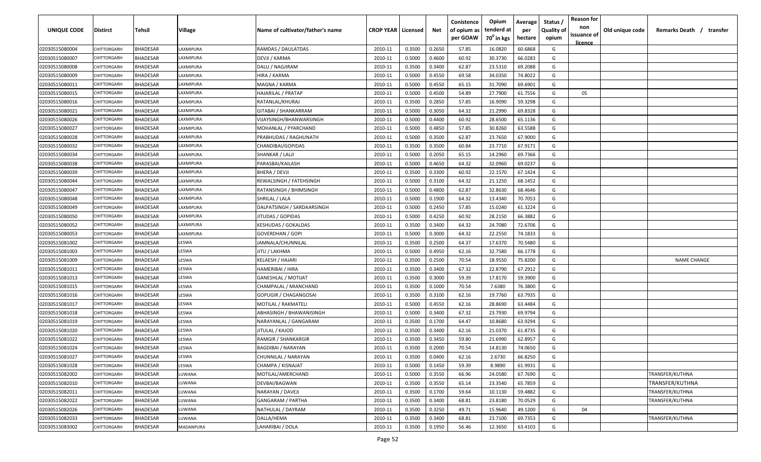| <b>UNIQUE CODE</b>               | Distirct           | Tehsil          | Village         | Name of cultivator/father's name    | <b>CROP YEAR   Licensed</b> |                  | Net              | Conistence<br>of opium as<br>per GOAW | Opium<br>tenderd at<br>70 <sup>0</sup> in kgs | Average<br>per<br>hectare | Status /<br><b>Quality of</b><br>opium | <b>Reason for</b><br>non<br>issuance of | Old unique code | Remarks Death / transfer |
|----------------------------------|--------------------|-----------------|-----------------|-------------------------------------|-----------------------------|------------------|------------------|---------------------------------------|-----------------------------------------------|---------------------------|----------------------------------------|-----------------------------------------|-----------------|--------------------------|
|                                  | CHITTORGARH        | <b>BHADESAR</b> | LAXMIPURA       |                                     |                             |                  |                  |                                       |                                               | 60.6868                   | G                                      | <u>licence</u>                          |                 |                          |
| 02030515080004<br>02030515080007 | CHITTORGARH        | BHADESAR        | AXMIPURA        | RAMDAS / DAULATDAS<br>DEVJI / KARMA | 2010-11<br>2010-11          | 0.3500<br>0.5000 | 0.2650<br>0.4600 | 57.85<br>60.92                        | 16.0820<br>30.3730                            | 66.0283                   | G                                      |                                         |                 |                          |
| 02030515080008                   | <b>CHITTORGARH</b> | BHADESAR        | AXMIPURA        | DALU / NAGJIRAM                     | 2010-11                     | 0.3500           | 0.3400           | 62.87                                 | 23.5310                                       | 69.2088                   | G                                      |                                         |                 |                          |
| 02030515080009                   | CHITTORGARH        | <b>BHADESAR</b> | AXMIPURA        | HIRA / KARMA                        | 2010-11                     | 0.5000           | 0.4550           | 69.58                                 | 34.0350                                       | 74.8022                   | G                                      |                                         |                 |                          |
| 02030515080011                   | <b>CHITTORGARH</b> | BHADESAR        | AXMIPURA        | MAGNA / KARMA                       | 2010-11                     | 0.5000           | 0.4550           | 65.15                                 | 31.7090                                       | 69.6901                   | G                                      |                                         |                 |                          |
| 02030515080015                   | CHITTORGARH        | <b>BHADESAR</b> | AXMIPURA        | HAJARILAL / PRATAP                  | 2010-11                     | 0.5000           | 0.4500           | 54.89                                 | 27.7900                                       | 61.7556                   | G                                      | 05                                      |                 |                          |
| 02030515080016                   | <b>CHITTORGARH</b> | <b>BHADESAR</b> | AXMIPURA        | RATANLAL/KHURAJ                     | 2010-11                     | 0.3500           | 0.2850           | 57.85                                 | 16.9090                                       | 59.3298                   | G                                      |                                         |                 |                          |
| 02030515080021                   | CHITTORGARH        | BHADESAR        | AXMIPURA        | GITABAI / SHANKARRAM                | 2010-11                     | 0.5000           | 0.3050           | 64.32                                 | 21.2990                                       | 69.8328                   | G                                      |                                         |                 |                          |
| 02030515080026                   | CHITTORGARH        | BHADESAR        | AXMIPURA        | VIJAYSINGH/BHANWARSINGH             | 2010-11                     | 0.5000           | 0.4400           | 60.92                                 | 28.6500                                       | 65.1136                   | G                                      |                                         |                 |                          |
| 02030515080027                   | CHITTORGARH        | BHADESAR        | <b>AXMIPURA</b> | MOHANLAL / PYARCHAND                | 2010-11                     | 0.5000           | 0.4850           | 57.85                                 | 30.8260                                       | 63.5588                   | G                                      |                                         |                 |                          |
| 02030515080028                   | CHITTORGARF        | BHADESAR        | <b>AXMIPURA</b> | PRABHUDAS / RAGHUNATH               | 2010-11                     | 0.5000           | 0.3500           | 62.87                                 | 23.7650                                       | 67.9000                   | G                                      |                                         |                 |                          |
| 02030515080032                   | CHITTORGARH        | BHADESAR        | AXMIPURA        | CHANDIBAI/GOPIDAS                   | 2010-11                     | 0.3500           | 0.3500           | 60.84                                 | 23.7710                                       | 67.9171                   | G                                      |                                         |                 |                          |
| 02030515080034                   | CHITTORGARH        | <b>BHADESAR</b> | AXMIPURA        | SHANKAR / LALJI                     | 2010-11                     | 0.5000           | 0.2050           | 65.15                                 | 14.2960                                       | 69.7366                   | G                                      |                                         |                 |                          |
| 02030515080038                   | CHITTORGARI        | <b>BHADESAR</b> | AXMIPURA        | PARASBAI/KAILASH                    | 2010-11                     | 0.5000           | 0.4650           | 64.32                                 | 32.0960                                       | 69.0237                   | G                                      |                                         |                 |                          |
| 02030515080039                   | CHITTORGARH        | <b>BHADESAR</b> | <b>AXMIPURA</b> | BHERA / DEVJI                       | 2010-11                     | 0.3500           | 0.3300           | 60.92                                 | 22.1570                                       | 67.1424                   | G                                      |                                         |                 |                          |
| 02030515080044                   | CHITTORGARH        | <b>BHADESAR</b> | AXMIPURA        | REWALSINGH / FATEHSINGH             | 2010-11                     | 0.5000           | 0.3100           | 64.32                                 | 21.1250                                       | 68.1452                   | G                                      |                                         |                 |                          |
| 02030515080047                   | CHITTORGARH        | <b>BHADESAR</b> | LAXMIPURA       | RATANSINGH / BHIMSINGH              | 2010-11                     | 0.5000           | 0.4800           | 62.87                                 | 32.8630                                       | 68.4646                   | G                                      |                                         |                 |                          |
| 02030515080048                   | CHITTORGARH        | <b>BHADESAR</b> | LAXMIPURA       | SHRILAL / LALA                      | 2010-11                     | 0.5000           | 0.1900           | 64.32                                 | 13.4340                                       | 70.7053                   | G                                      |                                         |                 |                          |
| 02030515080049                   | CHITTORGARH        | <b>BHADESAR</b> | LAXMIPURA       | DALPATSINGH / SARDAARSINGH          | 2010-11                     | 0.5000           | 0.2450           | 57.85                                 | 15.0240                                       | 61.3224                   | G                                      |                                         |                 |                          |
| 02030515080050                   | CHITTORGARH        | <b>BHADESAR</b> | AXMIPURA        | JITUDAS / GOPIDAS                   | 2010-11                     | 0.5000           | 0.4250           | 60.92                                 | 28.2150                                       | 66.3882                   | G                                      |                                         |                 |                          |
| 02030515080052                   | CHITTORGARH        | <b>BHADESAR</b> | <b>AXMIPURA</b> | <b>KESHUDAS / GOKALDAS</b>          | 2010-11                     | 0.3500           | 0.3400           | 64.32                                 | 24.7080                                       | 72.6706                   | G                                      |                                         |                 |                          |
| 02030515080053                   | <b>CHITTORGARI</b> | <b>BHADESAR</b> | AXMIPURA        | GOVERDHAN / GOPI                    | 2010-11                     | 0.5000           | 0.3000           | 64.32                                 | 22.2550                                       | 74.1833                   | G                                      |                                         |                 |                          |
| 02030515081002                   | <b>CHITTORGARI</b> | <b>BHADESAR</b> | <b>ESWA</b>     | JAMNALA/CHUNNILAL                   | 2010-11                     | 0.3500           | 0.2500           | 64.37                                 | 17.6370                                       | 70.5480                   | G                                      |                                         |                 |                          |
| 02030515081003                   | <b>CHITTORGARI</b> | <b>BHADESAR</b> | LESWA           | JITU / LAKHMA                       | 2010-11                     | 0.5000           | 0.4950           | 62.16                                 | 32.7580                                       | 66.1778                   | G                                      |                                         |                 |                          |
| 02030515081009                   | CHITTORGARH        | BHADESAR        | LESWA           | KELAESH / HAJARI                    | 2010-11                     | 0.3500           | 0.2500           | 70.54                                 | 18.9550                                       | 75.8200                   | G                                      |                                         |                 | <b>NAME CHANGE</b>       |
| 02030515081011                   | CHITTORGARH        | BHADESAR        | LESWA           | HAMERIBAI / HIRA                    | 2010-11                     | 0.3500           | 0.3400           | 67.32                                 | 22.8790                                       | 67.2912                   | G                                      |                                         |                 |                          |
| 02030515081013                   | CHITTORGARF        | BHADESAR        | <b>ESWA</b>     | <b>GANESHLAL / MOTIJAT</b>          | 2010-11                     | 0.3500           | 0.3000           | 59.39                                 | 17.8170                                       | 59.3900                   | G                                      |                                         |                 |                          |
| 02030515081015                   | CHITTORGARF        | BHADESAR        | <b>ESWA</b>     | CHAMPALAL / MIANCHAND               | 2010-11                     | 0.3500           | 0.1000           | 70.54                                 | 7.6380                                        | 76.3800                   | G                                      |                                         |                 |                          |
| 02030515081016                   | CHITTORGARH        | BHADESAR        | <b>ESWA</b>     | GOPUGIR / CHAGANGOSAI               | 2010-11                     | 0.3500           | 0.3100           | 62.16                                 | 19.7760                                       | 63.7935                   | G                                      |                                         |                 |                          |
| 02030515081017                   | CHITTORGARH        | <b>BHADESAR</b> | <b>ESWA</b>     | MOTILAL / RAKMATELI                 | 2010-11                     | 0.5000           | 0.4550           | 62.16                                 | 28.8690                                       | 63.4484                   | G                                      |                                         |                 |                          |
| 02030515081018                   | CHITTORGARH        | <b>BHADESAR</b> | <b>ESWA</b>     | ABHASINGH / BHAWANISINGH            | 2010-11                     | 0.5000           | 0.3400           | 67.32                                 | 23.7930                                       | 69.9794                   | G                                      |                                         |                 |                          |
| 02030515081019                   | <b>CHITTORGARH</b> | <b>BHADESAR</b> | <b>ESWA</b>     | NARAYANLAL / GANGARAM               | 2010-11                     | 0.3500           | 0.1700           | 64.47                                 | 10.8680                                       | 63.9294                   | G                                      |                                         |                 |                          |
| 02030515081020                   | CHITTORGARI        | <b>BHADESAR</b> | LESWA           | JITULAL / KAJOD                     | 2010-11                     | 0.3500           | 0.3400           | 62.16                                 | 21.0370                                       | 61.8735                   | G                                      |                                         |                 |                          |
| 02030515081022                   | CHITTORGARH        | BHADESAR        | LESWA           | RAMGIR / SHANKARGIR                 | 2010-11                     | 0.3500           | 0.3450           | 59.80                                 | 21.6990                                       | 62.8957                   | G                                      |                                         |                 |                          |
| 02030515081024                   | CHITTORGARH        | BHADESAR        | LESWA           | <b>BAGDIBAI / NARAYAN</b>           | 2010-11                     | 0.3500           | 0.2000           | 70.54                                 | 14.8130                                       | 74.0650                   | G                                      |                                         |                 |                          |
| 02030515081027                   | <b>CHITTORGARH</b> | <b>BHADESAR</b> | LESWA           | CHUNNILAL / NARAYAN                 | 2010-11                     | 0.3500           | 0.0400           | 62.16                                 | 2.6730                                        | 66.8250                   | G                                      |                                         |                 |                          |
| 02030515081028                   | CHITTORGARH        | <b>BHADESAR</b> | LESWA           | CHAMPA / KISNAJAT                   | 2010-11                     | 0.5000           | 0.1450           | 59.39                                 | 8.9890                                        | 61.9931                   | G                                      |                                         |                 |                          |
| 02030515082002                   | CHITTORGARH        | <b>BHADESAR</b> | LUWANA          | MOTILAL/AMERCHAND                   | 2010-11                     | 0.5000           | 0.3550           | 66.96                                 | 24.0580                                       | 67.7690                   | G                                      |                                         |                 | TRANSFER/KUTHNA          |
| 02030515082010                   | CHITTORGARH        | <b>BHADESAR</b> | LUWANA          | DEVBAI/BAGWAN                       | 2010-11                     | 0.3500           | 0.3550           | 65.14                                 | 23.3540                                       | 65.7859                   | G                                      |                                         |                 | TRANSFER/KUTHNA          |
| 02030515082011                   | <b>CHITTORGARH</b> | <b>BHADESAR</b> | <b>UWANA</b>    | NARAYAN / DAVEJI                    | 2010-11                     | 0.3500           | 0.1700           | 59.64                                 | 10.1130                                       | 59.4882                   | G                                      |                                         |                 | TRANSFER/KUTHNA          |
| 02030515082022                   | <b>CHITTORGARH</b> | <b>BHADESAR</b> | LUWANA          | <b>GANGARAM / PARTHA</b>            | 2010-11                     | 0.3500           | 0.3400           | 68.81                                 | 23.8180                                       | 70.0529                   | G                                      |                                         |                 | TRANSFER/KUTHNA          |
| 02030515082026                   | CHITTORGARH        | <b>BHADESAR</b> | LUWANA          | NATHULAL / DAYRAM                   | 2010-11                     | 0.3500           | 0.3250           | 49.71                                 | 15.9640                                       | 49.1200                   | G                                      | 04                                      |                 |                          |
| 02030515082033                   | CHITTORGARH        | <b>BHADESAR</b> | LUWANA          | DALLA/HEMA                          | 2010-11                     | 0.3500           | 0.3400           | 68.81                                 | 23.7100                                       | 69.7353                   | G                                      |                                         |                 | TRANSFER/KUTHNA          |
| 02030515083002                   | CHITTORGARH        | <b>BHADESAR</b> | MADANPURA       | LAHARIBAI / DOLA                    | 2010-11                     | 0.3500           | 0.1950           | 56.46                                 | 12.3650                                       | 63.4103                   | G                                      |                                         |                 |                          |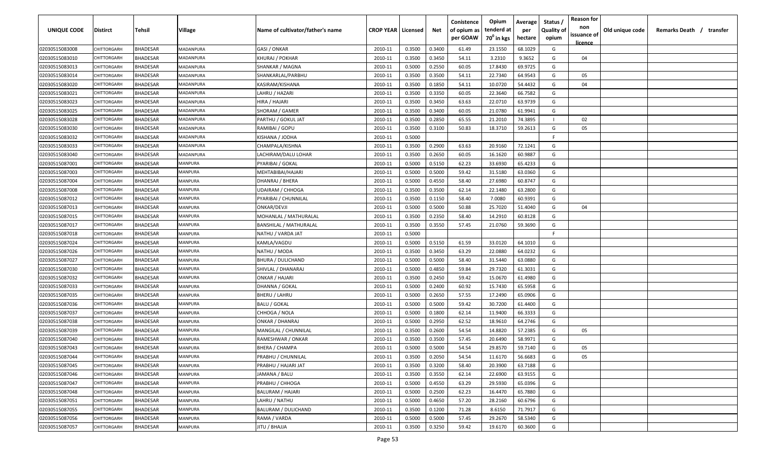| UNIQUE CODE    | Distirct           | Tehsil          | Village        | Name of cultivator/father's name | <b>CROP YEAR   Licensed</b> |        | Net    | Conistence<br>of opium as<br>per GOAW | Opium<br>tenderd at<br>70 <sup>0</sup> in kgs | Average<br>per<br>hectare | Status /<br><b>Quality of</b><br>opium | <b>Reason for</b><br>non<br>issuance of | Old unique code | Remarks Death / transfer |
|----------------|--------------------|-----------------|----------------|----------------------------------|-----------------------------|--------|--------|---------------------------------------|-----------------------------------------------|---------------------------|----------------------------------------|-----------------------------------------|-----------------|--------------------------|
|                |                    |                 |                |                                  |                             |        |        |                                       |                                               |                           |                                        | <u>licence</u>                          |                 |                          |
| 02030515083008 | CHITTORGARH        | <b>BHADESAR</b> | MADANPURA      | GASI / ONKAR                     | 2010-11                     | 0.3500 | 0.3400 | 61.49                                 | 23.1550                                       | 68.1029                   | G                                      |                                         |                 |                          |
| 02030515083010 | CHITTORGARH        | BHADESAR        | MADANPURA      | KHURAJ / POKHAR                  | 2010-11                     | 0.3500 | 0.3450 | 54.11                                 | 3.2310                                        | 9.3652                    | G                                      | 04                                      |                 |                          |
| 02030515083013 | <b>CHITTORGARH</b> | BHADESAR        | MADANPURA      | SHANKAR / MAGNA                  | 2010-11                     | 0.5000 | 0.2550 | 60.05                                 | 17.8430                                       | 69.9725                   | G                                      |                                         |                 |                          |
| 02030515083014 | CHITTORGARH        | BHADESAR        | MADANPURA      | SHANKARLAL/PARBHU                | 2010-11                     | 0.3500 | 0.3500 | 54.11                                 | 22.7340                                       | 64.9543                   | G                                      | 05                                      |                 |                          |
| 02030515083020 | <b>CHITTORGARH</b> | BHADESAR        | MADANPURA      | KASIRAM/KISHANA                  | 2010-11                     | 0.3500 | 0.1850 | 54.11                                 | 10.0720                                       | 54.4432                   | G                                      | 04                                      |                 |                          |
| 02030515083021 | CHITTORGARH        | BHADESAR        | MADANPURA      | LAHRU / HAZARI                   | 2010-11                     | 0.3500 | 0.3350 | 60.05                                 | 22.3640                                       | 66.7582                   | G                                      |                                         |                 |                          |
| 02030515083023 | <b>CHITTORGARH</b> | BHADESAR        | MADANPURA      | HIRA / HAJARI                    | 2010-11                     | 0.3500 | 0.3450 | 63.63                                 | 22.0710                                       | 63.9739                   | G                                      |                                         |                 |                          |
| 02030515083025 | CHITTORGARH        | BHADESAR        | MADANPURA      | SHORAM / GAMER                   | 2010-11                     | 0.3500 | 0.3400 | 60.05                                 | 21.0780                                       | 61.9941                   | G                                      |                                         |                 |                          |
| 02030515083028 | CHITTORGARH        | BHADESAR        | MADANPURA      | PARTHU / GOKUL JAT               | 2010-11                     | 0.3500 | 0.2850 | 65.55                                 | 21.2010                                       | 74.3895                   | -11                                    | 02                                      |                 |                          |
| 02030515083030 | CHITTORGARH        | BHADESAR        | MADANPURA      | RAMIBAI / GOPU                   | 2010-11                     | 0.3500 | 0.3100 | 50.83                                 | 18.3710                                       | 59.2613                   | G                                      | 05                                      |                 |                          |
| 02030515083032 | CHITTORGARF        | BHADESAR        | MADANPURA      | KISHANA / JODHA                  | 2010-11                     | 0.5000 |        |                                       |                                               |                           | -F.                                    |                                         |                 |                          |
| 02030515083033 | CHITTORGARH        | BHADESAR        | MADANPURA      | CHAMPALA/KISHNA                  | 2010-11                     | 0.3500 | 0.2900 | 63.63                                 | 20.9160                                       | 72.1241                   | G                                      |                                         |                 |                          |
| 02030515083040 | CHITTORGARH        | <b>BHADESAR</b> | MADANPURA      | LACHIRAM/DALU LOHAR              | 2010-11                     | 0.3500 | 0.2650 | 60.05                                 | 16.1620                                       | 60.9887                   | G                                      |                                         |                 |                          |
| 02030515087001 | CHITTORGARH        | <b>BHADESAR</b> | MANPURA        | PYARIBAI / GOKAL                 | 2010-11                     | 0.5000 | 0.5150 | 62.23                                 | 33.6930                                       | 65.4233                   | G                                      |                                         |                 |                          |
| 02030515087003 | CHITTORGARH        | <b>BHADESAR</b> | MANPURA        | MEHTABIBAI/HAJARI                | 2010-11                     | 0.5000 | 0.5000 | 59.42                                 | 31.5180                                       | 63.0360                   | G                                      |                                         |                 |                          |
| 02030515087004 | CHITTORGARH        | <b>BHADESAR</b> | MANPURA        | DHANRAJ / BHERA                  | 2010-11                     | 0.5000 | 0.4550 | 58.40                                 | 27.6980                                       | 60.8747                   | G                                      |                                         |                 |                          |
| 02030515087008 | CHITTORGARH        | <b>BHADESAR</b> | MANPURA        | <b>UDAIRAM / CHHOGA</b>          | 2010-11                     | 0.3500 | 0.3500 | 62.14                                 | 22.1480                                       | 63.2800                   | G                                      |                                         |                 |                          |
| 02030515087012 | CHITTORGARH        | <b>BHADESAR</b> | MANPURA        | PYARIBAI / CHUNNILAL             | 2010-11                     | 0.3500 | 0.1150 | 58.40                                 | 7.0080                                        | 60.9391                   | G                                      |                                         |                 |                          |
| 02030515087013 | CHITTORGARH        | <b>BHADESAR</b> | MANPURA        | ONKAR/DEVJI                      | 2010-11                     | 0.5000 | 0.5000 | 50.88                                 | 25.7020                                       | 51.4040                   | G                                      | 04                                      |                 |                          |
| 02030515087015 | CHITTORGARH        | <b>BHADESAR</b> | MANPURA        | MOHANLAL / MATHURALAL            | 2010-11                     | 0.3500 | 0.2350 | 58.40                                 | 14.2910                                       | 60.8128                   | G                                      |                                         |                 |                          |
| 02030515087017 | CHITTORGARH        | <b>BHADESAR</b> | MANPURA        | <b>BANSHILAL / MATHURALAL</b>    | 2010-11                     | 0.3500 | 0.3550 | 57.45                                 | 21.0760                                       | 59.3690                   | G                                      |                                         |                 |                          |
| 02030515087018 | <b>CHITTORGARH</b> | <b>BHADESAR</b> | MANPURA        | NATHU / VARDA JAT                | 2010-11                     | 0.5000 |        |                                       |                                               |                           | -F.                                    |                                         |                 |                          |
| 02030515087024 | <b>CHITTORGARI</b> | <b>BHADESAR</b> | MANPURA        | KAMLA/VAGDU                      | 2010-11                     | 0.5000 | 0.5150 | 61.59                                 | 33.0120                                       | 64.1010                   | G                                      |                                         |                 |                          |
| 02030515087026 | <b>CHITTORGARI</b> | BHADESAR        | MANPURA        | NATHU / MODA                     | 2010-11                     | 0.3500 | 0.3450 | 63.29                                 | 22.0880                                       | 64.0232                   | G                                      |                                         |                 |                          |
| 02030515087027 | CHITTORGARH        | BHADESAR        | MANPURA        | BHURA / DULICHAND                | 2010-11                     | 0.5000 | 0.5000 | 58.40                                 | 31.5440                                       | 63.0880                   | G                                      |                                         |                 |                          |
| 02030515087030 | CHITTORGARH        | BHADESAR        | MANPURA        | SHIVLAL / DHANARAJ               | 2010-11                     | 0.5000 | 0.4850 | 59.84                                 | 29.7320                                       | 61.3031                   | G                                      |                                         |                 |                          |
| 02030515087032 | CHITTORGARF        | BHADESAR        | MANPURA        | ONKAR / HAJARI                   | 2010-11                     | 0.3500 | 0.2450 | 59.42                                 | 15.0670                                       | 61.4980                   | G                                      |                                         |                 |                          |
| 02030515087033 | CHITTORGARF        | BHADESAR        | MANPURA        | DHANNA / GOKAL                   | 2010-11                     | 0.5000 | 0.2400 | 60.92                                 | 15.7430                                       | 65.5958                   | G                                      |                                         |                 |                          |
| 02030515087035 | CHITTORGARF        | BHADESAR        | MANPURA        | BHERU / LAHRU                    | 2010-11                     | 0.5000 | 0.2650 | 57.55                                 | 17.2490                                       | 65.0906                   | G                                      |                                         |                 |                          |
| 02030515087036 | CHITTORGARH        | <b>BHADESAR</b> | MANPURA        | <b>BALU / GOKAL</b>              | 2010-11                     | 0.5000 | 0.5000 | 59.42                                 | 30.7200                                       | 61.4400                   | G                                      |                                         |                 |                          |
| 02030515087037 | CHITTORGARH        | <b>BHADESAR</b> | MANPURA        | CHHOGA / NOLA                    | 2010-11                     | 0.5000 | 0.1800 | 62.14                                 | 11.9400                                       | 66.3333                   | G                                      |                                         |                 |                          |
| 02030515087038 | <b>CHITTORGARH</b> | <b>BHADESAR</b> | MANPURA        | ONKAR / DHANRAJ                  | 2010-11                     | 0.5000 | 0.2950 | 62.52                                 | 18.9610                                       | 64.2746                   | G                                      |                                         |                 |                          |
| 02030515087039 | CHITTORGARI        | <b>BHADESAR</b> | MANPURA        | MANGILAL / CHUNNILAL             | 2010-11                     | 0.3500 | 0.2600 | 54.54                                 | 14.8820                                       | 57.2385                   | G                                      | 05                                      |                 |                          |
| 02030515087040 | CHITTORGARH        | BHADESAR        | MANPURA        | RAMESHWAR / ONKAR                | 2010-11                     | 0.3500 | 0.3500 | 57.45                                 | 20.6490                                       | 58.9971                   | G                                      |                                         |                 |                          |
| 02030515087043 | CHITTORGARH        | BHADESAR        | MANPURA        | BHERA / CHAMPA                   | 2010-11                     | 0.5000 | 0.5000 | 54.54                                 | 29.8570                                       | 59.7140                   | G                                      | 05                                      |                 |                          |
| 02030515087044 | <b>CHITTORGARH</b> | <b>BHADESAR</b> | <b>MANPURA</b> | PRABHU / CHUNNILAL               | 2010-11                     | 0.3500 | 0.2050 | 54.54                                 | 11.6170                                       | 56.6683                   | G                                      | 05                                      |                 |                          |
| 02030515087045 | CHITTORGARH        | <b>BHADESAR</b> | MANPURA        | PRABHU / HAJARI JAT              | 2010-11                     | 0.3500 | 0.3200 | 58.40                                 | 20.3900                                       | 63.7188                   | G                                      |                                         |                 |                          |
| 02030515087046 | CHITTORGARH        | <b>BHADESAR</b> | MANPURA        | JAMANA / BALU                    | 2010-11                     | 0.3500 | 0.3550 | 62.14                                 | 22.6900                                       | 63.9155                   | G                                      |                                         |                 |                          |
| 02030515087047 | CHITTORGARH        | <b>BHADESAR</b> | MANPURA        | PRABHU / CHHOGA                  | 2010-11                     | 0.5000 | 0.4550 | 63.29                                 | 29.5930                                       | 65.0396                   | G                                      |                                         |                 |                          |
| 02030515087048 | CHITTORGARH        | <b>BHADESAR</b> | MANPURA        | <b>BALURAM / HAJARI</b>          | 2010-11                     | 0.5000 | 0.2500 | 62.23                                 | 16.4470                                       | 65.7880                   | G                                      |                                         |                 |                          |
| 02030515087051 | <b>CHITTORGARH</b> | <b>BHADESAR</b> | MANPURA        | LAHRU / NATHU                    | 2010-11                     | 0.5000 | 0.4650 | 57.20                                 | 28.2160                                       | 60.6796                   | G                                      |                                         |                 |                          |
| 02030515087055 | CHITTORGARH        | <b>BHADESAR</b> | MANPURA        | <b>BALURAM / DULICHAND</b>       | 2010-11                     | 0.3500 | 0.1200 | 71.28                                 | 8.6150                                        | 71.7917                   | G                                      |                                         |                 |                          |
| 02030515087056 | CHITTORGARH        | <b>BHADESAR</b> | MANPURA        | RAMA / VARDA                     | 2010-11                     | 0.5000 | 0.5000 | 57.45                                 | 29.2670                                       | 58.5340                   | G                                      |                                         |                 |                          |
| 02030515087057 | CHITTORGARH        | <b>BHADESAR</b> | MANPURA        | JITU / BHAJJA                    | 2010-11                     | 0.3500 | 0.3250 | 59.42                                 | 19.6170                                       | 60.3600                   | G                                      |                                         |                 |                          |
|                |                    |                 |                |                                  |                             |        |        |                                       |                                               |                           |                                        |                                         |                 |                          |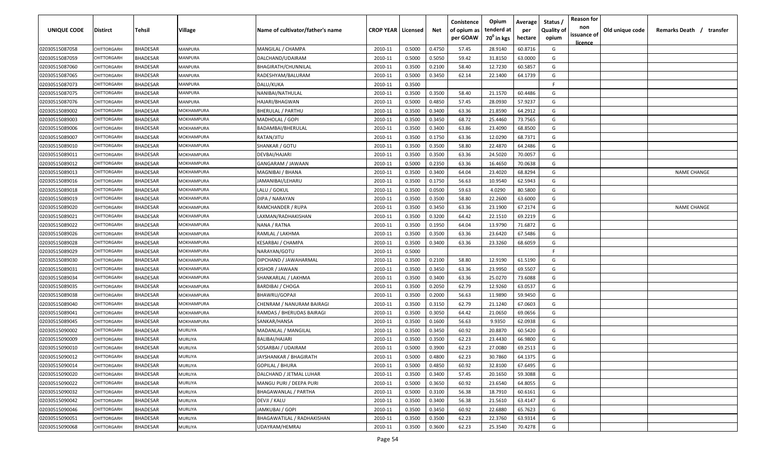| <b>UNIQUE CODE</b> | Distirct           | Tehsil          | Village           | Name of cultivator/father's name | <b>CROP YEAR Licensed</b> |        | Net    | Conistence<br>of opium as<br>per GOAW | Opium<br>tenderd at<br>70 <sup>0</sup> in kgs | Average<br>per<br>hectare | Status /<br><b>Quality of</b><br>opium | <b>Reason for</b><br>non<br>issuance of | Old unique code | Remarks Death / transfer |
|--------------------|--------------------|-----------------|-------------------|----------------------------------|---------------------------|--------|--------|---------------------------------------|-----------------------------------------------|---------------------------|----------------------------------------|-----------------------------------------|-----------------|--------------------------|
| 02030515087058     | CHITTORGARH        | <b>BHADESAR</b> | MANPURA           | MANGILAL / CHAMPA                | 2010-11                   | 0.5000 | 0.4750 | 57.45                                 | 28.9140                                       | 60.8716                   | G                                      | <u>licence</u>                          |                 |                          |
| 02030515087059     | CHITTORGARH        | BHADESAR        | MANPURA           | DALCHAND/UDAIRAM                 | 2010-11                   | 0.5000 | 0.5050 | 59.42                                 | 31.8150                                       | 63.0000                   | G                                      |                                         |                 |                          |
| 02030515087060     | <b>CHITTORGARH</b> | BHADESAR        | MANPURA           | BHAGIRATH/CHUNNILAL              | 2010-11                   | 0.3500 | 0.2100 | 58.40                                 | 12.7230                                       | 60.5857                   | G                                      |                                         |                 |                          |
| 02030515087065     | CHITTORGARH        | BHADESAR        | MANPURA           | RADESHYAM/BALURAM                | 2010-11                   | 0.5000 | 0.3450 | 62.14                                 | 22.1400                                       | 64.1739                   | G                                      |                                         |                 |                          |
| 02030515087073     | <b>CHITTORGARH</b> | BHADESAR        | MANPURA           | DALU/KUKA                        | 2010-11                   | 0.3500 |        |                                       |                                               |                           | -F                                     |                                         |                 |                          |
| 02030515087075     | <b>CHITTORGARH</b> | <b>BHADESAR</b> | MANPURA           | NANIBAI/NATHULAL                 | 2010-11                   | 0.3500 | 0.3500 | 58.40                                 | 21.1570                                       | 60.4486                   | G                                      |                                         |                 |                          |
| 02030515087076     | <b>CHITTORGARH</b> | BHADESAR        | MANPURA           | HAJARI/BHAGWAN                   | 2010-11                   | 0.5000 | 0.4850 | 57.45                                 | 28.0930                                       | 57.9237                   | G                                      |                                         |                 |                          |
| 02030515089002     | CHITTORGARH        | BHADESAR        | MOKHAMPURA        | <b>BHERULAL / PARTHU</b>         | 2010-11                   | 0.3500 | 0.3400 | 63.36                                 | 21.8590                                       | 64.2912                   | G                                      |                                         |                 |                          |
| 02030515089003     | CHITTORGARH        | BHADESAR        | MOKHAMPURA        | MADHOLAL / GOPI                  | 2010-11                   | 0.3500 | 0.3450 | 68.72                                 | 25.4460                                       | 73.7565                   | G                                      |                                         |                 |                          |
| 02030515089006     | CHITTORGARH        | BHADESAR        | MOKHAMPURA        | BADAMBAI/BHERULAL                | 2010-11                   | 0.3500 | 0.3400 | 63.86                                 | 23.4090                                       | 68.8500                   | G                                      |                                         |                 |                          |
| 02030515089007     | CHITTORGARF        | BHADESAR        | MOKHAMPURA        | RATAN/JITU                       | 2010-11                   | 0.3500 | 0.1750 | 63.36                                 | 12.0290                                       | 68.7371                   | G                                      |                                         |                 |                          |
| 02030515089010     | CHITTORGARH        | BHADESAR        | MOKHAMPURA        | SHANKAR / GOTU                   | 2010-11                   | 0.3500 | 0.3500 | 58.80                                 | 22.4870                                       | 64.2486                   | G                                      |                                         |                 |                          |
| 02030515089011     | CHITTORGARH        | <b>BHADESAR</b> | MOKHAMPURA        | DEVBAI/HAJARI                    | 2010-11                   | 0.3500 | 0.3500 | 63.36                                 | 24.5020                                       | 70.0057                   | G                                      |                                         |                 |                          |
| 02030515089012     | CHITTORGARI        | <b>BHADESAR</b> | MOKHAMPURA        | GANGARAM / JAWAAN                | 2010-11                   | 0.5000 | 0.2350 | 63.36                                 | 16.4650                                       | 70.0638                   | G                                      |                                         |                 |                          |
| 02030515089013     | CHITTORGARH        | <b>BHADESAR</b> | MOKHAMPURA        | MAGNIBAI / BHANA                 | 2010-11                   | 0.3500 | 0.3400 | 64.04                                 | 23.4020                                       | 68.8294                   | G                                      |                                         |                 | <b>NAME CHANGE</b>       |
| 02030515089016     | CHITTORGARH        | <b>BHADESAR</b> | MOKHAMPURA        | JAMANIBAI/LEHARU                 | 2010-11                   | 0.3500 | 0.1750 | 56.63                                 | 10.9540                                       | 62.5943                   | G                                      |                                         |                 |                          |
| 02030515089018     | CHITTORGARH        | <b>BHADESAR</b> | MOKHAMPURA        | LALU / GOKUL                     | 2010-11                   | 0.3500 | 0.0500 | 59.63                                 | 4.0290                                        | 80.5800                   | G                                      |                                         |                 |                          |
| 02030515089019     | CHITTORGARH        | <b>BHADESAR</b> | MOKHAMPURA        | DIPA / NARAYAN                   | 2010-11                   | 0.3500 | 0.3500 | 58.80                                 | 22.2600                                       | 63.6000                   | G                                      |                                         |                 |                          |
| 02030515089020     | CHITTORGARH        | BHADESAR        | MOKHAMPURA        | RAMCHANDER / RUPA                | 2010-11                   | 0.3500 | 0.3450 | 63.36                                 | 23.1900                                       | 67.2174                   | G                                      |                                         |                 | <b>NAME CHANGE</b>       |
| 02030515089021     | CHITTORGARH        | <b>BHADESAR</b> | MOKHAMPURA        | LAXMAN/RADHAKISHAN               | 2010-11                   | 0.3500 | 0.3200 | 64.42                                 | 22.1510                                       | 69.2219                   | G                                      |                                         |                 |                          |
| 02030515089022     | CHITTORGARH        | <b>BHADESAR</b> | MOKHAMPURA        | NANA / RATNA                     | 2010-11                   | 0.3500 | 0.1950 | 64.04                                 | 13.9790                                       | 71.6872                   | G                                      |                                         |                 |                          |
| 02030515089026     | <b>CHITTORGARI</b> | <b>BHADESAR</b> | MOKHAMPURA        | RAMLAL / LAKHMA                  | 2010-11                   | 0.3500 | 0.3500 | 63.36                                 | 23.6420                                       | 67.5486                   | G                                      |                                         |                 |                          |
| 02030515089028     | <b>CHITTORGARI</b> | <b>BHADESAR</b> | <b>MOKHAMPURA</b> | KESARBAI / CHAMPA                | 2010-11                   | 0.3500 | 0.3400 | 63.36                                 | 23.3260                                       | 68.6059                   | G                                      |                                         |                 |                          |
| 02030515089029     | <b>CHITTORGARI</b> | <b>BHADESAR</b> | <b>MOKHAMPURA</b> | NARAYAN/GOTU                     | 2010-11                   | 0.5000 |        |                                       |                                               |                           | -F.                                    |                                         |                 |                          |
| 02030515089030     | CHITTORGARH        | BHADESAR        | MOKHAMPURA        | DIPCHAND / JAWAHARMAL            | 2010-11                   | 0.3500 | 0.2100 | 58.80                                 | 12.9190                                       | 61.5190                   | G                                      |                                         |                 |                          |
| 02030515089031     | CHITTORGARH        | BHADESAR        | MOKHAMPURA        | KISHOR / JAWAAN                  | 2010-11                   | 0.3500 | 0.3450 | 63.36                                 | 23.9950                                       | 69.5507                   | G                                      |                                         |                 |                          |
| 02030515089034     | CHITTORGARF        | BHADESAR        | MOKHAMPURA        | SHANKARLAL / LAKHMA              | 2010-11                   | 0.3500 | 0.3400 | 63.36                                 | 25.0270                                       | 73.6088                   | G                                      |                                         |                 |                          |
| 02030515089035     | CHITTORGARF        | BHADESAR        | MOKHAMPURA        | BARDIBAI / CHOGA                 | 2010-11                   | 0.3500 | 0.2050 | 62.79                                 | 12.9260                                       | 63.0537                   | G                                      |                                         |                 |                          |
| 02030515089038     | CHITTORGARF        | BHADESAR        | MOKHAMPURA        | BHAWRU/GOPAJI                    | 2010-11                   | 0.3500 | 0.2000 | 56.63                                 | 11.9890                                       | 59.9450                   | G                                      |                                         |                 |                          |
| 02030515089040     | CHITTORGARH        | <b>BHADESAR</b> | MOKHAMPURA        | CHENRAM / NANURAM BAIRAGI        | 2010-11                   | 0.3500 | 0.3150 | 62.79                                 | 21.1240                                       | 67.0603                   | G                                      |                                         |                 |                          |
| 02030515089041     | CHITTORGARH        | BHADESAR        | MOKHAMPURA        | RAMDAS / BHERUDAS BAIRAGI        | 2010-11                   | 0.3500 | 0.3050 | 64.42                                 | 21.0650                                       | 69.0656                   | G                                      |                                         |                 |                          |
| 02030515089045     | CHITTORGARI        | <b>BHADESAR</b> | MOKHAMPURA        | SANKAR/HANSA                     | 2010-11                   | 0.3500 | 0.1600 | 56.63                                 | 9.9350                                        | 62.0938                   | G                                      |                                         |                 |                          |
| 02030515090002     | CHITTORGARI        | <b>BHADESAR</b> | MURLIYA           | MADANLAL / MANGILAL              | 2010-11                   | 0.3500 | 0.3450 | 60.92                                 | 20.8870                                       | 60.5420                   | G                                      |                                         |                 |                          |
| 02030515090009     | CHITTORGARH        | BHADESAR        | MURLIYA           | BALIBAI/HAJARI                   | 2010-11                   | 0.3500 | 0.3500 | 62.23                                 | 23.4430                                       | 66.9800                   | G                                      |                                         |                 |                          |
| 02030515090010     | CHITTORGARH        | BHADESAR        | <b>MURLIYA</b>    | SOSARBAI / UDAIRAM               | 2010-11                   | 0.5000 | 0.3900 | 62.23                                 | 27.0080                                       | 69.2513                   | G                                      |                                         |                 |                          |
| 02030515090012     | <b>CHITTORGARH</b> | <b>BHADESAR</b> | <b>MURLIYA</b>    | JAYSHANKAR / BHAGIRATH           | 2010-11                   | 0.5000 | 0.4800 | 62.23                                 | 30.7860                                       | 64.1375                   | G                                      |                                         |                 |                          |
| 02030515090014     | CHITTORGARH        | <b>BHADESAR</b> | <b>MURLIYA</b>    | GOPILAL / BHURA                  | 2010-11                   | 0.5000 | 0.4850 | 60.92                                 | 32.8100                                       | 67.6495                   | G                                      |                                         |                 |                          |
| 02030515090020     | CHITTORGARH        | <b>BHADESAR</b> | <b>MURLIYA</b>    | DALCHAND / JETMAL LUHAR          | 2010-11                   | 0.3500 | 0.3400 | 57.45                                 | 20.1650                                       | 59.3088                   | G                                      |                                         |                 |                          |
| 02030515090022     | CHITTORGARH        | <b>BHADESAR</b> | <b>MURLIYA</b>    | MANGU PURI / DEEPA PURI          | 2010-11                   | 0.5000 | 0.3650 | 60.92                                 | 23.6540                                       | 64.8055                   | G                                      |                                         |                 |                          |
| 02030515090032     | <b>CHITTORGARH</b> | <b>BHADESAR</b> | MURLIYA           | <b>BHAGAWANLAL / PARTHA</b>      | 2010-11                   | 0.5000 | 0.3100 | 56.38                                 | 18.7910                                       | 60.6161                   | G                                      |                                         |                 |                          |
| 02030515090042     | <b>CHITTORGARH</b> | <b>BHADESAR</b> | <b>MURLIYA</b>    | DEVJI / KALU                     | 2010-11                   | 0.3500 | 0.3400 | 56.38                                 | 21.5610                                       | 63.4147                   | G                                      |                                         |                 |                          |
| 02030515090046     | CHITTORGARH        | <b>BHADESAR</b> | MURLIYA           | JAMKUBAI / GOPI                  | 2010-11                   | 0.3500 | 0.3450 | 60.92                                 | 22.6880                                       | 65.7623                   | G                                      |                                         |                 |                          |
| 02030515090051     | CHITTORGARH        | <b>BHADESAR</b> | <b>MURLIYA</b>    | BHAGAWATILAL / RADHAKISHAN       | 2010-11                   | 0.3500 | 0.3500 | 62.23                                 | 22.3760                                       | 63.9314                   | G                                      |                                         |                 |                          |
| 02030515090068     | CHITTORGARH        | <b>BHADESAR</b> | <b>MURLIYA</b>    | UDAYRAM/HEMRAJ                   | 2010-11                   | 0.3500 | 0.3600 | 62.23                                 | 25.3540                                       | 70.4278                   | G                                      |                                         |                 |                          |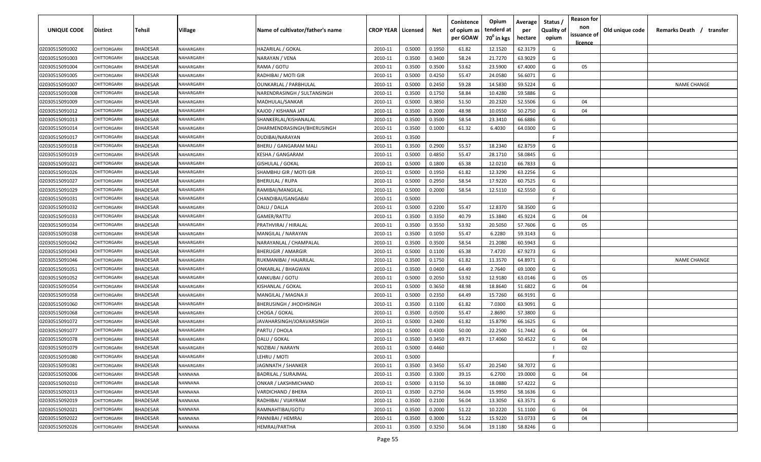| UNIQUE CODE    | <b>Distirct</b>    | Tehsil          | Village          | Name of cultivator/father's name | <b>CROP YEAR   Licensed</b> |        | Net    | Conistence<br>of opium as<br>per GOAW | Opium<br>tenderd at<br>70 <sup>°</sup> in kgs | Average<br>per<br>hectare | Status<br><b>Quality of</b><br>opium | <b>Reason for</b><br>non<br>issuance of<br><u>licence</u> | Old unique code | Remarks Death / transfer |
|----------------|--------------------|-----------------|------------------|----------------------------------|-----------------------------|--------|--------|---------------------------------------|-----------------------------------------------|---------------------------|--------------------------------------|-----------------------------------------------------------|-----------------|--------------------------|
| 02030515091002 | CHITTORGARH        | <b>BHADESAR</b> | NAHARGARH        | HAZARILAL / GOKAL                | 2010-11                     | 0.5000 | 0.1950 | 61.82                                 | 12.1520                                       | 62.3179                   | G                                    |                                                           |                 |                          |
| 02030515091003 | CHITTORGARH        | BHADESAR        | NAHARGARH        | NARAYAN / VENA                   | 2010-11                     | 0.3500 | 0.3400 | 58.24                                 | 21.7270                                       | 63.9029                   | G                                    |                                                           |                 |                          |
| 02030515091004 | CHITTORGARH        | BHADESAR        | NAHARGARH        | RAMA / GOTU                      | 2010-11                     | 0.3500 | 0.3500 | 53.62                                 | 23.5900                                       | 67.4000                   | G                                    | 05                                                        |                 |                          |
| 02030515091005 | CHITTORGARH        | <b>BHADESAR</b> | NAHARGARH        | RADHIBAI / MOTI GIR              | 2010-11                     | 0.5000 | 0.4250 | 55.47                                 | 24.0580                                       | 56.6071                   | G                                    |                                                           |                 |                          |
| 02030515091007 | CHITTORGARH        | <b>BHADESAR</b> | NAHARGARH        | OUNKARLAL / PARBHULAL            | 2010-11                     | 0.5000 | 0.2450 | 59.28                                 | 14.5830                                       | 59.5224                   | G                                    |                                                           |                 | <b>NAME CHANGE</b>       |
| 02030515091008 | CHITTORGARH        | <b>BHADESAR</b> | NAHARGARH        | NARENDRASINGH / SULTANSINGH      | 2010-11                     | 0.3500 | 0.1750 | 58.84                                 | 10.4280                                       | 59.5886                   | G                                    |                                                           |                 |                          |
| 02030515091009 | CHITTORGARI        | <b>BHADESAR</b> | NAHARGARH        | MADHULAL/SANKAR                  | 2010-11                     | 0.5000 | 0.3850 | 51.50                                 | 20.2320                                       | 52.5506                   | G                                    | 04                                                        |                 |                          |
| 02030515091012 | CHITTORGARH        | BHADESAR        | NAHARGARH        | KAJOD / KISHANA JAT              | 2010-11                     | 0.3500 | 0.2000 | 48.98                                 | 10.0550                                       | 50.2750                   | G                                    | 04                                                        |                 |                          |
| 02030515091013 | CHITTORGARH        | BHADESAR        | NAHARGARH        | SHANKERLAL/KISHANALAL            | 2010-11                     | 0.3500 | 0.3500 | 58.54                                 | 23.3410                                       | 66.6886                   | G                                    |                                                           |                 |                          |
| 02030515091014 | CHITTORGARH        | BHADESAR        | NAHARGARH        | DHARMENDRASINGH/BHERUSINGH       | 2010-11                     | 0.3500 | 0.1000 | 61.32                                 | 6.4030                                        | 64.0300                   | G                                    |                                                           |                 |                          |
| 02030515091017 | CHITTORGARH        | <b>BHADESAR</b> | NAHARGARH        | DUDIBAI/NARAYAN                  | 2010-11                     | 0.3500 |        |                                       |                                               |                           | E                                    |                                                           |                 |                          |
| 02030515091018 | CHITTORGARH        | <b>BHADESAR</b> | NAHARGARH        | BHERU / GANGARAM MALI            | 2010-11                     | 0.3500 | 0.2900 | 55.57                                 | 18.2340                                       | 62.8759                   | G                                    |                                                           |                 |                          |
| 02030515091019 | CHITTORGARH        | <b>BHADESAR</b> | NAHARGARH        | KESHA / GANGARAM                 | 2010-11                     | 0.5000 | 0.4850 | 55.47                                 | 28.1710                                       | 58.0845                   | G                                    |                                                           |                 |                          |
| 02030515091021 | CHITTORGARH        | <b>BHADESAR</b> | NAHARGARH        | GISHULAL / GOKAL                 | 2010-11                     | 0.5000 | 0.1800 | 65.38                                 | 12.0210                                       | 66.7833                   | G                                    |                                                           |                 |                          |
| 02030515091026 | CHITTORGARH        | <b>BHADESAR</b> | NAHARGARH        | SHAMBHU GIR / MOTI GIR           | 2010-11                     | 0.5000 | 0.1950 | 61.82                                 | 12.3290                                       | 63.2256                   | G                                    |                                                           |                 |                          |
| 02030515091027 | CHITTORGARH        | <b>BHADESAR</b> | NAHARGARH        | BHERULAL / RUPA                  | 2010-11                     | 0.5000 | 0.2950 | 58.54                                 | 17.9220                                       | 60.7525                   | G                                    |                                                           |                 |                          |
| 02030515091029 | CHITTORGARH        | <b>BHADESAR</b> | NAHARGARH        | RAMIBAI/MANGILAL                 | 2010-11                     | 0.5000 | 0.2000 | 58.54                                 | 12.5110                                       | 62.5550                   | G                                    |                                                           |                 |                          |
| 02030515091031 | CHITTORGARH        | <b>BHADESAR</b> | NAHARGARH        | CHANDIBAI/GANGABAI               | 2010-11                     | 0.5000 |        |                                       |                                               |                           | E                                    |                                                           |                 |                          |
| 02030515091032 | CHITTORGARH        | <b>BHADESAR</b> | NAHARGARH        | DALU / DALLA                     | 2010-11                     | 0.5000 | 0.2200 | 55.47                                 | 12.8370                                       | 58.3500                   | G                                    |                                                           |                 |                          |
| 02030515091033 | <b>CHITTORGARI</b> | <b>BHADESAR</b> | NAHARGARH        | GAMER/RATTU                      | 2010-11                     | 0.3500 | 0.3350 | 40.79                                 | 15.3840                                       | 45.9224                   | G                                    | 04                                                        |                 |                          |
| 02030515091034 | CHITTORGARH        | <b>BHADESAR</b> | NAHARGARH        | PRATHVIRAJ / HIRALAL             | 2010-11                     | 0.3500 | 0.3550 | 53.92                                 | 20.5050                                       | 57.7606                   | G                                    | 05                                                        |                 |                          |
| 02030515091038 | CHITTORGARI        | <b>BHADESAR</b> | NAHARGARH        | MANGILAL / NARAYAN               | 2010-11                     | 0.3500 | 0.1050 | 55.47                                 | 6.2280                                        | 59.3143                   | G                                    |                                                           |                 |                          |
| 02030515091042 | CHITTORGARI        | <b>BHADESAR</b> | NAHARGARH        | VARAYANLAL / CHAMPALAL           | 2010-11                     | 0.3500 | 0.3500 | 58.54                                 | 21.2080                                       | 60.5943                   | G                                    |                                                           |                 |                          |
| 02030515091043 | CHITTORGARI        | <b>BHADESAR</b> | NAHARGARH        | BHERUGIR / AMARGIR               | 2010-11                     | 0.5000 | 0.1100 | 65.38                                 | 7.4720                                        | 67.9273                   | G                                    |                                                           |                 |                          |
| 02030515091046 | CHITTORGARH        | BHADESAR        | NAHARGARH        | RUKMANIBAI / HAJARILAL           | 2010-11                     | 0.3500 | 0.1750 | 61.82                                 | 11.3570                                       | 64.8971                   | G                                    |                                                           |                 | <b>NAME CHANGE</b>       |
| 02030515091051 | CHITTORGARH        | BHADESAR        | NAHARGARH        | ONKARLAL / BHAGWAN               | 2010-11                     | 0.3500 | 0.0400 | 64.49                                 | 2.7640                                        | 69.1000                   | G                                    |                                                           |                 |                          |
| 02030515091052 | CHITTORGARH        | BHADESAR        | NAHARGARH        | KANKUBAI / GOTU                  | 2010-11                     | 0.5000 | 0.2050 | 53.92                                 | 12.9180                                       | 63.0146                   | G                                    | 05                                                        |                 |                          |
| 02030515091054 | CHITTORGARH        | <b>BHADESAR</b> | NAHARGARH        | KISHANLAL / GOKAL                | 2010-11                     | 0.5000 | 0.3650 | 48.98                                 | 18.8640                                       | 51.6822                   | G                                    | 04                                                        |                 |                          |
| 02030515091058 | <b>HITTORGARH</b>  | <b>BHADESAR</b> | NAHARGARH        | MANGILAL / MAGNA JI              | 2010-11                     | 0.5000 | 0.2350 | 64.49                                 | 15.7260                                       | 66.9191                   | G                                    |                                                           |                 |                          |
| 02030515091060 | CHITTORGARH        | <b>BHADESAR</b> | NAHARGARH        | BHERUSINGH / JHODHSINGH          | 2010-11                     | 0.3500 | 0.1100 | 61.82                                 | 7.0300                                        | 63.9091                   | G                                    |                                                           |                 |                          |
| 02030515091068 | CHITTORGARH        | <b>BHADESAR</b> | NAHARGARH        | CHOGA / GOKAL                    | 2010-11                     | 0.3500 | 0.0500 | 55.47                                 | 2.8690                                        | 57.3800                   | G                                    |                                                           |                 |                          |
| 02030515091072 | CHITTORGARH        | BHADESAR        | NAHARGARH        | IAVAHARSINGH/JORAVARSINGH        | 2010-11                     | 0.5000 | 0.2400 | 61.82                                 | 15.8790                                       | 66.1625                   | G                                    |                                                           |                 |                          |
| 02030515091077 | CHITTORGARH        | <b>BHADESAR</b> | NAHARGARH        | PARTU / DHOLA                    | 2010-11                     | 0.5000 | 0.4300 | 50.00                                 | 22.2500                                       | 51.7442                   | G                                    | 04                                                        |                 |                          |
| 02030515091078 | CHITTORGARH        | <b>BHADESAR</b> | NAHARGARH        | DALU / GOKAL                     | 2010-11                     | 0.3500 | 0.3450 | 49.71                                 | 17.4060                                       | 50.4522                   | G                                    | 04                                                        |                 |                          |
| 02030515091079 | CHITTORGARH        | <b>BHADESAR</b> | NAHARGARH        | NOZIBAI / NARAYN                 | 2010-11                     | 0.5000 | 0.4460 |                                       |                                               |                           |                                      | 02                                                        |                 |                          |
| 02030515091080 | CHITTORGARH        | <b>BHADESAR</b> | <b>NAHARGARH</b> | LEHRU / MOTI                     | 2010-11                     | 0.5000 |        |                                       |                                               |                           | -F                                   |                                                           |                 |                          |
| 02030515091081 | CHITTORGARH        | <b>BHADESAR</b> | NAHARGARH        | JAGNNATH / SHANKER               | 2010-11                     | 0.3500 | 0.3450 | 55.47                                 | 20.2540                                       | 58.7072                   | G                                    |                                                           |                 |                          |
| 02030515092006 | CHITTORGARH        | <b>BHADESAR</b> | NANNANA          | <b>BADRILAL / SURAJMAL</b>       | 2010-11                     | 0.3500 | 0.3300 | 39.15                                 | 6.2700                                        | 19.0000                   | G                                    | 04                                                        |                 |                          |
| 02030515092010 | CHITTORGARH        | <b>BHADESAR</b> | NANNANA          | ONKAR / LAKSHMICHAND             | 2010-11                     | 0.5000 | 0.3150 | 56.10                                 | 18.0880                                       | 57.4222                   | G                                    |                                                           |                 |                          |
| 02030515092013 | CHITTORGARH        | <b>BHADESAR</b> | NANNANA          | VARDICHAND / BHERA               | 2010-11                     | 0.3500 | 0.2750 | 56.04                                 | 15.9950                                       | 58.1636                   | G                                    |                                                           |                 |                          |
| 02030515092019 | CHITTORGARH        | <b>BHADESAR</b> | <b>NANNANA</b>   | RADHIBAI / VIJAYRAM              | 2010-11                     | 0.3500 | 0.2100 | 56.04                                 | 13.3050                                       | 63.3571                   | G                                    |                                                           |                 |                          |
| 02030515092021 | CHITTORGARH        | <b>BHADESAR</b> | NANNANA          | RAMNAHTIBAI/GOTU                 | 2010-11                     | 0.3500 | 0.2000 | 51.22                                 | 10.2220                                       | 51.1100                   | G                                    | 04                                                        |                 |                          |
| 02030515092022 | CHITTORGARH        | <b>BHADESAR</b> | NANNANA          | PANNIBAI / HEMRAJ                | 2010-11                     | 0.3500 | 0.3000 | 51.22                                 | 15.9220                                       | 53.0733                   | G                                    | 04                                                        |                 |                          |
| 02030515092026 | CHITTORGARH        | <b>BHADESAR</b> | NANNANA          | HEMRAJ/PARTHA                    | 2010-11                     | 0.3500 | 0.3250 | 56.04                                 | 19.1180                                       | 58.8246                   | G                                    |                                                           |                 |                          |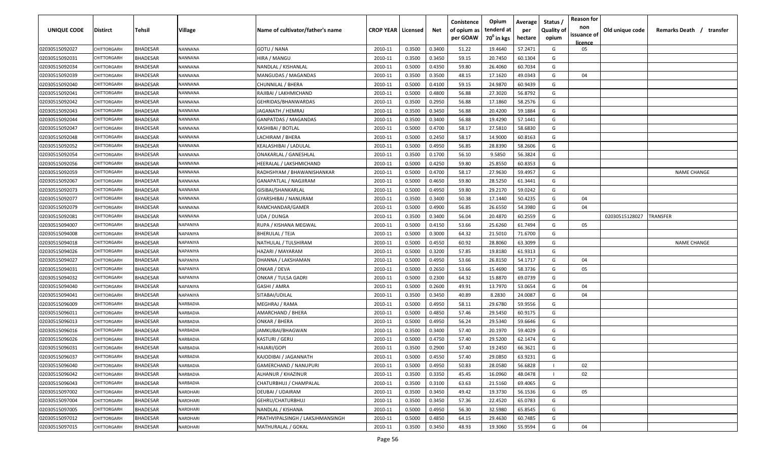| <b>UNIQUE CODE</b> | Distirct           | Tehsil          | Village         | Name of cultivator/father's name | <b>CROP YEAR Licensed</b> |        | Net    | Conistence<br>of opium as<br>per GOAW | Opium<br>tenderd at<br>70 <sup>0</sup> in kgs | Average<br>per<br>hectare | Status /<br><b>Quality of</b><br>opium | <b>Reason for</b><br>non<br>issuance of | Old unique code | Remarks Death / transfer |
|--------------------|--------------------|-----------------|-----------------|----------------------------------|---------------------------|--------|--------|---------------------------------------|-----------------------------------------------|---------------------------|----------------------------------------|-----------------------------------------|-----------------|--------------------------|
| 02030515092027     | CHITTORGARH        | <b>BHADESAR</b> | NANNANA         | GOTU / NANA                      | 2010-11                   | 0.3500 | 0.3400 | 51.22                                 | 19.4640                                       | 57.2471                   | G                                      | licence<br>05                           |                 |                          |
| 02030515092031     | CHITTORGARH        | BHADESAR        | NANNANA         | HIRA / MANGU                     | 2010-11                   | 0.3500 | 0.3450 | 59.15                                 | 20.7450                                       | 60.1304                   | G                                      |                                         |                 |                          |
| 02030515092034     | <b>CHITTORGARH</b> | BHADESAR        | NANNANA         | NANDLAL / KISHANLAL              | 2010-11                   | 0.5000 | 0.4350 | 59.80                                 | 26.4060                                       | 60.7034                   | G                                      |                                         |                 |                          |
| 02030515092039     | CHITTORGARH        | BHADESAR        | NANNANA         | MANGUDAS / MAGANDAS              | 2010-11                   | 0.3500 | 0.3500 | 48.15                                 | 17.1620                                       | 49.0343                   | G                                      | 04                                      |                 |                          |
| 02030515092040     | <b>CHITTORGARH</b> | BHADESAR        | NANNANA         | CHUNNILAL / BHERA                | 2010-11                   | 0.5000 | 0.4100 | 59.15                                 | 24.9870                                       | 60.9439                   | G                                      |                                         |                 |                          |
| 02030515092041     | CHITTORGARH        | <b>BHADESAR</b> | NANNANA         | RAJIBAI / LAKHMICHAND            | 2010-11                   | 0.5000 | 0.4800 | 56.88                                 | 27.3020                                       | 56.8792                   | G                                      |                                         |                 |                          |
| 02030515092042     | <b>CHITTORGARH</b> | BHADESAR        | VANNANA         | GEHRIDAS/BHANWARDAS              | 2010-11                   | 0.3500 | 0.2950 | 56.88                                 | 17.1860                                       | 58.2576                   | G                                      |                                         |                 |                          |
| 02030515092043     | CHITTORGARH        | BHADESAR        | NANNANA         | JAGANATH / HEMRAJ                | 2010-11                   | 0.3500 | 0.3450 | 56.88                                 | 20.4200                                       | 59.1884                   | G                                      |                                         |                 |                          |
| 02030515092044     | CHITTORGARH        | BHADESAR        | NANNANA         | GANPATDAS / MAGANDAS             | 2010-11                   | 0.3500 | 0.3400 | 56.88                                 | 19.4290                                       | 57.1441                   | G                                      |                                         |                 |                          |
| 02030515092047     | CHITTORGARH        | BHADESAR        | <b>VANNANA</b>  | KASHIBAI / BOTLAL                | 2010-11                   | 0.5000 | 0.4700 | 58.17                                 | 27.5810                                       | 58.6830                   | G                                      |                                         |                 |                          |
| 02030515092048     | CHITTORGARF        | BHADESAR        | VANNANA         | LACHIRAM / BHERA                 | 2010-11                   | 0.5000 | 0.2450 | 58.17                                 | 14.9000                                       | 60.8163                   | G                                      |                                         |                 |                          |
| 02030515092052     | CHITTORGARH        | BHADESAR        | NANNANA         | KEALASHIBAI / LADULAL            | 2010-11                   | 0.5000 | 0.4950 | 56.85                                 | 28.8390                                       | 58.2606                   | G                                      |                                         |                 |                          |
| 02030515092054     | CHITTORGARH        | <b>BHADESAR</b> | NANNANA         | ONAKARLAL / GANESHLAL            | 2010-11                   | 0.3500 | 0.1700 | 56.10                                 | 9.5850                                        | 56.3824                   | G                                      |                                         |                 |                          |
| 02030515092056     | CHITTORGARH        | <b>BHADESAR</b> | NANNANA         | HEERALAL / LAKSHMICHAND          | 2010-11                   | 0.5000 | 0.4250 | 59.80                                 | 25.8550                                       | 60.8353                   | G                                      |                                         |                 |                          |
| 02030515092059     | CHITTORGARH        | <b>BHADESAR</b> | NANNANA         | RADHSHYAM / BHAWANISHANKAR       | 2010-11                   | 0.5000 | 0.4700 | 58.17                                 | 27.9630                                       | 59.4957                   | G                                      |                                         |                 | <b>NAME CHANGE</b>       |
| 02030515092067     | CHITTORGARH        | <b>BHADESAR</b> | NANNANA         | GANAPATLAL / NAGJIRAM            | 2010-11                   | 0.5000 | 0.4650 | 59.80                                 | 28.5250                                       | 61.3441                   | G                                      |                                         |                 |                          |
| 02030515092073     | CHITTORGARH        | <b>BHADESAR</b> | NANNANA         | GISIBAI/SHANKARLAL               | 2010-11                   | 0.5000 | 0.4950 | 59.80                                 | 29.2170                                       | 59.0242                   | G                                      |                                         |                 |                          |
| 02030515092077     | CHITTORGARH        | <b>BHADESAR</b> | NANNANA         | GYARSHIBAI / NANURAM             | 2010-11                   | 0.3500 | 0.3400 | 50.38                                 | 17.1440                                       | 50.4235                   | G                                      | 04                                      |                 |                          |
| 02030515092079     | CHITTORGARH        | BHADESAR        | NANNANA         | RAMCHANDAR/GAMER                 | 2010-11                   | 0.5000 | 0.4900 | 56.85                                 | 26.6550                                       | 54.3980                   | G                                      | 04                                      |                 |                          |
| 02030515092081     | CHITTORGARH        | <b>BHADESAR</b> | NANNANA         | UDA / DUNGA                      | 2010-11                   | 0.3500 | 0.3400 | 56.04                                 | 20.4870                                       | 60.2559                   | G                                      |                                         | 02030515128027  | TRANSFER                 |
| 02030515094007     | CHITTORGARH        | <b>BHADESAR</b> | NAPANIYA        | RUPA / KISHANA MEGWAL            | 2010-11                   | 0.5000 | 0.4150 | 53.66                                 | 25.6260                                       | 61.7494                   | G                                      | 05                                      |                 |                          |
| 02030515094008     | <b>CHITTORGARH</b> | <b>BHADESAR</b> | NAPANIYA        | <b>BHERULAL / TEJA</b>           | 2010-11                   | 0.5000 | 0.3000 | 64.32                                 | 21.5010                                       | 71.6700                   | G                                      |                                         |                 |                          |
| 02030515094018     | <b>CHITTORGARI</b> | <b>BHADESAR</b> | <b>VAPANIYA</b> | NATHULAL / TULSHIRAM             | 2010-11                   | 0.5000 | 0.4550 | 60.92                                 | 28.8060                                       | 63.3099                   | G                                      |                                         |                 | <b>NAME CHANGE</b>       |
| 02030515094026     | <b>CHITTORGARI</b> | BHADESAR        | NAPANIYA        | HAZARI / MAYARAM                 | 2010-11                   | 0.5000 | 0.3200 | 57.85                                 | 19.8180                                       | 61.9313                   | G                                      |                                         |                 |                          |
| 02030515094027     | CHITTORGARH        | BHADESAR        | NAPANIYA        | DHANNA / LAKSHAMAN               | 2010-11                   | 0.5000 | 0.4950 | 53.66                                 | 26.8150                                       | 54.1717                   | G                                      | 04                                      |                 |                          |
| 02030515094031     | CHITTORGARH        | BHADESAR        | NAPANIYA        | ONKAR / DEVA                     | 2010-11                   | 0.5000 | 0.2650 | 53.66                                 | 15.4690                                       | 58.3736                   | G                                      | 05                                      |                 |                          |
| 02030515094032     | CHITTORGARF        | BHADESAR        | <b>NAPANIYA</b> | ONKAR / TULSA GADRI              | 2010-11                   | 0.5000 | 0.2300 | 64.32                                 | 15.8870                                       | 69.0739                   | G                                      |                                         |                 |                          |
| 02030515094040     | CHITTORGARF        | BHADESAR        | <b>NAPANIYA</b> | GASHI / AMRA                     | 2010-11                   | 0.5000 | 0.2600 | 49.91                                 | 13.7970                                       | 53.0654                   | G                                      | 04                                      |                 |                          |
| 02030515094041     | CHITTORGARF        | BHADESAR        | NAPANIYA        | SITABAI/UDILAL                   | 2010-11                   | 0.3500 | 0.3450 | 40.89                                 | 8.2830                                        | 24.0087                   | G                                      | 04                                      |                 |                          |
| 02030515096009     | CHITTORGARH        | <b>BHADESAR</b> | NARBADIA        | MEGHRAJ / RAMA                   | 2010-11                   | 0.5000 | 0.4950 | 58.11                                 | 29.6780                                       | 59.9556                   | G                                      |                                         |                 |                          |
| 02030515096011     | CHITTORGARH        | <b>BHADESAR</b> | NARBADIA        | AMARCHAND / BHERA                | 2010-11                   | 0.5000 | 0.4850 | 57.46                                 | 29.5450                                       | 60.9175                   | G                                      |                                         |                 |                          |
| 02030515096013     | CHITTORGARI        | <b>BHADESAR</b> | NARBADIA        | ONKAR / BHERA                    | 2010-11                   | 0.5000 | 0.4950 | 56.24                                 | 29.5340                                       | 59.6646                   | G                                      |                                         |                 |                          |
| 02030515096016     | CHITTORGARI        | <b>BHADESAR</b> | NARBADIA        | JAMKUBAI/BHAGWAN                 | 2010-11                   | 0.3500 | 0.3400 | 57.40                                 | 20.1970                                       | 59.4029                   | G                                      |                                         |                 |                          |
| 02030515096026     | CHITTORGARH        | BHADESAR        | NARBADIA        | KASTURI / GERU                   | 2010-11                   | 0.5000 | 0.4750 | 57.40                                 | 29.5200                                       | 62.1474                   | G                                      |                                         |                 |                          |
| 02030515096031     | CHITTORGARH        | BHADESAR        | NARBADIA        | <b>HAJARI/GOPI</b>               | 2010-11                   | 0.3500 | 0.2900 | 57.40                                 | 19.2450                                       | 66.3621                   | G                                      |                                         |                 |                          |
| 02030515096037     | <b>CHITTORGARH</b> | <b>BHADESAR</b> | NARBADIA        | KAJODIBAI / JAGANNATH            | 2010-11                   | 0.5000 | 0.4550 | 57.40                                 | 29.0850                                       | 63.9231                   | G                                      |                                         |                 |                          |
| 02030515096040     | CHITTORGARH        | <b>BHADESAR</b> | NARBADIA        | <b>GAMERCHAND / NANUPURI</b>     | 2010-11                   | 0.5000 | 0.4950 | 50.83                                 | 28.0580                                       | 56.6828                   |                                        | 02                                      |                 |                          |
| 02030515096042     | CHITTORGARH        | <b>BHADESAR</b> | NARBADIA        | ALHANUR / KHAZINUR               | 2010-11                   | 0.3500 | 0.3350 | 45.45                                 | 16.0960                                       | 48.0478                   |                                        | 02                                      |                 |                          |
| 02030515096043     | CHITTORGARH        | <b>BHADESAR</b> | NARBADIA        | CHATURBHUJ / CHAMPALAL           | 2010-11                   | 0.3500 | 0.3100 | 63.63                                 | 21.5160                                       | 69.4065                   | G                                      |                                         |                 |                          |
| 02030515097002     | <b>CHITTORGARH</b> | <b>BHADESAR</b> | NARDHARI        | DEUBAI / UDAIRAM                 | 2010-11                   | 0.3500 | 0.3450 | 49.42                                 | 19.3730                                       | 56.1536                   | G                                      | 05                                      |                 |                          |
| 02030515097004     | <b>CHITTORGARH</b> | <b>BHADESAR</b> | NARDHARI        | GEHRU/CHATURBHUJ                 | 2010-11                   | 0.3500 | 0.3450 | 57.36                                 | 22.4520                                       | 65.0783                   | G                                      |                                         |                 |                          |
| 02030515097005     | CHITTORGARH        | <b>BHADESAR</b> | NARDHARI        | NANDLAL / KISHANA                | 2010-11                   | 0.5000 | 0.4950 | 56.30                                 | 32.5980                                       | 65.8545                   | G                                      |                                         |                 |                          |
| 02030515097012     | CHITTORGARH        | <b>BHADESAR</b> | NARDHARI        | PRATHVIPALSINGH / LAKSJHMANSINGH | 2010-11                   | 0.5000 | 0.4850 | 64.15                                 | 29.4630                                       | 60.7485                   | G                                      |                                         |                 |                          |
| 02030515097015     | CHITTORGARH        | <b>BHADESAR</b> | NARDHARI        | MATHURALAL / GOKAL               | 2010-11                   | 0.3500 | 0.3450 | 48.93                                 | 19.3060                                       | 55.9594                   | G                                      | 04                                      |                 |                          |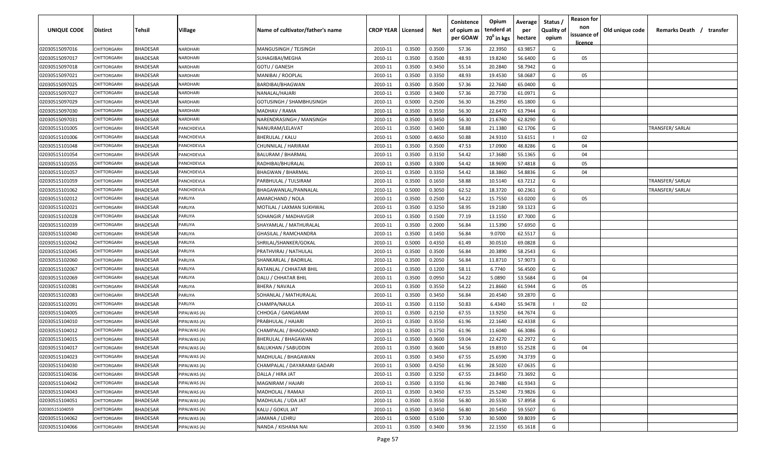| UNIQUE CODE    | <b>Distirct</b>    | Tehsil          | Village           | Name of cultivator/father's name | <b>CROP YEAR   Licensed</b> |        | Net    | Conistence<br>of opium as<br>per GOAW | Opium<br>tenderd at<br>70 <sup>0</sup> in kgs | Average<br>per<br>hectare | Status /<br><b>Quality of</b><br>opium | <b>Reason for</b><br>non<br>issuance of<br><u>licence</u> | Old unique code | Remarks Death /<br>transfer |
|----------------|--------------------|-----------------|-------------------|----------------------------------|-----------------------------|--------|--------|---------------------------------------|-----------------------------------------------|---------------------------|----------------------------------------|-----------------------------------------------------------|-----------------|-----------------------------|
| 02030515097016 | CHITTORGARH        | <b>BHADESAR</b> | VARDHARI          | MANGUSINGH / TEJSINGH            | 2010-11                     | 0.3500 | 0.3500 | 57.36                                 | 22.3950                                       | 63.9857                   | G                                      |                                                           |                 |                             |
| 02030515097017 | CHITTORGARH        | <b>BHADESAR</b> | VARDHARI          | SUHAGIBAI/MEGHA                  | 2010-11                     | 0.3500 | 0.3500 | 48.93                                 | 19.8240                                       | 56.6400                   | G                                      | 05                                                        |                 |                             |
| 02030515097018 | CHITTORGARH        | <b>BHADESAR</b> | VARDHARI          | GOTU / GANESH                    | 2010-11                     | 0.3500 | 0.3450 | 55.14                                 | 20.2840                                       | 58.7942                   | G                                      |                                                           |                 |                             |
| 02030515097021 | CHITTORGARH        | <b>BHADESAR</b> | VARDHARI          | MANIBAI / ROOPLAL                | 2010-11                     | 0.3500 | 0.3350 | 48.93                                 | 19.4530                                       | 58.0687                   | G                                      | 05                                                        |                 |                             |
| 02030515097025 | CHITTORGARH        | <b>BHADESAR</b> | VARDHARI          | BARDIBAI/BHAGWAN                 | 2010-11                     | 0.3500 | 0.3500 | 57.36                                 | 22.7640                                       | 65.0400                   | G                                      |                                                           |                 |                             |
| 02030515097027 | <b>CHITTORGARI</b> | <b>BHADESAR</b> | VARDHARI          | NANALAL/HAJARI                   | 2010-11                     | 0.3500 | 0.3400 | 57.36                                 | 20.7730                                       | 61.0971                   | G                                      |                                                           |                 |                             |
| 02030515097029 | <b>CHITTORGARI</b> | <b>BHADESAR</b> | VARDHARI          | GOTUSINGH / SHAMBHUSINGH         | 2010-11                     | 0.5000 | 0.2500 | 56.30                                 | 16.2950                                       | 65.1800                   | G                                      |                                                           |                 |                             |
| 02030515097030 | CHITTORGARH        | BHADESAR        | VARDHARI          | MADHAV / RAMA                    | 2010-11                     | 0.3500 | 0.3550 | 56.30                                 | 22.6470                                       | 63.7944                   | G                                      |                                                           |                 |                             |
| 02030515097031 | CHITTORGARH        | <b>BHADESAR</b> | VARDHARI          | NARENDRASINGH / MANSINGH         | 2010-11                     | 0.3500 | 0.3450 | 56.30                                 | 21.6760                                       | 62.8290                   | G                                      |                                                           |                 |                             |
| 02030515101005 | CHITTORGARH        | BHADESAR        | <b>ANCHDEVLA</b>  | NANURAM/LELAVAT                  | 2010-11                     | 0.3500 | 0.3400 | 58.88                                 | 21.1380                                       | 62.1706                   | G                                      |                                                           |                 | TRANSFER/ SARLAI            |
| 02030515101006 | CHITTORGARH        | BHADESAR        | <b>ANCHDEVLA</b>  | BHERULAL / KALU                  | 2010-11                     | 0.5000 | 0.4650 | 50.88                                 | 24.9310                                       | 53.6151                   |                                        | 02                                                        |                 |                             |
| 02030515101048 | CHITTORGARH        | <b>BHADESAR</b> | <b>ANCHDEVLA</b>  | CHUNNILAL / HARIRAM              | 2010-11                     | 0.3500 | 0.3500 | 47.53                                 | 17.0900                                       | 48.8286                   | G                                      | 04                                                        |                 |                             |
| 02030515101054 | CHITTORGARH        | <b>BHADESAR</b> | <b>PANCHDEVLA</b> | <b>BALURAM / BHARMAL</b>         | 2010-11                     | 0.3500 | 0.3150 | 54.42                                 | 17.3680                                       | 55.1365                   | G                                      | 04                                                        |                 |                             |
| 02030515101055 | CHITTORGARH        | <b>BHADESAR</b> | <b>ANCHDEVLA</b>  | RADHIBAI/BHURALAL                | 2010-11                     | 0.3500 | 0.3300 | 54.42                                 | 18.9690                                       | 57.4818                   | G                                      | 05                                                        |                 |                             |
| 02030515101057 | CHITTORGARH        | <b>BHADESAR</b> | <b>ANCHDEVLA</b>  | <b>BHAGWAN / BHARMAL</b>         | 2010-11                     | 0.3500 | 0.3350 | 54.42                                 | 18.3860                                       | 54.8836                   | G                                      | 04                                                        |                 |                             |
| 02030515101059 | CHITTORGARH        | <b>BHADESAR</b> | <b>PANCHDEVLA</b> | PARBHULAL / TULSIRAM             | 2010-11                     | 0.3500 | 0.1650 | 58.88                                 | 10.5140                                       | 63.7212                   | G                                      |                                                           |                 | TRANSFER/ SARLAI            |
| 02030515101062 | CHITTORGARH        | <b>BHADESAR</b> | <b>PANCHDEVLA</b> | BHAGAWANLAL/PANNALAL             | 2010-11                     | 0.5000 | 0.3050 | 62.52                                 | 18.3720                                       | 60.2361                   | G                                      |                                                           |                 | TRANSFER/ SARLAI            |
| 02030515102012 | CHITTORGARH        | <b>BHADESAR</b> | PARLIYA           | AMARCHAND / NOLA                 | 2010-11                     | 0.3500 | 0.2500 | 54.22                                 | 15.7550                                       | 63.0200                   | G                                      | 05                                                        |                 |                             |
| 02030515102021 | CHITTORGARH        | <b>BHADESAR</b> | <b>PARLIYA</b>    | MOTILAL / LAXMAN SUKHWAL         | 2010-11                     | 0.3500 | 0.3250 | 58.95                                 | 19.2180                                       | 59.1323                   | G                                      |                                                           |                 |                             |
| 02030515102028 | <b>CHITTORGARI</b> | <b>BHADESAR</b> | PARLIYA           | SOHANGIR / MADHAVGIR             | 2010-11                     | 0.3500 | 0.1500 | 77.19                                 | 13.1550                                       | 87.7000                   | G                                      |                                                           |                 |                             |
| 02030515102039 | CHITTORGARH        | <b>BHADESAR</b> | PARLIYA           | SHAYAMLAL / MATHURALAI           | 2010-11                     | 0.3500 | 0.2000 | 56.84                                 | 11.5390                                       | 57.6950                   | G                                      |                                                           |                 |                             |
| 02030515102040 | <b>CHITTORGARI</b> | <b>BHADESAR</b> | <b>ARLIYA</b>     | GHASILAL / RAMCHANDRA            | 2010-11                     | 0.3500 | 0.1450 | 56.84                                 | 9.0700                                        | 62.5517                   | G                                      |                                                           |                 |                             |
| 02030515102042 | CHITTORGARI        | BHADESAR        | <b>PARLIYA</b>    | SHRILAL/SHANKER/GOKAL            | 2010-11                     | 0.5000 | 0.4350 | 61.49                                 | 30.0510                                       | 69.0828                   | G                                      |                                                           |                 |                             |
| 02030515102045 | <b>CHITTORGARI</b> | BHADESAR        | <b>PARLIYA</b>    | PRATHVIRAJ / NATHULAL            | 2010-11                     | 0.3500 | 0.3500 | 56.84                                 | 20.3890                                       | 58.2543                   | G                                      |                                                           |                 |                             |
| 02030515102060 | CHITTORGARH        | <b>BHADESAR</b> | <b>PARLIYA</b>    | SHANKARLAL / BADRILAL            | 2010-11                     | 0.3500 | 0.2050 | 56.84                                 | 11.8710                                       | 57.9073                   | G                                      |                                                           |                 |                             |
| 02030515102067 | CHITTORGARH        | <b>BHADESAR</b> | <b>PARLIYA</b>    | RATANLAL / CHHATAR BHIL          | 2010-11                     | 0.3500 | 0.1200 | 58.11                                 | 6.7740                                        | 56.4500                   | G                                      |                                                           |                 |                             |
| 02030515102069 | CHITTORGARH        | BHADESAR        | <b>PARLIYA</b>    | DALU / CHHATAR BHIL              | 2010-11                     | 0.3500 | 0.0950 | 54.22                                 | 5.0890                                        | 53.5684                   | G                                      | 04                                                        |                 |                             |
| 02030515102081 | CHITTORGARH        | BHADESAR        | <b>ARLIYA</b>     | BHERA / NAVALA                   | 2010-11                     | 0.3500 | 0.3550 | 54.22                                 | 21.8660                                       | 61.5944                   | G                                      | 05                                                        |                 |                             |
| 02030515102083 | <b>HITTORGARH</b>  | <b>BHADESAR</b> | <b>PARLIYA</b>    | SOHANLAL / MATHURALAL            | 2010-11                     | 0.3500 | 0.3450 | 56.84                                 | 20.4540                                       | 59.2870                   | G                                      |                                                           |                 |                             |
| 02030515102091 | CHITTORGARH        | <b>BHADESAR</b> | <b>PARLIYA</b>    | CHAMPA/NAULA                     | 2010-11                     | 0.3500 | 0.1150 | 50.83                                 | 6.4340                                        | 55.9478                   | - 1                                    | 02                                                        |                 |                             |
| 02030515104005 | CHITTORGARH        | <b>BHADESAR</b> | PIPALWAS (A)      | CHHOGA / GANGARAM                | 2010-11                     | 0.3500 | 0.2150 | 67.55                                 | 13.9250                                       | 64.7674                   | G                                      |                                                           |                 |                             |
| 02030515104010 | CHITTORGARH        | BHADESAR        | PIPALWAS (A)      | PRABHULAL / HAJARI               | 2010-11                     | 0.3500 | 0.3550 | 61.96                                 | 22.1640                                       | 62.4338                   | G                                      |                                                           |                 |                             |
| 02030515104012 | CHITTORGARH        | <b>BHADESAR</b> | PIPALWAS (A)      | CHAMPALAL / BHAGCHAND            | 2010-11                     | 0.3500 | 0.1750 | 61.96                                 | 11.6040                                       | 66.3086                   | G                                      |                                                           |                 |                             |
| 02030515104015 | CHITTORGARH        | <b>BHADESAR</b> | PIPALWAS (A)      | <b>BHERULAL / BHAGAWAN</b>       | 2010-11                     | 0.3500 | 0.3600 | 59.04                                 | 22.4270                                       | 62.2972                   | G                                      |                                                           |                 |                             |
| 02030515104017 | CHITTORGARH        | <b>BHADESAR</b> | PIPALWAS (A)      | <b>BALUKHAN / SABUDDIN</b>       | 2010-11                     | 0.3500 | 0.3600 | 54.56                                 | 19.8910                                       | 55.2528                   | G                                      | 04                                                        |                 |                             |
| 02030515104023 | CHITTORGARH        | <b>BHADESAR</b> | PIPALWAS (A)      | MADHULAL / BHAGAWAN              | 2010-11                     | 0.3500 | 0.3450 | 67.55                                 | 25.6590                                       | 74.3739                   | G                                      |                                                           |                 |                             |
| 02030515104030 | CHITTORGARH        | <b>BHADESAR</b> | PIPALWAS (A)      | CHAMPALAL / DAYARAMJI GADARI     | 2010-11                     | 0.5000 | 0.4250 | 61.96                                 | 28.5020                                       | 67.0635                   | G                                      |                                                           |                 |                             |
| 02030515104036 | CHITTORGARH        | <b>BHADESAR</b> | PIPALWAS (A)      | DALLA / HIRA JAT                 | 2010-11                     | 0.3500 | 0.3250 | 67.55                                 | 23.8450                                       | 73.3692                   | G                                      |                                                           |                 |                             |
| 02030515104042 | CHITTORGARH        | <b>BHADESAR</b> | PIPALWAS (A)      | MAGNIRAM / HAJARI                | 2010-11                     | 0.3500 | 0.3350 | 61.96                                 | 20.7480                                       | 61.9343                   | G                                      |                                                           |                 |                             |
| 02030515104043 | CHITTORGARH        | <b>BHADESAR</b> | PIPALWAS (A)      | MADHOLAL / RAMAJI                | 2010-11                     | 0.3500 | 0.3450 | 67.55                                 | 25.5240                                       | 73.9826                   | G                                      |                                                           |                 |                             |
| 02030515104051 | CHITTORGARH        | <b>BHADESAR</b> | PIPALWAS (A)      | MADHULAL / UDA JAT               | 2010-11                     | 0.3500 | 0.3550 | 56.80                                 | 20.5530                                       | 57.8958                   | G                                      |                                                           |                 |                             |
| 02030515104059 | CHITTORGARH        | <b>BHADESAR</b> | PIPALWAS (A)      | KALU / GOKUL JAT                 | 2010-11                     | 0.3500 | 0.3450 | 56.80                                 | 20.5450                                       | 59.5507                   | G                                      |                                                           |                 |                             |
| 02030515104062 | CHITTORGARH        | <b>BHADESAR</b> | PIPALWAS (A)      | JAMANA / LEHRU                   | 2010-11                     | 0.5000 | 0.5100 | 57.30                                 | 30.5000                                       | 59.8039                   | G                                      |                                                           |                 |                             |
| 02030515104066 | CHITTORGARH        | <b>BHADESAR</b> | PIPALWAS (A)      | NANDA / KISHANA NAI              | 2010-11                     | 0.3500 | 0.3400 | 59.96                                 | 22.1550                                       | 65.1618                   | G                                      |                                                           |                 |                             |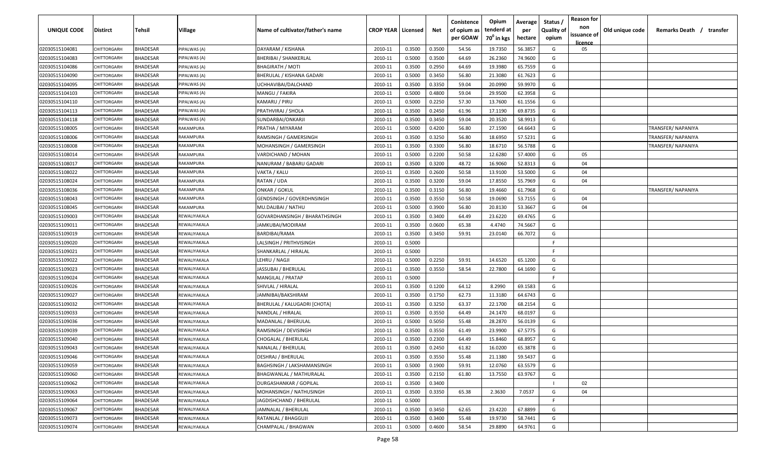| UNIQUE CODE    | <b>Distirct</b>    | <b>Tehsil</b>   | Village      | Name of cultivator/father's name | <b>CROP YEAR   Licensed</b> |        | Net    | Conistence<br>of opium as | Opium<br>tenderd at    | Average<br>per | Status /<br><b>Quality of</b> | <b>Reason for</b><br>non      | Old unique code | Remarks Death /<br>transfer |
|----------------|--------------------|-----------------|--------------|----------------------------------|-----------------------------|--------|--------|---------------------------|------------------------|----------------|-------------------------------|-------------------------------|-----------------|-----------------------------|
|                |                    |                 |              |                                  |                             |        |        | per GOAW                  | 70 <sup>0</sup> in kgs | hectare        | opium                         | issuance of<br><u>licence</u> |                 |                             |
| 02030515104081 | CHITTORGARH        | <b>BHADESAR</b> | PIPALWAS (A) | DAYARAM / KISHANA                | 2010-11                     | 0.3500 | 0.3500 | 54.56                     | 19.7350                | 56.3857        | G                             | 05                            |                 |                             |
| 02030515104083 | CHITTORGARH        | BHADESAR        | PIPALWAS (A) | BHERIBAI / SHANKERLAL            | 2010-11                     | 0.5000 | 0.3500 | 64.69                     | 26.2360                | 74.9600        | G                             |                               |                 |                             |
| 02030515104086 | <b>CHITTORGARI</b> | <b>BHADESAR</b> | PIPALWAS (A) | <b>BHAGIRATH / MOTI</b>          | 2010-11                     | 0.3500 | 0.2950 | 64.69                     | 19.3980                | 65.7559        | G                             |                               |                 |                             |
| 02030515104090 | <b>CHITTORGARI</b> | <b>BHADESAR</b> | PIPALWAS (A) | BHERULAL / KISHANA GADARI        | 2010-11                     | 0.5000 | 0.3450 | 56.80                     | 21.3080                | 61.7623        | G                             |                               |                 |                             |
| 02030515104095 | <b>CHITTORGARI</b> | <b>BHADESAR</b> | PIPALWAS (A) | UCHHAVIBAI/DALCHAND              | 2010-11                     | 0.3500 | 0.3350 | 59.04                     | 20.0990                | 59.9970        | G                             |                               |                 |                             |
| 02030515104103 | <b>CHITTORGARI</b> | <b>BHADESAR</b> | PIPALWAS (A) | MANGU / FAKIRA                   | 2010-11                     | 0.5000 | 0.4800 | 59.04                     | 29.9500                | 62.3958        | G                             |                               |                 |                             |
| 02030515104110 | <b>CHITTORGARI</b> | <b>BHADESAR</b> | PIPALWAS (A) | KAMARU / PIRU                    | 2010-11                     | 0.5000 | 0.2250 | 57.30                     | 13.7600                | 61.1556        | G                             |                               |                 |                             |
| 02030515104113 | CHITTORGARH        | <b>BHADESAR</b> | PIPALWAS (A) | PRATHVIRAJ / SHOLA               | 2010-11                     | 0.3500 | 0.2450 | 61.96                     | 17.1190                | 69.8735        | G                             |                               |                 |                             |
| 02030515104118 | CHITTORGARH        | BHADESAR        | PIPALWAS (A) | SUNDARBAI/ONKARJI                | 2010-11                     | 0.3500 | 0.3450 | 59.04                     | 20.3520                | 58.9913        | G                             |                               |                 |                             |
| 02030515108005 | CHITTORGARH        | BHADESAR        | RAKAMPURA    | PRATHA / MIYARAM                 | 2010-11                     | 0.5000 | 0.4200 | 56.80                     | 27.1590                | 64.6643        | G                             |                               |                 | TRANSFER/ NAPANIYA          |
| 02030515108006 | CHITTORGARH        | <b>BHADESAR</b> | RAKAMPURA    | RAMSINGH / GAMERSINGH            | 2010-11                     | 0.3500 | 0.3250 | 56.80                     | 18.6950                | 57.5231        | G                             |                               |                 | TRANSFER/ NAPANIYA          |
| 02030515108008 | CHITTORGARH        | <b>BHADESAR</b> | RAKAMPURA    | MOHANSINGH / GAMERSINGH          | 2010-11                     | 0.3500 | 0.3300 | 56.80                     | 18.6710                | 56.5788        | G                             |                               |                 | TRANSFER/ NAPANIYA          |
| 02030515108014 | CHITTORGARH        | <b>BHADESAR</b> | RAKAMPURA    | VARDICHAND / MOHAN               | 2010-11                     | 0.5000 | 0.2200 | 50.58                     | 12.6280                | 57.4000        | G                             | 05                            |                 |                             |
| 02030515108017 | CHITTORGARH        | <b>BHADESAR</b> | RAKAMPURA    | NANURAM / BABARU GADARI          | 2010-11                     | 0.3500 | 0.3200 | 48.72                     | 16.9060                | 52.8313        | G                             | 04                            |                 |                             |
| 02030515108022 | CHITTORGARH        | <b>BHADESAR</b> | RAKAMPURA    | VAKTA / KALU                     | 2010-11                     | 0.3500 | 0.2600 | 50.58                     | 13.9100                | 53.5000        | G                             | 04                            |                 |                             |
| 02030515108024 | CHITTORGARH        | <b>BHADESAR</b> | RAKAMPURA    | RATAN / UDA                      | 2010-11                     | 0.3500 | 0.3200 | 59.04                     | 17.8550                | 55.7969        | G                             | 04                            |                 |                             |
| 02030515108036 | CHITTORGARH        | <b>BHADESAR</b> | RAKAMPURA    | ONKAR / GOKUL                    | 2010-11                     | 0.3500 | 0.3150 | 56.80                     | 19.4660                | 61.7968        | G                             |                               |                 | <b>TRANSFER/ NAPANIYA</b>   |
| 02030515108043 | CHITTORGARH        | <b>BHADESAR</b> | RAKAMPURA    | <b>GENDSINGH / GOVERDHNSINGH</b> | 2010-11                     | 0.3500 | 0.3550 | 50.58                     | 19.0690                | 53.7155        | G                             | 04                            |                 |                             |
| 02030515108045 | CHITTORGARH        | <b>BHADESAR</b> | RAKAMPURA    | MU.DALIBAI / NATHU               | 2010-11                     | 0.5000 | 0.3900 | 56.80                     | 20.8130                | 53.3667        | G                             | 04                            |                 |                             |
| 02030515109003 | CHITTORGARH        | <b>BHADESAR</b> | REWALIYAKALA | GOVARDHANSINGH / BHARATHSINGH    | 2010-11                     | 0.3500 | 0.3400 | 64.49                     | 23.6220                | 69.4765        | G                             |                               |                 |                             |
| 02030515109011 | CHITTORGARH        | <b>BHADESAR</b> | REWALIYAKALA | JAMKUBAI/MODIRAM                 | 2010-11                     | 0.3500 | 0.0600 | 65.38                     | 4.4740                 | 74.5667        | G                             |                               |                 |                             |
| 02030515109019 | CHITTORGARH        | <b>BHADESAR</b> | REWALIYAKALA | BARDIBAI/RAMA                    | 2010-11                     | 0.3500 | 0.3450 | 59.91                     | 23.0140                | 66.7072        | G                             |                               |                 |                             |
| 02030515109020 | CHITTORGARH        | BHADESAR        | REWALIYAKALA | LALSINGH / PRITHVISINGH          | 2010-11                     | 0.5000 |        |                           |                        |                | -F.                           |                               |                 |                             |
| 02030515109021 | CHITTORGARI        | <b>BHADESAR</b> | REWALIYAKALA | SHANKARLAL / HIRALAL             | 2010-11                     | 0.5000 |        |                           |                        |                | -F.                           |                               |                 |                             |
| 02030515109022 | CHITTORGARH        | BHADESAR        | REWALIYAKALA | LEHRU / NAGJI                    | 2010-11                     | 0.5000 | 0.2250 | 59.91                     | 14.6520                | 65.1200        | G                             |                               |                 |                             |
| 02030515109023 | CHITTORGARH        | BHADESAR        | REWALIYAKALA | JASSUBAI / BHERULAL              | 2010-11                     | 0.3500 | 0.3550 | 58.54                     | 22.7800                | 64.1690        | G                             |                               |                 |                             |
| 02030515109024 | CHITTORGARH        | BHADESAR        | REWALIYAKALA | MANGILAL / PRATAP                | 2010-11                     | 0.5000 |        |                           |                        |                | F.                            |                               |                 |                             |
| 02030515109026 | CHITTORGARH        | BHADESAR        | REWALIYAKALA | SHIVLAL / HIRALAL                | 2010-11                     | 0.3500 | 0.1200 | 64.12                     | 8.2990                 | 69.1583        | G                             |                               |                 |                             |
| 02030515109027 | CHITTORGARH        | <b>BHADESAR</b> | REWALIYAKALA | JAMNIBAI/BAKSHIRAM               | 2010-11                     | 0.3500 | 0.1750 | 62.73                     | 11.3180                | 64.6743        | G                             |                               |                 |                             |
| 02030515109032 | CHITTORGARH        | <b>BHADESAR</b> | REWALIYAKALA | BHERULAL / KALUGADRI [CHOTA]     | 2010-11                     | 0.3500 | 0.3250 | 63.37                     | 22.1700                | 68.2154        | G                             |                               |                 |                             |
| 02030515109033 | CHITTORGARH        | <b>BHADESAR</b> | REWALIYAKALA | NANDLAL / HIRALAL                | 2010-11                     | 0.3500 | 0.3550 | 64.49                     | 24.1470                | 68.0197        | G                             |                               |                 |                             |
| 02030515109036 | CHITTORGARH        | <b>BHADESAR</b> | REWALIYAKALA | MADANLAL / BHERULAL              | 2010-11                     | 0.5000 | 0.5050 | 55.48                     | 28.2870                | 56.0139        | G                             |                               |                 |                             |
| 02030515109039 | CHITTORGARH        | <b>BHADESAR</b> | REWALIYAKALA | RAMSINGH / DEVISINGH             | 2010-11                     | 0.3500 | 0.3550 | 61.49                     | 23.9900                | 67.5775        | G                             |                               |                 |                             |
| 02030515109040 | CHITTORGARH        | <b>BHADESAR</b> | REWALIYAKALA | CHOGALAL / BHERULAL              | 2010-11                     | 0.3500 | 0.2300 | 64.49                     | 15.8460                | 68.8957        | G                             |                               |                 |                             |
| 02030515109043 | CHITTORGARH        | BHADESAR        | REWALIYAKALA | NANALAL / BHERULAL               | 2010-11                     | 0.3500 | 0.2450 | 61.82                     | 16.0200                | 65.3878        | G                             |                               |                 |                             |
| 02030515109046 | CHITTORGARH        | <b>BHADESAR</b> | REWALIYAKALA | DESHRAJ / BHERULAL               | 2010-11                     | 0.3500 | 0.3550 | 55.48                     | 21.1380                | 59.5437        | G                             |                               |                 |                             |
| 02030515109059 | CHITTORGARH        | <b>BHADESAR</b> | REWALIYAKALA | BAGHSINGH / LAKSHAMANSINGH       | 2010-11                     | 0.5000 | 0.1900 | 59.91                     | 12.0760                | 63.5579        | G                             |                               |                 |                             |
| 02030515109060 | CHITTORGARH        | <b>BHADESAR</b> | REWALIYAKALA | <b>BHAGWANLAL / MATHURALAL</b>   | 2010-11                     | 0.3500 | 0.2150 | 61.80                     | 13.7550                | 63.9767        | G                             |                               |                 |                             |
| 02030515109062 | CHITTORGARH        | <b>BHADESAR</b> | REWALIYAKALA | <b>DURGASHANKAR / GOPILAL</b>    | 2010-11                     | 0.3500 | 0.3400 |                           |                        |                | $\perp$                       | 02                            |                 |                             |
| 02030515109063 | CHITTORGARH        | <b>BHADESAR</b> | REWALIYAKALA | MOHANSINGH / NATHUSINGH          | 2010-11                     | 0.3500 | 0.3350 | 65.38                     | 2.3630                 | 7.0537         | G                             | 04                            |                 |                             |
| 02030515109064 | CHITTORGARH        | <b>BHADESAR</b> | REWALIYAKALA | JAGDISHCHAND / BHERULAL          | 2010-11                     | 0.5000 |        |                           |                        |                | F.                            |                               |                 |                             |
| 02030515109067 | CHITTORGARH        | <b>BHADESAR</b> | REWALIYAKALA | JAMNALAL / BHERULAL              | 2010-11                     | 0.3500 | 0.3450 | 62.65                     | 23.4220                | 67.8899        | G                             |                               |                 |                             |
| 02030515109073 | CHITTORGARH        | BHADESAR        | REWALIYAKALA | RATANLAL / BHAGGUJI              | 2010-11                     | 0.3500 | 0.3400 | 55.48                     | 19.9730                | 58.7441        | G                             |                               |                 |                             |
| 02030515109074 | CHITTORGARH        | BHADESAR        | REWALIYAKALA | CHAMPALAL / BHAGWAN              | 2010-11                     | 0.5000 | 0.4600 | 58.54                     | 29.8890                | 64.9761        | G                             |                               |                 |                             |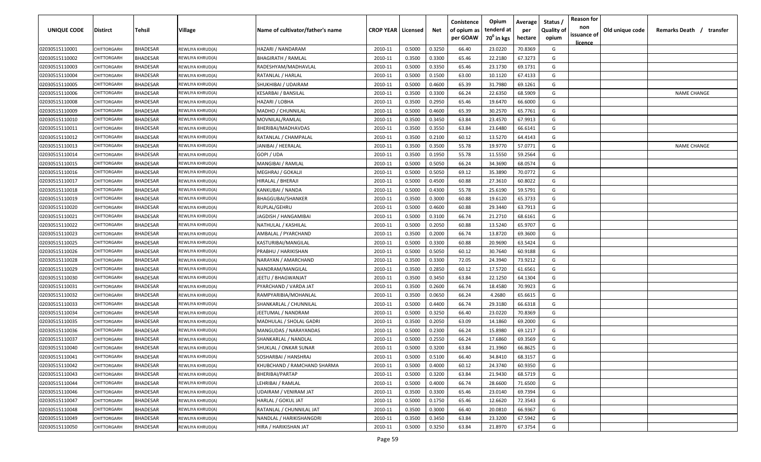| UNIQUE CODE    | <b>Distirct</b>    | Tehsil          | Village          | Name of cultivator/father's name | <b>CROP YEAR   Licensed</b> |        | Net    | Conistence<br>of opium as<br>per GOAW | Opium<br>tenderd at<br>70 <sup>0</sup> in kgs | Average<br>per<br>hectare | Status /<br><b>Quality of</b><br>opium | <b>Reason for</b><br>non<br>issuance of<br><u>licence</u> | Old unique code | Remarks Death /<br>transfer |
|----------------|--------------------|-----------------|------------------|----------------------------------|-----------------------------|--------|--------|---------------------------------------|-----------------------------------------------|---------------------------|----------------------------------------|-----------------------------------------------------------|-----------------|-----------------------------|
| 02030515110001 | CHITTORGARH        | <b>BHADESAR</b> | REWLIYA KHRUD(A) | HAZARI / NANDARAM                | 2010-11                     | 0.5000 | 0.3250 | 66.40                                 | 23.0220                                       | 70.8369                   | G                                      |                                                           |                 |                             |
| 02030515110002 | CHITTORGARH        | <b>BHADESAR</b> | REWLIYA KHRUD(A) | <b>BHAGIRATH / RAMLAL</b>        | 2010-11                     | 0.3500 | 0.3300 | 65.46                                 | 22.2180                                       | 67.3273                   | G                                      |                                                           |                 |                             |
| 02030515110003 | CHITTORGARH        | <b>BHADESAR</b> | REWLIYA KHRUD(A) | RADESHYAM/MADHAVLAL              | 2010-11                     | 0.5000 | 0.3350 | 65.46                                 | 23.1730                                       | 69.1731                   | G                                      |                                                           |                 |                             |
| 02030515110004 | CHITTORGARH        | <b>BHADESAR</b> | REWLIYA KHRUD(A) | RATANLAL / HARLAL                | 2010-11                     | 0.5000 | 0.1500 | 63.00                                 | 10.1120                                       | 67.4133                   | G                                      |                                                           |                 |                             |
| 02030515110005 | <b>CHITTORGARI</b> | <b>BHADESAR</b> | REWLIYA KHRUD(A) | SHUKHIBAI / UDAIRAM              | 2010-11                     | 0.5000 | 0.4600 | 65.39                                 | 31.7980                                       | 69.1261                   | G                                      |                                                           |                 |                             |
| 02030515110006 | CHITTORGARH        | <b>BHADESAR</b> | REWLIYA KHRUD(A) | KESARBAI / BANSILAL              | 2010-11                     | 0.3500 | 0.3300 | 66.24                                 | 22.6350                                       | 68.5909                   | G                                      |                                                           |                 | <b>NAME CHANGE</b>          |
| 02030515110008 | CHITTORGARH        | <b>BHADESAR</b> | REWLIYA KHRUD(A) | HAZARI / LOBHA                   | 2010-11                     | 0.3500 | 0.2950 | 65.46                                 | 19.6470                                       | 66.6000                   | G                                      |                                                           |                 |                             |
| 02030515110009 | CHITTORGARI        | BHADESAR        | REWLIYA KHRUD(A) | MADHO / CHUNNILAL                | 2010-11                     | 0.5000 | 0.4600 | 65.39                                 | 30.2570                                       | 65.7761                   | G                                      |                                                           |                 |                             |
| 02030515110010 | CHITTORGARH        | <b>BHADESAR</b> | REWLIYA KHRUD(A) | MOVNILAL/RAMLAL                  | 2010-11                     | 0.3500 | 0.3450 | 63.84                                 | 23.4570                                       | 67.9913                   | G                                      |                                                           |                 |                             |
| 02030515110011 | CHITTORGARH        | BHADESAR        | REWLIYA KHRUD(A) | BHERIBAI/MADHAVDAS               | 2010-11                     | 0.3500 | 0.3550 | 63.84                                 | 23.6480                                       | 66.6141                   | G                                      |                                                           |                 |                             |
| 02030515110012 | CHITTORGARH        | <b>BHADESAR</b> | REWLIYA KHRUD(A) | RATANLAL / CHAMPALAL             | 2010-11                     | 0.3500 | 0.2100 | 60.12                                 | 13.5270                                       | 64.4143                   | G                                      |                                                           |                 |                             |
| 02030515110013 | CHITTORGARH        | BHADESAR        | REWLIYA KHRUD(A) | IANIBAI / HEERALAL               | 2010-11                     | 0.3500 | 0.3500 | 55.78                                 | 19.9770                                       | 57.0771                   | G                                      |                                                           |                 | <b>NAME CHANGE</b>          |
| 02030515110014 | <b>HITTORGARH</b>  | <b>BHADESAR</b> | REWLIYA KHRUD(A) | GOPI / UDA                       | 2010-11                     | 0.3500 | 0.1950 | 55.78                                 | 11.5550                                       | 59.2564                   | G                                      |                                                           |                 |                             |
| 02030515110015 | CHITTORGARH        | <b>BHADESAR</b> | REWLIYA KHRUD(A) | MANGIBAI / RAMLAL                | 2010-11                     | 0.5000 | 0.5050 | 66.24                                 | 34.3690                                       | 68.0574                   | G                                      |                                                           |                 |                             |
| 02030515110016 | CHITTORGARH        | <b>BHADESAR</b> | REWLIYA KHRUD(A) | MEGHRAJ / GOKALJI                | 2010-11                     | 0.5000 | 0.5050 | 69.12                                 | 35.3890                                       | 70.0772                   | G                                      |                                                           |                 |                             |
| 02030515110017 | CHITTORGARH        | <b>BHADESAR</b> | REWLIYA KHRUD(A) | HIRALAL / BHERAJI                | 2010-11                     | 0.5000 | 0.4500 | 60.88                                 | 27.3610                                       | 60.8022                   | G                                      |                                                           |                 |                             |
| 02030515110018 | CHITTORGARH        | <b>BHADESAR</b> | REWLIYA KHRUD(A) | KANKUBAI / NANDA                 | 2010-11                     | 0.5000 | 0.4300 | 55.78                                 | 25.6190                                       | 59.5791                   | G                                      |                                                           |                 |                             |
| 02030515110019 | CHITTORGARH        | <b>BHADESAR</b> | REWLIYA KHRUD(A) | <b>BHAGGUBAI/SHANKER</b>         | 2010-11                     | 0.3500 | 0.3000 | 60.88                                 | 19.6120                                       | 65.3733                   | G                                      |                                                           |                 |                             |
| 02030515110020 | CHITTORGARH        | <b>BHADESAR</b> | REWLIYA KHRUD(A) | RUPLAL/GEHRU                     | 2010-11                     | 0.5000 | 0.4600 | 60.88                                 | 29.3440                                       | 63.7913                   | G                                      |                                                           |                 |                             |
| 02030515110021 | CHITTORGARH        | <b>BHADESAR</b> | REWLIYA KHRUD(A) | JAGDISH / HANGAMIBAI             | 2010-11                     | 0.5000 | 0.3100 | 66.74                                 | 21.2710                                       | 68.6161                   | G                                      |                                                           |                 |                             |
| 02030515110022 | CHITTORGARH        | <b>BHADESAR</b> | REWLIYA KHRUD(A) | NATHULAL / KASHILAL              | 2010-11                     | 0.5000 | 0.2050 | 60.88                                 | 13.5240                                       | 65.9707                   | G                                      |                                                           |                 |                             |
| 02030515110023 | CHITTORGARH        | <b>BHADESAR</b> | REWLIYA KHRUD(A) | AMBALAL / PYARCHAND              | 2010-11                     | 0.3500 | 0.2000 | 66.74                                 | 13.8720                                       | 69.3600                   | G                                      |                                                           |                 |                             |
| 02030515110025 | CHITTORGARH        | <b>BHADESAR</b> | REWLIYA KHRUD(A) | KASTURIBAI/MANGILAL              | 2010-11                     | 0.5000 | 0.3300 | 60.88                                 | 20.9690                                       | 63.5424                   | G                                      |                                                           |                 |                             |
| 02030515110026 | <b>CHITTORGARI</b> | <b>BHADESAR</b> | REWLIYA KHRUD(A) | PRABHU / HARIKISHAN              | 2010-11                     | 0.5000 | 0.5050 | 60.12                                 | 30.7640                                       | 60.9188                   | G                                      |                                                           |                 |                             |
| 02030515110028 | CHITTORGARI        | BHADESAR        | REWLIYA KHRUD(A) | NARAYAN / AMARCHAND              | 2010-11                     | 0.3500 | 0.3300 | 72.05                                 | 24.3940                                       | 73.9212                   | G                                      |                                                           |                 |                             |
| 02030515110029 | CHITTORGARH        | BHADESAR        | REWLIYA KHRUD(A) | NANDRAM/MANGILAL                 | 2010-11                     | 0.3500 | 0.2850 | 60.12                                 | 17.5720                                       | 61.6561                   | G                                      |                                                           |                 |                             |
| 02030515110030 | CHITTORGARH        | <b>BHADESAR</b> | REWLIYA KHRUD(A) | JEETU / BHAGWANJAT               | 2010-11                     | 0.3500 | 0.3450 | 63.84                                 | 22.1250                                       | 64.1304                   | G                                      |                                                           |                 |                             |
| 02030515110031 | CHITTORGARH        | BHADESAR        | REWLIYA KHRUD(A) | PYARCHAND / VARDA JAT            | 2010-11                     | 0.3500 | 0.2600 | 66.74                                 | 18.4580                                       | 70.9923                   | G                                      |                                                           |                 |                             |
| 02030515110032 | CHITTORGARH        | <b>BHADESAR</b> | REWLIYA KHRUD(A) | RAMPYARIBIA/MOHANLAL             | 2010-11                     | 0.3500 | 0.0650 | 66.24                                 | 4.2680                                        | 65.6615                   | G                                      |                                                           |                 |                             |
| 02030515110033 | CHITTORGARH        | <b>BHADESAR</b> | REWLIYA KHRUD(A) | SHANKARLAL / CHUNNILAL           | 2010-11                     | 0.5000 | 0.4400 | 66.74                                 | 29.3180                                       | 66.6318                   | G                                      |                                                           |                 |                             |
| 02030515110034 | CHITTORGARH        | <b>BHADESAR</b> | REWLIYA KHRUD(A) | JEETUMAL / NANDRAM               | 2010-11                     | 0.5000 | 0.3250 | 66.40                                 | 23.0220                                       | 70.8369                   | G                                      |                                                           |                 |                             |
| 02030515110035 | CHITTORGARH        | <b>BHADESAR</b> | REWLIYA KHRUD(A) | MADHULAL / SHOLAL GADRI          | 2010-11                     | 0.3500 | 0.2050 | 63.09                                 | 14.1860                                       | 69.2000                   | G                                      |                                                           |                 |                             |
| 02030515110036 | CHITTORGARH        | <b>BHADESAR</b> | REWLIYA KHRUD(A) | MANGUDAS / NARAYANDAS            | 2010-11                     | 0.5000 | 0.2300 | 66.24                                 | 15.8980                                       | 69.1217                   | G                                      |                                                           |                 |                             |
| 02030515110037 | CHITTORGARH        | <b>BHADESAR</b> | REWLIYA KHRUD(A) | SHANKARLAL / NANDLAL             | 2010-11                     | 0.5000 | 0.2550 | 66.24                                 | 17.6860                                       | 69.3569                   | G                                      |                                                           |                 |                             |
| 02030515110040 | CHITTORGARH        | <b>BHADESAR</b> | REWLIYA KHRUD(A) | SHUKLAL / ONKAR SUNAR            | 2010-11                     | 0.5000 | 0.3200 | 63.84                                 | 21.3960                                       | 66.8625                   | G                                      |                                                           |                 |                             |
| 02030515110041 | CHITTORGARH        | <b>BHADESAR</b> | REWLIYA KHRUD(A) | SOSHARBAI / HANSHRAJ             | 2010-11                     | 0.5000 | 0.5100 | 66.40                                 | 34.8410                                       | 68.3157                   | G                                      |                                                           |                 |                             |
| 02030515110042 | CHITTORGARH        | <b>BHADESAR</b> | REWLIYA KHRUD(A) | KHUBCHAND / RAMCHAND SHARMA      | 2010-11                     | 0.5000 | 0.4000 | 60.12                                 | 24.3740                                       | 60.9350                   | G                                      |                                                           |                 |                             |
| 02030515110043 | CHITTORGARH        | <b>BHADESAR</b> | REWLIYA KHRUD(A) | BHERIBAI/PARTAP                  | 2010-11                     | 0.5000 | 0.3200 | 63.84                                 | 21.9430                                       | 68.5719                   | G                                      |                                                           |                 |                             |
| 02030515110044 | CHITTORGARH        | <b>BHADESAR</b> | REWLIYA KHRUD(A) | LEHRIBAI / RAMLAL                | 2010-11                     | 0.5000 | 0.4000 | 66.74                                 | 28.6600                                       | 71.6500                   | G                                      |                                                           |                 |                             |
| 02030515110046 | CHITTORGARH        | <b>BHADESAR</b> | REWLIYA KHRUD(A) | UDAIRAM / VENIRAM JAT            | 2010-11                     | 0.3500 | 0.3300 | 65.46                                 | 23.0140                                       | 69.7394                   | G                                      |                                                           |                 |                             |
| 02030515110047 | CHITTORGARH        | <b>BHADESAR</b> | REWLIYA KHRUD(A) | HARLAL / GOKUL JAT               | 2010-11                     | 0.5000 | 0.1750 | 65.46                                 | 12.6620                                       | 72.3543                   | G                                      |                                                           |                 |                             |
| 02030515110048 | CHITTORGARH        | <b>BHADESAR</b> | REWLIYA KHRUD(A) | RATANLAL / CHUNNILAL JAT         | 2010-11                     | 0.3500 | 0.3000 | 66.40                                 | 20.0810                                       | 66.9367                   | G                                      |                                                           |                 |                             |
| 02030515110049 | CHITTORGARH        | <b>BHADESAR</b> | REWLIYA KHRUD(A) | NANDLAL / HARIKISHANGDRI         | 2010-11                     | 0.3500 | 0.3450 | 63.84                                 | 23.3200                                       | 67.5942                   | G                                      |                                                           |                 |                             |
| 02030515110050 | CHITTORGARH        | <b>BHADESAR</b> | REWLIYA KHRUD(A) | HIRA / HARIKISHAN JAT            | 2010-11                     | 0.5000 | 0.3250 | 63.84                                 | 21.8970                                       | 67.3754                   | G                                      |                                                           |                 |                             |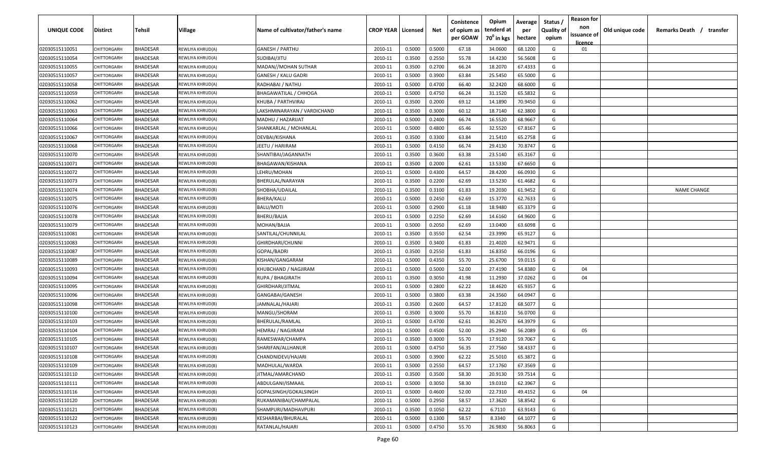| UNIQUE CODE    | Distirct           | Tehsil          | Village          | Name of cultivator/father's name | <b>CROP YEAR   Licensed</b> |        | Net    | Conistence<br>of opium as<br>per GOAW | Opium<br>tenderd at<br>70 <sup>0</sup> in kgs | Average<br>per<br>hectare | Status /<br><b>Quality of</b><br>opium | <b>Reason for</b><br>non<br>issuance of<br><u>licence</u> | Old unique code | Remarks Death /<br>transfer |
|----------------|--------------------|-----------------|------------------|----------------------------------|-----------------------------|--------|--------|---------------------------------------|-----------------------------------------------|---------------------------|----------------------------------------|-----------------------------------------------------------|-----------------|-----------------------------|
| 02030515110051 | CHITTORGARH        | <b>BHADESAR</b> | REWLIYA KHRUD(A) | GANESH / PARTHU                  | 2010-11                     | 0.5000 | 0.5000 | 67.18                                 | 34.0600                                       | 68.1200                   | G                                      | 01                                                        |                 |                             |
| 02030515110054 | CHITTORGARH        | <b>BHADESAR</b> | REWLIYA KHRUD(A) | SUDIBAI/JITU                     | 2010-11                     | 0.3500 | 0.2550 | 55.78                                 | 14.4230                                       | 56.5608                   | G                                      |                                                           |                 |                             |
| 02030515110055 | CHITTORGARH        | <b>BHADESAR</b> | REWLIYA KHRUD(A) | MADAN//MOHAN SUTHAR              | 2010-11                     | 0.3500 | 0.2700 | 66.24                                 | 18.2070                                       | 67.4333                   | G                                      |                                                           |                 |                             |
| 02030515110057 | CHITTORGARH        | <b>BHADESAR</b> | REWLIYA KHRUD(A) | <b>GANESH / KALU GADRI</b>       | 2010-11                     | 0.5000 | 0.3900 | 63.84                                 | 25.5450                                       | 65.5000                   | G                                      |                                                           |                 |                             |
| 02030515110058 | CHITTORGARH        | <b>BHADESAR</b> | REWLIYA KHRUD(A) | RADHABAI / NATHU                 | 2010-11                     | 0.5000 | 0.4700 | 66.40                                 | 32.2420                                       | 68.6000                   | G                                      |                                                           |                 |                             |
| 02030515110059 | CHITTORGARH        | <b>BHADESAR</b> | REWLIYA KHRUD(A) | BHAGAWATILAL / CHHOGA            | 2010-11                     | 0.5000 | 0.4750 | 66.24                                 | 31.1520                                       | 65.5832                   | G                                      |                                                           |                 |                             |
| 02030515110062 | <b>CHITTORGARI</b> | <b>BHADESAR</b> | REWLIYA KHRUD(A) | KHUBA / PARTHVIRAJ               | 2010-11                     | 0.3500 | 0.2000 | 69.12                                 | 14.1890                                       | 70.9450                   | G                                      |                                                           |                 |                             |
| 02030515110063 | CHITTORGARH        | BHADESAR        | REWLIYA KHRUD(A) | LAKSHMINARAYAN / VARDICHAND      | 2010-11                     | 0.3500 | 0.3000 | 60.12                                 | 18.7140                                       | 62.3800                   | G                                      |                                                           |                 |                             |
| 02030515110064 | CHITTORGARH        | <b>BHADESAR</b> | REWLIYA KHRUD(A) | MADHU / HAZARIJAT                | 2010-11                     | 0.5000 | 0.2400 | 66.74                                 | 16.5520                                       | 68.9667                   | G                                      |                                                           |                 |                             |
| 02030515110066 | CHITTORGARH        | BHADESAR        | REWLIYA KHRUD(A) | SHANKARLAL / MOHANLAL            | 2010-11                     | 0.5000 | 0.4800 | 65.46                                 | 32.5520                                       | 67.8167                   | G                                      |                                                           |                 |                             |
| 02030515110067 | CHITTORGARH        | <b>BHADESAR</b> | REWLIYA KHRUD(A) | DEVBAI/KISHANA                   | 2010-11                     | 0.3500 | 0.3300 | 63.84                                 | 21.5410                                       | 65.2758                   | G                                      |                                                           |                 |                             |
| 02030515110068 | CHITTORGARH        | <b>BHADESAR</b> | REWLIYA KHRUD(A) | JEETU / HARIRAM                  | 2010-11                     | 0.5000 | 0.4150 | 66.74                                 | 29.4130                                       | 70.8747                   | G                                      |                                                           |                 |                             |
| 02030515110070 | CHITTORGARH        | <b>BHADESAR</b> | REWLIYA KHRUD(B) | SHANTIBAI/JAGANNATH              | 2010-11                     | 0.3500 | 0.3600 | 63.38                                 | 23.5140                                       | 65.3167                   | G                                      |                                                           |                 |                             |
| 02030515110071 | CHITTORGARH        | <b>BHADESAR</b> | REWLIYA KHRUD(B) | BHAGAWAN/KISHANA                 | 2010-11                     | 0.3500 | 0.2000 | 62.61                                 | 13.5330                                       | 67.6650                   | G                                      |                                                           |                 |                             |
| 02030515110072 | CHITTORGARH        | <b>BHADESAR</b> | REWLIYA KHRUD(B) | LEHRU/MOHAN                      | 2010-11                     | 0.5000 | 0.4300 | 64.57                                 | 28.4200                                       | 66.0930                   | G                                      |                                                           |                 |                             |
| 02030515110073 | CHITTORGARH        | <b>BHADESAR</b> | REWLIYA KHRUD(B) | BHERULAL/NARAYAN                 | 2010-11                     | 0.3500 | 0.2200 | 62.69                                 | 13.5230                                       | 61.4682                   | G                                      |                                                           |                 |                             |
| 02030515110074 | CHITTORGARH        | <b>BHADESAR</b> | REWLIYA KHRUD(B) | SHOBHA/UDAILAL                   | 2010-11                     | 0.3500 | 0.3100 | 61.83                                 | 19.2030                                       | 61.9452                   | G                                      |                                                           |                 | <b>NAME CHANGE</b>          |
| 02030515110075 | CHITTORGARH        | <b>BHADESAR</b> | REWLIYA KHRUD(B) | <b>BHERA/KALU</b>                | 2010-11                     | 0.5000 | 0.2450 | 62.69                                 | 15.3770                                       | 62.7633                   | G                                      |                                                           |                 |                             |
| 02030515110076 | CHITTORGARH        | <b>BHADESAR</b> | REWLIYA KHRUD(B) | BALU/MOTI                        | 2010-11                     | 0.5000 | 0.2900 | 61.18                                 | 18.9480                                       | 65.3379                   | G                                      |                                                           |                 |                             |
| 02030515110078 | CHITTORGARH        | <b>BHADESAR</b> | REWLIYA KHRUD(B) | BHERU/BAJJA                      | 2010-11                     | 0.5000 | 0.2250 | 62.69                                 | 14.6160                                       | 64.9600                   | G                                      |                                                           |                 |                             |
| 02030515110079 | CHITTORGARH        | <b>BHADESAR</b> | REWLIYA KHRUD(B) | MOHAN/BAJJA                      | 2010-11                     | 0.5000 | 0.2050 | 62.69                                 | 13.0400                                       | 63.6098                   | G                                      |                                                           |                 |                             |
| 02030515110081 | <b>CHITTORGARI</b> | <b>BHADESAR</b> | REWLIYA KHRUD(B) | SANTILAL/CHUNNILAL               | 2010-11                     | 0.3500 | 0.3550 | 62.54                                 | 23.3990                                       | 65.9127                   | G                                      |                                                           |                 |                             |
| 02030515110083 | CHITTORGARI        | BHADESAR        | REWLIYA KHRUD(B) | GHIRDHARI/CHUNNI                 | 2010-11                     | 0.3500 | 0.3400 | 61.83                                 | 21.4020                                       | 62.9471                   | G                                      |                                                           |                 |                             |
| 02030515110087 | <b>CHITTORGARI</b> | <b>BHADESAR</b> | REWLIYA KHRUD(B) | GOPAL/BADRI                      | 2010-11                     | 0.3500 | 0.2550 | 61.83                                 | 16.8350                                       | 66.0196                   | G                                      |                                                           |                 |                             |
| 02030515110089 | CHITTORGARH        | <b>BHADESAR</b> | REWLIYA KHRUD(B) | KISHAN/GANGARAM                  | 2010-11                     | 0.5000 | 0.4350 | 55.70                                 | 25.6700                                       | 59.0115                   | G                                      |                                                           |                 |                             |
| 02030515110093 | CHITTORGARH        | <b>BHADESAR</b> | REWLIYA KHRUD(B) | KHUBCHAND / NAGJIRAM             | 2010-11                     | 0.5000 | 0.5000 | 52.00                                 | 27.4190                                       | 54.8380                   | G                                      | 04                                                        |                 |                             |
| 02030515110094 | CHITTORGARH        | BHADESAR        | REWLIYA KHRUD(B) | RUPA / BHAGIRATH                 | 2010-11                     | 0.3500 | 0.3050 | 41.98                                 | 11.2930                                       | 37.0262                   | G                                      | 04                                                        |                 |                             |
| 02030515110095 | CHITTORGARH        | BHADESAR        | REWLIYA KHRUD(B) | GHIRDHARI/JITMAL                 | 2010-11                     | 0.5000 | 0.2800 | 62.22                                 | 18.4620                                       | 65.9357                   | G                                      |                                                           |                 |                             |
| 02030515110096 | <b>HITTORGARH</b>  | <b>BHADESAR</b> | REWLIYA KHRUD(B) | GANGABAI/GANESH                  | 2010-11                     | 0.5000 | 0.3800 | 63.38                                 | 24.3560                                       | 64.0947                   | G                                      |                                                           |                 |                             |
| 02030515110098 | CHITTORGARH        | <b>BHADESAR</b> | REWLIYA KHRUD(B) | JAMNALAL/HAJARI                  | 2010-11                     | 0.3500 | 0.2600 | 64.57                                 | 17.8120                                       | 68.5077                   | G                                      |                                                           |                 |                             |
| 02030515110100 | CHITTORGARH        | <b>BHADESAR</b> | REWLIYA KHRUD(B) | MANGU/SHORAM                     | 2010-11                     | 0.3500 | 0.3000 | 55.70                                 | 16.8210                                       | 56.0700                   | G                                      |                                                           |                 |                             |
| 02030515110103 | CHITTORGARH        | <b>BHADESAR</b> | REWLIYA KHRUD(B) | BHERULAL/RAMLAL                  | 2010-11                     | 0.5000 | 0.4700 | 62.61                                 | 30.2670                                       | 64.3979                   | G                                      |                                                           |                 |                             |
| 02030515110104 | CHITTORGARH        | <b>BHADESAR</b> | REWLIYA KHRUD(B) | HEMRAJ / NAGJIRAM                | 2010-11                     | 0.5000 | 0.4500 | 52.00                                 | 25.2940                                       | 56.2089                   | G                                      | 05                                                        |                 |                             |
| 02030515110105 | CHITTORGARH        | <b>BHADESAR</b> | REWLIYA KHRUD(B) | RAMESWAR/CHAMPA                  | 2010-11                     | 0.3500 | 0.3000 | 55.70                                 | 17.9120                                       | 59.7067                   | G                                      |                                                           |                 |                             |
| 02030515110107 | CHITTORGARH        | <b>BHADESAR</b> | REWLIYA KHRUD(B) | SHARIFAN/ALLHANUR                | 2010-11                     | 0.5000 | 0.4750 | 56.35                                 | 27.7560                                       | 58.4337                   | G                                      |                                                           |                 |                             |
| 02030515110108 | CHITTORGARH        | <b>BHADESAR</b> | REWLIYA KHRUD(B) | CHANDNIDEVI/HAJARI               | 2010-11                     | 0.5000 | 0.3900 | 62.22                                 | 25.5010                                       | 65.3872                   | G                                      |                                                           |                 |                             |
| 02030515110109 | CHITTORGARH        | <b>BHADESAR</b> | REWLIYA KHRUD(B) | MADHULAL/WARDA                   | 2010-11                     | 0.5000 | 0.2550 | 64.57                                 | 17.1760                                       | 67.3569                   | G                                      |                                                           |                 |                             |
| 02030515110110 | CHITTORGARH        | <b>BHADESAR</b> | REWLIYA KHRUD(B) | JITMAL/AMARCHAND                 | 2010-11                     | 0.3500 | 0.3500 | 58.30                                 | 20.9130                                       | 59.7514                   | G                                      |                                                           |                 |                             |
| 02030515110111 | CHITTORGARH        | <b>BHADESAR</b> | REWLIYA KHRUD(B) | ABDULGANI/ISMAAIL                | 2010-11                     | 0.5000 | 0.3050 | 58.30                                 | 19.0310                                       | 62.3967                   | G                                      |                                                           |                 |                             |
| 02030515110116 | CHITTORGARH        | <b>BHADESAR</b> | REWLIYA KHRUD(B) | GOPALSINGH/GOKALSINGH            | 2010-11                     | 0.5000 | 0.4600 | 52.00                                 | 22.7310                                       | 49.4152                   | G                                      | 04                                                        |                 |                             |
| 02030515110120 | CHITTORGARH        | <b>BHADESAR</b> | REWLIYA KHRUD(B) | RUKAMANIBAI/CHAMPALAL            | 2010-11                     | 0.5000 | 0.2950 | 58.57                                 | 17.3620                                       | 58.8542                   | G                                      |                                                           |                 |                             |
| 02030515110121 | CHITTORGARH        | <b>BHADESAR</b> | REWLIYA KHRUD(B) | SHAMPURI/MADHAVPURI              | 2010-11                     | 0.3500 | 0.1050 | 62.22                                 | 6.7110                                        | 63.9143                   | G                                      |                                                           |                 |                             |
| 02030515110122 | CHITTORGARH        | <b>BHADESAR</b> | REWLIYA KHRUD(B) | KESHARBAI/BHURALAL               | 2010-11                     | 0.5000 | 0.1300 | 58.57                                 | 8.3340                                        | 64.1077                   | G                                      |                                                           |                 |                             |
| 02030515110123 | CHITTORGARH        | <b>BHADESAR</b> | REWLIYA KHRUD(B) | RATANLAL/HAJARI                  | 2010-11                     | 0.5000 | 0.4750 | 55.70                                 | 26.9830                                       | 56.8063                   | G                                      |                                                           |                 |                             |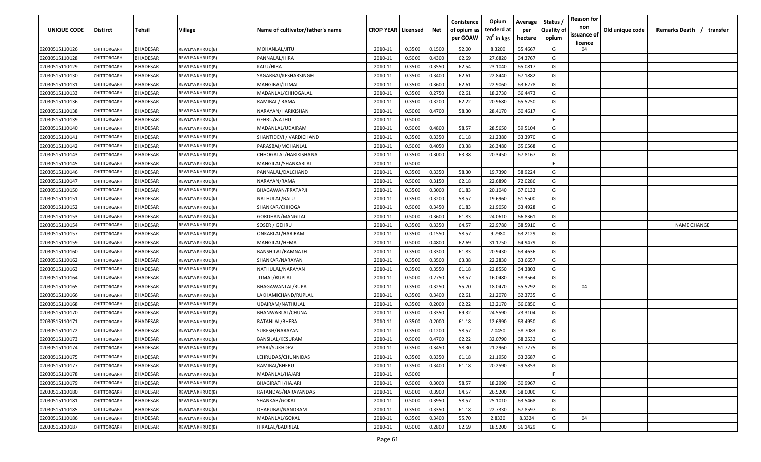| UNIQUE CODE    | <b>Distirct</b>   | Tehsil          | <b>Village</b>   | Name of cultivator/father's name | <b>CROP YEAR   Licensed</b> |        | Net    | Conistence<br>of opium as<br>per GOAW | Opium<br>tenderd at<br>70 <sup>0</sup> in kgs | Average<br>per<br>hectare | Status /<br><b>Quality of</b><br>opium | <b>Reason for</b><br>non<br>issuance of<br><u>licence</u> | Old unique code | Remarks Death /<br>transfer |
|----------------|-------------------|-----------------|------------------|----------------------------------|-----------------------------|--------|--------|---------------------------------------|-----------------------------------------------|---------------------------|----------------------------------------|-----------------------------------------------------------|-----------------|-----------------------------|
| 02030515110126 | CHITTORGARH       | <b>BHADESAR</b> | REWLIYA KHRUD(B) | MOHANLAL/JITU                    | 2010-11                     | 0.3500 | 0.1500 | 52.00                                 | 8.3200                                        | 55.4667                   | G                                      | 04                                                        |                 |                             |
| 02030515110128 | CHITTORGARH       | <b>BHADESAR</b> | REWLIYA KHRUD(B) | PANNALAL/HIRA                    | 2010-11                     | 0.5000 | 0.4300 | 62.69                                 | 27.6820                                       | 64.3767                   | G                                      |                                                           |                 |                             |
| 02030515110129 | CHITTORGARH       | <b>BHADESAR</b> | REWLIYA KHRUD(B) | KALU/HIRA                        | 2010-11                     | 0.3500 | 0.3550 | 62.54                                 | 23.1040                                       | 65.0817                   | G                                      |                                                           |                 |                             |
| 02030515110130 | CHITTORGARH       | <b>BHADESAR</b> | REWLIYA KHRUD(B) | SAGARBAI/KESHARSINGH             | 2010-11                     | 0.3500 | 0.3400 | 62.61                                 | 22.8440                                       | 67.1882                   | G                                      |                                                           |                 |                             |
| 02030515110131 | CHITTORGARH       | <b>BHADESAR</b> | REWLIYA KHRUD(B) | MANGIBAI/JITMAL                  | 2010-11                     | 0.3500 | 0.3600 | 62.61                                 | 22.9060                                       | 63.6278                   | G                                      |                                                           |                 |                             |
| 02030515110133 | CHITTORGARH       | <b>BHADESAR</b> | REWLIYA KHRUD(B) | MADANLAL/CHHOGALAL               | 2010-11                     | 0.3500 | 0.2750 | 62.61                                 | 18.2730                                       | 66.4473                   | G                                      |                                                           |                 |                             |
| 02030515110136 | CHITTORGARH       | <b>BHADESAR</b> | REWLIYA KHRUD(B) | RAMIBAI / RAMA                   | 2010-11                     | 0.3500 | 0.3200 | 62.22                                 | 20.9680                                       | 65.5250                   | G                                      |                                                           |                 |                             |
| 02030515110138 | CHITTORGARI       | BHADESAR        | REWLIYA KHRUD(B) | NARAYAN/HARIKISHAN               | 2010-11                     | 0.5000 | 0.4700 | 58.30                                 | 28.4170                                       | 60.4617                   | G                                      |                                                           |                 |                             |
| 02030515110139 | CHITTORGARH       | <b>BHADESAR</b> | REWLIYA KHRUD(B) | GEHRU/NATHU                      | 2010-11                     | 0.5000 |        |                                       |                                               |                           | -F                                     |                                                           |                 |                             |
| 02030515110140 | CHITTORGARH       | BHADESAR        | REWLIYA KHRUD(B) | MADANLAL/UDAIRAM                 | 2010-11                     | 0.5000 | 0.4800 | 58.57                                 | 28.5650                                       | 59.5104                   | G                                      |                                                           |                 |                             |
| 02030515110141 | CHITTORGARH       | <b>BHADESAR</b> | REWLIYA KHRUD(B) | SHANTIDEVI / VARDICHAND          | 2010-11                     | 0.3500 | 0.3350 | 61.18                                 | 21.2380                                       | 63.3970                   | G                                      |                                                           |                 |                             |
| 02030515110142 | CHITTORGARH       | BHADESAR        | REWLIYA KHRUD(B) | PARASBAI/MOHANLAL                | 2010-11                     | 0.5000 | 0.4050 | 63.38                                 | 26.3480                                       | 65.0568                   | G                                      |                                                           |                 |                             |
| 02030515110143 | <b>HITTORGARH</b> | <b>BHADESAR</b> | REWLIYA KHRUD(B) | CHHOGALAL/HARIKISHANA            | 2010-11                     | 0.3500 | 0.3000 | 63.38                                 | 20.3450                                       | 67.8167                   | G                                      |                                                           |                 |                             |
| 02030515110145 | CHITTORGARH       | <b>BHADESAR</b> | REWLIYA KHRUD(B) | MANGILAL/SHANKARLAL              | 2010-11                     | 0.5000 |        |                                       |                                               |                           | E                                      |                                                           |                 |                             |
| 02030515110146 | CHITTORGARH       | <b>BHADESAR</b> | REWLIYA KHRUD(B) | PANNALAL/DALCHAND                | 2010-11                     | 0.3500 | 0.3350 | 58.30                                 | 19.7390                                       | 58.9224                   | G                                      |                                                           |                 |                             |
| 02030515110147 | CHITTORGARH       | <b>BHADESAR</b> | REWLIYA KHRUD(B) | NARAYAN/RAMA                     | 2010-11                     | 0.5000 | 0.3150 | 62.18                                 | 22.6890                                       | 72.0286                   | G                                      |                                                           |                 |                             |
| 02030515110150 | CHITTORGARH       | <b>BHADESAR</b> | REWLIYA KHRUD(B) | BHAGAWAN/PRATAPJI                | 2010-11                     | 0.3500 | 0.3000 | 61.83                                 | 20.1040                                       | 67.0133                   | G                                      |                                                           |                 |                             |
| 02030515110151 | CHITTORGARH       | <b>BHADESAR</b> | REWLIYA KHRUD(B) | NATHULAL/BALU                    | 2010-11                     | 0.3500 | 0.3200 | 58.57                                 | 19.6960                                       | 61.5500                   | G                                      |                                                           |                 |                             |
| 02030515110152 | CHITTORGARH       | <b>BHADESAR</b> | REWLIYA KHRUD(B) | SHANKAR/CHHOGA                   | 2010-11                     | 0.5000 | 0.3450 | 61.83                                 | 21.9050                                       | 63.4928                   | G                                      |                                                           |                 |                             |
| 02030515110153 | CHITTORGARH       | <b>BHADESAR</b> | REWLIYA KHRUD(B) | GORDHAN/MANGILAL                 | 2010-11                     | 0.5000 | 0.3600 | 61.83                                 | 24.0610                                       | 66.8361                   | G                                      |                                                           |                 |                             |
| 02030515110154 | CHITTORGARH       | <b>BHADESAR</b> | REWLIYA KHRUD(B) | SOSER / GEHRU                    | 2010-11                     | 0.3500 | 0.3350 | 64.57                                 | 22.9780                                       | 68.5910                   | G                                      |                                                           |                 | <b>NAME CHANGE</b>          |
| 02030515110157 | CHITTORGARH       | <b>BHADESAR</b> | REWLIYA KHRUD(B) | ONKARLAL/HARIRAM                 | 2010-11                     | 0.3500 | 0.1550 | 58.57                                 | 9.7980                                        | 63.2129                   | G                                      |                                                           |                 |                             |
| 02030515110159 | CHITTORGARH       | <b>BHADESAR</b> | REWLIYA KHRUD(B) | MANGILAL/HEMA                    | 2010-11                     | 0.5000 | 0.4800 | 62.69                                 | 31.1750                                       | 64.9479                   | G                                      |                                                           |                 |                             |
| 02030515110160 | CHITTORGARH       | <b>BHADESAR</b> | REWLIYA KHRUD(B) | BANSHILAL/RAMNATH                | 2010-11                     | 0.3500 | 0.3300 | 61.83                                 | 20.9430                                       | 63.4636                   | G                                      |                                                           |                 |                             |
| 02030515110162 | CHITTORGARI       | BHADESAR        | REWLIYA KHRUD(B) | SHANKAR/NARAYAN                  | 2010-11                     | 0.3500 | 0.3500 | 63.38                                 | 22.2830                                       | 63.6657                   | G                                      |                                                           |                 |                             |
| 02030515110163 | CHITTORGARH       | BHADESAR        | REWLIYA KHRUD(B) | NATHULAL/NARAYAN                 | 2010-11                     | 0.3500 | 0.3550 | 61.18                                 | 22.8550                                       | 64.3803                   | G                                      |                                                           |                 |                             |
| 02030515110164 | CHITTORGARH       | <b>BHADESAR</b> | REWLIYA KHRUD(B) | JITMAL/RUPLAL                    | 2010-11                     | 0.5000 | 0.2750 | 58.57                                 | 16.0480                                       | 58.3564                   | G                                      |                                                           |                 |                             |
| 02030515110165 | CHITTORGARH       | BHADESAR        | REWLIYA KHRUD(B) | BHAGAWANLAL/RUPA                 | 2010-11                     | 0.3500 | 0.3250 | 55.70                                 | 18.0470                                       | 55.5292                   | G                                      | 04                                                        |                 |                             |
| 02030515110166 | CHITTORGARH       | <b>BHADESAR</b> | REWLIYA KHRUD(B) | LAKHAMICHAND/RUPLAL              | 2010-11                     | 0.3500 | 0.3400 | 62.61                                 | 21.2070                                       | 62.3735                   | G                                      |                                                           |                 |                             |
| 02030515110168 | CHITTORGARH       | <b>BHADESAR</b> | REWLIYA KHRUD(B) | UDAIRAM/NATHULAL                 | 2010-11                     | 0.3500 | 0.2000 | 62.22                                 | 13.2170                                       | 66.0850                   | G                                      |                                                           |                 |                             |
| 02030515110170 | CHITTORGARH       | <b>BHADESAR</b> | REWLIYA KHRUD(B) | BHANWARLAL/CHUNA                 | 2010-11                     | 0.3500 | 0.3350 | 69.32                                 | 24.5590                                       | 73.3104                   | G                                      |                                                           |                 |                             |
| 02030515110171 | CHITTORGARH       | <b>BHADESAR</b> | REWLIYA KHRUD(B) | RATANLAL/BHERA                   | 2010-11                     | 0.3500 | 0.2000 | 61.18                                 | 12.6990                                       | 63.4950                   | G                                      |                                                           |                 |                             |
| 02030515110172 | CHITTORGARH       | <b>BHADESAR</b> | REWLIYA KHRUD(B) | SURESH/NARAYAN                   | 2010-11                     | 0.3500 | 0.1200 | 58.57                                 | 7.0450                                        | 58.7083                   | G                                      |                                                           |                 |                             |
| 02030515110173 | CHITTORGARH       | <b>BHADESAR</b> | REWLIYA KHRUD(B) | BANSILAL/KESURAM                 | 2010-11                     | 0.5000 | 0.4700 | 62.22                                 | 32.0790                                       | 68.2532                   | G                                      |                                                           |                 |                             |
| 02030515110174 | CHITTORGARH       | <b>BHADESAR</b> | REWLIYA KHRUD(B) | PYARI/SUKHDEV                    | 2010-11                     | 0.3500 | 0.3450 | 58.30                                 | 21.2960                                       | 61.7275                   | G                                      |                                                           |                 |                             |
| 02030515110175 | CHITTORGARH       | <b>BHADESAR</b> | REWLIYA KHRUD(B) | LEHRUDAS/CHUNNIDAS               | 2010-11                     | 0.3500 | 0.3350 | 61.18                                 | 21.1950                                       | 63.2687                   | G                                      |                                                           |                 |                             |
| 02030515110177 | CHITTORGARH       | <b>BHADESAR</b> | REWLIYA KHRUD(B) | RAMIBAI/BHERU                    | 2010-11                     | 0.3500 | 0.3400 | 61.18                                 | 20.2590                                       | 59.5853                   | G                                      |                                                           |                 |                             |
| 02030515110178 | CHITTORGARH       | <b>BHADESAR</b> | REWLIYA KHRUD(B) | MADANLAL/HAJARI                  | 2010-11                     | 0.5000 |        |                                       |                                               |                           | F.                                     |                                                           |                 |                             |
| 02030515110179 | CHITTORGARH       | <b>BHADESAR</b> | REWLIYA KHRUD(B) | BHAGIRATH/HAJARI                 | 2010-11                     | 0.5000 | 0.3000 | 58.57                                 | 18.2990                                       | 60.9967                   | G                                      |                                                           |                 |                             |
| 02030515110180 | CHITTORGARH       | <b>BHADESAR</b> | REWLIYA KHRUD(B) | RATANDAS/NARAYANDAS              | 2010-11                     | 0.5000 | 0.3900 | 64.57                                 | 26.5200                                       | 68.0000                   | G                                      |                                                           |                 |                             |
| 02030515110181 | CHITTORGARH       | <b>BHADESAR</b> | REWLIYA KHRUD(B) | SHANKAR/GOKAL                    | 2010-11                     | 0.5000 | 0.3950 | 58.57                                 | 25.1010                                       | 63.5468                   | G                                      |                                                           |                 |                             |
| 02030515110185 | CHITTORGARH       | <b>BHADESAR</b> | REWLIYA KHRUD(B) | DHAPUBAI/NANDRAM                 | 2010-11                     | 0.3500 | 0.3350 | 61.18                                 | 22.7330                                       | 67.8597                   | G                                      |                                                           |                 |                             |
| 02030515110186 | CHITTORGARH       | <b>BHADESAR</b> | REWLIYA KHRUD(B) | MADANLAL/GOKAL                   | 2010-11                     | 0.3500 | 0.3400 | 55.70                                 | 2.8330                                        | 8.3324                    | G                                      | 04                                                        |                 |                             |
| 02030515110187 | CHITTORGARH       | <b>BHADESAR</b> | REWLIYA KHRUD(B) | HIRALAL/BADRILAL                 | 2010-11                     | 0.5000 | 0.2800 | 62.69                                 | 18.5200                                       | 66.1429                   | G                                      |                                                           |                 |                             |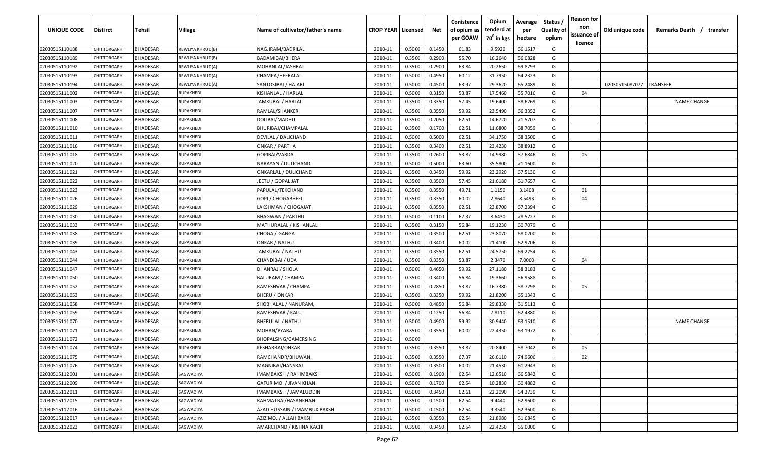| UNIQUE CODE    | <b>Distirct</b>   | Tehsil          | <b>Village</b>   | Name of cultivator/father's name | <b>CROP YEAR   Licensed</b> |        | Net    | Conistence<br>of opium as<br>per GOAW | Opium<br>tenderd at<br>70 <sup>0</sup> in kgs | Average<br>per<br>hectare | Status<br><b>Quality of</b><br>opium | <b>Reason for</b><br>non<br>issuance of<br><u>licence</u> | Old unique code | Remarks Death / transfer |
|----------------|-------------------|-----------------|------------------|----------------------------------|-----------------------------|--------|--------|---------------------------------------|-----------------------------------------------|---------------------------|--------------------------------------|-----------------------------------------------------------|-----------------|--------------------------|
| 02030515110188 | CHITTORGARH       | <b>BHADESAR</b> | REWLIYA KHRUD(B) | NAGJIRAM/BADRILAL                | 2010-11                     | 0.5000 | 0.1450 | 61.83                                 | 9.5920                                        | 66.1517                   | G                                    |                                                           |                 |                          |
| 02030515110189 | CHITTORGARH       | <b>BHADESAR</b> | REWLIYA KHRUD(B) | BADAMIBAI/BHERA                  | 2010-11                     | 0.3500 | 0.2900 | 55.70                                 | 16.2640                                       | 56.0828                   | G                                    |                                                           |                 |                          |
| 02030515110192 | CHITTORGARH       | <b>BHADESAR</b> | REWLIYA KHRUD(A) | MOHANLAL/JASHRAJ                 | 2010-11                     | 0.3500 | 0.2900 | 63.84                                 | 20.2650                                       | 69.8793                   | G                                    |                                                           |                 |                          |
| 02030515110193 | CHITTORGARH       | BHADESAR        | REWLIYA KHRUD(A) | CHAMPA/HEERALAL                  | 2010-11                     | 0.5000 | 0.4950 | 60.12                                 | 31.7950                                       | 64.2323                   | G                                    |                                                           |                 |                          |
| 02030515110194 | CHITTORGARH       | <b>BHADESAR</b> | REWLIYA KHRUD(A) | SANTOSIBAI / HAJARI              | 2010-11                     | 0.5000 | 0.4500 | 63.97                                 | 29.3620                                       | 65.2489                   | G                                    |                                                           | 02030515087077  | TRANSFER                 |
| 02030515111002 | CHITTORGARH       | <b>BHADESAR</b> | RUPAKHEDI        | KISHANLAL / HARLAL               | 2010-11                     | 0.5000 | 0.3150 | 53.87                                 | 17.5460                                       | 55.7016                   | G                                    | 04                                                        |                 |                          |
| 02030515111003 | CHITTORGARH       | <b>BHADESAR</b> | RUPAKHEDI        | JAMKUBAI / HARLAL                | 2010-11                     | 0.3500 | 0.3350 | 57.45                                 | 19.6400                                       | 58.6269                   | G                                    |                                                           |                 | <b>NAME CHANGE</b>       |
| 02030515111007 | CHITTORGARI       | BHADESAR        | RUPAKHEDI        | RAMLAL/SHANKER                   | 2010-11                     | 0.3500 | 0.3550 | 59.92                                 | 23.5490                                       | 66.3352                   | G                                    |                                                           |                 |                          |
| 02030515111008 | CHITTORGARH       | BHADESAR        | RUPAKHEDI        | DOLIBAI/MADHU                    | 2010-11                     | 0.3500 | 0.2050 | 62.51                                 | 14.6720                                       | 71.5707                   | G                                    |                                                           |                 |                          |
| 02030515111010 | CHITTORGARH       | BHADESAR        | RUPAKHEDI        | BHURIBAI/CHAMPALAL               | 2010-11                     | 0.3500 | 0.1700 | 62.51                                 | 11.6800                                       | 68.7059                   | G                                    |                                                           |                 |                          |
| 02030515111011 | CHITTORGARH       | BHADESAR        | RUPAKHEDI        | DEVILAL / DALICHAND              | 2010-11                     | 0.5000 | 0.5000 | 62.51                                 | 34.1750                                       | 68.3500                   | G                                    |                                                           |                 |                          |
| 02030515111016 | <b>HITTORGARH</b> | <b>BHADESAR</b> | RUPAKHEDI        | ONKAR / PARTHA                   | 2010-11                     | 0.3500 | 0.3400 | 62.51                                 | 23.4230                                       | 68.8912                   | G                                    |                                                           |                 |                          |
| 02030515111018 | <b>HITTORGARH</b> | BHADESAR        | RUPAKHEDI        | GOPIBAI/VARDA                    | 2010-11                     | 0.3500 | 0.2600 | 53.87                                 | 14.9980                                       | 57.6846                   | G                                    | 05                                                        |                 |                          |
| 02030515111020 | CHITTORGARH       | <b>BHADESAR</b> | RUPAKHEDI        | NARAYAN / DULICHAND              | 2010-11                     | 0.5000 | 0.5000 | 63.60                                 | 35.5800                                       | 71.1600                   | G                                    |                                                           |                 |                          |
| 02030515111021 | CHITTORGARH       | <b>BHADESAR</b> | RUPAKHEDI        | ONKARLAL / DULICHAND             | 2010-11                     | 0.3500 | 0.3450 | 59.92                                 | 23.2920                                       | 67.5130                   | G                                    |                                                           |                 |                          |
| 02030515111022 | CHITTORGARH       | BHADESAR        | RUPAKHEDI        | EETU / GOPAL JAT                 | 2010-11                     | 0.3500 | 0.3500 | 57.45                                 | 21.6180                                       | 61.7657                   | G                                    |                                                           |                 |                          |
| 02030515111023 | CHITTORGARH       | <b>BHADESAR</b> | RUPAKHEDI        | PAPULAL/TEKCHAND                 | 2010-11                     | 0.3500 | 0.3550 | 49.71                                 | 1.1150                                        | 3.1408                    | G                                    | 01                                                        |                 |                          |
| 02030515111026 | CHITTORGARH       | <b>BHADESAR</b> | RUPAKHEDI        | GOPI / CHOGABHEEL                | 2010-11                     | 0.3500 | 0.3350 | 60.02                                 | 2.8640                                        | 8.5493                    | G                                    | 04                                                        |                 |                          |
| 02030515111029 | CHITTORGARH       | <b>BHADESAR</b> | RUPAKHEDI        | LAKSHMAN / CHOGAJAT              | 2010-11                     | 0.3500 | 0.3550 | 62.51                                 | 23.8700                                       | 67.2394                   | G                                    |                                                           |                 |                          |
| 02030515111030 | CHITTORGARH       | BHADESAR        | <b>RUPAKHEDI</b> | <b>BHAGWAN / PARTHU</b>          | 2010-11                     | 0.5000 | 0.1100 | 67.37                                 | 8.6430                                        | 78.5727                   | G                                    |                                                           |                 |                          |
| 02030515111033 | CHITTORGARH       | <b>BHADESAR</b> | RUPAKHEDI        | MATHURALAL / KISHANLAL           | 2010-11                     | 0.3500 | 0.3150 | 56.84                                 | 19.1230                                       | 60.7079                   | G                                    |                                                           |                 |                          |
| 02030515111038 | CHITTORGARH       | <b>BHADESAR</b> | RUPAKHEDI        | CHOGA / GANGA                    | 2010-11                     | 0.3500 | 0.3500 | 62.51                                 | 23.8070                                       | 68.0200                   | G                                    |                                                           |                 |                          |
| 02030515111039 | CHITTORGARH       | <b>BHADESAR</b> | RUPAKHEDI        | ONKAR / NATHU                    | 2010-11                     | 0.3500 | 0.3400 | 60.02                                 | 21.4100                                       | 62.9706                   | G                                    |                                                           |                 |                          |
| 02030515111043 | CHITTORGARH       | BHADESAR        | <b>RUPAKHEDI</b> | JAMKUBAI / NATHU                 | 2010-11                     | 0.3500 | 0.3550 | 62.51                                 | 24.5750                                       | 69.2254                   | G                                    |                                                           |                 |                          |
| 02030515111044 | CHITTORGARI       | <b>BHADESAR</b> | <b>RUPAKHEDI</b> | CHANDIBAI / UDA                  | 2010-11                     | 0.3500 | 0.3350 | 53.87                                 | 2.3470                                        | 7.0060                    | G                                    | 04                                                        |                 |                          |
| 02030515111047 | CHITTORGARH       | BHADESAR        | <b>RUPAKHEDI</b> | DHANRAJ / SHOLA                  | 2010-11                     | 0.5000 | 0.4650 | 59.92                                 | 27.1180                                       | 58.3183                   | G                                    |                                                           |                 |                          |
| 02030515111050 | CHITTORGARH       | BHADESAR        | <b>RUPAKHEDI</b> | BALURAM / CHAMPA                 | 2010-11                     | 0.3500 | 0.3400 | 56.84                                 | 19.3660                                       | 56.9588                   | G                                    |                                                           |                 |                          |
| 02030515111052 | CHITTORGARH       | BHADESAR        | RUPAKHEDI        | RAMESHVAR / CHAMPA               | 2010-11                     | 0.3500 | 0.2850 | 53.87                                 | 16.7380                                       | 58.7298                   | G                                    | 05                                                        |                 |                          |
| 02030515111053 | <b>HITTORGARH</b> | <b>BHADESAR</b> | RUPAKHEDI        | BHERU / ONKAR                    | 2010-11                     | 0.3500 | 0.3350 | 59.92                                 | 21.8200                                       | 65.1343                   | G                                    |                                                           |                 |                          |
| 02030515111058 | <b>HITTORGARH</b> | BHADESAR        | RUPAKHEDI        | SHOBHALAL / NANURAM,             | 2010-11                     | 0.5000 | 0.4850 | 56.84                                 | 29.8330                                       | 61.5113                   | G                                    |                                                           |                 |                          |
| 02030515111059 | CHITTORGARH       | BHADESAR        | RUPAKHEDI        | RAMESHVAR / KALU                 | 2010-11                     | 0.3500 | 0.1250 | 56.84                                 | 7.8110                                        | 62.4880                   | G                                    |                                                           |                 |                          |
| 02030515111070 | CHITTORGARH       | <b>BHADESAR</b> | <b>RUPAKHEDI</b> | BHERULAL / NATHU                 | 2010-11                     | 0.5000 | 0.4900 | 59.92                                 | 30.9440                                       | 63.1510                   | G                                    |                                                           |                 | <b>NAME CHANGE</b>       |
| 02030515111071 | CHITTORGARH       | <b>BHADESAR</b> | <b>RUPAKHEDI</b> | MOHAN/PYARA                      | 2010-11                     | 0.3500 | 0.3550 | 60.02                                 | 22.4350                                       | 63.1972                   | G                                    |                                                           |                 |                          |
| 02030515111072 | CHITTORGARH       | BHADESAR        | <b>RUPAKHEDI</b> | BHOPALSING/GAMERSING             | 2010-11                     | 0.5000 |        |                                       |                                               |                           | N                                    |                                                           |                 |                          |
| 02030515111074 | CHITTORGARH       | BHADESAR        | <b>RUPAKHEDI</b> | KESHARBAI/ONKAR                  | 2010-11                     | 0.3500 | 0.3550 | 53.87                                 | 20.8400                                       | 58.7042                   | G                                    | 05                                                        |                 |                          |
| 02030515111075 | CHITTORGARH       | <b>BHADESAR</b> | RUPAKHEDI        | RAMCHANDR/BHUWAN                 | 2010-11                     | 0.3500 | 0.3550 | 67.37                                 | 26.6110                                       | 74.9606                   |                                      | 02                                                        |                 |                          |
| 02030515111076 | CHITTORGARH       | <b>BHADESAR</b> | RUPAKHEDI        | MAGNIBAI/HANSRAJ                 | 2010-11                     | 0.3500 | 0.3500 | 60.02                                 | 21.4530                                       | 61.2943                   | G                                    |                                                           |                 |                          |
| 02030515112001 | CHITTORGARH       | <b>BHADESAR</b> | SAGWADIYA        | IMAMBAKSH / RAHIMBAKSH           | 2010-11                     | 0.5000 | 0.1900 | 62.54                                 | 12.6510                                       | 66.5842                   | G                                    |                                                           |                 |                          |
| 02030515112009 | CHITTORGARH       | <b>BHADESAR</b> | SAGWADIYA        | GAFUR MO. / JIVAN KHAN           | 2010-11                     | 0.5000 | 0.1700 | 62.54                                 | 10.2830                                       | 60.4882                   | G                                    |                                                           |                 |                          |
| 02030515112011 | CHITTORGARH       | BHADESAR        | SAGWADIYA        | IMAMBAKSH / JAMALUDDIN           | 2010-11                     | 0.5000 | 0.3450 | 62.61                                 | 22.2090                                       | 64.3739                   | G                                    |                                                           |                 |                          |
| 02030515112015 | CHITTORGARH       | <b>BHADESAR</b> | SAGWADIYA        | RAHMATBAI/HASANKHAN              | 2010-11                     | 0.3500 | 0.1500 | 62.54                                 | 9.4440                                        | 62.9600                   | G                                    |                                                           |                 |                          |
| 02030515112016 | CHITTORGARH       | <b>BHADESAR</b> | SAGWADIYA        | AZAD HUSSAIN / IMAMBUX BAKSH     | 2010-11                     | 0.5000 | 0.1500 | 62.54                                 | 9.3540                                        | 62.3600                   | G                                    |                                                           |                 |                          |
| 02030515112017 | CHITTORGARH       | BHADESAR        | SAGWADIYA        | AZIZ MO. / ALLAH BAKSH           | 2010-11                     | 0.3500 | 0.3550 | 62.54                                 | 21.8980                                       | 61.6845                   | G                                    |                                                           |                 |                          |
| 02030515112023 | CHITTORGARH       | BHADESAR        | SAGWADIYA        | AMARCHAND / KISHNA KACHI         | 2010-11                     | 0.3500 | 0.3450 | 62.54                                 | 22.4250                                       | 65.0000                   | G                                    |                                                           |                 |                          |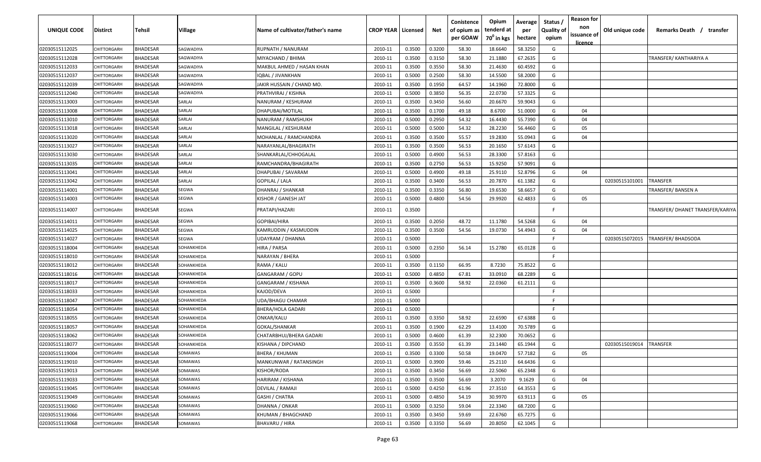| <b>UNIQUE CODE</b> | Distirct           | Tehsil          | Village    | Name of cultivator/father's name | <b>CROP YEAR Licensed</b> |        | Net    | Conistence<br>of opium as<br>per GOAW | Opium<br>tenderd at<br>$70^0$ in kgs | Average<br>per<br>hectare | Status /<br><b>Quality of</b><br>opium | <b>Reason for</b><br>non<br>issuance of<br><u>licence</u> | Old unique code | Remarks Death / transfer         |
|--------------------|--------------------|-----------------|------------|----------------------------------|---------------------------|--------|--------|---------------------------------------|--------------------------------------|---------------------------|----------------------------------------|-----------------------------------------------------------|-----------------|----------------------------------|
| 02030515112025     | CHITTORGARH        | <b>BHADESAR</b> | SAGWADIYA  | RUPNATH / NANURAM                | 2010-11                   | 0.3500 | 0.3200 | 58.30                                 | 18.6640                              | 58.3250                   | G                                      |                                                           |                 |                                  |
| 02030515112028     | CHITTORGARH        | BHADESAR        | SAGWADIYA  | MIYACHAND / BHIMA                | 2010-11                   | 0.3500 | 0.3150 | 58.30                                 | 21.1880                              | 67.2635                   | G                                      |                                                           |                 | TRANSFER/ KANTHARIYA A           |
| 02030515112033     | <b>CHITTORGARH</b> | BHADESAR        | SAGWADIYA  | MAKBUL AHMED / HASAN KHAN        | 2010-11                   | 0.3500 | 0.3550 | 58.30                                 | 21.4630                              | 60.4592                   | G                                      |                                                           |                 |                                  |
| 02030515112037     | CHITTORGARH        | <b>BHADESAR</b> | SAGWADIYA  | IQBAL / JIVANKHAN                | 2010-11                   | 0.5000 | 0.2500 | 58.30                                 | 14.5500                              | 58.2000                   | G                                      |                                                           |                 |                                  |
| 02030515112039     | <b>CHITTORGARH</b> | BHADESAR        | SAGWADIYA  | JAKIR HUSSAIN / CHAND MO.        | 2010-11                   | 0.3500 | 0.1950 | 64.57                                 | 14.1960                              | 72.8000                   | G                                      |                                                           |                 |                                  |
| 02030515112040     | CHITTORGARH        | <b>BHADESAR</b> | SAGWADIYA  | PRATHVIRAJ / KISHNA              | 2010-11                   | 0.5000 | 0.3850 | 56.35                                 | 22.0730                              | 57.3325                   | G                                      |                                                           |                 |                                  |
| 02030515113003     | <b>CHITTORGARH</b> | <b>BHADESAR</b> | SARLAI     | NANURAM / KESHURAM               | 2010-11                   | 0.3500 | 0.3450 | 56.60                                 | 20.6670                              | 59.9043                   | G                                      |                                                           |                 |                                  |
| 02030515113008     | CHITTORGARH        | BHADESAR        | SARLAI     | DHAPUBAI/MOTILAL                 | 2010-11                   | 0.3500 | 0.1700 | 49.18                                 | 8.6700                               | 51.0000                   | G                                      | 04                                                        |                 |                                  |
| 02030515113010     | CHITTORGARH        | BHADESAR        | SARLAI     | NANURAM / RAMSHUKH               | 2010-11                   | 0.5000 | 0.2950 | 54.32                                 | 16.4430                              | 55.7390                   | G                                      | 04                                                        |                 |                                  |
| 02030515113018     | CHITTORGARH        | BHADESAR        | SARLAI     | MANGILAL / KESHURAM              | 2010-11                   | 0.5000 | 0.5000 | 54.32                                 | 28.2230                              | 56.4460                   | G                                      | 05                                                        |                 |                                  |
| 02030515113020     | CHITTORGARH        | <b>BHADESAR</b> | SARLAI     | MOHANLAL / RAMCHANDRA            | 2010-11                   | 0.3500 | 0.3500 | 55.57                                 | 19.2830                              | 55.0943                   | G                                      | 04                                                        |                 |                                  |
| 02030515113027     | CHITTORGARH        | BHADESAR        | SARLAI     | NARAYANLAL/BHAGIRATH             | 2010-11                   | 0.3500 | 0.3500 | 56.53                                 | 20.1650                              | 57.6143                   | G                                      |                                                           |                 |                                  |
| 02030515113030     | CHITTORGARH        | BHADESAR        | SARLAI     | SHANKARLAL/CHHOGALAL             | 2010-11                   | 0.5000 | 0.4900 | 56.53                                 | 28.3300                              | 57.8163                   | G                                      |                                                           |                 |                                  |
| 02030515113035     | CHITTORGARH        | <b>BHADESAR</b> | SARLAI     | RAMCHANDRA/BHAGIRATH             | 2010-11                   | 0.3500 | 0.2750 | 56.53                                 | 15.9250                              | 57.9091                   | G                                      |                                                           |                 |                                  |
| 02030515113041     | CHITTORGARH        | <b>BHADESAR</b> | SARLAI     | DHAPUBAI / SAVARAM               | 2010-11                   | 0.5000 | 0.4900 | 49.18                                 | 25.9110                              | 52.8796                   | G                                      | 04                                                        |                 |                                  |
| 02030515113042     | CHITTORGARH        | <b>BHADESAR</b> | SARLAI     | GOPILAL / LALA                   | 2010-11                   | 0.3500 | 0.3400 | 56.53                                 | 20.7870                              | 61.1382                   | G                                      |                                                           | 02030515101001  | TRANSFER                         |
| 02030515114001     | CHITTORGARH        | <b>BHADESAR</b> | SEGWA      | DHANRAJ / SHANKAR                | 2010-11                   | 0.3500 | 0.3350 | 56.80                                 | 19.6530                              | 58.6657                   | G                                      |                                                           |                 | TRANSFER/ BANSEN A               |
| 02030515114003     | CHITTORGARH        | <b>BHADESAR</b> | SEGWA      | KISHOR / GANESH JAT              | 2010-11                   | 0.5000 | 0.4800 | 54.56                                 | 29.9920                              | 62.4833                   | G                                      | 05                                                        |                 |                                  |
| 02030515114007     | CHITTORGARH        | BHADESAR        | SEGWA      | PRATAPI/HAZARI                   | 2010-11                   | 0.3500 |        |                                       |                                      |                           | F.                                     |                                                           |                 | TRANSFER/ DHANET TRANSFER/KARIYA |
| 02030515114011     | CHITTORGARH        | <b>BHADESAR</b> | SEGWA      | GOPIBAI/HIRA                     | 2010-11                   | 0.3500 | 0.2050 | 48.72                                 | 11.1780                              | 54.5268                   | G                                      | 04                                                        |                 |                                  |
| 02030515114025     | CHITTORGARH        | BHADESAR        | SEGWA      | KAMRUDDIN / KASMUDDIN            | 2010-11                   | 0.3500 | 0.3500 | 54.56                                 | 19.0730                              | 54.4943                   | G                                      | 04                                                        |                 |                                  |
| 02030515114027     | CHITTORGARH        | BHADESAR        | SEGWA      | UDAYRAM / DHANNA                 | 2010-11                   | 0.5000 |        |                                       |                                      |                           | -F.                                    |                                                           | 02030515072015  | <b>TRANSFER/ BHADSODA</b>        |
| 02030515118004     | CHITTORGARH        | <b>BHADESAR</b> | SOHANKHEDA | HIRA / PARSA                     | 2010-11                   | 0.5000 | 0.2350 | 56.14                                 | 15.2780                              | 65.0128                   | G                                      |                                                           |                 |                                  |
| 02030515118010     | CHITTORGARH        | <b>BHADESAR</b> | SOHANKHEDA | NARAYAN / BHERA                  | 2010-11                   | 0.5000 |        |                                       |                                      |                           | -F                                     |                                                           |                 |                                  |
| 02030515118012     | CHITTORGARH        | BHADESAR        | SOHANKHEDA | RAMA / KALU                      | 2010-11                   | 0.3500 | 0.1150 | 66.95                                 | 8.7230                               | 75.8522                   | G                                      |                                                           |                 |                                  |
| 02030515118016     | <b>CHITTORGARI</b> | BHADESAR        | SOHANKHEDA | GANGARAM / GOPU                  | 2010-11                   | 0.5000 | 0.4850 | 67.81                                 | 33.0910                              | 68.2289                   | G                                      |                                                           |                 |                                  |
| 02030515118017     | CHITTORGARH        | BHADESAR        | SOHANKHEDA | GANGARAM / KISHANA               | 2010-11                   | 0.3500 | 0.3600 | 58.92                                 | 22.0360                              | 61.2111                   | G                                      |                                                           |                 |                                  |
| 02030515118033     | CHITTORGARH        | BHADESAR        | SOHANKHEDA | KAJOD/DEVA                       | 2010-11                   | 0.5000 |        |                                       |                                      |                           | -F.                                    |                                                           |                 |                                  |
| 02030515118047     | CHITTORGARH        | BHADESAR        | SOHANKHEDA | UDA/BHAGU CHAMAR                 | 2010-11                   | 0.5000 |        |                                       |                                      |                           | F.                                     |                                                           |                 |                                  |
| 02030515118054     | CHITTORGARH        | BHADESAR        | SOHANKHEDA | BHERA/HOLA GADARI                | 2010-11                   | 0.5000 |        |                                       |                                      |                           | -F.                                    |                                                           |                 |                                  |
| 02030515118055     | CHITTORGARH        | BHADESAR        | SOHANKHEDA | ONKAR/KALU                       | 2010-11                   | 0.3500 | 0.3350 | 58.92                                 | 22.6590                              | 67.6388                   | G                                      |                                                           |                 |                                  |
| 02030515118057     | CHITTORGARH        | BHADESAR        | SOHANKHEDA | GOKAL/SHANKAR                    | 2010-11                   | 0.3500 | 0.1900 | 62.29                                 | 13.4100                              | 70.5789                   | G                                      |                                                           |                 |                                  |
| 02030515118062     | CHITTORGARH        | BHADESAR        | SOHANKHEDA | CHATARBHUJ/BHERA GADARI          | 2010-11                   | 0.5000 | 0.4600 | 61.39                                 | 32.2300                              | 70.0652                   | G                                      |                                                           |                 |                                  |
| 02030515118077     | CHITTORGARH        | <b>BHADESAR</b> | SOHANKHEDA | KISHANA / DIPCHAND               | 2010-11                   | 0.3500 | 0.3550 | 61.39                                 | 23.1440                              | 65.1944                   | G                                      |                                                           | 02030515019014  | TRANSFER                         |
| 02030515119004     | CHITTORGARH        | <b>BHADESAR</b> | SOMAWAS    | <b>BHERA / KHUMAN</b>            | 2010-11                   | 0.3500 | 0.3300 | 50.58                                 | 19.0470                              | 57.7182                   | G                                      | 05                                                        |                 |                                  |
| 02030515119010     | CHITTORGARH        | <b>BHADESAR</b> | SOMAWAS    | MANKUNWAR / RATANSINGH           | 2010-11                   | 0.5000 | 0.3900 | 59.46                                 | 25.2110                              | 64.6436                   | G                                      |                                                           |                 |                                  |
| 02030515119013     | CHITTORGARH        | <b>BHADESAR</b> | SOMAWAS    | KISHOR/RODA                      | 2010-11                   | 0.3500 | 0.3450 | 56.69                                 | 22.5060                              | 65.2348                   | G                                      |                                                           |                 |                                  |
| 02030515119033     | CHITTORGARH        | BHADESAR        | SOMAWAS    | HARIRAM / KISHANA                | 2010-11                   | 0.3500 | 0.3500 | 56.69                                 | 3.2070                               | 9.1629                    | G                                      | 04                                                        |                 |                                  |
| 02030515119045     | CHITTORGARH        | <b>BHADESAR</b> | SOMAWAS    | <b>DEVILAL / RAMAJI</b>          | 2010-11                   | 0.5000 | 0.4250 | 61.96                                 | 27.3510                              | 64.3553                   | G                                      |                                                           |                 |                                  |
| 02030515119049     | CHITTORGARH        | <b>BHADESAR</b> | SOMAWAS    | GASHI / CHATRA                   | 2010-11                   | 0.5000 | 0.4850 | 54.19                                 | 30.9970                              | 63.9113                   | G                                      | 05                                                        |                 |                                  |
| 02030515119060     | CHITTORGARH        | <b>BHADESAR</b> | SOMAWAS    | DHANNA / ONKAR                   | 2010-11                   | 0.5000 | 0.3250 | 59.04                                 | 22.3340                              | 68.7200                   | G                                      |                                                           |                 |                                  |
| 02030515119066     | CHITTORGARH        | <b>BHADESAR</b> | SOMAWAS    | KHUMAN / BHAGCHAND               | 2010-11                   | 0.3500 | 0.3450 | 59.69                                 | 22.6760                              | 65.7275                   | G                                      |                                                           |                 |                                  |
| 02030515119068     | CHITTORGARH        | <b>BHADESAR</b> | SOMAWAS    | <b>BHAVARU / HIRA</b>            | 2010-11                   | 0.3500 | 0.3350 | 56.69                                 | 20.8050                              | 62.1045                   | G                                      |                                                           |                 |                                  |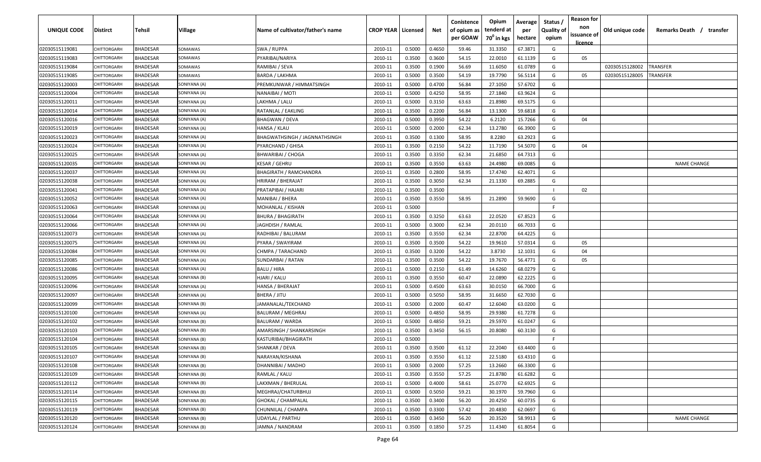| UNIQUE CODE    | <b>Distirct</b> | Tehsil          | <b>Village</b> | Name of cultivator/father's name | <b>CROP YEAR   Licensed</b> |        | Net    | Conistence<br>of opium as<br>per GOAW | Opium<br>tenderd at<br>70 <sup>0</sup> in kgs | Average<br>per<br>hectare | Status /<br><b>Quality of</b><br>opium | <b>Reason for</b><br>non<br>issuance of<br><u>licence</u> | Old unique code | Remarks Death /<br>transfer |
|----------------|-----------------|-----------------|----------------|----------------------------------|-----------------------------|--------|--------|---------------------------------------|-----------------------------------------------|---------------------------|----------------------------------------|-----------------------------------------------------------|-----------------|-----------------------------|
| 02030515119081 | CHITTORGARH     | <b>BHADESAR</b> | SOMAWAS        | SWA / RUPPA                      | 2010-11                     | 0.5000 | 0.4650 | 59.46                                 | 31.3350                                       | 67.3871                   | G                                      |                                                           |                 |                             |
| 02030515119083 | CHITTORGARH     | <b>BHADESAR</b> | SOMAWAS        | PYARIBAI/NARIYA                  | 2010-11                     | 0.3500 | 0.3600 | 54.15                                 | 22.0010                                       | 61.1139                   | G                                      | 05                                                        |                 |                             |
| 02030515119084 | CHITTORGARH     | <b>BHADESAR</b> | SOMAWAS        | RAMIBAI / SEVA                   | 2010-11                     | 0.3500 | 0.1900 | 56.69                                 | 11.6050                                       | 61.0789                   | G                                      |                                                           | 02030515128002  | TRANSFER                    |
| 02030515119085 | CHITTORGARH     | <b>BHADESAR</b> | SOMAWAS        | BARDA / LAKHMA                   | 2010-11                     | 0.5000 | 0.3500 | 54.19                                 | 19.7790                                       | 56.5114                   | G                                      | 05                                                        | 02030515128005  | TRANSFER                    |
| 02030515120003 | CHITTORGARH     | <b>BHADESAR</b> | SONIYANA (A)   | PREMKUNWAR / HIMMATSINGH         | 2010-11                     | 0.5000 | 0.4700 | 56.84                                 | 27.1050                                       | 57.6702                   | G                                      |                                                           |                 |                             |
| 02030515120004 | CHITTORGARH     | <b>BHADESAR</b> | SONIYANA (A)   | NANAIBAI / MOTI                  | 2010-11                     | 0.5000 | 0.4250 | 58.95                                 | 27.1840                                       | 63.9624                   | G                                      |                                                           |                 |                             |
| 02030515120011 | CHITTORGARH     | <b>BHADESAR</b> | SONIYANA (A)   | LAKHMA / LALU                    | 2010-11                     | 0.5000 | 0.3150 | 63.63                                 | 21.8980                                       | 69.5175                   | G                                      |                                                           |                 |                             |
| 02030515120014 | CHITTORGARH     | <b>BHADESAR</b> | SONIYANA (A)   | RATANLAL / EAKLING               | 2010-11                     | 0.3500 | 0.2200 | 56.84                                 | 13.1300                                       | 59.6818                   | G                                      |                                                           |                 |                             |
| 02030515120016 | CHITTORGARH     | <b>BHADESAR</b> | SONIYANA (A)   | <b>BHAGWAN / DEVA</b>            | 2010-11                     | 0.5000 | 0.3950 | 54.22                                 | 6.2120                                        | 15.7266                   | G                                      | 04                                                        |                 |                             |
| 02030515120019 | CHITTORGARH     | <b>BHADESAR</b> | SONIYANA (A)   | HANSA / KLAU                     | 2010-11                     | 0.5000 | 0.2000 | 62.34                                 | 13.2780                                       | 66.3900                   | G                                      |                                                           |                 |                             |
| 02030515120023 | CHITTORGARH     | <b>BHADESAR</b> | SONIYANA (A)   | BHAGWATHSINGH / JAGNNATHSINGH    | 2010-11                     | 0.3500 | 0.1300 | 58.95                                 | 8.2280                                        | 63.2923                   | G                                      |                                                           |                 |                             |
| 02030515120024 | CHITTORGARH     | <b>BHADESAR</b> | SONIYANA (A)   | PYARCHAND / GHISA                | 2010-11                     | 0.3500 | 0.2150 | 54.22                                 | 11.7190                                       | 54.5070                   | G                                      | 04                                                        |                 |                             |
| 02030515120025 | CHITTORGARH     | <b>BHADESAR</b> | SONIYANA (A)   | BHWARIBAI / CHOGA                | 2010-11                     | 0.3500 | 0.3350 | 62.34                                 | 21.6850                                       | 64.7313                   | G                                      |                                                           |                 |                             |
| 02030515120035 | CHITTORGARH     | <b>BHADESAR</b> | SONIYANA (A)   | KESAR / GEHRU                    | 2010-11                     | 0.3500 | 0.3550 | 63.63                                 | 24.4980                                       | 69.0085                   | G                                      |                                                           |                 | <b>NAME CHANGE</b>          |
| 02030515120037 | CHITTORGARH     | <b>BHADESAR</b> | SONIYANA (A)   | <b>BHAGIRATH / RAMCHANDRA</b>    | 2010-11                     | 0.3500 | 0.2800 | 58.95                                 | 17.4740                                       | 62.4071                   | G                                      |                                                           |                 |                             |
| 02030515120038 | CHITTORGARH     | <b>BHADESAR</b> | SONIYANA (A)   | HRIRAM / BHERAJAT                | 2010-11                     | 0.3500 | 0.3050 | 62.34                                 | 21.1330                                       | 69.2885                   | G                                      |                                                           |                 |                             |
| 02030515120041 | CHITTORGARH     | <b>BHADESAR</b> | SONIYANA (A)   | PRATAPIBAI / HAJARI              | 2010-11                     | 0.3500 | 0.3500 |                                       |                                               |                           |                                        | 02                                                        |                 |                             |
| 02030515120052 | CHITTORGARH     | <b>BHADESAR</b> | SONIYANA (A)   | MANIBAI / BHERA                  | 2010-11                     | 0.3500 | 0.3550 | 58.95                                 | 21.2890                                       | 59.9690                   | G                                      |                                                           |                 |                             |
| 02030515120063 | CHITTORGARH     | <b>BHADESAR</b> | SONIYANA (A)   | MOHANLAL / KISHAN                | 2010-11                     | 0.5000 |        |                                       |                                               |                           | F                                      |                                                           |                 |                             |
| 02030515120064 | CHITTORGARH     | <b>BHADESAR</b> | SONIYANA (A)   | BHURA / BHAGIRATH                | 2010-11                     | 0.3500 | 0.3250 | 63.63                                 | 22.0520                                       | 67.8523                   | G                                      |                                                           |                 |                             |
| 02030515120066 | CHITTORGARH     | <b>BHADESAR</b> | SONIYANA (A)   | JAGHDISH / RAMLAL                | 2010-11                     | 0.5000 | 0.3000 | 62.34                                 | 20.0110                                       | 66.7033                   | G                                      |                                                           |                 |                             |
| 02030515120073 | CHITTORGARH     | <b>BHADESAR</b> | SONIYANA (A)   | RADHIBAI / BALURAM               | 2010-11                     | 0.3500 | 0.3550 | 62.34                                 | 22.8700                                       | 64.4225                   | G                                      |                                                           |                 |                             |
| 02030515120075 | CHITTORGARH     | <b>BHADESAR</b> | SONIYANA (A)   | PYARA / SWAYIRAM                 | 2010-11                     | 0.3500 | 0.3500 | 54.22                                 | 19.9610                                       | 57.0314                   | G                                      | 05                                                        |                 |                             |
| 02030515120084 | CHITTORGARH     | <b>BHADESAR</b> | SONIYANA (A)   | CHMPA / TARACHAND                | 2010-11                     | 0.3500 | 0.3200 | 54.22                                 | 3.8730                                        | 12.1031                   | G                                      | 04                                                        |                 |                             |
| 02030515120085 | CHITTORGARH     | <b>BHADESAR</b> | SONIYANA (A)   | SUNDARBAI / RATAN                | 2010-11                     | 0.3500 | 0.3500 | 54.22                                 | 19.7670                                       | 56.4771                   | G                                      | 05                                                        |                 |                             |
| 02030515120086 | CHITTORGARH     | <b>BHADESAR</b> | SONIYANA (A)   | BALU / HIRA                      | 2010-11                     | 0.5000 | 0.2150 | 61.49                                 | 14.6260                                       | 68.0279                   | G                                      |                                                           |                 |                             |
| 02030515120095 | CHITTORGARH     | <b>BHADESAR</b> | SONIYANA (B)   | HJARI / KALU                     | 2010-11                     | 0.3500 | 0.3550 | 60.47                                 | 22.0890                                       | 62.2225                   | G                                      |                                                           |                 |                             |
| 02030515120096 | CHITTORGARH     | <b>BHADESAR</b> | SONIYANA (A)   | HANSA / BHERAJAT                 | 2010-11                     | 0.5000 | 0.4500 | 63.63                                 | 30.0150                                       | 66.7000                   | G                                      |                                                           |                 |                             |
| 02030515120097 | CHITTORGARH     | <b>BHADESAR</b> | SONIYANA (A)   | BHERA / JITU                     | 2010-11                     | 0.5000 | 0.5050 | 58.95                                 | 31.6650                                       | 62.7030                   | G                                      |                                                           |                 |                             |
| 02030515120099 | CHITTORGARH     | <b>BHADESAR</b> | SONIYANA (B)   | IAMANALAL/TEKCHAND               | 2010-11                     | 0.5000 | 0.2000 | 60.47                                 | 12.6040                                       | 63.0200                   | G                                      |                                                           |                 |                             |
| 02030515120100 | CHITTORGARH     | <b>BHADESAR</b> | SONIYANA (A)   | BALURAM / MEGHRAJ                | 2010-11                     | 0.5000 | 0.4850 | 58.95                                 | 29.9380                                       | 61.7278                   | G                                      |                                                           |                 |                             |
| 02030515120102 | CHITTORGARH     | <b>BHADESAR</b> | SONIYANA (B)   | <b>BALURAM / WARDA</b>           | 2010-11                     | 0.5000 | 0.4850 | 59.21                                 | 29.5970                                       | 61.0247                   | G                                      |                                                           |                 |                             |
| 02030515120103 | CHITTORGARI     | <b>BHADESAR</b> | SONIYANA (B)   | AMARSINGH / SHANKARSINGH         | 2010-11                     | 0.3500 | 0.3450 | 56.15                                 | 20.8080                                       | 60.3130                   | G                                      |                                                           |                 |                             |
| 02030515120104 | CHITTORGARH     | <b>BHADESAR</b> | SONIYANA (B)   | KASTURIBAI/BHAGIRATH             | 2010-11                     | 0.5000 |        |                                       |                                               |                           | F                                      |                                                           |                 |                             |
| 02030515120105 | CHITTORGARH     | <b>BHADESAR</b> | SONIYANA (B)   | SHANKAR / DEVA                   | 2010-11                     | 0.3500 | 0.3500 | 61.12                                 | 22.2040                                       | 63.4400                   | G                                      |                                                           |                 |                             |
| 02030515120107 | CHITTORGARH     | <b>BHADESAR</b> | SONIYANA (B)   | NARAYAN/KISHANA                  | 2010-11                     | 0.3500 | 0.3550 | 61.12                                 | 22.5180                                       | 63.4310                   | G                                      |                                                           |                 |                             |
| 02030515120108 | CHITTORGARH     | <b>BHADESAR</b> | SONIYANA (B)   | DHANNIBAI / MADHO                | 2010-11                     | 0.5000 | 0.2000 | 57.25                                 | 13.2660                                       | 66.3300                   | G                                      |                                                           |                 |                             |
| 02030515120109 | CHITTORGARH     | <b>BHADESAR</b> | SONIYANA (B)   | RAMLAL / KALU                    | 2010-11                     | 0.3500 | 0.3550 | 57.25                                 | 21.8780                                       | 61.6282                   | G                                      |                                                           |                 |                             |
| 02030515120112 | CHITTORGARH     | <b>BHADESAR</b> | SONIYANA (B)   | LAKXMAN / BHERULAL               | 2010-11                     | 0.5000 | 0.4000 | 58.61                                 | 25.0770                                       | 62.6925                   | G                                      |                                                           |                 |                             |
| 02030515120114 | CHITTORGARH     | <b>BHADESAR</b> | SONIYANA (B)   | MEGHRAJ/CHATURBHUJ               | 2010-11                     | 0.5000 | 0.5050 | 59.21                                 | 30.1970                                       | 59.7960                   | G                                      |                                                           |                 |                             |
| 02030515120115 | CHITTORGARH     | <b>BHADESAR</b> | SONIYANA (B)   | GHOKAL / CHAMPALAL               | 2010-11                     | 0.3500 | 0.3400 | 56.20                                 | 20.4250                                       | 60.0735                   | G                                      |                                                           |                 |                             |
| 02030515120119 | CHITTORGARH     | <b>BHADESAR</b> | SONIYANA (B)   | CHUNNILAL / CHAMPA               | 2010-11                     | 0.3500 | 0.3300 | 57.42                                 | 20.4830                                       | 62.0697                   | G                                      |                                                           |                 |                             |
| 02030515120120 | CHITTORGARH     | <b>BHADESAR</b> | SONIYANA (B)   | UDAYLAL / PARTHU                 | 2010-11                     | 0.3500 | 0.3450 | 56.20                                 | 20.3520                                       | 58.9913                   | G                                      |                                                           |                 | <b>NAME CHANGE</b>          |
| 02030515120124 | CHITTORGARH     | <b>BHADESAR</b> | SONIYANA (B)   | JAMNA / NANDRAM                  | 2010-11                     | 0.3500 | 0.1850 | 57.25                                 | 11.4340                                       | 61.8054                   | G                                      |                                                           |                 |                             |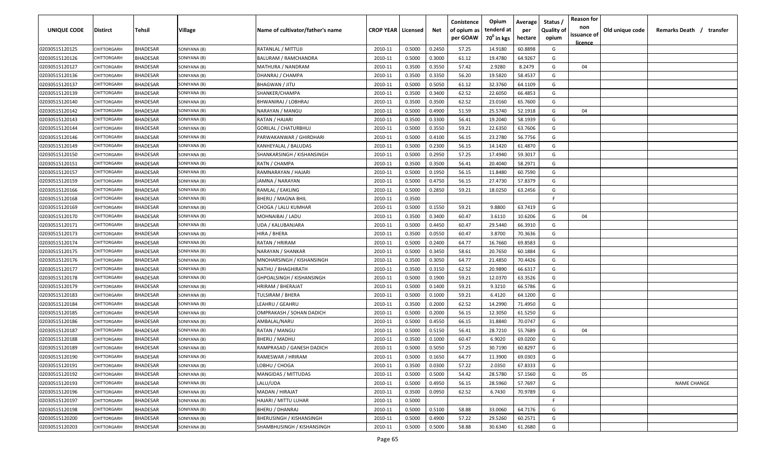| UNIQUE CODE    | Distirct           | Tehsil          | Village      | Name of cultivator/father's name | <b>CROP YEAR   Licensed</b> |        | Net    | Conistence<br>of opium as | Opium<br>tenderd at    | Average<br>per | Status /<br><b>Quality of</b> | <b>Reason for</b><br>non      | Old unique code | Remarks Death / transfer |
|----------------|--------------------|-----------------|--------------|----------------------------------|-----------------------------|--------|--------|---------------------------|------------------------|----------------|-------------------------------|-------------------------------|-----------------|--------------------------|
|                |                    |                 |              |                                  |                             |        |        | per GOAW                  | 70 <sup>0</sup> in kgs | hectare        | opium                         | issuance of<br><u>licence</u> |                 |                          |
| 02030515120125 | CHITTORGARH        | <b>BHADESAR</b> | SONIYANA (B) | RATANLAL / MITTUJI               | 2010-11                     | 0.5000 | 0.2450 | 57.25                     | 14.9180                | 60.8898        | G                             |                               |                 |                          |
| 02030515120126 | CHITTORGARH        | BHADESAR        | SONIYANA (B) | <b>BALURAM / RAMCHANDRA</b>      | 2010-11                     | 0.5000 | 0.3000 | 61.12                     | 19.4780                | 64.9267        | G                             |                               |                 |                          |
| 02030515120127 | <b>CHITTORGARH</b> | BHADESAR        | SONIYANA (B) | MATHURA / NANDRAM                | 2010-11                     | 0.3500 | 0.3550 | 57.42                     | 2.9280                 | 8.2479         | G                             | 04                            |                 |                          |
| 02030515120136 | CHITTORGARH        | BHADESAR        | SONIYANA (B) | DHANRAJ / CHAMPA                 | 2010-11                     | 0.3500 | 0.3350 | 56.20                     | 19.5820                | 58.4537        | G                             |                               |                 |                          |
| 02030515120137 | <b>CHITTORGARH</b> | BHADESAR        | SONIYANA (B) | <b>BHAGWAN / JITU</b>            | 2010-11                     | 0.5000 | 0.5050 | 61.12                     | 32.3760                | 64.1109        | G                             |                               |                 |                          |
| 02030515120139 | <b>CHITTORGARH</b> | <b>BHADESAR</b> | SONIYANA (B) | SHANKER/CHAMPA                   | 2010-11                     | 0.3500 | 0.3400 | 62.52                     | 22.6050                | 66.4853        | G                             |                               |                 |                          |
| 02030515120140 | <b>CHITTORGARH</b> | BHADESAR        | SONIYANA (B) | BHWANIRAJ / LOBHRAJ              | 2010-11                     | 0.3500 | 0.3500 | 62.52                     | 23.0160                | 65.7600        | G                             |                               |                 |                          |
| 02030515120142 | CHITTORGARH        | BHADESAR        | SONIYANA (B) | NARAYAN / MANGU                  | 2010-11                     | 0.5000 | 0.4900 | 51.59                     | 25.5740                | 52.1918        | G                             | 04                            |                 |                          |
| 02030515120143 | CHITTORGARH        | BHADESAR        | SONIYANA (B) | RATAN / HAJARI                   | 2010-11                     | 0.3500 | 0.3300 | 56.41                     | 19.2040                | 58.1939        | G                             |                               |                 |                          |
| 02030515120144 | CHITTORGARH        | BHADESAR        | SONIYANA (B) | GORILAL / CHATURBHUJ             | 2010-11                     | 0.5000 | 0.3550 | 59.21                     | 22.6350                | 63.7606        | G                             |                               |                 |                          |
| 02030515120146 | CHITTORGARF        | BHADESAR        | SONIYANA (B) | PARWAKANWAR / GHIRDHARI          | 2010-11                     | 0.5000 | 0.4100 | 56.15                     | 23.2780                | 56.7756        | G                             |                               |                 |                          |
| 02030515120149 | CHITTORGARH        | BHADESAR        | SONIYANA (B) | KANHEYALAL / BALUDAS             | 2010-11                     | 0.5000 | 0.2300 | 56.15                     | 14.1420                | 61.4870        | G                             |                               |                 |                          |
| 02030515120150 | CHITTORGARH        | <b>BHADESAR</b> | SONIYANA (B) | SHANKARSINGH / KISHANSINGH       | 2010-11                     | 0.5000 | 0.2950 | 57.25                     | 17.4940                | 59.3017        | G                             |                               |                 |                          |
| 02030515120151 | CHITTORGARH        | <b>BHADESAR</b> | SONIYANA (B) | RATN / CHAMPA                    | 2010-11                     | 0.3500 | 0.3500 | 56.41                     | 20.4040                | 58.2971        | G                             |                               |                 |                          |
| 02030515120157 | CHITTORGARH        | <b>BHADESAR</b> | SONIYANA (B) | RAMNARAYAN / HAJARI              | 2010-11                     | 0.5000 | 0.1950 | 56.15                     | 11.8480                | 60.7590        | G                             |                               |                 |                          |
| 02030515120159 | CHITTORGARH        | <b>BHADESAR</b> | SONIYANA (B) | JAMNA / NARAYAN                  | 2010-11                     | 0.5000 | 0.4750 | 56.15                     | 27.4730                | 57.8379        | G                             |                               |                 |                          |
| 02030515120166 | CHITTORGARH        | <b>BHADESAR</b> | SONIYANA (B) | RAMLAL / EAKLING                 | 2010-11                     | 0.5000 | 0.2850 | 59.21                     | 18.0250                | 63.2456        | G                             |                               |                 |                          |
| 02030515120168 | CHITTORGARH        | <b>BHADESAR</b> | SONIYANA (B) | <b>BHERU / MAGNA BHIL</b>        | 2010-11                     | 0.3500 |        |                           |                        |                | F                             |                               |                 |                          |
| 02030515120169 | CHITTORGARH        | <b>BHADESAR</b> | SONIYANA (B) | CHOGA / LALU KUMHAR              | 2010-11                     | 0.5000 | 0.1550 | 59.21                     | 9.8800                 | 63.7419        | G                             |                               |                 |                          |
| 02030515120170 | CHITTORGARH        | <b>BHADESAR</b> | SONIYANA (B) | MOHNAIBAI / LADU                 | 2010-11                     | 0.3500 | 0.3400 | 60.47                     | 3.6110                 | 10.6206        | G                             | 04                            |                 |                          |
| 02030515120171 | CHITTORGARH        | <b>BHADESAR</b> | SONIYANA (B) | UDA / KALUBANJARA                | 2010-11                     | 0.5000 | 0.4450 | 60.47                     | 29.5440                | 66.3910        | G                             |                               |                 |                          |
| 02030515120173 | <b>CHITTORGARH</b> | <b>BHADESAR</b> | SONIYANA (B) | HIRA / BHERA                     | 2010-11                     | 0.3500 | 0.0550 | 60.47                     | 3.8700                 | 70.3636        | G                             |                               |                 |                          |
| 02030515120174 | <b>CHITTORGARI</b> | <b>BHADESAR</b> | SONIYANA (B) | RATAN / HRIRAM                   | 2010-11                     | 0.5000 | 0.2400 | 64.77                     | 16.7660                | 69.8583        | G                             |                               |                 |                          |
| 02030515120175 | <b>CHITTORGARI</b> | BHADESAR        | SONIYANA (B) | NARAYAN / SHANKAR                | 2010-11                     | 0.5000 | 0.3450 | 58.61                     | 20.7650                | 60.1884        | G                             |                               |                 |                          |
| 02030515120176 | CHITTORGARH        | BHADESAR        | SONIYANA (B) | MNOHARSINGH / KISHANSINGH        | 2010-11                     | 0.3500 | 0.3050 | 64.77                     | 21.4850                | 70.4426        | G                             |                               |                 |                          |
| 02030515120177 | CHITTORGARH        | BHADESAR        | SONIYANA (B) | NATHU / BHAGHIRATH               | 2010-11                     | 0.3500 | 0.3150 | 62.52                     | 20.9890                | 66.6317        | G                             |                               |                 |                          |
| 02030515120178 | CHITTORGARF        | BHADESAR        | SONIYANA (B) | GHPOALSINGH / KISHANSINGH        | 2010-11                     | 0.5000 | 0.1900 | 59.21                     | 12.0370                | 63.3526        | G                             |                               |                 |                          |
| 02030515120179 | CHITTORGARF        | BHADESAR        | SONIYANA (B) | HRIRAM / BHERAJAT                | 2010-11                     | 0.5000 | 0.1400 | 59.21                     | 9.3210                 | 66.5786        | G                             |                               |                 |                          |
| 02030515120183 | CHITTORGARF        | BHADESAR        | SONIYANA (B) | TULSIRAM / BHERA                 | 2010-11                     | 0.5000 | 0.1000 | 59.21                     | 6.4120                 | 64.1200        | G                             |                               |                 |                          |
| 02030515120184 | CHITTORGARH        | <b>BHADESAR</b> | SONIYANA (B) | LEAHRU / GEAHRU                  | 2010-11                     | 0.3500 | 0.2000 | 62.52                     | 14.2990                | 71.4950        | G                             |                               |                 |                          |
| 02030515120185 | CHITTORGARH        | <b>BHADESAR</b> | SONIYANA (B) | OMPRAKASH / SOHAN DADICH         | 2010-11                     | 0.5000 | 0.2000 | 56.15                     | 12.3050                | 61.5250        | G                             |                               |                 |                          |
| 02030515120186 | CHITTORGARI        | <b>BHADESAR</b> | SONIYANA (B) | AMBALAL/NARU                     | 2010-11                     | 0.5000 | 0.4550 | 66.15                     | 31.8840                | 70.0747        | G                             |                               |                 |                          |
| 02030515120187 | CHITTORGARI        | <b>BHADESAR</b> | SONIYANA (B) | RATAN / MANGU                    | 2010-11                     | 0.5000 | 0.5150 | 56.41                     | 28.7210                | 55.7689        | G                             | 04                            |                 |                          |
| 02030515120188 | CHITTORGARH        | <b>BHADESAR</b> | SONIYANA (B) | BHERU / MADHU                    | 2010-11                     | 0.3500 | 0.1000 | 60.47                     | 6.9020                 | 69.0200        | G                             |                               |                 |                          |
| 02030515120189 | CHITTORGARH        | BHADESAR        | SONIYANA (B) | RAMPRASAD / GANESH DADICH        | 2010-11                     | 0.5000 | 0.5050 | 57.25                     | 30.7190                | 60.8297        | G                             |                               |                 |                          |
| 02030515120190 | <b>CHITTORGARH</b> | <b>BHADESAR</b> | SONIYANA (B) | RAMESWAR / HRIRAM                | 2010-11                     | 0.5000 | 0.1650 | 64.77                     | 11.3900                | 69.0303        | G                             |                               |                 |                          |
| 02030515120191 | CHITTORGARH        | <b>BHADESAR</b> | SONIYANA (B) | LOBHU / CHOGA                    | 2010-11                     | 0.3500 | 0.0300 | 57.22                     | 2.0350                 | 67.8333        | G                             |                               |                 |                          |
| 02030515120192 | CHITTORGARH        | <b>BHADESAR</b> | SONIYANA (B) | <b>MANGIDAS / MITTUDAS</b>       | 2010-11                     | 0.5000 | 0.5000 | 54.42                     | 28.5780                | 57.1560        | G                             | 05                            |                 |                          |
| 02030515120193 | CHITTORGARH        | <b>BHADESAR</b> | SONIYANA (B) | LALU/UDA                         | 2010-11                     | 0.5000 | 0.4950 | 56.15                     | 28.5960                | 57.7697        | G                             |                               |                 | <b>NAME CHANGE</b>       |
| 02030515120196 | <b>CHITTORGARH</b> | <b>BHADESAR</b> | SONIYANA (B) | MADAN / HIRAJAT                  | 2010-11                     | 0.3500 | 0.0950 | 62.52                     | 6.7430                 | 70.9789        | G                             |                               |                 |                          |
| 02030515120197 | <b>CHITTORGARH</b> | <b>BHADESAR</b> | SONIYANA (B) | HAJARI / MITTU LUHAR             | 2010-11                     | 0.5000 |        |                           |                        |                | F.                            |                               |                 |                          |
| 02030515120198 | CHITTORGARH        | <b>BHADESAR</b> | SONIYANA (B) | <b>BHERU / DHANRAJ</b>           | 2010-11                     | 0.5000 | 0.5100 | 58.88                     | 33.0060                | 64.7176        | G                             |                               |                 |                          |
| 02030515120200 | CHITTORGARH        | <b>BHADESAR</b> | SONIYANA (B) | <b>BHERUSINGH / KISHANSINGH</b>  | 2010-11                     | 0.5000 | 0.4900 | 57.22                     | 29.5260                | 60.2571        | G                             |                               |                 |                          |
| 02030515120203 | CHITTORGARH        | <b>BHADESAR</b> | SONIYANA (B) | SHAMBHUSINGH / KISHANSINGH       | 2010-11                     | 0.5000 | 0.5000 | 58.88                     | 30.6340                | 61.2680        | G                             |                               |                 |                          |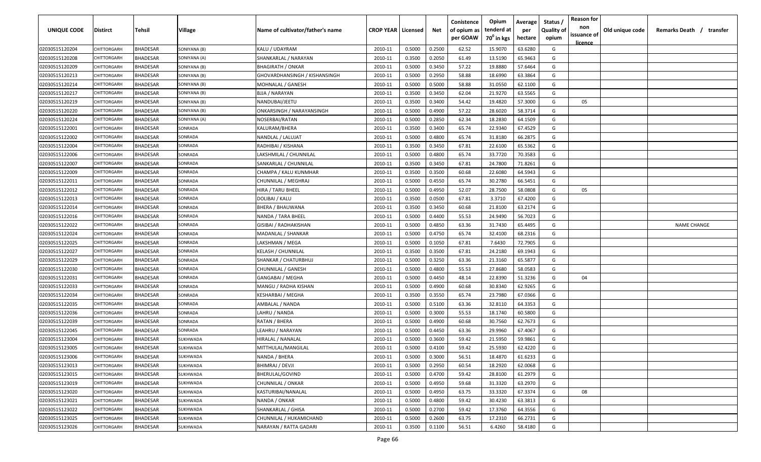| <b>UNIQUE CODE</b> | Distirct           | Tehsil          | Village      | Name of cultivator/father's name | <b>CROP YEAR Licensed</b> |        | Net    | Conistence<br>of opium as | Opium<br>tenderd at    | Average<br>per | Status /<br><b>Quality of</b> | <b>Reason for</b><br>non<br>issuance of | Old unique code | Remarks Death / transfer |
|--------------------|--------------------|-----------------|--------------|----------------------------------|---------------------------|--------|--------|---------------------------|------------------------|----------------|-------------------------------|-----------------------------------------|-----------------|--------------------------|
|                    |                    |                 |              |                                  |                           |        |        | per GOAW                  | 70 <sup>0</sup> in kgs | hectare        | opium                         | <u>licence</u>                          |                 |                          |
| 02030515120204     | CHITTORGARH        | <b>BHADESAR</b> | SONIYANA (B) | KALU / UDAYRAM                   | 2010-11                   | 0.5000 | 0.2500 | 62.52                     | 15.9070                | 63.6280        | G                             |                                         |                 |                          |
| 02030515120208     | CHITTORGARH        | BHADESAR        | SONIYANA (A) | SHANKARLAL / NARAYAN             | 2010-11                   | 0.3500 | 0.2050 | 61.49                     | 13.5190                | 65.9463        | G                             |                                         |                 |                          |
| 02030515120209     | <b>CHITTORGARH</b> | BHADESAR        | SONIYANA (B) | <b>BHAGIRATH / ONKAR</b>         | 2010-11                   | 0.5000 | 0.3450 | 57.22                     | 19.8880                | 57.6464        | G                             |                                         |                 |                          |
| 02030515120213     | CHITTORGARH        | BHADESAR        | SONIYANA (B) | GHOVARDHANSINGH / KISHANSINGH    | 2010-11                   | 0.5000 | 0.2950 | 58.88                     | 18.6990                | 63.3864        | G                             |                                         |                 |                          |
| 02030515120214     | <b>CHITTORGARH</b> | BHADESAR        | SONIYANA (B) | MOHNALAL / GANESH                | 2010-11                   | 0.5000 | 0.5000 | 58.88                     | 31.0550                | 62.1100        | G                             |                                         |                 |                          |
| 02030515120217     | <b>CHITTORGARH</b> | <b>BHADESAR</b> | SONIYANA (B) | BJJA / NARAYAN                   | 2010-11                   | 0.3500 | 0.3450 | 62.04                     | 21.9270                | 63.5565        | G                             |                                         |                 |                          |
| 02030515120219     | <b>CHITTORGARH</b> | <b>BHADESAR</b> | SONIYANA (B) | NANDUBAI/JEETU                   | 2010-11                   | 0.3500 | 0.3400 | 54.42                     | 19.4820                | 57.3000        | G                             | 05                                      |                 |                          |
| 02030515120220     | CHITTORGARH        | BHADESAR        | SONIYANA (B) | ONKARSINGH / NARAYANSINGH        | 2010-11                   | 0.5000 | 0.4900 | 57.22                     | 28.6020                | 58.3714        | G                             |                                         |                 |                          |
| 02030515120224     | CHITTORGARH        | BHADESAR        | SONIYANA (A) | NOSERBAI/RATAN                   | 2010-11                   | 0.5000 | 0.2850 | 62.34                     | 18.2830                | 64.1509        | G                             |                                         |                 |                          |
| 02030515122001     | CHITTORGARH        | BHADESAR        | SONRADA      | KALURAM/BHERA                    | 2010-11                   | 0.3500 | 0.3400 | 65.74                     | 22.9340                | 67.4529        | G                             |                                         |                 |                          |
| 02030515122002     | CHITTORGARF        | BHADESAR        | SONRADA      | NANDLAL / LALUJAT                | 2010-11                   | 0.5000 | 0.4800 | 65.74                     | 31.8180                | 66.2875        | G                             |                                         |                 |                          |
| 02030515122004     | CHITTORGARH        | BHADESAR        | SONRADA      | RADHIBAI / KISHANA               | 2010-11                   | 0.3500 | 0.3450 | 67.81                     | 22.6100                | 65.5362        | G                             |                                         |                 |                          |
| 02030515122006     | CHITTORGARH        | <b>BHADESAR</b> | SONRADA      | LAKSHMILAL / CHUNNILAL           | 2010-11                   | 0.5000 | 0.4800 | 65.74                     | 33.7720                | 70.3583        | G                             |                                         |                 |                          |
| 02030515122007     | CHITTORGARH        | <b>BHADESAR</b> | SONRADA      | SANKARLAL / CHUNNILAL            | 2010-11                   | 0.3500 | 0.3450 | 67.81                     | 24.7800                | 71.8261        | G                             |                                         |                 |                          |
| 02030515122009     | CHITTORGARH        | <b>BHADESAR</b> | SONRADA      | CHAMPA / KALU KUNMHAR            | 2010-11                   | 0.3500 | 0.3500 | 60.68                     | 22.6080                | 64.5943        | G                             |                                         |                 |                          |
| 02030515122011     | CHITTORGARH        | <b>BHADESAR</b> | SONRADA      | CHUNNILAL / MEGHRAJ              | 2010-11                   | 0.5000 | 0.4550 | 65.74                     | 30.2780                | 66.5451        | G                             |                                         |                 |                          |
| 02030515122012     | CHITTORGARH        | <b>BHADESAR</b> | SONRADA      | HIRA / TARU BHEEL                | 2010-11                   | 0.5000 | 0.4950 | 52.07                     | 28.7500                | 58.0808        | G                             | 05                                      |                 |                          |
| 02030515122013     | CHITTORGARH        | <b>BHADESAR</b> | SONRADA      | DOLIBAI / KALU                   | 2010-11                   | 0.3500 | 0.0500 | 67.81                     | 3.3710                 | 67.4200        | G                             |                                         |                 |                          |
| 02030515122014     | CHITTORGARH        | <b>BHADESAR</b> | SONRADA      | BHERA / BHAUWANA                 | 2010-11                   | 0.3500 | 0.3450 | 60.68                     | 21.8100                | 63.2174        | G                             |                                         |                 |                          |
| 02030515122016     | CHITTORGARH        | <b>BHADESAR</b> | SONRADA      | NANDA / TARA BHEEL               | 2010-11                   | 0.5000 | 0.4400 | 55.53                     | 24.9490                | 56.7023        | G                             |                                         |                 |                          |
| 02030515122022     | CHITTORGARH        | <b>BHADESAR</b> | SONRADA      | GISIBAI / RADHAKISHAN            | 2010-11                   | 0.5000 | 0.4850 | 63.36                     | 31.7430                | 65.4495        | G                             |                                         |                 | <b>NAME CHANGE</b>       |
| 02030515122024     | CHITTORGARH        | <b>BHADESAR</b> | SONRADA      | MADANLAL / SHANKAR               | 2010-11                   | 0.5000 | 0.4750 | 65.74                     | 32.4100                | 68.2316        | G                             |                                         |                 |                          |
| 02030515122025     | <b>CHITTORGARI</b> | <b>BHADESAR</b> | SONRADA      | LAKSHMAN / MEGA                  | 2010-11                   | 0.5000 | 0.1050 | 67.81                     | 7.6430                 | 72.7905        | G                             |                                         |                 |                          |
| 02030515122027     | <b>CHITTORGARI</b> | BHADESAR        | SONRADA      | KELASH / CHUNNILAL               | 2010-11                   | 0.3500 | 0.3500 | 67.81                     | 24.2180                | 69.1943        | G                             |                                         |                 |                          |
| 02030515122029     | CHITTORGARH        | BHADESAR        | SONRADA      | SHANKAR / CHATURBHUJ             | 2010-11                   | 0.5000 | 0.3250 | 63.36                     | 21.3160                | 65.5877        | G                             |                                         |                 |                          |
| 02030515122030     | CHITTORGARH        | BHADESAR        | SONRADA      | CHUNNILAL / GANESH               | 2010-11                   | 0.5000 | 0.4800 | 55.53                     | 27.8680                | 58.0583        | G                             |                                         |                 |                          |
| 02030515122031     | CHITTORGARF        | BHADESAR        | SONRADA      | GANGABAI / MEGHA                 | 2010-11                   | 0.5000 | 0.4450 | 48.14                     | 22.8390                | 51.3236        | G                             | 04                                      |                 |                          |
| 02030515122033     | CHITTORGARF        | BHADESAR        | SONRADA      | MANGU / RADHA KISHAN             | 2010-11                   | 0.5000 | 0.4900 | 60.68                     | 30.8340                | 62.9265        | G                             |                                         |                 |                          |
| 02030515122034     | CHITTORGARH        | BHADESAR        | SONRADA      | KESHARBAI / MEGHA                | 2010-11                   | 0.3500 | 0.3550 | 65.74                     | 23.7980                | 67.0366        | G                             |                                         |                 |                          |
| 02030515122035     | CHITTORGARH        | <b>BHADESAR</b> | SONRADA      | AMBALAL / NANDA                  | 2010-11                   | 0.5000 | 0.5100 | 63.36                     | 32.8110                | 64.3353        | G                             |                                         |                 |                          |
| 02030515122036     | CHITTORGARH        | BHADESAR        | SONRADA      | LAHRU / NANDA                    | 2010-11                   | 0.5000 | 0.3000 | 55.53                     | 18.1740                | 60.5800        | G                             |                                         |                 |                          |
| 02030515122039     | CHITTORGARI        | <b>BHADESAR</b> | SONRADA      | RATAN / BHERA                    | 2010-11                   | 0.5000 | 0.4900 | 60.68                     | 30.7560                | 62.7673        | G                             |                                         |                 |                          |
| 02030515122045     | CHITTORGARI        | <b>BHADESAR</b> | SONRADA      | LEAHRU / NARAYAN                 | 2010-11                   | 0.5000 | 0.4450 | 63.36                     | 29.9960                | 67.4067        | G                             |                                         |                 |                          |
| 02030515123004     | CHITTORGARH        | BHADESAR        | SUKHWADA     | HIRALAL / NANALAL                | 2010-11                   | 0.5000 | 0.3600 | 59.42                     | 21.5950                | 59.9861        | G                             |                                         |                 |                          |
| 02030515123005     | CHITTORGARH        | BHADESAR        | SUKHWADA     | MITTHULAL/MANGILAL               | 2010-11                   | 0.5000 | 0.4100 | 59.42                     | 25.5930                | 62.4220        | G                             |                                         |                 |                          |
| 02030515123006     | <b>CHITTORGARH</b> | <b>BHADESAR</b> | SUKHWADA     | NANDA / BHERA                    | 2010-11                   | 0.5000 | 0.3000 | 56.51                     | 18.4870                | 61.6233        | G                             |                                         |                 |                          |
| 02030515123013     | CHITTORGARH        | <b>BHADESAR</b> | SUKHWADA     | BHIMRAJ / DEVJI                  | 2010-11                   | 0.5000 | 0.2950 | 60.54                     | 18.2920                | 62.0068        | G                             |                                         |                 |                          |
| 02030515123015     | CHITTORGARH        | <b>BHADESAR</b> | SUKHWADA     | BHERULAL/GOVIND                  | 2010-11                   | 0.5000 | 0.4700 | 59.42                     | 28.8100                | 61.2979        | G                             |                                         |                 |                          |
| 02030515123019     | CHITTORGARH        | <b>BHADESAR</b> | SUKHWADA     | CHUNNILAL / ONKAR                | 2010-11                   | 0.5000 | 0.4950 | 59.68                     | 31.3320                | 63.2970        | G                             |                                         |                 |                          |
| 02030515123020     | CHITTORGARH        | BHADESAR        | SUKHWADA     | KASTURIBAI/NANALAL               | 2010-11                   | 0.5000 | 0.4950 | 63.75                     | 33.3320                | 67.3374        | G                             | 08                                      |                 |                          |
| 02030515123021     | <b>CHITTORGARH</b> | <b>BHADESAR</b> | SUKHWADA     | NANDA / ONKAR                    | 2010-11                   | 0.5000 | 0.4800 | 59.42                     | 30.4230                | 63.3813        | G                             |                                         |                 |                          |
| 02030515123022     | CHITTORGARH        | <b>BHADESAR</b> | SUKHWADA     | SHANKARLAL / GHISA               | 2010-11                   | 0.5000 | 0.2700 | 59.42                     | 17.3760                | 64.3556        | G                             |                                         |                 |                          |
| 02030515123025     | CHITTORGARH        | <b>BHADESAR</b> | SUKHWADA     | CHUNNILAL / HUKAMICHAND          | 2010-11                   | 0.5000 | 0.2600 | 63.75                     | 17.2310                | 66.2731        | G                             |                                         |                 |                          |
| 02030515123026     | CHITTORGARH        | <b>BHADESAR</b> | SUKHWADA     | NARAYAN / RATTA GADARI           | 2010-11                   | 0.3500 | 0.1100 | 56.51                     | 6.4260                 | 58.4180        | G                             |                                         |                 |                          |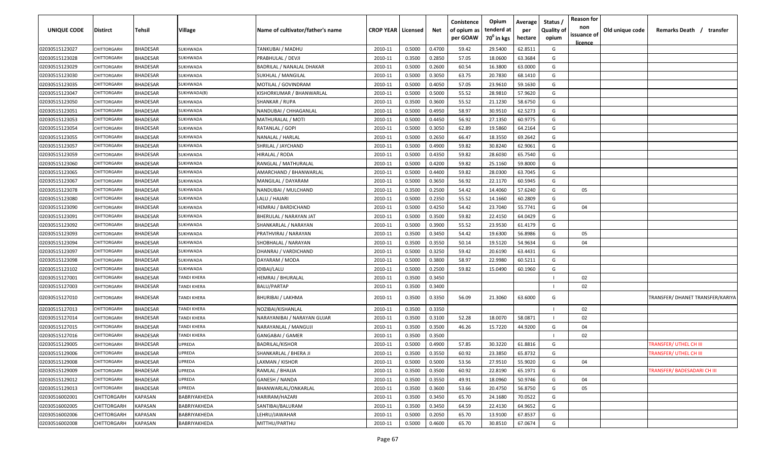| UNIQUE CODE    | <b>Distirct</b>    | Tehsil          | Village             | Name of cultivator/father's name | <b>CROP YEAR   Licensed</b> |        | Net    | Conistence<br>of opium as<br>per GOAW | Opium<br>tenderd at<br>70 <sup>0</sup> in kgs | Average<br>per<br>hectare | Status /<br><b>Quality of</b><br>opium | <b>Reason for</b><br>non<br>issuance of<br><u>licence</u> | Old unique code | Remarks Death / transfer         |
|----------------|--------------------|-----------------|---------------------|----------------------------------|-----------------------------|--------|--------|---------------------------------------|-----------------------------------------------|---------------------------|----------------------------------------|-----------------------------------------------------------|-----------------|----------------------------------|
| 02030515123027 | CHITTORGARH        | <b>BHADESAR</b> | SUKHWADA            | TANKUBAI / MADHU                 | 2010-11                     | 0.5000 | 0.4700 | 59.42                                 | 29.5400                                       | 62.8511                   | G                                      |                                                           |                 |                                  |
| 02030515123028 | CHITTORGARH        | <b>BHADESAR</b> | SUKHWADA            | PRABHULAL / DEVJI                | 2010-11                     | 0.3500 | 0.2850 | 57.05                                 | 18.0600                                       | 63.3684                   | G                                      |                                                           |                 |                                  |
| 02030515123029 | <b>CHITTORGARH</b> | <b>BHADESAR</b> | SUKHWADA            | BADRILAL / NANALAL DHAKAR        | 2010-11                     | 0.5000 | 0.2600 | 60.54                                 | 16.3800                                       | 63.0000                   | G                                      |                                                           |                 |                                  |
| 02030515123030 | CHITTORGARH        | <b>BHADESAR</b> | SUKHWADA            | SUKHLAL / MANGILAL               | 2010-11                     | 0.5000 | 0.3050 | 63.75                                 | 20.7830                                       | 68.1410                   | G                                      |                                                           |                 |                                  |
| 02030515123035 | CHITTORGARH        | <b>BHADESAR</b> | SUKHWADA            | MOTILAL / GOVINDRAM              | 2010-11                     | 0.5000 | 0.4050 | 57.05                                 | 23.9610                                       | 59.1630                   | G                                      |                                                           |                 |                                  |
| 02030515123047 | CHITTORGARH        | <b>BHADESAR</b> | SUKHWADA(B)         | KISHORKUMAR / BHANWARLAL         | 2010-11                     | 0.5000 | 0.5000 | 55.52                                 | 28.9810                                       | 57.9620                   | G                                      |                                                           |                 |                                  |
| 02030515123050 | <b>CHITTORGARI</b> | <b>BHADESAR</b> | SUKHWADA            | SHANKAR / RUPA                   | 2010-11                     | 0.3500 | 0.3600 | 55.52                                 | 21.1230                                       | 58.6750                   | G                                      |                                                           |                 |                                  |
| 02030515123051 | CHITTORGARI        | <b>BHADESAR</b> | SUKHWADA            | NANDUBAI / CHHAGANLAL            | 2010-11                     | 0.5000 | 0.4950 | 58.97                                 | 30.9510                                       | 62.5273                   | G                                      |                                                           |                 |                                  |
| 02030515123053 | CHITTORGARH        | <b>BHADESAR</b> | SUKHWADA            | MATHURALAL / MOTI                | 2010-11                     | 0.5000 | 0.4450 | 56.92                                 | 27.1350                                       | 60.9775                   | G                                      |                                                           |                 |                                  |
| 02030515123054 | CHITTORGARH        | BHADESAR        | SUKHWADA            | RATANLAL / GOPI                  | 2010-11                     | 0.5000 | 0.3050 | 62.89                                 | 19.5860                                       | 64.2164                   | G                                      |                                                           |                 |                                  |
| 02030515123055 | CHITTORGARH        | BHADESAR        | SUKHWADA            | NANALAL / HARLAL                 | 2010-11                     | 0.5000 | 0.2650 | 66.47                                 | 18.3550                                       | 69.2642                   | G                                      |                                                           |                 |                                  |
| 02030515123057 | CHITTORGARF        | BHADESAR        | SUKHWADA            | SHRILAL / JAYCHAND               | 2010-11                     | 0.5000 | 0.4900 | 59.82                                 | 30.8240                                       | 62.9061                   | G                                      |                                                           |                 |                                  |
| 02030515123059 | CHITTORGARH        | <b>BHADESAR</b> | SUKHWADA            | HIRALAL / RODA                   | 2010-11                     | 0.5000 | 0.4350 | 59.82                                 | 28.6030                                       | 65.7540                   | G                                      |                                                           |                 |                                  |
| 02030515123060 | CHITTORGARH        | <b>BHADESAR</b> | SUKHWADA            | RANGLAL / MATHURALAL             | 2010-11                     | 0.5000 | 0.4200 | 59.82                                 | 25.1160                                       | 59.8000                   | G                                      |                                                           |                 |                                  |
| 02030515123065 | CHITTORGARH        | <b>BHADESAR</b> | SUKHWADA            | AMARCHAND / BHANWARLAL           | 2010-11                     | 0.5000 | 0.4400 | 59.82                                 | 28.0300                                       | 63.7045                   | G                                      |                                                           |                 |                                  |
| 02030515123067 | CHITTORGARH        | <b>BHADESAR</b> | SUKHWADA            | MANGILAL / DAYARAM               | 2010-11                     | 0.5000 | 0.3650 | 56.92                                 | 22.1170                                       | 60.5945                   | G                                      |                                                           |                 |                                  |
| 02030515123078 | CHITTORGARH        | <b>BHADESAR</b> | SUKHWADA            | NANDUBAI / MULCHAND              | 2010-11                     | 0.3500 | 0.2500 | 54.42                                 | 14.4060                                       | 57.6240                   | G                                      | 05                                                        |                 |                                  |
| 02030515123080 | CHITTORGARH        | <b>BHADESAR</b> | SUKHWADA            | LALU / HAJARI                    | 2010-11                     | 0.5000 | 0.2350 | 55.52                                 | 14.1660                                       | 60.2809                   | G                                      |                                                           |                 |                                  |
| 02030515123090 | CHITTORGARH        | <b>BHADESAR</b> | SUKHWADA            | HEMRAJ / BARDICHAND              | 2010-11                     | 0.5000 | 0.4250 | 54.42                                 | 23.7040                                       | 55.7741                   | G                                      | 04                                                        |                 |                                  |
| 02030515123091 | CHITTORGARH        | <b>BHADESAR</b> | SUKHWADA            | BHERULAL / NARAYAN JAT           | 2010-11                     | 0.5000 | 0.3500 | 59.82                                 | 22.4150                                       | 64.0429                   | G                                      |                                                           |                 |                                  |
| 02030515123092 | CHITTORGARH        | <b>BHADESAR</b> | SUKHWADA            | SHANKARLAL / NARAYAN             | 2010-11                     | 0.5000 | 0.3900 | 55.52                                 | 23.9530                                       | 61.4179                   | G                                      |                                                           |                 |                                  |
| 02030515123093 | CHITTORGARH        | <b>BHADESAR</b> | SUKHWADA            | PRATHVIRAJ / NARAYAN             | 2010-11                     | 0.3500 | 0.3450 | 54.42                                 | 19.6300                                       | 56.8986                   | G                                      | 05                                                        |                 |                                  |
| 02030515123094 | CHITTORGARH        | <b>BHADESAR</b> | SUKHWADA            | SHOBHALAL / NARAYAN              | 2010-11                     | 0.3500 | 0.3550 | 50.14                                 | 19.5120                                       | 54.9634                   | G                                      | 04                                                        |                 |                                  |
| 02030515123097 | CHITTORGARH        | <b>BHADESAR</b> | SUKHWADA            | DHANRAJ / VARDICHAND             | 2010-11                     | 0.5000 | 0.3250 | 59.42                                 | 20.6190                                       | 63.4431                   | G                                      |                                                           |                 |                                  |
| 02030515123098 | <b>CHITTORGARI</b> | <b>BHADESAR</b> | SUKHWADA            | DAYARAM / MODA                   | 2010-11                     | 0.5000 | 0.3800 | 58.97                                 | 22.9980                                       | 60.5211                   | G                                      |                                                           |                 |                                  |
| 02030515123102 | CHITTORGARH        | <b>BHADESAR</b> | SUKHWADA            | IDIBAI/LALU                      | 2010-11                     | 0.5000 | 0.2500 | 59.82                                 | 15.0490                                       | 60.1960                   | G                                      |                                                           |                 |                                  |
| 02030515127001 | CHITTORGARH        | <b>BHADESAR</b> | <b>TANDI KHERA</b>  | HEMRAJ / BHURALAL                | 2010-11                     | 0.3500 | 0.3450 |                                       |                                               |                           | $\mathbf{I}$                           | 02                                                        |                 |                                  |
| 02030515127003 | CHITTORGARH        | <b>BHADESAR</b> | TANDI KHERA         | BALU/PARTAP                      | 2010-11                     | 0.3500 | 0.3400 |                                       |                                               |                           | $\blacksquare$                         | 02                                                        |                 |                                  |
| 02030515127010 | CHITTORGARH        | <b>BHADESAR</b> | <b>TANDI KHERA</b>  | <b>BHURIBAI / LAKHMA</b>         | 2010-11                     | 0.3500 | 0.3350 | 56.09                                 | 21.3060                                       | 63.6000                   | G                                      |                                                           |                 | TRANSFER/ DHANET TRANSFER/KARIYA |
| 02030515127013 | CHITTORGARH        | <b>BHADESAR</b> | TANDI KHERA         | NOZIBAI/KISHANLAL                | 2010-11                     | 0.3500 | 0.3350 |                                       |                                               |                           | $\mathbf{I}$                           | 02                                                        |                 |                                  |
| 02030515127014 | CHITTORGARH        | <b>BHADESAR</b> | <b>TANDI KHERA</b>  | NARAYANIBAI / NARAYAN GUJAR      | 2010-11                     | 0.3500 | 0.3100 | 52.28                                 | 18.0070                                       | 58.0871                   | $\mathbf{I}$                           | 02                                                        |                 |                                  |
| 02030515127015 | CHITTORGARF        | <b>BHADESAR</b> | TANDI KHERA         | NARAYANLAL / MANGUJI             | 2010-11                     | 0.3500 | 0.3500 | 46.26                                 | 15.7220                                       | 44.9200                   | G                                      | 04                                                        |                 |                                  |
| 02030515127016 | CHITTORGARH        | <b>BHADESAR</b> | <b>TANDI KHERA</b>  | GANGABAI / GAMER                 | 2010-11                     | 0.3500 | 0.3500 |                                       |                                               |                           | $\blacksquare$                         | 02                                                        |                 |                                  |
| 02030515129005 | CHITTORGARH        | <b>BHADESAR</b> | UPREDA              | BADRILAL/KISHOR                  | 2010-11                     | 0.5000 | 0.4900 | 57.85                                 | 30.3220                                       | 61.8816                   | G                                      |                                                           |                 | TRANSFER/ UTHEL CH III           |
| 02030515129006 | CHITTORGARH        | <b>BHADESAR</b> | <b>UPREDA</b>       | SHANKARLAL / BHERA JI            | 2010-11                     | 0.3500 | 0.3550 | 60.92                                 | 23.3850                                       | 65.8732                   | G                                      |                                                           |                 | <b>TRANSFER/ UTHEL CH III</b>    |
| 02030515129008 | CHITTORGARH        | <b>BHADESAR</b> | UPREDA              | LAXMAN / KISHOR                  | 2010-11                     | 0.5000 | 0.5000 | 53.56                                 | 27.9510                                       | 55.9020                   | G                                      | 04                                                        |                 |                                  |
| 02030515129009 | CHITTORGARH        | <b>BHADESAR</b> | UPREDA              | RAMLAL / BHAJJA                  | 2010-11                     | 0.3500 | 0.3500 | 60.92                                 | 22.8190                                       | 65.1971                   | G                                      |                                                           |                 | TRANSFER/ BADESADARI CH III      |
| 02030515129012 | CHITTORGARH        | <b>BHADESAR</b> | UPREDA              | GANESH / NANDA                   | 2010-11                     | 0.3500 | 0.3550 | 49.91                                 | 18.0960                                       | 50.9746                   | G                                      | 04                                                        |                 |                                  |
| 02030515129013 | CHITTORGARH        | <b>BHADESAR</b> | UPREDA              | BHANWARLAL/ONKARLAL              | 2010-11                     | 0.3500 | 0.3600 | 53.66                                 | 20.4750                                       | 56.8750                   | G                                      | 05                                                        |                 |                                  |
| 02030516002001 | <b>CHITTORGARH</b> | <b>KAPASAN</b>  | BABRIYAKHEDA        | HARIRAM/HAZARI                   | 2010-11                     | 0.3500 | 0.3450 | 65.70                                 | 24.1680                                       | 70.0522                   | G                                      |                                                           |                 |                                  |
| 02030516002005 | <b>CHITTORGARH</b> | <b>KAPASAN</b>  | <b>BABRIYAKHEDA</b> | SANTIBAI/BALURAM                 | 2010-11                     | 0.3500 | 0.3450 | 64.59                                 | 22.4130                                       | 64.9652                   | G                                      |                                                           |                 |                                  |
| 02030516002006 | <b>CHITTORGARH</b> | <b>KAPASAN</b>  | BABRIYAKHEDA        | LEHRU/JAWAHAR                    | 2010-11                     | 0.5000 | 0.2050 | 65.70                                 | 13.9100                                       | 67.8537                   | G                                      |                                                           |                 |                                  |
| 02030516002008 | <b>CHITTORGARH</b> | <b>KAPASAN</b>  | BABRIYAKHEDA        | MITTHU/PARTHU                    | 2010-11                     | 0.5000 | 0.4600 | 65.70                                 | 30.8510                                       | 67.0674                   | G                                      |                                                           |                 |                                  |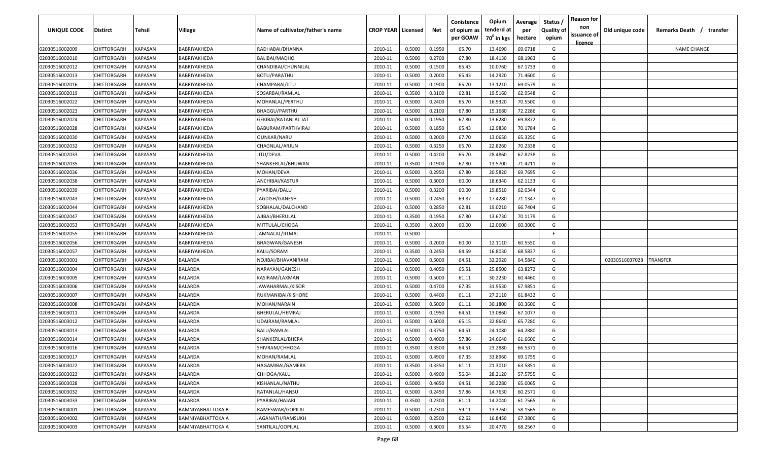| <b>UNIQUE CODE</b> | Distirct                          | Tehsil         | Village           | Name of cultivator/father's name | <b>CROP YEAR   Licensed</b> |        | Net    | Conistence<br>of opium as | Opium<br>tenderd at    | Average<br>per | Status /<br><b>Quality of</b> | <b>Reason for</b><br>non<br>issuance of | Old unique code | Remarks Death / transfer |
|--------------------|-----------------------------------|----------------|-------------------|----------------------------------|-----------------------------|--------|--------|---------------------------|------------------------|----------------|-------------------------------|-----------------------------------------|-----------------|--------------------------|
|                    |                                   |                |                   |                                  |                             |        |        | per GOAW                  | 70 <sup>0</sup> in kgs | hectare        | opium                         | <u>licence</u>                          |                 |                          |
| 02030516002009     | CHITTORGARH                       | <b>KAPASAN</b> | BABRIYAKHEDA      | RADHABAI/DHANNA                  | 2010-11                     | 0.5000 | 0.1950 | 65.70                     | 13.4690                | 69.0718        | G                             |                                         |                 | <b>NAME CHANGE</b>       |
| 02030516002010     | CHITTORGARH                       | KAPASAN        | BABRIYAKHEDA      | <b>BALIBAI/MADHO</b>             | 2010-11                     | 0.5000 | 0.2700 | 67.80                     | 18.4130                | 68.1963        | G                             |                                         |                 |                          |
| 02030516002012     | CHITTORGARH                       | KAPASAN        | BABRIYAKHEDA      | CHANDIBAI/CHUNNILAL              | 2010-11                     | 0.5000 | 0.1500 | 65.43                     | 10.0760                | 67.1733        | G                             |                                         |                 |                          |
| 02030516002013     | CHITTORGARH                       | KAPASAN        | BABRIYAKHEDA      | <b>BOTU/PARATHU</b>              | 2010-11                     | 0.5000 | 0.2000 | 65.43                     | 14.2920                | 71.4600        | G                             |                                         |                 |                          |
| 02030516002016     | CHITTORGARH                       | KAPASAN        | BABRIYAKHEDA      | CHAMPABAI/JITU                   | 2010-11                     | 0.5000 | 0.1900 | 65.70                     | 13.1210                | 69.0579        | G                             |                                         |                 |                          |
| 02030516002019     | CHITTORGARH                       | KAPASAN        | BABRIYAKHEDA      | SOSARBAI/RAMLAL                  | 2010-11                     | 0.3500 | 0.3100 | 62.81                     | 19.5160                | 62.9548        | G                             |                                         |                 |                          |
| 02030516002022     | CHITTORGARH                       | KAPASAN        | BABRIYAKHEDA      | MOHANLAL/PERTHU                  | 2010-11                     | 0.5000 | 0.2400 | 65.70                     | 16.9320                | 70.5500        | G                             |                                         |                 |                          |
| 02030516002023     | CHITTORGARH                       | KAPASAN        | BABRIYAKHEDA      | BHAGGU/PARTHU                    | 2010-11                     | 0.5000 | 0.2100 | 67.80                     | 15.1680                | 72.2286        | G                             |                                         |                 |                          |
| 02030516002024     | CHITTORGARH                       | KAPASAN        | BABRIYAKHEDA      | GEKIBAI/RATANLAL JAT             | 2010-11                     | 0.5000 | 0.1950 | 67.80                     | 13.6280                | 69.8872        | G                             |                                         |                 |                          |
| 02030516002028     | CHITTORGARH                       | KAPASAN        | BABRIYAKHEDA      | BABURAM/PARTHVIRAJ               | 2010-11                     | 0.5000 | 0.1850 | 65.43                     | 12.9830                | 70.1784        | G                             |                                         |                 |                          |
| 02030516002030     | CHITTORGARH                       | KAPASAN        | BABRIYAKHEDA      | OUNKAR/NARU                      | 2010-11                     | 0.5000 | 0.2000 | 67.70                     | 13.0650                | 65.3250        | G                             |                                         |                 |                          |
| 02030516002032     | CHITTORGARH                       | KAPASAN        | BABRIYAKHEDA      | CHAGNLAL/ARJUN                   | 2010-11                     | 0.5000 | 0.3250 | 65.70                     | 22.8260                | 70.2338        | G                             |                                         |                 |                          |
| 02030516002033     | CHITTORGARH                       | KAPASAN        | BABRIYAKHEDA      | JITU/DEVA                        | 2010-11                     | 0.5000 | 0.4200 | 65.70                     | 28.4860                | 67.8238        | G                             |                                         |                 |                          |
| 02030516002035     | CHITTORGARH                       | KAPASAN        | BABRIYAKHEDA      | SHANKERLAL/BHUWAN                | 2010-11                     | 0.3500 | 0.1900 | 67.80                     | 13.5700                | 71.4211        | G                             |                                         |                 |                          |
| 02030516002036     | CHITTORGARH                       | KAPASAN        | BABRIYAKHEDA      | MOHAN/DEVA                       | 2010-11                     | 0.5000 | 0.2950 | 67.80                     | 20.5820                | 69.7695        | G                             |                                         |                 |                          |
| 02030516002038     | CHITTORGARH                       | KAPASAN        | BABRIYAKHEDA      | ANCHIBAI/KASTUR                  | 2010-11                     | 0.5000 | 0.3000 | 60.00                     | 18.6340                | 62.1133        | G                             |                                         |                 |                          |
| 02030516002039     | CHITTORGARH                       | KAPASAN        | BABRIYAKHEDA      | PYARIBAI/DALU                    | 2010-11                     | 0.5000 | 0.3200 | 60.00                     | 19.8510                | 62.0344        | G                             |                                         |                 |                          |
| 02030516002043     | CHITTORGARH                       | KAPASAN        | BABRIYAKHEDA      | JAGDISH/GANESH                   | 2010-11                     | 0.5000 | 0.2450 | 69.87                     | 17.4280                | 71.1347        | G                             |                                         |                 |                          |
| 02030516002044     | CHITTORGARH                       | KAPASAN        | BABRIYAKHEDA      | SOBHALAL/DALCHAND                | 2010-11                     | 0.5000 | 0.2850 | 62.81                     | 19.0210                | 66.7404        | G                             |                                         |                 |                          |
| 02030516002047     | CHITTORGARH                       | KAPASAN        | BABRIYAKHEDA      | AJIBAI/BHERULAL                  | 2010-11                     | 0.3500 | 0.1950 | 67.80                     | 13.6730                | 70.1179        | G                             |                                         |                 |                          |
| 02030516002053     | CHITTORGARH                       | KAPASAN        | BABRIYAKHEDA      | MITTULAL/CHOGA                   | 2010-11                     | 0.3500 | 0.2000 | 60.00                     | 12.0600                | 60.3000        | G                             |                                         |                 |                          |
| 02030516002055     | CHITTORGARH                       | KAPASAN        | BABRIYAKHEDA      | JAMNALAL/JITMAL                  | 2010-11                     | 0.5000 |        |                           |                        |                | -F.                           |                                         |                 |                          |
| 02030516002056     | CHITTORGARH                       | KAPASAN        | BABRIYAKHEDA      | BHAGWAN/GANESH                   | 2010-11                     | 0.5000 | 0.2000 | 60.00                     | 12.1110                | 60.5550        | G                             |                                         |                 |                          |
| 02030516002057     | CHITTORGARH                       | KAPASAN        | BABRIYAKHEDA      | KALU/SORAM                       | 2010-11                     | 0.3500 | 0.2450 | 64.59                     | 16.8030                | 68.5837        | G                             |                                         |                 |                          |
| 02030516003001     | CHITTORGARH                       | KAPASAN        | BALARDA           | NOJIBAI/BHAVANIRAM               | 2010-11                     | 0.5000 | 0.5000 | 64.51                     | 32.2920                | 64.5840        | G                             |                                         | 02030516037028  | TRANSFER                 |
| 02030516003004     | CHITTORGARH                       | KAPASAN        | BALARDA           | NARAYAN/GANESH                   | 2010-11                     | 0.5000 | 0.4050 | 65.51                     | 25.8500                | 63.8272        | G                             |                                         |                 |                          |
| 02030516003005     | CHITTORGARH                       | KAPASAN        | BALARDA           | KASIRAM/LAXMAN                   | 2010-11                     | 0.5000 | 0.5000 | 61.11                     | 30.2230                | 60.4460        | G                             |                                         |                 |                          |
| 02030516003006     | CHITTORGARH                       | KAPASAN        | BALARDA           | IAWAHARMAL/KISOR                 | 2010-11                     | 0.5000 | 0.4700 | 67.35                     | 31.9530                | 67.9851        | G                             |                                         |                 |                          |
| 02030516003007     | CHITTORGARH                       | KAPASAN        | BALARDA           | RUKMANIBAI/KISHORE               | 2010-11                     | 0.5000 | 0.4400 | 61.11                     | 27.2110                | 61.8432        | G                             |                                         |                 |                          |
| 02030516003008     | CHITTORGARH                       | KAPASAN        | BALARDA           | MOHAN/NARAIN                     | 2010-11                     | 0.5000 | 0.5000 | 61.11                     | 30.1800                | 60.3600        | G                             |                                         |                 |                          |
| 02030516003011     | CHITTORGARH                       | KAPASAN        | BALARDA           | BHERULAL/HEMRAJ                  | 2010-11                     | 0.5000 | 0.1950 | 64.51                     | 13.0860                | 67.1077        | G                             |                                         |                 |                          |
| 02030516003012     | CHITTORGARH                       | KAPASAN        | BALARDA           | UDAIRAM/RAMLAL                   | 2010-11                     | 0.5000 | 0.5000 | 65.15                     | 32.8640                | 65.7280        | G                             |                                         |                 |                          |
| 02030516003013     | CHITTORGARH                       | KAPASAN        | <b>BALARDA</b>    | <b>BALU/RAMLAL</b>               | 2010-11                     | 0.5000 | 0.3750 | 64.51                     | 24.1080                | 64.2880        | G                             |                                         |                 |                          |
| 02030516003014     | CHITTORGARH                       | KAPASAN        | BALARDA           | SHANKERLAL/BHERA                 | 2010-11                     | 0.5000 | 0.4000 | 57.86                     | 24.6640                | 61.6600        | G                             |                                         |                 |                          |
| 02030516003016     | CHITTORGARH                       | KAPASAN        | BALARDA           | SHIVRAM/CHHOGA                   | 2010-11                     | 0.3500 | 0.3500 | 64.51                     | 23.2880                | 66.5371        | G                             |                                         |                 |                          |
| 02030516003017     | <b>CHITTORGARH</b>                | KAPASAN        | BALARDA           | MOHAN/RAMLAL                     | 2010-11                     | 0.5000 | 0.4900 | 67.35                     | 33.8960                | 69.1755        | G                             |                                         |                 |                          |
|                    |                                   | <b>KAPASAN</b> | <b>BALARDA</b>    | HAGAMIBAI/GAMERA                 |                             | 0.3500 | 0.3350 |                           |                        | 63.5851        | G                             |                                         |                 |                          |
| 02030516003022     | CHITTORGARH<br><b>CHITTORGARH</b> | <b>KAPASAN</b> |                   |                                  | 2010-11                     |        |        | 61.11                     | 21.3010<br>28.2120     |                | G                             |                                         |                 |                          |
| 02030516003023     |                                   |                | BALARDA           | CHHOGA/KALU                      | 2010-11                     | 0.5000 | 0.4900 | 56.04                     |                        | 57.5755        |                               |                                         |                 |                          |
| 02030516003028     | <b>CHITTORGARH</b>                | KAPASAN        | BALARDA           | KISHANLAL/NATHU                  | 2010-11                     | 0.5000 | 0.4650 | 64.51                     | 30.2280                | 65.0065        | G                             |                                         |                 |                          |
| 02030516003032     | CHITTORGARH                       | KAPASAN        | BALARDA           | RATANLAL/HANSU                   | 2010-11                     | 0.5000 | 0.2450 | 57.86                     | 14.7630                | 60.2571        | G                             |                                         |                 |                          |
| 02030516003033     | CHITTORGARH                       | KAPASAN        | BALARDA           | PYARIBAI/HAJARI                  | 2010-11                     | 0.3500 | 0.2300 | 61.11                     | 14.2040                | 61.7565        | G                             |                                         |                 |                          |
| 02030516004001     | CHITTORGARH                       | KAPASAN        | BAMNIYABHATTOKA B | RAMESWAR/GOPILAL                 | 2010-11                     | 0.5000 | 0.2300 | 59.11                     | 13.3760                | 58.1565        | G                             |                                         |                 |                          |
| 02030516004002     | CHITTORGARH                       | KAPASAN        | BAMNIYABHATTOKA A | JAGANATH/RAMSUKH                 | 2010-11                     | 0.5000 | 0.2500 | 62.62                     | 16.8450                | 67.3800        | G                             |                                         |                 |                          |
| 02030516004003     | CHITTORGARH                       | KAPASAN        | BAMNIYABHATTOKA A | SANTILAL/GOPILAL                 | 2010-11                     | 0.5000 | 0.3000 | 65.54                     | 20.4770                | 68.2567        | G                             |                                         |                 |                          |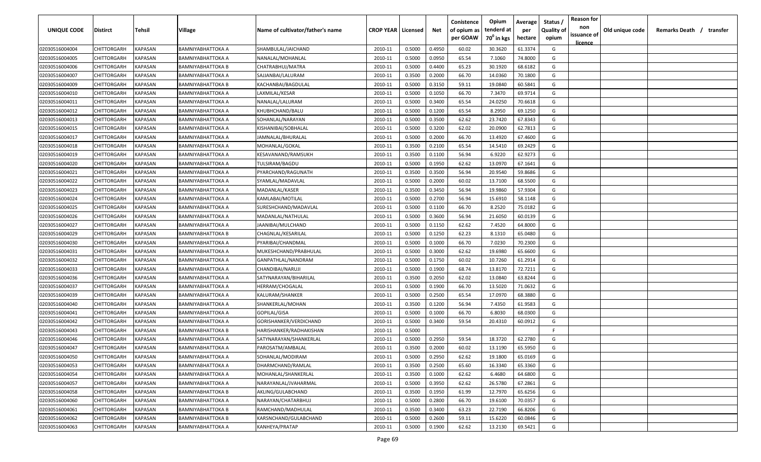| <b>UNIQUE CODE</b> | <b>Distirct</b>    | <b>Tehsil</b>  | Village                  | Name of cultivator/father's name | <b>CROP YEAR   Licensed</b> |        | Net    | Conistence<br>of opium as<br>per GOAW | Opium<br>tenderd at<br>70 <sup>0</sup> in kgs | Average<br>per<br>hectare | Status /<br><b>Quality of</b><br>opium | <b>Reason for</b><br>non<br>issuance of | Old unique code | Remarks Death / | transfer |
|--------------------|--------------------|----------------|--------------------------|----------------------------------|-----------------------------|--------|--------|---------------------------------------|-----------------------------------------------|---------------------------|----------------------------------------|-----------------------------------------|-----------------|-----------------|----------|
| 02030516004004     | CHITTORGARH        | <b>KAPASAN</b> | BAMNIYABHATTOKA A        | SHAMBULAL/JAICHAND               | 2010-11                     | 0.5000 | 0.4950 | 60.02                                 | 30.3620                                       | 61.3374                   | G                                      | <u>licence</u>                          |                 |                 |          |
| 02030516004005     | CHITTORGARH        | KAPASAN        | BAMNIYABHATTOKA A        | NANALAL/MOHANLAL                 | 2010-11                     | 0.5000 | 0.0950 | 65.54                                 | 7.1060                                        | 74.8000                   | G                                      |                                         |                 |                 |          |
| 02030516004006     | CHITTORGARH        | KAPASAN        | BAMNIYABHATTOKA B        | CHATRABHUJ/MATRA                 | 2010-11                     | 0.5000 | 0.4400 | 65.23                                 | 30.1920                                       | 68.6182                   | G                                      |                                         |                 |                 |          |
| 02030516004007     | CHITTORGARH        | KAPASAN        | BAMNIYABHATTOKA A        | SAJJANBAI/LALURAM                | 2010-11                     | 0.3500 | 0.2000 | 66.70                                 | 14.0360                                       | 70.1800                   | G                                      |                                         |                 |                 |          |
| 02030516004009     | CHITTORGARH        | KAPASAN        | BAMNIYABHATTOKA B        | KACHANBAI/BAGDULAL               | 2010-11                     | 0.5000 | 0.3150 | 59.11                                 | 19.0840                                       | 60.5841                   | G                                      |                                         |                 |                 |          |
| 02030516004010     | CHITTORGARH        | KAPASAN        | BAMNIYABHATTOKA A        | LAXMILAL/KESAR                   | 2010-11                     | 0.5000 | 0.1050 | 66.70                                 | 7.3470                                        | 69.9714                   | G                                      |                                         |                 |                 |          |
| 02030516004011     | CHITTORGARH        | KAPASAN        | BAMNIYABHATTOKA A        | NANALAL/LALURAM                  | 2010-11                     | 0.5000 | 0.3400 | 65.54                                 | 24.0250                                       | 70.6618                   | G                                      |                                         |                 |                 |          |
| 02030516004012     | CHITTORGARH        | KAPASAN        | BAMNIYABHATTOKA A        | KHUBHCHAND/BALU                  | 2010-11                     | 0.5000 | 0.1200 | 65.54                                 | 8.2950                                        | 69.1250                   | G                                      |                                         |                 |                 |          |
| 02030516004013     | CHITTORGARH        | KAPASAN        | BAMNIYABHATTOKA A        | SOHANLAL/NARAYAN                 | 2010-11                     | 0.5000 | 0.3500 | 62.62                                 | 23.7420                                       | 67.8343                   | G                                      |                                         |                 |                 |          |
| 02030516004015     | CHITTORGARH        | KAPASAN        | BAMNIYABHATTOKA A        | KISHANIBAI/SOBHALAL              | 2010-11                     | 0.5000 | 0.3200 | 62.02                                 | 20.0900                                       | 62.7813                   | G                                      |                                         |                 |                 |          |
| 02030516004017     | CHITTORGARH        | KAPASAN        | BAMNIYABHATTOKA A        | JAMNALAL/BHURALAL                | 2010-11                     | 0.5000 | 0.2000 | 66.70                                 | 13.4920                                       | 67.4600                   | G                                      |                                         |                 |                 |          |
| 02030516004018     | CHITTORGARH        | KAPASAN        | BAMNIYABHATTOKA A        | MOHANLAL/GOKAL                   | 2010-11                     | 0.3500 | 0.2100 | 65.54                                 | 14.5410                                       | 69.2429                   | G                                      |                                         |                 |                 |          |
| 02030516004019     | CHITTORGARH        | KAPASAN        | BAMNIYABHATTOKA A        | KESAVANAND/RAMSUKH               | 2010-11                     | 0.3500 | 0.1100 | 56.94                                 | 6.9220                                        | 62.9273                   | G                                      |                                         |                 |                 |          |
| 02030516004020     | CHITTORGARH        | KAPASAN        | BAMNIYABHATTOKA A        | TULSIRAM/BAGDU                   | 2010-11                     | 0.5000 | 0.1950 | 62.62                                 | 13.0970                                       | 67.1641                   | G                                      |                                         |                 |                 |          |
| 02030516004021     | CHITTORGARH        | KAPASAN        | BAMNIYABHATTOKA A        | PYARCHAND/RAGUNATH               | 2010-11                     | 0.3500 | 0.3500 | 56.94                                 | 20.9540                                       | 59.8686                   | G                                      |                                         |                 |                 |          |
| 02030516004022     | CHITTORGARH        | KAPASAN        | BAMNIYABHATTOKA A        | SYAMLAL/MADAVLAL                 | 2010-11                     | 0.5000 | 0.2000 | 60.02                                 | 13.7100                                       | 68.5500                   | G                                      |                                         |                 |                 |          |
| 02030516004023     | CHITTORGARH        | KAPASAN        | BAMNIYABHATTOKA A        | MADANLAL/KASER                   | 2010-11                     | 0.3500 | 0.3450 | 56.94                                 | 19.9860                                       | 57.9304                   | G                                      |                                         |                 |                 |          |
| 02030516004024     | CHITTORGARH        | KAPASAN        | BAMNIYABHATTOKA A        | KAMLABAI/MOTILAL                 | 2010-11                     | 0.5000 | 0.2700 | 56.94                                 | 15.6910                                       | 58.1148                   | G                                      |                                         |                 |                 |          |
| 02030516004025     | CHITTORGARH        | KAPASAN        | BAMNIYABHATTOKA A        | SURESHCHAND/MADAVLAL             | 2010-11                     | 0.5000 | 0.1100 | 66.70                                 | 8.2520                                        | 75.0182                   | G                                      |                                         |                 |                 |          |
| 02030516004026     | CHITTORGARH        | KAPASAN        | BAMNIYABHATTOKA A        | MADANLAL/NATHULAL                | 2010-11                     | 0.5000 | 0.3600 | 56.94                                 | 21.6050                                       | 60.0139                   | G                                      |                                         |                 |                 |          |
| 02030516004027     | CHITTORGARH        | KAPASAN        | BAMNIYABHATTOKA A        | JAANIBAI/MULCHAND                | 2010-11                     | 0.5000 | 0.1150 | 62.62                                 | 7.4520                                        | 64.8000                   | G                                      |                                         |                 |                 |          |
| 02030516004029     | CHITTORGARH        | KAPASAN        | BAMNIYABHATTOKA B        | CHAGNLAL/KESARILAL               | 2010-11                     | 0.5000 | 0.1250 | 62.23                                 | 8.1310                                        | 65.0480                   | G                                      |                                         |                 |                 |          |
| 02030516004030     | CHITTORGARH        | KAPASAN        | BAMNIYABHATTOKA A        | PYARIBAI/CHANDMAL                | 2010-11                     | 0.5000 | 0.1000 | 66.70                                 | 7.0230                                        | 70.2300                   | G                                      |                                         |                 |                 |          |
| 02030516004031     | CHITTORGARH        | KAPASAN        | BAMNIYABHATTOKA A        | MUKESHCHAND/PRABHULAL            | 2010-11                     | 0.5000 | 0.3000 | 62.62                                 | 19.6980                                       | 65.6600                   | G                                      |                                         |                 |                 |          |
| 02030516004032     | CHITTORGARH        | KAPASAN        | BAMNIYABHATTOKA A        | GANPATHLAL/NANDRAM               | 2010-11                     | 0.5000 | 0.1750 | 60.02                                 | 10.7260                                       | 61.2914                   | G                                      |                                         |                 |                 |          |
| 02030516004033     | CHITTORGARH        | KAPASAN        | BAMNIYABHATTOKA A        | CHANDIBAI/NARUJI                 | 2010-11                     | 0.5000 | 0.1900 | 68.74                                 | 13.8170                                       | 72.7211                   | G                                      |                                         |                 |                 |          |
| 02030516004036     | CHITTORGARH        | KAPASAN        | BAMNIYABHATTOKA A        | SATYNARAYAN/BIHARILAL            | 2010-11                     | 0.3500 | 0.2050 | 62.02                                 | 13.0840                                       | 63.8244                   | G                                      |                                         |                 |                 |          |
| 02030516004037     | CHITTORGARH        | KAPASAN        | BAMNIYABHATTOKA A        | HERRAM/CHOGALAL                  | 2010-11                     | 0.5000 | 0.1900 | 66.70                                 | 13.5020                                       | 71.0632                   | G                                      |                                         |                 |                 |          |
| 02030516004039     | CHITTORGARH        | KAPASAN        | BAMNIYABHATTOKA A        | KALURAM/SHANKER                  | 2010-11                     | 0.5000 | 0.2500 | 65.54                                 | 17.0970                                       | 68.3880                   | G                                      |                                         |                 |                 |          |
| 02030516004040     | CHITTORGARH        | KAPASAN        | BAMNIYABHATTOKA A        | SHANKERLAL/MOHAN                 | 2010-11                     | 0.3500 | 0.1200 | 56.94                                 | 7.4350                                        | 61.9583                   | G                                      |                                         |                 |                 |          |
| 02030516004041     | CHITTORGARH        | KAPASAN        | BAMNIYABHATTOKA A        | GOPILAL/GISA                     | 2010-11                     | 0.5000 | 0.1000 | 66.70                                 | 6.8030                                        | 68.0300                   | G                                      |                                         |                 |                 |          |
| 02030516004042     | CHITTORGARH        | KAPASAN        | BAMNIYABHATTOKA A        | GORISHANKER/VERDICHAND           | 2010-11                     | 0.5000 | 0.3400 | 59.54                                 | 20.4310                                       | 60.0912                   | G                                      |                                         |                 |                 |          |
| 02030516004043     | CHITTORGARH        | KAPASAN        | BAMNIYABHATTOKA B        | HARISHANKER/RADHAKISHAN          | 2010-11                     | 0.5000 |        |                                       |                                               |                           | -F.                                    |                                         |                 |                 |          |
| 02030516004046     | CHITTORGARH        | KAPASAN        | BAMNIYABHATTOKA A        | SATYNARAYAN/SHANKERLAL           | 2010-11                     | 0.5000 | 0.2950 | 59.54                                 | 18.3720                                       | 62.2780                   | G                                      |                                         |                 |                 |          |
| 02030516004047     | <b>CHITTORGARH</b> | KAPASAN        | BAMNIYABHATTOKA A        | PAROSATM/AMBALAL                 | 2010-11                     | 0.3500 | 0.2000 | 60.02                                 | 13.1190                                       | 65.5950                   | G                                      |                                         |                 |                 |          |
| 02030516004050     | <b>CHITTORGARH</b> | <b>KAPASAN</b> | BAMNIYABHATTOKA A        | SOHANLAL/MODIRAM                 | 2010-11                     | 0.5000 | 0.2950 | 62.62                                 | 19.1800                                       | 65.0169                   | G                                      |                                         |                 |                 |          |
| 02030516004053     | <b>CHITTORGARH</b> | KAPASAN        | <b>BAMNIYABHATTOKA A</b> | DHARMCHAND/RAMLAL                | 2010-11                     | 0.3500 | 0.2500 | 65.60                                 | 16.3340                                       | 65.3360                   | G                                      |                                         |                 |                 |          |
| 02030516004054     | <b>CHITTORGARH</b> | KAPASAN        | BAMNIYABHATTOKA A        | MOHANLAL/SHANKERLAL              | 2010-11                     | 0.3500 | 0.1000 | 62.62                                 | 6.4680                                        | 64.6800                   | G                                      |                                         |                 |                 |          |
| 02030516004057     | CHITTORGARH        | KAPASAN        | BAMNIYABHATTOKA A        | NARAYANLAL/JVAHARMAL             | 2010-11                     | 0.5000 | 0.3950 | 62.62                                 | 26.5780                                       | 67.2861                   | G                                      |                                         |                 |                 |          |
| 02030516004058     | CHITTORGARH        | KAPASAN        | BAMNIYABHATTOKA B        | AKLING/GULABCHAND                | 2010-11                     | 0.3500 | 0.1950 | 61.99                                 | 12.7970                                       | 65.6256                   | G                                      |                                         |                 |                 |          |
| 02030516004060     | CHITTORGARH        | KAPASAN        | BAMNIYABHATTOKA A        | NARAYAN/CHATARBHUJ               | 2010-11                     | 0.5000 | 0.2800 | 66.70                                 | 19.6100                                       | 70.0357                   | G                                      |                                         |                 |                 |          |
| 02030516004061     | <b>CHITTORGARH</b> | KAPASAN        | BAMNIYABHATTOKA B        | RAMCHAND/MADHULAL                | 2010-11                     | 0.3500 | 0.3400 | 63.23                                 | 22.7190                                       | 66.8206                   | G                                      |                                         |                 |                 |          |
| 02030516004062     | CHITTORGARH        | KAPASAN        | BAMNIYABHATTOKA B        | KARSNCHAND/GULABCHAND            | 2010-11                     | 0.5000 | 0.2600 | 59.11                                 | 15.6220                                       | 60.0846                   | G                                      |                                         |                 |                 |          |
| 02030516004063     | CHITTORGARH        | <b>KAPASAN</b> | BAMNIYABHATTOKA A        | KANHEYA/PRATAP                   | 2010-11                     | 0.5000 | 0.1900 | 62.62                                 | 13.2130                                       | 69.5421                   | G                                      |                                         |                 |                 |          |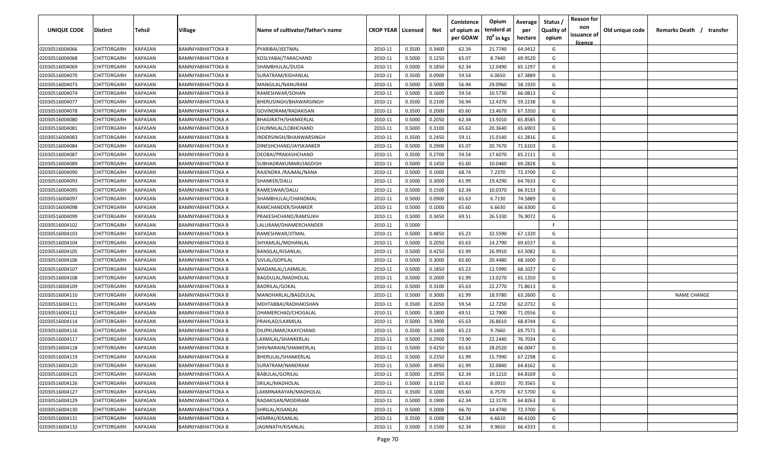| <b>UNIQUE CODE</b> | <b>Distirct</b>    | <b>Tehsil</b>  | Village                  | Name of cultivator/father's name | <b>CROP YEAR   Licensed</b> |        | Net    | Conistence<br>of opium as<br>per GOAW | Opium<br>tenderd at<br>70 <sup>0</sup> in kgs | Average<br>per<br>hectare | Status /<br><b>Quality of</b><br>opium | <b>Reason for</b><br>non<br>issuance of | Old unique code | Remarks Death /<br>transfer |
|--------------------|--------------------|----------------|--------------------------|----------------------------------|-----------------------------|--------|--------|---------------------------------------|-----------------------------------------------|---------------------------|----------------------------------------|-----------------------------------------|-----------------|-----------------------------|
|                    |                    |                |                          |                                  |                             |        |        |                                       |                                               |                           |                                        | <u>licence</u>                          |                 |                             |
| 02030516004066     | CHITTORGARH        | <b>KAPASAN</b> | <b>BAMNIYABHATTOKA B</b> | PYARIBAI/JEETMAL                 | 2010-11                     | 0.3500 | 0.3400 | 62.34                                 | 21.7740                                       | 64.0412                   | G                                      |                                         |                 |                             |
| 02030516004068     | CHITTORGARH        | KAPASAN        | BAMNIYABHATTOKA B        | KOSLYABAI/TARACHAND              | 2010-11                     | 0.5000 | 0.1250 | 65.07                                 | 8.7440                                        | 69.9520                   | G                                      |                                         |                 |                             |
| 02030516004069     | CHITTORGARH        | KAPASAN        | BAMNIYABHATTOKA B        | SHAMBHULAL/DUDA                  | 2010-11                     | 0.5000 | 0.1850 | 62.34                                 | 12.0490                                       | 65.1297                   | G                                      |                                         |                 |                             |
| 02030516004070     | CHITTORGARH        | KAPASAN        | BAMNIYABHATTOKA B        | SURATRAM/KISHANLAL               | 2010-11                     | 0.3500 | 0.0900 | 59.54                                 | 6.0650                                        | 67.3889                   | G                                      |                                         |                 |                             |
| 02030516004073     | CHITTORGARH        | KAPASAN        | BAMNIYABHATTOKA B        | MANGILAL/NANURAM                 | 2010-11                     | 0.5000 | 0.5000 | 56.94                                 | 29.0960                                       | 58.1920                   | G                                      |                                         |                 |                             |
| 02030516004074     | CHITTORGARH        | KAPASAN        | BAMNIYABHATTOKA B        | RAMESHWAR/SOHAN                  | 2010-11                     | 0.5000 | 0.1600 | 59.54                                 | 10.5730                                       | 66.0813                   | G                                      |                                         |                 |                             |
| 02030516004077     | CHITTORGARH        | KAPASAN        | BAMNIYABHATTOKA B        | BHERUSINGH/BHAWARSINGH           | 2010-11                     | 0.3500 | 0.2100 | 56.94                                 | 12.4370                                       | 59.2238                   | G                                      |                                         |                 |                             |
| 02030516004078     | CHITTORGARH        | KAPASAN        | BAMNIYABHATTOKA A        | GOVINDRAM/RADAKISAN              | 2010-11                     | 0.3500 | 0.2000 | 65.60                                 | 13.4670                                       | 67.3350                   | G                                      |                                         |                 |                             |
| 02030516004080     | CHITTORGARH        | KAPASAN        | BAMNIYABHATTOKA A        | BHAGIRATH/SHANKERLAL             | 2010-11                     | 0.5000 | 0.2050 | 62.34                                 | 13.5010                                       | 65.8585                   | G                                      |                                         |                 |                             |
| 02030516004081     | CHITTORGARH        | KAPASAN        | BAMNIYABHATTOKA B        | CHUNNILAL/LOBHCHAND              | 2010-11                     | 0.5000 | 0.3100 | 65.63                                 | 20.3640                                       | 65.6903                   | G                                      |                                         |                 |                             |
| 02030516004083     | CHITTORGARH        | KAPASAN        | BAMNIYABHATTOKA B        | INDERSINGH/BHANWARSINGH          | 2010-11                     | 0.3500 | 0.2450 | 59.11                                 | 15.0140                                       | 61.2816                   | G                                      |                                         |                 |                             |
| 02030516004084     | CHITTORGARH        | KAPASAN        | BAMNIYABHATTOKA B        | DINESHCHAND/JAYSKANKER           | 2010-11                     | 0.5000 | 0.2900 | 65.07                                 | 20.7670                                       | 71.6103                   | G                                      |                                         |                 |                             |
| 02030516004087     | CHITTORGARH        | KAPASAN        | BAMNIYABHATTOKA B        | DEOBAI/PRAKASHCHAND              | 2010-11                     | 0.3500 | 0.2700 | 59.54                                 | 17.6070                                       | 65.2111                   | G                                      |                                         |                 |                             |
| 02030516004089     | CHITTORGARH        | KAPASAN        | BAMNIYABHATTOKA B        | SUBHADRAKUMARI/JAGDISH           | 2010-11                     | 0.5000 | 0.1450 | 65.60                                 | 10.0460                                       | 69.2828                   | G                                      |                                         |                 |                             |
| 02030516004090     | CHITTORGARH        | KAPASAN        | BAMNIYABHATTOKA A        | RAJENDRA / RAJMAL/NANA           | 2010-11                     | 0.5000 | 0.1000 | 68.74                                 | 7.2370                                        | 72.3700                   | G                                      |                                         |                 |                             |
| 02030516004093     | CHITTORGARH        | KAPASAN        | BAMNIYABHATTOKA B        | SHANKER/DALU                     | 2010-11                     | 0.5000 | 0.3000 | 61.99                                 | 19.4290                                       | 64.7633                   | G                                      |                                         |                 |                             |
| 02030516004095     | CHITTORGARH        | KAPASAN        | BAMNIYABHATTOKA B        | RAMESWAR/DALU                    | 2010-11                     | 0.5000 | 0.1500 | 62.34                                 | 10.0370                                       | 66.9133                   | G                                      |                                         |                 |                             |
| 02030516004097     | CHITTORGARH        | KAPASAN        | <b>BAMNIYABHATTOKA B</b> | SHAMBHULAL/CHANDMAL              | 2010-11                     | 0.5000 | 0.0900 | 65.63                                 | 6.7130                                        | 74.5889                   | G                                      |                                         |                 |                             |
| 02030516004098     | CHITTORGARH        | KAPASAN        | BAMNIYABHATTOKA A        | RAMCHANDER/SHANKER               | 2010-11                     | 0.5000 | 0.1000 | 65.60                                 | 6.6630                                        | 66.6300                   | G                                      |                                         |                 |                             |
| 02030516004099     | CHITTORGARH        | KAPASAN        | BAMNIYABHATTOKA B        | PRAKESHCHAND/RAMSUKH             | 2010-11                     | 0.5000 | 0.3450 | 69.51                                 | 26.5330                                       | 76.9072                   | G                                      |                                         |                 |                             |
| 02030516004102     | CHITTORGARH        | KAPASAN        | BAMNIYABHATTOKA B        | LALURAM/DHAMERCHANDER            | 2010-11                     | 0.5000 |        |                                       |                                               |                           | -F.                                    |                                         |                 |                             |
| 02030516004103     | CHITTORGARH        | KAPASAN        | BAMNIYABHATTOKA B        | RAMESHWAR/JITMAL                 | 2010-11                     | 0.5000 | 0.4850 | 65.23                                 | 32.5590                                       | 67.1320                   | G                                      |                                         |                 |                             |
| 02030516004104     | CHITTORGARH        | KAPASAN        | BAMNIYABHATTOKA B        | SHYAMLAL/MOHANLAL                | 2010-11                     | 0.5000 | 0.2050 | 65.63                                 | 14.2790                                       | 69.6537                   | G                                      |                                         |                 |                             |
| 02030516004105     | CHITTORGARH        | KAPASAN        | BAMNIYABHATTOKA B        | BANSILAL/KISANLAL                | 2010-11                     | 0.5000 | 0.4250 | 61.99                                 | 26.9910                                       | 63.5082                   | G                                      |                                         |                 |                             |
| 02030516004106     | CHITTORGARH        | KAPASAN        | BAMNIYABHATTOKA A        | SIVLAL/GOPILAL                   | 2010-11                     | 0.5000 | 0.3000 | 65.60                                 | 20.4480                                       | 68.1600                   | G                                      |                                         |                 |                             |
| 02030516004107     | CHITTORGARH        | KAPASAN        | BAMNIYABHATTOKA B        | MADANLAL/LAXMILAL                | 2010-11                     | 0.5000 | 0.1850 | 65.23                                 | 12.5990                                       | 68.1027                   | G                                      |                                         |                 |                             |
| 02030516004108     | CHITTORGARH        | KAPASAN        | BAMNIYABHATTOKA B        | BAGDULAL/MADHOLAL                | 2010-11                     | 0.5000 | 0.2000 | 61.99                                 | 13.0270                                       | 65.1350                   | G                                      |                                         |                 |                             |
| 02030516004109     | CHITTORGARH        | KAPASAN        | BAMNIYABHATTOKA B        | <b>BADRILAL/GOKAL</b>            | 2010-11                     | 0.5000 | 0.3100 | 65.63                                 | 22.2770                                       | 71.8613                   | G                                      |                                         |                 |                             |
| 02030516004110     | CHITTORGARH        | KAPASAN        | BAMNIYABHATTOKA B        | MANOHARLAL/BAGDULAL              | 2010-11                     | 0.5000 | 0.3000 | 61.99                                 | 18.9780                                       | 63.2600                   | G                                      |                                         |                 | <b>NAME CHANGE</b>          |
| 02030516004111     | CHITTORGARH        | KAPASAN        | BAMNIYABHATTOKA B        | MEHTABBAI/RADHAKISHAN            | 2010-11                     | 0.3500 | 0.2050 | 59.54                                 | 12.7250                                       | 62.0732                   | G                                      |                                         |                 |                             |
| 02030516004112     | CHITTORGARH        | KAPASAN        | BAMNIYABHATTOKA B        | DHAMERCHAD/CHOGALAL              | 2010-11                     | 0.5000 | 0.1800 | 69.51                                 | 12.7900                                       | 71.0556                   | G                                      |                                         |                 |                             |
| 02030516004114     | CHITTORGARH        | KAPASAN        | BAMNIYABHATTOKA B        | PRAHLAD/LAXMILAL                 | 2010-11                     | 0.5000 | 0.3900 | 65.63                                 | 26.8610                                       | 68.8744                   | G                                      |                                         |                 |                             |
| 02030516004116     | CHITTORGARH        | KAPASAN        | BAMNIYABHATTOKA B        | DILIPKUMAR/AXAYCHAND             | 2010-11                     | 0.3500 | 0.1400 | 65.23                                 | 9.7660                                        | 69.7571                   | G                                      |                                         |                 |                             |
| 02030516004117     | CHITTORGARH        | KAPASAN        | BAMNIYABHATTOKA B        | LAXMILAL/SHANKERLAL              | 2010-11                     | 0.5000 | 0.2900 | 73.90                                 | 22.2440                                       | 76.7034                   | G                                      |                                         |                 |                             |
| 02030516004118     | <b>CHITTORGARH</b> | KAPASAN        | BAMNIYABHATTOKA B        | SHIVNARAIN/SHANKERLAL            | 2010-11                     | 0.5000 | 0.4250 | 65.63                                 | 28.0520                                       | 66.0047                   | G                                      |                                         |                 |                             |
| 02030516004119     | <b>CHITTORGARH</b> | <b>KAPASAN</b> | BAMNIYABHATTOKA B        | BHERULAL/SHANKERLAL              | 2010-11                     | 0.5000 | 0.2350 | 61.99                                 | 15.7990                                       | 67.2298                   | G                                      |                                         |                 |                             |
| 02030516004120     | <b>CHITTORGARH</b> | KAPASAN        | BAMNIYABHATTOKA B        | SURATRAM/NANDRAM                 | 2010-11                     | 0.5000 | 0.4950 | 61.99                                 | 32.0840                                       | 64.8162                   | G                                      |                                         |                 |                             |
| 02030516004125     | CHITTORGARH        | KAPASAN        | BAMNIYABHATTOKA A        | <b>BABULAL/GORILAL</b>           | 2010-11                     | 0.5000 | 0.2950 | 62.34                                 | 19.1210                                       | 64.8169                   | G                                      |                                         |                 |                             |
| 02030516004126     | CHITTORGARH        | KAPASAN        | <b>BAMNIYABHATTOKA B</b> | SRILAL/MADHOLAL                  | 2010-11                     | 0.5000 | 0.1150 | 65.63                                 | 8.0910                                        | 70.3565                   | G                                      |                                         |                 |                             |
| 02030516004127     | CHITTORGARH        | KAPASAN        | BAMNIYABHATTOKA A        | LAXMINARAYAN/MADHOLAL            | 2010-11                     | 0.3500 | 0.1000 | 65.60                                 | 6.7570                                        | 67.5700                   | G                                      |                                         |                 |                             |
| 02030516004129     | CHITTORGARH        | KAPASAN        | BAMNIYABHATTOKA A        | RADAKISAN/MODIRAM                | 2010-11                     | 0.5000 | 0.1900 | 62.34                                 | 12.3170                                       | 64.8263                   | G                                      |                                         |                 |                             |
| 02030516004130     | <b>CHITTORGARH</b> | KAPASAN        | BAMNIYABHATTOKA A        | SHRILAL/KISANLAL                 | 2010-11                     | 0.5000 | 0.2000 | 66.70                                 | 14.4740                                       | 72.3700                   | G                                      |                                         |                 |                             |
| 02030516004131     | <b>CHITTORGARH</b> | KAPASAN        | BAMNIYABHATTOKA A        | HEMRAJ/KISANLAL                  | 2010-11                     | 0.3500 | 0.1000 | 62.34                                 | 6.6610                                        | 66.6100                   | G                                      |                                         |                 |                             |
| 02030516004132     | <b>CHITTORGARH</b> | <b>KAPASAN</b> | BAMNIYABHATTOKA B        | JAGNNATH/KISANLAL                | 2010-11                     | 0.5000 | 0.1500 | 62.34                                 | 9.9650                                        | 66.4333                   | G                                      |                                         |                 |                             |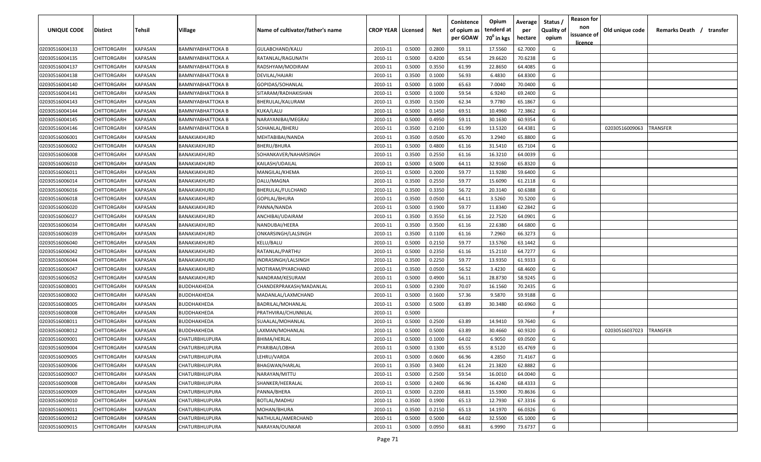| <b>UNIQUE CODE</b> | <b>Distirct</b>    | <b>Tehsil</b>  | Village                  | Name of cultivator/father's name | <b>CROP YEAR   Licensed</b> |        | Net    | Conistence<br>of opium as<br>per GOAW | Opium<br>tenderd at<br>70 <sup>0</sup> in kgs | Average<br>per<br>hectare | Status /<br>Quality of<br>opium | <b>Reason for</b><br>non<br>issuance of | Old unique code | Remarks Death /<br>transfer |
|--------------------|--------------------|----------------|--------------------------|----------------------------------|-----------------------------|--------|--------|---------------------------------------|-----------------------------------------------|---------------------------|---------------------------------|-----------------------------------------|-----------------|-----------------------------|
| 02030516004133     | CHITTORGARH        | <b>KAPASAN</b> | <b>BAMNIYABHATTOKA B</b> | GULABCHAND/KALU                  | 2010-11                     | 0.5000 | 0.2800 | 59.11                                 | 17.5560                                       | 62.7000                   | G                               | licence                                 |                 |                             |
| 02030516004135     | CHITTORGARH        | KAPASAN        | BAMNIYABHATTOKA A        | RATANLAL/RAGUNATH                | 2010-11                     | 0.5000 | 0.4200 | 65.54                                 | 29.6620                                       | 70.6238                   | G                               |                                         |                 |                             |
| 02030516004137     | CHITTORGARH        | KAPASAN        | BAMNIYABHATTOKA B        | RADSHYAM/MODIRAM                 | 2010-11                     | 0.5000 | 0.3550 | 61.99                                 | 22.8650                                       | 64.4085                   | G                               |                                         |                 |                             |
| 02030516004138     | CHITTORGARH        | KAPASAN        | BAMNIYABHATTOKA B        | DEVILAL/HAJARI                   | 2010-11                     | 0.3500 | 0.1000 | 56.93                                 | 6.4830                                        | 64.8300                   | G                               |                                         |                 |                             |
| 02030516004140     | CHITTORGARH        | KAPASAN        | <b>BAMNIYABHATTOKA B</b> | GOPIDAS/SOHANLAL                 | 2010-11                     | 0.5000 | 0.1000 | 65.63                                 | 7.0040                                        | 70.0400                   | G                               |                                         |                 |                             |
| 02030516004141     | CHITTORGARH        | KAPASAN        | BAMNIYABHATTOKA B        | SITARAM/RADHAKISHAN              | 2010-11                     | 0.5000 | 0.1000 | 59.54                                 | 6.9240                                        | 69.2400                   | G                               |                                         |                 |                             |
| 02030516004143     | CHITTORGARH        | KAPASAN        | BAMNIYABHATTOKA B        | BHERULAL/KALURAM                 | 2010-11                     | 0.3500 | 0.1500 | 62.34                                 | 9.7780                                        | 65.1867                   | G                               |                                         |                 |                             |
| 02030516004144     | CHITTORGARH        | KAPASAN        | BAMNIYABHATTOKA B        | KUKA/LALU                        | 2010-11                     | 0.5000 | 0.1450 | 69.51                                 | 10.4960                                       | 72.3862                   | G                               |                                         |                 |                             |
| 02030516004145     | CHITTORGARH        | KAPASAN        | BAMNIYABHATTOKA B        | NARAYANIBAI/MEGRAJ               | 2010-11                     | 0.5000 | 0.4950 | 59.11                                 | 30.1630                                       | 60.9354                   | G                               |                                         |                 |                             |
| 02030516004146     | CHITTORGARH        | KAPASAN        | BAMNIYABHATTOKA B        | SOHANLAL/BHERU                   | 2010-11                     | 0.3500 | 0.2100 | 61.99                                 | 13.5320                                       | 64.4381                   | G                               |                                         | 02030516009063  | TRANSFER                    |
| 02030516006001     | CHITTORGARH        | KAPASAN        | BANAKIAKHURD             | MEHTABIBAI/NANDA                 | 2010-11                     | 0.3500 | 0.0500 | 65.70                                 | 3.2940                                        | 65.8800                   | G                               |                                         |                 |                             |
| 02030516006002     | CHITTORGARH        | KAPASAN        | BANAKIAKHURD             | BHERU/BHURA                      | 2010-11                     | 0.5000 | 0.4800 | 61.16                                 | 31.5410                                       | 65.7104                   | G                               |                                         |                 |                             |
| 02030516006008     | CHITTORGARH        | KAPASAN        | BANAKIAKHURD             | SOHANKAVER/NAHARSINGH            | 2010-11                     | 0.3500 | 0.2550 | 61.16                                 | 16.3210                                       | 64.0039                   | G                               |                                         |                 |                             |
| 02030516006010     | CHITTORGARH        | KAPASAN        | BANAKIAKHURD             | KAILASH/UDAILAL                  | 2010-11                     | 0.5000 | 0.5000 | 64.11                                 | 32.9160                                       | 65.8320                   | G                               |                                         |                 |                             |
| 02030516006011     | CHITTORGARH        | KAPASAN        | BANAKIAKHURD             | MANGILAL/KHEMA                   | 2010-11                     | 0.5000 | 0.2000 | 59.77                                 | 11.9280                                       | 59.6400                   | G                               |                                         |                 |                             |
| 02030516006014     | CHITTORGARH        | KAPASAN        | BANAKIAKHURD             | DALU/MAGNA                       | 2010-11                     | 0.3500 | 0.2550 | 59.77                                 | 15.6090                                       | 61.2118                   | G                               |                                         |                 |                             |
| 02030516006016     | CHITTORGARH        | KAPASAN        | BANAKIAKHURD             | BHERULAL/FULCHAND                | 2010-11                     | 0.3500 | 0.3350 | 56.72                                 | 20.3140                                       | 60.6388                   | G                               |                                         |                 |                             |
| 02030516006018     | CHITTORGARH        | KAPASAN        | BANAKIAKHURD             | GOPILAL/BHURA                    | 2010-11                     | 0.3500 | 0.0500 | 64.11                                 | 3.5260                                        | 70.5200                   | G                               |                                         |                 |                             |
| 02030516006020     | CHITTORGARH        | KAPASAN        | BANAKIAKHURD             | PANNA/NANDA                      | 2010-11                     | 0.5000 | 0.1900 | 59.77                                 | 11.8340                                       | 62.2842                   | G                               |                                         |                 |                             |
| 02030516006027     | CHITTORGARH        | KAPASAN        | BANAKIAKHURD             | ANCHIBAI/UDAIRAM                 | 2010-11                     | 0.3500 | 0.3550 | 61.16                                 | 22.7520                                       | 64.0901                   | G                               |                                         |                 |                             |
| 02030516006034     | CHITTORGARH        | KAPASAN        | BANAKIAKHURD             | NANDUBAI/HEERA                   | 2010-11                     | 0.3500 | 0.3500 | 61.16                                 | 22.6380                                       | 64.6800                   | G                               |                                         |                 |                             |
| 02030516006039     | CHITTORGARH        | KAPASAN        | BANAKIAKHURD             | ONKARSINGH/LALSINGH              | 2010-11                     | 0.3500 | 0.1100 | 61.16                                 | 7.2960                                        | 66.3273                   | G                               |                                         |                 |                             |
| 02030516006040     | CHITTORGARH        | KAPASAN        | BANAKIAKHURD             | KELU/BALU                        | 2010-11                     | 0.5000 | 0.2150 | 59.77                                 | 13.5760                                       | 63.1442                   | G                               |                                         |                 |                             |
| 02030516006042     | CHITTORGARH        | KAPASAN        | BANAKIAKHURD             | RATANLAL/PARTHU                  | 2010-11                     | 0.5000 | 0.2350 | 61.16                                 | 15.2110                                       | 64.7277                   | G                               |                                         |                 |                             |
| 02030516006044     | CHITTORGARH        | KAPASAN        | BANAKIAKHURD             | INDRASINGH/LALSINGH              | 2010-11                     | 0.3500 | 0.2250 | 59.77                                 | 13.9350                                       | 61.9333                   | G                               |                                         |                 |                             |
| 02030516006047     | CHITTORGARH        | KAPASAN        | BANAKIAKHURD             | MOTIRAM/PYARCHAND                | 2010-11                     | 0.3500 | 0.0500 | 56.52                                 | 3.4230                                        | 68.4600                   | G                               |                                         |                 |                             |
| 02030516006052     | CHITTORGARH        | KAPASAN        | BANAKIAKHURD             | NANDRAM/KESURAM                  | 2010-11                     | 0.5000 | 0.4900 | 56.11                                 | 28.8730                                       | 58.9245                   | G                               |                                         |                 |                             |
| 02030516008001     | CHITTORGARH        | KAPASAN        | BUDDHAKHEDA              | CHANDERPRAKASH/MADANLAL          | 2010-11                     | 0.5000 | 0.2300 | 70.07                                 | 16.1560                                       | 70.2435                   | G                               |                                         |                 |                             |
| 02030516008002     | CHITTORGARH        | KAPASAN        | BUDDHAKHEDA              | MADANLAL/LAXMCHAND               | 2010-11                     | 0.5000 | 0.1600 | 57.36                                 | 9.5870                                        | 59.9188                   | G                               |                                         |                 |                             |
| 02030516008005     | CHITTORGARH        | KAPASAN        | BUDDHAKHEDA              | BADRILAL/MOHANLAL                | 2010-11                     | 0.5000 | 0.5000 | 63.89                                 | 30.3480                                       | 60.6960                   | G                               |                                         |                 |                             |
| 02030516008008     | CHITTORGARH        | KAPASAN        | BUDDHAKHEDA              | PRATHVIRAJ/CHUNNILAL             | 2010-11                     | 0.5000 |        |                                       |                                               |                           | -F.                             |                                         |                 |                             |
| 02030516008011     | CHITTORGARH        | KAPASAN        | BUDDHAKHEDA              | SUAALAL/MOHANLAL                 | 2010-11                     | 0.5000 | 0.2500 | 63.89                                 | 14.9410                                       | 59.7640                   | G                               |                                         |                 |                             |
| 02030516008012     | CHITTORGARH        | KAPASAN        | BUDDHAKHEDA              | LAXMAN/MOHANLAL                  | 2010-11                     | 0.5000 | 0.5000 | 63.89                                 | 30.4660                                       | 60.9320                   | G                               |                                         | 02030516037023  | TRANSFER                    |
| 02030516009001     | CHITTORGARH        | KAPASAN        | CHATURBHUJPURA           | BHIMA/HERLAL                     | 2010-11                     | 0.5000 | 0.1000 | 64.02                                 | 6.9050                                        | 69.0500                   | G                               |                                         |                 |                             |
| 02030516009004     | <b>CHITTORGARH</b> | KAPASAN        | <b>CHATURBHUJPURA</b>    | PYARIBAI/LOBHA                   | 2010-11                     | 0.5000 | 0.1300 | 65.55                                 | 8.5120                                        | 65.4769                   | G                               |                                         |                 |                             |
| 02030516009005     | CHITTORGARH        | <b>KAPASAN</b> | <b>CHATURBHUJPURA</b>    | LEHRU/VARDA                      | 2010-11                     | 0.5000 | 0.0600 | 66.96                                 | 4.2850                                        | 71.4167                   | G                               |                                         |                 |                             |
| 02030516009006     | <b>CHITTORGARH</b> | KAPASAN        | CHATURBHUJPURA           | <b>BHAGWAN/HARLAL</b>            | 2010-11                     | 0.3500 | 0.3400 | 61.24                                 | 21.3820                                       | 62.8882                   | G                               |                                         |                 |                             |
| 02030516009007     | CHITTORGARH        | KAPASAN        | CHATURBHUJPURA           | NARAYAN/MITTU                    | 2010-11                     | 0.5000 | 0.2500 | 59.54                                 | 16.0010                                       | 64.0040                   | G                               |                                         |                 |                             |
| 02030516009008     | CHITTORGARH        | KAPASAN        | <b>CHATURBHUJPURA</b>    | SHANKER/HEERALAL                 | 2010-11                     | 0.5000 | 0.2400 | 66.96                                 | 16.4240                                       | 68.4333                   | G                               |                                         |                 |                             |
| 02030516009009     | CHITTORGARH        | <b>KAPASAN</b> | CHATURBHUJPURA           | PANNA/BHERA                      | 2010-11                     | 0.5000 | 0.2200 | 68.81                                 | 15.5900                                       | 70.8636                   | G                               |                                         |                 |                             |
| 02030516009010     | CHITTORGARH        | KAPASAN        | CHATURBHUJPURA           | BOTLAL/MADHU                     | 2010-11                     | 0.3500 | 0.1900 | 65.13                                 | 12.7930                                       | 67.3316                   | G                               |                                         |                 |                             |
| 02030516009011     | <b>CHITTORGARH</b> | KAPASAN        | CHATURBHUJPURA           | MOHAN/BHURA                      | 2010-11                     | 0.3500 | 0.2150 | 65.13                                 | 14.1970                                       | 66.0326                   | G                               |                                         |                 |                             |
| 02030516009012     | CHITTORGARH        | KAPASAN        | CHATURBHUJPURA           | NATHULAL/AMERCHAND               | 2010-11                     | 0.5000 | 0.5000 | 64.02                                 | 32.5500                                       | 65.1000                   | G                               |                                         |                 |                             |
| 02030516009015     | <b>CHITTORGARH</b> | KAPASAN        | CHATURBHUJPURA           | NARAYAN/OUNKAR                   | 2010-11                     | 0.5000 | 0.0950 | 68.81                                 | 6.9990                                        | 73.6737                   | G                               |                                         |                 |                             |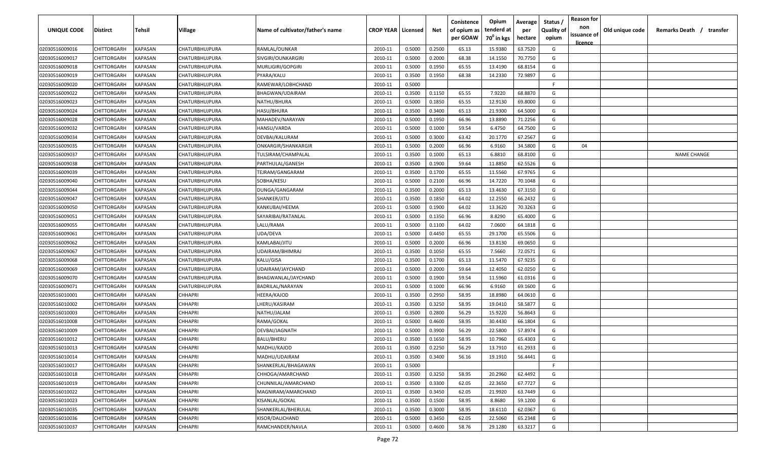| <b>UNIQUE CODE</b> | Distirct           | Tehsil         | Village        | Name of cultivator/father's name | <b>CROP YEAR   Licensed</b> |        | Net    | Conistence<br>of opium as | Opium<br>tenderd at    | Average<br>per | Status /<br><b>Quality of</b> | <b>Reason for</b><br>non<br>issuance of | Old unique code | Remarks Death / transfer |
|--------------------|--------------------|----------------|----------------|----------------------------------|-----------------------------|--------|--------|---------------------------|------------------------|----------------|-------------------------------|-----------------------------------------|-----------------|--------------------------|
|                    |                    |                |                |                                  |                             |        |        | per GOAW                  | 70 <sup>0</sup> in kgs | hectare        | opium                         | <u>licence</u>                          |                 |                          |
| 02030516009016     | CHITTORGARH        | <b>KAPASAN</b> | CHATURBHUJPURA | RAMLAL/OUNKAR                    | 2010-11                     | 0.5000 | 0.2500 | 65.13                     | 15.9380                | 63.7520        | G                             |                                         |                 |                          |
| 02030516009017     | CHITTORGARH        | KAPASAN        | CHATURBHUJPURA | SIVGIRI/OUNKARGIRI               | 2010-11                     | 0.5000 | 0.2000 | 68.38                     | 14.1550                | 70.7750        | G                             |                                         |                 |                          |
| 02030516009018     | CHITTORGARH        | KAPASAN        | CHATURBHUJPURA | MURLIGIRI/GOPGIRI                | 2010-11                     | 0.5000 | 0.1950 | 65.55                     | 13.4190                | 68.8154        | G                             |                                         |                 |                          |
| 02030516009019     | CHITTORGARH        | KAPASAN        | CHATURBHUJPURA | PYARA/KALU                       | 2010-11                     | 0.3500 | 0.1950 | 68.38                     | 14.2330                | 72.9897        | G                             |                                         |                 |                          |
| 02030516009020     | CHITTORGARH        | KAPASAN        | CHATURBHUJPURA | RAMEWAR/LOBHCHAND                | 2010-11                     | 0.5000 |        |                           |                        |                | -F.                           |                                         |                 |                          |
| 02030516009022     | CHITTORGARH        | KAPASAN        | CHATURBHUJPURA | BHAGWAN/UDAIRAM                  | 2010-11                     | 0.3500 | 0.1150 | 65.55                     | 7.9220                 | 68.8870        | G                             |                                         |                 |                          |
| 02030516009023     | CHITTORGARH        | KAPASAN        | CHATURBHUJPURA | NATHU/BHURA                      | 2010-11                     | 0.5000 | 0.1850 | 65.55                     | 12.9130                | 69.8000        | G                             |                                         |                 |                          |
| 02030516009024     | CHITTORGARH        | KAPASAN        | CHATURBHUJPURA | HASU/BHURA                       | 2010-11                     | 0.3500 | 0.3400 | 65.13                     | 21.9300                | 64.5000        | G                             |                                         |                 |                          |
| 02030516009028     | CHITTORGARH        | KAPASAN        | CHATURBHUJPURA | MAHADEV/NARAYAN                  | 2010-11                     | 0.5000 | 0.1950 | 66.96                     | 13.8890                | 71.2256        | G                             |                                         |                 |                          |
| 02030516009032     | CHITTORGARH        | KAPASAN        | CHATURBHUJPURA | HANSU/VARDA                      | 2010-11                     | 0.5000 | 0.1000 | 59.54                     | 6.4750                 | 64.7500        | G                             |                                         |                 |                          |
| 02030516009034     | CHITTORGARH        | KAPASAN        | CHATURBHUJPURA | DEVBAI/KALURAM                   | 2010-11                     | 0.5000 | 0.3000 | 63.42                     | 20.1770                | 67.2567        | G                             |                                         |                 |                          |
| 02030516009035     | CHITTORGARH        | KAPASAN        | CHATURBHUJPURA | ONKARGIR/SHANKARGIR              | 2010-11                     | 0.5000 | 0.2000 | 66.96                     | 6.9160                 | 34.5800        | G                             | 04                                      |                 |                          |
| 02030516009037     | CHITTORGARH        | KAPASAN        | CHATURBHUJPURA | TULSIRAM/CHAMPALAL               | 2010-11                     | 0.3500 | 0.1000 | 65.13                     | 6.8810                 | 68.8100        | G                             |                                         |                 | <b>NAME CHANGE</b>       |
| 02030516009038     | CHITTORGARH        | KAPASAN        | CHATURBHUJPURA | PARTHULAL/GANESH                 | 2010-11                     | 0.3500 | 0.1900 | 59.64                     | 11.8850                | 62.5526        | G                             |                                         |                 |                          |
| 02030516009039     | CHITTORGARH        | KAPASAN        | CHATURBHUJPURA | TEJRAM/GANGARAM                  | 2010-11                     | 0.3500 | 0.1700 | 65.55                     | 11.5560                | 67.9765        | G                             |                                         |                 |                          |
| 02030516009040     | CHITTORGARH        | KAPASAN        | CHATURBHUJPURA | SOBHA/KESU                       | 2010-11                     | 0.5000 | 0.2100 | 66.96                     | 14.7220                | 70.1048        | G                             |                                         |                 |                          |
| 02030516009044     | CHITTORGARH        | KAPASAN        | CHATURBHUJPURA | DUNGA/GANGARAM                   | 2010-11                     | 0.3500 | 0.2000 | 65.13                     | 13.4630                | 67.3150        | G                             |                                         |                 |                          |
| 02030516009047     | CHITTORGARH        | KAPASAN        | CHATURBHUJPURA | SHANKER/JITU                     | 2010-11                     | 0.3500 | 0.1850 | 64.02                     | 12.2550                | 66.2432        | G                             |                                         |                 |                          |
| 02030516009050     | CHITTORGARH        | KAPASAN        | CHATURBHUJPURA | KANKUBAI/HEEMA                   | 2010-11                     | 0.5000 | 0.1900 | 64.02                     | 13.3620                | 70.3263        | G                             |                                         |                 |                          |
| 02030516009051     | CHITTORGARH        | KAPASAN        | CHATURBHUJPURA | SAYARIBAI/RATANLAL               | 2010-11                     | 0.5000 | 0.1350 | 66.96                     | 8.8290                 | 65.4000        | G                             |                                         |                 |                          |
| 02030516009055     | CHITTORGARH        | KAPASAN        | CHATURBHUJPURA | LALU/RAMA                        | 2010-11                     | 0.5000 | 0.1100 | 64.02                     | 7.0600                 | 64.1818        | G                             |                                         |                 |                          |
| 02030516009061     | CHITTORGARH        | KAPASAN        | CHATURBHUJPURA | UDA/DEVA                         | 2010-11                     | 0.5000 | 0.4450 | 65.55                     | 29.1700                | 65.5506        | G                             |                                         |                 |                          |
| 02030516009062     | CHITTORGARH        | KAPASAN        | CHATURBHUJPURA | KAMLABAI/JITU                    | 2010-11                     | 0.5000 | 0.2000 | 66.96                     | 13.8130                | 69.0650        | G                             |                                         |                 |                          |
| 02030516009067     | CHITTORGARH        | KAPASAN        | CHATURBHUJPURA | UDAIRAM/BHIMRAJ                  | 2010-11                     | 0.3500 | 0.1050 | 65.55                     | 7.5660                 | 72.0571        | G                             |                                         |                 |                          |
| 02030516009068     | CHITTORGARH        | KAPASAN        | CHATURBHUJPURA | KALU/GISA                        | 2010-11                     | 0.3500 | 0.1700 | 65.13                     | 11.5470                | 67.9235        | G                             |                                         |                 |                          |
| 02030516009069     | CHITTORGARH        | KAPASAN        | CHATURBHUJPURA | UDAIRAM/JAYCHAND                 | 2010-11                     | 0.5000 | 0.2000 | 59.64                     | 12.4050                | 62.0250        | G                             |                                         |                 |                          |
| 02030516009070     | CHITTORGARH        | KAPASAN        | CHATURBHUJPURA | BHAGWANLAL/JAYCHAND              | 2010-11                     | 0.5000 | 0.1900 | 59.54                     | 11.5960                | 61.0316        | G                             |                                         |                 |                          |
| 02030516009071     | CHITTORGARH        | KAPASAN        | CHATURBHUJPURA | BADRILAL/NARAYAN                 | 2010-11                     | 0.5000 | 0.1000 | 66.96                     | 6.9160                 | 69.1600        | G                             |                                         |                 |                          |
| 02030516010001     | CHITTORGARH        | KAPASAN        | CHHAPRI        | HEERA/KAJOD                      | 2010-11                     | 0.3500 | 0.2950 | 58.95                     | 18.8980                | 64.0610        | G                             |                                         |                 |                          |
| 02030516010002     | CHITTORGARH        | KAPASAN        | CHHAPRI        | LHERU/KASIRAM                    | 2010-11                     | 0.3500 | 0.3250 | 58.95                     | 19.0410                | 58.5877        | G                             |                                         |                 |                          |
| 02030516010003     | CHITTORGARH        | KAPASAN        | CHHAPRI        | NATHU/JALAM                      | 2010-11                     | 0.3500 | 0.2800 | 56.29                     | 15.9220                | 56.8643        | G                             |                                         |                 |                          |
| 02030516010008     | CHITTORGARH        | KAPASAN        | CHHAPRI        | RAMA/GOKAL                       | 2010-11                     | 0.5000 | 0.4600 | 58.95                     | 30.4430                | 66.1804        | G                             |                                         |                 |                          |
| 02030516010009     | CHITTORGARH        | KAPASAN        | <b>CHHAPRI</b> | DEVBAI/JAGNATH                   | 2010-11                     | 0.5000 | 0.3900 | 56.29                     | 22.5800                | 57.8974        | G                             |                                         |                 |                          |
| 02030516010012     | CHITTORGARH        | KAPASAN        | <b>CHHAPRI</b> | BALU/BHERU                       | 2010-11                     | 0.3500 | 0.1650 | 58.95                     | 10.7960                | 65.4303        | G                             |                                         |                 |                          |
| 02030516010013     | CHITTORGARH        | KAPASAN        | CHHAPRI        | MADHU/KAJOD                      | 2010-11                     | 0.3500 | 0.2250 | 56.29                     | 13.7910                | 61.2933        | G                             |                                         |                 |                          |
| 02030516010014     | <b>CHITTORGARH</b> | KAPASAN        | <b>CHHAPRI</b> | MADHU/UDAIRAM                    | 2010-11                     | 0.3500 | 0.3400 | 56.16                     | 19.1910                | 56.4441        | G                             |                                         |                 |                          |
| 02030516010017     | CHITTORGARH        | <b>KAPASAN</b> | <b>CHHAPRI</b> | SHANKERLAL/BHAGAWAN              | 2010-11                     | 0.5000 |        |                           |                        |                | F.                            |                                         |                 |                          |
| 02030516010018     | CHITTORGARH        | <b>KAPASAN</b> | <b>CHHAPRI</b> | CHHOGA/AMARCHAND                 | 2010-11                     | 0.3500 | 0.3250 | 58.95                     | 20.2960                | 62.4492        | G                             |                                         |                 |                          |
| 02030516010019     | <b>CHITTORGARH</b> | <b>KAPASAN</b> | <b>CHHAPRI</b> | CHUNNILAL/AMARCHAND              | 2010-11                     | 0.3500 | 0.3300 | 62.05                     | 22.3650                | 67.7727        | G                             |                                         |                 |                          |
| 02030516010022     | CHITTORGARH        | KAPASAN        | <b>CHHAPRI</b> | MAGNIRAM/AMARCHAND               | 2010-11                     | 0.3500 | 0.3450 | 62.05                     | 21.9920                | 63.7449        | G                             |                                         |                 |                          |
| 02030516010023     | <b>CHITTORGARH</b> | KAPASAN        | <b>CHHAPRI</b> | KISANLAL/GOKAL                   | 2010-11                     | 0.3500 | 0.1500 | 58.95                     | 8.8680                 | 59.1200        | G                             |                                         |                 |                          |
| 02030516010035     | CHITTORGARH        | KAPASAN        | <b>CHHAPRI</b> | SHANKERLAL/BHERULAL              | 2010-11                     | 0.3500 | 0.3000 | 58.95                     | 18.6110                | 62.0367        | G                             |                                         |                 |                          |
| 02030516010036     | CHITTORGARH        | KAPASAN        | <b>CHHAPRI</b> | KISOR/DALICHAND                  | 2010-11                     | 0.5000 | 0.3450 | 62.05                     | 22.5060                | 65.2348        | G                             |                                         |                 |                          |
| 02030516010037     | CHITTORGARH        | KAPASAN        | CHHAPRI        | RAMCHANDER/NAVLA                 | 2010-11                     | 0.5000 | 0.4600 | 58.76                     | 29.1280                | 63.3217        | G                             |                                         |                 |                          |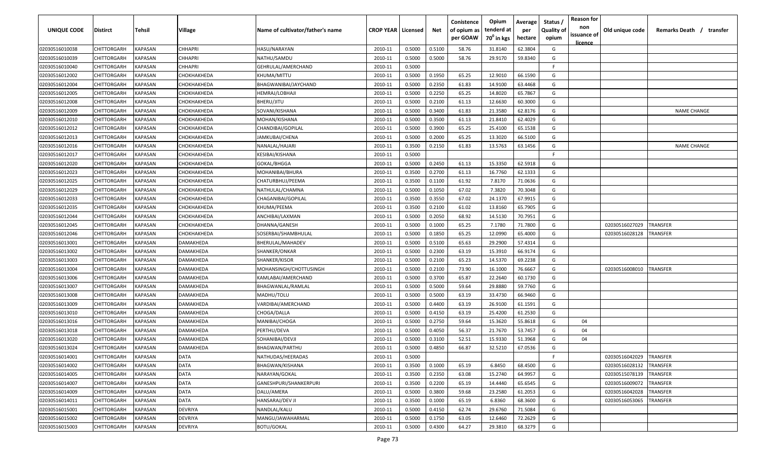| UNIQUE CODE    | Distirct    | Tehsil         | Village        | Name of cultivator/father's name | <b>CROP YEAR   Licensed</b> |        | Net    | Conistence<br>of opium as<br>per GOAW | Opium<br>tenderd at<br>70 <sup>0</sup> in kgs | Average<br>per<br>hectare | Status /<br><b>Quality of</b><br>opium | <b>Reason for</b><br>non<br>issuance of<br><u>licence</u> | Old unique code | Remarks Death /<br>transfer |
|----------------|-------------|----------------|----------------|----------------------------------|-----------------------------|--------|--------|---------------------------------------|-----------------------------------------------|---------------------------|----------------------------------------|-----------------------------------------------------------|-----------------|-----------------------------|
| 02030516010038 | CHITTORGARH | KAPASAN        | <b>CHHAPRI</b> | HASU/NARAYAN                     | 2010-11                     | 0.5000 | 0.5100 | 58.76                                 | 31.8140                                       | 62.3804                   | G                                      |                                                           |                 |                             |
| 02030516010039 | CHITTORGARH | KAPASAN        | CHHAPRI        | NATHU/SAMDU                      | 2010-11                     | 0.5000 | 0.5000 | 58.76                                 | 29.9170                                       | 59.8340                   | G                                      |                                                           |                 |                             |
| 02030516010040 | CHITTORGARH | <b>KAPASAN</b> | CHHAPRI        | GEHRULAL/AMERCHAND               | 2010-11                     | 0.5000 |        |                                       |                                               |                           | -F                                     |                                                           |                 |                             |
| 02030516012002 | CHITTORGARH | KAPASAN        | СНОКНАКНЕDА    | KHUMA/MITTU                      | 2010-11                     | 0.5000 | 0.1950 | 65.25                                 | 12.9010                                       | 66.1590                   | G                                      |                                                           |                 |                             |
| 02030516012004 | CHITTORGARH | KAPASAN        | СНОКНАКНЕDА    | BHAGWANIBAI/JAYCHAND             | 2010-11                     | 0.5000 | 0.2350 | 61.83                                 | 14.9100                                       | 63.4468                   | G                                      |                                                           |                 |                             |
| 02030516012005 | CHITTORGARH | KAPASAN        | СНОКНАКНЕDА    | HEMRAJ/LOBHAJI                   | 2010-11                     | 0.5000 | 0.2250 | 65.25                                 | 14.8020                                       | 65.7867                   | G                                      |                                                           |                 |                             |
| 02030516012008 | CHITTORGARH | KAPASAN        | СНОКНАКНЕDА    | BHERU/JITU                       | 2010-11                     | 0.5000 | 0.2100 | 61.13                                 | 12.6630                                       | 60.3000                   | G                                      |                                                           |                 |                             |
| 02030516012009 | CHITTORGARH | KAPASAN        | СНОКНАКНЕDА    | SOVANI/KISHANA                   | 2010-11                     | 0.5000 | 0.3400 | 61.83                                 | 21.3580                                       | 62.8176                   | G                                      |                                                           |                 | <b>NAME CHANGE</b>          |
| 02030516012010 | CHITTORGARH | KAPASAN        | СНОКНАКНЕРА    | MOHAN/KISHANA                    | 2010-11                     | 0.5000 | 0.3500 | 61.13                                 | 21.8410                                       | 62.4029                   | G                                      |                                                           |                 |                             |
| 02030516012012 | CHITTORGARH | KAPASAN        | СНОКНАКНЕDА    | CHANDIBAI/GOPILAL                | 2010-11                     | 0.5000 | 0.3900 | 65.25                                 | 25.4100                                       | 65.1538                   | G                                      |                                                           |                 |                             |
| 02030516012013 | CHITTORGARH | KAPASAN        | СНОКНАКНЕDА    | IAMKUBAI/CHENA                   | 2010-11                     | 0.5000 | 0.2000 | 65.25                                 | 13.3020                                       | 66.5100                   | G                                      |                                                           |                 |                             |
| 02030516012016 | CHITTORGARH | KAPASAN        | СНОКНАКНЕDА    | NANALAL/HAJARI                   | 2010-11                     | 0.3500 | 0.2150 | 61.83                                 | 13.5763                                       | 63.1456                   | G                                      |                                                           |                 | <b>NAME CHANGE</b>          |
| 02030516012017 | CHITTORGARH | KAPASAN        | СНОКНАКНЕDА    | KESIBAI/KISHANA                  | 2010-11                     | 0.5000 |        |                                       |                                               |                           | F.                                     |                                                           |                 |                             |
| 02030516012020 | CHITTORGARH | KAPASAN        | СНОКНАКНЕDА    | GOKAL/BHGGA                      | 2010-11                     | 0.5000 | 0.2450 | 61.13                                 | 15.3350                                       | 62.5918                   | G                                      |                                                           |                 |                             |
| 02030516012023 | CHITTORGARH | KAPASAN        | СНОКНАКНЕDА    | MOHANIBAI/BHURA                  | 2010-11                     | 0.3500 | 0.2700 | 61.13                                 | 16.7760                                       | 62.1333                   | G                                      |                                                           |                 |                             |
| 02030516012025 | CHITTORGARH | KAPASAN        | СНОКНАКНЕDА    | CHATURBHUJ/PEEMA                 | 2010-11                     | 0.3500 | 0.1100 | 61.92                                 | 7.8170                                        | 71.0636                   | G                                      |                                                           |                 |                             |
| 02030516012029 | CHITTORGARH | <b>KAPASAN</b> | СНОКНАКНЕDА    | NATHULAL/CHAMNA                  | 2010-11                     | 0.5000 | 0.1050 | 67.02                                 | 7.3820                                        | 70.3048                   | G                                      |                                                           |                 |                             |
| 02030516012033 | CHITTORGARH | KAPASAN        | СНОКНАКНЕDА    | CHAGANIBAI/GOPILAL               | 2010-11                     | 0.3500 | 0.3550 | 67.02                                 | 24.1370                                       | 67.9915                   | G                                      |                                                           |                 |                             |
| 02030516012035 | CHITTORGARH | KAPASAN        | СНОКНАКНЕDА    | KHUMA/PEEMA                      | 2010-11                     | 0.3500 | 0.2100 | 61.02                                 | 13.8160                                       | 65.7905                   | G                                      |                                                           |                 |                             |
| 02030516012044 | CHITTORGARH | <b>KAPASAN</b> | СНОКНАКНЕDА    | ANCHIBAI/LAXMAN                  | 2010-11                     | 0.5000 | 0.2050 | 68.92                                 | 14.5130                                       | 70.7951                   | G                                      |                                                           |                 |                             |
| 02030516012045 | CHITTORGARH | <b>KAPASAN</b> | СНОКНАКНЕDА    | DHANNA/GANESH                    | 2010-11                     | 0.5000 | 0.1000 | 65.25                                 | 7.1780                                        | 71.7800                   | G                                      |                                                           | 02030516027029  | TRANSFER                    |
| 02030516012046 | CHITTORGARH | KAPASAN        | СНОКНАКНЕDА    | SOSERBAI/SHAMBHULAL              | 2010-11                     | 0.5000 | 0.1850 | 65.25                                 | 12.0990                                       | 65.4000                   | G                                      |                                                           | 02030516028128  | TRANSFER                    |
| 02030516013001 | CHITTORGARH | KAPASAN        | DAMAKHEDA      | BHERULAL/MAHADEV                 | 2010-11                     | 0.5000 | 0.5100 | 65.63                                 | 29.2900                                       | 57.4314                   | G                                      |                                                           |                 |                             |
| 02030516013002 | CHITTORGARH | KAPASAN        | DAMAKHEDA      | SHANKER/ONKAR                    | 2010-11                     | 0.5000 | 0.2300 | 63.19                                 | 15.3910                                       | 66.9174                   | G                                      |                                                           |                 |                             |
| 02030516013003 | CHITTORGARH | KAPASAN        | DAMAKHEDA      | SHANKER/KISOR                    | 2010-11                     | 0.5000 | 0.2100 | 65.23                                 | 14.5370                                       | 69.2238                   | G                                      |                                                           |                 |                             |
| 02030516013004 | CHITTORGARH | KAPASAN        | DAMAKHEDA      | MOHANSINGH/CHOTTUSINGH           | 2010-11                     | 0.5000 | 0.2100 | 73.90                                 | 16.1000                                       | 76.6667                   | G                                      |                                                           | 02030516008010  | TRANSFER                    |
| 02030516013006 | CHITTORGARH | KAPASAN        | DAMAKHEDA      | KAMLABAI/AMERCHAND               | 2010-11                     | 0.5000 | 0.3700 | 65.87                                 | 22.2640                                       | 60.1730                   | G                                      |                                                           |                 |                             |
| 02030516013007 | CHITTORGARH | KAPASAN        | )AMAKHEDA      | BHAGWANLAL/RAMLAL                | 2010-11                     | 0.5000 | 0.5000 | 59.64                                 | 29.8880                                       | 59.7760                   | G                                      |                                                           |                 |                             |
| 02030516013008 | CHITTORGARH | KAPASAN        | DAMAKHEDA      | MADHU/TOLU                       | 2010-11                     | 0.5000 | 0.5000 | 63.19                                 | 33.4730                                       | 66.9460                   | G                                      |                                                           |                 |                             |
| 02030516013009 | CHITTORGARH | KAPASAN        | DAMAKHEDA      | VARDIBAI/AMERCHAND               | 2010-11                     | 0.5000 | 0.4400 | 63.19                                 | 26.9100                                       | 61.1591                   | G                                      |                                                           |                 |                             |
| 02030516013010 | CHITTORGARH | KAPASAN        | DAMAKHEDA      | CHOGA/DALLA                      | 2010-11                     | 0.5000 | 0.4150 | 63.19                                 | 25.4200                                       | 61.2530                   | G                                      |                                                           |                 |                             |
| 02030516013016 | CHITTORGARH | KAPASAN        | DAMAKHEDA      | MANIBAI/CHOGA                    | 2010-11                     | 0.5000 | 0.2750 | 59.64                                 | 15.3620                                       | 55.8618                   | G                                      | 04                                                        |                 |                             |
| 02030516013018 | CHITTORGARH | KAPASAN        | DAMAKHEDA      | PERTHU/DEVA                      | 2010-11                     | 0.5000 | 0.4050 | 56.37                                 | 21.7670                                       | 53.7457                   | G                                      | 04                                                        |                 |                             |
| 02030516013020 | CHITTORGARH | <b>KAPASAN</b> | DAMAKHEDA      | SOHANIBAI/DEVJI                  | 2010-11                     | 0.5000 | 0.3100 | 52.51                                 | 15.9330                                       | 51.3968                   | G                                      | 04                                                        |                 |                             |
| 02030516013024 | CHITTORGARH | <b>KAPASAN</b> | DAMAKHEDA      | <b>BHAGWAN/PARTHU</b>            | 2010-11                     | 0.5000 | 0.4850 | 66.87                                 | 32.5210                                       | 67.0536                   | G                                      |                                                           |                 |                             |
| 02030516014001 | CHITTORGARH | <b>KAPASAN</b> | <b>DATA</b>    | NATHUDAS/HEERADAS                | 2010-11                     | 0.5000 |        |                                       |                                               |                           | -F                                     |                                                           | 02030516042029  | TRANSFER                    |
| 02030516014002 | CHITTORGARH | <b>KAPASAN</b> | DATA           | BHAGWAN/KISHANA                  | 2010-11                     | 0.3500 | 0.1000 | 65.19                                 | 6.8450                                        | 68.4500                   | G                                      |                                                           | 02030516028132  | <b>TRANSFER</b>             |
| 02030516014005 | CHITTORGARH | <b>KAPASAN</b> | <b>DATA</b>    | NARAYAN/GOKAL                    | 2010-11                     | 0.3500 | 0.2350 | 63.08                                 | 15.2740                                       | 64.9957                   | G                                      |                                                           | 02030515078139  | <b>TRANSFER</b>             |
| 02030516014007 | CHITTORGARH | KAPASAN        | <b>DATA</b>    | GANESHPURI/SHANKERPURI           | 2010-11                     | 0.3500 | 0.2200 | 65.19                                 | 14.4440                                       | 65.6545                   | G                                      |                                                           | 02030516009072  | TRANSFER                    |
| 02030516014009 | CHITTORGARH | KAPASAN        | <b>DATA</b>    | DALU/AMERA                       | 2010-11                     | 0.5000 | 0.3800 | 59.68                                 | 23.2580                                       | 61.2053                   | G                                      |                                                           | 02030516042028  | TRANSFER                    |
| 02030516014011 | CHITTORGARH | KAPASAN        | <b>DATA</b>    | HANSARAJ/DEV JI                  | 2010-11                     | 0.3500 | 0.1000 | 65.19                                 | 6.8360                                        | 68.3600                   | G                                      |                                                           | 02030516053065  | <b><i>FRANSFER</i></b>      |
| 02030516015001 | CHITTORGARH | KAPASAN        | <b>DEVRIYA</b> | NANDLAL/KALU                     | 2010-11                     | 0.5000 | 0.4150 | 62.74                                 | 29.6760                                       | 71.5084                   | G                                      |                                                           |                 |                             |
| 02030516015002 | CHITTORGARH | KAPASAN        | DEVRIYA        | MANGU/JAWAHARMAL                 | 2010-11                     | 0.5000 | 0.1750 | 63.05                                 | 12.6460                                       | 72.2629                   | G                                      |                                                           |                 |                             |
| 02030516015003 | CHITTORGARH | <b>KAPASAN</b> | DEVRIYA        | BOTU/GOKAL                       | 2010-11                     | 0.5000 | 0.4300 | 64.27                                 | 29.3810                                       | 68.3279                   | G                                      |                                                           |                 |                             |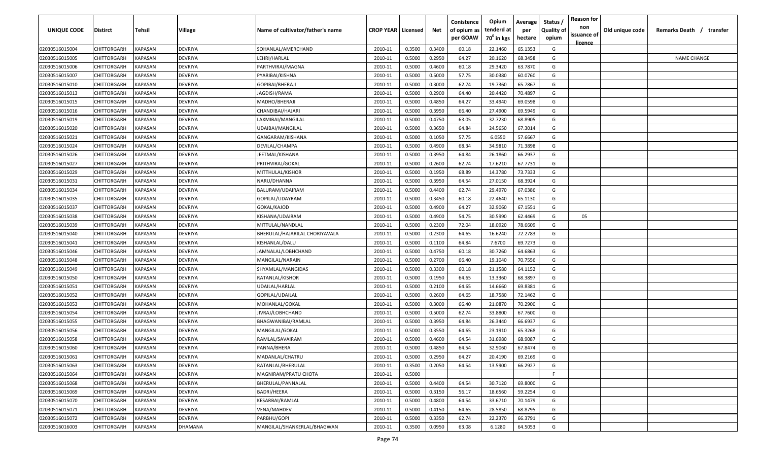| UNIQUE CODE    | <b>Distirct</b>    | Tehsil         | Village        | Name of cultivator/father's name | <b>CROP YEAR   Licensed</b> |        | Net    | Conistence<br>of opium as | Opium<br>tenderd at    | Average<br>per | Status<br><b>Quality of</b> | <b>Reason for</b><br>non<br>issuance of | Old unique code | Remarks Death / transfer |
|----------------|--------------------|----------------|----------------|----------------------------------|-----------------------------|--------|--------|---------------------------|------------------------|----------------|-----------------------------|-----------------------------------------|-----------------|--------------------------|
|                |                    |                |                |                                  |                             |        |        | per GOAW                  | 70 <sup>0</sup> in kgs | hectare        | opium                       | <u>licence</u>                          |                 |                          |
| 02030516015004 | CHITTORGARH        | <b>KAPASAN</b> | <b>DEVRIYA</b> | SOHANLAL/AMERCHAND               | 2010-11                     | 0.3500 | 0.3400 | 60.18                     | 22.1460                | 65.1353        | G                           |                                         |                 |                          |
| 02030516015005 | <b>CHITTORGARH</b> | <b>KAPASAN</b> | DEVRIYA        | LEHRI/HARLAL                     | 2010-11                     | 0.5000 | 0.2950 | 64.27                     | 20.1620                | 68.3458        | G                           |                                         |                 | <b>NAME CHANGE</b>       |
| 02030516015006 | <b>CHITTORGARH</b> | KAPASAN        | <b>DEVRIYA</b> | PARTHVIRAJ/MAGNA                 | 2010-11                     | 0.5000 | 0.4600 | 60.18                     | 29.3420                | 63.7870        | G                           |                                         |                 |                          |
| 02030516015007 | <b>CHITTORGARH</b> | KAPASAN        | <b>DEVRIYA</b> | PYARIBAI/KISHNA                  | 2010-11                     | 0.5000 | 0.5000 | 57.75                     | 30.0380                | 60.0760        | G                           |                                         |                 |                          |
| 02030516015010 | <b>CHITTORGARH</b> | KAPASAN        | DEVRIYA        | GOPIBAI/BHERAJI                  | 2010-11                     | 0.5000 | 0.3000 | 62.74                     | 19.7360                | 65.7867        | G                           |                                         |                 |                          |
| 02030516015013 | CHITTORGARH        | KAPASAN        | DEVRIYA        | JAGDISH/RAMA                     | 2010-11                     | 0.5000 | 0.2900 | 64.40                     | 20.4420                | 70.4897        | G                           |                                         |                 |                          |
| 02030516015015 | <b>CHITTORGARH</b> | KAPASAN        | <b>DEVRIYA</b> | MADHO/BHERAJI                    | 2010-11                     | 0.5000 | 0.4850 | 64.27                     | 33.4940                | 69.0598        | G                           |                                         |                 |                          |
| 02030516015016 | <b>CHITTORGARH</b> | KAPASAN        | DEVRIYA        | CHANDIBAI/HAJARI                 | 2010-11                     | 0.5000 | 0.3950 | 66.40                     | 27.4900                | 69.5949        | G                           |                                         |                 |                          |
| 02030516015019 | <b>CHITTORGARH</b> | KAPASAN        | <b>DEVRIYA</b> | LAXMIBAI/MANGILAL                | 2010-11                     | 0.5000 | 0.4750 | 63.05                     | 32.7230                | 68.8905        | G                           |                                         |                 |                          |
| 02030516015020 | <b>CHITTORGARH</b> | KAPASAN        | <b>DEVRIYA</b> | UDAIBAI/MANGILAL                 | 2010-11                     | 0.5000 | 0.3650 | 64.84                     | 24.5650                | 67.3014        | G                           |                                         |                 |                          |
| 02030516015021 | CHITTORGARH        | KAPASAN        | DEVRIYA        | GANGARAM/KISHANA                 | 2010-11                     | 0.5000 | 0.1050 | 57.75                     | 6.0550                 | 57.6667        | G                           |                                         |                 |                          |
| 02030516015024 | CHITTORGARH        | KAPASAN        | <b>DEVRIYA</b> | DEVILAL/CHAMPA                   | 2010-11                     | 0.5000 | 0.4900 | 68.34                     | 34.9810                | 71.3898        | G                           |                                         |                 |                          |
| 02030516015026 | CHITTORGARH        | KAPASAN        | <b>DEVRIYA</b> | EETMAL/KISHANA                   | 2010-11                     | 0.5000 | 0.3950 | 64.84                     | 26.1860                | 66.2937        | G                           |                                         |                 |                          |
| 02030516015027 | CHITTORGARH        | KAPASAN        | DEVRIYA        | PRITHVIRAJ/GOKAL                 | 2010-11                     | 0.5000 | 0.2600 | 62.74                     | 17.6210                | 67.7731        | G                           |                                         |                 |                          |
| 02030516015029 | <b>CHITTORGARH</b> | KAPASAN        | <b>DEVRIYA</b> | MITTHULAL/KISHOR                 | 2010-11                     | 0.5000 | 0.1950 | 68.89                     | 14.3780                | 73.7333        | G                           |                                         |                 |                          |
| 02030516015031 | CHITTORGARH        | KAPASAN        | DEVRIYA        | NARU/DHANNA                      | 2010-11                     | 0.5000 | 0.3950 | 64.54                     | 27.0150                | 68.3924        | G                           |                                         |                 |                          |
| 02030516015034 | <b>CHITTORGARH</b> | KAPASAN        | <b>DEVRIYA</b> | BALURAM/UDAIRAM                  | 2010-11                     | 0.5000 | 0.4400 | 62.74                     | 29.4970                | 67.0386        | G                           |                                         |                 |                          |
| 02030516015035 | <b>CHITTORGARH</b> | KAPASAN        | <b>DEVRIYA</b> | GOPILAL/UDAYRAM                  | 2010-11                     | 0.5000 | 0.3450 | 60.18                     | 22.4640                | 65.1130        | G                           |                                         |                 |                          |
| 02030516015037 | <b>CHITTORGARH</b> | KAPASAN        | DEVRIYA        | GOKAL/KAJOD                      | 2010-11                     | 0.5000 | 0.4900 | 64.27                     | 32.9060                | 67.1551        | G                           |                                         |                 |                          |
| 02030516015038 | <b>CHITTORGARH</b> | KAPASAN        | DEVRIYA        | KISHANA/UDAIRAM                  | 2010-11                     | 0.5000 | 0.4900 | 54.75                     | 30.5990                | 62.4469        | G                           | 05                                      |                 |                          |
| 02030516015039 | CHITTORGARH        | <b>KAPASAN</b> | <b>DEVRIYA</b> | MITTULAL/NANDLAL                 | 2010-11                     | 0.5000 | 0.2300 | 72.04                     | 18.0920                | 78.6609        | G                           |                                         |                 |                          |
| 02030516015040 | CHITTORGARH        | <b>KAPASAN</b> | DEVRIYA        | BHERULAL/HAJARILAL CHORIYAVALA   | 2010-11                     | 0.5000 | 0.2300 | 64.65                     | 16.6240                | 72.2783        | G                           |                                         |                 |                          |
| 02030516015041 | CHITTORGARH        | KAPASAN        | DEVRIYA        | KISHANLAL/DALU                   | 2010-11                     | 0.5000 | 0.1100 | 64.84                     | 7.6700                 | 69.7273        | G                           |                                         |                 |                          |
| 02030516015046 | <b>CHITTORGARH</b> | KAPASAN        | <b>DEVRIYA</b> | IAMNALAL/LOBHCHAND               | 2010-11                     | 0.5000 | 0.4750 | 60.18                     | 30.7260                | 64.6863        | G                           |                                         |                 |                          |
| 02030516015048 | <b>CHITTORGARH</b> | KAPASAN        | <b>DEVRIYA</b> | MANGILAL/NARAIN                  | 2010-11                     | 0.5000 | 0.2700 | 66.40                     | 19.1040                | 70.7556        | G                           |                                         |                 |                          |
| 02030516015049 | <b>CHITTORGARH</b> | KAPASAN        | <b>DEVRIYA</b> | SHYAMLAL/MANGIDAS                | 2010-11                     | 0.5000 | 0.3300 | 60.18                     | 21.1580                | 64.1152        | G                           |                                         |                 |                          |
| 02030516015050 | <b>CHITTORGARH</b> | KAPASAN        | DEVRIYA        | RATANLAL/KISHOR                  | 2010-11                     | 0.5000 | 0.1950 | 64.65                     | 13.3360                | 68.3897        | G                           |                                         |                 |                          |
| 02030516015051 | CHITTORGARH        | KAPASAN        | DEVRIYA        | UDAILAL/HARLAL                   | 2010-11                     | 0.5000 | 0.2100 | 64.65                     | 14.6660                | 69.8381        | G                           |                                         |                 |                          |
| 02030516015052 | CHITTORGARH        | KAPASAN        | <b>DEVRIYA</b> | GOPILAL/UDAILAL                  | 2010-11                     | 0.5000 | 0.2600 | 64.65                     | 18.7580                | 72.1462        | G                           |                                         |                 |                          |
| 02030516015053 | CHITTORGARH        | KAPASAN        | <b>DEVRIYA</b> | MOHANLAL/GOKAL                   | 2010-11                     | 0.5000 | 0.3000 | 66.40                     | 21.0870                | 70.2900        | G                           |                                         |                 |                          |
| 02030516015054 | CHITTORGARH        | KAPASAN        | DEVRIYA        | IIVRAJ/LOBHCHAND                 | 2010-11                     | 0.5000 | 0.5000 | 62.74                     | 33.8800                | 67.7600        | G                           |                                         |                 |                          |
| 02030516015055 | CHITTORGARH        | KAPASAN        | <b>DEVRIYA</b> | BHAGWANIBAI/RAMLAL               | 2010-11                     | 0.5000 | 0.3950 | 64.84                     | 26.3440                | 66.6937        | G                           |                                         |                 |                          |
| 02030516015056 | <b>CHITTORGARH</b> | KAPASAN        | <b>DEVRIYA</b> | MANGILAL/GOKAL                   | 2010-11                     | 0.5000 | 0.3550 | 64.65                     | 23.1910                | 65.3268        | G                           |                                         |                 |                          |
| 02030516015058 | <b>CHITTORGARH</b> | KAPASAN        | <b>DEVRIYA</b> | RAMLAL/SAVAIRAM                  | 2010-11                     | 0.5000 | 0.4600 | 64.54                     | 31.6980                | 68.9087        | G                           |                                         |                 |                          |
| 02030516015060 | <b>CHITTORGARH</b> | <b>KAPASAN</b> | <b>DEVRIYA</b> | PANNA/BHERA                      | 2010-11                     | 0.5000 | 0.4850 | 64.54                     | 32.9060                | 67.8474        | G                           |                                         |                 |                          |
| 02030516015061 | <b>CHITTORGARH</b> | <b>KAPASAN</b> | <b>DEVRIYA</b> | MADANLAL/CHATRU                  | 2010-11                     | 0.5000 | 0.2950 | 64.27                     | 20.4190                | 69.2169        | G                           |                                         |                 |                          |
| 02030516015063 | <b>CHITTORGARH</b> | <b>KAPASAN</b> | <b>DEVRIYA</b> | RATANLAL/BHERULAL                | 2010-11                     | 0.3500 | 0.2050 | 64.54                     | 13.5900                | 66.2927        | G                           |                                         |                 |                          |
| 02030516015064 | <b>CHITTORGARH</b> | <b>KAPASAN</b> | <b>DEVRIYA</b> | <b>MAGNIRAM/PRATU CHOTA</b>      | 2010-11                     | 0.5000 |        |                           |                        |                | F.                          |                                         |                 |                          |
| 02030516015068 | <b>CHITTORGARH</b> | <b>KAPASAN</b> | <b>DEVRIYA</b> | BHERULAL/PANNALAL                | 2010-11                     | 0.5000 | 0.4400 | 64.54                     | 30.7120                | 69.8000        | G                           |                                         |                 |                          |
| 02030516015069 | <b>CHITTORGARH</b> | <b>KAPASAN</b> | <b>DEVRIYA</b> | BADRI/HEERA                      | 2010-11                     | 0.5000 | 0.3150 | 56.17                     | 18.6560                | 59.2254        | G                           |                                         |                 |                          |
| 02030516015070 | <b>CHITTORGARH</b> | <b>KAPASAN</b> | <b>DEVRIYA</b> | KESARBAI/RAMLAL                  | 2010-11                     | 0.5000 | 0.4800 | 64.54                     | 33.6710                | 70.1479        | G                           |                                         |                 |                          |
| 02030516015071 | <b>CHITTORGARH</b> | <b>KAPASAN</b> | <b>DEVRIYA</b> | VENA/MAHDEV                      | 2010-11                     | 0.5000 | 0.4150 | 64.65                     | 28.5850                | 68.8795        | G                           |                                         |                 |                          |
| 02030516015072 | CHITTORGARH        | <b>KAPASAN</b> | <b>DEVRIYA</b> | PARBHU/GOPI                      | 2010-11                     | 0.5000 | 0.3350 | 62.74                     | 22.2370                | 66.3791        | G                           |                                         |                 |                          |
| 02030516016003 | CHITTORGARH        | <b>KAPASAN</b> | <b>DHAMANA</b> | MANGILAL/SHANKERLAL/BHAGWAN      | 2010-11                     | 0.3500 | 0.0950 | 63.08                     | 6.1280                 | 64.5053        | G                           |                                         |                 |                          |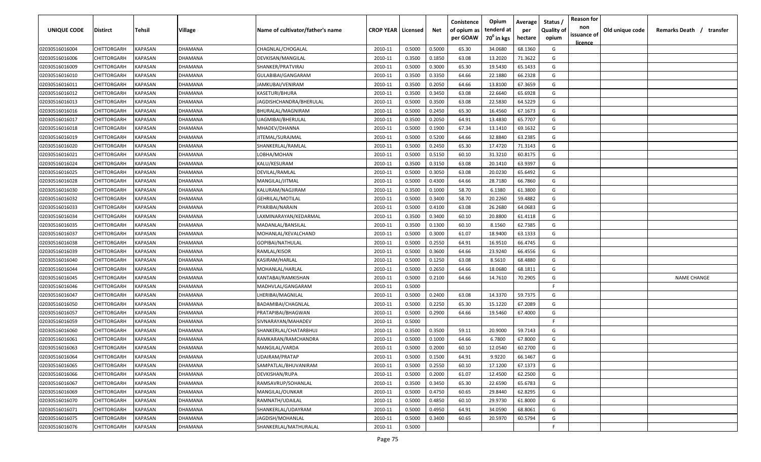| <u>licence</u><br>68.1360<br>02030516016004<br>CHITTORGARH<br><b>KAPASAN</b><br>CHAGNLAL/CHOGALAL<br>0.5000<br>0.5000<br>65.30<br>34.0680<br>G<br>DHAMANA<br>2010-11<br>KAPASAN<br>0.1850<br>63.08<br>71.3622<br>G<br>02030516016006<br>CHITTORGARH<br>DHAMANA<br>DEVKISAN/MANGILAL<br>2010-11<br>0.3500<br>13.2020<br>02030516016009<br>CHITTORGARH<br>KAPASAN<br>SHANKER/PRATVIRAJ<br>0.5000<br>0.3000<br>65.30<br>19.5430<br>65.1433<br>G<br>DHAMANA<br>2010-11<br>64.66<br>66.2328<br>02030516016010<br>CHITTORGARH<br>KAPASAN<br>DHAMANA<br>GULABIBAI/GANGARAM<br>2010-11<br>0.3500<br>0.3350<br>22.1880<br>G<br>64.66<br>02030516016011<br>CHITTORGARH<br>KAPASAN<br>DHAMANA<br>JAMKUBAI/VENIRAM<br>2010-11<br>0.3500<br>0.2050<br>13.8100<br>67.3659<br>G<br>2010-11<br>0.3500<br>0.3450<br>63.08<br>22.6640<br>65.6928<br>02030516016012<br>CHITTORGARH<br>KAPASAN<br>KASETURI/BHURA<br>G<br>DHAMANA<br>02030516016013<br>CHITTORGARH<br>0.5000<br>0.3500<br>63.08<br>22.5830<br>64.5229<br>KAPASAN<br>DHAMANA<br>JAGDISHCHANDRA/BHERULAL<br>2010-11<br>G<br>0.5000<br>02030516016016<br>CHITTORGARH<br>KAPASAN<br>DHAMANA<br>BHURALAL/MAGNIRAM<br>2010-11<br>0.2450<br>65.30<br>16.4560<br>67.1673<br>G<br>02030516016017<br>CHITTORGARH<br>KAPASAN<br>2010-11<br>0.3500<br>0.2050<br>64.91<br>13.4830<br>65.7707<br>G<br>DHAMANA<br>UAGMIBAI/BHERULAL<br>67.34<br>G<br>KAPASAN<br>2010-11<br>0.5000<br>0.1900<br>13.1410<br>69.1632<br>02030516016018<br>CHITTORGARH<br>DHAMANA<br>MHADEV/DHANNA<br>64.66<br>32.8840<br>CHITTORGARH<br>KAPASAN<br>2010-11<br>0.5000<br>0.5200<br>63.2385<br>G<br>02030516016019<br>IITEMAL/SURAJMAL<br>)HAMANA<br>65.30<br>17.4720<br>71.3143<br>G<br>CHITTORGARH<br>KAPASAN<br>2010-11<br>0.5000<br>0.2450<br>02030516016020<br>DHAMANA<br>SHANKERLAL/RAMLAL<br>60.10<br>CHITTORGARH<br>KAPASAN<br>2010-11<br>0.5000<br>0.5150<br>31.3210<br>60.8175<br>G<br>02030516016021<br>DHAMANA<br>LOBHA/MOHAN<br>KAPASAN<br>0.3150<br>63.08<br>63.9397<br>G<br>CHITTORGARH<br>2010-11<br>0.3500<br>20.1410<br>02030516016024<br>DHAMANA<br>KALU/KESURAM<br>20.0230<br>CHITTORGARH<br>KAPASAN<br>2010-11<br>0.5000<br>0.3050<br>63.08<br>65.6492<br>G<br>02030516016025<br>DHAMANA<br>DEVILAL/RAMLAL<br>CHITTORGARH<br>KAPASAN<br>0.5000<br>0.4300<br>64.66<br>28.7180<br>66.7860<br>G<br>02030516016028<br>MANGILAL/JITMAL<br>2010-11<br>DHAMANA<br>61.3800<br>02030516016030<br>CHITTORGARH<br>KAPASAN<br>DHAMANA<br>2010-11<br>0.3500<br>0.1000<br>58.70<br>6.1380<br>G<br>KALURAM/NAGJIRAM<br>59.4882<br>CHITTORGARH<br>KAPASAN<br>0.5000<br>0.3400<br>58.70<br>20.2260<br>G<br>02030516016032<br>DHAMANA<br><b>GEHRILAL/MOTILAL</b><br>2010-11<br>KAPASAN<br>0.5000<br>0.4100<br>63.08<br>26.2680<br>64.0683<br>G<br>02030516016033<br>CHITTORGARH<br>DHAMANA<br>PYARIBAI/NARAIN<br>2010-11<br>KAPASAN<br>02030516016034<br>CHITTORGARH<br>LAXMINARAYAN/KEDARMAL<br>0.3500<br>0.3400<br>60.10<br>20.8800<br>61.4118<br>G<br>DHAMANA<br>2010-11 | <b>UNIQUE CODE</b> | Distirct | Tehsil | Village | Name of cultivator/father's name | <b>CROP YEAR   Licensed</b> | Net | Conistence<br>of opium as | Opium<br>tenderd at    | Average<br>per | Status /<br><b>Quality of</b> | <b>Reason for</b><br>non<br>issuance of | Old unique code | Remarks Death / transfer |
|---------------------------------------------------------------------------------------------------------------------------------------------------------------------------------------------------------------------------------------------------------------------------------------------------------------------------------------------------------------------------------------------------------------------------------------------------------------------------------------------------------------------------------------------------------------------------------------------------------------------------------------------------------------------------------------------------------------------------------------------------------------------------------------------------------------------------------------------------------------------------------------------------------------------------------------------------------------------------------------------------------------------------------------------------------------------------------------------------------------------------------------------------------------------------------------------------------------------------------------------------------------------------------------------------------------------------------------------------------------------------------------------------------------------------------------------------------------------------------------------------------------------------------------------------------------------------------------------------------------------------------------------------------------------------------------------------------------------------------------------------------------------------------------------------------------------------------------------------------------------------------------------------------------------------------------------------------------------------------------------------------------------------------------------------------------------------------------------------------------------------------------------------------------------------------------------------------------------------------------------------------------------------------------------------------------------------------------------------------------------------------------------------------------------------------------------------------------------------------------------------------------------------------------------------------------------------------------------------------------------------------------------------------------------------------------------------------------------------------------------------------------------------------------------------------------------------------------------------------------------------------------------------------------------------------------------------------------------------------------|--------------------|----------|--------|---------|----------------------------------|-----------------------------|-----|---------------------------|------------------------|----------------|-------------------------------|-----------------------------------------|-----------------|--------------------------|
|                                                                                                                                                                                                                                                                                                                                                                                                                                                                                                                                                                                                                                                                                                                                                                                                                                                                                                                                                                                                                                                                                                                                                                                                                                                                                                                                                                                                                                                                                                                                                                                                                                                                                                                                                                                                                                                                                                                                                                                                                                                                                                                                                                                                                                                                                                                                                                                                                                                                                                                                                                                                                                                                                                                                                                                                                                                                                                                                                                                       |                    |          |        |         |                                  |                             |     | per GOAW                  | 70 <sup>0</sup> in kgs | hectare        | opium                         |                                         |                 |                          |
|                                                                                                                                                                                                                                                                                                                                                                                                                                                                                                                                                                                                                                                                                                                                                                                                                                                                                                                                                                                                                                                                                                                                                                                                                                                                                                                                                                                                                                                                                                                                                                                                                                                                                                                                                                                                                                                                                                                                                                                                                                                                                                                                                                                                                                                                                                                                                                                                                                                                                                                                                                                                                                                                                                                                                                                                                                                                                                                                                                                       |                    |          |        |         |                                  |                             |     |                           |                        |                |                               |                                         |                 |                          |
|                                                                                                                                                                                                                                                                                                                                                                                                                                                                                                                                                                                                                                                                                                                                                                                                                                                                                                                                                                                                                                                                                                                                                                                                                                                                                                                                                                                                                                                                                                                                                                                                                                                                                                                                                                                                                                                                                                                                                                                                                                                                                                                                                                                                                                                                                                                                                                                                                                                                                                                                                                                                                                                                                                                                                                                                                                                                                                                                                                                       |                    |          |        |         |                                  |                             |     |                           |                        |                |                               |                                         |                 |                          |
|                                                                                                                                                                                                                                                                                                                                                                                                                                                                                                                                                                                                                                                                                                                                                                                                                                                                                                                                                                                                                                                                                                                                                                                                                                                                                                                                                                                                                                                                                                                                                                                                                                                                                                                                                                                                                                                                                                                                                                                                                                                                                                                                                                                                                                                                                                                                                                                                                                                                                                                                                                                                                                                                                                                                                                                                                                                                                                                                                                                       |                    |          |        |         |                                  |                             |     |                           |                        |                |                               |                                         |                 |                          |
|                                                                                                                                                                                                                                                                                                                                                                                                                                                                                                                                                                                                                                                                                                                                                                                                                                                                                                                                                                                                                                                                                                                                                                                                                                                                                                                                                                                                                                                                                                                                                                                                                                                                                                                                                                                                                                                                                                                                                                                                                                                                                                                                                                                                                                                                                                                                                                                                                                                                                                                                                                                                                                                                                                                                                                                                                                                                                                                                                                                       |                    |          |        |         |                                  |                             |     |                           |                        |                |                               |                                         |                 |                          |
|                                                                                                                                                                                                                                                                                                                                                                                                                                                                                                                                                                                                                                                                                                                                                                                                                                                                                                                                                                                                                                                                                                                                                                                                                                                                                                                                                                                                                                                                                                                                                                                                                                                                                                                                                                                                                                                                                                                                                                                                                                                                                                                                                                                                                                                                                                                                                                                                                                                                                                                                                                                                                                                                                                                                                                                                                                                                                                                                                                                       |                    |          |        |         |                                  |                             |     |                           |                        |                |                               |                                         |                 |                          |
|                                                                                                                                                                                                                                                                                                                                                                                                                                                                                                                                                                                                                                                                                                                                                                                                                                                                                                                                                                                                                                                                                                                                                                                                                                                                                                                                                                                                                                                                                                                                                                                                                                                                                                                                                                                                                                                                                                                                                                                                                                                                                                                                                                                                                                                                                                                                                                                                                                                                                                                                                                                                                                                                                                                                                                                                                                                                                                                                                                                       |                    |          |        |         |                                  |                             |     |                           |                        |                |                               |                                         |                 |                          |
|                                                                                                                                                                                                                                                                                                                                                                                                                                                                                                                                                                                                                                                                                                                                                                                                                                                                                                                                                                                                                                                                                                                                                                                                                                                                                                                                                                                                                                                                                                                                                                                                                                                                                                                                                                                                                                                                                                                                                                                                                                                                                                                                                                                                                                                                                                                                                                                                                                                                                                                                                                                                                                                                                                                                                                                                                                                                                                                                                                                       |                    |          |        |         |                                  |                             |     |                           |                        |                |                               |                                         |                 |                          |
|                                                                                                                                                                                                                                                                                                                                                                                                                                                                                                                                                                                                                                                                                                                                                                                                                                                                                                                                                                                                                                                                                                                                                                                                                                                                                                                                                                                                                                                                                                                                                                                                                                                                                                                                                                                                                                                                                                                                                                                                                                                                                                                                                                                                                                                                                                                                                                                                                                                                                                                                                                                                                                                                                                                                                                                                                                                                                                                                                                                       |                    |          |        |         |                                  |                             |     |                           |                        |                |                               |                                         |                 |                          |
|                                                                                                                                                                                                                                                                                                                                                                                                                                                                                                                                                                                                                                                                                                                                                                                                                                                                                                                                                                                                                                                                                                                                                                                                                                                                                                                                                                                                                                                                                                                                                                                                                                                                                                                                                                                                                                                                                                                                                                                                                                                                                                                                                                                                                                                                                                                                                                                                                                                                                                                                                                                                                                                                                                                                                                                                                                                                                                                                                                                       |                    |          |        |         |                                  |                             |     |                           |                        |                |                               |                                         |                 |                          |
|                                                                                                                                                                                                                                                                                                                                                                                                                                                                                                                                                                                                                                                                                                                                                                                                                                                                                                                                                                                                                                                                                                                                                                                                                                                                                                                                                                                                                                                                                                                                                                                                                                                                                                                                                                                                                                                                                                                                                                                                                                                                                                                                                                                                                                                                                                                                                                                                                                                                                                                                                                                                                                                                                                                                                                                                                                                                                                                                                                                       |                    |          |        |         |                                  |                             |     |                           |                        |                |                               |                                         |                 |                          |
|                                                                                                                                                                                                                                                                                                                                                                                                                                                                                                                                                                                                                                                                                                                                                                                                                                                                                                                                                                                                                                                                                                                                                                                                                                                                                                                                                                                                                                                                                                                                                                                                                                                                                                                                                                                                                                                                                                                                                                                                                                                                                                                                                                                                                                                                                                                                                                                                                                                                                                                                                                                                                                                                                                                                                                                                                                                                                                                                                                                       |                    |          |        |         |                                  |                             |     |                           |                        |                |                               |                                         |                 |                          |
|                                                                                                                                                                                                                                                                                                                                                                                                                                                                                                                                                                                                                                                                                                                                                                                                                                                                                                                                                                                                                                                                                                                                                                                                                                                                                                                                                                                                                                                                                                                                                                                                                                                                                                                                                                                                                                                                                                                                                                                                                                                                                                                                                                                                                                                                                                                                                                                                                                                                                                                                                                                                                                                                                                                                                                                                                                                                                                                                                                                       |                    |          |        |         |                                  |                             |     |                           |                        |                |                               |                                         |                 |                          |
|                                                                                                                                                                                                                                                                                                                                                                                                                                                                                                                                                                                                                                                                                                                                                                                                                                                                                                                                                                                                                                                                                                                                                                                                                                                                                                                                                                                                                                                                                                                                                                                                                                                                                                                                                                                                                                                                                                                                                                                                                                                                                                                                                                                                                                                                                                                                                                                                                                                                                                                                                                                                                                                                                                                                                                                                                                                                                                                                                                                       |                    |          |        |         |                                  |                             |     |                           |                        |                |                               |                                         |                 |                          |
|                                                                                                                                                                                                                                                                                                                                                                                                                                                                                                                                                                                                                                                                                                                                                                                                                                                                                                                                                                                                                                                                                                                                                                                                                                                                                                                                                                                                                                                                                                                                                                                                                                                                                                                                                                                                                                                                                                                                                                                                                                                                                                                                                                                                                                                                                                                                                                                                                                                                                                                                                                                                                                                                                                                                                                                                                                                                                                                                                                                       |                    |          |        |         |                                  |                             |     |                           |                        |                |                               |                                         |                 |                          |
|                                                                                                                                                                                                                                                                                                                                                                                                                                                                                                                                                                                                                                                                                                                                                                                                                                                                                                                                                                                                                                                                                                                                                                                                                                                                                                                                                                                                                                                                                                                                                                                                                                                                                                                                                                                                                                                                                                                                                                                                                                                                                                                                                                                                                                                                                                                                                                                                                                                                                                                                                                                                                                                                                                                                                                                                                                                                                                                                                                                       |                    |          |        |         |                                  |                             |     |                           |                        |                |                               |                                         |                 |                          |
|                                                                                                                                                                                                                                                                                                                                                                                                                                                                                                                                                                                                                                                                                                                                                                                                                                                                                                                                                                                                                                                                                                                                                                                                                                                                                                                                                                                                                                                                                                                                                                                                                                                                                                                                                                                                                                                                                                                                                                                                                                                                                                                                                                                                                                                                                                                                                                                                                                                                                                                                                                                                                                                                                                                                                                                                                                                                                                                                                                                       |                    |          |        |         |                                  |                             |     |                           |                        |                |                               |                                         |                 |                          |
|                                                                                                                                                                                                                                                                                                                                                                                                                                                                                                                                                                                                                                                                                                                                                                                                                                                                                                                                                                                                                                                                                                                                                                                                                                                                                                                                                                                                                                                                                                                                                                                                                                                                                                                                                                                                                                                                                                                                                                                                                                                                                                                                                                                                                                                                                                                                                                                                                                                                                                                                                                                                                                                                                                                                                                                                                                                                                                                                                                                       |                    |          |        |         |                                  |                             |     |                           |                        |                |                               |                                         |                 |                          |
|                                                                                                                                                                                                                                                                                                                                                                                                                                                                                                                                                                                                                                                                                                                                                                                                                                                                                                                                                                                                                                                                                                                                                                                                                                                                                                                                                                                                                                                                                                                                                                                                                                                                                                                                                                                                                                                                                                                                                                                                                                                                                                                                                                                                                                                                                                                                                                                                                                                                                                                                                                                                                                                                                                                                                                                                                                                                                                                                                                                       |                    |          |        |         |                                  |                             |     |                           |                        |                |                               |                                         |                 |                          |
|                                                                                                                                                                                                                                                                                                                                                                                                                                                                                                                                                                                                                                                                                                                                                                                                                                                                                                                                                                                                                                                                                                                                                                                                                                                                                                                                                                                                                                                                                                                                                                                                                                                                                                                                                                                                                                                                                                                                                                                                                                                                                                                                                                                                                                                                                                                                                                                                                                                                                                                                                                                                                                                                                                                                                                                                                                                                                                                                                                                       |                    |          |        |         |                                  |                             |     |                           |                        |                |                               |                                         |                 |                          |
|                                                                                                                                                                                                                                                                                                                                                                                                                                                                                                                                                                                                                                                                                                                                                                                                                                                                                                                                                                                                                                                                                                                                                                                                                                                                                                                                                                                                                                                                                                                                                                                                                                                                                                                                                                                                                                                                                                                                                                                                                                                                                                                                                                                                                                                                                                                                                                                                                                                                                                                                                                                                                                                                                                                                                                                                                                                                                                                                                                                       |                    |          |        |         |                                  |                             |     |                           |                        |                |                               |                                         |                 |                          |
| CHITTORGARH<br>KAPASAN<br>02030516016035<br>DHAMANA<br>MADANLAL/BANSILAL<br>2010-11<br>0.3500<br>0.1300<br>60.10<br>8.1560<br>62.7385<br>G                                                                                                                                                                                                                                                                                                                                                                                                                                                                                                                                                                                                                                                                                                                                                                                                                                                                                                                                                                                                                                                                                                                                                                                                                                                                                                                                                                                                                                                                                                                                                                                                                                                                                                                                                                                                                                                                                                                                                                                                                                                                                                                                                                                                                                                                                                                                                                                                                                                                                                                                                                                                                                                                                                                                                                                                                                            |                    |          |        |         |                                  |                             |     |                           |                        |                |                               |                                         |                 |                          |
| KAPASAN<br>2010-11<br>0.5000<br>0.3000<br>61.07<br>18.9400<br>63.1333<br>02030516016037<br>CHITTORGARH<br>DHAMANA<br>MOHANLAL/KEVALCHAND<br>G                                                                                                                                                                                                                                                                                                                                                                                                                                                                                                                                                                                                                                                                                                                                                                                                                                                                                                                                                                                                                                                                                                                                                                                                                                                                                                                                                                                                                                                                                                                                                                                                                                                                                                                                                                                                                                                                                                                                                                                                                                                                                                                                                                                                                                                                                                                                                                                                                                                                                                                                                                                                                                                                                                                                                                                                                                         |                    |          |        |         |                                  |                             |     |                           |                        |                |                               |                                         |                 |                          |
| CHITTORGARH<br>0.5000<br>0.2550<br>64.91<br>16.9510<br>66.4745<br>02030516016038<br>KAPASAN<br>DHAMANA<br>GOPIBAI/NATHULAL<br>2010-11<br>G                                                                                                                                                                                                                                                                                                                                                                                                                                                                                                                                                                                                                                                                                                                                                                                                                                                                                                                                                                                                                                                                                                                                                                                                                                                                                                                                                                                                                                                                                                                                                                                                                                                                                                                                                                                                                                                                                                                                                                                                                                                                                                                                                                                                                                                                                                                                                                                                                                                                                                                                                                                                                                                                                                                                                                                                                                            |                    |          |        |         |                                  |                             |     |                           |                        |                |                               |                                         |                 |                          |
| CHITTORGARH<br>0.5000<br>0.3600<br>64.66<br>23.9240<br>66.4556<br>02030516016039<br>KAPASAN<br>DHAMANA<br>RAMLAL/KISOR<br>2010-11<br>G                                                                                                                                                                                                                                                                                                                                                                                                                                                                                                                                                                                                                                                                                                                                                                                                                                                                                                                                                                                                                                                                                                                                                                                                                                                                                                                                                                                                                                                                                                                                                                                                                                                                                                                                                                                                                                                                                                                                                                                                                                                                                                                                                                                                                                                                                                                                                                                                                                                                                                                                                                                                                                                                                                                                                                                                                                                |                    |          |        |         |                                  |                             |     |                           |                        |                |                               |                                         |                 |                          |
| 02030516016040<br>CHITTORGARH<br>KAPASAN<br>DHAMANA<br>KASIRAM/HARLAL<br>2010-11<br>0.5000<br>0.1250<br>63.08<br>8.5610<br>68.4880<br>G                                                                                                                                                                                                                                                                                                                                                                                                                                                                                                                                                                                                                                                                                                                                                                                                                                                                                                                                                                                                                                                                                                                                                                                                                                                                                                                                                                                                                                                                                                                                                                                                                                                                                                                                                                                                                                                                                                                                                                                                                                                                                                                                                                                                                                                                                                                                                                                                                                                                                                                                                                                                                                                                                                                                                                                                                                               |                    |          |        |         |                                  |                             |     |                           |                        |                |                               |                                         |                 |                          |
| KAPASAN<br>2010-11<br>0.5000<br>0.2650<br>64.66<br>18.0680<br>68.1811<br>G<br>02030516016044<br>CHITTORGARH<br>DHAMANA<br>MOHANLAL/HARLAL                                                                                                                                                                                                                                                                                                                                                                                                                                                                                                                                                                                                                                                                                                                                                                                                                                                                                                                                                                                                                                                                                                                                                                                                                                                                                                                                                                                                                                                                                                                                                                                                                                                                                                                                                                                                                                                                                                                                                                                                                                                                                                                                                                                                                                                                                                                                                                                                                                                                                                                                                                                                                                                                                                                                                                                                                                             |                    |          |        |         |                                  |                             |     |                           |                        |                |                               |                                         |                 |                          |
| KAPASAN<br>0.5000<br>64.66<br>G<br>02030516016045<br>CHITTORGARH<br>DHAMANA<br>KANTABAI/RAMKISHAN<br>2010-11<br>0.2100<br>14.7610<br>70.2905<br><b>NAME CHANGE</b>                                                                                                                                                                                                                                                                                                                                                                                                                                                                                                                                                                                                                                                                                                                                                                                                                                                                                                                                                                                                                                                                                                                                                                                                                                                                                                                                                                                                                                                                                                                                                                                                                                                                                                                                                                                                                                                                                                                                                                                                                                                                                                                                                                                                                                                                                                                                                                                                                                                                                                                                                                                                                                                                                                                                                                                                                    |                    |          |        |         |                                  |                             |     |                           |                        |                |                               |                                         |                 |                          |
| KAPASAN<br>0.5000<br>-F.<br>02030516016046<br>CHITTORGARH<br>MADHVLAL/GANGARAM<br>2010-11<br>)HAMANA                                                                                                                                                                                                                                                                                                                                                                                                                                                                                                                                                                                                                                                                                                                                                                                                                                                                                                                                                                                                                                                                                                                                                                                                                                                                                                                                                                                                                                                                                                                                                                                                                                                                                                                                                                                                                                                                                                                                                                                                                                                                                                                                                                                                                                                                                                                                                                                                                                                                                                                                                                                                                                                                                                                                                                                                                                                                                  |                    |          |        |         |                                  |                             |     |                           |                        |                |                               |                                         |                 |                          |
| G<br>CHITTORGARH<br>KAPASAN<br>2010-11<br>0.5000<br>0.2400<br>63.08<br>14.3370<br>59.7375<br>02030516016047<br>DHAMANA<br>LHERIBAI/MAGNILAL                                                                                                                                                                                                                                                                                                                                                                                                                                                                                                                                                                                                                                                                                                                                                                                                                                                                                                                                                                                                                                                                                                                                                                                                                                                                                                                                                                                                                                                                                                                                                                                                                                                                                                                                                                                                                                                                                                                                                                                                                                                                                                                                                                                                                                                                                                                                                                                                                                                                                                                                                                                                                                                                                                                                                                                                                                           |                    |          |        |         |                                  |                             |     |                           |                        |                |                               |                                         |                 |                          |
| KAPASAN<br>2010-11<br>0.5000<br>0.2250<br>65.30<br>15.1220<br>67.2089<br>G<br>02030516016050<br>CHITTORGARH<br>DHAMANA<br>BADAMIBAI/CHAGNLAL                                                                                                                                                                                                                                                                                                                                                                                                                                                                                                                                                                                                                                                                                                                                                                                                                                                                                                                                                                                                                                                                                                                                                                                                                                                                                                                                                                                                                                                                                                                                                                                                                                                                                                                                                                                                                                                                                                                                                                                                                                                                                                                                                                                                                                                                                                                                                                                                                                                                                                                                                                                                                                                                                                                                                                                                                                          |                    |          |        |         |                                  |                             |     |                           |                        |                |                               |                                         |                 |                          |
| 64.66<br>G<br>KAPASAN<br>2010-11<br>0.5000<br>0.2900<br>19.5460<br>67.4000<br>02030516016057<br>CHITTORGARH<br>DHAMANA<br>PRATAPIBAI/BHAGWAN                                                                                                                                                                                                                                                                                                                                                                                                                                                                                                                                                                                                                                                                                                                                                                                                                                                                                                                                                                                                                                                                                                                                                                                                                                                                                                                                                                                                                                                                                                                                                                                                                                                                                                                                                                                                                                                                                                                                                                                                                                                                                                                                                                                                                                                                                                                                                                                                                                                                                                                                                                                                                                                                                                                                                                                                                                          |                    |          |        |         |                                  |                             |     |                           |                        |                |                               |                                         |                 |                          |
| 0.5000<br>02030516016059<br>CHITTORGARH<br>KAPASAN<br>2010-11<br>DHAMANA<br>SIVNARAYAN/MAHADEV<br>-F.                                                                                                                                                                                                                                                                                                                                                                                                                                                                                                                                                                                                                                                                                                                                                                                                                                                                                                                                                                                                                                                                                                                                                                                                                                                                                                                                                                                                                                                                                                                                                                                                                                                                                                                                                                                                                                                                                                                                                                                                                                                                                                                                                                                                                                                                                                                                                                                                                                                                                                                                                                                                                                                                                                                                                                                                                                                                                 |                    |          |        |         |                                  |                             |     |                           |                        |                |                               |                                         |                 |                          |
| 02030516016060<br>CHITTORGARH<br>KAPASAN<br>DHAMANA<br>2010-11<br>0.3500<br>0.3500<br>59.11<br>20.9000<br>59.7143<br>G<br>SHANKERLAL/CHATARBHUJ                                                                                                                                                                                                                                                                                                                                                                                                                                                                                                                                                                                                                                                                                                                                                                                                                                                                                                                                                                                                                                                                                                                                                                                                                                                                                                                                                                                                                                                                                                                                                                                                                                                                                                                                                                                                                                                                                                                                                                                                                                                                                                                                                                                                                                                                                                                                                                                                                                                                                                                                                                                                                                                                                                                                                                                                                                       |                    |          |        |         |                                  |                             |     |                           |                        |                |                               |                                         |                 |                          |
| KAPASAN<br>0.5000<br>0.1000<br>64.66<br>67.8000<br>G<br>02030516016061<br>CHITTORGARH<br>DHAMANA<br>RAMKARAN/RAMCHANDRA<br>2010-11<br>6.7800                                                                                                                                                                                                                                                                                                                                                                                                                                                                                                                                                                                                                                                                                                                                                                                                                                                                                                                                                                                                                                                                                                                                                                                                                                                                                                                                                                                                                                                                                                                                                                                                                                                                                                                                                                                                                                                                                                                                                                                                                                                                                                                                                                                                                                                                                                                                                                                                                                                                                                                                                                                                                                                                                                                                                                                                                                          |                    |          |        |         |                                  |                             |     |                           |                        |                |                               |                                         |                 |                          |
| KAPASAN<br>2010-11<br>0.5000<br>0.2000<br>60.10<br>12.0540<br>60.2700<br>G<br>02030516016063<br>CHITTORGARH<br>DHAMANA<br>MANGILAL/VARDA                                                                                                                                                                                                                                                                                                                                                                                                                                                                                                                                                                                                                                                                                                                                                                                                                                                                                                                                                                                                                                                                                                                                                                                                                                                                                                                                                                                                                                                                                                                                                                                                                                                                                                                                                                                                                                                                                                                                                                                                                                                                                                                                                                                                                                                                                                                                                                                                                                                                                                                                                                                                                                                                                                                                                                                                                                              |                    |          |        |         |                                  |                             |     |                           |                        |                |                               |                                         |                 |                          |
| 0.5000<br>0.1500<br>9.9220<br>66.1467<br>02030516016064<br><b>CHITTORGARH</b><br>KAPASAN<br>DHAMANA<br><b>UDAIRAM/PRATAP</b><br>2010-11<br>64.91<br>G                                                                                                                                                                                                                                                                                                                                                                                                                                                                                                                                                                                                                                                                                                                                                                                                                                                                                                                                                                                                                                                                                                                                                                                                                                                                                                                                                                                                                                                                                                                                                                                                                                                                                                                                                                                                                                                                                                                                                                                                                                                                                                                                                                                                                                                                                                                                                                                                                                                                                                                                                                                                                                                                                                                                                                                                                                 |                    |          |        |         |                                  |                             |     |                           |                        |                |                               |                                         |                 |                          |
| CHITTORGARH<br><b>KAPASAN</b><br>0.5000<br>0.2550<br>67.1373<br>G<br>02030516016065<br>DHAMANA<br>SAMPATLAL/BHUVANIRAM<br>2010-11<br>60.10<br>17.1200                                                                                                                                                                                                                                                                                                                                                                                                                                                                                                                                                                                                                                                                                                                                                                                                                                                                                                                                                                                                                                                                                                                                                                                                                                                                                                                                                                                                                                                                                                                                                                                                                                                                                                                                                                                                                                                                                                                                                                                                                                                                                                                                                                                                                                                                                                                                                                                                                                                                                                                                                                                                                                                                                                                                                                                                                                 |                    |          |        |         |                                  |                             |     |                           |                        |                |                               |                                         |                 |                          |
| <b>CHITTORGARH</b><br><b>KAPASAN</b><br>0.2000<br>62.2500<br>02030516016066<br>DHAMANA<br>DEVKISHAN/RUPA<br>2010-11<br>0.5000<br>61.07<br>12.4500<br>G                                                                                                                                                                                                                                                                                                                                                                                                                                                                                                                                                                                                                                                                                                                                                                                                                                                                                                                                                                                                                                                                                                                                                                                                                                                                                                                                                                                                                                                                                                                                                                                                                                                                                                                                                                                                                                                                                                                                                                                                                                                                                                                                                                                                                                                                                                                                                                                                                                                                                                                                                                                                                                                                                                                                                                                                                                |                    |          |        |         |                                  |                             |     |                           |                        |                |                               |                                         |                 |                          |
| 0.3450<br>22.6590<br>G<br>02030516016067<br>CHITTORGARH<br>KAPASAN<br>DHAMANA<br>RAMSAVRUP/SOHANLAL<br>2010-11<br>0.3500<br>65.30<br>65.6783                                                                                                                                                                                                                                                                                                                                                                                                                                                                                                                                                                                                                                                                                                                                                                                                                                                                                                                                                                                                                                                                                                                                                                                                                                                                                                                                                                                                                                                                                                                                                                                                                                                                                                                                                                                                                                                                                                                                                                                                                                                                                                                                                                                                                                                                                                                                                                                                                                                                                                                                                                                                                                                                                                                                                                                                                                          |                    |          |        |         |                                  |                             |     |                           |                        |                |                               |                                         |                 |                          |
| 0.4750<br>29.8440<br>62.8295<br>G<br>02030516016069<br>CHITTORGARH<br>KAPASAN<br>DHAMANA<br>MANGILAL/OUNKAR<br>2010-11<br>0.5000<br>60.65                                                                                                                                                                                                                                                                                                                                                                                                                                                                                                                                                                                                                                                                                                                                                                                                                                                                                                                                                                                                                                                                                                                                                                                                                                                                                                                                                                                                                                                                                                                                                                                                                                                                                                                                                                                                                                                                                                                                                                                                                                                                                                                                                                                                                                                                                                                                                                                                                                                                                                                                                                                                                                                                                                                                                                                                                                             |                    |          |        |         |                                  |                             |     |                           |                        |                |                               |                                         |                 |                          |
| 0.4850<br>29.9730<br>G<br>02030516016070<br>CHITTORGARH<br>KAPASAN<br>DHAMANA<br>RAMNATH/UDAILAL<br>2010-11<br>0.5000<br>60.10<br>61.8000                                                                                                                                                                                                                                                                                                                                                                                                                                                                                                                                                                                                                                                                                                                                                                                                                                                                                                                                                                                                                                                                                                                                                                                                                                                                                                                                                                                                                                                                                                                                                                                                                                                                                                                                                                                                                                                                                                                                                                                                                                                                                                                                                                                                                                                                                                                                                                                                                                                                                                                                                                                                                                                                                                                                                                                                                                             |                    |          |        |         |                                  |                             |     |                           |                        |                |                               |                                         |                 |                          |
| 02030516016071<br>CHITTORGARH<br>KAPASAN<br>DHAMANA<br>SHANKERLAL/UDAYRAM<br>2010-11<br>0.5000<br>0.4950<br>64.91<br>34.0590<br>68.8061<br>G                                                                                                                                                                                                                                                                                                                                                                                                                                                                                                                                                                                                                                                                                                                                                                                                                                                                                                                                                                                                                                                                                                                                                                                                                                                                                                                                                                                                                                                                                                                                                                                                                                                                                                                                                                                                                                                                                                                                                                                                                                                                                                                                                                                                                                                                                                                                                                                                                                                                                                                                                                                                                                                                                                                                                                                                                                          |                    |          |        |         |                                  |                             |     |                           |                        |                |                               |                                         |                 |                          |
| G<br>02030516016075<br>KAPASAN<br>2010-11<br>0.5000<br>0.3400<br>60.65<br>20.5970<br>60.5794<br>CHITTORGARH<br>DHAMANA<br>JAGDISH/MOHANLAL                                                                                                                                                                                                                                                                                                                                                                                                                                                                                                                                                                                                                                                                                                                                                                                                                                                                                                                                                                                                                                                                                                                                                                                                                                                                                                                                                                                                                                                                                                                                                                                                                                                                                                                                                                                                                                                                                                                                                                                                                                                                                                                                                                                                                                                                                                                                                                                                                                                                                                                                                                                                                                                                                                                                                                                                                                            |                    |          |        |         |                                  |                             |     |                           |                        |                |                               |                                         |                 |                          |
| F.<br>0.5000<br>02030516016076<br><b>CHITTORGARH</b><br>KAPASAN<br>DHAMANA<br>SHANKERLAL/MATHURALAL<br>2010-11                                                                                                                                                                                                                                                                                                                                                                                                                                                                                                                                                                                                                                                                                                                                                                                                                                                                                                                                                                                                                                                                                                                                                                                                                                                                                                                                                                                                                                                                                                                                                                                                                                                                                                                                                                                                                                                                                                                                                                                                                                                                                                                                                                                                                                                                                                                                                                                                                                                                                                                                                                                                                                                                                                                                                                                                                                                                        |                    |          |        |         |                                  |                             |     |                           |                        |                |                               |                                         |                 |                          |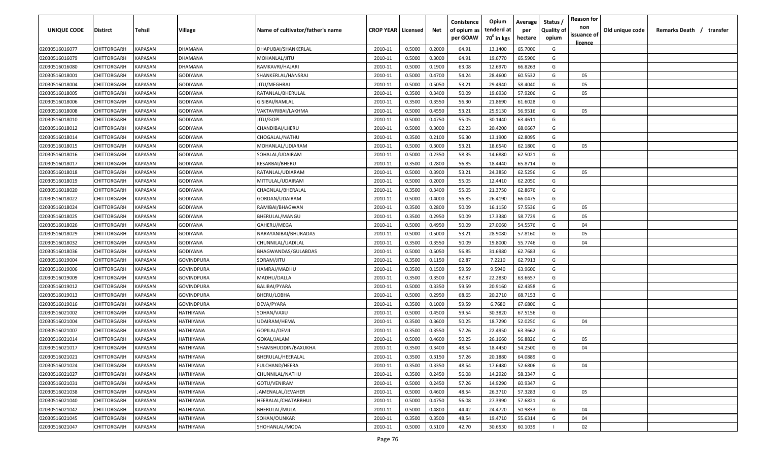| UNIQUE CODE    | Distirct           | Tehsil         | Village         | Name of cultivator/father's name | <b>CROP YEAR   Licensed</b> |        | Net    | Conistence<br>of opium as<br>per GOAW | Opium<br>tenderd at<br>70 <sup>0</sup> in kgs | Average<br>per<br>hectare | Status /<br><b>Quality of</b><br>opium | <b>Reason for</b><br>non<br>issuance of | Old unique code | Remarks Death / transfer |
|----------------|--------------------|----------------|-----------------|----------------------------------|-----------------------------|--------|--------|---------------------------------------|-----------------------------------------------|---------------------------|----------------------------------------|-----------------------------------------|-----------------|--------------------------|
| 02030516016077 | CHITTORGARH        | <b>KAPASAN</b> | DHAMANA         | DHAPUBAI/SHANKERLAL              | 2010-11                     | 0.5000 | 0.2000 | 64.91                                 | 13.1400                                       | 65.7000                   | G                                      | <u>licence</u>                          |                 |                          |
| 02030516016079 | CHITTORGARH        | KAPASAN        | DHAMANA         | MOHANLAL/JITU                    | 2010-11                     | 0.5000 | 0.3000 | 64.91                                 | 19.6770                                       | 65.5900                   | G                                      |                                         |                 |                          |
| 02030516016080 | CHITTORGARH        | KAPASAN        | DHAMANA         | RAMKAVRI/HAJARI                  | 2010-11                     | 0.5000 | 0.1900 | 63.08                                 | 12.6970                                       | 66.8263                   | G                                      |                                         |                 |                          |
| 02030516018001 | CHITTORGARH        | KAPASAN        | GODIYANA        | SHANKERLAL/HANSRAJ               | 2010-11                     | 0.5000 | 0.4700 | 54.24                                 | 28.4600                                       | 60.5532                   | G                                      | 05                                      |                 |                          |
| 02030516018004 | CHITTORGARH        | KAPASAN        | GODIYANA        | JITU/MEGHRAJ                     | 2010-11                     | 0.5000 | 0.5050 | 53.21                                 | 29.4940                                       | 58.4040                   | G                                      | 05                                      |                 |                          |
| 02030516018005 | CHITTORGARH        | KAPASAN        | GODIYANA        | RATANLAL/BHERULAL                | 2010-11                     | 0.3500 | 0.3400 | 50.09                                 | 19.6930                                       | 57.9206                   | G                                      | 05                                      |                 |                          |
| 02030516018006 | CHITTORGARH        | KAPASAN        | GODIYANA        | GISIBAI/RAMLAL                   | 2010-11                     | 0.3500 | 0.3550 | 56.30                                 | 21.8690                                       | 61.6028                   | G                                      |                                         |                 |                          |
| 02030516018008 | CHITTORGARH        | KAPASAN        | GODIYANA        | VAKTAVRIBAI/LAKHMA               | 2010-11                     | 0.5000 | 0.4550 | 53.21                                 | 25.9130                                       | 56.9516                   | G                                      | 05                                      |                 |                          |
| 02030516018010 | CHITTORGARH        | KAPASAN        | GODIYANA        | jitu/gopi                        | 2010-11                     | 0.5000 | 0.4750 | 55.05                                 | 30.1440                                       | 63.4611                   | G                                      |                                         |                 |                          |
| 02030516018012 | CHITTORGARH        | KAPASAN        | GODIYANA        | CHANDIBAI/LHERU                  | 2010-11                     | 0.5000 | 0.3000 | 62.23                                 | 20.4200                                       | 68.0667                   | G                                      |                                         |                 |                          |
| 02030516018014 | CHITTORGARH        | KAPASAN        | GODIYANA        | CHOGALAL/NATHU                   | 2010-11                     | 0.3500 | 0.2100 | 56.30                                 | 13.1900                                       | 62.8095                   | G                                      |                                         |                 |                          |
| 02030516018015 | CHITTORGARH        | KAPASAN        | GODIYANA        | MOHANLAL/UDIARAM                 | 2010-11                     | 0.5000 | 0.3000 | 53.21                                 | 18.6540                                       | 62.1800                   | G                                      | 05                                      |                 |                          |
| 02030516018016 | CHITTORGARH        | KAPASAN        | GODIYANA        | SOHALAL/UDAIRAM                  | 2010-11                     | 0.5000 | 0.2350 | 58.35                                 | 14.6880                                       | 62.5021                   | G                                      |                                         |                 |                          |
| 02030516018017 | CHITTORGARH        | KAPASAN        | GODIYANA        | KESARBAI/BHERU                   | 2010-11                     | 0.3500 | 0.2800 | 56.85                                 | 18.4440                                       | 65.8714                   | G                                      |                                         |                 |                          |
| 02030516018018 | CHITTORGARH        | KAPASAN        | GODIYANA        | RATANLAL/UDIARAM                 | 2010-11                     | 0.5000 | 0.3900 | 53.21                                 | 24.3850                                       | 62.5256                   | G                                      | 05                                      |                 |                          |
| 02030516018019 | CHITTORGARH        | KAPASAN        | GODIYANA        | MITTULAL/UDAIRAM                 | 2010-11                     | 0.5000 | 0.2000 | 55.05                                 | 12.4410                                       | 62.2050                   | G                                      |                                         |                 |                          |
| 02030516018020 | CHITTORGARH        | KAPASAN        | GODIYANA        | CHAGNLAL/BHERALAL                | 2010-11                     | 0.3500 | 0.3400 | 55.05                                 | 21.3750                                       | 62.8676                   | G                                      |                                         |                 |                          |
| 02030516018022 | CHITTORGARH        | KAPASAN        | <b>GODIYANA</b> | GORDAN/UDAIRAM                   | 2010-11                     | 0.5000 | 0.4000 | 56.85                                 | 26.4190                                       | 66.0475                   | G                                      |                                         |                 |                          |
| 02030516018024 | CHITTORGARH        | KAPASAN        | GODIYANA        | RAMIBAI/BHAGWAN                  | 2010-11                     | 0.3500 | 0.2800 | 50.09                                 | 16.1150                                       | 57.5536                   | G                                      | 05                                      |                 |                          |
| 02030516018025 | CHITTORGARH        | KAPASAN        | GODIYANA        | BHERULAL/MANGU                   | 2010-11                     | 0.3500 | 0.2950 | 50.09                                 | 17.3380                                       | 58.7729                   | G                                      | 05                                      |                 |                          |
| 02030516018026 | CHITTORGARH        | KAPASAN        | GODIYANA        | GAHERU/MEGA                      | 2010-11                     | 0.5000 | 0.4950 | 50.09                                 | 27.0060                                       | 54.5576                   | G                                      | 04                                      |                 |                          |
| 02030516018029 | CHITTORGARH        | KAPASAN        | GODIYANA        | NARAYANIBAI/BHURADAS             | 2010-11                     | 0.5000 | 0.5000 | 53.21                                 | 28.9080                                       | 57.8160                   | G                                      | 05                                      |                 |                          |
| 02030516018032 | CHITTORGARH        | KAPASAN        | GODIYANA        | CHUNNILAL/UADILAI                | 2010-11                     | 0.3500 | 0.3550 | 50.09                                 | 19.8000                                       | 55.7746                   | G                                      | 04                                      |                 |                          |
| 02030516018036 | CHITTORGARH        | KAPASAN        | GODIYANA        | BHAGWANDAS/GULABDAS              | 2010-11                     | 0.5000 | 0.5050 | 56.85                                 | 31.6980                                       | 62.7683                   | G                                      |                                         |                 |                          |
| 02030516019004 | CHITTORGARH        | KAPASAN        | GOVINDPURA      | SORAM/JITU                       | 2010-11                     | 0.3500 | 0.1150 | 62.87                                 | 7.2210                                        | 62.7913                   | G                                      |                                         |                 |                          |
| 02030516019006 | CHITTORGARH        | KAPASAN        | GOVINDPURA      | HAMRAJ/MADHU                     | 2010-11                     | 0.3500 | 0.1500 | 59.59                                 | 9.5940                                        | 63.9600                   | G                                      |                                         |                 |                          |
| 02030516019009 | CHITTORGARH        | KAPASAN        | GOVINDPURA      | MADHU/DALLA                      | 2010-11                     | 0.3500 | 0.3500 | 62.87                                 | 22.2830                                       | 63.6657                   | G                                      |                                         |                 |                          |
| 02030516019012 | CHITTORGARH        | KAPASAN        | GOVINDPURA      | BALIBAI/PYARA                    | 2010-11                     | 0.5000 | 0.3350 | 59.59                                 | 20.9160                                       | 62.4358                   | G                                      |                                         |                 |                          |
| 02030516019013 | CHITTORGARH        | KAPASAN        | GOVINDPURA      | BHERU/LOBHA                      | 2010-11                     | 0.5000 | 0.2950 | 68.65                                 | 20.2710                                       | 68.7153                   | G                                      |                                         |                 |                          |
| 02030516019016 | CHITTORGARH        | KAPASAN        | GOVINDPURA      | DEVA/PYARA                       | 2010-11                     | 0.3500 | 0.1000 | 59.59                                 | 6.7680                                        | 67.6800                   | G                                      |                                         |                 |                          |
| 02030516021002 | CHITTORGARH        | KAPASAN        | HATHIYANA       | SOHAN/VAXU                       | 2010-11                     | 0.5000 | 0.4500 | 59.54                                 | 30.3820                                       | 67.5156                   | G                                      |                                         |                 |                          |
| 02030516021004 | CHITTORGARH        | KAPASAN        | HATHIYANA       | UDAIRAM/HEMA                     | 2010-11                     | 0.3500 | 0.3600 | 50.25                                 | 18.7290                                       | 52.0250                   | G                                      | 04                                      |                 |                          |
| 02030516021007 | CHITTORGARH        | KAPASAN        | HATHIYANA       | GOPILAL/DEVJI                    | 2010-11                     | 0.3500 | 0.3550 | 57.26                                 | 22.4950                                       | 63.3662                   | G                                      |                                         |                 |                          |
| 02030516021014 | CHITTORGARH        | KAPASAN        | HATHIYANA       | GOKAL/JALAM                      | 2010-11                     | 0.5000 | 0.4600 | 50.25                                 | 26.1660                                       | 56.8826                   | G                                      | 05                                      |                 |                          |
| 02030516021017 | CHITTORGARH        | KAPASAN        | HATHIYANA       | SHAMSHUDDIN/BAXUKHA              | 2010-11                     | 0.3500 | 0.3400 | 48.54                                 | 18.4450                                       | 54.2500                   | G                                      | 04                                      |                 |                          |
| 02030516021021 | <b>CHITTORGARH</b> | KAPASAN        | HATHIYANA       | BHERULAL/HEERALAL                | 2010-11                     | 0.3500 | 0.3150 | 57.26                                 | 20.1880                                       | 64.0889                   | G                                      |                                         |                 |                          |
| 02030516021024 | CHITTORGARH        | <b>KAPASAN</b> | HATHIYANA       | FULCHAND/HEERA                   | 2010-11                     | 0.3500 | 0.3350 | 48.54                                 | 17.6480                                       | 52.6806                   | G                                      | 04                                      |                 |                          |
| 02030516021027 | CHITTORGARH        | <b>KAPASAN</b> | HATHIYANA       | CHUNNILAL/NATHU                  | 2010-11                     | 0.3500 | 0.2450 | 56.08                                 | 14.2920                                       | 58.3347                   | G                                      |                                         |                 |                          |
| 02030516021031 | <b>CHITTORGARH</b> | <b>KAPASAN</b> | HATHIYANA       | GOTU/VENIRAM                     | 2010-11                     | 0.5000 | 0.2450 | 57.26                                 | 14.9290                                       | 60.9347                   | G                                      |                                         |                 |                          |
| 02030516021038 | CHITTORGARH        | KAPASAN        | HATHIYANA       | JAMENALAL/JEVAHER                | 2010-11                     | 0.5000 | 0.4600 | 48.54                                 | 26.3710                                       | 57.3283                   | G                                      | 05                                      |                 |                          |
| 02030516021040 | <b>CHITTORGARH</b> | KAPASAN        | HATHIYANA       | HEERALAL/CHATARBHUJ              | 2010-11                     | 0.5000 | 0.4750 | 56.08                                 | 27.3990                                       | 57.6821                   | G                                      |                                         |                 |                          |
| 02030516021042 | <b>CHITTORGARH</b> | KAPASAN        | HATHIYANA       | BHERULAL/MULA                    | 2010-11                     | 0.5000 | 0.4800 | 44.42                                 | 24.4720                                       | 50.9833                   | G                                      | 04                                      |                 |                          |
| 02030516021045 | CHITTORGARH        | KAPASAN        | HATHIYANA       | SOHAN/OUNKAR                     | 2010-11                     | 0.3500 | 0.3500 | 48.54                                 | 19.4710                                       | 55.6314                   | G                                      | 04                                      |                 |                          |
| 02030516021047 | CHITTORGARH        | KAPASAN        | HATHIYANA       | SHOHANLAL/MODA                   | 2010-11                     | 0.5000 | 0.5100 | 42.70                                 | 30.6530                                       | 60.1039                   |                                        | 02                                      |                 |                          |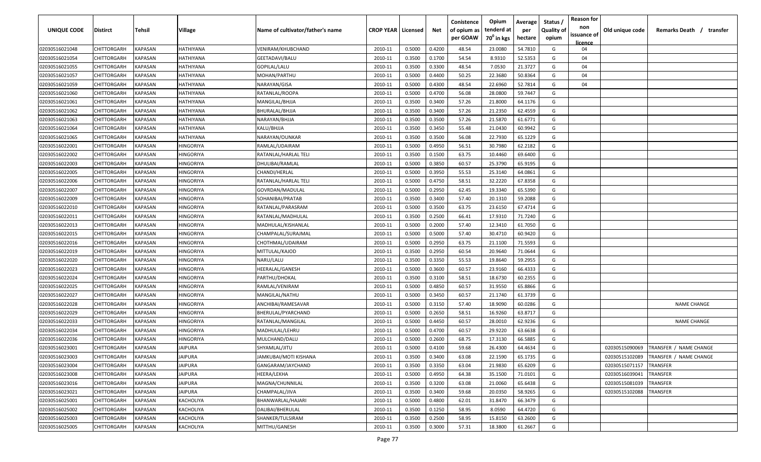| <b>UNIQUE CODE</b> | <b>Distirct</b>    | <b>Tehsil</b>  | Village          | Name of cultivator/father's name | <b>CROP YEAR   Licensed</b> |        | Net    | Conistence<br>of opium as | Opium<br>tenderd at    | Average<br>per | Status /<br><b>Quality of</b> | <b>Reason for</b><br>non<br>issuance of | Old unique code | Remarks Death /<br>transfer |
|--------------------|--------------------|----------------|------------------|----------------------------------|-----------------------------|--------|--------|---------------------------|------------------------|----------------|-------------------------------|-----------------------------------------|-----------------|-----------------------------|
|                    |                    |                |                  |                                  |                             |        |        | per GOAW                  | 70 <sup>0</sup> in kgs | hectare        | opium                         | licence                                 |                 |                             |
| 02030516021048     | CHITTORGARH        | KAPASAN        | HATHIYANA        | VENIRAM/KHUBCHAND                | 2010-11                     | 0.5000 | 0.4200 | 48.54                     | 23.0080                | 54.7810        | G                             | 04                                      |                 |                             |
| 02030516021054     | CHITTORGARH        | KAPASAN        | HATHIYANA        | GEETADAVI/BALU                   | 2010-11                     | 0.3500 | 0.1700 | 54.54                     | 8.9310                 | 52.5353        | G                             | 04                                      |                 |                             |
| 02030516021055     | CHITTORGARH        | KAPASAN        | HATHIYANA        | GOPILAL/LALU                     | 2010-11                     | 0.3500 | 0.3300 | 48.54                     | 7.0530                 | 21.3727        | G                             | 04                                      |                 |                             |
| 02030516021057     | CHITTORGARH        | KAPASAN        | HATHIYANA        | MOHAN/PARTHU                     | 2010-11                     | 0.5000 | 0.4400 | 50.25                     | 22.3680                | 50.8364        | G                             | 04                                      |                 |                             |
| 02030516021059     | CHITTORGARH        | KAPASAN        | HATHIYANA        | NARAYAN/GISA                     | 2010-11                     | 0.5000 | 0.4300 | 48.54                     | 22.6960                | 52.7814        | G                             | 04                                      |                 |                             |
| 02030516021060     | CHITTORGARH        | KAPASAN        | HATHIYANA        | RATANLAL/ROOPA                   | 2010-11                     | 0.5000 | 0.4700 | 56.08                     | 28.0800                | 59.7447        | G                             |                                         |                 |                             |
| 02030516021061     | CHITTORGARH        | KAPASAN        | HATHIYANA        | MANGILAL/BHJJA                   | 2010-11                     | 0.3500 | 0.3400 | 57.26                     | 21.8000                | 64.1176        | G                             |                                         |                 |                             |
| 02030516021062     | CHITTORGARH        | KAPASAN        | HATHIYANA        | BHURALAL/BHJJA                   | 2010-11                     | 0.3500 | 0.3400 | 57.26                     | 21.2350                | 62.4559        | G                             |                                         |                 |                             |
| 02030516021063     | CHITTORGARH        | KAPASAN        | HATHIYANA        | NARAYAN/BHJJA                    | 2010-11                     | 0.3500 | 0.3500 | 57.26                     | 21.5870                | 61.6771        | G                             |                                         |                 |                             |
| 02030516021064     | CHITTORGARH        | KAPASAN        | HATHIYANA        | KALU/BHJJA                       | 2010-11                     | 0.3500 | 0.3450 | 55.48                     | 21.0430                | 60.9942        | G                             |                                         |                 |                             |
| 02030516021065     | CHITTORGARH        | KAPASAN        | HATHIYANA        | NARAYAN/OUNKAR                   | 2010-11                     | 0.3500 | 0.3500 | 56.08                     | 22.7930                | 65.1229        | G                             |                                         |                 |                             |
| 02030516022001     | CHITTORGARH        | KAPASAN        | HINGORIYA        | RAMLAL/UDAIRAM                   | 2010-11                     | 0.5000 | 0.4950 | 56.51                     | 30.7980                | 62.2182        | G                             |                                         |                 |                             |
| 02030516022002     | CHITTORGARH        | KAPASAN        | <b>IINGORIYA</b> | RATANLAL/HARLAL TELI             | 2010-11                     | 0.3500 | 0.1500 | 63.75                     | 10.4460                | 69.6400        | G                             |                                         |                 |                             |
| 02030516022003     | CHITTORGARH        | KAPASAN        | HINGORIYA        | DHULIBAI/RAMLAL                  | 2010-11                     | 0.5000 | 0.3850 | 60.57                     | 25.3790                | 65.9195        | G                             |                                         |                 |                             |
| 02030516022005     | CHITTORGARH        | KAPASAN        | HINGORIYA        | CHANDI/HERLAL                    | 2010-11                     | 0.5000 | 0.3950 | 55.53                     | 25.3140                | 64.0861        | G                             |                                         |                 |                             |
| 02030516022006     | CHITTORGARH        | KAPASAN        | HINGORIYA        | RATANLAL/HARLAL TEL              | 2010-11                     | 0.5000 | 0.4750 | 58.51                     | 32.2220                | 67.8358        | G                             |                                         |                 |                             |
| 02030516022007     | CHITTORGARH        | KAPASAN        | HINGORIYA        | GOVRDAN/MADULAL                  | 2010-11                     | 0.5000 | 0.2950 | 62.45                     | 19.3340                | 65.5390        | G                             |                                         |                 |                             |
| 02030516022009     | CHITTORGARH        | KAPASAN        | HINGORIYA        | SOHANIBAI/PRATAB                 | 2010-11                     | 0.3500 | 0.3400 | 57.40                     | 20.1310                | 59.2088        | G                             |                                         |                 |                             |
| 02030516022010     | CHITTORGARH        | KAPASAN        | HINGORIYA        | RATANLAL/PARASRAM                | 2010-11                     | 0.5000 | 0.3500 | 63.75                     | 23.6150                | 67.4714        | G                             |                                         |                 |                             |
| 02030516022011     | CHITTORGARH        | KAPASAN        | HINGORIYA        | RATANLAL/MADHULAL                | 2010-11                     | 0.3500 | 0.2500 | 66.41                     | 17.9310                | 71.7240        | G                             |                                         |                 |                             |
| 02030516022013     | CHITTORGARH        | KAPASAN        | HINGORIYA        | MADHULAL/KISHANLAL               | 2010-11                     | 0.5000 | 0.2000 | 57.40                     | 12.3410                | 61.7050        | G                             |                                         |                 |                             |
| 02030516022015     | CHITTORGARH        | KAPASAN        | HINGORIYA        | CHAMPALAL/SURAJMAL               | 2010-11                     | 0.5000 | 0.5000 | 57.40                     | 30.4710                | 60.9420        | G                             |                                         |                 |                             |
| 02030516022016     | CHITTORGARH        | KAPASAN        | HINGORIYA        | CHOTHMAL/UDAIRAM                 | 2010-11                     | 0.5000 | 0.2950 | 63.75                     | 21.1100                | 71.5593        | G                             |                                         |                 |                             |
| 02030516022019     | CHITTORGARH        | KAPASAN        | HINGORIYA        | MITTULAL/KAJOD                   | 2010-11                     | 0.3500 | 0.2950 | 60.54                     | 20.9640                | 71.0644        | G                             |                                         |                 |                             |
| 02030516022020     | CHITTORGARH        | KAPASAN        | HINGORIYA        | NARU/LALU                        | 2010-11                     | 0.3500 | 0.3350 | 55.53                     | 19.8640                | 59.2955        | G                             |                                         |                 |                             |
| 02030516022023     | CHITTORGARH        | KAPASAN        | HINGORIYA        | HEERALAL/GANESH                  | 2010-11                     | 0.5000 | 0.3600 | 60.57                     | 23.9160                | 66.4333        | G                             |                                         |                 |                             |
| 02030516022024     | CHITTORGARH        | KAPASAN        | HINGORIYA        | PARTHU/DHOKAL                    | 2010-11                     | 0.3500 | 0.3100 | 58.51                     | 18.6730                | 60.2355        | G                             |                                         |                 |                             |
| 02030516022025     | CHITTORGARH        | KAPASAN        | HINGORIYA        | RAMLAL/VENIRAM                   | 2010-11                     | 0.5000 | 0.4850 | 60.57                     | 31.9550                | 65.8866        | G                             |                                         |                 |                             |
| 02030516022027     | CHITTORGARH        | KAPASAN        | HINGORIYA        | MANGILAL/NATHU                   | 2010-11                     | 0.5000 | 0.3450 | 60.57                     | 21.1740                | 61.3739        | G                             |                                         |                 |                             |
| 02030516022028     | CHITTORGARH        | KAPASAN        | HINGORIYA        | ANCHIBAI/RAMESAVAR               | 2010-11                     | 0.5000 | 0.3150 | 57.40                     | 18.9090                | 60.0286        | G                             |                                         |                 | <b>NAME CHANGE</b>          |
| 02030516022029     | CHITTORGARH        | KAPASAN        | HINGORIYA        | BHERULAL/PYARCHAND               | 2010-11                     | 0.5000 | 0.2650 | 58.51                     | 16.9260                | 63.8717        | G                             |                                         |                 |                             |
| 02030516022033     | CHITTORGARH        | KAPASAN        | HINGORIYA        | RATANLAL/MANGILAL                | 2010-11                     | 0.5000 | 0.4450 | 60.57                     | 28.0010                | 62.9236        | G                             |                                         |                 | <b>NAME CHANGE</b>          |
| 02030516022034     | CHITTORGARH        | KAPASAN        | HINGORIYA        | MADHULAL/LEHRU                   | 2010-11                     | 0.5000 | 0.4700 | 60.57                     | 29.9220                | 63.6638        | G                             |                                         |                 |                             |
| 02030516022036     | CHITTORGARH        | KAPASAN        | HINGORIYA        | MULCHAND/DALU                    | 2010-11                     | 0.5000 | 0.2600 | 68.75                     | 17.3130                | 66.5885        | G                             |                                         |                 |                             |
| 02030516023001     | <b>CHITTORGARH</b> | KAPASAN        | <b>JAIPURA</b>   | SHYAMLAL/JITU                    | 2010-11                     | 0.5000 | 0.4100 | 59.68                     | 26.4300                | 64.4634        | G                             |                                         | 02030515090069  | TRANSFER / NAME CHANGE      |
| 02030516023003     | CHITTORGARH        | <b>KAPASAN</b> | <b>JAIPURA</b>   | JAMKUBAI/MOTI KISHANA            | 2010-11                     | 0.3500 | 0.3400 | 63.08                     | 22.1590                | 65.1735        | G                             |                                         | 02030515102089  | TRANSFER / NAME CHANGE      |
| 02030516023004     | <b>CHITTORGARH</b> | KAPASAN        | JAIPURA          | GANGARAM/JAYCHAND                | 2010-11                     | 0.3500 | 0.3350 | 63.04                     | 21.9830                | 65.6209        | G                             |                                         | 02030515071157  | <b>TRANSFER</b>             |
| 02030516023008     | CHITTORGARH        | <b>KAPASAN</b> | <b>JAIPURA</b>   | HEERA/LEKHA                      | 2010-11                     | 0.5000 | 0.4950 | 64.38                     | 35.1500                | 71.0101        | G                             |                                         | 02030516039041  | TRANSFER                    |
| 02030516023016     | CHITTORGARH        | <b>KAPASAN</b> | <b>JAIPURA</b>   | MAGNA/CHUNNILAL                  | 2010-11                     | 0.3500 | 0.3200 | 63.08                     | 21.0060                | 65.6438        | G                             |                                         | 02030515081039  | TRANSFER                    |
| 02030516023021     | CHITTORGARH        | <b>KAPASAN</b> | <b>JAIPURA</b>   | CHAMPALAL/JIVA                   | 2010-11                     | 0.3500 | 0.3400 | 59.68                     | 20.0350                | 58.9265        | G                             |                                         | 02030515102088  | TRANSFER                    |
| 02030516025001     | CHITTORGARH        | KAPASAN        | KACHOLIYA        | BHANWARLAL/HAJARI                | 2010-11                     | 0.5000 | 0.4800 | 62.01                     | 31.8470                | 66.3479        | G                             |                                         |                 |                             |
| 02030516025002     | CHITTORGARH        | KAPASAN        | KACHOLIYA        | DALIBAI/BHERULAL                 | 2010-11                     | 0.3500 | 0.1250 | 58.95                     | 8.0590                 | 64.4720        | G                             |                                         |                 |                             |
| 02030516025003     | CHITTORGARH        | KAPASAN        | KACHOLIYA        | SHANKER/TULSIRAM                 | 2010-11                     | 0.3500 | 0.2500 | 58.95                     | 15.8150                | 63.2600        | G                             |                                         |                 |                             |
| 02030516025005     | <b>CHITTORGARH</b> | KAPASAN        | KACHOLIYA        | MITTHU/GANESH                    | 2010-11                     | 0.3500 | 0.3000 | 57.31                     | 18.3800                | 61.2667        | G                             |                                         |                 |                             |
|                    |                    |                |                  |                                  |                             |        |        |                           |                        |                |                               |                                         |                 |                             |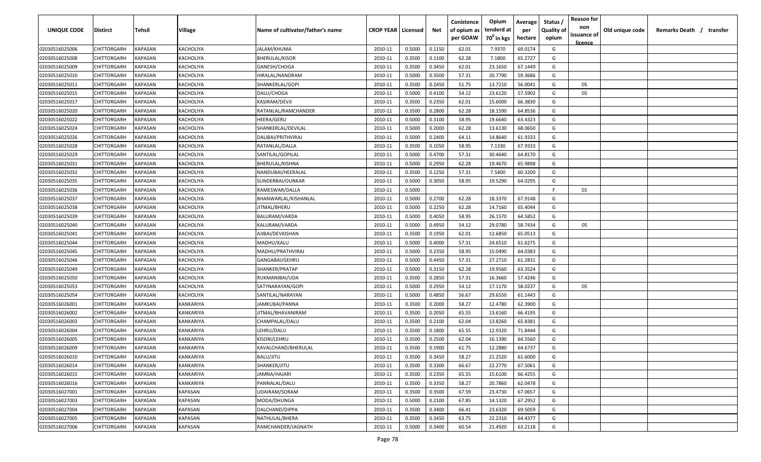| UNIQUE CODE    | Distirct           | Tehsil         | Village   | Name of cultivator/father's name | <b>CROP YEAR   Licensed</b> |        | Net    | Conistence<br>of opium as | Opium<br>tenderd at    | Average<br>per | Status /<br><b>Quality of</b> | <b>Reason for</b><br>non      | Old unique code | Remarks Death / transfer |
|----------------|--------------------|----------------|-----------|----------------------------------|-----------------------------|--------|--------|---------------------------|------------------------|----------------|-------------------------------|-------------------------------|-----------------|--------------------------|
|                |                    |                |           |                                  |                             |        |        | per GOAW                  | 70 <sup>0</sup> in kgs | hectare        | opium                         | issuance of<br><u>licence</u> |                 |                          |
| 02030516025006 | CHITTORGARH        | <b>KAPASAN</b> | KACHOLIYA | JALAM/KHUMA                      | 2010-11                     | 0.5000 | 0.1150 | 62.01                     | 7.9370                 | 69.0174        | G                             |                               |                 |                          |
| 02030516025008 | CHITTORGARH        | KAPASAN        | KACHOLIYA | <b>BHERULAL/KISOR</b>            | 2010-11                     | 0.3500 | 0.1100 | 62.28                     | 7.1800                 | 65.2727        | G                             |                               |                 |                          |
| 02030516025009 | CHITTORGARH        | KAPASAN        | KACHOLIYA | GANESH/CHOGA                     | 2010-11                     | 0.3500 | 0.3450 | 62.01                     | 23.1650                | 67.1449        | G                             |                               |                 |                          |
| 02030516025010 | CHITTORGARH        | KAPASAN        | KACHOLIYA | HIRALAL/NANDRAM                  | 2010-11                     | 0.5000 | 0.3500 | 57.31                     | 20.7790                | 59.3686        | G                             |                               |                 |                          |
| 02030516025011 | CHITTORGARH        | KAPASAN        | KACHOLIYA | SHANKERLAL/GOPI                  | 2010-11                     | 0.3500 | 0.2450 | 51.75                     | 13.7210                | 56.0041        | G                             | 05                            |                 |                          |
| 02030516025015 | CHITTORGARH        | KAPASAN        | KACHOLIYA | DALU/CHOGA                       | 2010-11                     | 0.5000 | 0.4100 | 54.12                     | 23.6120                | 57.5902        | G                             | 05                            |                 |                          |
| 02030516025017 | CHITTORGARH        | KAPASAN        | KACHOLIYA | KASIRAM/DEVJI                    | 2010-11                     | 0.3500 | 0.2350 | 62.01                     | 15.6000                | 66.3830        | G                             |                               |                 |                          |
| 02030516025020 | CHITTORGARH        | KAPASAN        | KACHOLIYA | RATANLAL/RAMCHANDER              | 2010-11                     | 0.3500 | 0.2800 | 62.28                     | 18.1590                | 64.8536        | G                             |                               |                 |                          |
| 02030516025022 | CHITTORGARH        | KAPASAN        | KACHOLIYA | HEERA/GERU                       | 2010-11                     | 0.5000 | 0.3100 | 58.95                     | 19.6640                | 63.4323        | G                             |                               |                 |                          |
| 02030516025024 | CHITTORGARH        | KAPASAN        | KACHOLIYA | SHANKERLAL/DEVILAL               | 2010-11                     | 0.5000 | 0.2000 | 62.28                     | 13.6130                | 68.0650        | G                             |                               |                 |                          |
| 02030516025026 | CHITTORGARH        | KAPASAN        | KACHOLIYA | DALIBAI/PRITHVIRAJ               | 2010-11                     | 0.5000 | 0.2400 | 64.11                     | 14.8640                | 61.9333        | G                             |                               |                 |                          |
| 02030516025028 | CHITTORGARH        | KAPASAN        | KACHOLIYA | RATANLAL/DALLA                   | 2010-11                     | 0.3500 | 0.1050 | 58.95                     | 7.1330                 | 67.9333        | G                             |                               |                 |                          |
| 02030516025029 | CHITTORGARH        | KAPASAN        | KACHOLIYA | SANTILAL/GOPILAL                 | 2010-11                     | 0.5000 | 0.4700 | 57.31                     | 30.4640                | 64.8170        | G                             |                               |                 |                          |
| 02030516025031 | CHITTORGARH        | KAPASAN        | KACHOLIYA | BHERULAL/KISHNA                  | 2010-11                     | 0.5000 | 0.2950 | 62.28                     | 19.4670                | 65.9898        | G                             |                               |                 |                          |
| 02030516025032 | CHITTORGARH        | KAPASAN        | KACHOLIYA | NANDUBAI/HEERALAL                | 2010-11                     | 0.3500 | 0.1250 | 57.31                     | 7.5400                 | 60.3200        | G                             |                               |                 |                          |
| 02030516025035 | CHITTORGARH        | KAPASAN        | KACHOLIYA | SUNDERBAI/OUNKAR                 | 2010-11                     | 0.5000 | 0.3050 | 58.95                     | 19.5290                | 64.0295        | G                             |                               |                 |                          |
| 02030516025036 | CHITTORGARH        | KAPASAN        | KACHOLIYA | RAMESWAR/DALLA                   | 2010-11                     | 0.5000 |        |                           |                        |                | F.                            | 01                            |                 |                          |
| 02030516025037 | CHITTORGARH        | KAPASAN        | KACHOLIYA | BHANWARLAL/KISHANLAL             | 2010-11                     | 0.5000 | 0.2700 | 62.28                     | 18.3370                | 67.9148        | G                             |                               |                 |                          |
| 02030516025038 | CHITTORGARH        | KAPASAN        | KACHOLIYA | JITMAL/BHERU                     | 2010-11                     | 0.5000 | 0.2250 | 62.28                     | 14.7160                | 65.4044        | G                             |                               |                 |                          |
| 02030516025039 | CHITTORGARH        | KAPASAN        | KACHOLIYA | BALURAM/VARDA                    | 2010-11                     | 0.5000 | 0.4050 | 58.95                     | 26.1570                | 64.5852        | G                             |                               |                 |                          |
| 02030516025040 | CHITTORGARH        | KAPASAN        | KACHOLIYA | KALURAM/VARDA                    | 2010-11                     | 0.5000 | 0.4950 | 54.12                     | 29.0780                | 58.7434        | G                             | 05                            |                 |                          |
| 02030516025041 | CHITTORGARH        | KAPASAN        | KACHOLIYA | AJIBAI/DEVKISHAN                 | 2010-11                     | 0.3500 | 0.1950 | 62.01                     | 12.6850                | 65.0513        | G                             |                               |                 |                          |
| 02030516025044 | CHITTORGARH        | KAPASAN        | KACHOLIYA | MADHU/KALU                       | 2010-11                     | 0.5000 | 0.4000 | 57.31                     | 24.6510                | 61.6275        | G                             |                               |                 |                          |
| 02030516025045 | CHITTORGARH        | KAPASAN        | KACHOLIYA | MADHU/PRATHVIRAJ                 | 2010-11                     | 0.5000 | 0.2350 | 58.95                     | 15.0490                | 64.0383        | G                             |                               |                 |                          |
| 02030516025046 | CHITTORGARH        | KAPASAN        | KACHOLIYA | GANGABAI/GEHRU                   | 2010-11                     | 0.5000 | 0.4450 | 57.31                     | 27.2710                | 61.2831        | G                             |                               |                 |                          |
| 02030516025049 | CHITTORGARH        | KAPASAN        | KACHOLIYA | SHANKER/PRATAP                   | 2010-11                     | 0.5000 | 0.3150 | 62.28                     | 19.9560                | 63.3524        | G                             |                               |                 |                          |
| 02030516025050 | CHITTORGARH        | KAPASAN        | KACHOLIYA | RUKMANIBAI/UDA                   | 2010-11                     | 0.3500 | 0.2850 | 57.31                     | 16.3660                | 57.4246        | G                             |                               |                 |                          |
| 02030516025053 | CHITTORGARH        | KAPASAN        | KACHOLIYA | SATYNARAYAN/GOPI                 | 2010-11                     | 0.5000 | 0.2950 | 54.12                     | 17.1170                | 58.0237        | G                             | 05                            |                 |                          |
| 02030516025054 | CHITTORGARH        | KAPASAN        | KACHOLIYA | SANTILAL/NARAYAN                 | 2010-11                     | 0.5000 | 0.4850 | 56.67                     | 29.6550                | 61.1443        | G                             |                               |                 |                          |
| 02030516026001 | CHITTORGARH        | KAPASAN        | KANKARIYA | JAMKUBAI/PANNA                   | 2010-11                     | 0.3500 | 0.2000 | 58.27                     | 12.4780                | 62.3900        | G                             |                               |                 |                          |
| 02030516026002 | CHITTORGARH        | KAPASAN        | KANKARIYA | JITMAL/BHAVANIRAM                | 2010-11                     | 0.3500 | 0.2050 | 65.55                     | 13.6160                | 66.4195        | G                             |                               |                 |                          |
| 02030516026003 | CHITTORGARH        | KAPASAN        | KANKARIYA | CHAMPALAL/DALU                   | 2010-11                     | 0.3500 | 0.2100 | 62.04                     | 13.8260                | 65.8381        | G                             |                               |                 |                          |
| 02030516026004 | CHITTORGARH        | KAPASAN        | KANKARIYA | LEHRU/DALU                       | 2010-11                     | 0.3500 | 0.1800 | 65.55                     | 12.9320                | 71.8444        | G                             |                               |                 |                          |
| 02030516026005 | CHITTORGARH        | KAPASAN        | KANKARIYA | KISORI/LEHRU                     | 2010-11                     | 0.3500 | 0.2500 | 62.04                     | 16.1390                | 64.5560        | G                             |                               |                 |                          |
| 02030516026009 | CHITTORGARH        | KAPASAN        | KANKARIYA | KAVALCHAND/BHERULAL              | 2010-11                     | 0.3500 | 0.1900 | 61.75                     | 12.2880                | 64.6737        | G                             |                               |                 |                          |
| 02030516026010 | <b>CHITTORGARH</b> | KAPASAN        | KANKARIYA | BALU/JITU                        | 2010-11                     | 0.3500 | 0.3450 | 58.27                     | 21.2520                | 61.6000        | G                             |                               |                 |                          |
| 02030516026014 | CHITTORGARH        | <b>KAPASAN</b> | KANKARIYA | SHANKER/JITU                     | 2010-11                     | 0.3500 | 0.3300 | 66.67                     | 22.2770                | 67.5061        | G                             |                               |                 |                          |
| 02030516026015 | <b>CHITTORGARH</b> | <b>KAPASAN</b> | KANKARIYA | JAMNA/HAJARI                     | 2010-11                     | 0.3500 | 0.2350 | 65.55                     | 15.6100                | 66.4255        | G                             |                               |                 |                          |
| 02030516026016 | CHITTORGARH        | KAPASAN        | KANKARIYA | PANNALAL/DALU                    | 2010-11                     | 0.3500 | 0.3350 | 58.27                     | 20.7860                | 62.0478        | G                             |                               |                 |                          |
| 02030516027001 | CHITTORGARH        | KAPASAN        | KAPASAN   | UDAIRAM/SORAM                    | 2010-11                     | 0.3500 | 0.3500 | 67.59                     | 23.4730                | 67.0657        | G                             |                               |                 |                          |
| 02030516027003 | CHITTORGARH        | KAPASAN        | KAPASAN   | MODA/DHUNGA                      | 2010-11                     | 0.5000 | 0.2100 | 67.85                     | 14.1320                | 67.2952        | G                             |                               |                 |                          |
| 02030516027004 | CHITTORGARH        | KAPASAN        | KAPASAN   | DALCHAND/DIPPA                   | 2010-11                     | 0.3500 | 0.3400 | 66.41                     | 23.6320                | 69.5059        | G                             |                               |                 |                          |
| 02030516027005 | CHITTORGARH        | KAPASAN        | KAPASAN   | NATHULAL/BHERA                   | 2010-11                     | 0.3500 | 0.3450 | 63.75                     | 22.2310                | 64.4377        | G                             |                               |                 |                          |
| 02030516027006 | CHITTORGARH        | KAPASAN        | KAPASAN   | RAMCHANDER/JAGNATH               | 2010-11                     | 0.5000 | 0.3400 | 60.54                     | 21.4920                | 63.2118        | G                             |                               |                 |                          |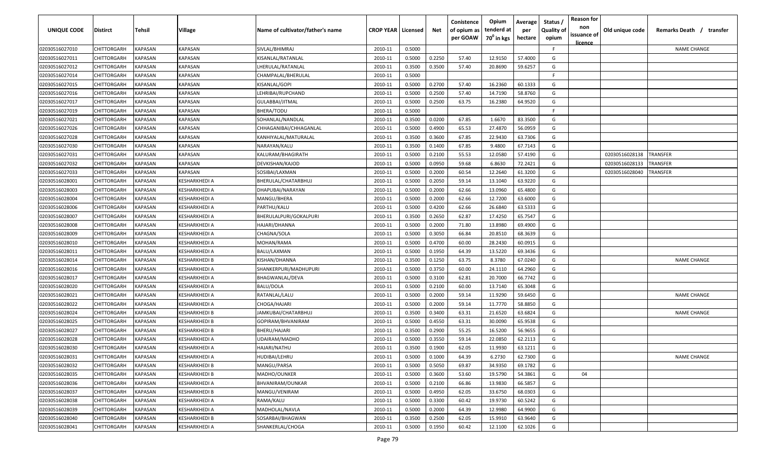| <b>UNIQUE CODE</b> | Distirct           | Tehsil         | Village       | Name of cultivator/father's name | <b>CROP YEAR   Licensed</b> |        | Net    | Conistence<br>of opium as<br>per GOAW | Opium<br>tenderd at<br>70 <sup>0</sup> in kgs | Average<br>per<br>hectare | Status /<br><b>Quality of</b><br>opium | <b>Reason for</b><br>non<br>issuance of | Old unique code | Remarks Death / transfer |
|--------------------|--------------------|----------------|---------------|----------------------------------|-----------------------------|--------|--------|---------------------------------------|-----------------------------------------------|---------------------------|----------------------------------------|-----------------------------------------|-----------------|--------------------------|
|                    |                    |                |               |                                  |                             |        |        |                                       |                                               |                           |                                        | <u>licence</u>                          |                 |                          |
| 02030516027010     | CHITTORGARH        | <b>KAPASAN</b> | KAPASAN       | SIVLAL/BHIMRAJ                   | 2010-11                     | 0.5000 |        |                                       |                                               |                           | F                                      |                                         |                 | <b>NAME CHANGE</b>       |
| 02030516027011     | CHITTORGARH        | KAPASAN        | KAPASAN       | KISANLAL/RATANLAL                | 2010-11                     | 0.5000 | 0.2250 | 57.40                                 | 12.9150                                       | 57.4000                   | G                                      |                                         |                 |                          |
| 02030516027012     | CHITTORGARH        | KAPASAN        | KAPASAN       | LHERULAL/RATANLAL                | 2010-11                     | 0.3500 | 0.3500 | 57.40                                 | 20.8690                                       | 59.6257                   | G                                      |                                         |                 |                          |
| 02030516027014     | CHITTORGARH        | KAPASAN        | KAPASAN       | CHAMPALAL/BHERULAL               | 2010-11                     | 0.5000 |        |                                       |                                               |                           | -F.                                    |                                         |                 |                          |
| 02030516027015     | CHITTORGARH        | KAPASAN        | KAPASAN       | KISANLAL/GOPI                    | 2010-11                     | 0.5000 | 0.2700 | 57.40                                 | 16.2360                                       | 60.1333                   | G                                      |                                         |                 |                          |
| 02030516027016     | CHITTORGARH        | KAPASAN        | KAPASAN       | LEHRIBAI/RUPCHAND                | 2010-11                     | 0.5000 | 0.2500 | 57.40                                 | 14.7190                                       | 58.8760                   | G                                      |                                         |                 |                          |
| 02030516027017     | CHITTORGARH        | KAPASAN        | KAPASAN       | GULABBAI/JITMAL                  | 2010-11                     | 0.5000 | 0.2500 | 63.75                                 | 16.2380                                       | 64.9520                   | G                                      |                                         |                 |                          |
| 02030516027019     | CHITTORGARH        | KAPASAN        | KAPASAN       | BHERA/TODU                       | 2010-11                     | 0.5000 |        |                                       |                                               |                           | -F.                                    |                                         |                 |                          |
| 02030516027021     | CHITTORGARH        | KAPASAN        | KAPASAN       | SOHANLAL/NANDLAL                 | 2010-11                     | 0.3500 | 0.0200 | 67.85                                 | 1.6670                                        | 83.3500                   | G                                      |                                         |                 |                          |
| 02030516027026     | CHITTORGARH        | KAPASAN        | KAPASAN       | CHHAGANIBAI/CHHAGANLAL           | 2010-11                     | 0.5000 | 0.4900 | 65.53                                 | 27.4870                                       | 56.0959                   | G                                      |                                         |                 |                          |
| 02030516027028     | CHITTORGARH        | KAPASAN        | KAPASAN       | KANHIYALAL/MATURALAL             | 2010-11                     | 0.3500 | 0.3600 | 67.85                                 | 22.9430                                       | 63.7306                   | G                                      |                                         |                 |                          |
| 02030516027030     | CHITTORGARH        | KAPASAN        | KAPASAN       | NARAYAN/KALU                     | 2010-11                     | 0.3500 | 0.1400 | 67.85                                 | 9.4800                                        | 67.7143                   | G                                      |                                         |                 |                          |
| 02030516027031     | CHITTORGARH        | KAPASAN        | KAPASAN       | KALURAM/BHAGIRATH                | 2010-11                     | 0.5000 | 0.2100 | 55.53                                 | 12.0580                                       | 57.4190                   | G                                      |                                         | 02030516028138  | TRANSFER                 |
| 02030516027032     | CHITTORGARH        | KAPASAN        | KAPASAN       | DEVKISHAN/KAJOD                  | 2010-11                     | 0.5000 | 0.0950 | 59.68                                 | 6.8630                                        | 72.2421                   | G                                      |                                         | 02030516028133  | TRANSFER                 |
| 02030516027033     | CHITTORGARH        | KAPASAN        | KAPASAN       | SOSIBAI/LAXMAN                   | 2010-11                     | 0.5000 | 0.2000 | 60.54                                 | 12.2640                                       | 61.3200                   | G                                      |                                         | 02030516028040  | TRANSFER                 |
| 02030516028001     | CHITTORGARH        | KAPASAN        | KESHARKHEDI A | BHERULAL/CHATARBHUJ              | 2010-11                     | 0.5000 | 0.2050 | 59.14                                 | 13.1040                                       | 63.9220                   | G                                      |                                         |                 |                          |
| 02030516028003     | CHITTORGARH        | KAPASAN        | KESHARKHEDI A | DHAPUBAI/NARAYAN                 | 2010-11                     | 0.5000 | 0.2000 | 62.66                                 | 13.0960                                       | 65.4800                   | G                                      |                                         |                 |                          |
| 02030516028004     | CHITTORGARH        | KAPASAN        | KESHARKHEDI A | MANGU/BHERA                      | 2010-11                     | 0.5000 | 0.2000 | 62.66                                 | 12.7200                                       | 63.6000                   | G                                      |                                         |                 |                          |
| 02030516028006     | CHITTORGARH        | KAPASAN        | KESHARKHEDI A | PARTHU/KALU                      | 2010-11                     | 0.5000 | 0.4200 | 62.66                                 | 26.6840                                       | 63.5333                   | G                                      |                                         |                 |                          |
| 02030516028007     | CHITTORGARH        | KAPASAN        | KESHARKHEDI A | BHERULALPURI/GOKALPURI           | 2010-11                     | 0.3500 | 0.2650 | 62.87                                 | 17.4250                                       | 65.7547                   | G                                      |                                         |                 |                          |
| 02030516028008     | CHITTORGARH        | KAPASAN        | KESHARKHEDI A | HAJARI/DHANNA                    | 2010-11                     | 0.5000 | 0.2000 | 71.80                                 | 13.8980                                       | 69.4900                   | G                                      |                                         |                 |                          |
| 02030516028009     | CHITTORGARH        | KAPASAN        | KESHARKHEDI A | CHAGNA/SOLA                      | 2010-11                     | 0.5000 | 0.3050 | 66.84                                 | 20.8510                                       | 68.3639                   | G                                      |                                         |                 |                          |
| 02030516028010     | CHITTORGARH        | KAPASAN        | KESHARKHEDI A | MOHAN/RAMA                       | 2010-11                     | 0.5000 | 0.4700 | 60.00                                 | 28.2430                                       | 60.0915                   | G                                      |                                         |                 |                          |
| 02030516028011     | CHITTORGARH        | KAPASAN        | KESHARKHEDI A | BALU/LAXMAN                      | 2010-11                     | 0.5000 | 0.1950 | 64.39                                 | 13.5220                                       | 69.3436                   | G                                      |                                         |                 |                          |
| 02030516028014     | CHITTORGARH        | KAPASAN        | KESHARKHEDI B | KISHAN/DHANNA                    | 2010-11                     | 0.3500 | 0.1250 | 63.75                                 | 8.3780                                        | 67.0240                   | G                                      |                                         |                 | <b>NAME CHANGE</b>       |
| 02030516028016     | CHITTORGARH        | KAPASAN        | KESHARKHEDI A | SHANKERPURI/MADHUPURI            | 2010-11                     | 0.5000 | 0.3750 | 60.00                                 | 24.1110                                       | 64.2960                   | G                                      |                                         |                 |                          |
| 02030516028017     | CHITTORGARH        | KAPASAN        | KESHARKHEDI A | BHAGWANLAL/DEVA                  | 2010-11                     | 0.5000 | 0.3100 | 62.81                                 | 20.7000                                       | 66.7742                   | G                                      |                                         |                 |                          |
| 02030516028020     | CHITTORGARH        | KAPASAN        | (ESHARKHEDI A | BALU/DOLA                        | 2010-11                     | 0.5000 | 0.2100 | 60.00                                 | 13.7140                                       | 65.3048                   | G                                      |                                         |                 |                          |
| 02030516028021     | CHITTORGARH        | KAPASAN        | KESHARKHEDI A | RATANLAL/LALU                    | 2010-11                     | 0.5000 | 0.2000 | 59.14                                 | 11.9290                                       | 59.6450                   | G                                      |                                         |                 | <b>NAME CHANGE</b>       |
| 02030516028022     | CHITTORGARH        | KAPASAN        | KESHARKHEDI A | CHOGA/HAJARI                     | 2010-11                     | 0.5000 | 0.2000 | 59.14                                 | 11.7770                                       | 58.8850                   | G                                      |                                         |                 |                          |
| 02030516028024     | CHITTORGARH        | KAPASAN        | KESHARKHEDI B | JAMKUBAI/CHATARBHUJ              | 2010-11                     | 0.3500 | 0.3400 | 63.31                                 | 21.6520                                       | 63.6824                   | G                                      |                                         |                 | <b>NAME CHANGE</b>       |
| 02030516028025     | CHITTORGARH        | KAPASAN        | KESHARKHEDI B | GOPIRAM/BHVANIRAM                | 2010-11                     | 0.5000 | 0.4550 | 63.31                                 | 30.0090                                       | 65.9538                   | G                                      |                                         |                 |                          |
| 02030516028027     | CHITTORGARH        | KAPASAN        | KESHARKHEDI B | BHERU/HAJARI                     | 2010-11                     | 0.3500 | 0.2900 | 55.25                                 | 16.5200                                       | 56.9655                   | G                                      |                                         |                 |                          |
| 02030516028028     | CHITTORGARH        | KAPASAN        | KESHARKHEDI A | UDAIRAM/MADHO                    | 2010-11                     | 0.5000 | 0.3550 | 59.14                                 | 22.0850                                       | 62.2113                   | G                                      |                                         |                 |                          |
| 02030516028030     | CHITTORGARH        | KAPASAN        | KESHARKHEDI A | HAJARI/NATHU                     | 2010-11                     | 0.3500 | 0.1900 | 62.05                                 | 11.9930                                       | 63.1211                   | G                                      |                                         |                 |                          |
| 02030516028031     | <b>CHITTORGARH</b> | KAPASAN        | KESHARKHEDI A | HUDIBAI/LEHRU                    | 2010-11                     | 0.5000 | 0.1000 | 64.39                                 | 6.2730                                        | 62.7300                   | G                                      |                                         |                 | NAME CHANGE              |
| 02030516028032     | CHITTORGARH        | <b>KAPASAN</b> | KESHARKHEDI B | MANGU/PARSA                      | 2010-11                     | 0.5000 | 0.5050 | 69.87                                 | 34.9350                                       | 69.1782                   | G                                      |                                         |                 |                          |
| 02030516028035     | <b>CHITTORGARH</b> | <b>KAPASAN</b> | KESHARKHEDI B | MADHO/OUNKER                     | 2010-11                     | 0.5000 | 0.3600 | 53.60                                 | 19.5790                                       | 54.3861                   | G                                      | 04                                      |                 |                          |
| 02030516028036     | <b>CHITTORGARH</b> | <b>KAPASAN</b> | KESHARKHEDI A | BHVANIRAM/OUNKAR                 | 2010-11                     | 0.5000 | 0.2100 | 66.86                                 | 13.9830                                       | 66.5857                   | G                                      |                                         |                 |                          |
| 02030516028037     | CHITTORGARH        | KAPASAN        | KESHARKHEDI B | MANGU/VENIRAM                    | 2010-11                     | 0.5000 | 0.4950 | 62.05                                 | 33.6750                                       | 68.0303                   | G                                      |                                         |                 |                          |
| 02030516028038     | <b>CHITTORGARH</b> | KAPASAN        | KESHARKHEDI A | RAMA/KALU                        | 2010-11                     | 0.5000 | 0.3300 | 60.42                                 | 19.9730                                       | 60.5242                   | G                                      |                                         |                 |                          |
| 02030516028039     | CHITTORGARH        | KAPASAN        | KESHARKHEDI A | MADHOLAL/NAVLA                   | 2010-11                     | 0.5000 | 0.2000 | 64.39                                 | 12.9980                                       | 64.9900                   | G                                      |                                         |                 |                          |
| 02030516028040     | CHITTORGARH        | KAPASAN        | KESHARKHEDI B | SOSARBAI/BHAGWAN                 | 2010-11                     | 0.3500 | 0.2500 | 62.05                                 | 15.9910                                       | 63.9640                   | G                                      |                                         |                 |                          |
| 02030516028041     | CHITTORGARH        | KAPASAN        | KESHARKHEDI A | SHANKERLAL/CHOGA                 | 2010-11                     | 0.5000 | 0.1950 | 60.42                                 | 12.1100                                       | 62.1026                   | G                                      |                                         |                 |                          |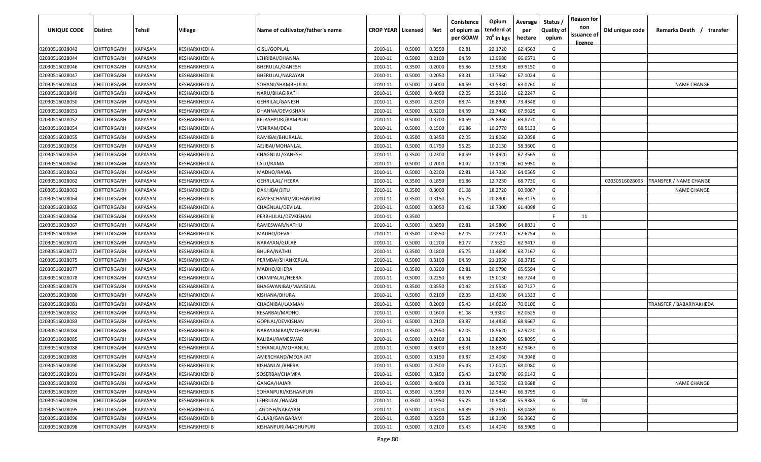| UNIQUE CODE    | Distirct           | Tehsil         | Village       | Name of cultivator/father's name | <b>CROP YEAR   Licensed</b> |        | Net    | Conistence<br>of opium as<br>per GOAW | Opium<br>tenderd at<br>70 <sup>°</sup> in kgs | Average<br>per<br>hectare | Status<br><b>Quality of</b><br>opium | <b>Reason for</b><br>non<br>issuance of<br><u>licence</u> | Old unique code | Remarks Death /<br>transfer |
|----------------|--------------------|----------------|---------------|----------------------------------|-----------------------------|--------|--------|---------------------------------------|-----------------------------------------------|---------------------------|--------------------------------------|-----------------------------------------------------------|-----------------|-----------------------------|
| 02030516028042 | <b>CHITTORGARH</b> | KAPASAN        | KESHARKHEDI A | GISU/GOPILAL                     | 2010-11                     | 0.5000 | 0.3550 | 62.81                                 | 22.1720                                       | 62.4563                   | G                                    |                                                           |                 |                             |
| 02030516028044 | CHITTORGARH        | <b>KAPASAN</b> | KESHARKHEDI A | LEHRIBAI/DHANNA                  | 2010-11                     | 0.5000 | 0.2100 | 64.59                                 | 13.9980                                       | 66.6571                   | G                                    |                                                           |                 |                             |
| 02030516028046 | CHITTORGARH        | KAPASAN        | KESHARKHEDI A | BHERULAL/GANESH                  | 2010-11                     | 0.3500 | 0.2000 | 66.86                                 | 13.9830                                       | 69.9150                   | G                                    |                                                           |                 |                             |
| 02030516028047 | CHITTORGARH        | KAPASAN        | KESHARKHEDI B | BHERULAL/NARAYAN                 | 2010-11                     | 0.5000 | 0.2050 | 63.31                                 | 13.7560                                       | 67.1024                   | G                                    |                                                           |                 |                             |
| 02030516028048 | CHITTORGARH        | KAPASAN        | KESHARKHEDI A | SOHANI/SHAMBHULAL                | 2010-11                     | 0.5000 | 0.5000 | 64.59                                 | 31.5380                                       | 63.0760                   | G                                    |                                                           |                 | <b>NAME CHANGE</b>          |
| 02030516028049 | CHITTORGARH        | KAPASAN        | KESHARKHEDI B | NARU/BHAGIRATH                   | 2010-11                     | 0.5000 | 0.4050 | 62.05                                 | 25.2010                                       | 62.2247                   | G                                    |                                                           |                 |                             |
| 02030516028050 | CHITTORGARH        | KAPASAN        | KESHARKHEDI A | GEHRILAL/GANESH                  | 2010-11                     | 0.3500 | 0.2300 | 68.74                                 | 16.8900                                       | 73.4348                   | G                                    |                                                           |                 |                             |
| 02030516028051 | CHITTORGARH        | KAPASAN        | KESHARKHEDI A | DHANNA/DEVKISHAN                 | 2010-11                     | 0.5000 | 0.3200 | 64.59                                 | 21.7480                                       | 67.9625                   | G                                    |                                                           |                 |                             |
| 02030516028052 | CHITTORGARH        | KAPASAN        | KESHARKHEDI A | KELASHPURI/RAMPURI               | 2010-11                     | 0.5000 | 0.3700 | 64.59                                 | 25.8360                                       | 69.8270                   | G                                    |                                                           |                 |                             |
| 02030516028054 | CHITTORGARH        | KAPASAN        | KESHARKHEDI A | /ENIRAM/DEVJI                    | 2010-11                     | 0.5000 | 0.1500 | 66.86                                 | 10.2770                                       | 68.5133                   | G                                    |                                                           |                 |                             |
| 02030516028055 | CHITTORGARH        | KAPASAN        | KESHARKHEDI B | RAMIBAI/BHURALAL                 | 2010-11                     | 0.3500 | 0.3450 | 62.05                                 | 21.8060                                       | 63.2058                   | G                                    |                                                           |                 |                             |
| 02030516028056 | CHITTORGARH        | KAPASAN        | (ESHARKHEDI B | AEJIBAI/MOHANLAL                 | 2010-11                     | 0.5000 | 0.1750 | 55.25                                 | 10.2130                                       | 58.3600                   | G                                    |                                                           |                 |                             |
| 02030516028059 | CHITTORGARH        | KAPASAN        | KESHARKHEDI A | CHAGNLAL/GANESH                  | 2010-11                     | 0.3500 | 0.2300 | 64.59                                 | 15.4920                                       | 67.3565                   | G                                    |                                                           |                 |                             |
| 02030516028060 | CHITTORGARH        | KAPASAN        | KESHARKHEDI A | LALU/RAMA                        | 2010-11                     | 0.5000 | 0.2000 | 60.42                                 | 12.1190                                       | 60.5950                   | G                                    |                                                           |                 |                             |
| 02030516028061 | CHITTORGARH        | KAPASAN        | KESHARKHEDI A | MADHO/RAMA                       | 2010-11                     | 0.5000 | 0.2300 | 62.81                                 | 14.7330                                       | 64.0565                   | G                                    |                                                           |                 |                             |
| 02030516028062 | CHITTORGARH        | KAPASAN        | KESHARKHEDI A | <b>GEHRULAL/ HEERA</b>           | 2010-11                     | 0.3500 | 0.1850 | 66.86                                 | 12.7230                                       | 68.7730                   | G                                    |                                                           | 02030516028095  | TRANSFER / NAME CHANGE      |
| 02030516028063 | CHITTORGARH        | <b>KAPASAN</b> | KESHARKHEDI B | DAKHIBAI/JITU                    | 2010-11                     | 0.3500 | 0.3000 | 61.08                                 | 18.2720                                       | 60.9067                   | G                                    |                                                           |                 | <b>NAME CHANGE</b>          |
| 02030516028064 | CHITTORGARH        | <b>KAPASAN</b> | KESHARKHEDI B | RAMESCHAND/MOHANPURI             | 2010-11                     | 0.3500 | 0.3150 | 65.75                                 | 20.8900                                       | 66.3175                   | G                                    |                                                           |                 |                             |
| 02030516028065 | CHITTORGARH        | <b>KAPASAN</b> | KESHARKHEDI A | CHAGNLAL/DEVILAL                 | 2010-11                     | 0.5000 | 0.3050 | 60.42                                 | 18.7300                                       | 61.4098                   | G                                    |                                                           |                 |                             |
| 02030516028066 | CHITTORGARH        | KAPASAN        | KESHARKHEDI B | PERBHULAL/DEVKISHAN              | 2010-11                     | 0.3500 |        |                                       |                                               |                           | E                                    | 11                                                        |                 |                             |
| 02030516028067 | CHITTORGARH        | KAPASAN        | KESHARKHEDI A | RAMESWAR/NATHU                   | 2010-11                     | 0.5000 | 0.3850 | 62.81                                 | 24.9800                                       | 64.8831                   | G                                    |                                                           |                 |                             |
| 02030516028069 | CHITTORGARH        | KAPASAN        | KESHARKHEDI B | MADHO/DEVA                       | 2010-11                     | 0.3500 | 0.3550 | 62.05                                 | 22.2320                                       | 62.6254                   | G                                    |                                                           |                 |                             |
| 02030516028070 | CHITTORGARH        | <b>KAPASAN</b> | KESHARKHEDI B | NARAYAN/GULAB                    | 2010-11                     | 0.5000 | 0.1200 | 60.77                                 | 7.5530                                        | 62.9417                   | G                                    |                                                           |                 |                             |
| 02030516028072 | CHITTORGARH        | KAPASAN        | KESHARKHEDI B | BHURA/NATHU                      | 2010-11                     | 0.3500 | 0.1800 | 65.75                                 | 11.4690                                       | 63.7167                   | G                                    |                                                           |                 |                             |
| 02030516028075 | CHITTORGARH        | KAPASAN        | KESHARKHEDI A | PERMBAI/SHANKERLAL               | 2010-11                     | 0.5000 | 0.3100 | 64.59                                 | 21.1950                                       | 68.3710                   | G                                    |                                                           |                 |                             |
| 02030516028077 | CHITTORGARH        | KAPASAN        | KESHARKHEDI A | MADHO/BHERA                      | 2010-11                     | 0.3500 | 0.3200 | 62.81                                 | 20.9790                                       | 65.5594                   | G                                    |                                                           |                 |                             |
| 02030516028078 | CHITTORGARH        | KAPASAN        | KESHARKHEDI A | CHAMPALAL/HEERA                  | 2010-11                     | 0.5000 | 0.2250 | 64.59                                 | 15.0130                                       | 66.7244                   | G                                    |                                                           |                 |                             |
| 02030516028079 | CHITTORGARH        | KAPASAN        | KESHARKHEDI A | BHAGWANIBAI/MANGILAL             | 2010-11                     | 0.3500 | 0.3550 | 60.42                                 | 21.5530                                       | 60.7127                   | G                                    |                                                           |                 |                             |
| 02030516028080 | CHITTORGARH        | KAPASAN        | (ESHARKHEDI A | KISHANA/BHURA                    | 2010-11                     | 0.5000 | 0.2100 | 62.35                                 | 13.4680                                       | 64.1333                   | G                                    |                                                           |                 |                             |
| 02030516028081 | CHITTORGARH        | KAPASAN        | KESHARKHEDI A | CHAGNIBAI/LAXMAN                 | 2010-11                     | 0.5000 | 0.2000 | 65.43                                 | 14.0020                                       | 70.0100                   | G                                    |                                                           |                 | TRANSFER / BABARIYAKHEDA    |
| 02030516028082 | CHITTORGARH        | KAPASAN        | KESHARKHEDI A | KESARBAI/MADHO                   | 2010-11                     | 0.5000 | 0.1600 | 61.08                                 | 9.9300                                        | 62.0625                   | G                                    |                                                           |                 |                             |
| 02030516028083 | CHITTORGARH        | KAPASAN        | KESHARKHEDI A | GOPILAL/DEVKISHAN                | 2010-11                     | 0.5000 | 0.2100 | 69.87                                 | 14.4830                                       | 68.9667                   | G                                    |                                                           |                 |                             |
| 02030516028084 | CHITTORGARH        | KAPASAN        | KESHARKHEDI B | NARAYANIBAI/MOHANPURI            | 2010-11                     | 0.3500 | 0.2950 | 62.05                                 | 18.5620                                       | 62.9220                   | G                                    |                                                           |                 |                             |
| 02030516028085 | CHITTORGARH        | KAPASAN        | KESHARKHEDI A | KALIBAI/RAMESWAR                 | 2010-11                     | 0.5000 | 0.2100 | 63.31                                 | 13.8200                                       | 65.8095                   | G                                    |                                                           |                 |                             |
| 02030516028088 | CHITTORGARH        | KAPASAN        | KESHARKHEDI A | SOHANLAL/MOHANLAL                | 2010-11                     | 0.5000 | 0.3000 | 63.31                                 | 18.8840                                       | 62.9467                   | G                                    |                                                           |                 |                             |
| 02030516028089 | <b>CHITTORGARH</b> | <b>KAPASAN</b> | KESHARKHEDI A | AMERCHAND/MEGA JAT               | 2010-11                     | 0.5000 | 0.3150 | 69.87                                 | 23.4060                                       | 74.3048                   | G                                    |                                                           |                 |                             |
| 02030516028090 | <b>CHITTORGARH</b> | <b>KAPASAN</b> | KESHARKHEDI B | KISHANLAL/BHERA                  | 2010-11                     | 0.5000 | 0.2500 | 65.43                                 | 17.0020                                       | 68.0080                   | G                                    |                                                           |                 |                             |
| 02030516028091 | <b>CHITTORGARH</b> | <b>KAPASAN</b> | KESHARKHEDI B | SOSERBAI/CHAMPA                  | 2010-11                     | 0.5000 | 0.3150 | 65.43                                 | 21.0780                                       | 66.9143                   | G                                    |                                                           |                 |                             |
| 02030516028092 | CHITTORGARH        | <b>KAPASAN</b> | KESHARKHEDI B | GANGA/HAJARI                     | 2010-11                     | 0.5000 | 0.4800 | 63.31                                 | 30.7050                                       | 63.9688                   | G                                    |                                                           |                 | <b>NAME CHANGE</b>          |
| 02030516028093 | CHITTORGARH        | <b>KAPASAN</b> | KESHARKHEDI B | SOHANPURI/KISHANPURI             | 2010-11                     | 0.3500 | 0.1950 | 60.70                                 | 12.9440                                       | 66.3795                   | G                                    |                                                           |                 |                             |
| 02030516028094 | CHITTORGARH        | KAPASAN        | KESHARKHEDI B | LEHRULAL/HAJARI                  | 2010-11                     | 0.3500 | 0.1950 | 55.25                                 | 10.9080                                       | 55.9385                   | G                                    | 04                                                        |                 |                             |
| 02030516028095 | CHITTORGARH        | KAPASAN        | KESHARKHEDI A | JAGDISH/NARAYAN                  | 2010-11                     | 0.5000 | 0.4300 | 64.39                                 | 29.2610                                       | 68.0488                   | G                                    |                                                           |                 |                             |
| 02030516028096 | CHITTORGARH        | KAPASAN        | KESHARKHEDI B | GULAB/GANGARAM                   | 2010-11                     | 0.3500 | 0.3250 | 55.25                                 | 18.3190                                       | 56.3662                   | G                                    |                                                           |                 |                             |
| 02030516028098 | <b>CHITTORGARH</b> | <b>KAPASAN</b> | KESHARKHEDI B | KISHANPURI/MADHUPURI             | 2010-11                     | 0.5000 | 0.2100 | 65.43                                 | 14.4040                                       | 68.5905                   | G                                    |                                                           |                 |                             |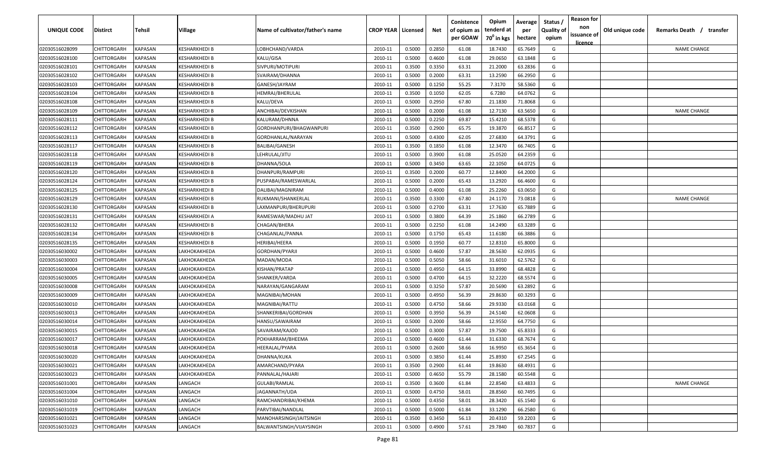| <b>UNIQUE CODE</b> | <b>Distirct</b>    | <b>Tehsil</b>  | Village              | Name of cultivator/father's name | <b>CROP YEAR   Licensed</b> |        | Net    | Conistence<br>of opium as<br>per GOAW | Opium<br>tenderd at<br>70 <sup>0</sup> in kgs | Average<br>per<br>hectare | Status /<br>Quality of<br>opium | <b>Reason for</b><br>non<br>issuance of | Old unique code | Remarks Death /<br>transfer |
|--------------------|--------------------|----------------|----------------------|----------------------------------|-----------------------------|--------|--------|---------------------------------------|-----------------------------------------------|---------------------------|---------------------------------|-----------------------------------------|-----------------|-----------------------------|
|                    |                    |                |                      |                                  |                             |        |        |                                       |                                               |                           |                                 | licence                                 |                 |                             |
| 02030516028099     | CHITTORGARH        | <b>KAPASAN</b> | KESHARKHEDI B        | LOBHCHAND/VARDA                  | 2010-11                     | 0.5000 | 0.2850 | 61.08                                 | 18.7430                                       | 65.7649                   | G                               |                                         |                 | <b>NAME CHANGE</b>          |
| 02030516028100     | CHITTORGARH        | KAPASAN        | KESHARKHEDI B        | KALU/GISA                        | 2010-11                     | 0.5000 | 0.4600 | 61.08                                 | 29.0650                                       | 63.1848                   | G                               |                                         |                 |                             |
| 02030516028101     | CHITTORGARH        | KAPASAN        | KESHARKHEDI B        | SIVPURI/MOTIPURI                 | 2010-11                     | 0.3500 | 0.3350 | 63.31                                 | 21.2000                                       | 63.2836                   | G                               |                                         |                 |                             |
| 02030516028102     | CHITTORGARH        | KAPASAN        | KESHARKHEDI B        | SVAIRAM/DHANNA                   | 2010-11                     | 0.5000 | 0.2000 | 63.31                                 | 13.2590                                       | 66.2950                   | G                               |                                         |                 |                             |
| 02030516028103     | CHITTORGARH        | KAPASAN        | KESHARKHEDI B        | GANESH/JAYRAM                    | 2010-11                     | 0.5000 | 0.1250 | 55.25                                 | 7.3170                                        | 58.5360                   | G                               |                                         |                 |                             |
| 02030516028104     | CHITTORGARH        | KAPASAN        | KESHARKHEDI B        | HEMRAJ/BHERULAL                  | 2010-11                     | 0.3500 | 0.1050 | 62.05                                 | 6.7280                                        | 64.0762                   | G                               |                                         |                 |                             |
| 02030516028108     | CHITTORGARH        | KAPASAN        | KESHARKHEDI B        | KALU/DEVA                        | 2010-11                     | 0.5000 | 0.2950 | 67.80                                 | 21.1830                                       | 71.8068                   | G                               |                                         |                 |                             |
| 02030516028109     | CHITTORGARH        | KAPASAN        | KESHARKHEDI B        | ANCHIBAI/DEVKISHAN               | 2010-11                     | 0.5000 | 0.2000 | 61.08                                 | 12.7130                                       | 63.5650                   | G                               |                                         |                 | <b>NAME CHANGE</b>          |
| 02030516028111     | CHITTORGARH        | KAPASAN        | KESHARKHEDI B        | KALURAM/DHNNA                    | 2010-11                     | 0.5000 | 0.2250 | 69.87                                 | 15.4210                                       | 68.5378                   | G                               |                                         |                 |                             |
| 02030516028112     | CHITTORGARH        | KAPASAN        | KESHARKHEDI B        | GORDHANPURI/BHAGWANPURI          | 2010-11                     | 0.3500 | 0.2900 | 65.75                                 | 19.3870                                       | 66.8517                   | G                               |                                         |                 |                             |
| 02030516028113     | CHITTORGARH        | KAPASAN        | KESHARKHEDI B        | GORDHANLAL/NARAYAN               | 2010-11                     | 0.5000 | 0.4300 | 62.05                                 | 27.6830                                       | 64.3791                   | G                               |                                         |                 |                             |
| 02030516028117     | CHITTORGARH        | KAPASAN        | (ESHARKHEDI B        | BALIBAI/GANESH                   | 2010-11                     | 0.3500 | 0.1850 | 61.08                                 | 12.3470                                       | 66.7405                   | G                               |                                         |                 |                             |
| 02030516028118     | CHITTORGARH        | KAPASAN        | KESHARKHEDI B        | LEHRULAL/JITU                    | 2010-11                     | 0.5000 | 0.3900 | 61.08                                 | 25.0520                                       | 64.2359                   | G                               |                                         |                 |                             |
| 02030516028119     | CHITTORGARH        | KAPASAN        | KESHARKHEDI B        | DHANNA/SOLA                      | 2010-11                     | 0.5000 | 0.3450 | 63.65                                 | 22.1050                                       | 64.0725                   | G                               |                                         |                 |                             |
| 02030516028120     | CHITTORGARH        | KAPASAN        | KESHARKHEDI B        | DHANPURI/RAMPURI                 | 2010-11                     | 0.3500 | 0.2000 | 60.77                                 | 12.8400                                       | 64.2000                   | G                               |                                         |                 |                             |
| 02030516028124     | CHITTORGARH        | KAPASAN        | KESHARKHEDI B        | PUSPABAI/RAMESWARLAL             | 2010-11                     | 0.5000 | 0.2000 | 65.43                                 | 13.2920                                       | 66.4600                   | G                               |                                         |                 |                             |
| 02030516028125     | CHITTORGARH        | KAPASAN        | <b>KESHARKHEDI B</b> | DALIBAI/MAGNIRAM                 | 2010-11                     | 0.5000 | 0.4000 | 61.08                                 | 25.2260                                       | 63.0650                   | G                               |                                         |                 |                             |
| 02030516028129     | CHITTORGARH        | KAPASAN        | KESHARKHEDI B        | RUKMANI/SHANKERLAL               | 2010-11                     | 0.3500 | 0.3300 | 67.80                                 | 24.1170                                       | 73.0818                   | G                               |                                         |                 | <b>NAME CHANGE</b>          |
| 02030516028130     | CHITTORGARH        | KAPASAN        | KESHARKHEDI B        | LAXMANPURI/BHERUPURI             | 2010-11                     | 0.5000 | 0.2700 | 63.31                                 | 17.7630                                       | 65.7889                   | G                               |                                         |                 |                             |
| 02030516028131     | CHITTORGARH        | KAPASAN        | KESHARKHEDI A        | RAMESWAR/MADHU JAT               | 2010-11                     | 0.5000 | 0.3800 | 64.39                                 | 25.1860                                       | 66.2789                   | G                               |                                         |                 |                             |
| 02030516028132     | CHITTORGARH        | KAPASAN        | <b>KESHARKHEDI B</b> | CHAGAN/BHERA                     | 2010-11                     | 0.5000 | 0.2250 | 61.08                                 | 14.2490                                       | 63.3289                   | G                               |                                         |                 |                             |
| 02030516028134     | CHITTORGARH        | KAPASAN        | KESHARKHEDI B        | CHAGANLAL/PANNA                  | 2010-11                     | 0.5000 | 0.1750 | 65.43                                 | 11.6180                                       | 66.3886                   | G                               |                                         |                 |                             |
| 02030516028135     | CHITTORGARH        | KAPASAN        | KESHARKHEDI B        | HERIBAI/HEERA                    | 2010-11                     | 0.5000 | 0.1950 | 60.77                                 | 12.8310                                       | 65.8000                   | G                               |                                         |                 |                             |
| 02030516030002     | CHITTORGARH        | KAPASAN        | LAKHOKAKHEDA         | GORDHAN/PYARJI                   | 2010-11                     | 0.5000 | 0.4600 | 57.87                                 | 28.5630                                       | 62.0935                   | G                               |                                         |                 |                             |
| 02030516030003     | CHITTORGARH        | KAPASAN        | LAKHOKAKHEDA         | MADAN/MODA                       | 2010-11                     | 0.5000 | 0.5050 | 58.66                                 | 31.6010                                       | 62.5762                   | G                               |                                         |                 |                             |
| 02030516030004     | CHITTORGARH        | KAPASAN        | LAKHOKAKHEDA         | KISHAN/PRATAP                    | 2010-11                     | 0.5000 | 0.4950 | 64.15                                 | 33.8990                                       | 68.4828                   | G                               |                                         |                 |                             |
| 02030516030005     | CHITTORGARH        | KAPASAN        | LAKHOKAKHEDA         | SHANKER/VARDA                    | 2010-11                     | 0.5000 | 0.4700 | 64.15                                 | 32.2220                                       | 68.5574                   | G                               |                                         |                 |                             |
| 02030516030008     | CHITTORGARH        | KAPASAN        | LAKHOKAKHEDA         | NARAYAN/GANGARAM                 | 2010-11                     | 0.5000 | 0.3250 | 57.87                                 | 20.5690                                       | 63.2892                   | G                               |                                         |                 |                             |
| 02030516030009     | CHITTORGARH        | KAPASAN        | .АКНОКАКНЕDA         | MAGNIBAI/MOHAN                   | 2010-11                     | 0.5000 | 0.4950 | 56.39                                 | 29.8630                                       | 60.3293                   | G                               |                                         |                 |                             |
| 02030516030010     | CHITTORGARH        | KAPASAN        | .АКНОКАКНЕDA         | MAGNIBAI/RATTU                   | 2010-11                     | 0.5000 | 0.4750 | 58.66                                 | 29.9330                                       | 63.0168                   | G                               |                                         |                 |                             |
| 02030516030013     | CHITTORGARH        | KAPASAN        | LAKHOKAKHEDA         | SHANKERIBAI/GORDHAN              | 2010-11                     | 0.5000 | 0.3950 | 56.39                                 | 24.5140                                       | 62.0608                   | G                               |                                         |                 |                             |
| 02030516030014     | CHITTORGARH        | KAPASAN        | <b>LAKHOKAKHEDA</b>  | HANSU/SAWAIRAM                   | 2010-11                     | 0.5000 | 0.2000 | 58.66                                 | 12.9550                                       | 64.7750                   | G                               |                                         |                 |                             |
| 02030516030015     | CHITTORGARH        | KAPASAN        | LAKHOKAKHEDA         | SAVAIRAM/KAJOD                   | 2010-11                     | 0.5000 | 0.3000 | 57.87                                 | 19.7500                                       | 65.8333                   | G                               |                                         |                 |                             |
| 02030516030017     | CHITTORGARH        | KAPASAN        | LAKHOKAKHEDA         | POKHARRAM/BHEEMA                 | 2010-11                     | 0.5000 | 0.4600 | 61.44                                 | 31.6330                                       | 68.7674                   | G                               |                                         |                 |                             |
| 02030516030018     | <b>CHITTORGARH</b> | KAPASAN        | LAKHOKAKHEDA         | HEERALAL/PYARA                   | 2010-11                     | 0.5000 | 0.2600 | 58.66                                 | 16.9950                                       | 65.3654                   | G                               |                                         |                 |                             |
| 02030516030020     | <b>CHITTORGARH</b> | <b>KAPASAN</b> | <b>LAKHOKAKHEDA</b>  | DHANNA/KUKA                      | 2010-11                     | 0.5000 | 0.3850 | 61.44                                 | 25.8930                                       | 67.2545                   | G                               |                                         |                 |                             |
| 02030516030021     | <b>CHITTORGARH</b> | KAPASAN        | LAKHOKAKHEDA         | AMARCHAND/PYARA                  | 2010-11                     | 0.3500 | 0.2900 | 61.44                                 | 19.8630                                       | 68.4931                   | G                               |                                         |                 |                             |
| 02030516030023     | CHITTORGARH        | KAPASAN        | LAKHOKAKHEDA         | PANNALAL/HAJARI                  | 2010-11                     | 0.5000 | 0.4650 | 55.79                                 | 28.1580                                       | 60.5548                   | G                               |                                         |                 |                             |
| 02030516031001     | CHITTORGARH        | <b>KAPASAN</b> | LANGACH              | <b>GULABI/RAMLAL</b>             | 2010-11                     | 0.3500 | 0.3600 | 61.84                                 | 22.8540                                       | 63.4833                   | G                               |                                         |                 | <b>NAME CHANGE</b>          |
| 02030516031004     | CHITTORGARH        | KAPASAN        | LANGACH              | JAGANNATH/UDA                    | 2010-11                     | 0.5000 | 0.4750 | 58.01                                 | 28.8560                                       | 60.7495                   | G                               |                                         |                 |                             |
| 02030516031010     | CHITTORGARH        | KAPASAN        | LANGACH              | RAMCHANDRIBAI/KHEMA              | 2010-11                     | 0.5000 | 0.4350 | 58.01                                 | 28.3420                                       | 65.1540                   | G                               |                                         |                 |                             |
| 02030516031019     | CHITTORGARH        | KAPASAN        | LANGACH              | PARVTIBAI/NANDLAL                | 2010-11                     | 0.5000 | 0.5000 | 61.84                                 | 33.1290                                       | 66.2580                   | G                               |                                         |                 |                             |
| 02030516031021     | CHITTORGARH        | KAPASAN        | LANGACH              | MANOHARSINGH/JAITSINGH           | 2010-11                     | 0.3500 | 0.3450 | 56.13                                 | 20.4310                                       | 59.2203                   | G                               |                                         |                 |                             |
| 02030516031023     | CHITTORGARH        | KAPASAN        | LANGACH              | BALWANTSINGH/VIJAYSINGH          | 2010-11                     | 0.5000 | 0.4900 | 57.61                                 | 29.7840                                       | 60.7837                   | G                               |                                         |                 |                             |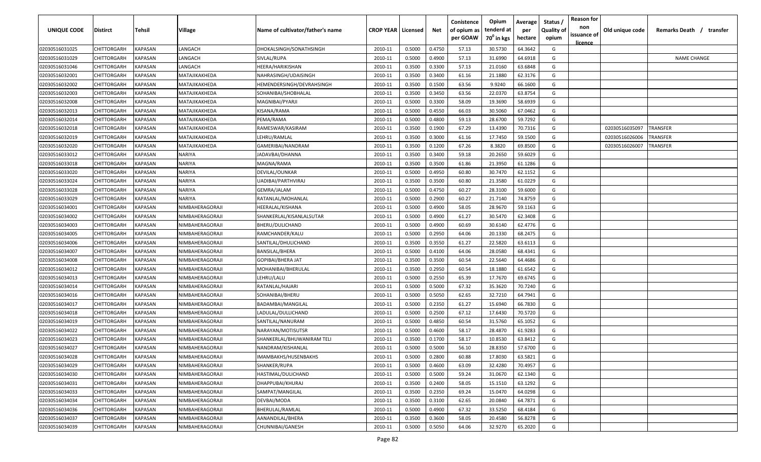| UNIQUE CODE    | <b>Distirct</b>    | Tehsil         | Village         | Name of cultivator/father's name | <b>CROP YEAR   Licensed</b> |        | Net    | Conistence<br>of opium as<br>per GOAW | Opium<br>tenderd at<br>70 <sup>0</sup> in kgs | Average<br>per<br>hectare | Status /<br><b>Quality of</b><br>opium | <b>Reason for</b><br>non<br>issuance of<br><u>licence</u> | Old unique code | Remarks Death /<br>transfer |
|----------------|--------------------|----------------|-----------------|----------------------------------|-----------------------------|--------|--------|---------------------------------------|-----------------------------------------------|---------------------------|----------------------------------------|-----------------------------------------------------------|-----------------|-----------------------------|
| 02030516031025 | CHITTORGARH        | KAPASAN        | LANGACH         | DHOKALSINGH/SONATHSINGH          | 2010-11                     | 0.5000 | 0.4750 | 57.13                                 | 30.5730                                       | 64.3642                   | G                                      |                                                           |                 |                             |
| 02030516031029 | CHITTORGARH        | KAPASAN        | LANGACH         | SIVLAL/RUPA                      | 2010-11                     | 0.5000 | 0.4900 | 57.13                                 | 31.6990                                       | 64.6918                   | G                                      |                                                           |                 | <b>NAME CHANGE</b>          |
| 02030516031046 | CHITTORGARH        | KAPASAN        | LANGACH         | HEERA/HARIKISHAN                 | 2010-11                     | 0.3500 | 0.3300 | 57.13                                 | 21.0160                                       | 63.6848                   | G                                      |                                                           |                 |                             |
| 02030516032001 | CHITTORGARH        | KAPASAN        | MATAJIKAKHEDA   | NAHRASINGH/UDAISINGH             | 2010-11                     | 0.3500 | 0.3400 | 61.16                                 | 21.1880                                       | 62.3176                   | G                                      |                                                           |                 |                             |
| 02030516032002 | CHITTORGARH        | KAPASAN        | MATAJIKAKHEDA   | HEMENDERSINGH/DEVRAHSINGH        | 2010-11                     | 0.3500 | 0.1500 | 63.56                                 | 9.9240                                        | 66.1600                   | G                                      |                                                           |                 |                             |
| 02030516032003 | CHITTORGARH        | KAPASAN        | MATAJIKAKHEDA   | SOHANIBAI/SHOBHALAL              | 2010-11                     | 0.3500 | 0.3450 | 63.56                                 | 22.0370                                       | 63.8754                   | G                                      |                                                           |                 |                             |
| 02030516032008 | CHITTORGARH        | KAPASAN        | MATAJIKAKHEDA   | MAGNIBAI/PYARJI                  | 2010-11                     | 0.5000 | 0.3300 | 58.09                                 | 19.3690                                       | 58.6939                   | G                                      |                                                           |                 |                             |
| 02030516032013 | CHITTORGARH        | KAPASAN        | MATAJIKAKHEDA   | KISANA/RAMA                      | 2010-11                     | 0.5000 | 0.4550 | 66.03                                 | 30.5060                                       | 67.0462                   | G                                      |                                                           |                 |                             |
| 02030516032014 | CHITTORGARH        | KAPASAN        | MATAJIKAKHEDA   | PEMA/RAMA                        | 2010-11                     | 0.5000 | 0.4800 | 59.13                                 | 28.6700                                       | 59.7292                   | G                                      |                                                           |                 |                             |
| 02030516032018 | CHITTORGARH        | KAPASAN        | MATAJIKAKHEDA   | RAMESWAR/KASIRAM                 | 2010-11                     | 0.3500 | 0.1900 | 67.29                                 | 13.4390                                       | 70.7316                   | G                                      |                                                           | 02030516035097  | TRANSFER                    |
| 02030516032019 | CHITTORGARH        | KAPASAN        | MATAJIKAKHEDA   | LEHRU/RAMLAL                     | 2010-11                     | 0.3500 | 0.3000 | 61.16                                 | 17.7450                                       | 59.1500                   | G                                      |                                                           | 02030516026006  | <b>RANSFER</b>              |
| 02030516032020 | CHITTORGARH        | KAPASAN        | MATAJIKAKHEDA   | GAMERIBAI/NANDRAM                | 2010-11                     | 0.3500 | 0.1200 | 67.26                                 | 8.3820                                        | 69.8500                   | G                                      |                                                           | 02030516026007  | <b>RANSFER</b>              |
| 02030516033012 | CHITTORGARH        | KAPASAN        | <b>JARIYA</b>   | JADAVBAI/DHANNA                  | 2010-11                     | 0.3500 | 0.3400 | 59.18                                 | 20.2650                                       | 59.6029                   | G                                      |                                                           |                 |                             |
| 02030516033018 | CHITTORGARH        | KAPASAN        | NARIYA          | MAGNA/RAMA                       | 2010-11                     | 0.3500 | 0.3500 | 61.86                                 | 21.3950                                       | 61.1286                   | G                                      |                                                           |                 |                             |
| 02030516033020 | CHITTORGARH        | KAPASAN        | NARIYA          | DEVILAL/OUNKAR                   | 2010-11                     | 0.5000 | 0.4950 | 60.80                                 | 30.7470                                       | 62.1152                   | G                                      |                                                           |                 |                             |
| 02030516033024 | CHITTORGARH        | KAPASAN        | NARIYA          | UADIBAI/PARTHVIRAJ               | 2010-11                     | 0.3500 | 0.3500 | 60.80                                 | 21.3580                                       | 61.0229                   | G                                      |                                                           |                 |                             |
| 02030516033028 | CHITTORGARH        | KAPASAN        | NARIYA          | <b>GEMRA/JALAM</b>               | 2010-11                     | 0.5000 | 0.4750 | 60.27                                 | 28.3100                                       | 59.6000                   | G                                      |                                                           |                 |                             |
| 02030516033029 | CHITTORGARH        | KAPASAN        | NARIYA          | RATANLAL/MOHANLAL                | 2010-11                     | 0.5000 | 0.2900 | 60.27                                 | 21.7140                                       | 74.8759                   | G                                      |                                                           |                 |                             |
| 02030516034001 | CHITTORGARH        | KAPASAN        | NIMBAHERAGORAJI | HEERALAL/KISHANA                 | 2010-11                     | 0.5000 | 0.4900 | 58.05                                 | 28.9670                                       | 59.1163                   | G                                      |                                                           |                 |                             |
| 02030516034002 | CHITTORGARH        | KAPASAN        | NIMBAHERAGORAJI | SHANKERLAL/KISANLALSUTAR         | 2010-11                     | 0.5000 | 0.4900 | 61.27                                 | 30.5470                                       | 62.3408                   | G                                      |                                                           |                 |                             |
| 02030516034003 | CHITTORGARH        | <b>KAPASAN</b> | NIMBAHERAGORAJI | BHERU/DULICHAND                  | 2010-11                     | 0.5000 | 0.4900 | 60.69                                 | 30.6140                                       | 62.4776                   | G                                      |                                                           |                 |                             |
| 02030516034005 | CHITTORGARH        | KAPASAN        | NIMBAHERAGORAJI | RAMCHANDER/KALU                  | 2010-11                     | 0.5000 | 0.2950 | 64.06                                 | 20.1330                                       | 68.2475                   | G                                      |                                                           |                 |                             |
| 02030516034006 | CHITTORGARH        | KAPASAN        | NIMBAHERAGORAJI | SANTILAL/DHULICHAND              | 2010-11                     | 0.3500 | 0.3550 | 61.27                                 | 22.5820                                       | 63.6113                   | G                                      |                                                           |                 |                             |
| 02030516034007 | CHITTORGARH        | KAPASAN        | NIMBAHERAGORAJI | <b>BANSILAL/BHERA</b>            | 2010-11                     | 0.5000 | 0.4100 | 64.06                                 | 28.0580                                       | 68.4341                   | G                                      |                                                           |                 |                             |
| 02030516034008 | CHITTORGARH        | KAPASAN        | NIMBAHERAGORAJI | GOPIBAI/BHERA JAT                | 2010-11                     | 0.3500 | 0.3500 | 60.54                                 | 22.5640                                       | 64.4686                   | G                                      |                                                           |                 |                             |
| 02030516034012 | CHITTORGARH        | KAPASAN        | NIMBAHERAGORAJI | MOHANIBAI/BHERULAL               | 2010-11                     | 0.3500 | 0.2950 | 60.54                                 | 18.1880                                       | 61.6542                   | G                                      |                                                           |                 |                             |
| 02030516034013 | CHITTORGARH        | KAPASAN        | NIMBAHERAGORAJI | LEHRU/LALU                       | 2010-11                     | 0.5000 | 0.2550 | 65.39                                 | 17.7670                                       | 69.6745                   | G                                      |                                                           |                 |                             |
| 02030516034014 | CHITTORGARH        | KAPASAN        | NIMBAHERAGORAJI | RATANLAL/HAJARI                  | 2010-11                     | 0.5000 | 0.5000 | 67.32                                 | 35.3620                                       | 70.7240                   | G                                      |                                                           |                 |                             |
| 02030516034016 | CHITTORGARH        | KAPASAN        | NIMBAHERAGORAJI | SOHANIBAI/BHERU                  | 2010-11                     | 0.5000 | 0.5050 | 62.65                                 | 32.7210                                       | 64.7941                   | G                                      |                                                           |                 |                             |
| 02030516034017 | CHITTORGARH        | KAPASAN        | NIMBAHERAGORAJI | BADAMBAI/MANGILAL                | 2010-11                     | 0.5000 | 0.2350 | 61.27                                 | 15.6940                                       | 66.7830                   | G                                      |                                                           |                 |                             |
| 02030516034018 | CHITTORGARH        | KAPASAN        | NIMBAHERAGORAJI | LADULAL/DULLICHAND               | 2010-11                     | 0.5000 | 0.2500 | 67.12                                 | 17.6430                                       | 70.5720                   | G                                      |                                                           |                 |                             |
| 02030516034019 | CHITTORGARH        | KAPASAN        | NIMBAHERAGORAJI | SANTILAL/NANURAM                 | 2010-11                     | 0.5000 | 0.4850 | 60.54                                 | 31.5760                                       | 65.1052                   | G                                      |                                                           |                 |                             |
| 02030516034022 | CHITTORGARH        | KAPASAN        | NIMBAHERAGORAJI | NARAYAN/MOTISUTSR                | 2010-11                     | 0.5000 | 0.4600 | 58.17                                 | 28.4870                                       | 61.9283                   | G                                      |                                                           |                 |                             |
| 02030516034023 | CHITTORGARH        | KAPASAN        | NIMBAHERAGORAJI | SHANKERLAL/BHUWANIRAM TELI       | 2010-11                     | 0.3500 | 0.1700 | 58.17                                 | 10.8530                                       | 63.8412                   | G                                      |                                                           |                 |                             |
| 02030516034027 | CHITTORGARH        | <b>KAPASAN</b> | NIMBAHERAGORAJI | NANDRAM/KISHANLAL                | 2010-11                     | 0.5000 | 0.5000 | 56.10                                 | 28.8350                                       | 57.6700                   | G                                      |                                                           |                 |                             |
| 02030516034028 | <b>CHITTORGARH</b> | <b>KAPASAN</b> | NIMBAHERAGORAJI | IMAMBAKHS/HUSENBAKHS             | 2010-11                     | 0.5000 | 0.2800 | 60.88                                 | 17.8030                                       | 63.5821                   | G                                      |                                                           |                 |                             |
| 02030516034029 | CHITTORGARH        | <b>KAPASAN</b> | NIMBAHERAGORAJI | SHANKER/RUPA                     | 2010-11                     | 0.5000 | 0.4600 | 63.09                                 | 32.4280                                       | 70.4957                   | G                                      |                                                           |                 |                             |
| 02030516034030 | CHITTORGARH        | <b>KAPASAN</b> | NIMBAHERAGORAJI | HASTIMAL/DULICHAND               | 2010-11                     | 0.5000 | 0.5000 | 59.24                                 | 31.0670                                       | 62.1340                   | G                                      |                                                           |                 |                             |
| 02030516034031 | CHITTORGARH        | <b>KAPASAN</b> | NIMBAHERAGORAJI | DHAPPUBAI/KHURAJ                 | 2010-11                     | 0.3500 | 0.2400 | 58.05                                 | 15.1510                                       | 63.1292                   | G                                      |                                                           |                 |                             |
| 02030516034033 | CHITTORGARH        | KAPASAN        | NIMBAHERAGORAJI | SAMPAT/MANGILAL                  | 2010-11                     | 0.3500 | 0.2350 | 69.24                                 | 15.0470                                       | 64.0298                   | G                                      |                                                           |                 |                             |
| 02030516034034 | CHITTORGARH        | KAPASAN        | NIMBAHERAGORAJI | DEVBAI/MODA                      | 2010-11                     | 0.3500 | 0.3100 | 62.65                                 | 20.0840                                       | 64.7871                   | G                                      |                                                           |                 |                             |
| 02030516034036 | CHITTORGARH        | KAPASAN        | NIMBAHERAGORAJI | BHERULAL/RAMLAL                  | 2010-11                     | 0.5000 | 0.4900 | 67.32                                 | 33.5250                                       | 68.4184                   | G                                      |                                                           |                 |                             |
| 02030516034037 | CHITTORGARH        | KAPASAN        | NIMBAHERAGORAJI | AANANDILAL/BHERA                 | 2010-11                     | 0.3500 | 0.3600 | 58.05                                 | 20.4580                                       | 56.8278                   | G                                      |                                                           |                 |                             |
| 02030516034039 | CHITTORGARH        | <b>KAPASAN</b> | NIMBAHERAGORAJI | CHUNNIBAI/GANESH                 | 2010-11                     | 0.5000 | 0.5050 | 64.06                                 | 32.9270                                       | 65.2020                   | G                                      |                                                           |                 |                             |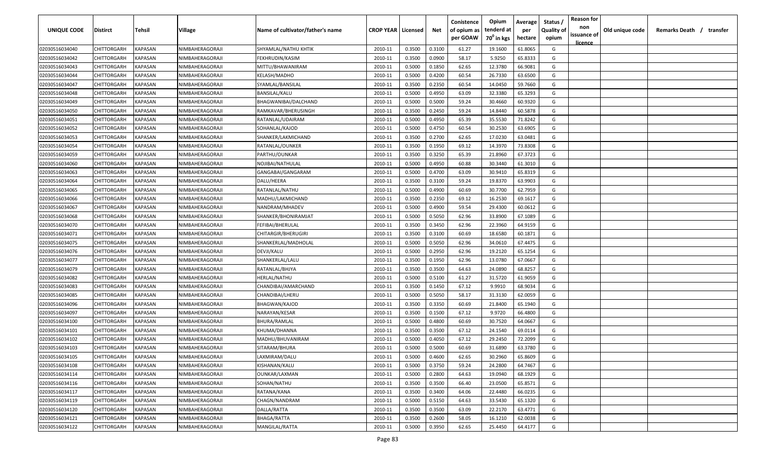| <b>UNIQUE CODE</b> | <b>Distirct</b>    | <b>Tehsil</b>  | Village         | Name of cultivator/father's name | <b>CROP YEAR   Licensed</b> |        | Net    | Conistence<br>of opium as<br>per GOAW | Opium<br>tenderd at<br>70 <sup>0</sup> in kgs | Average<br>per<br>hectare | Status /<br>Quality of<br>opium | <b>Reason for</b><br>non<br>issuance of | Old unique code | Remarks Death / | transfer |
|--------------------|--------------------|----------------|-----------------|----------------------------------|-----------------------------|--------|--------|---------------------------------------|-----------------------------------------------|---------------------------|---------------------------------|-----------------------------------------|-----------------|-----------------|----------|
| 02030516034040     | CHITTORGARH        | <b>KAPASAN</b> | NIMBAHERAGORAJI | SHYAMLAL/NATHU KHTIK             | 2010-11                     | 0.3500 | 0.3100 | 61.27                                 | 19.1600                                       | 61.8065                   | G                               | <u>licence</u>                          |                 |                 |          |
| 02030516034042     | CHITTORGARH        | KAPASAN        | NIMBAHERAGORAJI | FEKHRUDIN/KASIM                  | 2010-11                     | 0.3500 | 0.0900 | 58.17                                 | 5.9250                                        | 65.8333                   | G                               |                                         |                 |                 |          |
| 02030516034043     | CHITTORGARH        | KAPASAN        | NIMBAHERAGORAJI | MITTU/BHAWANIRAM                 | 2010-11                     | 0.5000 | 0.1850 | 62.65                                 | 12.3780                                       | 66.9081                   | G                               |                                         |                 |                 |          |
| 02030516034044     | CHITTORGARH        | KAPASAN        | NIMBAHERAGORAJI | KELASH/MADHO                     | 2010-11                     | 0.5000 | 0.4200 | 60.54                                 | 26.7330                                       | 63.6500                   | G                               |                                         |                 |                 |          |
| 02030516034047     | CHITTORGARH        | KAPASAN        | NIMBAHERAGORAJI | SYAMLAL/BANSILAL                 | 2010-11                     | 0.3500 | 0.2350 | 60.54                                 | 14.0450                                       | 59.7660                   | G                               |                                         |                 |                 |          |
| 02030516034048     | CHITTORGARH        | KAPASAN        | NIMBAHERAGORAJI | BANSILAL/KALU                    | 2010-11                     | 0.5000 | 0.4950 | 63.09                                 | 32.3380                                       | 65.3293                   | G                               |                                         |                 |                 |          |
| 02030516034049     | CHITTORGARH        | KAPASAN        | NIMBAHERAGORAJI | BHAGWANIBAI/DALCHAND             | 2010-11                     | 0.5000 | 0.5000 | 59.24                                 | 30.4660                                       | 60.9320                   | G                               |                                         |                 |                 |          |
| 02030516034050     | CHITTORGARH        | KAPASAN        | NIMBAHERAGORAJI | RAMKAVAR/BHERUSINGH              | 2010-11                     | 0.3500 | 0.2450 | 59.24                                 | 14.8440                                       | 60.5878                   | G                               |                                         |                 |                 |          |
| 02030516034051     | CHITTORGARH        | KAPASAN        | NIMBAHERAGORAJI | RATANLAL/UDAIRAM                 | 2010-11                     | 0.5000 | 0.4950 | 65.39                                 | 35.5530                                       | 71.8242                   | G                               |                                         |                 |                 |          |
| 02030516034052     | CHITTORGARH        | KAPASAN        | NIMBAHERAGORAJI | SOHANLAL/KAJOD                   | 2010-11                     | 0.5000 | 0.4750 | 60.54                                 | 30.2530                                       | 63.6905                   | G                               |                                         |                 |                 |          |
| 02030516034053     | CHITTORGARH        | KAPASAN        | NIMBAHERAGORAJI | SHANKER/LAKMICHAND               | 2010-11                     | 0.3500 | 0.2700 | 62.65                                 | 17.0230                                       | 63.0481                   | G                               |                                         |                 |                 |          |
| 02030516034054     | CHITTORGARH        | KAPASAN        | NIMBAHERAGORAJI | RATANLAL/OUNKER                  | 2010-11                     | 0.3500 | 0.1950 | 69.12                                 | 14.3970                                       | 73.8308                   | G                               |                                         |                 |                 |          |
| 02030516034059     | CHITTORGARH        | KAPASAN        | NIMBAHERAGORAJI | PARTHU/OUNKAR                    | 2010-11                     | 0.3500 | 0.3250 | 65.39                                 | 21.8960                                       | 67.3723                   | G                               |                                         |                 |                 |          |
| 02030516034060     | CHITTORGARH        | KAPASAN        | NIMBAHERAGORAJI | NOJIBAI/NATHULAL                 | 2010-11                     | 0.5000 | 0.4950 | 60.88                                 | 30.3440                                       | 61.3010                   | G                               |                                         |                 |                 |          |
| 02030516034063     | CHITTORGARH        | KAPASAN        | NIMBAHERAGORAJI | GANGABAI/GANGARAM                | 2010-11                     | 0.5000 | 0.4700 | 63.09                                 | 30.9410                                       | 65.8319                   | G                               |                                         |                 |                 |          |
| 02030516034064     | CHITTORGARH        | KAPASAN        | NIMBAHERAGORAJI | DALU/HEERA                       | 2010-11                     | 0.3500 | 0.3100 | 59.24                                 | 19.8370                                       | 63.9903                   | G                               |                                         |                 |                 |          |
| 02030516034065     | CHITTORGARH        | KAPASAN        | NIMBAHERAGORAJI | RATANLAL/NATHU                   | 2010-11                     | 0.5000 | 0.4900 | 60.69                                 | 30.7700                                       | 62.7959                   | G                               |                                         |                 |                 |          |
| 02030516034066     | CHITTORGARH        | KAPASAN        | NIMBAHERAGORAJI | MADHU/LAKMICHAND                 | 2010-11                     | 0.3500 | 0.2350 | 69.12                                 | 16.2530                                       | 69.1617                   | G                               |                                         |                 |                 |          |
| 02030516034067     | CHITTORGARH        | KAPASAN        | NIMBAHERAGORAJI | NANDRAM/MHADEV                   | 2010-11                     | 0.5000 | 0.4900 | 59.54                                 | 29.4300                                       | 60.0612                   | G                               |                                         |                 |                 |          |
| 02030516034068     | CHITTORGARH        | KAPASAN        | NIMBAHERAGORAJI | SHANKER/BHONIRAMJAT              | 2010-11                     | 0.5000 | 0.5050 | 62.96                                 | 33.8900                                       | 67.1089                   | G                               |                                         |                 |                 |          |
| 02030516034070     | CHITTORGARH        | KAPASAN        | NIMBAHERAGORAJI | FEFIBAI/BHERULAL                 | 2010-11                     | 0.3500 | 0.3450 | 62.96                                 | 22.3960                                       | 64.9159                   | G                               |                                         |                 |                 |          |
| 02030516034071     | CHITTORGARH        | KAPASAN        | NIMBAHERAGORAJI | CHITARGIR/BHERUGIRI              | 2010-11                     | 0.3500 | 0.3100 | 60.69                                 | 18.6580                                       | 60.1871                   | G                               |                                         |                 |                 |          |
| 02030516034075     | CHITTORGARH        | KAPASAN        | NIMBAHERAGORAJI | SHANKERLAL/MADHOLAL              | 2010-11                     | 0.5000 | 0.5050 | 62.96                                 | 34.0610                                       | 67.4475                   | G                               |                                         |                 |                 |          |
| 02030516034076     | CHITTORGARH        | KAPASAN        | NIMBAHERAGORAJI | DEVJI/KALU                       | 2010-11                     | 0.5000 | 0.2950 | 62.96                                 | 19.2120                                       | 65.1254                   | G                               |                                         |                 |                 |          |
| 02030516034077     | CHITTORGARH        | KAPASAN        | NIMBAHERAGORAJI | SHANKERLAL/LALU                  | 2010-11                     | 0.3500 | 0.1950 | 62.96                                 | 13.0780                                       | 67.0667                   | G                               |                                         |                 |                 |          |
| 02030516034079     | CHITTORGARH        | KAPASAN        | NIMBAHERAGORAJI | RATANLAL/BHJYA                   | 2010-11                     | 0.3500 | 0.3500 | 64.63                                 | 24.0890                                       | 68.8257                   | G                               |                                         |                 |                 |          |
| 02030516034082     | CHITTORGARH        | KAPASAN        | NIMBAHERAGORAJI | HERLAL/NATHU                     | 2010-11                     | 0.5000 | 0.5100 | 61.27                                 | 31.5720                                       | 61.9059                   | G                               |                                         |                 |                 |          |
| 02030516034083     | CHITTORGARH        | KAPASAN        | NIMBAHERAGORAJI | CHANDIBAI/AMARCHAND              | 2010-11                     | 0.3500 | 0.1450 | 67.12                                 | 9.9910                                        | 68.9034                   | G                               |                                         |                 |                 |          |
| 02030516034085     | CHITTORGARH        | KAPASAN        | NIMBAHERAGORAJI | CHANDIBAI/LHERU                  | 2010-11                     | 0.5000 | 0.5050 | 58.17                                 | 31.3130                                       | 62.0059                   | G                               |                                         |                 |                 |          |
| 02030516034096     | CHITTORGARH        | KAPASAN        | NIMBAHERAGORAJI | <b>BHAGWAN/KAJOD</b>             | 2010-11                     | 0.3500 | 0.3350 | 60.69                                 | 21.8400                                       | 65.1940                   | G                               |                                         |                 |                 |          |
| 02030516034097     | CHITTORGARH        | KAPASAN        | NIMBAHERAGORAJI | NARAYAN/KESAR                    | 2010-11                     | 0.3500 | 0.1500 | 67.12                                 | 9.9720                                        | 66.4800                   | G                               |                                         |                 |                 |          |
| 02030516034100     | CHITTORGARH        | KAPASAN        | NIMBAHERAGORAJI | BHURA/RAMLAL                     | 2010-11                     | 0.5000 | 0.4800 | 60.69                                 | 30.7520                                       | 64.0667                   | G                               |                                         |                 |                 |          |
| 02030516034101     | CHITTORGARH        | KAPASAN        | NIMBAHERAGORAJI | KHUMA/DHANNA                     | 2010-11                     | 0.3500 | 0.3500 | 67.12                                 | 24.1540                                       | 69.0114                   | G                               |                                         |                 |                 |          |
| 02030516034102     | CHITTORGARH        | KAPASAN        | NIMBAHERAGORAJI | MADHU/BHUVANIRAM                 | 2010-11                     | 0.5000 | 0.4050 | 67.12                                 | 29.2450                                       | 72.2099                   | G                               |                                         |                 |                 |          |
| 02030516034103     | <b>CHITTORGARH</b> | KAPASAN        | NIMBAHERAGORAJI | SITARAM/BHURA                    | 2010-11                     | 0.5000 | 0.5000 | 60.69                                 | 31.6890                                       | 63.3780                   | G                               |                                         |                 |                 |          |
| 02030516034105     | CHITTORGARH        | <b>KAPASAN</b> | NIMBAHERAGORAJI | LAXMIRAM/DALU                    | 2010-11                     | 0.5000 | 0.4600 | 62.65                                 | 30.2960                                       | 65.8609                   | G                               |                                         |                 |                 |          |
| 02030516034108     | <b>CHITTORGARH</b> | KAPASAN        | NIMBAHERAGORAJI | KISHANAN/KALU                    | 2010-11                     | 0.5000 | 0.3750 | 59.24                                 | 24.2800                                       | 64.7467                   | G                               |                                         |                 |                 |          |
| 02030516034114     | CHITTORGARH        | KAPASAN        | NIMBAHERAGORAJI | <b>OUNKAR/LAXMAN</b>             | 2010-11                     | 0.5000 | 0.2800 | 64.63                                 | 19.0940                                       | 68.1929                   | G                               |                                         |                 |                 |          |
| 02030516034116     | CHITTORGARH        | KAPASAN        | NIMBAHERAGORAJI | SOHAN/NATHU                      | 2010-11                     | 0.3500 | 0.3500 | 66.40                                 | 23.0500                                       | 65.8571                   | G                               |                                         |                 |                 |          |
| 02030516034117     | CHITTORGARH        | <b>KAPASAN</b> | NIMBAHERAGORAJI | RATANA/KANA                      | 2010-11                     | 0.3500 | 0.3400 | 64.06                                 | 22.4480                                       | 66.0235                   | G                               |                                         |                 |                 |          |
| 02030516034119     | CHITTORGARH        | KAPASAN        | NIMBAHERAGORAJI | CHAGN/NANDRAM                    | 2010-11                     | 0.5000 | 0.5150 | 64.63                                 | 33.5430                                       | 65.1320                   | G                               |                                         |                 |                 |          |
| 02030516034120     | <b>CHITTORGARH</b> | KAPASAN        | NIMBAHERAGORAJI | DALLA/RATTA                      | 2010-11                     | 0.3500 | 0.3500 | 63.09                                 | 22.2170                                       | 63.4771                   | G                               |                                         |                 |                 |          |
| 02030516034121     | CHITTORGARH        | KAPASAN        | NIMBAHERAGORAJI | BHAGA/RATTA                      | 2010-11                     | 0.3500 | 0.2600 | 58.05                                 | 16.1210                                       | 62.0038                   | G                               |                                         |                 |                 |          |
| 02030516034122     | CHITTORGARH        | KAPASAN        | NIMBAHERAGORAJI | MANGILAL/RATTA                   | 2010-11                     | 0.5000 | 0.3950 | 62.65                                 | 25.4450                                       | 64.4177                   | G                               |                                         |                 |                 |          |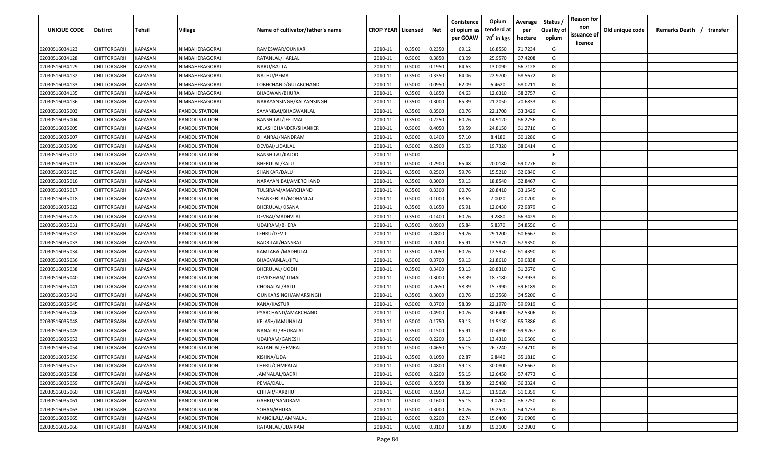| <b>UNIQUE CODE</b> | <b>Distirct</b>    | <b>Tehsil</b>  | Village         | Name of cultivator/father's name | <b>CROP YEAR   Licensed</b> |        | Net    | Conistence<br>of opium as<br>per GOAW | Opium<br>tenderd at<br>70 <sup>0</sup> in kgs | Average<br>per<br>hectare | Status /<br>Quality of<br>opium | <b>Reason for</b><br>non<br>issuance of<br><u>licence</u> | Old unique code | Remarks Death / | transfer |
|--------------------|--------------------|----------------|-----------------|----------------------------------|-----------------------------|--------|--------|---------------------------------------|-----------------------------------------------|---------------------------|---------------------------------|-----------------------------------------------------------|-----------------|-----------------|----------|
| 02030516034123     | CHITTORGARH        | <b>KAPASAN</b> | NIMBAHERAGORAJI | RAMESWAR/OUNKAR                  | 2010-11                     | 0.3500 | 0.2350 | 69.12                                 | 16.8550                                       | 71.7234                   | G                               |                                                           |                 |                 |          |
| 02030516034128     | CHITTORGARH        | KAPASAN        | NIMBAHERAGORAJI | RATANLAL/HARLAL                  | 2010-11                     | 0.5000 | 0.3850 | 63.09                                 | 25.9570                                       | 67.4208                   | G                               |                                                           |                 |                 |          |
| 02030516034129     | CHITTORGARH        | KAPASAN        | NIMBAHERAGORAJI | NARU/RATTA                       | 2010-11                     | 0.5000 | 0.1950 | 64.63                                 | 13.0090                                       | 66.7128                   | G                               |                                                           |                 |                 |          |
| 02030516034132     | CHITTORGARH        | KAPASAN        | NIMBAHERAGORAJI | NATHU/PEMA                       | 2010-11                     | 0.3500 | 0.3350 | 64.06                                 | 22.9700                                       | 68.5672                   | G                               |                                                           |                 |                 |          |
| 02030516034133     | CHITTORGARH        | KAPASAN        | NIMBAHERAGORAJI | LOBHCHAND/GULABCHAND             | 2010-11                     | 0.5000 | 0.0950 | 62.09                                 | 6.4620                                        | 68.0211                   | G                               |                                                           |                 |                 |          |
| 02030516034135     | CHITTORGARH        | KAPASAN        | NIMBAHERAGORAJI | <b>BHAGWAN/BHURA</b>             | 2010-11                     | 0.3500 | 0.1850 | 64.63                                 | 12.6310                                       | 68.2757                   | G                               |                                                           |                 |                 |          |
| 02030516034136     | CHITTORGARH        | KAPASAN        | NIMBAHERAGORAJI | NARAYANSINGH/KALYANSINGH         | 2010-11                     | 0.3500 | 0.3000 | 65.39                                 | 21.2050                                       | 70.6833                   | G                               |                                                           |                 |                 |          |
| 02030516035003     | CHITTORGARH        | KAPASAN        | PANDOLISTATION  | SAYANIBAI/BHAGWANLAL             | 2010-11                     | 0.3500 | 0.3500 | 60.76                                 | 22.1700                                       | 63.3429                   | G                               |                                                           |                 |                 |          |
| 02030516035004     | CHITTORGARH        | KAPASAN        | PANDOLISTATION  | BANSHILAL/JEETMAL                | 2010-11                     | 0.3500 | 0.2250 | 60.76                                 | 14.9120                                       | 66.2756                   | G                               |                                                           |                 |                 |          |
| 02030516035005     | CHITTORGARH        | KAPASAN        | PANDOLISTATION  | KELASHCHANDER/SHANKER            | 2010-11                     | 0.5000 | 0.4050 | 59.59                                 | 24.8150                                       | 61.2716                   | G                               |                                                           |                 |                 |          |
| 02030516035007     | CHITTORGARH        | KAPASAN        | PANDOLISTATION  | DHANRAJ/NANDRAM                  | 2010-11                     | 0.5000 | 0.1400 | 57.10                                 | 8.4180                                        | 60.1286                   | G                               |                                                           |                 |                 |          |
| 02030516035009     | CHITTORGARH        | KAPASAN        | PANDOLISTATION  | DEVBAI/UDAILAL                   | 2010-11                     | 0.5000 | 0.2900 | 65.03                                 | 19.7320                                       | 68.0414                   | G                               |                                                           |                 |                 |          |
| 02030516035012     | CHITTORGARH        | KAPASAN        | PANDOLISTATION  | <b>BANSHILAL/KAJOD</b>           | 2010-11                     | 0.5000 |        |                                       |                                               |                           | F.                              |                                                           |                 |                 |          |
| 02030516035013     | CHITTORGARH        | KAPASAN        | PANDOLISTATION  | BHERULAL/KALU                    | 2010-11                     | 0.5000 | 0.2900 | 65.48                                 | 20.0180                                       | 69.0276                   | G                               |                                                           |                 |                 |          |
| 02030516035015     | CHITTORGARH        | KAPASAN        | PANDOLISTATION  | SHANKAR/DALU                     | 2010-11                     | 0.3500 | 0.2500 | 59.76                                 | 15.5210                                       | 62.0840                   | G                               |                                                           |                 |                 |          |
| 02030516035016     | CHITTORGARH        | KAPASAN        | PANDOLISTATION  | NARAYANIBAI/AMERCHAND            | 2010-11                     | 0.3500 | 0.3000 | 59.13                                 | 18.8540                                       | 62.8467                   | G                               |                                                           |                 |                 |          |
| 02030516035017     | CHITTORGARH        | KAPASAN        | PANDOLISTATION  | TULSIRAM/AMARCHAND               | 2010-11                     | 0.3500 | 0.3300 | 60.76                                 | 20.8410                                       | 63.1545                   | G                               |                                                           |                 |                 |          |
| 02030516035018     | CHITTORGARH        | KAPASAN        | PANDOLISTATION  | SHANKERLAL/MOHANLAL              | 2010-11                     | 0.5000 | 0.1000 | 68.65                                 | 7.0020                                        | 70.0200                   | G                               |                                                           |                 |                 |          |
| 02030516035022     | CHITTORGARH        | KAPASAN        | PANDOLISTATION  | BHERULAL/KISANA                  | 2010-11                     | 0.3500 | 0.1650 | 65.91                                 | 12.0430                                       | 72.9879                   | G                               |                                                           |                 |                 |          |
| 02030516035028     | CHITTORGARH        | KAPASAN        | PANDOLISTATION  | DEVBAI/MADHVLAL                  | 2010-11                     | 0.3500 | 0.1400 | 60.76                                 | 9.2880                                        | 66.3429                   | G                               |                                                           |                 |                 |          |
| 02030516035031     | CHITTORGARH        | KAPASAN        | PANDOLISTATION  | UDAIRAM/BHERA                    | 2010-11                     | 0.3500 | 0.0900 | 65.84                                 | 5.8370                                        | 64.8556                   | G                               |                                                           |                 |                 |          |
| 02030516035032     | CHITTORGARH        | KAPASAN        | PANDOLISTATION  | LEHRU/DEVJI                      | 2010-11                     | 0.5000 | 0.4800 | 59.76                                 | 29.1200                                       | 60.6667                   | G                               |                                                           |                 |                 |          |
| 02030516035033     | CHITTORGARH        | KAPASAN        | PANDOLISTATION  | BADRILAL/HANSRAJ                 | 2010-11                     | 0.5000 | 0.2000 | 65.91                                 | 13.5870                                       | 67.9350                   | G                               |                                                           |                 |                 |          |
| 02030516035034     | CHITTORGARH        | KAPASAN        | PANDOLISTATION  | KAMLABAI/MADHULAL                | 2010-11                     | 0.3500 | 0.2050 | 60.76                                 | 12.5950                                       | 61.4390                   | G                               |                                                           |                 |                 |          |
| 02030516035036     | CHITTORGARH        | KAPASAN        | PANDOLISTATION  | BHAGVANLAL/JITU                  | 2010-11                     | 0.5000 | 0.3700 | 59.13                                 | 21.8610                                       | 59.0838                   | G                               |                                                           |                 |                 |          |
| 02030516035038     | CHITTORGARH        | KAPASAN        | PANDOLISTATION  | BHERULAL/KJODH                   | 2010-11                     | 0.3500 | 0.3400 | 53.13                                 | 20.8310                                       | 61.2676                   | G                               |                                                           |                 |                 |          |
| 02030516035040     | CHITTORGARH        | KAPASAN        | PANDOLISTATION  | DEVKISHAN/JITMAL                 | 2010-11                     | 0.5000 | 0.3000 | 58.39                                 | 18.7180                                       | 62.3933                   | G                               |                                                           |                 |                 |          |
| 02030516035041     | CHITTORGARH        | KAPASAN        | PANDOLISTATION  | CHOGALAL/BALU                    | 2010-11                     | 0.5000 | 0.2650 | 58.39                                 | 15.7990                                       | 59.6189                   | G                               |                                                           |                 |                 |          |
| 02030516035042     | CHITTORGARH        | KAPASAN        | PANDOLISTATION  | OUNKARSINGH/AMARSINGH            | 2010-11                     | 0.3500 | 0.3000 | 60.76                                 | 19.3560                                       | 64.5200                   | G                               |                                                           |                 |                 |          |
| 02030516035045     | CHITTORGARH        | KAPASAN        | PANDOLISTATION  | KANA/KASTUR                      | 2010-11                     | 0.5000 | 0.3700 | 58.39                                 | 22.1970                                       | 59.9919                   | G                               |                                                           |                 |                 |          |
| 02030516035046     | CHITTORGARH        | KAPASAN        | PANDOLISTATION  | PYARCHAND/AMARCHAND              | 2010-11                     | 0.5000 | 0.4900 | 60.76                                 | 30.6400                                       | 62.5306                   | G                               |                                                           |                 |                 |          |
| 02030516035048     | CHITTORGARH        | KAPASAN        | PANDOLISTATION  | KELASH/JAMUNALAL                 | 2010-11                     | 0.5000 | 0.1750 | 59.13                                 | 11.5130                                       | 65.7886                   | G                               |                                                           |                 |                 |          |
| 02030516035049     | CHITTORGARH        | KAPASAN        | PANDOLISTATION  | NANALAL/BHURALAL                 | 2010-11                     | 0.3500 | 0.1500 | 65.91                                 | 10.4890                                       | 69.9267                   | G                               |                                                           |                 |                 |          |
| 02030516035053     | CHITTORGARH        | KAPASAN        | PANDOLISTATION  | UDAIRAM/GANESH                   | 2010-11                     | 0.5000 | 0.2200 | 59.13                                 | 13.4310                                       | 61.0500                   | G                               |                                                           |                 |                 |          |
| 02030516035054     | <b>CHITTORGARH</b> | KAPASAN        | PANDOLISTATION  | RATANLAL/HEMRAJ                  | 2010-11                     | 0.5000 | 0.4650 | 55.15                                 | 26.7240                                       | 57.4710                   | G                               |                                                           |                 |                 |          |
| 02030516035056     | CHITTORGARH        | <b>KAPASAN</b> | PANDOLISTATION  | KISHNA/UDA                       | 2010-11                     | 0.3500 | 0.1050 | 62.87                                 | 6.8440                                        | 65.1810                   | G                               |                                                           |                 |                 |          |
| 02030516035057     | <b>CHITTORGARH</b> | KAPASAN        | PANDOLISTATION  | LHERU/CHMPALAL                   | 2010-11                     | 0.5000 | 0.4800 | 59.13                                 | 30.0800                                       | 62.6667                   | G                               |                                                           |                 |                 |          |
| 02030516035058     | CHITTORGARH        | KAPASAN        | PANDOLISTATION  | JAMNALAL/BADRI                   | 2010-11                     | 0.5000 | 0.2200 | 55.15                                 | 12.6450                                       | 57.4773                   | G                               |                                                           |                 |                 |          |
| 02030516035059     | CHITTORGARH        | KAPASAN        | PANDOLISTATION  | PEMA/DALU                        | 2010-11                     | 0.5000 | 0.3550 | 58.39                                 | 23.5480                                       | 66.3324                   | G                               |                                                           |                 |                 |          |
| 02030516035060     | CHITTORGARH        | <b>KAPASAN</b> | PANDOLISTATION  | CHITAR/PARBHU                    | 2010-11                     | 0.5000 | 0.1950 | 59.13                                 | 11.9020                                       | 61.0359                   | G                               |                                                           |                 |                 |          |
| 02030516035061     | CHITTORGARH        | KAPASAN        | PANDOLISTATION  | GAHRU/NANDRAM                    | 2010-11                     | 0.5000 | 0.1600 | 55.15                                 | 9.0760                                        | 56.7250                   | G                               |                                                           |                 |                 |          |
| 02030516035063     | CHITTORGARH        | KAPASAN        | PANDOLISTATION  | SOHAN/BHURA                      | 2010-11                     | 0.5000 | 0.3000 | 60.76                                 | 19.2520                                       | 64.1733                   | G                               |                                                           |                 |                 |          |
| 02030516035065     | CHITTORGARH        | KAPASAN        | PANDOLISTATION  | MANGILAL/JAMNALAL                | 2010-11                     | 0.5000 | 0.2200 | 62.74                                 | 15.6400                                       | 71.0909                   | G                               |                                                           |                 |                 |          |
| 02030516035066     | <b>CHITTORGARH</b> | KAPASAN        | PANDOLISTATION  | RATANLAL/UDAIRAM                 | 2010-11                     | 0.3500 | 0.3100 | 58.39                                 | 19.3100                                       | 62.2903                   | G                               |                                                           |                 |                 |          |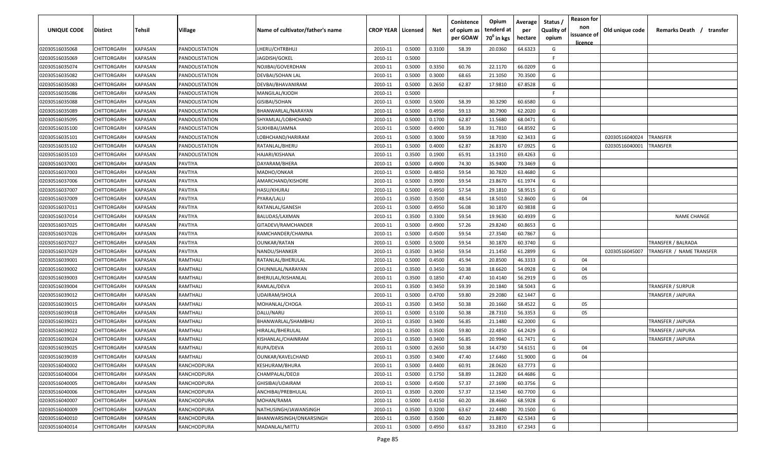| UNIQUE CODE    | <b>Distirct</b>    | Tehsil                | Village               | Name of cultivator/father's name | <b>CROP YEAR Licensed</b> |        | Net    | Conistence<br>of opium as<br>per GOAW | Opium<br>tenderd at<br>70 <sup>0</sup> in kgs | Average<br>per<br>hectare | Status /<br><b>Quality of</b><br>opium | <b>Reason for</b><br>non<br>issuance of<br><u>licence</u> | Old unique code | Remarks Death /<br>transfer |
|----------------|--------------------|-----------------------|-----------------------|----------------------------------|---------------------------|--------|--------|---------------------------------------|-----------------------------------------------|---------------------------|----------------------------------------|-----------------------------------------------------------|-----------------|-----------------------------|
| 02030516035068 | CHITTORGARH        | KAPASAN               | PANDOLISTATION        | LHERU/CHTRBHUJ                   | 2010-11                   | 0.5000 | 0.3100 | 58.39                                 | 20.0360                                       | 64.6323                   | G                                      |                                                           |                 |                             |
| 02030516035069 | CHITTORGARH        | KAPASAN               | PANDOLISTATION        | JAGDISH/GOKEL                    | 2010-11                   | 0.5000 |        |                                       |                                               |                           | F.                                     |                                                           |                 |                             |
| 02030516035074 | CHITTORGARH        | KAPASAN               | PANDOLISTATION        | NOJIBAI/GOVERDHAN                | 2010-11                   | 0.5000 | 0.3350 | 60.76                                 | 22.1170                                       | 66.0209                   | G                                      |                                                           |                 |                             |
| 02030516035082 | CHITTORGARH        | <b>KAPASAN</b>        | PANDOLISTATION        | DEVBAI/SOHAN LAL                 | 2010-11                   | 0.5000 | 0.3000 | 68.65                                 | 21.1050                                       | 70.3500                   | G                                      |                                                           |                 |                             |
| 02030516035083 | CHITTORGARH        | <b>KAPASAN</b>        | PANDOLISTATION        | DEVBAI/BHAVANIRAM                | 2010-11                   | 0.5000 | 0.2650 | 62.87                                 | 17.9810                                       | 67.8528                   | G                                      |                                                           |                 |                             |
| 02030516035086 | CHITTORGARH        | KAPASAN               | PANDOLISTATION        | MANGILAL/KJODH                   | 2010-11                   | 0.5000 |        |                                       |                                               |                           | -F                                     |                                                           |                 |                             |
| 02030516035088 | CHITTORGARH        | KAPASAN               | PANDOLISTATION        | GISIBAI/SOHAN                    | 2010-11                   | 0.5000 | 0.5000 | 58.39                                 | 30.3290                                       | 60.6580                   | G                                      |                                                           |                 |                             |
| 02030516035089 | CHITTORGARH        | <b><i>KAPASAN</i></b> | PANDOLISTATION        | BHANWARLAL/NARAYAN               | 2010-11                   | 0.5000 | 0.4950 | 59.13                                 | 30.7900                                       | 62.2020                   | G                                      |                                                           |                 |                             |
| 02030516035095 | CHITTORGARH        | KAPASAN               | PANDOLISTATION        | SHYAMLAL/LOBHCHAND               | 2010-11                   | 0.5000 | 0.1700 | 62.87                                 | 11.5680                                       | 68.0471                   | G                                      |                                                           |                 |                             |
| 02030516035100 | CHITTORGARH        | KAPASAN               | PANDOLISTATION        | SUKHIBAI/JAMNA                   | 2010-11                   | 0.5000 | 0.4900 | 58.39                                 | 31.7810                                       | 64.8592                   | G                                      |                                                           |                 |                             |
| 02030516035101 | CHITTORGARH        | KAPASAN               | PANDOLISTATION        | LOBHCHAND/HARIRAM                | 2010-11                   | 0.5000 | 0.3000 | 59.59                                 | 18.7030                                       | 62.3433                   | G                                      |                                                           | 02030516040024  | TRANSFER                    |
| 02030516035102 | CHITTORGARH        | KAPASAN               | <b>PANDOLISTATION</b> | RATANLAL/BHERU                   | 2010-11                   | 0.5000 | 0.4000 | 62.87                                 | 26.8370                                       | 67.0925                   | G                                      |                                                           | 02030516040001  | <b>RANSFER</b>              |
| 02030516035103 | CHITTORGARH        | KAPASAN               | PANDOLISTATION        | HAJARI/KISHANA                   | 2010-11                   | 0.3500 | 0.1900 | 65.91                                 | 13.1910                                       | 69.4263                   | G                                      |                                                           |                 |                             |
| 02030516037001 | CHITTORGARH        | KAPASAN               | PAVTIYA               | DAYARAM/BHERA                    | 2010-11                   | 0.5000 | 0.4900 | 74.30                                 | 35.9400                                       | 73.3469                   | G                                      |                                                           |                 |                             |
| 02030516037003 | CHITTORGARH        | KAPASAN               | PAVTIYA               | MADHO/ONKAR                      | 2010-11                   | 0.5000 | 0.4850 | 59.54                                 | 30.7820                                       | 63.4680                   | G                                      |                                                           |                 |                             |
| 02030516037006 | CHITTORGARH        | KAPASAN               | PAVTIYA               | AMARCHAND/KISHORE                | 2010-11                   | 0.5000 | 0.3900 | 59.54                                 | 23.8670                                       | 61.1974                   | G                                      |                                                           |                 |                             |
| 02030516037007 | CHITTORGARH        | KAPASAN               | PAVTIYA               | HASU/KHURAJ                      | 2010-11                   | 0.5000 | 0.4950 | 57.54                                 | 29.1810                                       | 58.9515                   | G                                      |                                                           |                 |                             |
| 02030516037009 | CHITTORGARH        | KAPASAN               | PAVTIYA               | PYARA/LALU                       | 2010-11                   | 0.3500 | 0.3500 | 48.54                                 | 18.5010                                       | 52.8600                   | G                                      | 04                                                        |                 |                             |
| 02030516037011 | CHITTORGARH        | KAPASAN               | PAVTIYA               | RATANLAL/GANESH                  | 2010-11                   | 0.5000 | 0.4950 | 56.08                                 | 30.1870                                       | 60.9838                   | G                                      |                                                           |                 |                             |
| 02030516037014 | CHITTORGARH        | KAPASAN               | PAVTIYA               | BALUDAS/LAXMAN                   | 2010-11                   | 0.3500 | 0.3300 | 59.54                                 | 19.9630                                       | 60.4939                   | G                                      |                                                           |                 | <b>NAME CHANGE</b>          |
| 02030516037025 | CHITTORGARH        | <b>KAPASAN</b>        | PAVTIYA               | GITADEVI/RAMCHANDER              | 2010-11                   | 0.5000 | 0.4900 | 57.26                                 | 29.8240                                       | 60.8653                   | G                                      |                                                           |                 |                             |
| 02030516037026 | CHITTORGARH        | <b>KAPASAN</b>        | PAVTIYA               | RAMCHANDER/CHAMNA                | 2010-11                   | 0.5000 | 0.4500 | 59.54                                 | 27.3540                                       | 60.7867                   | G                                      |                                                           |                 |                             |
| 02030516037027 | CHITTORGARH        | KAPASAN               | PAVTIYA               | <b>OUNKAR/RATAN</b>              | 2010-11                   | 0.5000 | 0.5000 | 59.54                                 | 30.1870                                       | 60.3740                   | G                                      |                                                           |                 | TRANSFER / BALRADA          |
| 02030516037029 | CHITTORGARH        | KAPASAN               | PAVTIYA               | NANDU/SHANKER                    | 2010-11                   | 0.3500 | 0.3450 | 59.54                                 | 21.1450                                       | 61.2899                   | G                                      |                                                           | 02030516045007  | TRANSFER / NAME TRANSFER    |
| 02030516039001 | CHITTORGARH        | KAPASAN               | RAMTHALI              | RATANLAL/BHERULAL                | 2010-11                   | 0.5000 | 0.4500 | 45.94                                 | 20.8500                                       | 46.3333                   | G                                      | 04                                                        |                 |                             |
| 02030516039002 | CHITTORGARH        | KAPASAN               | RAMTHALI              | CHUNNILAL/NARAYAN                | 2010-11                   | 0.3500 | 0.3450 | 50.38                                 | 18.6620                                       | 54.0928                   | G                                      | 04                                                        |                 |                             |
| 02030516039003 | CHITTORGARH        | KAPASAN               | RAMTHALI              | BHERULAL/KISHANLAL               | 2010-11                   | 0.3500 | 0.1850 | 47.40                                 | 10.4140                                       | 56.2919                   | G                                      | 05                                                        |                 |                             |
| 02030516039004 | CHITTORGARH        | KAPASAN               | RAMTHALI              | RAMLAL/DEVA                      | 2010-11                   | 0.3500 | 0.3450 | 59.39                                 | 20.1840                                       | 58.5043                   | G                                      |                                                           |                 | TRANSFER / SURPUR           |
| 02030516039012 | CHITTORGARH        | KAPASAN               | RAMTHALI              | UDAIRAM/SHOLA                    | 2010-11                   | 0.5000 | 0.4700 | 59.80                                 | 29.2080                                       | 62.1447                   | G                                      |                                                           |                 | TRANSFER / JAIPURA          |
| 02030516039015 | CHITTORGARH        | KAPASAN               | RAMTHALI              | MOHANLAL/CHOGA                   | 2010-11                   | 0.3500 | 0.3450 | 50.38                                 | 20.1660                                       | 58.4522                   | G                                      | 05                                                        |                 |                             |
| 02030516039018 | CHITTORGARH        | KAPASAN               | RAMTHALI              | DALU/NARU                        | 2010-11                   | 0.5000 | 0.5100 | 50.38                                 | 28.7310                                       | 56.3353                   | G                                      | 05                                                        |                 |                             |
| 02030516039021 | CHITTORGARH        | KAPASAN               | RAMTHALI              | BHANWARLAL/SHAMBHU               | 2010-11                   | 0.3500 | 0.3400 | 56.85                                 | 21.1480                                       | 62.2000                   | G                                      |                                                           |                 | TRANSFER / JAIPURA          |
| 02030516039022 | CHITTORGARH        | KAPASAN               | RAMTHALI              | HIRALAL/BHERULAL                 | 2010-11                   | 0.3500 | 0.3500 | 59.80                                 | 22.4850                                       | 64.2429                   | G                                      |                                                           |                 | TRANSFER / JAIPURA          |
| 02030516039024 | CHITTORGARH        | KAPASAN               | RAMTHALI              | KISHANLAL/CHAINRAM               | 2010-11                   | 0.3500 | 0.3400 | 56.85                                 | 20.9940                                       | 61.7471                   | G                                      |                                                           |                 | TRANSFER / JAIPURA          |
| 02030516039025 | CHITTORGARH        | <b>KAPASAN</b>        | RAMTHALI              | RUPA/DEVA                        | 2010-11                   | 0.5000 | 0.2650 | 50.38                                 | 14.4730                                       | 54.6151                   | G                                      | 04                                                        |                 |                             |
| 02030516039039 | <b>CHITTORGARH</b> | <b>KAPASAN</b>        | RAMTHALI              | OUNKAR/KAVELCHAND                | 2010-11                   | 0.3500 | 0.3400 | 47.40                                 | 17.6460                                       | 51.9000                   | G                                      | 04                                                        |                 |                             |
| 02030516040002 | CHITTORGARH        | <b>KAPASAN</b>        | RANCHODPURA           | <b>KESHURAM/BHURA</b>            | 2010-11                   | 0.5000 | 0.4400 | 60.91                                 | 28.0620                                       | 63.7773                   | G                                      |                                                           |                 |                             |
| 02030516040004 | CHITTORGARH        | <b>KAPASAN</b>        | RANCHODPURA           | CHAMPALAL/DEOJI                  | 2010-11                   | 0.5000 | 0.1750 | 58.89                                 | 11.2820                                       | 64.4686                   | G                                      |                                                           |                 |                             |
| 02030516040005 | CHITTORGARH        | <b>KAPASAN</b>        | RANCHODPURA           | GHISIBAI/UDAIRAM                 | 2010-11                   | 0.5000 | 0.4500 | 57.37                                 | 27.1690                                       | 60.3756                   | G                                      |                                                           |                 |                             |
| 02030516040006 | CHITTORGARH        | KAPASAN               | RANCHODPURA           | ANCHIBAI/PREBHULAL               | 2010-11                   | 0.3500 | 0.2000 | 57.37                                 | 12.1540                                       | 60.7700                   | G                                      |                                                           |                 |                             |
| 02030516040007 | CHITTORGARH        | KAPASAN               | RANCHODPURA           | MOHAN/RAMA                       | 2010-11                   | 0.5000 | 0.4150 | 60.20                                 | 28.4660                                       | 68.5928                   | G                                      |                                                           |                 |                             |
| 02030516040009 | CHITTORGARH        | KAPASAN               | RANCHODPURA           | NATHUSINGH/JAWANSINGH            | 2010-11                   | 0.3500 | 0.3200 | 63.67                                 | 22.4480                                       | 70.1500                   | G                                      |                                                           |                 |                             |
| 02030516040010 | CHITTORGARH        | KAPASAN               | RANCHODPURA           | BHANWARSINGH/ONKARSINGH          | 2010-11                   | 0.3500 | 0.3500 | 60.20                                 | 21.8870                                       | 62.5343                   | G                                      |                                                           |                 |                             |
| 02030516040014 | CHITTORGARH        | <b>KAPASAN</b>        | RANCHODPURA           | MADANLAL/MITTU                   | 2010-11                   | 0.5000 | 0.4950 | 63.67                                 | 33.2810                                       | 67.2343                   | G                                      |                                                           |                 |                             |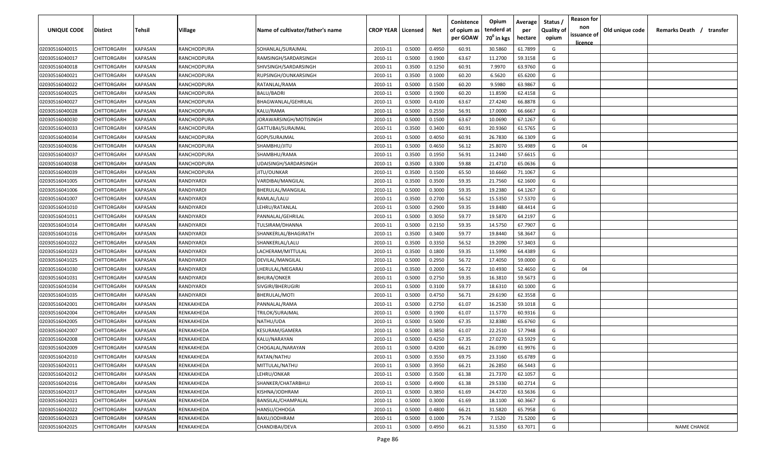| <b>UNIQUE CODE</b> | <b>Distirct</b>    | <b>Tehsil</b>  | Village     | Name of cultivator/father's name | <b>CROP YEAR   Licensed</b> |        | Net    | Conistence<br>of opium as | Opium<br>tenderd at    | Average<br>per | Status /<br>Quality of | <b>Reason for</b><br>non<br>issuance of | Old unique code | Remarks Death /<br>transfer |
|--------------------|--------------------|----------------|-------------|----------------------------------|-----------------------------|--------|--------|---------------------------|------------------------|----------------|------------------------|-----------------------------------------|-----------------|-----------------------------|
|                    |                    |                |             |                                  |                             |        |        | per GOAW                  | 70 <sup>0</sup> in kgs | hectare        | opium                  | licence                                 |                 |                             |
| 02030516040015     | CHITTORGARH        | <b>KAPASAN</b> | RANCHODPURA | SOHANLAL/SURAJMAL                | 2010-11                     | 0.5000 | 0.4950 | 60.91                     | 30.5860                | 61.7899        | G                      |                                         |                 |                             |
| 02030516040017     | CHITTORGARH        | KAPASAN        | RANCHODPURA | RAMSINGH/SARDARSINGH             | 2010-11                     | 0.5000 | 0.1900 | 63.67                     | 11.2700                | 59.3158        | G                      |                                         |                 |                             |
| 02030516040018     | CHITTORGARH        | KAPASAN        | RANCHODPURA | SHIVSINGH/SARDARSINGH            | 2010-11                     | 0.3500 | 0.1250 | 60.91                     | 7.9970                 | 63.9760        | G                      |                                         |                 |                             |
| 02030516040021     | CHITTORGARH        | KAPASAN        | RANCHODPURA | RUPSINGH/OUNKARSINGH             | 2010-11                     | 0.3500 | 0.1000 | 60.20                     | 6.5620                 | 65.6200        | G                      |                                         |                 |                             |
| 02030516040022     | CHITTORGARH        | KAPASAN        | RANCHODPURA | RATANLAL/RAMA                    | 2010-11                     | 0.5000 | 0.1500 | 60.20                     | 9.5980                 | 63.9867        | G                      |                                         |                 |                             |
| 02030516040025     | CHITTORGARH        | KAPASAN        | RANCHODPURA | BALU/BADRI                       | 2010-11                     | 0.5000 | 0.1900 | 60.20                     | 11.8590                | 62.4158        | G                      |                                         |                 |                             |
| 02030516040027     | CHITTORGARH        | KAPASAN        | RANCHODPURA | BHAGWANLAL/GEHRILAL              | 2010-11                     | 0.5000 | 0.4100 | 63.67                     | 27.4240                | 66.8878        | G                      |                                         |                 |                             |
| 02030516040028     | <b>CHITTORGARH</b> | KAPASAN        | RANCHODPURA | KALU/RAMA                        | 2010-11                     | 0.5000 | 0.2550 | 56.91                     | 17.0000                | 66.6667        | G                      |                                         |                 |                             |
| 02030516040030     | CHITTORGARH        | KAPASAN        | RANCHODPURA | JORAWARSINGH/MOTISINGH           | 2010-11                     | 0.5000 | 0.1500 | 63.67                     | 10.0690                | 67.1267        | G                      |                                         |                 |                             |
| 02030516040033     | CHITTORGARH        | KAPASAN        | RANCHODPURA | GATTUBAI/SURAJMAL                | 2010-11                     | 0.3500 | 0.3400 | 60.91                     | 20.9360                | 61.5765        | G                      |                                         |                 |                             |
| 02030516040034     | CHITTORGARH        | KAPASAN        | RANCHODPURA | GOPI/SURAJMAL                    | 2010-11                     | 0.5000 | 0.4050 | 60.91                     | 26.7830                | 66.1309        | G                      |                                         |                 |                             |
| 02030516040036     | CHITTORGARH        | KAPASAN        | RANCHODPURA | SHAMBHU/JITU                     | 2010-11                     | 0.5000 | 0.4650 | 56.12                     | 25.8070                | 55.4989        | G                      | 04                                      |                 |                             |
| 02030516040037     | CHITTORGARH        | KAPASAN        | RANCHODPURA | SHAMBHU/RAMA                     | 2010-11                     | 0.3500 | 0.1950 | 56.91                     | 11.2440                | 57.6615        | G                      |                                         |                 |                             |
| 02030516040038     | CHITTORGARH        | KAPASAN        | RANCHODPURA | UDAISINGH/SARDARSINGH            | 2010-11                     | 0.3500 | 0.3300 | 59.88                     | 21.4710                | 65.0636        | G                      |                                         |                 |                             |
| 02030516040039     | CHITTORGARH        | KAPASAN        | RANCHODPURA | JITU/OUNKAR                      | 2010-11                     | 0.3500 | 0.1500 | 65.50                     | 10.6660                | 71.1067        | G                      |                                         |                 |                             |
| 02030516041005     | CHITTORGARH        | KAPASAN        | RANDIYARDI  | VARDIBAI/MANGILAL                | 2010-11                     | 0.3500 | 0.3500 | 59.35                     | 21.7560                | 62.1600        | G                      |                                         |                 |                             |
| 02030516041006     | CHITTORGARH        | KAPASAN        | RANDIYARDI  | BHERULAL/MANGILAL                | 2010-11                     | 0.5000 | 0.3000 | 59.35                     | 19.2380                | 64.1267        | G                      |                                         |                 |                             |
| 02030516041007     | CHITTORGARH        | KAPASAN        | RANDIYARDI  | RAMLAL/LALU                      | 2010-11                     | 0.3500 | 0.2700 | 56.52                     | 15.5350                | 57.5370        | G                      |                                         |                 |                             |
| 02030516041010     | CHITTORGARH        | KAPASAN        | RANDIYARDI  | LEHRU/RATANLAL                   | 2010-11                     | 0.5000 | 0.2900 | 59.35                     | 19.8480                | 68.4414        | G                      |                                         |                 |                             |
| 02030516041011     | CHITTORGARH        | KAPASAN        | RANDIYARDI  | PANNALAL/GEHRILAL                | 2010-11                     | 0.5000 | 0.3050 | 59.77                     | 19.5870                | 64.2197        | G                      |                                         |                 |                             |
| 02030516041014     | CHITTORGARH        | KAPASAN        | RANDIYARDI  | TULSIRAM/DHANNA                  | 2010-11                     | 0.5000 | 0.2150 | 59.35                     | 14.5750                | 67.7907        | G                      |                                         |                 |                             |
| 02030516041016     | CHITTORGARH        | KAPASAN        | RANDIYARDI  | SHANKERLAL/BHAGIRATH             | 2010-11                     | 0.3500 | 0.3400 | 59.77                     | 19.8440                | 58.3647        | G                      |                                         |                 |                             |
| 02030516041022     | CHITTORGARH        | KAPASAN        | RANDIYARDI  | SHANKERLAL/LALU                  | 2010-11                     | 0.3500 | 0.3350 | 56.52                     | 19.2090                | 57.3403        | G                      |                                         |                 |                             |
| 02030516041023     | CHITTORGARH        | KAPASAN        | RANDIYARDI  | LACHERAM/MITTULAL                | 2010-11                     | 0.3500 | 0.1800 | 59.35                     | 11.5990                | 64.4389        | G                      |                                         |                 |                             |
| 02030516041025     | CHITTORGARH        | KAPASAN        | RANDIYARDI  | DEVILAL/MANGILAL                 | 2010-11                     | 0.5000 | 0.2950 | 56.72                     | 17.4050                | 59.0000        | G                      |                                         |                 |                             |
| 02030516041030     | CHITTORGARH        | KAPASAN        | RANDIYARDI  | LHERULAL/MEGARAJ                 | 2010-11                     | 0.3500 | 0.2000 | 56.72                     | 10.4930                | 52.4650        | G                      | 04                                      |                 |                             |
| 02030516041031     | CHITTORGARH        | KAPASAN        | RANDIYARDI  | <b>BHURA/ONKER</b>               | 2010-11                     | 0.5000 | 0.2750 | 59.35                     | 16.3810                | 59.5673        | G                      |                                         |                 |                             |
| 02030516041034     | CHITTORGARH        | KAPASAN        | RANDIYARDI  | SIVGIRI/BHERUGIRI                | 2010-11                     | 0.5000 | 0.3100 | 59.77                     | 18.6310                | 60.1000        | G                      |                                         |                 |                             |
| 02030516041035     | CHITTORGARH        | KAPASAN        | RANDIYARDI  | BHERULAL/MOTI                    | 2010-11                     | 0.5000 | 0.4750 | 56.71                     | 29.6190                | 62.3558        | G                      |                                         |                 |                             |
| 02030516042001     | CHITTORGARH        | KAPASAN        | RENKAKHEDA  | PANNALAL/RAMA                    | 2010-11                     | 0.5000 | 0.2750 | 61.07                     | 16.2530                | 59.1018        | G                      |                                         |                 |                             |
| 02030516042004     | CHITTORGARH        | KAPASAN        | RENKAKHEDA  | TRILOK/SURAJMAL                  | 2010-11                     | 0.5000 | 0.1900 | 61.07                     | 11.5770                | 60.9316        | G                      |                                         |                 |                             |
| 02030516042005     | CHITTORGARH        | KAPASAN        | RENKAKHEDA  | NATHU/UDA                        | 2010-11                     | 0.5000 | 0.5000 | 67.35                     | 32.8380                | 65.6760        | G                      |                                         |                 |                             |
| 02030516042007     | CHITTORGARH        | KAPASAN        | RENKAKHEDA  | KESURAM/GAMERA                   | 2010-11                     | 0.5000 | 0.3850 | 61.07                     | 22.2510                | 57.7948        | G                      |                                         |                 |                             |
| 02030516042008     | CHITTORGARH        | KAPASAN        | RENKAKHEDA  | KALU/NARAYAN                     | 2010-11                     | 0.5000 | 0.4250 | 67.35                     | 27.0270                | 63.5929        | G                      |                                         |                 |                             |
| 02030516042009     | <b>CHITTORGARH</b> | KAPASAN        | RENKAKHEDA  | CHOGALAL/NARAYAN                 | 2010-11                     | 0.5000 | 0.4200 | 66.21                     | 26.0390                | 61.9976        | G                      |                                         |                 |                             |
| 02030516042010     | CHITTORGARH        | <b>KAPASAN</b> | RENKAKHEDA  | RATAN/NATHU                      | 2010-11                     | 0.5000 | 0.3550 | 69.75                     | 23.3160                | 65.6789        | G                      |                                         |                 |                             |
| 02030516042011     | <b>CHITTORGARH</b> | KAPASAN        | RENKAKHEDA  | MITTULAL/NATHU                   | 2010-11                     | 0.5000 | 0.3950 | 66.21                     | 26.2850                | 66.5443        | G                      |                                         |                 |                             |
| 02030516042012     | CHITTORGARH        | KAPASAN        | RENKAKHEDA  | LEHRU/ONKAR                      | 2010-11                     | 0.5000 | 0.3500 | 61.38                     | 21.7370                | 62.1057        | G                      |                                         |                 |                             |
| 02030516042016     | CHITTORGARH        | KAPASAN        | RENKAKHEDA  | SHANKER/CHATARBHUJ               | 2010-11                     | 0.5000 | 0.4900 | 61.38                     | 29.5330                | 60.2714        | G                      |                                         |                 |                             |
| 02030516042017     | CHITTORGARH        | <b>KAPASAN</b> | RENKAKHEDA  | KISHNA/JODHRAM                   | 2010-11                     | 0.5000 | 0.3850 | 61.69                     | 24.4720                | 63.5636        | G                      |                                         |                 |                             |
| 02030516042021     | CHITTORGARH        | KAPASAN        | RENKAKHEDA  | BANSILAL/CHAMPALAL               | 2010-11                     | 0.5000 | 0.3000 | 61.69                     | 18.1100                | 60.3667        | G                      |                                         |                 |                             |
| 02030516042022     | CHITTORGARH        | KAPASAN        | RENKAKHEDA  | HANSU/CHHOGA                     | 2010-11                     | 0.5000 | 0.4800 | 66.21                     | 31.5820                | 65.7958        | G                      |                                         |                 |                             |
| 02030516042023     | CHITTORGARH        | KAPASAN        | RENKAKHEDA  | BAXU/JODHRAM                     | 2010-11                     | 0.5000 | 0.1000 | 75.74                     | 7.1520                 | 71.5200        | G                      |                                         |                 |                             |
| 02030516042025     | CHITTORGARH        | KAPASAN        | RENKAKHEDA  | CHANDIBAI/DEVA                   | 2010-11                     | 0.5000 | 0.4950 | 66.21                     | 31.5350                | 63.7071        | G                      |                                         |                 | <b>NAME CHANGE</b>          |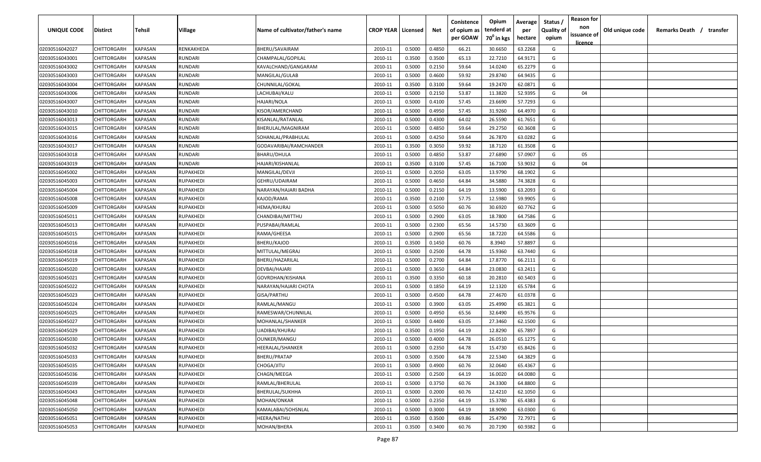| issuance of<br>per GOAW<br>70 <sup>0</sup> in kgs<br>hectare<br>opium<br><u>licence</u><br>63.2268<br>02030516042027<br>CHITTORGARH<br><b>KAPASAN</b><br>RENKAKHEDA<br>BHERU/SAVAIRAM<br>0.5000<br>0.4850<br>66.21<br>30.6650<br>G<br>2010-11<br>KAPASAN<br>0.3500<br>65.13<br>22.7210<br>64.9171<br>G<br>02030516043001<br>CHITTORGARH<br>RUNDARI<br>CHAMPALAL/GOPILAL<br>2010-11<br>0.3500<br>59.64<br>02030516043002<br>CHITTORGARH<br>KAPASAN<br>0.5000<br>0.2150<br>14.0240<br>65.2279<br>G<br>RUNDARI<br>KAVALCHAND/GANGARAM<br>2010-11<br>29.8740<br>02030516043003<br>CHITTORGARH<br>KAPASAN<br>RUNDARI<br>MANGILAL/GULAB<br>2010-11<br>0.5000<br>0.4600<br>59.92<br>64.9435<br>G<br>59.64<br>02030516043004<br>CHITTORGARH<br>KAPASAN<br>RUNDARI<br>CHUNNILAL/GOKAL<br>2010-11<br>0.3500<br>0.3100<br>19.2470<br>62.0871<br>G<br>2010-11<br>0.5000<br>0.2150<br>53.87<br>11.3820<br>52.9395<br>G<br>02030516043006<br>CHITTORGARH<br>KAPASAN<br>RUNDARI<br>LACHUBAI/KALU<br>04<br>02030516043007<br>CHITTORGARH<br>0.5000<br>23.6690<br>57.7293<br>KAPASAN<br>RUNDARI<br>HAJARI/NOLA<br>2010-11<br>0.4100<br>57.45<br>G<br>0.5000<br>0.4950<br>31.9260<br>64.4970<br>02030516043010<br>CHITTORGARH<br>KAPASAN<br>RUNDARI<br>KISOR/AMERCHAND<br>2010-11<br>57.45<br>G<br>02030516043013<br>CHITTORGARH<br>KAPASAN<br>RUNDARI<br>2010-11<br>0.5000<br>0.4300<br>64.02<br>26.5590<br>61.7651<br>G<br>KISANLAL/RATANLAL<br>0.4850<br>59.64<br>29.2750<br>G<br>KAPASAN<br>2010-11<br>0.5000<br>60.3608<br>02030516043015<br>CHITTORGARH<br>RUNDARI<br>BHERULAL/MAGNIRAM<br>CHITTORGARH<br>KAPASAN<br>2010-11<br>0.5000<br>0.4250<br>59.64<br>26.7870<br>63.0282<br>G<br>02030516043016<br>RUNDARI<br>SOHANLAL/PRABHULAL<br>59.92<br>18.7120<br>61.3508<br>G<br>02030516043017<br>CHITTORGARH<br>KAPASAN<br>RUNDARI<br>2010-11<br>0.3500<br>0.3050<br>GODAVARIBAI/RAMCHANDER<br>53.87<br>CHITTORGARH<br>KAPASAN<br>RUNDARI<br>BHARU/DHULA<br>2010-11<br>0.5000<br>0.4850<br>27.6890<br>57.0907<br>G<br>02030516043018<br>05<br>KAPASAN<br>0.3100<br>57.45<br>53.9032<br>G<br>CHITTORGARH<br>RUNDARI<br>HAJARI/KISHANLAL<br>2010-11<br>0.3500<br>16.7100<br>04<br>02030516043019<br>13.9790<br>68.1902<br>CHITTORGARH<br>KAPASAN<br>MANGILAL/DEVJI<br>2010-11<br>0.5000<br>0.2050<br>63.05<br>G<br>02030516045002<br>RUPAKHEDI<br>CHITTORGARH<br>KAPASAN<br>0.5000<br>0.4650<br>64.84<br>34.5880<br>74.3828<br>G<br>02030516045003<br>RUPAKHEDI<br>GEHRU/UDAIRAM<br>2010-11<br>63.2093<br>02030516045004<br>CHITTORGARH<br>KAPASAN<br>RUPAKHEDI<br>2010-11<br>0.5000<br>0.2150<br>64.19<br>13.5900<br>G<br>NARAYAN/HAJARI BADHA<br>59.9905<br>02030516045008<br>CHITTORGARH<br>KAPASAN<br>RUPAKHEDI<br>2010-11<br>0.3500<br>0.2100<br>57.75<br>12.5980<br>G<br>KAJOD/RAMA<br>KAPASAN<br>0.5000<br>0.5050<br>60.76<br>30.6920<br>60.7762<br>G<br>02030516045009<br>CHITTORGARH<br>RUPAKHEDI<br>HEMA/KHURAJ<br>2010-11 | Remarks Death /<br>transfer |
|------------------------------------------------------------------------------------------------------------------------------------------------------------------------------------------------------------------------------------------------------------------------------------------------------------------------------------------------------------------------------------------------------------------------------------------------------------------------------------------------------------------------------------------------------------------------------------------------------------------------------------------------------------------------------------------------------------------------------------------------------------------------------------------------------------------------------------------------------------------------------------------------------------------------------------------------------------------------------------------------------------------------------------------------------------------------------------------------------------------------------------------------------------------------------------------------------------------------------------------------------------------------------------------------------------------------------------------------------------------------------------------------------------------------------------------------------------------------------------------------------------------------------------------------------------------------------------------------------------------------------------------------------------------------------------------------------------------------------------------------------------------------------------------------------------------------------------------------------------------------------------------------------------------------------------------------------------------------------------------------------------------------------------------------------------------------------------------------------------------------------------------------------------------------------------------------------------------------------------------------------------------------------------------------------------------------------------------------------------------------------------------------------------------------------------------------------------------------------------------------------------------------------------------------------------------------------------------------------------------------------------------------------------------------------------------------------------------------------------------------------------------------------------------------------------------------------------------------------------------------------------------------------------------------|-----------------------------|
|                                                                                                                                                                                                                                                                                                                                                                                                                                                                                                                                                                                                                                                                                                                                                                                                                                                                                                                                                                                                                                                                                                                                                                                                                                                                                                                                                                                                                                                                                                                                                                                                                                                                                                                                                                                                                                                                                                                                                                                                                                                                                                                                                                                                                                                                                                                                                                                                                                                                                                                                                                                                                                                                                                                                                                                                                                                                                                                        |                             |
|                                                                                                                                                                                                                                                                                                                                                                                                                                                                                                                                                                                                                                                                                                                                                                                                                                                                                                                                                                                                                                                                                                                                                                                                                                                                                                                                                                                                                                                                                                                                                                                                                                                                                                                                                                                                                                                                                                                                                                                                                                                                                                                                                                                                                                                                                                                                                                                                                                                                                                                                                                                                                                                                                                                                                                                                                                                                                                                        |                             |
|                                                                                                                                                                                                                                                                                                                                                                                                                                                                                                                                                                                                                                                                                                                                                                                                                                                                                                                                                                                                                                                                                                                                                                                                                                                                                                                                                                                                                                                                                                                                                                                                                                                                                                                                                                                                                                                                                                                                                                                                                                                                                                                                                                                                                                                                                                                                                                                                                                                                                                                                                                                                                                                                                                                                                                                                                                                                                                                        |                             |
|                                                                                                                                                                                                                                                                                                                                                                                                                                                                                                                                                                                                                                                                                                                                                                                                                                                                                                                                                                                                                                                                                                                                                                                                                                                                                                                                                                                                                                                                                                                                                                                                                                                                                                                                                                                                                                                                                                                                                                                                                                                                                                                                                                                                                                                                                                                                                                                                                                                                                                                                                                                                                                                                                                                                                                                                                                                                                                                        |                             |
|                                                                                                                                                                                                                                                                                                                                                                                                                                                                                                                                                                                                                                                                                                                                                                                                                                                                                                                                                                                                                                                                                                                                                                                                                                                                                                                                                                                                                                                                                                                                                                                                                                                                                                                                                                                                                                                                                                                                                                                                                                                                                                                                                                                                                                                                                                                                                                                                                                                                                                                                                                                                                                                                                                                                                                                                                                                                                                                        |                             |
|                                                                                                                                                                                                                                                                                                                                                                                                                                                                                                                                                                                                                                                                                                                                                                                                                                                                                                                                                                                                                                                                                                                                                                                                                                                                                                                                                                                                                                                                                                                                                                                                                                                                                                                                                                                                                                                                                                                                                                                                                                                                                                                                                                                                                                                                                                                                                                                                                                                                                                                                                                                                                                                                                                                                                                                                                                                                                                                        |                             |
|                                                                                                                                                                                                                                                                                                                                                                                                                                                                                                                                                                                                                                                                                                                                                                                                                                                                                                                                                                                                                                                                                                                                                                                                                                                                                                                                                                                                                                                                                                                                                                                                                                                                                                                                                                                                                                                                                                                                                                                                                                                                                                                                                                                                                                                                                                                                                                                                                                                                                                                                                                                                                                                                                                                                                                                                                                                                                                                        |                             |
|                                                                                                                                                                                                                                                                                                                                                                                                                                                                                                                                                                                                                                                                                                                                                                                                                                                                                                                                                                                                                                                                                                                                                                                                                                                                                                                                                                                                                                                                                                                                                                                                                                                                                                                                                                                                                                                                                                                                                                                                                                                                                                                                                                                                                                                                                                                                                                                                                                                                                                                                                                                                                                                                                                                                                                                                                                                                                                                        |                             |
|                                                                                                                                                                                                                                                                                                                                                                                                                                                                                                                                                                                                                                                                                                                                                                                                                                                                                                                                                                                                                                                                                                                                                                                                                                                                                                                                                                                                                                                                                                                                                                                                                                                                                                                                                                                                                                                                                                                                                                                                                                                                                                                                                                                                                                                                                                                                                                                                                                                                                                                                                                                                                                                                                                                                                                                                                                                                                                                        |                             |
|                                                                                                                                                                                                                                                                                                                                                                                                                                                                                                                                                                                                                                                                                                                                                                                                                                                                                                                                                                                                                                                                                                                                                                                                                                                                                                                                                                                                                                                                                                                                                                                                                                                                                                                                                                                                                                                                                                                                                                                                                                                                                                                                                                                                                                                                                                                                                                                                                                                                                                                                                                                                                                                                                                                                                                                                                                                                                                                        |                             |
|                                                                                                                                                                                                                                                                                                                                                                                                                                                                                                                                                                                                                                                                                                                                                                                                                                                                                                                                                                                                                                                                                                                                                                                                                                                                                                                                                                                                                                                                                                                                                                                                                                                                                                                                                                                                                                                                                                                                                                                                                                                                                                                                                                                                                                                                                                                                                                                                                                                                                                                                                                                                                                                                                                                                                                                                                                                                                                                        |                             |
|                                                                                                                                                                                                                                                                                                                                                                                                                                                                                                                                                                                                                                                                                                                                                                                                                                                                                                                                                                                                                                                                                                                                                                                                                                                                                                                                                                                                                                                                                                                                                                                                                                                                                                                                                                                                                                                                                                                                                                                                                                                                                                                                                                                                                                                                                                                                                                                                                                                                                                                                                                                                                                                                                                                                                                                                                                                                                                                        |                             |
|                                                                                                                                                                                                                                                                                                                                                                                                                                                                                                                                                                                                                                                                                                                                                                                                                                                                                                                                                                                                                                                                                                                                                                                                                                                                                                                                                                                                                                                                                                                                                                                                                                                                                                                                                                                                                                                                                                                                                                                                                                                                                                                                                                                                                                                                                                                                                                                                                                                                                                                                                                                                                                                                                                                                                                                                                                                                                                                        |                             |
|                                                                                                                                                                                                                                                                                                                                                                                                                                                                                                                                                                                                                                                                                                                                                                                                                                                                                                                                                                                                                                                                                                                                                                                                                                                                                                                                                                                                                                                                                                                                                                                                                                                                                                                                                                                                                                                                                                                                                                                                                                                                                                                                                                                                                                                                                                                                                                                                                                                                                                                                                                                                                                                                                                                                                                                                                                                                                                                        |                             |
|                                                                                                                                                                                                                                                                                                                                                                                                                                                                                                                                                                                                                                                                                                                                                                                                                                                                                                                                                                                                                                                                                                                                                                                                                                                                                                                                                                                                                                                                                                                                                                                                                                                                                                                                                                                                                                                                                                                                                                                                                                                                                                                                                                                                                                                                                                                                                                                                                                                                                                                                                                                                                                                                                                                                                                                                                                                                                                                        |                             |
|                                                                                                                                                                                                                                                                                                                                                                                                                                                                                                                                                                                                                                                                                                                                                                                                                                                                                                                                                                                                                                                                                                                                                                                                                                                                                                                                                                                                                                                                                                                                                                                                                                                                                                                                                                                                                                                                                                                                                                                                                                                                                                                                                                                                                                                                                                                                                                                                                                                                                                                                                                                                                                                                                                                                                                                                                                                                                                                        |                             |
|                                                                                                                                                                                                                                                                                                                                                                                                                                                                                                                                                                                                                                                                                                                                                                                                                                                                                                                                                                                                                                                                                                                                                                                                                                                                                                                                                                                                                                                                                                                                                                                                                                                                                                                                                                                                                                                                                                                                                                                                                                                                                                                                                                                                                                                                                                                                                                                                                                                                                                                                                                                                                                                                                                                                                                                                                                                                                                                        |                             |
|                                                                                                                                                                                                                                                                                                                                                                                                                                                                                                                                                                                                                                                                                                                                                                                                                                                                                                                                                                                                                                                                                                                                                                                                                                                                                                                                                                                                                                                                                                                                                                                                                                                                                                                                                                                                                                                                                                                                                                                                                                                                                                                                                                                                                                                                                                                                                                                                                                                                                                                                                                                                                                                                                                                                                                                                                                                                                                                        |                             |
|                                                                                                                                                                                                                                                                                                                                                                                                                                                                                                                                                                                                                                                                                                                                                                                                                                                                                                                                                                                                                                                                                                                                                                                                                                                                                                                                                                                                                                                                                                                                                                                                                                                                                                                                                                                                                                                                                                                                                                                                                                                                                                                                                                                                                                                                                                                                                                                                                                                                                                                                                                                                                                                                                                                                                                                                                                                                                                                        |                             |
|                                                                                                                                                                                                                                                                                                                                                                                                                                                                                                                                                                                                                                                                                                                                                                                                                                                                                                                                                                                                                                                                                                                                                                                                                                                                                                                                                                                                                                                                                                                                                                                                                                                                                                                                                                                                                                                                                                                                                                                                                                                                                                                                                                                                                                                                                                                                                                                                                                                                                                                                                                                                                                                                                                                                                                                                                                                                                                                        |                             |
| KAPASAN<br>0.2900<br>63.05<br>64.7586<br>02030516045011<br>CHITTORGARH<br>RUPAKHEDI<br>0.5000<br>18.7800<br>G<br>CHANDIBAI/MITTHU<br>2010-11                                                                                                                                                                                                                                                                                                                                                                                                                                                                                                                                                                                                                                                                                                                                                                                                                                                                                                                                                                                                                                                                                                                                                                                                                                                                                                                                                                                                                                                                                                                                                                                                                                                                                                                                                                                                                                                                                                                                                                                                                                                                                                                                                                                                                                                                                                                                                                                                                                                                                                                                                                                                                                                                                                                                                                           |                             |
| CHITTORGARH<br>KAPASAN<br>65.56<br>14.5730<br>02030516045013<br>RUPAKHEDI<br>PUSPABAI/RAMLAL<br>2010-11<br>0.5000<br>0.2300<br>63.3609<br>G                                                                                                                                                                                                                                                                                                                                                                                                                                                                                                                                                                                                                                                                                                                                                                                                                                                                                                                                                                                                                                                                                                                                                                                                                                                                                                                                                                                                                                                                                                                                                                                                                                                                                                                                                                                                                                                                                                                                                                                                                                                                                                                                                                                                                                                                                                                                                                                                                                                                                                                                                                                                                                                                                                                                                                            |                             |
| 02030516045015<br>KAPASAN<br>2010-11<br>0.5000<br>0.2900<br>65.56<br>18.7220<br>64.5586<br>CHITTORGARH<br>RUPAKHEDI<br>RAMA/GHEESA<br>G                                                                                                                                                                                                                                                                                                                                                                                                                                                                                                                                                                                                                                                                                                                                                                                                                                                                                                                                                                                                                                                                                                                                                                                                                                                                                                                                                                                                                                                                                                                                                                                                                                                                                                                                                                                                                                                                                                                                                                                                                                                                                                                                                                                                                                                                                                                                                                                                                                                                                                                                                                                                                                                                                                                                                                                |                             |
| 02030516045016<br>CHITTORGARH<br>0.3500<br>0.1450<br>60.76<br>8.3940<br>57.8897<br>KAPASAN<br>RUPAKHEDI<br>BHERU/KAJOD<br>2010-11<br>G                                                                                                                                                                                                                                                                                                                                                                                                                                                                                                                                                                                                                                                                                                                                                                                                                                                                                                                                                                                                                                                                                                                                                                                                                                                                                                                                                                                                                                                                                                                                                                                                                                                                                                                                                                                                                                                                                                                                                                                                                                                                                                                                                                                                                                                                                                                                                                                                                                                                                                                                                                                                                                                                                                                                                                                 |                             |
| 02030516045018<br>CHITTORGARH<br>0.5000<br>0.2500<br>64.78<br>15.9360<br>63.7440<br>KAPASAN<br>RUPAKHEDI<br>MITTULAL/MEGRAJ<br>2010-11<br>G                                                                                                                                                                                                                                                                                                                                                                                                                                                                                                                                                                                                                                                                                                                                                                                                                                                                                                                                                                                                                                                                                                                                                                                                                                                                                                                                                                                                                                                                                                                                                                                                                                                                                                                                                                                                                                                                                                                                                                                                                                                                                                                                                                                                                                                                                                                                                                                                                                                                                                                                                                                                                                                                                                                                                                            |                             |
| 0.2700<br>66.2111<br>02030516045019<br>CHITTORGARH<br>KAPASAN<br>RUPAKHEDI<br>BHERU/HAZARILAL<br>2010-11<br>0.5000<br>64.84<br>17.8770<br>G                                                                                                                                                                                                                                                                                                                                                                                                                                                                                                                                                                                                                                                                                                                                                                                                                                                                                                                                                                                                                                                                                                                                                                                                                                                                                                                                                                                                                                                                                                                                                                                                                                                                                                                                                                                                                                                                                                                                                                                                                                                                                                                                                                                                                                                                                                                                                                                                                                                                                                                                                                                                                                                                                                                                                                            |                             |
| 02030516045020<br>CHITTORGARH<br>KAPASAN<br>RUPAKHEDI<br>2010-11<br>0.5000<br>0.3650<br>64.84<br>23.0830<br>63.2411<br>G<br>DEVBAI/HAJARI                                                                                                                                                                                                                                                                                                                                                                                                                                                                                                                                                                                                                                                                                                                                                                                                                                                                                                                                                                                                                                                                                                                                                                                                                                                                                                                                                                                                                                                                                                                                                                                                                                                                                                                                                                                                                                                                                                                                                                                                                                                                                                                                                                                                                                                                                                                                                                                                                                                                                                                                                                                                                                                                                                                                                                              |                             |
| G<br>KAPASAN<br>0.3350<br>60.18<br>20.2810<br>60.5403<br>02030516045021<br>CHITTORGARH<br>RUPAKHEDI<br>GOVRDHAN/KISHANA<br>2010-11<br>0.3500                                                                                                                                                                                                                                                                                                                                                                                                                                                                                                                                                                                                                                                                                                                                                                                                                                                                                                                                                                                                                                                                                                                                                                                                                                                                                                                                                                                                                                                                                                                                                                                                                                                                                                                                                                                                                                                                                                                                                                                                                                                                                                                                                                                                                                                                                                                                                                                                                                                                                                                                                                                                                                                                                                                                                                           |                             |
| KAPASAN<br>0.5000<br>0.1850<br>64.19<br>12.1320<br>65.5784<br>G<br>02030516045022<br>CHITTORGARH<br>RUPAKHEDI<br>NARAYAN/HAJARI CHOTA<br>2010-11                                                                                                                                                                                                                                                                                                                                                                                                                                                                                                                                                                                                                                                                                                                                                                                                                                                                                                                                                                                                                                                                                                                                                                                                                                                                                                                                                                                                                                                                                                                                                                                                                                                                                                                                                                                                                                                                                                                                                                                                                                                                                                                                                                                                                                                                                                                                                                                                                                                                                                                                                                                                                                                                                                                                                                       |                             |
| CHITTORGARH<br>KAPASAN<br>2010-11<br>0.5000<br>0.4500<br>64.78<br>27.4670<br>61.0378<br>G<br>02030516045023<br>RUPAKHEDI<br>GISA/PARTHU                                                                                                                                                                                                                                                                                                                                                                                                                                                                                                                                                                                                                                                                                                                                                                                                                                                                                                                                                                                                                                                                                                                                                                                                                                                                                                                                                                                                                                                                                                                                                                                                                                                                                                                                                                                                                                                                                                                                                                                                                                                                                                                                                                                                                                                                                                                                                                                                                                                                                                                                                                                                                                                                                                                                                                                |                             |
| CHITTORGARH<br>KAPASAN<br>RAMLAL/MANGU<br>2010-11<br>0.5000<br>0.3900<br>63.05<br>25.4990<br>65.3821<br>G<br>02030516045024<br>RUPAKHEDI                                                                                                                                                                                                                                                                                                                                                                                                                                                                                                                                                                                                                                                                                                                                                                                                                                                                                                                                                                                                                                                                                                                                                                                                                                                                                                                                                                                                                                                                                                                                                                                                                                                                                                                                                                                                                                                                                                                                                                                                                                                                                                                                                                                                                                                                                                                                                                                                                                                                                                                                                                                                                                                                                                                                                                               |                             |
| 65.56<br>32.6490<br>G<br>KAPASAN<br>2010-11<br>0.5000<br>0.4950<br>65.9576<br>02030516045025<br>CHITTORGARH<br>RUPAKHEDI<br>RAMESWAR/CHUNNILAL                                                                                                                                                                                                                                                                                                                                                                                                                                                                                                                                                                                                                                                                                                                                                                                                                                                                                                                                                                                                                                                                                                                                                                                                                                                                                                                                                                                                                                                                                                                                                                                                                                                                                                                                                                                                                                                                                                                                                                                                                                                                                                                                                                                                                                                                                                                                                                                                                                                                                                                                                                                                                                                                                                                                                                         |                             |
| 02030516045027<br>CHITTORGARH<br>KAPASAN<br>MOHANLAL/SHANKER<br>2010-11<br>0.5000<br>0.4400<br>63.05<br>27.3460<br>62.1500<br>G<br>RUPAKHEDI                                                                                                                                                                                                                                                                                                                                                                                                                                                                                                                                                                                                                                                                                                                                                                                                                                                                                                                                                                                                                                                                                                                                                                                                                                                                                                                                                                                                                                                                                                                                                                                                                                                                                                                                                                                                                                                                                                                                                                                                                                                                                                                                                                                                                                                                                                                                                                                                                                                                                                                                                                                                                                                                                                                                                                           |                             |
| 02030516045029<br>CHITTORGARH<br>KAPASAN<br>RUPAKHEDI<br>UADIBAI/KHURAJ<br>2010-11<br>0.3500<br>0.1950<br>64.19<br>12.8290<br>65.7897<br>G                                                                                                                                                                                                                                                                                                                                                                                                                                                                                                                                                                                                                                                                                                                                                                                                                                                                                                                                                                                                                                                                                                                                                                                                                                                                                                                                                                                                                                                                                                                                                                                                                                                                                                                                                                                                                                                                                                                                                                                                                                                                                                                                                                                                                                                                                                                                                                                                                                                                                                                                                                                                                                                                                                                                                                             |                             |
| KAPASAN<br>RUPAKHEDI<br>0.5000<br>0.4000<br>64.78<br>26.0510<br>65.1275<br>G<br>02030516045030<br>CHITTORGARH<br>OUNKER/MANGU<br>2010-11                                                                                                                                                                                                                                                                                                                                                                                                                                                                                                                                                                                                                                                                                                                                                                                                                                                                                                                                                                                                                                                                                                                                                                                                                                                                                                                                                                                                                                                                                                                                                                                                                                                                                                                                                                                                                                                                                                                                                                                                                                                                                                                                                                                                                                                                                                                                                                                                                                                                                                                                                                                                                                                                                                                                                                               |                             |
| KAPASAN<br>2010-11<br>0.5000<br>0.2350<br>64.78<br>65.8426<br>G<br>02030516045032<br>CHITTORGARH<br>RUPAKHEDI<br>HEERALAL/SHANKER<br>15.4730                                                                                                                                                                                                                                                                                                                                                                                                                                                                                                                                                                                                                                                                                                                                                                                                                                                                                                                                                                                                                                                                                                                                                                                                                                                                                                                                                                                                                                                                                                                                                                                                                                                                                                                                                                                                                                                                                                                                                                                                                                                                                                                                                                                                                                                                                                                                                                                                                                                                                                                                                                                                                                                                                                                                                                           |                             |
| <b>RUPAKHEDI</b><br>BHERU/PRATAP<br>0.5000<br>0.3500<br>64.78<br>22.5340<br>64.3829<br>02030516045033<br><b>CHITTORGARH</b><br>KAPASAN<br>2010-11<br>G                                                                                                                                                                                                                                                                                                                                                                                                                                                                                                                                                                                                                                                                                                                                                                                                                                                                                                                                                                                                                                                                                                                                                                                                                                                                                                                                                                                                                                                                                                                                                                                                                                                                                                                                                                                                                                                                                                                                                                                                                                                                                                                                                                                                                                                                                                                                                                                                                                                                                                                                                                                                                                                                                                                                                                 |                             |
| <b>KAPASAN</b><br>CHOGA/JITU<br>0.5000<br>0.4900<br>60.76<br>32.0640<br>65.4367<br>G<br>02030516045035<br>CHITTORGARH<br>RUPAKHEDI<br>2010-11                                                                                                                                                                                                                                                                                                                                                                                                                                                                                                                                                                                                                                                                                                                                                                                                                                                                                                                                                                                                                                                                                                                                                                                                                                                                                                                                                                                                                                                                                                                                                                                                                                                                                                                                                                                                                                                                                                                                                                                                                                                                                                                                                                                                                                                                                                                                                                                                                                                                                                                                                                                                                                                                                                                                                                          |                             |
| 02030516045036<br><b>CHITTORGARH</b><br><b>KAPASAN</b><br>0.5000<br>0.2500<br>G<br><b>RUPAKHEDI</b><br>CHAGN/MEEGA<br>2010-11<br>64.19<br>16.0020<br>64.0080                                                                                                                                                                                                                                                                                                                                                                                                                                                                                                                                                                                                                                                                                                                                                                                                                                                                                                                                                                                                                                                                                                                                                                                                                                                                                                                                                                                                                                                                                                                                                                                                                                                                                                                                                                                                                                                                                                                                                                                                                                                                                                                                                                                                                                                                                                                                                                                                                                                                                                                                                                                                                                                                                                                                                           |                             |
| <b>KAPASAN</b><br>0.5000<br>0.3750<br>24.3300<br>64.8800<br>G<br>02030516045039<br><b>CHITTORGARH</b><br><b>RUPAKHEDI</b><br>RAMLAL/BHERULAL<br>2010-11<br>60.76                                                                                                                                                                                                                                                                                                                                                                                                                                                                                                                                                                                                                                                                                                                                                                                                                                                                                                                                                                                                                                                                                                                                                                                                                                                                                                                                                                                                                                                                                                                                                                                                                                                                                                                                                                                                                                                                                                                                                                                                                                                                                                                                                                                                                                                                                                                                                                                                                                                                                                                                                                                                                                                                                                                                                       |                             |
| 02030516045043<br>0.5000<br>0.2000<br>12.4210<br>G<br>CHITTORGARH<br>KAPASAN<br>RUPAKHEDI<br>BHERULAL/SUKHHA<br>2010-11<br>60.76<br>62.1050                                                                                                                                                                                                                                                                                                                                                                                                                                                                                                                                                                                                                                                                                                                                                                                                                                                                                                                                                                                                                                                                                                                                                                                                                                                                                                                                                                                                                                                                                                                                                                                                                                                                                                                                                                                                                                                                                                                                                                                                                                                                                                                                                                                                                                                                                                                                                                                                                                                                                                                                                                                                                                                                                                                                                                            |                             |
| 0.5000<br>0.2350<br>15.3780<br>65.4383<br>G<br>02030516045048<br><b>CHITTORGARH</b><br>KAPASAN<br><b>RUPAKHEDI</b><br>MOHAN/ONKAR<br>2010-11<br>64.19                                                                                                                                                                                                                                                                                                                                                                                                                                                                                                                                                                                                                                                                                                                                                                                                                                                                                                                                                                                                                                                                                                                                                                                                                                                                                                                                                                                                                                                                                                                                                                                                                                                                                                                                                                                                                                                                                                                                                                                                                                                                                                                                                                                                                                                                                                                                                                                                                                                                                                                                                                                                                                                                                                                                                                  |                             |
| 02030516045050<br>CHITTORGARH<br>KAPASAN<br><b>RUPAKHEDI</b><br>KAMALABAI/SOHSNLAL<br>2010-11<br>0.5000<br>0.3000<br>64.19<br>18.9090<br>63.0300<br>G                                                                                                                                                                                                                                                                                                                                                                                                                                                                                                                                                                                                                                                                                                                                                                                                                                                                                                                                                                                                                                                                                                                                                                                                                                                                                                                                                                                                                                                                                                                                                                                                                                                                                                                                                                                                                                                                                                                                                                                                                                                                                                                                                                                                                                                                                                                                                                                                                                                                                                                                                                                                                                                                                                                                                                  |                             |
| G<br>02030516045051<br>KAPASAN<br>HEERA/NATHU<br>2010-11<br>0.3500<br>0.3500<br>69.86<br>25.4790<br>72.7971<br>CHITTORGARH<br><b>RUPAKHEDI</b>                                                                                                                                                                                                                                                                                                                                                                                                                                                                                                                                                                                                                                                                                                                                                                                                                                                                                                                                                                                                                                                                                                                                                                                                                                                                                                                                                                                                                                                                                                                                                                                                                                                                                                                                                                                                                                                                                                                                                                                                                                                                                                                                                                                                                                                                                                                                                                                                                                                                                                                                                                                                                                                                                                                                                                         |                             |
| G<br>0.3400<br>60.76<br>60.9382<br>02030516045053<br>CHITTORGARH<br>KAPASAN<br>RUPAKHEDI<br>MOHAN/BHERA<br>2010-11<br>0.3500<br>20.7190                                                                                                                                                                                                                                                                                                                                                                                                                                                                                                                                                                                                                                                                                                                                                                                                                                                                                                                                                                                                                                                                                                                                                                                                                                                                                                                                                                                                                                                                                                                                                                                                                                                                                                                                                                                                                                                                                                                                                                                                                                                                                                                                                                                                                                                                                                                                                                                                                                                                                                                                                                                                                                                                                                                                                                                |                             |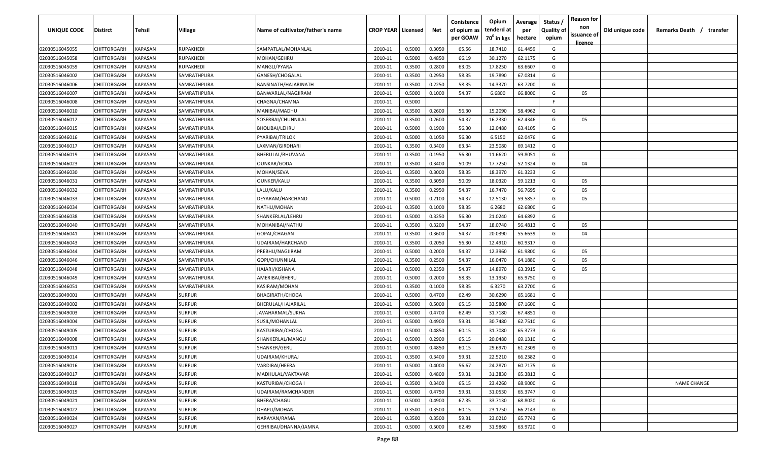| UNIQUE CODE    | Distirct           | Tehsil         | Village       | Name of cultivator/father's name | <b>CROP YEAR   Licensed</b> |        | Net    | Conistence<br>of opium as | Opium<br>tenderd at    | Average<br>per | Status /<br><b>Quality of</b> | <b>Reason for</b><br>non<br>issuance of | Old unique code | Remarks Death / transfer |
|----------------|--------------------|----------------|---------------|----------------------------------|-----------------------------|--------|--------|---------------------------|------------------------|----------------|-------------------------------|-----------------------------------------|-----------------|--------------------------|
|                |                    |                |               |                                  |                             |        |        | per GOAW                  | 70 <sup>0</sup> in kgs | hectare        | opium                         | <u>licence</u>                          |                 |                          |
| 02030516045055 | CHITTORGARH        | <b>KAPASAN</b> | RUPAKHEDI     | SAMPATLAL/MOHANLAL               | 2010-11                     | 0.5000 | 0.3050 | 65.56                     | 18.7410                | 61.4459        | G                             |                                         |                 |                          |
| 02030516045058 | CHITTORGARH        | KAPASAN        | RUPAKHEDI     | MOHAN/GEHRU                      | 2010-11                     | 0.5000 | 0.4850 | 66.19                     | 30.1270                | 62.1175        | G                             |                                         |                 |                          |
| 02030516045059 | CHITTORGARH        | KAPASAN        | RUPAKHEDI     | MANGLI/PYARA                     | 2010-11                     | 0.3500 | 0.2800 | 63.05                     | 17.8250                | 63.6607        | G                             |                                         |                 |                          |
| 02030516046002 | CHITTORGARH        | KAPASAN        | SAMRATHPURA   | GANESH/CHOGALAL                  | 2010-11                     | 0.3500 | 0.2950 | 58.35                     | 19.7890                | 67.0814        | G                             |                                         |                 |                          |
| 02030516046006 | CHITTORGARH        | KAPASAN        | SAMRATHPURA   | BANSINATH/HAJARINATH             | 2010-11                     | 0.3500 | 0.2250 | 58.35                     | 14.3370                | 63.7200        | G                             |                                         |                 |                          |
| 02030516046007 | CHITTORGARH        | KAPASAN        | SAMRATHPURA   | BANWARLAL/NAGJIRAM               | 2010-11                     | 0.5000 | 0.1000 | 54.37                     | 6.6800                 | 66.8000        | G                             | 05                                      |                 |                          |
| 02030516046008 | CHITTORGARH        | KAPASAN        | SAMRATHPURA   | CHAGNA/CHAMNA                    | 2010-11                     | 0.5000 |        |                           |                        |                | -F                            |                                         |                 |                          |
| 02030516046010 | CHITTORGARH        | KAPASAN        | SAMRATHPURA   | MANIBAI/MADHU                    | 2010-11                     | 0.3500 | 0.2600 | 56.30                     | 15.2090                | 58.4962        | G                             |                                         |                 |                          |
| 02030516046012 | CHITTORGARH        | KAPASAN        | SAMRATHPURA   | SOSERBAI/CHUNNILAL               | 2010-11                     | 0.3500 | 0.2600 | 54.37                     | 16.2330                | 62.4346        | G                             | 05                                      |                 |                          |
| 02030516046015 | CHITTORGARH        | KAPASAN        | SAMRATHPURA   | BHOLIBAI/LEHRU                   | 2010-11                     | 0.5000 | 0.1900 | 56.30                     | 12.0480                | 63.4105        | G                             |                                         |                 |                          |
| 02030516046016 | CHITTORGARH        | KAPASAN        | SAMRATHPURA   | PYARIBAI/TRILOK                  | 2010-11                     | 0.5000 | 0.1050 | 56.30                     | 6.5150                 | 62.0476        | G                             |                                         |                 |                          |
| 02030516046017 | CHITTORGARH        | KAPASAN        | SAMRATHPURA   | LAXMAN/GIRDHARI                  | 2010-11                     | 0.3500 | 0.3400 | 63.34                     | 23.5080                | 69.1412        | G                             |                                         |                 |                          |
| 02030516046019 | CHITTORGARH        | KAPASAN        | SAMRATHPURA   | BHERULAL/BHUVANA                 | 2010-11                     | 0.3500 | 0.1950 | 56.30                     | 11.6620                | 59.8051        | G                             |                                         |                 |                          |
| 02030516046023 | CHITTORGARH        | KAPASAN        | SAMRATHPURA   | OUNKAR/GODA                      | 2010-11                     | 0.3500 | 0.3400 | 50.09                     | 17.7250                | 52.1324        | G                             | 04                                      |                 |                          |
| 02030516046030 | CHITTORGARH        | KAPASAN        | SAMRATHPURA   | MOHAN/SEVA                       | 2010-11                     | 0.3500 | 0.3000 | 58.35                     | 18.3970                | 61.3233        | G                             |                                         |                 |                          |
| 02030516046031 | CHITTORGARH        | KAPASAN        | SAMRATHPURA   | <b>OUNKER/KALU</b>               | 2010-11                     | 0.3500 | 0.3050 | 50.09                     | 18.0320                | 59.1213        | G                             | 05                                      |                 |                          |
| 02030516046032 | CHITTORGARH        | KAPASAN        | SAMRATHPURA   | LALU/KALU                        | 2010-11                     | 0.3500 | 0.2950 | 54.37                     | 16.7470                | 56.7695        | G                             | 05                                      |                 |                          |
| 02030516046033 | CHITTORGARH        | KAPASAN        | SAMRATHPURA   | DEYARAM/HARCHAND                 | 2010-11                     | 0.5000 | 0.2100 | 54.37                     | 12.5130                | 59.5857        | G                             | 05                                      |                 |                          |
| 02030516046034 | CHITTORGARH        | KAPASAN        | SAMRATHPURA   | NATHU/MOHAN                      | 2010-11                     | 0.3500 | 0.1000 | 58.35                     | 6.2680                 | 62.6800        | G                             |                                         |                 |                          |
| 02030516046038 | CHITTORGARH        | KAPASAN        | SAMRATHPURA   | SHANKERLAL/LEHRU                 | 2010-11                     | 0.5000 | 0.3250 | 56.30                     | 21.0240                | 64.6892        | G                             |                                         |                 |                          |
| 02030516046040 | CHITTORGARH        | KAPASAN        | SAMRATHPURA   | MOHANIBAI/NATHU                  | 2010-11                     | 0.3500 | 0.3200 | 54.37                     | 18.0740                | 56.4813        | G                             | 05                                      |                 |                          |
| 02030516046041 | CHITTORGARH        | KAPASAN        | SAMRATHPURA   | GOPAL/CHAGAN                     | 2010-11                     | 0.3500 | 0.3600 | 54.37                     | 20.0390                | 55.6639        | G                             | 04                                      |                 |                          |
| 02030516046043 | CHITTORGARH        | KAPASAN        | SAMRATHPURA   | UDAIRAM/HARCHAND                 | 2010-11                     | 0.3500 | 0.2050 | 56.30                     | 12.4910                | 60.9317        | G                             |                                         |                 |                          |
| 02030516046044 | CHITTORGARH        | KAPASAN        | SAMRATHPURA   | PREBHU/NAGJIRAM                  | 2010-11                     | 0.5000 | 0.2000 | 54.37                     | 12.3960                | 61.9800        | G                             | 05                                      |                 |                          |
| 02030516046046 | CHITTORGARH        | KAPASAN        | SAMRATHPURA   | GOPI/CHUNNILAL                   | 2010-11                     | 0.3500 | 0.2500 | 54.37                     | 16.0470                | 64.1880        | G                             | 05                                      |                 |                          |
| 02030516046048 | CHITTORGARH        | KAPASAN        | SAMRATHPURA   | HAJARI/KISHANA                   | 2010-11                     | 0.5000 | 0.2350 | 54.37                     | 14.8970                | 63.3915        | G                             | 05                                      |                 |                          |
| 02030516046049 | CHITTORGARH        | KAPASAN        | SAMRATHPURA   | AMERIBAI/BHERU                   | 2010-11                     | 0.5000 | 0.2000 | 58.35                     | 13.1950                | 65.9750        | G                             |                                         |                 |                          |
| 02030516046051 | CHITTORGARH        | KAPASAN        | SAMRATHPURA   | KASIRAM/MOHAN                    | 2010-11                     | 0.3500 | 0.1000 | 58.35                     | 6.3270                 | 63.2700        | G                             |                                         |                 |                          |
| 02030516049001 | CHITTORGARH        | KAPASAN        | <b>SURPUR</b> | <b>BHAGIRATH/CHOGA</b>           | 2010-11                     | 0.5000 | 0.4700 | 62.49                     | 30.6290                | 65.1681        | G                             |                                         |                 |                          |
| 02030516049002 | CHITTORGARH        | KAPASAN        | <b>SURPUR</b> | BHERULAL/HAJARILAL               | 2010-11                     | 0.5000 | 0.5000 | 65.15                     | 33.5800                | 67.1600        | G                             |                                         |                 |                          |
| 02030516049003 | CHITTORGARH        | KAPASAN        | <b>SURPUR</b> | JAVAHARMAL/SUKHA                 | 2010-11                     | 0.5000 | 0.4700 | 62.49                     | 31.7180                | 67.4851        | G                             |                                         |                 |                          |
| 02030516049004 | CHITTORGARH        | KAPASAN        | <b>SURPUR</b> | SUSIL/MOHANLAL                   | 2010-11                     | 0.5000 | 0.4900 | 59.31                     | 30.7480                | 62.7510        | G                             |                                         |                 |                          |
| 02030516049005 | CHITTORGARH        | KAPASAN        | <b>SURPUR</b> | KASTURIBAI/CHOGA                 | 2010-11                     | 0.5000 | 0.4850 | 60.15                     | 31.7080                | 65.3773        | G                             |                                         |                 |                          |
| 02030516049008 | CHITTORGARH        | KAPASAN        | <b>SURPUR</b> | SHANKERLAL/MANGU                 | 2010-11                     | 0.5000 | 0.2900 | 65.15                     | 20.0480                | 69.1310        | G                             |                                         |                 |                          |
| 02030516049011 | <b>CHITTORGARH</b> | KAPASAN        | <b>SURPUR</b> | SHANKER/GERU                     | 2010-11                     | 0.5000 | 0.4850 | 60.15                     | 29.6970                | 61.2309        | G                             |                                         |                 |                          |
| 02030516049014 | CHITTORGARH        | KAPASAN        | <b>SURPUR</b> | UDAIRAM/KHURAJ                   | 2010-11                     | 0.3500 | 0.3400 | 59.31                     | 22.5210                | 66.2382        | G                             |                                         |                 |                          |
| 02030516049016 | CHITTORGARH        | <b>KAPASAN</b> | <b>SURPUR</b> | VARDIBAI/HEERA                   | 2010-11                     | 0.5000 | 0.4000 | 56.67                     | 24.2870                | 60.7175        | G                             |                                         |                 |                          |
| 02030516049017 | <b>CHITTORGARH</b> | <b>KAPASAN</b> | <b>SURPUR</b> | MADHULAL/VAKTAVAR                | 2010-11                     | 0.5000 | 0.4800 | 59.31                     | 31.3830                | 65.3813        | G                             |                                         |                 |                          |
| 02030516049018 | <b>CHITTORGARH</b> | <b>KAPASAN</b> | <b>SURPUR</b> | KASTURIBAI/CHOGA I               | 2010-11                     | 0.3500 | 0.3400 | 65.15                     | 23.4260                | 68.9000        | G                             |                                         |                 | <b>NAME CHANGE</b>       |
| 02030516049019 | CHITTORGARH        | KAPASAN        | <b>SURPUR</b> | UDAIRAM/RAMCHANDER               | 2010-11                     | 0.5000 | 0.4750 | 59.31                     | 31.0530                | 65.3747        | G                             |                                         |                 |                          |
| 02030516049021 | CHITTORGARH        | KAPASAN        | <b>SURPUR</b> | BHERA/CHAGU                      | 2010-11                     | 0.5000 | 0.4900 | 67.35                     | 33.7130                | 68.8020        | G                             |                                         |                 |                          |
| 02030516049022 | CHITTORGARH        | KAPASAN        | <b>SURPUR</b> | DHAPU/MOHAN                      | 2010-11                     | 0.3500 | 0.3500 | 60.15                     | 23.1750                | 66.2143        | G                             |                                         |                 |                          |
| 02030516049024 | CHITTORGARH        | KAPASAN        | <b>SURPUR</b> | NARAYAN/RAMA                     | 2010-11                     | 0.3500 | 0.3500 | 59.31                     | 23.0210                | 65.7743        | G                             |                                         |                 |                          |
| 02030516049027 | CHITTORGARH        | KAPASAN        | <b>SURPUR</b> | GEHRIBAI/DHANNA/JAMNA            | 2010-11                     | 0.5000 | 0.5000 | 62.49                     | 31.9860                | 63.9720        | G                             |                                         |                 |                          |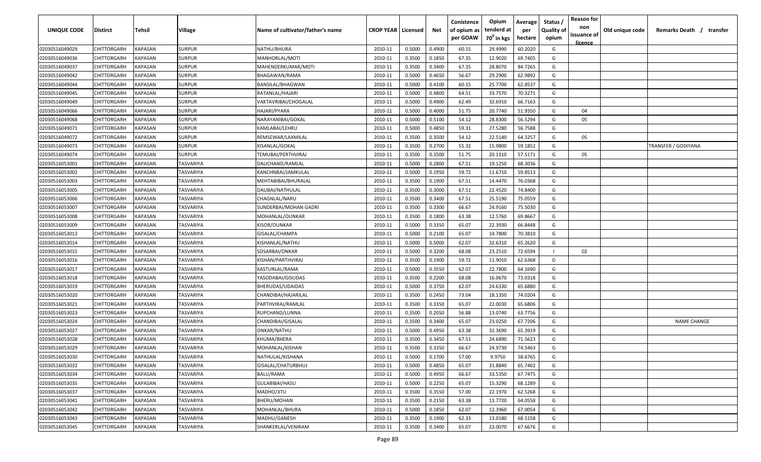| <b>UNIQUE CODE</b> | Distirct           | Tehsil         | Village       | Name of cultivator/father's name | <b>CROP YEAR   Licensed</b> |        | Net    | Conistence<br>of opium as | Opium<br>tenderd at    | Average<br>per | Status /<br><b>Quality of</b> | <b>Reason for</b><br>non<br>issuance of | Old unique code | Remarks Death /<br>transfer |
|--------------------|--------------------|----------------|---------------|----------------------------------|-----------------------------|--------|--------|---------------------------|------------------------|----------------|-------------------------------|-----------------------------------------|-----------------|-----------------------------|
|                    |                    |                |               |                                  |                             |        |        | per GOAW                  | 70 <sup>0</sup> in kgs | hectare        | opium                         | <u>licence</u>                          |                 |                             |
| 02030516049029     | CHITTORGARH        | KAPASAN        | <b>SURPUR</b> | NATHU/BHURA                      | 2010-11                     | 0.5000 | 0.4900 | 60.15                     | 29.4990                | 60.2020        | G                             |                                         |                 |                             |
| 02030516049036     | CHITTORGARH        | KAPASAN        | <b>SURPUR</b> | MANHORLAL/MOTI                   | 2010-11                     | 0.3500 | 0.1850 | 67.35                     | 12.9020                | 69.7405        | G                             |                                         |                 |                             |
| 02030516049037     | CHITTORGARH        | KAPASAN        | <b>SURPUR</b> | MAHENDERKUMAR/MOTI               | 2010-11                     | 0.3500 | 0.3400 | 67.35                     | 28.8070                | 84.7265        | G                             |                                         |                 |                             |
| 02030516049042     | CHITTORGARH        | KAPASAN        | <b>SURPUR</b> | BHAGAWAN/RAMA                    | 2010-11                     | 0.5000 | 0.4650 | 56.67                     | 29.2900                | 62.9892        | G                             |                                         |                 |                             |
| 02030516049044     | CHITTORGARH        | KAPASAN        | <b>SURPUR</b> | BANSILAL/BHAGWAN                 | 2010-11                     | 0.5000 | 0.4100 | 60.15                     | 25.7700                | 62.8537        | G                             |                                         |                 |                             |
| 02030516049045     | CHITTORGARH        | KAPASAN        | <b>SURPUR</b> | RATANLAL/HAJARI                  | 2010-11                     | 0.5000 | 0.4800 | 64.51                     | 33.7570                | 70.3271        | G                             |                                         |                 |                             |
| 02030516049049     | CHITTORGARH        | KAPASAN        | <b>SURPUR</b> | VAKTAVRIBAI/CHOGALAL             | 2010-11                     | 0.5000 | 0.4900 | 62.49                     | 32.6910                | 66.7163        | G                             |                                         |                 |                             |
| 02030516049066     | CHITTORGARH        | KAPASAN        | <b>SURPUR</b> | HAJARI/PYARA                     | 2010-11                     | 0.5000 | 0.4000 | 51.75                     | 20.7740                | 51.9350        | G                             | 04                                      |                 |                             |
| 02030516049068     | CHITTORGARH        | KAPASAN        | <b>SURPUR</b> | NARAYANIBAI/GOKAL                | 2010-11                     | 0.5000 | 0.5100 | 54.12                     | 28.8300                | 56.5294        | G                             | 05                                      |                 |                             |
| 02030516049071     | CHITTORGARH        | KAPASAN        | SURPUR        | KAMLABAI/LEHRU                   | 2010-11                     | 0.5000 | 0.4850 | 59.31                     | 27.5280                | 56.7588        | G                             |                                         |                 |                             |
| 02030516049072     | CHITTORGARH        | KAPASAN        | SURPUR        | REMSEWAR/LAXMILAL                | 2010-11                     | 0.3500 | 0.3500 | 54.12                     | 22.5140                | 64.3257        | G                             | 05                                      |                 |                             |
| 02030516049073     | CHITTORGARH        | KAPASAN        | <b>SURPUR</b> | KISANLAL/GOKAL                   | 2010-11                     | 0.3500 | 0.2700 | 55.32                     | 15.9800                | 59.1852        | G                             |                                         |                 | TRANSFER / GODIYANA         |
| 02030516049074     | CHITTORGARH        | KAPASAN        | <b>SURPUR</b> | TEMUBAI/PERTHVIRAJ               | 2010-11                     | 0.3500 | 0.3500 | 51.75                     | 20.1310                | 57.5171        | G                             | 05                                      |                 |                             |
| 02030516053001     | CHITTORGARH        | KAPASAN        | TASVARIYA     | DALICHAND/RAMLAL                 | 2010-11                     | 0.5000 | 0.2800 | 67.51                     | 19.1250                | 68.3036        | G                             |                                         |                 |                             |
| 02030516053002     | CHITTORGARH        | KAPASAN        | TASVARIYA     | KANCHNBAI/JAMKULAL               | 2010-11                     | 0.5000 | 0.1950 | 59.72                     | 11.6710                | 59.8513        | G                             |                                         |                 |                             |
| 02030516053003     | CHITTORGARH        | KAPASAN        | TASVARIYA     | MEHTABIBAI/BHURALAL              | 2010-11                     | 0.3500 | 0.1900 | 67.51                     | 14.4470                | 76.0368        | G                             |                                         |                 |                             |
| 02030516053005     | CHITTORGARH        | KAPASAN        | TASVARIYA     | DALIBAI/NATHULAL                 | 2010-11                     | 0.3500 | 0.3000 | 67.51                     | 22.4520                | 74.8400        | G                             |                                         |                 |                             |
| 02030516053006     | CHITTORGARH        | KAPASAN        | TASVARIYA     | CHAGNLAL/NARU                    | 2010-11                     | 0.3500 | 0.3400 | 67.51                     | 25.5190                | 75.0559        | G                             |                                         |                 |                             |
| 02030516053007     | CHITTORGARH        | KAPASAN        | TASVARIYA     | SUNDERBAI/MOHAN GADRI            | 2010-11                     | 0.3500 | 0.3300 | 66.67                     | 24.9160                | 75.5030        | G                             |                                         |                 |                             |
| 02030516053008     | CHITTORGARH        | KAPASAN        | TASVARIYA     | MOHANLAL/OUNKAR                  | 2010-11                     | 0.3500 | 0.1800 | 63.38                     | 12.5760                | 69.8667        | G                             |                                         |                 |                             |
| 02030516053009     | CHITTORGARH        | KAPASAN        | TASVARIYA     | KISOR/OUNKAR                     | 2010-11                     | 0.5000 | 0.3350 | 65.07                     | 22.3930                | 66.8448        | G                             |                                         |                 |                             |
| 02030516053013     | CHITTORGARH        | KAPASAN        | TASVARIYA     | GISALAL/CHAMPA                   | 2010-11                     | 0.5000 | 0.2100 | 65.07                     | 14.7800                | 70.3810        | G                             |                                         |                 |                             |
| 02030516053014     | CHITTORGARH        | KAPASAN        | TASVARIYA     | KISHANLAL/NATHU                  | 2010-11                     | 0.5000 | 0.5000 | 62.07                     | 32.6310                | 65.2620        | G                             |                                         |                 |                             |
| 02030516053015     | CHITTORGARH        | KAPASAN        | TASVARIYA     | SOSARBAI/ONKAR                   | 2010-11                     | 0.5000 | 0.3200 | 68.08                     | 23.2510                | 72.6594        |                               | 02                                      |                 |                             |
| 02030516053016     | CHITTORGARH        | KAPASAN        | TASVARIYA     | KISHAN/PARTHVIRAJ                | 2010-11                     | 0.3500 | 0.1900 | 59.72                     | 11.9010                | 62.6368        | G                             |                                         |                 |                             |
| 02030516053017     | CHITTORGARH        | KAPASAN        | TASVARIYA     | KASTURLAL/RAMA                   | 2010-11                     | 0.5000 | 0.3550 | 62.07                     | 22.7800                | 64.1690        | G                             |                                         |                 |                             |
| 02030516053018     | CHITTORGARH        | KAPASAN        | TASVARIYA     | YASODABAI/GISUDAS                | 2010-11                     | 0.3500 | 0.2200 | 68.08                     | 16.0670                | 73.0318        | G                             |                                         |                 |                             |
| 02030516053019     | CHITTORGARH        | KAPASAN        | TASVARIYA     | BHERUDAS/UDAIDAS                 | 2010-11                     | 0.5000 | 0.3750 | 62.07                     | 24.6330                | 65.6880        | G                             |                                         |                 |                             |
| 02030516053020     | CHITTORGARH        | KAPASAN        | TASVARIYA     | CHANDIBAI/HAJARILAL              | 2010-11                     | 0.3500 | 0.2450 | 73.04                     | 18.1350                | 74.0204        | G                             |                                         |                 |                             |
| 02030516053021     | CHITTORGARH        | KAPASAN        | TASVARIYA     | PARTHVIRAJ/RAMLAL                | 2010-11                     | 0.3500 | 0.3350 | 65.07                     | 22.0030                | 65.6806        | G                             |                                         |                 |                             |
| 02030516053023     | CHITTORGARH        | KAPASAN        | TASVARIYA     | RUPCHAND/LUNNA                   | 2010-11                     | 0.3500 | 0.2050 | 56.88                     | 13.0740                | 63.7756        | G                             |                                         |                 |                             |
| 02030516053024     | CHITTORGARH        | KAPASAN        | TASVARIYA     | CHANDIBAI/GISALAL                | 2010-11                     | 0.3500 | 0.3400 | 65.07                     | 23.0250                | 67.7206        | G                             |                                         |                 | <b>NAME CHANGE</b>          |
| 02030516053027     | CHITTORGARH        | KAPASAN        | TASVARIYA     | ONKAR/NATHU                      | 2010-11                     | 0.5000 | 0.4950 | 63.38                     | 32.3690                | 65.3919        | G                             |                                         |                 |                             |
| 02030516053028     | CHITTORGARH        | KAPASAN        | TASVARIYA     | KHUMA/BHERA                      | 2010-11                     | 0.3500 | 0.3450 | 67.51                     | 24.6890                | 71.5623        | G                             |                                         |                 |                             |
| 02030516053029     | CHITTORGARH        | KAPASAN        | TASVARIYA     | MOHANLAL/KISHAN                  | 2010-11                     | 0.3500 | 0.3350 | 66.67                     | 24.9730                | 74.5463        | G                             |                                         |                 |                             |
| 02030516053030     | <b>CHITTORGARH</b> | KAPASAN        | TASVARIYA     | NATHULAL/KISHANA                 | 2010-11                     | 0.5000 | 0.1700 | 57.00                     | 9.9750                 | 58.6765        | G                             |                                         |                 |                             |
| 02030516053032     | CHITTORGARH        | <b>KAPASAN</b> | TASVARIYA     | GISALAL/CHATURBHUJ               | 2010-11                     | 0.5000 | 0.4850 | 65.07                     | 31.8840                | 65.7402        | G                             |                                         |                 |                             |
| 02030516053034     | <b>CHITTORGARH</b> | <b>KAPASAN</b> | TASVARIYA     | <b>BALU/RAMA</b>                 | 2010-11                     | 0.5000 | 0.4950 | 66.67                     | 33.5350                | 67.7475        | G                             |                                         |                 |                             |
| 02030516053035     | <b>CHITTORGARH</b> | KAPASAN        | TASVARIYA     | GULABIBAI/HASU                   | 2010-11                     | 0.5000 | 0.2250 | 65.07                     | 15.3290                | 68.1289        | G                             |                                         |                 |                             |
| 02030516053037     | CHITTORGARH        | KAPASAN        | TASVARIYA     | MADHO/JITU                       | 2010-11                     | 0.3500 | 0.3550 | 57.00                     | 22.1970                | 62.5268        | G                             |                                         |                 |                             |
| 02030516053041     | CHITTORGARH        | KAPASAN        | TASVARIYA     | BHERU/MOHAN                      | 2010-11                     | 0.3500 | 0.2150 | 63.38                     | 13.7720                | 64.0558        | G                             |                                         |                 |                             |
| 02030516053042     | CHITTORGARH        | KAPASAN        | TASVARIYA     | MOHANLAL/BHURA                   | 2010-11                     | 0.5000 | 0.1850 | 62.07                     | 12.3960                | 67.0054        | G                             |                                         |                 |                             |
| 02030516053043     | CHITTORGARH        | KAPASAN        | TASVARIYA     | MADHU/GANESH                     | 2010-11                     | 0.3500 | 0.1900 | 62.33                     | 13.0180                | 68.5158        | G                             |                                         |                 |                             |
| 02030516053045     | CHITTORGARH        | KAPASAN        | TASVARIYA     | SHANKERLAL/VENIRAM               | 2010-11                     | 0.3500 | 0.3400 | 65.07                     | 23.0070                | 67.6676        | G                             |                                         |                 |                             |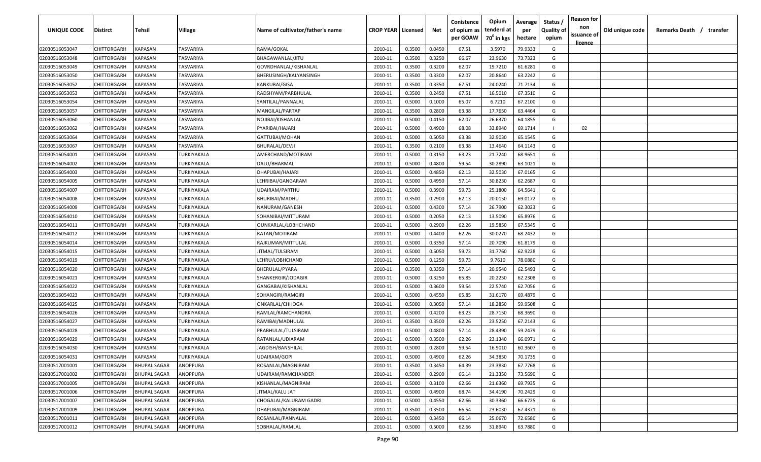| <b>UNIQUE CODE</b> | Distirct           | Tehsil              | Village            | Name of cultivator/father's name | <b>CROP YEAR   Licensed</b> |        | Net    | Conistence<br>of opium as<br>per GOAW | Opium<br>tenderd at<br>70 <sup>0</sup> in kgs | Average<br>per<br>hectare | Status /<br><b>Quality of</b><br>opium | <b>Reason for</b><br>non<br>issuance of | Old unique code | Remarks Death /<br>transfer |
|--------------------|--------------------|---------------------|--------------------|----------------------------------|-----------------------------|--------|--------|---------------------------------------|-----------------------------------------------|---------------------------|----------------------------------------|-----------------------------------------|-----------------|-----------------------------|
|                    |                    |                     |                    |                                  |                             |        |        |                                       |                                               |                           |                                        | <u>licence</u>                          |                 |                             |
| 02030516053047     | CHITTORGARH        | <b>KAPASAN</b>      | TASVARIYA          | RAMA/GOKAL                       | 2010-11                     | 0.3500 | 0.0450 | 67.51                                 | 3.5970                                        | 79.9333                   | G                                      |                                         |                 |                             |
| 02030516053048     | CHITTORGARH        | KAPASAN             | TASVARIYA          | BHAGAWANLAL/JITU                 | 2010-11                     | 0.3500 | 0.3250 | 66.67                                 | 23.9630                                       | 73.7323                   | G                                      |                                         |                 |                             |
| 02030516053049     | CHITTORGARH        | KAPASAN             | TASVARIYA          | GOVRDHANLAL/KISHANLAL            | 2010-11                     | 0.3500 | 0.3200 | 62.07                                 | 19.7210                                       | 61.6281                   | G                                      |                                         |                 |                             |
| 02030516053050     | CHITTORGARH        | KAPASAN             | TASVARIYA          | BHERUSINGH/KALYANSINGH           | 2010-11                     | 0.3500 | 0.3300 | 62.07                                 | 20.8640                                       | 63.2242                   | G                                      |                                         |                 |                             |
| 02030516053052     | CHITTORGARH        | KAPASAN             | TASVARIYA          | KANKUBAI/GISA                    | 2010-11                     | 0.3500 | 0.3350 | 67.51                                 | 24.0240                                       | 71.7134                   | G                                      |                                         |                 |                             |
| 02030516053053     | CHITTORGARH        | KAPASAN             | TASVARIYA          | RADSHYAM/PARBHULAL               | 2010-11                     | 0.3500 | 0.2450 | 67.51                                 | 16.5010                                       | 67.3510                   | G                                      |                                         |                 |                             |
| 02030516053054     | CHITTORGARH        | KAPASAN             | TASVARIYA          | SANTILAL/PANNALAL                | 2010-11                     | 0.5000 | 0.1000 | 65.07                                 | 6.7210                                        | 67.2100                   | G                                      |                                         |                 |                             |
| 02030516053057     | CHITTORGARH        | KAPASAN             | TASVARIYA          | MANGILAL/PARTAP                  | 2010-11                     | 0.3500 | 0.2800 | 63.38                                 | 17.7650                                       | 63.4464                   | G                                      |                                         |                 |                             |
| 02030516053060     | CHITTORGARH        | KAPASAN             | TASVARIYA          | NOJIBAI/KISHANLAL                | 2010-11                     | 0.5000 | 0.4150 | 62.07                                 | 26.6370                                       | 64.1855                   | G                                      |                                         |                 |                             |
| 02030516053062     | CHITTORGARH        | KAPASAN             | TASVARIYA          | PYARIBAI/HAJARI                  | 2010-11                     | 0.5000 | 0.4900 | 68.08                                 | 33.8940                                       | 69.1714                   |                                        | 02                                      |                 |                             |
| 02030516053064     | CHITTORGARH        | KAPASAN             | TASVARIYA          | GATTUBAI/MOHAN                   | 2010-11                     | 0.5000 | 0.5050 | 63.38                                 | 32.9030                                       | 65.1545                   | G                                      |                                         |                 |                             |
| 02030516053067     | CHITTORGARH        | KAPASAN             | TASVARIYA          | BHURALAL/DEVJI                   | 2010-11                     | 0.3500 | 0.2100 | 63.38                                 | 13.4640                                       | 64.1143                   | G                                      |                                         |                 |                             |
| 02030516054001     | CHITTORGARH        | KAPASAN             | TURKIYAKALA        | AMERCHAND/MOTIRAM                | 2010-11                     | 0.5000 | 0.3150 | 63.23                                 | 21.7240                                       | 68.9651                   | G                                      |                                         |                 |                             |
| 02030516054002     | CHITTORGARH        | KAPASAN             | TURKIYAKALA        | DALU/BHARMAL                     | 2010-11                     | 0.5000 | 0.4800 | 59.54                                 | 30.2890                                       | 63.1021                   | G                                      |                                         |                 |                             |
| 02030516054003     | CHITTORGARH        | KAPASAN             | TURKIYAKALA        | DHAPUBAI/HAJARI                  | 2010-11                     | 0.5000 | 0.4850 | 62.13                                 | 32.5030                                       | 67.0165                   | G                                      |                                         |                 |                             |
| 02030516054005     | CHITTORGARH        | KAPASAN             | TURKIYAKALA        | LEHRIBAI/GANGARAM                | 2010-11                     | 0.5000 | 0.4950 | 57.14                                 | 30.8230                                       | 62.2687                   | G                                      |                                         |                 |                             |
| 02030516054007     | CHITTORGARH        | KAPASAN             | TURKIYAKALA        | UDAIRAM/PARTHU                   | 2010-11                     | 0.5000 | 0.3900 | 59.73                                 | 25.1800                                       | 64.5641                   | G                                      |                                         |                 |                             |
| 02030516054008     | CHITTORGARH        | KAPASAN             | TURKIYAKALA        | <b>BHURIBAI/MADHU</b>            | 2010-11                     | 0.3500 | 0.2900 | 62.13                                 | 20.0150                                       | 69.0172                   | G                                      |                                         |                 |                             |
| 02030516054009     | CHITTORGARH        | KAPASAN             | TURKIYAKALA        | NANURAM/GANESH                   | 2010-11                     | 0.5000 | 0.4300 | 57.14                                 | 26.7900                                       | 62.3023                   | G                                      |                                         |                 |                             |
| 02030516054010     | CHITTORGARH        | KAPASAN             | TURKIYAKALA        | SOHANIBAI/MITTURAM               | 2010-11                     | 0.5000 | 0.2050 | 62.13                                 | 13.5090                                       | 65.8976                   | G                                      |                                         |                 |                             |
| 02030516054011     | CHITTORGARH        | KAPASAN             | TURKIYAKALA        | OUNKARLAL/LOBHCHAND              | 2010-11                     | 0.5000 | 0.2900 | 62.26                                 | 19.5850                                       | 67.5345                   | G                                      |                                         |                 |                             |
| 02030516054012     | CHITTORGARH        | KAPASAN             | TURKIYAKALA        | RATAN/MOTIRAM                    | 2010-11                     | 0.5000 | 0.4400 | 62.26                                 | 30.0270                                       | 68.2432                   | G                                      |                                         |                 |                             |
| 02030516054014     | CHITTORGARH        | KAPASAN             | TURKIYAKALA        | RAJKUMAR/MITTULAL                | 2010-11                     | 0.5000 | 0.3350 | 57.14                                 | 20.7090                                       | 61.8179                   | G                                      |                                         |                 |                             |
| 02030516054015     | CHITTORGARH        | KAPASAN             | TURKIYAKALA        | JITMAL/TULSIRAM                  | 2010-11                     | 0.5000 | 0.5050 | 59.73                                 | 31.7760                                       | 62.9228                   | G                                      |                                         |                 |                             |
| 02030516054019     | CHITTORGARH        | KAPASAN             | TURKIYAKALA        | LEHRU/LOBHCHAND                  | 2010-11                     | 0.5000 | 0.1250 | 59.73                                 | 9.7610                                        | 78.0880                   | G                                      |                                         |                 |                             |
| 02030516054020     | CHITTORGARH        | KAPASAN             | TURKIYAKALA        | BHERULAL/PYARA                   | 2010-11                     | 0.3500 | 0.3350 | 57.14                                 | 20.9540                                       | 62.5493                   | G                                      |                                         |                 |                             |
| 02030516054021     | CHITTORGARH        | KAPASAN             | TURKIYAKALA        | SHANKERGIR/JODAGIR               | 2010-11                     | 0.5000 | 0.3250 | 65.85                                 | 20.2250                                       | 62.2308                   | G                                      |                                         |                 |                             |
| 02030516054022     | CHITTORGARH        | KAPASAN             | TURKIYAKALA        | GANGABAI/KISHANLAL               | 2010-11                     | 0.5000 | 0.3600 | 59.54                                 | 22.5740                                       | 62.7056                   | G                                      |                                         |                 |                             |
| 02030516054023     | CHITTORGARH        | KAPASAN             | TURKIYAKALA        | SOHANGIRI/RAMGIRI                | 2010-11                     | 0.5000 | 0.4550 | 65.85                                 | 31.6170                                       | 69.4879                   | G                                      |                                         |                 |                             |
| 02030516054025     | CHITTORGARH        | KAPASAN             | TURKIYAKALA        | ONKARLAL/CHHOGA                  | 2010-11                     | 0.5000 | 0.3050 | 57.14                                 | 18.2850                                       | 59.9508                   | G                                      |                                         |                 |                             |
| 02030516054026     | CHITTORGARH        | KAPASAN             | TURKIYAKALA        | RAMLAL/RAMCHANDRA                | 2010-11                     | 0.5000 | 0.4200 | 63.23                                 | 28.7150                                       | 68.3690                   | G                                      |                                         |                 |                             |
| 02030516054027     | CHITTORGARH        | KAPASAN             | TURKIYAKALA        | RAMIBAI/MADHULAL                 | 2010-11                     | 0.3500 | 0.3500 | 62.26                                 | 23.5250                                       | 67.2143                   | G                                      |                                         |                 |                             |
| 02030516054028     | CHITTORGARH        | KAPASAN             | TURKIYAKALA        | PRABHULAL/TULSIRAM               | 2010-11                     | 0.5000 | 0.4800 | 57.14                                 | 28.4390                                       | 59.2479                   | G                                      |                                         |                 |                             |
| 02030516054029     | CHITTORGARH        | KAPASAN             | TURKIYAKALA        | RATANLAL/UDIARAM                 | 2010-11                     | 0.5000 | 0.3500 | 62.26                                 | 23.1340                                       | 66.0971                   | G                                      |                                         |                 |                             |
| 02030516054030     | CHITTORGARH        | KAPASAN             | TURKIYAKALA        | JAGDISH/BANSHILAL                | 2010-11                     | 0.5000 | 0.2800 | 59.54                                 | 16.9010                                       | 60.3607                   | G                                      |                                         |                 |                             |
| 02030516054031     | CHITTORGARH        | <b>KAPASAN</b>      | <b>TURKIYAKALA</b> | <b>UDAIRAM/GOPI</b>              | 2010-11                     | 0.5000 | 0.4900 | 62.26                                 | 34.3850                                       | 70.1735                   | G                                      |                                         |                 |                             |
| 02030517001001     | CHITTORGARH        | <b>BHUPAL SAGAR</b> | ANOPPURA           | ROSANLAL/MAGNIRAM                | 2010-11                     | 0.3500 | 0.3450 | 64.39                                 | 23.3830                                       | 67.7768                   | G                                      |                                         |                 |                             |
| 02030517001002     | <b>CHITTORGARH</b> | <b>BHUPAL SAGAR</b> | ANOPPURA           | UDAIRAM/RAMCHANDER               | 2010-11                     | 0.5000 | 0.2900 | 66.14                                 | 21.3350                                       | 73.5690                   | G                                      |                                         |                 |                             |
| 02030517001005     | <b>CHITTORGARH</b> | <b>BHUPAL SAGAR</b> | ANOPPURA           | KISHANLAL/MAGNIRAM               | 2010-11                     | 0.5000 | 0.3100 | 62.66                                 | 21.6360                                       | 69.7935                   | G                                      |                                         |                 |                             |
| 02030517001006     | CHITTORGARH        | <b>BHUPAL SAGAR</b> | ANOPPURA           | JITMAL/KALU JAT                  | 2010-11                     | 0.5000 | 0.4900 | 68.74                                 | 34.4190                                       | 70.2429                   | G                                      |                                         |                 |                             |
| 02030517001007     | CHITTORGARH        | <b>BHUPAL SAGAR</b> | ANOPPURA           | CHOGALAL/KALURAM GADRI           | 2010-11                     | 0.5000 | 0.4550 | 62.66                                 | 30.3360                                       | 66.6725                   | G                                      |                                         |                 |                             |
| 02030517001009     | CHITTORGARH        | <b>BHUPAL SAGAR</b> | ANOPPURA           | DHAPUBAI/MAGNIRAM                | 2010-11                     | 0.3500 | 0.3500 | 66.54                                 | 23.6030                                       | 67.4371                   | G                                      |                                         |                 |                             |
| 02030517001011     | CHITTORGARH        | BHUPAL SAGAR        | ANOPPURA           | ROSANLAL/PANNALAL                | 2010-11                     | 0.5000 | 0.3450 | 66.14                                 | 25.0670                                       | 72.6580                   | G                                      |                                         |                 |                             |
| 02030517001012     | CHITTORGARH        | <b>BHUPAL SAGAR</b> | ANOPPURA           | SOBHALAL/RAMLAL                  | 2010-11                     | 0.5000 | 0.5000 | 62.66                                 | 31.8940                                       | 63.7880                   | G                                      |                                         |                 |                             |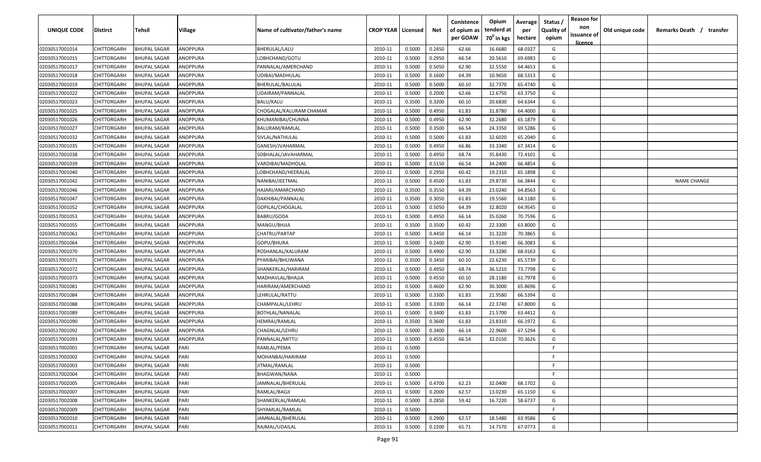| UNIQUE CODE    | Distirct           | Tehsil              | Village  | Name of cultivator/father's name | <b>CROP YEAR   Licensed</b> |        | Net    | Conistence<br>of opium as | Opium<br>tenderd at    | Average<br>per | Status /<br><b>Quality of</b> | <b>Reason for</b><br>non<br>issuance of | Old unique code | Remarks Death / transfer |
|----------------|--------------------|---------------------|----------|----------------------------------|-----------------------------|--------|--------|---------------------------|------------------------|----------------|-------------------------------|-----------------------------------------|-----------------|--------------------------|
|                |                    |                     |          |                                  |                             |        |        | per GOAW                  | 70 <sup>0</sup> in kgs | hectare        | opium                         | <u>licence</u>                          |                 |                          |
| 02030517001014 | CHITTORGARH        | <b>BHUPAL SAGAR</b> | ANOPPURA | BHERULAL/LALU                    | 2010-11                     | 0.5000 | 0.2450 | 62.66                     | 16.6680                | 68.0327        | G                             |                                         |                 |                          |
| 02030517001015 | CHITTORGARH        | BHUPAL SAGAR        | ANOPPURA | LOBHCHAND/GOTU                   | 2010-11                     | 0.5000 | 0.2950 | 66.54                     | 20.5610                | 69.6983        | G                             |                                         |                 |                          |
| 02030517001017 | CHITTORGARH        | <b>BHUPAL SAGAR</b> | ANOPPURA | PANNALAL/AMERCHAND               | 2010-11                     | 0.5000 | 0.5050 | 62.90                     | 32.5550                | 64.4653        | G                             |                                         |                 |                          |
| 02030517001018 | CHITTORGARH        | <b>BHUPAL SAGAR</b> | ANOPPURA | UDIBAI/MADHULAL                  | 2010-11                     | 0.5000 | 0.1600 | 64.39                     | 10.9650                | 68.5313        | G                             |                                         |                 |                          |
| 02030517001019 | CHITTORGARH        | <b>BHUPAL SAGAR</b> | ANOPPURA | BHERULAL/BALULAL                 | 2010-11                     | 0.5000 | 0.5000 | 60.10                     | 32.7370                | 65.4740        | G                             |                                         |                 |                          |
| 02030517001022 | CHITTORGARH        | <b>BHUPAL SAGAR</b> | ANOPPURA | UDAIRAM/PANNALAL                 | 2010-11                     | 0.5000 | 0.2000 | 62.66                     | 12.6750                | 63.3750        | G                             |                                         |                 |                          |
| 02030517001023 | CHITTORGARH        | <b>BHUPAL SAGAR</b> | ANOPPURA | BALU/KALU                        | 2010-11                     | 0.3500 | 0.3200 | 60.10                     | 20.6830                | 64.6344        | G                             |                                         |                 |                          |
| 02030517001025 | CHITTORGARH        | BHUPAL SAGAR        | ANOPPURA | CHOGALAL/KALURAM CHAMAR          | 2010-11                     | 0.5000 | 0.4950 | 61.83                     | 31.8780                | 64.4000        | G                             |                                         |                 |                          |
| 02030517001026 | CHITTORGARH        | <b>BHUPAL SAGAR</b> | ANOPPURA | KHUMANIBAI/CHUNNA                | 2010-11                     | 0.5000 | 0.4950 | 62.90                     | 32.2680                | 65.1879        | G                             |                                         |                 |                          |
| 02030517001027 | CHITTORGARH        | <b>BHUPAL SAGAR</b> | ANOPPURA | BALURAM/RAMLAL                   | 2010-11                     | 0.5000 | 0.3500 | 66.54                     | 24.3350                | 69.5286        | G                             |                                         |                 |                          |
| 02030517001032 | CHITTORGARH        | BHUPAL SAGAR        | ANOPPURA | SIVLAL/NATHULAL                  | 2010-11                     | 0.5000 | 0.5000 | 61.83                     | 32.6020                | 65.2040        | G                             |                                         |                 |                          |
| 02030517001035 | CHITTORGARH        | <b>BHUPAL SAGAR</b> | ANOPPURA | GANESH/JVAHARMAL                 | 2010-11                     | 0.5000 | 0.4950 | 66.86                     | 33.3340                | 67.3414        | G                             |                                         |                 |                          |
| 02030517001038 | CHITTORGARH        | <b>BHUPAL SAGAR</b> | ANOPPURA | SOBHALAL/JAVAHARMAL              | 2010-11                     | 0.5000 | 0.4950 | 68.74                     | 35.8430                | 72.4101        | G                             |                                         |                 |                          |
| 02030517001039 | CHITTORGARH        | <b>BHUPAL SAGAR</b> | ANOPPURA | VARDIBAI/MADHOLAL                | 2010-11                     | 0.5000 | 0.5150 | 66.54                     | 34.2400                | 66.4854        | G                             |                                         |                 |                          |
| 02030517001040 | CHITTORGARH        | <b>BHUPAL SAGAR</b> | ANOPPURA | LOBHCHAND/HEERALAL               | 2010-11                     | 0.5000 | 0.2950 | 60.42                     | 19.2310                | 65.1898        | G                             |                                         |                 |                          |
| 02030517001042 | CHITTORGARH        | <b>BHUPAL SAGAR</b> | ANOPPURA | NANIBAI/JEETMAL                  | 2010-11                     | 0.5000 | 0.4500 | 61.83                     | 29.8730                | 66.3844        | G                             |                                         |                 | <b>NAME CHANGE</b>       |
| 02030517001046 | CHITTORGARH        | <b>BHUPAL SAGAR</b> | ANOPPURA | HAJARI/AMARCHAND                 | 2010-11                     | 0.3500 | 0.3550 | 64.39                     | 23.0240                | 64.8563        | G                             |                                         |                 |                          |
| 02030517001047 | CHITTORGARH        | <b>BHUPAL SAGAR</b> | ANOPPURA | DAKHIBAI/PANNALAL                | 2010-11                     | 0.3500 | 0.3050 | 61.83                     | 19.5560                | 64.1180        | G                             |                                         |                 |                          |
| 02030517001052 | CHITTORGARH        | <b>BHUPAL SAGAR</b> | ANOPPURA | GOPILAL/CHOGALAL                 | 2010-11                     | 0.5000 | 0.5050 | 64.39                     | 32.8020                | 64.9545        | G                             |                                         |                 |                          |
| 02030517001053 | CHITTORGARH        | <b>BHUPAL SAGAR</b> | ANOPPURA | BABRU/GODA                       | 2010-11                     | 0.5000 | 0.4950 | 66.14                     | 35.0260                | 70.7596        | G                             |                                         |                 |                          |
| 02030517001055 | CHITTORGARH        | <b>BHUPAL SAGAR</b> | ANOPPURA | MANGU/BHJJA                      | 2010-11                     | 0.3500 | 0.3500 | 60.42                     | 22.3300                | 63.8000        | G                             |                                         |                 |                          |
| 02030517001061 | CHITTORGARH        | <b>BHUPAL SAGAR</b> | ANOPPURA | CHATRU/PARTAP                    | 2010-11                     | 0.5000 | 0.4450 | 66.14                     | 31.3220                | 70.3865        | G                             |                                         |                 |                          |
| 02030517001064 | CHITTORGARH        | <b>BHUPAL SAGAR</b> | ANOPPURA | GOPU/BHURA                       | 2010-11                     | 0.5000 | 0.2400 | 62.90                     | 15.9140                | 66.3083        | G                             |                                         |                 |                          |
| 02030517001070 | CHITTORGARH        | <b>BHUPAL SAGAR</b> | ANOPPURA | ROSHANLAL/KALURAM                | 2010-11                     | 0.5000 | 0.4900 | 62.90                     | 33.3280                | 68.0163        | G                             |                                         |                 |                          |
| 02030517001071 | CHITTORGARH        | <b>BHUPAL SAGAR</b> | ANOPPURA | PYARIBAI/BHUWANA                 | 2010-11                     | 0.3500 | 0.3450 | 60.10                     | 22.6230                | 65.5739        | G                             |                                         |                 |                          |
| 02030517001072 | CHITTORGARH        | <b>BHUPAL SAGAR</b> | ANOPPURA | SHANKERLAL/HARIRAM               | 2010-11                     | 0.5000 | 0.4950 | 68.74                     | 36.5210                | 73.7798        | G                             |                                         |                 |                          |
| 02030517001073 | CHITTORGARH        | BHUPAL SAGAR        | ANOPPURA | MADHAVLAL/BHAJJA                 | 2010-11                     | 0.5000 | 0.4550 | 60.10                     | 28.1180                | 61.7978        | G                             |                                         |                 |                          |
| 02030517001081 | CHITTORGARH        | BHUPAL SAGAR        | ANOPPURA | HARIRAM/AMERCHAND                | 2010-11                     | 0.5000 | 0.4600 | 62.90                     | 30.3000                | 65.8696        | G                             |                                         |                 |                          |
| 02030517001084 | CHITTORGARH        | <b>BHUPAL SAGAR</b> | ANOPPURA | LEHRULAL/RATTU                   | 2010-11                     | 0.5000 | 0.3300 | 61.83                     | 21.9580                | 66.5394        | G                             |                                         |                 |                          |
| 02030517001088 | CHITTORGARH        | <b>BHUPAL SAGAR</b> | ANOPPURA | CHAMPALAL/LEHRU                  | 2010-11                     | 0.5000 | 0.3300 | 66.14                     | 22.3740                | 67.8000        | G                             |                                         |                 |                          |
| 02030517001089 | CHITTORGARH        | <b>BHUPAL SAGAR</b> | ANOPPURA | BOTHLAL/NANALAL                  | 2010-11                     | 0.5000 | 0.3400 | 61.83                     | 21.5700                | 63.4412        | G                             |                                         |                 |                          |
| 02030517001090 | CHITTORGARH        | <b>BHUPAL SAGAR</b> | ANOPPURA | HEMRAJ/RAMLAL                    | 2010-11                     | 0.3500 | 0.3600 | 61.83                     | 23.8310                | 66.1972        | G                             |                                         |                 |                          |
| 02030517001092 | CHITTORGARH        | <b>BHUPAL SAGAR</b> | ANOPPURA | CHAGNLAL/LEHRU                   | 2010-11                     | 0.5000 | 0.3400 | 66.14                     | 22.9600                | 67.5294        | G                             |                                         |                 |                          |
| 02030517001093 | CHITTORGARH        | <b>BHUPAL SAGAR</b> | ANOPPURA | PANNALAL/MITTU                   | 2010-11                     | 0.5000 | 0.4550 | 66.54                     | 32.0150                | 70.3626        | G                             |                                         |                 |                          |
| 02030517002001 | CHITTORGARH        | <b>BHUPAL SAGAR</b> | PARI     | RAMLAL/PEMA                      | 2010-11                     | 0.5000 |        |                           |                        |                | F                             |                                         |                 |                          |
| 02030517002002 | <b>CHITTORGARH</b> | <b>BHUPAL SAGAR</b> | PARI     | MOHANBAI/HARIRAM                 | 2010-11                     | 0.5000 |        |                           |                        |                | F.                            |                                         |                 |                          |
| 02030517002003 | <b>CHITTORGARH</b> | <b>BHUPAL SAGAR</b> | PARI     | JITMAL/RAMLAL                    | 2010-11                     | 0.5000 |        |                           |                        |                | F                             |                                         |                 |                          |
| 02030517002004 | <b>CHITTORGARH</b> | <b>BHUPAL SAGAR</b> | PARI     | BHAGWAN/NANA                     | 2010-11                     | 0.5000 |        |                           |                        |                | F.                            |                                         |                 |                          |
| 02030517002005 | <b>CHITTORGARH</b> | <b>BHUPAL SAGAR</b> | PARI     | JAMNALAL/BHERULAL                | 2010-11                     | 0.5000 | 0.4700 | 62.23                     | 32.0400                | 68.1702        | G                             |                                         |                 |                          |
| 02030517002007 | CHITTORGARH        | <b>BHUPAL SAGAR</b> | PARI     | RAMLAL/BAGJI                     | 2010-11                     | 0.5000 | 0.2000 | 62.57                     | 13.0230                | 65.1150        | G                             |                                         |                 |                          |
| 02030517002008 | <b>CHITTORGARH</b> | <b>BHUPAL SAGAR</b> | PARI     | SHANKERLAL/RAMLAL                | 2010-11                     | 0.5000 | 0.2850 | 59.42                     | 16.7220                | 58.6737        | G                             |                                         |                 |                          |
| 02030517002009 | CHITTORGARH        | <b>BHUPAL SAGAR</b> | PARI     | SHYAMLAL/RAMLAL                  | 2010-11                     | 0.5000 |        |                           |                        |                | F.                            |                                         |                 |                          |
| 02030517002010 | CHITTORGARH        | BHUPAL SAGAR        | PARI     | JAMNALAL/BHERULAL                | 2010-11                     | 0.5000 | 0.2900 | 62.57                     | 18.5480                | 63.9586        | G                             |                                         |                 |                          |
| 02030517002011 | CHITTORGARH        | BHUPAL SAGAR        | PARI     | RAJMAL/UDAILAL                   | 2010-11                     | 0.5000 | 0.2200 | 65.71                     | 14.7570                | 67.0773        | G                             |                                         |                 |                          |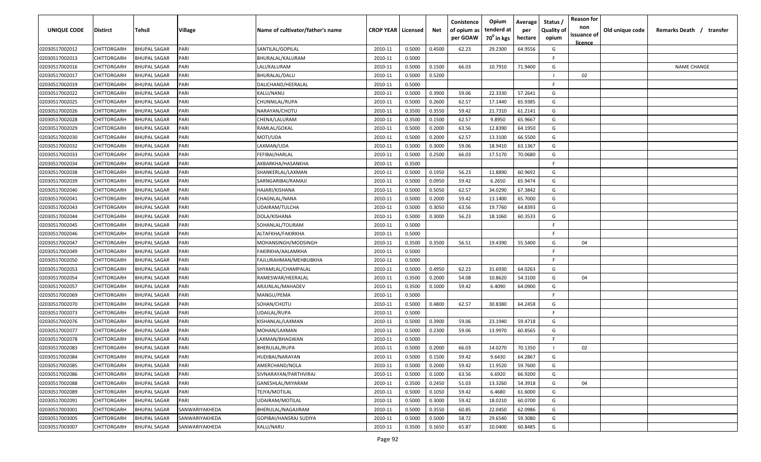| <b>UNIQUE CODE</b> | Distirct           | Tehsil              | Village        | Name of cultivator/father's name | <b>CROP YEAR   Licensed</b> |        | Net    | Conistence<br>of opium as<br>per GOAW | Opium<br>tenderd at<br>70 <sup>0</sup> in kgs | Average<br>per<br>hectare | Status /<br><b>Quality of</b><br>opium | <b>Reason for</b><br>non<br>issuance of<br><u>licence</u> | Old unique code | Remarks Death / transfer |
|--------------------|--------------------|---------------------|----------------|----------------------------------|-----------------------------|--------|--------|---------------------------------------|-----------------------------------------------|---------------------------|----------------------------------------|-----------------------------------------------------------|-----------------|--------------------------|
| 02030517002012     | CHITTORGARH        | <b>BHUPAL SAGAR</b> | PARI           | SANTILAL/GOPILAL                 | 2010-11                     | 0.5000 | 0.4500 | 62.23                                 | 29.2300                                       | 64.9556                   | G                                      |                                                           |                 |                          |
| 02030517002013     | CHITTORGARH        | BHUPAL SAGAR        | PARI           | BHURALAL/KALURAM                 | 2010-11                     | 0.5000 |        |                                       |                                               |                           | -F.                                    |                                                           |                 |                          |
| 02030517002016     | CHITTORGARH        | <b>BHUPAL SAGAR</b> | PARI           | LALI/KALURAM                     | 2010-11                     | 0.5000 | 0.1500 | 66.03                                 | 10.7910                                       | 71.9400                   | G                                      |                                                           |                 | <b>NAME CHANGE</b>       |
| 02030517002017     | CHITTORGARH        | <b>BHUPAL SAGAR</b> | PARI           | BHURALAL/DALU                    | 2010-11                     | 0.5000 | 0.5200 |                                       |                                               |                           |                                        | 02                                                        |                 |                          |
| 02030517002019     | CHITTORGARH        | <b>BHUPAL SAGAR</b> | PARI           | DALICHAND/HEERALAL               | 2010-11                     | 0.5000 |        |                                       |                                               |                           | -F.                                    |                                                           |                 |                          |
| 02030517002022     | CHITTORGARH        | <b>BHUPAL SAGAR</b> | PARI           | KALU/NANU                        | 2010-11                     | 0.5000 | 0.3900 | 59.06                                 | 22.3330                                       | 57.2641                   | G                                      |                                                           |                 |                          |
| 02030517002025     | CHITTORGARH        | <b>BHUPAL SAGAR</b> | PARI           | CHUNNILAL/RUPA                   | 2010-11                     | 0.5000 | 0.2600 | 62.57                                 | 17.1440                                       | 65.9385                   | G                                      |                                                           |                 |                          |
| 02030517002026     | CHITTORGARH        | <b>BHUPAL SAGAR</b> | PARI           | NARAYAN/CHOTU                    | 2010-11                     | 0.3500 | 0.3550 | 59.42                                 | 21.7310                                       | 61.2141                   | G                                      |                                                           |                 |                          |
| 02030517002028     | CHITTORGARH        | <b>BHUPAL SAGAR</b> | PARI           | CHENA/LALURAM                    | 2010-11                     | 0.3500 | 0.1500 | 62.57                                 | 9.8950                                        | 65.9667                   | G                                      |                                                           |                 |                          |
| 02030517002029     | CHITTORGARH        | <b>BHUPAL SAGAR</b> | PARI           | RAMLAL/GOKAL                     | 2010-11                     | 0.5000 | 0.2000 | 63.56                                 | 12.8390                                       | 64.1950                   | G                                      |                                                           |                 |                          |
| 02030517002030     | CHITTORGARH        | BHUPAL SAGAR        | PARI           | MOTI/UDA                         | 2010-11                     | 0.5000 | 0.2000 | 62.57                                 | 13.3100                                       | 66.5500                   | G                                      |                                                           |                 |                          |
| 02030517002032     | CHITTORGARH        | <b>BHUPAL SAGAR</b> | PARI           | LAXMAN/UDA                       | 2010-11                     | 0.5000 | 0.3000 | 59.06                                 | 18.9410                                       | 63.1367                   | G                                      |                                                           |                 |                          |
| 02030517002033     | CHITTORGARH        | <b>BHUPAL SAGAR</b> | PARI           | FEFIBAI/HARLAL                   | 2010-11                     | 0.5000 | 0.2500 | 66.03                                 | 17.5170                                       | 70.0680                   | G                                      |                                                           |                 |                          |
| 02030517002034     | CHITTORGARH        | <b>BHUPAL SAGAR</b> | PARI           | AKBARKHA/HASANKHA                | 2010-11                     | 0.3500 |        |                                       |                                               |                           | F.                                     |                                                           |                 |                          |
| 02030517002038     | CHITTORGARH        | <b>BHUPAL SAGAR</b> | PARI           | SHANKERLAL/LAXMAN                | 2010-11                     | 0.5000 | 0.1950 | 56.23                                 | 11.8890                                       | 60.9692                   | G                                      |                                                           |                 |                          |
| 02030517002039     | CHITTORGARH        | <b>BHUPAL SAGAR</b> | PARI           | SARNGARIBAI/RAMAJI               | 2010-11                     | 0.5000 | 0.0950 | 59.42                                 | 6.2650                                        | 65.9474                   | G                                      |                                                           |                 |                          |
| 02030517002040     | CHITTORGARH        | <b>BHUPAL SAGAR</b> | PARI           | HAJARI/KISHANA                   | 2010-11                     | 0.5000 | 0.5050 | 62.57                                 | 34.0290                                       | 67.3842                   | G                                      |                                                           |                 |                          |
| 02030517002041     | CHITTORGARH        | <b>BHUPAL SAGAR</b> | PARI           | CHAGNLAL/NANA                    | 2010-11                     | 0.5000 | 0.2000 | 59.42                                 | 13.1400                                       | 65.7000                   | G                                      |                                                           |                 |                          |
| 02030517002043     | CHITTORGARH        | BHUPAL SAGAR        | PARI           | UDAIRAM/TULCHA                   | 2010-11                     | 0.5000 | 0.3050 | 63.56                                 | 19.7760                                       | 64.8393                   | G                                      |                                                           |                 |                          |
| 02030517002044     | CHITTORGARH        | <b>BHUPAL SAGAR</b> | PARI           | DOLA/KISHANA                     | 2010-11                     | 0.5000 | 0.3000 | 56.23                                 | 18.1060                                       | 60.3533                   | G                                      |                                                           |                 |                          |
| 02030517002045     | CHITTORGARH        | <b>BHUPAL SAGAR</b> | PARI           | SOHANLAL/TOLIRAM                 | 2010-11                     | 0.5000 |        |                                       |                                               |                           | -F.                                    |                                                           |                 |                          |
| 02030517002046     | CHITTORGARH        | <b>BHUPAL SAGAR</b> | PARI           | ALTAFKHA/FAKIRKHA                | 2010-11                     | 0.5000 |        |                                       |                                               |                           | -F.                                    |                                                           |                 |                          |
| 02030517002047     | CHITTORGARH        | <b>BHUPAL SAGAR</b> | PARI           | MOHANSINGH/MODSINGH              | 2010-11                     | 0.3500 | 0.3500 | 56.51                                 | 19.4390                                       | 55.5400                   | G                                      | 04                                                        |                 |                          |
| 02030517002049     | CHITTORGARH        | <b>BHUPAL SAGAR</b> | PARI           | FAKIRKHA/AALAMKHA                | 2010-11                     | 0.5000 |        |                                       |                                               |                           | -F.                                    |                                                           |                 |                          |
| 02030517002050     | CHITTORGARH        | <b>BHUPAL SAGAR</b> | PARI           | FAJLURAHMAN/MEHBUBKHA            | 2010-11                     | 0.5000 |        |                                       |                                               |                           | -F                                     |                                                           |                 |                          |
| 02030517002053     | CHITTORGARH        | <b>BHUPAL SAGAR</b> | PARI           | SHYAMLAL/CHAMPALAL               | 2010-11                     | 0.5000 | 0.4950 | 62.23                                 | 31.6930                                       | 64.0263                   | G                                      |                                                           |                 |                          |
| 02030517002054     | CHITTORGARH        | BHUPAL SAGAR        | PARI           | RAMESWAR/HEERALAL                | 2010-11                     | 0.3500 | 0.2000 | 54.08                                 | 10.8620                                       | 54.3100                   | G                                      | 04                                                        |                 |                          |
| 02030517002057     | CHITTORGARH        | BHUPAL SAGAR        | PARI           | ARJUNLAL/MAHADEV                 | 2010-11                     | 0.3500 | 0.1000 | 59.42                                 | 6.4090                                        | 64.0900                   | G                                      |                                                           |                 |                          |
| 02030517002069     | CHITTORGARH        | <b>BHUPAL SAGAR</b> | PARI           | MANGU/PEMA                       | 2010-11                     | 0.5000 |        |                                       |                                               |                           | F.                                     |                                                           |                 |                          |
| 02030517002070     | CHITTORGARH        | <b>BHUPAL SAGAR</b> | PARI           | SOHAN/CHOTU                      | 2010-11                     | 0.5000 | 0.4800 | 62.57                                 | 30.8380                                       | 64.2458                   | G                                      |                                                           |                 |                          |
| 02030517002073     | CHITTORGARH        | <b>BHUPAL SAGAR</b> | PARI           | UDAILAL/RUPA                     | 2010-11                     | 0.5000 |        |                                       |                                               |                           | -F.                                    |                                                           |                 |                          |
| 02030517002076     | CHITTORGARH        | <b>BHUPAL SAGAR</b> | PARI           | KISHANLAL/LAXMAN                 | 2010-11                     | 0.5000 | 0.3900 | 59.06                                 | 23.1940                                       | 59.4718                   | G                                      |                                                           |                 |                          |
| 02030517002077     | CHITTORGARH        | <b>BHUPAL SAGAR</b> | PARI           | MOHAN/LAXMAN                     | 2010-11                     | 0.5000 | 0.2300 | 59.06                                 | 13.9970                                       | 60.8565                   | G                                      |                                                           |                 |                          |
| 02030517002078     | CHITTORGARH        | <b>BHUPAL SAGAR</b> | PARI           | LAXMAN/BHAGWAN                   | 2010-11                     | 0.5000 |        |                                       |                                               |                           | E                                      |                                                           |                 |                          |
| 02030517002083     | CHITTORGARH        | BHUPAL SAGAR        | PARI           | <b>BHERULAL/RUPA</b>             | 2010-11                     | 0.5000 | 0.2000 | 66.03                                 | 14.0270                                       | 70.1350                   |                                        | 02                                                        |                 |                          |
| 02030517002084     | <b>CHITTORGARH</b> | <b>BHUPAL SAGAR</b> | PARI           | HUDIBAI/NARAYAN                  | 2010-11                     | 0.5000 | 0.1500 | 59.42                                 | 9.6430                                        | 64.2867                   | G                                      |                                                           |                 |                          |
| 02030517002085     | <b>CHITTORGARH</b> | <b>BHUPAL SAGAR</b> | PARI           | AMERCHAND/NOLA                   | 2010-11                     | 0.5000 | 0.2000 | 59.42                                 | 11.9520                                       | 59.7600                   | G                                      |                                                           |                 |                          |
| 02030517002086     | CHITTORGARH        | <b>BHUPAL SAGAR</b> | PARI           | SIVNARAYAN/PARTHVIRAJ            | 2010-11                     | 0.5000 | 0.1000 | 63.56                                 | 6.6920                                        | 66.9200                   | G                                      |                                                           |                 |                          |
| 02030517002088     | <b>CHITTORGARH</b> | <b>BHUPAL SAGAR</b> | PARI           | GANESHLAL/MIYARAM                | 2010-11                     | 0.3500 | 0.2450 | 51.03                                 | 13.3260                                       | 54.3918                   | G                                      | 04                                                        |                 |                          |
| 02030517002089     | CHITTORGARH        | <b>BHUPAL SAGAR</b> | PARI           | TEJYA/MOTILAL                    | 2010-11                     | 0.5000 | 0.1050 | 59.42                                 | 6.4680                                        | 61.6000                   | G                                      |                                                           |                 |                          |
| 02030517002091     | CHITTORGARH        | <b>BHUPAL SAGAR</b> | PARI           | UDAIRAM/MOTILAL                  | 2010-11                     | 0.5000 | 0.3000 | 59.42                                 | 18.0210                                       | 60.0700                   | G                                      |                                                           |                 |                          |
| 02030517003001     | CHITTORGARH        | <b>BHUPAL SAGAR</b> | SANWARIYAKHEDA | BHERULAL/NAGAJIRAM               | 2010-11                     | 0.5000 | 0.3550 | 60.85                                 | 22.0450                                       | 62.0986                   | G                                      |                                                           |                 |                          |
| 02030517003005     | CHITTORGARH        | <b>BHUPAL SAGAR</b> | SANWARIYAKHEDA | GOPIBAI/HANSRAJ SUDIYA           | 2010-11                     | 0.5000 | 0.5000 | 58.72                                 | 29.6540                                       | 59.3080                   | G                                      |                                                           |                 |                          |
| 02030517003007     | CHITTORGARH        | <b>BHUPAL SAGAR</b> | SANWARIYAKHEDA | KALU/NARU                        | 2010-11                     | 0.3500 | 0.1650 | 65.87                                 | 10.0400                                       | 60.8485                   | G                                      |                                                           |                 |                          |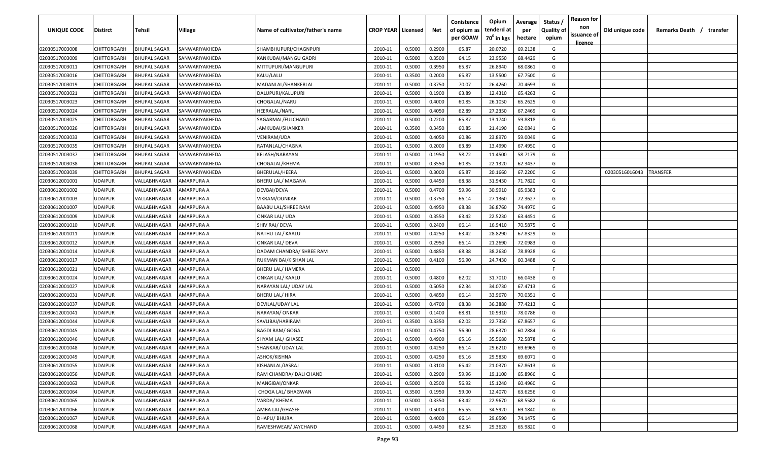| <b>UNIQUE CODE</b> | <b>Distirct</b> | <b>Tehsil</b>       | Village        | Name of cultivator/father's name | <b>CROP YEAR   Licensed</b> |        | Net    | Conistence<br>of opium as<br>per GOAW | Opium<br>tenderd at<br>70 <sup>°</sup> in kgs | Average<br>per<br>hectare | Status /<br><b>Quality of</b><br>opium | <b>Reason for</b><br>non<br>issuance of<br>licence | Old unique code | Remarks Death /<br>transfer |
|--------------------|-----------------|---------------------|----------------|----------------------------------|-----------------------------|--------|--------|---------------------------------------|-----------------------------------------------|---------------------------|----------------------------------------|----------------------------------------------------|-----------------|-----------------------------|
| 02030517003008     | CHITTORGARH     | <b>BHUPAL SAGAR</b> | SANWARIYAKHEDA | SHAMBHUPURI/CHAGNPURI            | 2010-11                     | 0.5000 | 0.2900 | 65.87                                 | 20.0720                                       | 69.2138                   | G                                      |                                                    |                 |                             |
| 02030517003009     | CHITTORGARH     | <b>BHUPAL SAGAR</b> | SANWARIYAKHEDA | KANKUBAI/MANGU GADRI             | 2010-11                     | 0.5000 | 0.3500 | 64.15                                 | 23.9550                                       | 68.4429                   | G                                      |                                                    |                 |                             |
| 02030517003011     | CHITTORGARH     | <b>BHUPAL SAGAR</b> | SANWARIYAKHEDA | MITTUPURI/MANGUPURI              | 2010-11                     | 0.5000 | 0.3950 | 65.87                                 | 26.8940                                       | 68.0861                   | G                                      |                                                    |                 |                             |
| 02030517003016     | CHITTORGARH     | <b>BHUPAL SAGAR</b> | SANWARIYAKHEDA | KALU/LALU                        | 2010-11                     | 0.3500 | 0.2000 | 65.87                                 | 13.5500                                       | 67.7500                   | G                                      |                                                    |                 |                             |
| 02030517003019     | CHITTORGARH     | <b>BHUPAL SAGAR</b> | SANWARIYAKHEDA | MADANLAL/SHANKERLAL              | 2010-11                     | 0.5000 | 0.3750 | 70.07                                 | 26.4260                                       | 70.4693                   | G                                      |                                                    |                 |                             |
| 02030517003021     | CHITTORGARH     | <b>BHUPAL SAGAR</b> | SANWARIYAKHEDA | DALUPURI/KALUPURI                | 2010-11                     | 0.5000 | 0.1900 | 63.89                                 | 12.4310                                       | 65.4263                   | G                                      |                                                    |                 |                             |
| 02030517003023     | CHITTORGARH     | <b>BHUPAL SAGAR</b> | SANWARIYAKHEDA | CHOGALAL/NARU                    | 2010-11                     | 0.5000 | 0.4000 | 60.85                                 | 26.1050                                       | 65.2625                   | G                                      |                                                    |                 |                             |
| 02030517003024     | CHITTORGARH     | BHUPAL SAGAR        | SANWARIYAKHEDA | HEERALAL/NARU                    | 2010-11                     | 0.5000 | 0.4050 | 62.89                                 | 27.2350                                       | 67.2469                   | G                                      |                                                    |                 |                             |
| 02030517003025     | CHITTORGARH     | <b>BHUPAL SAGAR</b> | SANWARIYAKHEDA | SAGARMAL/FULCHAND                | 2010-11                     | 0.5000 | 0.2200 | 65.87                                 | 13.1740                                       | 59.8818                   | G                                      |                                                    |                 |                             |
| 02030517003026     | CHITTORGARH     | <b>BHUPAL SAGAR</b> | SANWARIYAKHEDA | JAMKUBAI/SHANKER                 | 2010-11                     | 0.3500 | 0.3450 | 60.85                                 | 21.4190                                       | 62.0841                   | G                                      |                                                    |                 |                             |
| 02030517003033     | CHITTORGARH     | BHUPAL SAGAR        | SANWARIYAKHEDA | VENIRAM/UDA                      | 2010-11                     | 0.5000 | 0.4050 | 60.86                                 | 23.8970                                       | 59.0049                   | G                                      |                                                    |                 |                             |
| 02030517003035     | CHITTORGARH     | BHUPAL SAGAR        | SANWARIYAKHEDA | RATANLAL/CHAGNA                  | 2010-11                     | 0.5000 | 0.2000 | 63.89                                 | 13.4990                                       | 67.4950                   | G                                      |                                                    |                 |                             |
| 02030517003037     | CHITTORGARH     | <b>BHUPAL SAGAR</b> | SANWARIYAKHEDA | KELASH/NARAYAN                   | 2010-11                     | 0.5000 | 0.1950 | 58.72                                 | 11.4500                                       | 58.7179                   | G                                      |                                                    |                 |                             |
| 02030517003038     | CHITTORGARH     | <b>BHUPAL SAGAR</b> | SANWARIYAKHEDA | CHOGALAL/KHEMA                   | 2010-11                     | 0.5000 | 0.3550 | 60.85                                 | 22.1320                                       | 62.3437                   | G                                      |                                                    |                 |                             |
| 02030517003039     | CHITTORGARH     | <b>BHUPAL SAGAR</b> | SANWARIYAKHEDA | BHERULAL/HEERA                   | 2010-11                     | 0.5000 | 0.3000 | 65.87                                 | 20.1660                                       | 67.2200                   | G                                      |                                                    | 02030516016043  | TRANSFER                    |
| 02030612001001     | <b>UDAIPUR</b>  | VALLABHNAGAR        | AMARPURA A     | BHERU LAL/ MAGANA                | 2010-11                     | 0.5000 | 0.4450 | 68.38                                 | 31.9430                                       | 71.7820                   | G                                      |                                                    |                 |                             |
| 02030612001002     | <b>UDAIPUR</b>  | VALLABHNAGAR        | AMARPURA A     | DEVBAI/DEVA                      | 2010-11                     | 0.5000 | 0.4700 | 59.96                                 | 30.9910                                       | 65.9383                   | G                                      |                                                    |                 |                             |
| 02030612001003     | <b>UDAIPUR</b>  | VALLABHNAGAR        | AMARPURA A     | VIKRAM/OUNKAR                    | 2010-11                     | 0.5000 | 0.3750 | 66.14                                 | 27.1360                                       | 72.3627                   | G                                      |                                                    |                 |                             |
| 02030612001007     | <b>UDAIPUR</b>  | VALLABHNAGAR        | AMARPURA A     | <b>BAABU LAL/SHREE RAM</b>       | 2010-11                     | 0.5000 | 0.4950 | 68.38                                 | 36.8760                                       | 74.4970                   | G                                      |                                                    |                 |                             |
| 02030612001009     | UDAIPUR         | VALLABHNAGAR        | AMARPURA A     | ONKAR LAL/ UDA                   | 2010-11                     | 0.5000 | 0.3550 | 63.42                                 | 22.5230                                       | 63.4451                   | G                                      |                                                    |                 |                             |
| 02030612001010     | <b>UDAIPUR</b>  | VALLABHNAGAR        | AMARPURA A     | SHIV RAJ/ DEVA                   | 2010-11                     | 0.5000 | 0.2400 | 66.14                                 | 16.9410                                       | 70.5875                   | G                                      |                                                    |                 |                             |
| 02030612001011     | <b>UDAIPUR</b>  | VALLABHNAGAR        | AMARPURA A     | NATHU LAL/ KAALU                 | 2010-11                     | 0.5000 | 0.4250 | 63.42                                 | 28.8290                                       | 67.8329                   | G                                      |                                                    |                 |                             |
| 02030612001012     | UDAIPUR         | VALLABHNAGAR        | AMARPURA A     | <b>ONKAR LAL/ DEVA</b>           | 2010-11                     | 0.5000 | 0.2950 | 66.14                                 | 21.2690                                       | 72.0983                   | G                                      |                                                    |                 |                             |
| 02030612001014     | <b>UDAIPUR</b>  | VALLABHNAGAR        | AMARPURA A     | DADAM CHANDRA/ SHREE RAM         | 2010-11                     | 0.5000 | 0.4850 | 68.38                                 | 38.2630                                       | 78.8928                   | G                                      |                                                    |                 |                             |
| 02030612001017     | <b>UDAIPUR</b>  | VALLABHNAGAR        | AMARPURA A     | RUKMAN BAI/KISHAN LAL            | 2010-11                     | 0.5000 | 0.4100 | 56.90                                 | 24.7430                                       | 60.3488                   | G                                      |                                                    |                 |                             |
| 02030612001021     | <b>UDAIPUR</b>  | VALLABHNAGAR        | AMARPURA A     | BHERU LAL/ HAMERA                | 2010-11                     | 0.5000 |        |                                       |                                               |                           | -F.                                    |                                                    |                 |                             |
| 02030612001024     | <b>UDAIPUR</b>  | VALLABHNAGAR        | AMARPURA A     | ONKAR LAL/ KAALU                 | 2010-11                     | 0.5000 | 0.4800 | 62.02                                 | 31.7010                                       | 66.0438                   | G                                      |                                                    |                 |                             |
| 02030612001027     | UDAIPUR         | VALLABHNAGAR        | AMARPURA A     | NARAYAN LAL/ UDAY LAL            | 2010-11                     | 0.5000 | 0.5050 | 62.34                                 | 34.0730                                       | 67.4713                   | G                                      |                                                    |                 |                             |
| 02030612001031     | UDAIPUR         | VALLABHNAGAR        | AMARPURA A     | BHERU LAL/ HIRA                  | 2010-11                     | 0.5000 | 0.4850 | 66.14                                 | 33.9670                                       | 70.0351                   | G                                      |                                                    |                 |                             |
| 02030612001037     | UDAIPUR         | VALLABHNAGAR        | AMARPURA A     | DEVILAL/UDAY LAL                 | 2010-11                     | 0.5000 | 0.4700 | 68.38                                 | 36.3880                                       | 77.4213                   | G                                      |                                                    |                 |                             |
| 02030612001041     | UDAIPUR         | VALLABHNAGAR        | AMARPURA A     | NARAYAN/ ONKAR                   | 2010-11                     | 0.5000 | 0.1400 | 68.81                                 | 10.9310                                       | 78.0786                   | G                                      |                                                    |                 |                             |
| 02030612001044     | UDAIPUR         | VALLABHNAGAR        | AMARPURA A     | SAVLIBAI/HARIRAM                 | 2010-11                     | 0.3500 | 0.3350 | 62.02                                 | 22.7350                                       | 67.8657                   | G                                      |                                                    |                 |                             |
| 02030612001045     | <b>UDAIPUR</b>  | VALLABHNAGAR        | AMARPURA A     | <b>BAGDI RAM/ GOGA</b>           | 2010-11                     | 0.5000 | 0.4750 | 56.90                                 | 28.6370                                       | 60.2884                   | G                                      |                                                    |                 |                             |
| 02030612001046     | UDAIPUR         | VALLABHNAGAR        | AMARPURA A     | SHYAM LAL/ GHASEE                | 2010-11                     | 0.5000 | 0.4900 | 65.16                                 | 35.5680                                       | 72.5878                   | G                                      |                                                    |                 |                             |
| 02030612001048     | <b>UDAIPUR</b>  | VALLABHNAGAR        | AMARPURA A     | SHANKAR/ UDAY LAL                | 2010-11                     | 0.5000 | 0.4250 | 66.14                                 | 29.6210                                       | 69.6965                   | G                                      |                                                    |                 |                             |
| 02030612001049     | <b>UDAIPUR</b>  | VALLABHNAGAR        | AMARPURA A     | ASHOK/KISHNA                     | 2010-11                     | 0.5000 | 0.4250 | 65.16                                 | 29.5830                                       | 69.6071                   | G                                      |                                                    |                 |                             |
| 02030612001055     | <b>UDAIPUR</b>  | VALLABHNAGAR        | AMARPURA A     | KISHANLAL/JASRAJ                 | 2010-11                     | 0.5000 | 0.3100 | 65.42                                 | 21.0370                                       | 67.8613                   | G                                      |                                                    |                 |                             |
| 02030612001056     | <b>UDAIPUR</b>  | VALLABHNAGAR        | AMARPURA A     | RAM CHANDRA/ DALI CHAND          | 2010-11                     | 0.5000 | 0.2900 | 59.96                                 | 19.1100                                       | 65.8966                   | G                                      |                                                    |                 |                             |
| 02030612001063     | <b>UDAIPUR</b>  | VALLABHNAGAR        | AMARPURA A     | MANGIBAI/ONKAR                   | 2010-11                     | 0.5000 | 0.2500 | 56.92                                 | 15.1240                                       | 60.4960                   | G                                      |                                                    |                 |                             |
| 02030612001064     | <b>UDAIPUR</b>  | VALLABHNAGAR        | AMARPURA A     | CHOGA LAL/ BHAGWAN               | 2010-11                     | 0.3500 | 0.1950 | 59.00                                 | 12.4070                                       | 63.6256                   | G                                      |                                                    |                 |                             |
| 02030612001065     | <b>UDAIPUR</b>  | VALLABHNAGAR        | AMARPURA A     | VARDA/ KHEMA                     | 2010-11                     | 0.5000 | 0.3350 | 63.42                                 | 22.9670                                       | 68.5582                   | G                                      |                                                    |                 |                             |
| 02030612001066     | <b>UDAIPUR</b>  | VALLABHNAGAR        | AMARPURA A     | AMBA LAL/GHASEE                  | 2010-11                     | 0.5000 | 0.5000 | 65.55                                 | 34.5920                                       | 69.1840                   | G                                      |                                                    |                 |                             |
| 02030612001067     | <b>UDAIPUR</b>  | VALLABHNAGAR        | AMARPURA A     | DHAPU/ BHURA                     | 2010-11                     | 0.5000 | 0.4000 | 66.14                                 | 29.6590                                       | 74.1475                   | G                                      |                                                    |                 |                             |
| 02030612001068     | <b>UDAIPUR</b>  | VALLABHNAGAR        | AMARPURA A     | RAMESHWEAR/ JAYCHAND             | 2010-11                     | 0.5000 | 0.4450 | 62.34                                 | 29.3620                                       | 65.9820                   | G                                      |                                                    |                 |                             |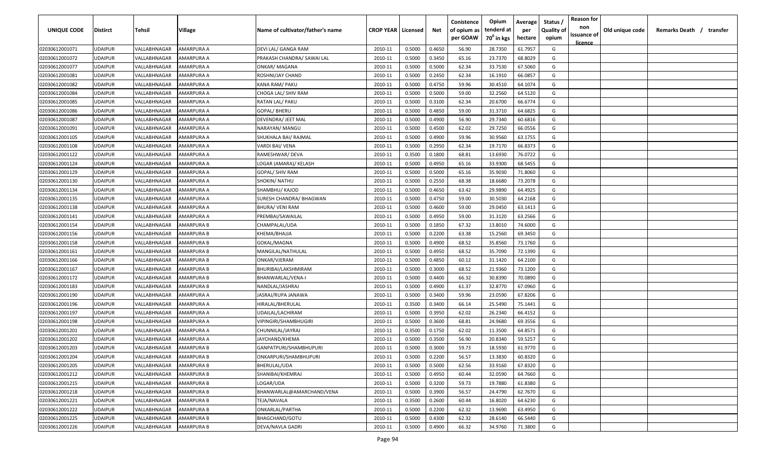| UNIQUE CODE    | <b>Distirct</b> | Tehsil       | Village           | Name of cultivator/father's name | <b>CROP YEAR   Licensed</b> |        | Net    | Conistence<br>of opium as<br>per GOAW | Opium<br>tenderd at<br>70 <sup>0</sup> in kgs | Average<br>per<br>hectare | Status<br><b>Quality of</b><br>opium | <b>Reason for</b><br>non<br>issuance of | Old unique code | Remarks Death / transfer |
|----------------|-----------------|--------------|-------------------|----------------------------------|-----------------------------|--------|--------|---------------------------------------|-----------------------------------------------|---------------------------|--------------------------------------|-----------------------------------------|-----------------|--------------------------|
|                |                 |              |                   |                                  |                             |        |        |                                       |                                               |                           |                                      | <u>licence</u>                          |                 |                          |
| 02030612001071 | <b>UDAIPUR</b>  | VALLABHNAGAR | AMARPURA A        | DEVI LAL/ GANGA RAM              | 2010-11                     | 0.5000 | 0.4650 | 56.90                                 | 28.7350                                       | 61.7957                   | G                                    |                                         |                 |                          |
| 02030612001072 | <b>UDAIPUR</b>  | VALLABHNAGAR | AMARPURA A        | PRAKASH CHANDRA/ SAWAI LAL       | 2010-11                     | 0.5000 | 0.3450 | 65.16                                 | 23.7370                                       | 68.8029                   | G                                    |                                         |                 |                          |
| 02030612001077 | <b>UDAIPUR</b>  | VALLABHNAGAR | AMARPURA A        | ONKAR/ MAGANA                    | 2010-11                     | 0.5000 | 0.5000 | 62.34                                 | 33.7530                                       | 67.5060                   | G                                    |                                         |                 |                          |
| 02030612001081 | <b>UDAIPUR</b>  | VALLABHNAGAR | AMARPURA A        | ROSHNI/JAY CHAND                 | 2010-11                     | 0.5000 | 0.2450 | 62.34                                 | 16.1910                                       | 66.0857                   | G                                    |                                         |                 |                          |
| 02030612001082 | <b>UDAIPUR</b>  | VALLABHNAGAR | AMARPURA A        | KANA RAM/ PAKU                   | 2010-11                     | 0.5000 | 0.4750 | 59.96                                 | 30.4510                                       | 64.1074                   | G                                    |                                         |                 |                          |
| 02030612001084 | <b>UDAIPUR</b>  | VALLABHNAGAR | AMARPURA A        | CHOGA LAL/ SHIV RAM              | 2010-11                     | 0.5000 | 0.5000 | 59.00                                 | 32.2560                                       | 64.5120                   | G                                    |                                         |                 |                          |
| 02030612001085 | <b>UDAIPUR</b>  | VALLABHNAGAR | AMARPURA A        | RATAN LAL/ PAKU                  | 2010-11                     | 0.5000 | 0.3100 | 62.34                                 | 20.6700                                       | 66.6774                   | G                                    |                                         |                 |                          |
| 02030612001086 | <b>UDAIPUR</b>  | VALLABHNAGAR | AMARPURA A        | <b>GOPAL/ BHERU</b>              | 2010-11                     | 0.5000 | 0.4850 | 59.00                                 | 31.3710                                       | 64.6825                   | G                                    |                                         |                 |                          |
| 02030612001087 | <b>UDAIPUR</b>  | VALLABHNAGAR | AMARPURA A        | DEVENDRA/ JEET MAL               | 2010-11                     | 0.5000 | 0.4900 | 56.90                                 | 29.7340                                       | 60.6816                   | G                                    |                                         |                 |                          |
| 02030612001091 | <b>UDAIPUR</b>  | VALLABHNAGAR | AMARPURA A        | NARAYAN/ MANGU                   | 2010-11                     | 0.5000 | 0.4500 | 62.02                                 | 29.7250                                       | 66.0556                   | G                                    |                                         |                 |                          |
| 02030612001105 | UDAIPUR         | VALLABHNAGAR | AMARPURA A        | SHUKHALA BAI/ RAJMAL             | 2010-11                     | 0.5000 | 0.4900 | 59.96                                 | 30.9560                                       | 63.1755                   | G                                    |                                         |                 |                          |
| 02030612001108 | <b>UDAIPUR</b>  | VALLABHNAGAR | AMARPURA A        | VARDI BAI/ VENA                  | 2010-11                     | 0.5000 | 0.2950 | 62.34                                 | 19.7170                                       | 66.8373                   | G                                    |                                         |                 |                          |
| 02030612001122 | <b>UDAIPUR</b>  | VALLABHNAGAR | AMARPURA A        | RAMESHWAR/ DEVA                  | 2010-11                     | 0.3500 | 0.1800 | 68.81                                 | 13.6930                                       | 76.0722                   | G                                    |                                         |                 |                          |
| 02030612001124 | <b>UDAIPUR</b>  | VALLABHNAGAR | AMARPURA A        | LOGAR (AMARA)/ KELASH            | 2010-11                     | 0.5000 | 0.4950 | 65.16                                 | 33.9300                                       | 68.5455                   | G                                    |                                         |                 |                          |
| 02030612001129 | <b>UDAIPUR</b>  | VALLABHNAGAR | AMARPURA A        | <b>GOPAL/ SHIV RAM</b>           | 2010-11                     | 0.5000 | 0.5000 | 65.16                                 | 35.9030                                       | 71.8060                   | G                                    |                                         |                 |                          |
| 02030612001130 | <b>UDAIPUR</b>  | VALLABHNAGAR | AMARPURA A        | SHOKIN/ NATHU                    | 2010-11                     | 0.5000 | 0.2550 | 68.38                                 | 18.6680                                       | 73.2078                   | G                                    |                                         |                 |                          |
| 02030612001134 | <b>UDAIPUR</b>  | VALLABHNAGAR | AMARPURA A        | SHAMBHU/ KAJOD                   | 2010-11                     | 0.5000 | 0.4650 | 63.42                                 | 29.9890                                       | 64.4925                   | G                                    |                                         |                 |                          |
| 02030612001135 | <b>UDAIPUR</b>  | VALLABHNAGAR | AMARPURA A        | SURESH CHANDRA/ BHAGWAN          | 2010-11                     | 0.5000 | 0.4750 | 59.00                                 | 30.5030                                       | 64.2168                   | G                                    |                                         |                 |                          |
| 02030612001138 | <b>UDAIPUR</b>  | VALLABHNAGAR | AMARPURA A        | BHURA/ VENI RAM                  | 2010-11                     | 0.5000 | 0.4600 | 59.00                                 | 29.0450                                       | 63.1413                   | G                                    |                                         |                 |                          |
| 02030612001141 | <b>UDAIPUR</b>  | VALLABHNAGAR | AMARPURA A        | PREMBAI/SAWAILAL                 | 2010-11                     | 0.5000 | 0.4950 | 59.00                                 | 31.3120                                       | 63.2566                   | G                                    |                                         |                 |                          |
| 02030612001154 | <b>UDAIPUR</b>  | VALLABHNAGAR | AMARPURA B        | CHAMPALAL/UDA                    | 2010-11                     | 0.5000 | 0.1850 | 67.32                                 | 13.8010                                       | 74.6000                   | G                                    |                                         |                 |                          |
| 02030612001156 | <b>UDAIPUR</b>  | VALLABHNAGAR | AMARPURA B        | KHEMA/BHAJJA                     | 2010-11                     | 0.5000 | 0.2200 | 63.38                                 | 15.2560                                       | 69.3450                   | G                                    |                                         |                 |                          |
| 02030612001158 | <b>UDAIPUR</b>  | VALLABHNAGAR | AMARPURA B        | GOKAL/MAGNA                      | 2010-11                     | 0.5000 | 0.4900 | 68.52                                 | 35.8560                                       | 73.1760                   | G                                    |                                         |                 |                          |
| 02030612001161 | <b>UDAIPUR</b>  | VALLABHNAGAR | AMARPURA B        | MANGILAL/NATHULAL                | 2010-11                     | 0.5000 | 0.4950 | 68.52                                 | 35.7090                                       | 72.1390                   | G                                    |                                         |                 |                          |
| 02030612001166 | <b>UDAIPUR</b>  | VALLABHNAGAR | AMARPURA B        | ONKAR/VJERAM                     | 2010-11                     | 0.5000 | 0.4850 | 60.12                                 | 31.1420                                       | 64.2100                   | G                                    |                                         |                 |                          |
| 02030612001167 | <b>UDAIPUR</b>  | VALLABHNAGAR | AMARPURA B        | BHURIBAI/LAKSHMIRAM              | 2010-11                     | 0.5000 | 0.3000 | 68.52                                 | 21.9360                                       | 73.1200                   | G                                    |                                         |                 |                          |
| 02030612001172 | <b>UDAIPUR</b>  | VALLABHNAGAR | AMARPURA B        | BHANWARLAL/VENA-I                | 2010-11                     | 0.5000 | 0.4400 | 66.32                                 | 30.8390                                       | 70.0890                   | G                                    |                                         |                 |                          |
| 02030612001183 | UDAIPUR         | VALLABHNAGAR | AMARPURA B        | NANDLAL/JASHRAJ                  | 2010-11                     | 0.5000 | 0.4900 | 61.37                                 | 32.8770                                       | 67.0960                   | G                                    |                                         |                 |                          |
| 02030612001190 | <b>UDAIPUR</b>  | VALLABHNAGAR | AMARPURA A        | IASRAJ/RUPA JANAWA               | 2010-11                     | 0.5000 | 0.3400 | 59.96                                 | 23.0590                                       | 67.8206                   | G                                    |                                         |                 |                          |
| 02030612001196 | <b>UDAIPUR</b>  | VALLABHNAGAR | AMARPURA A        | HIRALAL/BHERULAL                 | 2010-11                     | 0.3500 | 0.3400 | 66.14                                 | 25.5490                                       | 75.1441                   | G                                    |                                         |                 |                          |
| 02030612001197 | <b>UDAIPUR</b>  | VALLABHNAGAR | AMARPURA A        | UDAILAL/LACHIRAM                 | 2010-11                     | 0.5000 | 0.3950 | 62.02                                 | 26.2340                                       | 66.4152                   | G                                    |                                         |                 |                          |
| 02030612001198 | <b>UDAIPUR</b>  | VALLABHNAGAR | AMARPURA A        | VIPINGIRI/SHAMBHUGIRI            | 2010-11                     | 0.5000 | 0.3600 | 68.81                                 | 24.9680                                       | 69.3556                   | G                                    |                                         |                 |                          |
| 02030612001201 | <b>UDAIPUR</b>  | VALLABHNAGAR | AMARPURA A        | CHUNNILAL/JAYRAJ                 | 2010-11                     | 0.3500 | 0.1750 | 62.02                                 | 11.3500                                       | 64.8571                   | G                                    |                                         |                 |                          |
| 02030612001202 | <b>UDAIPUR</b>  | VALLABHNAGAR | AMARPURA A        | JAYCHAND/KHEMA                   | 2010-11                     | 0.5000 | 0.3500 | 56.90                                 | 20.8340                                       | 59.5257                   | G                                    |                                         |                 |                          |
| 02030612001203 | <b>UDAIPUR</b>  | VALLABHNAGAR | AMARPURA B        | GANPATPURI/SHAMBHUPURI           | 2010-11                     | 0.5000 | 0.3000 | 59.73                                 | 18.5930                                       | 61.9770                   | G                                    |                                         |                 |                          |
| 02030612001204 | <b>UDAIPUR</b>  | VALLABHNAGAR | <b>AMARPURA B</b> | ONKARPURI/SHAMBHUPURI            | 2010-11                     | 0.5000 | 0.2200 | 56.57                                 | 13.3830                                       | 60.8320                   | G                                    |                                         |                 |                          |
| 02030612001205 | <b>UDAIPUR</b>  | VALLABHNAGAR | AMARPURA B        | BHERULAL/UDA                     | 2010-11                     | 0.5000 | 0.5000 | 62.56                                 | 33.9160                                       | 67.8320                   | G                                    |                                         |                 |                          |
| 02030612001212 | <b>UDAIPUR</b>  | VALLABHNAGAR | <b>AMARPURA B</b> | SHANIBAI/KHEMRAJ                 | 2010-11                     | 0.5000 | 0.4950 | 60.44                                 | 32.0590                                       | 64.7660                   | G                                    |                                         |                 |                          |
| 02030612001215 | <b>UDAIPUR</b>  | VALLABHNAGAR | AMARPURA B        | LOGAR/UDA                        | 2010-11                     | 0.5000 | 0.3200 | 59.73                                 | 19.7880                                       | 61.8380                   | G                                    |                                         |                 |                          |
| 02030612001218 | <b>UDAIPUR</b>  | VALLABHNAGAR | AMARPURA B        | BHANWARLAL@AMARCHAND/VENA        | 2010-11                     | 0.5000 | 0.3900 | 56.57                                 | 24.4790                                       | 62.7670                   | G                                    |                                         |                 |                          |
| 02030612001221 | <b>UDAIPUR</b>  | VALLABHNAGAR | AMARPURA B        | TEJA/NAVALA                      | 2010-11                     | 0.3500 | 0.2600 | 60.44                                 | 16.8020                                       | 64.6230                   | G                                    |                                         |                 |                          |
| 02030612001222 | <b>UDAIPUR</b>  | VALLABHNAGAR | AMARPURA B        | ONKARLAL/PARTHA                  | 2010-11                     | 0.5000 | 0.2200 | 62.32                                 | 13.9690                                       | 63.4950                   | G                                    |                                         |                 |                          |
| 02030612001225 | <b>UDAIPUR</b>  | VALLABHNAGAR | AMARPURA B        | BHAGCHAND/GOTU                   | 2010-11                     | 0.5000 | 0.4300 | 62.32                                 | 28.6140                                       | 66.5440                   | G                                    |                                         |                 |                          |
| 02030612001226 | <b>UDAIPUR</b>  | VALLABHNAGAR | AMARPURA B        | DEVA/NAVLA GADRI                 | 2010-11                     | 0.5000 | 0.4900 | 66.32                                 | 34.9760                                       | 71.3800                   | G                                    |                                         |                 |                          |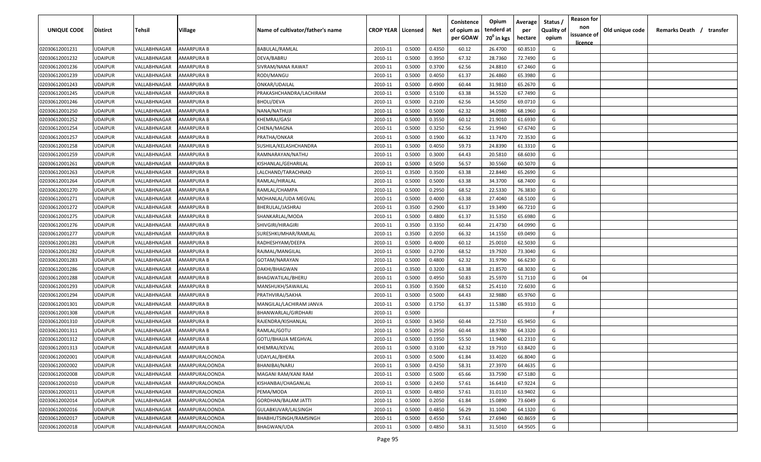| UNIQUE CODE    | Distirct       | Tehsil       | Village               | Name of cultivator/father's name | <b>CROP YEAR   Licensed</b> |        | Net    | Conistence<br>of opium as | Opium<br>tenderd at    | Average<br>per | Status<br><b>Quality of</b> | <b>Reason for</b><br>non<br>issuance of | Old unique code | Remarks Death / transfer |  |
|----------------|----------------|--------------|-----------------------|----------------------------------|-----------------------------|--------|--------|---------------------------|------------------------|----------------|-----------------------------|-----------------------------------------|-----------------|--------------------------|--|
|                |                |              |                       |                                  |                             |        |        | per GOAW                  | 70 <sup>°</sup> in kgs | hectare        | opium                       | <u>licence</u>                          |                 |                          |  |
| 02030612001231 | UDAIPUR        | VALLABHNAGAR | AMARPURA B            | BABULAL/RAMLAL                   | 2010-11                     | 0.5000 | 0.4350 | 60.12                     | 26.4700                | 60.8510        | G                           |                                         |                 |                          |  |
| 02030612001232 | UDAIPUR        | VALLABHNAGAR | AMARPURA B            | DEVA/BABRU                       | 2010-11                     | 0.5000 | 0.3950 | 67.32                     | 28.7360                | 72.7490        | G                           |                                         |                 |                          |  |
| 02030612001236 | UDAIPUR        | VALLABHNAGAR | AMARPURA B            | SIVRAM/NANA RAWAT                | 2010-11                     | 0.5000 | 0.3700 | 62.56                     | 24.8810                | 67.2460        | G                           |                                         |                 |                          |  |
| 02030612001239 | UDAIPUR        | VALLABHNAGAR | AMARPURA B            | RODI/MANGU                       | 2010-11                     | 0.5000 | 0.4050 | 61.37                     | 26.4860                | 65.3980        | G                           |                                         |                 |                          |  |
| 02030612001243 | UDAIPUR        | VALLABHNAGAR | AMARPURA B            | ONKAR/UDAILAL                    | 2010-11                     | 0.5000 | 0.4900 | 60.44                     | 31.9810                | 65.2670        | G                           |                                         |                 |                          |  |
| 02030612001245 | UDAIPUR        | VALLABHNAGAR | AMARPURA B            | PRAKASHCHANDRA/LACHIRAM          | 2010-11                     | 0.5000 | 0.5100 | 63.38                     | 34.5520                | 67.7490        | G                           |                                         |                 |                          |  |
| 02030612001246 | UDAIPUR        | VALLABHNAGAR | AMARPURA B            | <b>BHOLI/DEVA</b>                | 2010-11                     | 0.5000 | 0.2100 | 62.56                     | 14.5050                | 69.0710        | G                           |                                         |                 |                          |  |
| 02030612001250 | UDAIPUR        | VALLABHNAGAR | AMARPURA B            | NANA/NATHUJI                     | 2010-11                     | 0.5000 | 0.5000 | 62.32                     | 34.0980                | 68.1960        | G                           |                                         |                 |                          |  |
| 02030612001252 | UDAIPUR        | VALLABHNAGAR | AMARPURA B            | KHEMRAJ/GASI                     | 2010-11                     | 0.5000 | 0.3550 | 60.12                     | 21.9010                | 61.6930        | G                           |                                         |                 |                          |  |
| 02030612001254 | UDAIPUR        | VALLABHNAGAR | AMARPURA B            | CHENA/MAGNA                      | 2010-11                     | 0.5000 | 0.3250 | 62.56                     | 21.9940                | 67.6740        | G                           |                                         |                 |                          |  |
| 02030612001257 | UDAIPUR        | VALLABHNAGAR | AMARPURA B            | PRATHA/ONKAR                     | 2010-11                     | 0.5000 | 0.1900 | 66.32                     | 13.7470                | 72.3530        | G                           |                                         |                 |                          |  |
| 02030612001258 | UDAIPUR        | VALLABHNAGAR | AMARPURA B            | SUSHILA/KELASHCHANDRA            | 2010-11                     | 0.5000 | 0.4050 | 59.73                     | 24.8390                | 61.3310        | G                           |                                         |                 |                          |  |
| 02030612001259 | UDAIPUR        | VALLABHNAGAR | AMARPURA B            | RAMNARAYAN/NATHU                 | 2010-11                     | 0.5000 | 0.3000 | 64.43                     | 20.5810                | 68.6030        | G                           |                                         |                 |                          |  |
| 02030612001261 | UDAIPUR        | VALLABHNAGAR | AMARPURA B            | KISHANLAL/GEHARILAL              | 2010-11                     | 0.5000 | 0.5050 | 56.57                     | 30.5560                | 60.5070        | G                           |                                         |                 |                          |  |
| 02030612001263 | UDAIPUR        | VALLABHNAGAR | AMARPURA B            | LALCHAND/TARACHNAD               | 2010-11                     | 0.3500 | 0.3500 | 63.38                     | 22.8440                | 65.2690        | G                           |                                         |                 |                          |  |
| 02030612001264 | UDAIPUR        | VALLABHNAGAR | AMARPURA B            | RAMLAL/HIRALAL                   | 2010-11                     | 0.5000 | 0.5000 | 63.38                     | 34.3700                | 68.7400        | G                           |                                         |                 |                          |  |
| 02030612001270 | UDAIPUR        | VALLABHNAGAR | AMARPURA B            | RAMLAL/CHAMPA                    | 2010-11                     | 0.5000 | 0.2950 | 68.52                     | 22.5330                | 76.3830        | G                           |                                         |                 |                          |  |
| 02030612001271 | UDAIPUR        | VALLABHNAGAR | AMARPURA B            | MOHANLAL/UDA MEGVAL              | 2010-11                     | 0.5000 | 0.4000 | 63.38                     | 27.4040                | 68.5100        | G                           |                                         |                 |                          |  |
| 02030612001272 | UDAIPUR        | VALLABHNAGAR | AMARPURA B            | BHERULAL/JASHRAJ                 | 2010-11                     | 0.3500 | 0.2900 | 61.37                     | 19.3490                | 66.7210        | G                           |                                         |                 |                          |  |
| 02030612001275 | UDAIPUR        | VALLABHNAGAR | AMARPURA B            | SHANKARLAL/MODA                  | 2010-11                     | 0.5000 | 0.4800 | 61.37                     | 31.5350                | 65.6980        | G                           |                                         |                 |                          |  |
| 02030612001276 | UDAIPUR        | VALLABHNAGAR | AMARPURA B            | SHIVGIRI/HIRAGIRI                | 2010-11                     | 0.3500 | 0.3350 | 60.44                     | 21.4730                | 64.0990        | G                           |                                         |                 |                          |  |
| 02030612001277 | <b>UDAIPUR</b> | VALLABHNAGAR | AMARPURA B            | SURESHKUMHAR/RAMLAL              | 2010-11                     | 0.3500 | 0.2050 | 66.32                     | 14.1550                | 69.0490        | G                           |                                         |                 |                          |  |
| 02030612001281 | UDAIPUR        | VALLABHNAGAR | AMARPURA B            | RADHESHYAM/DEEPA                 | 2010-11                     | 0.5000 | 0.4000 | 60.12                     | 25.0010                | 62.5030        | G                           |                                         |                 |                          |  |
| 02030612001282 | UDAIPUR        | VALLABHNAGAR | AMARPURA B            | RAJMAL/MANGILAL                  | 2010-11                     | 0.5000 | 0.2700 | 68.52                     | 19.7920                | 73.3040        | G                           |                                         |                 |                          |  |
| 02030612001283 | UDAIPUR        | VALLABHNAGAR | AMARPURA B            | GOTAM/NARAYAN                    | 2010-11                     | 0.5000 | 0.4800 | 62.32                     | 31.9790                | 66.6230        | G                           |                                         |                 |                          |  |
| 02030612001286 | UDAIPUR        | VALLABHNAGAR | AMARPURA B            | DAKHI/BHAGWAN                    | 2010-11                     | 0.3500 | 0.3200 | 63.38                     | 21.8570                | 68.3030        | G                           |                                         |                 |                          |  |
| 02030612001288 | UDAIPUR        | VALLABHNAGAR | AMARPURA B            | BHAGWATILAL/BHERU                | 2010-11                     | 0.5000 | 0.4950 | 50.83                     | 25.5970                | 51.7110        | G                           | 04                                      |                 |                          |  |
| 02030612001293 | UDAIPUR        | VALLABHNAGAR | AMARPURA B            | MANSHUKH/SAWAILAL                | 2010-11                     | 0.3500 | 0.3500 | 68.52                     | 25.4110                | 72.6030        | G                           |                                         |                 |                          |  |
| 02030612001294 | UDAIPUR        | VALLABHNAGAR | AMARPURA B            | PRATHVIRAJ/SAKHA                 | 2010-11                     | 0.5000 | 0.5000 | 64.43                     | 32.9880                | 65.9760        | G                           |                                         |                 |                          |  |
| 02030612001301 | UDAIPUR        | VALLABHNAGAR | AMARPURA B            | MANGILAL/LACHIRAM JANVA          | 2010-11                     | 0.5000 | 0.1750 | 61.37                     | 11.5380                | 65.9310        | G                           |                                         |                 |                          |  |
| 02030612001308 | UDAIPUR        | VALLABHNAGAR | AMARPURA B            | BHANWARLAL/GIRDHARI              | 2010-11                     | 0.5000 |        |                           |                        |                | -F.                         |                                         |                 |                          |  |
| 02030612001310 | UDAIPUR        | VALLABHNAGAR | AMARPURA B            | RAJENDRA/KISHANLAL               | 2010-11                     | 0.5000 | 0.3450 | 60.44                     | 22.7510                | 65.9450        | G                           |                                         |                 |                          |  |
| 02030612001311 | UDAIPUR        | VALLABHNAGAR | AMARPURA B            | RAMLAL/GOTU                      | 2010-11                     | 0.5000 | 0.2950 | 60.44                     | 18.9780                | 64.3320        | G                           |                                         |                 |                          |  |
| 02030612001312 | UDAIPUR        | VALLABHNAGAR | AMARPURA B            | GOTU/BHAJJA MEGHVAL              | 2010-11                     | 0.5000 | 0.1950 | 55.50                     | 11.9400                | 61.2310        | G                           |                                         |                 |                          |  |
| 02030612001313 | UDAIPUR        | VALLABHNAGAR | AMARPURA B            | KHEMRAJ/KEVAL                    | 2010-11                     | 0.5000 | 0.3100 | 62.32                     | 19.7910                | 63.8420        | G                           |                                         |                 |                          |  |
| 02030612002001 | UDAIPUR        | VALLABHNAGAR | AMARPURALOONDA        | UDAYLAL/BHERA                    | 2010-11                     | 0.5000 | 0.5000 | 61.84                     | 33.4020                | 66.8040        | G                           |                                         |                 |                          |  |
| 02030612002002 | UDAIPUR        | VALLABHNAGAR | AMARPURALOONDA        | BHANIBAI/NARU                    | 2010-11                     | 0.5000 | 0.4250 | 58.31                     | 27.3970                | 64.4635        | G                           |                                         |                 |                          |  |
| 02030612002008 | UDAIPUR        | VALLABHNAGAR | AMARPURALOONDA        | MAGANI RAM/KANI RAM              | 2010-11                     | 0.5000 | 0.5000 | 65.66                     | 33.7590                | 67.5180        | G                           |                                         |                 |                          |  |
| 02030612002010 | UDAIPUR        | VALLABHNAGAR | AMARPURALOONDA        | KISHANBAI/CHAGANLAL              | 2010-11                     | 0.5000 | 0.2450 | 57.61                     | 16.6410                | 67.9224        | G                           |                                         |                 |                          |  |
| 02030612002011 | UDAIPUR        | VALLABHNAGAR | AMARPURALOONDA        | PEMA/MODA                        | 2010-11                     | 0.5000 | 0.4850 | 57.61                     | 31.0110                | 63.9402        | G                           |                                         |                 |                          |  |
| 02030612002014 | UDAIPUR        | VALLABHNAGAR | AMARPURALOONDA        | <b>GORDHAN/BALAM JATTI</b>       | 2010-11                     | 0.5000 | 0.2050 | 61.84                     | 15.0890                | 73.6049        | G                           |                                         |                 |                          |  |
| 02030612002016 | UDAIPUR        | VALLABHNAGAR | AMARPURALOONDA        | GULABKUVAR/LALSINGH              | 2010-11                     | 0.5000 | 0.4850 | 56.29                     | 31.1040                | 64.1320        | G                           |                                         |                 |                          |  |
| 02030612002017 | UDAIPUR        | VALLABHNAGAR | <b>AMARPURALOONDA</b> | BHABHUTSINGH/RAMSINGH            | 2010-11                     | 0.5000 | 0.4550 | 57.61                     | 27.6940                | 60.8659        | G                           |                                         |                 |                          |  |
| 02030612002018 | UDAIPUR        | VALLABHNAGAR | AMARPURALOONDA        | <b>BHAGWAN/UDA</b>               | 2010-11                     | 0.5000 | 0.4850 | 58.31                     | 31.5010                | 64.9505        | G                           |                                         |                 |                          |  |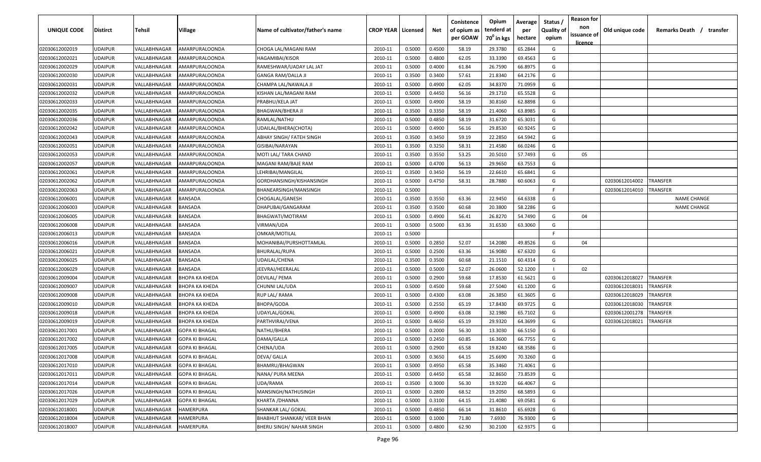| UNIQUE CODE    | <b>Distirct</b> | <b>Tehsil</b> | Village                                        | Name of cultivator/father's name | <b>CROP YEAR   Licensed</b> |        | Net    | Conistence<br>of opium as<br>per GOAW | Opium<br>tenderd at<br>70 <sup>0</sup> in kgs | Average<br>per<br>hectare | Status /<br><b>Quality of</b><br>opium | <b>Reason for</b><br>non<br>issuance of<br>licence | Old unique code | Remarks Death /<br>transfer |
|----------------|-----------------|---------------|------------------------------------------------|----------------------------------|-----------------------------|--------|--------|---------------------------------------|-----------------------------------------------|---------------------------|----------------------------------------|----------------------------------------------------|-----------------|-----------------------------|
| 02030612002019 | <b>UDAIPUR</b>  | VALLABHNAGAR  | AMARPURALOONDA                                 | CHOGA LAL/MAGANI RAM             | 2010-11                     | 0.5000 | 0.4500 | 58.19                                 | 29.3780                                       | 65.2844                   | G                                      |                                                    |                 |                             |
| 02030612002021 | <b>UDAIPUR</b>  | VALLABHNAGAR  | AMARPURALOONDA                                 | HAGAMIBAI/KISOR                  | 2010-11                     | 0.5000 | 0.4800 | 62.05                                 | 33.3390                                       | 69.4563                   | G                                      |                                                    |                 |                             |
| 02030612002029 | <b>UDAIPUR</b>  | VALLABHNAGAR  | AMARPURALOONDA                                 | RAMESHWAR/UADAY LAL JAT          | 2010-11                     | 0.5000 | 0.4000 | 61.84                                 | 26.7590                                       | 66.8975                   | G                                      |                                                    |                 |                             |
| 02030612002030 | <b>UDAIPUR</b>  | VALLABHNAGAR  | AMARPURALOONDA                                 | <b>GANGA RAM/DALLA JI</b>        | 2010-11                     | 0.3500 | 0.3400 | 57.61                                 | 21.8340                                       | 64.2176                   | G                                      |                                                    |                 |                             |
| 02030612002031 | <b>UDAIPUR</b>  | VALLABHNAGAR  | AMARPURALOONDA                                 | CHAMPA LAL/NAWALA JI             | 2010-11                     | 0.5000 | 0.4900 | 62.05                                 | 34.8370                                       | 71.0959                   | G                                      |                                                    |                 |                             |
| 02030612002032 | <b>UDAIPUR</b>  | VALLABHNAGAR  | AMARPURALOONDA                                 | KISHAN LAL/MAGANI RAM            | 2010-11                     | 0.5000 | 0.4450 | 56.16                                 | 29.1710                                       | 65.5528                   | G                                      |                                                    |                 |                             |
| 02030612002033 | <b>UDAIPUR</b>  | VALLABHNAGAR  | AMARPURALOONDA                                 | PRABHU/KELA JAT                  | 2010-11                     | 0.5000 | 0.4900 | 58.19                                 | 30.8160                                       | 62.8898                   | G                                      |                                                    |                 |                             |
| 02030612002035 | <b>UDAIPUR</b>  | VALLABHNAGAR  | AMARPURALOONDA                                 | BHAGWAN/BHERA JI                 | 2010-11                     | 0.3500 | 0.3350 | 58.19                                 | 21.4060                                       | 63.8985                   | G                                      |                                                    |                 |                             |
| 02030612002036 | <b>UDAIPUR</b>  | VALLABHNAGAR  | AMARPURALOONDA                                 | RAMLAL/NATHU                     | 2010-11                     | 0.5000 | 0.4850 | 58.19                                 | 31.6720                                       | 65.3031                   | G                                      |                                                    |                 |                             |
| 02030612002042 | <b>UDAIPUR</b>  | VALLABHNAGAR  | AMARPURALOONDA                                 | UDAILAL/BHERA(CHOTA)             | 2010-11                     | 0.5000 | 0.4900 | 56.16                                 | 29.8530                                       | 60.9245                   | G                                      |                                                    |                 |                             |
| 02030612002043 | <b>UDAIPUR</b>  | VALLABHNAGAR  | AMARPURALOONDA                                 | ABHAY SINGH/ FATEH SINGH         | 2010-11                     | 0.3500 | 0.3450 | 59.19                                 | 22.2850                                       | 64.5942                   | G                                      |                                                    |                 |                             |
| 02030612002051 | UDAIPUR         | VALLABHNAGAR  | AMARPURALOONDA                                 | GISIBAI/NARAYAN                  | 2010-11                     | 0.3500 | 0.3250 | 58.31                                 | 21.4580                                       | 66.0246                   | G                                      |                                                    |                 |                             |
| 02030612002053 | <b>UDAIPUR</b>  | VALLABHNAGAR  | AMARPURALOONDA                                 | MOTI LAL/ TARA CHAND             | 2010-11                     | 0.3500 | 0.3550 | 53.25                                 | 20.5010                                       | 57.7493                   | G                                      | 05                                                 |                 |                             |
| 02030612002057 | UDAIPUR         | VALLABHNAGAR  | AMARPURALOONDA                                 | MAGANI RAM/BAJE RAM              | 2010-11                     | 0.5000 | 0.4700 | 56.13                                 | 29.9650                                       | 63.7553                   | G                                      |                                                    |                 |                             |
| 02030612002061 | UDAIPUR         | VALLABHNAGAR  | AMARPURALOONDA                                 | LEHRIBAI/MANGILAL                | 2010-11                     | 0.3500 | 0.3450 | 56.19                                 | 22.6610                                       | 65.6841                   | G                                      |                                                    |                 |                             |
| 02030612002062 | UDAIPUR         | VALLABHNAGAR  | AMARPURALOONDA                                 | GORDHANSINGH/KISHANSINGH         | 2010-11                     | 0.5000 | 0.4750 | 58.31                                 | 28.7880                                       | 60.6063                   | G                                      |                                                    | 02030612014002  | TRANSFER                    |
| 02030612002063 | <b>UDAIPUR</b>  | VALLABHNAGAR  | AMARPURALOONDA                                 | BHANEARSINGH/MANSINGH            | 2010-11                     | 0.5000 |        |                                       |                                               |                           | F.                                     |                                                    | 02030612014010  | TRANSFER                    |
| 02030612006001 | <b>UDAIPUR</b>  | VALLABHNAGAR  | <b>BANSADA</b>                                 | CHOGALAL/GANESH                  | 2010-11                     | 0.3500 | 0.3550 | 63.36                                 | 22.9450                                       | 64.6338                   | G                                      |                                                    |                 | <b>NAME CHANGE</b>          |
| 02030612006003 | <b>UDAIPUR</b>  | VALLABHNAGAR  | BANSADA                                        | DHAPUBAI/GANGARAM                | 2010-11                     | 0.3500 | 0.3500 | 60.68                                 | 20.3800                                       | 58.2286                   | G                                      |                                                    |                 | <b>NAME CHANGE</b>          |
| 02030612006005 | <b>UDAIPUR</b>  | VALLABHNAGAR  | BANSADA                                        | BHAGWATI/MOTIRAM                 | 2010-11                     | 0.5000 | 0.4900 | 56.41                                 | 26.8270                                       | 54.7490                   | G                                      | 04                                                 |                 |                             |
| 02030612006008 | <b>UDAIPUR</b>  | VALLABHNAGAR  | BANSADA                                        | VIRMAN/UDA                       | 2010-11                     | 0.5000 | 0.5000 | 63.36                                 | 31.6530                                       | 63.3060                   | G                                      |                                                    |                 |                             |
| 02030612006013 | <b>UDAIPUR</b>  | VALLABHNAGAR  | BANSADA                                        | OMKAR/MOTILAL                    | 2010-11                     | 0.5000 |        |                                       |                                               |                           | -F.                                    |                                                    |                 |                             |
| 02030612006016 | <b>UDAIPUR</b>  | VALLABHNAGAR  | BANSADA                                        | MOHANIBAI/PURSHOTTAMLAL          | 2010-11                     | 0.5000 | 0.2850 | 52.07                                 | 14.2080                                       | 49.8526                   | G                                      | 04                                                 |                 |                             |
| 02030612006021 | <b>UDAIPUR</b>  | VALLABHNAGAR  | BANSADA                                        | BHURALAL/RUPA                    | 2010-11                     | 0.5000 | 0.2500 | 63.36                                 | 16.9080                                       | 67.6320                   | G                                      |                                                    |                 |                             |
| 02030612006025 | <b>UDAIPUR</b>  | VALLABHNAGAR  | BANSADA                                        | UDAILAL/CHENA                    | 2010-11                     | 0.3500 | 0.3500 | 60.68                                 | 21.1510                                       | 60.4314                   | G                                      |                                                    |                 |                             |
| 02030612006029 | <b>UDAIPUR</b>  | VALLABHNAGAR  | BANSADA                                        | JEEVRAJ/HEERALAL                 | 2010-11                     | 0.5000 | 0.5000 | 52.07                                 | 26.0600                                       | 52.1200                   | $\mathbf{I}$                           | 02                                                 |                 |                             |
| 02030612009004 | <b>UDAIPUR</b>  | VALLABHNAGAR  | ВНОРА КА КНЕDА                                 | DEVILAL/ PEMA                    | 2010-11                     | 0.5000 | 0.2900 | 59.68                                 | 17.8530                                       | 61.5621                   | G                                      |                                                    | 02030612018027  | TRANSFER                    |
| 02030612009007 | <b>UDAIPUR</b>  | VALLABHNAGAR  | ВНОРА КА КНЕDА                                 | CHUNNI LAL/UDA                   | 2010-11                     | 0.5000 | 0.4500 | 59.68                                 | 27.5040                                       | 61.1200                   | G                                      |                                                    | 02030612018031  | TRANSFER                    |
| 02030612009008 | <b>UDAIPUR</b>  | VALLABHNAGAR  | ВНОРА КА КНЕDА                                 | RUP LAL/ RAMA                    | 2010-11                     | 0.5000 | 0.4300 | 63.08                                 | 26.3850                                       | 61.3605                   | G                                      |                                                    | 02030612018029  | TRANSFER                    |
| 02030612009010 | <b>UDAIPUR</b>  | VALLABHNAGAR  | ВНОРА КА КНЕDА                                 | BHOPA/GODA                       | 2010-11                     | 0.5000 | 0.2550 | 65.19                                 | 17.8430                                       | 69.9725                   | G                                      |                                                    | 02030612018030  | TRANSFER                    |
| 02030612009018 | <b>UDAIPUR</b>  | VALLABHNAGAR  | <b>BHOPA KA KHEDA</b>                          | UDAYLAL/GOKAL                    | 2010-11                     | 0.5000 | 0.4900 | 63.08                                 | 32.1980                                       | 65.7102                   | G                                      |                                                    | 02030612001278  | TRANSFER                    |
| 02030612009019 | <b>UDAIPUR</b>  | VALLABHNAGAR  | ВНОРА КА КНЕДА                                 | PARTHVIRAJ/VENA                  | 2010-11                     | 0.5000 | 0.4650 | 65.19                                 | 29.9320                                       | 64.3699                   | G                                      |                                                    | 02030612018021  | <b>RANSFER</b>              |
| 02030612017001 | <b>UDAIPUR</b>  | VALLABHNAGAR  | GOPA KI BHAGAL                                 | NATHU/BHERA                      | 2010-11                     | 0.5000 | 0.2000 | 56.30                                 | 13.3030                                       | 66.5150                   | G                                      |                                                    |                 |                             |
| 02030612017002 | <b>UDAIPUR</b>  | VALLABHNAGAR  | GOPA KI BHAGAL                                 | DAMA/GALLA                       | 2010-11                     | 0.5000 | 0.2450 | 60.85                                 | 16.3600                                       | 66.7755                   | G                                      |                                                    |                 |                             |
| 02030612017005 | <b>UDAIPUR</b>  | VALLABHNAGAR  | <b>GOPA KI BHAGAL</b>                          | CHENA/UDA                        | 2010-11                     | 0.5000 | 0.2900 | 65.58                                 | 19.8240                                       | 68.3586                   | G                                      |                                                    |                 |                             |
| 02030612017008 | <b>UDAIPUR</b>  | VALLABHNAGAR  | <b>GOPA KI BHAGAL</b>                          | DEVA/ GALLA                      | 2010-11                     | 0.5000 | 0.3650 | 64.15                                 | 25.6690                                       | 70.3260                   | G                                      |                                                    |                 |                             |
| 02030612017010 | <b>UDAIPUR</b>  | VALLABHNAGAR  | <b>GOPA KI BHAGAL</b>                          | BHAMRU/BHAGWAN                   | 2010-11                     | 0.5000 | 0.4950 | 65.58                                 | 35.3460                                       | 71.4061                   | G                                      |                                                    |                 |                             |
| 02030612017011 | <b>UDAIPUR</b>  | VALLABHNAGAR  | <b>GOPA KI BHAGAL</b>                          | NANA/ PURA MEENA                 | 2010-11                     | 0.5000 | 0.4450 | 65.58                                 | 32.8650                                       | 73.8539                   | G                                      |                                                    |                 |                             |
| 02030612017014 | <b>UDAIPUR</b>  | VALLABHNAGAR  |                                                |                                  |                             | 0.3500 | 0.3000 | 56.30                                 | 19.9220                                       | 66.4067                   | G                                      |                                                    |                 |                             |
| 02030612017026 | <b>UDAIPUR</b>  |               | <b>GOPA KI BHAGAL</b><br><b>GOPA KI BHAGAL</b> | UDA/RAMA                         | 2010-11                     | 0.5000 | 0.2800 | 68.52                                 | 19.2050                                       | 68.5893                   | G                                      |                                                    |                 |                             |
|                |                 | VALLABHNAGAR  |                                                | MANSINGH/NATHUSINGH              | 2010-11                     |        |        |                                       |                                               |                           |                                        |                                                    |                 |                             |
| 02030612017029 | <b>UDAIPUR</b>  | VALLABHNAGAR  | <b>GOPA KI BHAGAL</b>                          | KHARTA / DHANNA                  | 2010-11                     | 0.5000 | 0.3100 | 64.15                                 | 21.4080                                       | 69.0581                   | G                                      |                                                    |                 |                             |
| 02030612018001 | <b>UDAIPUR</b>  | VALLABHNAGAR  | HAMERPURA                                      | SHANKAR LAL/ GOKAL               | 2010-11                     | 0.5000 | 0.4850 | 66.14                                 | 31.8610                                       | 65.6928                   | G                                      |                                                    |                 |                             |
| 02030612018004 | <b>UDAIPUR</b>  | VALLABHNAGAR  | HAMERPURA                                      | BHABHUT SHANKAR/ VEER BHAN       | 2010-11                     | 0.5000 | 0.1000 | 71.80                                 | 7.6930                                        | 76.9300                   | G                                      |                                                    |                 |                             |
| 02030612018007 | <b>UDAIPUR</b>  | VALLABHNAGAR  | HAMERPURA                                      | BHERU SINGH/ NAHAR SINGH         | 2010-11                     | 0.5000 | 0.4800 | 62.90                                 | 30.2100                                       | 62.9375                   | G                                      |                                                    |                 |                             |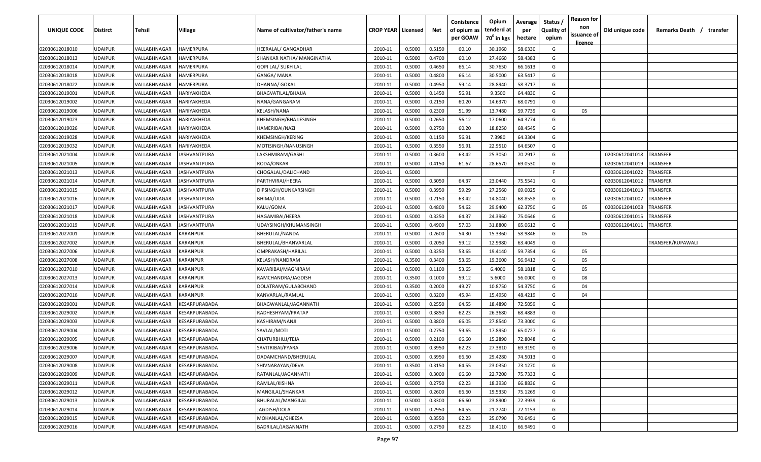| UNIQUE CODE    | <b>Distirct</b> | <b>Tehsil</b>              | Village              | Name of cultivator/father's name | <b>CROP YEAR   Licensed</b> |        | Net    | Conistence<br>of opium as<br>per GOAW | Opium<br>tenderd at<br>70 <sup>0</sup> in kgs | Average<br>per<br>hectare | Status /<br><b>Quality of</b><br>opium | <b>Reason for</b><br>non<br>issuance of | Old unique code | Remarks Death /<br>transfer |
|----------------|-----------------|----------------------------|----------------------|----------------------------------|-----------------------------|--------|--------|---------------------------------------|-----------------------------------------------|---------------------------|----------------------------------------|-----------------------------------------|-----------------|-----------------------------|
| 02030612018010 | <b>UDAIPUR</b>  | VALLABHNAGAR               | <b>HAMERPURA</b>     | HEERALAL/ GANGADHAR              | 2010-11                     | 0.5000 | 0.5150 | 60.10                                 | 30.1960                                       | 58.6330                   | G                                      | <u>licence</u>                          |                 |                             |
| 02030612018013 | <b>UDAIPUR</b>  | VALLABHNAGAR               | HAMERPURA            | SHANKAR NATHA/ MANGINATHA        | 2010-11                     | 0.5000 | 0.4700 | 60.10                                 | 27.4660                                       | 58.4383                   | G                                      |                                         |                 |                             |
| 02030612018014 | <b>UDAIPUR</b>  | VALLABHNAGAR               | HAMERPURA            | GOPI LAL/ SUKH LAL               | 2010-11                     | 0.5000 | 0.4650 | 66.14                                 | 30.7650                                       | 66.1613                   | G                                      |                                         |                 |                             |
| 02030612018018 | <b>UDAIPUR</b>  | VALLABHNAGAR               | HAMERPURA            | GANGA/ MANA                      | 2010-11                     | 0.5000 | 0.4800 | 66.14                                 | 30.5000                                       | 63.5417                   | G                                      |                                         |                 |                             |
| 02030612018022 | <b>UDAIPUR</b>  | VALLABHNAGAR               | HAMERPURA            | DHANNA/ GOKAL                    | 2010-11                     | 0.5000 | 0.4950 | 59.14                                 | 28.8940                                       | 58.3717                   | G                                      |                                         |                 |                             |
| 02030612019001 | <b>UDAIPUR</b>  | VALLABHNAGAR               | HARIYAKHEDA          | BHAGVATILAL/BHAJJA               | 2010-11                     | 0.5000 | 0.1450 | 56.91                                 | 9.3500                                        | 64.4830                   | G                                      |                                         |                 |                             |
| 02030612019002 | <b>UDAIPUR</b>  | VALLABHNAGAR               | HARIYAKHEDA          | NANA/GANGARAM                    | 2010-11                     | 0.5000 | 0.2150 | 60.20                                 | 14.6370                                       | 68.0791                   | G                                      |                                         |                 |                             |
| 02030612019006 | <b>UDAIPUR</b>  | VALLABHNAGAR               | HARIYAKHEDA          | KELASH/NANA                      | 2010-11                     | 0.5000 | 0.2300 | 51.99                                 | 13.7480                                       | 59.7739                   | G                                      | 05                                      |                 |                             |
| 02030612019023 | <b>UDAIPUR</b>  | VALLABHNAGAR               | HARIYAKHEDA          | KHEMSINGH/BHAJJESINGH            | 2010-11                     | 0.5000 | 0.2650 | 56.12                                 | 17.0600                                       | 64.3774                   | G                                      |                                         |                 |                             |
| 02030612019026 | UDAIPUR         | VALLABHNAGAR               | HARIYAKHEDA          | HAMERIBAI/NAZI                   | 2010-11                     | 0.5000 | 0.2750 | 60.20                                 | 18.8250                                       | 68.4545                   | G                                      |                                         |                 |                             |
| 02030612019028 | UDAIPUR         | VALLABHNAGAR               | HARIYAKHEDA          | KHEMSINGH/KERING                 | 2010-11                     | 0.5000 | 0.1150 | 56.91                                 | 7.3980                                        | 64.3304                   | G                                      |                                         |                 |                             |
| 02030612019032 | UDAIPUR         | VALLABHNAGAR               | HARIYAKHEDA          | MOTISINGH/NANUSINGH              | 2010-11                     | 0.5000 | 0.3550 | 56.91                                 | 22.9510                                       | 64.6507                   | G                                      |                                         |                 |                             |
| 02030612021004 | UDAIPUR         | VALLABHNAGAR               | IASHVANTPURA         | LAKSHMIRAM/GASHI                 | 2010-11                     | 0.5000 | 0.3600 | 63.42                                 | 25.3050                                       | 70.2917                   | G                                      |                                         | 02030612041018  | <b>TRANSFER</b>             |
| 02030612021005 | <b>UDAIPUR</b>  | VALLABHNAGAR               | IASHVANTPURA         | RODA/ONKAR                       | 2010-11                     | 0.5000 | 0.4150 | 61.67                                 | 28.6570                                       | 69.0530                   | G                                      |                                         | 02030612041019  | TRANSFER                    |
| 02030612021013 | <b>UDAIPUR</b>  | <b><i>VALLABHNAGAR</i></b> | IASHVANTPURA         | CHOGALAL/DALICHAND               | 2010-11                     | 0.5000 |        |                                       |                                               |                           | F.                                     |                                         | 02030612041022  | TRANSFER                    |
| 02030612021014 | <b>UDAIPUR</b>  | <b><i>VALLABHNAGAR</i></b> | <b>JASHVANTPURA</b>  | PARTHVIRAJ/HEERA                 | 2010-11                     | 0.5000 | 0.3050 | 64.37                                 | 23.0440                                       | 75.5541                   | G                                      |                                         | 02030612041012  | TRANSFER                    |
| 02030612021015 | <b>UDAIPUR</b>  | VALLABHNAGAR               | <b>JASHVANTPURA</b>  | DIPSINGH/OUNKARSINGH             | 2010-11                     | 0.5000 | 0.3950 | 59.29                                 | 27.2560                                       | 69.0025                   | G                                      |                                         | 02030612041013  | TRANSFER                    |
| 02030612021016 | <b>UDAIPUR</b>  | VALLABHNAGAR               | IASHVANTPURA         | BHIMA/UDA                        | 2010-11                     | 0.5000 | 0.2150 | 63.42                                 | 14.8040                                       | 68.8558                   | G                                      |                                         | 02030612041007  | TRANSFER                    |
| 02030612021017 | <b>UDAIPUR</b>  | VALLABHNAGAR               | IASHVANTPURA         | KALU/GOMA                        | 2010-11                     | 0.5000 | 0.4800 | 54.62                                 | 29.9400                                       | 62.3750                   | G                                      | 05                                      | 02030612041008  | TRANSFER                    |
| 02030612021018 | <b>UDAIPUR</b>  | VALLABHNAGAR               | <b>ASHVANTPURA</b>   | HAGAMIBAI/HEERA                  | 2010-11                     | 0.5000 | 0.3250 | 64.37                                 | 24.3960                                       | 75.0646                   | G                                      |                                         | 02030612041015  | TRANSFER                    |
| 02030612021019 | <b>UDAIPUR</b>  | VALLABHNAGAR               | <b>JASHVANTPURA</b>  | UDAYSINGH/KHUMANSINGH            | 2010-11                     | 0.5000 | 0.4900 | 57.03                                 | 31.8800                                       | 65.0612                   | G                                      |                                         | 02030612041011  | TRANSFER                    |
| 02030612027001 | <b>UDAIPUR</b>  | VALLABHNAGAR               | KARANPUR             | BHERULAL/NANDA                   | 2010-11                     | 0.5000 | 0.2600 | 54.30                                 | 15.3360                                       | 58.9846                   | G                                      | 05                                      |                 |                             |
| 02030612027002 | <b>UDAIPUR</b>  | VALLABHNAGAR               | KARANPUR             | BHERULAL/BHANVARLAL              | 2010-11                     | 0.5000 | 0.2050 | 59.12                                 | 12.9980                                       | 63.4049                   | G                                      |                                         |                 | TRANSFER/RUPAWALI           |
| 02030612027006 | <b>UDAIPUR</b>  | VALLABHNAGAR               | KARANPUR             | OMPRAKASH/HARILAL                | 2010-11                     | 0.5000 | 0.3250 | 53.65                                 | 19.4140                                       | 59.7354                   | G                                      | 05                                      |                 |                             |
| 02030612027008 | <b>UDAIPUR</b>  | <b><i>VALLABHNAGAR</i></b> | KARANPUR             | KELASH/NANDRAM                   | 2010-11                     | 0.3500 | 0.3400 | 53.65                                 | 19.3600                                       | 56.9412                   | G                                      | 05                                      |                 |                             |
| 02030612027010 | <b>UDAIPUR</b>  | VALLABHNAGAR               | KARANPUR             | KAVARIBAI/MAGNIRAM               | 2010-11                     | 0.5000 | 0.1100 | 53.65                                 | 6.4000                                        | 58.1818                   | G                                      | 05                                      |                 |                             |
| 02030612027013 | UDAIPUR         | VALLABHNAGAR               | KARANPUR             | RAMCHANDRA/JAGDISH               | 2010-11                     | 0.3500 | 0.1000 | 59.12                                 | 5.6000                                        | 56.0000                   | G                                      | 08                                      |                 |                             |
| 02030612027014 | UDAIPUR         | VALLABHNAGAR               | KARANPUR             | DOLATRAM/GULABCHAND              | 2010-11                     | 0.3500 | 0.2000 | 49.27                                 | 10.8750                                       | 54.3750                   | G                                      | 04                                      |                 |                             |
| 02030612027016 | <b>UDAIPUR</b>  | VALLABHNAGAR               | KARANPUR             | KANVARLAL/RAMLAL                 | 2010-11                     | 0.5000 | 0.3200 | 45.94                                 | 15.4950                                       | 48.4219                   | G                                      | 04                                      |                 |                             |
| 02030612029001 | <b>UDAIPUR</b>  | VALLABHNAGAR               | KESARPURABADA        | BHAGWANLAL/JAGANNATH             | 2010-11                     | 0.5000 | 0.2550 | 64.55                                 | 18.4890                                       | 72.5059                   | G                                      |                                         |                 |                             |
| 02030612029002 | <b>UDAIPUR</b>  | <b>/ALLABHNAGAR</b>        | KESARPURABADA        | RADHESHYAM/PRATAP                | 2010-11                     | 0.5000 | 0.3850 | 62.23                                 | 26.3680                                       | 68.4883                   | G                                      |                                         |                 |                             |
| 02030612029003 | <b>UDAIPUR</b>  | <b><i>VALLABHNAGAR</i></b> | KESARPURABADA        | KASHIRAM/NANJI                   | 2010-11                     | 0.5000 | 0.3800 | 66.05                                 | 27.8540                                       | 73.3000                   | G                                      |                                         |                 |                             |
| 02030612029004 | <b>UDAIPUR</b>  | VALLABHNAGAR               | KESARPURABADA        | SAVLAL/MOTI                      | 2010-11                     | 0.5000 | 0.2750 | 59.65                                 | 17.8950                                       | 65.0727                   | G                                      |                                         |                 |                             |
| 02030612029005 | <b>UDAIPUR</b>  | VALLABHNAGAR               | KESARPURABADA        | CHATURBHUJ/TEJA                  | 2010-11                     | 0.5000 | 0.2100 | 66.60                                 | 15.2890                                       | 72.8048                   | G                                      |                                         |                 |                             |
| 02030612029006 | <b>UDAIPUR</b>  | VALLABHNAGAR               | KESARPURABADA        | SAVITRIBAI/PYARA                 | 2010-11                     | 0.5000 | 0.3950 | 62.23                                 | 27.3810                                       | 69.3190                   | G                                      |                                         |                 |                             |
| 02030612029007 | <b>UDAIPUR</b>  | VALLABHNAGAR               | KESARPURABADA        | DADAMCHAND/BHERULAL              | 2010-11                     | 0.5000 | 0.3950 | 66.60                                 | 29.4280                                       | 74.5013                   | G                                      |                                         |                 |                             |
| 02030612029008 | <b>UDAIPUR</b>  | VALLABHNAGAR               | KESARPURABADA        | SHIVNARAYAN/DEVA                 | 2010-11                     | 0.3500 | 0.3150 | 64.55                                 | 23.0350                                       | 73.1270                   | G                                      |                                         |                 |                             |
| 02030612029009 | <b>UDAIPUR</b>  | VALLABHNAGAR               | <b>KESARPURABADA</b> | RATANLAL/JAGANNATH               | 2010-11                     | 0.5000 | 0.3000 | 66.60                                 | 22.7200                                       | 75.7333                   | G                                      |                                         |                 |                             |
| 02030612029011 | <b>UDAIPUR</b>  | VALLABHNAGAR               | <b>KESARPURABADA</b> | RAMLAL/KISHNA                    | 2010-11                     | 0.5000 | 0.2750 | 62.23                                 | 18.3930                                       | 66.8836                   | G                                      |                                         |                 |                             |
| 02030612029012 | <b>UDAIPUR</b>  | VALLABHNAGAR               | KESARPURABADA        | MANGILAL/SHANKAR                 | 2010-11                     | 0.5000 | 0.2600 | 66.60                                 | 19.5330                                       | 75.1269                   | G                                      |                                         |                 |                             |
| 02030612029013 | <b>UDAIPUR</b>  | VALLABHNAGAR               | KESARPURABADA        | BHURALAL/MANGILAL                | 2010-11                     | 0.5000 | 0.3300 | 66.60                                 | 23.8900                                       | 72.3939                   | G                                      |                                         |                 |                             |
| 02030612029014 | <b>UDAIPUR</b>  | VALLABHNAGAR               | KESARPURABADA        | JAGDISH/DOLA                     | 2010-11                     | 0.5000 | 0.2950 | 64.55                                 | 21.2740                                       | 72.1153                   | G                                      |                                         |                 |                             |
| 02030612029015 | <b>UDAIPUR</b>  | VALLABHNAGAR               | KESARPURABADA        | MOHANLAL/GHEESA                  | 2010-11                     | 0.5000 | 0.3550 | 62.23                                 | 25.0790                                       | 70.6451                   | G                                      |                                         |                 |                             |
| 02030612029016 | <b>UDAIPUR</b>  | VALLABHNAGAR               | KESARPURABADA        | BADRILAL/JAGANNATH               | 2010-11                     | 0.5000 | 0.2750 | 62.23                                 | 18.4110                                       | 66.9491                   | G                                      |                                         |                 |                             |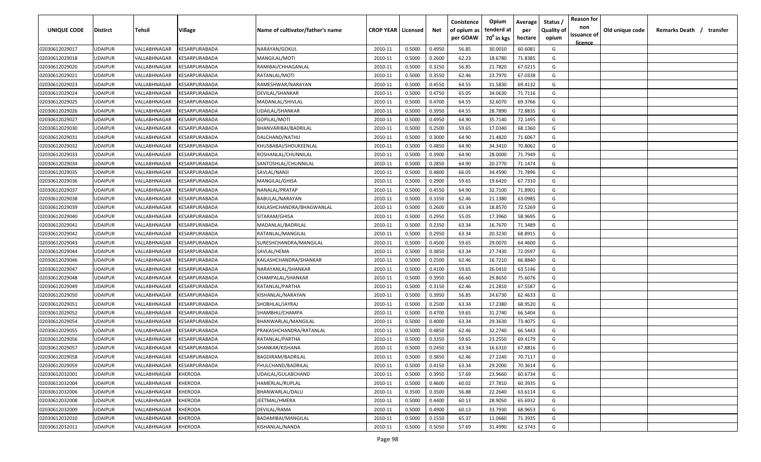| UNIQUE CODE    | Distirct       | Tehsil       | Village              | Name of cultivator/father's name | <b>CROP YEAR   Licensed</b> |        | Net    | Conistence<br>of opium as<br>per GOAW | Opium<br>tenderd at<br>70 <sup>0</sup> in kgs | Average<br>per<br>hectare | Status<br><b>Quality of</b><br>opium | <b>Reason for</b><br>non<br>issuance of | Old unique code | Remarks Death / transfer |  |
|----------------|----------------|--------------|----------------------|----------------------------------|-----------------------------|--------|--------|---------------------------------------|-----------------------------------------------|---------------------------|--------------------------------------|-----------------------------------------|-----------------|--------------------------|--|
| 02030612029017 | UDAIPUR        | VALLABHNAGAR | KESARPURABADA        | NARAYAN/GOKUL                    | 2010-11                     | 0.5000 | 0.4950 | 56.85                                 | 30.0010                                       | 60.6081                   | G                                    | <u>licence</u>                          |                 |                          |  |
| 02030612029018 | UDAIPUR        | VALLABHNAGAR | KESARPURABADA        | MANGILAL/MOTI                    | 2010-11                     | 0.5000 | 0.2600 | 62.23                                 | 18.6780                                       | 71.8385                   | G                                    |                                         |                 |                          |  |
| 02030612029020 | UDAIPUR        | VALLABHNAGAR | KESARPURABADA        | RAMIBAI/CHHAGANLAL               | 2010-11                     | 0.5000 | 0.3250 | 56.85                                 | 21.7820                                       | 67.0215                   | G                                    |                                         |                 |                          |  |
| 02030612029021 | UDAIPUR        | VALLABHNAGAR | KESARPURABADA        | RATANLAL/MOTI                    | 2010-11                     | 0.5000 | 0.3550 | 62.46                                 | 23.7970                                       | 67.0338                   | G                                    |                                         |                 |                          |  |
| 02030612029023 | UDAIPUR        | VALLABHNAGAR | KESARPURABADA        | RAMESHWAR/NARAYAN                | 2010-11                     | 0.5000 | 0.4550 | 64.55                                 | 31.5830                                       | 69.4132                   | G                                    |                                         |                 |                          |  |
| 02030612029024 | UDAIPUR        | VALLABHNAGAR | KESARPURABADA        | DEVILAL/SHANKAR                  | 2010-11                     | 0.5000 | 0.4750 | 65.05                                 | 34.0630                                       | 71.7116                   | G                                    |                                         |                 |                          |  |
| 02030612029025 | UDAIPUR        | VALLABHNAGAR | KESARPURABADA        | MADANLAL/SHIVLAL                 | 2010-11                     | 0.5000 | 0.4700 | 64.55                                 | 32.6070                                       | 69.3766                   | G                                    |                                         |                 |                          |  |
| 02030612029026 | UDAIPUR        | VALLABHNAGAR | KESARPURABADA        | UDAILAL/SHANKAR                  | 2010-11                     | 0.5000 | 0.3950 | 64.55                                 | 28.7890                                       | 72.8835                   | G                                    |                                         |                 |                          |  |
| 02030612029027 | UDAIPUR        | VALLABHNAGAR | KESARPURABADA        | GOPILAL/MOTI                     | 2010-11                     | 0.5000 | 0.4950 | 64.90                                 | 35.7140                                       | 72.1495                   | G                                    |                                         |                 |                          |  |
| 02030612029030 | UDAIPUR        | VALLABHNAGAR | KESARPURABADA        | BHANVARIBAI/BADRILAL             | 2010-11                     | 0.5000 | 0.2500 | 59.65                                 | 17.0340                                       | 68.1360                   | G                                    |                                         |                 |                          |  |
| 02030612029031 | UDAIPUR        | VALLABHNAGAR | KESARPURABADA        | DALCHAND/NATHU                   | 2010-11                     | 0.5000 | 0.3000 | 64.90                                 | 21.4820                                       | 71.6067                   | G                                    |                                         |                 |                          |  |
| 02030612029032 | UDAIPUR        | VALLABHNAGAR | KESARPURABADA        | KHUSBABAI/SHOUKEENLAL            | 2010-11                     | 0.5000 | 0.4850 | 64.90                                 | 34.3410                                       | 70.8062                   | G                                    |                                         |                 |                          |  |
| 02030612029033 | UDAIPUR        | VALLABHNAGAR | KESARPURABADA        | ROSHANLAL/CHUNNILAL              | 2010-11                     | 0.5000 | 0.3900 | 64.90                                 | 28.0000                                       | 71.7949                   | G                                    |                                         |                 |                          |  |
| 02030612029034 | UDAIPUR        | VALLABHNAGAR | KESARPURABADA        | SANTOSHLAL/CHUNNILAL             | 2010-11                     | 0.5000 | 0.2850 | 64.90                                 | 20.2770                                       | 71.1474                   | G                                    |                                         |                 |                          |  |
| 02030612029035 | UDAIPUR        | VALLABHNAGAR | KESARPURABADA        | SAVLAL/NANJI                     | 2010-11                     | 0.5000 | 0.4800 | 66.05                                 | 34.4590                                       | 71.7896                   | G                                    |                                         |                 |                          |  |
| 02030612029036 | UDAIPUR        | VALLABHNAGAR | KESARPURABADA        | MANGILAL/GHISA                   | 2010-11                     | 0.5000 | 0.2900 | 59.65                                 | 19.6420                                       | 67.7310                   | G                                    |                                         |                 |                          |  |
| 02030612029037 | UDAIPUR        | VALLABHNAGAR | KESARPURABADA        | NANALAL/PRATAP                   | 2010-11                     | 0.5000 | 0.4550 | 64.90                                 | 32.7100                                       | 71.8901                   | G                                    |                                         |                 |                          |  |
| 02030612029038 | UDAIPUR        | VALLABHNAGAR | KESARPURABADA        | BABULAL/NARAYAN                  | 2010-11                     | 0.5000 | 0.3350 | 62.46                                 | 21.1380                                       | 63.0985                   | G                                    |                                         |                 |                          |  |
| 02030612029039 | UDAIPUR        | VALLABHNAGAR | KESARPURABADA        | KAILASHCHANDRA/BHAGWANLAL        | 2010-11                     | 0.5000 | 0.2600 | 63.34                                 | 18.8570                                       | 72.5269                   | G                                    |                                         |                 |                          |  |
| 02030612029040 | UDAIPUR        | VALLABHNAGAR | KESARPURABADA        | SITARAM/GHISA                    | 2010-11                     | 0.5000 | 0.2950 | 55.05                                 | 17.3960                                       | 58.9695                   | G                                    |                                         |                 |                          |  |
| 02030612029041 | UDAIPUR        | VALLABHNAGAR | KESARPURABADA        | MADANLAL/BADRILAL                | 2010-11                     | 0.5000 | 0.2350 | 63.34                                 | 16.7670                                       | 71.3489                   | G                                    |                                         |                 |                          |  |
| 02030612029042 | UDAIPUR        | VALLABHNAGAR | KESARPURABADA        | RATANLAL/MANGILAL                | 2010-11                     | 0.5000 | 0.2950 | 63.34                                 | 20.3230                                       | 68.8915                   | G                                    |                                         |                 |                          |  |
| 02030612029043 | UDAIPUR        | VALLABHNAGAR | KESARPURABADA        | SURESHCHANDRA/MANGILAL           | 2010-11                     | 0.5000 | 0.4500 | 59.65                                 | 29.0070                                       | 64.4600                   | G                                    |                                         |                 |                          |  |
| 02030612029044 | UDAIPUR        | VALLABHNAGAR | KESARPURABADA        | SAVLAL/HEMA                      | 2010-11                     | 0.5000 | 0.3850 | 63.34                                 | 27.7430                                       | 72.0597                   | G                                    |                                         |                 |                          |  |
| 02030612029046 | UDAIPUR        | VALLABHNAGAR | KESARPURABADA        | KAILASHCHANDRA/SHANKAR           | 2010-11                     | 0.5000 | 0.2500 | 62.46                                 | 16.7210                                       | 66.8840                   | G                                    |                                         |                 |                          |  |
| 02030612029047 | UDAIPUR        | VALLABHNAGAR | KESARPURABADA        | NARAYANLAL/SHANKAR               | 2010-11                     | 0.5000 | 0.4100 | 59.65                                 | 26.0410                                       | 63.5146                   | G                                    |                                         |                 |                          |  |
| 02030612029048 | UDAIPUR        | VALLABHNAGAR | KESARPURABADA        | CHAMPALAL/SHANKAR                | 2010-11                     | 0.5000 | 0.3950 | 66.60                                 | 29.8650                                       | 75.6076                   | G                                    |                                         |                 |                          |  |
| 02030612029049 | UDAIPUR        | VALLABHNAGAR | KESARPURABADA        | RATANLAL/PARTHA                  | 2010-11                     | 0.5000 | 0.3150 | 62.46                                 | 21.2810                                       | 67.5587                   | G                                    |                                         |                 |                          |  |
| 02030612029050 | UDAIPUR        | VALLABHNAGAR | KESARPURABADA        | KISHANLAL/NARAYAN                | 2010-11                     | 0.5000 | 0.3950 | 56.85                                 | 24.6730                                       | 62.4633                   | G                                    |                                         |                 |                          |  |
| 02030612029051 | UDAIPUR        | VALLABHNAGAR | KESARPURABADA        | SHOBHLAL/JAYRAJ                  | 2010-11                     | 0.5000 | 0.2500 | 63.34                                 | 17.2380                                       | 68.9520                   | G                                    |                                         |                 |                          |  |
| 02030612029052 | UDAIPUR        | VALLABHNAGAR | KESARPURABADA        | SHAMBHU/CHAMPA                   | 2010-11                     | 0.5000 | 0.4700 | 59.65                                 | 31.2740                                       | 66.5404                   | G                                    |                                         |                 |                          |  |
| 02030612029054 | UDAIPUR        | VALLABHNAGAR | KESARPURABADA        | BHANWARLAL/MANGILAL              | 2010-11                     | 0.5000 | 0.4000 | 63.34                                 | 29.3630                                       | 73.4075                   | G                                    |                                         |                 |                          |  |
| 02030612029055 | UDAIPUR        | VALLABHNAGAR | <b>CESARPURABADA</b> | PRAKASHCHANDRA/RATANLAL          | 2010-11                     | 0.5000 | 0.4850 | 62.46                                 | 32.2740                                       | 66.5443                   | G                                    |                                         |                 |                          |  |
| 02030612029056 | UDAIPUR        | VALLABHNAGAR | KESARPURABADA        | RATANLAL/PARTHA                  | 2010-11                     | 0.5000 | 0.3350 | 59.65                                 | 23.2550                                       | 69.4179                   | G                                    |                                         |                 |                          |  |
| 02030612029057 | UDAIPUR        | VALLABHNAGAR | KESARPURABADA        | SHANKAR/KISHANA                  | 2010-11                     | 0.5000 | 0.2450 | 63.34                                 | 16.6310                                       | 67.8816                   | G                                    |                                         |                 |                          |  |
| 02030612029058 | UDAIPUR        | VALLABHNAGAR | KESARPURABADA        | <b>BAGDIRAM/BADRILAL</b>         | 2010-11                     | 0.5000 | 0.3850 | 62.46                                 | 27.2240                                       | 70.7117                   | G                                    |                                         |                 |                          |  |
| 02030612029059 | <b>UDAIPUR</b> | VALLABHNAGAR | KESARPURABADA        | FHULCHAND/BADRILAL               | 2010-11                     | 0.5000 | 0.4150 | 63.34                                 | 29.2000                                       | 70.3614                   | G                                    |                                         |                 |                          |  |
| 02030612032001 | <b>UDAIPUR</b> | VALLABHNAGAR | KHERODA              | UDAILAL/GULABCHAND               | 2010-11                     | 0.5000 | 0.3950 | 57.69                                 | 23.9660                                       | 60.6734                   | G                                    |                                         |                 |                          |  |
| 02030612032004 | UDAIPUR        | VALLABHNAGAR | KHERODA              | HAMERLAL/RUPLAL                  | 2010-11                     | 0.5000 | 0.4600 | 60.02                                 | 27.7810                                       | 60.3935                   | G                                    |                                         |                 |                          |  |
| 02030612032006 | UDAIPUR        | VALLABHNAGAR | KHERODA              | BHANWARLAL/DALU                  | 2010-11                     | 0.3500 | 0.3500 | 56.88                                 | 22.2640                                       | 63.6114                   | G                                    |                                         |                 |                          |  |
| 02030612032008 | UDAIPUR        | VALLABHNAGAR | KHERODA              | JEETMAL/HMERA                    | 2010-11                     | 0.5000 | 0.4400 | 60.13                                 | 28.9050                                       | 65.6932                   | G                                    |                                         |                 |                          |  |
| 02030612032009 | UDAIPUR        | VALLABHNAGAR | KHERODA              | DEVILAL/RAMA                     | 2010-11                     | 0.5000 | 0.4900 | 60.13                                 | 33.7930                                       | 68.9653                   | G                                    |                                         |                 |                          |  |
| 02030612032010 | UDAIPUR        | VALLABHNAGAR | KHERODA              | BADAMIBAI/MANGILAL               | 2010-11                     | 0.5000 | 0.1550 | 65.37                                 | 11.0660                                       | 71.3935                   | G                                    |                                         |                 |                          |  |
| 02030612032011 | UDAIPUR        | VALLABHNAGAR | KHERODA              | KISHANLAL/NANDA                  | 2010-11                     | 0.5000 | 0.5050 | 57.69                                 | 31.4990                                       | 62.3743                   | G                                    |                                         |                 |                          |  |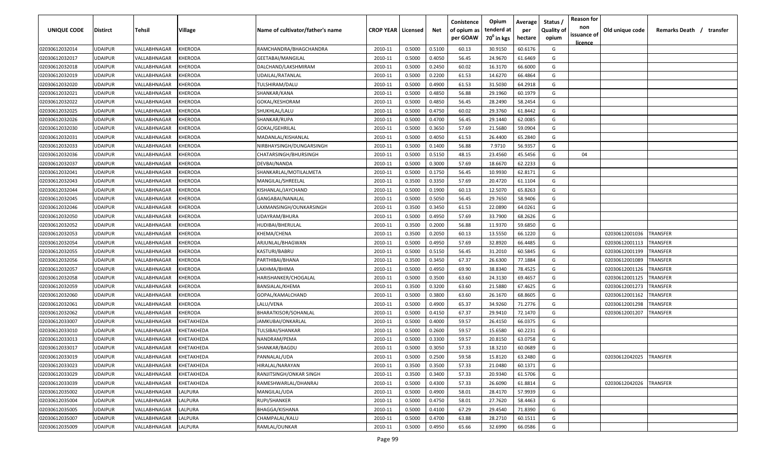| UNIQUE CODE    | <b>Distirct</b> | Tehsil       | Village           | Name of cultivator/father's name | <b>CROP YEAR   Licensed</b> |        | Net    | Conistence<br>of opium as<br>per GOAW | Opium<br>tenderd at<br>70 <sup>°</sup> in kgs | Average<br>per<br>hectare | Status<br><b>Quality of</b><br>opium | <b>Reason for</b><br>non<br>issuance of | Old unique code | Remarks Death / transfer |
|----------------|-----------------|--------------|-------------------|----------------------------------|-----------------------------|--------|--------|---------------------------------------|-----------------------------------------------|---------------------------|--------------------------------------|-----------------------------------------|-----------------|--------------------------|
| 02030612032014 | <b>UDAIPUR</b>  | VALLABHNAGAR | KHERODA           | RAMCHANDRA/BHAGCHANDRA           | 2010-11                     | 0.5000 | 0.5100 | 60.13                                 | 30.9150                                       | 60.6176                   | G                                    | <u>licence</u>                          |                 |                          |
| 02030612032017 | <b>UDAIPUR</b>  | VALLABHNAGAR | KHERODA           | GEETABAI/MANGILAL                | 2010-11                     | 0.5000 | 0.4050 | 56.45                                 | 24.9670                                       | 61.6469                   | G                                    |                                         |                 |                          |
| 02030612032018 | <b>UDAIPUR</b>  | VALLABHNAGAR | KHERODA           | DALCHAND/LAKSHMIRAM              | 2010-11                     | 0.5000 | 0.2450 | 60.02                                 | 16.3170                                       | 66.6000                   | G                                    |                                         |                 |                          |
| 02030612032019 | <b>UDAIPUR</b>  | VALLABHNAGAR | KHERODA           | UDAILAL/RATANLAL                 | 2010-11                     | 0.5000 | 0.2200 | 61.53                                 | 14.6270                                       | 66.4864                   | G                                    |                                         |                 |                          |
| 02030612032020 | <b>UDAIPUR</b>  | VALLABHNAGAR | KHERODA           | TULSHIRAM/DALU                   | 2010-11                     | 0.5000 | 0.4900 | 61.53                                 | 31.5030                                       | 64.2918                   | G                                    |                                         |                 |                          |
| 02030612032021 | <b>UDAIPUR</b>  | VALLABHNAGAR | KHERODA           | SHANKAR/KANA                     | 2010-11                     | 0.5000 | 0.4850 | 56.88                                 | 29.1960                                       | 60.1979                   | G                                    |                                         |                 |                          |
| 02030612032022 | <b>UDAIPUR</b>  | VALLABHNAGAR | KHERODA           | GOKAL/KESHORAM                   | 2010-11                     | 0.5000 | 0.4850 | 56.45                                 | 28.2490                                       | 58.2454                   | G                                    |                                         |                 |                          |
| 02030612032025 | <b>UDAIPUR</b>  | VALLABHNAGAR | KHERODA           | SHUKHLAL/LALU                    | 2010-11                     | 0.5000 | 0.4750 | 60.02                                 | 29.3760                                       | 61.8442                   | G                                    |                                         |                 |                          |
| 02030612032026 | <b>UDAIPUR</b>  | VALLABHNAGAR | KHERODA           | SHANKAR/RUPA                     | 2010-11                     | 0.5000 | 0.4700 | 56.45                                 | 29.1440                                       | 62.0085                   | G                                    |                                         |                 |                          |
| 02030612032030 | <b>UDAIPUR</b>  | VALLABHNAGAR | KHERODA           | GOKAL/GEHRILAL                   | 2010-11                     | 0.5000 | 0.3650 | 57.69                                 | 21.5680                                       | 59.0904                   | G                                    |                                         |                 |                          |
| 02030612032031 | <b>UDAIPUR</b>  | VALLABHNAGAR | KHERODA           | MADANLAL/KISHANLAL               | 2010-11                     | 0.5000 | 0.4050 | 61.53                                 | 26.4400                                       | 65.2840                   | G                                    |                                         |                 |                          |
| 02030612032033 | <b>UDAIPUR</b>  | VALLABHNAGAR | KHERODA           | NIRBHAYSINGH/DUNGARSINGH         | 2010-11                     | 0.5000 | 0.1400 | 56.88                                 | 7.9710                                        | 56.9357                   | G                                    |                                         |                 |                          |
| 02030612032036 | <b>UDAIPUR</b>  | VALLABHNAGAR | KHERODA           | CHATARSINGH/BHURSINGH            | 2010-11                     | 0.5000 | 0.5150 | 48.15                                 | 23.4560                                       | 45.5456                   | G                                    | 04                                      |                 |                          |
| 02030612032037 | <b>UDAIPUR</b>  | VALLABHNAGAR | KHERODA           | DEVBAI/NANDA                     | 2010-11                     | 0.5000 | 0.3000 | 57.69                                 | 18.6670                                       | 62.2233                   | G                                    |                                         |                 |                          |
| 02030612032041 | <b>UDAIPUR</b>  | VALLABHNAGAR | KHERODA           | SHANKARLAL/MOTILALMETA           | 2010-11                     | 0.5000 | 0.1750 | 56.45                                 | 10.9930                                       | 62.8171                   | G                                    |                                         |                 |                          |
| 02030612032043 | <b>UDAIPUR</b>  | VALLABHNAGAR | KHERODA           | MANGILAL/SHREELAL                | 2010-11                     | 0.3500 | 0.3350 | 57.69                                 | 20.4720                                       | 61.1104                   | G                                    |                                         |                 |                          |
| 02030612032044 | <b>UDAIPUR</b>  | VALLABHNAGAR | KHERODA           | KISHANLAL/JAYCHAND               | 2010-11                     | 0.5000 | 0.1900 | 60.13                                 | 12.5070                                       | 65.8263                   | G                                    |                                         |                 |                          |
| 02030612032045 | <b>UDAIPUR</b>  | VALLABHNAGAR | KHERODA           | GANGABAI/NANALAL                 | 2010-11                     | 0.5000 | 0.5050 | 56.45                                 | 29.7650                                       | 58.9406                   | G                                    |                                         |                 |                          |
| 02030612032046 | <b>UDAIPUR</b>  | VALLABHNAGAR | KHERODA           | LAXMANSINGH/OUNKARSINGH          | 2010-11                     | 0.3500 | 0.3450 | 61.53                                 | 22.0890                                       | 64.0261                   | G                                    |                                         |                 |                          |
| 02030612032050 | <b>UDAIPUR</b>  | VALLABHNAGAR | KHERODA           | UDAYRAM/BHURA                    | 2010-11                     | 0.5000 | 0.4950 | 57.69                                 | 33.7900                                       | 68.2626                   | G                                    |                                         |                 |                          |
| 02030612032052 | <b>UDAIPUR</b>  | VALLABHNAGAR | KHERODA           | HUDIBAI/BHERULAL                 | 2010-11                     | 0.3500 | 0.2000 | 56.88                                 | 11.9370                                       | 59.6850                   | G                                    |                                         |                 |                          |
| 02030612032053 | <b>UDAIPUR</b>  | VALLABHNAGAR | KHERODA           | KHEMA/CHENA                      | 2010-11                     | 0.3500 | 0.2050 | 60.13                                 | 13.5550                                       | 66.1220                   | G                                    |                                         | 02030612001036  | TRANSFER                 |
| 02030612032054 | <b>UDAIPUR</b>  | VALLABHNAGAR | KHERODA           | ARJUNLAL/BHAGWAN                 | 2010-11                     | 0.5000 | 0.4950 | 57.69                                 | 32.8920                                       | 66.4485                   | G                                    |                                         | 02030612001113  | <b>RANSFER</b>           |
| 02030612032055 | <b>UDAIPUR</b>  | VALLABHNAGAR | <b>CHERODA</b>    | KASTURI/BABRU                    | 2010-11                     | 0.5000 | 0.5150 | 56.45                                 | 31.2010                                       | 60.5845                   | G                                    |                                         | 02030612001199  | <b>RANSFER</b>           |
| 02030612032056 | <b>UDAIPUR</b>  | VALLABHNAGAR | <b>CHERODA</b>    | PARTHIBAI/BHANA                  | 2010-11                     | 0.3500 | 0.3450 | 67.37                                 | 26.6300                                       | 77.1884                   | G                                    |                                         | 02030612001089  | <b>RANSFER</b>           |
| 02030612032057 | <b>UDAIPUR</b>  | VALLABHNAGAR | KHERODA           | LAKHMA/BHIMA                     | 2010-11                     | 0.5000 | 0.4950 | 69.90                                 | 38.8340                                       | 78.4525                   | G                                    |                                         | 02030612001126  | <b><i>FRANSFER</i></b>   |
| 02030612032058 | <b>UDAIPUR</b>  | VALLABHNAGAR | KHERODA           | HARISHANKER/CHOGALAL             | 2010-11                     | 0.5000 | 0.3500 | 63.60                                 | 24.3130                                       | 69.4657                   | G                                    |                                         | 02030612001125  | <b>RANSFER</b>           |
| 02030612032059 | <b>UDAIPUR</b>  | VALLABHNAGAR | <b>CHERODA</b>    | BANSIALAL/KHEMA                  | 2010-11                     | 0.3500 | 0.3200 | 63.60                                 | 21.5880                                       | 67.4625                   | G                                    |                                         | 02030612001273  | <b>RANSFER</b>           |
| 02030612032060 | <b>UDAIPUR</b>  | VALLABHNAGAR | KHERODA           | GOPAL/KAMALCHAND                 | 2010-11                     | 0.5000 | 0.3800 | 63.60                                 | 26.1670                                       | 68.8605                   | G                                    |                                         | 02030612001162  | <b>RANSFER</b>           |
| 02030612032061 | <b>UDAIPUR</b>  | VALLABHNAGAR | KHERODA           | LALU/VENA                        | 2010-11                     | 0.5000 | 0.4900 | 65.37                                 | 34.9260                                       | 71.2776                   | G                                    |                                         | 02030612001298  | <b><i>FRANSFER</i></b>   |
| 02030612032062 | <b>UDAIPUR</b>  | VALLABHNAGAR | KHERODA           | BHARATKISOR/SOHANLAL             | 2010-11                     | 0.5000 | 0.4150 | 67.37                                 | 29.9410                                       | 72.1470                   | G                                    |                                         | 02030612001207  | <b>RANSFER</b>           |
| 02030612033007 | <b>UDAIPUR</b>  | VALLABHNAGAR | KHETAKHEDA        | IAMKUBAI/ONKARLAL                | 2010-11                     | 0.5000 | 0.4000 | 59.57                                 | 26.4150                                       | 66.0375                   | G                                    |                                         |                 |                          |
| 02030612033010 | <b>UDAIPUR</b>  | VALLABHNAGAR | KHETAKHEDA        | TULSIBAI/SHANKAR                 | 2010-11                     | 0.5000 | 0.2600 | 59.57                                 | 15.6580                                       | 60.2231                   | G                                    |                                         |                 |                          |
| 02030612033013 | <b>UDAIPUR</b>  | VALLABHNAGAR | KHETAKHEDA        | NANDRAM/PEMA                     | 2010-11                     | 0.5000 | 0.3300 | 59.57                                 | 20.8150                                       | 63.0758                   | G                                    |                                         |                 |                          |
| 02030612033017 | <b>UDAIPUR</b>  | VALLABHNAGAR | KHETAKHEDA        | SHANKAR/BAGDU                    | 2010-11                     | 0.5000 | 0.3050 | 57.33                                 | 18.3210                                       | 60.0689                   | G                                    |                                         |                 |                          |
| 02030612033019 | <b>UDAIPUR</b>  | VALLABHNAGAR | <b>KHETAKHEDA</b> | PANNALAL/UDA                     | 2010-11                     | 0.5000 | 0.2500 | 59.58                                 | 15.8120                                       | 63.2480                   | G                                    |                                         | 02030612042025  | <b>TRANSFER</b>          |
| 02030612033023 | <b>UDAIPUR</b>  | VALLABHNAGAR | KHETAKHEDA        | HIRALAL/NARAYAN                  | 2010-11                     | 0.3500 | 0.3500 | 57.33                                 | 21.0480                                       | 60.1371                   | G                                    |                                         |                 |                          |
| 02030612033029 | <b>UDAIPUR</b>  | VALLABHNAGAR | KHETAKHEDA        | RANJITSINGH/ONKAR SINGH          | 2010-11                     | 0.3500 | 0.3400 | 57.33                                 | 20.9340                                       | 61.5706                   | G                                    |                                         |                 |                          |
| 02030612033039 | <b>UDAIPUR</b>  | VALLABHNAGAR | KHETAKHEDA        | RAMESHWARLAL/DHANRAJ             | 2010-11                     | 0.5000 | 0.4300 | 57.33                                 | 26.6090                                       | 61.8814                   | G                                    |                                         | 02030612042026  | <b>TRANSFER</b>          |
| 02030612035002 | <b>UDAIPUR</b>  | VALLABHNAGAR | LALPURA           | MANGILAL/UDA                     | 2010-11                     | 0.5000 | 0.4900 | 58.01                                 | 28.4170                                       | 57.9939                   | G                                    |                                         |                 |                          |
| 02030612035004 | <b>UDAIPUR</b>  | VALLABHNAGAR | LALPURA           | RUPI/SHANKER                     | 2010-11                     | 0.5000 | 0.4750 | 58.01                                 | 27.7620                                       | 58.4463                   | G                                    |                                         |                 |                          |
| 02030612035005 | <b>UDAIPUR</b>  | VALLABHNAGAR | LALPURA           | BHAGGA/KISHANA                   | 2010-11                     | 0.5000 | 0.4100 | 67.29                                 | 29.4540                                       | 71.8390                   | G                                    |                                         |                 |                          |
| 02030612035007 | <b>UDAIPUR</b>  | VALLABHNAGAR | LALPURA           | CHAMPALAL/KALU                   | 2010-11                     | 0.5000 | 0.4700 | 63.88                                 | 28.2710                                       | 60.1511                   | G                                    |                                         |                 |                          |
| 02030612035009 | <b>UDAIPUR</b>  | VALLABHNAGAR | LALPURA           | RAMLAL/OUNKAR                    | 2010-11                     | 0.5000 | 0.4950 | 65.66                                 | 32.6990                                       | 66.0586                   | G                                    |                                         |                 |                          |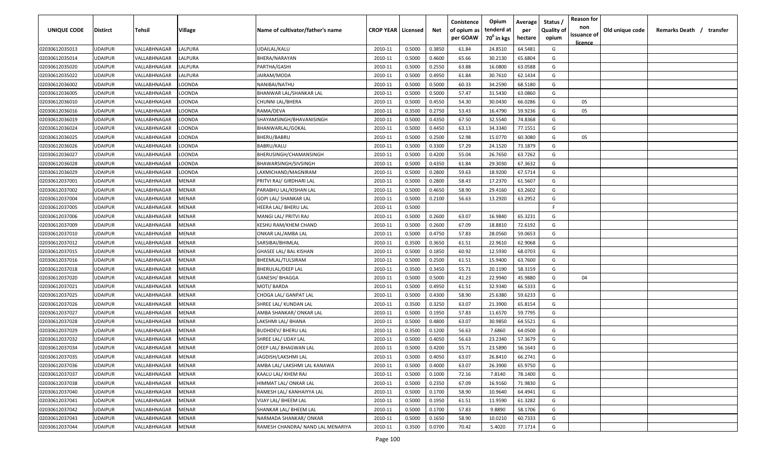| UNIQUE CODE                      | <b>Distirct</b>                  | Tehsil                       | Village           | Name of cultivator/father's name  | <b>CROP YEAR   Licensed</b> |                  | Net              | Conistence<br>of opium as<br>per GOAW | Opium<br>tenderd at<br>70 <sup>0</sup> in kgs | Average<br>per<br>hectare | Status<br><b>Quality of</b><br>opium | <b>Reason for</b><br>non<br>issuance of | Old unique code | Remarks Death / transfer |
|----------------------------------|----------------------------------|------------------------------|-------------------|-----------------------------------|-----------------------------|------------------|------------------|---------------------------------------|-----------------------------------------------|---------------------------|--------------------------------------|-----------------------------------------|-----------------|--------------------------|
|                                  |                                  |                              |                   |                                   |                             |                  |                  |                                       |                                               |                           |                                      | <u>licence</u>                          |                 |                          |
| 02030612035013                   | <b>UDAIPUR</b>                   | VALLABHNAGAR                 | LALPURA           | UDAILAL/KALU                      | 2010-11                     | 0.5000           | 0.3850           | 61.84                                 | 24.8510                                       | 64.5481                   | G                                    |                                         |                 |                          |
| 02030612035014                   | <b>UDAIPUR</b>                   | VALLABHNAGAR                 | LALPURA           | BHERA/NARAYAN                     | 2010-11                     | 0.5000           | 0.4600           | 65.66                                 | 30.2130                                       | 65.6804                   | G                                    |                                         |                 |                          |
| 02030612035020<br>02030612035022 | <b>UDAIPUR</b>                   | VALLABHNAGAR                 | LALPURA           | PARTHA/GASHI                      | 2010-11                     | 0.5000           | 0.2550<br>0.4950 | 63.88<br>61.84                        | 16.0800                                       | 63.0588                   | G<br>G                               |                                         |                 |                          |
| 02030612036002                   | <b>UDAIPUR</b><br><b>UDAIPUR</b> | VALLABHNAGAR<br>VALLABHNAGAR | LALPURA<br>LOONDA | JAIRAM/MODA<br>NANIBAI/NATHU      | 2010-11<br>2010-11          | 0.5000<br>0.5000 | 0.5000           | 60.33                                 | 30.7610<br>34.2590                            | 62.1434<br>68.5180        | G                                    |                                         |                 |                          |
| 02030612036005                   | <b>UDAIPUR</b>                   | VALLABHNAGAR                 | LOONDA            | BHANWAR LAL/SHANKAR LAL           | 2010-11                     | 0.5000           | 0.5000           | 57.47                                 | 31.5430                                       | 63.0860                   | G                                    |                                         |                 |                          |
| 02030612036010                   | <b>UDAIPUR</b>                   | VALLABHNAGAR                 | LOONDA            | CHUNNI LAL/BHERA                  | 2010-11                     | 0.5000           | 0.4550           | 54.30                                 | 30.0430                                       | 66.0286                   | G                                    | 05                                      |                 |                          |
| 02030612036016                   | <b>UDAIPUR</b>                   | VALLABHNAGAR                 | LOONDA            | RAMA/DEVA                         | 2010-11                     | 0.3500           | 0.2750           | 53.43                                 | 16.4790                                       | 59.9236                   | G                                    | 05                                      |                 |                          |
| 02030612036019                   | <b>UDAIPUR</b>                   | VALLABHNAGAR                 | LOONDA            | SHAYAMSINGH/BHAVANISINGH          | 2010-11                     | 0.5000           | 0.4350           | 67.50                                 | 32.5540                                       | 74.8368                   | G                                    |                                         |                 |                          |
| 02030612036024                   | <b>UDAIPUR</b>                   | VALLABHNAGAR                 | LOONDA            | BHANWARLAL/GOKAL                  | 2010-11                     | 0.5000           | 0.4450           | 63.13                                 | 34.3340                                       | 77.1551                   | G                                    |                                         |                 |                          |
| 02030612036025                   | <b>UDAIPUR</b>                   | VALLABHNAGAR                 | LOONDA            | BHERU/BABRU                       | 2010-11                     | 0.5000           | 0.2500           | 52.98                                 | 15.0770                                       | 60.3080                   | G                                    | 05                                      |                 |                          |
| 02030612036026                   | <b>UDAIPUR</b>                   | VALLABHNAGAR                 | LOONDA            | BABRU/KALU                        | 2010-11                     | 0.5000           | 0.3300           | 57.29                                 | 24.1520                                       | 73.1879                   | G                                    |                                         |                 |                          |
| 02030612036027                   | <b>UDAIPUR</b>                   | VALLABHNAGAR                 | LOONDA            | BHERUSINGH/CHAMANSINGH            | 2010-11                     | 0.5000           | 0.4200           | 55.04                                 | 26.7650                                       | 63.7262                   | G                                    |                                         |                 |                          |
| 02030612036028                   | <b>UDAIPUR</b>                   | VALLABHNAGAR                 | LOONDA            | BHAWARSINGH/SIVSINGH              | 2010-11                     | 0.5000           | 0.4350           | 61.84                                 | 29.3030                                       | 67.3632                   | G                                    |                                         |                 |                          |
| 02030612036029                   | <b>UDAIPUR</b>                   | VALLABHNAGAR                 | LOONDA            | LAXMICHAND/MAGNIRAM               | 2010-11                     | 0.5000           | 0.2800           | 59.63                                 | 18.9200                                       | 67.5714                   | G                                    |                                         |                 |                          |
| 02030612037001                   | <b>UDAIPUR</b>                   | VALLABHNAGAR                 | MENAR             | PRITVI RAJ/ GIRDHARI LAL          | 2010-11                     | 0.5000           | 0.2800           | 58.43                                 | 17.2370                                       | 61.5607                   | G                                    |                                         |                 |                          |
| 02030612037002                   | <b>UDAIPUR</b>                   | VALLABHNAGAR                 | MENAR             | PARABHU LAL/KISHAN LAL            | 2010-11                     | 0.5000           | 0.4650           | 58.90                                 | 29.4160                                       | 63.2602                   | G                                    |                                         |                 |                          |
| 02030612037004                   | <b>UDAIPUR</b>                   | VALLABHNAGAR                 | MENAR             | GOPI LAL/ SHANKAR LAL             | 2010-11                     | 0.5000           | 0.2100           | 56.63                                 | 13.2920                                       | 63.2952                   | G                                    |                                         |                 |                          |
| 02030612037005                   | <b>UDAIPUR</b>                   | VALLABHNAGAR                 | MENAR             | HEERA LAL/ BHERU LAL              | 2010-11                     | 0.5000           |                  |                                       |                                               |                           | F.                                   |                                         |                 |                          |
| 02030612037006                   | <b>UDAIPUR</b>                   | VALLABHNAGAR                 | MENAR             | MANGI LAL/ PRITVI RAJ             | 2010-11                     | 0.5000           | 0.2600           | 63.07                                 | 16.9840                                       | 65.3231                   | G                                    |                                         |                 |                          |
| 02030612037009                   | <b>UDAIPUR</b>                   | VALLABHNAGAR                 | MENAR             | KESHU RAM/KHEM CHAND              | 2010-11                     | 0.5000           | 0.2600           | 67.09                                 | 18.8810                                       | 72.6192                   | G                                    |                                         |                 |                          |
| 02030612037010                   | <b>UDAIPUR</b>                   | VALLABHNAGAR                 | MENAR             | ONKAR LAL/AMBA LAL                | 2010-11                     | 0.5000           | 0.4750           | 57.83                                 | 28.0560                                       | 59.0653                   | G                                    |                                         |                 |                          |
| 02030612037012                   | <b>UDAIPUR</b>                   | VALLABHNAGAR                 | MENAR             | SARSIBAI/BHIMLAL                  | 2010-11                     | 0.3500           | 0.3650           | 61.51                                 | 22.9610                                       | 62.9068                   | G                                    |                                         |                 |                          |
| 02030612037015                   | <b>UDAIPUR</b>                   | VALLABHNAGAR                 | MENAR             | GHASEE LAL/ BAL KISHAN            | 2010-11                     | 0.5000           | 0.1850           | 60.92                                 | 12.5930                                       | 68.0703                   | G                                    |                                         |                 |                          |
| 02030612037016                   | <b>UDAIPUR</b>                   | VALLABHNAGAR                 | MENAR             | BHEEMLAL/TULSIRAM                 | 2010-11                     | 0.5000           | 0.2500           | 61.51                                 | 15.9400                                       | 63.7600                   | G                                    |                                         |                 |                          |
| 02030612037018                   | <b>UDAIPUR</b>                   | VALLABHNAGAR                 | MENAR             | BHERULAL/DEEP LAL                 | 2010-11                     | 0.3500           | 0.3450           | 55.71                                 | 20.1190                                       | 58.3159                   | G                                    |                                         |                 |                          |
| 02030612037020                   | <b>UDAIPUR</b>                   | VALLABHNAGAR                 | MENAR             | GANESH/ BHAGGA                    | 2010-11                     | 0.5000           | 0.5000           | 41.23                                 | 22.9940                                       | 45.9880                   | G                                    | 04                                      |                 |                          |
| 02030612037021                   | <b>UDAIPUR</b>                   | VALLABHNAGAR                 | MENAR             | MOTI/ BARDA                       | 2010-11                     | 0.5000           | 0.4950           | 61.51                                 | 32.9340                                       | 66.5333                   | G                                    |                                         |                 |                          |
| 02030612037025                   | <b>UDAIPUR</b>                   | VALLABHNAGAR                 | MENAR             | CHOGA LAL/ GANPAT LAL             | 2010-11                     | 0.5000           | 0.4300           | 58.90                                 | 25.6380                                       | 59.6233                   | G                                    |                                         |                 |                          |
| 02030612037026                   | <b>UDAIPUR</b>                   | VALLABHNAGAR                 | MENAR             | SHREE LAL/ KUNDAN LAL             | 2010-11                     | 0.3500           | 0.3250           | 63.07                                 | 21.3900                                       | 65.8154                   | G                                    |                                         |                 |                          |
| 02030612037027                   | <b>UDAIPUR</b>                   | VALLABHNAGAR                 | MENAR             | AMBA SHANKAR/ ONKAR LAL           | 2010-11                     | 0.5000           | 0.1950           | 57.83                                 | 11.6570                                       | 59.7795                   | G                                    |                                         |                 |                          |
| 02030612037028                   | <b>UDAIPUR</b>                   | VALLABHNAGAR                 | MENAR             | LAKSHMI LAL/ BHANA                | 2010-11                     | 0.5000           | 0.4800           | 63.07                                 | 30.9850                                       | 64.5521                   | G                                    |                                         |                 |                          |
| 02030612037029                   | <b>UDAIPUR</b>                   | VALLABHNAGAR                 | MENAR             | <b>BUDHDEV/ BHERU LAL</b>         | 2010-11                     | 0.3500           | 0.1200           | 56.63                                 | 7.6860                                        | 64.0500                   | G                                    |                                         |                 |                          |
| 02030612037032                   | <b>UDAIPUR</b>                   | VALLABHNAGAR                 | MENAR             | SHREE LAL/ UDAY LAL               | 2010-11                     | 0.5000           | 0.4050           | 56.63                                 | 23.2340                                       | 57.3679                   | G                                    |                                         |                 |                          |
| 02030612037034                   | <b>UDAIPUR</b>                   | VALLABHNAGAR                 | MENAR             | DEEP LAL/ BHAGWAN LAL             | 2010-11                     | 0.5000           | 0.4200           | 55.71                                 | 23.5890                                       | 56.1643                   | G                                    |                                         |                 |                          |
| 02030612037035                   | <b>UDAIPUR</b>                   | VALLABHNAGAR                 | <b>MENAR</b>      | JAGDISH/LAKSHMI LAL               | 2010-11                     | 0.5000           | 0.4050           | 63.07                                 | 26.8410                                       | 66.2741                   | G                                    |                                         |                 |                          |
| 02030612037036                   | <b>UDAIPUR</b>                   | VALLABHNAGAR                 | MENAR             | AMBA LAL/ LAKSHMI LAL KANAWA      | 2010-11                     | 0.5000           | 0.4000           | 63.07                                 | 26.3900                                       | 65.9750                   | G                                    |                                         |                 |                          |
| 02030612037037                   | <b>UDAIPUR</b>                   | VALLABHNAGAR                 | MENAR             | KAALU LAL/ KHEM RAJ               | 2010-11                     | 0.5000           | 0.1000           | 72.16                                 | 7.8140                                        | 78.1400                   | G                                    |                                         |                 |                          |
| 02030612037038                   | <b>UDAIPUR</b>                   | VALLABHNAGAR                 | MENAR             | HIMMAT LAL/ ONKAR LAL             | 2010-11                     | 0.5000           | 0.2350           | 67.09                                 | 16.9160                                       | 71.9830                   | G                                    |                                         |                 |                          |
| 02030612037040                   | <b>UDAIPUR</b>                   | VALLABHNAGAR                 | MENAR             | RAMESH LAL/ KANHAIYYA LAL         | 2010-11                     | 0.5000           | 0.1700           | 58.90                                 | 10.9640                                       | 64.4941                   | G                                    |                                         |                 |                          |
| 02030612037041                   | <b>UDAIPUR</b>                   | VALLABHNAGAR                 | MENAR             | VIJAY LAL/ BHEEM LAL              | 2010-11                     | 0.5000           | 0.1950           | 61.51                                 | 11.9590                                       | 61.3282                   | G                                    |                                         |                 |                          |
| 02030612037042                   | <b>UDAIPUR</b>                   | VALLABHNAGAR                 | MENAR             | SHANKAR LAL/ BHEEM LAL            | 2010-11                     | 0.5000           | 0.1700           | 57.83                                 | 9.8890                                        | 58.1706                   | G                                    |                                         |                 |                          |
| 02030612037043                   | <b>UDAIPUR</b>                   | VALLABHNAGAR                 | MENAR             | NARMADA SHANKAR/ONKAR             | 2010-11                     | 0.5000           | 0.1650           | 58.90                                 | 10.0210                                       | 60.7333                   | G                                    |                                         |                 |                          |
| 02030612037044                   | <b>UDAIPUR</b>                   | VALLABHNAGAR                 | <b>MENAR</b>      | RAMESH CHANDRA/ NAND LAL MENARIYA | 2010-11                     | 0.3500           | 0.0700           | 70.42                                 | 5.4020                                        | 77.1714                   | G                                    |                                         |                 |                          |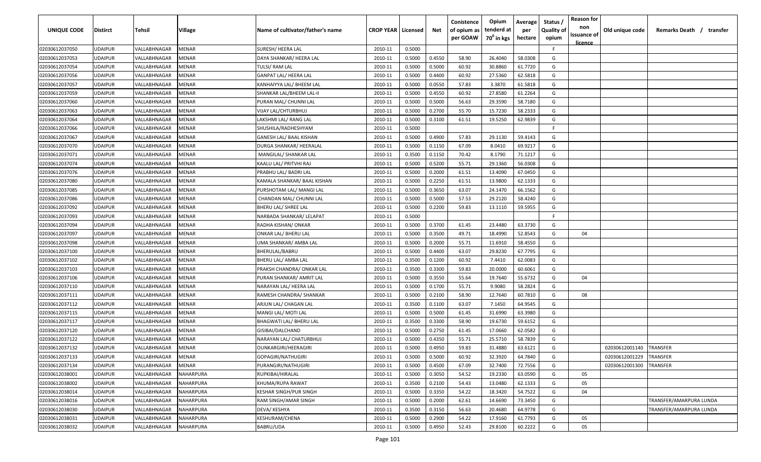| UNIQUE CODE                      | <b>Distirct</b>                  | Tehsil                       | Village          | Name of cultivator/father's name             | <b>CROP YEAR   Licensed</b> |                  | Net              | Conistence<br>of opium as<br>per GOAW | Opium<br>tenderd at<br>70 <sup>0</sup> in kgs | Average<br>per<br>hectare | Status /<br><b>Quality of</b><br>opium | <b>Reason for</b><br>non<br>issuance of | Old unique code | Remarks Death /<br>transfer |
|----------------------------------|----------------------------------|------------------------------|------------------|----------------------------------------------|-----------------------------|------------------|------------------|---------------------------------------|-----------------------------------------------|---------------------------|----------------------------------------|-----------------------------------------|-----------------|-----------------------------|
| 02030612037050                   | <b>JDAIPUR</b>                   | VALLABHNAGAR                 | MENAR            | SURESH/ HEERA LAL                            | 2010-11                     | 0.5000           |                  |                                       |                                               |                           | F.                                     | <u>licence</u>                          |                 |                             |
| 02030612037053                   | UDAIPUR                          | VALLABHNAGAR                 | MENAR            | DAYA SHANKAR/ HEERA LAL                      | 2010-11                     | 0.5000           | 0.4550           | 58.90                                 | 26.4040                                       | 58.0308                   | G                                      |                                         |                 |                             |
| 02030612037054                   | <b>JDAIPUR</b>                   | VALLABHNAGAR                 | MENAR            | TULSI/ RAM LAL                               | 2010-11                     | 0.5000           | 0.5000           | 60.92                                 | 30.8860                                       | 61.7720                   | G                                      |                                         |                 |                             |
| 02030612037056                   | <b>JDAIPUR</b>                   | VALLABHNAGAR                 | MENAR            | <b>GANPAT LAL/ HEERA LAL</b>                 | 2010-11                     | 0.5000           | 0.4400           | 60.92                                 | 27.5360                                       | 62.5818                   | G                                      |                                         |                 |                             |
| 02030612037057                   | <b>JDAIPUR</b>                   | VALLABHNAGAR                 | MENAR            | KANHAIYYA LAL/ BHEEM LAL                     | 2010-11                     | 0.5000           | 0.0550           | 57.83                                 | 3.3870                                        | 61.5818                   | G                                      |                                         |                 |                             |
| 02030612037059                   | <b>JDAIPUR</b>                   | VALLABHNAGAR                 | MENAR            | SHANKAR LAL/BHEEM LAL-II                     | 2010-11                     | 0.5000           | 0.4550           | 60.92                                 | 27.8580                                       | 61.2264                   | G                                      |                                         |                 |                             |
| 02030612037060                   | <b>JDAIPUR</b>                   | VALLABHNAGAR                 | MENAR            | PURAN MAL/ CHUNNI LAL                        | 2010-11                     | 0.5000           | 0.5000           | 56.63                                 | 29.3590                                       | 58.7180                   | G                                      |                                         |                 |                             |
| 02030612037063                   | <b>JDAIPUR</b>                   | VALLABHNAGAR                 | MENAR            | VIJAY LAL/CHTURBHUJ                          | 2010-11                     | 0.5000           | 0.2700           | 55.70                                 | 15.7230                                       | 58.2333                   | G                                      |                                         |                 |                             |
| 02030612037064                   | <b>JDAIPUR</b>                   | VALLABHNAGAR                 | MENAR            | LAKSHMI LAL/ RANG LAL                        | 2010-11                     | 0.5000           | 0.3100           | 61.51                                 | 19.5250                                       | 62.9839                   | G                                      |                                         |                 |                             |
| 02030612037066                   | UDAIPUR                          | VALLABHNAGAR                 | MENAR            | SHUSHILA/RADHESHYAM                          | 2010-11                     | 0.5000           |                  |                                       |                                               |                           | F.                                     |                                         |                 |                             |
| 02030612037067                   | JDAIPUR                          | VALLABHNAGAR                 | MENAR            | GANESH LAL/ BAAL KISHAN                      | 2010-11                     | 0.5000           | 0.4900           | 57.83                                 | 29.1130                                       | 59.4143                   | G                                      |                                         |                 |                             |
| 02030612037070                   | <b>JDAIPUR</b>                   | VALLABHNAGAR                 | MENAR            | DURGA SHANKAR/ HEERALAL                      | 2010-11                     | 0.5000           | 0.1150           | 67.09                                 | 8.0410                                        | 69.9217                   | G                                      |                                         |                 |                             |
| 02030612037071                   | <b>JDAIPUR</b>                   | VALLABHNAGAR                 | MENAR            | MANGILAL/ SHANKAR LAL                        | 2010-11                     | 0.3500           | 0.1150           | 70.42                                 | 8.1790                                        | 71.1217                   | G                                      |                                         |                 |                             |
| 02030612037074                   | <b>JDAIPUR</b>                   | VALLABHNAGAR                 | MENAR            | KAALU LAL/ PRITVHI RAJ                       | 2010-11                     | 0.5000           | 0.5200           | 55.71                                 | 29.1360                                       | 56.0308                   | G                                      |                                         |                 |                             |
| 02030612037076                   | <b>JDAIPUR</b>                   | VALLABHNAGAR                 | MENAR            | PRABHU LAL/ BADRI LAL                        | 2010-11                     | 0.5000           | 0.2000           | 61.51                                 | 13.4090                                       | 67.0450                   | G                                      |                                         |                 |                             |
| 02030612037080                   | <b>JDAIPUR</b>                   | VALLABHNAGAR                 | MENAR            | KAMALA SHANKAR/ BAAL KISHAN                  | 2010-11                     | 0.5000           | 0.2250           | 61.51                                 | 13.9800                                       | 62.1333                   | G                                      |                                         |                 |                             |
| 02030612037085                   | <b>JDAIPUR</b>                   | VALLABHNAGAR                 | MENAR            | PURSHOTAM LAL/ MANGI LAL                     | 2010-11                     | 0.5000           | 0.3650           | 63.07                                 | 24.1470                                       | 66.1562                   | G                                      |                                         |                 |                             |
| 02030612037086                   | <b>JDAIPUR</b>                   | VALLABHNAGAR                 | MENAR            | CHANDAN MAL/ CHUNNI LAL                      | 2010-11                     | 0.5000           | 0.5000           | 57.53                                 | 29.2120                                       | 58.4240                   | G                                      |                                         |                 |                             |
| 02030612037092                   | UDAIPUR                          | VALLABHNAGAR                 | MENAR            | BHERU LAL/ SHREE LAL                         | 2010-11                     | 0.5000           | 0.2200           | 59.83                                 | 13.1110                                       | 59.5955                   | G                                      |                                         |                 |                             |
| 02030612037093                   | <b>JDAIPUR</b>                   | VALLABHNAGAR                 | MENAR            | NARBADA SHANKAR/ LELAPAT                     | 2010-11                     | 0.5000           |                  |                                       |                                               |                           | F.                                     |                                         |                 |                             |
| 02030612037094                   | <b>JDAIPUR</b>                   | VALLABHNAGAR                 | MENAR            | RADHA KISHAN/ ONKAR                          | 2010-11                     | 0.5000           | 0.3700           | 61.45                                 | 23.4480                                       | 63.3730                   | G                                      |                                         |                 |                             |
| 02030612037097                   | <b>JDAIPUR</b>                   | VALLABHNAGAR                 | MENAR            | ONKAR LAL/ BHERU LAL                         | 2010-11                     | 0.5000           | 0.3500           | 49.71                                 | 18.4990                                       | 52.8543                   | G                                      | 04                                      |                 |                             |
| 02030612037098                   | <b>JDAIPUR</b>                   | VALLABHNAGAR                 | MENAR            | UMA SHANKAR/ AMBA LAL                        | 2010-11                     | 0.5000           | 0.2000           | 55.71                                 | 11.6910                                       | 58.4550                   | G                                      |                                         |                 |                             |
| 02030612037100                   | <b>JDAIPUR</b>                   | VALLABHNAGAR                 | MENAR            | BHERULAL/BABRU                               | 2010-11                     | 0.5000           | 0.4400           | 63.07                                 | 29.8230                                       | 67.7795                   | G                                      |                                         |                 |                             |
| 02030612037102                   | <b>JDAIPUR</b>                   | VALLABHNAGAR                 | MENAR            | BHERU LAL/ AMBA LAL                          | 2010-11                     | 0.3500           | 0.1200           | 60.92                                 | 7.4410                                        | 62.0083                   | G                                      |                                         |                 |                             |
| 02030612037103                   | <b>JDAIPUR</b>                   | VALLABHNAGAR                 | MENAR            | PRAKSH CHANDRA/ ONKAR LAL                    | 2010-11                     | 0.3500           | 0.3300           | 59.83                                 | 20.0000                                       | 60.6061                   | G                                      |                                         |                 |                             |
| 02030612037106                   | UDAIPUR                          | VALLABHNAGAR                 | MENAR            | PURAN SHANKAR/ AMRIT LAL                     | 2010-11                     | 0.5000           | 0.3550           | 55.64                                 | 19.7640                                       | 55.6732                   | G                                      | 04                                      |                 |                             |
| 02030612037110                   | JDAIPUR                          | VALLABHNAGAR                 | MENAR            | NARAYAN LAL/ HEERA LAL                       | 2010-11                     | 0.5000           | 0.1700           | 55.71                                 | 9.9080                                        | 58.2824                   | G                                      |                                         |                 |                             |
| 02030612037111                   | <b>JDAIPUR</b>                   | VALLABHNAGAR                 | MENAR            | RAMESH CHANDRA/ SHANKAR                      | 2010-11                     | 0.5000           | 0.2100           | 58.90<br>63.07                        | 12.7640<br>7.1450                             | 60.7810                   | G<br>G                                 | 08                                      |                 |                             |
| 02030612037112<br>02030612037115 | <b>JDAIPUR</b><br><b>JDAIPUR</b> | VALLABHNAGAR<br>VALLABHNAGAR | MENAR<br>MENAR   | ARJUN LAL/ CHAGAN LAL<br>MANGI LAL/ MOTI LAL | 2010-11<br>2010-11          | 0.3500<br>0.5000 | 0.1100<br>0.5000 | 61.45                                 | 31.6990                                       | 64.9545<br>63.3980        | G                                      |                                         |                 |                             |
| 02030612037117                   | <b>JDAIPUR</b>                   | VALLABHNAGAR                 | MENAR            | BHAGWATI LAL/ BHERU LAL                      | 2010-11                     | 0.3500           | 0.3300           | 58.90                                 | 19.6730                                       | 59.6152                   | G                                      |                                         |                 |                             |
| 02030612037120                   | <b>JDAIPUR</b>                   | VALLABHNAGAR                 | MENAR            | GISIBAI/DALCHAND                             | 2010-11                     | 0.5000           | 0.2750           | 61.45                                 | 17.0660                                       | 62.0582                   | G                                      |                                         |                 |                             |
| 02030612037122                   | <b>JDAIPUR</b>                   | VALLABHNAGAR                 | MENAR            | NARAYAN LAL/ CHATURBHUJ                      | 2010-11                     | 0.5000           | 0.4350           | 55.71                                 | 25.5710                                       | 58.7839                   | G                                      |                                         |                 |                             |
| 02030612037132                   | UDAIPUR                          | VALLABHNAGAR                 | MENAR            | OUNKARGIRI/HEERAGIRI                         | 2010-11                     | 0.5000           | 0.4950           | 59.83                                 | 31.4880                                       | 63.6121                   | G                                      |                                         | 02030612001140  | TRANSFER                    |
| 02030612037133                   | UDAIPUR                          | VALLABHNAGAR                 | MENAR            | GOPAGIRI/NATHUGIRI                           | 2010-11                     | 0.5000           | 0.5000           | 60.92                                 | 32.3920                                       | 64.7840                   | G                                      |                                         | 02030612001229  | TRANSFER                    |
| 02030612037134                   | <b>JDAIPUR</b>                   | VALLABHNAGAR                 | MENAR            | PURANGIRI/NATHUGIRI                          | 2010-11                     | 0.5000           | 0.4500           | 67.09                                 | 32.7400                                       | 72.7556                   | G                                      |                                         | 02030612001300  | TRANSFER                    |
| 02030612038001                   | <b>JDAIPUR</b>                   | VALLABHNAGAR                 | NAHARPURA        | RUPKIBAI/HIRALAL                             | 2010-11                     | 0.5000           | 0.3050           | 54.52                                 | 19.2330                                       | 63.0590                   | G                                      | 05                                      |                 |                             |
| 02030612038002                   | UDAIPUR                          | VALLABHNAGAR                 | NAHARPURA        | KHUMA/RUPA RAWAT                             | 2010-11                     | 0.3500           | 0.2100           | 54.43                                 | 13.0480                                       | 62.1333                   | G                                      | 05                                      |                 |                             |
| 02030612038014                   | <b>JDAIPUR</b>                   | VALLABHNAGAR                 | <b>VAHARPURA</b> | KESHAR SINGH/PUR SINGH                       | 2010-11                     | 0.5000           | 0.3350           | 54.22                                 | 18.3420                                       | 54.7522                   | G                                      | 04                                      |                 |                             |
| 02030612038016                   | <b>JDAIPUR</b>                   | VALLABHNAGAR                 | NAHARPURA        | RAM SINGH/AMAR SINGH                         | 2010-11                     | 0.5000           | 0.2000           | 62.61                                 | 14.6690                                       | 73.3450                   | G                                      |                                         |                 | TRANSFER/AMARPURA LUNDA     |
| 02030612038030                   | <b>JDAIPUR</b>                   | VALLABHNAGAR                 | NAHARPURA        | DEVA/ KESHYA                                 | 2010-11                     | 0.3500           | 0.3150           | 56.63                                 | 20.4680                                       | 64.9778                   | G                                      |                                         |                 | TRANSFER/AMARPURA LUNDA     |
| 02030612038031                   | <b>JDAIPUR</b>                   | VALLABHNAGAR                 | NAHARPURA        | KESHURAM/CHENA                               | 2010-11                     | 0.5000           | 0.2900           | 54.22                                 | 17.9160                                       | 61.7793                   | G                                      | 05                                      |                 |                             |
| 02030612038032                   | UDAIPUR                          | VALLABHNAGAR                 | NAHARPURA        | BABRU/UDA                                    | 2010-11                     | 0.5000           | 0.4950           | 52.43                                 | 29.8100                                       | 60.2222                   | G                                      | 05                                      |                 |                             |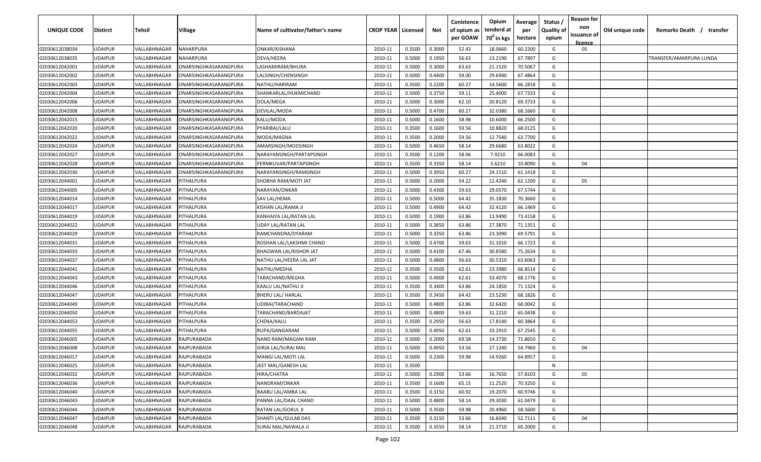| UNIQUE CODE    | <b>Distirct</b> | <b>Tehsil</b> | Village               | Name of cultivator/father's name | <b>CROP YEAR   Licensed</b> |        | Net    | Conistence<br>of opium as<br>per GOAW | Opium<br>tenderd at<br>70 <sup>0</sup> in kgs | Average<br>per<br>hectare | Status /<br><b>Quality of</b><br>opium | <b>Reason for</b><br>non<br>issuance of<br>licence | Old unique code | Remarks Death /<br>transfer |
|----------------|-----------------|---------------|-----------------------|----------------------------------|-----------------------------|--------|--------|---------------------------------------|-----------------------------------------------|---------------------------|----------------------------------------|----------------------------------------------------|-----------------|-----------------------------|
| 02030612038034 | <b>UDAIPUR</b>  | VALLABHNAGAR  | NAHARPURA             | ONKAR/KISHANA                    | 2010-11                     | 0.3500 | 0.3000 | 52.43                                 | 18.0660                                       | 60.2200                   | G                                      | 05                                                 |                 |                             |
| 02030612038035 | <b>UDAIPUR</b>  | VALLABHNAGAR  | NAHARPURA             | DEVA/HEERA                       | 2010-11                     | 0.5000 | 0.1950 | 56.63                                 | 13.2190                                       | 67.7897                   | G                                      |                                                    |                 | TRANSFER/AMARPURA LUNDA     |
| 02030612042001 | <b>UDAIPUR</b>  | VALLABHNAGAR  | ONARSINGHKASARANGPURA | LASHAMIRAM/BHURA                 | 2010-11                     | 0.5000 | 0.3000 | 63.63                                 | 21.1520                                       | 70.5067                   | G                                      |                                                    |                 |                             |
| 02030612042002 | <b>UDAIPUR</b>  | VALLABHNAGAR  | ONARSINGHKASARANGPURA | LALSINGH/CHENSINGH               | 2010-11                     | 0.5000 | 0.4400 | 59.00                                 | 29.6940                                       | 67.4864                   | G                                      |                                                    |                 |                             |
| 02030612042003 | <b>UDAIPUR</b>  | VALLABHNAGAR  | ONARSINGHKASARANGPURA | NATHU/HARIRAM                    | 2010-11                     | 0.3500 | 0.2200 | 60.27                                 | 14.5600                                       | 66.1818                   | G                                      |                                                    |                 |                             |
| 02030612042004 | <b>UDAIPUR</b>  | VALLABHNAGAR  | ONARSINGHKASARANGPURA | SHANKARLAL/HUKMICHAND            | 2010-11                     | 0.5000 | 0.3750 | 59.11                                 | 25.4000                                       | 67.7333                   | G                                      |                                                    |                 |                             |
| 02030612042006 | <b>UDAIPUR</b>  | VALLABHNAGAR  | ONARSINGHKASARANGPURA | DOLA/MEGA                        | 2010-11                     | 0.5000 | 0.3000 | 62.10                                 | 20.8120                                       | 69.3733                   | G                                      |                                                    |                 |                             |
| 02030612042008 | <b>UDAIPUR</b>  | VALLABHNAGAR  | ONARSINGHKASARANGPURA | DEVILAL/MODA                     | 2010-11                     | 0.5000 | 0.4700 | 60.27                                 | 32.0380                                       | 68.1660                   | G                                      |                                                    |                 |                             |
| 02030612042015 | <b>UDAIPUR</b>  | VALLABHNAGAR  | ONARSINGHKASARANGPURA | KALU/MODA                        | 2010-11                     | 0.5000 | 0.1600 | 58.98                                 | 10.6000                                       | 66.2500                   | G                                      |                                                    |                 |                             |
| 02030612042020 | <b>UDAIPUR</b>  | VALLABHNAGAR  | ONARSINGHKASARANGPURA | PYARIBAI/LALU                    | 2010-11                     | 0.3500 | 0.1600 | 59.56                                 | 10.8820                                       | 68.0125                   | G                                      |                                                    |                 |                             |
| 02030612042022 | <b>UDAIPUR</b>  | VALLABHNAGAR  | ONARSINGHKASARANGPURA | MODA/MAGNA                       | 2010-11                     | 0.3500 | 0.2000 | 59.56                                 | 12.7540                                       | 63.7700                   | G                                      |                                                    |                 |                             |
| 02030612042024 | <b>UDAIPUR</b>  | VALLABHNAGAR  | ONARSINGHKASARANGPURA | AMARSINGH/MODSINGH               | 2010-11                     | 0.5000 | 0.4650 | 58.14                                 | 29.6680                                       | 63.8022                   | G                                      |                                                    |                 |                             |
| 02030612042027 | <b>UDAIPUR</b>  | VALLABHNAGAR  | ONARSINGHKASARANGPURA | NARAYANSINGH/PARTAPSINGH         | 2010-11                     | 0.3500 | 0.1200 | 58.06                                 | 7.9210                                        | 66.0083                   | G                                      |                                                    |                 |                             |
| 02030612042028 | UDAIPUR         | VALLABHNAGAR  | ONARSINGHKASARANGPURA | PERMKUVAR/PARTAPSINGH            | 2010-11                     | 0.3500 | 0.3350 | 58.14                                 | 3.6210                                        | 10.8090                   | G                                      | 04                                                 |                 |                             |
| 02030612042030 | <b>UDAIPUR</b>  | VALLABHNAGAR  | ONARSINGHKASARANGPURA | NARAYANSINGH/RAMSINGH            | 2010-11                     | 0.5000 | 0.3950 | 60.27                                 | 24.1510                                       | 61.1418                   | G                                      |                                                    |                 |                             |
| 02030612044001 | UDAIPUR         | VALLABHNAGAR  | PITHALPURA            | SHOBHA RAM/MOTI JAT              | 2010-11                     | 0.5000 | 0.2000 | 54.22                                 | 12.4240                                       | 62.1200                   | G                                      | 05                                                 |                 |                             |
| 02030612044005 | <b>UDAIPUR</b>  | VALLABHNAGAR  | <b>ITHALPURA</b>      | NARAYAN/ONKAR                    | 2010-11                     | 0.5000 | 0.4300 | 59.63                                 | 29.0570                                       | 67.5744                   | G                                      |                                                    |                 |                             |
| 02030612044014 | <b>UDAIPUR</b>  | VALLABHNAGAR  | <b>PITHALPURA</b>     | SAV LAL/HEMA                     | 2010-11                     | 0.5000 | 0.5000 | 64.42                                 | 35.1830                                       | 70.3660                   | G                                      |                                                    |                 |                             |
| 02030612044017 | <b>UDAIPUR</b>  | VALLABHNAGAR  | <b>PITHALPURA</b>     | KISHAN LAL/RAMA JI               | 2010-11                     | 0.5000 | 0.4900 | 64.42                                 | 32.4120                                       | 66.1469                   | G                                      |                                                    |                 |                             |
| 02030612044019 | <b>UDAIPUR</b>  | VALLABHNAGAR  | <b>PITHALPURA</b>     | KANHAIYA LAL/RATAN LAL           | 2010-11                     | 0.5000 | 0.1900 | 63.86                                 | 13.9490                                       | 73.4158                   | G                                      |                                                    |                 |                             |
| 02030612044022 | <b>UDAIPUR</b>  | VALLABHNAGAR  | <b>ITHALPURA</b>      | <b>UDAY LAL/RATAN LAL</b>        | 2010-11                     | 0.5000 | 0.3850 | 63.86                                 | 27.3870                                       | 71.1351                   | G                                      |                                                    |                 |                             |
| 02030612044029 | <b>UDAIPUR</b>  | VALLABHNAGAR  | <b>PITHALPURA</b>     | RAMCHANDRA/DYARAM                | 2010-11                     | 0.5000 | 0.3350 | 63.86                                 | 23.3090                                       | 69.5791                   | G                                      |                                                    |                 |                             |
| 02030612044031 | <b>UDAIPUR</b>  | VALLABHNAGAR  | <b>PITHALPURA</b>     | ROSHAN LAL/LAKSHMI CHAND         | 2010-11                     | 0.5000 | 0.4700 | 59.63                                 | 31.1010                                       | 66.1723                   | G                                      |                                                    |                 |                             |
| 02030612044033 | <b>UDAIPUR</b>  | VALLABHNAGAR  | <b>ITHALPURA</b>      | BHAGWAN LAL/KISHOR JAT           | 2010-11                     | 0.5000 | 0.4100 | 67.46                                 | 30.8580                                       | 75.2634                   | G                                      |                                                    |                 |                             |
| 02030612044037 | <b>UDAIPUR</b>  | VALLABHNAGAR  | <b>ITHALPURA</b>      | NATHU LAL/HEERA LAL JAT          | 2010-11                     | 0.5000 | 0.4800 | 56.63                                 | 30.5310                                       | 63.6063                   | G                                      |                                                    |                 |                             |
| 02030612044041 | <b>UDAIPUR</b>  | VALLABHNAGAR  | <b>ITHALPURA</b>      | NATHU/MEDHA                      | 2010-11                     | 0.3500 | 0.3500 | 62.61                                 | 23.3980                                       | 66.8514                   | G                                      |                                                    |                 |                             |
| 02030612044043 | <b>UDAIPUR</b>  | VALLABHNAGAR  | <b>ITHALPURA</b>      | TARACHAND/MEGHA                  | 2010-11                     | 0.5000 | 0.4900 | 62.61                                 | 33.4070                                       | 68.1776                   | G                                      |                                                    |                 |                             |
| 02030612044046 | <b>UDAIPUR</b>  | VALLABHNAGAR  | <b>ITHALPURA</b>      | KAALU LAL/NATHU JI               | 2010-11                     | 0.3500 | 0.3400 | 63.86                                 | 24.1850                                       | 71.1324                   | G                                      |                                                    |                 |                             |
| 02030612044047 | UDAIPUR         | VALLABHNAGAR  | <b>ITHALPURA</b>      | BHERU LAL/ HARLAL                | 2010-11                     | 0.3500 | 0.3450 | 64.42                                 | 23.5230                                       | 68.1826                   | G                                      |                                                    |                 |                             |
| 02030612044049 | <b>UDAIPUR</b>  | VALLABHNAGAR  | <b>PITHALPURA</b>     | UDIBAI/TARACHAND                 | 2010-11                     | 0.5000 | 0.4800 | 63.86                                 | 32.6420                                       | 68.0042                   | G                                      |                                                    |                 |                             |
| 02030612044050 | <b>UDAIPUR</b>  | VALLABHNAGAR  | PITHALPURA            | TARACHAND/BARDAJAT               | 2010-11                     | 0.5000 | 0.4800 | 59.63                                 | 31.2210                                       | 65.0438                   | G                                      |                                                    |                 |                             |
| 02030612044053 | <b>UDAIPUR</b>  | VALLABHNAGAR  | <b>PITHALPURA</b>     | CHENA/KALU                       | 2010-11                     | 0.3500 | 0.2950 | 56.63                                 | 17.8140                                       | 60.3864                   | G                                      |                                                    |                 |                             |
| 02030612044055 | <b>UDAIPUR</b>  | VALLABHNAGAR  | <b>ITHALPURA</b>      | RUPA/GANGARAM                    | 2010-11                     | 0.5000 | 0.4950 | 62.61                                 | 33.2910                                       | 67.2545                   | G                                      |                                                    |                 |                             |
| 02030612046005 | <b>UDAIPUR</b>  | VALLABHNAGAR  | RAJPURABADA           | NAND RAM/MAGANI RAM              | 2010-11                     | 0.5000 | 0.2000 | 69.58                                 | 14.3730                                       | 71.8650                   | G                                      |                                                    |                 |                             |
| 02030612046008 | <b>UDAIPUR</b>  | VALLABHNAGAR  | RAJPURABADA           | <b>GIRJA LAL/SURAJ MAL</b>       | 2010-11                     | 0.5000 | 0.4950 | 53.56                                 | 27.1240                                       | 54.7960                   | G                                      | 04                                                 |                 |                             |
| 02030612046017 | <b>UDAIPUR</b>  | VALLABHNAGAR  | RAJPURABADA           | MANGI LAL/MOTI LAL               | 2010-11                     | 0.5000 | 0.2300 | 59.98                                 | 14.9260                                       | 64.8957                   | G                                      |                                                    |                 |                             |
| 02030612046025 | <b>UDAIPUR</b>  | VALLABHNAGAR  | RAJPURABADA           | JEET MAL/GANESH LAL              | 2010-11                     | 0.3500 |        |                                       |                                               |                           | N                                      |                                                    |                 |                             |
| 02030612046032 | <b>UDAIPUR</b>  | VALLABHNAGAR  | RAJPURABADA           | HIRA/CHATRA                      | 2010-11                     | 0.5000 | 0.2900 | 53.66                                 | 16.7650                                       | 57.8103                   | G                                      | 05                                                 |                 |                             |
| 02030612046036 | <b>UDAIPUR</b>  | VALLABHNAGAR  | RAJPURABADA           | NANDRAM/ONKAR                    | 2010-11                     | 0.3500 | 0.1600 | 65.15                                 | 11.2520                                       | 70.3250                   | G                                      |                                                    |                 |                             |
| 02030612046040 | <b>UDAIPUR</b>  | VALLABHNAGAR  | RAJPURABADA           | BAABU LAL/AMBA LAL               | 2010-11                     | 0.3500 | 0.3150 | 60.92                                 | 19.2070                                       | 60.9746                   | G                                      |                                                    |                 |                             |
| 02030612046043 | <b>UDAIPUR</b>  | VALLABHNAGAR  | RAJPURABADA           | PANNA LAL/DAAL CHAND             | 2010-11                     | 0.5000 | 0.4800 | 58.14                                 | 29.3030                                       | 61.0479                   | G                                      |                                                    |                 |                             |
| 02030612046044 | <b>UDAIPUR</b>  | VALLABHNAGAR  | RAJPURABADA           | RATAN LAL/GOKUL JI               | 2010-11                     | 0.5000 | 0.3500 | 59.98                                 | 20.4960                                       | 58.5600                   | G                                      |                                                    |                 |                             |
| 02030612046047 | <b>UDAIPUR</b>  | VALLABHNAGAR  | RAJPURABADA           | SHANTI LAL/GULAB DAS             | 2010-11                     | 0.3500 | 0.3150 | 53.66                                 | 16.6040                                       | 52.7111                   | G                                      | 04                                                 |                 |                             |
| 02030612046048 | <b>UDAIPUR</b>  | VALLABHNAGAR  | RAJPURABADA           | SURAJ MAL/NAWALA JI              | 2010-11                     | 0.3500 | 0.3550 | 58.14                                 | 21.3710                                       | 60.2000                   | G                                      |                                                    |                 |                             |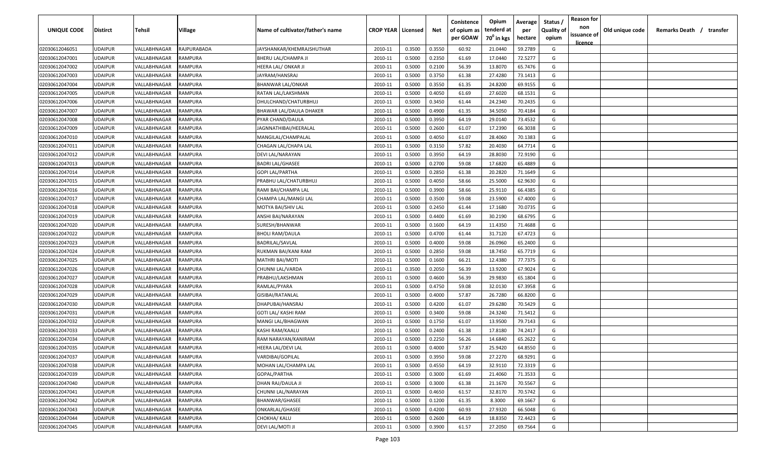| UNIQUE CODE    | <b>Distirct</b> | Tehsil       | Village        | Name of cultivator/father's name | <b>CROP YEAR   Licensed</b> |        | Net    | Conistence<br>of opium as | Opium<br>tenderd at    | Average<br>per | Status<br><b>Quality of</b> | <b>Reason for</b><br>non<br>issuance of | Old unique code | Remarks Death / transfer |
|----------------|-----------------|--------------|----------------|----------------------------------|-----------------------------|--------|--------|---------------------------|------------------------|----------------|-----------------------------|-----------------------------------------|-----------------|--------------------------|
|                |                 |              |                |                                  |                             |        |        | per GOAW                  | 70 <sup>0</sup> in kgs | hectare        | opium                       | <u>licence</u>                          |                 |                          |
| 02030612046051 | <b>UDAIPUR</b>  | VALLABHNAGAR | RAJPURABADA    | JAYSHANKAR/KHEMRAJSHUTHAR        | 2010-11                     | 0.3500 | 0.3550 | 60.92                     | 21.0440                | 59.2789        | G                           |                                         |                 |                          |
| 02030612047001 | <b>UDAIPUR</b>  | VALLABHNAGAR | RAMPURA        | BHERU LAL/CHAMPA JI              | 2010-11                     | 0.5000 | 0.2350 | 61.69                     | 17.0440                | 72.5277        | G                           |                                         |                 |                          |
| 02030612047002 | <b>UDAIPUR</b>  | VALLABHNAGAR | RAMPURA        | HEERA LAL/ ONKAR JI              | 2010-11                     | 0.5000 | 0.2100 | 56.39                     | 13.8070                | 65.7476        | G                           |                                         |                 |                          |
| 02030612047003 | <b>UDAIPUR</b>  | VALLABHNAGAR | RAMPURA        | JAYRAM/HANSRAJ                   | 2010-11                     | 0.5000 | 0.3750 | 61.38                     | 27.4280                | 73.1413        | G                           |                                         |                 |                          |
| 02030612047004 | <b>UDAIPUR</b>  | VALLABHNAGAR | RAMPURA        | <b>BHANWAR LAL/ONKAR</b>         | 2010-11                     | 0.5000 | 0.3550 | 61.35                     | 24.8200                | 69.9155        | G                           |                                         |                 |                          |
| 02030612047005 | <b>UDAIPUR</b>  | VALLABHNAGAR | RAMPURA        | RATAN LAL/LAKSHMAN               | 2010-11                     | 0.5000 | 0.4050 | 61.69                     | 27.6020                | 68.1531        | G                           |                                         |                 |                          |
| 02030612047006 | <b>UDAIPUR</b>  | VALLABHNAGAR | RAMPURA        | DHULCHAND/CHATURBHUJ             | 2010-11                     | 0.5000 | 0.3450 | 61.44                     | 24.2340                | 70.2435        | G                           |                                         |                 |                          |
| 02030612047007 | <b>UDAIPUR</b>  | VALLABHNAGAR | RAMPURA        | BHAWAR LAL/DAULA DHAKER          | 2010-11                     | 0.5000 | 0.4900 | 61.35                     | 34.5050                | 70.4184        | G                           |                                         |                 |                          |
| 02030612047008 | <b>UDAIPUR</b>  | VALLABHNAGAR | RAMPURA        | PYAR CHAND/DAULA                 | 2010-11                     | 0.5000 | 0.3950 | 64.19                     | 29.0140                | 73.4532        | G                           |                                         |                 |                          |
| 02030612047009 | <b>UDAIPUR</b>  | VALLABHNAGAR | RAMPURA        | IAGNNATHIBAI/HEERALAL            | 2010-11                     | 0.5000 | 0.2600 | 61.07                     | 17.2390                | 66.3038        | G                           |                                         |                 |                          |
| 02030612047010 | <b>UDAIPUR</b>  | VALLABHNAGAR | RAMPURA        | MANGILAL/CHAMPALAL               | 2010-11                     | 0.5000 | 0.4050 | 61.07                     | 28.4060                | 70.1383        | G                           |                                         |                 |                          |
| 02030612047011 | <b>UDAIPUR</b>  | VALLABHNAGAR | RAMPURA        | CHAGAN LAL/CHAPA LAL             | 2010-11                     | 0.5000 | 0.3150 | 57.82                     | 20.4030                | 64.7714        | G                           |                                         |                 |                          |
| 02030612047012 | <b>UDAIPUR</b>  | VALLABHNAGAR | RAMPURA        | DEVI LAL/NARAYAN                 | 2010-11                     | 0.5000 | 0.3950 | 64.19                     | 28.8030                | 72.9190        | G                           |                                         |                 |                          |
| 02030612047013 | <b>UDAIPUR</b>  | VALLABHNAGAR | RAMPURA        | BADRI LAL/GHASEE                 | 2010-11                     | 0.5000 | 0.2700 | 59.08                     | 17.6820                | 65.4889        | G                           |                                         |                 |                          |
| 02030612047014 | <b>UDAIPUR</b>  | VALLABHNAGAR | <b>RAMPURA</b> | <b>GOPI LAL/PARTHA</b>           | 2010-11                     | 0.5000 | 0.2850 | 61.38                     | 20.2820                | 71.1649        | G                           |                                         |                 |                          |
| 02030612047015 | <b>UDAIPUR</b>  | VALLABHNAGAR | RAMPURA        | PRABHU LAL/CHATURBHUJ            | 2010-11                     | 0.5000 | 0.4050 | 58.66                     | 25.5000                | 62.9630        | G                           |                                         |                 |                          |
| 02030612047016 | <b>UDAIPUR</b>  | VALLABHNAGAR | <b>RAMPURA</b> | RAMI BAI/CHAMPA LAL              | 2010-11                     | 0.5000 | 0.3900 | 58.66                     | 25.9110                | 66.4385        | G                           |                                         |                 |                          |
| 02030612047017 | <b>UDAIPUR</b>  | VALLABHNAGAR | RAMPURA        | CHAMPA LAL/MANGI LAL             | 2010-11                     | 0.5000 | 0.3500 | 59.08                     | 23.5900                | 67.4000        | G                           |                                         |                 |                          |
| 02030612047018 | <b>UDAIPUR</b>  | VALLABHNAGAR | RAMPURA        | MOTYA BAI/SHIV LAL               | 2010-11                     | 0.5000 | 0.2450 | 61.44                     | 17.1680                | 70.0735        | G                           |                                         |                 |                          |
| 02030612047019 | <b>UDAIPUR</b>  | VALLABHNAGAR | RAMPURA        | ANSHI BAI/NARAYAN                | 2010-11                     | 0.5000 | 0.4400 | 61.69                     | 30.2190                | 68.6795        | G                           |                                         |                 |                          |
| 02030612047020 | <b>UDAIPUR</b>  | VALLABHNAGAR | RAMPURA        | SURESH/BHANWAR                   | 2010-11                     | 0.5000 | 0.1600 | 64.19                     | 11.4350                | 71.4688        | G                           |                                         |                 |                          |
| 02030612047022 | <b>UDAIPUR</b>  | VALLABHNAGAR | RAMPURA        | <b>BHOLI RAM/DAULA</b>           | 2010-11                     | 0.5000 | 0.4700 | 61.44                     | 31.7120                | 67.4723        | G                           |                                         |                 |                          |
| 02030612047023 | <b>UDAIPUR</b>  | VALLABHNAGAR | RAMPURA        | BADRILAL/SAVLAL                  | 2010-11                     | 0.5000 | 0.4000 | 59.08                     | 26.0960                | 65.2400        | G                           |                                         |                 |                          |
| 02030612047024 | <b>UDAIPUR</b>  | VALLABHNAGAR | RAMPURA        | RUKMAN BAI/KANI RAM              | 2010-11                     | 0.5000 | 0.2850 | 59.08                     | 18.7450                | 65.7719        | G                           |                                         |                 |                          |
| 02030612047025 | <b>UDAIPUR</b>  | VALLABHNAGAR | RAMPURA        | MATHRI BAI/MOTI                  | 2010-11                     | 0.5000 | 0.1600 | 66.21                     | 12.4380                | 77.7375        | G                           |                                         |                 |                          |
| 02030612047026 | <b>UDAIPUR</b>  | VALLABHNAGAR | RAMPURA        | CHUNNI LAL/VARDA                 | 2010-11                     | 0.3500 | 0.2050 | 56.39                     | 13.9200                | 67.9024        | G                           |                                         |                 |                          |
| 02030612047027 | <b>UDAIPUR</b>  | VALLABHNAGAR | RAMPURA        | PRABHU/LAKSHMAN                  | 2010-11                     | 0.5000 | 0.4600 | 56.39                     | 29.9830                | 65.1804        | G                           |                                         |                 |                          |
| 02030612047028 | <b>UDAIPUR</b>  | VALLABHNAGAR | RAMPURA        | RAMLAL/PYARA                     | 2010-11                     | 0.5000 | 0.4750 | 59.08                     | 32.0130                | 67.3958        | G                           |                                         |                 |                          |
| 02030612047029 | <b>UDAIPUR</b>  | VALLABHNAGAR | RAMPURA        | GISIBAI/RATANLAL                 | 2010-11                     | 0.5000 | 0.4000 | 57.87                     | 26.7280                | 66.8200        | G                           |                                         |                 |                          |
| 02030612047030 | <b>UDAIPUR</b>  | VALLABHNAGAR | RAMPURA        | DHAPUBAI/HANSRAJ                 | 2010-11                     | 0.5000 | 0.4200 | 61.07                     | 29.6280                | 70.5429        | G                           |                                         |                 |                          |
| 02030612047031 | <b>UDAIPUR</b>  | VALLABHNAGAR | RAMPURA        | GOTI LAL/ KASHI RAM              | 2010-11                     | 0.5000 | 0.3400 | 59.08                     | 24.3240                | 71.5412        | G                           |                                         |                 |                          |
| 02030612047032 | <b>UDAIPUR</b>  | VALLABHNAGAR | RAMPURA        | MANGI LAL/BHAGWAN                | 2010-11                     | 0.5000 | 0.1750 | 61.07                     | 13.9500                | 79.7143        | G                           |                                         |                 |                          |
| 02030612047033 | <b>UDAIPUR</b>  | VALLABHNAGAR | RAMPURA        | KASHI RAM/KAALU                  | 2010-11                     | 0.5000 | 0.2400 | 61.38                     | 17.8180                | 74.2417        | G                           |                                         |                 |                          |
| 02030612047034 | <b>UDAIPUR</b>  | VALLABHNAGAR | RAMPURA        | RAM NARAYAN/KANIRAM              | 2010-11                     | 0.5000 | 0.2250 | 56.26                     | 14.6840                | 65.2622        | G                           |                                         |                 |                          |
| 02030612047035 | <b>UDAIPUR</b>  | VALLABHNAGAR | RAMPURA        | HEERA LAL/DEVI LAL               | 2010-11                     | 0.5000 | 0.4000 | 57.87                     | 25.9420                | 64.8550        | G                           |                                         |                 |                          |
| 02030612047037 | <b>UDAIPUR</b>  | VALLABHNAGAR | RAMPURA        | VARDIBAI/GOPILAL                 | 2010-11                     | 0.5000 | 0.3950 | 59.08                     | 27.2270                | 68.9291        | G                           |                                         |                 |                          |
| 02030612047038 | <b>UDAIPUR</b>  | VALLABHNAGAR | RAMPURA        | MOHAN LAL/CHAMPA LAL             | 2010-11                     | 0.5000 | 0.4550 | 64.19                     | 32.9110                | 72.3319        | G                           |                                         |                 |                          |
| 02030612047039 | <b>UDAIPUR</b>  | VALLABHNAGAR | RAMPURA        | GOPAL/PARTHA                     | 2010-11                     | 0.5000 | 0.3000 | 61.69                     | 21.4060                | 71.3533        | G                           |                                         |                 |                          |
| 02030612047040 | <b>UDAIPUR</b>  | VALLABHNAGAR | RAMPURA        | DHAN RAJ/DAULA JI                | 2010-11                     | 0.5000 | 0.3000 | 61.38                     | 21.1670                | 70.5567        | G                           |                                         |                 |                          |
| 02030612047041 | <b>UDAIPUR</b>  | VALLABHNAGAR | RAMPURA        | CHUNNI LAL/NARAYAN               | 2010-11                     | 0.5000 | 0.4650 | 61.57                     | 32.8170                | 70.5742        | G                           |                                         |                 |                          |
| 02030612047042 | <b>UDAIPUR</b>  | VALLABHNAGAR | RAMPURA        | BHANWAR/GHASEE                   | 2010-11                     | 0.5000 | 0.1200 | 61.35                     | 8.3000                 | 69.1667        | G                           |                                         |                 |                          |
| 02030612047043 | <b>UDAIPUR</b>  | VALLABHNAGAR | RAMPURA        | ONKARLAL/GHASEE                  | 2010-11                     | 0.5000 | 0.4200 | 60.93                     | 27.9320                | 66.5048        | G                           |                                         |                 |                          |
| 02030612047044 | <b>UDAIPUR</b>  | VALLABHNAGAR | RAMPURA        | CHOKHA/ KALU                     | 2010-11                     | 0.5000 | 0.2600 | 64.19                     | 18.8350                | 72.4423        | G                           |                                         |                 |                          |
| 02030612047045 | <b>UDAIPUR</b>  | VALLABHNAGAR | RAMPURA        | DEVI LAL/MOTI JI                 | 2010-11                     | 0.5000 | 0.3900 | 61.57                     | 27.2050                | 69.7564        | G                           |                                         |                 |                          |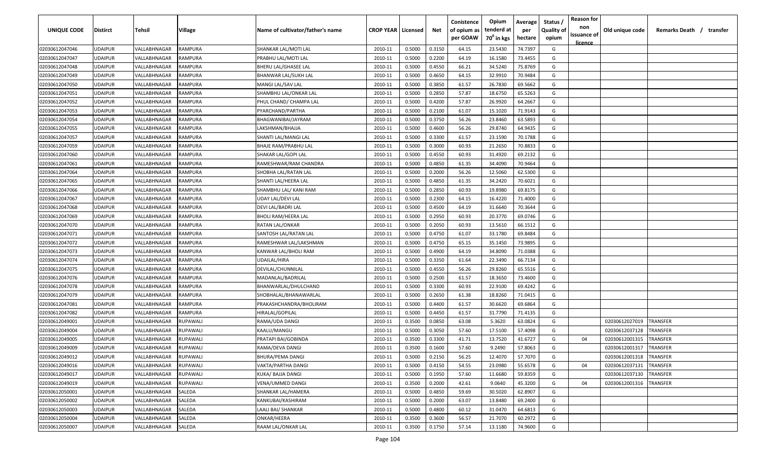| UNIQUE CODE    | <b>Distirct</b> | <b>Tehsil</b> | Village         | Name of cultivator/father's name | <b>CROP YEAR   Licensed</b> |        | Net    | Conistence<br>of opium as<br>per GOAW | Opium<br>tenderd at<br>70 <sup>0</sup> in kgs | Average<br>per<br>hectare | Status /<br><b>Quality of</b><br>opium | <b>Reason for</b><br>non<br>issuance of<br>licence | Old unique code | Remarks Death /        | transfer |
|----------------|-----------------|---------------|-----------------|----------------------------------|-----------------------------|--------|--------|---------------------------------------|-----------------------------------------------|---------------------------|----------------------------------------|----------------------------------------------------|-----------------|------------------------|----------|
| 02030612047046 | <b>UDAIPUR</b>  | VALLABHNAGAR  | <b>RAMPURA</b>  | SHANKAR LAL/MOTI LAL             | 2010-11                     | 0.5000 | 0.3150 | 64.15                                 | 23.5430                                       | 74.7397                   | G                                      |                                                    |                 |                        |          |
| 02030612047047 | <b>UDAIPUR</b>  | VALLABHNAGAR  | RAMPURA         | PRABHU LAL/MOTI LAL              | 2010-11                     | 0.5000 | 0.2200 | 64.19                                 | 16.1580                                       | 73.4455                   | G                                      |                                                    |                 |                        |          |
| 02030612047048 | <b>UDAIPUR</b>  | VALLABHNAGAR  | RAMPURA         | BHERU LAL/GHASEE LAL             | 2010-11                     | 0.5000 | 0.4550 | 66.21                                 | 34.5240                                       | 75.8769                   | G                                      |                                                    |                 |                        |          |
| 02030612047049 | <b>UDAIPUR</b>  | VALLABHNAGAR  | RAMPURA         | BHANWAR LAL/SUKH LAL             | 2010-11                     | 0.5000 | 0.4650 | 64.15                                 | 32.9910                                       | 70.9484                   | G                                      |                                                    |                 |                        |          |
| 02030612047050 | <b>UDAIPUR</b>  | VALLABHNAGAR  | RAMPURA         | MANGI LAL/SAV LAL                | 2010-11                     | 0.5000 | 0.3850 | 61.57                                 | 26.7830                                       | 69.5662                   | G                                      |                                                    |                 |                        |          |
| 02030612047051 | <b>UDAIPUR</b>  | VALLABHNAGAR  | RAMPURA         | SHAMBHU LAL/ONKAR LAL            | 2010-11                     | 0.5000 | 0.2850 | 57.87                                 | 18.6750                                       | 65.5263                   | G                                      |                                                    |                 |                        |          |
| 02030612047052 | <b>UDAIPUR</b>  | VALLABHNAGAR  | RAMPURA         | PHUL CHAND/ CHAMPA LAL           | 2010-11                     | 0.5000 | 0.4200 | 57.87                                 | 26.9920                                       | 64.2667                   | G                                      |                                                    |                 |                        |          |
| 02030612047053 | <b>UDAIPUR</b>  | VALLABHNAGAR  | RAMPURA         | PYARCHAND/PARTHA                 | 2010-11                     | 0.5000 | 0.2100 | 61.07                                 | 15.1020                                       | 71.9143                   | G                                      |                                                    |                 |                        |          |
| 02030612047054 | <b>UDAIPUR</b>  | VALLABHNAGAR  | RAMPURA         | BHAGWANIBAI/JAYRAM               | 2010-11                     | 0.5000 | 0.3750 | 56.26                                 | 23.8460                                       | 63.5893                   | G                                      |                                                    |                 |                        |          |
| 02030612047055 | <b>UDAIPUR</b>  | VALLABHNAGAR  | RAMPURA         | LAKSHMAN/BHAJJA                  | 2010-11                     | 0.5000 | 0.4600 | 56.26                                 | 29.8740                                       | 64.9435                   | G                                      |                                                    |                 |                        |          |
| 02030612047057 | <b>UDAIPUR</b>  | VALLABHNAGAR  | RAMPURA         | SHANTI LAL/MANGI LAL             | 2010-11                     | 0.5000 | 0.3300 | 61.57                                 | 23.1590                                       | 70.1788                   | G                                      |                                                    |                 |                        |          |
| 02030612047059 | <b>UDAIPUR</b>  | VALLABHNAGAR  | RAMPURA         | BHAJE RAM/PRABHU LAL             | 2010-11                     | 0.5000 | 0.3000 | 60.93                                 | 21.2650                                       | 70.8833                   | G                                      |                                                    |                 |                        |          |
| 02030612047060 | <b>UDAIPUR</b>  | VALLABHNAGAR  | RAMPURA         | SHAKAR LAL/GOPI LAL              | 2010-11                     | 0.5000 | 0.4550 | 60.93                                 | 31.4920                                       | 69.2132                   | G                                      |                                                    |                 |                        |          |
| 02030612047061 | UDAIPUR         | VALLABHNAGAR  | RAMPURA         | RAMESHWAR/RAM CHANDRA            | 2010-11                     | 0.5000 | 0.4850 | 61.35                                 | 34.4090                                       | 70.9464                   | G                                      |                                                    |                 |                        |          |
| 02030612047064 | <b>UDAIPUR</b>  | VALLABHNAGAR  | RAMPURA         | SHOBHA LAL/RATAN LAL             | 2010-11                     | 0.5000 | 0.2000 | 56.26                                 | 12.5060                                       | 62.5300                   | G                                      |                                                    |                 |                        |          |
| 02030612047065 | <b>UDAIPUR</b>  | VALLABHNAGAR  | RAMPURA         | SHANTI LAL/HEERA LAL             | 2010-11                     | 0.5000 | 0.4850 | 61.35                                 | 34.2420                                       | 70.6021                   | G                                      |                                                    |                 |                        |          |
| 02030612047066 | <b>UDAIPUR</b>  | VALLABHNAGAR  | <b>RAMPURA</b>  | SHAMBHU LAL/ KANI RAM            | 2010-11                     | 0.5000 | 0.2850 | 60.93                                 | 19.8980                                       | 69.8175                   | G                                      |                                                    |                 |                        |          |
| 02030612047067 | <b>UDAIPUR</b>  | VALLABHNAGAR  | <b>RAMPURA</b>  | UDAY LAL/DEVI LAL                | 2010-11                     | 0.5000 | 0.2300 | 64.15                                 | 16.4220                                       | 71.4000                   | G                                      |                                                    |                 |                        |          |
| 02030612047068 | <b>UDAIPUR</b>  | VALLABHNAGAR  | <b>RAMPURA</b>  | DEVI LAL/BADRI LAL               | 2010-11                     | 0.5000 | 0.4500 | 64.19                                 | 31.6640                                       | 70.3644                   | G                                      |                                                    |                 |                        |          |
| 02030612047069 | <b>UDAIPUR</b>  | VALLABHNAGAR  | RAMPURA         | BHOLI RAM/HEERA LAL              | 2010-11                     | 0.5000 | 0.2950 | 60.93                                 | 20.3770                                       | 69.0746                   | G                                      |                                                    |                 |                        |          |
| 02030612047070 | <b>UDAIPUR</b>  | VALLABHNAGAR  | RAMPURA         | RATAN LAL/ONKAR                  | 2010-11                     | 0.5000 | 0.2050 | 60.93                                 | 13.5610                                       | 66.1512                   | G                                      |                                                    |                 |                        |          |
| 02030612047071 | <b>UDAIPUR</b>  | VALLABHNAGAR  | RAMPURA         | SANTOSH LAL/RATAN LAL            | 2010-11                     | 0.5000 | 0.4750 | 61.07                                 | 33.1780                                       | 69.8484                   | G                                      |                                                    |                 |                        |          |
| 02030612047072 | <b>UDAIPUR</b>  | VALLABHNAGAR  | RAMPURA         | RAMESHWAR LAL/LAKSHMAN           | 2010-11                     | 0.5000 | 0.4750 | 65.15                                 | 35.1450                                       | 73.9895                   | G                                      |                                                    |                 |                        |          |
| 02030612047073 | <b>UDAIPUR</b>  | VALLABHNAGAR  | RAMPURA         | KANWAR LAL/BHOLI RAM             | 2010-11                     | 0.5000 | 0.4900 | 64.19                                 | 34.8090                                       | 71.0388                   | G                                      |                                                    |                 |                        |          |
| 02030612047074 | <b>UDAIPUR</b>  | VALLABHNAGAR  | RAMPURA         | UDAILAL/HIRA                     | 2010-11                     | 0.5000 | 0.3350 | 61.64                                 | 22.3490                                       | 66.7134                   | G                                      |                                                    |                 |                        |          |
| 02030612047075 | <b>UDAIPUR</b>  | VALLABHNAGAR  | RAMPURA         | DEVILAL/CHUNNILAL                | 2010-11                     | 0.5000 | 0.4550 | 56.26                                 | 29.8260                                       | 65.5516                   | G                                      |                                                    |                 |                        |          |
| 02030612047076 | <b>UDAIPUR</b>  | VALLABHNAGAR  | RAMPURA         | MADANLAL/BADRILAL                | 2010-11                     | 0.5000 | 0.2500 | 61.57                                 | 18.3650                                       | 73.4600                   | G                                      |                                                    |                 |                        |          |
| 02030612047078 | <b>UDAIPUR</b>  | VALLABHNAGAR  | RAMPURA         | BHANWARLAL/DHULCHAND             | 2010-11                     | 0.5000 | 0.3300 | 60.93                                 | 22.9100                                       | 69.4242                   | G                                      |                                                    |                 |                        |          |
| 02030612047079 | <b>UDAIPUR</b>  | VALLABHNAGAR  | RAMPURA         | SHOBHALAL/BHANAWARLAL            | 2010-11                     | 0.5000 | 0.2650 | 61.38                                 | 18.8260                                       | 71.0415                   | G                                      |                                                    |                 |                        |          |
| 02030612047081 | <b>UDAIPUR</b>  | VALLABHNAGAR  | RAMPURA         | PRAKASHCHANDRA/BHOLIRAM          | 2010-11                     | 0.5000 | 0.4400 | 61.57                                 | 30.6620                                       | 69.6864                   | G                                      |                                                    |                 |                        |          |
| 02030612047082 | <b>UDAIPUR</b>  | VALLABHNAGAR  | RAMPURA         | HIRALAL/GOPILAL                  | 2010-11                     | 0.5000 | 0.4450 | 61.57                                 | 31.7790                                       | 71.4135                   | G                                      |                                                    |                 |                        |          |
| 02030612049001 | <b>UDAIPUR</b>  | VALLABHNAGAR  | RUPAWALI        | RAMA/UDA DANGI                   | 2010-11                     | 0.3500 | 0.0850 | 63.08                                 | 5.3620                                        | 63.0824                   | G                                      |                                                    | 02030612027019  | TRANSFER               |          |
| 02030612049004 | <b>UDAIPUR</b>  | VALLABHNAGAR  | <b>RUPAWALI</b> | KAALU/MANGU                      | 2010-11                     | 0.5000 | 0.3050 | 57.60                                 | 17.5100                                       | 57.4098                   | G                                      |                                                    | 02030612037128  | <b>RANSFER</b>         |          |
| 02030612049005 | <b>UDAIPUR</b>  | VALLABHNAGAR  | <b>UPAWALI</b>  | PRATAPI BAI/GOBINDA              | 2010-11                     | 0.3500 | 0.3300 | 41.71                                 | 13.7520                                       | 41.6727                   | G                                      | 04                                                 | 02030612001315  | <b><i>FRANSFER</i></b> |          |
| 02030612049009 | <b>UDAIPUR</b>  | VALLABHNAGAR  | <b>RUPAWALI</b> | RAMA/DEVA DANGI                  | 2010-11                     | 0.3500 | 0.1600 | 57.60                                 | 9.2490                                        | 57.8063                   | G                                      |                                                    | 02030612001317  | TRANSFER               |          |
| 02030612049012 | <b>UDAIPUR</b>  | VALLABHNAGAR  | RUPAWALI        | <b>BHURA/PEMA DANGI</b>          | 2010-11                     | 0.5000 | 0.2150 | 56.25                                 | 12.4070                                       | 57.7070                   | G                                      |                                                    | 02030612001318  | TRANSFER               |          |
| 02030612049016 | <b>UDAIPUR</b>  | VALLABHNAGAR  | RUPAWALI        | VAKTA/PARTHA DANGI               | 2010-11                     | 0.5000 | 0.4150 | 54.55                                 | 23.0980                                       | 55.6578                   | G                                      | 04                                                 | 02030612037131  | TRANSFER               |          |
| 02030612049017 | <b>UDAIPUR</b>  | VALLABHNAGAR  | RUPAWALI        | KUKA/ BAJJA DANGI                | 2010-11                     | 0.5000 | 0.1950 | 57.60                                 | 11.6680                                       | 59.8359                   | G                                      |                                                    | 02030612037130  | TRANSFER               |          |
| 02030612049019 | <b>UDAIPUR</b>  | VALLABHNAGAR  | RUPAWALI        | VENA/UMMED DANGI                 | 2010-11                     | 0.3500 | 0.2000 | 42.61                                 | 9.0640                                        | 45.3200                   | G                                      | 04                                                 | 02030612001316  | TRANSFER               |          |
| 02030612050001 | <b>UDAIPUR</b>  | VALLABHNAGAR  | SALEDA          | SHANKAR LAL/HAMERA               | 2010-11                     | 0.5000 | 0.4850 | 59.69                                 | 30.5020                                       | 62.8907                   | G                                      |                                                    |                 |                        |          |
| 02030612050002 | <b>UDAIPUR</b>  | VALLABHNAGAR  | SALEDA          | KANKUBAI/KASHIRAM                | 2010-11                     | 0.5000 | 0.2000 | 63.07                                 | 13.8480                                       | 69.2400                   | G                                      |                                                    |                 |                        |          |
| 02030612050003 | <b>UDAIPUR</b>  | VALLABHNAGAR  | SALEDA          | LAALI BAI/ SHANKAR               | 2010-11                     | 0.5000 | 0.4800 | 60.12                                 | 31.0470                                       | 64.6813                   | G                                      |                                                    |                 |                        |          |
| 02030612050004 | <b>UDAIPUR</b>  | VALLABHNAGAR  | SALEDA          | ONKAR/HEERA                      | 2010-11                     | 0.3500 | 0.3600 | 56.57                                 | 21.7070                                       | 60.2972                   | G                                      |                                                    |                 |                        |          |
| 02030612050007 | <b>UDAIPUR</b>  | VALLABHNAGAR  | SALEDA          | RAAM LAL/ONKAR LAL               | 2010-11                     | 0.3500 | 0.1750 | 57.14                                 | 13.1180                                       | 74.9600                   | G                                      |                                                    |                 |                        |          |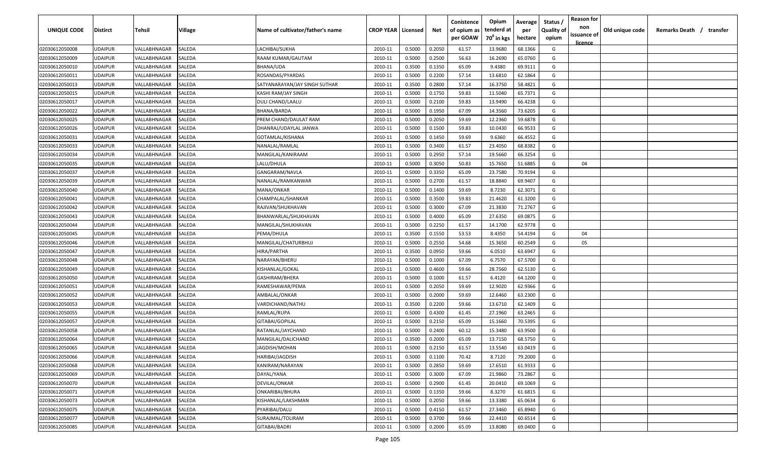| UNIQUE CODE    | <b>Distirct</b> | Tehsil       | Village | Name of cultivator/father's name | <b>CROP YEAR   Licensed</b> |        | Net    | Conistence<br>of opium as | Opium<br>tenderd at    | Average<br>per | Status<br><b>Quality of</b> | <b>Reason for</b><br>non<br>issuance of | Old unique code | Remarks Death / transfer |
|----------------|-----------------|--------------|---------|----------------------------------|-----------------------------|--------|--------|---------------------------|------------------------|----------------|-----------------------------|-----------------------------------------|-----------------|--------------------------|
|                |                 |              |         |                                  |                             |        |        | per GOAW                  | 70 <sup>°</sup> in kgs | hectare        | opium                       | <u>licence</u>                          |                 |                          |
| 02030612050008 | <b>UDAIPUR</b>  | VALLABHNAGAR | SALEDA  | LACHIBAI/SUKHA                   | 2010-11                     | 0.5000 | 0.2050 | 61.57                     | 13.9680                | 68.1366        | G                           |                                         |                 |                          |
| 02030612050009 | <b>UDAIPUR</b>  | VALLABHNAGAR | SALEDA  | RAAM KUMAR/GAUTAM                | 2010-11                     | 0.5000 | 0.2500 | 56.63                     | 16.2690                | 65.0760        | G                           |                                         |                 |                          |
| 02030612050010 | <b>UDAIPUR</b>  | VALLABHNAGAR | SALEDA  | BHANA/UDA                        | 2010-11                     | 0.3500 | 0.1350 | 65.09                     | 9.4380                 | 69.9111        | G                           |                                         |                 |                          |
| 02030612050011 | <b>UDAIPUR</b>  | VALLABHNAGAR | SALEDA  | ROSANDAS/PYARDAS                 | 2010-11                     | 0.5000 | 0.2200 | 57.14                     | 13.6810                | 62.1864        | G                           |                                         |                 |                          |
| 02030612050013 | <b>UDAIPUR</b>  | VALLABHNAGAR | SALEDA  | SATYANARAYAN/JAY SINGH SUTHAR    | 2010-11                     | 0.3500 | 0.2800 | 57.14                     | 16.3750                | 58.4821        | G                           |                                         |                 |                          |
| 02030612050015 | <b>UDAIPUR</b>  | VALLABHNAGAR | SALEDA  | KASHI RAM/JAY SINGH              | 2010-11                     | 0.5000 | 0.1750 | 59.83                     | 11.5040                | 65.7371        | G                           |                                         |                 |                          |
| 02030612050017 | <b>UDAIPUR</b>  | VALLABHNAGAR | SALEDA  | DULI CHAND/LAALU                 | 2010-11                     | 0.5000 | 0.2100 | 59.83                     | 13.9490                | 66.4238        | G                           |                                         |                 |                          |
| 02030612050022 | <b>UDAIPUR</b>  | VALLABHNAGAR | SALEDA  | BHANA/BARDA                      | 2010-11                     | 0.5000 | 0.1950 | 67.09                     | 14.3560                | 73.6205        | G                           |                                         |                 |                          |
| 02030612050025 | <b>UDAIPUR</b>  | VALLABHNAGAR | SALEDA  | PREM CHAND/DAULAT RAM            | 2010-11                     | 0.5000 | 0.2050 | 59.69                     | 12.2360                | 59.6878        | G                           |                                         |                 |                          |
| 02030612050026 | <b>UDAIPUR</b>  | VALLABHNAGAR | SALEDA  | DHANRAJ/UDAYLAL JANWA            | 2010-11                     | 0.5000 | 0.1500 | 59.83                     | 10.0430                | 66.9533        | G                           |                                         |                 |                          |
| 02030612050031 | <b>UDAIPUR</b>  | VALLABHNAGAR | SALEDA  | GOTAMLAL/KISHANA                 | 2010-11                     | 0.5000 | 0.1450 | 59.69                     | 9.6360                 | 66.4552        | G                           |                                         |                 |                          |
| 02030612050033 | <b>UDAIPUR</b>  | VALLABHNAGAR | SALEDA  | NANALAL/RAMLAL                   | 2010-11                     | 0.5000 | 0.3400 | 61.57                     | 23.4050                | 68.8382        | G                           |                                         |                 |                          |
| 02030612050034 | <b>UDAIPUR</b>  | VALLABHNAGAR | SALEDA  | MANGILAL/KANIRAAM                | 2010-11                     | 0.5000 | 0.2950 | 57.14                     | 19.5660                | 66.3254        | G                           |                                         |                 |                          |
| 02030612050035 | <b>UDAIPUR</b>  | VALLABHNAGAR | SALEDA  | LALU/DHULA                       | 2010-11                     | 0.5000 | 0.3050 | 50.83                     | 15.7650                | 51.6885        | G                           | 04                                      |                 |                          |
| 02030612050037 | <b>UDAIPUR</b>  | VALLABHNAGAR | SALEDA  | GANGARAM/NAVLA                   | 2010-11                     | 0.5000 | 0.3350 | 65.09                     | 23.7580                | 70.9194        | G                           |                                         |                 |                          |
| 02030612050039 | <b>UDAIPUR</b>  | VALLABHNAGAR | SALEDA  | NANALAL/RAMKANWAR                | 2010-11                     | 0.5000 | 0.2700 | 61.57                     | 18.8840                | 69.9407        | G                           |                                         |                 |                          |
| 02030612050040 | <b>UDAIPUR</b>  | VALLABHNAGAR | SALEDA  | MANA/ONKAR                       | 2010-11                     | 0.5000 | 0.1400 | 59.69                     | 8.7230                 | 62.3071        | G                           |                                         |                 |                          |
| 02030612050041 | <b>UDAIPUR</b>  | VALLABHNAGAR | SALEDA  | CHAMPALAL/SHANKAR                | 2010-11                     | 0.5000 | 0.3500 | 59.83                     | 21.4620                | 61.3200        | G                           |                                         |                 |                          |
| 02030612050042 | <b>UDAIPUR</b>  | VALLABHNAGAR | SALEDA  | RAJIVAN/SHUKHAVAN                | 2010-11                     | 0.5000 | 0.3000 | 67.09                     | 21.3830                | 71.2767        | G                           |                                         |                 |                          |
| 02030612050043 | <b>UDAIPUR</b>  | VALLABHNAGAR | SALEDA  | BHANWARLAL/SHUKHAVAN             | 2010-11                     | 0.5000 | 0.4000 | 65.09                     | 27.6350                | 69.0875        | G                           |                                         |                 |                          |
| 02030612050044 | <b>UDAIPUR</b>  | VALLABHNAGAR | SALEDA  | MANGILAL/SHUKHAVAN               | 2010-11                     | 0.5000 | 0.2250 | 61.57                     | 14.1700                | 62.9778        | G                           |                                         |                 |                          |
| 02030612050045 | <b>UDAIPUR</b>  | VALLABHNAGAR | SALEDA  | PEMA/DHULA                       | 2010-11                     | 0.3500 | 0.1550 | 53.53                     | 8.4350                 | 54.4194        | G                           | 04                                      |                 |                          |
| 02030612050046 | <b>UDAIPUR</b>  | VALLABHNAGAR | SALEDA  | MANGILAL/CHATURBHUJ              | 2010-11                     | 0.5000 | 0.2550 | 54.68                     | 15.3650                | 60.2549        | G                           | 05                                      |                 |                          |
| 02030612050047 | <b>UDAIPUR</b>  | VALLABHNAGAR | SALEDA  | HIRA/PARTHA                      | 2010-11                     | 0.3500 | 0.0950 | 59.66                     | 6.0510                 | 63.6947        | G                           |                                         |                 |                          |
| 02030612050048 | <b>UDAIPUR</b>  | VALLABHNAGAR | SALEDA  | NARAYAN/BHERU                    | 2010-11                     | 0.5000 | 0.1000 | 67.09                     | 6.7570                 | 67.5700        | G                           |                                         |                 |                          |
| 02030612050049 | <b>UDAIPUR</b>  | VALLABHNAGAR | SALEDA  | KISHANLAL/GOKAL                  | 2010-11                     | 0.5000 | 0.4600 | 59.66                     | 28.7560                | 62.5130        | G                           |                                         |                 |                          |
| 02030612050050 | <b>UDAIPUR</b>  | VALLABHNAGAR | SALEDA  | GASHIRAM/BHERA                   | 2010-11                     | 0.5000 | 0.1000 | 61.57                     | 6.4120                 | 64.1200        | G                           |                                         |                 |                          |
| 02030612050051 | <b>UDAIPUR</b>  | VALLABHNAGAR | SALEDA  | RAMESHAWAR/PEMA                  | 2010-11                     | 0.5000 | 0.2050 | 59.69                     | 12.9020                | 62.9366        | G                           |                                         |                 |                          |
| 02030612050052 | <b>UDAIPUR</b>  | VALLABHNAGAR | SALEDA  | AMBALAL/ONKAR                    | 2010-11                     | 0.5000 | 0.2000 | 59.69                     | 12.6460                | 63.2300        | G                           |                                         |                 |                          |
| 02030612050053 | <b>UDAIPUR</b>  | VALLABHNAGAR | SALEDA  | VARDICHAND/NATHU                 | 2010-11                     | 0.3500 | 0.2200 | 59.66                     | 13.6710                | 62.1409        | G                           |                                         |                 |                          |
| 02030612050055 | <b>UDAIPUR</b>  | VALLABHNAGAR | SALEDA  | RAMLAL/RUPA                      | 2010-11                     | 0.5000 | 0.4300 | 61.45                     | 27.1960                | 63.2465        | G                           |                                         |                 |                          |
| 02030612050057 | <b>UDAIPUR</b>  | VALLABHNAGAR | SALEDA  | GITABAI/GOPILAL                  | 2010-11                     | 0.5000 | 0.2150 | 65.09                     | 15.1660                | 70.5395        | G                           |                                         |                 |                          |
| 02030612050058 | <b>UDAIPUR</b>  | VALLABHNAGAR | SALEDA  | RATANLAL/JAYCHAND                | 2010-11                     | 0.5000 | 0.2400 | 60.12                     | 15.3480                | 63.9500        | G                           |                                         |                 |                          |
| 02030612050064 | <b>UDAIPUR</b>  | VALLABHNAGAR | SALEDA  | MANGILAL/DALICHAND               | 2010-11                     | 0.3500 | 0.2000 | 65.09                     | 13.7150                | 68.5750        | G                           |                                         |                 |                          |
| 02030612050065 | <b>UDAIPUR</b>  | VALLABHNAGAR | SALEDA  | JAGDISH/MOHAN                    | 2010-11                     | 0.5000 | 0.2150 | 61.57                     | 13.5540                | 63.0419        | G                           |                                         |                 |                          |
| 02030612050066 | <b>UDAIPUR</b>  | VALLABHNAGAR | SALEDA  | HARIBAI/JAGDISH                  | 2010-11                     | 0.5000 | 0.1100 | 70.42                     | 8.7120                 | 79.2000        | G                           |                                         |                 |                          |
| 02030612050068 | <b>UDAIPUR</b>  | VALLABHNAGAR | SALEDA  | KANIRAM/NARAYAN                  | 2010-11                     | 0.5000 | 0.2850 | 59.69                     | 17.6510                | 61.9333        | G                           |                                         |                 |                          |
| 02030612050069 | <b>UDAIPUR</b>  | VALLABHNAGAR | SALEDA  | DAYAL/YANA                       | 2010-11                     | 0.5000 | 0.3000 | 67.09                     | 21.9860                | 73.2867        | G                           |                                         |                 |                          |
| 02030612050070 | <b>UDAIPUR</b>  | VALLABHNAGAR | SALEDA  | DEVILAL/ONKAR                    | 2010-11                     | 0.5000 | 0.2900 | 61.45                     | 20.0410                | 69.1069        | G                           |                                         |                 |                          |
| 02030612050071 | <b>UDAIPUR</b>  | VALLABHNAGAR | SALEDA  | ONKARIBAI/BHURA                  | 2010-11                     | 0.5000 | 0.1350 | 59.66                     | 8.3270                 | 61.6815        | G                           |                                         |                 |                          |
| 02030612050073 | <b>UDAIPUR</b>  | VALLABHNAGAR | SALEDA  | KISHANLAL/LAKSHMAN               | 2010-11                     | 0.5000 | 0.2050 | 59.66                     | 13.3380                | 65.0634        | G                           |                                         |                 |                          |
| 02030612050075 | <b>UDAIPUR</b>  | VALLABHNAGAR | SALEDA  | PYARIBAI/DALU                    | 2010-11                     | 0.5000 | 0.4150 | 61.57                     | 27.3460                | 65.8940        | G                           |                                         |                 |                          |
| 02030612050077 | <b>UDAIPUR</b>  | VALLABHNAGAR | SALEDA  | SURAJMAL/TOLIRAM                 | 2010-11                     | 0.5000 | 0.3700 | 59.66                     | 22.4410                | 60.6514        | G                           |                                         |                 |                          |
| 02030612050085 | <b>UDAIPUR</b>  | VALLABHNAGAR | SALEDA  | GITABAI/BADRI                    | 2010-11                     | 0.5000 | 0.2000 | 65.09                     | 13.8080                | 69.0400        | G                           |                                         |                 |                          |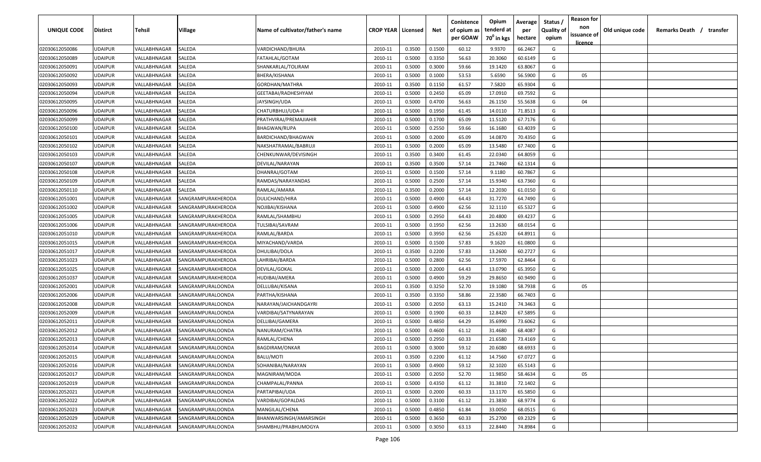| UNIQUE CODE    | <b>Distirct</b> | Tehsil       | Village                  | Name of cultivator/father's name | <b>CROP YEAR   Licensed</b> |        | Net    | Conistence<br>of opium as | Opium<br>tenderd at    | Average<br>per | Status<br><b>Quality of</b> | <b>Reason for</b><br>non<br>issuance of | Old unique code | Remarks Death / transfer |
|----------------|-----------------|--------------|--------------------------|----------------------------------|-----------------------------|--------|--------|---------------------------|------------------------|----------------|-----------------------------|-----------------------------------------|-----------------|--------------------------|
|                |                 |              |                          |                                  |                             |        |        | per GOAW                  | 70 <sup>0</sup> in kgs | hectare        | opium                       | <u>licence</u>                          |                 |                          |
| 02030612050086 | <b>UDAIPUR</b>  | VALLABHNAGAR | SALEDA                   | VARDICHAND/BHURA                 | 2010-11                     | 0.3500 | 0.1500 | 60.12                     | 9.9370                 | 66.2467        | G                           |                                         |                 |                          |
| 02030612050089 | <b>UDAIPUR</b>  | VALLABHNAGAR | SALEDA                   | FATAHLAL/GOTAM                   | 2010-11                     | 0.5000 | 0.3350 | 56.63                     | 20.3060                | 60.6149        | G                           |                                         |                 |                          |
| 02030612050091 | <b>UDAIPUR</b>  | VALLABHNAGAR | SALEDA                   | SHANKARLAL/TOLIRAM               | 2010-11                     | 0.5000 | 0.3000 | 59.66                     | 19.1420                | 63.8067        | G                           |                                         |                 |                          |
| 02030612050092 | <b>UDAIPUR</b>  | VALLABHNAGAR | SALEDA                   | BHERA/KISHANA                    | 2010-11                     | 0.5000 | 0.1000 | 53.53                     | 5.6590                 | 56.5900        | G                           | 05                                      |                 |                          |
| 02030612050093 | <b>UDAIPUR</b>  | VALLABHNAGAR | SALEDA                   | GORDHAN/MATHRA                   | 2010-11                     | 0.3500 | 0.1150 | 61.57                     | 7.5820                 | 65.9304        | G                           |                                         |                 |                          |
| 02030612050094 | <b>UDAIPUR</b>  | VALLABHNAGAR | SALEDA                   | GEETABAI/RADHESHYAM              | 2010-11                     | 0.5000 | 0.2450 | 65.09                     | 17.0910                | 69.7592        | G                           |                                         |                 |                          |
| 02030612050095 | <b>UDAIPUR</b>  | VALLABHNAGAR | SALEDA                   | JAYSINGH/UDA                     | 2010-11                     | 0.5000 | 0.4700 | 56.63                     | 26.1150                | 55.5638        | G                           | 04                                      |                 |                          |
| 02030612050096 | <b>UDAIPUR</b>  | VALLABHNAGAR | SALEDA                   | CHATURBHUJ/UDA-II                | 2010-11                     | 0.5000 | 0.1950 | 61.45                     | 14.0110                | 71.8513        | G                           |                                         |                 |                          |
| 02030612050099 | <b>UDAIPUR</b>  | VALLABHNAGAR | SALEDA                   | PRATHVIRAJ/PREMAJIAHIR           | 2010-11                     | 0.5000 | 0.1700 | 65.09                     | 11.5120                | 67.7176        | G                           |                                         |                 |                          |
| 02030612050100 | <b>UDAIPUR</b>  | VALLABHNAGAR | SALEDA                   | <b>BHAGWAN/RUPA</b>              | 2010-11                     | 0.5000 | 0.2550 | 59.66                     | 16.1680                | 63.4039        | G                           |                                         |                 |                          |
| 02030612050101 | <b>UDAIPUR</b>  | VALLABHNAGAR | SALEDA                   | BARDICHAND/BHAGWAN               | 2010-11                     | 0.5000 | 0.2000 | 65.09                     | 14.0870                | 70.4350        | G                           |                                         |                 |                          |
| 02030612050102 | <b>UDAIPUR</b>  | VALLABHNAGAR | SALEDA                   | NAKSHATRAMAL/BABRUJI             | 2010-11                     | 0.5000 | 0.2000 | 65.09                     | 13.5480                | 67.7400        | G                           |                                         |                 |                          |
| 02030612050103 | <b>UDAIPUR</b>  | VALLABHNAGAR | SALEDA                   | CHENKUNWAR/DEVISINGH             | 2010-11                     | 0.3500 | 0.3400 | 61.45                     | 22.0340                | 64.8059        | G                           |                                         |                 |                          |
| 02030612050107 | <b>UDAIPUR</b>  | VALLABHNAGAR | SALEDA                   | DEVILAL/NARAYAN                  | 2010-11                     | 0.3500 | 0.3500 | 57.14                     | 21.7460                | 62.1314        | G                           |                                         |                 |                          |
| 02030612050108 | <b>UDAIPUR</b>  | VALLABHNAGAR | SALEDA                   | DHANRAJ/GOTAM                    | 2010-11                     | 0.5000 | 0.1500 | 57.14                     | 9.1180                 | 60.7867        | G                           |                                         |                 |                          |
| 02030612050109 | <b>UDAIPUR</b>  | VALLABHNAGAR | SALEDA                   | RAMDAS/NARAYANDAS                | 2010-11                     | 0.5000 | 0.2500 | 57.14                     | 15.9340                | 63.7360        | G                           |                                         |                 |                          |
| 02030612050110 | <b>UDAIPUR</b>  | VALLABHNAGAR | SALEDA                   | RAMLAL/AMARA                     | 2010-11                     | 0.3500 | 0.2000 | 57.14                     | 12.2030                | 61.0150        | G                           |                                         |                 |                          |
| 02030612051001 | <b>UDAIPUR</b>  | VALLABHNAGAR | SANGRAMPURAKHERODA       | DULICHAND/HIRA                   | 2010-11                     | 0.5000 | 0.4900 | 64.43                     | 31.7270                | 64.7490        | G                           |                                         |                 |                          |
| 02030612051002 | <b>UDAIPUR</b>  | VALLABHNAGAR | SANGRAMPURAKHERODA       | NOJIBAI/KISHANA                  | 2010-11                     | 0.5000 | 0.4900 | 62.56                     | 32.1110                | 65.5327        | G                           |                                         |                 |                          |
| 02030612051005 | <b>UDAIPUR</b>  | VALLABHNAGAR | SANGRAMPURAKHERODA       | RAMLAL/SHAMBHU                   | 2010-11                     | 0.5000 | 0.2950 | 64.43                     | 20.4800                | 69.4237        | G                           |                                         |                 |                          |
| 02030612051006 | <b>UDAIPUR</b>  | VALLABHNAGAR | SANGRAMPURAKHERODA       | TULSIBAI/SAVRAM                  | 2010-11                     | 0.5000 | 0.1950 | 62.56                     | 13.2630                | 68.0154        | G                           |                                         |                 |                          |
| 02030612051010 | <b>UDAIPUR</b>  | VALLABHNAGAR | SANGRAMPURAKHERODA       | RAMLAL/BARDA                     | 2010-11                     | 0.5000 | 0.3950 | 62.56                     | 25.6320                | 64.8911        | G                           |                                         |                 |                          |
| 02030612051015 | <b>UDAIPUR</b>  | VALLABHNAGAR | SANGRAMPURAKHERODA       | MIYACHAND/VARDA                  | 2010-11                     | 0.5000 | 0.1500 | 57.83                     | 9.1620                 | 61.0800        | G                           |                                         |                 |                          |
| 02030612051017 | <b>UDAIPUR</b>  | VALLABHNAGAR | SANGRAMPURAKHERODA       | DHULIBAI/DOLA                    | 2010-11                     | 0.3500 | 0.2200 | 57.83                     | 13.2600                | 60.2727        | G                           |                                         |                 |                          |
| 02030612051023 | <b>UDAIPUR</b>  | VALLABHNAGAR | SANGRAMPURAKHERODA       | LAHRIBAI/BARDA                   | 2010-11                     | 0.5000 | 0.2800 | 62.56                     | 17.5970                | 62.8464        | G                           |                                         |                 |                          |
| 02030612051025 | <b>UDAIPUR</b>  | VALLABHNAGAR | SANGRAMPURAKHERODA       | DEVILAL/GOKAL                    | 2010-11                     | 0.5000 | 0.2000 | 64.43                     | 13.0790                | 65.3950        | G                           |                                         |                 |                          |
| 02030612051037 | <b>UDAIPUR</b>  | VALLABHNAGAR | SANGRAMPURAKHERODA       | HUDIBAI/AMERA                    | 2010-11                     | 0.5000 | 0.4900 | 59.29                     | 29.8650                | 60.9490        | G                           |                                         |                 |                          |
| 02030612052001 | <b>UDAIPUR</b>  | VALLABHNAGAR | SANGRAMPURALOONDA        | DELLUBAI/KISANA                  | 2010-11                     | 0.3500 | 0.3250 | 52.70                     | 19.1080                | 58.7938        | G                           | 05                                      |                 |                          |
| 02030612052006 | <b>UDAIPUR</b>  | VALLABHNAGAR | SANGRAMPURALOONDA        | PARTHA/KISHANA                   | 2010-11                     | 0.3500 | 0.3350 | 58.86                     | 22.3580                | 66.7403        | G                           |                                         |                 |                          |
| 02030612052008 | <b>UDAIPUR</b>  | VALLABHNAGAR | SANGRAMPURALOONDA        | NARAYAN/JAICHANDGAYRI            | 2010-11                     | 0.5000 | 0.2050 | 63.13                     | 15.2410                | 74.3463        | G                           |                                         |                 |                          |
| 02030612052009 | <b>UDAIPUR</b>  | VALLABHNAGAR | SANGRAMPURALOONDA        | VARDIBAI/SATYNARAYAN             | 2010-11                     | 0.5000 | 0.1900 | 60.33                     | 12.8420                | 67.5895        | G                           |                                         |                 |                          |
| 02030612052011 | <b>UDAIPUR</b>  | VALLABHNAGAR | SANGRAMPURALOONDA        | DELLIBAI/GAMERA                  | 2010-11                     | 0.5000 | 0.4850 | 64.29                     | 35.6990                | 73.6062        | G                           |                                         |                 |                          |
| 02030612052012 | <b>UDAIPUR</b>  | VALLABHNAGAR | SANGRAMPURALOONDA        | NANURAM/CHATRA                   | 2010-11                     | 0.5000 | 0.4600 | 61.12                     | 31.4680                | 68.4087        | G                           |                                         |                 |                          |
| 02030612052013 | <b>UDAIPUR</b>  | VALLABHNAGAR | SANGRAMPURALOONDA        | RAMLAL/CHENA                     | 2010-11                     | 0.5000 | 0.2950 | 60.33                     | 21.6580                | 73.4169        | G                           |                                         |                 |                          |
| 02030612052014 | <b>UDAIPUR</b>  | VALLABHNAGAR | SANGRAMPURALOONDA        | <b>BAGDIRAM/ONKAR</b>            | 2010-11                     | 0.5000 | 0.3000 | 59.12                     | 20.6080                | 68.6933        | G                           |                                         |                 |                          |
| 02030612052015 | <b>UDAIPUR</b>  | VALLABHNAGAR | SANGRAMPURALOONDA        | BALU/MOTI                        | 2010-11                     | 0.3500 | 0.2200 | 61.12                     | 14.7560                | 67.0727        | G                           |                                         |                 |                          |
| 02030612052016 | <b>UDAIPUR</b>  | VALLABHNAGAR | SANGRAMPURALOONDA        | SOHANIBAI/NARAYAN                | 2010-11                     | 0.5000 | 0.4900 | 59.12                     | 32.1020                | 65.5143        | G                           |                                         |                 |                          |
| 02030612052017 | <b>UDAIPUR</b>  | VALLABHNAGAR | SANGRAMPURALOONDA        | MAGNIRAM/MODA                    | 2010-11                     | 0.5000 | 0.2050 | 52.70                     | 11.9850                | 58.4634        | G                           | 05                                      |                 |                          |
| 02030612052019 | <b>UDAIPUR</b>  | VALLABHNAGAR | SANGRAMPURALOONDA        | CHAMPALAL/PANNA                  | 2010-11                     | 0.5000 | 0.4350 | 61.12                     | 31.3810                | 72.1402        | G                           |                                         |                 |                          |
| 02030612052021 | <b>UDAIPUR</b>  | VALLABHNAGAR | SANGRAMPURALOONDA        | PARTAPIBAI/UDA                   | 2010-11                     | 0.5000 | 0.2000 | 60.33                     | 13.1170                | 65.5850        | G                           |                                         |                 |                          |
| 02030612052022 | <b>UDAIPUR</b>  | VALLABHNAGAR | SANGRAMPURALOONDA        | VARDIBAI/GOPALDAS                | 2010-11                     | 0.5000 | 0.3100 | 61.12                     | 21.3830                | 68.9774        | G                           |                                         |                 |                          |
| 02030612052023 | <b>UDAIPUR</b>  | VALLABHNAGAR | <b>SANGRAMPURALOONDA</b> | MANGILAL/CHENA                   | 2010-11                     | 0.5000 | 0.4850 | 61.84                     | 33.0050                | 68.0515        | G                           |                                         |                 |                          |
| 02030612052029 | <b>UDAIPUR</b>  | VALLABHNAGAR | SANGRAMPURALOONDA        | BHANWARSINGH/AMARSINGH           | 2010-11                     | 0.5000 | 0.3650 | 60.33                     | 25.2700                | 69.2329        | G                           |                                         |                 |                          |
| 02030612052032 | <b>UDAIPUR</b>  | VALLABHNAGAR | <b>SANGRAMPURALOONDA</b> | SHAMBHU/PRABHUMOGYA              | 2010-11                     | 0.5000 | 0.3050 | 63.13                     | 22.8440                | 74.8984        | G                           |                                         |                 |                          |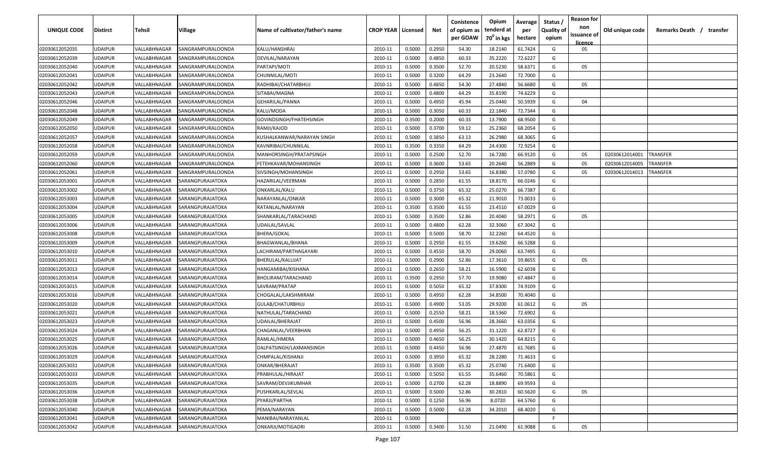| UNIQUE CODE    | Distirct       | Tehsil       | Village           | Name of cultivator/father's name | <b>CROP YEAR   Licensed</b> |        | Net    | Conistence<br>of opium as<br>per GOAW | Opium<br>tenderd at<br>70 <sup>0</sup> in kgs | Average<br>per<br>hectare | Status<br><b>Quality of</b><br>opium | <b>Reason for</b><br>non<br>issuance of | Old unique code | Remarks Death /<br>transfer |
|----------------|----------------|--------------|-------------------|----------------------------------|-----------------------------|--------|--------|---------------------------------------|-----------------------------------------------|---------------------------|--------------------------------------|-----------------------------------------|-----------------|-----------------------------|
|                |                |              |                   |                                  |                             |        |        |                                       |                                               |                           |                                      | licence                                 |                 |                             |
| 02030612052035 | UDAIPUR        | VALLABHNAGAR | SANGRAMPURALOONDA | KALU/HANSHRAJ                    | 2010-11                     | 0.5000 | 0.2950 | 54.30                                 | 18.2140                                       | 61.7424                   | G                                    | 05                                      |                 |                             |
| 02030612052039 | UDAIPUR        | VALLABHNAGAR | SANGRAMPURALOONDA | DEVILAL/NARAYAN                  | 2010-11                     | 0.5000 | 0.4850 | 60.33                                 | 35.2220                                       | 72.6227                   | G                                    |                                         |                 |                             |
| 02030612052040 | UDAIPUR        | VALLABHNAGAR | SANGRAMPURALOONDA | PARTAPI/MOTI                     | 2010-11                     | 0.5000 | 0.3500 | 52.70                                 | 20.5230                                       | 58.6371                   | G                                    | 05                                      |                 |                             |
| 02030612052041 | UDAIPUR        | VALLABHNAGAR | SANGRAMPURALOONDA | CHUNNILAL/MOTI                   | 2010-11                     | 0.5000 | 0.3200 | 64.29                                 | 23.2640                                       | 72.7000                   | G                                    |                                         |                 |                             |
| 02030612052042 | UDAIPUR        | VALLABHNAGAR | SANGRAMPURALOONDA | RADHIBAI/CHATARBHUJ              | 2010-11                     | 0.5000 | 0.4850 | 54.30                                 | 27.4840                                       | 56.6680                   | G                                    | 05                                      |                 |                             |
| 02030612052043 | UDAIPUR        | VALLABHNAGAR | SANGRAMPURALOONDA | SITABAI/MAGNA                    | 2010-11                     | 0.5000 | 0.4800 | 64.29                                 | 35.8190                                       | 74.6229                   | G                                    |                                         |                 |                             |
| 02030612052046 | UDAIPUR        | VALLABHNAGAR | SANGRAMPURALOONDA | <b>GEHARILAL/PANNA</b>           | 2010-11                     | 0.5000 | 0.4950 | 45.94                                 | 25.0440                                       | 50.5939                   | G                                    | 04                                      |                 |                             |
| 02030612052048 | UDAIPUR        | VALLABHNAGAR | SANGRAMPURALOONDA | KALU/MODA                        | 2010-11                     | 0.5000 | 0.3050 | 60.33                                 | 22.1840                                       | 72.7344                   | G                                    |                                         |                 |                             |
| 02030612052049 | UDAIPUR        | VALLABHNAGAR | SANGRAMPURALOONDA | GOVINDSINGH/FHATEHSINGH          | 2010-11                     | 0.3500 | 0.2000 | 60.33                                 | 13.7900                                       | 68.9500                   | G                                    |                                         |                 |                             |
| 02030612052050 | UDAIPUR        | VALLABHNAGAR | SANGRAMPURALOONDA | RAMJI/KAJOD                      | 2010-11                     | 0.5000 | 0.3700 | 59.12                                 | 25.2360                                       | 68.2054                   | G                                    |                                         |                 |                             |
| 02030612052057 | UDAIPUR        | VALLABHNAGAR | SANGRAMPURALOONDA | KUSHALKANWAR/NARAYAN SINGH       | 2010-11                     | 0.5000 | 0.3850 | 63.13                                 | 26.2980                                       | 68.3065                   | G                                    |                                         |                 |                             |
| 02030612052058 | UDAIPUR        | VALLABHNAGAR | SANGRAMPURALOONDA | KAVNRIBAI/CHUNNILAL              | 2010-11                     | 0.3500 | 0.3350 | 64.29                                 | 24.4300                                       | 72.9254                   | G                                    |                                         |                 |                             |
| 02030612052059 | UDAIPUR        | VALLABHNAGAR | SANGRAMPURALOONDA | MANHORSINGH/PRATAPSINGH          | 2010-11                     | 0.5000 | 0.2500 | 52.70                                 | 16.7280                                       | 66.9120                   | G                                    | 05                                      | 02030612014001  | <b><i>FRANSFER</i></b>      |
| 02030612052060 | UDAIPUR        | VALLABHNAGAR | SANGRAMPURALOONDA | FETEHKAVAR/MOHANSINGH            | 2010-11                     | 0.5000 | 0.3600 | 53.65                                 | 20.2640                                       | 56.2889                   | G                                    | 05                                      | 02030612014005  | TRANSFER                    |
| 02030612052061 | UDAIPUR        | VALLABHNAGAR | SANGRAMPURALOONDA | SIVSINGH/MOHANSINGH              | 2010-11                     | 0.5000 | 0.2950 | 53.65                                 | 16.8380                                       | 57.0780                   | G                                    | 05                                      | 02030612014013  | TRANSFER                    |
| 02030612053001 | UDAIPUR        | VALLABHNAGAR | SARANGPURAJATOKA  | HAZARILAL/VEERMAN                | 2010-11                     | 0.5000 | 0.2850 | 61.55                                 | 18.8170                                       | 66.0246                   | G                                    |                                         |                 |                             |
| 02030612053002 | UDAIPUR        | VALLABHNAGAR | SARANGPURAJATOKA  | ONKARLAL/KALU                    | 2010-11                     | 0.5000 | 0.3750 | 65.32                                 | 25.0270                                       | 66.7387                   | G                                    |                                         |                 |                             |
| 02030612053003 | UDAIPUR        | VALLABHNAGAR | SARANGPURAJATOKA  | NARAYANLAL/ONKAR                 | 2010-11                     | 0.5000 | 0.3000 | 65.32                                 | 21.9010                                       | 73.0033                   | G                                    |                                         |                 |                             |
| 02030612053004 | UDAIPUR        | VALLABHNAGAR | SARANGPURAJATOKA  | RATANLAL/NARAYAN                 | 2010-11                     | 0.3500 | 0.3500 | 61.55                                 | 23.4510                                       | 67.0029                   | G                                    |                                         |                 |                             |
| 02030612053005 | UDAIPUR        | VALLABHNAGAR | SARANGPURAJATOKA  | SHANKARLAL/TARACHAND             | 2010-11                     | 0.5000 | 0.3500 | 52.86                                 | 20.4040                                       | 58.2971                   | G                                    | 05                                      |                 |                             |
| 02030612053006 | UDAIPUR        | VALLABHNAGAR | SARANGPURAJATOKA  | UDAILAL/SAVLAL                   | 2010-11                     | 0.5000 | 0.4800 | 62.28                                 | 32.3060                                       | 67.3042                   | G                                    |                                         |                 |                             |
| 02030612053008 | UDAIPUR        | VALLABHNAGAR | SARANGPURAJATOKA  | <b>BHERA/GOKAL</b>               | 2010-11                     | 0.5000 | 0.5000 | 58.70                                 | 32.2260                                       | 64.4520                   | G                                    |                                         |                 |                             |
| 02030612053009 | UDAIPUR        | VALLABHNAGAR | SARANGPURAJATOKA  | BHAGWANLAL/BHANA                 | 2010-11                     | 0.5000 | 0.2950 | 61.55                                 | 19.6260                                       | 66.5288                   | G                                    |                                         |                 |                             |
| 02030612053010 | UDAIPUR        | VALLABHNAGAR | SARANGPURAJATOKA  | LACHIRAM/PARTHAGAYARI            | 2010-11                     | 0.5000 | 0.4550 | 58.70                                 | 29.0060                                       | 63.7495                   | G                                    |                                         |                 |                             |
| 02030612053011 | UDAIPUR        | VALLABHNAGAR | SARANGPURAJATOKA  | BHERULAL/KALUJAT                 | 2010-11                     | 0.5000 | 0.2900 | 52.86                                 | 17.3610                                       | 59.8655                   | G                                    | 05                                      |                 |                             |
| 02030612053013 | UDAIPUR        | VALLABHNAGAR | SARANGPURAJATOKA  | HANGAMIBAI/KISHANA               | 2010-11                     | 0.5000 | 0.2650 | 58.21                                 | 16.5900                                       | 62.6038                   | G                                    |                                         |                 |                             |
| 02030612053014 | UDAIPUR        | VALLABHNAGAR | SARANGPURAJATOKA  | BHOLIRAM/TARACHAND               | 2010-11                     | 0.3500 | 0.2950 | 57.70                                 | 19.9080                                       | 67.4847                   | G                                    |                                         |                 |                             |
| 02030612053015 | UDAIPUR        | VALLABHNAGAR | SARANGPURAJATOKA  | SAVRAM/PRATAP                    | 2010-11                     | 0.5000 | 0.5050 | 65.32                                 | 37.8300                                       | 74.9109                   | G                                    |                                         |                 |                             |
| 02030612053016 | UDAIPUR        | VALLABHNAGAR | SARANGPURAJATOKA  | CHOGALAL/LAKSHMIRAM              | 2010-11                     | 0.5000 | 0.4950 | 62.28                                 | 34.8500                                       | 70.4040                   | G                                    |                                         |                 |                             |
| 02030612053020 | UDAIPUR        | VALLABHNAGAR | SARANGPURAJATOKA  | GULAB/CHATURBHUJ                 | 2010-11                     | 0.5000 | 0.4900 | 53.05                                 | 29.9200                                       | 61.0612                   | G                                    | 05                                      |                 |                             |
| 02030612053021 | UDAIPUR        | VALLABHNAGAR | SARANGPURAJATOKA  | NATHULAL/TARACHAND               | 2010-11                     | 0.5000 | 0.2550 | 58.21                                 | 18.5360                                       | 72.6902                   | G                                    |                                         |                 |                             |
| 02030612053023 | <b>JDAIPUR</b> | VALLABHNAGAR | SARANGPURAJATOKA  | UDAILAL/BHERAJAT                 | 2010-11                     | 0.5000 | 0.4500 | 56.96                                 | 28.3660                                       | 63.0356                   | G                                    |                                         |                 |                             |
| 02030612053024 | UDAIPUR        | VALLABHNAGAR | SARANGPURAJATOKA  | CHAGANLAL/VEERBHAN               | 2010-11                     | 0.5000 | 0.4950 | 56.25                                 | 31.1220                                       | 62.8727                   | G                                    |                                         |                 |                             |
| 02030612053025 | UDAIPUR        | VALLABHNAGAR | SARANGPURAJATOKA  | RAMLAL/HMERA                     | 2010-11                     | 0.5000 | 0.4650 | 56.25                                 | 30.1420                                       | 64.8215                   | G                                    |                                         |                 |                             |
| 02030612053026 | UDAIPUR        | VALLABHNAGAR | SARANGPURAJATOKA  | DALPATSINGH/LAXMANSINGH          | 2010-11                     | 0.5000 | 0.4450 | 56.96                                 | 27.4870                                       | 61.7685                   | G                                    |                                         |                 |                             |
| 02030612053029 | <b>UDAIPUR</b> | VALLABHNAGAR | SARANGPURAJATOKA  | CHMPALAL/KISHANJI                | 2010-11                     | 0.5000 | 0.3950 | 65.32                                 | 28.2280                                       | 71.4633                   | G                                    |                                         |                 |                             |
| 02030612053031 | UDAIPUR        | VALLABHNAGAR | SARANGPURAJATOKA  | ONKAR/BHERAJAT                   | 2010-11                     | 0.3500 | 0.3500 | 65.32                                 | 25.0740                                       | 71.6400                   | G                                    |                                         |                 |                             |
| 02030612053033 | UDAIPUR        | VALLABHNAGAR | SARANGPURAJATOKA  | PRABHULAL/HIRAJAT                | 2010-11                     | 0.5000 | 0.5050 | 61.55                                 | 35.6460                                       | 70.5861                   | G                                    |                                         |                 |                             |
| 02030612053035 | UDAIPUR        | VALLABHNAGAR | SARANGPURAJATOKA  | SAVRAM/DEVJIKUMHAR               | 2010-11                     | 0.5000 | 0.2700 | 62.28                                 | 18.8890                                       | 69.9593                   | G                                    |                                         |                 |                             |
| 02030612053036 | UDAIPUR        | VALLABHNAGAR | SARANGPURAJATOKA  | PUSHKARLAL/SEVLAL                | 2010-11                     | 0.5000 | 0.5000 | 52.86                                 | 30.2810                                       | 60.5620                   | G                                    | 05                                      |                 |                             |
| 02030612053038 | UDAIPUR        | VALLABHNAGAR | SARANGPURAJATOKA  | PYARJI/PARTHA                    | 2010-11                     | 0.5000 | 0.1250 | 56.96                                 | 8.0720                                        | 64.5760                   | G                                    |                                         |                 |                             |
| 02030612053040 | UDAIPUR        | VALLABHNAGAR | SARANGPURAJATOKA  | PEMA/NARAYAN                     | 2010-11                     | 0.5000 | 0.5000 | 62.28                                 | 34.2010                                       | 68.4020                   | G                                    |                                         |                 |                             |
| 02030612053041 | UDAIPUR        | VALLABHNAGAR | SARANGPURAJATOKA  | MANIBAI/NARAYANLAL               | 2010-11                     | 0.5000 |        |                                       |                                               |                           | F.                                   |                                         |                 |                             |
| 02030612053042 | UDAIPUR        | VALLABHNAGAR | SARANGPURAJATOKA  | ONKARJI/MOTIGADRI                | 2010-11                     | 0.5000 | 0.3400 | 51.50                                 | 21.0490                                       | 61.9088                   | G                                    | 05                                      |                 |                             |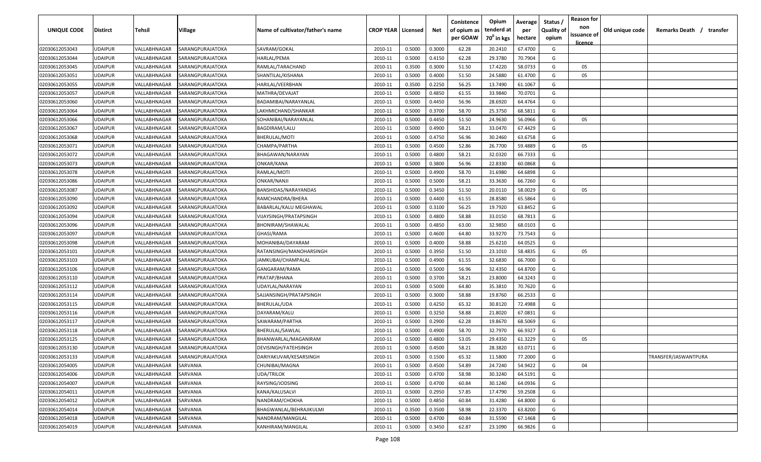| UNIQUE CODE    | <b>Distirct</b> | <b>Tehsil</b> | Village          | Name of cultivator/father's name | <b>CROP YEAR   Licensed</b> |        | Net    | Conistence<br>of opium as<br>per GOAW | Opium<br>tenderd at<br>70 <sup>0</sup> in kgs | Average<br>per<br>hectare | Status /<br><b>Quality of</b><br>opium | <b>Reason for</b><br>non<br>issuance of<br><u>licence</u> | Old unique code | Remarks Death /      | transfer |
|----------------|-----------------|---------------|------------------|----------------------------------|-----------------------------|--------|--------|---------------------------------------|-----------------------------------------------|---------------------------|----------------------------------------|-----------------------------------------------------------|-----------------|----------------------|----------|
| 02030612053043 | <b>UDAIPUR</b>  | VALLABHNAGAR  | SARANGPURAJATOKA | SAVRAM/GOKAL                     | 2010-11                     | 0.5000 | 0.3000 | 62.28                                 | 20.2410                                       | 67.4700                   | G                                      |                                                           |                 |                      |          |
| 02030612053044 | <b>UDAIPUR</b>  | VALLABHNAGAR  | SARANGPURAJATOKA | HARLAL/PEMA                      | 2010-11                     | 0.5000 | 0.4150 | 62.28                                 | 29.3780                                       | 70.7904                   | G                                      |                                                           |                 |                      |          |
| 02030612053045 | <b>UDAIPUR</b>  | VALLABHNAGAR  | SARANGPURAJATOKA | RAMLAL/TARACHAND                 | 2010-11                     | 0.3500 | 0.3000 | 51.50                                 | 17.4220                                       | 58.0733                   | G                                      | 05                                                        |                 |                      |          |
| 02030612053051 | <b>UDAIPUR</b>  | VALLABHNAGAR  | SARANGPURAJATOKA | SHANTILAL/KISHANA                | 2010-11                     | 0.5000 | 0.4000 | 51.50                                 | 24.5880                                       | 61.4700                   | G                                      | 05                                                        |                 |                      |          |
| 02030612053055 | <b>UDAIPUR</b>  | VALLABHNAGAR  | SARANGPURAJATOKA | HARILAL/VEERBHAN                 | 2010-11                     | 0.3500 | 0.2250 | 56.25                                 | 13.7490                                       | 61.1067                   | G                                      |                                                           |                 |                      |          |
| 02030612053057 | <b>UDAIPUR</b>  | VALLABHNAGAR  | SARANGPURAJATOKA | MATHRA/DEVAJAT                   | 2010-11                     | 0.5000 | 0.4850 | 61.55                                 | 33.9840                                       | 70.0701                   | G                                      |                                                           |                 |                      |          |
| 02030612053060 | <b>UDAIPUR</b>  | VALLABHNAGAR  | SARANGPURAJATOKA | BADAMIBAI/NARAYANLAL             | 2010-11                     | 0.5000 | 0.4450 | 56.96                                 | 28.6920                                       | 64.4764                   | G                                      |                                                           |                 |                      |          |
| 02030612053064 | <b>UDAIPUR</b>  | VALLABHNAGAR  | SARANGPURAJATOKA | LAKHMICHAND/SHANKAR              | 2010-11                     | 0.5000 | 0.3700 | 58.70                                 | 25.3750                                       | 68.5811                   | G                                      |                                                           |                 |                      |          |
| 02030612053066 | <b>UDAIPUR</b>  | VALLABHNAGAR  | SARANGPURAJATOKA | SOHANIBAI/NARAYANLAL             | 2010-11                     | 0.5000 | 0.4450 | 51.50                                 | 24.9630                                       | 56.0966                   | G                                      | 05                                                        |                 |                      |          |
| 02030612053067 | <b>UDAIPUR</b>  | VALLABHNAGAR  | SARANGPURAJATOKA | BAGDIRAM/LALU                    | 2010-11                     | 0.5000 | 0.4900 | 58.21                                 | 33.0470                                       | 67.4429                   | G                                      |                                                           |                 |                      |          |
| 02030612053068 | <b>UDAIPUR</b>  | VALLABHNAGAR  | SARANGPURAJATOKA | BHERULAL/MOTI                    | 2010-11                     | 0.5000 | 0.4750 | 56.96                                 | 30.2460                                       | 63.6758                   | G                                      |                                                           |                 |                      |          |
| 02030612053071 | <b>UDAIPUR</b>  | VALLABHNAGAR  | SARANGPURAJATOKA | CHAMPA/PARTHA                    | 2010-11                     | 0.5000 | 0.4500 | 52.86                                 | 26.7700                                       | 59.4889                   | G                                      | 05                                                        |                 |                      |          |
| 02030612053072 | <b>UDAIPUR</b>  | VALLABHNAGAR  | SARANGPURAJATOKA | BHAGAWAN/NARAYAN                 | 2010-11                     | 0.5000 | 0.4800 | 58.21                                 | 32.0320                                       | 66.7333                   | G                                      |                                                           |                 |                      |          |
| 02030612053073 | UDAIPUR         | VALLABHNAGAR  | SARANGPURAJATOKA | ONKAR/KANA                       | 2010-11                     | 0.5000 | 0.3800 | 56.96                                 | 22.8330                                       | 60.0868                   | G                                      |                                                           |                 |                      |          |
| 02030612053078 | UDAIPUR         | VALLABHNAGAR  | SARANGPURAJATOKA | RAMLAL/MOTI                      | 2010-11                     | 0.5000 | 0.4900 | 58.70                                 | 31.6980                                       | 64.6898                   | G                                      |                                                           |                 |                      |          |
| 02030612053086 | UDAIPUR         | VALLABHNAGAR  | SARANGPURAJATOKA | ONKAR/NANJI                      | 2010-11                     | 0.5000 | 0.5000 | 58.21                                 | 33.3630                                       | 66.7260                   | G                                      |                                                           |                 |                      |          |
| 02030612053087 | <b>UDAIPUR</b>  | VALLABHNAGAR  | SARANGPURAJATOKA | BANSHIDAS/NARAYANDAS             | 2010-11                     | 0.5000 | 0.3450 | 51.50                                 | 20.0110                                       | 58.0029                   | G                                      | 05                                                        |                 |                      |          |
| 02030612053090 | <b>UDAIPUR</b>  | VALLABHNAGAR  | SARANGPURAJATOKA | RAMCHANDRA/BHERA                 | 2010-11                     | 0.5000 | 0.4400 | 61.55                                 | 28.8580                                       | 65.5864                   | G                                      |                                                           |                 |                      |          |
| 02030612053092 | <b>UDAIPUR</b>  | VALLABHNAGAR  | SARANGPURAJATOKA | BABARLAL/KALU MEGHAWAL           | 2010-11                     | 0.5000 | 0.3100 | 56.25                                 | 19.7920                                       | 63.8452                   | G                                      |                                                           |                 |                      |          |
| 02030612053094 | <b>UDAIPUR</b>  | VALLABHNAGAR  | SARANGPURAJATOKA | VIJAYSINGH/PRATAPSINGH           | 2010-11                     | 0.5000 | 0.4800 | 58.88                                 | 33.0150                                       | 68.7813                   | G                                      |                                                           |                 |                      |          |
| 02030612053096 | <b>UDAIPUR</b>  | VALLABHNAGAR  | SARANGPURAJATOKA | BHONIRAM/SHAWALAL                | 2010-11                     | 0.5000 | 0.4850 | 63.00                                 | 32.9850                                       | 68.0103                   | G                                      |                                                           |                 |                      |          |
| 02030612053097 | <b>UDAIPUR</b>  | VALLABHNAGAR  | SARANGPURAJATOKA | GHASI/RAMA                       | 2010-11                     | 0.5000 | 0.4600 | 64.80                                 | 33.9270                                       | 73.7543                   | G                                      |                                                           |                 |                      |          |
| 02030612053098 | <b>UDAIPUR</b>  | VALLABHNAGAR  | SARANGPURAJATOKA | MOHANIBAI/DAYARAM                | 2010-11                     | 0.5000 | 0.4000 | 58.88                                 | 25.6210                                       | 64.0525                   | G                                      |                                                           |                 |                      |          |
| 02030612053101 | <b>UDAIPUR</b>  | VALLABHNAGAR  | SARANGPURAJATOKA | RATANSINGH/MANOHARSINGH          | 2010-11                     | 0.5000 | 0.3950 | 51.50                                 | 23.1010                                       | 58.4835                   | G                                      | 05                                                        |                 |                      |          |
| 02030612053103 | <b>UDAIPUR</b>  | VALLABHNAGAR  | SARANGPURAJATOKA | IAMKUBAI/CHAMPALAL               | 2010-11                     | 0.5000 | 0.4900 | 61.55                                 | 32.6830                                       | 66.7000                   | G                                      |                                                           |                 |                      |          |
| 02030612053106 | <b>UDAIPUR</b>  | VALLABHNAGAR  | SARANGPURAJATOKA | GANGARAM/RAMA                    | 2010-11                     | 0.5000 | 0.5000 | 56.96                                 | 32.4350                                       | 64.8700                   | G                                      |                                                           |                 |                      |          |
| 02030612053110 | <b>UDAIPUR</b>  | VALLABHNAGAR  | SARANGPURAJATOKA | PRATAP/BHANA                     | 2010-11                     | 0.5000 | 0.3700 | 58.21                                 | 23.8000                                       | 64.3243                   | G                                      |                                                           |                 |                      |          |
| 02030612053112 | <b>UDAIPUR</b>  | VALLABHNAGAR  | SARANGPURAJATOKA | UDAYLAL/NARAYAN                  | 2010-11                     | 0.5000 | 0.5000 | 64.80                                 | 35.3810                                       | 70.7620                   | G                                      |                                                           |                 |                      |          |
| 02030612053114 | <b>UDAIPUR</b>  | VALLABHNAGAR  | SARANGPURAJATOKA | SAJJANSINGH/PRATAPSINGH          | 2010-11                     | 0.5000 | 0.3000 | 58.88                                 | 19.8760                                       | 66.2533                   | G                                      |                                                           |                 |                      |          |
| 02030612053115 | <b>UDAIPUR</b>  | VALLABHNAGAR  | SARANGPURAJATOKA | BHERULAL/UDA                     | 2010-11                     | 0.5000 | 0.4250 | 65.32                                 | 30.8120                                       | 72.4988                   | G                                      |                                                           |                 |                      |          |
| 02030612053116 | <b>UDAIPUR</b>  | VALLABHNAGAR  | SARANGPURAJATOKA | DAYARAM/KALU                     | 2010-11                     | 0.5000 | 0.3250 | 58.88                                 | 21.8020                                       | 67.0831                   | G                                      |                                                           |                 |                      |          |
| 02030612053117 | <b>UDAIPUR</b>  | VALLABHNAGAR  | SARANGPURAJATOKA | SAWARAM/PARTHA                   | 2010-11                     | 0.5000 | 0.2900 | 62.28                                 | 19.8670                                       | 68.5069                   | G                                      |                                                           |                 |                      |          |
| 02030612053118 | <b>UDAIPUR</b>  | VALLABHNAGAR  | SARANGPURAJATOKA | BHERULAL/SAWLAL                  | 2010-11                     | 0.5000 | 0.4900 | 58.70                                 | 32.7970                                       | 66.9327                   | G                                      |                                                           |                 |                      |          |
| 02030612053125 | <b>UDAIPUR</b>  | VALLABHNAGAR  | SARANGPURAJATOKA | BHANWARLAL/MAGANIRAM             | 2010-11                     | 0.5000 | 0.4800 | 53.05                                 | 29.4350                                       | 61.3229                   | G                                      | 05                                                        |                 |                      |          |
| 02030612053130 | <b>UDAIPUR</b>  | VALLABHNAGAR  | SARANGPURAJATOKA | DEVISINGH/FATEHSINGH             | 2010-11                     | 0.5000 | 0.4500 | 58.21                                 | 28.3820                                       | 63.0711                   | G                                      |                                                           |                 |                      |          |
| 02030612053133 | <b>UDAIPUR</b>  | VALLABHNAGAR  | SARANGPURAJATOKA | DARIYAKUVAR/KESARSINGH           | 2010-11                     | 0.5000 | 0.1500 | 65.32                                 | 11.5800                                       | 77.2000                   | G                                      |                                                           |                 | TRANSFER/JASWANTPURA |          |
| 02030612054005 | <b>UDAIPUR</b>  | VALLABHNAGAR  | SARVANIA         | CHUNIBAI/MAGNA                   | 2010-11                     | 0.5000 | 0.4500 | 54.89                                 | 24.7240                                       | 54.9422                   | G                                      | 04                                                        |                 |                      |          |
| 02030612054006 | <b>UDAIPUR</b>  | VALLABHNAGAR  | SARVANIA         | <b>UDA/TRILOK</b>                | 2010-11                     | 0.5000 | 0.4700 | 58.98                                 | 30.3240                                       | 64.5191                   | G                                      |                                                           |                 |                      |          |
| 02030612054007 | <b>UDAIPUR</b>  | VALLABHNAGAR  | SARVANIA         | RAYSING/JODSING                  | 2010-11                     | 0.5000 | 0.4700 | 60.84                                 | 30.1240                                       | 64.0936                   | G                                      |                                                           |                 |                      |          |
| 02030612054011 | <b>UDAIPUR</b>  | VALLABHNAGAR  | SARVANIA         | KANA/KALUSALVI                   | 2010-11                     | 0.5000 | 0.2950 | 57.85                                 | 17.4790                                       | 59.2508                   | G                                      |                                                           |                 |                      |          |
| 02030612054012 | <b>UDAIPUR</b>  | VALLABHNAGAR  | SARVANIA         | NANDRAM/CHOKHA                   | 2010-11                     | 0.5000 | 0.4850 | 60.84                                 | 31.4280                                       | 64.8000                   | G                                      |                                                           |                 |                      |          |
| 02030612054014 | <b>UDAIPUR</b>  | VALLABHNAGAR  | SARVANIA         | BHAGWANLAL/BEHRAJIKULMI          | 2010-11                     | 0.3500 | 0.3500 | 58.98                                 | 22.3370                                       | 63.8200                   | G                                      |                                                           |                 |                      |          |
| 02030612054018 | <b>UDAIPUR</b>  | VALLABHNAGAR  | SARVANIA         | NANDRAM/MANGILAL                 | 2010-11                     | 0.5000 | 0.4700 | 60.84                                 | 31.5590                                       | 67.1468                   | G                                      |                                                           |                 |                      |          |
| 02030612054019 | <b>UDAIPUR</b>  | VALLABHNAGAR  | SARVANIA         | KANHIRAM/MANGILAL                | 2010-11                     | 0.5000 | 0.3450 | 62.87                                 | 23.1090                                       | 66.9826                   | G                                      |                                                           |                 |                      |          |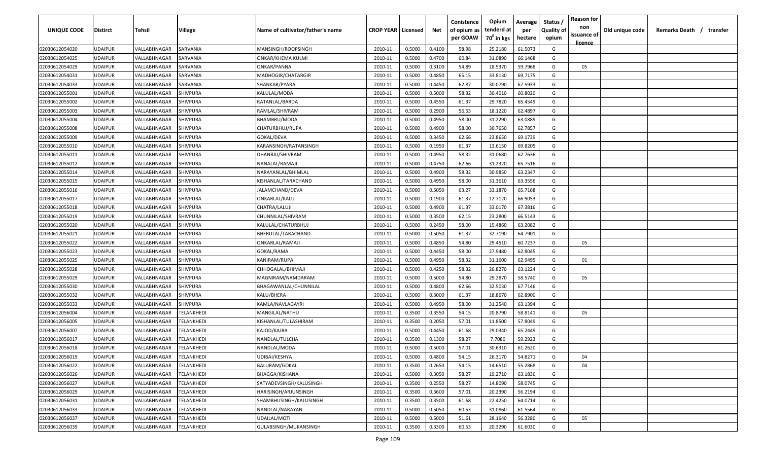| UNIQUE CODE                      | <b>Distirct</b>                  | Tehsil                       | Village                  | Name of cultivator/father's name        | <b>CROP YEAR   Licensed</b> |                  | Net              | Conistence<br>of opium as<br>per GOAW | Opium<br>tenderd at<br>70 <sup>0</sup> in kgs | Average<br>per<br>hectare | Status<br><b>Quality of</b><br>opium | <b>Reason for</b><br>non<br>issuance of | Old unique code | Remarks Death / transfer |
|----------------------------------|----------------------------------|------------------------------|--------------------------|-----------------------------------------|-----------------------------|------------------|------------------|---------------------------------------|-----------------------------------------------|---------------------------|--------------------------------------|-----------------------------------------|-----------------|--------------------------|
|                                  |                                  |                              |                          |                                         |                             |                  |                  |                                       |                                               |                           |                                      | <u>licence</u>                          |                 |                          |
| 02030612054020                   | <b>UDAIPUR</b>                   | VALLABHNAGAR                 | SARVANIA                 | MANSINGH/ROOPSINGH                      | 2010-11                     | 0.5000           | 0.4100           | 58.98                                 | 25.2180                                       | 61.5073                   | G                                    |                                         |                 |                          |
| 02030612054025                   | <b>UDAIPUR</b>                   | VALLABHNAGAR                 | SARVANIA                 | <b>ONKAR/KHEMA KULMI</b><br>ONKAR/PANNA | 2010-11                     | 0.5000           | 0.4700           | 60.84                                 | 31.0890                                       | 66.1468                   | G                                    |                                         |                 |                          |
| 02030612054029                   | <b>UDAIPUR</b><br><b>UDAIPUR</b> | VALLABHNAGAR<br>VALLABHNAGAR | SARVANIA<br>SARVANIA     | MADHOGIR/CHATARGIR                      | 2010-11<br>2010-11          | 0.5000           | 0.3100<br>0.4850 | 54.89<br>65.15                        | 18.5370<br>33.8130                            | 59.7968                   | G<br>G                               | 05                                      |                 |                          |
| 02030612054031<br>02030612054033 | <b>UDAIPUR</b>                   | VALLABHNAGAR                 | SARVANIA                 | SHANKAR/PYARA                           | 2010-11                     | 0.5000<br>0.5000 | 0.4450           | 62.87                                 | 30.0790                                       | 69.7175<br>67.5933        | G                                    |                                         |                 |                          |
| 02030612055001                   | <b>UDAIPUR</b>                   | VALLABHNAGAR                 | SHIVPURA                 | KALULAL/MODA                            | 2010-11                     | 0.5000           | 0.5000           | 58.32                                 | 30.4010                                       | 60.8020                   | G                                    |                                         |                 |                          |
| 02030612055002                   | <b>UDAIPUR</b>                   | VALLABHNAGAR                 | SHIVPURA                 | RATANLAL/BARDA                          | 2010-11                     | 0.5000           | 0.4550           | 61.37                                 | 29.7820                                       | 65.4549                   | G                                    |                                         |                 |                          |
| 02030612055003                   | <b>UDAIPUR</b>                   | VALLABHNAGAR                 | SHIVPURA                 | RAMLAL/SHIVRAM                          | 2010-11                     | 0.5000           | 0.2900           | 56.53                                 | 18.1220                                       | 62.4897                   | G                                    |                                         |                 |                          |
| 02030612055004                   | <b>UDAIPUR</b>                   | VALLABHNAGAR                 | SHIVPURA                 | BHAMBRU/MODA                            | 2010-11                     | 0.5000           | 0.4950           | 58.00                                 | 31.2290                                       | 63.0889                   | G                                    |                                         |                 |                          |
| 02030612055008                   | <b>UDAIPUR</b>                   | VALLABHNAGAR                 | SHIVPURA                 | CHATURBHUJ/RUPA                         | 2010-11                     | 0.5000           | 0.4900           | 58.00                                 | 30.7650                                       | 62.7857                   | G                                    |                                         |                 |                          |
| 02030612055009                   | <b>UDAIPUR</b>                   | VALLABHNAGAR                 | SHIVPURA                 | GOKAL/DEVA                              | 2010-11                     | 0.5000           | 0.3450           | 62.66                                 | 23.8650                                       | 69.1739                   | G                                    |                                         |                 |                          |
| 02030612055010                   | <b>UDAIPUR</b>                   | VALLABHNAGAR                 | SHIVPURA                 | KARANSINGH/RATANSINGH                   | 2010-11                     | 0.5000           | 0.1950           | 61.37                                 | 13.6150                                       | 69.8205                   | G                                    |                                         |                 |                          |
| 02030612055011                   | <b>UDAIPUR</b>                   | VALLABHNAGAR                 | SHIVPURA                 | DHANRAJ/SHIVRAM                         | 2010-11                     | 0.5000           | 0.4950           | 58.32                                 | 31.0680                                       | 62.7636                   | G                                    |                                         |                 |                          |
| 02030612055012                   | <b>UDAIPUR</b>                   | VALLABHNAGAR                 | SHIVPURA                 | NANALAL/RAMAJI                          | 2010-11                     | 0.5000           | 0.4750           | 62.66                                 | 31.2320                                       | 65.7516                   | G                                    |                                         |                 |                          |
| 02030612055014                   | <b>UDAIPUR</b>                   | VALLABHNAGAR                 | SHIVPURA                 | NARAYANLAL/BHIMLAL                      | 2010-11                     | 0.5000           | 0.4900           | 58.32                                 | 30.9850                                       | 63.2347                   | G                                    |                                         |                 |                          |
| 02030612055015                   | <b>UDAIPUR</b>                   | VALLABHNAGAR                 | SHIVPURA                 | KISHANLAL/TARACHAND                     | 2010-11                     | 0.5000           | 0.4950           | 58.00                                 | 31.3610                                       | 63.3556                   | G                                    |                                         |                 |                          |
| 02030612055016                   | <b>UDAIPUR</b>                   | VALLABHNAGAR                 | SHIVPURA                 | JALAMCHAND/DEVA                         | 2010-11                     | 0.5000           | 0.5050           | 63.27                                 | 33.1870                                       | 65.7168                   | G                                    |                                         |                 |                          |
| 02030612055017                   | <b>UDAIPUR</b>                   | VALLABHNAGAR                 | SHIVPURA                 | ONKARLAL/KALU                           | 2010-11                     | 0.5000           | 0.1900           | 61.37                                 | 12.7120                                       | 66.9053                   | G                                    |                                         |                 |                          |
| 02030612055018                   | <b>UDAIPUR</b>                   | VALLABHNAGAR                 | SHIVPURA                 | CHATRA/LALUJI                           | 2010-11                     | 0.5000           | 0.4900           | 61.37                                 | 33.0170                                       | 67.3816                   | G                                    |                                         |                 |                          |
| 02030612055019                   | <b>UDAIPUR</b>                   | VALLABHNAGAR                 | SHIVPURA                 | CHUNNILAL/SHIVRAM                       | 2010-11                     | 0.5000           | 0.3500           | 62.15                                 | 23.2800                                       | 66.5143                   | G                                    |                                         |                 |                          |
| 02030612055020                   | <b>UDAIPUR</b>                   | VALLABHNAGAR                 | SHIVPURA                 | KALULAL/CHATURBHUJ                      | 2010-11                     | 0.5000           | 0.2450           | 58.00                                 | 15.4860                                       | 63.2082                   | G                                    |                                         |                 |                          |
| 02030612055021                   | <b>UDAIPUR</b>                   | VALLABHNAGAR                 | SHIVPURA                 | BHERULAL/TARACHAND                      | 2010-11                     | 0.5000           | 0.5050           | 61.37                                 | 32.7190                                       | 64.7901                   | G                                    |                                         |                 |                          |
| 02030612055022                   | <b>UDAIPUR</b>                   | VALLABHNAGAR                 | SHIVPURA                 | ONKARLAL/RAMAJI                         | 2010-11                     | 0.5000           | 0.4850           | 54.80                                 | 29.4510                                       | 60.7237                   | G                                    | 05                                      |                 |                          |
| 02030612055023                   | <b>UDAIPUR</b>                   | VALLABHNAGAR                 | SHIVPURA                 | GOKAL/RAMA                              | 2010-11                     | 0.5000           | 0.4450           | 58.00                                 | 27.9480                                       | 62.8045                   | G                                    |                                         |                 |                          |
| 02030612055025                   | <b>UDAIPUR</b>                   | VALLABHNAGAR                 | SHIVPURA                 | KANIRAM/RUPA                            | 2010-11                     | 0.5000           | 0.4950           | 58.32                                 | 31.1600                                       | 62.9495                   | G                                    | 01                                      |                 |                          |
| 02030612055028                   | <b>UDAIPUR</b>                   | VALLABHNAGAR                 | SHIVPURA                 | CHHOGALAL/BHIMAJI                       | 2010-11                     | 0.5000           | 0.4250           | 58.32                                 | 26.8270                                       | 63.1224                   | G                                    |                                         |                 |                          |
| 02030612055029                   | <b>UDAIPUR</b>                   | VALLABHNAGAR                 | SHIVPURA                 | MAGNIRAM/NAMDARAM                       | 2010-11                     | 0.5000           | 0.5000           | 54.80                                 | 29.2870                                       | 58.5740                   | G                                    | 05                                      |                 |                          |
| 02030612055030                   | <b>UDAIPUR</b>                   | VALLABHNAGAR                 | SHIVPURA                 | BHAGAWANLAL/CHUNNILAL                   | 2010-11                     | 0.5000           | 0.4800           | 62.66                                 | 32.5030                                       | 67.7146                   | G                                    |                                         |                 |                          |
| 02030612055032                   | <b>UDAIPUR</b>                   | VALLABHNAGAR                 | SHIVPURA                 | KALU/BHERA                              | 2010-11                     | 0.5000           | 0.3000           | 61.37                                 | 18.8670                                       | 62.8900                   | G                                    |                                         |                 |                          |
| 02030612055033                   | <b>UDAIPUR</b>                   | VALLABHNAGAR                 | <b>SHIVPURA</b>          | KAMLA/NAVLAGAYRI                        | 2010-11                     | 0.5000           | 0.4950           | 58.00                                 | 31.2540                                       | 63.1394                   | G                                    |                                         |                 |                          |
| 02030612056004                   | <b>UDAIPUR</b>                   | VALLABHNAGAR                 | TELANKHEDI               | MANGILAL/NATHU                          | 2010-11                     | 0.3500           | 0.3550           | 54.15                                 | 20.8790                                       | 58.8141                   | G                                    | 05                                      |                 |                          |
| 02030612056005                   | <b>UDAIPUR</b>                   | VALLABHNAGAR                 | <b><i>FELANKHEDI</i></b> | KISHANLAL/TULASHIRAM                    | 2010-11                     | 0.3500           | 0.2050           | 57.01                                 | 11.8500                                       | 57.8049                   | G                                    |                                         |                 |                          |
| 02030612056007                   | <b>UDAIPUR</b>                   | VALLABHNAGAR                 | <b><i>FELANKHEDI</i></b> | KAJOD/KAJRA                             | 2010-11                     | 0.5000           | 0.4450           | 61.68                                 | 29.0340                                       | 65.2449                   | G                                    |                                         |                 |                          |
| 02030612056017                   | <b>UDAIPUR</b>                   | VALLABHNAGAR                 | TELANKHEDI               | NANDLAL/TULCHA                          | 2010-11                     | 0.3500           | 0.1300           | 58.27                                 | 7.7080                                        | 59.2923                   | G                                    |                                         |                 |                          |
| 02030612056018                   | <b>UDAIPUR</b>                   | VALLABHNAGAR                 | TELANKHEDI               | NANDLAL/MODA                            | 2010-11                     | 0.5000           | 0.5000           | 57.01                                 | 30.6310                                       | 61.2620                   | G                                    |                                         |                 |                          |
| 02030612056019                   | <b>UDAIPUR</b>                   | VALLABHNAGAR                 | <b>TELANKHEDI</b>        | UDIBAI/KESHYA                           | 2010-11                     | 0.5000           | 0.4800           | 54.15                                 | 26.3170                                       | 54.8271                   | G                                    | 04                                      |                 |                          |
| 02030612056022                   | <b>UDAIPUR</b>                   | VALLABHNAGAR                 | TELANKHEDI               | BALURAM/GOKAL                           | 2010-11                     | 0.3500           | 0.2650           | 54.15                                 | 14.6510                                       | 55.2868                   | G                                    | 04                                      |                 |                          |
| 02030612056026                   | <b>UDAIPUR</b>                   | VALLABHNAGAR                 | TELANKHEDI               | BHAGGA/KISHANA                          | 2010-11                     | 0.5000           | 0.3050           | 58.27                                 | 19.2710                                       | 63.1836                   | G                                    |                                         |                 |                          |
| 02030612056027                   | <b>UDAIPUR</b>                   | VALLABHNAGAR                 | TELANKHEDI               | SATYADEVSINGH/KALUSINGH                 | 2010-11                     | 0.3500           | 0.2550           | 58.27                                 | 14.8090                                       | 58.0745                   | G                                    |                                         |                 |                          |
| 02030612056029                   | <b>UDAIPUR</b>                   | VALLABHNAGAR                 | TELANKHEDI               | HARISINGH/ARJUNSINGH                    | 2010-11                     | 0.3500           | 0.3600           | 57.01                                 | 20.2390                                       | 56.2194                   | G                                    |                                         |                 |                          |
| 02030612056031                   | <b>UDAIPUR</b>                   | VALLABHNAGAR                 | TELANKHEDI               | SHAMBHUSINGH/KALUSINGH                  | 2010-11                     | 0.3500           | 0.3500           | 61.68                                 | 22.4250                                       | 64.0714                   | G                                    |                                         |                 |                          |
| 02030612056033                   | <b>UDAIPUR</b>                   | VALLABHNAGAR                 | TELANKHEDI               | NANDLAL/NARAYAN                         | 2010-11                     | 0.5000           | 0.5050           | 60.53                                 | 31.0860                                       | 61.5564                   | G                                    |                                         |                 |                          |
| 02030612056037                   | <b>UDAIPUR</b>                   | VALLABHNAGAR                 | TELANKHEDI               | UDAILAL/MOTI                            | 2010-11                     | 0.5000           | 0.5000           | 51.61                                 | 28.1640                                       | 56.3280                   | G                                    | 05                                      |                 |                          |
| 02030612056039                   | <b>UDAIPUR</b>                   | VALLABHNAGAR                 | TELANKHEDI               | GULABSINGH/MUKANSINGH                   | 2010-11                     | 0.3500           | 0.3300           | 60.53                                 | 20.3290                                       | 61.6030                   | G                                    |                                         |                 |                          |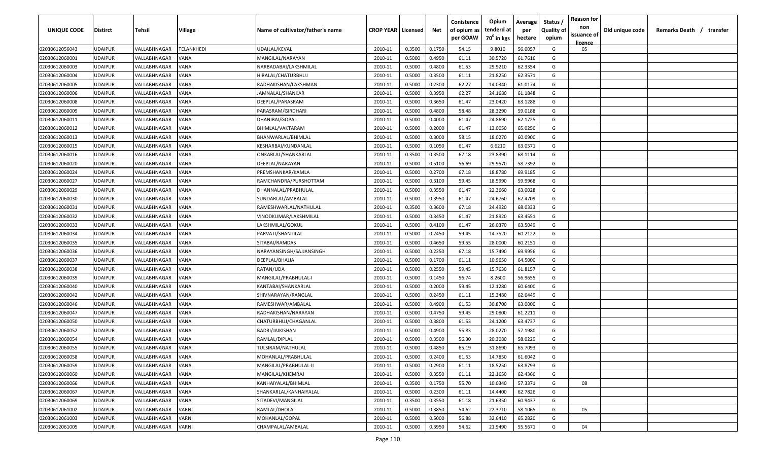| UNIQUE CODE    | <b>Distirct</b> | Tehsil       | Village      | Name of cultivator/father's name | <b>CROP YEAR   Licensed</b> |        | Net    | Conistence<br>of opium as | Opium<br>tenderd at    | Average<br>per | Status<br><b>Quality of</b> | <b>Reason for</b><br>non<br>issuance of | Old unique code | Remarks Death / transfer |
|----------------|-----------------|--------------|--------------|----------------------------------|-----------------------------|--------|--------|---------------------------|------------------------|----------------|-----------------------------|-----------------------------------------|-----------------|--------------------------|
|                |                 |              |              |                                  |                             |        |        | per GOAW                  | 70 <sup>0</sup> in kgs | hectare        | opium                       | licence                                 |                 |                          |
| 02030612056043 | <b>UDAIPUR</b>  | VALLABHNAGAR | TELANKHEDI   | UDAILAL/KEVAL                    | 2010-11                     | 0.3500 | 0.1750 | 54.15                     | 9.8010                 | 56.0057        | G                           | 05                                      |                 |                          |
| 02030612060001 | <b>UDAIPUR</b>  | VALLABHNAGAR | VANA         | MANGILAL/NARAYAN                 | 2010-11                     | 0.5000 | 0.4950 | 61.11                     | 30.5720                | 61.7616        | G                           |                                         |                 |                          |
| 02030612060003 | <b>UDAIPUR</b>  | VALLABHNAGAR | VANA         | NARBADABAI/LAKSHMILAL            | 2010-11                     | 0.5000 | 0.4800 | 61.53                     | 29.9210                | 62.3354        | G                           |                                         |                 |                          |
| 02030612060004 | <b>UDAIPUR</b>  | VALLABHNAGAR | VANA         | HIRALAL/CHATURBHUJ               | 2010-11                     | 0.5000 | 0.3500 | 61.11                     | 21.8250                | 62.3571        | G                           |                                         |                 |                          |
| 02030612060005 | <b>UDAIPUR</b>  | VALLABHNAGAR | VANA         | RADHAKISHAN/LAKSHMAN             | 2010-11                     | 0.5000 | 0.2300 | 62.27                     | 14.0340                | 61.0174        | G                           |                                         |                 |                          |
| 02030612060006 | <b>UDAIPUR</b>  | VALLABHNAGAR | VANA         | JAMNALAL/SHANKAR                 | 2010-11                     | 0.5000 | 0.3950 | 62.27                     | 24.1680                | 61.1848        | G                           |                                         |                 |                          |
| 02030612060008 | <b>UDAIPUR</b>  | VALLABHNAGAR | VANA         | DEEPLAL/PARASRAM                 | 2010-11                     | 0.5000 | 0.3650 | 61.47                     | 23.0420                | 63.1288        | G                           |                                         |                 |                          |
| 02030612060009 | <b>UDAIPUR</b>  | VALLABHNAGAR | VANA         | PARASRAM/GIRDHARI                | 2010-11                     | 0.5000 | 0.4800 | 58.48                     | 28.3290                | 59.0188        | G                           |                                         |                 |                          |
| 02030612060011 | <b>UDAIPUR</b>  | VALLABHNAGAR | VANA         | DHANIBAI/GOPAL                   | 2010-11                     | 0.5000 | 0.4000 | 61.47                     | 24.8690                | 62.1725        | G                           |                                         |                 |                          |
| 02030612060012 | <b>UDAIPUR</b>  | VALLABHNAGAR | VANA         | BHIMLAL/VAKTARAM                 | 2010-11                     | 0.5000 | 0.2000 | 61.47                     | 13.0050                | 65.0250        | G                           |                                         |                 |                          |
| 02030612060013 | <b>UDAIPUR</b>  | VALLABHNAGAR | VANA         | BHANWARLAL/BHIMLAL               | 2010-11                     | 0.5000 | 0.3000 | 58.15                     | 18.0270                | 60.0900        | G                           |                                         |                 |                          |
| 02030612060015 | <b>UDAIPUR</b>  | VALLABHNAGAR | VANA         | KESHARBAI/KUNDANLAL              | 2010-11                     | 0.5000 | 0.1050 | 61.47                     | 6.6210                 | 63.0571        | G                           |                                         |                 |                          |
| 02030612060016 | <b>UDAIPUR</b>  | VALLABHNAGAR | VANA         | ONKARLAL/SHANKARLAL              | 2010-11                     | 0.3500 | 0.3500 | 67.18                     | 23.8390                | 68.1114        | G                           |                                         |                 |                          |
| 02030612060020 | <b>UDAIPUR</b>  | VALLABHNAGAR | VANA         | DEEPLAL/NARAYAN                  | 2010-11                     | 0.5000 | 0.5100 | 56.69                     | 29.9570                | 58.7392        | G                           |                                         |                 |                          |
| 02030612060024 | <b>UDAIPUR</b>  | VALLABHNAGAR | VANA         | PREMSHANKAR/KAMLA                | 2010-11                     | 0.5000 | 0.2700 | 67.18                     | 18.8780                | 69.9185        | G                           |                                         |                 |                          |
| 02030612060027 | <b>UDAIPUR</b>  | VALLABHNAGAR | VANA         | RAMCHANDRA/PURSHOTTAM            | 2010-11                     | 0.5000 | 0.3100 | 59.45                     | 18.5990                | 59.9968        | G                           |                                         |                 |                          |
| 02030612060029 | <b>UDAIPUR</b>  | VALLABHNAGAR | VANA         | DHANNALAL/PRABHULAL              | 2010-11                     | 0.5000 | 0.3550 | 61.47                     | 22.3660                | 63.0028        | G                           |                                         |                 |                          |
| 02030612060030 | <b>UDAIPUR</b>  | VALLABHNAGAR | VANA         | SUNDARLAL/AMBALAL                | 2010-11                     | 0.5000 | 0.3950 | 61.47                     | 24.6760                | 62.4709        | G                           |                                         |                 |                          |
| 02030612060031 | <b>UDAIPUR</b>  | VALLABHNAGAR | VANA         | RAMESHWARLAL/NATHULAL            | 2010-11                     | 0.3500 | 0.3600 | 67.18                     | 24.4920                | 68.0333        | G                           |                                         |                 |                          |
| 02030612060032 | <b>UDAIPUR</b>  | VALLABHNAGAR | VANA         | VINODKUMAR/LAKSHMILAL            | 2010-11                     | 0.5000 | 0.3450 | 61.47                     | 21.8920                | 63.4551        | G                           |                                         |                 |                          |
| 02030612060033 | <b>UDAIPUR</b>  | VALLABHNAGAR | VANA         | LAKSHMILAL/GOKUL                 | 2010-11                     | 0.5000 | 0.4100 | 61.47                     | 26.0370                | 63.5049        | G                           |                                         |                 |                          |
| 02030612060034 | <b>UDAIPUR</b>  | VALLABHNAGAR | VANA         | PARVATI/SHANTILAL                | 2010-11                     | 0.5000 | 0.2450 | 59.45                     | 14.7520                | 60.2122        | G                           |                                         |                 |                          |
| 02030612060035 | <b>UDAIPUR</b>  | VALLABHNAGAR | <b>JANA</b>  | SITABAI/RAMDAS                   | 2010-11                     | 0.5000 | 0.4650 | 59.55                     | 28.0000                | 60.2151        | G                           |                                         |                 |                          |
| 02030612060036 | <b>UDAIPUR</b>  | VALLABHNAGAR | <b>JANA</b>  | NARAYANSINGH/SAJJANSINGH         | 2010-11                     | 0.5000 | 0.2250 | 67.18                     | 15.7490                | 69.9956        | G                           |                                         |                 |                          |
| 02030612060037 | <b>UDAIPUR</b>  | VALLABHNAGAR | VANA         | DEEPLAL/BHAJJA                   | 2010-11                     | 0.5000 | 0.1700 | 61.11                     | 10.9650                | 64.5000        | G                           |                                         |                 |                          |
| 02030612060038 | <b>UDAIPUR</b>  | VALLABHNAGAR | VANA         | RATAN/UDA                        | 2010-11                     | 0.5000 | 0.2550 | 59.45                     | 15.7630                | 61.8157        | G                           |                                         |                 |                          |
| 02030612060039 | <b>UDAIPUR</b>  | VALLABHNAGAR | VANA         | MANGILAL/PRABHULAL-I             | 2010-11                     | 0.5000 | 0.1450 | 56.74                     | 8.2600                 | 56.9655        | G                           |                                         |                 |                          |
| 02030612060040 | <b>UDAIPUR</b>  | VALLABHNAGAR | /ANA         | KANTABAI/SHANKARLAL              | 2010-11                     | 0.5000 | 0.2000 | 59.45                     | 12.1280                | 60.6400        | G                           |                                         |                 |                          |
| 02030612060042 | <b>UDAIPUR</b>  | VALLABHNAGAR | /ANA         | SHIVNARAYAN/RANGLAL              | 2010-11                     | 0.5000 | 0.2450 | 61.11                     | 15.3480                | 62.6449        | G                           |                                         |                 |                          |
| 02030612060046 | <b>UDAIPUR</b>  | VALLABHNAGAR | VANA         | RAMESHWAR/AMBALAL                | 2010-11                     | 0.5000 | 0.4900 | 61.53                     | 30.8700                | 63.0000        | G                           |                                         |                 |                          |
| 02030612060047 | <b>UDAIPUR</b>  | VALLABHNAGAR | VANA         | RADHAKISHAN/NARAYAN              | 2010-11                     | 0.5000 | 0.4750 | 59.45                     | 29.0800                | 61.2211        | G                           |                                         |                 |                          |
| 02030612060050 | <b>UDAIPUR</b>  | VALLABHNAGAR | VANA         | CHATURBHUJ/CHAGANLAL             | 2010-11                     | 0.5000 | 0.3800 | 61.53                     | 24.1200                | 63.4737        | G                           |                                         |                 |                          |
| 02030612060052 | <b>UDAIPUR</b>  | VALLABHNAGAR | VANA         | BADRI/JAIKISHAN                  | 2010-11                     | 0.5000 | 0.4900 | 55.83                     | 28.0270                | 57.1980        | G                           |                                         |                 |                          |
| 02030612060054 | <b>UDAIPUR</b>  | VALLABHNAGAR | VANA         | RAMLAL/DIPLAL                    | 2010-11                     | 0.5000 | 0.3500 | 56.30                     | 20.3080                | 58.0229        | G                           |                                         |                 |                          |
| 02030612060055 | <b>UDAIPUR</b>  | VALLABHNAGAR | VANA         | TULSIRAM/NATHULAL                | 2010-11                     | 0.5000 | 0.4850 | 65.19                     | 31.8690                | 65.7093        | G                           |                                         |                 |                          |
| 02030612060058 | <b>UDAIPUR</b>  | VALLABHNAGAR | <b>VANA</b>  | MOHANLAL/PRABHULAL               | 2010-11                     | 0.5000 | 0.2400 | 61.53                     | 14.7850                | 61.6042        | G                           |                                         |                 |                          |
| 02030612060059 | <b>UDAIPUR</b>  | VALLABHNAGAR | <b>VANA</b>  | MANGILAL/PRABHULAL-II            | 2010-11                     | 0.5000 | 0.2900 | 61.11                     | 18.5250                | 63.8793        | G                           |                                         |                 |                          |
| 02030612060060 | <b>UDAIPUR</b>  | VALLABHNAGAR | <b>VANA</b>  | MANGILAL/KHEMRAJ                 | 2010-11                     | 0.5000 | 0.3550 | 61.11                     | 22.1650                | 62.4366        | G                           |                                         |                 |                          |
| 02030612060066 | <b>UDAIPUR</b>  | VALLABHNAGAR | VANA         | KANHAIYALAL/BHIMLAL              | 2010-11                     | 0.3500 | 0.1750 | 55.70                     | 10.0340                | 57.3371        | G                           | 08                                      |                 |                          |
| 02030612060067 | <b>UDAIPUR</b>  | VALLABHNAGAR | VANA         | SHANKARLAL/KANHAIYALAL           | 2010-11                     | 0.5000 | 0.2300 | 61.11                     | 14.4400                | 62.7826        | G                           |                                         |                 |                          |
| 02030612060069 | <b>UDAIPUR</b>  | VALLABHNAGAR | VANA         | SITADEVI/MANGILAL                | 2010-11                     | 0.3500 | 0.3550 | 61.18                     | 21.6350                | 60.9437        | G                           |                                         |                 |                          |
| 02030612061002 | <b>UDAIPUR</b>  | VALLABHNAGAR | VARNI        | RAMLAL/DHOLA                     | 2010-11                     | 0.5000 | 0.3850 | 54.62                     | 22.3710                | 58.1065        | G                           | 05                                      |                 |                          |
| 02030612061003 | <b>UDAIPUR</b>  | VALLABHNAGAR | VARNI        | MOHANLAL/GOPAL                   | 2010-11                     | 0.5000 | 0.5000 | 56.88                     | 32.6410                | 65.2820        | G                           |                                         |                 |                          |
| 02030612061005 | <b>UDAIPUR</b>  | VALLABHNAGAR | <b>VARNI</b> | CHAMPALAL/AMBALAL                | 2010-11                     | 0.5000 | 0.3950 | 54.62                     | 21.9490                | 55.5671        | G                           | 04                                      |                 |                          |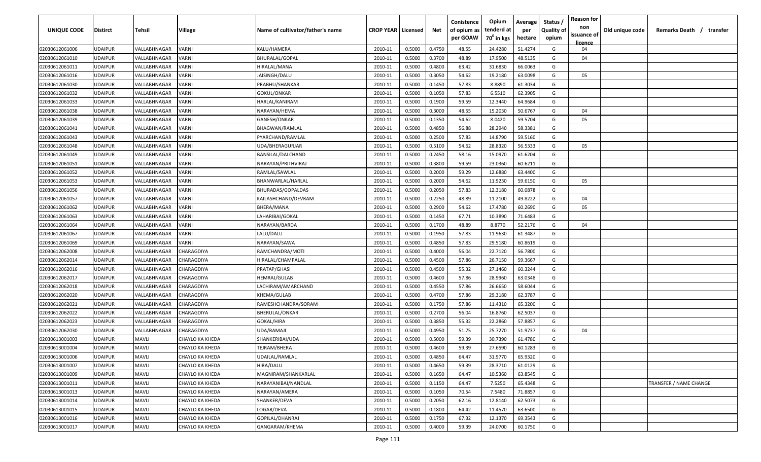| UNIQUE CODE    | <b>Distirct</b> | Tehsil       | Village                | Name of cultivator/father's name | <b>CROP YEAR   Licensed</b> |        | Net    | Conistence<br>of opium as | Opium<br>tenderd at    | Average<br>per | Status<br><b>Quality of</b> | <b>Reason for</b><br>non | Old unique code | Remarks Death / transfer |
|----------------|-----------------|--------------|------------------------|----------------------------------|-----------------------------|--------|--------|---------------------------|------------------------|----------------|-----------------------------|--------------------------|-----------------|--------------------------|
|                |                 |              |                        |                                  |                             |        |        | per GOAW                  | 70 <sup>°</sup> in kgs | hectare        | opium                       | issuance of<br>licence   |                 |                          |
| 02030612061006 | <b>UDAIPUR</b>  | VALLABHNAGAR | VARNI                  | KALU/HAMERA                      | 2010-11                     | 0.5000 | 0.4750 | 48.55                     | 24.4280                | 51.4274        | G                           | 04                       |                 |                          |
| 02030612061010 | <b>UDAIPUR</b>  | VALLABHNAGAR | VARNI                  | BHURALAL/GOPAL                   | 2010-11                     | 0.5000 | 0.3700 | 48.89                     | 17.9500                | 48.5135        | G                           | 04                       |                 |                          |
| 02030612061011 | <b>UDAIPUR</b>  | VALLABHNAGAR | VARNI                  | HIRALAL/MANA                     | 2010-11                     | 0.5000 | 0.4800 | 63.42                     | 31.6830                | 66.0063        | G                           |                          |                 |                          |
| 02030612061016 | <b>UDAIPUR</b>  | VALLABHNAGAR | VARNI                  | JAISINGH/DALU                    | 2010-11                     | 0.5000 | 0.3050 | 54.62                     | 19.2180                | 63.0098        | G                           | 05                       |                 |                          |
| 02030612061030 | <b>UDAIPUR</b>  | VALLABHNAGAR | VARNI                  | PRABHU/SHANKAR                   | 2010-11                     | 0.5000 | 0.1450 | 57.83                     | 8.8890                 | 61.3034        | G                           |                          |                 |                          |
| 02030612061032 | <b>UDAIPUR</b>  | VALLABHNAGAR | <b>/ARNI</b>           | GOKUL/ONKAR                      | 2010-11                     | 0.5000 | 0.1050 | 57.83                     | 6.5510                 | 62.3905        | G                           |                          |                 |                          |
| 02030612061033 | <b>UDAIPUR</b>  | VALLABHNAGAR | VARNI                  | HARLAL/KANIRAM                   | 2010-11                     | 0.5000 | 0.1900 | 59.59                     | 12.3440                | 64.9684        | G                           |                          |                 |                          |
| 02030612061038 | <b>UDAIPUR</b>  | VALLABHNAGAR | <b>/ARNI</b>           | NARAYAN/HEMA                     | 2010-11                     | 0.5000 | 0.3000 | 48.55                     | 15.2030                | 50.6767        | G                           | 04                       |                 |                          |
| 02030612061039 | <b>UDAIPUR</b>  | VALLABHNAGAR | VARNI                  | GANESH/ONKAR                     | 2010-11                     | 0.5000 | 0.1350 | 54.62                     | 8.0420                 | 59.5704        | G                           | 05                       |                 |                          |
| 02030612061041 | <b>UDAIPUR</b>  | VALLABHNAGAR | <b>/ARNI</b>           | BHAGWAN/RAMLAL                   | 2010-11                     | 0.5000 | 0.4850 | 56.88                     | 28.2940                | 58.3381        | G                           |                          |                 |                          |
| 02030612061043 | <b>UDAIPUR</b>  | VALLABHNAGAR | /ARNI                  | PYARCHAND/RAMLAL                 | 2010-11                     | 0.5000 | 0.2500 | 57.83                     | 14.8790                | 59.5160        | G                           |                          |                 |                          |
| 02030612061048 | <b>UDAIPUR</b>  | VALLABHNAGAR | <b>/ARNI</b>           | UDA/BHERAGURJAR                  | 2010-11                     | 0.5000 | 0.5100 | 54.62                     | 28.8320                | 56.5333        | G                           | 05                       |                 |                          |
| 02030612061049 | <b>UDAIPUR</b>  | VALLABHNAGAR | VARNI                  | BANSILAL/DALCHAND                | 2010-11                     | 0.5000 | 0.2450 | 58.16                     | 15.0970                | 61.6204        | G                           |                          |                 |                          |
| 02030612061051 | <b>UDAIPUR</b>  | VALLABHNAGAR | <b>/ARNI</b>           | NARAYAN/PRITHVIRAJ               | 2010-11                     | 0.5000 | 0.3800 | 59.59                     | 23.0360                | 60.6211        | G                           |                          |                 |                          |
| 02030612061052 | <b>UDAIPUR</b>  | VALLABHNAGAR | VARNI                  | RAMLAL/SAWLAL                    | 2010-11                     | 0.5000 | 0.2000 | 59.29                     | 12.6880                | 63.4400        | G                           |                          |                 |                          |
| 02030612061053 | <b>UDAIPUR</b>  | VALLABHNAGAR | VARNI                  | BHANWARLAL/HARLAL                | 2010-11                     | 0.5000 | 0.2000 | 54.62                     | 11.9230                | 59.6150        | G                           | 05                       |                 |                          |
| 02030612061056 | <b>UDAIPUR</b>  | VALLABHNAGAR | VARNI                  | BHURADAS/GOPALDAS                | 2010-11                     | 0.5000 | 0.2050 | 57.83                     | 12.3180                | 60.0878        | G                           |                          |                 |                          |
| 02030612061057 | <b>UDAIPUR</b>  | VALLABHNAGAR | VARNI                  | KAILASHCHAND/DEVRAM              | 2010-11                     | 0.5000 | 0.2250 | 48.89                     | 11.2100                | 49.8222        | G                           | 04                       |                 |                          |
| 02030612061062 | <b>UDAIPUR</b>  | VALLABHNAGAR | /ARNI                  | BHERA/MANA                       | 2010-11                     | 0.5000 | 0.2900 | 54.62                     | 17.4780                | 60.2690        | G                           | 05                       |                 |                          |
| 02030612061063 | <b>UDAIPUR</b>  | VALLABHNAGAR | <b>/ARNI</b>           | LAHARIBAI/GOKAL                  | 2010-11                     | 0.5000 | 0.1450 | 67.71                     | 10.3890                | 71.6483        | G                           |                          |                 |                          |
| 02030612061064 | <b>UDAIPUR</b>  | VALLABHNAGAR | VARNI                  | NARAYAN/BARDA                    | 2010-11                     | 0.5000 | 0.1700 | 48.89                     | 8.8770                 | 52.2176        | G                           | 04                       |                 |                          |
| 02030612061067 | <b>UDAIPUR</b>  | VALLABHNAGAR | <b>/ARNI</b>           | LALU/DALU                        | 2010-11                     | 0.5000 | 0.1950 | 57.83                     | 11.9630                | 61.3487        | G                           |                          |                 |                          |
| 02030612061069 | <b>UDAIPUR</b>  | VALLABHNAGAR | <b>/ARNI</b>           | NARAYAN/SAWA                     | 2010-11                     | 0.5000 | 0.4850 | 57.83                     | 29.5180                | 60.8619        | G                           |                          |                 |                          |
| 02030612062008 | <b>UDAIPUR</b>  | VALLABHNAGAR | CHARAGDIYA             | RAMCHANDRA/MOTI                  | 2010-11                     | 0.5000 | 0.4000 | 56.04                     | 22.7120                | 56.7800        | G                           |                          |                 |                          |
| 02030612062014 | <b>UDAIPUR</b>  | VALLABHNAGAR | CHARAGDIYA             | HIRALAL/CHAMPALAL                | 2010-11                     | 0.5000 | 0.4500 | 57.86                     | 26.7150                | 59.3667        | G                           |                          |                 |                          |
| 02030612062016 | <b>UDAIPUR</b>  | VALLABHNAGAR | CHARAGDIYA             | PRATAP/GHASI                     | 2010-11                     | 0.5000 | 0.4500 | 55.32                     | 27.1460                | 60.3244        | G                           |                          |                 |                          |
| 02030612062017 | <b>UDAIPUR</b>  | VALLABHNAGAR | CHARAGDIYA             | HEMRAJ/GULAB                     | 2010-11                     | 0.5000 | 0.4600 | 57.86                     | 28.9960                | 63.0348        | G                           |                          |                 |                          |
| 02030612062018 | <b>UDAIPUR</b>  | VALLABHNAGAR | CHARAGDIYA             | LACHIRAM/AMARCHAND               | 2010-11                     | 0.5000 | 0.4550 | 57.86                     | 26.6650                | 58.6044        | G                           |                          |                 |                          |
| 02030612062020 | <b>UDAIPUR</b>  | VALLABHNAGAR | CHARAGDIYA             | KHEMA/GULAB                      | 2010-11                     | 0.5000 | 0.4700 | 57.86                     | 29.3180                | 62.3787        | G                           |                          |                 |                          |
| 02030612062021 | <b>UDAIPUR</b>  | VALLABHNAGAR | CHARAGDIYA             | RAMESHCHANDRA/SORAM              | 2010-11                     | 0.5000 | 0.1750 | 57.86                     | 11.4310                | 65.3200        | G                           |                          |                 |                          |
| 02030612062022 | <b>UDAIPUR</b>  | VALLABHNAGAR | CHARAGDIYA             | BHERULAL/ONKAR                   | 2010-11                     | 0.5000 | 0.2700 | 56.04                     | 16.8760                | 62.5037        | G                           |                          |                 |                          |
| 02030612062023 | <b>UDAIPUR</b>  | VALLABHNAGAR | CHARAGDIYA             | GOKAL/HIRA                       | 2010-11                     | 0.5000 | 0.3850 | 55.32                     | 22.2860                | 57.8857        | G                           |                          |                 |                          |
| 02030612062030 | <b>UDAIPUR</b>  | VALLABHNAGAR | CHARAGDIYA             | UDA/RAMAJI                       | 2010-11                     | 0.5000 | 0.4950 | 51.75                     | 25.7270                | 51.9737        | G                           | 04                       |                 |                          |
| 02030613001003 | <b>UDAIPUR</b>  | <b>MAVLI</b> | CHAYLO KA KHEDA        | SHANKERIBAI/UDA                  | 2010-11                     | 0.5000 | 0.5000 | 59.39                     | 30.7390                | 61.4780        | G                           |                          |                 |                          |
| 02030613001004 | <b>UDAIPUR</b>  | <b>MAVLI</b> | <b>CHAYLO KA KHEDA</b> | TEJRAM/BHERA                     | 2010-11                     | 0.5000 | 0.4600 | 59.39                     | 27.6590                | 60.1283        | G                           |                          |                 |                          |
| 02030613001006 | <b>UDAIPUR</b>  | <b>MAVLI</b> | <b>CHAYLO KA KHEDA</b> | UDAILAL/RAMLAL                   | 2010-11                     | 0.5000 | 0.4850 | 64.47                     | 31.9770                | 65.9320        | G                           |                          |                 |                          |
| 02030613001007 | <b>UDAIPUR</b>  | <b>MAVLI</b> | <b>CHAYLO KA KHEDA</b> | HIRA/DALU                        | 2010-11                     | 0.5000 | 0.4650 | 59.39                     | 28.3710                | 61.0129        | G                           |                          |                 |                          |
| 02030613001009 | <b>UDAIPUR</b>  | <b>MAVLI</b> | CHAYLO KA KHEDA        | MAGNIRAM/SHANKARLAL              | 2010-11                     | 0.5000 | 0.1650 | 64.47                     | 10.5360                | 63.8545        | G                           |                          |                 |                          |
| 02030613001011 | <b>UDAIPUR</b>  | <b>MAVLI</b> | CHAYLO KA KHEDA        | NARAYANIBAI/NANDLAL              | 2010-11                     | 0.5000 | 0.1150 | 64.47                     | 7.5250                 | 65.4348        | G                           |                          |                 | TRANSFER / NAME CHANGE   |
| 02030613001013 | <b>UDAIPUR</b>  | <b>MAVLI</b> | <b>CHAYLO KA KHEDA</b> | NARAYAN/AMERA                    | 2010-11                     | 0.5000 | 0.1050 | 70.54                     | 7.5480                 | 71.8857        | G                           |                          |                 |                          |
| 02030613001014 | <b>UDAIPUR</b>  | <b>MAVLI</b> | <b>CHAYLO KA KHEDA</b> | SHANKER/DEVA                     | 2010-11                     | 0.5000 | 0.2050 | 62.16                     | 12.8140                | 62.5073        | G                           |                          |                 |                          |
| 02030613001015 | <b>UDAIPUR</b>  | <b>MAVLI</b> | <b>CHAYLO KA KHEDA</b> | LOGAR/DEVA                       | 2010-11                     | 0.5000 | 0.1800 | 64.42                     | 11.4570                | 63.6500        | G                           |                          |                 |                          |
| 02030613001016 | <b>UDAIPUR</b>  | <b>MAVLI</b> | CHAYLO KA KHEDA        | GOPILAL/DHANRAJ                  | 2010-11                     | 0.5000 | 0.1750 | 67.32                     | 12.1370                | 69.3543        | G                           |                          |                 |                          |
| 02030613001017 | <b>UDAIPUR</b>  | <b>MAVLI</b> | CHAYLO KA KHEDA        | GANGARAM/KHEMA                   | 2010-11                     | 0.5000 | 0.4000 | 59.39                     | 24.0700                | 60.1750        | G                           |                          |                 |                          |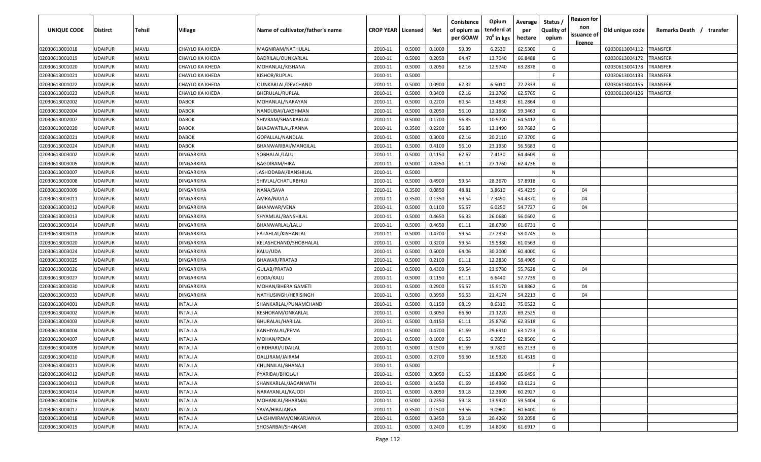| UNIQUE CODE    | <b>Distirct</b> | Tehsil       | Village                | Name of cultivator/father's name | <b>CROP YEAR   Licensed</b> |        | Net    | Conistence<br>of opium as<br>per GOAW | Opium<br>tenderd at<br>70 <sup>°</sup> in kgs | Average<br>per<br>hectare | Status<br><b>Quality of</b><br>opium | <b>Reason for</b><br>non<br>issuance of<br><u>licence</u> | Old unique code | Remarks Death /<br>transfer |
|----------------|-----------------|--------------|------------------------|----------------------------------|-----------------------------|--------|--------|---------------------------------------|-----------------------------------------------|---------------------------|--------------------------------------|-----------------------------------------------------------|-----------------|-----------------------------|
| 02030613001018 | <b>UDAIPUR</b>  | <b>MAVLI</b> | CHAYLO KA KHEDA        | MAGNIRAM/NATHULAL                | 2010-11                     | 0.5000 | 0.1000 | 59.39                                 | 6.2530                                        | 62.5300                   | G                                    |                                                           | 02030613004112  | <b>TRANSFER</b>             |
| 02030613001019 | <b>UDAIPUR</b>  | <b>MAVLI</b> | CHAYLO KA KHEDA        | BADRILAL/OUNKARLAL               | 2010-11                     | 0.5000 | 0.2050 | 64.47                                 | 13.7040                                       | 66.8488                   | G                                    |                                                           | 02030613004172  | <b>TRANSFER</b>             |
| 02030613001020 | <b>UDAIPUR</b>  | <b>MAVLI</b> | <b>CHAYLO KA KHEDA</b> | MOHANLAL/KISHANA                 | 2010-11                     | 0.5000 | 0.2050 | 62.16                                 | 12.9740                                       | 63.2878                   | G                                    |                                                           | 02030613004178  | TRANSFER                    |
| 02030613001021 | <b>UDAIPUR</b>  | <b>MAVLI</b> | CHAYLO KA KHEDA        | KISHOR/RUPLAL                    | 2010-11                     | 0.5000 |        |                                       |                                               |                           | F.                                   |                                                           | 02030613004133  | TRANSFER                    |
| 02030613001022 | <b>UDAIPUR</b>  | <b>MAVLI</b> | CHAYLO KA KHEDA        | OUNKARLAL/DEVCHAND               | 2010-11                     | 0.5000 | 0.0900 | 67.32                                 | 6.5010                                        | 72.2333                   | G                                    |                                                           | 02030613004155  | TRANSFER                    |
| 02030613001023 | <b>UDAIPUR</b>  | <b>MAVLI</b> | CHAYLO KA KHEDA        | <b>BHERULAL/RUPLAL</b>           | 2010-11                     | 0.5000 | 0.3400 | 62.16                                 | 21.2760                                       | 62.5765                   | G                                    |                                                           | 02030613004126  | TRANSFER                    |
| 02030613002002 | <b>UDAIPUR</b>  | <b>MAVLI</b> | <b>DABOK</b>           | MOHANLAL/NARAYAN                 | 2010-11                     | 0.5000 | 0.2200 | 60.54                                 | 13.4830                                       | 61.2864                   | G                                    |                                                           |                 |                             |
| 02030613002004 | <b>UDAIPUR</b>  | <b>MAVLI</b> | <b>DABOK</b>           | NANDUBAI/LAKSHMAN                | 2010-11                     | 0.5000 | 0.2050 | 56.10                                 | 12.1660                                       | 59.3463                   | G                                    |                                                           |                 |                             |
| 02030613002007 | <b>UDAIPUR</b>  | <b>MAVLI</b> | <b>DABOK</b>           | SHIVRAM/SHANKARLAL               | 2010-11                     | 0.5000 | 0.1700 | 56.85                                 | 10.9720                                       | 64.5412                   | G                                    |                                                           |                 |                             |
| 02030613002020 | <b>UDAIPUR</b>  | <b>MAVLI</b> | <b>DABOK</b>           | <b>BHAGWATILAL/PANNA</b>         | 2010-11                     | 0.3500 | 0.2200 | 56.85                                 | 13.1490                                       | 59.7682                   | G                                    |                                                           |                 |                             |
| 02030613002021 | <b>UDAIPUR</b>  | <b>MAVLI</b> | <b>DABOK</b>           | GOPALLAL/NANDLAL                 | 2010-11                     | 0.5000 | 0.3000 | 62.16                                 | 20.2110                                       | 67.3700                   | G                                    |                                                           |                 |                             |
| 02030613002024 | <b>UDAIPUR</b>  | <b>MAVLI</b> | <b>DABOK</b>           | BHANWARIBAI/MANGILAL             | 2010-11                     | 0.5000 | 0.4100 | 56.10                                 | 23.1930                                       | 56.5683                   | G                                    |                                                           |                 |                             |
| 02030613003002 | <b>UDAIPUR</b>  | <b>MAVLI</b> | DINGARKIYA             | SOBHALAL/LALU                    | 2010-11                     | 0.5000 | 0.1150 | 62.67                                 | 7.4130                                        | 64.4609                   | G                                    |                                                           |                 |                             |
| 02030613003005 | <b>UDAIPUR</b>  | <b>MAVLI</b> | DINGARKIYA             | <b>BAGDIRAM/HIRA</b>             | 2010-11                     | 0.5000 | 0.4350 | 61.11                                 | 27.1760                                       | 62.4736                   | G                                    |                                                           |                 |                             |
| 02030613003007 | <b>UDAIPUR</b>  | <b>MAVLI</b> | DINGARKIYA             | JASHODABAI/BANSHILAL             | 2010-11                     | 0.5000 |        |                                       |                                               |                           | N                                    |                                                           |                 |                             |
| 02030613003008 | <b>UDAIPUR</b>  | <b>MAVLI</b> | DINGARKIYA             | SHIVLAL/CHATURBHUJ               | 2010-11                     | 0.5000 | 0.4900 | 59.54                                 | 28.3670                                       | 57.8918                   | G                                    |                                                           |                 |                             |
| 02030613003009 | <b>UDAIPUR</b>  | <b>MAVLI</b> | <b>DINGARKIYA</b>      | NANA/SAVA                        | 2010-11                     | 0.3500 | 0.0850 | 48.81                                 | 3.8610                                        | 45.4235                   | G                                    | 04                                                        |                 |                             |
| 02030613003011 | <b>UDAIPUR</b>  | <b>MAVLI</b> | DINGARKIYA             | AMRA/NAVLA                       | 2010-11                     | 0.3500 | 0.1350 | 59.54                                 | 7.3490                                        | 54.4370                   | G                                    | 04                                                        |                 |                             |
| 02030613003012 | <b>UDAIPUR</b>  | <b>MAVLI</b> | DINGARKIYA             | <b>BHANWAR/VENA</b>              | 2010-11                     | 0.5000 | 0.1100 | 55.57                                 | 6.0250                                        | 54.7727                   | G                                    | 04                                                        |                 |                             |
| 02030613003013 | <b>UDAIPUR</b>  | <b>MAVLI</b> | DINGARKIYA             | SHYAMLAL/BANSHILAL               | 2010-11                     | 0.5000 | 0.4650 | 56.33                                 | 26.0680                                       | 56.0602                   | G                                    |                                                           |                 |                             |
| 02030613003014 | <b>UDAIPUR</b>  | <b>MAVLI</b> | <b>DINGARKIYA</b>      | BHANWARLAL/LALU                  | 2010-11                     | 0.5000 | 0.4650 | 61.11                                 | 28.6780                                       | 61.6731                   | G                                    |                                                           |                 |                             |
| 02030613003018 | <b>UDAIPUR</b>  | <b>MAVLI</b> | <b>DINGARKIYA</b>      | FATAHLAL/KISHANLAL               | 2010-11                     | 0.5000 | 0.4700 | 59.54                                 | 27.2950                                       | 58.0745                   | G                                    |                                                           |                 |                             |
| 02030613003020 | <b>UDAIPUR</b>  | <b>MAVLI</b> | <b>DINGARKIYA</b>      | KELASHCHAND/SHOBHALAL            | 2010-11                     | 0.5000 | 0.3200 | 59.54                                 | 19.5380                                       | 61.0563                   | G                                    |                                                           |                 |                             |
| 02030613003024 | <b>UDAIPUR</b>  | <b>MAVLI</b> | DINGARKIYA             | KALU/UDA                         | 2010-11                     | 0.5000 | 0.5000 | 64.06                                 | 30.2000                                       | 60.4000                   | G                                    |                                                           |                 |                             |
| 02030613003025 | <b>UDAIPUR</b>  | <b>MAVLI</b> | DINGARKIYA             | BHAWAR/PRATAB                    | 2010-11                     | 0.5000 | 0.2100 | 61.11                                 | 12.2830                                       | 58.4905                   | G                                    |                                                           |                 |                             |
| 02030613003026 | <b>UDAIPUR</b>  | <b>MAVLI</b> | DINGARKIYA             | GULAB/PRATAB                     | 2010-11                     | 0.5000 | 0.4300 | 59.54                                 | 23.9780                                       | 55.7628                   | G                                    | 04                                                        |                 |                             |
| 02030613003027 | <b>UDAIPUR</b>  | <b>MAVLI</b> | DINGARKIYA             | GODA/KALU                        | 2010-11                     | 0.5000 | 0.1150 | 61.11                                 | 6.6440                                        | 57.7739                   | G                                    |                                                           |                 |                             |
| 02030613003030 | <b>UDAIPUR</b>  | <b>MAVLI</b> | DINGARKIYA             | MOHAN/BHERA GAMETI               | 2010-11                     | 0.5000 | 0.2900 | 55.57                                 | 15.9170                                       | 54.8862                   | G                                    | 04                                                        |                 |                             |
| 02030613003033 | <b>UDAIPUR</b>  | <b>MAVLI</b> | DINGARKIYA             | NATHUSINGH/HERISINGH             | 2010-11                     | 0.5000 | 0.3950 | 56.53                                 | 21.4174                                       | 54.2213                   | G                                    | 04                                                        |                 |                             |
| 02030613004001 | <b>UDAIPUR</b>  | <b>MAVLI</b> | INTALI A               | SHANKARLAL/PUNAMCHAND            | 2010-11                     | 0.5000 | 0.1150 | 68.19                                 | 8.6310                                        | 75.0522                   | G                                    |                                                           |                 |                             |
| 02030613004002 | <b>UDAIPUR</b>  | <b>MAVLI</b> | INTALI A               | KESHORAM/ONKARLAL                | 2010-11                     | 0.5000 | 0.3050 | 66.60                                 | 21.1220                                       | 69.2525                   | G                                    |                                                           |                 |                             |
| 02030613004003 | <b>UDAIPUR</b>  | <b>MAVLI</b> | INTALI A               | BHURALAL/HARILAL                 | 2010-11                     | 0.5000 | 0.4150 | 61.11                                 | 25.8760                                       | 62.3518                   | G                                    |                                                           |                 |                             |
| 02030613004004 | <b>UDAIPUR</b>  | <b>MAVLI</b> | INTALI A               | KANHIYALAL/PEMA                  | 2010-11                     | 0.5000 | 0.4700 | 61.69                                 | 29.6910                                       | 63.1723                   | G                                    |                                                           |                 |                             |
| 02030613004007 | <b>UDAIPUR</b>  | <b>MAVLI</b> | INTALI A               | MOHAN/PEMA                       | 2010-11                     | 0.5000 | 0.1000 | 61.53                                 | 6.2850                                        | 62.8500                   | G                                    |                                                           |                 |                             |
| 02030613004009 | <b>UDAIPUR</b>  | <b>MAVLI</b> | INTALI A               | GIRDHARI/UDAILAL                 | 2010-11                     | 0.5000 | 0.1500 | 61.69                                 | 9.7820                                        | 65.2133                   | G                                    |                                                           |                 |                             |
| 02030613004010 | <b>UDAIPUR</b>  | <b>MAVLI</b> | <b>INTALI A</b>        | DALLIRAM/JAIRAM                  | 2010-11                     | 0.5000 | 0.2700 | 56.60                                 | 16.5920                                       | 61.4519                   | G                                    |                                                           |                 |                             |
| 02030613004011 | <b>UDAIPUR</b>  | <b>MAVLI</b> | INTALI A               | CHUNNILAL/BHANAJI                | 2010-11                     | 0.5000 |        |                                       |                                               |                           | F.                                   |                                                           |                 |                             |
| 02030613004012 | <b>UDAIPUR</b>  | <b>MAVLI</b> | <b>INTALI A</b>        | PYARIBAI/BHOLAJI                 | 2010-11                     | 0.5000 | 0.3050 | 61.53                                 | 19.8390                                       | 65.0459                   | G                                    |                                                           |                 |                             |
| 02030613004013 | <b>UDAIPUR</b>  | <b>MAVLI</b> | <b>INTALI A</b>        | SHANKARLAL/JAGANNATH             | 2010-11                     | 0.5000 | 0.1650 | 61.69                                 | 10.4960                                       | 63.6121                   | G                                    |                                                           |                 |                             |
| 02030613004014 | <b>UDAIPUR</b>  | <b>MAVLI</b> | INTALI A               | NARAYANLAL/KAJODI                | 2010-11                     | 0.5000 | 0.2050 | 59.18                                 | 12.3600                                       | 60.2927                   | G                                    |                                                           |                 |                             |
| 02030613004016 | <b>UDAIPUR</b>  | MAVLI        | INTALI A               | MOHANLAL/BHARMAL                 | 2010-11                     | 0.5000 | 0.2350 | 59.18                                 | 13.9920                                       | 59.5404                   | G                                    |                                                           |                 |                             |
| 02030613004017 | <b>UDAIPUR</b>  | <b>MAVLI</b> | INTALI A               | SAVA/HIRAJANVA                   | 2010-11                     | 0.3500 | 0.1500 | 59.56                                 | 9.0960                                        | 60.6400                   | G                                    |                                                           |                 |                             |
| 02030613004018 | <b>UDAIPUR</b>  | <b>MAVLI</b> | INTALI A               | LAKSHMIRAM/ONKARJANVA            | 2010-11                     | 0.5000 | 0.3450 | 59.18                                 | 20.4260                                       | 59.2058                   | G                                    |                                                           |                 |                             |
| 02030613004019 | <b>UDAIPUR</b>  | <b>MAVLI</b> | INTALI A               | SHOSARBAI/SHANKAR                | 2010-11                     | 0.5000 | 0.2400 | 61.69                                 | 14.8060                                       | 61.6917                   | G                                    |                                                           |                 |                             |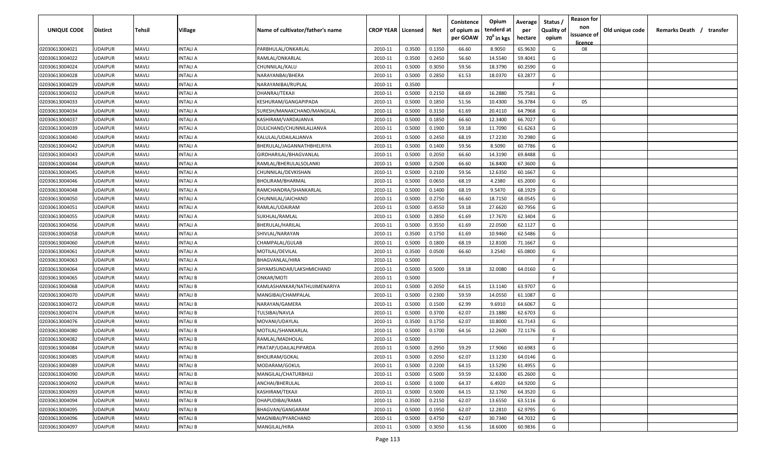| UNIQUE CODE    | <b>Distirct</b> | Tehsil       | Village         | Name of cultivator/father's name | <b>CROP YEAR   Licensed</b> |        | Net    | Conistence<br>of opium as | Opium<br>tenderd at    | Average<br>per | Status<br><b>Quality of</b> | <b>Reason for</b><br>non<br>issuance of | Old unique code | Remarks Death / transfer |
|----------------|-----------------|--------------|-----------------|----------------------------------|-----------------------------|--------|--------|---------------------------|------------------------|----------------|-----------------------------|-----------------------------------------|-----------------|--------------------------|
|                |                 |              |                 |                                  |                             |        |        | per GOAW                  | 70 <sup>0</sup> in kgs | hectare        | opium                       | licence                                 |                 |                          |
| 02030613004021 | <b>UDAIPUR</b>  | <b>MAVLI</b> | INTALI A        | PARBHULAL/ONKARLAL               | 2010-11                     | 0.3500 | 0.1350 | 66.60                     | 8.9050                 | 65.9630        | G                           | 08                                      |                 |                          |
| 02030613004022 | <b>UDAIPUR</b>  | <b>MAVLI</b> | INTALI A        | RAMLAL/ONKARLAL                  | 2010-11                     | 0.3500 | 0.2450 | 56.60                     | 14.5540                | 59.4041        | G                           |                                         |                 |                          |
| 02030613004024 | <b>UDAIPUR</b>  | <b>MAVLI</b> | INTALI A        | CHUNNILAL/KALU                   | 2010-11                     | 0.5000 | 0.3050 | 59.56                     | 18.3790                | 60.2590        | G                           |                                         |                 |                          |
| 02030613004028 | <b>UDAIPUR</b>  | <b>MAVLI</b> | INTALI A        | NARAYANBAI/BHERA                 | 2010-11                     | 0.5000 | 0.2850 | 61.53                     | 18.0370                | 63.2877        | G                           |                                         |                 |                          |
| 02030613004029 | <b>UDAIPUR</b>  | <b>MAVLI</b> | INTALI A        | NARAYANIBAI/RUPLAL               | 2010-11                     | 0.3500 |        |                           |                        |                | -F                          |                                         |                 |                          |
| 02030613004032 | <b>UDAIPUR</b>  | <b>MAVLI</b> | INTALI A        | DHANRAJ/TEKAJI                   | 2010-11                     | 0.5000 | 0.2150 | 68.69                     | 16.2880                | 75.7581        | G                           |                                         |                 |                          |
| 02030613004033 | <b>UDAIPUR</b>  | <b>MAVLI</b> | INTALI A        | KESHURAM/GANGAPIPADA             | 2010-11                     | 0.5000 | 0.1850 | 51.56                     | 10.4300                | 56.3784        | G                           | 05                                      |                 |                          |
| 02030613004034 | <b>UDAIPUR</b>  | <b>MAVLI</b> | INTALI A        | SURESH/MANAKCHAND/MANGILAL       | 2010-11                     | 0.5000 | 0.3150 | 61.69                     | 20.4110                | 64.7968        | G                           |                                         |                 |                          |
| 02030613004037 | <b>UDAIPUR</b>  | <b>MAVLI</b> | INTALI A        | KASHIRAM/VARDAJANVA              | 2010-11                     | 0.5000 | 0.1850 | 66.60                     | 12.3400                | 66.7027        | G                           |                                         |                 |                          |
| 02030613004039 | <b>UDAIPUR</b>  | <b>MAVLI</b> | INTALI A        | DULICHAND/CHUNNILALJANVA         | 2010-11                     | 0.5000 | 0.1900 | 59.18                     | 11.7090                | 61.6263        | G                           |                                         |                 |                          |
| 02030613004040 | <b>UDAIPUR</b>  | <b>MAVLI</b> | INTALI A        | KALULAL/UDAILALJANVA             | 2010-11                     | 0.5000 | 0.2450 | 68.19                     | 17.2230                | 70.2980        | G                           |                                         |                 |                          |
| 02030613004042 | <b>UDAIPUR</b>  | <b>MAVLI</b> | INTALI A        | BHERULAL/JAGANNATHBHELRIYA       | 2010-11                     | 0.5000 | 0.1400 | 59.56                     | 8.5090                 | 60.7786        | G                           |                                         |                 |                          |
| 02030613004043 | <b>UDAIPUR</b>  | <b>MAVLI</b> | INTALI A        | GIRDHARILAL/BHAGVANLAL           | 2010-11                     | 0.5000 | 0.2050 | 66.60                     | 14.3190                | 69.8488        | G                           |                                         |                 |                          |
| 02030613004044 | <b>UDAIPUR</b>  | <b>MAVLI</b> | INTALI A        | RAMLAL/BHERULALSOLANKI           | 2010-11                     | 0.5000 | 0.2500 | 66.60                     | 16.8400                | 67.3600        | G                           |                                         |                 |                          |
| 02030613004045 | <b>UDAIPUR</b>  | <b>MAVLI</b> | INTALI A        | CHUNNILAL/DEVKISHAN              | 2010-11                     | 0.5000 | 0.2100 | 59.56                     | 12.6350                | 60.1667        | G                           |                                         |                 |                          |
| 02030613004046 | <b>UDAIPUR</b>  | <b>MAVLI</b> | INTALI A        | BHOLIRAM/BHARMAL                 | 2010-11                     | 0.5000 | 0.0650 | 68.19                     | 4.2380                 | 65.2000        | G                           |                                         |                 |                          |
| 02030613004048 | <b>UDAIPUR</b>  | <b>MAVLI</b> | INTALI A        | RAMCHANDRA/SHANKARLAL            | 2010-11                     | 0.5000 | 0.1400 | 68.19                     | 9.5470                 | 68.1929        | G                           |                                         |                 |                          |
| 02030613004050 | <b>UDAIPUR</b>  | <b>MAVLI</b> | INTALI A        | CHUNNILAL/JAICHAND               | 2010-11                     | 0.5000 | 0.2750 | 66.60                     | 18.7150                | 68.0545        | G                           |                                         |                 |                          |
| 02030613004051 | <b>UDAIPUR</b>  | <b>MAVLI</b> | INTALI A        | RAMLAL/UDAIRAM                   | 2010-11                     | 0.5000 | 0.4550 | 59.18                     | 27.6620                | 60.7956        | G                           |                                         |                 |                          |
| 02030613004055 | <b>UDAIPUR</b>  | <b>MAVLI</b> | INTALI A        | SUKHLAL/RAMLAL                   | 2010-11                     | 0.5000 | 0.2850 | 61.69                     | 17.7670                | 62.3404        | G                           |                                         |                 |                          |
| 02030613004056 | <b>UDAIPUR</b>  | <b>MAVLI</b> | INTALI A        | BHERULAL/HARILAL                 | 2010-11                     | 0.5000 | 0.3550 | 61.69                     | 22.0500                | 62.1127        | G                           |                                         |                 |                          |
| 02030613004058 | <b>UDAIPUR</b>  | <b>MAVLI</b> | INTALI A        | SHIVLAL/NARAYAN                  | 2010-11                     | 0.3500 | 0.1750 | 61.69                     | 10.9460                | 62.5486        | G                           |                                         |                 |                          |
| 02030613004060 | <b>UDAIPUR</b>  | <b>MAVLI</b> | INTALI A        | CHAMPALAL/GULAB                  | 2010-11                     | 0.5000 | 0.1800 | 68.19                     | 12.8100                | 71.1667        | G                           |                                         |                 |                          |
| 02030613004061 | <b>UDAIPUR</b>  | <b>MAVLI</b> | INTALI A        | MOTILAL/DEVILAL                  | 2010-11                     | 0.3500 | 0.0500 | 66.60                     | 3.2540                 | 65.0800        | G                           |                                         |                 |                          |
| 02030613004063 | <b>UDAIPUR</b>  | <b>MAVLI</b> | INTALI A        | BHAGVANLAL/HIRA                  | 2010-11                     | 0.5000 |        |                           |                        |                | F.                          |                                         |                 |                          |
| 02030613004064 | <b>UDAIPUR</b>  | <b>MAVLI</b> | INTALI A        | SHYAMSUNDAR/LAKSHMICHAND         | 2010-11                     | 0.5000 | 0.5000 | 59.18                     | 32.0080                | 64.0160        | G                           |                                         |                 |                          |
| 02030613004065 | <b>UDAIPUR</b>  | <b>MAVLI</b> | INTALI B        | ONKAR/MOTI                       | 2010-11                     | 0.5000 |        |                           |                        |                | F.                          |                                         |                 |                          |
| 02030613004068 | <b>UDAIPUR</b>  | <b>MAVLI</b> | INTALI B        | KAMLASHANKAR/NATHUJIMENARIYA     | 2010-11                     | 0.5000 | 0.2050 | 64.15                     | 13.1140                | 63.9707        | G                           |                                         |                 |                          |
| 02030613004070 | <b>UDAIPUR</b>  | <b>MAVLI</b> | INTALI B        | MANGIBAI/CHAMPALAL               | 2010-11                     | 0.5000 | 0.2300 | 59.59                     | 14.0550                | 61.1087        | G                           |                                         |                 |                          |
| 02030613004072 | <b>UDAIPUR</b>  | <b>MAVLI</b> | INTALI B        | NARAYAN/GAMERA                   | 2010-11                     | 0.5000 | 0.1500 | 62.99                     | 9.6910                 | 64.6067        | G                           |                                         |                 |                          |
| 02030613004074 | <b>UDAIPUR</b>  | <b>MAVLI</b> | INTALI B        | TULSIBAI/NAVLA                   | 2010-11                     | 0.5000 | 0.3700 | 62.07                     | 23.1880                | 62.6703        | G                           |                                         |                 |                          |
| 02030613004076 | <b>UDAIPUR</b>  | <b>MAVLI</b> | INTALI B        | MOVANI/UDAYLAL                   | 2010-11                     | 0.3500 | 0.1750 | 62.07                     | 10.8000                | 61.7143        | G                           |                                         |                 |                          |
| 02030613004080 | <b>UDAIPUR</b>  | <b>MAVLI</b> | INTALI B        | MOTILAL/SHANKARLAL               | 2010-11                     | 0.5000 | 0.1700 | 64.16                     | 12.2600                | 72.1176        | G                           |                                         |                 |                          |
| 02030613004082 | <b>UDAIPUR</b>  | <b>MAVLI</b> | INTALI B        | RAMLAL/MADHOLAL                  | 2010-11                     | 0.5000 |        |                           |                        |                | -F.                         |                                         |                 |                          |
| 02030613004084 | <b>UDAIPUR</b>  | <b>MAVLI</b> | INTALI B        | PRATAP/UDAILALPIPARDA            | 2010-11                     | 0.5000 | 0.2950 | 59.29                     | 17.9060                | 60.6983        | G                           |                                         |                 |                          |
| 02030613004085 | <b>UDAIPUR</b>  | <b>MAVLI</b> | <b>INTALIB</b>  | <b>BHOLIRAM/GOKAL</b>            | 2010-11                     | 0.5000 | 0.2050 | 62.07                     | 13.1230                | 64.0146        | G                           |                                         |                 |                          |
| 02030613004089 | <b>UDAIPUR</b>  | <b>MAVLI</b> | <b>INTALI B</b> | MODARAM/GOKUL                    | 2010-11                     | 0.5000 | 0.2200 | 64.15                     | 13.5290                | 61.4955        | G                           |                                         |                 |                          |
| 02030613004090 | <b>UDAIPUR</b>  | <b>MAVLI</b> | <b>INTALI B</b> | MANGILAL/CHATURBHUJ              | 2010-11                     | 0.5000 | 0.5000 | 59.59                     | 32.6300                | 65.2600        | G                           |                                         |                 |                          |
| 02030613004092 | <b>UDAIPUR</b>  | <b>MAVLI</b> | <b>INTALI B</b> | ANCHAI/BHERULAL                  | 2010-11                     | 0.5000 | 0.1000 | 64.37                     | 6.4920                 | 64.9200        | G                           |                                         |                 |                          |
| 02030613004093 | <b>UDAIPUR</b>  | <b>MAVLI</b> | INTALI B        | KASHIRAM/TEKAJI                  | 2010-11                     | 0.5000 | 0.5000 | 64.15                     | 32.1760                | 64.3520        | G                           |                                         |                 |                          |
| 02030613004094 | <b>UDAIPUR</b>  | <b>MAVLI</b> | <b>INTALI B</b> | DHAPUDIBAI/RAMA                  | 2010-11                     | 0.3500 | 0.2150 | 62.07                     | 13.6550                | 63.5116        | G                           |                                         |                 |                          |
| 02030613004095 | <b>UDAIPUR</b>  | <b>MAVLI</b> | INTALI B        | BHAGVAN/GANGARAM                 | 2010-11                     | 0.5000 | 0.1950 | 62.07                     | 12.2810                | 62.9795        | G                           |                                         |                 |                          |
| 02030613004096 | <b>UDAIPUR</b>  | <b>MAVLI</b> | INTALI B        | MAGNIBAI/PYARCHAND               | 2010-11                     | 0.5000 | 0.4750 | 62.07                     | 30.7340                | 64.7032        | G                           |                                         |                 |                          |
| 02030613004097 | <b>UDAIPUR</b>  | <b>MAVLI</b> | INTALI B        | MANGILAL/HIRA                    | 2010-11                     | 0.5000 | 0.3050 | 61.56                     | 18.6000                | 60.9836        | G                           |                                         |                 |                          |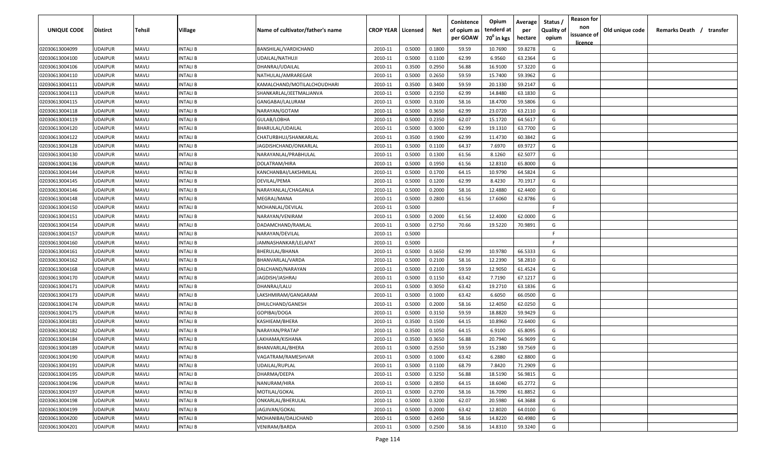| UNIQUE CODE    | <b>Distirct</b> | Tehsil       | Village         | Name of cultivator/father's name | <b>CROP YEAR   Licensed</b> |        | Net    | Conistence<br>of opium as | Opium<br>tenderd at    | Average<br>per | Status<br><b>Quality of</b> | <b>Reason for</b><br>non<br>issuance of | Old unique code | Remarks Death / transfer |
|----------------|-----------------|--------------|-----------------|----------------------------------|-----------------------------|--------|--------|---------------------------|------------------------|----------------|-----------------------------|-----------------------------------------|-----------------|--------------------------|
|                |                 |              |                 |                                  |                             |        |        | per GOAW                  | 70 <sup>0</sup> in kgs | hectare        | opium                       | <u>licence</u>                          |                 |                          |
| 02030613004099 | <b>UDAIPUR</b>  | <b>MAVLI</b> | INTALI B        | BANSHILAL/VARDICHAND             | 2010-11                     | 0.5000 | 0.1800 | 59.59                     | 10.7690                | 59.8278        | G                           |                                         |                 |                          |
| 02030613004100 | <b>UDAIPUR</b>  | <b>MAVLI</b> | INTALI B        | UDAILAL/NATHUJI                  | 2010-11                     | 0.5000 | 0.1100 | 62.99                     | 6.9560                 | 63.2364        | G                           |                                         |                 |                          |
| 02030613004106 | <b>UDAIPUR</b>  | <b>MAVLI</b> | INTALI B        | DHANRAJ/UDAILAL                  | 2010-11                     | 0.3500 | 0.2950 | 56.88                     | 16.9100                | 57.3220        | G                           |                                         |                 |                          |
| 02030613004110 | <b>UDAIPUR</b>  | <b>MAVLI</b> | INTALI B        | NATHULAL/AMRAREGAR               | 2010-11                     | 0.5000 | 0.2650 | 59.59                     | 15.7400                | 59.3962        | G                           |                                         |                 |                          |
| 02030613004111 | <b>UDAIPUR</b>  | <b>MAVLI</b> | INTALI B        | KAMALCHAND/MOTILALCHOUDHARI      | 2010-11                     | 0.3500 | 0.3400 | 59.59                     | 20.1330                | 59.2147        | G                           |                                         |                 |                          |
| 02030613004113 | <b>UDAIPUR</b>  | <b>MAVLI</b> | INTALI B        | SHANKARLAL/JEETMALJANVA          | 2010-11                     | 0.5000 | 0.2350 | 62.99                     | 14.8480                | 63.1830        | G                           |                                         |                 |                          |
| 02030613004115 | <b>UDAIPUR</b>  | <b>MAVLI</b> | INTALI B        | GANGABAI/LALURAM                 | 2010-11                     | 0.5000 | 0.3100 | 58.16                     | 18.4700                | 59.5806        | G                           |                                         |                 |                          |
| 02030613004118 | <b>UDAIPUR</b>  | <b>MAVLI</b> | INTALI B        | NARAYAN/GOTAM                    | 2010-11                     | 0.5000 | 0.3650 | 62.99                     | 23.0720                | 63.2110        | G                           |                                         |                 |                          |
| 02030613004119 | <b>UDAIPUR</b>  | <b>MAVLI</b> | INTALI B        | GULAB/LOBHA                      | 2010-11                     | 0.5000 | 0.2350 | 62.07                     | 15.1720                | 64.5617        | G                           |                                         |                 |                          |
| 02030613004120 | <b>UDAIPUR</b>  | <b>MAVLI</b> | INTALI B        | BHARULAL/UDAILAL                 | 2010-11                     | 0.5000 | 0.3000 | 62.99                     | 19.1310                | 63.7700        | G                           |                                         |                 |                          |
| 02030613004122 | <b>UDAIPUR</b>  | <b>MAVLI</b> | INTALI B        | CHATURBHUJ/SHANKARLAL            | 2010-11                     | 0.3500 | 0.1900 | 62.99                     | 11.4730                | 60.3842        | G                           |                                         |                 |                          |
| 02030613004128 | <b>UDAIPUR</b>  | <b>MAVLI</b> | INTALI B        | IAGDISHCHAND/ONKARLAL            | 2010-11                     | 0.5000 | 0.1100 | 64.37                     | 7.6970                 | 69.9727        | G                           |                                         |                 |                          |
| 02030613004130 | <b>UDAIPUR</b>  | <b>MAVLI</b> | INTALI B        | NARAYANLAL/PRABHULAL             | 2010-11                     | 0.5000 | 0.1300 | 61.56                     | 8.1260                 | 62.5077        | G                           |                                         |                 |                          |
| 02030613004136 | <b>UDAIPUR</b>  | <b>MAVLI</b> | INTALI B        | DOLATRAM/HIRA                    | 2010-11                     | 0.5000 | 0.1950 | 61.56                     | 12.8310                | 65.8000        | G                           |                                         |                 |                          |
| 02030613004144 | <b>UDAIPUR</b>  | <b>MAVLI</b> | INTALI B        | KANCHANBAI/LAKSHMILAL            | 2010-11                     | 0.5000 | 0.1700 | 64.15                     | 10.9790                | 64.5824        | G                           |                                         |                 |                          |
| 02030613004145 | <b>UDAIPUR</b>  | <b>MAVLI</b> | INTALI B        | DEVILAL/PEMA                     | 2010-11                     | 0.5000 | 0.1200 | 62.99                     | 8.4230                 | 70.1917        | G                           |                                         |                 |                          |
| 02030613004146 | <b>UDAIPUR</b>  | <b>MAVLI</b> | INTALI B        | NARAYANLAL/CHAGANLA              | 2010-11                     | 0.5000 | 0.2000 | 58.16                     | 12.4880                | 62.4400        | G                           |                                         |                 |                          |
| 02030613004148 | <b>UDAIPUR</b>  | <b>MAVLI</b> | <b>INTALIB</b>  | MEGRAJ/MANA                      | 2010-11                     | 0.5000 | 0.2800 | 61.56                     | 17.6060                | 62.8786        | G                           |                                         |                 |                          |
| 02030613004150 | <b>UDAIPUR</b>  | <b>MAVLI</b> | INTALI B        | MOHANLAL/DEVILAL                 | 2010-11                     | 0.5000 |        |                           |                        |                | F.                          |                                         |                 |                          |
| 02030613004151 | <b>UDAIPUR</b>  | <b>MAVLI</b> | INTALI B        | NARAYAN/VENIRAM                  | 2010-11                     | 0.5000 | 0.2000 | 61.56                     | 12.4000                | 62.0000        | G                           |                                         |                 |                          |
| 02030613004154 | <b>UDAIPUR</b>  | <b>MAVLI</b> | INTALI B        | DADAMCHAND/RAMLAL                | 2010-11                     | 0.5000 | 0.2750 | 70.66                     | 19.5220                | 70.9891        | G                           |                                         |                 |                          |
| 02030613004157 | <b>UDAIPUR</b>  | <b>MAVLI</b> | INTALI B        | NARAYAN/DEVILAL                  | 2010-11                     | 0.5000 |        |                           |                        |                | -F.                         |                                         |                 |                          |
| 02030613004160 | <b>UDAIPUR</b>  | <b>MAVLI</b> | INTALI B        | IAMNASHANKAR/LELAPAT             | 2010-11                     | 0.5000 |        |                           |                        |                | -F.                         |                                         |                 |                          |
| 02030613004161 | <b>UDAIPUR</b>  | <b>MAVLI</b> | INTALI B        | BHERULAL/BHANA                   | 2010-11                     | 0.5000 | 0.1650 | 62.99                     | 10.9780                | 66.5333        | G                           |                                         |                 |                          |
| 02030613004162 | <b>UDAIPUR</b>  | <b>MAVLI</b> | INTALI B        | BHANVARLAL/VARDA                 | 2010-11                     | 0.5000 | 0.2100 | 58.16                     | 12.2390                | 58.2810        | G                           |                                         |                 |                          |
| 02030613004168 | <b>UDAIPUR</b>  | <b>MAVLI</b> | INTALI B        | DALCHAND/NARAYAN                 | 2010-11                     | 0.5000 | 0.2100 | 59.59                     | 12.9050                | 61.4524        | G                           |                                         |                 |                          |
| 02030613004170 | <b>UDAIPUR</b>  | <b>MAVLI</b> | INTALI B        | IAGDISH/JASHRAJ                  | 2010-11                     | 0.5000 | 0.1150 | 63.42                     | 7.7190                 | 67.1217        | G                           |                                         |                 |                          |
| 02030613004171 | <b>UDAIPUR</b>  | <b>MAVLI</b> | INTALI B        | DHANRAJ/LALU                     | 2010-11                     | 0.5000 | 0.3050 | 63.42                     | 19.2710                | 63.1836        | G                           |                                         |                 |                          |
| 02030613004173 | <b>UDAIPUR</b>  | <b>MAVLI</b> | INTALI B        | LAKSHMIRAM/GANGARAM              | 2010-11                     | 0.5000 | 0.1000 | 63.42                     | 6.6050                 | 66.0500        | G                           |                                         |                 |                          |
| 02030613004174 | <b>UDAIPUR</b>  | <b>MAVLI</b> | INTALI B        | DHULCHAND/GANESH                 | 2010-11                     | 0.5000 | 0.2000 | 58.16                     | 12.4050                | 62.0250        | G                           |                                         |                 |                          |
| 02030613004175 | <b>UDAIPUR</b>  | <b>MAVLI</b> | INTALI B        | GOPIBAI/DOGA                     | 2010-11                     | 0.5000 | 0.3150 | 59.59                     | 18.8820                | 59.9429        | G                           |                                         |                 |                          |
| 02030613004181 | <b>UDAIPUR</b>  | <b>MAVLI</b> | INTALI B        | KASHIEAM/BHERA                   | 2010-11                     | 0.3500 | 0.1500 | 64.15                     | 10.8960                | 72.6400        | G                           |                                         |                 |                          |
| 02030613004182 | <b>UDAIPUR</b>  | <b>MAVLI</b> | INTALI B        | NARAYAN/PRATAP                   | 2010-11                     | 0.3500 | 0.1050 | 64.15                     | 6.9100                 | 65.8095        | G                           |                                         |                 |                          |
| 02030613004184 | <b>UDAIPUR</b>  | <b>MAVLI</b> | INTALI B        | LAKHAMA/KISHANA                  | 2010-11                     | 0.3500 | 0.3650 | 56.88                     | 20.7940                | 56.9699        | G                           |                                         |                 |                          |
| 02030613004189 | <b>UDAIPUR</b>  | <b>MAVLI</b> | INTALI B        | BHANVARLAL/BHERA                 | 2010-11                     | 0.5000 | 0.2550 | 59.59                     | 15.2380                | 59.7569        | G                           |                                         |                 |                          |
| 02030613004190 | <b>UDAIPUR</b>  | <b>MAVLI</b> | <b>INTALIB</b>  | VAGATRAM/RAMESHVAR               | 2010-11                     | 0.5000 | 0.1000 | 63.42                     | 6.2880                 | 62.8800        | G                           |                                         |                 |                          |
| 02030613004191 | <b>UDAIPUR</b>  | <b>MAVLI</b> | <b>INTALI B</b> | UDAILAL/RUPLAL                   | 2010-11                     | 0.5000 | 0.1100 | 68.79                     | 7.8420                 | 71.2909        | G                           |                                         |                 |                          |
| 02030613004195 | <b>UDAIPUR</b>  | <b>MAVLI</b> | <b>INTALI B</b> | DHARMA/DEEPA                     | 2010-11                     | 0.5000 | 0.3250 | 56.88                     | 18.5190                | 56.9815        | G                           |                                         |                 |                          |
| 02030613004196 | <b>UDAIPUR</b>  | <b>MAVLI</b> | <b>INTALI B</b> | NANURAM/HIRA                     | 2010-11                     | 0.5000 | 0.2850 | 64.15                     | 18.6040                | 65.2772        | G                           |                                         |                 |                          |
| 02030613004197 | <b>UDAIPUR</b>  | <b>MAVLI</b> | INTALI B        | MOTILAL/GOKAL                    | 2010-11                     | 0.5000 | 0.2700 | 58.16                     | 16.7090                | 61.8852        | G                           |                                         |                 |                          |
| 02030613004198 | <b>UDAIPUR</b>  | <b>MAVLI</b> | <b>INTALI B</b> | ONKARLAL/BHERULAL                | 2010-11                     | 0.5000 | 0.3200 | 62.07                     | 20.5980                | 64.3688        | G                           |                                         |                 |                          |
| 02030613004199 | <b>UDAIPUR</b>  | <b>MAVLI</b> | INTALI B        | JAGJIVAN/GOKAL                   | 2010-11                     | 0.5000 | 0.2000 | 63.42                     | 12.8020                | 64.0100        | G                           |                                         |                 |                          |
| 02030613004200 | <b>UDAIPUR</b>  | <b>MAVLI</b> | INTALI B        | MOHANIBAI/DALICHAND              | 2010-11                     | 0.5000 | 0.2450 | 58.16                     | 14.8220                | 60.4980        | G                           |                                         |                 |                          |
| 02030613004201 | <b>UDAIPUR</b>  | <b>MAVLI</b> | INTALI B        | VENIRAM/BARDA                    | 2010-11                     | 0.5000 | 0.2500 | 58.16                     | 14.8310                | 59.3240        | G                           |                                         |                 |                          |